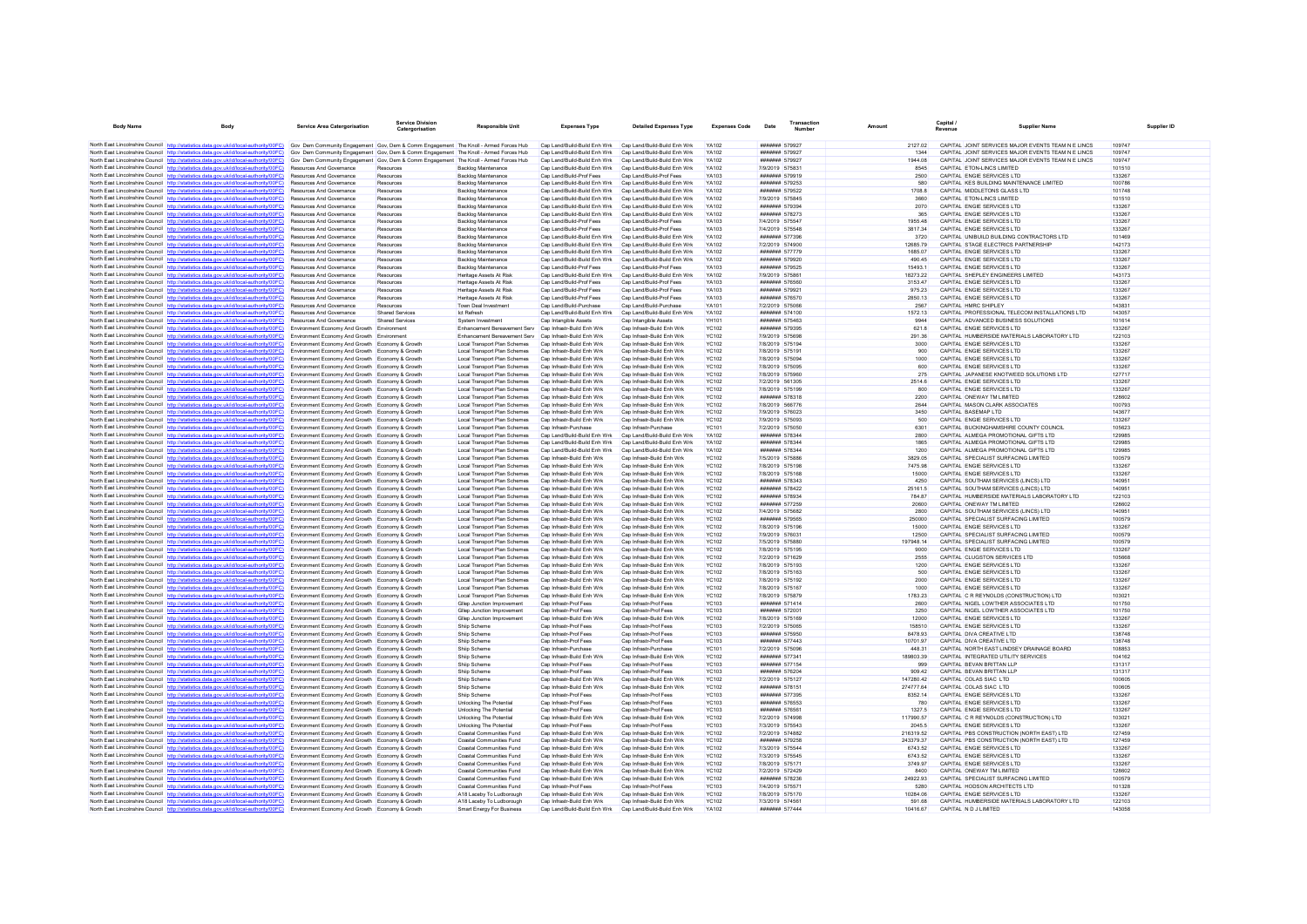| <b>Body Name</b>                                        | <b>Body</b>                                                                                                                                                                                                                      | <b>Service Area Catergorisation</b>                                                                | <b>Service Division</b><br>Catergorisation | <b>Responsible Unit</b>                                      | <b>Expenses Type</b>                                       | <b>Detailed Expenses Type</b>                              | <b>Expenses Code</b>         | Date                                                   | <b>Transaction</b><br><b>Mumbar</b> |                     | Capital /             | Supplier Name                                                                          | Supplier ID      |
|---------------------------------------------------------|----------------------------------------------------------------------------------------------------------------------------------------------------------------------------------------------------------------------------------|----------------------------------------------------------------------------------------------------|--------------------------------------------|--------------------------------------------------------------|------------------------------------------------------------|------------------------------------------------------------|------------------------------|--------------------------------------------------------|-------------------------------------|---------------------|-----------------------|----------------------------------------------------------------------------------------|------------------|
|                                                         | North East Lincolnshire Council http://statistics.data.gov.uk/id/local-authority/00FC) Gov Dem Community Engagement Gov, Dem & Comm Engagement The Knoll - Armed Forces Hub                                                      |                                                                                                    |                                            |                                                              | Can Land/Build-Build Enh Wrk Can Land/Build-Build Enh Wrk  |                                                            | <b>YA102</b>                 | ####### 579927                                         |                                     | 2127.02             |                       | CAPITAL JOINT SERVICES MAJOR EVENTS TEAM N E LINCS                                     | 109747           |
|                                                         | North East Lincolnshire Council http://statistics.data.gov.uk/id/local-authority/00FC) Gov Dem Community Engagement Gov, Dem & Comm Engagement The Knoll - Armed Forces Hub                                                      |                                                                                                    |                                            |                                                              | Cap Land/Build-Build Enh Wrk Cap Land/Build-Build Enh Wrk  |                                                            | YA102                        | ####### 579927                                         |                                     | 1344                |                       | CAPITAL JOINT SERVICES MAJOR EVENTS TEAM N E LINCS                                     | 109747           |
|                                                         | North East Lincolnshire Council http://statistics.data.gov.uk/id/local-authority/00FC)                                                                                                                                           | Gov Dem Community Engagement Gov, Dem & Comm Engagement The Knoll - Armed Forces Hub               |                                            |                                                              | Cap Land/Build-Build Enh Wrk                               | Cap Land/Build-Build Enh Wrk                               | <b>YA102</b>                 | ####### 579927                                         |                                     | 1944.08             |                       | CAPITAL JOINT SERVICES MAJOR EVENTS TEAM N E LINCS                                     | 109747           |
|                                                         | North East Lincolnshire Council http://statistics.data.gov.uk/id/local-authority/00EC) Resources And Governance                                                                                                                  |                                                                                                    | Resources                                  | Backlog Maintenance                                          | Cap Land/Build-Build Enh Wrk                               | Cap Land/Build-Build Enh Wrk                               | <b>YA102</b>                 | 7/9/2019 575831                                        |                                     | 8545                |                       | CAPITAL FTON-LINCS LIMITED                                                             | 101510           |
|                                                         | North East Lincolnshire Council http://statistics.data.gov.uk/id/local-authority/00FC)<br>North East Lincolnshire Council http://statistics.data.gov.uk/id/local-authority/00FC)                                                 | Resources And Governance<br>Resources And Governance                                               | Resources<br><b>Resources</b>              | <b>Backlog Maintenance</b><br>Backlog Maintenance            | Cap Land/Build-Prof Fees<br>Cap Land/Build-Build Enh Wrk   | Cap Land/Build-Prof Fees<br>Cap Land/Build-Build Enh Wrk   | YA103<br><b>YA102</b>        | ####### 579919<br>####### 579253                       |                                     | 2500<br>580         |                       | CAPITAL ENGIE SERVICES LTD<br>CAPITAL KES BUILDING MAINTENANCE LIMITED                 | 133267<br>100786 |
|                                                         | North East Lincolnshire Council http://statistics.data.gov.uk/id/local-authority/00FC)                                                                                                                                           | Resources And Governance                                                                           | Resources                                  | Backlog Maintenance                                          |                                                            | Cap Land/Build-Build Enh Wrk Cap Land/Build-Build Enh Wrk  | <b>YA102</b>                 | ####### 579522                                         |                                     | 1708.8              |                       | CAPITAL MIDDLETONS GLASS LTD                                                           | 101748           |
|                                                         | North East Lincolnshire Council http://statistics.data.gov.uk/id/local-authority/00FC)                                                                                                                                           | <b>Resources And Governance</b>                                                                    | Resources                                  | <b>Backlog Maintenance</b>                                   | Can Land/Build-Build Enh Wrk                               | Can Land/Build-Build Enh Wrk                               | <b>YA102</b>                 | 7/9/2019 575845                                        |                                     | 3660                |                       | CAPITAL FTON-LINCS LIMITED                                                             | 101510           |
|                                                         | North East Lincolnshire Council http://statistics.data.gov.uk/id/local-authority/00FC)                                                                                                                                           | Resources And Governance                                                                           | Resources                                  | <b>Backlog Maintenance</b>                                   | Cap Land/Build-Build Enh Wrk                               | Cap Land/Build-Build Enh Wrk                               | YA102                        | ####### 579394                                         |                                     | 2070                |                       | CAPITAL ENGIE SERVICES LTD                                                             | 133267           |
|                                                         | North East Lincolnshire Council http://statistics.data.gov.uk/id/local-authority/00FC)                                                                                                                                           | Resources And Governance                                                                           | Resources                                  | <b>Backlog Maintenance</b>                                   |                                                            | Cap Land/Build-Build Enh Wrk Cap Land/Build-Build Enh Wrk  | <b>YA102</b>                 | ####### 578273                                         |                                     | 365                 |                       | CAPITAL ENGIE SERVICES LTD                                                             | 133267           |
|                                                         | North East Lincolnshire Council http://statistics.data.gov.uk/id/local-authority/00FC)<br>North East Lincolnshire Council http://statistics.data.gov.uk/id/local-authority/00FC)                                                 | <b>Resources And Governance</b><br>Resources And Governance                                        | Resources<br>Resources                     | Backlog Maintenance<br>Backlog Maintenance                   | Can Land/Build-Prof Fees<br>Cap Land/Build-Prof Fees       | Can Land/Build-Prof Fees<br>Cap Land/Build-Prof Fees       | YA103<br>YA103               | 7/4/2019 575547<br>7/4/2019 575548                     |                                     | 1955 48<br>3817.34  |                       | CAPITAL ENGIF SERVICES LTD<br>CAPITAL ENGIE SERVICES LTD                               | 133267<br>133267 |
|                                                         | North East Lincolnshire Council http://statistics.data.gov.uk/id/local-authority/00FC)                                                                                                                                           | <b>Resources And Governance</b>                                                                    | Resources                                  | Backlog Maintenance                                          | Cap Land/Build-Build Enh Wrk Cap Land/Build-Build Enh Wrk  |                                                            | <b>YA102</b>                 | ####### 577396                                         |                                     | 3720                |                       | CAPITAL UNIBUILD BUILDING CONTRACTORS LTD                                              | 101469           |
|                                                         | North East Lincolnshire Council http://statistics.data.gov.uk/id/local-authority/00FC)                                                                                                                                           | <b>Resources And Governance</b>                                                                    | Resources                                  | Backlon Maintenance                                          | Can Land/Build-Build Enh Wrk                               | Can Land/Build-Build Enh Wrk                               | <b>YA102</b>                 | 7/2/2019 574900                                        |                                     | 1268579             |                       | CAPITAL STAGE ELECTRICS PARTNERSHIP                                                    | 142173           |
|                                                         | North East Lincolnshire Council http://statistics.data.gov.uk/id/local-authority/00FC)                                                                                                                                           | <b>Resources And Governance</b>                                                                    | Resources                                  | <b>Backlog Maintenance</b>                                   | Cap Land/Build-Build Enh Wrk                               | Cap Land/Build-Build Enh Wrk                               | YA102                        | ####### 577779                                         |                                     | 1685.07             |                       | CAPITAL ENGIF SERVICES LTD                                                             | 133267           |
|                                                         | North East Lincolnshire Council http://statistics.data.gov.uk/id/local-authority/00FC)                                                                                                                                           | Resources And Governance                                                                           | Resources                                  | Backlog Maintenance                                          | Cap Land/Build-Build Enh Wrk                               | Cap Land/Build-Build Enh Wrk                               | YA102                        | ####### 579920                                         |                                     | 490.45              |                       | CAPITAL ENGIE SERVICES LTD                                                             | 133267           |
|                                                         | North East Lincolnshire Council http://statistics.data.gov.uk/id/local-authority/00FC)<br>North East Lincolnshire Council http://statistics.data.gov.uk/id/local-authority/00FC)                                                 | Resources And Governance<br><b>Resources And Governance</b>                                        | Resources<br>Resources                     | Backlog Maintenance<br>Heritage Assets At Risk               | Cap Land/Build-Prof Fees<br>Cap Land/Build-Build Enh Wrk   | Cap Land/Build-Prof Fees<br>Cap Land/Build-Build Enh Wrk   | YA103<br>YA102               | ####### 579525<br>7/9/2019 575861                      |                                     | 15493.1<br>18273.22 |                       | CAPITAL ENGIE SERVICES LTD<br>CAPITAL SHEPLEY ENGINEERS LIMITED                        | 133267<br>143173 |
|                                                         | North East Lincolnshire Council http://statistics.data.gov.uk/id/local-authority/00FC)                                                                                                                                           | Resources And Governance                                                                           | Resources                                  | Heritage Assets At Risk                                      | Cap Land/Build-Prof Fees                                   | Cap Land/Build-Prof Fees                                   | YA103                        | ####### 576560                                         |                                     | 3153.47             |                       | CAPITAL ENGIE SERVICES LTD                                                             | 133267           |
|                                                         | North East Lincolnshire Council http://statistics.data.gov.uk/id/local-authority/00FC)                                                                                                                                           | Resources And Governance                                                                           | Resources                                  | Heritage Assets At Risk                                      | Cap Land/Build-Prof Fees                                   | Cap Land/Build-Prof Fees                                   | YA103                        | ####### 579921                                         |                                     | 975.23              |                       | CAPITAL ENGIE SERVICES LTD                                                             | 133267           |
|                                                         | North East Lincolnshire Council http://statistics.data.gov.uk/id/local-authority/00EC)                                                                                                                                           | <b>Resources And Governance</b>                                                                    | Resources                                  | Heritage Assets At Risk                                      | Cap Land/Build-Prof Fees                                   | Cap Land/Build-Prof Fees                                   | <b>YA103</b>                 | ####### 576570                                         |                                     | 2850.13             |                       | CAPITAL ENGIE SERVICES LTD                                                             | 133267           |
|                                                         | North East Lincolnshire Council http://statistics.data.gov.uk/id/local-authority/00FC)                                                                                                                                           | Resources And Governance                                                                           | Resources                                  | Town Deal Investment                                         | Cap Land/Build-Purchase                                    | Cap Land/Build-Purchase                                    | YA101                        | 7/2/2019 57506                                         |                                     | 2567                | CAPITAL HMRC SHIPLEY  |                                                                                        | 143831           |
|                                                         | North East Lincolnshire Council http://statistics.data.gov.uk/id/local-authority/00FC)<br>North East Lincolnshire Council http://statistics.data.gov.uk/id/local-authority/00FC)                                                 | Resources And Governance<br><b>Resources And Governance</b>                                        | <b>Shared Services</b><br>Shared Services  | <b>Ict Refresh</b><br>System Investment                      | Cap Land/Build-Build Enh Wrk<br>Can Intangible Assets      | Cap Land/Build-Build Enh Wrk<br>Can Intangible Assets      | <b>YA102</b><br>YH101        | ####### 574100<br><b>####### 575463</b>                |                                     | 1572.13<br>9944     |                       | CAPITAL PROFESSIONAL TELECOM INSTALLATIONS LTD<br>CAPITAL ADVANCED BLISINESS SOLUTIONS | 143057<br>101614 |
|                                                         | North East Lincolnshire Council http://statistics.data.gov.uk/id/local-authority/00FC)                                                                                                                                           | Environment Economy And Growth Environment                                                         |                                            | Enhancement Bereavement Serv Cap Infrastr-Build Enh Wrk      |                                                            | Cap Infrastr-Build Enh Wrk                                 | YC102                        | ####### 579395                                         |                                     | 621.8               |                       | CAPITAL FNGIF SERVICES LTD                                                             | 133267           |
|                                                         | North East Lincolnshire Council http://statistics.data.gov.uk/id/local-authority/00FC)                                                                                                                                           | Environment Economy And Growth Environmen                                                          |                                            | Enhancement Bereavement Serv                                 | Cap Infrastr-Build Enh Wrk                                 | Cap Infrastr-Build Enh Wrk                                 | <b>YC102</b>                 | 7/9/2019 575698                                        |                                     | 291.36              |                       | CAPITAL HUMBERSIDE MATERIALS LABORATORY LTD                                            | 122103           |
|                                                         | North East Lincolnshire Council http://statistics.data.gov.uk/id/local-authority/00FC) Environment Economy And Growth Economy & Growth                                                                                           |                                                                                                    |                                            | Local Transport Plan Schemes                                 | Cap Infrastr-Build Enh Wrk                                 | Cap Infrastr-Build Enh Wrk                                 | <b>YC102</b>                 | 7/8/2019 575194                                        |                                     | 3000                |                       | CAPITAL ENGIE SERVICES LTD                                                             | 133267           |
|                                                         | North East Lincolnshire Council http://statistics.data.gov.uk/id/local-authority/00FC)                                                                                                                                           | Environment Economy And Growth Economy & Growth                                                    |                                            | Local Transport Plan Schemes                                 | Cap Infrastr-Build Enh Wrk                                 | Cap Infrastr-Build Enh Wrk                                 | <b>YC102</b>                 | 7/8/2019 575191                                        |                                     | 900                 |                       | CAPITAL ENGIE SERVICES LTD                                                             | 133267           |
|                                                         | North East Lincolnshire Council http://statistics.data.gov.uk/id/local-authority/00FC)<br>North East Lincolnshire Council http://statistics.data.gov.uk/id/local-authority/00FC)                                                 | Environment Economy And Growth Economy & Growth<br>Environment Economy And Growth Economy & Growth |                                            | Local Transport Plan Schemes<br>Local Transport Plan Schemes | Cap Infrastr-Build Enh Wrk<br>Cap Infrastr-Build Enh Wrk   | Cap Infrastr-Build Enh Wrk<br>Cap Infrastr-Build Enh Wrk   | <b>YC102</b><br><b>YC102</b> | 7/8/2019 575094<br>7/8/2019 575095                     |                                     | 1000<br>600         |                       | CAPITAL ENGIE SERVICES LTD<br>CAPITAL ENGIE SERVICES LTD                               | 133267<br>133267 |
|                                                         | North East Lincolnshire Council http://statistics.data.gov.uk/id/local-authority/00FC)                                                                                                                                           | Environment Economy And Growth Economy & Growth                                                    |                                            | Local Transport Plan Schemes                                 | Can Infrastr-Build Enh Wrk                                 | Can Infrastr-Build Enh Wrk                                 | YC102                        | 7/8/2019 575960                                        |                                     | 275                 |                       | CAPITAL JAPANESE KNOTWEED SOLUTIONS LTD                                                | 127717           |
|                                                         | North East Lincolnshire Council http://statistics.data.gov.uk/id/local-authority/00FC)                                                                                                                                           | Environment Economy And Growth Economy & Growth                                                    |                                            | Local Transport Plan Schemes                                 | Cap Infrastr-Build Enh Wrk                                 | Cap Infrastr-Build Enh Wrk                                 | <b>YC102</b>                 | 7/2/2019 561305                                        |                                     | 2514.6              |                       | CAPITAL ENGIE SERVICES LTD                                                             | 133267           |
|                                                         | North East Lincolnshire Council http://statistics.data.gov.uk/id/local-authority/00FC)                                                                                                                                           | Environment Economy And Growth Economy & Growth                                                    |                                            | Local Transport Plan Schemes                                 | Cap Infrastr-Build Enh Wrk                                 | Cap Infrastr-Build Enh Wrk                                 | <b>YC102</b>                 | 7/8/2019 575199                                        |                                     | 800                 |                       | CAPITAL ENGIE SERVICES LTD                                                             | 133267           |
|                                                         | North East Lincolnshire Council http://statistics.data.gov.uk/id/local-authority/00FC)                                                                                                                                           | Environment Economy And Growth Economy & Growth                                                    |                                            | Local Transport Plan Schemes                                 | Cap Infrastr-Build Enh Wrk                                 | Cap Infrastr-Build Enh Wrk                                 | <b>YC102</b>                 | ####### 578318                                         |                                     | 2200                |                       | CAPITAL ONEWAY TM LIMITED                                                              | 128602           |
|                                                         | North East Lincolnshire Council http://statistics.data.gov.uk/id/local-authority/00FC)                                                                                                                                           | Environment Economy And Growth Economy & Growth                                                    |                                            | Local Transport Plan Schemes                                 | Cap Infrastr-Build Enh Wrk<br>Cap Infrastr-Build Enh Wrk   | Cap Infrastr-Build Enh Wrk<br>Cap Infrastr-Build Enh Wrk   | <b>YC102</b><br><b>YC102</b> | 7/8/2019 566776<br>7/9/2019 576023                     |                                     | 2644<br>3450        | CAPITAL BASEMAP LTD   | CAPITAL MASON CLARK ASSOCIATES                                                         | 100793<br>143677 |
|                                                         | North East Lincolnshire Council http://statistics.data.gov.uk/id/local-authority/00FC) Environment Economy And Growth Economy & Growth<br>North East Lincolnshire Council http://statistics.data.gov.uk/id/local-authority/00FC) | Environment Economy And Growth Economy & Growth                                                    |                                            | Local Transport Plan Schemes<br>Local Transport Plan Schemes | Can Infrastr-Build Enh Wrk                                 | Can Infrastr-Build Enh Wrk                                 | YC102                        | 7/9/2019 575093                                        |                                     | 500                 |                       | CAPITAL ENGIF SERVICES I TD                                                            | 133267           |
|                                                         | North East Lincolnshire Council http://statistics.data.gov.uk/id/local-authority/00FC)                                                                                                                                           | Environment Economy And Growth Economy & Growth                                                    |                                            | Local Transport Plan Schemes                                 | Can Infrastr-Purchase                                      | Can Infrastr-Purchase                                      | YC101                        | 7/2/2019 575050                                        |                                     | 6301                |                       | CAPITAL BUCKINGHAMSHIRE COUNTY COUNCIL                                                 | 105623           |
|                                                         | North East Lincolnshire Council http://statistics.data.gov.uk/id/local-authority/00FC)                                                                                                                                           | Environment Economy And Growth Economy & Growth                                                    |                                            | Local Transport Plan Schemes                                 | Cap Land/Build-Build Enh Wrk                               | Cap Land/Build-Build Enh Wrk                               | <b>YA102</b>                 | ####### 57834                                          |                                     | 2800                |                       | CAPITAL ALMEGA PROMOTIONAL GIFTS LTD                                                   | 129985           |
|                                                         | North East Lincolnshire Council http://statistics.data.gov.uk/id/local-authority/00FC)                                                                                                                                           | Environment Economy And Growth Economy & Growth                                                    |                                            | Local Transport Plan Schemes                                 | Cap Land/Build-Build Enh Wrk                               | Cap Land/Build-Build Enh Wrk                               | YA102                        | ####### 578344                                         |                                     | 1865                |                       | CAPITAL ALMEGA PROMOTIONAL GIFTS LTD                                                   | 129985           |
|                                                         | North East Lincolnshire Council http://statistics.data.gov.uk/id/local-authority/00FC)<br>North East Lincolnshire Council http://statistics.data.gov.uk/id/local-authority/00FC)                                                 | Environment Economy And Growth Economy & Growth<br>Environment Economy And Growth Economy & Growth |                                            | Local Transport Plan Schemes<br>Local Transport Plan Schemes | Can Land/Build-Build Enh Wrk<br>Cap Infrastr-Build Enh Wrk | Can Land/Build-Build Enh Wrk<br>Cap Infrastr-Build Enh Wrk | YA102<br><b>YC102</b>        | <b><i><u>HHHHHHH</u> 578344</i></b><br>7/5/2019 575886 |                                     | 1200<br>3829.05     |                       | CAPITAL ALMEGA PROMOTIONAL GIFTS LTD<br>CAPITAL SPECIALIST SURFACING LIMITED           | 129985<br>100579 |
|                                                         | North East Lincolnshire Council http://statistics.data.gov.uk/id/local-authority/00FC)                                                                                                                                           | Environment Economy And Growth Economy & Growth                                                    |                                            | Local Transport Plan Schemes                                 | Cap Infrastr-Build Enh Wrk                                 | Cap Infrastr-Build Enh Wrk                                 | <b>YC102</b>                 | 7/8/2019 575198                                        |                                     | 7475.98             |                       | CAPITAL ENGIE SERVICES LTD                                                             | 133267           |
|                                                         | North East Lincolnshire Council http://statistics.data.gov.uk/id/local-authority/00FC)                                                                                                                                           | Environment Economy And Growth Economy & Growth                                                    |                                            | Local Transport Plan Schemes                                 | Can Infrastr-Build Enh Wrk                                 | Cap Infrastr-Build Enh Wrk                                 | <b>YC102</b>                 | 7/8/2019 575168                                        |                                     | 15000               |                       | CAPITAL ENGIE SERVICES LTD                                                             | 133267           |
|                                                         | North East Lincolnshire Council http://statistics.data.gov.uk/id/local-authority/00FC)                                                                                                                                           | Environment Economy And Growth Economy & Growth                                                    |                                            | Local Transport Plan Schemes                                 | Cap Infrastr-Build Enh Wrk                                 | Cap Infrastr-Build Enh Wrk                                 | YC102                        | ####### 578343                                         |                                     | 4250                |                       | CAPITAL SOUTHAM SERVICES (LINCS) LTD                                                   | 140951           |
|                                                         | North East Lincolnshire Council http://statistics.data.gov.uk/id/local-authority/00FC)                                                                                                                                           | Environment Economy And Growth Economy & Growth                                                    |                                            | Local Transport Plan Schemes                                 | Cap Infrastr-Build Enh Wrk                                 | Cap Infrastr-Build Enh Wrk                                 | <b>YC102</b>                 | ####### 578422                                         |                                     | 25161.5             |                       | CAPITAL SOUTHAM SERVICES (LINCS) LTD                                                   | 140951           |
|                                                         | North East Lincolnshire Council http://statistics.data.gov.uk/id/local-authority/00FC)<br>North East Lincolnshire Council http://statistics.data.gov.uk/id/local-authority/00FC)                                                 | Environment Economy And Growth Economy & Growth                                                    |                                            | Local Transport Plan Schemes<br>Local Transport Plan Schemes | Cap Infrastr-Build Enh Wrk<br>Cap Infrastr-Build Enh Wrk   | Cap Infrastr-Build Enh Wrk<br>Cap Infrastr-Build Enh Wrk   | <b>YC102</b><br><b>YC102</b> | ####### 578934<br><b>####### 577259</b>                |                                     | 784.87<br>20600     |                       | CAPITAL HUMBERSIDE MATERIALS LABORATORY LTD<br>CAPITAL ONEWAY TM LIMITED               | 122103<br>128602 |
|                                                         | North East Lincolnshire Council http://statistics.data.gov.uk/id/local-authority/00FC)                                                                                                                                           | Environment Economy And Growth Economy & Growth<br>Environment Economy And Growth Economy & Growth |                                            | Local Transport Plan Schemes                                 | Cap Infrastr-Build Enh Wrk                                 | Cap Infrastr-Build Enh Wrk                                 | <b>YC102</b>                 | 7/4/2019 575682                                        |                                     | 2800                |                       | CAPITAL SOUTHAM SERVICES (LINCS) LTD                                                   | 140951           |
|                                                         | North East Lincolnshire Council http://statistics.data.gov.uk/id/local-authority/00FC)                                                                                                                                           | Environment Economy And Growth Economy & Growth                                                    |                                            | Local Transport Plan Schemes                                 | Can Infrastr-Build Enh Wrk                                 | Can Infrastr-Build Enh Wrk                                 | YC102                        | ####### 579565                                         |                                     | 250000              |                       | CAPITAL SPECIALIST SURFACING LIMITED                                                   | 100579           |
|                                                         | North East Lincolnshire Council http://statistics.data.gov.uk/id/local-authority/00FC)                                                                                                                                           | Environment Economy And Growth Economy & Growth                                                    |                                            | Local Transport Plan Schemes                                 | Can Infrastr-Build Enh Wrk                                 | Can Infrastr-Build Enh Wrk                                 | YC102                        | 7/8/2019 575196                                        |                                     | 15000               |                       | CAPITAL ENGIF SERVICES LTD.                                                            | 133267           |
|                                                         | North East Lincolnshire Council http://statistics.data.gov.uk/id/local-authority/00FC)<br>North East Lincolnshire Council http://statistics.data.gov.uk/id/local-authority/00FC)                                                 | Environment Economy And Growth Economy & Growth                                                    |                                            | Local Transport Plan Schemes<br>Local Transport Plan Schemes | Cap Infrastr-Build Enh Wrk<br>Cap Infrastr-Build Enh Wrk   | Cap Infrastr-Build Enh Wrk<br>Cap Infrastr-Build Enh Wrk   | <b>YC102</b>                 | 7/9/2019 576031<br>7/5/2019 575880                     |                                     | 12500<br>197948 14  |                       | CAPITAL SPECIALIST SURFACING LIMITED<br>CAPITAL SPECIALIST SURFACING LIMITED           | 100579<br>100579 |
|                                                         | North East Lincolnshire Council http://statistics.data.gov.uk/id/local-authority/00FC)                                                                                                                                           | Environment Economy And Growth Economy & Growth<br>Environment Economy And Growth Economy & Growth |                                            | Local Transport Plan Schemes                                 | Can Infrastr-Build Enh Wrk                                 | Can Infrastr-Build Enh Wrk                                 | <b>YC102</b><br>YC102        | 7/8/2019 575195                                        |                                     | 9000                |                       | CAPITAL ENGIF SERVICES LTD                                                             | 133267           |
|                                                         | North East Lincolnshire Council http://statistics.data.gov.uk/id/local-authority/00FC)                                                                                                                                           | Environment Economy And Growth Economy & Growth                                                    |                                            | Local Transport Plan Schemes                                 | Cap Infrastr-Build Enh Wrk                                 | Cap Infrastr-Build Enh Wrk                                 | <b>YC102</b>                 | 7/2/2019 571629                                        |                                     | 2555                |                       | CAPITAL CLUGSTON SERVICES LTD                                                          | 105668           |
|                                                         | North East Lincolnshire Council http://statistics.data.gov.uk/id/local-authority/00FC)                                                                                                                                           | Environment Economy And Growth Economy & Growth                                                    |                                            | Local Transport Plan Schemes                                 | Cap Infrastr-Build Enh Wrk                                 | Cap Infrastr-Build Enh Wrk                                 | <b>YC102</b>                 | 7/8/2019 575193                                        |                                     | 1200                |                       | CAPITAL ENGIE SERVICES LTD                                                             | 133267           |
|                                                         | North East Lincolnshire Council http://statistics.data.gov.uk/id/local-authority/00FC)                                                                                                                                           | Environment Economy And Growth Economy & Growth                                                    |                                            | Local Transport Plan Schemes                                 | Cap Infrastr-Build Enh Wrk                                 | Cap Infrastr-Build Enh Wrk                                 | <b>YC102</b>                 | 7/8/2019 575163                                        |                                     | 500                 |                       | CAPITAL ENGIE SERVICES LTD                                                             | 133267           |
|                                                         | North East Lincolnshire Council http://statistics.data.gov.uk/id/local-authority/00FC)<br>North East Lincolnshire Council http://statistics.data.gov.uk/id/local-authority/00FC)                                                 | Environment Economy And Growth Economy & Growth<br>Environment Economy And Growth Economy & Growth |                                            | Local Transport Plan Schemes<br>Local Transport Plan Schemes | Can Infrastr-Build Enh Wrk<br>Cap Infrastr-Build Enh Wrk   | Can Infrastr-Build Enh Wrk<br>Cap Infrastr-Build Enh Wrk   | YC102<br>YC102               | 7/8/2019 575192<br>7/8/2019 575167                     |                                     | 2000<br>1000        |                       | CAPITAL ENGIE SERVICES LTD<br>CAPITAL ENGIE SERVICES LTD                               | 133267<br>133267 |
|                                                         | North East Lincolnshire Council http://statistics.data.gov.uk/id/local-authority/00FC)                                                                                                                                           | Environment Economy And Growth Economy & Growth                                                    |                                            | Local Transport Plan Schemes                                 | Cap Infrastr-Build Enh Wrk                                 | Cap Infrastr-Build Enh Wrk                                 | <b>YC102</b>                 | 7/8/2019 575879                                        |                                     | 1783.23             |                       | CAPITAL C R REYNOLDS (CONSTRUCTION) LTD                                                | 103021           |
|                                                         | North East Lincolnshire Council http://statistics.data.gov.uk/id/local-authority/00EC)                                                                                                                                           | Environment Economy And Growth Economy & Growth                                                    |                                            | Gliep Junction Improvement                                   | Cap Infrastr-Prof Fees                                     | Cap Infrastr-Prof Fees                                     | YC103                        | ####### 571414                                         |                                     | 2600                |                       | CAPITAL NIGEL LOWTHER ASSOCIATES LTD                                                   | 101750           |
|                                                         | North East Lincolnshire Council http://statistics.data.gov.uk/id/local-authority/00FC)                                                                                                                                           | Environment Economy And Growth Economy & Growth                                                    |                                            | Gliep Junction Improvement                                   | Cap Infrastr-Prof Fees                                     | Cap Infrastr-Prof Fees                                     | YC103                        | ####### 57200                                          |                                     | 3250                |                       | CAPITAL NIGEL LOWTHER ASSOCIATES LTD                                                   | 101750           |
|                                                         | North East Lincolnshire Council http://statistics.data.gov.uk/id/local-authority/00FC)                                                                                                                                           | Environment Economy And Growth Economy & Growth                                                    |                                            | Gliep Junction Improvement                                   | Cap Infrastr-Build Enh Wrk                                 | Can Infrastr-Build Enh Wrk                                 | <b>YC102</b>                 | 7/8/2019 575169                                        |                                     | 12000               |                       | CAPITAL ENGIF SERVICES I TD<br>CAPITAL FNGIF SERVICES LTD                              | 133267           |
|                                                         | North East Lincolnshire Council http://statistics.data.gov.uk/id/local-authority/00FC)<br>North East Lincolnshire Council http://statistics.data.gov.uk/id/local-authority/00FC)                                                 | Environment Economy And Growth Economy & Growth<br>Environment Economy And Growth Economy & Growth |                                            | Shin Scheme<br>Shiip Scheme                                  | Can Infrastr-Prof Fees<br>Cap Infrastr-Prof Fees           | Can Infrastr-Prof Fees<br>Cap Infrastr-Prof Fees           | YC103<br><b>YC103</b>        | 7/2/2019 575065<br>####### 575950                      |                                     | 158510<br>8478 93   |                       | CAPITAL DIVA CREATIVE LTD                                                              | 133267<br>138748 |
|                                                         | North East Lincolnshire Council http://statistics.data.gov.uk/id/local-authority/00FC)                                                                                                                                           | Environment Economy And Growth Economy & Growth                                                    |                                            | Shiip Scheme                                                 | Cap Infrastr-Prof Fees                                     | Cap Infrastr-Prof Fees                                     | <b>YC103</b>                 | ####### 577443                                         |                                     | 10701.97            |                       | CAPITAL DIVA CREATIVE LTD                                                              | 138748           |
|                                                         | North East Lincolnshire Council http://statistics.data.gov.uk/id/local-authority/00FC)                                                                                                                                           | Environment Economy And Growth Economy & Growth                                                    |                                            | Shiip Scheme                                                 | Cap Infrastr-Purchase                                      | Cap Infrastr-Purchase                                      | <b>YC101</b>                 | 7/2/2019 575096                                        |                                     | 448.31              |                       | CAPITAL NORTH EAST LINDSEY DRAINAGE BOARD                                              | 108853           |
|                                                         | North East Lincolnshire Council http://statistics.data.gov.uk/id/local-authority/00FC)                                                                                                                                           | Environment Economy And Growth Economy & Growth                                                    |                                            | Shiip Scheme                                                 | Cap Infrastr-Build Enh Wrk                                 | Cap Infrastr-Build Enh Wrk                                 | <b>YC102</b>                 | ####### 577341                                         |                                     | 189803.39           |                       | CAPITAL INTEGRATED UTILITY SERVICES                                                    | 104162           |
| North East Lincolnshire Council http://statistics.data. |                                                                                                                                                                                                                                  | Environment Economy And Growth Economy & Growth                                                    |                                            | Shiip Scheme                                                 | Cap Infrastr-Prof Fees                                     | Cap Infrastr-Prof Fees                                     | <b>YC103</b>                 | ####### 577154                                         |                                     | 999                 |                       | CAPITAL BEVAN BRITTAN LLP                                                              | 131317           |
|                                                         | North East Lincolnshire Council http://statistics.data.gov.uk/id/local-authority/00FC)<br>North East Lincolnshire Council http://statistics.data.gov.uk/id/local-authority/00FC)                                                 | Environment Economy And Growth Economy & Growth<br>Environment Economy And Growth Economy & Growth |                                            | Shijp Scheme<br>Shin Scheme                                  | Cap Infrastr-Prof Fees<br>Can Infrastr-Build Enh Wrk       | Cap Infrastr-Prof Fees<br>Can Infrastr-Build Enh Wrk       | <b>YC103</b><br>YC102        | ####### 576204<br>7/2/2019 575127                      |                                     | 909.42<br>147280.42 |                       | CAPITAL BEVAN BRITTAN LLP<br>CAPITAL COLAS SIAC LTD                                    | 131317<br>100605 |
|                                                         | North East Lincolnshire Council http://statistics.data.gov.uk/id/local-authority/00FC)                                                                                                                                           | Environment Economy And Growth Economy & Growth                                                    |                                            | Ship Scheme                                                  | Cap Infrastr-Build Enh Wrk                                 | Cap Infrastr-Build Enh Wrk                                 | <b>YC102</b>                 | ####### 578151                                         |                                     | 274777.64           |                       | CAPITAL COLAS SIAC LTD                                                                 | 100605           |
|                                                         | North East Lincolnshire Council http://statistics.data.gov.uk/id/local-authority/00FC)                                                                                                                                           | Environment Economy And Growth Economy & Growth                                                    |                                            | Shiip Scheme                                                 | Cap Infrastr-Prof Fees                                     | Cap Infrastr-Prof Fees                                     | YC103                        | ####### 577395                                         |                                     | 8352.14             |                       | CAPITAL ENGIE SERVICES LTD                                                             | 133267           |
|                                                         | North East Lincolnshire Council http://statistics.data.gov.uk/id/local-authority/00FC)                                                                                                                                           | Environment Economy And Growth Economy & Growth                                                    |                                            | Unlocking The Potential                                      | Cap Infrastr-Prof Fees                                     | Cap Infrastr-Prof Fees                                     | <b>YC103</b>                 | ####### 576553                                         |                                     | 780                 |                       | CAPITAL ENGIE SERVICES LTD                                                             | 133267           |
|                                                         | North East Lincolnshire Council http://statistics.data.gov.uk/id/local-authority/00FC)                                                                                                                                           | Environment Economy And Growth Economy & Growth                                                    |                                            | <b>Unlocking The Potential</b>                               | Cap Infrastr-Prof Fees                                     | Cap Infrastr-Prof Fees                                     | YC103                        | ####### 576561                                         |                                     | 1327.5              |                       | CAPITAL ENGIE SERVICES LTD                                                             | 133267           |
|                                                         | North East Lincolnshire Council http://statistics.data.gov.uk/id/local-authority/00FC)<br>North East Lincolnshire Council http://statistics.data.gov.uk/id/local-authority/00FC)                                                 | Environment Economy And Growth Economy & Growth<br>Environment Economy And Growth Economy & Growth |                                            | Unlocking The Potential<br><b>Unlocking The Potential</b>    | Cap Infrastr-Build Enh Wri<br>Can Infrastr-Prof Fees       | Cap Infrastr-Build Enh Wrk<br>Can Infrastr-Prof Fees       | <b>YC102</b><br>YC103        | 7/2/2019 574998<br>7/3/2019 575543                     |                                     | 117990.57<br>2045.5 |                       | CAPITAL C R REYNOLDS (CONSTRUCTION) LTD<br>CAPITAL ENGIF SERVICES LTD.                 | 103021<br>133267 |
|                                                         | North East Lincolnshire Council http://statistics.data.gov.uk/id/local-authority/00FC)                                                                                                                                           | Environment Economy And Growth Economy & Growth                                                    |                                            | Coastal Communities Fund                                     | Cap Infrastr-Build Enh Wrk                                 | Cap Infrastr-Build Enh Wrk                                 | <b>YC102</b>                 | 7/2/2019 574882                                        |                                     | 216319.52           |                       | CAPITAL PBS CONSTRUCTION (NORTH EAST) LTD                                              | 127459           |
|                                                         | North East Lincolnshire Council http://statistics.data.gov.uk/id/local-authority/00FC)                                                                                                                                           | Environment Economy And Growth Economy & Growth                                                    |                                            | Coastal Communities Fund                                     | Cap Infrastr-Build Enh Wrk                                 | Cap Infrastr-Build Enh Wrk                                 | <b>YC102</b>                 | ####### 579258                                         |                                     | 243379.37           |                       | CAPITAL PBS CONSTRUCTION (NORTH EAST) LTD                                              | 127459           |
|                                                         | North East Lincolnshire Council http://statistics.data.gov.uk/id/local-authority/00FC)                                                                                                                                           | Environment Economy And Growth Economy & Growth                                                    |                                            | Coastal Communities Fund                                     | Cap Infrastr-Build Enh Wrk                                 | Cap Infrastr-Build Enh Wrk                                 | <b>YC102</b>                 | 7/3/2019 575544                                        |                                     | 6743.52             |                       | CAPITAL ENGIE SERVICES LTD                                                             | 133267           |
|                                                         | North East Lincolnshire Council http://statistics.data.gov.uk/id/local-authority/00FC)                                                                                                                                           | Environment Economy And Growth Economy & Growth                                                    |                                            | Coastal Communities Fund                                     | Can Infrastr-Build Enh Wrk                                 | Can Infrastr-Build Enh Wrk<br>Cap Infrastr-Build Enh Wrk   | YC102                        | 7/3/2019 575545<br>7/8/2019 575171                     |                                     | 6743.52             |                       | CAPITAL ENGIF SERVICES LTD<br>CAPITAL ENGIE SERVICES LTD                               | 133267<br>133267 |
|                                                         | North East Lincolnshire Council http://statistics.data.gov.uk/id/local-authority/00FC)<br>North East Lincolnshire Council http://statistics.data.gov.uk/id/local-authority/00FC)                                                 | Environment Economy And Growth Economy & Growth<br>Environment Economy And Growth Economy & Growth |                                            | Coastal Communities Fund<br>Coastal Communities Fund         | Cap Infrastr-Build Enh Wrk<br>Cap Infrastr-Build Enh Wrk   | Cap Infrastr-Build Enh Wrk                                 | <b>YC102</b><br><b>YC102</b> | 7/2/2019 572429                                        |                                     | 3749.97<br>8400     |                       | CAPITAL ONEWAY TM LIMITED                                                              | 128602           |
|                                                         | North East Lincolnshire Council http://statistics.data.gov.uk/id/local-authority/00FC)                                                                                                                                           | Environment Economy And Growth Economy & Growth                                                    |                                            | Coastal Communities Fund                                     | Cap Infrastr-Build Enh Wrk                                 | Cap Infrastr-Build Enh Wrk                                 | <b>YC102</b>                 | ####### 578236                                         |                                     | 24922.93            |                       | CAPITAL SPECIALIST SURFACING LIMITED                                                   | 100579           |
|                                                         | North East Lincolnshire Council http://statistics.data.gov.uk/id/local-authority/00FC)                                                                                                                                           | Environment Economy And Growth Economy & Growth                                                    |                                            | Coastal Communities Fund                                     | Cap Infrastr-Prof Fees                                     | Cap Infrastr-Prof Fees                                     | YC103                        | 7/4/2019 575571                                        |                                     | 5280                |                       | CAPITAL HODSON ARCHITECTS LTD                                                          | 101328           |
|                                                         | North East Lincolnshire Council http://statistics.data.gov.uk/id/local-authority/00FC)                                                                                                                                           | Environment Economy And Growth Economy & Growth                                                    |                                            | A18 Laceby To Ludborough                                     | Cap Infrastr-Build Enh Wrk                                 | Cap Infrastr-Build Enh Wrk                                 | <b>YC102</b>                 | 7/8/2019 575170                                        |                                     | 10284.06            |                       | CAPITAL ENGIE SERVICES LTD                                                             | 133267           |
|                                                         | North East Lincolnshire Council http://statistics.data.gov.uk/id/local-authority/00FC) Environment Economy And Growth Economy & Growth                                                                                           |                                                                                                    |                                            | A18 Laceby To Ludborough                                     | Cap Infrastr-Build Enh Wrk                                 | Cap Infrastr-Build Enh Wrk                                 | <b>YC102</b>                 | 7/3/2019 574561<br><b><i><u>#######</u></i></b> 577444 |                                     | 591.68              |                       | CAPITAL HUMBERSIDE MATERIALS LABORATORY LTD                                            | 122103           |
| North East Lincolnshire Council http://str              | atistics.data.gov.uk/id/local-authority/00FC)                                                                                                                                                                                    | Environment Economy And Growth Economy & Growth                                                    |                                            | <b>Smart Energy For Business</b>                             | Cap Land/Build-Build Enh Wrk                               | Cap Land/Build-Build Enh Wrk                               | YA102                        |                                                        |                                     | 10416.67            | CAPITAL N D J LIMITED |                                                                                        | 143058           |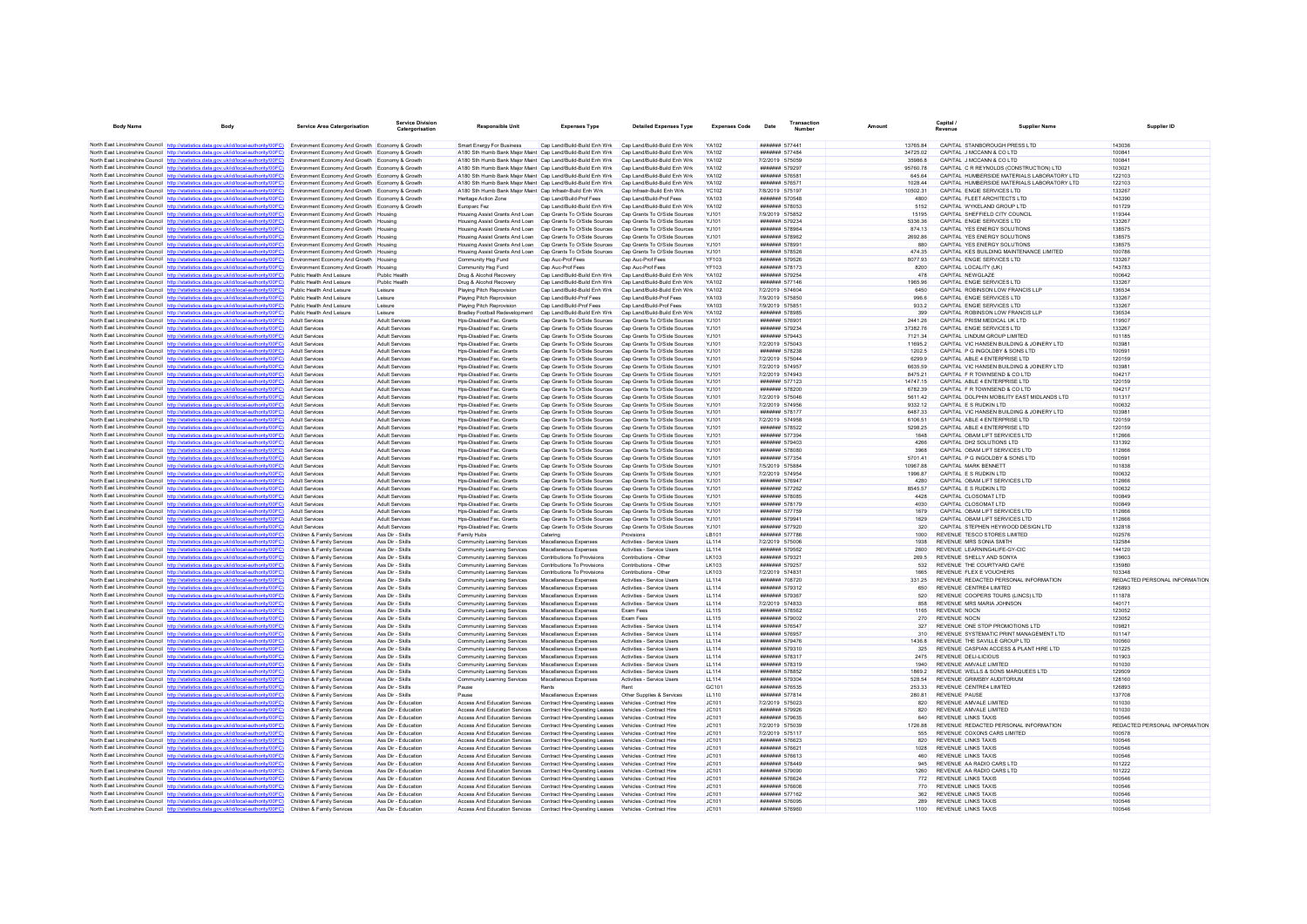| <b>Body Name</b>                         | Body                                                                                                                                                                             | <b>Service Area Catergorisation</b>                                                                | <b>Service Division</b><br>Catergorisation | <b>Responsible Uni</b>                                                                                                     | <b>Expenses Type</b>                                             | <b>Detailed Expenses Type</b>                                | <b>Expenses Code</b>         | Date                                    | <b>Number</b> |                    | Capital /<br><b>Payenue</b> | Supplier Name                                                                              |                  | Supplier ID                   |
|------------------------------------------|----------------------------------------------------------------------------------------------------------------------------------------------------------------------------------|----------------------------------------------------------------------------------------------------|--------------------------------------------|----------------------------------------------------------------------------------------------------------------------------|------------------------------------------------------------------|--------------------------------------------------------------|------------------------------|-----------------------------------------|---------------|--------------------|-----------------------------|--------------------------------------------------------------------------------------------|------------------|-------------------------------|
|                                          | North East Lincolnshire Council http://statistics.data.gov.uk/id/local-authority/00FC) Environment Economy And Growth Economy & Growth                                           |                                                                                                    |                                            | <b>Smart Energy For Business</b>                                                                                           | Cap Land/Build-Build Enh Wrk Cap Land/Build-Build Enh Wrk        |                                                              | YA102                        | ####### 577441                          |               | 13765 84           |                             | CAPITAL STANBOROUGH PRESS LTD                                                              | 143036           |                               |
|                                          | North East Lincolnshire Council http://statistics.data.gov.uk/id/local-authority/00FC)                                                                                           | Environment Economy And Growth Economy & Growth                                                    |                                            | A180 Sth Humb Bank Major Maint Can Land/Build-Build Enh Wrk                                                                |                                                                  | Can Land/Build-Build Enh Wrk                                 | YA102                        | <b><i><u>HHHHHHH</u></i></b> 577484     |               | 34725.02           |                             | CAPITAL J MCCANN & CO LTD                                                                  | 100841           |                               |
|                                          | North East Lincolnshire Council http://statistics.data.gov.uk/id/local-authority/00FC)                                                                                           | Environment Economy And Growth Economy & Growth                                                    |                                            | A180 Sth Humb Bank Major Maint Cap Land/Build-Build Enh Wrk                                                                |                                                                  | Cap Land/Build-Build Enh Wrk                                 | YA102                        | 7/2/2019 575059                         |               | 35986.8            |                             | CAPITAL J MCCANN & CO LTD                                                                  | 100841           |                               |
|                                          | North East Lincolnshire Council http://statistics.data.gov.uk/id/local-authority/00FC)                                                                                           | Environment Economy And Growth Economy & Growth                                                    |                                            | A180 Sth Humb Bank Maior Maint Cap Land/Build-Build Enh Wrk                                                                |                                                                  | Cap Land/Build-Build Enh Wrk                                 | YA102                        | ####### 579297                          |               | 95760.78           |                             | CAPITAL C R REYNOLDS (CONSTRUCTION) LTD                                                    | 103021           |                               |
|                                          | North East Lincolnshire Council http://statistics.data.gov.uk/id/local-authority/00FC)<br>North East Lincolnshire Council http://statistics.data.gov.uk/id/local-authority/00FC) | Environment Economy And Growth Economy & Growth                                                    |                                            | A180 Sth Humb Bank Major Maint Can Land/Build-Build Enh Wrk                                                                |                                                                  | Can Land/Build-Build Enh Wrk                                 | YA102<br><b>YA102</b>        | <b>#######</b> 57658*<br>####### 57657* |               | 645 64<br>1028.44  |                             | CAPITAL HUMBERSIDE MATERIALS LABORATORY LTD<br>CAPITAL HUMBERSIDE MATERIALS LABORATORY LTD | 122103           |                               |
|                                          | North East Lincolnshire Council http://statistics.data.gov.uk/id/local-authority/00FC)                                                                                           | Environment Economy And Growth Economy & Growth<br>Environment Economy And Growth Economy & Growth |                                            | A180 Sth Humb Bank Major Maint Cap Land/Build-Build Enh Wrk<br>A180 Sth Humb Bank Major Maint Cap Infrastr-Build Enh Wrk   |                                                                  | Cap Land/Build-Build Enh Wrk<br>Cap Infrastr-Build Enh Wrk   | <b>YC102</b>                 | 7/8/2019 575197                         |               | 10502.31           |                             | CAPITAL ENGIE SERVICES LTD                                                                 | 122103<br>133267 |                               |
|                                          | North East Lincolnshire Council http://statistics.data.gov.uk/id/local-authority/00FC)                                                                                           | Environment Economy And Growth Economy & Growth                                                    |                                            | Heritage Action Zone                                                                                                       | Cap Land/Build-Prof Fees                                         | Cap Land/Build-Prof Fees                                     | YA103                        | ####### 570548                          |               | 4800               |                             | CAPITAL FLEET ARCHITECTS LTD                                                               | 143390           |                               |
|                                          | North East Lincolnshire Council http://statistics.data.gov.uk/id/local-authority/00FC)                                                                                           | Environment Economy And Growth Economy & Growth                                                    |                                            | Europarc Fez                                                                                                               | Cap Land/Build-Build Enh Wrk                                     | Cap Land/Build-Build Enh Wrk                                 | YA102                        | ####### 578053                          |               | 5152               |                             | CAPITAL WYKELAND GROUP LTD                                                                 | 101729           |                               |
|                                          | North East Lincolnshire Council http://statistics.data.gov.uk/id/local-authority/00FC)                                                                                           | Environment Economy And Growth Housing                                                             |                                            | Housing Assist Grants And Loan Cap Grants To O/Side Sources                                                                |                                                                  | Cap Grants To O/Side Sources                                 | YJ101                        | 7/9/2019 575852                         |               | 15195              |                             | CAPITAL SHEFFIELD CITY COUNCIL                                                             | 119344           |                               |
|                                          | North East Lincolnshire Council http://statistics.data.gov.uk/id/local-authority/00FC)                                                                                           | Environment Economy And Growth Housing                                                             |                                            | Housing Assist Grants And Loan Cap Grants To O/Side Sources                                                                |                                                                  | Can Grants To O/Side Sources                                 | Y.1101                       | ####### 579234                          |               | 5336.36            |                             | CAPITAL ENGIE SERVICES LTD                                                                 | 133267           |                               |
|                                          | North East Lincolnshire Council http://statistics.data.gov.uk/id/local-authority/00FC)                                                                                           | Environment Economy And Growth Housing                                                             |                                            | Housing Assist Grants And Loan Cap Grants To O/Side Sources                                                                |                                                                  | Can Grants To O/Side Sources                                 | Y.1101                       | ####### 578964                          |               | 874 13             |                             | CAPITAL YES ENERGY SOLUTIONS                                                               | 138575           |                               |
|                                          | North East Lincolnshire Council http://statistics.data.gov.uk/id/local-authority/00FC)<br>North East Lincolnshire Council http://statistics.data.gov.uk/id/local-authority/00FC) | Environment Economy And Growth Housing<br>Environment Economy And Growth Housing                   |                                            | Housing Assist Grants And Loan Cap Grants To O/Side Sources<br>Housing Assist Grants And Loan Cap Grants To O/Side Sources |                                                                  | Cap Grants To O/Side Sources<br>Cap Grants To O/Side Sources | YJ101<br>YJ101               | ####### 578962<br>####### 578991        |               | 2692.86<br>880     |                             | CAPITAL YES ENERGY SOLUTIONS<br>CAPITAL YES ENERGY SOLUTIONS                               | 138575<br>138575 |                               |
|                                          | North East Lincolnshire Council http://statistics.data.gov.uk/id/local-authority/00FC)                                                                                           | Environment Economy And Growth Housing                                                             |                                            | Housing Assist Grants And Loan Cap Grants To O/Side Sources                                                                |                                                                  | Cap Grants To O/Side Sources                                 | Y.1101                       | <b>####### 578526</b>                   |               | 474 35             |                             | CAPITAL KES BUILDING MAINTENANCE LIMITED                                                   | 100786           |                               |
|                                          | North East Lincolnshire Council http://statistics.data.gov.uk/id/local-authority/00FC)                                                                                           | Environment Economy And Growth Housing                                                             |                                            | Community Hsg Fund                                                                                                         | Cap Auc-Prof Fees                                                | Cap Auc-Prof Fees                                            | YF103                        | ####### 579526                          |               | 8077.93            |                             | CAPITAL ENGIE SERVICES LTD                                                                 | 133267           |                               |
|                                          | North East Lincolnshire Council http://statistics.data.gov.uk/id/local-authority/00FC)                                                                                           | Environment Economy And Growth Housing                                                             |                                            | Community Hsg Fund                                                                                                         | Cap Auc-Prof Fees                                                | Cap Auc-Prof Fees                                            | <b>YF103</b>                 | ####### 578173                          |               | 8200               |                             | CAPITAL LOCALITY (UK)                                                                      | 143783           |                               |
|                                          | North East Lincolnshire Council http://statistics.data.gov.uk/id/local-authority/00FC)                                                                                           | Public Health And Leisure                                                                          | Public Health                              | Drug & Alcohol Recovery                                                                                                    | Cap Land/Build-Build Enh Wrk                                     | Cap Land/Build-Build Enh Wrk                                 | <b>YA102</b>                 | ####### 579254                          |               | 478                |                             | CAPITAL NEWGLAZE                                                                           | 100642           |                               |
|                                          | North East Lincolnshire Council http://statistics.data.gov.uk/id/local-authority/00FC)                                                                                           | Public Health And Leisure                                                                          | Public Health                              | Drug & Alcohol Recovery                                                                                                    | Cap Land/Build-Build Enh Wrk                                     | Cap Land/Build-Build Enh Wrk                                 | <b>YA102</b>                 | <b><i><u>#######</u> 577146</i></b>     |               | 1965 96            |                             | CAPITAL ENGIE SERVICES LTD                                                                 | 133267           |                               |
|                                          | North East Lincolnshire Council http://statistics.data.gov.uk/id/local-authority/00FC)<br>North East Lincolnshire Council http://statistics.data.gov.uk/id/local-authority/00FC) | Public Health And Leisure                                                                          | Leisure                                    | Playing Pitch Reprovision<br>Plaving Pitch Reprovision                                                                     | Cap Land/Build-Build Enh Wrk<br>Cap Land/Build-Prof Fees         | Cap Land/Build-Build Enh Wrk<br>Cap Land/Build-Prof Fees     | <b>YA102</b>                 | 7/2/2019 574604<br>7/9/2019 575850      |               | 6450<br>996.6      |                             | CAPITAL ROBINSON LOW FRANCIS LLF<br>CAPITAL ENGIE SERVICES LTD                             | 136534<br>133267 |                               |
|                                          | North East Lincolnshire Council http://statistics.data.gov.uk/id/local-authority/00FC)                                                                                           | Public Health And Leisure<br>Public Health And Leisure                                             | Leisure<br>Leisure                         | Playing Pitch Reprovision                                                                                                  | Cap Land/Build-Prof Fees                                         | Cap Land/Build-Prof Fees                                     | YA103<br>YA103               | 7/9/2019 575851                         |               | 933.2              |                             | CAPITAL ENGIE SERVICES LTD                                                                 | 133267           |                               |
|                                          | North East Lincolnshire Council http://statistics.data.gov.uk/id/local-authority/00FC)                                                                                           | Public Health And Leisure                                                                          | Leisure                                    | Bradley Football Redevelopment                                                                                             | Cap Land/Build-Build Enh Wrk                                     | Cap Land/Build-Build Enh Wrk                                 | <b>YA102</b>                 | ####### 578985                          |               | 399                |                             | CAPITAL ROBINSON LOW FRANCIS LLP                                                           | 136534           |                               |
|                                          | North East Lincolnshire Council http://statistics.data.gov.uk/id/local-authority/00FC)                                                                                           | Adult Services                                                                                     | <b>Adult Services</b>                      | Hos-Disabled Fac. Grants                                                                                                   | Cap Grants To O/Side Sources                                     | Cap Grants To O/Side Sources                                 | Y.1101                       | ####### 576901                          |               | 244126             |                             | CAPITAL PRISM MEDICAL UK LTD                                                               | 119507           |                               |
|                                          | North East Lincolnshire Council http://statistics.data.gov.uk/id/local-authority/00FC)                                                                                           | Adult Services                                                                                     | Adult Services                             | Hos-Disabled Fac Grants                                                                                                    | Can Grants To O/Side Sources                                     | Can Grants To O/Side Sources                                 | Y.1101                       | ####### 579234                          |               | 3738276            |                             | CAPITAL ENGIF SERVICES LTD.                                                                | 133267           |                               |
|                                          | North East Lincolnshire Council http://statistics.data.gov.uk/id/local-authority/00FC)                                                                                           | <b>Adult Services</b>                                                                              | Adult Services                             | Hos-Disabled Fac. Grants                                                                                                   | Cap Grants To O/Side Sources                                     | Cap Grants To O/Side Sources                                 | Y.1101                       | <b>#######</b> 579443                   |               | 7121.34            |                             | CAPITAL LINDUM GROUP LIMITED                                                               | 101185           |                               |
|                                          | North East Lincolnshire Council http://statistics.data.gov.uk/id/local-authority/00FC)                                                                                           | Adult Services                                                                                     | Adult Services                             | Hos-Disabled Fac. Grants                                                                                                   | Cap Grants To O/Side Sources                                     | Cap Grants To O/Side Sources                                 | YJ101                        | 7/2/2019 575043                         |               | 11695.2            |                             | CAPITAL VIC HANSEN BUILDING & JOINERY LTD                                                  | 103981           |                               |
|                                          | North East Lincolnshire Council http://statistics.data.gov.uk/id/local-authority/00FC)                                                                                           | Adult Services                                                                                     | <b>Adult Services</b>                      | Hos-Disabled Fac Grants                                                                                                    | Can Grants To O/Side Sources                                     | Can Grants To O/Side Sources                                 | Y.1101                       | <b>#######</b> 578238                   |               | 1202.5             |                             | CAPITAL P G INGOLDBY & SONS LTD.                                                           | 100591           |                               |
|                                          | North East Lincolnshire Council http://statistics.data.gov.uk/id/local-authority/00FC)                                                                                           | Adult Services                                                                                     | Adult Services                             | Hps-Disabled Fac. Grants                                                                                                   | Cap Grants To O/Side Sources                                     | Cap Grants To O/Side Sources                                 | YJ101                        | 7/2/2019 575044                         |               | 6299.9             |                             | CAPITAL ABLE 4 ENTERPRISE LTD                                                              | 120159           |                               |
|                                          | North East Lincolnshire Council http://statistics.data.gov.uk/id/local-authority/00FC)<br>North East Lincolnshire Council http://statistics.data.gov.uk/id/local-authority/00FC) | Adult Services<br>Adult Services                                                                   | Adult Services<br><b>Adult Services</b>    | Hos-Disabled Fac. Grants<br>Hos-Disabled Fac. Grants                                                                       | Cap Grants To O/Side Sources<br>Cap Grants To O/Side Sources     | Cap Grants To O/Side Sources<br>Cap Grants To O/Side Sources | YJ101<br>YJ101               | 7/2/2019 574957<br>7/2/2019 574943      |               | 6635.59<br>8475.21 |                             | CAPITAL VIC HANSEN BUILDING & JOINERY LTD<br>CAPITAL F R TOWNSEND & CO LTD                 | 10398<br>104217  |                               |
|                                          | North East Lincolnshire Council http://statistics.data.gov.uk/id/local-authority/00FC)                                                                                           | Adult Services                                                                                     | Adult Services                             | Hos-Disabled Fac. Grants                                                                                                   | Cap Grants To O/Side Sources                                     | Cap Grants To O/Side Sources                                 | Y.1101                       | <b>#######</b> 577123                   |               | 14747 15           |                             | CAPITAL ABLE 4 ENTERPRISE LTD                                                              | 120159           |                               |
|                                          | North East Lincolnshire Council http://statistics.data.gov.uk/id/local-authority/00FC)                                                                                           | <b>Adult Services</b>                                                                              | Adult Services                             | Hps-Disabled Fac. Grants                                                                                                   | Cap Grants To O/Side Sources                                     | Cap Grants To O/Side Sources                                 | YJ101                        | ####### 578200                          |               | 6782.39            |                             | CAPITAL F R TOWNSEND & CO LTD                                                              | 104217           |                               |
|                                          | North East Lincolnshire Council http://statistics.data.gov.uk/id/local-authority/00FC)                                                                                           | <b>Adult Services</b>                                                                              | Adult Services                             | Hps-Disabled Fac. Grants                                                                                                   | Cap Grants To O/Side Sources                                     | Cap Grants To O/Side Sources                                 | YJ101                        | 7/2/2019 575046                         |               | 5611.42            |                             | CAPITAL DOLPHIN MOBILITY EAST MIDLANDS LTD                                                 | 101317           |                               |
|                                          | North East Lincolnshire Council http://statistics.data.gov.uk/id/local-authority/00FC)                                                                                           | Adult Services                                                                                     | <b>Adult Services</b>                      | Hos-Disabled Fac. Grants                                                                                                   | Cap Grants To O/Side Sources                                     | Cap Grants To O/Side Sources                                 | YJ101                        | 7/2/2019 574956                         |               | 9332.12            |                             | CAPITAL E S RUDKIN LTD                                                                     | 100632           |                               |
|                                          | North East Lincolnshire Council http://statistics.data.gov.uk/id/local-authority/00FC)                                                                                           | Adult Services                                                                                     | <b>Adult Services</b>                      | Hps-Disabled Fac. Grants                                                                                                   | Cap Grants To O/Side Sources                                     | Cap Grants To O/Side Sources                                 | YJ101                        | ####### 578177                          |               | 6487.33            |                             | CAPITAL VIC HANSEN BUILDING & JOINERY LTD                                                  | 103981           |                               |
|                                          | North East Lincolnshire Council http://statistics.data.gov.uk/id/local-authority/00FC)                                                                                           | Adult Services                                                                                     | Adult Services                             | Hos-Disabled Fac. Grants                                                                                                   | Cap Grants To O/Side Sources                                     | Cap Grants To O/Side Sources                                 | Y.1101                       | 7/2/2019 574958                         |               | 6106.51            |                             | CAPITAL ABLE 4 ENTERPRISE LTD                                                              | 120159           |                               |
|                                          | North East Lincolnshire Council http://statistics.data.gov.uk/id/local-authority/00FC)                                                                                           | Adult Services                                                                                     | <b>Adult Services</b>                      | Hos-Disabled Fac Grants                                                                                                    | Can Grants To O/Side Sources                                     | Can Grants To O/Side Sources                                 | Y.1101                       | <b>####### 578522</b>                   |               | 5298.25            |                             | CAPITAL ABLE 4 ENTERPRISE LTD                                                              | 120159           |                               |
|                                          | North East Lincolnshire Council http://statistics.data.gov.uk/id/local-authority/00FC)                                                                                           | <b>Adult Services</b>                                                                              | Adult Services                             | Hos-Disabled Fac. Grants                                                                                                   | Cap Grants To O/Side Sources                                     | Cap Grants To O/Side Sources                                 | YJ101                        | <b>#######</b> 577394                   |               | 1648               |                             | CAPITAL OBAM LIFT SERVICES LTD                                                             | 112666           |                               |
|                                          | North East Lincolnshire Council http://statistics.data.gov.uk/id/local-authority/00FC)<br>North East Lincolnshire Council http://statistics.data.gov.uk/id/local-authority/00FC) | Adult Services<br>Adult Services                                                                   | Adult Services<br>Adult Services           | Hos-Disabled Fac. Grants<br>Hos-Disabled Fac. Grants                                                                       | Cap Grants To O/Side Sources<br>Cap Grants To O/Side Sources     | Cap Grants To O/Side Sources<br>Cap Grants To O/Side Sources | YJ101<br>YJ101               | ####### 579403<br>####### 578080        |               | 4266<br>3968       |                             | CAPITAL DH2 SOLUTIONS LTD<br>CAPITAL OBAM LIFT SERVICES LTD                                | 131392<br>112666 |                               |
|                                          | North East Lincolnshire Council http://statistics.data.gov.uk/id/local-authority/00FC)                                                                                           | Adult Services                                                                                     | <b>Adult Services</b>                      | Hos-Disabled Fac. Grants                                                                                                   | Can Grants To O/Side Sources                                     | Can Grants To O/Side Sources                                 | Y.1101                       | <b>#######</b> 577354                   |               | 570141             |                             | CAPITAL P G INGOLDBY & SONS LTD                                                            | 100591           |                               |
|                                          | North East Lincolnshire Council http://statistics.data.gov.uk/id/local-authority/00FC)                                                                                           | <b>Adult Services</b>                                                                              | Adult Services                             | Hps-Disabled Fac. Grants                                                                                                   | Cap Grants To O/Side Sources                                     | Cap Grants To O/Side Sources                                 | YJ101                        | 7/5/2019 575884                         |               | 10967.88           |                             | CAPITAL MARK BENNETT                                                                       | 101838           |                               |
|                                          | North East Lincolnshire Council http://statistics.data.gov.uk/id/local-authority/00FC)                                                                                           | Adult Services                                                                                     | Adult Services                             | Hos-Disabled Fac. Grants                                                                                                   | Cap Grants To O/Side Sources                                     | Cap Grants To O/Side Sources                                 | YJ101                        | 7/2/2019 574954                         |               | 1996.87            |                             | CAPITAL E S RUDKIN LTD                                                                     | 100632           |                               |
|                                          | North East Lincolnshire Council http://statistics.data.gov.uk/id/local-authority/00FC)                                                                                           | Adult Services                                                                                     | Adult Services                             | Hos-Disabled Fac. Grants                                                                                                   | Cap Grants To O/Side Sources                                     | Cap Grants To O/Side Sources                                 | Y.1101                       | <b>#######</b> 576947                   |               | 4280               |                             | CAPITAL OBAM LIFT SERVICES LTD                                                             | 112666           |                               |
|                                          | North East Lincolnshire Council http://statistics.data.gov.uk/id/local-authority/00FC)                                                                                           | Adult Services                                                                                     | Adult Services                             | Hps-Disabled Fac. Grants                                                                                                   | Cap Grants To O/Side Sources                                     | Cap Grants To O/Side Sources                                 | YJ101                        | ####### 577262                          |               | 8545.57            |                             | CAPITAL E S RUDKIN LTD                                                                     | 100632           |                               |
|                                          | North East Lincolnshire Council http://statistics.data.gov.uk/id/local-authority/00FC)                                                                                           | Adult Services                                                                                     | Adult Services                             | Hps-Disabled Fac. Grants                                                                                                   | Cap Grants To O/Side Sources                                     | Cap Grants To O/Side Sources                                 | YJ101                        | ####### 578085                          |               | 4428               |                             | CAPITAL CLOSOMAT LTD                                                                       | 100849           |                               |
|                                          | North East Lincolnshire Council http://statistics.data.gov.uk/id/local-authority/00FC)                                                                                           | Adult Services                                                                                     | <b>Adult Services</b>                      | Hos-Disabled Fac. Grants                                                                                                   | Cap Grants To O/Side Sources                                     | Cap Grants To O/Side Sources                                 | <b>YJ101</b>                 | ####### 578179                          |               | 4030               |                             | CAPITAL CLOSOMAT LTD                                                                       | 100849           |                               |
|                                          | North East Lincolnshire Council http://statistics.data.gov.uk/id/local-authority/00FC)<br>North East Lincolnshire Council http://statistics.data.gov.uk/id/local-authority/00FC) | <b>Adult Services</b><br>Adult Services                                                            | <b>Adult Services</b><br>Adult Services    | Hos-Disabled Fac. Grants<br>Hos-Disabled Fac. Grants                                                                       | Cap Grants To O/Side Sources<br>Cap Grants To O/Side Sources     | Cap Grants To O/Side Sources<br>Cap Grants To O/Side Sources | Y.1101<br>YJ101              | <b>#######</b> 577759<br>####### 57994  |               | 1679<br>1629       |                             | CAPITAL OBAM LIFT SERVICES LTD<br>CAPITAL OBAM LIFT SERVICES LTD                           | 112666<br>112666 |                               |
|                                          | North East Lincolnshire Council http://statistics.data.gov.uk/id/local-authority/00FC)                                                                                           | <b>Adult Services</b>                                                                              | Adult Services                             | Hos-Disabled Fac. Grants                                                                                                   | Cap Grants To O/Side Sources                                     | Cap Grants To O/Side Sources                                 | Y.1101                       | ####### 577920                          |               | 320                |                             | CAPITAL STEPHEN HEYWOOD DESIGN LTD                                                         | 132818           |                               |
|                                          | North East Lincolnshire Council http://statistics.data.gov.uk/id/local-authority/00FC)                                                                                           | Children & Family Services                                                                         | Ass Dir - Skills                           | Family Hubs                                                                                                                | Catering                                                         | Provisions                                                   | I R101                       | <b>###### 577786</b>                    |               | 1000               |                             | REVENUE TESCO STORES LIMITED                                                               | 102576           |                               |
|                                          | North East Lincolnshire Council http://statistics.data.gov.uk/id/local-authority/00FC)                                                                                           | Children & Family Services                                                                         | Ass Dir - Skills                           | Community Learning Services                                                                                                | Miscellaneous Expenser                                           | Activities - Service Users                                   | <b>LL114</b>                 | 7/2/2019 575006                         |               | 1938               |                             | REVENUE MRS SONIA SMITH                                                                    | 132584           |                               |
|                                          | North East Lincolnshire Council http://statistics.data.gov.uk/id/local-authority/00FC)                                                                                           | Children & Family Services                                                                         | Ass Dir - Skills                           | Community Learning Services                                                                                                | Miscellaneous Expenses                                           | Activities - Service Users                                   | <b>LL114</b>                 | ####### 579562                          |               | 2600               |                             | REVENUE LEARNING4LIFE-GY-CIC                                                               | 144120           |                               |
|                                          | North East Lincolnshire Council http://statistics.data.gov.uk/id/local-authority/00FC)                                                                                           | Children & Family Services                                                                         | Ass Dir - Skills                           | Community Learning Services                                                                                                | Contributions To Provisions                                      | Contributions - Other                                        | I K103                       | ####### 579321                          |               | 269.5              |                             | REVENUE SHELLY AND SONYA                                                                   | 139603           |                               |
|                                          | North East Lincolnshire Council http://statistics.data.gov.uk/id/local-authority/00FC)                                                                                           | Children & Family Services                                                                         | Ass Dir - Skills                           | Community Learning Services                                                                                                | Contributions To Provisions                                      | Contributions - Other                                        | LK103                        | ####### 579257                          |               | 532                |                             | REVENUE THE COURTYARD CAFE                                                                 | 135980           |                               |
|                                          | North East Lincolnshire Council http://statistics.data.gov.uk/id/local-authority/00FC)                                                                                           | Children & Family Services                                                                         | Ass Dir - Skills                           | Community Learning Services                                                                                                | Contributions To Provisions                                      | Contributions - Other                                        | LK103                        | 7/2/2019 574831                         |               | 1665               |                             | REVENUE FLEX E VOUCHERS                                                                    | 103348           |                               |
|                                          | North East Lincolnshire Council http://statistics.data.gov.uk/id/local-authority/00FC)                                                                                           | Children & Family Services                                                                         | Ass Dir - Skills                           | Community Learning Services                                                                                                | Miscellaneous Expenses                                           | Activities - Service Users                                   | <b>LL114</b>                 | ####### 708720<br>####### 579312        |               | 331.25<br>650      |                             | REVENUE REDACTED PERSONAL INFORMATION                                                      | 126893           | REDACTED PERSONAL INFORMATION |
|                                          | North East Lincolnshire Council http://statistics.data.gov.uk/id/local-authority/00FC)<br>North East Lincolnshire Council http://statistics.data.gov.uk/id/local-authority/00FC) | Children & Family Services<br>Children & Family Services                                           | Ass Dir - Skills<br>Ass Dir - Skills       | Community Learning Services<br>Community Learning Services                                                                 | Miscellaneous Expenses<br>Miscellaneous Expenses                 | Activities - Service Users<br>Activities - Service Users     | <b>LL114</b><br><b>LL114</b> | ####### 579367                          |               | 520                |                             | REVENUE CENTRE4 LIMITED<br>REVENUE COOPERS TOURS (LINCS) LTD                               | 111878           |                               |
|                                          | North East Lincolnshire Council http://statistics.data.gov.uk/id/local-authority/00FC)                                                                                           | Children & Family Services                                                                         | Ass Dir - Skills                           | Community Learning Services                                                                                                | Miscellaneous Expenses                                           | Activities - Service Users                                   | LL114                        | 7/2/2019 574833                         |               | 858                |                             | REVENUE MRS MARIA JOHNSON                                                                  | 140171           |                               |
|                                          | North East Lincolnshire Council http://statistics.data.gov.uk/id/local-authority/00FC)                                                                                           | Children & Family Services                                                                         | Ass Dir - Skills                           | Community Learning Services                                                                                                | Miscellaneous Expenses                                           | Exam Fees                                                    | <b>LL115</b>                 | ####### 578562                          |               | 1165               |                             | <b>REVENUE NOCN</b>                                                                        | 123052           |                               |
|                                          | North East Lincolnshire Council http://statistics.data.gov.uk/id/local-authority/00FC)                                                                                           | Children & Family Services                                                                         | Ass Dir - Skills                           | Community Learning Services                                                                                                | Miscellaneous Expenser                                           | Exam Fees                                                    | <b>LL115</b>                 | ####### 579002                          |               | 270                |                             | <b>REVENUE NOCH</b>                                                                        | 123052           |                               |
|                                          | North East Lincolnshire Council http://statistics.data.gov.uk/id/local-authority/00FC)                                                                                           | Children & Family Services                                                                         | Ass Dir - Skills                           | Community Learning Services                                                                                                | Miscellaneous Expenses                                           | Activities - Service Users                                   | <b>LL114</b>                 | ####### 576547                          |               | 327                |                             | REVENUE ONE STOP PROMOTIONS LTD                                                            | 109821           |                               |
|                                          | North East Lincolnshire Council http://statistics.data.gov.uk/id/local-authority/00FC)                                                                                           | Children & Family Services                                                                         | Ass Dir - Skills                           | Community Learning Services                                                                                                | Miscellaneous Expenses                                           | Activities - Service Users                                   | 11114                        | <b>#######</b> 576957                   |               | 310                |                             | REVENUE SYSTEMATIC PRINT MANAGEMENT LTD.                                                   | 101147           |                               |
|                                          | North East Lincolnshire Council http://statistics.data.gov.uk/id/local-authority/00FC)                                                                                           | Children & Family Services                                                                         | Ass Dir - Skills                           | Community Learning Services                                                                                                | Miscellaneous Expenses                                           | Activities - Service Users                                   | <b>LL114</b>                 | <b>#######</b> 579476                   |               | 1436.8             |                             | REVENUE THE SAVILLE GROUP LTD                                                              | 100560           |                               |
|                                          | North East Lincolnshire Council http://statistics.data.gov.uk/id/local-authority/00FC)                                                                                           | Children & Family Services                                                                         | Ass Dir - Skills                           | Community Learning Services                                                                                                | Miscellaneous Expenser                                           | Activities - Service Users                                   | <b>LL114</b>                 | ####### 579310                          |               | 325                |                             | REVENUE CASPIAN ACCESS & PLANT HIRE LTD                                                    | 101225           |                               |
|                                          | North East Lincolnshire Council http://statistics.data.gov.uk/id/local-authority/00FC)<br>North East Lincolnshire Council http://statistics.data.gov.uk/id/local-authority/00FC) | Children & Family Services<br>Children & Family Services                                           | Ass Dir - Skills                           | Community Learning Services                                                                                                | Miscellaneous Expenses                                           | Activities - Service Users<br>Activities - Service Users     | 11114                        | <b>#######</b> 578317<br>####### 578319 |               | 2475<br>1940       |                             | REVENUE DELLI ICIOUS<br>REVENUE AMVALE LIMITED                                             | 101903<br>101030 |                               |
|                                          | North East Lincolnshire Council http://statistics.data.gov.uk/id/local-authority/00FC)                                                                                           | Children & Family Services                                                                         | Ass Dir - Skills<br>Ass Dir - Skills       | Community Learning Services<br>Community Learning Services                                                                 | Miscellaneous Expenses<br>Miscellaneous Expenses                 | Activities - Service Users                                   | <b>LL114</b><br><b>LL114</b> | ####### 578852                          |               | 1869.2             |                             | REVENUE WELLS & SONS MARQUEES LTD                                                          | 129509           |                               |
|                                          | North East Lincolnshire Council http://statistics.data.gov.uk/id/local-authority/00FC)                                                                                           | Children & Family Services                                                                         | Ass Dir - Skills                           | Community Learning Services                                                                                                | Miscellaneous Expenses                                           | Activities - Service Users                                   | <b>LL114</b>                 | ####### 579304                          |               | 528.54             |                             | REVENUE GRIMSBY AUDITORIUM                                                                 | 128160           |                               |
|                                          | North East Lincolnshire Council http://statistics.data.gov.uk/id/local-authority/00FC)                                                                                           | Children & Family Services                                                                         | Ass Dir - Skills                           | Pause                                                                                                                      | Rents                                                            | Rent                                                         | GC <sub>101</sub>            | ####### 576535                          |               | 253.33             |                             | REVENUE CENTRE4 LIMITED                                                                    | 126893           |                               |
|                                          | North East Lincolnshire Council http://statistics.data.gov.uk/id/local-authority/00FC)                                                                                           | Children & Family Services                                                                         | Ass Dir - Skills                           | Pause                                                                                                                      | Miscellaneous Expenses                                           | Other Supplies & Services                                    | <b>LL110</b>                 | ####### 577814                          |               | 280.81             |                             | <b>REVENUE PAUSE</b>                                                                       | 137708           |                               |
|                                          | North East Lincolnshire Council http://statistics.data.gov.uk/id/local-authority/00FC)                                                                                           | Children & Family Services                                                                         | Ass Dir - Education                        | Access And Education Services                                                                                              | Contract Hire-Operating Leases                                   | Vehicles - Contract Hire                                     | JC101                        | 7/2/2019 575023                         |               | 820                |                             | REVENUE AMVALE LIMITED                                                                     | 101030           |                               |
|                                          | North East Lincolnshire Council http://statistics.data.gov.uk/id/local-authority/00FC)                                                                                           | Children & Family Services                                                                         | Ass Dir - Education                        | Access And Education Services                                                                                              | Contract Hire-Operating Leases                                   | Vehicles - Contract Hire                                     | JC101                        | ####### 579926                          |               | 820                |                             | REVENUE AMVALE LIMITED                                                                     | 101030           |                               |
|                                          | North East Lincolnshire Council http://statistics.data.gov.uk/id/local-authority/00FC)                                                                                           | Children & Family Services                                                                         | Ass Dir - Education                        | Access And Education Services                                                                                              | Contract Hire-Operating Leases                                   | Vehicles - Contract Hire                                     | JC101                        | ####### 579635                          |               | 640                |                             | <b>REVENUE LINKS TAXIS</b>                                                                 | 100546           |                               |
|                                          | North East Lincolnshire Council http://statistics.data.gov.uk/id/local-authority/00FC)                                                                                           | Children & Family Services                                                                         | Ass Dir - Education                        | Access And Education Services                                                                                              | Contract Hire-Operating Leases                                   | Vehicles - Contract Hire                                     | JC101                        | 7/2/2019 575039                         |               | 1726 88            |                             | REVENUE REDACTED PERSONAL INFORMATION                                                      |                  | REDACTED PERSONAL INFORMATION |
|                                          | North East Lincolnshire Council http://statistics.data.gov.uk/id/local-authority/00FC)<br>North East Lincolnshire Council http://statistics.data.gov.uk/id/local-authority/00FC) | Children & Family Services<br>Children & Family Services                                           | Ass Dir - Education<br>Ass Dir - Education | Access And Education Services<br>Access And Education Services                                                             | Contract Hire-Operation Leases<br>Contract Hire-Operating Leases | Vehicles - Contract Hire<br>Vehicles - Contract Hire         | JCA01<br>JC101               | 7/2/2019 575117<br>####### 576623       |               | 555<br>820         |                             | REVENUE COXONS CARS LIMITED<br><b>REVENUE LINKS TAXIS</b>                                  | 100578<br>100546 |                               |
|                                          | North East Lincolnshire Council http://statistics.data.gov.uk/id/local-authority/00FC)                                                                                           | Children & Family Services                                                                         | Ass Dir - Education                        | Access And Education Services                                                                                              | Contract Hire-Operating Leases                                   | Vehicles - Contract Hire                                     | JC101                        | ####### 576621                          |               | 1028               |                             | <b>REVENUE LINKS TAXIS</b>                                                                 | 100546           |                               |
|                                          | North East Lincolnshire Council http://statistics.data.gov.uk/id/local-authority/00FC)                                                                                           | Children & Family Services                                                                         | Ass Dir - Education                        | Access And Education Services                                                                                              | Contract Hire-Operating Leases                                   | Vehicles - Contract Hire                                     | JC101                        | ####### 576613                          |               | 460                |                             | <b>REVENUE LINKS TAXIS</b>                                                                 | 100546           |                               |
|                                          | North East Lincolnshire Council http://statistics.data.gov.uk/id/local-authority/00FC                                                                                            | Children & Family Services                                                                         | Ass Dir - Education                        | Access And Education Services                                                                                              | Contract Hire-Operating Leases                                   | Vehicles - Contract Hire                                     | JC101                        | <b><i><u>HHHHHHH</u> 578449</i></b>     |               | 945                |                             | REVENUE AA RADIO CARS LTD                                                                  | 101222           |                               |
|                                          | North East Lincolnshire Council http://statistics.data.gov.uk/id/local-authority/00FC)                                                                                           | Children & Family Services                                                                         | Ass Dir - Education                        | Access And Education Services                                                                                              | Contract Hire-Operating Leases                                   | Vehicles - Contract Hire                                     | JC101                        | ####### 579090                          |               | 1260               |                             | REVENUE AA RADIO CARS LTD                                                                  | 101222           |                               |
|                                          | North East Lincolnshire Council http://statistics.data.gov.uk/id/local-authority/00FC)                                                                                           | Children & Family Services                                                                         | Ass Dir - Education                        | Access And Education Services                                                                                              | Contract Hire-Operating Leases                                   | Vehicles - Contract Hire                                     | JC101                        | ####### 576624                          |               | 772                |                             | <b>REVENUE LINKS TAXIS</b>                                                                 | 100546           |                               |
|                                          | North East Lincolnshire Council http://statistics.data.gov.uk/id/local-authority/00EC)                                                                                           | Children & Family Services                                                                         | Ass Dir - Education                        | Access And Education Services                                                                                              | Contract Hire-Operating Leases                                   | Vehicles - Contract Hire                                     | JC101                        | <b>#######</b> 576608                   |               | 770                |                             | <b>REVENUE LINKS TAXIS</b>                                                                 | 100546           |                               |
|                                          | North East Lincolnshire Council http://statistics.data.gov.uk/id/local-authority/00FC)                                                                                           | Children & Family Services                                                                         | Ass Dir - Education                        | Access And Education Services                                                                                              | Contract Hire-Operating Leases                                   | Vehicles - Contract Hire                                     | JC101                        | ####### 577162                          |               | 362                |                             | <b>REVENUE LINKS TAXIS</b>                                                                 | 100546           |                               |
|                                          | North East Lincolnshire Council http://statistics.data.gov.uk/id/local-authority/00FC)                                                                                           | Children & Family Services                                                                         | Ass Dir - Education                        | Access And Education Services                                                                                              | Contract Hire-Operating Leases Vehicles - Contract Hire          |                                                              | JC101                        | ####### 576095                          |               | 289                |                             | <b>REVENUE LINKS TAXIS</b>                                                                 | 100546           |                               |
| North East Lincolnshire Council http://s | tics.data.gov.uk/id/local-aut                                                                                                                                                    | Children & Family Services                                                                         | Ass Dir - Education                        | Access And Education Services                                                                                              | Contract Hire-Operating Leases                                   | Vehicles - Contract Hire                                     | JC101                        | ####### 576960                          |               | 1100               |                             | <b>REVENUE LINKS TAXIS</b>                                                                 | 100546           |                               |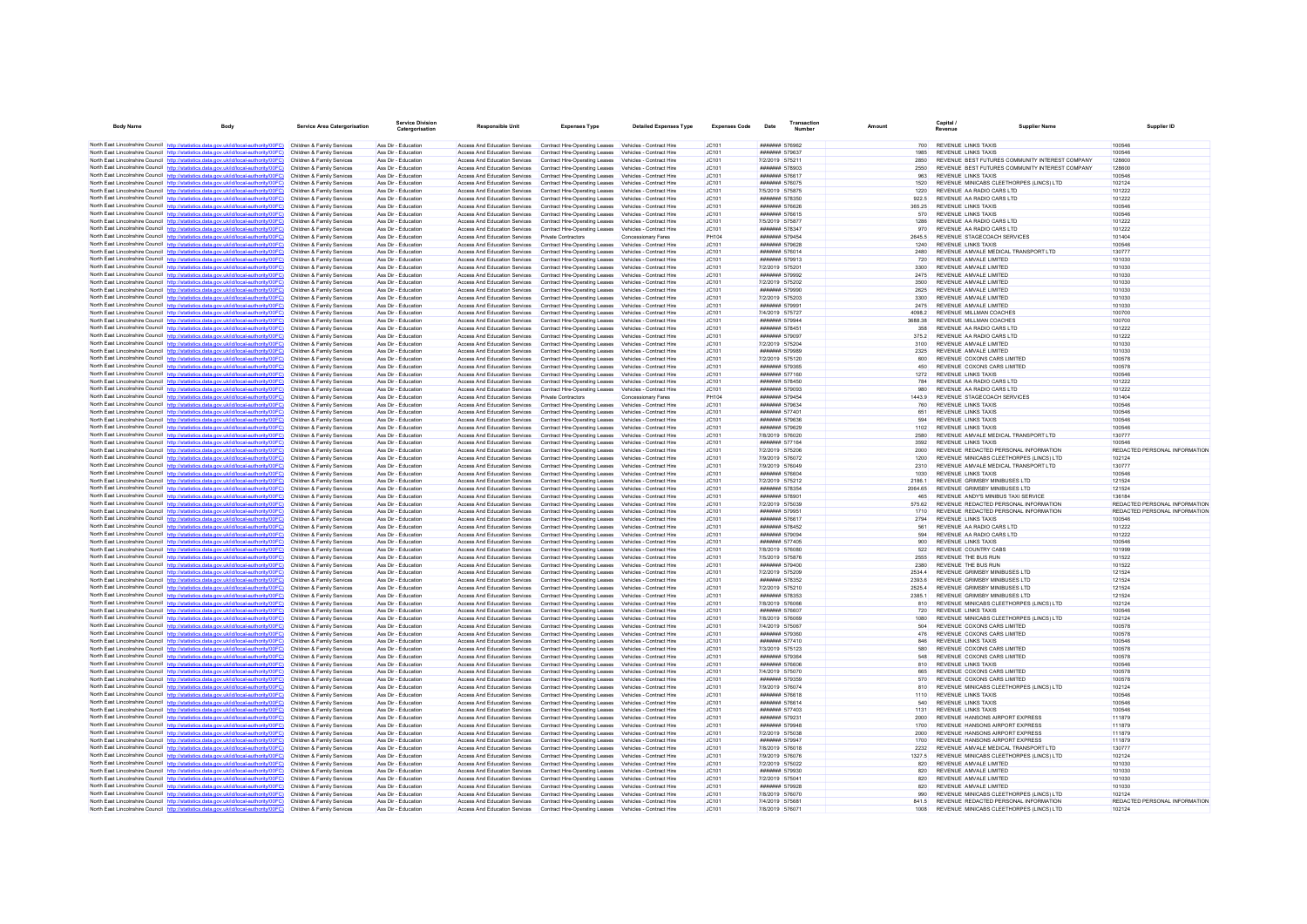| <b>Body Name</b> | <b>Body</b>                                                                                                                                                                                                 | Service Area Catergorisation                             | <b>Service Division</b><br>Catergorisation | Responsible Unit                                                      | <b>Expenses Type</b>                                                                                                                               | <b>Detailed Expenses Type</b>                        | <b>Expenses Code</b>  | Date                                     | <b>Transaction</b><br>Number |                 |             | Capital /<br>Revenue                                                    | <b>Supplier Name</b>                            | Supplier ID                             |
|------------------|-------------------------------------------------------------------------------------------------------------------------------------------------------------------------------------------------------------|----------------------------------------------------------|--------------------------------------------|-----------------------------------------------------------------------|----------------------------------------------------------------------------------------------------------------------------------------------------|------------------------------------------------------|-----------------------|------------------------------------------|------------------------------|-----------------|-------------|-------------------------------------------------------------------------|-------------------------------------------------|-----------------------------------------|
|                  |                                                                                                                                                                                                             |                                                          |                                            |                                                                       |                                                                                                                                                    |                                                      |                       | ####### 576962                           |                              |                 |             |                                                                         |                                                 |                                         |
|                  | North East Lincolnshire Council http://statistics.data.gov.uk/id/local-authority/00FC) Children & Family Services<br>North East Lincolnshire Council http://statistics.data.gov.uk/id/local-authority/00FC) | Children & Family Services                               | Ass Dir - Education<br>Ass Dir - Education | Access And Education Services                                         | Access And Education Services  Contract Hire-Operating Leases  Vehicles - Contract Hire<br>Contract Hire-Operating Leases Vehicles - Contract Hire |                                                      | IC101<br>IC.101       | <b>#######</b> 579637                    |                              |                 | 700<br>1985 | REVENUE LINKS TAXIS<br><b>REVENUE LINKS TAXIS</b>                       |                                                 | 100546<br>100546                        |
|                  | North East Lincolnshire Council http://statistics.data.gov.uk/id/local-authority/00FC)                                                                                                                      | Children & Family Services                               | Ass Dir - Education                        | Access And Education Services                                         | Contract Hire-Operating Leases                                                                                                                     | Vehicles - Contract Hire                             | JC101                 | 7/2/2019 575211                          |                              | 2850            |             |                                                                         | REVENUE BEST FUTURES COMMUNITY INTEREST COMPANY | 128600                                  |
|                  | North East Lincolnshire Council http://statistics.data.gov.uk/id/local-authority/00FC) Children & Family Services                                                                                           |                                                          | Ass Dir - Education                        | Access And Education Services                                         | Contract Hire-Operating Leases Vehicles - Contract Hire                                                                                            |                                                      | JC101                 | ####### 578903                           |                              | 2550            |             |                                                                         | REVENUE BEST FUTURES COMMUNITY INTEREST COMPANY | 128600                                  |
|                  | North East Lincolnshire Council http://statistics.data.gov.uk/id/local-authority/00FC)                                                                                                                      | Children & Family Services                               | Ass Dir - Education                        | Access And Education Services                                         | Contract Hire-Operating Leases Vehicles - Contract Hire                                                                                            |                                                      | JC101                 | <b>#######</b> 576617                    |                              |                 | 963         | <b>REVENUE LINKS TAXIS</b>                                              |                                                 | 100546                                  |
|                  | North East Lincolnshire Council http://statistics.data.gov.uk/id/local-authority/00FC)                                                                                                                      | Children & Family Services                               | Ass Dir - Education                        | Access And Education Services                                         | Contract Hire-Operating Leases                                                                                                                     | Vehicles - Contract Hire                             | JC101                 | ####### 576075                           |                              |                 | 1520        | REVENUE MINICABS CLEETHORPES (LINCS) LTD                                |                                                 | 102124                                  |
|                  | North East Lincolnshire Council http://statistics.data.gov.uk/id/local-authority/00FC)<br>North East Lincolnshire Council http://statistics.data.gov.uk/id/local-authority/00FC)                            | Children & Family Services                               | Ass Dir - Education<br>Ass Dir - Education | Access And Education Services                                         | Contract Hire-Operating Leases Vehicles - Contract Hire<br>Contract Hire-Operating Leases                                                          |                                                      | JC101<br>JC101        | 7/5/2019 575875<br>####### 578350        |                              | 1220            |             | REVENUE AA RADIO CARS LTD<br>REVENUE AA RADIO CARS LTD                  |                                                 | 101222<br>101222                        |
|                  | North East Lincolnshire Council http://statistics.data.gov.uk/id/local-authority/00FC)                                                                                                                      | Children & Family Services<br>Children & Family Services | Ass Dir - Education                        | Access And Education Services<br>Access And Education Services        | Contract Hire-Operating Leases                                                                                                                     | Vehicles - Contract Hire<br>Vehicles - Contract Hire | IC.101                | <b><i><u>HHHHHH</u> 576626</i></b>       |                              | 922.5<br>365 25 |             | <b>REVENUE LINKS TAXIS</b>                                              |                                                 | 100546                                  |
|                  | North East Lincolnshire Council http://statistics.data.gov.uk/id/local-authority/00FC)                                                                                                                      | Children & Family Services                               | Ass Dir - Education                        | Access And Education Services                                         | Contract Hire-Operating Leases                                                                                                                     | Vehicles - Contract Hire                             | JC101                 | ####### 576615                           |                              |                 | 570         | <b>REVENUE LINKS TAXIS</b>                                              |                                                 | 100546                                  |
|                  | North East Lincolnshire Council http://statistics.data.gov.uk/id/local-authority/00FC)                                                                                                                      | Children & Family Services                               | Ass Dir - Education                        | Access And Education Services                                         | Contract Hire-Operating Leases                                                                                                                     | Vehicles - Contract Hire                             | IC101                 | 7/5/2019 575877                          |                              | 1286            |             | REVENUE AA RADIO CARS LTD                                               |                                                 | 101222                                  |
|                  | North East Lincolnshire Council http://statistics.data.gov.uk/id/local-authority/00FC)                                                                                                                      | Children & Family Services                               | Ass Dir - Education                        | Access And Education Services                                         | Contract Hire-Operating Leases                                                                                                                     | Vehicles - Contract Hire                             | JC101                 | ####### 578347                           |                              |                 | 970         | REVENUE AA RADIO CARS LTD                                               |                                                 | 101222                                  |
|                  | North East Lincolnshire Council http://statistics.data.gov.uk/id/local-authority/00FC)<br>North East Lincolnshire Council http://statistics.data.gov.uk/id/local-authority/00FC)                            | Children & Family Services<br>Children & Family Services | Ass Dir - Education<br>Ass Dir - Education | Access And Education Services<br>Access And Education Services        | Private Contractors<br>Contract Hire-Operating Leases                                                                                              | Concessionary Fares<br>Vehicles - Contract Hire      | <b>PH104</b><br>JC101 | ####### 579454<br>####### 579628         |                              | 2645.5<br>1240  |             | REVENUE STAGECOACH SERVICES<br><b>REVENUE LINKS TAXIS</b>               |                                                 | 101404<br>100546                        |
|                  | North East Lincolnshire Council http://statistics.data.gov.uk/id/local-authority/00FC)                                                                                                                      | Children & Family Services                               | Ass Dir - Education                        | Access And Education Services                                         | Contract Hire-Operating Leases                                                                                                                     | Vehicles - Contract Hire                             | IC.101                | <b>#######</b> 576014                    |                              | 2480            |             | REVENUE AMVALE MEDICAL TRANSPORT LTD                                    |                                                 | 130777                                  |
|                  | North East Lincolnshire Council http://statistics.data.gov.uk/id/local-authority/00FC)                                                                                                                      | Children & Family Services                               | Ass Dir - Education                        | Access And Education Services                                         | Contract Hire-Operating Leases                                                                                                                     | Vehicles - Contract Hire                             | JC101                 | ####### 579913                           |                              |                 | 720         | REVENUE AMVALE LIMITED                                                  |                                                 | 101030                                  |
|                  | North East Lincolnshire Council http://statistics.data.gov.uk/id/local-authority/00FC)                                                                                                                      | Children & Family Services                               | Ass Dir - Education                        | Access And Education Services                                         | Contract Hire-Operating Leases                                                                                                                     | Vehicles - Contract Hire                             | JC101                 | 7/2/2019 575201                          |                              | 3300            |             | REVENUE AMVALE LIMITED                                                  |                                                 | 101030                                  |
|                  | North East Lincolnshire Council http://statistics.data.gov.uk/id/local-authority/00FC)                                                                                                                      | Children & Family Services                               | Ass Dir - Education                        | Access And Education Services                                         | Contract Hire-Operating Leases Vehicles - Contract Hire                                                                                            |                                                      | JC101                 | ####### 579992                           |                              | 2475            |             | REVENUE AMVALE LIMITED                                                  |                                                 | 101030                                  |
|                  | North East Lincolnshire Council http://statistics.data.gov.uk/id/local-authority/00FC)<br>North East Lincolnshire Council http://statistics.data.gov.uk/id/local-authority/00FC)                            | Children & Family Services<br>Children & Family Services | Ass Dir - Education<br>Ass Dir - Education | Access And Education Services<br>Access And Education Services        | Contract Hire-Operating Leases Vehicles - Contract Hire<br>Contract Hire-Operating Leases                                                          | Vehicles - Contract Hire                             | JC101<br>JC101        | 7/2/2019 575202<br>####### 579990        |                              | 3500<br>2625    |             | REVENUE AMVALE LIMITED<br>REVENUE AMVALE LIMITED                        |                                                 | 101030<br>101030                        |
|                  | North East Lincolnshire Council http://statistics.data.gov.uk/id/local-authority/00FC)                                                                                                                      | Children & Family Services                               | Ass Dir - Education                        | Access And Education Services                                         | Contract Hire-Operation Leases Vehicles - Contract Hire                                                                                            |                                                      | IC.101                | 7/2/2019 575203                          |                              | 3300            |             | REVENUE AMVALE LIMITED                                                  |                                                 | 101030                                  |
|                  | North East Lincolnshire Council http://statistics.data.gov.uk/id/local-authority/00FC)                                                                                                                      | Children & Family Services                               | Ass Dir - Education                        | Access And Education Services                                         | Contract Hire-Operating Leases                                                                                                                     | Vehicles - Contract Hire                             | JC101                 | ####### 579991                           |                              | 2475            |             | REVENUE AMVALE LIMITED                                                  |                                                 | 101030                                  |
|                  | North East Lincolnshire Council http://statistics.data.gov.uk/id/local-authority/00FC)                                                                                                                      | Children & Family Services                               | Ass Dir - Education                        | <b>Access And Education Services</b>                                  | Contract Hire-Operating Leases                                                                                                                     | Vehicles - Contract Hire                             | JC101                 | 7/4/2019 575727                          |                              | 4098.2          |             | REVENUE MILLMAN COACHES                                                 |                                                 | 100700                                  |
|                  | North East Lincolnshire Council http://statistics.data.gov.uk/id/local-authority/00FC)                                                                                                                      | Children & Family Services                               | Ass Dir - Education                        | Access And Education Services                                         | Contract Hire-Operating Leases Vehicles - Contract Hire                                                                                            |                                                      | JC101                 | ####### 579944                           |                              | 3688.38         |             | REVENUE MILLMAN COACHES                                                 |                                                 | 100700                                  |
|                  | North East Lincolnshire Council http://statistics.data.gov.uk/id/local-authority/00FC)<br>North East Lincolnshire Council http://statistics.data.gov.uk/id/local-authority/00FC)                            | Children & Family Services<br>Children & Family Services | Ass Dir - Education<br>Ass Dir - Education | Access And Education Services<br>Access And Education Services        | Contract Hire-Operating Leases Vehicles - Contract Hire<br>Contract Hire-Operating Leases                                                          | Vehicles - Contract Hire                             | IC.101<br>JC101       | <b>#######</b> 578451<br>####### 579097  |                              | 375.2           | 358         | REVENUE AA RADIO CARS LTD<br>REVENUE AA RADIO CARS LTD                  |                                                 | 101222<br>101222                        |
|                  | North East Lincolnshire Council http://statistics.data.gov.uk/id/local-authority/00FC)                                                                                                                      | Children & Family Services                               | Ass Dir - Education                        | Access And Education Services                                         | Contract Hire-Operating Leases                                                                                                                     | Vehicles - Contract Hire                             | JC101                 | 7/2/2019 575204                          |                              | 3100            |             | REVENUE AMVALE LIMITED                                                  |                                                 | 101030                                  |
|                  | North East Lincolnshire Council http://statistics.data.gov.uk/id/local-authority/00FC)                                                                                                                      | Children & Family Services                               | Ass Dir - Education                        | Access And Education Services                                         | Contract Hire-Operating Leases Vehicles - Contract Hire                                                                                            |                                                      | JC101                 | <b>#######</b> 579989                    |                              | 2325            |             | REVENUE AMVALE LIMITED                                                  |                                                 | 101030                                  |
|                  | North East Lincolnshire Council http://statistics.data.gov.uk/id/local-authority/00FC)                                                                                                                      | Children & Family Services                               | Ass Dir - Education                        | Access And Education Services                                         | Contract Hire-Operating Leases                                                                                                                     | Vehicles - Contract Hire                             | JC101                 | 7/2/2019 575120                          |                              |                 | 600         | REVENUE COXONS CARS LIMITED                                             |                                                 | 100578                                  |
|                  | North East Lincolnshire Council http://statistics.data.gov.uk/id/local-authority/00FC)                                                                                                                      | Children & Family Services                               | Ass Dir - Education                        | Access And Education Services                                         | Contract Hire-Operating Leases                                                                                                                     | Vehicles - Contract Hire                             | JC101                 | ####### 579365                           |                              |                 | 450         | REVENUE COXONS CARS LIMITED                                             |                                                 | 100578                                  |
|                  | North East Lincolnshire Council http://statistics.data.gov.uk/id/local-authority/00FC)                                                                                                                      | Children & Family Services<br>Children & Family Services | Ass Dir - Education<br>Ass Dir - Education | Access And Education Services<br><b>Access And Education Services</b> | Contract Hire-Operating Leases                                                                                                                     | Vehicles - Contract Hire<br>Vehicles - Contract Hire | JC101<br>IC.101       | ####### 577160<br><b>#######</b> 578450  |                              | 1272            | 784         | <b>REVENUE LINKS TAXIS</b><br>REVENUE AA RADIO CARS I TD                |                                                 | 100546<br>101222                        |
|                  | North East Lincolnshire Council http://statistics.data.gov.uk/id/local-authority/00FC)<br>North East Lincolnshire Council http://statistics.data.gov.uk/id/local-authority/00FC)                            | Children & Family Services                               | Ass Dir - Education                        | Access And Education Services                                         | Contract Hire-Operating Leases<br>Contract Hire-Operating Leases                                                                                   | Vehicles - Contract Hire                             | JC101                 | ####### 579093                           |                              |                 | 980         | REVENUE AA RADIO CARS LTD                                               |                                                 | 101222                                  |
|                  | North East Lincolnshire Council http://statistics.data.gov.uk/id/local-authority/00FC)                                                                                                                      | Children & Family Services                               | Ass Dir - Education                        | Access And Education Services                                         | Private Contractors                                                                                                                                | Concessionary Fares                                  | <b>PH104</b>          | ####### 579454                           |                              | 14439           |             | REVENUE STAGECOACH SERVICES                                             |                                                 | 101404                                  |
|                  | North East Lincolnshire Council http://statistics.data.gov.uk/id/local-authority/00FC)                                                                                                                      | Children & Family Services                               | Ass Dir - Education                        | Access And Education Services                                         | Contract Hire-Onerating Leases                                                                                                                     | Vehicles - Contract Hire                             | IC.101                | <b>#######</b> 579634                    |                              |                 | 760         | <b>REVENUE LINKS TAXIS</b>                                              |                                                 | 100546                                  |
|                  | North East Lincolnshire Council http://statistics.data.gov.uk/id/local-authority/00FC)                                                                                                                      | Children & Family Services                               | Ass Dir - Education                        | Access And Education Services                                         | Contract Hire-Operating Leases Vehicles - Contract Hire                                                                                            |                                                      | JC101                 | ####### 577401                           |                              | 651             |             | <b>REVENUE LINKS TAXIS</b>                                              |                                                 | 100546                                  |
|                  | North East Lincolnshire Council http://statistics.data.gov.uk/id/local-authority/00FC)<br>North East Lincolnshire Council http://statistics.data.gov.uk/id/local-authority/00FC)                            | Children & Family Services<br>Children & Family Services | Ass Dir - Education<br>Ass Dir - Education | Access And Education Services<br>Access And Education Services        | Contract Hire-Operating Leases<br>Contract Hire-Operating Leases                                                                                   | Vehicles - Contract Hire<br>Vehicles - Contract Hire | JC101<br>JC101        | ####### 579636<br><b>####### 579629</b>  |                              | 594<br>1102     |             | <b>REVENUE LINKS TAXIS</b><br><b>REVENUE LINKS TAXIS</b>                |                                                 | 100546<br>100546                        |
|                  | North East Lincolnshire Council http://statistics.data.gov.uk/id/local-authority/00FC)                                                                                                                      | Children & Family Services                               | Ass Dir - Education                        | Access And Education Services                                         | Contract Hire-Operating Leases                                                                                                                     | Vehicles - Contract Hire                             | JC101                 | 7/8/2019 576020                          |                              | 2580            |             | REVENUE AMVALE MEDICAL TRANSPORT LTD                                    |                                                 | 130777                                  |
|                  | North East Lincolnshire Council http://statistics.data.gov.uk/id/local-authority/00FC)                                                                                                                      | Children & Family Services                               | Ass Dir - Education                        | Access And Education Services                                         | Contract Hire-Operating Leases                                                                                                                     | Vehicles - Contract Hire                             | JC101                 | ####### 577164                           |                              | 3592            |             | <b>REVENUE LINKS TAXIS</b>                                              |                                                 | 100546                                  |
|                  | North East Lincolnshire Council http://statistics.data.gov.uk/id/local-authority/00FC)                                                                                                                      | Children & Family Services                               | Ass Dir - Education                        | Access And Education Services                                         | Contract Hire-Operating Leases Vehicles - Contract Hire                                                                                            |                                                      | JC101                 | 7/2/2019 575206                          |                              | 2000            |             | REVENUE REDACTED PERSONAL INFORMATION                                   |                                                 | REDACTED PERSONAL INFORMATION           |
|                  | North East Lincolnshire Council http://statistics.data.gov.uk/id/local-authority/00FC)                                                                                                                      | Children & Family Services                               | Ass Dir - Education                        | Access And Education Services                                         | Contract Hire-Operating Leases Vehicles - Contract Hire                                                                                            |                                                      | JC101                 | 7/9/2019 576072                          |                              | 1200            |             | REVENUE MINICABS CLEETHORPES (LINCS) LTD                                |                                                 | 102124                                  |
|                  | North East Lincolnshire Council http://statistics.data.gov.uk/id/local-authority/00FC)<br>North East Lincolnshire Council http://statistics.data.gov.uk/id/local-authority/00FC)                            | Children & Family Services<br>Children & Family Services | Ass Dir - Education<br>Ass Dir - Education | Access And Education Services<br>Access And Education Services        | Contract Hire-Operating Leases<br>Contract Hire-Operating Leases Vehicles - Contract Hire                                                          | Vehicles - Contract Hire                             | JC101<br>IC101        | 7/9/2019 576049<br>####### 576604        |                              | 2310<br>1030    |             | REVENUE AMVALE MEDICAL TRANSPORT LTD<br>REVENUE LINKS TAXIS             |                                                 | 130777<br>100546                        |
|                  | North East Lincolnshire Council http://statistics.data.gov.uk/id/local-authority/00FC)                                                                                                                      | Children & Family Services                               | Ass Dir - Education                        | Access And Education Services                                         | Contract Hire-Operating Leases                                                                                                                     | Vehicles - Contract Hire                             | JC101                 | 7/2/2019 575212                          |                              | 21861           |             | REVENUE GRIMSBY MINIBUSES LTD                                           |                                                 | 121524                                  |
|                  | North East Lincolnshire Council http://statistics.data.gov.uk/id/local-authority/00FC)                                                                                                                      | Children & Family Services                               | Ass Dir - Education                        | Access And Education Services                                         | Contract Hire-Operating Leases                                                                                                                     | Vehicles - Contract Hire                             | JC101                 | ####### 578354                           |                              | 2064.65         |             | REVENUE GRIMSBY MINIBUSES LTD                                           |                                                 | 121524                                  |
|                  | North East Lincolnshire Council http://statistics.data.gov.uk/id/local-authority/00FC)                                                                                                                      | Children & Family Services                               | Ass Dir - Education                        | Access And Education Services                                         | Contract Hire-Operating Leases Vehicles - Contract Hire                                                                                            |                                                      | JC101                 | ####### 578901                           |                              |                 | 465         | REVENUE ANDY'S MINIBUS TAXI SERVICE                                     |                                                 | 136184                                  |
|                  | North East Lincolnshire Council http://statistics.data.gov.uk/id/local-authority/00FC)                                                                                                                      | Children & Family Services                               | Ass Dir - Education                        | Access And Education Services                                         | Contract Hire-Operating Leases Vehicles - Contract Hire                                                                                            |                                                      | IC.101                | 7/2/2019 575039                          |                              | 575.62          |             | REVENUE REDACTED PERSONAL INFORMATION                                   |                                                 | REDACTED PERSONAL INFORMATION           |
|                  | North East Lincolnshire Council http://statistics.data.gov.uk/id/local-authority/00FC)<br>North East Lincolnshire Council http://statistics.data.gov.uk/id/local-authority/00FC)                            | Children & Family Services<br>Children & Family Services | Ass Dir - Education<br>Ass Dir - Education | Access And Education Services<br>Access And Education Services        | Contract Hire-Operating Leases<br>Contract Hire-Operating Leases                                                                                   | Vehicles - Contract Hire<br>Vehicles - Contract Hire | JC101<br>JC101        | ####### 579951<br>####### 576617         |                              | 1710<br>2794    |             | REVENUE REDACTED PERSONAL INFORMATION<br><b>REVENUE LINKS TAXIS</b>     |                                                 | REDACTED PERSONAL INFORMATION<br>100546 |
|                  | North East Lincolnshire Council http://statistics.data.gov.uk/id/local-authority/00FC)                                                                                                                      | Children & Family Services                               | Ass Dir - Education                        | Access And Education Services                                         | Contract Hire-Operating Leases Vehicles - Contract Hire                                                                                            |                                                      | JC101                 | ####### 578452                           |                              |                 | 561         | REVENUE AA RADIO CARS LTD                                               |                                                 | 101222                                  |
|                  | North East Lincolnshire Council http://statistics.data.gov.uk/id/local-authority/00FC)                                                                                                                      | Children & Family Services                               | Ass Dir - Education                        | Access And Education Services                                         | Contract Hire-Operating Leases                                                                                                                     | Vehicles - Contract Hire                             | JC101                 | ####### 579094                           |                              |                 | 594         | REVENUE AA RADIO CARS LTD                                               |                                                 | 101222                                  |
|                  | North East Lincolnshire Council http://statistics.data.gov.uk/id/local-authority/00FC)                                                                                                                      | Children & Family Services                               | Ass Dir - Education                        | Access And Education Services                                         | Contract Hire-Operating Leases Vehicles - Contract Hire                                                                                            |                                                      | JC101                 | ####### 577405                           |                              |                 | 900         | <b>REVENUE LINKS TAXIS</b>                                              |                                                 | 100546                                  |
|                  | North East Lincolnshire Council http://statistics.data.gov.uk/id/local-authority/00FC)                                                                                                                      | Children & Family Services                               | Ass Dir - Education                        | Access And Education Services                                         | Contract Hire-Operating Leases                                                                                                                     | Vehicles - Contract Hire                             | JC101                 | 7/8/2019 576080                          |                              |                 | 522         | <b>REVENUE COUNTRY CABS</b>                                             |                                                 | 101999                                  |
|                  | North East Lincolnshire Council http://statistics.data.gov.uk/id/local-authority/00FC)<br>North East Lincolnshire Council http://statistics.data.gov.uk/id/local-authority/00FC)                            | Children & Family Services<br>Children & Family Services | Ass Dir - Education<br>Ass Dir - Education | <b>Access And Education Services</b><br>Access And Education Services | Contract Hire-Operating Leases<br>Contract Hire-Operating Leases                                                                                   | Vehicles - Contract Hire<br>Vehicles - Contract Hire | JC101<br>JC101        | 7/5/2019 575876<br>####### 579400        |                              | 2555<br>2380    |             | REVENUE THE BUS RUN<br><b>REVENUE THE BUS RUN</b>                       |                                                 | 101522<br>101522                        |
|                  | North East Lincolnshire Council http://statistics.data.gov.uk/id/local-authority/00FC)                                                                                                                      | Children & Family Services                               | Ass Dir - Education                        | Access And Education Services                                         | Contract Hire-Operating Leases                                                                                                                     | Vehicles - Contract Hire                             | JC101                 | 7/2/2019 575209                          |                              | 25344           |             | REVENUE GRIMSBY MINIBUSES LTD                                           |                                                 | 121524                                  |
|                  | North East Lincolnshire Council http://statistics.data.gov.uk/id/local-authority/00FC)                                                                                                                      | Children & Family Services                               | Ass Dir - Education                        | Access And Education Services                                         | Contract Hire-Operating Leases Vehicles - Contract Hire                                                                                            |                                                      | IC.101                | <b>#######</b> 578352                    |                              | 2393.6          |             | REVENUE GRIMSBY MINIBUSES LTD                                           |                                                 | 121524                                  |
|                  | North East Lincolnshire Council http://statistics.data.gov.uk/id/local-authority/00FC)                                                                                                                      | Children & Family Services                               | Ass Dir - Education                        | Access And Education Services                                         | Contract Hire-Operating Leases Vehicles - Contract Hire                                                                                            |                                                      | JC101                 | 7/2/2019 575210                          |                              | 2525.4          |             | REVENUE GRIMSBY MINIBUSES LTD                                           |                                                 | 121524                                  |
|                  | North East Lincolnshire Council http://statistics.data.gov.uk/id/local-authority/00FC)                                                                                                                      | Children & Family Services                               | Ass Dir - Education                        | Access And Education Services                                         | Contract Hire-Operating Leases                                                                                                                     | Vehicles - Contract Hire                             | JC101                 | ###### 578353                            |                              | 23851           |             | REVENUE GRIMSBY MINIBUSES LTD                                           |                                                 | 121524                                  |
|                  | North East Lincolnshire Council http://statistics.data.gov.uk/id/local-authority/00FC)<br>North East Lincolnshire Council http://statistics.data.gov.uk/id/local-authority/00FC)                            | Children & Family Services<br>Children & Family Services | Ass Dir - Education<br>Ass Dir - Education | Access And Education Services<br>Access And Education Services        | Contract Hire-Operating Leases<br>Contract Hire-Operating Leases                                                                                   | Vehicles - Contract Hire<br>Vehicles - Contract Hire | JC101<br>JC101        | 7/8/2019 576066<br>####### 576607        |                              |                 | 810<br>720  | REVENUE MINICABS CLEETHORPES (LINCS) LTD<br>REVENUE LINKS TAXIS         |                                                 | 102124<br>100546                        |
|                  | North East Lincolnshire Council http://statistics.data.gov.uk/id/local-authority/00FC)                                                                                                                      | Children & Family Services                               | Ass Dir - Education                        | Access And Education Services                                         | Contract Hire-Operating Leases                                                                                                                     | Vehicles - Contract Hire                             | JC101                 | 7/8/2019 576069                          |                              | 1080            |             | REVENUE MINICABS CLEETHORPES (LINCS) LTD                                |                                                 | 102124                                  |
|                  | North East Lincolnshire Council http://statistics.data.gov.uk/id/local-authority/00FC)                                                                                                                      | Children & Family Services                               | Ass Dir - Education                        | Access And Education Services                                         | Contract Hire-Operating Leases Vehicles - Contract Hire                                                                                            |                                                      | JC101                 | 7/4/2019 575067                          |                              |                 | 504         | REVENUE COXONS CARS LIMITED                                             |                                                 | 100578                                  |
|                  | North East Lincolnshire Council http://statistics.data.gov.uk/id/local-authority/00FC)                                                                                                                      | Children & Family Services                               | Ass Dir - Education                        | Access And Education Services                                         | Contract Hire-Operating Leases Vehicles - Contract Hire                                                                                            |                                                      | JC101                 | <b>#######</b> 579360                    |                              |                 | 476         | REVENUE COXONS CARS LIMITED                                             |                                                 | 100578                                  |
|                  | North East Lincolnshire Council http://statistics.data.gov.uk/id/local-authority/00FC)                                                                                                                      | Children & Family Services                               | Ass Dir - Education                        | Access And Education Services                                         | Contract Hire-Operating Leases                                                                                                                     | Vehicles - Contract Hire                             | JC101                 | <b>#######</b> 577410                    |                              |                 | 846<br>580  | <b>REVENUE LINKS TAXIS</b>                                              |                                                 | 100546<br>100578                        |
|                  | North East Lincolnshire Council http://statistics.data.gov.uk/id/local-authority/00FC)<br>North East Lincolnshire Council http://statistics.data.gov.uk/id/local-authority/00FC)                            | Children & Family Services<br>Children & Family Services | Ass Dir - Education<br>Ass Dir - Education | Access And Education Services<br>Access And Education Services        | Contract Hire-Operating Leases Vehicles - Contract Hire<br>Contract Hire-Operating Leases Vehicles - Contract Hire                                 |                                                      | JC101<br>JC101        | 7/3/2019 575123<br><b>#######</b> 579364 |                              |                 | 548         | REVENUE COXONS CARS LIMITED<br>REVENUE COXONS CARS LIMITED              |                                                 | 100578                                  |
|                  | North East Lincolnshire Council http://statistics.data.gov.uk/id/local-authority/00FC)                                                                                                                      | Children & Family Services                               | Ass Dir - Education                        | Access And Education Services                                         | Contract Hire-Operating Leases                                                                                                                     | Vehicles - Contract Hire                             | JC101                 | ####### 576606                           |                              |                 | 810         | <b>REVENUE LINKS TAXIS</b>                                              |                                                 | 100546                                  |
|                  | North East Lincolnshire Council http://statistics.data.gov.uk/id/local-authority/00FC)                                                                                                                      | Children & Family Services                               | Ass Dir - Education                        | Access And Education Services                                         | Contract Hire-Operating Leases Vehicles - Contract Hire                                                                                            |                                                      | JC101                 | 7/4/2019 575070                          |                              |                 | 665         | REVENUE COXONS CARS LIMITED                                             |                                                 | 100578                                  |
|                  | North East Lincolnshire Council http://statistics.data.gov.uk/id/local-authority/00FC)                                                                                                                      | Children & Family Services                               | Ass Dir - Education                        | Access And Education Services                                         | Contract Hire-Operating Leases Vehicles - Contract Hire                                                                                            |                                                      | IC.101                | ####### 579359                           |                              |                 | 570         | REVENUE COXONS CARS LIMITED                                             |                                                 | 100578                                  |
|                  | North East Lincolnshire Council http://statistics.data.gov.uk/id/local-authority/00FC)                                                                                                                      | Children & Family Services                               | Ass Dir - Education                        | Access And Education Services                                         | Contract Hire-Operating Leases                                                                                                                     | Vehicles - Contract Hire                             | JC101                 | 7/9/2019 576074                          |                              |                 | 810         | REVENUE MINICABS CLEETHORPES (LINCS) LTD                                |                                                 | 102124                                  |
|                  | North East Lincolnshire Council http://statistics.data.gov.uk/id/local-authority/00FC)<br>North East Lincolnshire Council http://statistics.data.gov.uk/id/local-authority/00FC)                            | Children & Family Services<br>Children & Family Services | Ass Dir - Education<br>Ass Dir - Education | Access And Education Services<br>Access And Education Services        | Contract Hire-Operating Leases<br>Contract Hire-Operating Leases Vehicles - Contract Hire                                                          | Vehicles - Contract Hire                             | JC101<br>JC101        | ####### 576618<br>####### 576614         |                              | 1110            | 540         | <b>REVENUE LINKS TAXIS</b><br><b>REVENUE LINKS TAXIS</b>                |                                                 | 100546<br>100546                        |
|                  | North East Lincolnshire Council http://statistics.data.gov.uk/id/local-authority/00FC)                                                                                                                      | Children & Family Services                               | Ass Dir - Education                        | Access And Education Services                                         | Contract Hire-Operating Leases Vehicles - Contract Hire                                                                                            |                                                      | JC101                 | <b><i><u>#######</u></i></b> 577403      |                              | 1131            |             | <b>REVENUE LINKS TAXIS</b>                                              |                                                 | 100546                                  |
|                  | North East Lincolnshire Council http://statistics.data.gov.uk/id/local-authority/00FC)                                                                                                                      | Children & Family Services                               | Ass Dir - Education                        | Access And Education Services                                         | Contract Hire-Operating Leases Vehicles - Contract Hire                                                                                            |                                                      | JC101                 | ####### 579231                           |                              | 2000            |             | REVENUE HANSONS AIRPORT EXPRESS                                         |                                                 | 111879                                  |
|                  | North East Lincolnshire Council http://statistics.data.gov.uk/id/local-authority/00FC)                                                                                                                      | Children & Family Services                               | Ass Dir - Education                        | Access And Education Services                                         | Contract Hire-Operation Leases Vehicles - Contract Hire                                                                                            |                                                      | IC.101                | ####### 579948                           |                              | 1700            |             | REVENUE HANSONS AIRPORT EXPRESS                                         |                                                 | 111879                                  |
|                  | North East Lincolnshire Council http://statistics.data.gov.uk/id/local-authority/00FC)                                                                                                                      | Children & Family Services                               | Ass Dir - Education                        | Access And Education Services                                         | Contract Hire-Operating Leases                                                                                                                     | Vehicles - Contract Hire                             | JC101                 | 7/2/2019 575038                          |                              | 2000            |             | REVENUE HANSONS AIRPORT EXPRESS                                         |                                                 | 111879                                  |
|                  | North East Lincolnshire Council http://statistics.data.gov.uk/id/local-authority/00FC)<br>North East Lincolnshire Council http://statistics.data.gov.uk/id/local-authority/00FC)                            | Children & Family Services<br>Children & Family Services | Ass Dir - Education<br>Ass Dir - Education | Access And Education Services<br>Access And Education Services        | Contract Hire-Operating Leases<br>Contract Hire-Operating Leases                                                                                   | Vehicles - Contract Hire<br>Vehicles - Contract Hire | JC101<br>JC101        | ####### 579947<br>7/8/2019 576018        |                              | 1700<br>2232    |             | REVENUE HANSONS AIRPORT EXPRESS<br>REVENUE AMVALE MEDICAL TRANSPORT LTD |                                                 | 111879<br>130777                        |
|                  | North East Lincolnshire Council http://statistics.data.gov.uk/id/local-authority/00FC)                                                                                                                      | Children & Family Services                               | Ass Dir - Education                        | Access And Education Services                                         | Contract Hire-Operating Leases Vehicles - Contract Hire                                                                                            |                                                      | IC.101                | 7/9/2019 576076                          |                              | 1327.5          |             | REVENUE MINICARS CLEETHORPES (LINCS) LTD.                               |                                                 | 102124                                  |
|                  | North East Lincolnshire Council http://statistics.data.gov.uk/id/local-authority/00FC)                                                                                                                      | Children & Family Services                               | Ass Dir - Education                        | Access And Education Services                                         | Contract Hire-Operating Leases Vehicles - Contract Hire                                                                                            |                                                      | JC101                 | 7/2/2019 575022                          |                              |                 | 820         | REVENUE AMVALE LIMITED                                                  |                                                 | 101030                                  |
|                  | North East Lincolnshire Council http://statistics.data.gov.uk/id/local-authority/00FC)                                                                                                                      | Children & Family Services                               | Ass Dir - Education                        | Access And Education Services                                         | Contract Hire-Operating Leases                                                                                                                     | Vehicles - Contract Hire                             | JC101                 | ####### 579930                           |                              |                 | 820         | REVENUE AMVALE LIMITED                                                  |                                                 | 101030                                  |
|                  | North East Lincolnshire Council http://statistics.data.gov.uk/id/local-authority/00FC)                                                                                                                      | Children & Family Services                               | Ass Dir - Education<br>Ass Dir - Education |                                                                       | Access And Education Services Contract Hire-Operating Leases Vehicles - Contract Hire                                                              |                                                      | JC101                 | 7/2/2019 575041<br>####### 579928        |                              |                 | 820         | REVENUE AMVALE LIMITED<br>REVENUE AMVALE LIMITED                        |                                                 | 101030                                  |
|                  | North East Lincolnshire Council http://statistics.data.gov.uk/id/local-authority/00FC)<br>North East Lincolnshire Council http://statistics.data.gov.uk/id/local-authority/00FC)                            | Children & Family Services<br>Children & Family Services | Ass Dir - Education                        | Access And Education Services<br>Access And Education Services        | Contract Hire-Operating Leases Vehicles - Contract Hire<br>Contract Hire-Operating Leases Vehicles - Contract Hire                                 |                                                      | JC101<br>JC101        | 7/8/2019 576070                          |                              |                 | 820<br>990  | REVENUE MINICABS CLEETHORPES (LINCS) LTD                                |                                                 | 101030<br>102124                        |
|                  | North East Lincolnshire Council http://statistics.data.gov.uk/id/local-authority/00FC) Children & Family Services                                                                                           |                                                          | Ass Dir - Education                        |                                                                       | Access And Education Services Contract Hire-Operating Leases Vehicles - Contract Hire                                                              |                                                      | JC101                 | 7/4/2019 575681                          |                              | 841.5           |             | REVENUE REDACTED PERSONAL INFORMATION                                   |                                                 | REDACTED PERSONAL INFORMATION           |
|                  | North East Lincolnshire Council http://statistics.data.gov.uk/id/local-authority/00FC)                                                                                                                      | Children & Family Services                               | Ass Dir - Education                        | Access And Education Services                                         | Contract Hire-Operating Leases Vehicles - Contract Hire                                                                                            |                                                      | JC101                 | 7/8/2019 576071                          |                              |                 | 1008        | REVENUE MINICABS CLEETHORPES (LINCS) LTD                                |                                                 | 102124                                  |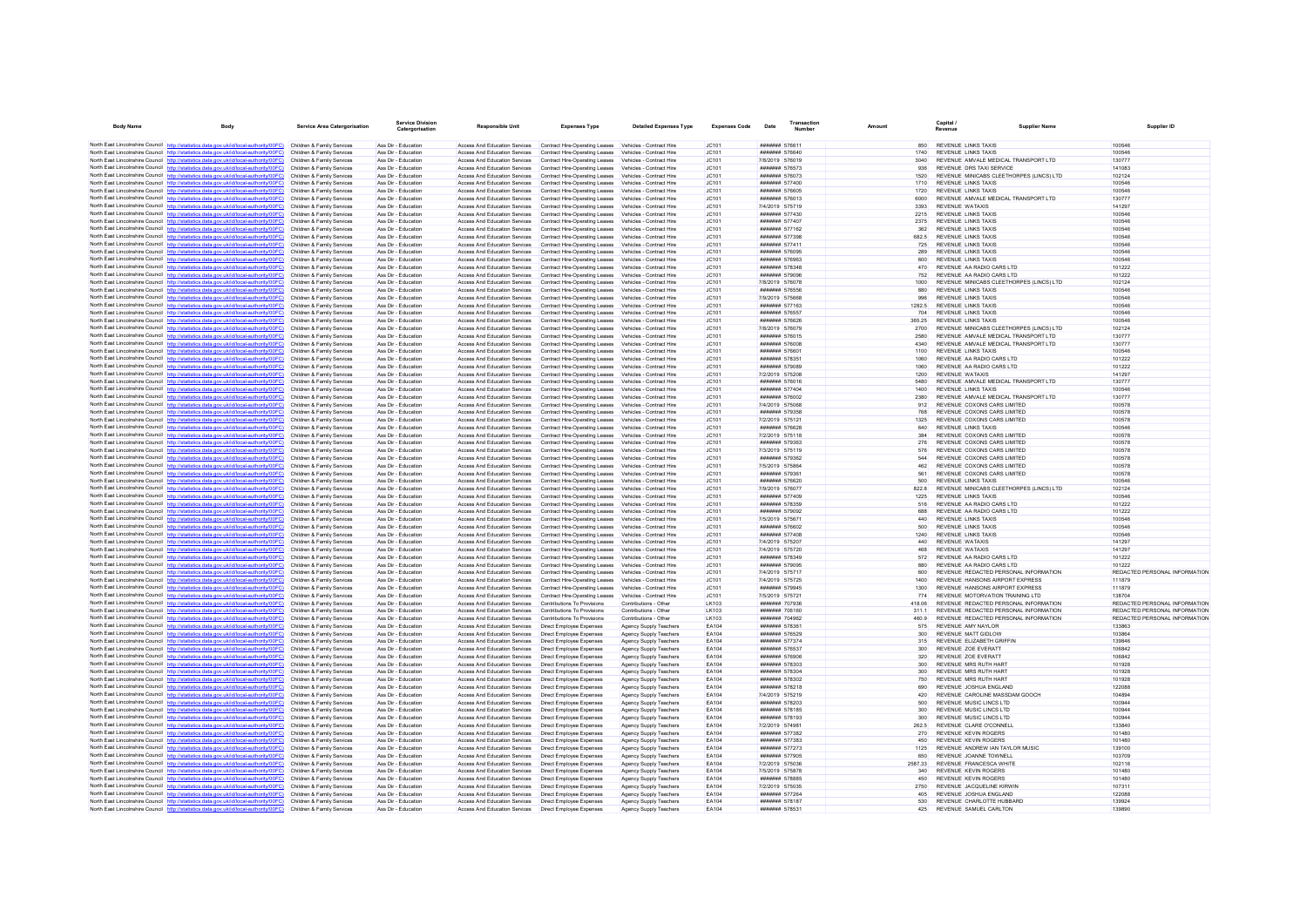| <b>Body Name</b> |                                                                                                                                                                                                             | <b>Service Area Catergorisation</b>                      | <b>Service Division</b><br>Catergorisation | Responsible Unit                                                      | <b>Expenses Type</b>                                                                                               | <b>Detailed Expenses Type</b>                        | <b>Expenses Code</b>  | Date                                                  | Transactio<br>Number |         |                | Capital /<br>Revenue                                                     | <b>Supplier Name</b> | Supplier ID                             |
|------------------|-------------------------------------------------------------------------------------------------------------------------------------------------------------------------------------------------------------|----------------------------------------------------------|--------------------------------------------|-----------------------------------------------------------------------|--------------------------------------------------------------------------------------------------------------------|------------------------------------------------------|-----------------------|-------------------------------------------------------|----------------------|---------|----------------|--------------------------------------------------------------------------|----------------------|-----------------------------------------|
|                  |                                                                                                                                                                                                             |                                                          |                                            |                                                                       |                                                                                                                    |                                                      |                       |                                                       |                      |         |                |                                                                          |                      |                                         |
|                  | North East Lincolnshire Council http://statistics.data.gov.uk/id/local-authority/00FC) Children & Family Services<br>North East Lincolnshire Council http://statistics.data.gov.uk/id/local-authority/00FC) |                                                          | Ass Dir - Education                        | Access And Education Services                                         | Contract Hire-Operating Leases Vehicles - Contract Hire                                                            |                                                      | IC101                 | ####### 576611                                        |                      |         | 850            | REVENUE LINKS TAXIS<br><b>REVENUE LINKS TAXIS</b>                        |                      | 100546                                  |
|                  | North East Lincolnshire Council http://statistics.data.gov.uk/id/local-authority/00FC)                                                                                                                      | Children & Family Services<br>Children & Family Services | Ass Dir - Education<br>Ass Dir - Education | Access And Education Services<br>Access And Education Services        | Contract Hire-Operating Leases Vehicles - Contract Hire<br>Contract Hire-Operating Leases                          | Vehicles - Contract Hire                             | IC.101<br>JC101       | <b>#######</b> 576640<br>7/8/2019 576019              |                      |         | 1740<br>3040   | REVENUE AMVALE MEDICAL TRANSPORT LTD                                     |                      | 100546<br>130777                        |
|                  | North East Lincolnshire Council http://statistics.data.gov.uk/id/local-authority/00FC)                                                                                                                      | Children & Family Services                               | Ass Dir - Education                        | Access And Education Services                                         | Contract Hire-Operating Leases Vehicles - Contract Hire                                                            |                                                      | JC101                 | ####### 576573                                        |                      |         | 936            | REVENUE DRS TAXI SERVICE                                                 |                      | 141083                                  |
|                  | North East Lincolnshire Council http://statistics.data.gov.uk/id/local-authority/00FC)                                                                                                                      | Children & Family Services                               | Ass Dir - Education                        | Access And Education Services                                         | Contract Hire-Operating Leases Vehicles - Contract Hire                                                            |                                                      | JC101                 | <b>#######</b> 576073                                 |                      |         | 1520           | REVENUE MINICABS CLEETHORPES (LINCS) LTD                                 |                      | 102124                                  |
|                  | North East Lincolnshire Council http://statistics.data.gov.uk/id/local-authority/00FC)                                                                                                                      | Children & Family Services                               | Ass Dir - Education                        | Access And Education Services                                         | Contract Hire-Operating Leases                                                                                     | Vehicles - Contract Hire                             | JC101                 | ####### 577400                                        |                      |         | 1710           | <b>REVENUE LINKS TAXIS</b>                                               |                      | 100546                                  |
|                  | North East Lincolnshire Council http://statistics.data.gov.uk/id/local-authority/00FC)                                                                                                                      | Children & Family Services                               | Ass Dir - Education                        | Access And Education Services                                         | Contract Hire-Operating Leases                                                                                     | Vehicles - Contract Hire                             | JC101                 | ####### 576605                                        |                      |         | 1720           | <b>REVENUE LINKS TAXIS</b>                                               |                      | 100546                                  |
|                  | North East Lincolnshire Council http://statistics.data.gov.uk/id/local-authority/00FC)                                                                                                                      | Children & Family Services                               | Ass Dir - Education                        | Access And Education Services                                         | Contract Hire-Operating Leases                                                                                     | Vehicles - Contract Hire                             | JC101                 | ####### 576013                                        |                      |         | 6000           | REVENUE AMVALE MEDICAL TRANSPORT LTD                                     |                      | 130777                                  |
|                  | North East Lincolnshire Council http://statistics.data.gov.uk/id/local-authority/00FC)<br>North East Lincolnshire Council http://statistics.data.gov.uk/id/local-authority/00FC)                            | Children & Family Services<br>Children & Family Services | Ass Dir - Education<br>Ass Dir - Education | Access And Education Services<br>Access And Education Services        | Contract Hire-Operating Leases Vehicles - Contract Hire<br>Contract Hire-Operating Leases                          | Vehicles - Contract Hire                             | JC101<br>JC101        | 7/4/2019 575719<br>####### 577430                     |                      |         | 3393<br>2215   | REVENUE WATAXIS<br>REVENUE LINKS TAXIS                                   |                      | 141297<br>100546                        |
|                  | North East Lincolnshire Council http://statistics.data.gov.uk/id/local-authority/00FC)                                                                                                                      | Children & Family Services                               | Ass Dir - Education                        | Access And Education Services                                         | Contract Hire-Operating Leases                                                                                     | Vehicles - Contract Hire                             | JC101                 | ####### 577407                                        |                      |         | 2375           | <b>REVENUE LINKS TAXIS</b>                                               |                      | 100546                                  |
|                  | North East Lincolnshire Council http://statistics.data.gov.uk/id/local-authority/00FC)                                                                                                                      | Children & Family Services                               | Ass Dir - Education                        | Access And Education Services                                         | Contract Hire-Operating Leases Vehicles - Contract Hire                                                            |                                                      | JC101                 | ####### 577162                                        |                      |         | 362            | <b>REVENUE LINKS TAXIS</b>                                               |                      | 100546                                  |
|                  | North East Lincolnshire Council http://statistics.data.gov.uk/id/local-authority/00FC)                                                                                                                      | Children & Family Services                               | Ass Dir - Education                        | Access And Education Services                                         | Contract Hire-Operating Leases                                                                                     | Vehicles - Contract Hire                             | JC101                 | ####### 577398                                        |                      |         | 682.5          | <b>REVENUE LINKS TAXIS</b>                                               |                      | 100546                                  |
|                  | North East Lincolnshire Council http://statistics.data.gov.uk/id/local-authority/00FC)                                                                                                                      | Children & Family Services                               | Ass Dir - Education                        | Access And Education Services                                         | Contract Hire-Operating Leases                                                                                     | Vehicles - Contract Hire                             | JC101                 | ####### 577411                                        |                      |         | 725            | <b>REVENUE LINKS TAXIS</b>                                               |                      | 100546                                  |
|                  | North East Lincolnshire Council http://statistics.data.gov.uk/id/local-authority/00FC)                                                                                                                      | Children & Family Services                               | Ass Dir - Education                        | Access And Education Services                                         | Contract Hire-Operation Leases Vehicles - Contract Hire                                                            |                                                      | JCA01                 | <b>#######</b> 576095                                 |                      |         | 289            | <b>REVENUE LINKS TAXIS</b>                                               |                      | 100546                                  |
|                  | North East Lincolnshire Council http://statistics.data.gov.uk/id/local-authority/00FC)<br>North East Lincolnshire Council http://statistics.data.gov.uk/id/local-authority/00FC)                            | Children & Family Services<br>Children & Family Services | Ass Dir - Education<br>Ass Dir - Education | Access And Education Services<br><b>Access And Education Services</b> | Contract Hire-Operating Leases<br>Contract Hire-Operating Leases                                                   | Vehicles - Contract Hire<br>Vehicles - Contract Hire | JC101<br>JC101        | ####### 576963<br>####### 578348                      |                      |         | 600<br>470     | <b>REVENUE LINKS TAXIS</b><br>REVENUE AA RADIO CARS LTD                  |                      | 100546<br>101222                        |
|                  | North East Lincolnshire Council http://statistics.data.gov.uk/id/local-authority/00FC)                                                                                                                      | Children & Family Services                               | Ass Dir - Education                        | Access And Education Services                                         | Contract Hire-Operating Leases Vehicles - Contract Hire                                                            |                                                      | JC101                 | ####### 579096                                        |                      |         | 752            | REVENUE AA RADIO CARS LTD                                                |                      | 101222                                  |
|                  | North East Lincolnshire Council http://statistics.data.gov.uk/id/local-authority/00FC)                                                                                                                      | Children & Family Services                               | Ass Dir - Education                        | Access And Education Services                                         | Contract Hire-Operating Leases Vehicles - Contract Hire                                                            |                                                      | IC.101                | 7/8/2019 576078                                       |                      |         | 1000           | REVENUE MINICARS CLEETHORPES (LINCS) LTD.                                |                      | 102124                                  |
|                  | North East Lincolnshire Council http://statistics.data.gov.uk/id/local-authority/00FC)                                                                                                                      | Children & Family Services                               | Ass Dir - Education                        | Access And Education Services                                         | Contract Hire-Operating Leases                                                                                     | Vehicles - Contract Hire                             | JC101                 | ####### 576556                                        |                      |         | 880            | REVENUE LINKS TAXIS                                                      |                      | 100546                                  |
|                  | North East Lincolnshire Council http://statistics.data.gov.uk/id/local-authority/00FC)                                                                                                                      | Children & Family Services                               | Ass Dir - Education                        | Access And Education Services                                         | Contract Hire-Operating Leases Vehicles - Contract Hire                                                            |                                                      | JC101                 | 7/9/2019 575668                                       |                      |         | 996            | <b>REVENUE LINKS TAXIS</b>                                               |                      | 100546                                  |
|                  | North East Lincolnshire Council http://statistics.data.gov.uk/id/local-authority/00FC)                                                                                                                      | Children & Family Services                               | Ass Dir - Education                        | Access And Education Services                                         | Contract Hire-Operating Leases Vehicles - Contract Hire                                                            |                                                      | JC101                 | <b>#######</b> 577163                                 |                      |         | 1282.5         | <b>REVENUE LINKS TAXIS</b>                                               |                      | 100546                                  |
|                  | North East Lincolnshire Council http://statistics.data.gov.uk/id/local-authority/00FC)                                                                                                                      | Children & Family Services                               | Ass Dir - Education                        | Access And Education Services                                         | Contract Hire-Operating Leases                                                                                     | Vehicles - Contract Hire                             | JC101                 | ####### 576557                                        |                      |         | 704            | <b>REVENUE LINKS TAXIS</b>                                               |                      | 100546                                  |
|                  | North East Lincolnshire Council http://statistics.data.gov.uk/id/local-authority/00FC)<br>North East Lincolnshire Council http://statistics.data.gov.uk/id/local-authority/00FC)                            | Children & Family Services<br>Children & Family Services | Ass Dir - Education<br>Ass Dir - Education | Access And Education Services                                         | Contract Hire-Operating Leases Vehicles - Contract Hire<br>Contract Hire-Operating Leases Vehicles - Contract Hire |                                                      | JC101<br>JC101        | ####### 576626<br>7/8/2019 576079                     |                      |         | 365.25<br>2700 | <b>REVENUE LINKS TAXIS</b><br>REVENUE MINICABS CLEETHORPES (LINCS) LTD   |                      | 100546<br>102124                        |
|                  | North East Lincolnshire Council http://statistics.data.gov.uk/id/local-authority/00FC)                                                                                                                      | Children & Family Services                               | Ass Dir - Education                        | Access And Education Services<br>Access And Education Services        | Contract Hire-Operating Leases Vehicles - Contract Hire                                                            |                                                      | JC101                 | <b>#######</b> 576015                                 |                      |         | 2580           | REVENUE AMVALE MEDICAL TRANSPORT LTD                                     |                      | 130777                                  |
|                  | North East Lincolnshire Council http://statistics.data.gov.uk/id/local-authority/00FC)                                                                                                                      | Children & Family Services                               | Ass Dir - Education                        | Access And Education Services                                         | Contract Hire-Operating Leases Vehicles - Contract Hire                                                            |                                                      | JC101                 | ####### 576008                                        |                      |         | 4340           | REVENUE AMVALE MEDICAL TRANSPORT LTD                                     |                      | 130777                                  |
|                  | North East Lincolnshire Council http://statistics.data.gov.uk/id/local-authority/00FC)                                                                                                                      | Children & Family Services                               | Ass Dir - Education                        | Access And Education Services                                         | Contract Hire-Operating Leases Vehicles - Contract Hire                                                            |                                                      | IC.101                | <b>#######</b> 576601                                 |                      |         | 1100           | <b>REVENUE LINKS TAXIS</b>                                               |                      | 100546                                  |
|                  | North East Lincolnshire Council http://statistics.data.gov.uk/id/local-authority/00FC)                                                                                                                      | Children & Family Services                               | Ass Dir - Education                        | Access And Education Services                                         | Contract Hire-Operating Leases                                                                                     | Vehicles - Contract Hire                             | JC101                 | ####### 578351                                        |                      |         | 1060           | REVENUE AA RADIO CARS LTD                                                |                      | 101222                                  |
|                  | North East Lincolnshire Council http://statistics.data.gov.uk/id/local-authority/00FC)                                                                                                                      | Children & Family Services                               | Ass Dir - Education                        | Access And Education Services                                         | Contract Hire-Operating Leases                                                                                     | Vehicles - Contract Hire                             | JC101                 | ####### 579089                                        |                      |         | 1060           | REVENUE AA RADIO CARS LTD                                                |                      | 101222                                  |
|                  | North East Lincolnshire Council http://statistics.data.gov.uk/id/local-authority/00FC)                                                                                                                      | Children & Family Services                               | Ass Dir - Education                        | Access And Education Services                                         | Contract Hire-Operating Leases                                                                                     | Vehicles - Contract Hire                             | JC101                 | 7/2/2019 575208                                       |                      |         | 1200           | <b>REVENUE WATAXIS</b>                                                   |                      | 141297                                  |
|                  | North East Lincolnshire Council http://statistics.data.gov.uk/id/local-authority/00FC)                                                                                                                      | Children & Family Services                               | Ass Dir - Education                        | Access And Education Services                                         | Contract Hire-Operating Leases Vehicles - Contract Hire                                                            |                                                      | JCA01                 | <b>#######</b> 576016                                 |                      |         | 5480           | REVENUE AMVALE MEDICAL TRANSPORT LTD                                     |                      | 130777                                  |
|                  | North East Lincolnshire Council http://statistics.data.gov.uk/id/local-authority/00FC)                                                                                                                      | Children & Family Services<br>Children & Family Services | Ass Dir - Education<br>Ass Dir - Education | Access And Education Services<br>Access And Education Services        | Contract Hire-Operating Leases                                                                                     | Vehicles - Contract Hire<br>Vehicles - Contract Hire | JC101<br>JC101        | ####### 577404<br>####### 576002                      |                      |         | 1400<br>2380   | <b>REVENUE LINKS TAXIS</b><br>REVENUE AMVALE MEDICAL TRANSPORT LTD       |                      | 100546<br>130777                        |
|                  | North East Lincolnshire Council http://statistics.data.gov.uk/id/local-authority/00FC)<br>North East Lincolnshire Council http://statistics.data.gov.uk/id/local-authority/00FC)                            | Children & Family Services                               | Ass Dir - Education                        | Access And Education Services                                         | Contract Hire-Operating Leases<br>Contract Hire-Operating Leases Vehicles - Contract Hire                          |                                                      | JC101                 | 7/4/2019 575068                                       |                      |         | 912            | REVENUE COXONS CARS LIMITED                                              |                      | 100578                                  |
|                  | North East Lincolnshire Council http://statistics.data.gov.uk/id/local-authority/00FC)                                                                                                                      | Children & Family Services                               | Ass Dir - Education                        | Access And Education Services                                         | Contract Hire-Operating Leases                                                                                     | Vehicles - Contract Hire                             | JC101                 | ####### 579358                                        |                      |         | 768            | REVENUE COXONS CARS LIMITED                                              |                      | 100578                                  |
|                  | North East Lincolnshire Council http://statistics.data.gov.uk/id/local-authority/00FC)                                                                                                                      | Children & Family Services                               | Ass Dir - Education                        | Access And Education Services                                         | Contract Hire-Operating Leases                                                                                     | Vehicles - Contract Hire                             | JC101                 | 7/2/2019 575121                                       |                      |         | 1325           | REVENUE COXONS CARS LIMITED                                              |                      | 100578                                  |
|                  | North East Lincolnshire Council http://statistics.data.gov.uk/id/local-authority/00FC)                                                                                                                      | Children & Family Services                               | Ass Dir - Education                        | Access And Education Services                                         | Contract Hire-Operating Leases Vehicles - Contract Hire                                                            |                                                      | JC101                 | ####### 576628                                        |                      |         | 640            | <b>REVENUE LINKS TAXIS</b>                                               |                      | 100546                                  |
|                  | North East Lincolnshire Council http://statistics.data.gov.uk/id/local-authority/00FC)                                                                                                                      | Children & Family Services                               | Ass Dir - Education                        | Access And Education Services                                         | Contract Hire-Operating Leases                                                                                     | Vehicles - Contract Hire                             | JC101                 | 7/2/2019 575118                                       |                      |         | 384            | REVENUE COXONS CARS LIMITED                                              |                      | 100578                                  |
|                  | North East Lincolnshire Council http://statistics.data.gov.uk/id/local-authority/00FC)                                                                                                                      | Children & Family Services                               | Ass Dir - Education                        | Access And Education Services                                         | Contract Hire-Operating Leases                                                                                     | Vehicles - Contract Hire                             | JC101                 | ####### 579363                                        |                      |         | 276            | REVENUE COXONS CARS LIMITED                                              |                      | 100578                                  |
|                  | North East Lincolnshire Council http://statistics.data.gov.uk/id/local-authority/00FC)                                                                                                                      | Children & Family Services                               | Ass Dir - Education                        | Access And Education Services                                         | Contract Hire-Operating Leases                                                                                     | Vehicles - Contract Hire                             | JC101                 | 7/3/2019 575119                                       |                      |         | 576            | REVENUE COXONS CARS LIMITED                                              |                      | 100578                                  |
|                  | North East Lincolnshire Council http://statistics.data.gov.uk/id/local-authority/00FC)<br>North East Lincolnshire Council http://statistics.data.gov.uk/id/local-authority/00FC)                            | Children & Family Services<br>Children & Family Services | Ass Dir - Education<br>Ass Dir - Education | Access And Education Services<br><b>Access And Education Services</b> | Contract Hire-Operating Leases<br>Contract Hire-Operating Leases                                                   | Vehicles - Contract Hire<br>Vehicles - Contract Hire | JC101<br>JC101        | ####### 579362<br>7/5/2019 575864                     |                      |         | 544<br>462     | REVENUE COXONS CARS LIMITED<br>REVENUE COXONS CARS LIMITED               |                      | 100578<br>100578                        |
|                  | North East Lincolnshire Council http://statistics.data.gov.uk/id/local-authority/00FC)                                                                                                                      | Children & Family Services                               | Ass Dir - Education                        | Access And Education Services                                         | Contract Hire-Operating Leases                                                                                     | Vehicles - Contract Hire                             | JC101                 | ####### 579361                                        |                      |         | 561            | REVENUE COXONS CARS LIMITED                                              |                      | 100578                                  |
|                  | North East Lincolnshire Council http://statistics.data.gov.uk/id/local-authority/00FC)                                                                                                                      | Children & Family Services                               | Ass Dir - Education                        | Access And Education Services                                         | Contract Hire-Onerating Leases                                                                                     | Vehicles - Contract Hire                             | IC.101                | <b>####### 576620</b>                                 |                      |         | 500            | <b>REVENUE LINKS TAXIS</b>                                               |                      | 100546                                  |
|                  | North East Lincolnshire Council http://statistics.data.gov.uk/id/local-authority/00FC)                                                                                                                      | Children & Family Services                               | Ass Dir - Education                        | Access And Education Services                                         | Contract Hire-Operating Leases                                                                                     | Vehicles - Contract Hire                             | JC101                 | 7/9/2019 576077                                       |                      |         | 822.8          | REVENUE MINICABS CLEETHORPES (LINCS) LTD                                 |                      | 102124                                  |
|                  | North East Lincolnshire Council http://statistics.data.gov.uk/id/local-authority/00FC)                                                                                                                      | Children & Family Services                               | Ass Dir - Education                        | Access And Education Services                                         | Contract Hire-Operating Leases                                                                                     | Vehicles - Contract Hire                             | JC101                 | ####### 577409                                        |                      |         | 1225           | <b>REVENUE LINKS TAXIS</b>                                               |                      | 100546                                  |
|                  | North East Lincolnshire Council http://statistics.data.gov.uk/id/local-authority/00FC)                                                                                                                      | Children & Family Services                               | Ass Dir - Education                        | Access And Education Services                                         | Contract Hire-Operating Leases                                                                                     | Vehicles - Contract Hire                             | JC101                 | ####### 578359                                        |                      |         | 516            | REVENUE AA RADIO CARS LTD                                                |                      | 101222                                  |
|                  | North East Lincolnshire Council http://statistics.data.gov.uk/id/local-authority/00FC)                                                                                                                      | Children & Family Services                               | Ass Dir - Education<br>Ass Dir - Education | Access And Education Services                                         | Contract Hire-Operating Leases                                                                                     | Vehicles - Contract Hire                             | IC.101                | <b>#######</b> 579092<br>7/5/2019 575671              |                      |         | 688<br>440     | REVENUE AA RADIO CARS I TD<br><b>REVENUE LINKS TAXIS</b>                 |                      | 101222                                  |
|                  | North East Lincolnshire Council http://statistics.data.gov.uk/id/local-authority/00FC)<br>North East Lincolnshire Council http://statistics.data.gov.uk/id/local-authority/00FC)                            | Children & Family Services<br>Children & Family Services | Ass Dir - Education                        | Access And Education Services<br>Access And Education Services        | Contract Hire-Operating Leases<br>Contract Hire-Operating Leases                                                   | Vehicles - Contract Hire<br>Vehicles - Contract Hire | JC101<br>JC101        | ####### 576602                                        |                      |         | 500            | <b>REVENUE LINKS TAXIS</b>                                               |                      | 100546<br>100546                        |
|                  | North East Lincolnshire Council http://statistics.data.gov.uk/id/local-authority/00FC)                                                                                                                      | Children & Family Services                               | Ass Dir - Education                        | Access And Education Services                                         | Contract Hire-Operating Leases                                                                                     | Vehicles - Contract Hire                             | JC101                 | <b>#######</b> 577408                                 |                      |         | 1240           | <b>REVENUE LINKS TAXIS</b>                                               |                      | 100546                                  |
|                  | North East Lincolnshire Council http://statistics.data.gov.uk/id/local-authority/00FC)                                                                                                                      | Children & Family Services                               | Ass Dir - Education                        | Access And Education Services                                         | Contract Hire-Operating Leases                                                                                     | Vehicles - Contract Hire                             | JC101                 | 7/4/2019 575207                                       |                      |         | 440            | REVENUE WATAXIS                                                          |                      | 141297                                  |
|                  | North East Lincolnshire Council http://statistics.data.gov.uk/id/local-authority/00FC)                                                                                                                      | Children & Family Services                               | Ass Dir - Education                        | Access And Education Services                                         | Contract Hire-Operating Leases                                                                                     | Vehicles - Contract Hire                             | JC101                 | 7/4/2019 575720                                       |                      |         | 468            | <b>REVENUE WATAXIS</b>                                                   |                      | 141297                                  |
|                  | North East Lincolnshire Council http://statistics.data.gov.uk/id/local-authority/00FC)                                                                                                                      | Children & Family Services                               | Ass Dir - Education                        | Access And Education Services                                         | Contract Hire-Operating Leases                                                                                     | Vehicles - Contract Hire                             | JC101                 | ####### 578349                                        |                      |         | 572            | REVENUE AA RADIO CARS LTD                                                |                      | 101222                                  |
|                  | North East Lincolnshire Council http://statistics.data.gov.uk/id/local-authority/00FC)                                                                                                                      | Children & Family Services                               | Ass Dir - Education                        | Access And Education Services                                         | Contract Hire-Operating Leases                                                                                     | Vehicles - Contract Hire                             | JC101                 | <b>#######</b> 579095                                 |                      |         | 880            | REVENUE AA RADIO CARS LTD                                                |                      | 101222                                  |
|                  | North East Lincolnshire Council http://statistics.data.gov.uk/id/local-authority/00FC)                                                                                                                      | Children & Family Services<br>Children & Family Services | Ass Dir - Education<br>Ass Dir - Education | Access And Education Services<br>Access And Education Services        | Contract Hire-Operating Leases<br>Contract Hire-Operating Leases                                                   | Vehicles - Contract Hire<br>Vehicles - Contract Hire | JC101<br>JC101        | 7/4/2019 575717<br>7/4/2019 575725                    |                      |         | 600<br>1400    | REVENUE REDACTED PERSONAL INFORMATION<br>REVENUE HANSONS AIRPORT EXPRESS |                      | REDACTED PERSONAL INFORMATION<br>111879 |
|                  | North East Lincolnshire Council http://statistics.data.gov.uk/id/local-authority/00FC)<br>North East Lincolnshire Council http://statistics.data.gov.uk/id/local-authority/00FC)                            | Children & Family Services                               | Ass Dir - Education                        | Access And Education Services                                         | Contract Hire-Operating Leases                                                                                     | Vehicles - Contract Hire                             | IC.101                | <b>#######</b> 579945                                 |                      |         | 1300           | REVENUE HANSONS AIRPORT EXPRESS                                          |                      | 111879                                  |
|                  | North East Lincolnshire Council http://statistics.data.gov.uk/id/local-authority/00FC)                                                                                                                      | Children & Family Services                               | Ass Dir - Education                        | <b>Access And Education Services</b>                                  | Contract Hire-Operating Leases                                                                                     | Vehicles - Contract Hire                             | JC101                 | 7/5/2019 575721                                       |                      |         | 774            | REVENUE MOTORVATION TRAINING LTD                                         |                      | 138704                                  |
|                  | North East Lincolnshire Council http://statistics.data.gov.uk/id/local-authority/00FC)                                                                                                                      | Children & Family Services                               | Ass Dir - Education                        | Access And Education Services                                         | Contributions To Provisions                                                                                        | Contributions - Other                                | LK103                 | ####### 707936                                        |                      |         | 418.06         | REVENUE REDACTED PERSONAL INFORMATION                                    |                      | REDACTED PERSONAL INFORMATION           |
|                  | North East Lincolnshire Council http://statistics.data.gov.uk/id/local-authority/00FC)                                                                                                                      | Children & Family Services                               | Ass Dir - Education                        | Access And Education Services                                         | Contributions To Provisions                                                                                        | Contributions - Other                                | I K103                | ####### 706160                                        |                      |         | 3111           | REVENUE REDACTED PERSONAL INFORMATION                                    |                      | REDACTED PERSONAL INFORMATION           |
|                  | North East Lincolnshire Council http://statistics.data.gov.uk/id/local-authority/00FC)                                                                                                                      | Children & Family Services                               | Ass Dir - Education                        | Access And Education Services                                         | Contributions To Provisions                                                                                        | Contributions - Other                                | LK103                 | ####### 704962                                        |                      |         | 460.9          | REVENUE REDACTED PERSONAL INFORMATION                                    |                      | REDACTED PERSONAL INFORMATION           |
|                  | North East Lincolnshire Council http://statistics.data.gov.uk/id/local-authority/00FC)                                                                                                                      | Children & Family Services                               | Ass Dir - Education                        | Access And Education Services                                         | Direct Employee Expenses                                                                                           | Agency Supply Teachers                               | EA104                 | ####### 578361                                        |                      |         | 575            | REVENUE AMY NAYLOR                                                       |                      | 133863                                  |
|                  | North East Lincolnshire Council http://statistics.data.gov.uk/id/local-authority/00FC)                                                                                                                      | Children & Family Services                               | Ass Dir - Education<br>Ass Dir - Education | Access And Education Services                                         | <b>Direct Employee Expenses</b>                                                                                    | Agency Supply Teachers                               | EA104<br><b>FA104</b> | ####### 576529<br><b><i><u>#######</u></i></b> 577374 |                      |         | 300            | <b>REVENUE MATT GIDLOW</b>                                               |                      | 103864<br>139846                        |
|                  | North East Lincolnshire Council http://statistics.data.gov.uk/id/local-authority/00FC)<br>North East Lincolnshire Council http://statistics.data.gov.uk/id/local-authority/00FC)                            | Children & Family Services<br>Children & Family Services | Ass Dir - Education                        | Access And Education Services<br>Access And Education Services        | <b>Direct Employee Expenses</b><br>Direct Employee Expenses                                                        | Agency Supply Teachers<br>Agency Supply Teachers     | EA104                 | ####### 576537                                        |                      |         | 315<br>300     | REVENUE ELIZABETH GRIFFIN<br>REVENUE ZOE EVERATT                         |                      | 106842                                  |
|                  | North East Lincolnshire Council http://statistics.data.gov.uk/id/local-authority/00FC)                                                                                                                      | Children & Family Services                               | Ass Dir - Education                        | Access And Education Services                                         | <b>Direct Employee Expenses</b>                                                                                    | Agency Supply Teachers                               | EA104                 | ####### 576906                                        |                      |         | 320            | REVENUE ZOE EVERATT                                                      |                      | 106842                                  |
|                  | North East Lincolnshire Council http://statistics.data.gov.uk/id/local-authority/00FC)                                                                                                                      | Children & Family Services                               | Ass Dir - Education                        | Access And Education Services                                         | Direct Employee Expenses                                                                                           | Agency Supply Teachers                               | <b>FA104</b>          | <b>#######</b> 578303                                 |                      |         | 300            | REVENUE MRS RUTH HART                                                    |                      | 101928                                  |
|                  | North East Lincolnshire Council http://statistics.data.gov.uk/id/local-authority/00FC)                                                                                                                      | Children & Family Services                               | Ass Dir - Education                        | Access And Education Services                                         | Direct Employee Expenses                                                                                           | Agency Supply Teachers                               | EA104                 | ####### 578304                                        |                      |         | 300            | REVENUE MRS RUTH HART                                                    |                      | 101928                                  |
|                  | North East Lincolnshire Council http://statistics.data.gov.uk/id/local-authority/00FC)                                                                                                                      | Children & Family Services                               | Ass Dir - Education                        | Access And Education Services                                         | Direct Employee Expenses                                                                                           | Agency Supply Teachers                               | EA104                 | ####### 578302                                        |                      |         | 750            | REVENUE MRS RUTH HART                                                    |                      | 101928                                  |
|                  | North East Lincolnshire Council http://statistics.data.gov.uk/id/local-authority/00FC)                                                                                                                      | Children & Family Services                               | Ass Dir - Education                        | Access And Education Services                                         | <b>Direct Employee Expenses</b>                                                                                    | Agency Supply Teachers                               | EA104                 | ####### 578218                                        |                      |         | 690            | REVENUE JOSHUA ENGLAND                                                   |                      | 122088                                  |
|                  | North East Lincolnshire Council http://statistics.data.gov.uk/id/local-authority/00FC)                                                                                                                      | Children & Family Services                               | Ass Dir - Education                        | Access And Education Services                                         | Direct Employee Expenses                                                                                           | Agency Supply Teachers                               | EA104                 | 7/4/2019 575219                                       |                      |         | 420            | REVENUE CAROLINE MASSDAM GOOCH                                           |                      | 104894                                  |
|                  | North East Lincolnshire Council http://statistics.data.gov.uk/id/local-authority/00FC)                                                                                                                      | Children & Family Services<br>Children & Family Services | Ass Dir - Education<br>Ass Dir - Education | <b>Access And Education Services</b><br>Access And Education Services | Direct Employee Expenses                                                                                           | Agency Supply Teachers<br>Agency Supply Teachers     | EA104<br>FA104        | ####### 578203<br>####### 578185                      |                      |         | 500<br>300     | REVENUE MUSIC LINCS LTD<br>REVENUE MUSIC LINCS LTD                       |                      | 100944<br>100944                        |
|                  | North East Lincolnshire Council http://statistics.data.gov.uk/id/local-authority/00FC)<br>North East Lincolnshire Council http://statistics.data.gov.uk/id/local-authority/00EC)                            | Children & Family Services                               | Ass Dir - Education                        | Access And Education Services                                         | Direct Employee Expenses<br>Direct Employee Expenses                                                               | Agency Supply Teachers                               | FA104                 | ####### 578193                                        |                      |         | 300            | REVENUE MUSIC LINCS LTD                                                  |                      | 100944                                  |
|                  | North East Lincolnshire Council http://statistics.data.gov.uk/id/local-authority/00FC)                                                                                                                      | Children & Family Services                               | Ass Dir - Education                        | <b>Access And Education Services</b>                                  | Direct Employee Expenses                                                                                           | Agency Supply Teachers                               | EA104                 | 7/2/2019 574981                                       |                      |         | 262.5          | REVENUE CLARE O'CONNELL                                                  |                      | 133840                                  |
|                  | North East Lincolnshire Council http://statistics.data.gov.uk/id/local-authority/00FC)                                                                                                                      | Children & Family Services                               | Ass Dir - Education                        | Access And Education Services                                         | <b>Direct Employee Expenses</b>                                                                                    | Agency Supply Teachers                               | EA104                 | ####### 577382                                        |                      |         | 270            | REVENUE KEVIN ROGERS                                                     |                      | 101480                                  |
|                  | North East Lincolnshire Council http://statistics.data.gov.uk/id/local-authority/00FC)                                                                                                                      | Children & Family Services                               | Ass Dir - Education                        | Access And Education Services                                         | Direct Employee Expenses                                                                                           | Agency Supply Teachers                               | <b>FA104</b>          | <b>#######</b> 577383                                 |                      |         | 450            | REVENUE KEVIN ROGERS                                                     |                      | 101480                                  |
|                  | North East Lincolnshire Council http://statistics.data.gov.uk/id/local-authority/00FC)                                                                                                                      | Children & Family Services                               | Ass Dir - Education                        | Access And Education Services                                         | Direct Employee Expenses                                                                                           | Agency Supply Teachers                               | EA104                 | ####### 577273                                        |                      |         | 1125           | REVENUE ANDREW IAN TAYLOR MUSIC                                          |                      | 139100                                  |
|                  | North East Lincolnshire Council http://statistics.data.gov.uk/id/local-authority/00FC)                                                                                                                      | Children & Family Services                               | Ass Dir - Education                        | Access And Education Services                                         | Direct Employee Expenses                                                                                           | Agency Supply Teachers                               | EA104                 | ####### 577905                                        |                      |         | 650            | REVENUE JOANNE TOWNELL                                                   |                      | 103709                                  |
|                  | North East Lincolnshire Council http://statistics.data.gov.uk/id/local-authority/00FC)                                                                                                                      | Children & Family Services                               | Ass Dir - Education                        | Access And Education Services                                         | <b>Direct Employee Expenses</b>                                                                                    | Agency Supply Teachers                               | EA104                 | 7/2/2019 575036                                       |                      | 2587.33 |                | REVENUE FRANCESCA WHITE                                                  |                      | 102116                                  |
|                  | North East Lincolnshire Council http://statistics.data.gov.uk/id/local-authority/00FC)<br>North East Lincolnshire Council http://statistics.data.gov.uk/id/local-authority/00FC)                            | Children & Family Services<br>Children & Family Services | Ass Dir - Education<br>Ass Dir - Education | Access And Education Services<br>Access And Education Services        | Direct Employee Expenses<br>Direct Employee Expenses                                                               | Agency Supply Teachers<br>Agency Supply Teachers     | <b>FA104</b><br>EA104 | 7/5/2019 575878<br>####### 578885                     |                      |         | 340<br>450     | REVENUE KEVIN ROGERS<br>REVENUE KEVIN ROGERS                             |                      | 101480<br>101480                        |
|                  | North East Lincolnshire Council http://statistics.data.gov.uk/id/local-authority/00FC)                                                                                                                      | Children & Family Services                               | Ass Dir - Education                        | Access And Education Services                                         | Direct Employee Expenses                                                                                           | Agency Supply Teachers                               | EA104                 | 7/2/2019 575035                                       |                      |         | 2750           | REVENUE JACQUELINE KIRWIN                                                |                      | 107311                                  |
|                  | North East Lincolnshire Council http://statistics.data.gov.uk/id/local-authority/00FC)                                                                                                                      | Children & Family Services                               | Ass Dir - Education                        | Access And Education Services                                         | Direct Employee Expenses                                                                                           | Agency Supply Teachers                               | <b>FA104</b>          | <b>#######</b> 577264                                 |                      |         | 405            | REVENUE JOSHUA ENGLAND                                                   |                      | 122088                                  |
|                  | North East Lincolnshire Council http://statistics.data.gov.uk/id/local-authority/00FC)                                                                                                                      | Children & Family Services                               | Ass Dir - Education                        | Access And Education Services                                         | Direct Employee Expenses                                                                                           | Agency Supply Teachers                               | EA104                 | ####### 578187                                        |                      |         | 530            | REVENUE CHARLOTTE HUBBARD                                                |                      | 139924                                  |
|                  | North East Lincolnshire Council http://statistics.data.gov.uk/id/local-authority/00FC)                                                                                                                      | Children & Family Services                               | Ass Dir - Education                        | Access And Education Services                                         | Direct Employee Expenses                                                                                           | Agency Supply Teachers                               | EA104                 | ####### 578531                                        |                      |         | 425            | REVENUE SAMUEL CARLTON                                                   |                      | 139890                                  |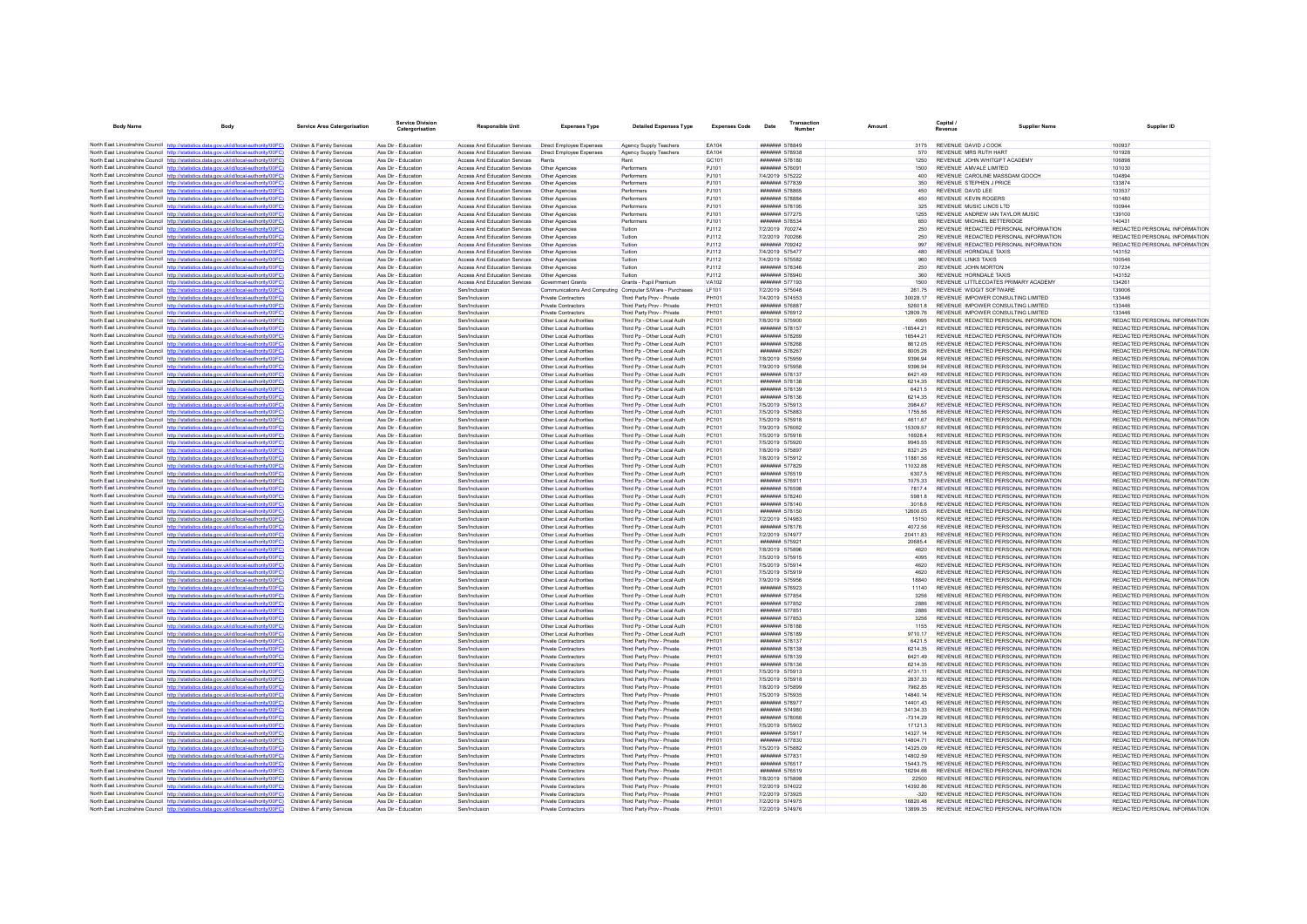| <b>Body Name</b>                                          |                                                                                                                                                                                                             | <b>Service Area Catergorisation</b>                      | <b>Service Division</b><br>Catergorisation | <b>Responsible Unit</b>                                        | <b>Expenses Type</b>                                     | <b>Detailed Expenses Type</b>                              | <b>Expenses Code</b>         | Date                                    | Transactio | Amount               | Capital /<br>Revenue |                                                                                | <b>Supplier Name</b> | Supplier ID                                                    |
|-----------------------------------------------------------|-------------------------------------------------------------------------------------------------------------------------------------------------------------------------------------------------------------|----------------------------------------------------------|--------------------------------------------|----------------------------------------------------------------|----------------------------------------------------------|------------------------------------------------------------|------------------------------|-----------------------------------------|------------|----------------------|----------------------|--------------------------------------------------------------------------------|----------------------|----------------------------------------------------------------|
|                                                           | North East Lincolnshire Council http://statistics.data.gov.uk/id/local-authority/00FC) Children & Family Services                                                                                           |                                                          | Ass Dir - Education                        | Access And Education Services                                  | <b>Direct Employee Expenses</b>                          | Agency Supply Teachers                                     | <b>FA104</b>                 | <b>#######</b> 578849                   |            | 3175                 |                      | REVENUE DAVID J COOK                                                           |                      | 100937                                                         |
|                                                           | North East Lincolnshire Council http://statistics.data.gov.uk/id/local-authority/00FC)                                                                                                                      | Children & Family Services                               | Ass Dir - Education                        | Access And Education Services                                  | Direct Employee Expenses                                 | Agency Supply Teachers                                     | EA104                        | ####### 578938                          |            | 570                  |                      | REVENUE MRS RUTH HART                                                          |                      | 101928                                                         |
|                                                           | North East Lincolnshire Council http://statistics.data.gov.uk/id/local-authority/00FC)                                                                                                                      | Children & Family Services                               | Ass Dir - Education                        | <b>Access And Education Services</b>                           | Rents                                                    | Rent                                                       | GC101                        | ####### 578180                          |            | 1250                 |                      | REVENUE JOHN WHITGIFT ACADEMY                                                  |                      | 106898                                                         |
|                                                           | North East Lincolnshire Council http://statistics.data.oov.uk/id/local-authority/00FC)                                                                                                                      | Children & Family Services                               | Ass Dir - Education                        | Access And Education Services                                  | Other Anencies                                           | Performers                                                 | P.1101                       | <b>#######</b> 576091                   |            | 1500                 |                      | REVENUE AMVALE LIMITED                                                         |                      | 101030                                                         |
|                                                           | North East Lincolnshire Council http://statistics.data.gov.uk/id/local-authority/00FC)<br>North East Lincolnshire Council http://statistics.data.gov.uk/id/local-authority/00FC)                            | Children & Family Services                               | Ass Dir - Education<br>Ass Dir - Education | Access And Education Services<br>Access And Education Services | Other Agencies                                           | Performers<br>Performers                                   | PJ101<br>PJ101               | 7/4/2019 575222<br>####### 577839       |            | 400<br>350           |                      | REVENUE CAROLINE MASSDAM GOOCH<br>REVENUE STEPHEN J PRICE                      |                      | 104894<br>133874                                               |
|                                                           | North East Lincolnshire Council http://statistics.data.gov.uk/id/local-authority/00FC)                                                                                                                      | Children & Family Services<br>Children & Family Services | Ass Dir - Education                        | Access And Education Services                                  | Other Agencies<br>Other Agencies                         | Performers                                                 | PJ101                        | ####### 578865                          |            | 450                  |                      | REVENUE DAVID LEE                                                              |                      | 103537                                                         |
|                                                           | North East Lincolnshire Council http://statistics.data.gov.uk/id/local-authority/00FC)                                                                                                                      | Children & Family Services                               | Ass Dir - Education                        | Access And Education Services                                  | Other Agencies                                           | Performers                                                 | PJ101                        | <b>#######</b> 578884                   |            | 450                  |                      | <b>REVENUE KEVIN ROGERS</b>                                                    |                      | 101480                                                         |
|                                                           | North East Lincolnshire Council http://statistics.data.gov.uk/id/local-authority/00FC)                                                                                                                      | Children & Family Services                               | Ass Dir - Education                        | Access And Education Services                                  | Other Agencies                                           | Performers                                                 | PJ101                        | ####### 578195                          |            | 325                  |                      | REVENUE MUSIC LINCS LTD                                                        |                      | 100944                                                         |
|                                                           | North East Lincolnshire Council http://statistics.data.gov.uk/id/local-authority/00FC)                                                                                                                      | Children & Family Services                               | Ass Dir - Education                        | Access And Education Services                                  | Other Agencies                                           | Performers                                                 | PJ101                        | ####### 577275                          |            | 1255                 |                      | REVENUE ANDREW IAN TAYLOR MUSIC                                                |                      | 139100                                                         |
|                                                           | North East Lincolnshire Council http://statistics.data.gov.uk/id/local-authority/00FC)                                                                                                                      | Children & Family Services                               | Ass Dir - Education                        | Access And Education Services                                  | Other Agencies                                           | Performers                                                 | P.I101                       | <b>#######</b> 578534                   |            | 650                  |                      | REVENUE MICHAEL BETTERIDGE                                                     |                      | 140431                                                         |
|                                                           | North East Lincolnshire Council http://statistics.data.gov.uk/id/local-authority/00FC)                                                                                                                      | Children & Family Services                               | Ass Dir - Education                        | Access And Education Services                                  | Other Agencies                                           | Tuition                                                    | PJ112                        | 7/2/2019 700274                         |            | 250                  |                      | REVENUE REDACTED PERSONAL INFORMATION                                          |                      | REDACTED PERSONAL INFORMATION                                  |
|                                                           | North East Lincolnshire Council http://statistics.data.gov.uk/id/local-authority/00FC)                                                                                                                      | Children & Family Services                               | Ass Dir - Education                        | Access And Education Services                                  | Other Agencies                                           | Tuition                                                    | PJ112                        | 7/2/2019 700266                         |            | 250                  |                      | REVENUE REDACTED PERSONAL INFORMATION                                          |                      | REDACTED PERSONAL INFORMATION                                  |
|                                                           | North East Lincolnshire Council http://statistics.data.gov.uk/id/local-authority/00FC)                                                                                                                      | Children & Family Services                               | Ass Dir - Education<br>Ass Dir - Education | Access And Education Services                                  | Other Agencies                                           | Tuition<br>Tuition                                         | P.I112<br>PJ112              | <b>НИННИЯ</b> 709242<br>7/4/2019 575477 |            | 997<br>480           |                      | REVENUE REDACTED PERSONAL INFORMATION<br>REVENUE HORNDALE TAXIS                |                      | REDACTED PERSONAL INFORMATION<br>143152                        |
|                                                           | North East Lincolnshire Council http://statistics.data.gov.uk/id/local-authority/00FC)<br>North East Lincolnshire Council http://statistics.data.gov.uk/id/local-authority/00FC)                            | Children & Family Services<br>Children & Family Services | Ass Dir - Education                        | Access And Education Services<br>Access And Education Services | Other Agencies<br>Other Agencies                         | Tuition                                                    | PJ112                        | 7/4/2019 575582                         |            | 960                  |                      | <b>REVENUE LINKS TAXIS</b>                                                     |                      | 100546                                                         |
|                                                           | North East Lincolnshire Council http://statistics.data.gov.uk/id/local-authority/00FC)                                                                                                                      | Children & Family Services                               | Ass Dir - Education                        | Access And Education Services                                  | Other Agencies                                           | Tuition                                                    | <b>PJ112</b>                 | ####### 578346                          |            | 250                  |                      | <b>REVENUE JOHN MORTON</b>                                                     |                      | 107234                                                         |
|                                                           | North East Lincolnshire Council http://statistics.data.gov.uk/id/local-authority/00FC)                                                                                                                      | Children & Family Services                               | Ass Dir - Education                        | Access And Education Services                                  | Other Agencies                                           | Tuition                                                    | <b>PJ112</b>                 | <b>####### 578940</b>                   |            | 360                  |                      | REVENUE HORNDALE TAXIS                                                         |                      | 143152                                                         |
|                                                           | North East Lincolnshire Council http://statistics.data.gov.uk/id/local-authority/00FC)                                                                                                                      | Children & Family Services                               | Ass Dir - Education                        | Access And Education Services                                  | Government Grants                                        | Grants - Pupil Premium                                     | VA102                        | ####### 577193                          |            | 1500                 |                      | REVENUE LITTLECOATES PRIMARY ACADEMY                                           |                      | 134261                                                         |
|                                                           | North East Lincolnshire Council http://statistics.data.gov.uk/id/local-authority/00FC)                                                                                                                      | Children & Family Services                               | Ass Dir - Education                        | Sen/Inclusion                                                  | Communications And Computing Computer S/Ware - Purchases |                                                            | LF101                        | 7/2/2019 575048                         |            | 261.75               |                      | REVENUE WIDGIT SOFTWARE                                                        |                      | 139006                                                         |
|                                                           | North East Lincolnshire Council http://statistics.data.gov.uk/id/local-authority/00EC)                                                                                                                      | Children & Family Services                               | Ass Dir - Education                        | Sen/Inclusion                                                  | Private Contractors                                      | Third Party Prov - Private                                 | PH101                        | 7/4/2019 574553                         |            | 30028.17             |                      | REVENUE IMPOWER CONSULTING LIMITED                                             |                      | 133446                                                         |
|                                                           | North East Lincolnshire Council http://statistics.data.gov.uk/id/local-authority/00FC)                                                                                                                      | Children & Family Services                               | Ass Dir - Education                        | Sen/Inclusion                                                  | Private Contractors                                      | Third Party Prov - Private                                 | PH101                        | ####### 576887                          |            | 52601.8              |                      | REVENUE IMPOWER CONSULTING LIMITED                                             |                      | 133446                                                         |
|                                                           | North East Lincolnshire Council http://statistics.data.gov.uk/id/local-authority/00FC)<br>North East Lincolnshire Council http://statistics.data.gov.uk/id/local-authority/00FC)                            | Children & Family Services<br>Children & Family Services | Ass Dir - Education<br>Ass Dir - Education | Sen/Inclusion<br>Sen/Inclusion                                 | Private Contractors<br>Other Local Authorities           | Third Party Prov - Private<br>Third Pn - Other Local Auth  | <b>PH101</b><br>PC101        | ####### 576912<br>7/8/2019 575900       |            | 12809.76<br>4095     |                      | REVENUE IMPOWER CONSULTING LIMITED<br>REVENUE REDACTED PERSONAL INFORMATION    |                      | 133446<br>REDACTED PERSONAL INFORMATION                        |
|                                                           | North East Lincolnshire Council http://statistics.data.gov.uk/id/local-authority/00FC)                                                                                                                      | Children & Family Services                               | Ass Dir - Education                        | Sen/Inclusion                                                  | Other Local Authorities                                  | Third Pp - Other Local Auth                                | PC101                        | ####### 578157                          |            | $-16544.21$          |                      | REVENUE REDACTED PERSONAL INFORMATION                                          |                      | REDACTED PERSONAL INFORMATION                                  |
|                                                           | North East Lincolnshire Council http://statistics.data.gov.uk/id/local-authority/00FC)                                                                                                                      | Children & Family Services                               | Ass Dir - Education                        | Sen/Inclusion                                                  | Other Local Authorities                                  | Third Pp - Other Local Auth                                | PC101                        | ####### 578269                          |            | 16544.2              |                      | REVENUE REDACTED PERSONAL INFORMATION                                          |                      | REDACTED PERSONAL INFORMATION                                  |
|                                                           | North East Lincolnshire Council http://statistics.data.gov.uk/id/local-authority/00FC)                                                                                                                      | Children & Family Services                               | Ass Dir - Education                        | Sen/Inclusion                                                  | Other Local Authorities                                  | Third Pp - Other Local Auth                                | PC101                        | ####### 578268                          |            | 8612.05              |                      | REVENUE REDACTED PERSONAL INFORMATION                                          |                      | REDACTED PERSONAL INFORMATION                                  |
|                                                           | North East Lincolnshire Council http://statistics.data.gov.uk/id/local-authority/00FC)                                                                                                                      | Children & Family Services                               | Ass Dir - Education                        | Sen/Inclusion                                                  | Other Local Authorities                                  | Third Pp - Other Local Auth                                | PC101                        | ####### 578267                          |            | 8005.26              |                      | REVENUE REDACTED PERSONAL INFORMATION                                          |                      | REDACTED PERSONAL INFORMATION                                  |
|                                                           | North East Lincolnshire Council http://statistics.data.gov.uk/id/local-authority/00FC)                                                                                                                      | Children & Family Services                               | Ass Dir - Education                        | Sen/Inclusion                                                  | Other Local Authorities                                  | Third Pp - Other Local Auth                                | PC101                        | 7/8/2019 575959                         |            | 9396.94              |                      | REVENUE REDACTED PERSONAL INFORMATION                                          |                      | REDACTED PERSONAL INFORMATION                                  |
|                                                           | North East Lincolnshire Council http://statistics.data.gov.uk/id/local-authority/00FC)                                                                                                                      | Children & Family Services                               | Ass Dir - Education                        | Sen/Inclusion                                                  | Other Local Authorities                                  | Third Pp - Other Local Auth                                | PC101                        | 7/9/2019 575958                         |            | 9396.94              |                      | REVENUE REDACTED PERSONAL INFORMATION                                          |                      | REDACTED PERSONAL INFORMATION                                  |
|                                                           | North East Lincolnshire Council http://statistics.data.gov.uk/id/local-authority/00FC)                                                                                                                      | Children & Family Services                               | Ass Dir - Education                        | Sen/Inclusion                                                  | Other Local Authorities                                  | Third Pp - Other Local Auth                                | PC101                        | <b>#######</b> 578137                   |            | 6421.49              |                      | REVENUE REDACTED PERSONAL INFORMATION                                          |                      | REDACTED PERSONAL INFORMATION                                  |
|                                                           | North East Lincolnshire Council http://statistics.data.gov.uk/id/local-authority/00FC)                                                                                                                      | Children & Family Services<br>Children & Family Services | Ass Dir - Education<br>Ass Dir - Education | Sen/Inclusion                                                  | Other Local Authorities                                  | Third Pp - Other Local Auth                                | PC101<br>PC101               | ####### 578138<br>####### 578139        |            | 6214.35              |                      | REVENUE REDACTED PERSONAL INFORMATION                                          |                      | REDACTED PERSONAL INFORMATION<br>REDACTED PERSONAL INFORMATION |
|                                                           | North East Lincolnshire Council http://statistics.data.gov.uk/id/local-authority/00FC)<br>North East Lincolnshire Council http://statistics.data.gov.uk/id/local-authority/00FC)                            | Children & Family Services                               | Ass Dir - Education                        | Sen/Inclusion<br>Sen/Inclusion                                 | Other Local Authorities<br>Other Local Authorities       | Third Pp - Other Local Auth<br>Third Pp - Other Local Auth | PC101                        | ####### 578136                          |            | 6421.5<br>6214.35    |                      | REVENUE REDACTED PERSONAL INFORMATION<br>REVENUE REDACTED PERSONAL INFORMATION |                      | REDACTED PERSONAL INFORMATION                                  |
|                                                           | North East Lincolnshire Council http://statistics.data.gov.uk/id/local-authority/00FC)                                                                                                                      | Children & Family Services                               | Ass Dir - Education                        | Sen/Inclusion                                                  | Other Local Authorities                                  | Third Pp - Other Local Auth                                | PC101                        | 7/5/2019 575913                         |            | 3984.67              |                      | REVENUE REDACTED PERSONAL INFORMATION                                          |                      | REDACTED PERSONAL INFORMATION                                  |
|                                                           | North East Lincolnshire Council http://statistics.data.gov.uk/id/local-authority/00FC)                                                                                                                      | Children & Family Services                               | Ass Dir - Education                        | Sen/Inclusion                                                  | Other Local Authorities                                  | Third Pp - Other Local Auth                                | PC101                        | 7/5/2019 575883                         |            | 1755.56              |                      | REVENUE REDACTED PERSONAL INFORMATION                                          |                      | REDACTED PERSONAL INFORMATION                                  |
|                                                           | North East Lincolnshire Council http://statistics.data.gov.uk/id/local-authority/00FC)                                                                                                                      | Children & Family Services                               | Ass Dir - Education                        | Sen/Inclusion                                                  | Other Local Authorities                                  | Third Pn - Other Local Auth                                | PC101                        | 7/5/2019 575918                         |            | 4611.67              |                      | REVENUE REDACTED PERSONAL INFORMATION                                          |                      | REDACTED PERSONAL INFORMATION                                  |
|                                                           | North East Lincolnshire Council http://statistics.data.gov.uk/id/local-authority/00FC)                                                                                                                      | Children & Family Services                               | Ass Dir - Education                        | Sen/Inclusion                                                  | Other Local Authorities                                  | Third Po - Other Local Auth                                | PC101                        | 7/9/2019 576062                         |            | 15309.57             |                      | REVENUE REDACTED PERSONAL INFORMATION                                          |                      | REDACTED PERSONAL INFORMATION                                  |
|                                                           | North East Lincolnshire Council http://statistics.data.gov.uk/id/local-authority/00FC)                                                                                                                      | Children & Family Services                               | Ass Dir - Education                        | Sen/Inclusion                                                  | Other Local Authorities                                  | Third Pp - Other Local Auth                                | PC101                        | 7/5/2019 575916                         |            | 16928.4              |                      | REVENUE REDACTED PERSONAL INFORMATION                                          |                      | REDACTED PERSONAL INFORMATION                                  |
|                                                           | North East Lincolnshire Council http://statistics.data.gov.uk/id/local-authority/00FC)                                                                                                                      | Children & Family Services                               | Ass Dir - Education                        | Sen/Inclusion                                                  | Other Local Authorities                                  | Third Pp - Other Local Auth                                | PC101                        | 7/5/2019 575920                         |            | 9945 55              |                      | REVENUE REDACTED PERSONAL INFORMATION                                          |                      | REDACTED PERSONAL INFORMATION                                  |
|                                                           | North East Lincolnshire Council http://statistics.data.gov.uk/id/local-authority/00FC)                                                                                                                      | Children & Family Services                               | Ass Dir - Education<br>Ass Dir - Education | Sen/Inclusion                                                  | Other Local Authorities                                  | Third Pp - Other Local Auth                                | PC101<br>PC101               | 7/8/2019 575897<br>7/8/2019 575912      |            | 8321 25              |                      | REVENUE REDACTED PERSONAL INFORMATION<br>REVENUE REDACTED PERSONAL INFORMATION |                      | REDACTED PERSONAL INFORMATION<br>REDACTED PERSONAL INFORMATION |
|                                                           | North East Lincolnshire Council http://statistics.data.gov.uk/id/local-authority/00FC)<br>North East Lincolnshire Council http://statistics.data.gov.uk/id/local-authority/00FC)                            | Children & Family Services<br>Children & Family Services | Ass Dir - Education                        | Sen/Inclusion<br>Sen/Inclusion                                 | Other Local Authorities<br>Other Local Authorities       | Third Pp - Other Local Auth<br>Third Pp - Other Local Auth | PC101                        | ####### 577829                          |            | 11881.56<br>11032.88 |                      | REVENUE REDACTED PERSONAL INFORMATION                                          |                      | REDACTED PERSONAL INFORMATION                                  |
|                                                           | North East Lincolnshire Council http://statistics.data.gov.uk/id/local-authority/00FC)                                                                                                                      | Children & Family Services                               | Ass Dir - Education                        | Sen/Inclusion                                                  | Other Local Authorities                                  | Third Pp - Other Local Auth                                | PC101                        | ####### 576519                          |            | 6307.5               |                      | REVENUE REDACTED PERSONAL INFORMATION                                          |                      | REDACTED PERSONAL INFORMATION                                  |
|                                                           | North East Lincolnshire Council http://statistics.data.gov.uk/id/local-authority/00FC)                                                                                                                      | Children & Family Services                               | Ass Dir - Education                        | Sen/Inclusion                                                  | Other Local Authorities                                  | Third Pp - Other Local Auth                                | PC101                        | ####### 576911                          |            | 1075.33              |                      | REVENUE REDACTED PERSONAL INFORMATION                                          |                      | REDACTED PERSONAL INFORMATION                                  |
|                                                           | North East Lincolnshire Council http://statistics.data.gov.uk/id/local-authority/00FC)                                                                                                                      | Children & Family Services                               | Ass Dir - Education                        | Sen/Inclusion                                                  | Other Local Authorities                                  | Third Pp - Other Local Auth                                | PC101                        | ####### 576598                          |            | 7817.4               |                      | REVENUE REDACTED PERSONAL INFORMATION                                          |                      | REDACTED PERSONAL INFORMATION                                  |
|                                                           | North East Lincolnshire Council http://statistics.data.gov.uk/id/local-authority/00FC)                                                                                                                      | Children & Family Services                               | Ass Dir - Education                        | Sen/Inclusion                                                  | Other Local Authorities                                  | Third Pp - Other Local Auth                                | PC101                        | ####### 578240                          |            | 5981.8               |                      | REVENUE REDACTED PERSONAL INFORMATION                                          |                      | REDACTED PERSONAL INFORMATION                                  |
|                                                           | North East Lincolnshire Council http://statistics.data.gov.uk/id/local-authority/00FC)                                                                                                                      | Children & Family Services                               | Ass Dir - Education                        | Sen/Inclusion                                                  | Other Local Authorities                                  | Third Pp - Other Local Auth                                | PC101                        | ####### 578140                          |            | 3018.6               |                      | REVENUE REDACTED PERSONAL INFORMATION                                          |                      | REDACTED PERSONAL INFORMATION                                  |
|                                                           | North East Lincolnshire Council http://statistics.data.gov.uk/id/local-authority/00FC)<br>North East Lincolnshire Council http://statistics.data.gov.uk/id/local-authority/00FC)                            | Children & Family Services<br>Children & Family Services | Ass Dir - Education<br>Ass Dir - Education | Sen/Inclusion<br>Sen/Inclusion                                 | Other Local Authorities<br>Other Local Authorities       | Third Pp - Other Local Auth<br>Third Pp - Other Local Auth | PC101<br>PC101               | ####### 578150<br>7/2/2019 574983       |            | 12600.05<br>15150    |                      | REVENUE REDACTED PERSONAL INFORMATION<br>REVENUE REDACTED PERSONAL INFORMATION |                      | REDACTED PERSONAL INFORMATION<br>REDACTED PERSONAL INFORMATION |
|                                                           | North East Lincolnshire Council http://statistics.data.gov.uk/id/local-authority/00FC)                                                                                                                      | Children & Family Services                               | Ass Dir - Education                        | Sen/Inclusion                                                  | Other Local Authorities                                  | Third Pp - Other Local Auth                                | PC101                        | <b>#######</b> 578176                   |            | 407256               |                      | REVENUE REDACTED PERSONAL INFORMATION                                          |                      | REDACTED PERSONAL INFORMATION                                  |
|                                                           | North East Lincolnshire Council http://statistics.data.gov.uk/id/local-authority/00FC)                                                                                                                      | Children & Family Services                               | Ass Dir - Education                        | Sen/Inclusion                                                  | Other Local Authorities                                  | Third Pp - Other Local Auth                                | PC101                        | 7/2/2019 574977                         |            | 20411.83             |                      | REVENUE REDACTED PERSONAL INFORMATION                                          |                      | REDACTED PERSONAL INFORMATION                                  |
|                                                           | North East Lincolnshire Council http://statistics.data.gov.uk/id/local-authority/00FC)                                                                                                                      | Children & Family Services                               | Ass Dir - Education                        | Sen/Inclusion                                                  | Other Local Authorities                                  | Third Pp - Other Local Auth                                | PC101                        | ####### 575921                          |            | 20685.4              |                      | REVENUE REDACTED PERSONAL INFORMATION                                          |                      | REDACTED PERSONAL INFORMATION                                  |
|                                                           | North East Lincolnshire Council http://statistics.data.gov.uk/id/local-authority/00FC)                                                                                                                      | Children & Family Services                               | Ass Dir - Education                        | Sen/Inclusion                                                  | Other Local Authorities                                  | Third Pn - Other Local Auth                                | PC101                        | 7/8/2019 575896                         |            | 4620                 |                      | REVENUE REDACTED PERSONAL INFORMATION                                          |                      | REDACTED PERSONAL INFORMATION                                  |
|                                                           | North East Lincolnshire Council http://statistics.data.gov.uk/id/local-authority/00FC)                                                                                                                      | Children & Family Services                               | Ass Dir - Education                        | Sen/Inclusion                                                  | Other Local Authorities                                  | Third Pp - Other Local Auth                                | PC101                        | 7/5/2019 575915                         |            | 4095                 |                      | REVENUE REDACTED PERSONAL INFORMATION                                          |                      | REDACTED PERSONAL INFORMATION                                  |
|                                                           | North East Lincolnshire Council http://statistics.data.gov.uk/id/local-authority/00FC)                                                                                                                      | Children & Family Services                               | Ass Dir - Education                        | Sen/Inclusion                                                  | Other Local Authorities                                  | Third Pp - Other Local Auth                                | PC101                        | 7/5/2019 575914                         |            | 4620                 |                      | REVENUE REDACTED PERSONAL INFORMATION                                          |                      | REDACTED PERSONAL INFORMATION                                  |
|                                                           | North East Lincolnshire Council http://statistics.data.gov.uk/id/local-authority/00FC)<br>North East Lincolnshire Council http://statistics.data.gov.uk/id/local-authority/00FC)                            | Children & Family Services<br>Children & Family Services | Ass Dir - Education<br>Ass Dir - Education | Sen/Inclusion<br>Sen/Inclusion                                 | Other Local Authorities<br>Other Local Authorities       | Third Pp - Other Local Auth<br>Third Pp - Other Local Auth | PC101<br>PC101               | 7/5/2019 575919<br>7/9/2019 575956      |            | 4620<br>18840        |                      | REVENUE REDACTED PERSONAL INFORMATION<br>REVENUE REDACTED PERSONAL INFORMATION |                      | REDACTED PERSONAL INFORMATION<br>REDACTED PERSONAL INFORMATION |
|                                                           | North East Lincolnshire Council http://statistics.data.gov.uk/id/local-authority/00FC)                                                                                                                      | Children & Family Services                               | Ass Dir - Education                        | Sen/Inclusion                                                  | Other Local Authorities                                  | Third Pp - Other Local Auth                                | PC101                        | ####### 576923                          |            | 11140                |                      | REVENUE REDACTED PERSONAL INFORMATION                                          |                      | REDACTED PERSONAL INFORMATION                                  |
|                                                           | North East Lincolnshire Council http://statistics.data.gov.uk/id/local-authority/00FC)                                                                                                                      | Children & Family Services                               | Ass Dir - Education                        | Sen/Inclusion                                                  | Other Local Authorities                                  | Third Pp - Other Local Auth                                | PC101                        | ####### 577854                          |            | 3256                 |                      | REVENUE REDACTED PERSONAL INFORMATION                                          |                      | REDACTED PERSONAL INFORMATION                                  |
|                                                           | North East Lincolnshire Council http://atatistics.data.gov.uk/id/local-authority/00EC)                                                                                                                      | Children & Family Services                               | Ass Dir - Education                        | Sen/Inclusion                                                  | Other Local Authorities                                  | Third Pp - Other Local Auth                                | PC101                        | ####### 577852                          |            | 2886                 |                      | REVENUE REDACTED PERSONAL INFORMATION                                          |                      | REDACTED PERSONAL INFORMATION                                  |
|                                                           | North East Lincolnshire Council http://statistics.data.gov.uk/id/local-authority/00FC)                                                                                                                      | Children & Family Services                               | Ass Dir - Education                        | Sen/Inclusion                                                  | Other Local Authorities                                  | Third Pp - Other Local Auth                                | PC101                        | ####### 577851                          |            | 2886                 |                      | REVENUE REDACTED PERSONAL INFORMATION                                          |                      | REDACTED PERSONAL INFORMATION                                  |
|                                                           | North East Lincolnshire Council http://statistics.data.gov.uk/id/local-authority/00FC)                                                                                                                      | Children & Family Services                               | Ass Dir - Education                        | Sen/Inclusion                                                  | Other Local Authorities                                  | Third Pp - Other Local Auth                                | PC101                        | ####### 577853                          |            | 3256                 |                      | REVENUE REDACTED PERSONAL INFORMATION                                          |                      | REDACTED PERSONAL INFORMATION                                  |
|                                                           | North East Lincolnshire Council http://statistics.data.gov.uk/id/local-authority/00FC)                                                                                                                      | Children & Family Services                               | Ass Dir - Education                        | Sen/Inclusion                                                  | Other Local Authorities                                  | Third Pn - Other Local Auth                                | PC101                        | ####### 578188                          |            | 1155                 |                      | REVENUE REDACTED PERSONAL INFORMATION                                          |                      | REDACTED PERSONAL INFORMATION                                  |
|                                                           | North East Lincolnshire Council http://statistics.data.gov.uk/id/local-authority/00FC)                                                                                                                      | Children & Family Services                               | Ass Dir - Education                        | Sen/Inclusion                                                  | Other Local Authorities                                  | Third Pp - Other Local Auth                                | PC101                        | ####### 578189                          |            | 971017               |                      | REVENUE REDACTED PERSONAL INFORMATION                                          |                      | REDACTED PERSONAL INFORMATION                                  |
|                                                           | North East Lincolnshire Council http://statistics.data.gov.uk/id/local-authority/00FC)                                                                                                                      | Children & Family Services                               | Ass Dir - Education                        | Sen/Inclusion<br>Sen/Inclusion                                 | Private Contractors                                      | Third Party Prov - Private                                 | <b>PH101</b><br><b>PH101</b> | ####### 578137<br>####### 578138        |            | 6421.5               |                      | REVENUE REDACTED PERSONAL INFORMATION<br>REVENUE REDACTED PERSONAL INFORMATION |                      | REDACTED PERSONAL INFORMATION<br>REDACTED PERSONAL INFORMATION |
|                                                           | North East Lincolnshire Council http://statistics.data.gov.uk/id/local-authority/00FC)<br>North East Lincolnshire Council http://statistics.data.gov.uk/id/local-authority/00FC)                            | Children & Family Services<br>Children & Family Services | Ass Dir - Education<br>Ass Dir - Education | Sen/Inclusion                                                  | <b>Private Contractors</b><br>Private Contractors        | Third Party Prov - Private<br>Third Party Prov - Private   | <b>PH101</b>                 | ####### 578139                          |            | 6214.35<br>6421.49   |                      | REVENUE REDACTED PERSONAL INFORMATION                                          |                      | REDACTED PERSONAL INFORMATION                                  |
| North East Lincolnshire Council http://statistics.data.or | wink@docal-authority/00EC)                                                                                                                                                                                  | Children & Family Services                               | Ass Dir - Education                        | Sen/Inclusion                                                  | Private Contractors                                      | Third Party Prov - Private                                 | <b>PH101</b>                 | ####### 578136                          |            | 6214.35              |                      | REVENUE REDACTED PERSONAL INFORMATION                                          |                      | REDACTED PERSONAL INFORMATION                                  |
|                                                           | North East Lincolnshire Council http://statistics.data.gov.uk/id/local-authority/00FC)                                                                                                                      | Children & Family Services                               | Ass Dir - Education                        | Sen/Inclusion                                                  | Private Contractors                                      | Third Party Prov - Private                                 | PH101                        | 7/5/2019 575913                         |            | 4731 11              |                      | REVENUE REDACTED PERSONAL INFORMATION                                          |                      | REDACTED PERSONAL INFORMATION                                  |
|                                                           | North East Lincolnshire Council http://statistics.data.gov.uk/id/local-authority/00FC)                                                                                                                      | Children & Family Services                               | Ass Dir - Education                        | Sen/Inclusion                                                  | Private Contractors                                      | Third Party Prov - Private                                 | PH101                        | 7/5/2019 575918                         |            | 283733               |                      | REVENUE REDACTED PERSONAL INFORMATION                                          |                      | REDACTED PERSONAL INFORMATION                                  |
|                                                           | North East Lincolnshire Council http://statistics.data.gov.uk/id/local-authority/00FC)                                                                                                                      | Children & Family Services                               | Ass Dir - Education                        | Sen/Inclusion                                                  | Private Contractors                                      | Third Party Prov - Private                                 | <b>PH101</b>                 | 7/8/2019 575899                         |            | 7962.85              |                      | REVENUE REDACTED PERSONAL INFORMATION                                          |                      | REDACTED PERSONAL INFORMATION                                  |
|                                                           | North East Lincolnshire Council http://statistics.data.gov.uk/id/local-authority/00FC)                                                                                                                      | Children & Family Services                               | Ass Dir - Education                        | Sen/Inclusion                                                  | Private Contractors                                      | Third Party Prov - Private                                 | <b>PH101</b>                 | 7/5/2019 575935                         |            | 14840.14             |                      | REVENUE REDACTED PERSONAL INFORMATION                                          |                      | REDACTED PERSONAL INFORMATION                                  |
|                                                           | North East Lincolnshire Council http://statistics.data.gov.uk/id/local-authority/00FC)                                                                                                                      | Children & Family Services                               | Ass Dir - Education                        | Sen/Inclusion                                                  | <b>Private Contractors</b>                               | Third Party Prov - Private                                 | PH101                        | ####### 578977                          |            | 14401.43             |                      | REVENUE REDACTED PERSONAL INFORMATION                                          |                      | REDACTED PERSONAL INFORMATION                                  |
|                                                           | North East Lincolnshire Council http://statistics.data.gov.uk/id/local-authority/00FC)                                                                                                                      | Children & Family Services                               | Ass Dir - Education                        | Sen/Inclusion                                                  | Private Contractors                                      | Third Party Prov - Private                                 | PH101                        | ####### 574980                          |            | 34134.33             |                      | REVENUE REDACTED PERSONAL INFORMATION                                          |                      | REDACTED PERSONAL INFORMATION                                  |
|                                                           | North East Lincolnshire Council http://statistics.data.gov.uk/id/local-authority/00FC)<br>North East Lincolnshire Council http://statistics.data.gov.uk/id/local-authority/00FC)                            | Children & Family Services<br>Children & Family Services | Ass Dir - Education<br>Ass Dir - Education | Sen/Inclusion<br>Sen/Inclusion                                 | Private Contractors<br>Private Contractors               | Third Party Prov - Private<br>Third Party Prov - Private   | <b>PH101</b><br>PH101        | ####### 578066<br>7/5/2019 575902       |            | $-7314.29$<br>171213 |                      | REVENUE REDACTED PERSONAL INFORMATION<br>REVENUE REDACTED PERSONAL INFORMATION |                      | REDACTED PERSONAL INFORMATION<br>REDACTED PERSONAL INFORMATION |
|                                                           | North East Lincolnshire Council http://statistics.data.gov.uk/id/local-authority/00FC)                                                                                                                      | Children & Family Services                               | Ass Dir - Education                        | Sen/Inclusion                                                  | Private Contractors                                      | Third Party Prov - Private                                 | PH101                        | ####### 575917                          |            | 14327 14             |                      | REVENUE REDACTED PERSONAL INFORMATION                                          |                      | REDACTED PERSONAL INFORMATION                                  |
|                                                           | North East Lincolnshire Council http://statistics.data.gov.uk/id/local-authority/00FC)                                                                                                                      | Children & Family Services                               | Ass Dir - Education                        | Sen/Inclusion                                                  | Private Contractors                                      | Third Party Prov - Private                                 | <b>PH101</b>                 | ####### 577830                          |            | 14804.71             |                      | REVENUE REDACTED PERSONAL INFORMATION                                          |                      | REDACTED PERSONAL INFORMATION                                  |
|                                                           | North East Lincolnshire Council http://statistics.data.gov.uk/id/local-authority/00FC)                                                                                                                      | Children & Family Services                               | Ass Dir - Education                        | Sen/Inclusion                                                  | Private Contractors                                      | Third Party Prov - Private                                 | <b>PH101</b>                 | 7/5/2019 575882                         |            | 14325.09             |                      | REVENUE REDACTED PERSONAL INFORMATION                                          |                      | REDACTED PERSONAL INFORMATION                                  |
|                                                           | North East Lincolnshire Council http://statistics.data.gov.uk/id/local-authority/00FC)                                                                                                                      | Children & Family Services                               | Ass Dir - Education                        | Sen/Inclusion                                                  | Private Contractors                                      | Third Party Prov - Private                                 | <b>PH101</b>                 | <b>#######</b> 577831                   |            | 14802.59             |                      | REVENUE REDACTED PERSONAL INFORMATION                                          |                      | REDACTED PERSONAL INFORMATION                                  |
|                                                           | North East Lincolnshire Council http://statistics.data.gov.uk/id/local-authority/00FC)                                                                                                                      | Children & Family Services                               | Ass Dir - Education                        | Sen/Inclusion                                                  | Private Contractors                                      | Third Party Prov - Private                                 | PH101                        | ####### 576517                          |            | 1544375              |                      | REVENUE REDACTED PERSONAL INFORMATION                                          |                      | REDACTED PERSONAL INFORMATION                                  |
|                                                           | North East Lincolnshire Council http://statistics.data.gov.uk/id/local-authority/00FC)                                                                                                                      | Children & Family Services                               | Ass Dir - Education                        | Sen/Inclusion                                                  | Private Contractors                                      | Third Party Prov - Private                                 | <b>PH101</b>                 | ####### 576519                          |            | 16294.66             |                      | REVENUE REDACTED PERSONAL INFORMATION                                          |                      | REDACTED PERSONAL INFORMATION                                  |
|                                                           | North East Lincolnshire Council http://statistics.data.gov.uk/id/local-authority/00FC)                                                                                                                      | Children & Family Services                               | Ass Dir - Education                        | Sen/Inclusion                                                  | <b>Private Contractors</b>                               | Third Party Prov - Private                                 | <b>PH101</b>                 | 7/8/2019 575898                         |            | 22500                |                      | REVENUE REDACTED PERSONAL INFORMATION                                          |                      | REDACTED PERSONAL INFORMATION                                  |
|                                                           | North East Lincolnshire Council http://statistics.data.gov.uk/id/local-authority/00FC)                                                                                                                      | Children & Family Services<br>Children & Family Services | Ass Dir - Education<br>Ass Dir - Education | Sen/Inclusion<br>Sen/Inclusion                                 | Private Contractors<br>Private Contractors               | Third Party Prov - Private                                 | PH101<br>PH101               | 7/2/2019 574022<br>7/2/2019 573925      |            | 14392.86<br>$-320$   |                      | REVENUE REDACTED PERSONAL INFORMATION<br>REVENUE REDACTED PERSONAL INFORMATION |                      | REDACTED PERSONAL INFORMATION<br>REDACTED PERSONAL INFORMATION |
|                                                           | North East Lincolnshire Council http://statistics.data.gov.uk/id/local-authority/00FC)<br>North East Lincolnshire Council http://statistics.data.gov.uk/id/local-authority/00FC) Children & Family Services |                                                          | Ass Dir - Education                        | Sen/Inclusion                                                  | <b>Private Contractors</b>                               | Third Party Prov - Private<br>Third Party Prov - Private   | PH101                        | 7/2/2019 574975                         |            | 16820.48             |                      | REVENUE REDACTED PERSONAL INFORMATION                                          |                      | REDACTED PERSONAL INFORMATION                                  |
|                                                           | North East Lincolnshire Council http://statistics.data.gov.uk/id/local-authority/00FC)                                                                                                                      | Children & Family Services                               | Ass Dir - Education                        | Sen/Inclusion                                                  | Private Contractors                                      | Third Party Prov - Private                                 | PH101                        | 7/2/2019 574976                         |            | 13899.35             |                      | REVENUE REDACTED PERSONAL INFORMATION                                          |                      | REDACTED PERSONAL INFORMATION                                  |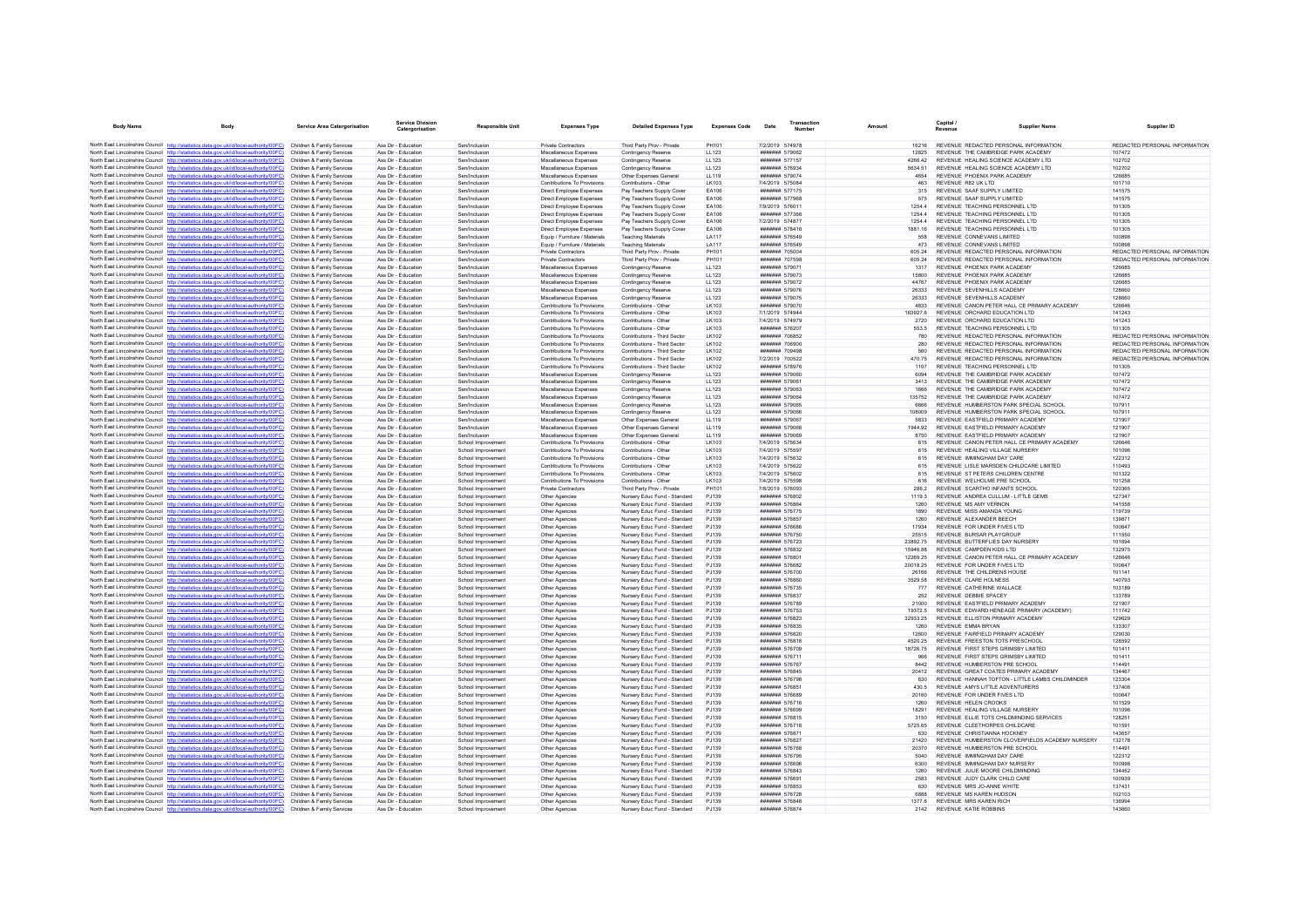| <b>Body Name</b> | <b>Body</b>                                                                                                                                                                      | <b>Service Area Catergorisation</b>                      | Service Division<br>Catergorisation        | <b>Responsible Unit</b>                  | <b>Expenses Type</b>                                                     | <b>Detailed Expenses Type</b>                                | <b>Expenses Code</b> | Date                                    | Transaction<br>Number |                  | Capital<br>Revenue |                                                                         | Supplier Name                                    | Supplier ID                             |
|------------------|----------------------------------------------------------------------------------------------------------------------------------------------------------------------------------|----------------------------------------------------------|--------------------------------------------|------------------------------------------|--------------------------------------------------------------------------|--------------------------------------------------------------|----------------------|-----------------------------------------|-----------------------|------------------|--------------------|-------------------------------------------------------------------------|--------------------------------------------------|-----------------------------------------|
|                  | North East Lincolnshire Council http://statistics.data.gov.uk/id/local-authority/00FC)                                                                                           | Children & Family Services                               | Ass Dir - Education                        | Sen/Inclusion                            | Private Contractors                                                      | Third Party Prov - Private                                   | PH101                | 7/2/2019 574978                         |                       | 16216            |                    | REVENUE REDACTED PERSONAL INFORMATION                                   |                                                  | REDACTED PERSONAL INFORMATION           |
|                  | North East Lincolnshire Council http://statistics.data.gov.uk/id/local-authority/00FC)                                                                                           | Children & Family Services                               | Ass Dir - Education                        | Sen/Inclusion                            | Miscellaneous Expenses                                                   | Contingency Reserve                                          | <b>LL123</b>         | ####### 579062                          |                       | 12825            |                    | REVENUE THE CAMBRIDGE PARK ACADEMY                                      |                                                  | 107472                                  |
|                  | North East Lincolnshire Council http://statistics.data.gov.uk/id/local-authority/00FC)                                                                                           | Children & Family Services                               | Ass Dir - Education                        | Sen/Inclusion                            | Miscellaneous Expenses                                                   | Contingency Reserve                                          | 11123                | <b><i><u>#######</u></i></b> 577157     |                       | 4266.42          |                    | REVENUE HEALING SCIENCE ACADEMY LTD                                     |                                                  | 102702                                  |
|                  | North East Lincolnshire Council http://statistics.data.gov.uk/id/local-authority/00FC)                                                                                           | Children & Family Services                               | Ass Dir - Education                        | Sen/Inclusion                            | Miscellaneous Expenses                                                   | Contingency Reserve                                          | LL123                | ####### 576934                          |                       | 5634.51          |                    | REVENUE HEALING SCIENCE ACADEMY LTD                                     |                                                  | 102702                                  |
|                  | North East Lincolnshire Council http://statistics.data.gov.uk/id/local-authority/00FC)                                                                                           | Children & Family Services                               | Ass Dir - Education                        | Sen/Inclusion                            | Miscellaneous Expenses                                                   | Other Expenses General                                       | LL119                | ####### 579074                          |                       | 4654             |                    | REVENUE PHOENIX PARK ACADEMY                                            |                                                  | 126685                                  |
|                  | North East Lincolnshire Council http://statistics.data.gov.uk/id/local-authority/00FC)                                                                                           | Children & Family Services                               | Ass Dir - Education                        | Sen/Inclusion                            | <b>Contributions To Provisions</b>                                       | Contributions - Other                                        | LK103                | 7/4/2019 575084                         |                       | 463              |                    | REVENUE R82 UK LTD                                                      |                                                  | 101710                                  |
|                  | North East Lincolnshire Council http://statistics.data.gov.uk/id/local-authority/00FC)                                                                                           | Children & Family Services                               | Ass Dir - Education                        | Sen/Inclusion                            | Direct Employee Expenses                                                 | Pay Teachers Supply Cove                                     | EA106                | ####### 577175                          |                       | 315              |                    | REVENUE SAAF SUPPLY LIMITED                                             |                                                  | 141575                                  |
|                  | North East Lincolnshire Council http://statistics.data.gov.uk/id/local-authority/00FC)                                                                                           | Children & Family Services                               | Ass Dir - Education                        | Sen/Inclusion                            | <b>Direct Employee Expenses</b>                                          | Pay Teachers Supply Cover                                    | FA106                | ####### 577968                          |                       | 575              |                    | REVENUE SAAF SUPPLY LIMITED                                             |                                                  | 141575                                  |
|                  | North East Lincolnshire Council http://statistics.data.gov.uk/id/local-authority/00FC)                                                                                           | Children & Family Services<br>Children & Family Services | Ass Dir - Education<br>Ass Dir - Education | Sen/Inclusion<br>Sen/Inclusion           | <b>Direct Employee Expenses</b>                                          | Pay Teachers Supply Cover                                    | FA106<br>FA106       | 7/9/2019 576011<br><b>###### 577366</b> |                       | 12544<br>1254 4  |                    | REVENUE TEACHING PERSONNEL LTD<br>REVENUE TEACHING PERSONNEL LTD        |                                                  | 101305<br>101305                        |
|                  | North East Lincolnshire Council http://statistics.data.gov.uk/id/local-authority/00FC)<br>North East Lincolnshire Council http://statistics.data.gov.uk/id/local-authority/00FC) | Children & Family Services                               | Ass Dir - Education                        | Sen/Inclusion                            | Direct Employee Expenses<br>Direct Employee Expenses                     | Pay Teachers Supply Cover<br>Pay Teachers Supply Cover       | EA106                | 7/2/2019 574877                         |                       | 1254.4           |                    | REVENUE TEACHING PERSONNEL LTD                                          |                                                  | 101305                                  |
|                  | North East Lincolnshire Council http://statistics.data.gov.uk/id/local-authority/00FC)                                                                                           | Children & Family Services                               | Ass Dir - Education                        | Sen/Inclusion                            | Direct Employee Expenses                                                 | Pay Teachers Supply Cover                                    | FA106                | ####### 578416                          |                       | 1881 16          |                    | REVENUE TEACHING PERSONNEL LTD                                          |                                                  | 101305                                  |
|                  | North East Lincolnshire Council http://statistics.data.gov.uk/id/local-authority/00FC)                                                                                           | Children & Family Services                               | Ass Dir - Education                        | Sen/Inclusion                            | Equip / Furniture / Materials                                            | <b>Teaching Materials</b>                                    | <b>LA117</b>         | ####### 576549                          |                       | 558              |                    | REVENUE CONNEVANS LIMITED                                               |                                                  | 100898                                  |
|                  | North East Lincolnshire Council http://statistics.data.gov.uk/id/local-authority/00FC)                                                                                           | Children & Family Services                               | Ass Dir - Education                        | Sen/Inclusion                            | Equip / Furniture / Materials                                            | <b>Teaching Materials</b>                                    | <b>LA117</b>         | ####### 576549                          |                       | 473              |                    | REVENUE CONNEVANS LIMITED                                               |                                                  | 100898                                  |
|                  | North East Lincolnshire Council http://statistics.data.gov.uk/id/local-authority/00FC)                                                                                           | Children & Family Services                               | Ass Dir - Education                        | Sen/Inclusion                            | <b>Private Contractors</b>                                               | Third Party Prov - Private                                   | PH101                | ####### 705004                          |                       | 605.24           |                    | REVENUE REDACTED PERSONAL INFORMATION                                   |                                                  | REDACTED PERSONAL INFORMATION           |
|                  | North East Lincolnshire Council http://statistics.data.gov.uk/id/local-authority/00FC)                                                                                           | Children & Family Services                               | Ass Dir - Education                        | Sen/Inclusion                            | <b>Private Contractors</b>                                               | Third Party Prov - Private                                   | PH101                | <b>#######</b> 707598                   |                       | 605.24           |                    | REVENUE REDACTED PERSONAL INFORMATION                                   |                                                  | REDACTED PERSONAL INFORMATION           |
|                  | North East Lincolnshire Council http://statistics.data.gov.uk/id/local-authority/00FC)                                                                                           | Children & Family Services                               | Ass Dir - Education                        | Sen/Inclusion                            | Miscellaneous Expenses                                                   | Contingency Reserve                                          | LL123                | ####### 57907                           |                       | 1317             |                    | REVENUE PHOENIX PARK ACADEMY                                            |                                                  | 126685                                  |
|                  | North East Lincolnshire Council http://statistics.data.gov.uk/id/local-authority/00FC)                                                                                           | Children & Family Services                               | Ass Dir - Education                        | Sen/Inclusion                            | Miscellaneous Expenses                                                   | Contingency Reserve                                          | LL123                | ####### 579073                          |                       | 15800            |                    | REVENUE PHOENIX PARK ACADEMY                                            |                                                  | 126685                                  |
|                  | North East Lincolnshire Council http://statistics.data.gov.uk/id/local-authority/00FC)                                                                                           | Children & Family Services                               | Ass Dir - Education                        | Sen/Inclusion                            | Miscellaneous Expenses                                                   | Contingency Reserve                                          | 11123                | ####### 579072                          |                       | 44767            |                    | REVENUE PHOENIX PARK ACADEMY                                            |                                                  | 126685                                  |
|                  | North East Lincolnshire Council http://statistics.data.gov.uk/id/local-authority/00FC)                                                                                           | Children & Family Services                               | Ass Dir - Education                        | Sen/Inclusion                            | Miscellaneous Expenses                                                   | Contingency Reserve                                          | LL123                | ####### 579076                          |                       | 26333            |                    | REVENUE SEVENHILLS ACADEMY                                              |                                                  | 128660                                  |
|                  | North East Lincolnshire Council http://statistics.data.gov.uk/id/local-authority/00FC)                                                                                           | Children & Family Services                               | Ass Dir - Education                        | Sen/Inclusion                            | Miscellaneous Expenses                                                   | Contingency Reserve                                          | LL123                | ####### 579075                          |                       | 26333            |                    | REVENUE SEVENHILLS ACADEMY                                              |                                                  | 128660                                  |
|                  | North East Lincolnshire Council http://statistics.data.gov.uk/id/local-authority/00FC)                                                                                           | Children & Family Services                               | Ass Dir - Education                        | Sen/Inclusion                            | Contributions To Provisions                                              | Contributions - Other                                        | I K103               | <b>#######</b> 579070                   |                       | 4833             |                    | REVENUE CANON PETER HALL CE PRIMARY ACADEMY                             |                                                  | 126646                                  |
|                  | North East Lincolnshire Council http://statistics.data.gov.uk/id/local-authority/00FC)                                                                                           | Children & Family Services                               | Ass Dir - Education                        | Sen/Inclusion                            | Contributions To Provisions                                              | Contributions - Other                                        | <b>LK103</b>         | 7/1/2019 574944                         |                       | 163927.6         |                    | REVENUE ORCHARD EDUCATION LTD                                           |                                                  | 141243                                  |
|                  | North East Lincolnshire Council http://statistics.data.gov.uk/id/local-authority/00FC)                                                                                           | Children & Family Services                               | Ass Dir - Education                        | Sen/Inclusion                            | Contributions To Provisions                                              | Contributions - Other                                        | LK103                | 7/4/2019 574979                         |                       | 2720             |                    | REVENUE ORCHARD EDUCATION LTD                                           |                                                  | 141243                                  |
|                  | North East Lincolnshire Council http://statistics.data.gov.uk/id/local-authority/00FC)                                                                                           | Children & Family Services<br>Children & Family Services | Ass Dir - Education<br>Ass Dir - Education | Sen/Inclusion<br>Sen/Inclusion           | <b>Contributions To Provisions</b><br><b>Contributions To Provisions</b> | Contributions - Other<br>Contributions - Third Sector        | LK103<br>LK102       | ####### 576207<br>####### 706852        |                       | 553.5<br>780     |                    | REVENUE TEACHING PERSONNEL LTD<br>REVENUE REDACTED PERSONAL INFORMATION |                                                  | 101305<br>REDACTED PERSONAL INFORMATION |
|                  | North East Lincolnshire Council http://statistics.data.gov.uk/id/local-authority/00FC)<br>North East Lincolnshire Council http://statistics.data.gov.uk/id/local-authority/00FC) | Children & Family Services                               | Ass Dir - Education                        | Sen/Inclusion                            | Contributions To Provisions                                              | Contributions - Third Secto                                  | LK102                | ####### 706900                          |                       | 280              |                    | REVENUE REDACTED PERSONAL INFORMATION                                   |                                                  | REDACTED PERSONAL INFORMATION           |
|                  | North East Lincolnshire Council http://statistics.data.gov.uk/id/local-authority/00FC)                                                                                           | Children & Family Services                               | Ass Dir - Education                        | Sen/Inclusion                            | Contributions To Provisions                                              | Contributions - Third Sector                                 | I K102               | <b>#######</b> 709498                   |                       | 560              |                    | REVENUE REDACTED PERSONAL INFORMATION                                   |                                                  | REDACTED PERSONAL INFORMATION           |
|                  | North East Lincolnshire Council http://statistics.data.gov.uk/id/local-authority/00FC)                                                                                           | Children & Family Services                               | Ass Dir - Education                        | Sen/Inclusion                            | Contributions To Provisions                                              | Contributions - Third Sector                                 | LK102                | 7/2/2019 700522                         |                       | 47075            |                    | REVENUE REDACTED PERSONAL INFORMATION                                   |                                                  | REDACTED PERSONAL INFORMATION           |
|                  | North East Lincolnshire Council http://statistics.data.gov.uk/id/local-authority/00FC)                                                                                           | Children & Family Services                               | Ass Dir - Education                        | Sen/Inclusion                            | Contributions To Provisions                                              | Contributions - Third Sector                                 | <b>LK102</b>         | ####### 578976                          |                       | 1107             |                    | REVENUE TEACHING PERSONNEL LTD                                          |                                                  | 101305                                  |
|                  | North East Lincolnshire Council http://statistics.data.gov.uk/id/local-authority/00FC)                                                                                           | Children & Family Services                               | Ass Dir - Education                        | Sen/Inclusion                            | Miscellaneous Expenses                                                   | Contingency Reserve                                          | LL123                | ####### 579060                          |                       | 6094             |                    | REVENUE THE CAMBRIDGE PARK ACADEMY                                      |                                                  | 107472                                  |
|                  | North East Lincolnshire Council http://statistics.data.gov.uk/id/local-authority/00FC)                                                                                           | Children & Family Services                               | Ass Dir - Education                        | Sen/Inclusion                            | Miscellaneous Expenses                                                   | Contingency Reserve                                          | 11123                | <b>#######</b> 579061                   |                       | 3413             |                    | REVENUE THE CAMBRIDGE PARK ACADEMY                                      |                                                  | 107472                                  |
|                  | North East Lincolnshire Council http://statistics.data.gov.uk/id/local-authority/00FC)                                                                                           | Children & Family Services                               | Ass Dir - Education                        | Sen/Inclusion                            | Miscellaneous Expenses                                                   | Contingency Reserve                                          | LL123                | ####### 579063                          |                       | 1666             |                    | REVENUE THE CAMBRIDGE PARK ACADEMY                                      |                                                  | 107472                                  |
|                  | North East Lincolnshire Council http://statistics.data.gov.uk/id/local-authority/00FC)                                                                                           | Children & Family Services                               | Ass Dir - Education                        | Sen/Inclusion                            | Miscellaneous Expenses                                                   | Contingency Reserve                                          | LL123                | ####### 579064                          |                       | 135752           |                    | REVENUE THE CAMBRIDGE PARK ACADEMY                                      |                                                  | 107472                                  |
|                  | North East Lincolnshire Council http://statistics.data.gov.uk/id/local-authority/00FC)                                                                                           | Children & Family Services                               | Ass Dir - Education                        | Sen/Inclusion                            | Miscellaneous Expenses                                                   | Contingency Reserve                                          | LL123                | ####### 579065                          |                       | 6666             |                    | REVENUE HUMBERSTON PARK SPECIAL SCHOOL                                  |                                                  | 107911                                  |
|                  | North East Lincolnshire Council http://statistics.data.gov.uk/id/local-authority/00FC)                                                                                           | Children & Family Services                               | Ass Dir - Education                        | Sen/Inclusion                            | Miscellaneous Expenses                                                   | Contingency Reserve                                          | LL123                | ####### 579066                          |                       | 108009           |                    | REVENUE HUMBERSTON PARK SPECIAL SCHOOL                                  |                                                  | 107911                                  |
|                  | North East Lincolnshire Council http://statistics.data.gov.uk/id/local-authority/00FC)                                                                                           | Children & Family Services                               | Ass Dir - Education                        | Sen/Inclusion                            | Miscellaneous Expenses                                                   | Other Expenses General                                       | LL119                | ####### 579067                          |                       | 5833             |                    | REVENUE EASTFIELD PRIMARY ACADEMY                                       |                                                  | 121907                                  |
|                  | North East Lincolnshire Council http://statistics.data.gov.uk/id/local-authority/00FC)                                                                                           | Children & Family Services                               | Ass Dir - Education                        | Sen/Inclusion                            | Miscellaneous Expenses                                                   | Other Expenses General                                       | 11119                | <b>####### 579068</b>                   |                       | 1944 92          |                    | REVENUE FASTEIELD PRIMARY ACADEMY                                       |                                                  | 121907                                  |
|                  | North East Lincolnshire Council http://statistics.data.gov.uk/id/local-authority/00FC)                                                                                           | Children & Family Services                               | Ass Dir - Education                        | Sen/Inclusion                            | Miscellaneous Expenses                                                   | Other Expenses General                                       | <b>LL119</b>         | ####### 579069                          |                       | 8750             |                    | REVENUE EASTFIELD PRIMARY ACADEMY                                       |                                                  | 121907                                  |
|                  | North East Lincolnshire Council http://statistics.data.gov.uk/id/local-authority/00FC)                                                                                           | Children & Family Services                               | Ass Dir - Education                        | School Improvemer                        | Contributions To Provisions                                              | Contributions - Other                                        | <b>LK103</b>         | 7/4/2019 575634                         |                       | 615              |                    | REVENUE CANON PETER HALL CE PRIMARY ACADEMY                             |                                                  | 126646                                  |
|                  | North East Lincolnshire Council http://statistics.data.gov.uk/id/local-authority/00FC)                                                                                           | Children & Family Services<br>Children & Family Services | Ass Dir - Education<br>Ass Dir - Education | School Improvement                       | Contributions To Provisions<br>Contributions To Provisions               | Contributions - Other<br>Contributions - Other               | LK103<br>1 K103      | 7/4/2019 575597<br>7/4/2019 575632      |                       | 615<br>615       |                    | REVENUE HEALING VILLAGE NURSERY<br>REVENUE IMMINGHAM DAY CARE           |                                                  | 101096<br>122312                        |
|                  | North East Lincolnshire Council http://statistics.data.gov.uk/id/local-authority/00FC)<br>North East Lincolnshire Council http://statistics.data.gov.uk/id/local-authority/00FC) | Children & Family Services                               | Ass Dir - Education                        | School Improvement<br>School Improvemen  | Contributions To Provisions                                              | Contributions - Other                                        | <b>LK103</b>         | 7/4/2019 575622                         |                       | 615              |                    | REVENUE LISLE MARSDEN CHILDCARE LIMITED                                 |                                                  | 110493                                  |
|                  | North East Lincolnshire Council http://statistics.data.gov.uk/id/local-authority/00FC)                                                                                           | Children & Family Services                               | Ass Dir - Education                        | School Improvement                       | Contributions To Provisions                                              | Contributions - Other                                        | LK103                | 7/4/2019 575602                         |                       | 615              |                    | REVENUE ST PETERS CHILDREN CENTRE                                       |                                                  | 101322                                  |
|                  | North East Lincolnshire Council http://statistics.data.gov.uk/id/local-authority/00FC)                                                                                           | Children & Family Services                               | Ass Dir - Education                        | School Improvement                       | <b>Contributions To Provisions</b>                                       | Contributions - Other                                        | LK103                | 7/4/2019 575598                         |                       | 616              |                    | REVENUE WELHOLME PRE SCHOOL                                             |                                                  | 101258                                  |
|                  | North East Lincolnshire Council http://statistics.data.gov.uk/id/local-authority/00FC)                                                                                           | Children & Family Services                               | Ass Dir - Education                        | School Improvement                       | Private Contractors                                                      | Third Party Prov - Private                                   | PH101                | 7/8/2019 576093                         |                       | 286.2            |                    | REVENUE SCARTHO INFANTS SCHOOL                                          |                                                  | 120365                                  |
|                  | North East Lincolnshire Council http://statistics.data.gov.uk/id/local-authority/00FC)                                                                                           | Children & Family Services                               | Ass Dir - Education                        | School Improvement                       | Other Agencies                                                           | Nursery Educ Fund - Standard                                 | PJ139                | ####### 576802                          |                       | 1119.3           |                    | REVENUE ANDREA CULLUM - LITTLE GEMS                                     |                                                  | 127347                                  |
|                  | North East Lincolnshire Council http://statistics.data.gov.uk/id/local-authority/00FC)                                                                                           | Children & Family Services                               | Ass Dir - Education                        | School Improvement                       | Other Agencies                                                           | Nursery Educ Fund - Standard                                 | P.1139               | <b>#######</b> 576864                   |                       | 1260             |                    | REVENUE MS AMY VERNON                                                   |                                                  | 141558                                  |
|                  | North East Lincolnshire Council http://statistics.data.gov.uk/id/local-authority/00FC)                                                                                           | Children & Family Services                               | Ass Dir - Education                        | School Improvement                       | Other Agencies                                                           | Nursery Educ Fund - Standard                                 | P.1139               | <b>#######</b> 576775                   |                       | 1890             |                    | REVENUE MISS AMANDA YOUNG                                               |                                                  | 119739                                  |
|                  | North East Lincolnshire Council http://statistics.data.gov.uk/id/local-authority/00FC)                                                                                           | Children & Family Services                               | Ass Dir - Education                        | School Improvement                       | Other Agencies                                                           | Nursery Educ Fund - Standard                                 | PJ139                | ####### 576857                          |                       | 1260             |                    | REVENUE ALEXANDER BEECH                                                 |                                                  | 139871                                  |
|                  | North East Lincolnshire Council http://statistics.data.gov.uk/id/local-authority/00FC)                                                                                           | Children & Family Services                               | Ass Dir - Education                        | School Improvement                       | Other Agencies                                                           | Nursery Educ Fund - Standard                                 | PJ139                | ####### 576686                          |                       | 17934            |                    | REVENUE FOR UNDER FIVES LTD                                             |                                                  | 100647                                  |
|                  | North East Lincolnshire Council http://statistics.data.gov.uk/id/local-authority/00FC)                                                                                           | Children & Family Services                               | Ass Dir - Education                        | School Improvement                       | Other Agencies                                                           | Nursery Educ Fund - Standard                                 | PJ139                | ####### 576750                          |                       | 25515            |                    | REVENUE BURSAR PLAYGROUP                                                |                                                  | 111550                                  |
|                  | North East Lincolnshire Council http://statistics.data.gov.uk/id/local-authority/00FC)                                                                                           | Children & Family Services                               | Ass Dir - Education                        | School Improvement                       | Other Agencies                                                           | Nursery Educ Fund - Standard                                 | PJ139                | ####### 576723                          |                       | 23892.75         |                    | REVENUE BUTTERFLIES DAY NURSERY                                         |                                                  | 101694                                  |
|                  | North East Lincolnshire Council http://statistics.data.gov.uk/id/local-authority/00FC)                                                                                           | Children & Family Services                               | Ass Dir - Education                        | School Improvement                       | Other Agencies                                                           | Nursery Educ Fund - Standard                                 | PJ139                | ####### 576832                          |                       | 15946 88         |                    | REVENUE CAMPDEN KIDS LTD                                                |                                                  | 132975                                  |
|                  | North East Lincolnshire Council http://statistics.data.gov.uk/id/local-authority/00FC)                                                                                           | Children & Family Services                               | Ass Dir - Education                        | School Improvement                       | Other Agencies                                                           | Nursery Educ Fund - Standard                                 | P.1139               | <b>#######</b> 576801                   |                       | 12269.25         |                    | REVENUE CANON PETER HALL CE PRIMARY ACADEMY                             |                                                  | 126646                                  |
|                  | North East Lincolnshire Council http://statistics.data.gov.uk/id/local-authority/00FC)                                                                                           | Children & Family Services                               | Ass Dir - Education<br>Ass Dir - Education | School Improvemen                        | Other Agencies                                                           | Nursery Educ Fund - Standard                                 | PJ139<br>PJ139       | ####### 576682<br>####### 576700        |                       | 20018.25         |                    | REVENUE FOR UNDER FIVES LTD<br>REVENUE THE CHILDRENS HOUSE              |                                                  | 100647<br>101141                        |
|                  | North East Lincolnshire Council http://statistics.data.gov.uk/id/local-authority/00FC)<br>North East Lincolnshire Council http://statistics.data.gov.uk/id/local-authority/00FC) | Children & Family Services<br>Children & Family Services | Ass Dir - Education                        | School Improvement<br>School Improvement | Other Agencies<br>Other Agencies                                         | Nursery Educ Fund - Standard<br>Nursery Educ Fund - Standard | P.1139               | ####### 576860                          |                       | 26166<br>3529.58 |                    | REVENUE CLARE HOLNESS                                                   |                                                  | 140793                                  |
|                  | North East Lincolnshire Council http://statistics.data.gov.uk/id/local-authority/00FC)                                                                                           | Children & Family Services                               | Ass Dir - Education                        | School Improvement                       | Other Agencies                                                           | Nursery Educ Fund - Standard                                 | P.1139               | ####### 576735                          |                       | 777              |                    | REVENUE CATHERINE WALLACE                                               |                                                  | 103189                                  |
|                  | North East Lincolnshire Council http://statistics.data.gov.uk/id/local-authority/00FC)                                                                                           | Children & Family Services                               | Ass Dir - Education                        | School Improvement                       | Other Agencies                                                           | Nursery Educ Fund - Standard                                 | P.1139               | ####### 576837                          |                       | 252              |                    | REVENUE DEBBIE SPACEY                                                   |                                                  | 133789                                  |
|                  | North East Lincolnshire Council http://statistics.data.gov.uk/id/local-authority/00FC)                                                                                           | Children & Family Services                               | Ass Dir - Education                        | School Improvement                       | Other Anencies                                                           | Nursery Educ Fund - Standard                                 | P.1139               | ####### 576789                          |                       | 21000            |                    | REVENUE FASTEIELD PRIMARY ACADEMY                                       |                                                  | 121907                                  |
|                  | North East Lincolnshire Council http://statistics.data.gov.uk/id/local-authority/00FC)                                                                                           | Children & Family Services                               | Ass Dir - Education                        | School Improvement                       | Other Agencies                                                           | Nursery Educ Fund - Standard                                 | PJ139                | ####### 576753                          |                       | 19372.5          |                    | REVENUE EDWARD HENEAGE PRIMARY (ACADEMY)                                |                                                  | 111742                                  |
|                  | North East Lincolnshire Council http://statistics.data.gov.uk/id/local-authority/00FC)                                                                                           | Children & Family Services                               | Ass Dir - Education                        | School Improvemen                        | Other Agencies                                                           | Nursery Educ Fund - Standard                                 | PJ139                | ####### 576823                          |                       | 32933.25         |                    | REVENUE ELLISTON PRIMARY ACADEMY                                        |                                                  | 129629                                  |
|                  | North East Lincolnshire Council http://statistics.data.gov.uk/id/local-authority/00FC)                                                                                           | Children & Family Services                               | Ass Dir - Education                        | School Improvement                       | Other Agencies                                                           | Nursery Educ Fund - Standard                                 | PJ139                | ####### 576835                          |                       | 1260             |                    | REVENUE EMMA BRYAN                                                      |                                                  | 133307                                  |
|                  | North East Lincolnshire Council http://statistics.data.gov.uk/id/local-authority/00FC)                                                                                           | Children & Family Services                               | Ass Dir - Education                        | School Improvement                       | Other Agencies                                                           | Nursery Educ Fund - Standard                                 | P.1139               | ####### 576820                          |                       | 12600            |                    | REVENUE, FAIRFIELD PRIMARY ACADEMY                                      |                                                  | 129030                                  |
|                  | North East Lincolnshire Council http://statistics.data.gov.uk/id/local-authority/00FC)                                                                                           | Children & Family Services                               | Ass Dir - Education                        | School Improvement                       | Other Agencies                                                           | Nursery Educ Fund - Standard                                 | PJ139                | ####### 576818                          |                       | 4520.25          |                    | REVENUE FREESTON TOTS PRESCHOOL                                         |                                                  | 128592                                  |
|                  | North East Lincolnshire Council http://statistics.data.gov.uk/id/local-authority/00FC)                                                                                           | Children & Family Services                               | Ass Dir - Education                        | School Improvement                       | Other Agencies                                                           | Nursery Educ Fund - Standard                                 | PJ139                | ####### 576709                          |                       | 18726.75         |                    | REVENUE FIRST STEPS GRIMSBY LIMITED                                     |                                                  | 101411                                  |
|                  | North East Lincolnshire Council http://statistics.data.gov.uk/id/local-authority/00EC)                                                                                           | Children & Family Services                               | Ass Dir - Education                        | School Improvement                       | Other Agencies                                                           | Nursery Educ Fund - Standard                                 | P.1139               | <b>#######</b> 576711                   |                       | 966              |                    | REVENUE FIRST STEPS GRIMSBY LIMITED                                     |                                                  | 101411                                  |
|                  | North East Lincolnshire Council http://statistics.data.gov.uk/id/local-authority/00FC)                                                                                           | Children & Family Services                               | Ass Dir - Education                        | School Improvemen                        | Other Agencies                                                           | Nursery Educ Fund - Standard                                 | PJ139                | <b>#######</b> 576767                   |                       | 8442             |                    | REVENUE HUMBERSTON PRE SCHOOL                                           |                                                  | 114491                                  |
|                  | North East Lincolnshire Council http://statistics.data.gov.uk/id/local-authority/00FC)                                                                                           | Children & Family Services                               | Ass Dir - Education                        | School Improvement                       | Other Agencies                                                           | Nursery Educ Fund - Standard                                 | PJ139                | ####### 576845                          |                       | 20412            |                    | REVENUE GREAT COATES PRIMARY ACADEMY                                    |                                                  | 134467                                  |
|                  | North East Lincolnshire Council http://statistics.data.gov.uk/id/local-authority/00FC)                                                                                           | Children & Family Services                               | Ass Dir - Education                        | School Improvement                       | Other Anencies                                                           | Nursery Educ Fund - Standard                                 | P.1139               | <b>#######</b> 576798                   |                       | 630              |                    |                                                                         | REVENUE HANNAH TOFTON - LITTLE LAMBS CHILDMINDER | 123304                                  |
|                  | North East Lincolnshire Council http://statistics.data.gov.uk/id/local-authority/00FC)                                                                                           | Children & Family Services                               | Ass Dir - Education                        | School Improvement                       | Other Agencies                                                           | Nursery Educ Fund - Standard                                 | P.1139               | ####### 576851                          |                       | 430.5            |                    | REVENUE AMYS LITTLE ADVENTURERS                                         |                                                  | 137406                                  |
|                  | North East Lincolnshire Council http://statistics.data.gov.uk/id/local-authority/00FC)                                                                                           | Children & Family Services                               | Ass Dir - Education                        | School Improvement                       | Other Agencies                                                           | Nursery Educ Fund - Standard<br>Nursery Educ Fund - Standard | PJ139                | ####### 576689<br>####### 576716        |                       | 20160<br>1260    |                    | REVENUE FOR UNDER FIVES LTD                                             |                                                  | 100647<br>101529                        |
|                  | North East Lincolnshire Council http://statistics.data.gov.uk/id/local-authority/00FC)<br>North East Lincolnshire Council http://statistics.data.gov.uk/id/local-authority/00FC) | Children & Family Services<br>Children & Family Services | Ass Dir - Education<br>Ass Dir - Education | School Improvement<br>School Improvement | Other Agencies<br>Other Agencies                                         | Nursery Educ Fund - Standard                                 | PJ139<br>P.1139      | ####### 576699                          |                       | 18291            |                    | REVENUE HELEN CROOKS<br>REVENUE HEALING VILLAGE NURSERY                 |                                                  | 101096                                  |
|                  | North East Lincolnshire Council http://statistics.data.gov.uk/id/local-authority/00FC)                                                                                           | Children & Family Services                               | Ass Dir - Education                        | School Improvement                       | Other Agencies                                                           | Nursery Educ Fund - Standard                                 | PJ139                | ####### 576815                          |                       | 3150             |                    | REVENUE ELLIE TOTS CHILDMINDING SERVICES                                |                                                  | 128251                                  |
|                  | North East Lincolnshire Council http://statistics.data.gov.uk/id/local-authority/00FC)                                                                                           | Children & Family Services                               | Ass Dir - Education                        | School Improvement                       | Other Agencies                                                           | Nursery Educ Fund - Standard                                 | PJ139                | ####### 576718                          |                       | 5725.65          |                    | REVENUE CLEETHORPES CHILDCARE                                           |                                                  | 101591                                  |
|                  | North East Lincolnshire Council http://statistics.data.gov.uk/id/local-authority/00FC)                                                                                           | Children & Family Services                               | Ass Dir - Education                        | School Improvement                       | Other Agencies                                                           | Nursery Educ Fund - Standard                                 | PJ139                | ####### 576871                          |                       | 630              |                    | REVENUE CHRISTIANNA HOCKNEY                                             |                                                  | 143657                                  |
|                  | North East Lincolnshire Council http://statistics.data.gov.uk/id/local-authority/00FC)                                                                                           | Children & Family Services                               | Ass Dir - Education                        | School Improvemen                        | Other Agencies                                                           | Nursery Educ Fund - Standard                                 | PJ139                | ####### 576827                          |                       | 21420            |                    |                                                                         | REVENUE HUMBERSTON CLOVERFIELDS ACADEMY NURSERY  | 132178                                  |
|                  | North East Lincolnshire Council http://statistics.data.gov.uk/id/local-authority/00FC)                                                                                           | Children & Family Services                               | Ass Dir - Education                        | School Improvement                       | Other Agencies                                                           | Nursery Educ Fund - Standard                                 | P.1139               | ####### 576768                          |                       | 20370            |                    | REVENUE HUMBERSTON PRE SCHOOL                                           |                                                  | 114491                                  |
|                  | North East Lincolnshire Council http://statistics.data.gov.uk/id/local-authority/00FC)                                                                                           | Children & Family Services                               | Ass Dir - Education                        | School Improvement                       | Other Anencies                                                           | Nursery Educ Fund - Standard                                 | P.1139               | <b>#######</b> 576795                   |                       | 5040             |                    | REVENUE IMMINGHAM DAY CARE                                              |                                                  | 122312                                  |
|                  | North East Lincolnshire Council http://statistics.data.gov.uk/id/local-authority/00FC)                                                                                           | Children & Family Services                               | Ass Dir - Education                        | School Improvement                       | Other Agencies                                                           | Nursery Educ Fund - Standard                                 | PJ139                | ####### 576696                          |                       | 6300             |                    | REVENUE IMMINGHAM DAY NURSERY                                           |                                                  | 100998                                  |
|                  | North East Lincolnshire Council http://statistics.data.gov.uk/id/local-authority/00FC)                                                                                           | Children & Family Services                               | Ass Dir - Education                        | School Improvemen                        | Other Agencies                                                           | Nursery Educ Fund - Standard                                 | PJ139                | ####### 576843                          |                       | 1260             |                    | REVENUE JULIE MOORE CHILDMINDING                                        |                                                  | 134452                                  |
|                  | North East Lincolnshire Council http://statistics.data.gov.uk/id/local-authority/00FC)                                                                                           | Children & Family Services                               | Ass Dir - Education                        | School Improvement                       | Other Agencies                                                           | Nursery Educ Fund - Standard                                 | PJ139                | ####### 576691                          |                       | 2583             |                    | REVENUE JUDY CLARK CHILD CARE                                           |                                                  | 100939                                  |
|                  | North East Lincolnshire Council http://statistics.data.gov.uk/id/local-authority/00FC)                                                                                           | Children & Family Services                               | Ass Dir - Education                        | School Improvemen                        | Other Agencies                                                           | Nursery Educ Fund - Standard                                 | PJ139                | ####### 576853                          |                       | 630              |                    | REVENUE MRS JO-ANNE WHITE                                               |                                                  | 137431                                  |
|                  | North East Lincolnshire Council http://statistics.data.gov.uk/id/local-authority/00FC)                                                                                           | Children & Family Services                               | Ass Dir - Education                        | School Improvement                       | Other Agencies                                                           | Nursery Educ Fund - Standard                                 | PJ139                | ####### 576728                          |                       | 6888             |                    | REVENUE MS KAREN HUDSON                                                 |                                                  | 102103                                  |
|                  | North East Lincolnshire Council http://statistics.data.gov.uk/id/local-authority/00FC)                                                                                           | Children & Family Services                               | Ass Dir - Education                        | School Improvement                       | Other Agencies                                                           | Nursery Educ Fund - Standard                                 | PJ139                | ####### 576848                          |                       | 1377.6           |                    | REVENUE MRS KAREN RICH                                                  |                                                  | 136994                                  |
|                  | North East Lincolnshire Council http://statistics.data.gov.uk/id/local-authority/00FC)                                                                                           | Children & Family Services                               | Ass Dir - Education                        | School Improvement                       | Other Agencies                                                           | Nursery Educ Fund - Standard                                 | PJ139                | <b>#######</b> 576874                   |                       | 2142             |                    | REVENUE KATIE ROBBINS                                                   |                                                  | 143660                                  |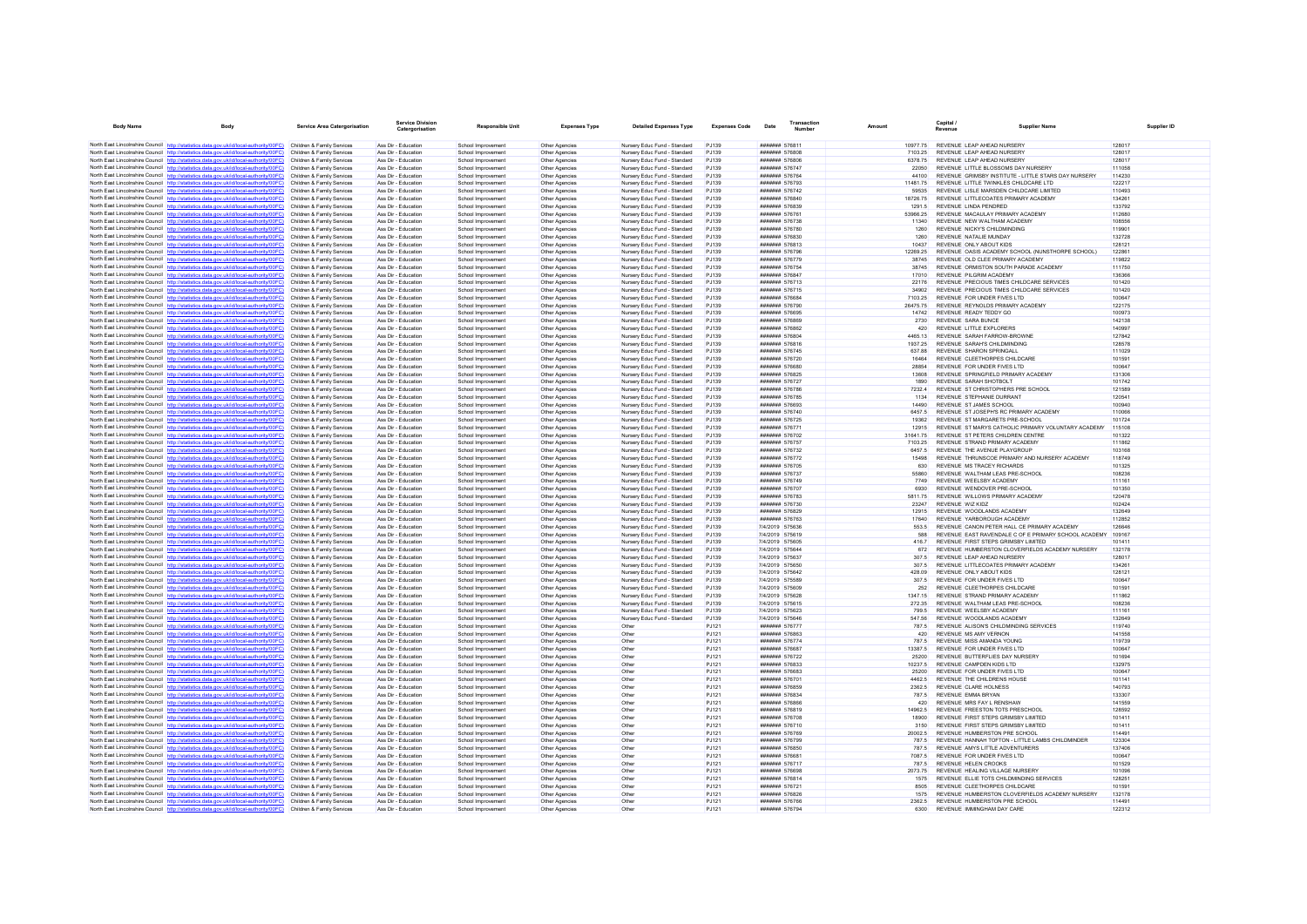| North East Lincolnshire Council http://statistics.data.gov.uk/id/local-authority/00FC) Children & Family Services<br>Nursery Educ Fund - Standard<br>####### 576811<br>10977.75 REVENUE LEAP AHEAD NURSERY<br>Ass Dir - Education<br>School Improvement<br>Other Agencies<br>P.1139<br>128017<br>North East Lincolnshire Council http://statistics.data.gov.uk/id/local-authority/00FC)<br>Nursery Educ Fund - Standard<br>REVENUE LEAP AHEAD NURSERY<br>Children & Family Services<br>Ass Dir - Education<br>School Improvement<br>Other Agencies<br>P.1139<br><b>#######</b> 576808<br>7103 25<br>128017<br>North East Lincolnshire Council http://statistics.data.gov.uk/id/local-authority/00FC)<br>Children & Family Services<br>Ass Dir - Education<br>Other Agencies<br>Nursery Educ Fund - Standard<br><b>###### 576806</b><br>REVENUE LEAP AHEAD NURSERY<br>128017<br>School Improvement<br>PJ139<br>6378.75<br>North East Lincolnshire Council http://statistics.data.gov.uk/id/local-authority/00FC)<br>Nursery Educ Fund - Standard<br>REVENUE LITTLE BLOSSOMS DAY NURSERY<br>111058<br>Children & Family Services<br>Ass Dir - Education<br>School Improvement<br>Other Agencies<br>PJ139<br>####### 576747<br>22050<br>North East Lincolnshire Council http://statistics.data.gov.uk/id/local-authority/00FC)<br>Children & Family Services<br>Ass Dir - Education<br>School Improvement<br>Other Agencies<br>Nursery Educ Fund - Standard<br>P.1139<br><b>####### 576764</b><br>44100<br>REVENUE, GRIMSBY INSTITUTE - LITTLE STARS DAY NURSERY<br>114230<br>North East Lincolnshire Council http://statistics.data.gov.uk/id/local-authority/00FC)<br>Nursery Educ Fund - Standard<br>REVENUE LITTLE TWINKLES CHILDCARE LTD<br>122217<br>Children & Family Services<br>Ass Dir - Education<br>School Improvement<br>Other Agencies<br>PJ139<br>####### 576793<br>11481.75<br>North East Lincolnshire Council http://statistics.data.gov.uk/id/local-authority/00FC)<br>Children & Family Services<br>Ass Dir - Education<br>School Improvement<br>Other Agencies<br>Nursery Educ Fund - Standard<br>PJ139<br>####### 576742<br>REVENUE LISLE MARSDEN CHILDCARE LIMITED<br>110493<br>59535<br>North East Lincolnshire Council http://statistics.data.gov.uk/id/local-authority/00FC)<br>REVENUE LITTLECOATES PRIMARY ACADEMY<br>134261<br>Children & Family Services<br>Ass Dir - Education<br>School Improvement<br>Nursery Educ Fund - Standard<br>PJ139<br>####### 576840<br>18726.75<br>Other Agencies<br>North East Lincolnshire Council http://statistics.data.gov.uk/id/local-authority/00FC)<br>Children & Family Services<br>Ass Dir - Education<br>School Improvement<br>Other Agencies<br>Nursery Educ Fund - Standard<br>P.1139<br>####### 576839<br>1291.5<br>REVENUE LINDA PENDRED<br>133792<br>North East Lincolnshire Council http://statistics.data.gov.uk/id/local-authority/00FC)<br>Children & Family Services<br>Ass Dir - Education<br>School Improvement<br>Other Agencies<br>Nursery Educ Fund - Standard<br>PJ139<br>####### 576761<br>53966.25<br>REVENUE MACAULAY PRIMARY ACADEMY<br>112680<br>North East Lincolnshire Council http://statistics.data.gov.uk/id/local-authority/00FC)<br>P.1139<br>REVENUE NEW WALTHAM ACADEMY<br>108556<br>Children & Family Services<br>Ass Dir - Education<br>School Improvement<br>Nursery Educ Fund - Standard<br>####### 576738<br>Other Agencies<br>11340<br>North East Lincolnshire Council http://statistics.data.gov.uk/id/local-authority/00FC)<br>Children & Family Services<br>Ass Dir - Education<br>School Improvement<br>Other Agencies<br>Nursery Educ Fund - Standard<br>P.1139<br>####### 576780<br>1260<br>REVENUE NICKY'S CHILDMINDING<br>119901<br>North East Lincolnshire Council http://statistics.data.gov.uk/id/local-authority/00FC)<br>Children & Family Services<br>Ass Dir - Education<br>School Improvement<br>Other Agencies<br>Nursery Educ Fund - Standard<br>PJ139<br>####### 576830<br>1260<br>REVENUE NATALIE MUNDAY<br>132728<br>North East Lincolnshire Council http://statistics.data.gov.uk/id/local-authority/00FC)<br>Ass Dir - Education<br>Nursery Educ Fund - Standard<br>PJ139<br>####### 576813<br>REVENUE ONLY ABOUT KIDS<br>128121<br>Children & Family Services<br>School Improvement<br>Other Agencies<br>10437<br>North East Lincolnshire Council http://statistics.data.gov.uk/id/local-authority/00FC)<br>REVENUE OASIS ACADEMY SCHOOL (NUNSTHORPE SCHOOL)<br>Children & Family Services<br>Ass Dir - Education<br>School Improvement<br>Other Agencies<br>Nursery Educ Fund - Standard<br>P.1139<br><b>#######</b> 576796<br>12269 25<br>122861<br>North East Lincolnshire Council http://statistics.data.gov.uk/id/local-authority/00FC)<br>Nursery Educ Fund - Standard<br>####### 576779<br>REVENUE OLD CLEE PRIMARY ACADEMY<br>Children & Family Services<br>Ass Dir - Education<br>School Improvement<br>Other Agencies<br>PJ139<br>38745<br>119822<br>North East Lincolnshire Council http://statistics.data.gov.uk/id/local-authority/00FC)<br>Children & Family Services<br>Ass Dir - Education<br>School Improvement<br>Other Agencies<br>Nursery Educ Fund - Standard<br>PJ139<br>####### 576754<br>38745<br>REVENUE ORMISTON SOUTH PARADE ACADEMY<br>111750<br>North East Lincolnshire Council http://statistics.data.gov.uk/id/local-authority/00FC)<br>####### 576847<br>REVENUE PILGRIM ACADEMY<br>136366<br>Ass Dir - Education<br>School Improvement<br>Nursery Educ Fund - Standard<br>PJ139<br>17010<br>Children & Family Services<br>Other Agencies<br>North East Lincolnshire Council http://statistics.data.gov.uk/id/local-authority/00FC)<br>Children & Family Services<br>Ass Dir - Education<br>School Improvement<br>Other Agencies<br>Nursery Educ Fund - Standard<br>P.1139<br>####### 576713<br>22176<br>REVENUE PRECIOUS TIMES CHILDCARE SERVICES<br>101420<br>North East Lincolnshire Council http://statistics.data.gov.uk/id/local-authority/00FC)<br>Children & Family Services<br>Ass Dir - Education<br>School Improvement<br>Other Agencies<br>Nursery Educ Fund - Standard<br>PJ139<br>####### 576715<br>34902<br>REVENUE PRECIOUS TIMES CHILDCARE SERVICES<br>101420<br>North East Lincolnshire Council http://statistics.data.gov.uk/id/local-authority/00FC)<br>Nursery Educ Fund - Standard<br><b>###### 576684</b><br>7103 25<br>REVENUE FOR UNDER FIVES LTD.<br>100647<br>Children & Family Services<br>Ass Dir - Education<br>School Improvement<br>Other Anencies<br>P.1139<br>North East Lincolnshire Council http://statistics.data.gov.uk/id/local-authority/00FC)<br>Children & Family Services<br>Ass Dir - Education<br>School Improvement<br>Other Agencies<br>Nursery Educ Fund - Standard<br>P.1139<br><b>#######</b> 576790<br>REVENUE REYNOLDS PRIMARY ACADEMY<br>122175<br>26475 75<br>North East Lincolnshire Council http://statistics.data.gov.uk/id/local-authority/00FC)<br>Children & Family Services<br>Ass Dir - Education<br>School Improvement<br>Other Agencies<br>Nursery Educ Fund - Standard<br>PJ139<br><b>###### 576695</b><br>14742<br>REVENUE READY TEDDY GO<br>100973<br>North East Lincolnshire Council http://statistics.data.gov.uk/id/local-authority/00FC)<br>Children & Family Services<br>Ass Dir - Education<br>School Improvement<br>Other Agencies<br>Nursery Educ Fund - Standard<br>PJ139<br>####### 576869<br>2730<br>REVENUE SARA BUNCE<br>142138<br>North East Lincolnshire Council http://statistics.data.gov.uk/id/local-authority/00FC)<br>REVENUE LITTLE EXPLORERS<br>140997<br>Children & Family Services<br>Ass Dir - Education<br>School Improvement<br>Other Agencies<br>Nursery Educ Fund - Standard<br>P.1139<br>####### 576862<br>420<br>North East Lincolnshire Council http://statistics.data.gov.uk/id/local-authority/00FC)<br>Ass Dir - Education<br>Nursery Educ Fund - Standard<br>PJ139<br>####### 576804<br>REVENUE SARAH FARROW-BROWNE<br>127842<br>Children & Family Services<br>School Improvement<br>Other Agencies<br>4465 13<br>North East Lincolnshire Council http://statistics.data.gov.uk/id/local-authority/00FC)<br>Children & Family Services<br>Ass Dir - Education<br>School Improvement<br>Other Agencies<br>Nursery Educ Fund - Standard<br>PJ139<br>####### 576816<br>1937.25<br>REVENUE SARAH'S CHILDMINDING<br>128578<br>North East Lincolnshire Council http://statistics.data.gov.uk/id/local-authority/00FC)<br>Children & Family Services<br>Ass Dir - Education<br>School Improvement<br>Other Agencies<br>Nursery Educ Fund - Standard<br>P.1139<br><b>#######</b> 576745<br>637.88<br>REVENUE SHARON SPRINGALL<br>111029<br>North East Lincolnshire Council http://statistics.data.gov.uk/id/local-authority/00FC)<br>Nursery Educ Fund - Standard<br>REVENUE CLEETHORPES CHILDCARE<br>101591<br>Children & Family Services<br>Ass Dir - Education<br>School Improvement<br>Other Agencies<br>PJ139<br>####### 576720<br>16464<br>North East Lincolnshire Council http://statistics.data.gov.uk/id/local-authority/00FC)<br>Children & Family Services<br>Ass Dir - Education<br>School Improvement<br>Other Agencies<br>Nursery Educ Fund - Standard<br>PJ139<br>####### 576680<br>28854<br>REVENUE FOR UNDER FIVES LTD<br>100647<br>North East Lincolnshire Council http://statistics.data.gov.uk/id/local-authority/00FC)<br>131306<br>Children & Family Services<br>Ass Dir - Education<br>Nursery Educ Fund - Standard<br>PJ139<br>13608<br>REVENUE SPRINGFIELD PRIMARY ACADEMY<br>School Improvement<br>Other Agencies<br>####### 576825<br>North East Lincolnshire Council http://statistics.data.gov.uk/id/local-authority/00FC)<br>Children & Family Services<br>Ass Dir - Education<br>School Improvement<br>Other Agencies<br>Nursery Educ Fund - Standard<br>P.1139<br><b>####### 576727</b><br>1890<br>REVENUE SARAH SHOTBOLT<br>101742<br>North East Lincolnshire Council http://statistics.data.gov.uk/id/local-authority/00FC)<br>Nursery Educ Fund - Standard<br>REVENUE ST CHRISTOPHERS PRE SCHOOL<br>Children & Family Services<br>Ass Dir - Education<br>School Improvement<br>Other Agencies<br>PJ139<br>####### 576786<br>7232.4<br>121589<br>North East Lincolnshire Council http://statistics.data.gov.uk/id/local-authority/00FC)<br>P.1139<br>REVENUE STEPHANIE DURRANT<br>120541<br>Children & Family Services<br>Ass Dir - Education<br>School Improvement<br>Nursery Educ Fund - Standard<br><b>###### 576785</b><br>1134<br>Other Agencies<br>North East Lincolnshire Council http://statistics.data.gov.uk/id/local-authority/00FC)<br>100940<br>Children & Family Services<br>Ass Dir - Education<br>School Improvement<br>Other Agencies<br>Nursery Educ Fund - Standard<br>P.1139<br><b>####### 576693</b><br>14490<br>REVENUE ST JAMES SCHOOL<br>North East Lincolnshire Council http://statistics.data.gov.uk/id/local-authority/00FC)<br>Children & Family Services<br>Ass Dir - Education<br>School Improvement<br>Other Agencies<br>Nursery Educ Fund - Standard<br>PJ139<br>####### 576740<br>6457.5<br>REVENUE ST JOSEPH'S RC PRIMARY ACADEMY<br>110066<br>North East Lincolnshire Council http://statistics.data.gov.uk/id/local-authority/00FC)<br>101724<br>Children & Family Services<br>Ass Dir - Education<br>Nursery Educ Fund - Standard<br>PJ139<br>####### 576725<br>19362<br>REVENUE ST MARGARETS PRE-SCHOOL<br>School Improvement<br>Other Agencies<br>North East Lincolnshire Council http://statistics.data.gov.uk/id/local-authority/00FC)<br>Children & Family Services<br>Ass Dir - Education<br>School Improvement<br>Other Agencies<br>Nursery Educ Fund - Standard<br>P.1139<br><b>#######</b> 576771<br>12915<br>REVENUE ST MARYS CATHOLIC PRIMARY VOLUNTARY ACADEMY<br>115108<br>North East Lincolnshire Council http://statistics.data.gov.uk/id/local-authority/00FC)<br>Ass Dir - Education<br>Nursery Educ Fund - Standard<br>####### 576702<br>REVENUE ST PETERS CHILDREN CENTRE<br>Children & Family Services<br>School Improvement<br>Other Agencies<br>PJ139<br>31641.75<br>101322<br>North East Lincolnshire Council http://statistics.data.gov.uk/id/local-authority/00FC)<br>Children & Family Services<br>Ass Dir - Education<br>School Improvement<br>Other Agencies<br>Nursery Educ Fund - Standard<br>PJ139<br>####### 576757<br>7103.25<br>REVENUE STRAND PRIMARY ACADEMY<br>111862<br>North East Lincolnshire Council http://statistics.data.gov.uk/id/local-authority/00FC)<br>Children & Family Services<br>Ass Dir - Education<br>Nursery Educ Fund - Standard<br>PJ139<br>####### 576732<br>REVENUE THE AVENUE PLAYGROUP<br>103168<br>School Improvement<br>Other Agencies<br>6457.5<br>North East Lincolnshire Council http://statistics.data.gov.uk/id/local-authority/00FC)<br>Children & Family Services<br>Ass Dir - Education<br>School Improvement<br>Other Agencies<br>Nursery Educ Fund - Standard<br>P.1139<br><b>####### 576772</b><br>15498<br>REVENUE THRUNSCOE PRIMARY AND NURSERY ACADEMY<br>118749<br>North East Lincolnshire Council http://statistics.data.gov.uk/id/local-authority/00FC)<br>101325<br>Children & Family Services<br>Ass Dir - Education<br>School Improvement<br>Other Agencies<br>Nursery Educ Fund - Standard<br>PJ139<br>####### 576705<br>630<br>REVENUE MS TRACEY RICHARDS<br>North East Lincolnshire Council http://statistics.data.gov.uk/id/local-authority/00FC)<br>REVENUE WAI THAM LEAS PRE-SCHOOL<br>Children & Family Services<br>Ass Dir - Education<br>Nursery Educ Fund - Standard<br>P.1139<br>####### 576737<br>55860<br>108236<br>School Improvement<br>Other Anencies<br>North East Lincolnshire Council http://statistics.data.gov.uk/id/local-authority/00FC)<br>Children & Family Services<br>Ass Dir - Education<br>School Improvement<br>Other Agencies<br>Nursery Educ Fund - Standard<br>P.1139<br><b>#######</b> 576749<br>7749<br>REVENUE WEELSBY ACADEMY<br>111161<br>North East Lincolnshire Council http://statistics.data.gov.uk/id/local-authority/00FC)<br>REVENUE WENDOVER PRE-SCHOOL<br>Children & Family Services<br>Ass Dir - Education<br>School Improvement<br>Other Agencies<br>Nursery Educ Fund - Standard<br>PJ139<br>####### 576707<br>6930<br>101350<br>North East Lincolnshire Council http://statistics.data.gov.uk/id/local-authority/00FC)<br>Nursery Educ Fund - Standard<br>REVENUE WILLOWS PRIMARY ACADEMY<br>120478<br>Children & Family Services<br>Ass Dir - Education<br>School Improvement<br>Other Agencies<br>PJ139<br>####### 576783<br>581175<br>North East Lincolnshire Council http://statistics.data.gov.uk/id/local-authority/00FC)<br>102424<br>Children & Family Services<br>Ass Dir - Education<br>School Improvement<br>Other Agencies<br>Nursery Educ Fund - Standard<br>P.1139<br><b>#######</b> 576730<br>23247<br>REVENUE WIZ KIDZ<br>North East Lincolnshire Council http://statistics.data.gov.uk/id/local-authority/00FC)<br>Ass Dir - Education<br>Nursery Educ Fund - Standard<br>PJ139<br>####### 576829<br>REVENUE WOODLANDS ACADEMY<br>132649<br>Children & Family Services<br>School Improvement<br>Other Agencies<br>12915<br>North East Lincolnshire Council http://statistics.data.gov.uk/id/local-authority/00FC)<br>Children & Family Services<br>Ass Dir - Education<br>School Improvement<br>Other Agencies<br>Nursery Educ Fund - Standard<br>PJ139<br>####### 576763<br>17640<br>REVENUE YARBOROUGH ACADEMY<br>112852<br>North East Lincolnshire Council http://statistics.data.gov.uk/id/local-authority/00FC)<br>PJ139<br>7/4/2019 575636<br>REVENUE CANON PETER HALL CE PRIMARY ACADEMY<br>126646<br>Children & Family Services<br>Ass Dir - Education<br>School Improvement<br>Nursery Educ Fund - Standard<br>553.5<br>Other Agencies<br>North East Lincolnshire Council http://statistics.data.gov.uk/id/local-authority/00FC)<br>Nursery Educ Fund - Standard<br>7/4/2019 575619<br>REVENUE EAST RAVENDALE C OF E PRIMARY SCHOOL ACADEMY<br>109167<br>Children & Family Services<br>Ass Dir - Education<br>School Improvement<br>Other Agencies<br>PJ139<br>588<br>North East Lincolnshire Council http://statistics.data.gov.uk/id/local-authority/00FC)<br>Children & Family Services<br>Ass Dir - Education<br>School Improvement<br>Other Agencies<br>Nursery Educ Fund - Standard<br>PJ139<br>7/4/2019 575605<br>REVENUE FIRST STEPS GRIMSBY LIMITED<br>101411<br>416.7<br>North East Lincolnshire Council http://statistics.data.gov.uk/id/local-authority/00FC)<br>Ass Dir - Education<br>Nursery Educ Fund - Standard<br>PJ139<br>7/4/2019 575644<br>REVENUE HUMBERSTON CLOVERFIELDS ACADEMY NURSERY<br>132178<br>Children & Family Services<br>School Improvement<br>Other Agencies<br>672<br>North East Lincolnshire Council http://statistics.data.gov.uk/id/local-authority/00FC)<br>Children & Family Services<br>Ass Dir - Education<br>School Improvement<br>Other Agencies<br>Nursery Educ Fund - Standard<br>P.1139<br>7/4/2019 575637<br>REVENUE I FAP AHEAD NURSERY<br>128017<br>307.5<br>North East Lincolnshire Council http://statistics.data.gov.uk/id/local-authority/00FC)<br>Children & Family Services<br>Ass Dir - Education<br>School Improvement<br>Other Agencies<br>Nursery Educ Fund - Standard<br>PJ139<br>7/4/2019 575650<br>307.5<br>REVENUE LITTLECOATES PRIMARY ACADEMY<br>134261<br>North East Lincolnshire Council http://statistics.data.gov.uk/id/local-authority/00FC)<br>P.1139<br>7/4/2019 575642<br>REVENUE ONLY ABOUT KIDS<br>128121<br>Children & Family Services<br>Ass Dir - Education<br>School Improvement<br>Nursery Educ Fund - Standard<br>428.09<br>Other Agencies<br>North East Lincolnshire Council http://statistics.data.gov.uk/id/local-authority/00FC)<br>REVENUE FOR UNDER FIVES LTD.<br>Children & Family Services<br>Ass Dir - Education<br>School Improvement<br>Other Agencies<br>Nursery Educ Fund - Standard<br>P.1139<br>7/4/2019 575589<br>307.5<br>100647<br>North East Lincolnshire Council http://statistics.data.gov.uk/id/local-authority/00FC)<br>Ass Dir - Education<br>Other Agencies<br>Nursery Educ Fund - Standard<br>PJ139<br>7/4/2019 575609<br>REVENUE CLEETHORPES CHILDCARE<br>101591<br>Children & Family Services<br>School Improvement<br>252<br>North East Lincolnshire Council http://statistics.data.gov.uk/id/local-authority/00FC)<br>REVENUE STRAND PRIMARY ACADEMY<br>111862<br>Children & Family Services<br>Ass Dir - Education<br>School Improvement<br>Nursery Educ Fund - Standard<br>PJ139<br>7/4/2019 575628<br>1347.15<br>Other Agencies<br>North East Lincolnshire Council http://statistics.data.gov.uk/id/local-authority/00FC)<br>Children & Family Services<br>Ass Dir - Education<br>School Improvement<br>Other Agencies<br>Nursery Educ Fund - Standard<br>P.1139<br>7/4/2019 575615<br>272.35<br>REVENUE WALTHAM LEAS PRE-SCHOOL<br>108236<br>North East Lincolnshire Council http://statistics.data.gov.uk/id/local-authority/00FC)<br>Nursery Educ Fund - Standard<br>7/4/2019 575623<br>REVENUE WEELSBY ACADEMY<br>Children & Family Services<br>Ass Dir - Education<br>School Improvement<br>Other Agencies<br>PJ139<br>799.5<br>111161<br>North East Lincolnshire Council http://statistics.data.gov.uk/id/local-authority/00FC)<br>Children & Family Services<br>Ass Dir - Education<br>School Improvement<br>Other Agencies<br>Nursery Educ Fund - Standard<br>PJ139<br>7/4/2019 575646<br>547.56<br>REVENUE WOODLANDS ACADEMY<br>132649<br>North East Lincolnshire Council http://statistics.data.gov.uk/id/local-authority/00FC)<br>REVENUE ALISON'S CHILDMINDING SERVICES<br>119740<br>Children & Family Services<br>Ass Dir - Education<br>PJ121<br>####### 576777<br>787.5<br>School Improvement<br>Other Agencies<br>Other<br>North East Lincolnshire Council http://statistics.data.gov.uk/id/local-authority/00FC)<br>Children & Family Services<br>Ass Dir - Education<br>School Improvement<br>Other Agencies<br>Other<br>PJ121<br><b>#######</b> 576863<br>REVENUE MS AMY VERNON<br>141558<br>420<br>North East Lincolnshire Council http://statistics.data.gov.uk/id/local-authority/00FC)<br>Children & Family Services<br>Ass Dir - Education<br>School Improvement<br>Other Agencies<br>Other<br>PJ121<br><b>####### 576774</b><br>787.5<br>REVENUE MISS AMANDA YOUNG<br>119739<br>North East Lincolnshire Council http://statistics.data.gov.uk/id/local-authority/00FC)<br>####### 576687<br>13387.5 REVENUE FOR UNDER FIVES LTD<br>100647<br>Children & Family Services<br>Ass Dir - Education<br>School Improvement<br>Other Agencies<br>Other<br>PJ121<br>North East Lincolnshire Council http://statistics.data.gov.uk/id/local-authority/00FC)<br>Children & Family Services<br>Ass Dir - Education<br>School Improvement<br>Other Agencies<br>Other<br>PJ121<br>####### 576722<br>REVENUE BUTTERELIES DAY NURSERY<br>101694<br>25200<br>North East Lincolnshire Council http://statistics.data.gov.uk/id/local-authority/00FC)<br>Children & Family Services<br>Ass Dir - Education<br>School Improvement<br>Other Agencies<br>Other<br>PJ121<br>####### 576833<br>10237.5<br>REVENUE CAMPDEN KIDS LTD<br>132975<br>North East Lincolnshire Council http://statistics.data.gov.uk/id/local-authority/00FC)<br>####### 576683<br>REVENUE FOR UNDER FIVES LTD<br>Children & Family Services<br>Ass Dir - Education<br>100647<br>School Improvement<br>Other Agencies<br>Other<br>PJ121<br>25200<br>North East Lincolnshire Council http://statistics.data.gov.uk/id/local-authority/00FC)<br>Children & Family Services<br>Ass Dir - Education<br>School Improvement<br>Other Agencies<br>Other<br>P.1121<br><b>#######</b> 576701<br>4462.5<br>REVENUE THE CHILDRENS HOUSE<br>101141<br>North East Lincolnshire Council http://statistics.data.gov.uk/id/local-authority/00FC)<br>Ass Dir - Education<br>Other<br>PJ121<br>####### 576859<br>2362.5<br>REVENUE CLARE HOLNESS<br>140793<br>Children & Family Services<br>School Improvement<br>Other Agencies<br>North East Lincolnshire Council http://statistics.data.gov.uk/id/local-authority/00FC)<br>Children & Family Services<br>Ass Dir - Education<br>School Improvement<br>Other Agencies<br>Other<br>PJ121<br>####### 576834<br>787.5<br>REVENUE EMMA BRYAN<br>133307<br>North East Lincolnshire Council http://statistics.data.gov.uk/id/local-authority/00FC)<br>141559<br>Children & Family Services<br>Ass Dir - Education<br>School Improvement<br>Other<br>PJ121<br>####### 576866<br>420<br>REVENUE MRS FAY L RENSHAW<br>Other Agencies<br>North East Lincolnshire Council http://statistics.data.gov.uk/id/local-authority/00FC)<br>Children & Family Services<br>Ass Dir - Education<br>School Improvement<br>Other Agencies<br>Other<br>PJ121<br>####### 576819<br>14962.5<br>REVENUE FREESTON TOTS PRESCHOOL<br>128592<br>North East Lincolnshire Council http://statistics.data.gov.uk/id/local-authority/00FC)<br>Children & Family Services<br>Ass Dir - Education<br>School Improvement<br>Other Agencies<br>Other<br>PJ121<br>####### 576708<br>18900<br>REVENUE FIRST STEPS GRIMSBY LIMITED<br>101411<br>North East Lincolnshire Council http://statistics.data.gov.uk/id/local-authority/00FC)<br>101411<br>Children & Family Services<br>Ass Dir - Education<br>School Improvement<br>Other<br>P.1121<br><b>####### 576710</b><br>3150<br>REVENUE FIRST STEPS GRIMSBY LIMITED<br>Other Agencies<br>North East Lincolnshire Council http://statistics.data.gov.uk/id/local-authority/00FC)<br>Children & Family Services<br>Ass Dir - Education<br>School Improvement<br>Other Agencies<br>Other<br>PJ121<br><b>#######</b> 576769<br>20002.5<br>REVENUE HUMBERSTON PRESCHOOL<br>114491<br>North East Lincolnshire Council http://statistics.data.gov.uk/id/local-authority/00FC)<br>Children & Family Services<br>Ass Dir - Education<br>School Improvement<br>Other Agencies<br>Other<br>PJ121<br>####### 576799<br>787.5<br>REVENUE HANNAH TOFTON - LITTLE LAMBS CHILDMINDER<br>123304<br>North East Lincolnshire Council http://statistics.data.gov.uk/id/local-authority/00FC)<br>REVENUE AMYS LITTLE ADVENTURERS<br>137406<br>Children & Family Services<br>Ass Dir - Education<br>School Improvement<br>Other<br>PJ121<br>####### 576850<br>7875<br>Other Agencies<br>North East Lincolnshire Council http://statistics.data.gov.uk/id/local-authority/00FC)<br>REVENUE FOR UNDER FIVES LTD.<br>100647<br>Children & Family Services<br>Ass Dir - Education<br>School Improvement<br>Other Agencies<br>Other<br>P.1121<br><b>#######</b> 576681<br>7087.5<br>North East Lincolnshire Council http://statistics.data.gov.uk/id/local-authority/00FC)<br>Children & Family Services<br>Ass Dir - Education<br>Other Agencies<br>####### 576717<br>REVENUE HELEN CROOKS<br>101529<br>School Improvement<br>Other<br>PJ121<br>787.5<br>North East Lincolnshire Council http://statistics.data.gov.uk/id/local-authority/00FC)<br>Children & Family Services<br>Ass Dir - Education<br>School Improvement<br>Other Agencies<br>Other<br>PJ121<br>####### 576698<br>2073.75<br>REVENUE HEALING VILLAGE NURSERY<br>101096<br>####### 576814<br>REVENUE ELLIE TOTS CHILDMINDING SERVICES<br>128251<br>North East Lincolnshire Council http://statistics.data.gov.uk/id/local-authority/00FC)<br>Ass Dir - Education<br>Other<br>PJ121<br>1575<br>Children & Family Services<br>School Improvement<br>Other Agencies<br>North East Lincolnshire Council http://statistics.data.gov.uk/id/local-authority/00FC)<br>####### 576721<br>REVENUE CLEETHORPES CHILDCARE<br>Children & Family Services<br>Ass Dir - Education<br>School Improvement<br>Other Agencies<br>Other<br>PJ121<br>8505<br>101591<br>North East Lincolnshire Council http://statistics.data.gov.uk/id/local-authority/00FC)<br>Children & Family Services<br>Ass Dir - Education<br>School Improvement<br>Other<br>PJ121<br>####### 576826<br>1575<br>REVENUE HUMBERSTON CLOVERFIELDS ACADEMY NURSERY<br>132178<br>Other Agencies<br>North East Lincolnshire Council http://statistics.data.gov.uk/id/local-authority/00FC)<br>REVENUE HUMBERSTON PRE SCHOOL<br>Children & Family Services<br>Ass Dir - Education<br>####### 576766<br>2362.5<br>114491<br>School Improvement<br>Other Agencies<br>Other<br>PJ121<br>North East Lincolnshire Council http://statistics.data.gov.uk/id/local-authority/00FC)<br><b>####### 576794</b><br>REVENUE IMMINGHAM DAY CARE | <b>Body Name</b> | <b>Body</b> | <b>Service Area Catergorisation</b> | <b>Service Division</b><br>Catergorisation | Responsible Unit   | <b>Expenses Type</b> | <b>Detailed Expenses Type</b> | <b>Expenses Code</b> | Transaction<br>Date | Amount | Capital /<br>Revenue | <b>Supplier Name</b> |        |
|----------------------------------------------------------------------------------------------------------------------------------------------------------------------------------------------------------------------------------------------------------------------------------------------------------------------------------------------------------------------------------------------------------------------------------------------------------------------------------------------------------------------------------------------------------------------------------------------------------------------------------------------------------------------------------------------------------------------------------------------------------------------------------------------------------------------------------------------------------------------------------------------------------------------------------------------------------------------------------------------------------------------------------------------------------------------------------------------------------------------------------------------------------------------------------------------------------------------------------------------------------------------------------------------------------------------------------------------------------------------------------------------------------------------------------------------------------------------------------------------------------------------------------------------------------------------------------------------------------------------------------------------------------------------------------------------------------------------------------------------------------------------------------------------------------------------------------------------------------------------------------------------------------------------------------------------------------------------------------------------------------------------------------------------------------------------------------------------------------------------------------------------------------------------------------------------------------------------------------------------------------------------------------------------------------------------------------------------------------------------------------------------------------------------------------------------------------------------------------------------------------------------------------------------------------------------------------------------------------------------------------------------------------------------------------------------------------------------------------------------------------------------------------------------------------------------------------------------------------------------------------------------------------------------------------------------------------------------------------------------------------------------------------------------------------------------------------------------------------------------------------------------------------------------------------------------------------------------------------------------------------------------------------------------------------------------------------------------------------------------------------------------------------------------------------------------------------------------------------------------------------------------------------------------------------------------------------------------------------------------------------------------------------------------------------------------------------------------------------------------------------------------------------------------------------------------------------------------------------------------------------------------------------------------------------------------------------------------------------------------------------------------------------------------------------------------------------------------------------------------------------------------------------------------------------------------------------------------------------------------------------------------------------------------------------------------------------------------------------------------------------------------------------------------------------------------------------------------------------------------------------------------------------------------------------------------------------------------------------------------------------------------------------------------------------------------------------------------------------------------------------------------------------------------------------------------------------------------------------------------------------------------------------------------------------------------------------------------------------------------------------------------------------------------------------------------------------------------------------------------------------------------------------------------------------------------------------------------------------------------------------------------------------------------------------------------------------------------------------------------------------------------------------------------------------------------------------------------------------------------------------------------------------------------------------------------------------------------------------------------------------------------------------------------------------------------------------------------------------------------------------------------------------------------------------------------------------------------------------------------------------------------------------------------------------------------------------------------------------------------------------------------------------------------------------------------------------------------------------------------------------------------------------------------------------------------------------------------------------------------------------------------------------------------------------------------------------------------------------------------------------------------------------------------------------------------------------------------------------------------------------------------------------------------------------------------------------------------------------------------------------------------------------------------------------------------------------------------------------------------------------------------------------------------------------------------------------------------------------------------------------------------------------------------------------------------------------------------------------------------------------------------------------------------------------------------------------------------------------------------------------------------------------------------------------------------------------------------------------------------------------------------------------------------------------------------------------------------------------------------------------------------------------------------------------------------------------------------------------------------------------------------------------------------------------------------------------------------------------------------------------------------------------------------------------------------------------------------------------------------------------------------------------------------------------------------------------------------------------------------------------------------------------------------------------------------------------------------------------------------------------------------------------------------------------------------------------------------------------------------------------------------------------------------------------------------------------------------------------------------------------------------------------------------------------------------------------------------------------------------------------------------------------------------------------------------------------------------------------------------------------------------------------------------------------------------------------------------------------------------------------------------------------------------------------------------------------------------------------------------------------------------------------------------------------------------------------------------------------------------------------------------------------------------------------------------------------------------------------------------------------------------------------------------------------------------------------------------------------------------------------------------------------------------------------------------------------------------------------------------------------------------------------------------------------------------------------------------------------------------------------------------------------------------------------------------------------------------------------------------------------------------------------------------------------------------------------------------------------------------------------------------------------------------------------------------------------------------------------------------------------------------------------------------------------------------------------------------------------------------------------------------------------------------------------------------------------------------------------------------------------------------------------------------------------------------------------------------------------------------------------------------------------------------------------------------------------------------------------------------------------------------------------------------------------------------------------------------------------------------------------------------------------------------------------------------------------------------------------------------------------------------------------------------------------------------------------------------------------------------------------------------------------------------------------------------------------------------------------------------------------------------------------------------------------------------------------------------------------------------------------------------------------------------------------------------------------------------------------------------------------------------------------------------------------------------------------------------------------------------------------------------------------------------------------------------------------------------------------------------------------------------------------------------------------------------------------------------------------------------------------------------------------------------------------------------------------------------------------------------------------------------------------------------------------------------------------------------------------------------------------------------------------------------------------------------------------------------------------------------------------------------------------------------------------------------------------------------------------------------------------------------------------------------------------------------------------------------------------------------------------------------------------------------------------------------------------------------------------------------------------------------------------------------------------------------------------------------------------------------------------------------------------------------------------------------------------------------------------------------------------------------------------------------------------------------------------------------------------------------------------------------------------------------------------------------------------------------------------------------------------------------------------------------------------------------------------------------------------------------------------------------------------------------------------------------------------------------------------------------------------------------------------------------------------------------------------------------------------------------------------------------------------------------------------------------------------------------------------------------------------------------------------------------------------------------------------------------------------------------------------------------------------------------------------------------------------------------------------------------------------------------------------------------------------------------------------------------------------------------------------------------------------------------------------------------------------------------------------------------------------------------------------------------------------------------------------------------------------------------------------------------------------------------------------------------------------------------------------------------------------------------------------------------------------------------------------------------------------------------------------------------------------------------------------------------------------------------------------------------------------------------------------------------------------------------------------------------------------------------------------------------------------------------------------------------------------------------------------------------------------------------------------------------------------------------------------------------------------------------------------------------------------------------------------------------------------------------------------------------------------------------------------------------------------------------------------------------------------------------------------------------------------------------------------------------------------------------------------------------------------------------------------------------------------------------------------------------------------------------------------------------------------------------------------------------------------------------------------------------------------------------------------------------------------------------------------------------------------------------------------------------------------------------------------------------------------------------------------------------------------------------------------------------------------------------------------------------------------------------------------------------------------------------------------------------------------------------------------------------------------------------------------------------------------------------------------------------------------------------------------------------------------------------------------------------------------------------------------------------------------------------------------------------------------------------------------------------------------------------------------------------------------------------------------------------------------------------------------------------------------------------------------------------------------------------------------------------------------------------------------------------------------------------------------------------------------------------------------------------------------------------------------------------------------------------------------------------------------------------------------------------------------------------------------------------------------------------------------------------------------------------------------------------------------------------------------------------------------------------------------------------------------------------------------------------------------------------------------------------------------------------------------------------------------------------------------------------------------------------------------------------------------------------------------------------------------------------------------------------------------------------------------------------------------------------------------------------------------------------------------------------------------------------------------------------------------------------------------------------------------------------------------------------------------------------------------------------------------------------------------------------------------------------------------------------------------------------------------------------------------------------------------------------------------------------------------------------------------------------------------------------------------------------------------------------------------------------------------------------------------------------------------------------------------------------------------------------------------------------------------------------------------------------------------------------------------------------------------------------------------------------------------------------------------------------------------------------------------------------------------------------------------------------------------------------------------------------------------------------------------------------------------------------------------------------------------------------------------------------------------------------------------------------------------------------------------------------------------------------------------------------------------------------------------------------------------------------------------------------------------------------------------------------------------------------------------------------------------------------------------------------------------------------------------------------------------------------------------------------------------------------------------------------------------------------------------------------------------------------------------------------------------------------------------------------------------------------------------------------------------------------------------------------------------------------------------------------------------------------------------------------------------------------------------------------------------------------------------------------------------------------------------------------------------------------------------------------------------------------------------------------------------------------------------------------------------------------------------------------------------------------------------------------------------------------------------------------------------------------------------------------------------------------------------------------------------------------------------------------------------------------------------------------------------------------------------------------------------------------------------------------------------------------------------------------------------------------------------------------------------------------------------------------------------------------------------------------------------------------------------------------------------------------------------------------------------------------------------------------------------------------------------------------------------------------------------------------------------------------------------------------------------------------------------------------------------------------------------------------------------------------------------------------------------------------------------------------------------------------------------------------------------------------------------------------------------------------------------------------------------------------------------------------------------------------------------------------------------------------------------------------------------------------------------------------------------------------------------------------------------------------------------------------------------------------------------------------------------------------------------------------------------------------------------------------------------------------------------------------------------------------------------------------------------------------------------------------------------------------------------------------------------------------------------------------------------------------------------------------------------------------------------------------------------------------------------------------------------------------------------------------------------------------------------------------------------------------------------------------------------------------------------------------------------------------------------------------------------------------------------------------------------------------------------------------------------------------------------------------------------------------------------------------------------------------------------------------------------------------------------------------------------------------------------------------------------------------------------------------------------------------------------------------------------------------------------------------------------------------------------------------------------------------------------------------------------------------------------------------------------------------------------------------------------------------------------------------------------------------------------------------------------------------------------------------------------------------------------------------------------------------------------------------------------------------------------------------------------------------------------------------------------------------------------------------------------------------------------------------------------------------------------------------------------------------------------------------------------------------------------------------------------------------------------------------------------------------------------------------------------------------------------------------------------------------------------------------------------------------------------------------------------------------------------------------------------------------------------------------------------------------------------------------------------------------------------------------------------------------------------------------------------------------------------------------------------------------------------------------------------------------------------------------------------------------------------------------------------------------------------------------------------------------------------------------------------------------------------------------------------------------------------------------------------------------------------------------------------------------------------------------------------------------------------------------------------------------------------------------------------------------------------------------------------------------------------------------------------------------------------------------------------------------------------------------------------------------------------------------------------------------------------------------------------------------------------------------------------------------------------------------------------------------------------------------------------------------------------------------------------------------------------------------------------------------------------------------------------------------------------------------------------------------------------------------------------------------------------------------------------------------------------------------------------------------------------------------------------------------------------------------------------------------------------------------------------------------------------------------------------------------------------------------------------------------------------------------------------------------------------------------------------------------------------------------------------------------------------------------------------------------------------------------------------------------------------------------------------------------------------------------------------------------------------------------------------------------------------------------------------------------------------------------------------------------------------------------------------------------------------------------------------------------------------------------------------------------------------------------------------------------------------------------------------------------------------------------------------------------------------------------------------------------------------------------------------------------------------------------------------------------------------------------------------------------|------------------|-------------|-------------------------------------|--------------------------------------------|--------------------|----------------------|-------------------------------|----------------------|---------------------|--------|----------------------|----------------------|--------|
|                                                                                                                                                                                                                                                                                                                                                                                                                                                                                                                                                                                                                                                                                                                                                                                                                                                                                                                                                                                                                                                                                                                                                                                                                                                                                                                                                                                                                                                                                                                                                                                                                                                                                                                                                                                                                                                                                                                                                                                                                                                                                                                                                                                                                                                                                                                                                                                                                                                                                                                                                                                                                                                                                                                                                                                                                                                                                                                                                                                                                                                                                                                                                                                                                                                                                                                                                                                                                                                                                                                                                                                                                                                                                                                                                                                                                                                                                                                                                                                                                                                                                                                                                                                                                                                                                                                                                                                                                                                                                                                                                                                                                                                                                                                                                                                                                                                                                                                                                                                                                                                                                                                                                                                                                                                                                                                                                                                                                                                                                                                                                                                                                                                                                                                                                                                                                                                                                                                                                                                                                                                                                                                                                                                                                                                                                                                                                                                                                                                                                                                                                                                                                                                                                                                                                                                                                                                                                                                                                                                                                                                                                                                                                                                                                                                                                                                                                                                                                                                                                                                                                                                                                                                                                                                                                                                                                                                                                                                                                                                                                                                                                                                                                                                                                                                                                                                                                                                                                                                                                                                                                                                                                                                                                                                                                                                                                                                                                                                                                                                                                                                                                                                                                                                                                                                                                                                                                                                                                                                                                                                                                                                                                                                                                                                                                                                                                                                                                                                                                                                                                                                                                                                                                                                                                                                                                                                                                                                                                                                                                                                                                                                                                                                                                                                                                                                                                                                                                                                                                                                                                                                                                                                                                                                                                                                                                                                                                                                                                                                                                                                                                                                                                                                                                                                                                                                                                                                                                                                                                                                                                                                                                                                                                                                                                                                                                                                                                                                                                                                                                                                                                                                                                                                                                                                                                                                                                                                                                                                                                                                                                                                                                                                                                                                                                                                                                                                                                                                                                                                                                                                                                                                                                                                                                                                                                                                                                                                                                                                                                                                                                                                                                                                                                                                                                                                                                                                                                                                                                                                                                                                                                                                                                                                                                                                                                                                                                                                                                                                                                                                                                                                                                                                                                                                                                                                                                                                                                                                                                                                                                                                                                                                                                                                                                                                                                                                                                                                                                                                                                                                                                                                                                                                                                                                                                                                                                                                                                                                                                                                                                                                                                                                                                                                                                                                                                                                                                                                                                                                                                                                                                                                                                                                                                                                                                                                                                                                                                                                                                                                                                                                                                                                                                                                                                                                                                                                                                                                                                                                                                                                                                                                                                                                                                                                                                                                                                                                                                                                                                                                                                                                                                                                                                                                                                                                                                                                                                                                                                                                                                                                                                                                                                                                                                                                                                                                                                                                                                                                                                                                                                                                                                                                                                                                                                                                                                                                                                                                                                                                                                                                                                                                                                                                                                                                                                                                                                                                                                                                                                                                                                                                                                                                                                                                                                                                                                                                                                                                                                                                                                                                                                                                                                                                                                                                                                                                                                                                                                                                                                                                                                                                                                                                                                                                                                                                                                                                                                                                                                                                                                                                                                                                                                                                                                                                                                                                                                                                                                                                                                                                                                                                                                                                                                                                                                                                                                                                                                                                                                                                                                                                                                                                                                                                                                                                                                                                                                                                                                                                                                                                                                                                                                                                                                                                                                                                                                                                                                                                                                                                                                                                                                                                                                                                                                                                                                                                                                                                                                                                                                                                                                                                                                                                                                                                                                                                                                                                                                                                                                                                                                                                                                                                                                                                                                                                                                                                                                                                                                                                                                                                                                                                                                                                                                                                                                                                                                                                                                                                                                                                                                                                                                                                                                                                                                                                                                                                                                                                                                                                                                                                                                                                                                                      |                  |             |                                     |                                            |                    |                      |                               |                      |                     |        |                      |                      |        |
|                                                                                                                                                                                                                                                                                                                                                                                                                                                                                                                                                                                                                                                                                                                                                                                                                                                                                                                                                                                                                                                                                                                                                                                                                                                                                                                                                                                                                                                                                                                                                                                                                                                                                                                                                                                                                                                                                                                                                                                                                                                                                                                                                                                                                                                                                                                                                                                                                                                                                                                                                                                                                                                                                                                                                                                                                                                                                                                                                                                                                                                                                                                                                                                                                                                                                                                                                                                                                                                                                                                                                                                                                                                                                                                                                                                                                                                                                                                                                                                                                                                                                                                                                                                                                                                                                                                                                                                                                                                                                                                                                                                                                                                                                                                                                                                                                                                                                                                                                                                                                                                                                                                                                                                                                                                                                                                                                                                                                                                                                                                                                                                                                                                                                                                                                                                                                                                                                                                                                                                                                                                                                                                                                                                                                                                                                                                                                                                                                                                                                                                                                                                                                                                                                                                                                                                                                                                                                                                                                                                                                                                                                                                                                                                                                                                                                                                                                                                                                                                                                                                                                                                                                                                                                                                                                                                                                                                                                                                                                                                                                                                                                                                                                                                                                                                                                                                                                                                                                                                                                                                                                                                                                                                                                                                                                                                                                                                                                                                                                                                                                                                                                                                                                                                                                                                                                                                                                                                                                                                                                                                                                                                                                                                                                                                                                                                                                                                                                                                                                                                                                                                                                                                                                                                                                                                                                                                                                                                                                                                                                                                                                                                                                                                                                                                                                                                                                                                                                                                                                                                                                                                                                                                                                                                                                                                                                                                                                                                                                                                                                                                                                                                                                                                                                                                                                                                                                                                                                                                                                                                                                                                                                                                                                                                                                                                                                                                                                                                                                                                                                                                                                                                                                                                                                                                                                                                                                                                                                                                                                                                                                                                                                                                                                                                                                                                                                                                                                                                                                                                                                                                                                                                                                                                                                                                                                                                                                                                                                                                                                                                                                                                                                                                                                                                                                                                                                                                                                                                                                                                                                                                                                                                                                                                                                                                                                                                                                                                                                                                                                                                                                                                                                                                                                                                                                                                                                                                                                                                                                                                                                                                                                                                                                                                                                                                                                                                                                                                                                                                                                                                                                                                                                                                                                                                                                                                                                                                                                                                                                                                                                                                                                                                                                                                                                                                                                                                                                                                                                                                                                                                                                                                                                                                                                                                                                                                                                                                                                                                                                                                                                                                                                                                                                                                                                                                                                                                                                                                                                                                                                                                                                                                                                                                                                                                                                                                                                                                                                                                                                                                                                                                                                                                                                                                                                                                                                                                                                                                                                                                                                                                                                                                                                                                                                                                                                                                                                                                                                                                                                                                                                                                                                                                                                                                                                                                                                                                                                                                                                                                                                                                                                                                                                                                                                                                                                                                                                                                                                                                                                                                                                                                                                                                                                                                                                                                                                                                                                                                                                                                                                                                                                                                                                                                                                                                                                                                                                                                                                                                                                                                                                                                                                                                                                                                                                                                                                                                                                                                                                                                                                                                                                                                                                                                                                                                                                                                                                                                                                                                                                                                                                                                                                                                                                                                                                                                                                                                                                                                                                                                                                                                                                                                                                                                                                                                                                                                                                                                                                                                                                                                                                                                                                                                                                                                                                                                                                                                                                                                                                                                                                                                                                                                                                                                                                                                                                                                                                                                                                                                                                                                                                                                                                                                                                                                                                                                                                                                                                                                                                                                                                                                                                                                                                                                                                                                                                                                                                                                                                                                                                                                                                                                                                                                                                                                                                                                                                                                                                                                                                                                                                                                                                                                                                                                                                                                                                                                                                                                                                                                                                                                                                                                                                                      |                  |             |                                     |                                            |                    |                      |                               |                      |                     |        |                      |                      |        |
|                                                                                                                                                                                                                                                                                                                                                                                                                                                                                                                                                                                                                                                                                                                                                                                                                                                                                                                                                                                                                                                                                                                                                                                                                                                                                                                                                                                                                                                                                                                                                                                                                                                                                                                                                                                                                                                                                                                                                                                                                                                                                                                                                                                                                                                                                                                                                                                                                                                                                                                                                                                                                                                                                                                                                                                                                                                                                                                                                                                                                                                                                                                                                                                                                                                                                                                                                                                                                                                                                                                                                                                                                                                                                                                                                                                                                                                                                                                                                                                                                                                                                                                                                                                                                                                                                                                                                                                                                                                                                                                                                                                                                                                                                                                                                                                                                                                                                                                                                                                                                                                                                                                                                                                                                                                                                                                                                                                                                                                                                                                                                                                                                                                                                                                                                                                                                                                                                                                                                                                                                                                                                                                                                                                                                                                                                                                                                                                                                                                                                                                                                                                                                                                                                                                                                                                                                                                                                                                                                                                                                                                                                                                                                                                                                                                                                                                                                                                                                                                                                                                                                                                                                                                                                                                                                                                                                                                                                                                                                                                                                                                                                                                                                                                                                                                                                                                                                                                                                                                                                                                                                                                                                                                                                                                                                                                                                                                                                                                                                                                                                                                                                                                                                                                                                                                                                                                                                                                                                                                                                                                                                                                                                                                                                                                                                                                                                                                                                                                                                                                                                                                                                                                                                                                                                                                                                                                                                                                                                                                                                                                                                                                                                                                                                                                                                                                                                                                                                                                                                                                                                                                                                                                                                                                                                                                                                                                                                                                                                                                                                                                                                                                                                                                                                                                                                                                                                                                                                                                                                                                                                                                                                                                                                                                                                                                                                                                                                                                                                                                                                                                                                                                                                                                                                                                                                                                                                                                                                                                                                                                                                                                                                                                                                                                                                                                                                                                                                                                                                                                                                                                                                                                                                                                                                                                                                                                                                                                                                                                                                                                                                                                                                                                                                                                                                                                                                                                                                                                                                                                                                                                                                                                                                                                                                                                                                                                                                                                                                                                                                                                                                                                                                                                                                                                                                                                                                                                                                                                                                                                                                                                                                                                                                                                                                                                                                                                                                                                                                                                                                                                                                                                                                                                                                                                                                                                                                                                                                                                                                                                                                                                                                                                                                                                                                                                                                                                                                                                                                                                                                                                                                                                                                                                                                                                                                                                                                                                                                                                                                                                                                                                                                                                                                                                                                                                                                                                                                                                                                                                                                                                                                                                                                                                                                                                                                                                                                                                                                                                                                                                                                                                                                                                                                                                                                                                                                                                                                                                                                                                                                                                                                                                                                                                                                                                                                                                                                                                                                                                                                                                                                                                                                                                                                                                                                                                                                                                                                                                                                                                                                                                                                                                                                                                                                                                                                                                                                                                                                                                                                                                                                                                                                                                                                                                                                                                                                                                                                                                                                                                                                                                                                                                                                                                                                                                                                                                                                                                                                                                                                                                                                                                                                                                                                                                                                                                                                                                                                                                                                                                                                                                                                                                                                                                                                                                                                                                                                                                                                                                                                                                                                                                                                                                                                                                                                                                                                                                                                                                                                                                                                                                                                                                                                                                                                                                                                                                                                                                                                                                                                                                                                                                                                                                                                                                                                                                                                                                                                                                                                                                                                                                                                                                                                                                                                                                                                                                                                                                                                                                                                                                                                                                                                                                                                                                                                                                                                                                                                                                                                                                                                                                                                                                                                                                                                                                                                                                                                                                                                                                                                                                                                                                                                                                                                                                                                                                                                                                                                                                                                                                                                                                                                                                                                                                                                                                                                                                                                                                                                                                                                                                                                                                                                                      |                  |             |                                     |                                            |                    |                      |                               |                      |                     |        |                      |                      |        |
|                                                                                                                                                                                                                                                                                                                                                                                                                                                                                                                                                                                                                                                                                                                                                                                                                                                                                                                                                                                                                                                                                                                                                                                                                                                                                                                                                                                                                                                                                                                                                                                                                                                                                                                                                                                                                                                                                                                                                                                                                                                                                                                                                                                                                                                                                                                                                                                                                                                                                                                                                                                                                                                                                                                                                                                                                                                                                                                                                                                                                                                                                                                                                                                                                                                                                                                                                                                                                                                                                                                                                                                                                                                                                                                                                                                                                                                                                                                                                                                                                                                                                                                                                                                                                                                                                                                                                                                                                                                                                                                                                                                                                                                                                                                                                                                                                                                                                                                                                                                                                                                                                                                                                                                                                                                                                                                                                                                                                                                                                                                                                                                                                                                                                                                                                                                                                                                                                                                                                                                                                                                                                                                                                                                                                                                                                                                                                                                                                                                                                                                                                                                                                                                                                                                                                                                                                                                                                                                                                                                                                                                                                                                                                                                                                                                                                                                                                                                                                                                                                                                                                                                                                                                                                                                                                                                                                                                                                                                                                                                                                                                                                                                                                                                                                                                                                                                                                                                                                                                                                                                                                                                                                                                                                                                                                                                                                                                                                                                                                                                                                                                                                                                                                                                                                                                                                                                                                                                                                                                                                                                                                                                                                                                                                                                                                                                                                                                                                                                                                                                                                                                                                                                                                                                                                                                                                                                                                                                                                                                                                                                                                                                                                                                                                                                                                                                                                                                                                                                                                                                                                                                                                                                                                                                                                                                                                                                                                                                                                                                                                                                                                                                                                                                                                                                                                                                                                                                                                                                                                                                                                                                                                                                                                                                                                                                                                                                                                                                                                                                                                                                                                                                                                                                                                                                                                                                                                                                                                                                                                                                                                                                                                                                                                                                                                                                                                                                                                                                                                                                                                                                                                                                                                                                                                                                                                                                                                                                                                                                                                                                                                                                                                                                                                                                                                                                                                                                                                                                                                                                                                                                                                                                                                                                                                                                                                                                                                                                                                                                                                                                                                                                                                                                                                                                                                                                                                                                                                                                                                                                                                                                                                                                                                                                                                                                                                                                                                                                                                                                                                                                                                                                                                                                                                                                                                                                                                                                                                                                                                                                                                                                                                                                                                                                                                                                                                                                                                                                                                                                                                                                                                                                                                                                                                                                                                                                                                                                                                                                                                                                                                                                                                                                                                                                                                                                                                                                                                                                                                                                                                                                                                                                                                                                                                                                                                                                                                                                                                                                                                                                                                                                                                                                                                                                                                                                                                                                                                                                                                                                                                                                                                                                                                                                                                                                                                                                                                                                                                                                                                                                                                                                                                                                                                                                                                                                                                                                                                                                                                                                                                                                                                                                                                                                                                                                                                                                                                                                                                                                                                                                                                                                                                                                                                                                                                                                                                                                                                                                                                                                                                                                                                                                                                                                                                                                                                                                                                                                                                                                                                                                                                                                                                                                                                                                                                                                                                                                                                                                                                                                                                                                                                                                                                                                                                                                                                                                                                                                                                                                                                                                                                                                                                                                                                                                                                                                                                                                                                                                                                                                                                                                                                                                                                                                                                                                                                                                                                                                                                                                                                                                                                                                                                                                                                                                                                                                                                                                                                                                                                                                                                                                                                                                                                                                                                                                                                                                                                                                                                                                                                                                                                                                                                                                                                                                                                                                                                                                                                                                                                                                                                                                                                                                                                                                                                                                                                                                                                                                                                                                                                                                                                                                                                                                                                                                                                                                                                                                                                                                                                                                                                                                                                                                                                                                                                                                                                                                                                                                                                                                                                                                                                                                                                                      |                  |             |                                     |                                            |                    |                      |                               |                      |                     |        |                      |                      |        |
|                                                                                                                                                                                                                                                                                                                                                                                                                                                                                                                                                                                                                                                                                                                                                                                                                                                                                                                                                                                                                                                                                                                                                                                                                                                                                                                                                                                                                                                                                                                                                                                                                                                                                                                                                                                                                                                                                                                                                                                                                                                                                                                                                                                                                                                                                                                                                                                                                                                                                                                                                                                                                                                                                                                                                                                                                                                                                                                                                                                                                                                                                                                                                                                                                                                                                                                                                                                                                                                                                                                                                                                                                                                                                                                                                                                                                                                                                                                                                                                                                                                                                                                                                                                                                                                                                                                                                                                                                                                                                                                                                                                                                                                                                                                                                                                                                                                                                                                                                                                                                                                                                                                                                                                                                                                                                                                                                                                                                                                                                                                                                                                                                                                                                                                                                                                                                                                                                                                                                                                                                                                                                                                                                                                                                                                                                                                                                                                                                                                                                                                                                                                                                                                                                                                                                                                                                                                                                                                                                                                                                                                                                                                                                                                                                                                                                                                                                                                                                                                                                                                                                                                                                                                                                                                                                                                                                                                                                                                                                                                                                                                                                                                                                                                                                                                                                                                                                                                                                                                                                                                                                                                                                                                                                                                                                                                                                                                                                                                                                                                                                                                                                                                                                                                                                                                                                                                                                                                                                                                                                                                                                                                                                                                                                                                                                                                                                                                                                                                                                                                                                                                                                                                                                                                                                                                                                                                                                                                                                                                                                                                                                                                                                                                                                                                                                                                                                                                                                                                                                                                                                                                                                                                                                                                                                                                                                                                                                                                                                                                                                                                                                                                                                                                                                                                                                                                                                                                                                                                                                                                                                                                                                                                                                                                                                                                                                                                                                                                                                                                                                                                                                                                                                                                                                                                                                                                                                                                                                                                                                                                                                                                                                                                                                                                                                                                                                                                                                                                                                                                                                                                                                                                                                                                                                                                                                                                                                                                                                                                                                                                                                                                                                                                                                                                                                                                                                                                                                                                                                                                                                                                                                                                                                                                                                                                                                                                                                                                                                                                                                                                                                                                                                                                                                                                                                                                                                                                                                                                                                                                                                                                                                                                                                                                                                                                                                                                                                                                                                                                                                                                                                                                                                                                                                                                                                                                                                                                                                                                                                                                                                                                                                                                                                                                                                                                                                                                                                                                                                                                                                                                                                                                                                                                                                                                                                                                                                                                                                                                                                                                                                                                                                                                                                                                                                                                                                                                                                                                                                                                                                                                                                                                                                                                                                                                                                                                                                                                                                                                                                                                                                                                                                                                                                                                                                                                                                                                                                                                                                                                                                                                                                                                                                                                                                                                                                                                                                                                                                                                                                                                                                                                                                                                                                                                                                                                                                                                                                                                                                                                                                                                                                                                                                                                                                                                                                                                                                                                                                                                                                                                                                                                                                                                                                                                                                                                                                                                                                                                                                                                                                                                                                                                                                                                                                                                                                                                                                                                                                                                                                                                                                                                                                                                                                                                                                                                                                                                                                                                                                                                                                                                                                                                                                                                                                                                                                                                                                                                                                                                                                                                                                                                                                                                                                                                                                                                                                                                                                                                                                                                                                                                                                                                                                                                                                                                                                                                                                                                                                                                                                                                                                                                                                                                                                                                                                                                                                                                                                                                                                                                                                                                                                                                                                                                                                                                                                                                                                                                                                                                                                                                                                                                                                                                                                                                                                                                                                                                                                                                                                                                                                                                                                                                                                                                                                                                                                                                                                                                                                                                                                                                                                                                                                                                                                                                                                                                                                                                                                                                                                                                                                                                                                                                                                                                                                                                                                                                                                                                                                                                                                                                                                                                                                                      |                  |             |                                     |                                            |                    |                      |                               |                      |                     |        |                      |                      |        |
|                                                                                                                                                                                                                                                                                                                                                                                                                                                                                                                                                                                                                                                                                                                                                                                                                                                                                                                                                                                                                                                                                                                                                                                                                                                                                                                                                                                                                                                                                                                                                                                                                                                                                                                                                                                                                                                                                                                                                                                                                                                                                                                                                                                                                                                                                                                                                                                                                                                                                                                                                                                                                                                                                                                                                                                                                                                                                                                                                                                                                                                                                                                                                                                                                                                                                                                                                                                                                                                                                                                                                                                                                                                                                                                                                                                                                                                                                                                                                                                                                                                                                                                                                                                                                                                                                                                                                                                                                                                                                                                                                                                                                                                                                                                                                                                                                                                                                                                                                                                                                                                                                                                                                                                                                                                                                                                                                                                                                                                                                                                                                                                                                                                                                                                                                                                                                                                                                                                                                                                                                                                                                                                                                                                                                                                                                                                                                                                                                                                                                                                                                                                                                                                                                                                                                                                                                                                                                                                                                                                                                                                                                                                                                                                                                                                                                                                                                                                                                                                                                                                                                                                                                                                                                                                                                                                                                                                                                                                                                                                                                                                                                                                                                                                                                                                                                                                                                                                                                                                                                                                                                                                                                                                                                                                                                                                                                                                                                                                                                                                                                                                                                                                                                                                                                                                                                                                                                                                                                                                                                                                                                                                                                                                                                                                                                                                                                                                                                                                                                                                                                                                                                                                                                                                                                                                                                                                                                                                                                                                                                                                                                                                                                                                                                                                                                                                                                                                                                                                                                                                                                                                                                                                                                                                                                                                                                                                                                                                                                                                                                                                                                                                                                                                                                                                                                                                                                                                                                                                                                                                                                                                                                                                                                                                                                                                                                                                                                                                                                                                                                                                                                                                                                                                                                                                                                                                                                                                                                                                                                                                                                                                                                                                                                                                                                                                                                                                                                                                                                                                                                                                                                                                                                                                                                                                                                                                                                                                                                                                                                                                                                                                                                                                                                                                                                                                                                                                                                                                                                                                                                                                                                                                                                                                                                                                                                                                                                                                                                                                                                                                                                                                                                                                                                                                                                                                                                                                                                                                                                                                                                                                                                                                                                                                                                                                                                                                                                                                                                                                                                                                                                                                                                                                                                                                                                                                                                                                                                                                                                                                                                                                                                                                                                                                                                                                                                                                                                                                                                                                                                                                                                                                                                                                                                                                                                                                                                                                                                                                                                                                                                                                                                                                                                                                                                                                                                                                                                                                                                                                                                                                                                                                                                                                                                                                                                                                                                                                                                                                                                                                                                                                                                                                                                                                                                                                                                                                                                                                                                                                                                                                                                                                                                                                                                                                                                                                                                                                                                                                                                                                                                                                                                                                                                                                                                                                                                                                                                                                                                                                                                                                                                                                                                                                                                                                                                                                                                                                                                                                                                                                                                                                                                                                                                                                                                                                                                                                                                                                                                                                                                                                                                                                                                                                                                                                                                                                                                                                                                                                                                                                                                                                                                                                                                                                                                                                                                                                                                                                                                                                                                                                                                                                                                                                                                                                                                                                                                                                                                                                                                                                                                                                                                                                                                                                                                                                                                                                                                                                                                                                                                                                                                                                                                                                                                                                                                                                                                                                                                                                                                                                                                                                                                                                                                                                                                                                                                                                                                                                                                                                                                                                                                                                                                                                                                                                                                                                                                                                                                                                                                                                                                                                                                                                                                                                                                                                                                                                                                                                                                                                                                                                                                                                                                                                                                                                                                                                                                                                                                                                                                                                                                                                                                                                                                                                                                                                                                                                                                                                                                                                                                                                                                                                                                                                                                                                                                                                                                                                                                                                                                                                                                                                                                                      |                  |             |                                     |                                            |                    |                      |                               |                      |                     |        |                      |                      |        |
|                                                                                                                                                                                                                                                                                                                                                                                                                                                                                                                                                                                                                                                                                                                                                                                                                                                                                                                                                                                                                                                                                                                                                                                                                                                                                                                                                                                                                                                                                                                                                                                                                                                                                                                                                                                                                                                                                                                                                                                                                                                                                                                                                                                                                                                                                                                                                                                                                                                                                                                                                                                                                                                                                                                                                                                                                                                                                                                                                                                                                                                                                                                                                                                                                                                                                                                                                                                                                                                                                                                                                                                                                                                                                                                                                                                                                                                                                                                                                                                                                                                                                                                                                                                                                                                                                                                                                                                                                                                                                                                                                                                                                                                                                                                                                                                                                                                                                                                                                                                                                                                                                                                                                                                                                                                                                                                                                                                                                                                                                                                                                                                                                                                                                                                                                                                                                                                                                                                                                                                                                                                                                                                                                                                                                                                                                                                                                                                                                                                                                                                                                                                                                                                                                                                                                                                                                                                                                                                                                                                                                                                                                                                                                                                                                                                                                                                                                                                                                                                                                                                                                                                                                                                                                                                                                                                                                                                                                                                                                                                                                                                                                                                                                                                                                                                                                                                                                                                                                                                                                                                                                                                                                                                                                                                                                                                                                                                                                                                                                                                                                                                                                                                                                                                                                                                                                                                                                                                                                                                                                                                                                                                                                                                                                                                                                                                                                                                                                                                                                                                                                                                                                                                                                                                                                                                                                                                                                                                                                                                                                                                                                                                                                                                                                                                                                                                                                                                                                                                                                                                                                                                                                                                                                                                                                                                                                                                                                                                                                                                                                                                                                                                                                                                                                                                                                                                                                                                                                                                                                                                                                                                                                                                                                                                                                                                                                                                                                                                                                                                                                                                                                                                                                                                                                                                                                                                                                                                                                                                                                                                                                                                                                                                                                                                                                                                                                                                                                                                                                                                                                                                                                                                                                                                                                                                                                                                                                                                                                                                                                                                                                                                                                                                                                                                                                                                                                                                                                                                                                                                                                                                                                                                                                                                                                                                                                                                                                                                                                                                                                                                                                                                                                                                                                                                                                                                                                                                                                                                                                                                                                                                                                                                                                                                                                                                                                                                                                                                                                                                                                                                                                                                                                                                                                                                                                                                                                                                                                                                                                                                                                                                                                                                                                                                                                                                                                                                                                                                                                                                                                                                                                                                                                                                                                                                                                                                                                                                                                                                                                                                                                                                                                                                                                                                                                                                                                                                                                                                                                                                                                                                                                                                                                                                                                                                                                                                                                                                                                                                                                                                                                                                                                                                                                                                                                                                                                                                                                                                                                                                                                                                                                                                                                                                                                                                                                                                                                                                                                                                                                                                                                                                                                                                                                                                                                                                                                                                                                                                                                                                                                                                                                                                                                                                                                                                                                                                                                                                                                                                                                                                                                                                                                                                                                                                                                                                                                                                                                                                                                                                                                                                                                                                                                                                                                                                                                                                                                                                                                                                                                                                                                                                                                                                                                                                                                                                                                                                                                                                                                                                                                                                                                                                                                                                                                                                                                                                                                                                                                                                                                                                                                                                                                                                                                                                                                                                                                                                                                                                                                                                                                                                                                                                                                                                                                                                                                                                                                                                                                                                                                                                                                                                                                                                                                                                                                                                                                                                                                                                                                                                                                                                                                                                                                                                                                                                                                                                                                                                                                                                                                                                                                                                                                                                                                                                                                                                                                                                                                                                                                                                                                                                                                                                                                                                                                                                                                                                                                                                                                                                                                                                                                                                                                                                                                                                                                                                                                                                                                                                                                                                                                                                                                                                                                                                                                                                                                                                                                                                                                                                                                                                                                                                                                                      |                  |             |                                     |                                            |                    |                      |                               |                      |                     |        |                      |                      |        |
|                                                                                                                                                                                                                                                                                                                                                                                                                                                                                                                                                                                                                                                                                                                                                                                                                                                                                                                                                                                                                                                                                                                                                                                                                                                                                                                                                                                                                                                                                                                                                                                                                                                                                                                                                                                                                                                                                                                                                                                                                                                                                                                                                                                                                                                                                                                                                                                                                                                                                                                                                                                                                                                                                                                                                                                                                                                                                                                                                                                                                                                                                                                                                                                                                                                                                                                                                                                                                                                                                                                                                                                                                                                                                                                                                                                                                                                                                                                                                                                                                                                                                                                                                                                                                                                                                                                                                                                                                                                                                                                                                                                                                                                                                                                                                                                                                                                                                                                                                                                                                                                                                                                                                                                                                                                                                                                                                                                                                                                                                                                                                                                                                                                                                                                                                                                                                                                                                                                                                                                                                                                                                                                                                                                                                                                                                                                                                                                                                                                                                                                                                                                                                                                                                                                                                                                                                                                                                                                                                                                                                                                                                                                                                                                                                                                                                                                                                                                                                                                                                                                                                                                                                                                                                                                                                                                                                                                                                                                                                                                                                                                                                                                                                                                                                                                                                                                                                                                                                                                                                                                                                                                                                                                                                                                                                                                                                                                                                                                                                                                                                                                                                                                                                                                                                                                                                                                                                                                                                                                                                                                                                                                                                                                                                                                                                                                                                                                                                                                                                                                                                                                                                                                                                                                                                                                                                                                                                                                                                                                                                                                                                                                                                                                                                                                                                                                                                                                                                                                                                                                                                                                                                                                                                                                                                                                                                                                                                                                                                                                                                                                                                                                                                                                                                                                                                                                                                                                                                                                                                                                                                                                                                                                                                                                                                                                                                                                                                                                                                                                                                                                                                                                                                                                                                                                                                                                                                                                                                                                                                                                                                                                                                                                                                                                                                                                                                                                                                                                                                                                                                                                                                                                                                                                                                                                                                                                                                                                                                                                                                                                                                                                                                                                                                                                                                                                                                                                                                                                                                                                                                                                                                                                                                                                                                                                                                                                                                                                                                                                                                                                                                                                                                                                                                                                                                                                                                                                                                                                                                                                                                                                                                                                                                                                                                                                                                                                                                                                                                                                                                                                                                                                                                                                                                                                                                                                                                                                                                                                                                                                                                                                                                                                                                                                                                                                                                                                                                                                                                                                                                                                                                                                                                                                                                                                                                                                                                                                                                                                                                                                                                                                                                                                                                                                                                                                                                                                                                                                                                                                                                                                                                                                                                                                                                                                                                                                                                                                                                                                                                                                                                                                                                                                                                                                                                                                                                                                                                                                                                                                                                                                                                                                                                                                                                                                                                                                                                                                                                                                                                                                                                                                                                                                                                                                                                                                                                                                                                                                                                                                                                                                                                                                                                                                                                                                                                                                                                                                                                                                                                                                                                                                                                                                                                                                                                                                                                                                                                                                                                                                                                                                                                                                                                                                                                                                                                                                                                                                                                                                                                                                                                                                                                                                                                                                                                                                                                                                                                                                                                                                                                                                                                                                                                                                                                                                                                                                                                                                                                                                                                                                                                                                                                                                                                                                                                                                                                                                                                                                                                                                                                                                                                                                                                                                                                                                                                                                                                                                                                                                                                                                                                                                                                                                                                                                                                                                                                                                                                                                                                                                                                                                                                                                                                                                                                                                                                                                                                                                                                                                                                                                                                                                                                                                                                                                                                                                                                                                                                                                                                                                                                                                                                                                                                                                                                                                                                                                                                                                                                                                                                                                                                                                                                                                                                                                                                                                                                                                                                                                                                                                                                                                                                                                                                                                                                                                                                                                                                                                                                                                                                                                                                                                                                                      |                  |             |                                     |                                            |                    |                      |                               |                      |                     |        |                      |                      |        |
|                                                                                                                                                                                                                                                                                                                                                                                                                                                                                                                                                                                                                                                                                                                                                                                                                                                                                                                                                                                                                                                                                                                                                                                                                                                                                                                                                                                                                                                                                                                                                                                                                                                                                                                                                                                                                                                                                                                                                                                                                                                                                                                                                                                                                                                                                                                                                                                                                                                                                                                                                                                                                                                                                                                                                                                                                                                                                                                                                                                                                                                                                                                                                                                                                                                                                                                                                                                                                                                                                                                                                                                                                                                                                                                                                                                                                                                                                                                                                                                                                                                                                                                                                                                                                                                                                                                                                                                                                                                                                                                                                                                                                                                                                                                                                                                                                                                                                                                                                                                                                                                                                                                                                                                                                                                                                                                                                                                                                                                                                                                                                                                                                                                                                                                                                                                                                                                                                                                                                                                                                                                                                                                                                                                                                                                                                                                                                                                                                                                                                                                                                                                                                                                                                                                                                                                                                                                                                                                                                                                                                                                                                                                                                                                                                                                                                                                                                                                                                                                                                                                                                                                                                                                                                                                                                                                                                                                                                                                                                                                                                                                                                                                                                                                                                                                                                                                                                                                                                                                                                                                                                                                                                                                                                                                                                                                                                                                                                                                                                                                                                                                                                                                                                                                                                                                                                                                                                                                                                                                                                                                                                                                                                                                                                                                                                                                                                                                                                                                                                                                                                                                                                                                                                                                                                                                                                                                                                                                                                                                                                                                                                                                                                                                                                                                                                                                                                                                                                                                                                                                                                                                                                                                                                                                                                                                                                                                                                                                                                                                                                                                                                                                                                                                                                                                                                                                                                                                                                                                                                                                                                                                                                                                                                                                                                                                                                                                                                                                                                                                                                                                                                                                                                                                                                                                                                                                                                                                                                                                                                                                                                                                                                                                                                                                                                                                                                                                                                                                                                                                                                                                                                                                                                                                                                                                                                                                                                                                                                                                                                                                                                                                                                                                                                                                                                                                                                                                                                                                                                                                                                                                                                                                                                                                                                                                                                                                                                                                                                                                                                                                                                                                                                                                                                                                                                                                                                                                                                                                                                                                                                                                                                                                                                                                                                                                                                                                                                                                                                                                                                                                                                                                                                                                                                                                                                                                                                                                                                                                                                                                                                                                                                                                                                                                                                                                                                                                                                                                                                                                                                                                                                                                                                                                                                                                                                                                                                                                                                                                                                                                                                                                                                                                                                                                                                                                                                                                                                                                                                                                                                                                                                                                                                                                                                                                                                                                                                                                                                                                                                                                                                                                                                                                                                                                                                                                                                                                                                                                                                                                                                                                                                                                                                                                                                                                                                                                                                                                                                                                                                                                                                                                                                                                                                                                                                                                                                                                                                                                                                                                                                                                                                                                                                                                                                                                                                                                                                                                                                                                                                                                                                                                                                                                                                                                                                                                                                                                                                                                                                                                                                                                                                                                                                                                                                                                                                                                                                                                                                                                                                                                                                                                                                                                                                                                                                                                                                                                                                                                                                                                                                                                                                                                                                                                                                                                                                                                                                                                                                                                                                                                                                                                                                                                                                                                                                                                                                                                                                                                                                                                                                                                                                                                                                                                                                                                                                                                                                                                                                                                                                                                                                                                                                                                                                                                                                                                                                                                                                                                                                                                                                                                                                                                                                                                                                                                                                                                                                                                                                                                                                                                                                                                                                                                                                                                                                                                                                                                                                                                                                                                                                                                                                                                                                                                                                                                                                                                                                                                                                                                                                                                                                                                                                                                                                                                                                                                                                                                                                                                                                                                                                                                                                                                                                                                                                                                                                                                                                                                                                                                                                                                                                                                                                                      |                  |             |                                     |                                            |                    |                      |                               |                      |                     |        |                      |                      |        |
|                                                                                                                                                                                                                                                                                                                                                                                                                                                                                                                                                                                                                                                                                                                                                                                                                                                                                                                                                                                                                                                                                                                                                                                                                                                                                                                                                                                                                                                                                                                                                                                                                                                                                                                                                                                                                                                                                                                                                                                                                                                                                                                                                                                                                                                                                                                                                                                                                                                                                                                                                                                                                                                                                                                                                                                                                                                                                                                                                                                                                                                                                                                                                                                                                                                                                                                                                                                                                                                                                                                                                                                                                                                                                                                                                                                                                                                                                                                                                                                                                                                                                                                                                                                                                                                                                                                                                                                                                                                                                                                                                                                                                                                                                                                                                                                                                                                                                                                                                                                                                                                                                                                                                                                                                                                                                                                                                                                                                                                                                                                                                                                                                                                                                                                                                                                                                                                                                                                                                                                                                                                                                                                                                                                                                                                                                                                                                                                                                                                                                                                                                                                                                                                                                                                                                                                                                                                                                                                                                                                                                                                                                                                                                                                                                                                                                                                                                                                                                                                                                                                                                                                                                                                                                                                                                                                                                                                                                                                                                                                                                                                                                                                                                                                                                                                                                                                                                                                                                                                                                                                                                                                                                                                                                                                                                                                                                                                                                                                                                                                                                                                                                                                                                                                                                                                                                                                                                                                                                                                                                                                                                                                                                                                                                                                                                                                                                                                                                                                                                                                                                                                                                                                                                                                                                                                                                                                                                                                                                                                                                                                                                                                                                                                                                                                                                                                                                                                                                                                                                                                                                                                                                                                                                                                                                                                                                                                                                                                                                                                                                                                                                                                                                                                                                                                                                                                                                                                                                                                                                                                                                                                                                                                                                                                                                                                                                                                                                                                                                                                                                                                                                                                                                                                                                                                                                                                                                                                                                                                                                                                                                                                                                                                                                                                                                                                                                                                                                                                                                                                                                                                                                                                                                                                                                                                                                                                                                                                                                                                                                                                                                                                                                                                                                                                                                                                                                                                                                                                                                                                                                                                                                                                                                                                                                                                                                                                                                                                                                                                                                                                                                                                                                                                                                                                                                                                                                                                                                                                                                                                                                                                                                                                                                                                                                                                                                                                                                                                                                                                                                                                                                                                                                                                                                                                                                                                                                                                                                                                                                                                                                                                                                                                                                                                                                                                                                                                                                                                                                                                                                                                                                                                                                                                                                                                                                                                                                                                                                                                                                                                                                                                                                                                                                                                                                                                                                                                                                                                                                                                                                                                                                                                                                                                                                                                                                                                                                                                                                                                                                                                                                                                                                                                                                                                                                                                                                                                                                                                                                                                                                                                                                                                                                                                                                                                                                                                                                                                                                                                                                                                                                                                                                                                                                                                                                                                                                                                                                                                                                                                                                                                                                                                                                                                                                                                                                                                                                                                                                                                                                                                                                                                                                                                                                                                                                                                                                                                                                                                                                                                                                                                                                                                                                                                                                                                                                                                                                                                                                                                                                                                                                                                                                                                                                                                                                                                                                                                                                                                                                                                                                                                                                                                                                                                                                                                                                                                                                                                                                                                                                                                                                                                                                                                                                                                                                                                                                                                                                                                                                                                                                                                                                                                                                                                                                                                                                                                                                                                                                                                                                                                                                                                                                                                                                                                                                                                                                                                                                                                                                                                                                                                                                                                                                                                                                                                                                                                                                                                                                                                                                                                                                                                                                                                                                                                                                                                                                                                                                                                                                                                                                                                                                                                                                                                                                                                                                                                                                                                                                                                                                                                                                                                                                                                                                                                                                                                                                                                                                                                                                                                                                                                                                                                                                                                                                                                                                                                                                                                                                                                                                                                                                                                                                                      |                  |             |                                     |                                            |                    |                      |                               |                      |                     |        |                      |                      |        |
|                                                                                                                                                                                                                                                                                                                                                                                                                                                                                                                                                                                                                                                                                                                                                                                                                                                                                                                                                                                                                                                                                                                                                                                                                                                                                                                                                                                                                                                                                                                                                                                                                                                                                                                                                                                                                                                                                                                                                                                                                                                                                                                                                                                                                                                                                                                                                                                                                                                                                                                                                                                                                                                                                                                                                                                                                                                                                                                                                                                                                                                                                                                                                                                                                                                                                                                                                                                                                                                                                                                                                                                                                                                                                                                                                                                                                                                                                                                                                                                                                                                                                                                                                                                                                                                                                                                                                                                                                                                                                                                                                                                                                                                                                                                                                                                                                                                                                                                                                                                                                                                                                                                                                                                                                                                                                                                                                                                                                                                                                                                                                                                                                                                                                                                                                                                                                                                                                                                                                                                                                                                                                                                                                                                                                                                                                                                                                                                                                                                                                                                                                                                                                                                                                                                                                                                                                                                                                                                                                                                                                                                                                                                                                                                                                                                                                                                                                                                                                                                                                                                                                                                                                                                                                                                                                                                                                                                                                                                                                                                                                                                                                                                                                                                                                                                                                                                                                                                                                                                                                                                                                                                                                                                                                                                                                                                                                                                                                                                                                                                                                                                                                                                                                                                                                                                                                                                                                                                                                                                                                                                                                                                                                                                                                                                                                                                                                                                                                                                                                                                                                                                                                                                                                                                                                                                                                                                                                                                                                                                                                                                                                                                                                                                                                                                                                                                                                                                                                                                                                                                                                                                                                                                                                                                                                                                                                                                                                                                                                                                                                                                                                                                                                                                                                                                                                                                                                                                                                                                                                                                                                                                                                                                                                                                                                                                                                                                                                                                                                                                                                                                                                                                                                                                                                                                                                                                                                                                                                                                                                                                                                                                                                                                                                                                                                                                                                                                                                                                                                                                                                                                                                                                                                                                                                                                                                                                                                                                                                                                                                                                                                                                                                                                                                                                                                                                                                                                                                                                                                                                                                                                                                                                                                                                                                                                                                                                                                                                                                                                                                                                                                                                                                                                                                                                                                                                                                                                                                                                                                                                                                                                                                                                                                                                                                                                                                                                                                                                                                                                                                                                                                                                                                                                                                                                                                                                                                                                                                                                                                                                                                                                                                                                                                                                                                                                                                                                                                                                                                                                                                                                                                                                                                                                                                                                                                                                                                                                                                                                                                                                                                                                                                                                                                                                                                                                                                                                                                                                                                                                                                                                                                                                                                                                                                                                                                                                                                                                                                                                                                                                                                                                                                                                                                                                                                                                                                                                                                                                                                                                                                                                                                                                                                                                                                                                                                                                                                                                                                                                                                                                                                                                                                                                                                                                                                                                                                                                                                                                                                                                                                                                                                                                                                                                                                                                                                                                                                                                                                                                                                                                                                                                                                                                                                                                                                                                                                                                                                                                                                                                                                                                                                                                                                                                                                                                                                                                                                                                                                                                                                                                                                                                                                                                                                                                                                                                                                                                                                                                                                                                                                                                                                                                                                                                                                                                                                                                                                                                                                                                                                                                                                                                                                                                                                                                                                                                                                                                                                                                                                                                                                                                                                                                                                                                                                                                                                                                                                                                                                                                                                                                                                                                                                                                                                                                                                                                                                                                                                                                                                                                                                                                                                                                                                                                                                                                                                                                                                                                                                                                                                                                                                                                                                                                                                                                                                                                                                                                                                                                                                                                                                                                                                                                                                                                                                                                                                                                                                                                                                                                                                                                                                                                                                                                                                                                                                                                                                                                                                                                                                                                                                                                                                                                                                                                                                                                                                                                                                                                                                                                                                                                                                                                                                                      |                  |             |                                     |                                            |                    |                      |                               |                      |                     |        |                      |                      |        |
|                                                                                                                                                                                                                                                                                                                                                                                                                                                                                                                                                                                                                                                                                                                                                                                                                                                                                                                                                                                                                                                                                                                                                                                                                                                                                                                                                                                                                                                                                                                                                                                                                                                                                                                                                                                                                                                                                                                                                                                                                                                                                                                                                                                                                                                                                                                                                                                                                                                                                                                                                                                                                                                                                                                                                                                                                                                                                                                                                                                                                                                                                                                                                                                                                                                                                                                                                                                                                                                                                                                                                                                                                                                                                                                                                                                                                                                                                                                                                                                                                                                                                                                                                                                                                                                                                                                                                                                                                                                                                                                                                                                                                                                                                                                                                                                                                                                                                                                                                                                                                                                                                                                                                                                                                                                                                                                                                                                                                                                                                                                                                                                                                                                                                                                                                                                                                                                                                                                                                                                                                                                                                                                                                                                                                                                                                                                                                                                                                                                                                                                                                                                                                                                                                                                                                                                                                                                                                                                                                                                                                                                                                                                                                                                                                                                                                                                                                                                                                                                                                                                                                                                                                                                                                                                                                                                                                                                                                                                                                                                                                                                                                                                                                                                                                                                                                                                                                                                                                                                                                                                                                                                                                                                                                                                                                                                                                                                                                                                                                                                                                                                                                                                                                                                                                                                                                                                                                                                                                                                                                                                                                                                                                                                                                                                                                                                                                                                                                                                                                                                                                                                                                                                                                                                                                                                                                                                                                                                                                                                                                                                                                                                                                                                                                                                                                                                                                                                                                                                                                                                                                                                                                                                                                                                                                                                                                                                                                                                                                                                                                                                                                                                                                                                                                                                                                                                                                                                                                                                                                                                                                                                                                                                                                                                                                                                                                                                                                                                                                                                                                                                                                                                                                                                                                                                                                                                                                                                                                                                                                                                                                                                                                                                                                                                                                                                                                                                                                                                                                                                                                                                                                                                                                                                                                                                                                                                                                                                                                                                                                                                                                                                                                                                                                                                                                                                                                                                                                                                                                                                                                                                                                                                                                                                                                                                                                                                                                                                                                                                                                                                                                                                                                                                                                                                                                                                                                                                                                                                                                                                                                                                                                                                                                                                                                                                                                                                                                                                                                                                                                                                                                                                                                                                                                                                                                                                                                                                                                                                                                                                                                                                                                                                                                                                                                                                                                                                                                                                                                                                                                                                                                                                                                                                                                                                                                                                                                                                                                                                                                                                                                                                                                                                                                                                                                                                                                                                                                                                                                                                                                                                                                                                                                                                                                                                                                                                                                                                                                                                                                                                                                                                                                                                                                                                                                                                                                                                                                                                                                                                                                                                                                                                                                                                                                                                                                                                                                                                                                                                                                                                                                                                                                                                                                                                                                                                                                                                                                                                                                                                                                                                                                                                                                                                                                                                                                                                                                                                                                                                                                                                                                                                                                                                                                                                                                                                                                                                                                                                                                                                                                                                                                                                                                                                                                                                                                                                                                                                                                                                                                                                                                                                                                                                                                                                                                                                                                                                                                                                                                                                                                                                                                                                                                                                                                                                                                                                                                                                                                                                                                                                                                                                                                                                                                                                                                                                                                                                                                                                                                                                                                                                                                                                                                                                                                                                                                                                                                                                                                                                                                                                                                                                                                                                                                                                                                                                                                                                                                                                                                                                                                                                                                                                                                                                                                                                                                                                                                                                                                                                                                                                                                                                                                                                                                                                                                                                                                                                                                                                                                                                                                                                                                                                                                                                                                                                                                                                                                                                                                                                                                                                                                                                                                                                                                                                                                                                                                                                                                                                                                                                                                                                                                                                                                                                                                                                                                                                                                                                                                                                                                                                                                                                                                                      |                  |             |                                     |                                            |                    |                      |                               |                      |                     |        |                      |                      |        |
|                                                                                                                                                                                                                                                                                                                                                                                                                                                                                                                                                                                                                                                                                                                                                                                                                                                                                                                                                                                                                                                                                                                                                                                                                                                                                                                                                                                                                                                                                                                                                                                                                                                                                                                                                                                                                                                                                                                                                                                                                                                                                                                                                                                                                                                                                                                                                                                                                                                                                                                                                                                                                                                                                                                                                                                                                                                                                                                                                                                                                                                                                                                                                                                                                                                                                                                                                                                                                                                                                                                                                                                                                                                                                                                                                                                                                                                                                                                                                                                                                                                                                                                                                                                                                                                                                                                                                                                                                                                                                                                                                                                                                                                                                                                                                                                                                                                                                                                                                                                                                                                                                                                                                                                                                                                                                                                                                                                                                                                                                                                                                                                                                                                                                                                                                                                                                                                                                                                                                                                                                                                                                                                                                                                                                                                                                                                                                                                                                                                                                                                                                                                                                                                                                                                                                                                                                                                                                                                                                                                                                                                                                                                                                                                                                                                                                                                                                                                                                                                                                                                                                                                                                                                                                                                                                                                                                                                                                                                                                                                                                                                                                                                                                                                                                                                                                                                                                                                                                                                                                                                                                                                                                                                                                                                                                                                                                                                                                                                                                                                                                                                                                                                                                                                                                                                                                                                                                                                                                                                                                                                                                                                                                                                                                                                                                                                                                                                                                                                                                                                                                                                                                                                                                                                                                                                                                                                                                                                                                                                                                                                                                                                                                                                                                                                                                                                                                                                                                                                                                                                                                                                                                                                                                                                                                                                                                                                                                                                                                                                                                                                                                                                                                                                                                                                                                                                                                                                                                                                                                                                                                                                                                                                                                                                                                                                                                                                                                                                                                                                                                                                                                                                                                                                                                                                                                                                                                                                                                                                                                                                                                                                                                                                                                                                                                                                                                                                                                                                                                                                                                                                                                                                                                                                                                                                                                                                                                                                                                                                                                                                                                                                                                                                                                                                                                                                                                                                                                                                                                                                                                                                                                                                                                                                                                                                                                                                                                                                                                                                                                                                                                                                                                                                                                                                                                                                                                                                                                                                                                                                                                                                                                                                                                                                                                                                                                                                                                                                                                                                                                                                                                                                                                                                                                                                                                                                                                                                                                                                                                                                                                                                                                                                                                                                                                                                                                                                                                                                                                                                                                                                                                                                                                                                                                                                                                                                                                                                                                                                                                                                                                                                                                                                                                                                                                                                                                                                                                                                                                                                                                                                                                                                                                                                                                                                                                                                                                                                                                                                                                                                                                                                                                                                                                                                                                                                                                                                                                                                                                                                                                                                                                                                                                                                                                                                                                                                                                                                                                                                                                                                                                                                                                                                                                                                                                                                                                                                                                                                                                                                                                                                                                                                                                                                                                                                                                                                                                                                                                                                                                                                                                                                                                                                                                                                                                                                                                                                                                                                                                                                                                                                                                                                                                                                                                                                                                                                                                                                                                                                                                                                                                                                                                                                                                                                                                                                                                                                                                                                                                                                                                                                                                                                                                                                                                                                                                                                                                                                                                                                                                                                                                                                                                                                                                                                                                                                                                                                                                                                                                                                                                                                                                                                                                                                                                                                                                                                                                                                                                                                                                                                                                                                                                                                                                                                                                                                                                                                                                                                                                                                                                                                                                                                                                                                                                                                                                                                                                                                                                                                                                                                                                                                                                                                                                                                                                                                                                                                                                                                                                                                                                                                                                                                                                                                                                                                                                                                                                                                                                                                                                                                                                                                                                                                                                                                                                                                                                                                                                                                                                                                                                                                                                                                                                                                                                                                                                                                                                                                                                                                                                                                                                                                                                                      |                  |             |                                     |                                            |                    |                      |                               |                      |                     |        |                      |                      |        |
|                                                                                                                                                                                                                                                                                                                                                                                                                                                                                                                                                                                                                                                                                                                                                                                                                                                                                                                                                                                                                                                                                                                                                                                                                                                                                                                                                                                                                                                                                                                                                                                                                                                                                                                                                                                                                                                                                                                                                                                                                                                                                                                                                                                                                                                                                                                                                                                                                                                                                                                                                                                                                                                                                                                                                                                                                                                                                                                                                                                                                                                                                                                                                                                                                                                                                                                                                                                                                                                                                                                                                                                                                                                                                                                                                                                                                                                                                                                                                                                                                                                                                                                                                                                                                                                                                                                                                                                                                                                                                                                                                                                                                                                                                                                                                                                                                                                                                                                                                                                                                                                                                                                                                                                                                                                                                                                                                                                                                                                                                                                                                                                                                                                                                                                                                                                                                                                                                                                                                                                                                                                                                                                                                                                                                                                                                                                                                                                                                                                                                                                                                                                                                                                                                                                                                                                                                                                                                                                                                                                                                                                                                                                                                                                                                                                                                                                                                                                                                                                                                                                                                                                                                                                                                                                                                                                                                                                                                                                                                                                                                                                                                                                                                                                                                                                                                                                                                                                                                                                                                                                                                                                                                                                                                                                                                                                                                                                                                                                                                                                                                                                                                                                                                                                                                                                                                                                                                                                                                                                                                                                                                                                                                                                                                                                                                                                                                                                                                                                                                                                                                                                                                                                                                                                                                                                                                                                                                                                                                                                                                                                                                                                                                                                                                                                                                                                                                                                                                                                                                                                                                                                                                                                                                                                                                                                                                                                                                                                                                                                                                                                                                                                                                                                                                                                                                                                                                                                                                                                                                                                                                                                                                                                                                                                                                                                                                                                                                                                                                                                                                                                                                                                                                                                                                                                                                                                                                                                                                                                                                                                                                                                                                                                                                                                                                                                                                                                                                                                                                                                                                                                                                                                                                                                                                                                                                                                                                                                                                                                                                                                                                                                                                                                                                                                                                                                                                                                                                                                                                                                                                                                                                                                                                                                                                                                                                                                                                                                                                                                                                                                                                                                                                                                                                                                                                                                                                                                                                                                                                                                                                                                                                                                                                                                                                                                                                                                                                                                                                                                                                                                                                                                                                                                                                                                                                                                                                                                                                                                                                                                                                                                                                                                                                                                                                                                                                                                                                                                                                                                                                                                                                                                                                                                                                                                                                                                                                                                                                                                                                                                                                                                                                                                                                                                                                                                                                                                                                                                                                                                                                                                                                                                                                                                                                                                                                                                                                                                                                                                                                                                                                                                                                                                                                                                                                                                                                                                                                                                                                                                                                                                                                                                                                                                                                                                                                                                                                                                                                                                                                                                                                                                                                                                                                                                                                                                                                                                                                                                                                                                                                                                                                                                                                                                                                                                                                                                                                                                                                                                                                                                                                                                                                                                                                                                                                                                                                                                                                                                                                                                                                                                                                                                                                                                                                                                                                                                                                                                                                                                                                                                                                                                                                                                                                                                                                                                                                                                                                                                                                                                                                                                                                                                                                                                                                                                                                                                                                                                                                                                                                                                                                                                                                                                                                                                                                                                                                                                                                                                                                                                                                                                                                                                                                                                                                                                                                                                                                                                                                                                                                                                                                                                                                                                                                                                                                                                                                                                                                                                                                                                                                                                                                                                                                                                                                                                                                                                                                                                                                                                                                                                                                                                                                                                                                                                                                                                                                                                                                                                                                                                                                                                                                                                                                                                                                                                                                                                                                                                                                                                                                                                                                                                                                                                                                                                                                                                                                                                                                                                                                                                                                                                                                                                                                                                                                                                                                                                                                                                                                                                                                                                                                                                                                                      |                  |             |                                     |                                            |                    |                      |                               |                      |                     |        |                      |                      |        |
|                                                                                                                                                                                                                                                                                                                                                                                                                                                                                                                                                                                                                                                                                                                                                                                                                                                                                                                                                                                                                                                                                                                                                                                                                                                                                                                                                                                                                                                                                                                                                                                                                                                                                                                                                                                                                                                                                                                                                                                                                                                                                                                                                                                                                                                                                                                                                                                                                                                                                                                                                                                                                                                                                                                                                                                                                                                                                                                                                                                                                                                                                                                                                                                                                                                                                                                                                                                                                                                                                                                                                                                                                                                                                                                                                                                                                                                                                                                                                                                                                                                                                                                                                                                                                                                                                                                                                                                                                                                                                                                                                                                                                                                                                                                                                                                                                                                                                                                                                                                                                                                                                                                                                                                                                                                                                                                                                                                                                                                                                                                                                                                                                                                                                                                                                                                                                                                                                                                                                                                                                                                                                                                                                                                                                                                                                                                                                                                                                                                                                                                                                                                                                                                                                                                                                                                                                                                                                                                                                                                                                                                                                                                                                                                                                                                                                                                                                                                                                                                                                                                                                                                                                                                                                                                                                                                                                                                                                                                                                                                                                                                                                                                                                                                                                                                                                                                                                                                                                                                                                                                                                                                                                                                                                                                                                                                                                                                                                                                                                                                                                                                                                                                                                                                                                                                                                                                                                                                                                                                                                                                                                                                                                                                                                                                                                                                                                                                                                                                                                                                                                                                                                                                                                                                                                                                                                                                                                                                                                                                                                                                                                                                                                                                                                                                                                                                                                                                                                                                                                                                                                                                                                                                                                                                                                                                                                                                                                                                                                                                                                                                                                                                                                                                                                                                                                                                                                                                                                                                                                                                                                                                                                                                                                                                                                                                                                                                                                                                                                                                                                                                                                                                                                                                                                                                                                                                                                                                                                                                                                                                                                                                                                                                                                                                                                                                                                                                                                                                                                                                                                                                                                                                                                                                                                                                                                                                                                                                                                                                                                                                                                                                                                                                                                                                                                                                                                                                                                                                                                                                                                                                                                                                                                                                                                                                                                                                                                                                                                                                                                                                                                                                                                                                                                                                                                                                                                                                                                                                                                                                                                                                                                                                                                                                                                                                                                                                                                                                                                                                                                                                                                                                                                                                                                                                                                                                                                                                                                                                                                                                                                                                                                                                                                                                                                                                                                                                                                                                                                                                                                                                                                                                                                                                                                                                                                                                                                                                                                                                                                                                                                                                                                                                                                                                                                                                                                                                                                                                                                                                                                                                                                                                                                                                                                                                                                                                                                                                                                                                                                                                                                                                                                                                                                                                                                                                                                                                                                                                                                                                                                                                                                                                                                                                                                                                                                                                                                                                                                                                                                                                                                                                                                                                                                                                                                                                                                                                                                                                                                                                                                                                                                                                                                                                                                                                                                                                                                                                                                                                                                                                                                                                                                                                                                                                                                                                                                                                                                                                                                                                                                                                                                                                                                                                                                                                                                                                                                                                                                                                                                                                                                                                                                                                                                                                                                                                                                                                                                                                                                                                                                                                                                                                                                                                                                                                                                                                                                                                                                                                                                                                                                                                                                                                                                                                                                                                                                                                                                                                                                                                                                                                                                                                                                                                                                                                                                                                                                                                                                                                                                                                                                                                                                                                                                                                                                                                                                                                                                                                                                                                                                                                                                                                                                                                                                                                                                                                                                                                                                                                                                                                                                                                                                                                                                                                                                                                                                                                                                                                                                                                                                                                                                                                                                                                                                                                                                                                                                                                                                                                                                                                                                                                                                                                                                                                                                                                                                                                                                                                                                                                                                                                                                                                                                                                                                                                                                                                                                                                                                                                                                                                                                                                                                                      |                  |             |                                     |                                            |                    |                      |                               |                      |                     |        |                      |                      |        |
|                                                                                                                                                                                                                                                                                                                                                                                                                                                                                                                                                                                                                                                                                                                                                                                                                                                                                                                                                                                                                                                                                                                                                                                                                                                                                                                                                                                                                                                                                                                                                                                                                                                                                                                                                                                                                                                                                                                                                                                                                                                                                                                                                                                                                                                                                                                                                                                                                                                                                                                                                                                                                                                                                                                                                                                                                                                                                                                                                                                                                                                                                                                                                                                                                                                                                                                                                                                                                                                                                                                                                                                                                                                                                                                                                                                                                                                                                                                                                                                                                                                                                                                                                                                                                                                                                                                                                                                                                                                                                                                                                                                                                                                                                                                                                                                                                                                                                                                                                                                                                                                                                                                                                                                                                                                                                                                                                                                                                                                                                                                                                                                                                                                                                                                                                                                                                                                                                                                                                                                                                                                                                                                                                                                                                                                                                                                                                                                                                                                                                                                                                                                                                                                                                                                                                                                                                                                                                                                                                                                                                                                                                                                                                                                                                                                                                                                                                                                                                                                                                                                                                                                                                                                                                                                                                                                                                                                                                                                                                                                                                                                                                                                                                                                                                                                                                                                                                                                                                                                                                                                                                                                                                                                                                                                                                                                                                                                                                                                                                                                                                                                                                                                                                                                                                                                                                                                                                                                                                                                                                                                                                                                                                                                                                                                                                                                                                                                                                                                                                                                                                                                                                                                                                                                                                                                                                                                                                                                                                                                                                                                                                                                                                                                                                                                                                                                                                                                                                                                                                                                                                                                                                                                                                                                                                                                                                                                                                                                                                                                                                                                                                                                                                                                                                                                                                                                                                                                                                                                                                                                                                                                                                                                                                                                                                                                                                                                                                                                                                                                                                                                                                                                                                                                                                                                                                                                                                                                                                                                                                                                                                                                                                                                                                                                                                                                                                                                                                                                                                                                                                                                                                                                                                                                                                                                                                                                                                                                                                                                                                                                                                                                                                                                                                                                                                                                                                                                                                                                                                                                                                                                                                                                                                                                                                                                                                                                                                                                                                                                                                                                                                                                                                                                                                                                                                                                                                                                                                                                                                                                                                                                                                                                                                                                                                                                                                                                                                                                                                                                                                                                                                                                                                                                                                                                                                                                                                                                                                                                                                                                                                                                                                                                                                                                                                                                                                                                                                                                                                                                                                                                                                                                                                                                                                                                                                                                                                                                                                                                                                                                                                                                                                                                                                                                                                                                                                                                                                                                                                                                                                                                                                                                                                                                                                                                                                                                                                                                                                                                                                                                                                                                                                                                                                                                                                                                                                                                                                                                                                                                                                                                                                                                                                                                                                                                                                                                                                                                                                                                                                                                                                                                                                                                                                                                                                                                                                                                                                                                                                                                                                                                                                                                                                                                                                                                                                                                                                                                                                                                                                                                                                                                                                                                                                                                                                                                                                                                                                                                                                                                                                                                                                                                                                                                                                                                                                                                                                                                                                                                                                                                                                                                                                                                                                                                                                                                                                                                                                                                                                                                                                                                                                                                                                                                                                                                                                                                                                                                                                                                                                                                                                                                                                                                                                                                                                                                                                                                                                                                                                                                                                                                                                                                                                                                                                                                                                                                                                                                                                                                                                                                                                                                                                                                                                                                                                                                                                                                                                                                                                                                                                                                                                                                                                                                                                                                                                                                                                                                                                                                                                                                                                                                                                                                                                                                                                                                                                                                                                                                                                                                                                                                                                                                                                                                                                                                                                                                                                                                                                                                                                                                                                                                                                                                                                                                                                                                                                                                                                                                                                                                                                                                                                                                                                                                                                                                                                                                                                                                                                                                                                                                                                                                                                                      |                  |             |                                     |                                            |                    |                      |                               |                      |                     |        |                      |                      |        |
|                                                                                                                                                                                                                                                                                                                                                                                                                                                                                                                                                                                                                                                                                                                                                                                                                                                                                                                                                                                                                                                                                                                                                                                                                                                                                                                                                                                                                                                                                                                                                                                                                                                                                                                                                                                                                                                                                                                                                                                                                                                                                                                                                                                                                                                                                                                                                                                                                                                                                                                                                                                                                                                                                                                                                                                                                                                                                                                                                                                                                                                                                                                                                                                                                                                                                                                                                                                                                                                                                                                                                                                                                                                                                                                                                                                                                                                                                                                                                                                                                                                                                                                                                                                                                                                                                                                                                                                                                                                                                                                                                                                                                                                                                                                                                                                                                                                                                                                                                                                                                                                                                                                                                                                                                                                                                                                                                                                                                                                                                                                                                                                                                                                                                                                                                                                                                                                                                                                                                                                                                                                                                                                                                                                                                                                                                                                                                                                                                                                                                                                                                                                                                                                                                                                                                                                                                                                                                                                                                                                                                                                                                                                                                                                                                                                                                                                                                                                                                                                                                                                                                                                                                                                                                                                                                                                                                                                                                                                                                                                                                                                                                                                                                                                                                                                                                                                                                                                                                                                                                                                                                                                                                                                                                                                                                                                                                                                                                                                                                                                                                                                                                                                                                                                                                                                                                                                                                                                                                                                                                                                                                                                                                                                                                                                                                                                                                                                                                                                                                                                                                                                                                                                                                                                                                                                                                                                                                                                                                                                                                                                                                                                                                                                                                                                                                                                                                                                                                                                                                                                                                                                                                                                                                                                                                                                                                                                                                                                                                                                                                                                                                                                                                                                                                                                                                                                                                                                                                                                                                                                                                                                                                                                                                                                                                                                                                                                                                                                                                                                                                                                                                                                                                                                                                                                                                                                                                                                                                                                                                                                                                                                                                                                                                                                                                                                                                                                                                                                                                                                                                                                                                                                                                                                                                                                                                                                                                                                                                                                                                                                                                                                                                                                                                                                                                                                                                                                                                                                                                                                                                                                                                                                                                                                                                                                                                                                                                                                                                                                                                                                                                                                                                                                                                                                                                                                                                                                                                                                                                                                                                                                                                                                                                                                                                                                                                                                                                                                                                                                                                                                                                                                                                                                                                                                                                                                                                                                                                                                                                                                                                                                                                                                                                                                                                                                                                                                                                                                                                                                                                                                                                                                                                                                                                                                                                                                                                                                                                                                                                                                                                                                                                                                                                                                                                                                                                                                                                                                                                                                                                                                                                                                                                                                                                                                                                                                                                                                                                                                                                                                                                                                                                                                                                                                                                                                                                                                                                                                                                                                                                                                                                                                                                                                                                                                                                                                                                                                                                                                                                                                                                                                                                                                                                                                                                                                                                                                                                                                                                                                                                                                                                                                                                                                                                                                                                                                                                                                                                                                                                                                                                                                                                                                                                                                                                                                                                                                                                                                                                                                                                                                                                                                                                                                                                                                                                                                                                                                                                                                                                                                                                                                                                                                                                                                                                                                                                                                                                                                                                                                                                                                                                                                                                                                                                                                                                                                                                                                                                                                                                                                                                                                                                                                                                                                                                                                                                                                                                                                                                                                                                                                                                                                                                                                                                                                                                                                                                                                                                                                                                                                                                                                                                                                                                                                                                                                                                                                                                                                                                                                                                                                                                                                                                                                                                                                                                                                                                                                                                                                                                                                                                                                                                                                                                                                                                                                                                                                                                                                                                                                                                                                                                                                                                                                                                                                                                                                                                                                                                                                                                                                                                                                                                                                                                                                                                                                                                                                                                                                                                                                                                                                                                                                                                                                                                                                                                                                                                                                                                                                                                                                                                                                                                                      |                  |             |                                     |                                            |                    |                      |                               |                      |                     |        |                      |                      |        |
|                                                                                                                                                                                                                                                                                                                                                                                                                                                                                                                                                                                                                                                                                                                                                                                                                                                                                                                                                                                                                                                                                                                                                                                                                                                                                                                                                                                                                                                                                                                                                                                                                                                                                                                                                                                                                                                                                                                                                                                                                                                                                                                                                                                                                                                                                                                                                                                                                                                                                                                                                                                                                                                                                                                                                                                                                                                                                                                                                                                                                                                                                                                                                                                                                                                                                                                                                                                                                                                                                                                                                                                                                                                                                                                                                                                                                                                                                                                                                                                                                                                                                                                                                                                                                                                                                                                                                                                                                                                                                                                                                                                                                                                                                                                                                                                                                                                                                                                                                                                                                                                                                                                                                                                                                                                                                                                                                                                                                                                                                                                                                                                                                                                                                                                                                                                                                                                                                                                                                                                                                                                                                                                                                                                                                                                                                                                                                                                                                                                                                                                                                                                                                                                                                                                                                                                                                                                                                                                                                                                                                                                                                                                                                                                                                                                                                                                                                                                                                                                                                                                                                                                                                                                                                                                                                                                                                                                                                                                                                                                                                                                                                                                                                                                                                                                                                                                                                                                                                                                                                                                                                                                                                                                                                                                                                                                                                                                                                                                                                                                                                                                                                                                                                                                                                                                                                                                                                                                                                                                                                                                                                                                                                                                                                                                                                                                                                                                                                                                                                                                                                                                                                                                                                                                                                                                                                                                                                                                                                                                                                                                                                                                                                                                                                                                                                                                                                                                                                                                                                                                                                                                                                                                                                                                                                                                                                                                                                                                                                                                                                                                                                                                                                                                                                                                                                                                                                                                                                                                                                                                                                                                                                                                                                                                                                                                                                                                                                                                                                                                                                                                                                                                                                                                                                                                                                                                                                                                                                                                                                                                                                                                                                                                                                                                                                                                                                                                                                                                                                                                                                                                                                                                                                                                                                                                                                                                                                                                                                                                                                                                                                                                                                                                                                                                                                                                                                                                                                                                                                                                                                                                                                                                                                                                                                                                                                                                                                                                                                                                                                                                                                                                                                                                                                                                                                                                                                                                                                                                                                                                                                                                                                                                                                                                                                                                                                                                                                                                                                                                                                                                                                                                                                                                                                                                                                                                                                                                                                                                                                                                                                                                                                                                                                                                                                                                                                                                                                                                                                                                                                                                                                                                                                                                                                                                                                                                                                                                                                                                                                                                                                                                                                                                                                                                                                                                                                                                                                                                                                                                                                                                                                                                                                                                                                                                                                                                                                                                                                                                                                                                                                                                                                                                                                                                                                                                                                                                                                                                                                                                                                                                                                                                                                                                                                                                                                                                                                                                                                                                                                                                                                                                                                                                                                                                                                                                                                                                                                                                                                                                                                                                                                                                                                                                                                                                                                                                                                                                                                                                                                                                                                                                                                                                                                                                                                                                                                                                                                                                                                                                                                                                                                                                                                                                                                                                                                                                                                                                                                                                                                                                                                                                                                                                                                                                                                                                                                                                                                                                                                                                                                                                                                                                                                                                                                                                                                                                                                                                                                                                                                                                                                                                                                                                                                                                                                                                                                                                                                                                                                                                                                                                                                                                                                                                                                                                                                                                                                                                                                                                                                                                                                                                                                                                                                                                                                                                                                                                                                                                                                                                                                                                                                                                                                                                                                                                                                                                                                                                                                                                                                                                                                                                                                                                                                                                                                                                                                                                                                                                                                                                                                                                                                                                                                                                                                                                                                                                                                                                                                                                                                                                                                                                                                                                                                                                                                                                                                                                                                                                                                                                                                                                                                                                                                                                                                                                                                                                                                                                                                                                                                                                                                                                                                                      |                  |             |                                     |                                            |                    |                      |                               |                      |                     |        |                      |                      |        |
|                                                                                                                                                                                                                                                                                                                                                                                                                                                                                                                                                                                                                                                                                                                                                                                                                                                                                                                                                                                                                                                                                                                                                                                                                                                                                                                                                                                                                                                                                                                                                                                                                                                                                                                                                                                                                                                                                                                                                                                                                                                                                                                                                                                                                                                                                                                                                                                                                                                                                                                                                                                                                                                                                                                                                                                                                                                                                                                                                                                                                                                                                                                                                                                                                                                                                                                                                                                                                                                                                                                                                                                                                                                                                                                                                                                                                                                                                                                                                                                                                                                                                                                                                                                                                                                                                                                                                                                                                                                                                                                                                                                                                                                                                                                                                                                                                                                                                                                                                                                                                                                                                                                                                                                                                                                                                                                                                                                                                                                                                                                                                                                                                                                                                                                                                                                                                                                                                                                                                                                                                                                                                                                                                                                                                                                                                                                                                                                                                                                                                                                                                                                                                                                                                                                                                                                                                                                                                                                                                                                                                                                                                                                                                                                                                                                                                                                                                                                                                                                                                                                                                                                                                                                                                                                                                                                                                                                                                                                                                                                                                                                                                                                                                                                                                                                                                                                                                                                                                                                                                                                                                                                                                                                                                                                                                                                                                                                                                                                                                                                                                                                                                                                                                                                                                                                                                                                                                                                                                                                                                                                                                                                                                                                                                                                                                                                                                                                                                                                                                                                                                                                                                                                                                                                                                                                                                                                                                                                                                                                                                                                                                                                                                                                                                                                                                                                                                                                                                                                                                                                                                                                                                                                                                                                                                                                                                                                                                                                                                                                                                                                                                                                                                                                                                                                                                                                                                                                                                                                                                                                                                                                                                                                                                                                                                                                                                                                                                                                                                                                                                                                                                                                                                                                                                                                                                                                                                                                                                                                                                                                                                                                                                                                                                                                                                                                                                                                                                                                                                                                                                                                                                                                                                                                                                                                                                                                                                                                                                                                                                                                                                                                                                                                                                                                                                                                                                                                                                                                                                                                                                                                                                                                                                                                                                                                                                                                                                                                                                                                                                                                                                                                                                                                                                                                                                                                                                                                                                                                                                                                                                                                                                                                                                                                                                                                                                                                                                                                                                                                                                                                                                                                                                                                                                                                                                                                                                                                                                                                                                                                                                                                                                                                                                                                                                                                                                                                                                                                                                                                                                                                                                                                                                                                                                                                                                                                                                                                                                                                                                                                                                                                                                                                                                                                                                                                                                                                                                                                                                                                                                                                                                                                                                                                                                                                                                                                                                                                                                                                                                                                                                                                                                                                                                                                                                                                                                                                                                                                                                                                                                                                                                                                                                                                                                                                                                                                                                                                                                                                                                                                                                                                                                                                                                                                                                                                                                                                                                                                                                                                                                                                                                                                                                                                                                                                                                                                                                                                                                                                                                                                                                                                                                                                                                                                                                                                                                                                                                                                                                                                                                                                                                                                                                                                                                                                                                                                                                                                                                                                                                                                                                                                                                                                                                                                                                                                                                                                                                                                                                                                                                                                                                                                                                                                                                                                                                                                                                                                                                                                                                                                                                                                                                                                                                                                                                                                                                                                                                                                                                                                                                                                                                                                                                                                                                                                                                                                                                                                                                                                                                                                                                                                                                                                                                                                                                                                                                                                                                                                                                                                                                                                                                                                                                                                                                                                                                                                                                                                                                                                                                                                                                                                                                                                                                                                                                                                                                                                                                                                                                                                                                                                                                                                                                                                                                                                                                                                                                                                                                                                                                                                                                                                                                                                                                                                                                                                                                                                                                                                                                                                                                                                                                                                                                                                                                                                                                                                                                                                                                                                                                                                                                                                                                                      |                  |             |                                     |                                            |                    |                      |                               |                      |                     |        |                      |                      |        |
|                                                                                                                                                                                                                                                                                                                                                                                                                                                                                                                                                                                                                                                                                                                                                                                                                                                                                                                                                                                                                                                                                                                                                                                                                                                                                                                                                                                                                                                                                                                                                                                                                                                                                                                                                                                                                                                                                                                                                                                                                                                                                                                                                                                                                                                                                                                                                                                                                                                                                                                                                                                                                                                                                                                                                                                                                                                                                                                                                                                                                                                                                                                                                                                                                                                                                                                                                                                                                                                                                                                                                                                                                                                                                                                                                                                                                                                                                                                                                                                                                                                                                                                                                                                                                                                                                                                                                                                                                                                                                                                                                                                                                                                                                                                                                                                                                                                                                                                                                                                                                                                                                                                                                                                                                                                                                                                                                                                                                                                                                                                                                                                                                                                                                                                                                                                                                                                                                                                                                                                                                                                                                                                                                                                                                                                                                                                                                                                                                                                                                                                                                                                                                                                                                                                                                                                                                                                                                                                                                                                                                                                                                                                                                                                                                                                                                                                                                                                                                                                                                                                                                                                                                                                                                                                                                                                                                                                                                                                                                                                                                                                                                                                                                                                                                                                                                                                                                                                                                                                                                                                                                                                                                                                                                                                                                                                                                                                                                                                                                                                                                                                                                                                                                                                                                                                                                                                                                                                                                                                                                                                                                                                                                                                                                                                                                                                                                                                                                                                                                                                                                                                                                                                                                                                                                                                                                                                                                                                                                                                                                                                                                                                                                                                                                                                                                                                                                                                                                                                                                                                                                                                                                                                                                                                                                                                                                                                                                                                                                                                                                                                                                                                                                                                                                                                                                                                                                                                                                                                                                                                                                                                                                                                                                                                                                                                                                                                                                                                                                                                                                                                                                                                                                                                                                                                                                                                                                                                                                                                                                                                                                                                                                                                                                                                                                                                                                                                                                                                                                                                                                                                                                                                                                                                                                                                                                                                                                                                                                                                                                                                                                                                                                                                                                                                                                                                                                                                                                                                                                                                                                                                                                                                                                                                                                                                                                                                                                                                                                                                                                                                                                                                                                                                                                                                                                                                                                                                                                                                                                                                                                                                                                                                                                                                                                                                                                                                                                                                                                                                                                                                                                                                                                                                                                                                                                                                                                                                                                                                                                                                                                                                                                                                                                                                                                                                                                                                                                                                                                                                                                                                                                                                                                                                                                                                                                                                                                                                                                                                                                                                                                                                                                                                                                                                                                                                                                                                                                                                                                                                                                                                                                                                                                                                                                                                                                                                                                                                                                                                                                                                                                                                                                                                                                                                                                                                                                                                                                                                                                                                                                                                                                                                                                                                                                                                                                                                                                                                                                                                                                                                                                                                                                                                                                                                                                                                                                                                                                                                                                                                                                                                                                                                                                                                                                                                                                                                                                                                                                                                                                                                                                                                                                                                                                                                                                                                                                                                                                                                                                                                                                                                                                                                                                                                                                                                                                                                                                                                                                                                                                                                                                                                                                                                                                                                                                                                                                                                                                                                                                                                                                                                                                                                                                                                                                                                                                                                                                                                                                                                                                                                                                                                                                                                                                                                                                                                                                                                                                                                                                                                                                                                                                                                                                                                                                                                                                                                                                                                                                                                                                                                                                                                                                                                                                                                                                                                                                                                                                                                                                                                                                                                                                                                                                                                                                                                                                                                                                                                                                                                                                                                                                                                                                                                                                                                                                                                                                                                                                                                                                                                                                                                                                                                                                                                                                                                                                                                                                                                                                                                                                                                                                                                                                                                                                                                                                                                                                                                                                                                                                                                                                                                                                                                                                                                                                                                                                                                                                                                                                                                                                                                                                                                                                                      |                  |             |                                     |                                            |                    |                      |                               |                      |                     |        |                      |                      |        |
|                                                                                                                                                                                                                                                                                                                                                                                                                                                                                                                                                                                                                                                                                                                                                                                                                                                                                                                                                                                                                                                                                                                                                                                                                                                                                                                                                                                                                                                                                                                                                                                                                                                                                                                                                                                                                                                                                                                                                                                                                                                                                                                                                                                                                                                                                                                                                                                                                                                                                                                                                                                                                                                                                                                                                                                                                                                                                                                                                                                                                                                                                                                                                                                                                                                                                                                                                                                                                                                                                                                                                                                                                                                                                                                                                                                                                                                                                                                                                                                                                                                                                                                                                                                                                                                                                                                                                                                                                                                                                                                                                                                                                                                                                                                                                                                                                                                                                                                                                                                                                                                                                                                                                                                                                                                                                                                                                                                                                                                                                                                                                                                                                                                                                                                                                                                                                                                                                                                                                                                                                                                                                                                                                                                                                                                                                                                                                                                                                                                                                                                                                                                                                                                                                                                                                                                                                                                                                                                                                                                                                                                                                                                                                                                                                                                                                                                                                                                                                                                                                                                                                                                                                                                                                                                                                                                                                                                                                                                                                                                                                                                                                                                                                                                                                                                                                                                                                                                                                                                                                                                                                                                                                                                                                                                                                                                                                                                                                                                                                                                                                                                                                                                                                                                                                                                                                                                                                                                                                                                                                                                                                                                                                                                                                                                                                                                                                                                                                                                                                                                                                                                                                                                                                                                                                                                                                                                                                                                                                                                                                                                                                                                                                                                                                                                                                                                                                                                                                                                                                                                                                                                                                                                                                                                                                                                                                                                                                                                                                                                                                                                                                                                                                                                                                                                                                                                                                                                                                                                                                                                                                                                                                                                                                                                                                                                                                                                                                                                                                                                                                                                                                                                                                                                                                                                                                                                                                                                                                                                                                                                                                                                                                                                                                                                                                                                                                                                                                                                                                                                                                                                                                                                                                                                                                                                                                                                                                                                                                                                                                                                                                                                                                                                                                                                                                                                                                                                                                                                                                                                                                                                                                                                                                                                                                                                                                                                                                                                                                                                                                                                                                                                                                                                                                                                                                                                                                                                                                                                                                                                                                                                                                                                                                                                                                                                                                                                                                                                                                                                                                                                                                                                                                                                                                                                                                                                                                                                                                                                                                                                                                                                                                                                                                                                                                                                                                                                                                                                                                                                                                                                                                                                                                                                                                                                                                                                                                                                                                                                                                                                                                                                                                                                                                                                                                                                                                                                                                                                                                                                                                                                                                                                                                                                                                                                                                                                                                                                                                                                                                                                                                                                                                                                                                                                                                                                                                                                                                                                                                                                                                                                                                                                                                                                                                                                                                                                                                                                                                                                                                                                                                                                                                                                                                                                                                                                                                                                                                                                                                                                                                                                                                                                                                                                                                                                                                                                                                                                                                                                                                                                                                                                                                                                                                                                                                                                                                                                                                                                                                                                                                                                                                                                                                                                                                                                                                                                                                                                                                                                                                                                                                                                                                                                                                                                                                                                                                                                                                                                                                                                                                                                                                                                                                                                                                                                                                                                                                                                                                                                                                                                                                                                                                                                                                                                                                                                                                                                                                                                                                                                                                                                                                                                                                                                                                                                                                                                                                                                                                                                                                                                                                                                                                                                                                                                                                                                                                                                                                                                                                                                                                                                                                                                                                                                                                                                                                                                                                                                                                                                                                                                                                                                                                                                                                                                                                                                                                                                                                                                                                                                                                                                                                                                                                                                                                                                                                                                                                                                                                                                                                                                                                                                                                                                                                                                                                                                                                                                                                                                                                                                                                                                                                                                                                                                                                                                                                                                                                                                                                                                                                                                                                                                                                                      |                  |             |                                     |                                            |                    |                      |                               |                      |                     |        |                      |                      |        |
|                                                                                                                                                                                                                                                                                                                                                                                                                                                                                                                                                                                                                                                                                                                                                                                                                                                                                                                                                                                                                                                                                                                                                                                                                                                                                                                                                                                                                                                                                                                                                                                                                                                                                                                                                                                                                                                                                                                                                                                                                                                                                                                                                                                                                                                                                                                                                                                                                                                                                                                                                                                                                                                                                                                                                                                                                                                                                                                                                                                                                                                                                                                                                                                                                                                                                                                                                                                                                                                                                                                                                                                                                                                                                                                                                                                                                                                                                                                                                                                                                                                                                                                                                                                                                                                                                                                                                                                                                                                                                                                                                                                                                                                                                                                                                                                                                                                                                                                                                                                                                                                                                                                                                                                                                                                                                                                                                                                                                                                                                                                                                                                                                                                                                                                                                                                                                                                                                                                                                                                                                                                                                                                                                                                                                                                                                                                                                                                                                                                                                                                                                                                                                                                                                                                                                                                                                                                                                                                                                                                                                                                                                                                                                                                                                                                                                                                                                                                                                                                                                                                                                                                                                                                                                                                                                                                                                                                                                                                                                                                                                                                                                                                                                                                                                                                                                                                                                                                                                                                                                                                                                                                                                                                                                                                                                                                                                                                                                                                                                                                                                                                                                                                                                                                                                                                                                                                                                                                                                                                                                                                                                                                                                                                                                                                                                                                                                                                                                                                                                                                                                                                                                                                                                                                                                                                                                                                                                                                                                                                                                                                                                                                                                                                                                                                                                                                                                                                                                                                                                                                                                                                                                                                                                                                                                                                                                                                                                                                                                                                                                                                                                                                                                                                                                                                                                                                                                                                                                                                                                                                                                                                                                                                                                                                                                                                                                                                                                                                                                                                                                                                                                                                                                                                                                                                                                                                                                                                                                                                                                                                                                                                                                                                                                                                                                                                                                                                                                                                                                                                                                                                                                                                                                                                                                                                                                                                                                                                                                                                                                                                                                                                                                                                                                                                                                                                                                                                                                                                                                                                                                                                                                                                                                                                                                                                                                                                                                                                                                                                                                                                                                                                                                                                                                                                                                                                                                                                                                                                                                                                                                                                                                                                                                                                                                                                                                                                                                                                                                                                                                                                                                                                                                                                                                                                                                                                                                                                                                                                                                                                                                                                                                                                                                                                                                                                                                                                                                                                                                                                                                                                                                                                                                                                                                                                                                                                                                                                                                                                                                                                                                                                                                                                                                                                                                                                                                                                                                                                                                                                                                                                                                                                                                                                                                                                                                                                                                                                                                                                                                                                                                                                                                                                                                                                                                                                                                                                                                                                                                                                                                                                                                                                                                                                                                                                                                                                                                                                                                                                                                                                                                                                                                                                                                                                                                                                                                                                                                                                                                                                                                                                                                                                                                                                                                                                                                                                                                                                                                                                                                                                                                                                                                                                                                                                                                                                                                                                                                                                                                                                                                                                                                                                                                                                                                                                                                                                                                                                                                                                                                                                                                                                                                                                                                                                                                                                                                                                                                                                                                                                                                                                                                                                                                                                                                                                                                                                                                                                                                                                                                                                                                                                                                                                                                                                                                                                                                                                                                                                                                                                                                                                                                                                                                                                                                                                                                                                                                                                                                                                                                                                                                                                                                                                                                                                                                                                                                                                                                                                                                                                                                                                                                                                                                                                                                                                                                                                                                                                                                                                                                                                                                                                                                                                                                                                                                                                                                                                                                                                                                                                                                                                                                                                                                                                                                                                                                                                                                                                                                                                                                                                                                                                                                                                                                                                                                                                                                                                                                                                                                                                                                                                                                                                                                                                                                                                                                                                                                                                                                                                                                                                                                                                                                                      |                  |             |                                     |                                            |                    |                      |                               |                      |                     |        |                      |                      |        |
|                                                                                                                                                                                                                                                                                                                                                                                                                                                                                                                                                                                                                                                                                                                                                                                                                                                                                                                                                                                                                                                                                                                                                                                                                                                                                                                                                                                                                                                                                                                                                                                                                                                                                                                                                                                                                                                                                                                                                                                                                                                                                                                                                                                                                                                                                                                                                                                                                                                                                                                                                                                                                                                                                                                                                                                                                                                                                                                                                                                                                                                                                                                                                                                                                                                                                                                                                                                                                                                                                                                                                                                                                                                                                                                                                                                                                                                                                                                                                                                                                                                                                                                                                                                                                                                                                                                                                                                                                                                                                                                                                                                                                                                                                                                                                                                                                                                                                                                                                                                                                                                                                                                                                                                                                                                                                                                                                                                                                                                                                                                                                                                                                                                                                                                                                                                                                                                                                                                                                                                                                                                                                                                                                                                                                                                                                                                                                                                                                                                                                                                                                                                                                                                                                                                                                                                                                                                                                                                                                                                                                                                                                                                                                                                                                                                                                                                                                                                                                                                                                                                                                                                                                                                                                                                                                                                                                                                                                                                                                                                                                                                                                                                                                                                                                                                                                                                                                                                                                                                                                                                                                                                                                                                                                                                                                                                                                                                                                                                                                                                                                                                                                                                                                                                                                                                                                                                                                                                                                                                                                                                                                                                                                                                                                                                                                                                                                                                                                                                                                                                                                                                                                                                                                                                                                                                                                                                                                                                                                                                                                                                                                                                                                                                                                                                                                                                                                                                                                                                                                                                                                                                                                                                                                                                                                                                                                                                                                                                                                                                                                                                                                                                                                                                                                                                                                                                                                                                                                                                                                                                                                                                                                                                                                                                                                                                                                                                                                                                                                                                                                                                                                                                                                                                                                                                                                                                                                                                                                                                                                                                                                                                                                                                                                                                                                                                                                                                                                                                                                                                                                                                                                                                                                                                                                                                                                                                                                                                                                                                                                                                                                                                                                                                                                                                                                                                                                                                                                                                                                                                                                                                                                                                                                                                                                                                                                                                                                                                                                                                                                                                                                                                                                                                                                                                                                                                                                                                                                                                                                                                                                                                                                                                                                                                                                                                                                                                                                                                                                                                                                                                                                                                                                                                                                                                                                                                                                                                                                                                                                                                                                                                                                                                                                                                                                                                                                                                                                                                                                                                                                                                                                                                                                                                                                                                                                                                                                                                                                                                                                                                                                                                                                                                                                                                                                                                                                                                                                                                                                                                                                                                                                                                                                                                                                                                                                                                                                                                                                                                                                                                                                                                                                                                                                                                                                                                                                                                                                                                                                                                                                                                                                                                                                                                                                                                                                                                                                                                                                                                                                                                                                                                                                                                                                                                                                                                                                                                                                                                                                                                                                                                                                                                                                                                                                                                                                                                                                                                                                                                                                                                                                                                                                                                                                                                                                                                                                                                                                                                                                                                                                                                                                                                                                                                                                                                                                                                                                                                                                                                                                                                                                                                                                                                                                                                                                                                                                                                                                                                                                                                                                                                                                                                                                                                                                                                                                                                                                                                                                                                                                                                                                                                                                                                                                                                                                                                                                                                                                                                                                                                                                                                                                                                                                                                                                                                                                                                                                                                                                                                                                                                                                                                                                                                                                                                                                                                                                                                                                                                                                                                                                                                                                                                                                                                                                                                                                                                                                                                                                                                                                                                                                                                                                                                                                                                                                                                                                                                                                                                                                                                                                                                                                                                                                                                                                                                                                                                                                                                                                                                                                                                                                                                                                                                                                                                                                                                                                                                                                                                                                                                                                                                                                                                                                                                                                                                                                                                                                                                                                                                                                                                                                                                                                                      |                  |             |                                     |                                            |                    |                      |                               |                      |                     |        |                      |                      |        |
|                                                                                                                                                                                                                                                                                                                                                                                                                                                                                                                                                                                                                                                                                                                                                                                                                                                                                                                                                                                                                                                                                                                                                                                                                                                                                                                                                                                                                                                                                                                                                                                                                                                                                                                                                                                                                                                                                                                                                                                                                                                                                                                                                                                                                                                                                                                                                                                                                                                                                                                                                                                                                                                                                                                                                                                                                                                                                                                                                                                                                                                                                                                                                                                                                                                                                                                                                                                                                                                                                                                                                                                                                                                                                                                                                                                                                                                                                                                                                                                                                                                                                                                                                                                                                                                                                                                                                                                                                                                                                                                                                                                                                                                                                                                                                                                                                                                                                                                                                                                                                                                                                                                                                                                                                                                                                                                                                                                                                                                                                                                                                                                                                                                                                                                                                                                                                                                                                                                                                                                                                                                                                                                                                                                                                                                                                                                                                                                                                                                                                                                                                                                                                                                                                                                                                                                                                                                                                                                                                                                                                                                                                                                                                                                                                                                                                                                                                                                                                                                                                                                                                                                                                                                                                                                                                                                                                                                                                                                                                                                                                                                                                                                                                                                                                                                                                                                                                                                                                                                                                                                                                                                                                                                                                                                                                                                                                                                                                                                                                                                                                                                                                                                                                                                                                                                                                                                                                                                                                                                                                                                                                                                                                                                                                                                                                                                                                                                                                                                                                                                                                                                                                                                                                                                                                                                                                                                                                                                                                                                                                                                                                                                                                                                                                                                                                                                                                                                                                                                                                                                                                                                                                                                                                                                                                                                                                                                                                                                                                                                                                                                                                                                                                                                                                                                                                                                                                                                                                                                                                                                                                                                                                                                                                                                                                                                                                                                                                                                                                                                                                                                                                                                                                                                                                                                                                                                                                                                                                                                                                                                                                                                                                                                                                                                                                                                                                                                                                                                                                                                                                                                                                                                                                                                                                                                                                                                                                                                                                                                                                                                                                                                                                                                                                                                                                                                                                                                                                                                                                                                                                                                                                                                                                                                                                                                                                                                                                                                                                                                                                                                                                                                                                                                                                                                                                                                                                                                                                                                                                                                                                                                                                                                                                                                                                                                                                                                                                                                                                                                                                                                                                                                                                                                                                                                                                                                                                                                                                                                                                                                                                                                                                                                                                                                                                                                                                                                                                                                                                                                                                                                                                                                                                                                                                                                                                                                                                                                                                                                                                                                                                                                                                                                                                                                                                                                                                                                                                                                                                                                                                                                                                                                                                                                                                                                                                                                                                                                                                                                                                                                                                                                                                                                                                                                                                                                                                                                                                                                                                                                                                                                                                                                                                                                                                                                                                                                                                                                                                                                                                                                                                                                                                                                                                                                                                                                                                                                                                                                                                                                                                                                                                                                                                                                                                                                                                                                                                                                                                                                                                                                                                                                                                                                                                                                                                                                                                                                                                                                                                                                                                                                                                                                                                                                                                                                                                                                                                                                                                                                                                                                                                                                                                                                                                                                                                                                                                                                                                                                                                                                                                                                                                                                                                                                                                                                                                                                                                                                                                                                                                                                                                                                                                                                                                                                                                                                                                                                                                                                                                                                                                                                                                                                                                                                                                                                                                                                                                                                                                                                                                                                                                                                                                                                                                                                                                                                                                                                                                                                                                                                                                                                                                                                                                                                                                                                                                                                                                                                                                                                                                                                                                                                                                                                                                                                                                                                                                                                                                                                                                                                                                                                                                                                                                                                                                                                                                                                                                                                                                                                                                                                                                                                                                                                                                                                                                                                                                                                                                                                                                                                                                                                                                                                                                                                                                                                                                                                                                                                                                                                                                                                                                                                                                                      |                  |             |                                     |                                            |                    |                      |                               |                      |                     |        |                      |                      |        |
|                                                                                                                                                                                                                                                                                                                                                                                                                                                                                                                                                                                                                                                                                                                                                                                                                                                                                                                                                                                                                                                                                                                                                                                                                                                                                                                                                                                                                                                                                                                                                                                                                                                                                                                                                                                                                                                                                                                                                                                                                                                                                                                                                                                                                                                                                                                                                                                                                                                                                                                                                                                                                                                                                                                                                                                                                                                                                                                                                                                                                                                                                                                                                                                                                                                                                                                                                                                                                                                                                                                                                                                                                                                                                                                                                                                                                                                                                                                                                                                                                                                                                                                                                                                                                                                                                                                                                                                                                                                                                                                                                                                                                                                                                                                                                                                                                                                                                                                                                                                                                                                                                                                                                                                                                                                                                                                                                                                                                                                                                                                                                                                                                                                                                                                                                                                                                                                                                                                                                                                                                                                                                                                                                                                                                                                                                                                                                                                                                                                                                                                                                                                                                                                                                                                                                                                                                                                                                                                                                                                                                                                                                                                                                                                                                                                                                                                                                                                                                                                                                                                                                                                                                                                                                                                                                                                                                                                                                                                                                                                                                                                                                                                                                                                                                                                                                                                                                                                                                                                                                                                                                                                                                                                                                                                                                                                                                                                                                                                                                                                                                                                                                                                                                                                                                                                                                                                                                                                                                                                                                                                                                                                                                                                                                                                                                                                                                                                                                                                                                                                                                                                                                                                                                                                                                                                                                                                                                                                                                                                                                                                                                                                                                                                                                                                                                                                                                                                                                                                                                                                                                                                                                                                                                                                                                                                                                                                                                                                                                                                                                                                                                                                                                                                                                                                                                                                                                                                                                                                                                                                                                                                                                                                                                                                                                                                                                                                                                                                                                                                                                                                                                                                                                                                                                                                                                                                                                                                                                                                                                                                                                                                                                                                                                                                                                                                                                                                                                                                                                                                                                                                                                                                                                                                                                                                                                                                                                                                                                                                                                                                                                                                                                                                                                                                                                                                                                                                                                                                                                                                                                                                                                                                                                                                                                                                                                                                                                                                                                                                                                                                                                                                                                                                                                                                                                                                                                                                                                                                                                                                                                                                                                                                                                                                                                                                                                                                                                                                                                                                                                                                                                                                                                                                                                                                                                                                                                                                                                                                                                                                                                                                                                                                                                                                                                                                                                                                                                                                                                                                                                                                                                                                                                                                                                                                                                                                                                                                                                                                                                                                                                                                                                                                                                                                                                                                                                                                                                                                                                                                                                                                                                                                                                                                                                                                                                                                                                                                                                                                                                                                                                                                                                                                                                                                                                                                                                                                                                                                                                                                                                                                                                                                                                                                                                                                                                                                                                                                                                                                                                                                                                                                                                                                                                                                                                                                                                                                                                                                                                                                                                                                                                                                                                                                                                                                                                                                                                                                                                                                                                                                                                                                                                                                                                                                                                                                                                                                                                                                                                                                                                                                                                                                                                                                                                                                                                                                                                                                                                                                                                                                                                                                                                                                                                                                                                                                                                                                                                                                                                                                                                                                                                                                                                                                                                                                                                                                                                                                                                                                                                                                                                                                                                                                                                                                                                                                                                                                                                                                                                                                                                                                                                                                                                                                                                                                                                                                                                                                                                                                                                                                                                                                                                                                                                                                                                                                                                                                                                                                                                                                                                                                                                                                                                                                                                                                                                                                                                                                                                                                                                                                                                                                                                                                                                                                                                                                                                                                                                                                                                                                                                                                                                                                                                                                                                                                                                                                                                                                                                                                                                                                                                                                                                                                                                                                                                                                                                                                                                                                                                                                                                                                                                                                                                                                                                                                                                                                                                                                                                                                                                                                                                                                                                                      |                  |             |                                     |                                            |                    |                      |                               |                      |                     |        |                      |                      |        |
|                                                                                                                                                                                                                                                                                                                                                                                                                                                                                                                                                                                                                                                                                                                                                                                                                                                                                                                                                                                                                                                                                                                                                                                                                                                                                                                                                                                                                                                                                                                                                                                                                                                                                                                                                                                                                                                                                                                                                                                                                                                                                                                                                                                                                                                                                                                                                                                                                                                                                                                                                                                                                                                                                                                                                                                                                                                                                                                                                                                                                                                                                                                                                                                                                                                                                                                                                                                                                                                                                                                                                                                                                                                                                                                                                                                                                                                                                                                                                                                                                                                                                                                                                                                                                                                                                                                                                                                                                                                                                                                                                                                                                                                                                                                                                                                                                                                                                                                                                                                                                                                                                                                                                                                                                                                                                                                                                                                                                                                                                                                                                                                                                                                                                                                                                                                                                                                                                                                                                                                                                                                                                                                                                                                                                                                                                                                                                                                                                                                                                                                                                                                                                                                                                                                                                                                                                                                                                                                                                                                                                                                                                                                                                                                                                                                                                                                                                                                                                                                                                                                                                                                                                                                                                                                                                                                                                                                                                                                                                                                                                                                                                                                                                                                                                                                                                                                                                                                                                                                                                                                                                                                                                                                                                                                                                                                                                                                                                                                                                                                                                                                                                                                                                                                                                                                                                                                                                                                                                                                                                                                                                                                                                                                                                                                                                                                                                                                                                                                                                                                                                                                                                                                                                                                                                                                                                                                                                                                                                                                                                                                                                                                                                                                                                                                                                                                                                                                                                                                                                                                                                                                                                                                                                                                                                                                                                                                                                                                                                                                                                                                                                                                                                                                                                                                                                                                                                                                                                                                                                                                                                                                                                                                                                                                                                                                                                                                                                                                                                                                                                                                                                                                                                                                                                                                                                                                                                                                                                                                                                                                                                                                                                                                                                                                                                                                                                                                                                                                                                                                                                                                                                                                                                                                                                                                                                                                                                                                                                                                                                                                                                                                                                                                                                                                                                                                                                                                                                                                                                                                                                                                                                                                                                                                                                                                                                                                                                                                                                                                                                                                                                                                                                                                                                                                                                                                                                                                                                                                                                                                                                                                                                                                                                                                                                                                                                                                                                                                                                                                                                                                                                                                                                                                                                                                                                                                                                                                                                                                                                                                                                                                                                                                                                                                                                                                                                                                                                                                                                                                                                                                                                                                                                                                                                                                                                                                                                                                                                                                                                                                                                                                                                                                                                                                                                                                                                                                                                                                                                                                                                                                                                                                                                                                                                                                                                                                                                                                                                                                                                                                                                                                                                                                                                                                                                                                                                                                                                                                                                                                                                                                                                                                                                                                                                                                                                                                                                                                                                                                                                                                                                                                                                                                                                                                                                                                                                                                                                                                                                                                                                                                                                                                                                                                                                                                                                                                                                                                                                                                                                                                                                                                                                                                                                                                                                                                                                                                                                                                                                                                                                                                                                                                                                                                                                                                                                                                                                                                                                                                                                                                                                                                                                                                                                                                                                                                                                                                                                                                                                                                                                                                                                                                                                                                                                                                                                                                                                                                                                                                                                                                                                                                                                                                                                                                                                                                                                                                                                                                                                                                                                                                                                                                                                                                                                                                                                                                                                                                                                                                                                                                                                                                                                                                                                                                                                                                                                                                                                                                                                                                                                                                                                                                                                                                                                                                                                                                                                                                                                                                                                                                                                                                                                                                                                                                                                                                                                                                                                                                                                                                                                                                                                                                                                                                                                                                                                                                                                                                                                                                                                                                                                                                                                                                                                                                                                                                                                                                                                                                                                                                                                                                                                                                                                                                                                                                                                                                                                                                                                                                                                                                                                                                                                                      |                  |             |                                     |                                            |                    |                      |                               |                      |                     |        |                      |                      |        |
|                                                                                                                                                                                                                                                                                                                                                                                                                                                                                                                                                                                                                                                                                                                                                                                                                                                                                                                                                                                                                                                                                                                                                                                                                                                                                                                                                                                                                                                                                                                                                                                                                                                                                                                                                                                                                                                                                                                                                                                                                                                                                                                                                                                                                                                                                                                                                                                                                                                                                                                                                                                                                                                                                                                                                                                                                                                                                                                                                                                                                                                                                                                                                                                                                                                                                                                                                                                                                                                                                                                                                                                                                                                                                                                                                                                                                                                                                                                                                                                                                                                                                                                                                                                                                                                                                                                                                                                                                                                                                                                                                                                                                                                                                                                                                                                                                                                                                                                                                                                                                                                                                                                                                                                                                                                                                                                                                                                                                                                                                                                                                                                                                                                                                                                                                                                                                                                                                                                                                                                                                                                                                                                                                                                                                                                                                                                                                                                                                                                                                                                                                                                                                                                                                                                                                                                                                                                                                                                                                                                                                                                                                                                                                                                                                                                                                                                                                                                                                                                                                                                                                                                                                                                                                                                                                                                                                                                                                                                                                                                                                                                                                                                                                                                                                                                                                                                                                                                                                                                                                                                                                                                                                                                                                                                                                                                                                                                                                                                                                                                                                                                                                                                                                                                                                                                                                                                                                                                                                                                                                                                                                                                                                                                                                                                                                                                                                                                                                                                                                                                                                                                                                                                                                                                                                                                                                                                                                                                                                                                                                                                                                                                                                                                                                                                                                                                                                                                                                                                                                                                                                                                                                                                                                                                                                                                                                                                                                                                                                                                                                                                                                                                                                                                                                                                                                                                                                                                                                                                                                                                                                                                                                                                                                                                                                                                                                                                                                                                                                                                                                                                                                                                                                                                                                                                                                                                                                                                                                                                                                                                                                                                                                                                                                                                                                                                                                                                                                                                                                                                                                                                                                                                                                                                                                                                                                                                                                                                                                                                                                                                                                                                                                                                                                                                                                                                                                                                                                                                                                                                                                                                                                                                                                                                                                                                                                                                                                                                                                                                                                                                                                                                                                                                                                                                                                                                                                                                                                                                                                                                                                                                                                                                                                                                                                                                                                                                                                                                                                                                                                                                                                                                                                                                                                                                                                                                                                                                                                                                                                                                                                                                                                                                                                                                                                                                                                                                                                                                                                                                                                                                                                                                                                                                                                                                                                                                                                                                                                                                                                                                                                                                                                                                                                                                                                                                                                                                                                                                                                                                                                                                                                                                                                                                                                                                                                                                                                                                                                                                                                                                                                                                                                                                                                                                                                                                                                                                                                                                                                                                                                                                                                                                                                                                                                                                                                                                                                                                                                                                                                                                                                                                                                                                                                                                                                                                                                                                                                                                                                                                                                                                                                                                                                                                                                                                                                                                                                                                                                                                                                                                                                                                                                                                                                                                                                                                                                                                                                                                                                                                                                                                                                                                                                                                                                                                                                                                                                                                                                                                                                                                                                                                                                                                                                                                                                                                                                                                                                                                                                                                                                                                                                                                                                                                                                                                                                                                                                                                                                                                                                                                                                                                                                                                                                                                                                                                                                                                                                                                                                                                                                                                                                                                                                                                                                                                                                                                                                                                                                                                                                                                                                                                                                                                                                                                                                                                                                                                                                                                                                                                                                                                                                                                                                                                                                                                                                                                                                                                                                                                                                                                                                                                                                                                                                                                                                                                                                                                                                                                                                                                                                                                                                                                                                                                                                                                                                                                                                                                                                                                                                                                                                                                                                                                                                                                                                                                                                                                                                                                                                                                                                                                                                                                                                                                                                                                                                                                                                                                                                                                                                                                                                                                                                                      |                  |             |                                     |                                            |                    |                      |                               |                      |                     |        |                      |                      |        |
|                                                                                                                                                                                                                                                                                                                                                                                                                                                                                                                                                                                                                                                                                                                                                                                                                                                                                                                                                                                                                                                                                                                                                                                                                                                                                                                                                                                                                                                                                                                                                                                                                                                                                                                                                                                                                                                                                                                                                                                                                                                                                                                                                                                                                                                                                                                                                                                                                                                                                                                                                                                                                                                                                                                                                                                                                                                                                                                                                                                                                                                                                                                                                                                                                                                                                                                                                                                                                                                                                                                                                                                                                                                                                                                                                                                                                                                                                                                                                                                                                                                                                                                                                                                                                                                                                                                                                                                                                                                                                                                                                                                                                                                                                                                                                                                                                                                                                                                                                                                                                                                                                                                                                                                                                                                                                                                                                                                                                                                                                                                                                                                                                                                                                                                                                                                                                                                                                                                                                                                                                                                                                                                                                                                                                                                                                                                                                                                                                                                                                                                                                                                                                                                                                                                                                                                                                                                                                                                                                                                                                                                                                                                                                                                                                                                                                                                                                                                                                                                                                                                                                                                                                                                                                                                                                                                                                                                                                                                                                                                                                                                                                                                                                                                                                                                                                                                                                                                                                                                                                                                                                                                                                                                                                                                                                                                                                                                                                                                                                                                                                                                                                                                                                                                                                                                                                                                                                                                                                                                                                                                                                                                                                                                                                                                                                                                                                                                                                                                                                                                                                                                                                                                                                                                                                                                                                                                                                                                                                                                                                                                                                                                                                                                                                                                                                                                                                                                                                                                                                                                                                                                                                                                                                                                                                                                                                                                                                                                                                                                                                                                                                                                                                                                                                                                                                                                                                                                                                                                                                                                                                                                                                                                                                                                                                                                                                                                                                                                                                                                                                                                                                                                                                                                                                                                                                                                                                                                                                                                                                                                                                                                                                                                                                                                                                                                                                                                                                                                                                                                                                                                                                                                                                                                                                                                                                                                                                                                                                                                                                                                                                                                                                                                                                                                                                                                                                                                                                                                                                                                                                                                                                                                                                                                                                                                                                                                                                                                                                                                                                                                                                                                                                                                                                                                                                                                                                                                                                                                                                                                                                                                                                                                                                                                                                                                                                                                                                                                                                                                                                                                                                                                                                                                                                                                                                                                                                                                                                                                                                                                                                                                                                                                                                                                                                                                                                                                                                                                                                                                                                                                                                                                                                                                                                                                                                                                                                                                                                                                                                                                                                                                                                                                                                                                                                                                                                                                                                                                                                                                                                                                                                                                                                                                                                                                                                                                                                                                                                                                                                                                                                                                                                                                                                                                                                                                                                                                                                                                                                                                                                                                                                                                                                                                                                                                                                                                                                                                                                                                                                                                                                                                                                                                                                                                                                                                                                                                                                                                                                                                                                                                                                                                                                                                                                                                                                                                                                                                                                                                                                                                                                                                                                                                                                                                                                                                                                                                                                                                                                                                                                                                                                                                                                                                                                                                                                                                                                                                                                                                                                                                                                                                                                                                                                                                                                                                                                                                                                                                                                                                                                                                                                                                                                                                                                                                                                                                                                                                                                                                                                                                                                                                                                                                                                                                                                                                                                                                                                                                                                                                                                                                                                                                                                                                                                                                                                                                                                                                                                                                                                                                                                                                                                                                                                                                                                                                                                                                                                                                                                                                                                                                                                                                                                                                                                                                                                                                                                                                                                                                                                                                                                                                                                                                                                                                                                                                                                                                                                                                                                                                                                                                                                                                                                                                                                                                                                                                                                                                                                                                                                                                                                                                                                                                                                                                                                                                                                                                                                                                                                                                                                                                                                                                                                                                                                                                                                                                                                                                                                                                                                                                                                                                                                                      |                  |             |                                     |                                            |                    |                      |                               |                      |                     |        |                      |                      |        |
|                                                                                                                                                                                                                                                                                                                                                                                                                                                                                                                                                                                                                                                                                                                                                                                                                                                                                                                                                                                                                                                                                                                                                                                                                                                                                                                                                                                                                                                                                                                                                                                                                                                                                                                                                                                                                                                                                                                                                                                                                                                                                                                                                                                                                                                                                                                                                                                                                                                                                                                                                                                                                                                                                                                                                                                                                                                                                                                                                                                                                                                                                                                                                                                                                                                                                                                                                                                                                                                                                                                                                                                                                                                                                                                                                                                                                                                                                                                                                                                                                                                                                                                                                                                                                                                                                                                                                                                                                                                                                                                                                                                                                                                                                                                                                                                                                                                                                                                                                                                                                                                                                                                                                                                                                                                                                                                                                                                                                                                                                                                                                                                                                                                                                                                                                                                                                                                                                                                                                                                                                                                                                                                                                                                                                                                                                                                                                                                                                                                                                                                                                                                                                                                                                                                                                                                                                                                                                                                                                                                                                                                                                                                                                                                                                                                                                                                                                                                                                                                                                                                                                                                                                                                                                                                                                                                                                                                                                                                                                                                                                                                                                                                                                                                                                                                                                                                                                                                                                                                                                                                                                                                                                                                                                                                                                                                                                                                                                                                                                                                                                                                                                                                                                                                                                                                                                                                                                                                                                                                                                                                                                                                                                                                                                                                                                                                                                                                                                                                                                                                                                                                                                                                                                                                                                                                                                                                                                                                                                                                                                                                                                                                                                                                                                                                                                                                                                                                                                                                                                                                                                                                                                                                                                                                                                                                                                                                                                                                                                                                                                                                                                                                                                                                                                                                                                                                                                                                                                                                                                                                                                                                                                                                                                                                                                                                                                                                                                                                                                                                                                                                                                                                                                                                                                                                                                                                                                                                                                                                                                                                                                                                                                                                                                                                                                                                                                                                                                                                                                                                                                                                                                                                                                                                                                                                                                                                                                                                                                                                                                                                                                                                                                                                                                                                                                                                                                                                                                                                                                                                                                                                                                                                                                                                                                                                                                                                                                                                                                                                                                                                                                                                                                                                                                                                                                                                                                                                                                                                                                                                                                                                                                                                                                                                                                                                                                                                                                                                                                                                                                                                                                                                                                                                                                                                                                                                                                                                                                                                                                                                                                                                                                                                                                                                                                                                                                                                                                                                                                                                                                                                                                                                                                                                                                                                                                                                                                                                                                                                                                                                                                                                                                                                                                                                                                                                                                                                                                                                                                                                                                                                                                                                                                                                                                                                                                                                                                                                                                                                                                                                                                                                                                                                                                                                                                                                                                                                                                                                                                                                                                                                                                                                                                                                                                                                                                                                                                                                                                                                                                                                                                                                                                                                                                                                                                                                                                                                                                                                                                                                                                                                                                                                                                                                                                                                                                                                                                                                                                                                                                                                                                                                                                                                                                                                                                                                                                                                                                                                                                                                                                                                                                                                                                                                                                                                                                                                                                                                                                                                                                                                                                                                                                                                                                                                                                                                                                                                                                                                                                                                                                                                                                                                                                                                                                                                                                                                                                                                                                                                                                                                                                                                                                                                                                                                                                                                                                                                                                                                                                                                                                                                                                                                                                                                                                                                                                                                                                                                                                                                                                                                                                                                                                                                                                                                                                                                                                                                                                                                                                                                                                                                                                                                                                                                                                                                                                                                                                                                                                                                                                                                                                                                                                                                                                                                                                                                                                                                                                                                                                                                                                                                                                                                                                                                                                                                                                                                                                                                                                                                                                                                                                                                                                                                                                                                                                                                                                                                                                                                                                                                                                                                                                                                                                                                                                                                                                                                                                                                                                                                                                                                                                                                                                                      |                  |             |                                     |                                            |                    |                      |                               |                      |                     |        |                      |                      |        |
|                                                                                                                                                                                                                                                                                                                                                                                                                                                                                                                                                                                                                                                                                                                                                                                                                                                                                                                                                                                                                                                                                                                                                                                                                                                                                                                                                                                                                                                                                                                                                                                                                                                                                                                                                                                                                                                                                                                                                                                                                                                                                                                                                                                                                                                                                                                                                                                                                                                                                                                                                                                                                                                                                                                                                                                                                                                                                                                                                                                                                                                                                                                                                                                                                                                                                                                                                                                                                                                                                                                                                                                                                                                                                                                                                                                                                                                                                                                                                                                                                                                                                                                                                                                                                                                                                                                                                                                                                                                                                                                                                                                                                                                                                                                                                                                                                                                                                                                                                                                                                                                                                                                                                                                                                                                                                                                                                                                                                                                                                                                                                                                                                                                                                                                                                                                                                                                                                                                                                                                                                                                                                                                                                                                                                                                                                                                                                                                                                                                                                                                                                                                                                                                                                                                                                                                                                                                                                                                                                                                                                                                                                                                                                                                                                                                                                                                                                                                                                                                                                                                                                                                                                                                                                                                                                                                                                                                                                                                                                                                                                                                                                                                                                                                                                                                                                                                                                                                                                                                                                                                                                                                                                                                                                                                                                                                                                                                                                                                                                                                                                                                                                                                                                                                                                                                                                                                                                                                                                                                                                                                                                                                                                                                                                                                                                                                                                                                                                                                                                                                                                                                                                                                                                                                                                                                                                                                                                                                                                                                                                                                                                                                                                                                                                                                                                                                                                                                                                                                                                                                                                                                                                                                                                                                                                                                                                                                                                                                                                                                                                                                                                                                                                                                                                                                                                                                                                                                                                                                                                                                                                                                                                                                                                                                                                                                                                                                                                                                                                                                                                                                                                                                                                                                                                                                                                                                                                                                                                                                                                                                                                                                                                                                                                                                                                                                                                                                                                                                                                                                                                                                                                                                                                                                                                                                                                                                                                                                                                                                                                                                                                                                                                                                                                                                                                                                                                                                                                                                                                                                                                                                                                                                                                                                                                                                                                                                                                                                                                                                                                                                                                                                                                                                                                                                                                                                                                                                                                                                                                                                                                                                                                                                                                                                                                                                                                                                                                                                                                                                                                                                                                                                                                                                                                                                                                                                                                                                                                                                                                                                                                                                                                                                                                                                                                                                                                                                                                                                                                                                                                                                                                                                                                                                                                                                                                                                                                                                                                                                                                                                                                                                                                                                                                                                                                                                                                                                                                                                                                                                                                                                                                                                                                                                                                                                                                                                                                                                                                                                                                                                                                                                                                                                                                                                                                                                                                                                                                                                                                                                                                                                                                                                                                                                                                                                                                                                                                                                                                                                                                                                                                                                                                                                                                                                                                                                                                                                                                                                                                                                                                                                                                                                                                                                                                                                                                                                                                                                                                                                                                                                                                                                                                                                                                                                                                                                                                                                                                                                                                                                                                                                                                                                                                                                                                                                                                                                                                                                                                                                                                                                                                                                                                                                                                                                                                                                                                                                                                                                                                                                                                                                                                                                                                                                                                                                                                                                                                                                                                                                                                                                                                                                                                                                                                                                                                                                                                                                                                                                                                                                                                                                                                                                                                                                                                                                                                                                                                                                                                                                                                                                                                                                                                                                                                                                                                                                                                                                                                                                                                                                                                                                                                                                                                                                                                                                                                                                                                                                                                                                                                                                                                                                                                                                                                                                                                                                                                                                                                                                                                                                                                                                                                                                                                                                                                                                                                                                                                                                                                                                                                                                                                                                                                                                                                                                                                                                                                                                                                                                                                                                                                                                                                                                                                                                                                                                                                                                                                                                                                                                                                                                                                                                                                                      |                  |             |                                     |                                            |                    |                      |                               |                      |                     |        |                      |                      |        |
|                                                                                                                                                                                                                                                                                                                                                                                                                                                                                                                                                                                                                                                                                                                                                                                                                                                                                                                                                                                                                                                                                                                                                                                                                                                                                                                                                                                                                                                                                                                                                                                                                                                                                                                                                                                                                                                                                                                                                                                                                                                                                                                                                                                                                                                                                                                                                                                                                                                                                                                                                                                                                                                                                                                                                                                                                                                                                                                                                                                                                                                                                                                                                                                                                                                                                                                                                                                                                                                                                                                                                                                                                                                                                                                                                                                                                                                                                                                                                                                                                                                                                                                                                                                                                                                                                                                                                                                                                                                                                                                                                                                                                                                                                                                                                                                                                                                                                                                                                                                                                                                                                                                                                                                                                                                                                                                                                                                                                                                                                                                                                                                                                                                                                                                                                                                                                                                                                                                                                                                                                                                                                                                                                                                                                                                                                                                                                                                                                                                                                                                                                                                                                                                                                                                                                                                                                                                                                                                                                                                                                                                                                                                                                                                                                                                                                                                                                                                                                                                                                                                                                                                                                                                                                                                                                                                                                                                                                                                                                                                                                                                                                                                                                                                                                                                                                                                                                                                                                                                                                                                                                                                                                                                                                                                                                                                                                                                                                                                                                                                                                                                                                                                                                                                                                                                                                                                                                                                                                                                                                                                                                                                                                                                                                                                                                                                                                                                                                                                                                                                                                                                                                                                                                                                                                                                                                                                                                                                                                                                                                                                                                                                                                                                                                                                                                                                                                                                                                                                                                                                                                                                                                                                                                                                                                                                                                                                                                                                                                                                                                                                                                                                                                                                                                                                                                                                                                                                                                                                                                                                                                                                                                                                                                                                                                                                                                                                                                                                                                                                                                                                                                                                                                                                                                                                                                                                                                                                                                                                                                                                                                                                                                                                                                                                                                                                                                                                                                                                                                                                                                                                                                                                                                                                                                                                                                                                                                                                                                                                                                                                                                                                                                                                                                                                                                                                                                                                                                                                                                                                                                                                                                                                                                                                                                                                                                                                                                                                                                                                                                                                                                                                                                                                                                                                                                                                                                                                                                                                                                                                                                                                                                                                                                                                                                                                                                                                                                                                                                                                                                                                                                                                                                                                                                                                                                                                                                                                                                                                                                                                                                                                                                                                                                                                                                                                                                                                                                                                                                                                                                                                                                                                                                                                                                                                                                                                                                                                                                                                                                                                                                                                                                                                                                                                                                                                                                                                                                                                                                                                                                                                                                                                                                                                                                                                                                                                                                                                                                                                                                                                                                                                                                                                                                                                                                                                                                                                                                                                                                                                                                                                                                                                                                                                                                                                                                                                                                                                                                                                                                                                                                                                                                                                                                                                                                                                                                                                                                                                                                                                                                                                                                                                                                                                                                                                                                                                                                                                                                                                                                                                                                                                                                                                                                                                                                                                                                                                                                                                                                                                                                                                                                                                                                                                                                                                                                                                                                                                                                                                                                                                                                                                                                                                                                                                                                                                                                                                                                                                                                                                                                                                                                                                                                                                                                                                                                                                                                                                                                                                                                                                                                                                                                                                                                                                                                                                                                                                                                                                                                                                                                                                                                                                                                                                                                                                                                                                                                                                                                                                                                                                                                                                                                                                                                                                                                                                                                                                                                                                                                                                                                                                                                                                                                                                                                                                                                                                                                                                                                                                                                                                                                                                                                                                                                                                                                                                                                                                                                                                                                                                                                                                                                                                                                                                                                                                                                                                                                                                                                                                                                                                                                                                                                                                                                                                                                                                                                                                                                                                                                                                                                                                                                                                                                                                                                                                                                                                                                                                                                                                                                                                                                                                                                                      |                  |             |                                     |                                            |                    |                      |                               |                      |                     |        |                      |                      |        |
|                                                                                                                                                                                                                                                                                                                                                                                                                                                                                                                                                                                                                                                                                                                                                                                                                                                                                                                                                                                                                                                                                                                                                                                                                                                                                                                                                                                                                                                                                                                                                                                                                                                                                                                                                                                                                                                                                                                                                                                                                                                                                                                                                                                                                                                                                                                                                                                                                                                                                                                                                                                                                                                                                                                                                                                                                                                                                                                                                                                                                                                                                                                                                                                                                                                                                                                                                                                                                                                                                                                                                                                                                                                                                                                                                                                                                                                                                                                                                                                                                                                                                                                                                                                                                                                                                                                                                                                                                                                                                                                                                                                                                                                                                                                                                                                                                                                                                                                                                                                                                                                                                                                                                                                                                                                                                                                                                                                                                                                                                                                                                                                                                                                                                                                                                                                                                                                                                                                                                                                                                                                                                                                                                                                                                                                                                                                                                                                                                                                                                                                                                                                                                                                                                                                                                                                                                                                                                                                                                                                                                                                                                                                                                                                                                                                                                                                                                                                                                                                                                                                                                                                                                                                                                                                                                                                                                                                                                                                                                                                                                                                                                                                                                                                                                                                                                                                                                                                                                                                                                                                                                                                                                                                                                                                                                                                                                                                                                                                                                                                                                                                                                                                                                                                                                                                                                                                                                                                                                                                                                                                                                                                                                                                                                                                                                                                                                                                                                                                                                                                                                                                                                                                                                                                                                                                                                                                                                                                                                                                                                                                                                                                                                                                                                                                                                                                                                                                                                                                                                                                                                                                                                                                                                                                                                                                                                                                                                                                                                                                                                                                                                                                                                                                                                                                                                                                                                                                                                                                                                                                                                                                                                                                                                                                                                                                                                                                                                                                                                                                                                                                                                                                                                                                                                                                                                                                                                                                                                                                                                                                                                                                                                                                                                                                                                                                                                                                                                                                                                                                                                                                                                                                                                                                                                                                                                                                                                                                                                                                                                                                                                                                                                                                                                                                                                                                                                                                                                                                                                                                                                                                                                                                                                                                                                                                                                                                                                                                                                                                                                                                                                                                                                                                                                                                                                                                                                                                                                                                                                                                                                                                                                                                                                                                                                                                                                                                                                                                                                                                                                                                                                                                                                                                                                                                                                                                                                                                                                                                                                                                                                                                                                                                                                                                                                                                                                                                                                                                                                                                                                                                                                                                                                                                                                                                                                                                                                                                                                                                                                                                                                                                                                                                                                                                                                                                                                                                                                                                                                                                                                                                                                                                                                                                                                                                                                                                                                                                                                                                                                                                                                                                                                                                                                                                                                                                                                                                                                                                                                                                                                                                                                                                                                                                                                                                                                                                                                                                                                                                                                                                                                                                                                                                                                                                                                                                                                                                                                                                                                                                                                                                                                                                                                                                                                                                                                                                                                                                                                                                                                                                                                                                                                                                                                                                                                                                                                                                                                                                                                                                                                                                                                                                                                                                                                                                                                                                                                                                                                                                                                                                                                                                                                                                                                                                                                                                                                                                                                                                                                                                                                                                                                                                                                                                                                                                                                                                                                                                                                                                                                                                                                                                                                                                                                                                                                                                                                                                                                                                                                                                                                                                                                                                                                                                                                                                                                                                                                                                                                                                                                                                                                                                                                                                                                                                                                                                                                                                                                                                                                                                                                                                                                                                                                                                                                                                                                                                                                                                                                                                                                                                                                                                                                                                                                                                                                                                                                                                                                                                                                                                                                                                                                                                                                                                                                                                                                                                                                                                                                                                                                                                                                                                                                                                                                                                                                                                                                                                                                                                                                                                                                                                                                                                                                                                                                                                                                                                                                                                                                                                                                                                                                                                                                                      |                  |             |                                     |                                            |                    |                      |                               |                      |                     |        |                      |                      |        |
|                                                                                                                                                                                                                                                                                                                                                                                                                                                                                                                                                                                                                                                                                                                                                                                                                                                                                                                                                                                                                                                                                                                                                                                                                                                                                                                                                                                                                                                                                                                                                                                                                                                                                                                                                                                                                                                                                                                                                                                                                                                                                                                                                                                                                                                                                                                                                                                                                                                                                                                                                                                                                                                                                                                                                                                                                                                                                                                                                                                                                                                                                                                                                                                                                                                                                                                                                                                                                                                                                                                                                                                                                                                                                                                                                                                                                                                                                                                                                                                                                                                                                                                                                                                                                                                                                                                                                                                                                                                                                                                                                                                                                                                                                                                                                                                                                                                                                                                                                                                                                                                                                                                                                                                                                                                                                                                                                                                                                                                                                                                                                                                                                                                                                                                                                                                                                                                                                                                                                                                                                                                                                                                                                                                                                                                                                                                                                                                                                                                                                                                                                                                                                                                                                                                                                                                                                                                                                                                                                                                                                                                                                                                                                                                                                                                                                                                                                                                                                                                                                                                                                                                                                                                                                                                                                                                                                                                                                                                                                                                                                                                                                                                                                                                                                                                                                                                                                                                                                                                                                                                                                                                                                                                                                                                                                                                                                                                                                                                                                                                                                                                                                                                                                                                                                                                                                                                                                                                                                                                                                                                                                                                                                                                                                                                                                                                                                                                                                                                                                                                                                                                                                                                                                                                                                                                                                                                                                                                                                                                                                                                                                                                                                                                                                                                                                                                                                                                                                                                                                                                                                                                                                                                                                                                                                                                                                                                                                                                                                                                                                                                                                                                                                                                                                                                                                                                                                                                                                                                                                                                                                                                                                                                                                                                                                                                                                                                                                                                                                                                                                                                                                                                                                                                                                                                                                                                                                                                                                                                                                                                                                                                                                                                                                                                                                                                                                                                                                                                                                                                                                                                                                                                                                                                                                                                                                                                                                                                                                                                                                                                                                                                                                                                                                                                                                                                                                                                                                                                                                                                                                                                                                                                                                                                                                                                                                                                                                                                                                                                                                                                                                                                                                                                                                                                                                                                                                                                                                                                                                                                                                                                                                                                                                                                                                                                                                                                                                                                                                                                                                                                                                                                                                                                                                                                                                                                                                                                                                                                                                                                                                                                                                                                                                                                                                                                                                                                                                                                                                                                                                                                                                                                                                                                                                                                                                                                                                                                                                                                                                                                                                                                                                                                                                                                                                                                                                                                                                                                                                                                                                                                                                                                                                                                                                                                                                                                                                                                                                                                                                                                                                                                                                                                                                                                                                                                                                                                                                                                                                                                                                                                                                                                                                                                                                                                                                                                                                                                                                                                                                                                                                                                                                                                                                                                                                                                                                                                                                                                                                                                                                                                                                                                                                                                                                                                                                                                                                                                                                                                                                                                                                                                                                                                                                                                                                                                                                                                                                                                                                                                                                                                                                                                                                                                                                                                                                                                                                                                                                                                                                                                                                                                                                                                                                                                                                                                                                                                                                                                                                                                                                                                                                                                                                                                                                                                                                                                                                                                                                                                                                                                                                                                                                                                                                                                                                                                                                                                                                                                                                                                                                                                                                                                                                                                                                                                                                                                                                                                                                                                                                                                                                                                                                                                                                                                                                                                                                                                                                                                                                                                                                                                                                                                                                                                                                                                                                                                                                                                                                                                                                                                                                                                                                                                                                                                                                                                                                                                                                                                                                                                                                                                                                                                                                                                                                                                                                                                                                                                                                                                                                                                                                                                                                                                                                                                                                                                                                                                                                                                                                                                                                                                                                                                                                                                                                                                                                                                                                                                                                                                                                                                                                                                                                                      |                  |             |                                     |                                            |                    |                      |                               |                      |                     |        |                      |                      |        |
|                                                                                                                                                                                                                                                                                                                                                                                                                                                                                                                                                                                                                                                                                                                                                                                                                                                                                                                                                                                                                                                                                                                                                                                                                                                                                                                                                                                                                                                                                                                                                                                                                                                                                                                                                                                                                                                                                                                                                                                                                                                                                                                                                                                                                                                                                                                                                                                                                                                                                                                                                                                                                                                                                                                                                                                                                                                                                                                                                                                                                                                                                                                                                                                                                                                                                                                                                                                                                                                                                                                                                                                                                                                                                                                                                                                                                                                                                                                                                                                                                                                                                                                                                                                                                                                                                                                                                                                                                                                                                                                                                                                                                                                                                                                                                                                                                                                                                                                                                                                                                                                                                                                                                                                                                                                                                                                                                                                                                                                                                                                                                                                                                                                                                                                                                                                                                                                                                                                                                                                                                                                                                                                                                                                                                                                                                                                                                                                                                                                                                                                                                                                                                                                                                                                                                                                                                                                                                                                                                                                                                                                                                                                                                                                                                                                                                                                                                                                                                                                                                                                                                                                                                                                                                                                                                                                                                                                                                                                                                                                                                                                                                                                                                                                                                                                                                                                                                                                                                                                                                                                                                                                                                                                                                                                                                                                                                                                                                                                                                                                                                                                                                                                                                                                                                                                                                                                                                                                                                                                                                                                                                                                                                                                                                                                                                                                                                                                                                                                                                                                                                                                                                                                                                                                                                                                                                                                                                                                                                                                                                                                                                                                                                                                                                                                                                                                                                                                                                                                                                                                                                                                                                                                                                                                                                                                                                                                                                                                                                                                                                                                                                                                                                                                                                                                                                                                                                                                                                                                                                                                                                                                                                                                                                                                                                                                                                                                                                                                                                                                                                                                                                                                                                                                                                                                                                                                                                                                                                                                                                                                                                                                                                                                                                                                                                                                                                                                                                                                                                                                                                                                                                                                                                                                                                                                                                                                                                                                                                                                                                                                                                                                                                                                                                                                                                                                                                                                                                                                                                                                                                                                                                                                                                                                                                                                                                                                                                                                                                                                                                                                                                                                                                                                                                                                                                                                                                                                                                                                                                                                                                                                                                                                                                                                                                                                                                                                                                                                                                                                                                                                                                                                                                                                                                                                                                                                                                                                                                                                                                                                                                                                                                                                                                                                                                                                                                                                                                                                                                                                                                                                                                                                                                                                                                                                                                                                                                                                                                                                                                                                                                                                                                                                                                                                                                                                                                                                                                                                                                                                                                                                                                                                                                                                                                                                                                                                                                                                                                                                                                                                                                                                                                                                                                                                                                                                                                                                                                                                                                                                                                                                                                                                                                                                                                                                                                                                                                                                                                                                                                                                                                                                                                                                                                                                                                                                                                                                                                                                                                                                                                                                                                                                                                                                                                                                                                                                                                                                                                                                                                                                                                                                                                                                                                                                                                                                                                                                                                                                                                                                                                                                                                                                                                                                                                                                                                                                                                                                                                                                                                                                                                                                                                                                                                                                                                                                                                                                                                                                                                                                                                                                                                                                                                                                                                                                                                                                                                                                                                                                                                                                                                                                                                                                                                                                                                                                                                                                                                                                                                                                                                                                                                                                                                                                                                                                                                                                                                                                                                                                                                                                                                                                                                                                                                                                                                                                                                                                                                                                                                                                                                                                                                                                                                                                                                                                                                                                                                                                                                                                                                                                                                                                                                                                                                                                                                                                                                                                                                                                                                                                                                                                                                                                                                                                                                                                                                                                                                                                                                                                                                                                                                                                                                                                                                                                                                                                                                                                                                                                                                                                                                                                                                                                                                                                                                                                                                                                                                                                                                                                                                                                                                                                                                                      |                  |             |                                     |                                            |                    |                      |                               |                      |                     |        |                      |                      |        |
|                                                                                                                                                                                                                                                                                                                                                                                                                                                                                                                                                                                                                                                                                                                                                                                                                                                                                                                                                                                                                                                                                                                                                                                                                                                                                                                                                                                                                                                                                                                                                                                                                                                                                                                                                                                                                                                                                                                                                                                                                                                                                                                                                                                                                                                                                                                                                                                                                                                                                                                                                                                                                                                                                                                                                                                                                                                                                                                                                                                                                                                                                                                                                                                                                                                                                                                                                                                                                                                                                                                                                                                                                                                                                                                                                                                                                                                                                                                                                                                                                                                                                                                                                                                                                                                                                                                                                                                                                                                                                                                                                                                                                                                                                                                                                                                                                                                                                                                                                                                                                                                                                                                                                                                                                                                                                                                                                                                                                                                                                                                                                                                                                                                                                                                                                                                                                                                                                                                                                                                                                                                                                                                                                                                                                                                                                                                                                                                                                                                                                                                                                                                                                                                                                                                                                                                                                                                                                                                                                                                                                                                                                                                                                                                                                                                                                                                                                                                                                                                                                                                                                                                                                                                                                                                                                                                                                                                                                                                                                                                                                                                                                                                                                                                                                                                                                                                                                                                                                                                                                                                                                                                                                                                                                                                                                                                                                                                                                                                                                                                                                                                                                                                                                                                                                                                                                                                                                                                                                                                                                                                                                                                                                                                                                                                                                                                                                                                                                                                                                                                                                                                                                                                                                                                                                                                                                                                                                                                                                                                                                                                                                                                                                                                                                                                                                                                                                                                                                                                                                                                                                                                                                                                                                                                                                                                                                                                                                                                                                                                                                                                                                                                                                                                                                                                                                                                                                                                                                                                                                                                                                                                                                                                                                                                                                                                                                                                                                                                                                                                                                                                                                                                                                                                                                                                                                                                                                                                                                                                                                                                                                                                                                                                                                                                                                                                                                                                                                                                                                                                                                                                                                                                                                                                                                                                                                                                                                                                                                                                                                                                                                                                                                                                                                                                                                                                                                                                                                                                                                                                                                                                                                                                                                                                                                                                                                                                                                                                                                                                                                                                                                                                                                                                                                                                                                                                                                                                                                                                                                                                                                                                                                                                                                                                                                                                                                                                                                                                                                                                                                                                                                                                                                                                                                                                                                                                                                                                                                                                                                                                                                                                                                                                                                                                                                                                                                                                                                                                                                                                                                                                                                                                                                                                                                                                                                                                                                                                                                                                                                                                                                                                                                                                                                                                                                                                                                                                                                                                                                                                                                                                                                                                                                                                                                                                                                                                                                                                                                                                                                                                                                                                                                                                                                                                                                                                                                                                                                                                                                                                                                                                                                                                                                                                                                                                                                                                                                                                                                                                                                                                                                                                                                                                                                                                                                                                                                                                                                                                                                                                                                                                                                                                                                                                                                                                                                                                                                                                                                                                                                                                                                                                                                                                                                                                                                                                                                                                                                                                                                                                                                                                                                                                                                                                                                                                                                                                                                                                                                                                                                                                                                                                                                                                                                                                                                                                                                                                                                                                                                                                                                                                                                                                                                                                                                                                                                                                                                                                                                                                                                                                                                                                                                                                                                                                                                                                                                                                                                                                                                                                                                                                                                                                                                                                                                                                                                                                                                                                                                                                                                                                                                                                                                                                                                                                                                                                                                                                                                                                                                                                                                                                                                                                                                                                                                                                                                                                                                                                                                                                                                                                                                                                                                                                                                                                                                                                                                                                                                                                                                                                                                                                                                                                                                                                                                                                                                                                                                                                                                                                                                                                                                                                                                                                                                                                                                                                                                                                                                                                                                                                                                                                                                                                                                                                                                                                                                                                                                                                                                                                                                                                                                                                                                                      |                  |             |                                     |                                            |                    |                      |                               |                      |                     |        |                      |                      |        |
|                                                                                                                                                                                                                                                                                                                                                                                                                                                                                                                                                                                                                                                                                                                                                                                                                                                                                                                                                                                                                                                                                                                                                                                                                                                                                                                                                                                                                                                                                                                                                                                                                                                                                                                                                                                                                                                                                                                                                                                                                                                                                                                                                                                                                                                                                                                                                                                                                                                                                                                                                                                                                                                                                                                                                                                                                                                                                                                                                                                                                                                                                                                                                                                                                                                                                                                                                                                                                                                                                                                                                                                                                                                                                                                                                                                                                                                                                                                                                                                                                                                                                                                                                                                                                                                                                                                                                                                                                                                                                                                                                                                                                                                                                                                                                                                                                                                                                                                                                                                                                                                                                                                                                                                                                                                                                                                                                                                                                                                                                                                                                                                                                                                                                                                                                                                                                                                                                                                                                                                                                                                                                                                                                                                                                                                                                                                                                                                                                                                                                                                                                                                                                                                                                                                                                                                                                                                                                                                                                                                                                                                                                                                                                                                                                                                                                                                                                                                                                                                                                                                                                                                                                                                                                                                                                                                                                                                                                                                                                                                                                                                                                                                                                                                                                                                                                                                                                                                                                                                                                                                                                                                                                                                                                                                                                                                                                                                                                                                                                                                                                                                                                                                                                                                                                                                                                                                                                                                                                                                                                                                                                                                                                                                                                                                                                                                                                                                                                                                                                                                                                                                                                                                                                                                                                                                                                                                                                                                                                                                                                                                                                                                                                                                                                                                                                                                                                                                                                                                                                                                                                                                                                                                                                                                                                                                                                                                                                                                                                                                                                                                                                                                                                                                                                                                                                                                                                                                                                                                                                                                                                                                                                                                                                                                                                                                                                                                                                                                                                                                                                                                                                                                                                                                                                                                                                                                                                                                                                                                                                                                                                                                                                                                                                                                                                                                                                                                                                                                                                                                                                                                                                                                                                                                                                                                                                                                                                                                                                                                                                                                                                                                                                                                                                                                                                                                                                                                                                                                                                                                                                                                                                                                                                                                                                                                                                                                                                                                                                                                                                                                                                                                                                                                                                                                                                                                                                                                                                                                                                                                                                                                                                                                                                                                                                                                                                                                                                                                                                                                                                                                                                                                                                                                                                                                                                                                                                                                                                                                                                                                                                                                                                                                                                                                                                                                                                                                                                                                                                                                                                                                                                                                                                                                                                                                                                                                                                                                                                                                                                                                                                                                                                                                                                                                                                                                                                                                                                                                                                                                                                                                                                                                                                                                                                                                                                                                                                                                                                                                                                                                                                                                                                                                                                                                                                                                                                                                                                                                                                                                                                                                                                                                                                                                                                                                                                                                                                                                                                                                                                                                                                                                                                                                                                                                                                                                                                                                                                                                                                                                                                                                                                                                                                                                                                                                                                                                                                                                                                                                                                                                                                                                                                                                                                                                                                                                                                                                                                                                                                                                                                                                                                                                                                                                                                                                                                                                                                                                                                                                                                                                                                                                                                                                                                                                                                                                                                                                                                                                                                                                                                                                                                                                                                                                                                                                                                                                                                                                                                                                                                                                                                                                                                                                                                                                                                                                                                                                                                                                                                                                                                                                                                                                                                                                                                                                                                                                                                                                                                                                                                                                                                                                                                                                                                                                                                                                                                                                                                                                                                                                                                                                                                                                                                                                                                                                                                                                                                                                                                                                                                                                                                                                                                                                                                                                                                                                                                                                                                                                                                                                                                                                                                                                                                                                                                                                                                                                                                                                                                                                                                                                                                                                                                                                                                                                                                                                                                                                                                                                                                                                                                                                                                                                                                                                                                                                                                                                                                                                                                                                                                                                                                                                                                                      |                  |             |                                     |                                            |                    |                      |                               |                      |                     |        |                      |                      |        |
|                                                                                                                                                                                                                                                                                                                                                                                                                                                                                                                                                                                                                                                                                                                                                                                                                                                                                                                                                                                                                                                                                                                                                                                                                                                                                                                                                                                                                                                                                                                                                                                                                                                                                                                                                                                                                                                                                                                                                                                                                                                                                                                                                                                                                                                                                                                                                                                                                                                                                                                                                                                                                                                                                                                                                                                                                                                                                                                                                                                                                                                                                                                                                                                                                                                                                                                                                                                                                                                                                                                                                                                                                                                                                                                                                                                                                                                                                                                                                                                                                                                                                                                                                                                                                                                                                                                                                                                                                                                                                                                                                                                                                                                                                                                                                                                                                                                                                                                                                                                                                                                                                                                                                                                                                                                                                                                                                                                                                                                                                                                                                                                                                                                                                                                                                                                                                                                                                                                                                                                                                                                                                                                                                                                                                                                                                                                                                                                                                                                                                                                                                                                                                                                                                                                                                                                                                                                                                                                                                                                                                                                                                                                                                                                                                                                                                                                                                                                                                                                                                                                                                                                                                                                                                                                                                                                                                                                                                                                                                                                                                                                                                                                                                                                                                                                                                                                                                                                                                                                                                                                                                                                                                                                                                                                                                                                                                                                                                                                                                                                                                                                                                                                                                                                                                                                                                                                                                                                                                                                                                                                                                                                                                                                                                                                                                                                                                                                                                                                                                                                                                                                                                                                                                                                                                                                                                                                                                                                                                                                                                                                                                                                                                                                                                                                                                                                                                                                                                                                                                                                                                                                                                                                                                                                                                                                                                                                                                                                                                                                                                                                                                                                                                                                                                                                                                                                                                                                                                                                                                                                                                                                                                                                                                                                                                                                                                                                                                                                                                                                                                                                                                                                                                                                                                                                                                                                                                                                                                                                                                                                                                                                                                                                                                                                                                                                                                                                                                                                                                                                                                                                                                                                                                                                                                                                                                                                                                                                                                                                                                                                                                                                                                                                                                                                                                                                                                                                                                                                                                                                                                                                                                                                                                                                                                                                                                                                                                                                                                                                                                                                                                                                                                                                                                                                                                                                                                                                                                                                                                                                                                                                                                                                                                                                                                                                                                                                                                                                                                                                                                                                                                                                                                                                                                                                                                                                                                                                                                                                                                                                                                                                                                                                                                                                                                                                                                                                                                                                                                                                                                                                                                                                                                                                                                                                                                                                                                                                                                                                                                                                                                                                                                                                                                                                                                                                                                                                                                                                                                                                                                                                                                                                                                                                                                                                                                                                                                                                                                                                                                                                                                                                                                                                                                                                                                                                                                                                                                                                                                                                                                                                                                                                                                                                                                                                                                                                                                                                                                                                                                                                                                                                                                                                                                                                                                                                                                                                                                                                                                                                                                                                                                                                                                                                                                                                                                                                                                                                                                                                                                                                                                                                                                                                                                                                                                                                                                                                                                                                                                                                                                                                                                                                                                                                                                                                                                                                                                                                                                                                                                                                                                                                                                                                                                                                                                                                                                                                                                                                                                                                                                                                                                                                                                                                                                                                                                                                                                                                                                                                                                                                                                                                                                                                                                                                                                                                                                                                                                                                                                                                                                                                                                                                                                                                                                                                                                                                                                                                                                                                                                                                                                                                                                                                                                                                                                                                                                                                                                                                                                                                                                                                                                                                                                                                                                                                                                                                                                                                                                                                                                                                                                                                                                                                                                                                                                                                                                                                                                                                                                                                                                                                                                                                                                                                                                                                                                                                                                                                                                                                                                                                                                                                                                                                                                                                                                                                                                                                                                                                                                                                                                                                                                                                                                                                                                                                                                                                                                                                                                                                                                                                                                                                                                                      |                  |             |                                     |                                            |                    |                      |                               |                      |                     |        |                      |                      |        |
|                                                                                                                                                                                                                                                                                                                                                                                                                                                                                                                                                                                                                                                                                                                                                                                                                                                                                                                                                                                                                                                                                                                                                                                                                                                                                                                                                                                                                                                                                                                                                                                                                                                                                                                                                                                                                                                                                                                                                                                                                                                                                                                                                                                                                                                                                                                                                                                                                                                                                                                                                                                                                                                                                                                                                                                                                                                                                                                                                                                                                                                                                                                                                                                                                                                                                                                                                                                                                                                                                                                                                                                                                                                                                                                                                                                                                                                                                                                                                                                                                                                                                                                                                                                                                                                                                                                                                                                                                                                                                                                                                                                                                                                                                                                                                                                                                                                                                                                                                                                                                                                                                                                                                                                                                                                                                                                                                                                                                                                                                                                                                                                                                                                                                                                                                                                                                                                                                                                                                                                                                                                                                                                                                                                                                                                                                                                                                                                                                                                                                                                                                                                                                                                                                                                                                                                                                                                                                                                                                                                                                                                                                                                                                                                                                                                                                                                                                                                                                                                                                                                                                                                                                                                                                                                                                                                                                                                                                                                                                                                                                                                                                                                                                                                                                                                                                                                                                                                                                                                                                                                                                                                                                                                                                                                                                                                                                                                                                                                                                                                                                                                                                                                                                                                                                                                                                                                                                                                                                                                                                                                                                                                                                                                                                                                                                                                                                                                                                                                                                                                                                                                                                                                                                                                                                                                                                                                                                                                                                                                                                                                                                                                                                                                                                                                                                                                                                                                                                                                                                                                                                                                                                                                                                                                                                                                                                                                                                                                                                                                                                                                                                                                                                                                                                                                                                                                                                                                                                                                                                                                                                                                                                                                                                                                                                                                                                                                                                                                                                                                                                                                                                                                                                                                                                                                                                                                                                                                                                                                                                                                                                                                                                                                                                                                                                                                                                                                                                                                                                                                                                                                                                                                                                                                                                                                                                                                                                                                                                                                                                                                                                                                                                                                                                                                                                                                                                                                                                                                                                                                                                                                                                                                                                                                                                                                                                                                                                                                                                                                                                                                                                                                                                                                                                                                                                                                                                                                                                                                                                                                                                                                                                                                                                                                                                                                                                                                                                                                                                                                                                                                                                                                                                                                                                                                                                                                                                                                                                                                                                                                                                                                                                                                                                                                                                                                                                                                                                                                                                                                                                                                                                                                                                                                                                                                                                                                                                                                                                                                                                                                                                                                                                                                                                                                                                                                                                                                                                                                                                                                                                                                                                                                                                                                                                                                                                                                                                                                                                                                                                                                                                                                                                                                                                                                                                                                                                                                                                                                                                                                                                                                                                                                                                                                                                                                                                                                                                                                                                                                                                                                                                                                                                                                                                                                                                                                                                                                                                                                                                                                                                                                                                                                                                                                                                                                                                                                                                                                                                                                                                                                                                                                                                                                                                                                                                                                                                                                                                                                                                                                                                                                                                                                                                                                                                                                                                                                                                                                                                                                                                                                                                                                                                                                                                                                                                                                                                                                                                                                                                                                                                                                                                                                                                                                                                                                                                                                                                                                                                                                                                                                                                                                                                                                                                                                                                                                                                                                                                                                                                                                                                                                                                                                                                                                                                                                                                                                                                                                                                                                                                                                                                                                                                                                                                                                                                                                                                                                                                                                                                                                                                                                                                                                                                                                                                                                                                                                                                                                                                                                                                                                                                                                                                                                                                                                                                                                                                                                                                                                                                                                                                                                                                                                                                                                                                                                                                                                                                                                                                                                                                                                                                                                                                                                                                                                                                                                                                                                                                                                                                                                                                                                                                                                                                                                                                                                                                                                                                                                                                                                                                                                                                                                                                                      |                  |             |                                     |                                            |                    |                      |                               |                      |                     |        |                      |                      |        |
|                                                                                                                                                                                                                                                                                                                                                                                                                                                                                                                                                                                                                                                                                                                                                                                                                                                                                                                                                                                                                                                                                                                                                                                                                                                                                                                                                                                                                                                                                                                                                                                                                                                                                                                                                                                                                                                                                                                                                                                                                                                                                                                                                                                                                                                                                                                                                                                                                                                                                                                                                                                                                                                                                                                                                                                                                                                                                                                                                                                                                                                                                                                                                                                                                                                                                                                                                                                                                                                                                                                                                                                                                                                                                                                                                                                                                                                                                                                                                                                                                                                                                                                                                                                                                                                                                                                                                                                                                                                                                                                                                                                                                                                                                                                                                                                                                                                                                                                                                                                                                                                                                                                                                                                                                                                                                                                                                                                                                                                                                                                                                                                                                                                                                                                                                                                                                                                                                                                                                                                                                                                                                                                                                                                                                                                                                                                                                                                                                                                                                                                                                                                                                                                                                                                                                                                                                                                                                                                                                                                                                                                                                                                                                                                                                                                                                                                                                                                                                                                                                                                                                                                                                                                                                                                                                                                                                                                                                                                                                                                                                                                                                                                                                                                                                                                                                                                                                                                                                                                                                                                                                                                                                                                                                                                                                                                                                                                                                                                                                                                                                                                                                                                                                                                                                                                                                                                                                                                                                                                                                                                                                                                                                                                                                                                                                                                                                                                                                                                                                                                                                                                                                                                                                                                                                                                                                                                                                                                                                                                                                                                                                                                                                                                                                                                                                                                                                                                                                                                                                                                                                                                                                                                                                                                                                                                                                                                                                                                                                                                                                                                                                                                                                                                                                                                                                                                                                                                                                                                                                                                                                                                                                                                                                                                                                                                                                                                                                                                                                                                                                                                                                                                                                                                                                                                                                                                                                                                                                                                                                                                                                                                                                                                                                                                                                                                                                                                                                                                                                                                                                                                                                                                                                                                                                                                                                                                                                                                                                                                                                                                                                                                                                                                                                                                                                                                                                                                                                                                                                                                                                                                                                                                                                                                                                                                                                                                                                                                                                                                                                                                                                                                                                                                                                                                                                                                                                                                                                                                                                                                                                                                                                                                                                                                                                                                                                                                                                                                                                                                                                                                                                                                                                                                                                                                                                                                                                                                                                                                                                                                                                                                                                                                                                                                                                                                                                                                                                                                                                                                                                                                                                                                                                                                                                                                                                                                                                                                                                                                                                                                                                                                                                                                                                                                                                                                                                                                                                                                                                                                                                                                                                                                                                                                                                                                                                                                                                                                                                                                                                                                                                                                                                                                                                                                                                                                                                                                                                                                                                                                                                                                                                                                                                                                                                                                                                                                                                                                                                                                                                                                                                                                                                                                                                                                                                                                                                                                                                                                                                                                                                                                                                                                                                                                                                                                                                                                                                                                                                                                                                                                                                                                                                                                                                                                                                                                                                                                                                                                                                                                                                                                                                                                                                                                                                                                                                                                                                                                                                                                                                                                                                                                                                                                                                                                                                                                                                                                                                                                                                                                                                                                                                                                                                                                                                                                                                                                                                                                                                                                                                                                                                                                                                                                                                                                                                                                                                                                                                                                                                                                                                                                                                                                                                                                                                                                                                                                                                                                                                                                                                                                                                                                                                                                                                                                                                                                                                                                                                                                                                                                                                                                                                                                                                                                                                                                                                                                                                                                                                                                                                                                                                                                                                                                                                                                                                                                                                                                                                                                                                                                                                                                                                                                                                                                                                                                                                                                                                                                                                                                                                                                                                                                                                                                                                                                                                                                                                                                                                                                                                                                                                                                                                                                                                                                                                                                                                                                                                                                                                                                                                                                                                                                                                                      |                  |             |                                     |                                            |                    |                      |                               |                      |                     |        |                      |                      |        |
|                                                                                                                                                                                                                                                                                                                                                                                                                                                                                                                                                                                                                                                                                                                                                                                                                                                                                                                                                                                                                                                                                                                                                                                                                                                                                                                                                                                                                                                                                                                                                                                                                                                                                                                                                                                                                                                                                                                                                                                                                                                                                                                                                                                                                                                                                                                                                                                                                                                                                                                                                                                                                                                                                                                                                                                                                                                                                                                                                                                                                                                                                                                                                                                                                                                                                                                                                                                                                                                                                                                                                                                                                                                                                                                                                                                                                                                                                                                                                                                                                                                                                                                                                                                                                                                                                                                                                                                                                                                                                                                                                                                                                                                                                                                                                                                                                                                                                                                                                                                                                                                                                                                                                                                                                                                                                                                                                                                                                                                                                                                                                                                                                                                                                                                                                                                                                                                                                                                                                                                                                                                                                                                                                                                                                                                                                                                                                                                                                                                                                                                                                                                                                                                                                                                                                                                                                                                                                                                                                                                                                                                                                                                                                                                                                                                                                                                                                                                                                                                                                                                                                                                                                                                                                                                                                                                                                                                                                                                                                                                                                                                                                                                                                                                                                                                                                                                                                                                                                                                                                                                                                                                                                                                                                                                                                                                                                                                                                                                                                                                                                                                                                                                                                                                                                                                                                                                                                                                                                                                                                                                                                                                                                                                                                                                                                                                                                                                                                                                                                                                                                                                                                                                                                                                                                                                                                                                                                                                                                                                                                                                                                                                                                                                                                                                                                                                                                                                                                                                                                                                                                                                                                                                                                                                                                                                                                                                                                                                                                                                                                                                                                                                                                                                                                                                                                                                                                                                                                                                                                                                                                                                                                                                                                                                                                                                                                                                                                                                                                                                                                                                                                                                                                                                                                                                                                                                                                                                                                                                                                                                                                                                                                                                                                                                                                                                                                                                                                                                                                                                                                                                                                                                                                                                                                                                                                                                                                                                                                                                                                                                                                                                                                                                                                                                                                                                                                                                                                                                                                                                                                                                                                                                                                                                                                                                                                                                                                                                                                                                                                                                                                                                                                                                                                                                                                                                                                                                                                                                                                                                                                                                                                                                                                                                                                                                                                                                                                                                                                                                                                                                                                                                                                                                                                                                                                                                                                                                                                                                                                                                                                                                                                                                                                                                                                                                                                                                                                                                                                                                                                                                                                                                                                                                                                                                                                                                                                                                                                                                                                                                                                                                                                                                                                                                                                                                                                                                                                                                                                                                                                                                                                                                                                                                                                                                                                                                                                                                                                                                                                                                                                                                                                                                                                                                                                                                                                                                                                                                                                                                                                                                                                                                                                                                                                                                                                                                                                                                                                                                                                                                                                                                                                                                                                                                                                                                                                                                                                                                                                                                                                                                                                                                                                                                                                                                                                                                                                                                                                                                                                                                                                                                                                                                                                                                                                                                                                                                                                                                                                                                                                                                                                                                                                                                                                                                                                                                                                                                                                                                                                                                                                                                                                                                                                                                                                                                                                                                                                                                                                                                                                                                                                                                                                                                                                                                                                                                                                                                                                                                                                                                                                                                                                                                                                                                                                                                                                                                                                                                                                                                                                                                                                                                                                                                                                                                                                                                                                                                                                                                                                                                                                                                                                                                                                                                                                                                                                                                                                                                                                                                                                                                                                                                                                                                                                                                                                                                                                                                                                                                                                                                                                                                                                                                                                                                                                                                                                                                                                                                                                                                                                                                                                                                                                                                                                                                                                                                                                                                                                                                                                                                                                                                                                                                                                                                                                                                                                                                                                                                                                                                                                                                                                                                                                                                                                                                                                                                                                                                                                                                                                                                                                                                                                                      |                  |             |                                     |                                            |                    |                      |                               |                      |                     |        |                      |                      |        |
|                                                                                                                                                                                                                                                                                                                                                                                                                                                                                                                                                                                                                                                                                                                                                                                                                                                                                                                                                                                                                                                                                                                                                                                                                                                                                                                                                                                                                                                                                                                                                                                                                                                                                                                                                                                                                                                                                                                                                                                                                                                                                                                                                                                                                                                                                                                                                                                                                                                                                                                                                                                                                                                                                                                                                                                                                                                                                                                                                                                                                                                                                                                                                                                                                                                                                                                                                                                                                                                                                                                                                                                                                                                                                                                                                                                                                                                                                                                                                                                                                                                                                                                                                                                                                                                                                                                                                                                                                                                                                                                                                                                                                                                                                                                                                                                                                                                                                                                                                                                                                                                                                                                                                                                                                                                                                                                                                                                                                                                                                                                                                                                                                                                                                                                                                                                                                                                                                                                                                                                                                                                                                                                                                                                                                                                                                                                                                                                                                                                                                                                                                                                                                                                                                                                                                                                                                                                                                                                                                                                                                                                                                                                                                                                                                                                                                                                                                                                                                                                                                                                                                                                                                                                                                                                                                                                                                                                                                                                                                                                                                                                                                                                                                                                                                                                                                                                                                                                                                                                                                                                                                                                                                                                                                                                                                                                                                                                                                                                                                                                                                                                                                                                                                                                                                                                                                                                                                                                                                                                                                                                                                                                                                                                                                                                                                                                                                                                                                                                                                                                                                                                                                                                                                                                                                                                                                                                                                                                                                                                                                                                                                                                                                                                                                                                                                                                                                                                                                                                                                                                                                                                                                                                                                                                                                                                                                                                                                                                                                                                                                                                                                                                                                                                                                                                                                                                                                                                                                                                                                                                                                                                                                                                                                                                                                                                                                                                                                                                                                                                                                                                                                                                                                                                                                                                                                                                                                                                                                                                                                                                                                                                                                                                                                                                                                                                                                                                                                                                                                                                                                                                                                                                                                                                                                                                                                                                                                                                                                                                                                                                                                                                                                                                                                                                                                                                                                                                                                                                                                                                                                                                                                                                                                                                                                                                                                                                                                                                                                                                                                                                                                                                                                                                                                                                                                                                                                                                                                                                                                                                                                                                                                                                                                                                                                                                                                                                                                                                                                                                                                                                                                                                                                                                                                                                                                                                                                                                                                                                                                                                                                                                                                                                                                                                                                                                                                                                                                                                                                                                                                                                                                                                                                                                                                                                                                                                                                                                                                                                                                                                                                                                                                                                                                                                                                                                                                                                                                                                                                                                                                                                                                                                                                                                                                                                                                                                                                                                                                                                                                                                                                                                                                                                                                                                                                                                                                                                                                                                                                                                                                                                                                                                                                                                                                                                                                                                                                                                                                                                                                                                                                                                                                                                                                                                                                                                                                                                                                                                                                                                                                                                                                                                                                                                                                                                                                                                                                                                                                                                                                                                                                                                                                                                                                                                                                                                                                                                                                                                                                                                                                                                                                                                                                                                                                                                                                                                                                                                                                                                                                                                                                                                                                                                                                                                                                                                                                                                                                                                                                                                                                                                                                                                                                                                                                                                                                                                                                                                                                                                                                                                                                                                                                                                                                                                                                                                                                                                                                                                                                                                                                                                                                                                                                                                                                                                                                                                                                                                                                                                                                                                                                                                                                                                                                                                                                                                                                                                                                                                                                                                                                                                                                                                                                                                                                                                                                                                                                                                                                                                                                                                                                                                                                                                                                                                                                                                                                                                                                                                                                                                                                                                                                                                                                                                                                                                                                                                                                                                                                                                                                                                                                                                                                                                                                                                                                                                                                                                                                                                                                                                                                                                                                                                                                                                                                                                                                                                                                                                                                                                                                                                                                                                                                                      |                  |             |                                     |                                            |                    |                      |                               |                      |                     |        |                      |                      |        |
|                                                                                                                                                                                                                                                                                                                                                                                                                                                                                                                                                                                                                                                                                                                                                                                                                                                                                                                                                                                                                                                                                                                                                                                                                                                                                                                                                                                                                                                                                                                                                                                                                                                                                                                                                                                                                                                                                                                                                                                                                                                                                                                                                                                                                                                                                                                                                                                                                                                                                                                                                                                                                                                                                                                                                                                                                                                                                                                                                                                                                                                                                                                                                                                                                                                                                                                                                                                                                                                                                                                                                                                                                                                                                                                                                                                                                                                                                                                                                                                                                                                                                                                                                                                                                                                                                                                                                                                                                                                                                                                                                                                                                                                                                                                                                                                                                                                                                                                                                                                                                                                                                                                                                                                                                                                                                                                                                                                                                                                                                                                                                                                                                                                                                                                                                                                                                                                                                                                                                                                                                                                                                                                                                                                                                                                                                                                                                                                                                                                                                                                                                                                                                                                                                                                                                                                                                                                                                                                                                                                                                                                                                                                                                                                                                                                                                                                                                                                                                                                                                                                                                                                                                                                                                                                                                                                                                                                                                                                                                                                                                                                                                                                                                                                                                                                                                                                                                                                                                                                                                                                                                                                                                                                                                                                                                                                                                                                                                                                                                                                                                                                                                                                                                                                                                                                                                                                                                                                                                                                                                                                                                                                                                                                                                                                                                                                                                                                                                                                                                                                                                                                                                                                                                                                                                                                                                                                                                                                                                                                                                                                                                                                                                                                                                                                                                                                                                                                                                                                                                                                                                                                                                                                                                                                                                                                                                                                                                                                                                                                                                                                                                                                                                                                                                                                                                                                                                                                                                                                                                                                                                                                                                                                                                                                                                                                                                                                                                                                                                                                                                                                                                                                                                                                                                                                                                                                                                                                                                                                                                                                                                                                                                                                                                                                                                                                                                                                                                                                                                                                                                                                                                                                                                                                                                                                                                                                                                                                                                                                                                                                                                                                                                                                                                                                                                                                                                                                                                                                                                                                                                                                                                                                                                                                                                                                                                                                                                                                                                                                                                                                                                                                                                                                                                                                                                                                                                                                                                                                                                                                                                                                                                                                                                                                                                                                                                                                                                                                                                                                                                                                                                                                                                                                                                                                                                                                                                                                                                                                                                                                                                                                                                                                                                                                                                                                                                                                                                                                                                                                                                                                                                                                                                                                                                                                                                                                                                                                                                                                                                                                                                                                                                                                                                                                                                                                                                                                                                                                                                                                                                                                                                                                                                                                                                                                                                                                                                                                                                                                                                                                                                                                                                                                                                                                                                                                                                                                                                                                                                                                                                                                                                                                                                                                                                                                                                                                                                                                                                                                                                                                                                                                                                                                                                                                                                                                                                                                                                                                                                                                                                                                                                                                                                                                                                                                                                                                                                                                                                                                                                                                                                                                                                                                                                                                                                                                                                                                                                                                                                                                                                                                                                                                                                                                                                                                                                                                                                                                                                                                                                                                                                                                                                                                                                                                                                                                                                                                                                                                                                                                                                                                                                                                                                                                                                                                                                                                                                                                                                                                                                                                                                                                                                                                                                                                                                                                                                                                                                                                                                                                                                                                                                                                                                                                                                                                                                                                                                                                                                                                                                                                                                                                                                                                                                                                                                                                                                                                                                                                                                                                                                                                                                                                                                                                                                                                                                                                                                                                                                                                                                                                                                                                                                                                                                                                                                                                                                                                                                                                                                                                                                                                                                                                                                                                                                                                                                                                                                                                                                                                                                                                                                                                                                                                                                                                                                                                                                                                                                                                                                                                                                                                                                                                                                                                                                                                                                                                                                                                                                                                                                                                                                                                                                                      |                  |             |                                     |                                            |                    |                      |                               |                      |                     |        |                      |                      |        |
|                                                                                                                                                                                                                                                                                                                                                                                                                                                                                                                                                                                                                                                                                                                                                                                                                                                                                                                                                                                                                                                                                                                                                                                                                                                                                                                                                                                                                                                                                                                                                                                                                                                                                                                                                                                                                                                                                                                                                                                                                                                                                                                                                                                                                                                                                                                                                                                                                                                                                                                                                                                                                                                                                                                                                                                                                                                                                                                                                                                                                                                                                                                                                                                                                                                                                                                                                                                                                                                                                                                                                                                                                                                                                                                                                                                                                                                                                                                                                                                                                                                                                                                                                                                                                                                                                                                                                                                                                                                                                                                                                                                                                                                                                                                                                                                                                                                                                                                                                                                                                                                                                                                                                                                                                                                                                                                                                                                                                                                                                                                                                                                                                                                                                                                                                                                                                                                                                                                                                                                                                                                                                                                                                                                                                                                                                                                                                                                                                                                                                                                                                                                                                                                                                                                                                                                                                                                                                                                                                                                                                                                                                                                                                                                                                                                                                                                                                                                                                                                                                                                                                                                                                                                                                                                                                                                                                                                                                                                                                                                                                                                                                                                                                                                                                                                                                                                                                                                                                                                                                                                                                                                                                                                                                                                                                                                                                                                                                                                                                                                                                                                                                                                                                                                                                                                                                                                                                                                                                                                                                                                                                                                                                                                                                                                                                                                                                                                                                                                                                                                                                                                                                                                                                                                                                                                                                                                                                                                                                                                                                                                                                                                                                                                                                                                                                                                                                                                                                                                                                                                                                                                                                                                                                                                                                                                                                                                                                                                                                                                                                                                                                                                                                                                                                                                                                                                                                                                                                                                                                                                                                                                                                                                                                                                                                                                                                                                                                                                                                                                                                                                                                                                                                                                                                                                                                                                                                                                                                                                                                                                                                                                                                                                                                                                                                                                                                                                                                                                                                                                                                                                                                                                                                                                                                                                                                                                                                                                                                                                                                                                                                                                                                                                                                                                                                                                                                                                                                                                                                                                                                                                                                                                                                                                                                                                                                                                                                                                                                                                                                                                                                                                                                                                                                                                                                                                                                                                                                                                                                                                                                                                                                                                                                                                                                                                                                                                                                                                                                                                                                                                                                                                                                                                                                                                                                                                                                                                                                                                                                                                                                                                                                                                                                                                                                                                                                                                                                                                                                                                                                                                                                                                                                                                                                                                                                                                                                                                                                                                                                                                                                                                                                                                                                                                                                                                                                                                                                                                                                                                                                                                                                                                                                                                                                                                                                                                                                                                                                                                                                                                                                                                                                                                                                                                                                                                                                                                                                                                                                                                                                                                                                                                                                                                                                                                                                                                                                                                                                                                                                                                                                                                                                                                                                                                                                                                                                                                                                                                                                                                                                                                                                                                                                                                                                                                                                                                                                                                                                                                                                                                                                                                                                                                                                                                                                                                                                                                                                                                                                                                                                                                                                                                                                                                                                                                                                                                                                                                                                                                                                                                                                                                                                                                                                                                                                                                                                                                                                                                                                                                                                                                                                                                                                                                                                                                                                                                                                                                                                                                                                                                                                                                                                                                                                                                                                                                                                                                                                                                                                                                                                                                                                                                                                                                                                                                                                                                                                                                                                                                                                                                                                                                                                                                                                                                                                                                                                                                                                                                                                                                                                                                                                                                                                                                                                                                                                                                                                                                                                                                                                                                                                                                                                                                                                                                                                                                                                                                                                                                                                                                                                                                                                                                                                                                                                                                                                                                                                                                                                                                                                                                                                                                                                                                                                                                                                                                                                                                                                                                                                                                                                                                                                                                                                                                                                                                                                                                                                                                                                                                                                                                                                                                                                                      |                  |             |                                     |                                            |                    |                      |                               |                      |                     |        |                      |                      |        |
|                                                                                                                                                                                                                                                                                                                                                                                                                                                                                                                                                                                                                                                                                                                                                                                                                                                                                                                                                                                                                                                                                                                                                                                                                                                                                                                                                                                                                                                                                                                                                                                                                                                                                                                                                                                                                                                                                                                                                                                                                                                                                                                                                                                                                                                                                                                                                                                                                                                                                                                                                                                                                                                                                                                                                                                                                                                                                                                                                                                                                                                                                                                                                                                                                                                                                                                                                                                                                                                                                                                                                                                                                                                                                                                                                                                                                                                                                                                                                                                                                                                                                                                                                                                                                                                                                                                                                                                                                                                                                                                                                                                                                                                                                                                                                                                                                                                                                                                                                                                                                                                                                                                                                                                                                                                                                                                                                                                                                                                                                                                                                                                                                                                                                                                                                                                                                                                                                                                                                                                                                                                                                                                                                                                                                                                                                                                                                                                                                                                                                                                                                                                                                                                                                                                                                                                                                                                                                                                                                                                                                                                                                                                                                                                                                                                                                                                                                                                                                                                                                                                                                                                                                                                                                                                                                                                                                                                                                                                                                                                                                                                                                                                                                                                                                                                                                                                                                                                                                                                                                                                                                                                                                                                                                                                                                                                                                                                                                                                                                                                                                                                                                                                                                                                                                                                                                                                                                                                                                                                                                                                                                                                                                                                                                                                                                                                                                                                                                                                                                                                                                                                                                                                                                                                                                                                                                                                                                                                                                                                                                                                                                                                                                                                                                                                                                                                                                                                                                                                                                                                                                                                                                                                                                                                                                                                                                                                                                                                                                                                                                                                                                                                                                                                                                                                                                                                                                                                                                                                                                                                                                                                                                                                                                                                                                                                                                                                                                                                                                                                                                                                                                                                                                                                                                                                                                                                                                                                                                                                                                                                                                                                                                                                                                                                                                                                                                                                                                                                                                                                                                                                                                                                                                                                                                                                                                                                                                                                                                                                                                                                                                                                                                                                                                                                                                                                                                                                                                                                                                                                                                                                                                                                                                                                                                                                                                                                                                                                                                                                                                                                                                                                                                                                                                                                                                                                                                                                                                                                                                                                                                                                                                                                                                                                                                                                                                                                                                                                                                                                                                                                                                                                                                                                                                                                                                                                                                                                                                                                                                                                                                                                                                                                                                                                                                                                                                                                                                                                                                                                                                                                                                                                                                                                                                                                                                                                                                                                                                                                                                                                                                                                                                                                                                                                                                                                                                                                                                                                                                                                                                                                                                                                                                                                                                                                                                                                                                                                                                                                                                                                                                                                                                                                                                                                                                                                                                                                                                                                                                                                                                                                                                                                                                                                                                                                                                                                                                                                                                                                                                                                                                                                                                                                                                                                                                                                                                                                                                                                                                                                                                                                                                                                                                                                                                                                                                                                                                                                                                                                                                                                                                                                                                                                                                                                                                                                                                                                                                                                                                                                                                                                                                                                                                                                                                                                                                                                                                                                                                                                                                                                                                                                                                                                                                                                                                                                                                                                                                                                                                                                                                                                                                                                                                                                                                                                                                                                                                                                                                                                                                                                                                                                                                                                                                                                                                                                                                                                                                                                                                                                                                                                                                                                                                                                                                                                                                                                                                                                                                                                                                                                                                                                                                                                                                                                                                                                                                                                                                                                                                                                                                                                                                                                                                                                                                                                                                                                                                                                                                                                                                                                                                                                                                                                                                                                                                                                                                                                                                                                                                                                                                                                                                                                                                                                                                                                                                                                                                                                                                                                                                                                                                                                                                                                                                                                                                                                                                                                                                                                                                                                                                                                                                                                                                                                                                                                                                                                                                                                                                                                                                                                                                                                                                                      |                  |             |                                     |                                            |                    |                      |                               |                      |                     |        |                      |                      |        |
|                                                                                                                                                                                                                                                                                                                                                                                                                                                                                                                                                                                                                                                                                                                                                                                                                                                                                                                                                                                                                                                                                                                                                                                                                                                                                                                                                                                                                                                                                                                                                                                                                                                                                                                                                                                                                                                                                                                                                                                                                                                                                                                                                                                                                                                                                                                                                                                                                                                                                                                                                                                                                                                                                                                                                                                                                                                                                                                                                                                                                                                                                                                                                                                                                                                                                                                                                                                                                                                                                                                                                                                                                                                                                                                                                                                                                                                                                                                                                                                                                                                                                                                                                                                                                                                                                                                                                                                                                                                                                                                                                                                                                                                                                                                                                                                                                                                                                                                                                                                                                                                                                                                                                                                                                                                                                                                                                                                                                                                                                                                                                                                                                                                                                                                                                                                                                                                                                                                                                                                                                                                                                                                                                                                                                                                                                                                                                                                                                                                                                                                                                                                                                                                                                                                                                                                                                                                                                                                                                                                                                                                                                                                                                                                                                                                                                                                                                                                                                                                                                                                                                                                                                                                                                                                                                                                                                                                                                                                                                                                                                                                                                                                                                                                                                                                                                                                                                                                                                                                                                                                                                                                                                                                                                                                                                                                                                                                                                                                                                                                                                                                                                                                                                                                                                                                                                                                                                                                                                                                                                                                                                                                                                                                                                                                                                                                                                                                                                                                                                                                                                                                                                                                                                                                                                                                                                                                                                                                                                                                                                                                                                                                                                                                                                                                                                                                                                                                                                                                                                                                                                                                                                                                                                                                                                                                                                                                                                                                                                                                                                                                                                                                                                                                                                                                                                                                                                                                                                                                                                                                                                                                                                                                                                                                                                                                                                                                                                                                                                                                                                                                                                                                                                                                                                                                                                                                                                                                                                                                                                                                                                                                                                                                                                                                                                                                                                                                                                                                                                                                                                                                                                                                                                                                                                                                                                                                                                                                                                                                                                                                                                                                                                                                                                                                                                                                                                                                                                                                                                                                                                                                                                                                                                                                                                                                                                                                                                                                                                                                                                                                                                                                                                                                                                                                                                                                                                                                                                                                                                                                                                                                                                                                                                                                                                                                                                                                                                                                                                                                                                                                                                                                                                                                                                                                                                                                                                                                                                                                                                                                                                                                                                                                                                                                                                                                                                                                                                                                                                                                                                                                                                                                                                                                                                                                                                                                                                                                                                                                                                                                                                                                                                                                                                                                                                                                                                                                                                                                                                                                                                                                                                                                                                                                                                                                                                                                                                                                                                                                                                                                                                                                                                                                                                                                                                                                                                                                                                                                                                                                                                                                                                                                                                                                                                                                                                                                                                                                                                                                                                                                                                                                                                                                                                                                                                                                                                                                                                                                                                                                                                                                                                                                                                                                                                                                                                                                                                                                                                                                                                                                                                                                                                                                                                                                                                                                                                                                                                                                                                                                                                                                                                                                                                                                                                                                                                                                                                                                                                                                                                                                                                                                                                                                                                                                                                                                                                                                                                                                                                                                                                                                                                                                                                                                                                                                                                                                                                                                                                                                                                                                                                                                                                                                                                                                                                                                                                                                                                                                                                                                                                                                                                                                                                                                                                                                                                                                                                                                                                                                                                                                                                                                                                                                                                                                                                                                                                                                                                                                                                                                                                                                                                                                                                                                                                                                                                                                                                                                                                                                                                                                                                                                                                                                                                                                                                                                                                                                                                                                                                                                                                                                                                                                                                                                                                                                                                                                                                                                                                                                                                                                                                                                                                                                                                                                                                                                                                                                                                                                                                                                                                                                                                                                                                                                                                                                                                                                                                                                                                                                                                                                                                                                                                                      |                  |             |                                     |                                            |                    |                      |                               |                      |                     |        |                      |                      |        |
|                                                                                                                                                                                                                                                                                                                                                                                                                                                                                                                                                                                                                                                                                                                                                                                                                                                                                                                                                                                                                                                                                                                                                                                                                                                                                                                                                                                                                                                                                                                                                                                                                                                                                                                                                                                                                                                                                                                                                                                                                                                                                                                                                                                                                                                                                                                                                                                                                                                                                                                                                                                                                                                                                                                                                                                                                                                                                                                                                                                                                                                                                                                                                                                                                                                                                                                                                                                                                                                                                                                                                                                                                                                                                                                                                                                                                                                                                                                                                                                                                                                                                                                                                                                                                                                                                                                                                                                                                                                                                                                                                                                                                                                                                                                                                                                                                                                                                                                                                                                                                                                                                                                                                                                                                                                                                                                                                                                                                                                                                                                                                                                                                                                                                                                                                                                                                                                                                                                                                                                                                                                                                                                                                                                                                                                                                                                                                                                                                                                                                                                                                                                                                                                                                                                                                                                                                                                                                                                                                                                                                                                                                                                                                                                                                                                                                                                                                                                                                                                                                                                                                                                                                                                                                                                                                                                                                                                                                                                                                                                                                                                                                                                                                                                                                                                                                                                                                                                                                                                                                                                                                                                                                                                                                                                                                                                                                                                                                                                                                                                                                                                                                                                                                                                                                                                                                                                                                                                                                                                                                                                                                                                                                                                                                                                                                                                                                                                                                                                                                                                                                                                                                                                                                                                                                                                                                                                                                                                                                                                                                                                                                                                                                                                                                                                                                                                                                                                                                                                                                                                                                                                                                                                                                                                                                                                                                                                                                                                                                                                                                                                                                                                                                                                                                                                                                                                                                                                                                                                                                                                                                                                                                                                                                                                                                                                                                                                                                                                                                                                                                                                                                                                                                                                                                                                                                                                                                                                                                                                                                                                                                                                                                                                                                                                                                                                                                                                                                                                                                                                                                                                                                                                                                                                                                                                                                                                                                                                                                                                                                                                                                                                                                                                                                                                                                                                                                                                                                                                                                                                                                                                                                                                                                                                                                                                                                                                                                                                                                                                                                                                                                                                                                                                                                                                                                                                                                                                                                                                                                                                                                                                                                                                                                                                                                                                                                                                                                                                                                                                                                                                                                                                                                                                                                                                                                                                                                                                                                                                                                                                                                                                                                                                                                                                                                                                                                                                                                                                                                                                                                                                                                                                                                                                                                                                                                                                                                                                                                                                                                                                                                                                                                                                                                                                                                                                                                                                                                                                                                                                                                                                                                                                                                                                                                                                                                                                                                                                                                                                                                                                                                                                                                                                                                                                                                                                                                                                                                                                                                                                                                                                                                                                                                                                                                                                                                                                                                                                                                                                                                                                                                                                                                                                                                                                                                                                                                                                                                                                                                                                                                                                                                                                                                                                                                                                                                                                                                                                                                                                                                                                                                                                                                                                                                                                                                                                                                                                                                                                                                                                                                                                                                                                                                                                                                                                                                                                                                                                                                                                                                                                                                                                                                                                                                                                                                                                                                                                                                                                                                                                                                                                                                                                                                                                                                                                                                                                                                                                                                                                                                                                                                                                                                                                                                                                                                                                                                                                                                                                                                                                                                                                                                                                                                                                                                                                                                                                                                                                                                                                                                                                                                                                                                                                                                                                                                                                                                                                                                                                                                                                                                                                                                                                                                                                                                                                                                                                                                                                                                                                                                                                                                                                                                                                                                                                                                                                                                                                                                                                                                                                                                                                                                                                                                                                                                                                                                                                                                                                                                                                                                                                                                                                                                                                                                                                                                                                                                                                                                                                                                                                                                                                                                                                                                                                                                                                                                                                                                                                                                                                                                                                                                                                                                                      |                  |             |                                     |                                            |                    |                      |                               |                      |                     |        |                      |                      |        |
|                                                                                                                                                                                                                                                                                                                                                                                                                                                                                                                                                                                                                                                                                                                                                                                                                                                                                                                                                                                                                                                                                                                                                                                                                                                                                                                                                                                                                                                                                                                                                                                                                                                                                                                                                                                                                                                                                                                                                                                                                                                                                                                                                                                                                                                                                                                                                                                                                                                                                                                                                                                                                                                                                                                                                                                                                                                                                                                                                                                                                                                                                                                                                                                                                                                                                                                                                                                                                                                                                                                                                                                                                                                                                                                                                                                                                                                                                                                                                                                                                                                                                                                                                                                                                                                                                                                                                                                                                                                                                                                                                                                                                                                                                                                                                                                                                                                                                                                                                                                                                                                                                                                                                                                                                                                                                                                                                                                                                                                                                                                                                                                                                                                                                                                                                                                                                                                                                                                                                                                                                                                                                                                                                                                                                                                                                                                                                                                                                                                                                                                                                                                                                                                                                                                                                                                                                                                                                                                                                                                                                                                                                                                                                                                                                                                                                                                                                                                                                                                                                                                                                                                                                                                                                                                                                                                                                                                                                                                                                                                                                                                                                                                                                                                                                                                                                                                                                                                                                                                                                                                                                                                                                                                                                                                                                                                                                                                                                                                                                                                                                                                                                                                                                                                                                                                                                                                                                                                                                                                                                                                                                                                                                                                                                                                                                                                                                                                                                                                                                                                                                                                                                                                                                                                                                                                                                                                                                                                                                                                                                                                                                                                                                                                                                                                                                                                                                                                                                                                                                                                                                                                                                                                                                                                                                                                                                                                                                                                                                                                                                                                                                                                                                                                                                                                                                                                                                                                                                                                                                                                                                                                                                                                                                                                                                                                                                                                                                                                                                                                                                                                                                                                                                                                                                                                                                                                                                                                                                                                                                                                                                                                                                                                                                                                                                                                                                                                                                                                                                                                                                                                                                                                                                                                                                                                                                                                                                                                                                                                                                                                                                                                                                                                                                                                                                                                                                                                                                                                                                                                                                                                                                                                                                                                                                                                                                                                                                                                                                                                                                                                                                                                                                                                                                                                                                                                                                                                                                                                                                                                                                                                                                                                                                                                                                                                                                                                                                                                                                                                                                                                                                                                                                                                                                                                                                                                                                                                                                                                                                                                                                                                                                                                                                                                                                                                                                                                                                                                                                                                                                                                                                                                                                                                                                                                                                                                                                                                                                                                                                                                                                                                                                                                                                                                                                                                                                                                                                                                                                                                                                                                                                                                                                                                                                                                                                                                                                                                                                                                                                                                                                                                                                                                                                                                                                                                                                                                                                                                                                                                                                                                                                                                                                                                                                                                                                                                                                                                                                                                                                                                                                                                                                                                                                                                                                                                                                                                                                                                                                                                                                                                                                                                                                                                                                                                                                                                                                                                                                                                                                                                                                                                                                                                                                                                                                                                                                                                                                                                                                                                                                                                                                                                                                                                                                                                                                                                                                                                                                                                                                                                                                                                                                                                                                                                                                                                                                                                                                                                                                                                                                                                                                                                                                                                                                                                                                                                                                                                                                                                                                                                                                                                                                                                                                                                                                                                                                                                                                                                                                                                                                                                                                                                                                                                                                                                                                                                                                                                                                                                                                                                                                                                                                                                                                                                                                                                                                                                                                                                                                                                                                                                                                                                                                                                                                                                                                                                                                                                                                                                                                                                                                                                                                                                                                                                                                                                                                                                                                                                                                                                                                                                                                                                                                                                                                                                                                                                                                                                                                                                                                                                                                                                                                                                                                                                                                                                                                                                                                                                                                                                                                                                                                                                                                                                                                                                                                                                                                                                                                                                                                                                                                                                                                                      |                  |             |                                     |                                            |                    |                      |                               |                      |                     |        |                      |                      |        |
|                                                                                                                                                                                                                                                                                                                                                                                                                                                                                                                                                                                                                                                                                                                                                                                                                                                                                                                                                                                                                                                                                                                                                                                                                                                                                                                                                                                                                                                                                                                                                                                                                                                                                                                                                                                                                                                                                                                                                                                                                                                                                                                                                                                                                                                                                                                                                                                                                                                                                                                                                                                                                                                                                                                                                                                                                                                                                                                                                                                                                                                                                                                                                                                                                                                                                                                                                                                                                                                                                                                                                                                                                                                                                                                                                                                                                                                                                                                                                                                                                                                                                                                                                                                                                                                                                                                                                                                                                                                                                                                                                                                                                                                                                                                                                                                                                                                                                                                                                                                                                                                                                                                                                                                                                                                                                                                                                                                                                                                                                                                                                                                                                                                                                                                                                                                                                                                                                                                                                                                                                                                                                                                                                                                                                                                                                                                                                                                                                                                                                                                                                                                                                                                                                                                                                                                                                                                                                                                                                                                                                                                                                                                                                                                                                                                                                                                                                                                                                                                                                                                                                                                                                                                                                                                                                                                                                                                                                                                                                                                                                                                                                                                                                                                                                                                                                                                                                                                                                                                                                                                                                                                                                                                                                                                                                                                                                                                                                                                                                                                                                                                                                                                                                                                                                                                                                                                                                                                                                                                                                                                                                                                                                                                                                                                                                                                                                                                                                                                                                                                                                                                                                                                                                                                                                                                                                                                                                                                                                                                                                                                                                                                                                                                                                                                                                                                                                                                                                                                                                                                                                                                                                                                                                                                                                                                                                                                                                                                                                                                                                                                                                                                                                                                                                                                                                                                                                                                                                                                                                                                                                                                                                                                                                                                                                                                                                                                                                                                                                                                                                                                                                                                                                                                                                                                                                                                                                                                                                                                                                                                                                                                                                                                                                                                                                                                                                                                                                                                                                                                                                                                                                                                                                                                                                                                                                                                                                                                                                                                                                                                                                                                                                                                                                                                                                                                                                                                                                                                                                                                                                                                                                                                                                                                                                                                                                                                                                                                                                                                                                                                                                                                                                                                                                                                                                                                                                                                                                                                                                                                                                                                                                                                                                                                                                                                                                                                                                                                                                                                                                                                                                                                                                                                                                                                                                                                                                                                                                                                                                                                                                                                                                                                                                                                                                                                                                                                                                                                                                                                                                                                                                                                                                                                                                                                                                                                                                                                                                                                                                                                                                                                                                                                                                                                                                                                                                                                                                                                                                                                                                                                                                                                                                                                                                                                                                                                                                                                                                                                                                                                                                                                                                                                                                                                                                                                                                                                                                                                                                                                                                                                                                                                                                                                                                                                                                                                                                                                                                                                                                                                                                                                                                                                                                                                                                                                                                                                                                                                                                                                                                                                                                                                                                                                                                                                                                                                                                                                                                                                                                                                                                                                                                                                                                                                                                                                                                                                                                                                                                                                                                                                                                                                                                                                                                                                                                                                                                                                                                                                                                                                                                                                                                                                                                                                                                                                                                                                                                                                                                                                                                                                                                                                                                                                                                                                                                                                                                                                                                                                                                                                                                                                                                                                                                                                                                                                                                                                                                                                                                                                                                                                                                                                                                                                                                                                                                                                                                                                                                                                                                                                                                                                                                                                                                                                                                                                                                                                                                                                                                                                                                                                                                                                                                                                                                                                                                                                                                                                                                                                                                                                                                                                                                                                                                                                                                                                                                                                                                                                                                                                                                                                                                                                                                                                                                                                                                                                                                                                                                                                                                                                                                                                                                                                                                                                                                                                                                                                                                                                                                                                                                                                                                                                                                                                                                                                                                                                                                                                                                                                                                                                                                                                                                                      |                  |             |                                     |                                            |                    |                      |                               |                      |                     |        |                      |                      |        |
|                                                                                                                                                                                                                                                                                                                                                                                                                                                                                                                                                                                                                                                                                                                                                                                                                                                                                                                                                                                                                                                                                                                                                                                                                                                                                                                                                                                                                                                                                                                                                                                                                                                                                                                                                                                                                                                                                                                                                                                                                                                                                                                                                                                                                                                                                                                                                                                                                                                                                                                                                                                                                                                                                                                                                                                                                                                                                                                                                                                                                                                                                                                                                                                                                                                                                                                                                                                                                                                                                                                                                                                                                                                                                                                                                                                                                                                                                                                                                                                                                                                                                                                                                                                                                                                                                                                                                                                                                                                                                                                                                                                                                                                                                                                                                                                                                                                                                                                                                                                                                                                                                                                                                                                                                                                                                                                                                                                                                                                                                                                                                                                                                                                                                                                                                                                                                                                                                                                                                                                                                                                                                                                                                                                                                                                                                                                                                                                                                                                                                                                                                                                                                                                                                                                                                                                                                                                                                                                                                                                                                                                                                                                                                                                                                                                                                                                                                                                                                                                                                                                                                                                                                                                                                                                                                                                                                                                                                                                                                                                                                                                                                                                                                                                                                                                                                                                                                                                                                                                                                                                                                                                                                                                                                                                                                                                                                                                                                                                                                                                                                                                                                                                                                                                                                                                                                                                                                                                                                                                                                                                                                                                                                                                                                                                                                                                                                                                                                                                                                                                                                                                                                                                                                                                                                                                                                                                                                                                                                                                                                                                                                                                                                                                                                                                                                                                                                                                                                                                                                                                                                                                                                                                                                                                                                                                                                                                                                                                                                                                                                                                                                                                                                                                                                                                                                                                                                                                                                                                                                                                                                                                                                                                                                                                                                                                                                                                                                                                                                                                                                                                                                                                                                                                                                                                                                                                                                                                                                                                                                                                                                                                                                                                                                                                                                                                                                                                                                                                                                                                                                                                                                                                                                                                                                                                                                                                                                                                                                                                                                                                                                                                                                                                                                                                                                                                                                                                                                                                                                                                                                                                                                                                                                                                                                                                                                                                                                                                                                                                                                                                                                                                                                                                                                                                                                                                                                                                                                                                                                                                                                                                                                                                                                                                                                                                                                                                                                                                                                                                                                                                                                                                                                                                                                                                                                                                                                                                                                                                                                                                                                                                                                                                                                                                                                                                                                                                                                                                                                                                                                                                                                                                                                                                                                                                                                                                                                                                                                                                                                                                                                                                                                                                                                                                                                                                                                                                                                                                                                                                                                                                                                                                                                                                                                                                                                                                                                                                                                                                                                                                                                                                                                                                                                                                                                                                                                                                                                                                                                                                                                                                                                                                                                                                                                                                                                                                                                                                                                                                                                                                                                                                                                                                                                                                                                                                                                                                                                                                                                                                                                                                                                                                                                                                                                                                                                                                                                                                                                                                                                                                                                                                                                                                                                                                                                                                                                                                                                                                                                                                                                                                                                                                                                                                                                                                                                                                                                                                                                                                                                                                                                                                                                                                                                                                                                                                                                                                                                                                                                                                                                                                                                                                                                                                                                                                                                                                                                                                                                                                                                                                                                                                                                                                                                                                                                                                                                                                                                                                                                                                                                                                                                                                                                                                                                                                                                                                                                                                                                                                                                                                                                                                                                                                                                                                                                                                                                                                                                                                                                                                                                                                                                                                                                                                                                                                                                                                                                                                                                                                                                                                                                                                                                                                                                                                                                                                                                                                                                                                                                                                                                                                                                                                                                                                                                                                                                                                                                                                                                                                                                                                                                                                                                                                                                                                                                                                                                                                                                                                                                                                                                                                                                                                                                                                                                                                                                                                                                                                                                                                                                                                                                                                                                                      |                  |             |                                     |                                            |                    |                      |                               |                      |                     |        |                      |                      |        |
|                                                                                                                                                                                                                                                                                                                                                                                                                                                                                                                                                                                                                                                                                                                                                                                                                                                                                                                                                                                                                                                                                                                                                                                                                                                                                                                                                                                                                                                                                                                                                                                                                                                                                                                                                                                                                                                                                                                                                                                                                                                                                                                                                                                                                                                                                                                                                                                                                                                                                                                                                                                                                                                                                                                                                                                                                                                                                                                                                                                                                                                                                                                                                                                                                                                                                                                                                                                                                                                                                                                                                                                                                                                                                                                                                                                                                                                                                                                                                                                                                                                                                                                                                                                                                                                                                                                                                                                                                                                                                                                                                                                                                                                                                                                                                                                                                                                                                                                                                                                                                                                                                                                                                                                                                                                                                                                                                                                                                                                                                                                                                                                                                                                                                                                                                                                                                                                                                                                                                                                                                                                                                                                                                                                                                                                                                                                                                                                                                                                                                                                                                                                                                                                                                                                                                                                                                                                                                                                                                                                                                                                                                                                                                                                                                                                                                                                                                                                                                                                                                                                                                                                                                                                                                                                                                                                                                                                                                                                                                                                                                                                                                                                                                                                                                                                                                                                                                                                                                                                                                                                                                                                                                                                                                                                                                                                                                                                                                                                                                                                                                                                                                                                                                                                                                                                                                                                                                                                                                                                                                                                                                                                                                                                                                                                                                                                                                                                                                                                                                                                                                                                                                                                                                                                                                                                                                                                                                                                                                                                                                                                                                                                                                                                                                                                                                                                                                                                                                                                                                                                                                                                                                                                                                                                                                                                                                                                                                                                                                                                                                                                                                                                                                                                                                                                                                                                                                                                                                                                                                                                                                                                                                                                                                                                                                                                                                                                                                                                                                                                                                                                                                                                                                                                                                                                                                                                                                                                                                                                                                                                                                                                                                                                                                                                                                                                                                                                                                                                                                                                                                                                                                                                                                                                                                                                                                                                                                                                                                                                                                                                                                                                                                                                                                                                                                                                                                                                                                                                                                                                                                                                                                                                                                                                                                                                                                                                                                                                                                                                                                                                                                                                                                                                                                                                                                                                                                                                                                                                                                                                                                                                                                                                                                                                                                                                                                                                                                                                                                                                                                                                                                                                                                                                                                                                                                                                                                                                                                                                                                                                                                                                                                                                                                                                                                                                                                                                                                                                                                                                                                                                                                                                                                                                                                                                                                                                                                                                                                                                                                                                                                                                                                                                                                                                                                                                                                                                                                                                                                                                                                                                                                                                                                                                                                                                                                                                                                                                                                                                                                                                                                                                                                                                                                                                                                                                                                                                                                                                                                                                                                                                                                                                                                                                                                                                                                                                                                                                                                                                                                                                                                                                                                                                                                                                                                                                                                                                                                                                                                                                                                                                                                                                                                                                                                                                                                                                                                                                                                                                                                                                                                                                                                                                                                                                                                                                                                                                                                                                                                                                                                                                                                                                                                                                                                                                                                                                                                                                                                                                                                                                                                                                                                                                                                                                                                                                                                                                                                                                                                                                                                                                                                                                                                                                                                                                                                                                                                                                                                                                                                                                                                                                                                                                                                                                                                                                                                                                                                                                                                                                                                                                                                                                                                                                                                                                                                                                                                                                                                                                                                                                                                                                                                                                                                                                                                                                                                                                                                                                                                                                                                                                                                                                                                                                                                                                                                                                                                                                                                                                                                                                                                                                                                                                                                                                                                                                                                                                                                                                                                                                                                                                                                                                                                                                                                                                                                                                                                                                                                                                                                                                                                                                                                                                                                                                                                                                                                                                                                                                                                                                                                                                                                                                                                                                                                                                                                                                                                                                                                                                                                                                                                                                                                                      |                  |             |                                     |                                            |                    |                      |                               |                      |                     |        |                      |                      |        |
|                                                                                                                                                                                                                                                                                                                                                                                                                                                                                                                                                                                                                                                                                                                                                                                                                                                                                                                                                                                                                                                                                                                                                                                                                                                                                                                                                                                                                                                                                                                                                                                                                                                                                                                                                                                                                                                                                                                                                                                                                                                                                                                                                                                                                                                                                                                                                                                                                                                                                                                                                                                                                                                                                                                                                                                                                                                                                                                                                                                                                                                                                                                                                                                                                                                                                                                                                                                                                                                                                                                                                                                                                                                                                                                                                                                                                                                                                                                                                                                                                                                                                                                                                                                                                                                                                                                                                                                                                                                                                                                                                                                                                                                                                                                                                                                                                                                                                                                                                                                                                                                                                                                                                                                                                                                                                                                                                                                                                                                                                                                                                                                                                                                                                                                                                                                                                                                                                                                                                                                                                                                                                                                                                                                                                                                                                                                                                                                                                                                                                                                                                                                                                                                                                                                                                                                                                                                                                                                                                                                                                                                                                                                                                                                                                                                                                                                                                                                                                                                                                                                                                                                                                                                                                                                                                                                                                                                                                                                                                                                                                                                                                                                                                                                                                                                                                                                                                                                                                                                                                                                                                                                                                                                                                                                                                                                                                                                                                                                                                                                                                                                                                                                                                                                                                                                                                                                                                                                                                                                                                                                                                                                                                                                                                                                                                                                                                                                                                                                                                                                                                                                                                                                                                                                                                                                                                                                                                                                                                                                                                                                                                                                                                                                                                                                                                                                                                                                                                                                                                                                                                                                                                                                                                                                                                                                                                                                                                                                                                                                                                                                                                                                                                                                                                                                                                                                                                                                                                                                                                                                                                                                                                                                                                                                                                                                                                                                                                                                                                                                                                                                                                                                                                                                                                                                                                                                                                                                                                                                                                                                                                                                                                                                                                                                                                                                                                                                                                                                                                                                                                                                                                                                                                                                                                                                                                                                                                                                                                                                                                                                                                                                                                                                                                                                                                                                                                                                                                                                                                                                                                                                                                                                                                                                                                                                                                                                                                                                                                                                                                                                                                                                                                                                                                                                                                                                                                                                                                                                                                                                                                                                                                                                                                                                                                                                                                                                                                                                                                                                                                                                                                                                                                                                                                                                                                                                                                                                                                                                                                                                                                                                                                                                                                                                                                                                                                                                                                                                                                                                                                                                                                                                                                                                                                                                                                                                                                                                                                                                                                                                                                                                                                                                                                                                                                                                                                                                                                                                                                                                                                                                                                                                                                                                                                                                                                                                                                                                                                                                                                                                                                                                                                                                                                                                                                                                                                                                                                                                                                                                                                                                                                                                                                                                                                                                                                                                                                                                                                                                                                                                                                                                                                                                                                                                                                                                                                                                                                                                                                                                                                                                                                                                                                                                                                                                                                                                                                                                                                                                                                                                                                                                                                                                                                                                                                                                                                                                                                                                                                                                                                                                                                                                                                                                                                                                                                                                                                                                                                                                                                                                                                                                                                                                                                                                                                                                                                                                                                                                                                                                                                                                                                                                                                                                                                                                                                                                                                                                                                                                                                                                                                                                                                                                                                                                                                                                                                                                                                                                                                                                                                                                                                                                                                                                                                                                                                                                                                                                                                                                                                                                                                                                                                                                                                                                                                                                                                                                                                                                                                                                                                                                                                                                                                                                                                                                                                                                                                                                                                                                                                                                                                                                                                                                                                                                                                                                                                                                                                                                                                                                                                                                                                                                                                                                                                                                                                                                                                                                                                                                                                                                                                                                                                                                                                                                                                                                                                                                                                                                                                                                                                                                                                                                                                                                                                                                                                                                                                                                                                                                                                                                                                                                                                                      |                  |             |                                     |                                            |                    |                      |                               |                      |                     |        |                      |                      |        |
|                                                                                                                                                                                                                                                                                                                                                                                                                                                                                                                                                                                                                                                                                                                                                                                                                                                                                                                                                                                                                                                                                                                                                                                                                                                                                                                                                                                                                                                                                                                                                                                                                                                                                                                                                                                                                                                                                                                                                                                                                                                                                                                                                                                                                                                                                                                                                                                                                                                                                                                                                                                                                                                                                                                                                                                                                                                                                                                                                                                                                                                                                                                                                                                                                                                                                                                                                                                                                                                                                                                                                                                                                                                                                                                                                                                                                                                                                                                                                                                                                                                                                                                                                                                                                                                                                                                                                                                                                                                                                                                                                                                                                                                                                                                                                                                                                                                                                                                                                                                                                                                                                                                                                                                                                                                                                                                                                                                                                                                                                                                                                                                                                                                                                                                                                                                                                                                                                                                                                                                                                                                                                                                                                                                                                                                                                                                                                                                                                                                                                                                                                                                                                                                                                                                                                                                                                                                                                                                                                                                                                                                                                                                                                                                                                                                                                                                                                                                                                                                                                                                                                                                                                                                                                                                                                                                                                                                                                                                                                                                                                                                                                                                                                                                                                                                                                                                                                                                                                                                                                                                                                                                                                                                                                                                                                                                                                                                                                                                                                                                                                                                                                                                                                                                                                                                                                                                                                                                                                                                                                                                                                                                                                                                                                                                                                                                                                                                                                                                                                                                                                                                                                                                                                                                                                                                                                                                                                                                                                                                                                                                                                                                                                                                                                                                                                                                                                                                                                                                                                                                                                                                                                                                                                                                                                                                                                                                                                                                                                                                                                                                                                                                                                                                                                                                                                                                                                                                                                                                                                                                                                                                                                                                                                                                                                                                                                                                                                                                                                                                                                                                                                                                                                                                                                                                                                                                                                                                                                                                                                                                                                                                                                                                                                                                                                                                                                                                                                                                                                                                                                                                                                                                                                                                                                                                                                                                                                                                                                                                                                                                                                                                                                                                                                                                                                                                                                                                                                                                                                                                                                                                                                                                                                                                                                                                                                                                                                                                                                                                                                                                                                                                                                                                                                                                                                                                                                                                                                                                                                                                                                                                                                                                                                                                                                                                                                                                                                                                                                                                                                                                                                                                                                                                                                                                                                                                                                                                                                                                                                                                                                                                                                                                                                                                                                                                                                                                                                                                                                                                                                                                                                                                                                                                                                                                                                                                                                                                                                                                                                                                                                                                                                                                                                                                                                                                                                                                                                                                                                                                                                                                                                                                                                                                                                                                                                                                                                                                                                                                                                                                                                                                                                                                                                                                                                                                                                                                                                                                                                                                                                                                                                                                                                                                                                                                                                                                                                                                                                                                                                                                                                                                                                                                                                                                                                                                                                                                                                                                                                                                                                                                                                                                                                                                                                                                                                                                                                                                                                                                                                                                                                                                                                                                                                                                                                                                                                                                                                                                                                                                                                                                                                                                                                                                                                                                                                                                                                                                                                                                                                                                                                                                                                                                                                                                                                                                                                                                                                                                                                                                                                                                                                                                                                                                                                                                                                                                                                                                                                                                                                                                                                                                                                                                                                                                                                                                                                                                                                                                                                                                                                                                                                                                                                                                                                                                                                                                                                                                                                                                                                                                                                                                                                                                                                                                                                                                                                                                                                                                                                                                                                                                                                                                                                                                                                                                                                                                                                                                                                                                                                                                                                                                                                                                                                                                                                                                                                                                                                                                                                                                                                                                                                                                                                                                                                                                                                                                                                                                                                                                                                                                                                                                                                                                                                                                                                                                                                                                                                                                                                                                                                                                                                                                                                                                                                                                                                                                                                                                                                                                                                                                                                                                                                                      |                  |             |                                     |                                            |                    |                      |                               |                      |                     |        |                      |                      |        |
|                                                                                                                                                                                                                                                                                                                                                                                                                                                                                                                                                                                                                                                                                                                                                                                                                                                                                                                                                                                                                                                                                                                                                                                                                                                                                                                                                                                                                                                                                                                                                                                                                                                                                                                                                                                                                                                                                                                                                                                                                                                                                                                                                                                                                                                                                                                                                                                                                                                                                                                                                                                                                                                                                                                                                                                                                                                                                                                                                                                                                                                                                                                                                                                                                                                                                                                                                                                                                                                                                                                                                                                                                                                                                                                                                                                                                                                                                                                                                                                                                                                                                                                                                                                                                                                                                                                                                                                                                                                                                                                                                                                                                                                                                                                                                                                                                                                                                                                                                                                                                                                                                                                                                                                                                                                                                                                                                                                                                                                                                                                                                                                                                                                                                                                                                                                                                                                                                                                                                                                                                                                                                                                                                                                                                                                                                                                                                                                                                                                                                                                                                                                                                                                                                                                                                                                                                                                                                                                                                                                                                                                                                                                                                                                                                                                                                                                                                                                                                                                                                                                                                                                                                                                                                                                                                                                                                                                                                                                                                                                                                                                                                                                                                                                                                                                                                                                                                                                                                                                                                                                                                                                                                                                                                                                                                                                                                                                                                                                                                                                                                                                                                                                                                                                                                                                                                                                                                                                                                                                                                                                                                                                                                                                                                                                                                                                                                                                                                                                                                                                                                                                                                                                                                                                                                                                                                                                                                                                                                                                                                                                                                                                                                                                                                                                                                                                                                                                                                                                                                                                                                                                                                                                                                                                                                                                                                                                                                                                                                                                                                                                                                                                                                                                                                                                                                                                                                                                                                                                                                                                                                                                                                                                                                                                                                                                                                                                                                                                                                                                                                                                                                                                                                                                                                                                                                                                                                                                                                                                                                                                                                                                                                                                                                                                                                                                                                                                                                                                                                                                                                                                                                                                                                                                                                                                                                                                                                                                                                                                                                                                                                                                                                                                                                                                                                                                                                                                                                                                                                                                                                                                                                                                                                                                                                                                                                                                                                                                                                                                                                                                                                                                                                                                                                                                                                                                                                                                                                                                                                                                                                                                                                                                                                                                                                                                                                                                                                                                                                                                                                                                                                                                                                                                                                                                                                                                                                                                                                                                                                                                                                                                                                                                                                                                                                                                                                                                                                                                                                                                                                                                                                                                                                                                                                                                                                                                                                                                                                                                                                                                                                                                                                                                                                                                                                                                                                                                                                                                                                                                                                                                                                                                                                                                                                                                                                                                                                                                                                                                                                                                                                                                                                                                                                                                                                                                                                                                                                                                                                                                                                                                                                                                                                                                                                                                                                                                                                                                                                                                                                                                                                                                                                                                                                                                                                                                                                                                                                                                                                                                                                                                                                                                                                                                                                                                                                                                                                                                                                                                                                                                                                                                                                                                                                                                                                                                                                                                                                                                                                                                                                                                                                                                                                                                                                                                                                                                                                                                                                                                                                                                                                                                                                                                                                                                                                                                                                                                                                                                                                                                                                                                                                                                                                                                                                                                                                                                                                                                                                                                                                                                                                                                                                                                                                                                                                                                                                                                                                                                                                                                                                                                                                                                                                                                                                                                                                                                                                                                                                                                                                                                                                                                                                                                                                                                                                                                                                                                                                                                                                                                                                                                                                                                                                                                                                                                                                                                                                                                                                                                                                                                                                                                                                                                                                                                                                                                                                                                                                                                                                                                                                                                                                                                                                                                                                                                                                                                                                                                                                                                                                                                                                                                                                                                                                                                                                                                                                                                                                                                                                                                                                                                                                                                                                                                                                                                                                                                                                                                                                                                                                                                                                                                                                                      |                  |             |                                     |                                            |                    |                      |                               |                      |                     |        |                      |                      |        |
|                                                                                                                                                                                                                                                                                                                                                                                                                                                                                                                                                                                                                                                                                                                                                                                                                                                                                                                                                                                                                                                                                                                                                                                                                                                                                                                                                                                                                                                                                                                                                                                                                                                                                                                                                                                                                                                                                                                                                                                                                                                                                                                                                                                                                                                                                                                                                                                                                                                                                                                                                                                                                                                                                                                                                                                                                                                                                                                                                                                                                                                                                                                                                                                                                                                                                                                                                                                                                                                                                                                                                                                                                                                                                                                                                                                                                                                                                                                                                                                                                                                                                                                                                                                                                                                                                                                                                                                                                                                                                                                                                                                                                                                                                                                                                                                                                                                                                                                                                                                                                                                                                                                                                                                                                                                                                                                                                                                                                                                                                                                                                                                                                                                                                                                                                                                                                                                                                                                                                                                                                                                                                                                                                                                                                                                                                                                                                                                                                                                                                                                                                                                                                                                                                                                                                                                                                                                                                                                                                                                                                                                                                                                                                                                                                                                                                                                                                                                                                                                                                                                                                                                                                                                                                                                                                                                                                                                                                                                                                                                                                                                                                                                                                                                                                                                                                                                                                                                                                                                                                                                                                                                                                                                                                                                                                                                                                                                                                                                                                                                                                                                                                                                                                                                                                                                                                                                                                                                                                                                                                                                                                                                                                                                                                                                                                                                                                                                                                                                                                                                                                                                                                                                                                                                                                                                                                                                                                                                                                                                                                                                                                                                                                                                                                                                                                                                                                                                                                                                                                                                                                                                                                                                                                                                                                                                                                                                                                                                                                                                                                                                                                                                                                                                                                                                                                                                                                                                                                                                                                                                                                                                                                                                                                                                                                                                                                                                                                                                                                                                                                                                                                                                                                                                                                                                                                                                                                                                                                                                                                                                                                                                                                                                                                                                                                                                                                                                                                                                                                                                                                                                                                                                                                                                                                                                                                                                                                                                                                                                                                                                                                                                                                                                                                                                                                                                                                                                                                                                                                                                                                                                                                                                                                                                                                                                                                                                                                                                                                                                                                                                                                                                                                                                                                                                                                                                                                                                                                                                                                                                                                                                                                                                                                                                                                                                                                                                                                                                                                                                                                                                                                                                                                                                                                                                                                                                                                                                                                                                                                                                                                                                                                                                                                                                                                                                                                                                                                                                                                                                                                                                                                                                                                                                                                                                                                                                                                                                                                                                                                                                                                                                                                                                                                                                                                                                                                                                                                                                                                                                                                                                                                                                                                                                                                                                                                                                                                                                                                                                                                                                                                                                                                                                                                                                                                                                                                                                                                                                                                                                                                                                                                                                                                                                                                                                                                                                                                                                                                                                                                                                                                                                                                                                                                                                                                                                                                                                                                                                                                                                                                                                                                                                                                                                                                                                                                                                                                                                                                                                                                                                                                                                                                                                                                                                                                                                                                                                                                                                                                                                                                                                                                                                                                                                                                                                                                                                                                                                                                                                                                                                                                                                                                                                                                                                                                                                                                                                                                                                                                                                                                                                                                                                                                                                                                                                                                                                                                                                                                                                                                                                                                                                                                                                                                                                                                                                                                                                                                                                                                                                                                                                                                                                                                                                                                                                                                                                                                                                                                                                                                                                                                                                                                                                                                                                                                                                                                                                                                                                                                                                                                                                                                                                                                                                                                                                                                                                                                                                                                                                                                                                                                                                                                                                                                                                                                                                                                                                                                                                                                                                                                                                                                                                                                                                                                                                                                                                                                                                                                                                                                                                                                                                                                                                                                                                                                                                                                                                                                                                                                                                                                                                                                                                                                                                                                                                                                                                                                                                                                                                                                                                                                                                                                                      |                  |             |                                     |                                            |                    |                      |                               |                      |                     |        |                      |                      |        |
|                                                                                                                                                                                                                                                                                                                                                                                                                                                                                                                                                                                                                                                                                                                                                                                                                                                                                                                                                                                                                                                                                                                                                                                                                                                                                                                                                                                                                                                                                                                                                                                                                                                                                                                                                                                                                                                                                                                                                                                                                                                                                                                                                                                                                                                                                                                                                                                                                                                                                                                                                                                                                                                                                                                                                                                                                                                                                                                                                                                                                                                                                                                                                                                                                                                                                                                                                                                                                                                                                                                                                                                                                                                                                                                                                                                                                                                                                                                                                                                                                                                                                                                                                                                                                                                                                                                                                                                                                                                                                                                                                                                                                                                                                                                                                                                                                                                                                                                                                                                                                                                                                                                                                                                                                                                                                                                                                                                                                                                                                                                                                                                                                                                                                                                                                                                                                                                                                                                                                                                                                                                                                                                                                                                                                                                                                                                                                                                                                                                                                                                                                                                                                                                                                                                                                                                                                                                                                                                                                                                                                                                                                                                                                                                                                                                                                                                                                                                                                                                                                                                                                                                                                                                                                                                                                                                                                                                                                                                                                                                                                                                                                                                                                                                                                                                                                                                                                                                                                                                                                                                                                                                                                                                                                                                                                                                                                                                                                                                                                                                                                                                                                                                                                                                                                                                                                                                                                                                                                                                                                                                                                                                                                                                                                                                                                                                                                                                                                                                                                                                                                                                                                                                                                                                                                                                                                                                                                                                                                                                                                                                                                                                                                                                                                                                                                                                                                                                                                                                                                                                                                                                                                                                                                                                                                                                                                                                                                                                                                                                                                                                                                                                                                                                                                                                                                                                                                                                                                                                                                                                                                                                                                                                                                                                                                                                                                                                                                                                                                                                                                                                                                                                                                                                                                                                                                                                                                                                                                                                                                                                                                                                                                                                                                                                                                                                                                                                                                                                                                                                                                                                                                                                                                                                                                                                                                                                                                                                                                                                                                                                                                                                                                                                                                                                                                                                                                                                                                                                                                                                                                                                                                                                                                                                                                                                                                                                                                                                                                                                                                                                                                                                                                                                                                                                                                                                                                                                                                                                                                                                                                                                                                                                                                                                                                                                                                                                                                                                                                                                                                                                                                                                                                                                                                                                                                                                                                                                                                                                                                                                                                                                                                                                                                                                                                                                                                                                                                                                                                                                                                                                                                                                                                                                                                                                                                                                                                                                                                                                                                                                                                                                                                                                                                                                                                                                                                                                                                                                                                                                                                                                                                                                                                                                                                                                                                                                                                                                                                                                                                                                                                                                                                                                                                                                                                                                                                                                                                                                                                                                                                                                                                                                                                                                                                                                                                                                                                                                                                                                                                                                                                                                                                                                                                                                                                                                                                                                                                                                                                                                                                                                                                                                                                                                                                                                                                                                                                                                                                                                                                                                                                                                                                                                                                                                                                                                                                                                                                                                                                                                                                                                                                                                                                                                                                                                                                                                                                                                                                                                                                                                                                                                                                                                                                                                                                                                                                                                                                                                                                                                                                                                                                                                                                                                                                                                                                                                                                                                                                                                                                                                                                                                                                                                                                                                                                                                                                                                                                                                                                                                                                                                                                                                                                                                                                                                                                                                                                                                                                                                                                                                                                                                                                                                                                                                                                                                                                                                                                                                                                                                                                                                                                                                                                                                                                                                                                                                                                                                                                                                                                                                                                                                                                                                                                                                                                                                                                                                                                                                                                                                                                                                                                                                                                                                                                                                                                                                                                                                                                                                                                                                                                                                                                                                                                                                                                                                                                                                                                                                                                                                                                                                                                                                                                                                                                                                                                                                                                                                                                                                                                                                                                                                                                                      |                  |             |                                     |                                            |                    |                      |                               |                      |                     |        |                      |                      |        |
|                                                                                                                                                                                                                                                                                                                                                                                                                                                                                                                                                                                                                                                                                                                                                                                                                                                                                                                                                                                                                                                                                                                                                                                                                                                                                                                                                                                                                                                                                                                                                                                                                                                                                                                                                                                                                                                                                                                                                                                                                                                                                                                                                                                                                                                                                                                                                                                                                                                                                                                                                                                                                                                                                                                                                                                                                                                                                                                                                                                                                                                                                                                                                                                                                                                                                                                                                                                                                                                                                                                                                                                                                                                                                                                                                                                                                                                                                                                                                                                                                                                                                                                                                                                                                                                                                                                                                                                                                                                                                                                                                                                                                                                                                                                                                                                                                                                                                                                                                                                                                                                                                                                                                                                                                                                                                                                                                                                                                                                                                                                                                                                                                                                                                                                                                                                                                                                                                                                                                                                                                                                                                                                                                                                                                                                                                                                                                                                                                                                                                                                                                                                                                                                                                                                                                                                                                                                                                                                                                                                                                                                                                                                                                                                                                                                                                                                                                                                                                                                                                                                                                                                                                                                                                                                                                                                                                                                                                                                                                                                                                                                                                                                                                                                                                                                                                                                                                                                                                                                                                                                                                                                                                                                                                                                                                                                                                                                                                                                                                                                                                                                                                                                                                                                                                                                                                                                                                                                                                                                                                                                                                                                                                                                                                                                                                                                                                                                                                                                                                                                                                                                                                                                                                                                                                                                                                                                                                                                                                                                                                                                                                                                                                                                                                                                                                                                                                                                                                                                                                                                                                                                                                                                                                                                                                                                                                                                                                                                                                                                                                                                                                                                                                                                                                                                                                                                                                                                                                                                                                                                                                                                                                                                                                                                                                                                                                                                                                                                                                                                                                                                                                                                                                                                                                                                                                                                                                                                                                                                                                                                                                                                                                                                                                                                                                                                                                                                                                                                                                                                                                                                                                                                                                                                                                                                                                                                                                                                                                                                                                                                                                                                                                                                                                                                                                                                                                                                                                                                                                                                                                                                                                                                                                                                                                                                                                                                                                                                                                                                                                                                                                                                                                                                                                                                                                                                                                                                                                                                                                                                                                                                                                                                                                                                                                                                                                                                                                                                                                                                                                                                                                                                                                                                                                                                                                                                                                                                                                                                                                                                                                                                                                                                                                                                                                                                                                                                                                                                                                                                                                                                                                                                                                                                                                                                                                                                                                                                                                                                                                                                                                                                                                                                                                                                                                                                                                                                                                                                                                                                                                                                                                                                                                                                                                                                                                                                                                                                                                                                                                                                                                                                                                                                                                                                                                                                                                                                                                                                                                                                                                                                                                                                                                                                                                                                                                                                                                                                                                                                                                                                                                                                                                                                                                                                                                                                                                                                                                                                                                                                                                                                                                                                                                                                                                                                                                                                                                                                                                                                                                                                                                                                                                                                                                                                                                                                                                                                                                                                                                                                                                                                                                                                                                                                                                                                                                                                                                                                                                                                                                                                                                                                                                                                                                                                                                                                                                                                                                                                                                                                                                                                                                                                                                                                                                                                                                                                                                                                                                                                                                                                                                                                                                                                                                                                                                                                                                                                                                                                                                                                                                                                                                                                                                                                                                                                                                                                                                                                                                                                                                                                                                                                                                                                                                                                                                                                                                                                                                                                                                                                                                                                                                                                                                                                                                                                                                                                                                                                                                                                                                                                                                                                                                                                                                                                                                                                                                                                                                                                                                                                                                                                                                                                                                                                                                                                                                                                                                                                                                                                                                                                                                                                                                                                                                                                                                                                                                                                                                                                                                                                                                                                                                                                                                                                                                                                                                                                                                                                                                                                                                                                                                                                                                                      |                  |             |                                     |                                            |                    |                      |                               |                      |                     |        |                      |                      |        |
|                                                                                                                                                                                                                                                                                                                                                                                                                                                                                                                                                                                                                                                                                                                                                                                                                                                                                                                                                                                                                                                                                                                                                                                                                                                                                                                                                                                                                                                                                                                                                                                                                                                                                                                                                                                                                                                                                                                                                                                                                                                                                                                                                                                                                                                                                                                                                                                                                                                                                                                                                                                                                                                                                                                                                                                                                                                                                                                                                                                                                                                                                                                                                                                                                                                                                                                                                                                                                                                                                                                                                                                                                                                                                                                                                                                                                                                                                                                                                                                                                                                                                                                                                                                                                                                                                                                                                                                                                                                                                                                                                                                                                                                                                                                                                                                                                                                                                                                                                                                                                                                                                                                                                                                                                                                                                                                                                                                                                                                                                                                                                                                                                                                                                                                                                                                                                                                                                                                                                                                                                                                                                                                                                                                                                                                                                                                                                                                                                                                                                                                                                                                                                                                                                                                                                                                                                                                                                                                                                                                                                                                                                                                                                                                                                                                                                                                                                                                                                                                                                                                                                                                                                                                                                                                                                                                                                                                                                                                                                                                                                                                                                                                                                                                                                                                                                                                                                                                                                                                                                                                                                                                                                                                                                                                                                                                                                                                                                                                                                                                                                                                                                                                                                                                                                                                                                                                                                                                                                                                                                                                                                                                                                                                                                                                                                                                                                                                                                                                                                                                                                                                                                                                                                                                                                                                                                                                                                                                                                                                                                                                                                                                                                                                                                                                                                                                                                                                                                                                                                                                                                                                                                                                                                                                                                                                                                                                                                                                                                                                                                                                                                                                                                                                                                                                                                                                                                                                                                                                                                                                                                                                                                                                                                                                                                                                                                                                                                                                                                                                                                                                                                                                                                                                                                                                                                                                                                                                                                                                                                                                                                                                                                                                                                                                                                                                                                                                                                                                                                                                                                                                                                                                                                                                                                                                                                                                                                                                                                                                                                                                                                                                                                                                                                                                                                                                                                                                                                                                                                                                                                                                                                                                                                                                                                                                                                                                                                                                                                                                                                                                                                                                                                                                                                                                                                                                                                                                                                                                                                                                                                                                                                                                                                                                                                                                                                                                                                                                                                                                                                                                                                                                                                                                                                                                                                                                                                                                                                                                                                                                                                                                                                                                                                                                                                                                                                                                                                                                                                                                                                                                                                                                                                                                                                                                                                                                                                                                                                                                                                                                                                                                                                                                                                                                                                                                                                                                                                                                                                                                                                                                                                                                                                                                                                                                                                                                                                                                                                                                                                                                                                                                                                                                                                                                                                                                                                                                                                                                                                                                                                                                                                                                                                                                                                                                                                                                                                                                                                                                                                                                                                                                                                                                                                                                                                                                                                                                                                                                                                                                                                                                                                                                                                                                                                                                                                                                                                                                                                                                                                                                                                                                                                                                                                                                                                                                                                                                                                                                                                                                                                                                                                                                                                                                                                                                                                                                                                                                                                                                                                                                                                                                                                                                                                                                                                                                                                                                                                                                                                                                                                                                                                                                                                                                                                                                                                                                                                                                                                                                                                                                                                                                                                                                                                                                                                                                                                                                                                                                                                                                                                                                                                                                                                                                                                                                                                                                                                                                                                                                                                                                                                                                                                                                                                                                                                                                                                                                                                                                                                                                                                                                                                                                                                                                                                                                                                                                                                                                                                                                                                                                                                                                                                                                                                                                                                                                                                                                                                                                                                                                                                                                                                                                                                                                                                                                                                                                                                                                                                                                                                                                                                                                                                                                                                                                                                                                                                                                                                                                                                                                                                                                                                                                                                                                                                                                                                                                                                                                                                                                                                                                                                                                                                                      |                  |             |                                     |                                            |                    |                      |                               |                      |                     |        |                      |                      |        |
|                                                                                                                                                                                                                                                                                                                                                                                                                                                                                                                                                                                                                                                                                                                                                                                                                                                                                                                                                                                                                                                                                                                                                                                                                                                                                                                                                                                                                                                                                                                                                                                                                                                                                                                                                                                                                                                                                                                                                                                                                                                                                                                                                                                                                                                                                                                                                                                                                                                                                                                                                                                                                                                                                                                                                                                                                                                                                                                                                                                                                                                                                                                                                                                                                                                                                                                                                                                                                                                                                                                                                                                                                                                                                                                                                                                                                                                                                                                                                                                                                                                                                                                                                                                                                                                                                                                                                                                                                                                                                                                                                                                                                                                                                                                                                                                                                                                                                                                                                                                                                                                                                                                                                                                                                                                                                                                                                                                                                                                                                                                                                                                                                                                                                                                                                                                                                                                                                                                                                                                                                                                                                                                                                                                                                                                                                                                                                                                                                                                                                                                                                                                                                                                                                                                                                                                                                                                                                                                                                                                                                                                                                                                                                                                                                                                                                                                                                                                                                                                                                                                                                                                                                                                                                                                                                                                                                                                                                                                                                                                                                                                                                                                                                                                                                                                                                                                                                                                                                                                                                                                                                                                                                                                                                                                                                                                                                                                                                                                                                                                                                                                                                                                                                                                                                                                                                                                                                                                                                                                                                                                                                                                                                                                                                                                                                                                                                                                                                                                                                                                                                                                                                                                                                                                                                                                                                                                                                                                                                                                                                                                                                                                                                                                                                                                                                                                                                                                                                                                                                                                                                                                                                                                                                                                                                                                                                                                                                                                                                                                                                                                                                                                                                                                                                                                                                                                                                                                                                                                                                                                                                                                                                                                                                                                                                                                                                                                                                                                                                                                                                                                                                                                                                                                                                                                                                                                                                                                                                                                                                                                                                                                                                                                                                                                                                                                                                                                                                                                                                                                                                                                                                                                                                                                                                                                                                                                                                                                                                                                                                                                                                                                                                                                                                                                                                                                                                                                                                                                                                                                                                                                                                                                                                                                                                                                                                                                                                                                                                                                                                                                                                                                                                                                                                                                                                                                                                                                                                                                                                                                                                                                                                                                                                                                                                                                                                                                                                                                                                                                                                                                                                                                                                                                                                                                                                                                                                                                                                                                                                                                                                                                                                                                                                                                                                                                                                                                                                                                                                                                                                                                                                                                                                                                                                                                                                                                                                                                                                                                                                                                                                                                                                                                                                                                                                                                                                                                                                                                                                                                                                                                                                                                                                                                                                                                                                                                                                                                                                                                                                                                                                                                                                                                                                                                                                                                                                                                                                                                                                                                                                                                                                                                                                                                                                                                                                                                                                                                                                                                                                                                                                                                                                                                                                                                                                                                                                                                                                                                                                                                                                                                                                                                                                                                                                                                                                                                                                                                                                                                                                                                                                                                                                                                                                                                                                                                                                                                                                                                                                                                                                                                                                                                                                                                                                                                                                                                                                                                                                                                                                                                                                                                                                                                                                                                                                                                                                                                                                                                                                                                                                                                                                                                                                                                                                                                                                                                                                                                                                                                                                                                                                                                                                                                                                                                                                                                                                                                                                                                                                                                                                                                                                                                                                                                                                                                                                                                                                                                                                                                                                                                                                                                                                                                                                                                                                                                                                                                                                                                                                                                                                                                                                                                                                                                                                                                                                                                                                                                                                                                                                                                                                                                                                                                                                                                                                                                                                                                                                                                                                                                                                                                                                                                                                                                                                                                                                                                                                                                                                                                                                                                                                                                                                                                                                                                                                                                                                                                                                                                                                                                                                                                                                                                                                                                                                                                                                                                                                                                                                                                                                                                                                                                                                                      |                  |             |                                     |                                            |                    |                      |                               |                      |                     |        |                      |                      |        |
|                                                                                                                                                                                                                                                                                                                                                                                                                                                                                                                                                                                                                                                                                                                                                                                                                                                                                                                                                                                                                                                                                                                                                                                                                                                                                                                                                                                                                                                                                                                                                                                                                                                                                                                                                                                                                                                                                                                                                                                                                                                                                                                                                                                                                                                                                                                                                                                                                                                                                                                                                                                                                                                                                                                                                                                                                                                                                                                                                                                                                                                                                                                                                                                                                                                                                                                                                                                                                                                                                                                                                                                                                                                                                                                                                                                                                                                                                                                                                                                                                                                                                                                                                                                                                                                                                                                                                                                                                                                                                                                                                                                                                                                                                                                                                                                                                                                                                                                                                                                                                                                                                                                                                                                                                                                                                                                                                                                                                                                                                                                                                                                                                                                                                                                                                                                                                                                                                                                                                                                                                                                                                                                                                                                                                                                                                                                                                                                                                                                                                                                                                                                                                                                                                                                                                                                                                                                                                                                                                                                                                                                                                                                                                                                                                                                                                                                                                                                                                                                                                                                                                                                                                                                                                                                                                                                                                                                                                                                                                                                                                                                                                                                                                                                                                                                                                                                                                                                                                                                                                                                                                                                                                                                                                                                                                                                                                                                                                                                                                                                                                                                                                                                                                                                                                                                                                                                                                                                                                                                                                                                                                                                                                                                                                                                                                                                                                                                                                                                                                                                                                                                                                                                                                                                                                                                                                                                                                                                                                                                                                                                                                                                                                                                                                                                                                                                                                                                                                                                                                                                                                                                                                                                                                                                                                                                                                                                                                                                                                                                                                                                                                                                                                                                                                                                                                                                                                                                                                                                                                                                                                                                                                                                                                                                                                                                                                                                                                                                                                                                                                                                                                                                                                                                                                                                                                                                                                                                                                                                                                                                                                                                                                                                                                                                                                                                                                                                                                                                                                                                                                                                                                                                                                                                                                                                                                                                                                                                                                                                                                                                                                                                                                                                                                                                                                                                                                                                                                                                                                                                                                                                                                                                                                                                                                                                                                                                                                                                                                                                                                                                                                                                                                                                                                                                                                                                                                                                                                                                                                                                                                                                                                                                                                                                                                                                                                                                                                                                                                                                                                                                                                                                                                                                                                                                                                                                                                                                                                                                                                                                                                                                                                                                                                                                                                                                                                                                                                                                                                                                                                                                                                                                                                                                                                                                                                                                                                                                                                                                                                                                                                                                                                                                                                                                                                                                                                                                                                                                                                                                                                                                                                                                                                                                                                                                                                                                                                                                                                                                                                                                                                                                                                                                                                                                                                                                                                                                                                                                                                                                                                                                                                                                                                                                                                                                                                                                                                                                                                                                                                                                                                                                                                                                                                                                                                                                                                                                                                                                                                                                                                                                                                                                                                                                                                                                                                                                                                                                                                                                                                                                                                                                                                                                                                                                                                                                                                                                                                                                                                                                                                                                                                                                                                                                                                                                                                                                                                                                                                                                                                                                                                                                                                                                                                                                                                                                                                                                                                                                                                                                                                                                                                                                                                                                                                                                                                                                                                                                                                                                                                                                                                                                                                                                                                                                                                                                                                                                                                                                                                                                                                                                                                                                                                                                                                                                                                                                                                                                                                                                                                                                                                                                                                                                                                                                                                                                                                                                                                                                                                                                                                                                                                                                                                                                                                                                                                                                                                                                                                                                                                                                                                                                                                                                                                                                                                                                                                                                                                                                                                                                                                                                                                                                                                                                                                                                                                                                                                                                                                                                                                                                                                                                                                                                                                                                                                                                                                                                                                                                                                                                                                                                                                                                                                                                                                                                                                                                                                                                                                                                                                                                                                                                                                                      |                  |             |                                     |                                            |                    |                      |                               |                      |                     |        |                      |                      |        |
|                                                                                                                                                                                                                                                                                                                                                                                                                                                                                                                                                                                                                                                                                                                                                                                                                                                                                                                                                                                                                                                                                                                                                                                                                                                                                                                                                                                                                                                                                                                                                                                                                                                                                                                                                                                                                                                                                                                                                                                                                                                                                                                                                                                                                                                                                                                                                                                                                                                                                                                                                                                                                                                                                                                                                                                                                                                                                                                                                                                                                                                                                                                                                                                                                                                                                                                                                                                                                                                                                                                                                                                                                                                                                                                                                                                                                                                                                                                                                                                                                                                                                                                                                                                                                                                                                                                                                                                                                                                                                                                                                                                                                                                                                                                                                                                                                                                                                                                                                                                                                                                                                                                                                                                                                                                                                                                                                                                                                                                                                                                                                                                                                                                                                                                                                                                                                                                                                                                                                                                                                                                                                                                                                                                                                                                                                                                                                                                                                                                                                                                                                                                                                                                                                                                                                                                                                                                                                                                                                                                                                                                                                                                                                                                                                                                                                                                                                                                                                                                                                                                                                                                                                                                                                                                                                                                                                                                                                                                                                                                                                                                                                                                                                                                                                                                                                                                                                                                                                                                                                                                                                                                                                                                                                                                                                                                                                                                                                                                                                                                                                                                                                                                                                                                                                                                                                                                                                                                                                                                                                                                                                                                                                                                                                                                                                                                                                                                                                                                                                                                                                                                                                                                                                                                                                                                                                                                                                                                                                                                                                                                                                                                                                                                                                                                                                                                                                                                                                                                                                                                                                                                                                                                                                                                                                                                                                                                                                                                                                                                                                                                                                                                                                                                                                                                                                                                                                                                                                                                                                                                                                                                                                                                                                                                                                                                                                                                                                                                                                                                                                                                                                                                                                                                                                                                                                                                                                                                                                                                                                                                                                                                                                                                                                                                                                                                                                                                                                                                                                                                                                                                                                                                                                                                                                                                                                                                                                                                                                                                                                                                                                                                                                                                                                                                                                                                                                                                                                                                                                                                                                                                                                                                                                                                                                                                                                                                                                                                                                                                                                                                                                                                                                                                                                                                                                                                                                                                                                                                                                                                                                                                                                                                                                                                                                                                                                                                                                                                                                                                                                                                                                                                                                                                                                                                                                                                                                                                                                                                                                                                                                                                                                                                                                                                                                                                                                                                                                                                                                                                                                                                                                                                                                                                                                                                                                                                                                                                                                                                                                                                                                                                                                                                                                                                                                                                                                                                                                                                                                                                                                                                                                                                                                                                                                                                                                                                                                                                                                                                                                                                                                                                                                                                                                                                                                                                                                                                                                                                                                                                                                                                                                                                                                                                                                                                                                                                                                                                                                                                                                                                                                                                                                                                                                                                                                                                                                                                                                                                                                                                                                                                                                                                                                                                                                                                                                                                                                                                                                                                                                                                                                                                                                                                                                                                                                                                                                                                                                                                                                                                                                                                                                                                                                                                                                                                                                                                                                                                                                                                                                                                                                                                                                                                                                                                                                                                                                                                                                                                                                                                                                                                                                                                                                                                                                                                                                                                                                                                                                                                                                                                                                                                                                                                                                                                                                                                                                                                                                                                                                                                                                                                                                                                                                                                                                                                                                                                                                                                                                                                                                                                                                                                                                                                                                                                                                                                                                                                                                                                                                                                                                                                                                                                                                                                                                                                                                                                                                                                                                                                                                                                                                                                                                                                                                                                                                                                                                                                                                                                                                                                                                                                                                                                                                                                                                                                                                                                                                                                                                                                                                                                                                                                                                                                                                                                                                                                                                                                                                                                                                                                                                                                                                                                                                                                                                                                                                                                                                                                                                                                                                                                                                                                                                                      |                  |             |                                     |                                            |                    |                      |                               |                      |                     |        |                      |                      |        |
|                                                                                                                                                                                                                                                                                                                                                                                                                                                                                                                                                                                                                                                                                                                                                                                                                                                                                                                                                                                                                                                                                                                                                                                                                                                                                                                                                                                                                                                                                                                                                                                                                                                                                                                                                                                                                                                                                                                                                                                                                                                                                                                                                                                                                                                                                                                                                                                                                                                                                                                                                                                                                                                                                                                                                                                                                                                                                                                                                                                                                                                                                                                                                                                                                                                                                                                                                                                                                                                                                                                                                                                                                                                                                                                                                                                                                                                                                                                                                                                                                                                                                                                                                                                                                                                                                                                                                                                                                                                                                                                                                                                                                                                                                                                                                                                                                                                                                                                                                                                                                                                                                                                                                                                                                                                                                                                                                                                                                                                                                                                                                                                                                                                                                                                                                                                                                                                                                                                                                                                                                                                                                                                                                                                                                                                                                                                                                                                                                                                                                                                                                                                                                                                                                                                                                                                                                                                                                                                                                                                                                                                                                                                                                                                                                                                                                                                                                                                                                                                                                                                                                                                                                                                                                                                                                                                                                                                                                                                                                                                                                                                                                                                                                                                                                                                                                                                                                                                                                                                                                                                                                                                                                                                                                                                                                                                                                                                                                                                                                                                                                                                                                                                                                                                                                                                                                                                                                                                                                                                                                                                                                                                                                                                                                                                                                                                                                                                                                                                                                                                                                                                                                                                                                                                                                                                                                                                                                                                                                                                                                                                                                                                                                                                                                                                                                                                                                                                                                                                                                                                                                                                                                                                                                                                                                                                                                                                                                                                                                                                                                                                                                                                                                                                                                                                                                                                                                                                                                                                                                                                                                                                                                                                                                                                                                                                                                                                                                                                                                                                                                                                                                                                                                                                                                                                                                                                                                                                                                                                                                                                                                                                                                                                                                                                                                                                                                                                                                                                                                                                                                                                                                                                                                                                                                                                                                                                                                                                                                                                                                                                                                                                                                                                                                                                                                                                                                                                                                                                                                                                                                                                                                                                                                                                                                                                                                                                                                                                                                                                                                                                                                                                                                                                                                                                                                                                                                                                                                                                                                                                                                                                                                                                                                                                                                                                                                                                                                                                                                                                                                                                                                                                                                                                                                                                                                                                                                                                                                                                                                                                                                                                                                                                                                                                                                                                                                                                                                                                                                                                                                                                                                                                                                                                                                                                                                                                                                                                                                                                                                                                                                                                                                                                                                                                                                                                                                                                                                                                                                                                                                                                                                                                                                                                                                                                                                                                                                                                                                                                                                                                                                                                                                                                                                                                                                                                                                                                                                                                                                                                                                                                                                                                                                                                                                                                                                                                                                                                                                                                                                                                                                                                                                                                                                                                                                                                                                                                                                                                                                                                                                                                                                                                                                                                                                                                                                                                                                                                                                                                                                                                                                                                                                                                                                                                                                                                                                                                                                                                                                                                                                                                                                                                                                                                                                                                                                                                                                                                                                                                                                                                                                                                                                                                                                                                                                                                                                                                                                                                                                                                                                                                                                                                                                                                                                                                                                                                                                                                                                                                                                                                                                                                                                                                                                                                                                                                                                                                                                                                                                                                                                                                                                                                                                                                                                                                                                                                                                                                                                                                                                                                                                                                                                                                                                                                                                                                                                                                                                                                                                                                                                                                                                                                                                                                                                                                                                                                                                                                                                                                                                                                                                                                                                                                                                                                                                                                                                                                                                                                                                                                                                                                                                                                                                                                                                                                                                                                                                                                                                                                                                                                                                                                                                                                                                                                                                                                                                                                                                                                                                                                                                                                                                                                                                                                                                                                                                                                                                                                                                                                                                                                                                                                                                                      |                  |             |                                     |                                            |                    |                      |                               |                      |                     |        |                      |                      |        |
|                                                                                                                                                                                                                                                                                                                                                                                                                                                                                                                                                                                                                                                                                                                                                                                                                                                                                                                                                                                                                                                                                                                                                                                                                                                                                                                                                                                                                                                                                                                                                                                                                                                                                                                                                                                                                                                                                                                                                                                                                                                                                                                                                                                                                                                                                                                                                                                                                                                                                                                                                                                                                                                                                                                                                                                                                                                                                                                                                                                                                                                                                                                                                                                                                                                                                                                                                                                                                                                                                                                                                                                                                                                                                                                                                                                                                                                                                                                                                                                                                                                                                                                                                                                                                                                                                                                                                                                                                                                                                                                                                                                                                                                                                                                                                                                                                                                                                                                                                                                                                                                                                                                                                                                                                                                                                                                                                                                                                                                                                                                                                                                                                                                                                                                                                                                                                                                                                                                                                                                                                                                                                                                                                                                                                                                                                                                                                                                                                                                                                                                                                                                                                                                                                                                                                                                                                                                                                                                                                                                                                                                                                                                                                                                                                                                                                                                                                                                                                                                                                                                                                                                                                                                                                                                                                                                                                                                                                                                                                                                                                                                                                                                                                                                                                                                                                                                                                                                                                                                                                                                                                                                                                                                                                                                                                                                                                                                                                                                                                                                                                                                                                                                                                                                                                                                                                                                                                                                                                                                                                                                                                                                                                                                                                                                                                                                                                                                                                                                                                                                                                                                                                                                                                                                                                                                                                                                                                                                                                                                                                                                                                                                                                                                                                                                                                                                                                                                                                                                                                                                                                                                                                                                                                                                                                                                                                                                                                                                                                                                                                                                                                                                                                                                                                                                                                                                                                                                                                                                                                                                                                                                                                                                                                                                                                                                                                                                                                                                                                                                                                                                                                                                                                                                                                                                                                                                                                                                                                                                                                                                                                                                                                                                                                                                                                                                                                                                                                                                                                                                                                                                                                                                                                                                                                                                                                                                                                                                                                                                                                                                                                                                                                                                                                                                                                                                                                                                                                                                                                                                                                                                                                                                                                                                                                                                                                                                                                                                                                                                                                                                                                                                                                                                                                                                                                                                                                                                                                                                                                                                                                                                                                                                                                                                                                                                                                                                                                                                                                                                                                                                                                                                                                                                                                                                                                                                                                                                                                                                                                                                                                                                                                                                                                                                                                                                                                                                                                                                                                                                                                                                                                                                                                                                                                                                                                                                                                                                                                                                                                                                                                                                                                                                                                                                                                                                                                                                                                                                                                                                                                                                                                                                                                                                                                                                                                                                                                                                                                                                                                                                                                                                                                                                                                                                                                                                                                                                                                                                                                                                                                                                                                                                                                                                                                                                                                                                                                                                                                                                                                                                                                                                                                                                                                                                                                                                                                                                                                                                                                                                                                                                                                                                                                                                                                                                                                                                                                                                                                                                                                                                                                                                                                                                                                                                                                                                                                                                                                                                                                                                                                                                                                                                                                                                                                                                                                                                                                                                                                                                                                                                                                                                                                                                                                                                                                                                                                                                                                                                                                                                                                                                                                                                                                                                                                                                                                                                                                                                                                                                                                                                                                                                                                                                                                                                                                                                                                                                                                                                                                                                                                                                                                                                                                                                                                                                                                                                                                                                                                                                                                                                                                                                                                                                                                                                                                                                                                                                                                                                                                                                                                                                                                                                                                                                                                                                                                                                                                                                                                                                                                                                                                                                                                                                                                                                                                                                                                                                                                                                                                                                                                                                                                                                                                                                                                                                                                                                                                                                                                                                                                                                                                                                                                                                                                                                                                                                                                                                                                                                                                                                                                                                                                                                                                                                                                                                                                                                                                                                                                                                                                                                                                                                                                                      |                  |             |                                     |                                            |                    |                      |                               |                      |                     |        |                      |                      |        |
|                                                                                                                                                                                                                                                                                                                                                                                                                                                                                                                                                                                                                                                                                                                                                                                                                                                                                                                                                                                                                                                                                                                                                                                                                                                                                                                                                                                                                                                                                                                                                                                                                                                                                                                                                                                                                                                                                                                                                                                                                                                                                                                                                                                                                                                                                                                                                                                                                                                                                                                                                                                                                                                                                                                                                                                                                                                                                                                                                                                                                                                                                                                                                                                                                                                                                                                                                                                                                                                                                                                                                                                                                                                                                                                                                                                                                                                                                                                                                                                                                                                                                                                                                                                                                                                                                                                                                                                                                                                                                                                                                                                                                                                                                                                                                                                                                                                                                                                                                                                                                                                                                                                                                                                                                                                                                                                                                                                                                                                                                                                                                                                                                                                                                                                                                                                                                                                                                                                                                                                                                                                                                                                                                                                                                                                                                                                                                                                                                                                                                                                                                                                                                                                                                                                                                                                                                                                                                                                                                                                                                                                                                                                                                                                                                                                                                                                                                                                                                                                                                                                                                                                                                                                                                                                                                                                                                                                                                                                                                                                                                                                                                                                                                                                                                                                                                                                                                                                                                                                                                                                                                                                                                                                                                                                                                                                                                                                                                                                                                                                                                                                                                                                                                                                                                                                                                                                                                                                                                                                                                                                                                                                                                                                                                                                                                                                                                                                                                                                                                                                                                                                                                                                                                                                                                                                                                                                                                                                                                                                                                                                                                                                                                                                                                                                                                                                                                                                                                                                                                                                                                                                                                                                                                                                                                                                                                                                                                                                                                                                                                                                                                                                                                                                                                                                                                                                                                                                                                                                                                                                                                                                                                                                                                                                                                                                                                                                                                                                                                                                                                                                                                                                                                                                                                                                                                                                                                                                                                                                                                                                                                                                                                                                                                                                                                                                                                                                                                                                                                                                                                                                                                                                                                                                                                                                                                                                                                                                                                                                                                                                                                                                                                                                                                                                                                                                                                                                                                                                                                                                                                                                                                                                                                                                                                                                                                                                                                                                                                                                                                                                                                                                                                                                                                                                                                                                                                                                                                                                                                                                                                                                                                                                                                                                                                                                                                                                                                                                                                                                                                                                                                                                                                                                                                                                                                                                                                                                                                                                                                                                                                                                                                                                                                                                                                                                                                                                                                                                                                                                                                                                                                                                                                                                                                                                                                                                                                                                                                                                                                                                                                                                                                                                                                                                                                                                                                                                                                                                                                                                                                                                                                                                                                                                                                                                                                                                                                                                                                                                                                                                                                                                                                                                                                                                                                                                                                                                                                                                                                                                                                                                                                                                                                                                                                                                                                                                                                                                                                                                                                                                                                                                                                                                                                                                                                                                                                                                                                                                                                                                                                                                                                                                                                                                                                                                                                                                                                                                                                                                                                                                                                                                                                                                                                                                                                                                                                                                                                                                                                                                                                                                                                                                                                                                                                                                                                                                                                                                                                                                                                                                                                                                                                                                                                                                                                                                                                                                                                                                                                                                                                                                                                                                                                                                                                                                                                                                                                                                                                                                                                                                                                                                                                                                                                                                                                                                                                                                                                                                                                                                                                                                                                                                                                                                                                                                                                                                                                                                                                                                                                                                                                                                                                                                                                                                                                                                                                                                                                                                                                                                                                                                                                                                                                                                                                                                                                                                                                                                                                                                                                                                                                                                                                                                                                                                                                                                                                                                                                                                                                                                                                                                                                                                                                                                                                                                                                                                                                                                                                                                                                                                                                                                                                                                                                                                                                                                                                                                                                                                                                                                                                                                                                                                                                                                                                                                                                                                                                                                                                                                                                                                                                                                                                                      |                  |             |                                     |                                            |                    |                      |                               |                      |                     |        |                      |                      |        |
|                                                                                                                                                                                                                                                                                                                                                                                                                                                                                                                                                                                                                                                                                                                                                                                                                                                                                                                                                                                                                                                                                                                                                                                                                                                                                                                                                                                                                                                                                                                                                                                                                                                                                                                                                                                                                                                                                                                                                                                                                                                                                                                                                                                                                                                                                                                                                                                                                                                                                                                                                                                                                                                                                                                                                                                                                                                                                                                                                                                                                                                                                                                                                                                                                                                                                                                                                                                                                                                                                                                                                                                                                                                                                                                                                                                                                                                                                                                                                                                                                                                                                                                                                                                                                                                                                                                                                                                                                                                                                                                                                                                                                                                                                                                                                                                                                                                                                                                                                                                                                                                                                                                                                                                                                                                                                                                                                                                                                                                                                                                                                                                                                                                                                                                                                                                                                                                                                                                                                                                                                                                                                                                                                                                                                                                                                                                                                                                                                                                                                                                                                                                                                                                                                                                                                                                                                                                                                                                                                                                                                                                                                                                                                                                                                                                                                                                                                                                                                                                                                                                                                                                                                                                                                                                                                                                                                                                                                                                                                                                                                                                                                                                                                                                                                                                                                                                                                                                                                                                                                                                                                                                                                                                                                                                                                                                                                                                                                                                                                                                                                                                                                                                                                                                                                                                                                                                                                                                                                                                                                                                                                                                                                                                                                                                                                                                                                                                                                                                                                                                                                                                                                                                                                                                                                                                                                                                                                                                                                                                                                                                                                                                                                                                                                                                                                                                                                                                                                                                                                                                                                                                                                                                                                                                                                                                                                                                                                                                                                                                                                                                                                                                                                                                                                                                                                                                                                                                                                                                                                                                                                                                                                                                                                                                                                                                                                                                                                                                                                                                                                                                                                                                                                                                                                                                                                                                                                                                                                                                                                                                                                                                                                                                                                                                                                                                                                                                                                                                                                                                                                                                                                                                                                                                                                                                                                                                                                                                                                                                                                                                                                                                                                                                                                                                                                                                                                                                                                                                                                                                                                                                                                                                                                                                                                                                                                                                                                                                                                                                                                                                                                                                                                                                                                                                                                                                                                                                                                                                                                                                                                                                                                                                                                                                                                                                                                                                                                                                                                                                                                                                                                                                                                                                                                                                                                                                                                                                                                                                                                                                                                                                                                                                                                                                                                                                                                                                                                                                                                                                                                                                                                                                                                                                                                                                                                                                                                                                                                                                                                                                                                                                                                                                                                                                                                                                                                                                                                                                                                                                                                                                                                                                                                                                                                                                                                                                                                                                                                                                                                                                                                                                                                                                                                                                                                                                                                                                                                                                                                                                                                                                                                                                                                                                                                                                                                                                                                                                                                                                                                                                                                                                                                                                                                                                                                                                                                                                                                                                                                                                                                                                                                                                                                                                                                                                                                                                                                                                                                                                                                                                                                                                                                                                                                                                                                                                                                                                                                                                                                                                                                                                                                                                                                                                                                                                                                                                                                                                                                                                                                                                                                                                                                                                                                                                                                                                                                                                                                                                                                                                                                                                                                                                                                                                                                                                                                                                                                                                                                                                                                                                                                                                                                                                                                                                                                                                                                                                                                                                                                                                                                                                                                                                                                                                                                                                                                                                                                                                                                                                                                                                                                                                                                                                                                                                                                                                                                                                                                                                                                                                                                                                                                                                                                                                                                                                                                                                                                                                                                                                                                                                                                                                                                                                                                                                                                                                                                                                                                                                                                                                                                                                                                                                                                                                                                                                                                                                                                                                                                                                                                                                                                                                                                                                                                                                                                                                                                                                                                                                                                                                                                                                                                                                                                                                                                                                                                                                                                                                                                                                                                                                                                                                                                                      |                  |             |                                     |                                            |                    |                      |                               |                      |                     |        |                      |                      |        |
|                                                                                                                                                                                                                                                                                                                                                                                                                                                                                                                                                                                                                                                                                                                                                                                                                                                                                                                                                                                                                                                                                                                                                                                                                                                                                                                                                                                                                                                                                                                                                                                                                                                                                                                                                                                                                                                                                                                                                                                                                                                                                                                                                                                                                                                                                                                                                                                                                                                                                                                                                                                                                                                                                                                                                                                                                                                                                                                                                                                                                                                                                                                                                                                                                                                                                                                                                                                                                                                                                                                                                                                                                                                                                                                                                                                                                                                                                                                                                                                                                                                                                                                                                                                                                                                                                                                                                                                                                                                                                                                                                                                                                                                                                                                                                                                                                                                                                                                                                                                                                                                                                                                                                                                                                                                                                                                                                                                                                                                                                                                                                                                                                                                                                                                                                                                                                                                                                                                                                                                                                                                                                                                                                                                                                                                                                                                                                                                                                                                                                                                                                                                                                                                                                                                                                                                                                                                                                                                                                                                                                                                                                                                                                                                                                                                                                                                                                                                                                                                                                                                                                                                                                                                                                                                                                                                                                                                                                                                                                                                                                                                                                                                                                                                                                                                                                                                                                                                                                                                                                                                                                                                                                                                                                                                                                                                                                                                                                                                                                                                                                                                                                                                                                                                                                                                                                                                                                                                                                                                                                                                                                                                                                                                                                                                                                                                                                                                                                                                                                                                                                                                                                                                                                                                                                                                                                                                                                                                                                                                                                                                                                                                                                                                                                                                                                                                                                                                                                                                                                                                                                                                                                                                                                                                                                                                                                                                                                                                                                                                                                                                                                                                                                                                                                                                                                                                                                                                                                                                                                                                                                                                                                                                                                                                                                                                                                                                                                                                                                                                                                                                                                                                                                                                                                                                                                                                                                                                                                                                                                                                                                                                                                                                                                                                                                                                                                                                                                                                                                                                                                                                                                                                                                                                                                                                                                                                                                                                                                                                                                                                                                                                                                                                                                                                                                                                                                                                                                                                                                                                                                                                                                                                                                                                                                                                                                                                                                                                                                                                                                                                                                                                                                                                                                                                                                                                                                                                                                                                                                                                                                                                                                                                                                                                                                                                                                                                                                                                                                                                                                                                                                                                                                                                                                                                                                                                                                                                                                                                                                                                                                                                                                                                                                                                                                                                                                                                                                                                                                                                                                                                                                                                                                                                                                                                                                                                                                                                                                                                                                                                                                                                                                                                                                                                                                                                                                                                                                                                                                                                                                                                                                                                                                                                                                                                                                                                                                                                                                                                                                                                                                                                                                                                                                                                                                                                                                                                                                                                                                                                                                                                                                                                                                                                                                                                                                                                                                                                                                                                                                                                                                                                                                                                                                                                                                                                                                                                                                                                                                                                                                                                                                                                                                                                                                                                                                                                                                                                                                                                                                                                                                                                                                                                                                                                                                                                                                                                                                                                                                                                                                                                                                                                                                                                                                                                                                                                                                                                                                                                                                                                                                                                                                                                                                                                                                                                                                                                                                                                                                                                                                                                                                                                                                                                                                                                                                                                                                                                                                                                                                                                                                                                                                                                                                                                                                                                                                                                                                                                                                                                                                                                                                                                                                                                                                                                                                                                                                                                                                                                                                                                                                                                                                                                                                                                                                                                                                                                                                                                                                                                                                                                                                                                                                                                                                                                                                                                                                                                                                                                                                                                                                                                                                                                                                                                                                                                                                                                                                                                                                                                                                                                                                                                                                                                                                                                                                                                                                                                                                                                                                                                                                                                                                                                                                                                                                                                                                                                                                                                                                                                                                                                                                                                                                                                                                                                                                                                                                                                                                                                                                                                                                                                                                                      |                  |             |                                     |                                            |                    |                      |                               |                      |                     |        |                      |                      |        |
|                                                                                                                                                                                                                                                                                                                                                                                                                                                                                                                                                                                                                                                                                                                                                                                                                                                                                                                                                                                                                                                                                                                                                                                                                                                                                                                                                                                                                                                                                                                                                                                                                                                                                                                                                                                                                                                                                                                                                                                                                                                                                                                                                                                                                                                                                                                                                                                                                                                                                                                                                                                                                                                                                                                                                                                                                                                                                                                                                                                                                                                                                                                                                                                                                                                                                                                                                                                                                                                                                                                                                                                                                                                                                                                                                                                                                                                                                                                                                                                                                                                                                                                                                                                                                                                                                                                                                                                                                                                                                                                                                                                                                                                                                                                                                                                                                                                                                                                                                                                                                                                                                                                                                                                                                                                                                                                                                                                                                                                                                                                                                                                                                                                                                                                                                                                                                                                                                                                                                                                                                                                                                                                                                                                                                                                                                                                                                                                                                                                                                                                                                                                                                                                                                                                                                                                                                                                                                                                                                                                                                                                                                                                                                                                                                                                                                                                                                                                                                                                                                                                                                                                                                                                                                                                                                                                                                                                                                                                                                                                                                                                                                                                                                                                                                                                                                                                                                                                                                                                                                                                                                                                                                                                                                                                                                                                                                                                                                                                                                                                                                                                                                                                                                                                                                                                                                                                                                                                                                                                                                                                                                                                                                                                                                                                                                                                                                                                                                                                                                                                                                                                                                                                                                                                                                                                                                                                                                                                                                                                                                                                                                                                                                                                                                                                                                                                                                                                                                                                                                                                                                                                                                                                                                                                                                                                                                                                                                                                                                                                                                                                                                                                                                                                                                                                                                                                                                                                                                                                                                                                                                                                                                                                                                                                                                                                                                                                                                                                                                                                                                                                                                                                                                                                                                                                                                                                                                                                                                                                                                                                                                                                                                                                                                                                                                                                                                                                                                                                                                                                                                                                                                                                                                                                                                                                                                                                                                                                                                                                                                                                                                                                                                                                                                                                                                                                                                                                                                                                                                                                                                                                                                                                                                                                                                                                                                                                                                                                                                                                                                                                                                                                                                                                                                                                                                                                                                                                                                                                                                                                                                                                                                                                                                                                                                                                                                                                                                                                                                                                                                                                                                                                                                                                                                                                                                                                                                                                                                                                                                                                                                                                                                                                                                                                                                                                                                                                                                                                                                                                                                                                                                                                                                                                                                                                                                                                                                                                                                                                                                                                                                                                                                                                                                                                                                                                                                                                                                                                                                                                                                                                                                                                                                                                                                                                                                                                                                                                                                                                                                                                                                                                                                                                                                                                                                                                                                                                                                                                                                                                                                                                                                                                                                                                                                                                                                                                                                                                                                                                                                                                                                                                                                                                                                                                                                                                                                                                                                                                                                                                                                                                                                                                                                                                                                                                                                                                                                                                                                                                                                                                                                                                                                                                                                                                                                                                                                                                                                                                                                                                                                                                                                                                                                                                                                                                                                                                                                                                                                                                                                                                                                                                                                                                                                                                                                                                                                                                                                                                                                                                                                                                                                                                                                                                                                                                                                                                                                                                                                                                                                                                                                                                                                                                                                                                                                                                                                                                                                                                                                                                                                                                                                                                                                                                                                                                                                                                                                                                                                                                                                                                                                                                                                                                                                                                                                                                                                                                                                                                                                                                                                                                                                                                                                                                                                                                                                                                                                                                                                                                                                                                                                                                                                                                                                                                                                                                                                                                                                                                                                                                                                                                                                                                                                                                                                                                                                                                                                                                                                                                                                                                                                                                                                                                                                                                                                                                                                                                                                                                                                                                                                                                                                                                                                                                                                                                                                                                                                                                                                                                                                                                                                                                                                                      |                  |             |                                     |                                            |                    |                      |                               |                      |                     |        |                      |                      |        |
|                                                                                                                                                                                                                                                                                                                                                                                                                                                                                                                                                                                                                                                                                                                                                                                                                                                                                                                                                                                                                                                                                                                                                                                                                                                                                                                                                                                                                                                                                                                                                                                                                                                                                                                                                                                                                                                                                                                                                                                                                                                                                                                                                                                                                                                                                                                                                                                                                                                                                                                                                                                                                                                                                                                                                                                                                                                                                                                                                                                                                                                                                                                                                                                                                                                                                                                                                                                                                                                                                                                                                                                                                                                                                                                                                                                                                                                                                                                                                                                                                                                                                                                                                                                                                                                                                                                                                                                                                                                                                                                                                                                                                                                                                                                                                                                                                                                                                                                                                                                                                                                                                                                                                                                                                                                                                                                                                                                                                                                                                                                                                                                                                                                                                                                                                                                                                                                                                                                                                                                                                                                                                                                                                                                                                                                                                                                                                                                                                                                                                                                                                                                                                                                                                                                                                                                                                                                                                                                                                                                                                                                                                                                                                                                                                                                                                                                                                                                                                                                                                                                                                                                                                                                                                                                                                                                                                                                                                                                                                                                                                                                                                                                                                                                                                                                                                                                                                                                                                                                                                                                                                                                                                                                                                                                                                                                                                                                                                                                                                                                                                                                                                                                                                                                                                                                                                                                                                                                                                                                                                                                                                                                                                                                                                                                                                                                                                                                                                                                                                                                                                                                                                                                                                                                                                                                                                                                                                                                                                                                                                                                                                                                                                                                                                                                                                                                                                                                                                                                                                                                                                                                                                                                                                                                                                                                                                                                                                                                                                                                                                                                                                                                                                                                                                                                                                                                                                                                                                                                                                                                                                                                                                                                                                                                                                                                                                                                                                                                                                                                                                                                                                                                                                                                                                                                                                                                                                                                                                                                                                                                                                                                                                                                                                                                                                                                                                                                                                                                                                                                                                                                                                                                                                                                                                                                                                                                                                                                                                                                                                                                                                                                                                                                                                                                                                                                                                                                                                                                                                                                                                                                                                                                                                                                                                                                                                                                                                                                                                                                                                                                                                                                                                                                                                                                                                                                                                                                                                                                                                                                                                                                                                                                                                                                                                                                                                                                                                                                                                                                                                                                                                                                                                                                                                                                                                                                                                                                                                                                                                                                                                                                                                                                                                                                                                                                                                                                                                                                                                                                                                                                                                                                                                                                                                                                                                                                                                                                                                                                                                                                                                                                                                                                                                                                                                                                                                                                                                                                                                                                                                                                                                                                                                                                                                                                                                                                                                                                                                                                                                                                                                                                                                                                                                                                                                                                                                                                                                                                                                                                                                                                                                                                                                                                                                                                                                                                                                                                                                                                                                                                                                                                                                                                                                                                                                                                                                                                                                                                                                                                                                                                                                                                                                                                                                                                                                                                                                                                                                                                                                                                                                                                                                                                                                                                                                                                                                                                                                                                                                                                                                                                                                                                                                                                                                                                                                                                                                                                                                                                                                                                                                                                                                                                                                                                                                                                                                                                                                                                                                                                                                                                                                                                                                                                                                                                                                                                                                                                                                                                                                                                                                                                                                                                                                                                                                                                                                                                                                                                                                                                                                                                                                                                                                                                                                                                                                                                                                                                                                                                                                                                                                                                                                                                                                                                                                                                                                                                                                                                                                                                                                                                                                                                                                                                                                                                                                                                                                                                                                                                                                                                                                                                                                                                                                                                                                                                                                                                                                                                                                                                                                                                                                                                                                                                                                                                                                                                                                                                                                                                                                                                                                                                                                                                                                                                                                                                                                                                                                                                                                                                                                                                                                                                                                                                                                                                                                                                                                                                                                                                                                                                                                                                                                                      |                  |             |                                     |                                            |                    |                      |                               |                      |                     |        |                      |                      |        |
|                                                                                                                                                                                                                                                                                                                                                                                                                                                                                                                                                                                                                                                                                                                                                                                                                                                                                                                                                                                                                                                                                                                                                                                                                                                                                                                                                                                                                                                                                                                                                                                                                                                                                                                                                                                                                                                                                                                                                                                                                                                                                                                                                                                                                                                                                                                                                                                                                                                                                                                                                                                                                                                                                                                                                                                                                                                                                                                                                                                                                                                                                                                                                                                                                                                                                                                                                                                                                                                                                                                                                                                                                                                                                                                                                                                                                                                                                                                                                                                                                                                                                                                                                                                                                                                                                                                                                                                                                                                                                                                                                                                                                                                                                                                                                                                                                                                                                                                                                                                                                                                                                                                                                                                                                                                                                                                                                                                                                                                                                                                                                                                                                                                                                                                                                                                                                                                                                                                                                                                                                                                                                                                                                                                                                                                                                                                                                                                                                                                                                                                                                                                                                                                                                                                                                                                                                                                                                                                                                                                                                                                                                                                                                                                                                                                                                                                                                                                                                                                                                                                                                                                                                                                                                                                                                                                                                                                                                                                                                                                                                                                                                                                                                                                                                                                                                                                                                                                                                                                                                                                                                                                                                                                                                                                                                                                                                                                                                                                                                                                                                                                                                                                                                                                                                                                                                                                                                                                                                                                                                                                                                                                                                                                                                                                                                                                                                                                                                                                                                                                                                                                                                                                                                                                                                                                                                                                                                                                                                                                                                                                                                                                                                                                                                                                                                                                                                                                                                                                                                                                                                                                                                                                                                                                                                                                                                                                                                                                                                                                                                                                                                                                                                                                                                                                                                                                                                                                                                                                                                                                                                                                                                                                                                                                                                                                                                                                                                                                                                                                                                                                                                                                                                                                                                                                                                                                                                                                                                                                                                                                                                                                                                                                                                                                                                                                                                                                                                                                                                                                                                                                                                                                                                                                                                                                                                                                                                                                                                                                                                                                                                                                                                                                                                                                                                                                                                                                                                                                                                                                                                                                                                                                                                                                                                                                                                                                                                                                                                                                                                                                                                                                                                                                                                                                                                                                                                                                                                                                                                                                                                                                                                                                                                                                                                                                                                                                                                                                                                                                                                                                                                                                                                                                                                                                                                                                                                                                                                                                                                                                                                                                                                                                                                                                                                                                                                                                                                                                                                                                                                                                                                                                                                                                                                                                                                                                                                                                                                                                                                                                                                                                                                                                                                                                                                                                                                                                                                                                                                                                                                                                                                                                                                                                                                                                                                                                                                                                                                                                                                                                                                                                                                                                                                                                                                                                                                                                                                                                                                                                                                                                                                                                                                                                                                                                                                                                                                                                                                                                                                                                                                                                                                                                                                                                                                                                                                                                                                                                                                                                                                                                                                                                                                                                                                                                                                                                                                                                                                                                                                                                                                                                                                                                                                                                                                                                                                                                                                                                                                                                                                                                                                                                                                                                                                                                                                                                                                                                                                                                                                                                                                                                                                                                                                                                                                                                                                                                                                                                                                                                                                                                                                                                                                                                                                                                                                                                                                                                                                                                                                                                                                                                                                                                                                                                                                                                                                                                                                                                                                                                                                                                                                                                                                                                                                                                                                                                                                                                                                                                                                                                                                                                                                                                                                                                                                                                                                                                                                                                                                                                                                                                                                                                                                                                                                                                                                                                                                                                                                                                                                                                                                                                                                                                                                                                                                                                                                                                                                                                                                                                                                                                                                                                                                                                                                                                                                                                                                                                                                                                                                                                                                                                                                                                                                                                                                                                                                                                                                                                                                                                                                                                                                                                                                                                                                                                                                                                                                                                                                                                                                                                                                                                                                                      |                  |             |                                     |                                            |                    |                      |                               |                      |                     |        |                      |                      |        |
|                                                                                                                                                                                                                                                                                                                                                                                                                                                                                                                                                                                                                                                                                                                                                                                                                                                                                                                                                                                                                                                                                                                                                                                                                                                                                                                                                                                                                                                                                                                                                                                                                                                                                                                                                                                                                                                                                                                                                                                                                                                                                                                                                                                                                                                                                                                                                                                                                                                                                                                                                                                                                                                                                                                                                                                                                                                                                                                                                                                                                                                                                                                                                                                                                                                                                                                                                                                                                                                                                                                                                                                                                                                                                                                                                                                                                                                                                                                                                                                                                                                                                                                                                                                                                                                                                                                                                                                                                                                                                                                                                                                                                                                                                                                                                                                                                                                                                                                                                                                                                                                                                                                                                                                                                                                                                                                                                                                                                                                                                                                                                                                                                                                                                                                                                                                                                                                                                                                                                                                                                                                                                                                                                                                                                                                                                                                                                                                                                                                                                                                                                                                                                                                                                                                                                                                                                                                                                                                                                                                                                                                                                                                                                                                                                                                                                                                                                                                                                                                                                                                                                                                                                                                                                                                                                                                                                                                                                                                                                                                                                                                                                                                                                                                                                                                                                                                                                                                                                                                                                                                                                                                                                                                                                                                                                                                                                                                                                                                                                                                                                                                                                                                                                                                                                                                                                                                                                                                                                                                                                                                                                                                                                                                                                                                                                                                                                                                                                                                                                                                                                                                                                                                                                                                                                                                                                                                                                                                                                                                                                                                                                                                                                                                                                                                                                                                                                                                                                                                                                                                                                                                                                                                                                                                                                                                                                                                                                                                                                                                                                                                                                                                                                                                                                                                                                                                                                                                                                                                                                                                                                                                                                                                                                                                                                                                                                                                                                                                                                                                                                                                                                                                                                                                                                                                                                                                                                                                                                                                                                                                                                                                                                                                                                                                                                                                                                                                                                                                                                                                                                                                                                                                                                                                                                                                                                                                                                                                                                                                                                                                                                                                                                                                                                                                                                                                                                                                                                                                                                                                                                                                                                                                                                                                                                                                                                                                                                                                                                                                                                                                                                                                                                                                                                                                                                                                                                                                                                                                                                                                                                                                                                                                                                                                                                                                                                                                                                                                                                                                                                                                                                                                                                                                                                                                                                                                                                                                                                                                                                                                                                                                                                                                                                                                                                                                                                                                                                                                                                                                                                                                                                                                                                                                                                                                                                                                                                                                                                                                                                                                                                                                                                                                                                                                                                                                                                                                                                                                                                                                                                                                                                                                                                                                                                                                                                                                                                                                                                                                                                                                                                                                                                                                                                                                                                                                                                                                                                                                                                                                                                                                                                                                                                                                                                                                                                                                                                                                                                                                                                                                                                                                                                                                                                                                                                                                                                                                                                                                                                                                                                                                                                                                                                                                                                                                                                                                                                                                                                                                                                                                                                                                                                                                                                                                                                                                                                                                                                                                                                                                                                                                                                                                                                                                                                                                                                                                                                                                                                                                                                                                                                                                                                                                                                                                                                                                                                                                                                                                                                                                                                                                                                                                                                                                                                                                                                                                                                                                                                                                                                                                                                                                                                                                                                                                                                                                                                                                                                                                                                                                                                                                                                                                                                                                                                                                                                                                                                                                                                                                                                                                                                                                                                                                                                                                                                                                                                                                                                                                                                                                                                                                                                                                                                                                                                                                                                                                                                                                                                                                                                                                                                                                                                                                                                                                                                                                                                                                                                                                                                                                                                                                                                                                                                                                                                                                                                                                                                                                                                                                                                                                                                                                                                                                                                                                                                                                                                                                                                                                                                                                                                                                                                                                                                                                                                                                                                                                                                                                                                                                                                                                                                                                                                                      |                  |             |                                     |                                            |                    |                      |                               |                      |                     |        |                      |                      |        |
|                                                                                                                                                                                                                                                                                                                                                                                                                                                                                                                                                                                                                                                                                                                                                                                                                                                                                                                                                                                                                                                                                                                                                                                                                                                                                                                                                                                                                                                                                                                                                                                                                                                                                                                                                                                                                                                                                                                                                                                                                                                                                                                                                                                                                                                                                                                                                                                                                                                                                                                                                                                                                                                                                                                                                                                                                                                                                                                                                                                                                                                                                                                                                                                                                                                                                                                                                                                                                                                                                                                                                                                                                                                                                                                                                                                                                                                                                                                                                                                                                                                                                                                                                                                                                                                                                                                                                                                                                                                                                                                                                                                                                                                                                                                                                                                                                                                                                                                                                                                                                                                                                                                                                                                                                                                                                                                                                                                                                                                                                                                                                                                                                                                                                                                                                                                                                                                                                                                                                                                                                                                                                                                                                                                                                                                                                                                                                                                                                                                                                                                                                                                                                                                                                                                                                                                                                                                                                                                                                                                                                                                                                                                                                                                                                                                                                                                                                                                                                                                                                                                                                                                                                                                                                                                                                                                                                                                                                                                                                                                                                                                                                                                                                                                                                                                                                                                                                                                                                                                                                                                                                                                                                                                                                                                                                                                                                                                                                                                                                                                                                                                                                                                                                                                                                                                                                                                                                                                                                                                                                                                                                                                                                                                                                                                                                                                                                                                                                                                                                                                                                                                                                                                                                                                                                                                                                                                                                                                                                                                                                                                                                                                                                                                                                                                                                                                                                                                                                                                                                                                                                                                                                                                                                                                                                                                                                                                                                                                                                                                                                                                                                                                                                                                                                                                                                                                                                                                                                                                                                                                                                                                                                                                                                                                                                                                                                                                                                                                                                                                                                                                                                                                                                                                                                                                                                                                                                                                                                                                                                                                                                                                                                                                                                                                                                                                                                                                                                                                                                                                                                                                                                                                                                                                                                                                                                                                                                                                                                                                                                                                                                                                                                                                                                                                                                                                                                                                                                                                                                                                                                                                                                                                                                                                                                                                                                                                                                                                                                                                                                                                                                                                                                                                                                                                                                                                                                                                                                                                                                                                                                                                                                                                                                                                                                                                                                                                                                                                                                                                                                                                                                                                                                                                                                                                                                                                                                                                                                                                                                                                                                                                                                                                                                                                                                                                                                                                                                                                                                                                                                                                                                                                                                                                                                                                                                                                                                                                                                                                                                                                                                                                                                                                                                                                                                                                                                                                                                                                                                                                                                                                                                                                                                                                                                                                                                                                                                                                                                                                                                                                                                                                                                                                                                                                                                                                                                                                                                                                                                                                                                                                                                                                                                                                                                                                                                                                                                                                                                                                                                                                                                                                                                                                                                                                                                                                                                                                                                                                                                                                                                                                                                                                                                                                                                                                                                                                                                                                                                                                                                                                                                                                                                                                                                                                                                                                                                                                                                                                                                                                                                                                                                                                                                                                                                                                                                                                                                                                                                                                                                                                                                                                                                                                                                                                                                                                                                                                                                                                                                                                                                                                                                                                                                                                                                                                                                                                                                                                                                                                                                                                                                                                                                                                                                                                                                                                                                                                                                                                                                                                                                                                                                                                                                                                                                                                                                                                                                                                                                                                                                                                                                                                                                                                                                                                                                                                                                                                                                                                                                                                                                                                                                                                                                                                                                                                                                                                                                                                                                                                                                                                                                                                                                                                                                                                                                                                                                                                                                                                                                                                                                                                                                                                                                                                                                                                                                                                                                                                                                                                                                                                                                                                                                                                                                                                                                                                                                                                                                                                                                                                                                                                                                                                                                                                                                                                                                                                                                                                                                                                                                                                                                                                                                                      |                  |             |                                     |                                            |                    |                      |                               |                      |                     |        |                      |                      |        |
|                                                                                                                                                                                                                                                                                                                                                                                                                                                                                                                                                                                                                                                                                                                                                                                                                                                                                                                                                                                                                                                                                                                                                                                                                                                                                                                                                                                                                                                                                                                                                                                                                                                                                                                                                                                                                                                                                                                                                                                                                                                                                                                                                                                                                                                                                                                                                                                                                                                                                                                                                                                                                                                                                                                                                                                                                                                                                                                                                                                                                                                                                                                                                                                                                                                                                                                                                                                                                                                                                                                                                                                                                                                                                                                                                                                                                                                                                                                                                                                                                                                                                                                                                                                                                                                                                                                                                                                                                                                                                                                                                                                                                                                                                                                                                                                                                                                                                                                                                                                                                                                                                                                                                                                                                                                                                                                                                                                                                                                                                                                                                                                                                                                                                                                                                                                                                                                                                                                                                                                                                                                                                                                                                                                                                                                                                                                                                                                                                                                                                                                                                                                                                                                                                                                                                                                                                                                                                                                                                                                                                                                                                                                                                                                                                                                                                                                                                                                                                                                                                                                                                                                                                                                                                                                                                                                                                                                                                                                                                                                                                                                                                                                                                                                                                                                                                                                                                                                                                                                                                                                                                                                                                                                                                                                                                                                                                                                                                                                                                                                                                                                                                                                                                                                                                                                                                                                                                                                                                                                                                                                                                                                                                                                                                                                                                                                                                                                                                                                                                                                                                                                                                                                                                                                                                                                                                                                                                                                                                                                                                                                                                                                                                                                                                                                                                                                                                                                                                                                                                                                                                                                                                                                                                                                                                                                                                                                                                                                                                                                                                                                                                                                                                                                                                                                                                                                                                                                                                                                                                                                                                                                                                                                                                                                                                                                                                                                                                                                                                                                                                                                                                                                                                                                                                                                                                                                                                                                                                                                                                                                                                                                                                                                                                                                                                                                                                                                                                                                                                                                                                                                                                                                                                                                                                                                                                                                                                                                                                                                                                                                                                                                                                                                                                                                                                                                                                                                                                                                                                                                                                                                                                                                                                                                                                                                                                                                                                                                                                                                                                                                                                                                                                                                                                                                                                                                                                                                                                                                                                                                                                                                                                                                                                                                                                                                                                                                                                                                                                                                                                                                                                                                                                                                                                                                                                                                                                                                                                                                                                                                                                                                                                                                                                                                                                                                                                                                                                                                                                                                                                                                                                                                                                                                                                                                                                                                                                                                                                                                                                                                                                                                                                                                                                                                                                                                                                                                                                                                                                                                                                                                                                                                                                                                                                                                                                                                                                                                                                                                                                                                                                                                                                                                                                                                                                                                                                                                                                                                                                                                                                                                                                                                                                                                                                                                                                                                                                                                                                                                                                                                                                                                                                                                                                                                                                                                                                                                                                                                                                                                                                                                                                                                                                                                                                                                                                                                                                                                                                                                                                                                                                                                                                                                                                                                                                                                                                                                                                                                                                                                                                                                                                                                                                                                                                                                                                                                                                                                                                                                                                                                                                                                                                                                                                                                                                                                                                                                                                                                                                                                                                                                                                                                                                                                                                                                                                                                                                                                                                                                                                                                                                                                                                                                                                                                                                                                                                                                                                                                                                                                                                                                                                                                                                                                                                                                                                                                                                                                                                                                                                                                                                                                                                                                                                                                                                                                                                                                                                                                                                                                                                                                                                                                                                                                                                                                                                                                                                                                                                                                                                                                                                                                                                                                                                                                                                                                                                                                                                                                                                                                                                                                                                                                                                                                                                                                                                                                                                                                                                                                                                                                                                                                                                                                                                                                                                                                                                                                                                                                                                                                                                                                                                                                                                                                                                                                                                                                                                                                                                                                                                                                                                                                                                                      |                  |             |                                     |                                            |                    |                      |                               |                      |                     |        |                      |                      |        |
|                                                                                                                                                                                                                                                                                                                                                                                                                                                                                                                                                                                                                                                                                                                                                                                                                                                                                                                                                                                                                                                                                                                                                                                                                                                                                                                                                                                                                                                                                                                                                                                                                                                                                                                                                                                                                                                                                                                                                                                                                                                                                                                                                                                                                                                                                                                                                                                                                                                                                                                                                                                                                                                                                                                                                                                                                                                                                                                                                                                                                                                                                                                                                                                                                                                                                                                                                                                                                                                                                                                                                                                                                                                                                                                                                                                                                                                                                                                                                                                                                                                                                                                                                                                                                                                                                                                                                                                                                                                                                                                                                                                                                                                                                                                                                                                                                                                                                                                                                                                                                                                                                                                                                                                                                                                                                                                                                                                                                                                                                                                                                                                                                                                                                                                                                                                                                                                                                                                                                                                                                                                                                                                                                                                                                                                                                                                                                                                                                                                                                                                                                                                                                                                                                                                                                                                                                                                                                                                                                                                                                                                                                                                                                                                                                                                                                                                                                                                                                                                                                                                                                                                                                                                                                                                                                                                                                                                                                                                                                                                                                                                                                                                                                                                                                                                                                                                                                                                                                                                                                                                                                                                                                                                                                                                                                                                                                                                                                                                                                                                                                                                                                                                                                                                                                                                                                                                                                                                                                                                                                                                                                                                                                                                                                                                                                                                                                                                                                                                                                                                                                                                                                                                                                                                                                                                                                                                                                                                                                                                                                                                                                                                                                                                                                                                                                                                                                                                                                                                                                                                                                                                                                                                                                                                                                                                                                                                                                                                                                                                                                                                                                                                                                                                                                                                                                                                                                                                                                                                                                                                                                                                                                                                                                                                                                                                                                                                                                                                                                                                                                                                                                                                                                                                                                                                                                                                                                                                                                                                                                                                                                                                                                                                                                                                                                                                                                                                                                                                                                                                                                                                                                                                                                                                                                                                                                                                                                                                                                                                                                                                                                                                                                                                                                                                                                                                                                                                                                                                                                                                                                                                                                                                                                                                                                                                                                                                                                                                                                                                                                                                                                                                                                                                                                                                                                                                                                                                                                                                                                                                                                                                                                                                                                                                                                                                                                                                                                                                                                                                                                                                                                                                                                                                                                                                                                                                                                                                                                                                                                                                                                                                                                                                                                                                                                                                                                                                                                                                                                                                                                                                                                                                                                                                                                                                                                                                                                                                                                                                                                                                                                                                                                                                                                                                                                                                                                                                                                                                                                                                                                                                                                                                                                                                                                                                                                                                                                                                                                                                                                                                                                                                                                                                                                                                                                                                                                                                                                                                                                                                                                                                                                                                                                                                                                                                                                                                                                                                                                                                                                                                                                                                                                                                                                                                                                                                                                                                                                                                                                                                                                                                                                                                                                                                                                                                                                                                                                                                                                                                                                                                                                                                                                                                                                                                                                                                                                                                                                                                                                                                                                                                                                                                                                                                                                                                                                                                                                                                                                                                                                                                                                                                                                                                                                                                                                                                                                                                                                                                                                                                                                                                                                                                                                                                                                                                                                                                                                                                                                                                                                                                                                                                                                                                                                                                                                                                                                                                                                                                                                                                                                                                                                                                                                                                                                                                                                                                                                                                                                                                                                                                                                                                                                                                                                                                                                                                                                                                                                                                                                                                                                                                                                                                                                                                                                                                                                                                                                                                                                                                                                                                                                                                                                                                                                                                                                                                                                                                                                                                                                                                                                                                                                                                                                                                                                                                                                                                                                                                                                                                                                                                                                                                                                                                                                                                                                                                                                                                                                                                                                                                                                                                                                                                                                                                                                                                                                                                                                                                                                                                                                                                                                                                                                                      |                  |             |                                     |                                            |                    |                      |                               |                      |                     |        |                      |                      |        |
|                                                                                                                                                                                                                                                                                                                                                                                                                                                                                                                                                                                                                                                                                                                                                                                                                                                                                                                                                                                                                                                                                                                                                                                                                                                                                                                                                                                                                                                                                                                                                                                                                                                                                                                                                                                                                                                                                                                                                                                                                                                                                                                                                                                                                                                                                                                                                                                                                                                                                                                                                                                                                                                                                                                                                                                                                                                                                                                                                                                                                                                                                                                                                                                                                                                                                                                                                                                                                                                                                                                                                                                                                                                                                                                                                                                                                                                                                                                                                                                                                                                                                                                                                                                                                                                                                                                                                                                                                                                                                                                                                                                                                                                                                                                                                                                                                                                                                                                                                                                                                                                                                                                                                                                                                                                                                                                                                                                                                                                                                                                                                                                                                                                                                                                                                                                                                                                                                                                                                                                                                                                                                                                                                                                                                                                                                                                                                                                                                                                                                                                                                                                                                                                                                                                                                                                                                                                                                                                                                                                                                                                                                                                                                                                                                                                                                                                                                                                                                                                                                                                                                                                                                                                                                                                                                                                                                                                                                                                                                                                                                                                                                                                                                                                                                                                                                                                                                                                                                                                                                                                                                                                                                                                                                                                                                                                                                                                                                                                                                                                                                                                                                                                                                                                                                                                                                                                                                                                                                                                                                                                                                                                                                                                                                                                                                                                                                                                                                                                                                                                                                                                                                                                                                                                                                                                                                                                                                                                                                                                                                                                                                                                                                                                                                                                                                                                                                                                                                                                                                                                                                                                                                                                                                                                                                                                                                                                                                                                                                                                                                                                                                                                                                                                                                                                                                                                                                                                                                                                                                                                                                                                                                                                                                                                                                                                                                                                                                                                                                                                                                                                                                                                                                                                                                                                                                                                                                                                                                                                                                                                                                                                                                                                                                                                                                                                                                                                                                                                                                                                                                                                                                                                                                                                                                                                                                                                                                                                                                                                                                                                                                                                                                                                                                                                                                                                                                                                                                                                                                                                                                                                                                                                                                                                                                                                                                                                                                                                                                                                                                                                                                                                                                                                                                                                                                                                                                                                                                                                                                                                                                                                                                                                                                                                                                                                                                                                                                                                                                                                                                                                                                                                                                                                                                                                                                                                                                                                                                                                                                                                                                                                                                                                                                                                                                                                                                                                                                                                                                                                                                                                                                                                                                                                                                                                                                                                                                                                                                                                                                                                                                                                                                                                                                                                                                                                                                                                                                                                                                                                                                                                                                                                                                                                                                                                                                                                                                                                                                                                                                                                                                                                                                                                                                                                                                                                                                                                                                                                                                                                                                                                                                                                                                                                                                                                                                                                                                                                                                                                                                                                                                                                                                                                                                                                                                                                                                                                                                                                                                                                                                                                                                                                                                                                                                                                                                                                                                                                                                                                                                                                                                                                                                                                                                                                                                                                                                                                                                                                                                                                                                                                                                                                                                                                                                                                                                                                                                                                                                                                                                                                                                                                                                                                                                                                                                                                                                                                                                                                                                                                                                                                                                                                                                                                                                                                                                                                                                                                                                                                                                                                                                                                                                                                                                                                                                                                                                                                                                                                                                                                                                                                                                                                                                                                                                                                                                                                                                                                                                                                                                                                                                                                                                                                                                                                                                                                                                                                                                                                                                                                                                                                                                                                                                                                                                                                                                                                                                                                                                                                                                                                                                                                                                                                                                                                                                                                                                                                                                                                                                                                                                                                                                                                                                                                                                                                                                                                                                                                                                                                                                                                                                                                                                                                                                                                                                                                                                                                                                                                                                                                                                                                                                                                                                                                                                                                                                                                                                                                                                                                                                                                                                                                                                                      |                  |             |                                     |                                            |                    |                      |                               |                      |                     |        |                      |                      |        |
|                                                                                                                                                                                                                                                                                                                                                                                                                                                                                                                                                                                                                                                                                                                                                                                                                                                                                                                                                                                                                                                                                                                                                                                                                                                                                                                                                                                                                                                                                                                                                                                                                                                                                                                                                                                                                                                                                                                                                                                                                                                                                                                                                                                                                                                                                                                                                                                                                                                                                                                                                                                                                                                                                                                                                                                                                                                                                                                                                                                                                                                                                                                                                                                                                                                                                                                                                                                                                                                                                                                                                                                                                                                                                                                                                                                                                                                                                                                                                                                                                                                                                                                                                                                                                                                                                                                                                                                                                                                                                                                                                                                                                                                                                                                                                                                                                                                                                                                                                                                                                                                                                                                                                                                                                                                                                                                                                                                                                                                                                                                                                                                                                                                                                                                                                                                                                                                                                                                                                                                                                                                                                                                                                                                                                                                                                                                                                                                                                                                                                                                                                                                                                                                                                                                                                                                                                                                                                                                                                                                                                                                                                                                                                                                                                                                                                                                                                                                                                                                                                                                                                                                                                                                                                                                                                                                                                                                                                                                                                                                                                                                                                                                                                                                                                                                                                                                                                                                                                                                                                                                                                                                                                                                                                                                                                                                                                                                                                                                                                                                                                                                                                                                                                                                                                                                                                                                                                                                                                                                                                                                                                                                                                                                                                                                                                                                                                                                                                                                                                                                                                                                                                                                                                                                                                                                                                                                                                                                                                                                                                                                                                                                                                                                                                                                                                                                                                                                                                                                                                                                                                                                                                                                                                                                                                                                                                                                                                                                                                                                                                                                                                                                                                                                                                                                                                                                                                                                                                                                                                                                                                                                                                                                                                                                                                                                                                                                                                                                                                                                                                                                                                                                                                                                                                                                                                                                                                                                                                                                                                                                                                                                                                                                                                                                                                                                                                                                                                                                                                                                                                                                                                                                                                                                                                                                                                                                                                                                                                                                                                                                                                                                                                                                                                                                                                                                                                                                                                                                                                                                                                                                                                                                                                                                                                                                                                                                                                                                                                                                                                                                                                                                                                                                                                                                                                                                                                                                                                                                                                                                                                                                                                                                                                                                                                                                                                                                                                                                                                                                                                                                                                                                                                                                                                                                                                                                                                                                                                                                                                                                                                                                                                                                                                                                                                                                                                                                                                                                                                                                                                                                                                                                                                                                                                                                                                                                                                                                                                                                                                                                                                                                                                                                                                                                                                                                                                                                                                                                                                                                                                                                                                                                                                                                                                                                                                                                                                                                                                                                                                                                                                                                                                                                                                                                                                                                                                                                                                                                                                                                                                                                                                                                                                                                                                                                                                                                                                                                                                                                                                                                                                                                                                                                                                                                                                                                                                                                                                                                                                                                                                                                                                                                                                                                                                                                                                                                                                                                                                                                                                                                                                                                                                                                                                                                                                                                                                                                                                                                                                                                                                                                                                                                                                                                                                                                                                                                                                                                                                                                                                                                                                                                                                                                                                                                                                                                                                                                                                                                                                                                                                                                                                                                                                                                                                                                                                                                                                                                                                                                                                                                                                                                                                                                                                                                                                                                                                                                                                                                                                                                                                                                                                                                                                                                                                                                                                                                                                                                                                                                                                                                                                                                                                                                                                                                                                                                                                                                                                                                                                                                                                                                                                                                                                                                                                                                                                                                                                                                                                                                                                                                                                                                                                                                                                                                                                                                                                                                                                                                                                                                                                                                                                                                                                                                                                                                                                                                                                                                                                                                                                                                                                                                                                                                                                                                                                                                                                                                                                                                                                                                                                                                                                                                                                                                                                                                                                                                                                                                                                                                                                                                                                                                                                                      |                  |             |                                     |                                            |                    |                      |                               |                      |                     |        |                      |                      |        |
|                                                                                                                                                                                                                                                                                                                                                                                                                                                                                                                                                                                                                                                                                                                                                                                                                                                                                                                                                                                                                                                                                                                                                                                                                                                                                                                                                                                                                                                                                                                                                                                                                                                                                                                                                                                                                                                                                                                                                                                                                                                                                                                                                                                                                                                                                                                                                                                                                                                                                                                                                                                                                                                                                                                                                                                                                                                                                                                                                                                                                                                                                                                                                                                                                                                                                                                                                                                                                                                                                                                                                                                                                                                                                                                                                                                                                                                                                                                                                                                                                                                                                                                                                                                                                                                                                                                                                                                                                                                                                                                                                                                                                                                                                                                                                                                                                                                                                                                                                                                                                                                                                                                                                                                                                                                                                                                                                                                                                                                                                                                                                                                                                                                                                                                                                                                                                                                                                                                                                                                                                                                                                                                                                                                                                                                                                                                                                                                                                                                                                                                                                                                                                                                                                                                                                                                                                                                                                                                                                                                                                                                                                                                                                                                                                                                                                                                                                                                                                                                                                                                                                                                                                                                                                                                                                                                                                                                                                                                                                                                                                                                                                                                                                                                                                                                                                                                                                                                                                                                                                                                                                                                                                                                                                                                                                                                                                                                                                                                                                                                                                                                                                                                                                                                                                                                                                                                                                                                                                                                                                                                                                                                                                                                                                                                                                                                                                                                                                                                                                                                                                                                                                                                                                                                                                                                                                                                                                                                                                                                                                                                                                                                                                                                                                                                                                                                                                                                                                                                                                                                                                                                                                                                                                                                                                                                                                                                                                                                                                                                                                                                                                                                                                                                                                                                                                                                                                                                                                                                                                                                                                                                                                                                                                                                                                                                                                                                                                                                                                                                                                                                                                                                                                                                                                                                                                                                                                                                                                                                                                                                                                                                                                                                                                                                                                                                                                                                                                                                                                                                                                                                                                                                                                                                                                                                                                                                                                                                                                                                                                                                                                                                                                                                                                                                                                                                                                                                                                                                                                                                                                                                                                                                                                                                                                                                                                                                                                                                                                                                                                                                                                                                                                                                                                                                                                                                                                                                                                                                                                                                                                                                                                                                                                                                                                                                                                                                                                                                                                                                                                                                                                                                                                                                                                                                                                                                                                                                                                                                                                                                                                                                                                                                                                                                                                                                                                                                                                                                                                                                                                                                                                                                                                                                                                                                                                                                                                                                                                                                                                                                                                                                                                                                                                                                                                                                                                                                                                                                                                                                                                                                                                                                                                                                                                                                                                                                                                                                                                                                                                                                                                                                                                                                                                                                                                                                                                                                                                                                                                                                                                                                                                                                                                                                                                                                                                                                                                                                                                                                                                                                                                                                                                                                                                                                                                                                                                                                                                                                                                                                                                                                                                                                                                                                                                                                                                                                                                                                                                                                                                                                                                                                                                                                                                                                                                                                                                                                                                                                                                                                                                                                                                                                                                                                                                                                                                                                                                                                                                                                                                                                                                                                                                                                                                                                                                                                                                                                                                                                                                                                                                                                                                                                                                                                                                                                                                                                                                                                                                                                                                                                                                                                                                                                                                                                                                                                                                                                                                                                                                                                                                                                                                                                                                                                                                                                                                                                                                                                                                                                                                                                                                                                                                                                                                                                                                                                                                                                                                                                                                                                                                                                                                                                                                                                                                                                                                                                                                                                                                                                                                                                                                                                                                                                                                                                                                                                                                                                                                                                                                                                                                                                                                                                                                                                                                                                                                                                                                                                                                                                                                                                                                                                                                                                                                                                                                                                                                                                                                                                                                                                                                                                                                                                                                                                                                                                                                                                                                                                                                                                                                                                                                                                                                                      |                  |             |                                     |                                            |                    |                      |                               |                      |                     |        |                      |                      |        |
|                                                                                                                                                                                                                                                                                                                                                                                                                                                                                                                                                                                                                                                                                                                                                                                                                                                                                                                                                                                                                                                                                                                                                                                                                                                                                                                                                                                                                                                                                                                                                                                                                                                                                                                                                                                                                                                                                                                                                                                                                                                                                                                                                                                                                                                                                                                                                                                                                                                                                                                                                                                                                                                                                                                                                                                                                                                                                                                                                                                                                                                                                                                                                                                                                                                                                                                                                                                                                                                                                                                                                                                                                                                                                                                                                                                                                                                                                                                                                                                                                                                                                                                                                                                                                                                                                                                                                                                                                                                                                                                                                                                                                                                                                                                                                                                                                                                                                                                                                                                                                                                                                                                                                                                                                                                                                                                                                                                                                                                                                                                                                                                                                                                                                                                                                                                                                                                                                                                                                                                                                                                                                                                                                                                                                                                                                                                                                                                                                                                                                                                                                                                                                                                                                                                                                                                                                                                                                                                                                                                                                                                                                                                                                                                                                                                                                                                                                                                                                                                                                                                                                                                                                                                                                                                                                                                                                                                                                                                                                                                                                                                                                                                                                                                                                                                                                                                                                                                                                                                                                                                                                                                                                                                                                                                                                                                                                                                                                                                                                                                                                                                                                                                                                                                                                                                                                                                                                                                                                                                                                                                                                                                                                                                                                                                                                                                                                                                                                                                                                                                                                                                                                                                                                                                                                                                                                                                                                                                                                                                                                                                                                                                                                                                                                                                                                                                                                                                                                                                                                                                                                                                                                                                                                                                                                                                                                                                                                                                                                                                                                                                                                                                                                                                                                                                                                                                                                                                                                                                                                                                                                                                                                                                                                                                                                                                                                                                                                                                                                                                                                                                                                                                                                                                                                                                                                                                                                                                                                                                                                                                                                                                                                                                                                                                                                                                                                                                                                                                                                                                                                                                                                                                                                                                                                                                                                                                                                                                                                                                                                                                                                                                                                                                                                                                                                                                                                                                                                                                                                                                                                                                                                                                                                                                                                                                                                                                                                                                                                                                                                                                                                                                                                                                                                                                                                                                                                                                                                                                                                                                                                                                                                                                                                                                                                                                                                                                                                                                                                                                                                                                                                                                                                                                                                                                                                                                                                                                                                                                                                                                                                                                                                                                                                                                                                                                                                                                                                                                                                                                                                                                                                                                                                                                                                                                                                                                                                                                                                                                                                                                                                                                                                                                                                                                                                                                                                                                                                                                                                                                                                                                                                                                                                                                                                                                                                                                                                                                                                                                                                                                                                                                                                                                                                                                                                                                                                                                                                                                                                                                                                                                                                                                                                                                                                                                                                                                                                                                                                                                                                                                                                                                                                                                                                                                                                                                                                                                                                                                                                                                                                                                                                                                                                                                                                                                                                                                                                                                                                                                                                                                                                                                                                                                                                                                                                                                                                                                                                                                                                                                                                                                                                                                                                                                                                                                                                                                                                                                                                                                                                                                                                                                                                                                                                                                                                                                                                                                                                                                                                                                                                                                                                                                                                                                                                                                                                                                                                                                                                                                                                                                                                                                                                                                                                                                                                                                                                                                                                                                                                                                                                                                                                                                                                                                                                                                                                                                                                                                                                                                                                                                                                                                                                                                                                                                                                                                                                                                                                                                                                                                                                                                                                                                                                                                                                                                                                                                                                                                                                                                                                                                                                                                                                                                                                                                                                                                                                                                                                                                                                                                                                                                                                                                                                                                                                                                                                                                                                                                                                                                                                                                                                                                                                                                                                                                                                                                                                                                                                                                                                                                                                                                                                                                                                                                                                                                                                                                                                                                                                                                                                                                                                                                                                                      |                  |             |                                     |                                            |                    |                      |                               |                      |                     |        |                      |                      |        |
|                                                                                                                                                                                                                                                                                                                                                                                                                                                                                                                                                                                                                                                                                                                                                                                                                                                                                                                                                                                                                                                                                                                                                                                                                                                                                                                                                                                                                                                                                                                                                                                                                                                                                                                                                                                                                                                                                                                                                                                                                                                                                                                                                                                                                                                                                                                                                                                                                                                                                                                                                                                                                                                                                                                                                                                                                                                                                                                                                                                                                                                                                                                                                                                                                                                                                                                                                                                                                                                                                                                                                                                                                                                                                                                                                                                                                                                                                                                                                                                                                                                                                                                                                                                                                                                                                                                                                                                                                                                                                                                                                                                                                                                                                                                                                                                                                                                                                                                                                                                                                                                                                                                                                                                                                                                                                                                                                                                                                                                                                                                                                                                                                                                                                                                                                                                                                                                                                                                                                                                                                                                                                                                                                                                                                                                                                                                                                                                                                                                                                                                                                                                                                                                                                                                                                                                                                                                                                                                                                                                                                                                                                                                                                                                                                                                                                                                                                                                                                                                                                                                                                                                                                                                                                                                                                                                                                                                                                                                                                                                                                                                                                                                                                                                                                                                                                                                                                                                                                                                                                                                                                                                                                                                                                                                                                                                                                                                                                                                                                                                                                                                                                                                                                                                                                                                                                                                                                                                                                                                                                                                                                                                                                                                                                                                                                                                                                                                                                                                                                                                                                                                                                                                                                                                                                                                                                                                                                                                                                                                                                                                                                                                                                                                                                                                                                                                                                                                                                                                                                                                                                                                                                                                                                                                                                                                                                                                                                                                                                                                                                                                                                                                                                                                                                                                                                                                                                                                                                                                                                                                                                                                                                                                                                                                                                                                                                                                                                                                                                                                                                                                                                                                                                                                                                                                                                                                                                                                                                                                                                                                                                                                                                                                                                                                                                                                                                                                                                                                                                                                                                                                                                                                                                                                                                                                                                                                                                                                                                                                                                                                                                                                                                                                                                                                                                                                                                                                                                                                                                                                                                                                                                                                                                                                                                                                                                                                                                                                                                                                                                                                                                                                                                                                                                                                                                                                                                                                                                                                                                                                                                                                                                                                                                                                                                                                                                                                                                                                                                                                                                                                                                                                                                                                                                                                                                                                                                                                                                                                                                                                                                                                                                                                                                                                                                                                                                                                                                                                                                                                                                                                                                                                                                                                                                                                                                                                                                                                                                                                                                                                                                                                                                                                                                                                                                                                                                                                                                                                                                                                                                                                                                                                                                                                                                                                                                                                                                                                                                                                                                                                                                                                                                                                                                                                                                                                                                                                                                                                                                                                                                                                                                                                                                                                                                                                                                                                                                                                                                                                                                                                                                                                                                                                                                                                                                                                                                                                                                                                                                                                                                                                                                                                                                                                                                                                                                                                                                                                                                                                                                                                                                                                                                                                                                                                                                                                                                                                                                                                                                                                                                                                                                                                                                                                                                                                                                                                                                                                                                                                                                                                                                                                                                                                                                                                                                                                                                                                                                                                                                                                                                                                                                                                                                                                                                                                                                                                                                                                                                                                                                                                                                                                                                                                                                                                                                                                                                                                                                                                                                                                                                                                                                                                                                                                                                                                                                                                                                                                                                                                                                                                                                                                                                                                                                                                                                                                                                                                                                                                                                                                                                                                                                                                                                                                                                                                                                                                                                                                                                                                                                                                                                                                                                                                                                                                                                                                                                                                                                                                                                                                                                                                                                                                                                                                                                                                                                                                                                                                                                                                                                                                                                                                                                                                                                                                                                                                                                                                                                                                                                                                                                                                                                                                                                                                                                                                                                                                                                                                                                                                                                                                                                                                                                                      |                  |             |                                     |                                            |                    |                      |                               |                      |                     |        |                      |                      |        |
|                                                                                                                                                                                                                                                                                                                                                                                                                                                                                                                                                                                                                                                                                                                                                                                                                                                                                                                                                                                                                                                                                                                                                                                                                                                                                                                                                                                                                                                                                                                                                                                                                                                                                                                                                                                                                                                                                                                                                                                                                                                                                                                                                                                                                                                                                                                                                                                                                                                                                                                                                                                                                                                                                                                                                                                                                                                                                                                                                                                                                                                                                                                                                                                                                                                                                                                                                                                                                                                                                                                                                                                                                                                                                                                                                                                                                                                                                                                                                                                                                                                                                                                                                                                                                                                                                                                                                                                                                                                                                                                                                                                                                                                                                                                                                                                                                                                                                                                                                                                                                                                                                                                                                                                                                                                                                                                                                                                                                                                                                                                                                                                                                                                                                                                                                                                                                                                                                                                                                                                                                                                                                                                                                                                                                                                                                                                                                                                                                                                                                                                                                                                                                                                                                                                                                                                                                                                                                                                                                                                                                                                                                                                                                                                                                                                                                                                                                                                                                                                                                                                                                                                                                                                                                                                                                                                                                                                                                                                                                                                                                                                                                                                                                                                                                                                                                                                                                                                                                                                                                                                                                                                                                                                                                                                                                                                                                                                                                                                                                                                                                                                                                                                                                                                                                                                                                                                                                                                                                                                                                                                                                                                                                                                                                                                                                                                                                                                                                                                                                                                                                                                                                                                                                                                                                                                                                                                                                                                                                                                                                                                                                                                                                                                                                                                                                                                                                                                                                                                                                                                                                                                                                                                                                                                                                                                                                                                                                                                                                                                                                                                                                                                                                                                                                                                                                                                                                                                                                                                                                                                                                                                                                                                                                                                                                                                                                                                                                                                                                                                                                                                                                                                                                                                                                                                                                                                                                                                                                                                                                                                                                                                                                                                                                                                                                                                                                                                                                                                                                                                                                                                                                                                                                                                                                                                                                                                                                                                                                                                                                                                                                                                                                                                                                                                                                                                                                                                                                                                                                                                                                                                                                                                                                                                                                                                                                                                                                                                                                                                                                                                                                                                                                                                                                                                                                                                                                                                                                                                                                                                                                                                                                                                                                                                                                                                                                                                                                                                                                                                                                                                                                                                                                                                                                                                                                                                                                                                                                                                                                                                                                                                                                                                                                                                                                                                                                                                                                                                                                                                                                                                                                                                                                                                                                                                                                                                                                                                                                                                                                                                                                                                                                                                                                                                                                                                                                                                                                                                                                                                                                                                                                                                                                                                                                                                                                                                                                                                                                                                                                                                                                                                                                                                                                                                                                                                                                                                                                                                                                                                                                                                                                                                                                                                                                                                                                                                                                                                                                                                                                                                                                                                                                                                                                                                                                                                                                                                                                                                                                                                                                                                                                                                                                                                                                                                                                                                                                                                                                                                                                                                                                                                                                                                                                                                                                                                                                                                                                                                                                                                                                                                                                                                                                                                                                                                                                                                                                                                                                                                                                                                                                                                                                                                                                                                                                                                                                                                                                                                                                                                                                                                                                                                                                                                                                                                                                                                                                                                                                                                                                                                                                                                                                                                                                                                                                                                                                                                                                                                                                                                                                                                                                                                                                                                                                                                                                                                                                                                                                                                                                                                                                                                                                                                                                                                                                                                                                                                                                                                                                                                                                                                                                                                                                                                                                                                                                                                                                                                                                                                                                                                                                                                                                                                                                                                                                                                                                                                                                                                                                                                                                                                                                                                                                                                                                                                                                                                                                                                                                                                                                                                                                                                                                                                                                                                                                                                                                                                                                                                                                                                                                                                                                                                                                                                                                                                                                                                                                                                                                                                                                                                                                                                                                                      |                  |             | Children & Family Services          | Ass Dir - Education                        | School Improvement | Other Agencies       | Other                         | PJ121                |                     | 6300   |                      |                      | 122312 |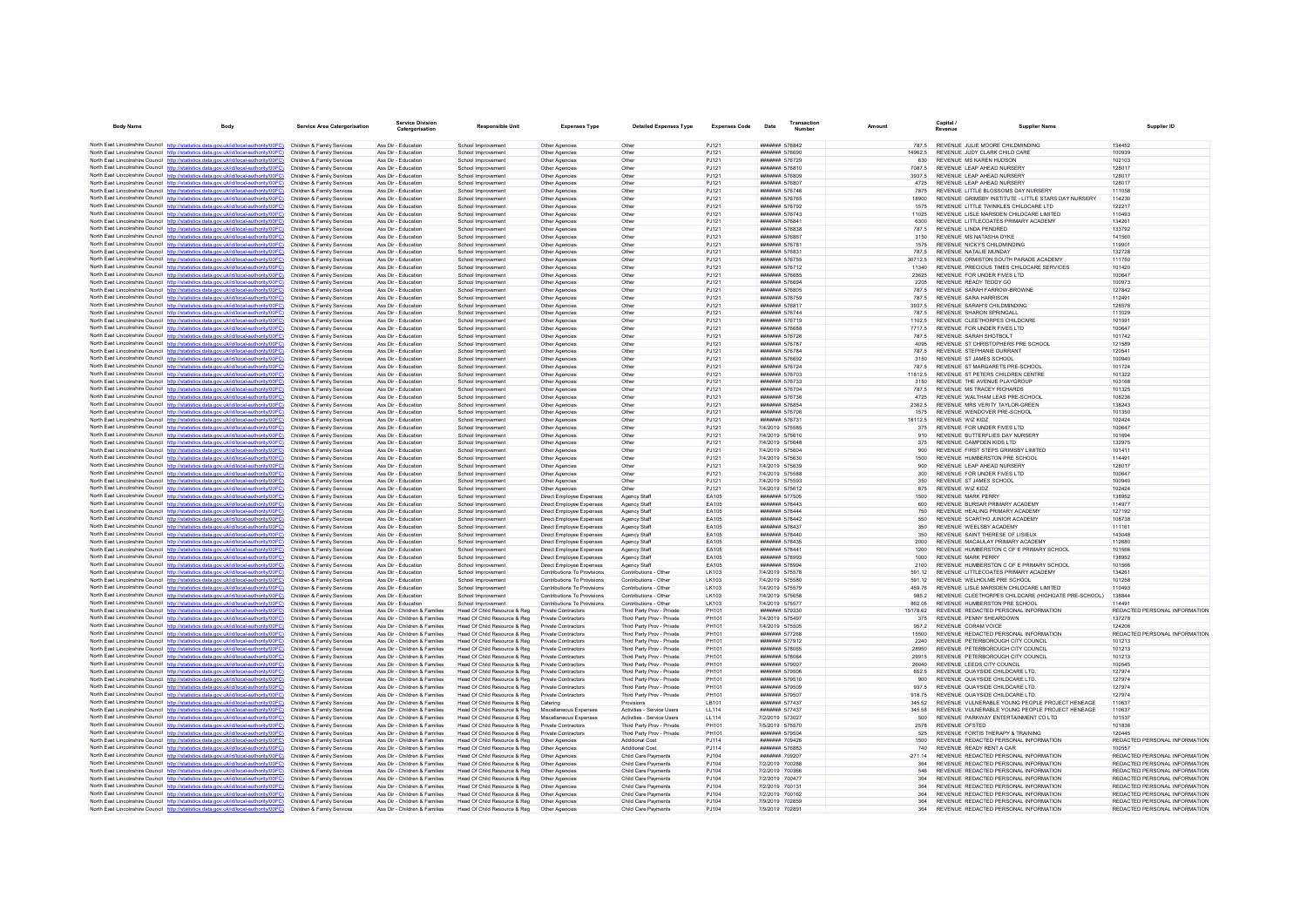| <b>Body Name</b> |                                                                                                                                                                                  | <b>Service Area Catergorisation</b>                      | Service Division<br>Catergorisation                            | Responsible Unit                                             | <b>Expenses Type</b>                                    | <b>Detailed Expenses Type</b>                            | <b>Expenses Code</b> | Date                                                  | Transaction<br>Number |                  | Capital /<br>Revenue                                                             | <b>Supplier Name</b>                                 | Supplier ID                                                    |
|------------------|----------------------------------------------------------------------------------------------------------------------------------------------------------------------------------|----------------------------------------------------------|----------------------------------------------------------------|--------------------------------------------------------------|---------------------------------------------------------|----------------------------------------------------------|----------------------|-------------------------------------------------------|-----------------------|------------------|----------------------------------------------------------------------------------|------------------------------------------------------|----------------------------------------------------------------|
|                  | North East Lincolnshire Council http://statistics.data.gov.uk/id/local-authority/00FC)                                                                                           | Children & Family Services                               | Ass Dir - Education                                            | School Improvement                                           | Other Agencies                                          | Othe                                                     | PJ121                | ####### 576842                                        |                       |                  | 787.5 REVENUE JULIE MOORE CHILDMINDING                                           |                                                      | 134452                                                         |
|                  | North East Lincolnshire Council http://statistics.data.gov.uk/id/local-authority/00FC)                                                                                           | Children & Family Services                               | Ass Dir - Education                                            | School Improvement                                           | Other Agencies                                          | Other                                                    | PJ121                | ####### 576690                                        |                       | 14962.5          | REVENUE JUDY CLARK CHILD CARE                                                    |                                                      | 100939                                                         |
|                  | North East Lincolnshire Council http://statistics.data.gov.uk/id/local-authority/00FC)                                                                                           | Children & Family Services                               | Ass Dir - Education                                            | School Improvement                                           | Other Agencies                                          | Other                                                    | P.1121               | <b>####### 576729</b>                                 |                       | 630              | REVENUE MS KAREN HUDSON                                                          |                                                      | 102103                                                         |
|                  | North East Lincolnshire Council http://statistics.data.gov.uk/id/local-authority/00FC)                                                                                           | Children & Family Services                               | Ass Dir - Education                                            | School Improvement                                           | Other Agencies                                          | Other                                                    | PJ121                | ####### 576810                                        |                       | 7087.5           | REVENUE LEAP AHEAD NURSERY                                                       |                                                      | 128017                                                         |
|                  | North East Lincolnshire Council http://statistics.data.gov.uk/id/local-authority/00FC)                                                                                           | Children & Family Services                               | Ass Dir - Education                                            | School Improvement                                           | Other Agencies                                          | Other                                                    | PJ121                | ####### 576809                                        |                       | 3937.5           | REVENUE LEAP AHEAD NURSERY                                                       |                                                      | 128017                                                         |
|                  | North East Lincolnshire Council http://statistics.data.gov.uk/id/local-authority/00FC)<br>North East Lincolnshire Council http://statistics.data.gov.uk/id/local-authority/00FC) | Children & Family Services<br>Children & Family Services | Ass Dir - Education<br>Ass Dir - Education                     | School Improvement<br>School Improvemen                      | Other Agencies<br>Other Agencies                        | Other<br>Other                                           | PJ121<br>PJ121       | <b>#######</b> 576807<br>####### 576746               |                       | 4725<br>7875     | REVENUE I FAP AHEAD NURSERY<br>REVENUE LITTLE BLOSSOMS DAY NURSERY               |                                                      | 128017<br>111058                                               |
|                  | North East Lincolnshire Council http://statistics.data.gov.uk/id/local-authority/00FC)                                                                                           | Children & Family Services                               | Ass Dir - Education                                            | School Improvement                                           | Other Agencies                                          | Other                                                    | P.1121               | ####### 576765                                        |                       | 18900            |                                                                                  | REVENUE GRIMSBY INSTITUTE - LITTLE STARS DAY NURSERY | 114230                                                         |
|                  | North East Lincolnshire Council http://statistics.data.gov.uk/id/local-authority/00FC)                                                                                           | Children & Family Services                               | Ass Dir - Education                                            | School Improvement                                           | Other Anencies                                          | Other                                                    | P.1121               | <b>#######</b> 576792                                 |                       | 1575             | REVENUE LITTLE TWINKLES CHILDCARE LTD                                            |                                                      | 122217                                                         |
|                  | North East Lincolnshire Council http://statistics.data.gov.uk/id/local-authority/00FC)                                                                                           | Children & Family Services                               | Ass Dir - Education                                            | School Improvement                                           | Other Agencies                                          | Other                                                    | PJ121                | ####### 576743                                        |                       | 11025            | REVENUE LISLE MARSDEN CHILDCARE LIMITED                                          |                                                      | 110493                                                         |
|                  | North East Lincolnshire Council http://statistics.data.gov.uk/id/local-authority/00FC)                                                                                           | Children & Family Services                               | Ass Dir - Education                                            | School Improvemen                                            | Other Agencies                                          | Other                                                    | PJ121                | ####### 576841                                        |                       | 6300             | REVENUE LITTLECOATES PRIMARY ACADEMY                                             |                                                      | 134261                                                         |
|                  | North East Lincolnshire Council http://statistics.data.gov.uk/id/local-authority/00FC)                                                                                           | Children & Family Services                               | Ass Dir - Education                                            | School Improvement                                           | Other Agencies                                          | Other                                                    | P.1121               | <b>#######</b> 576838                                 |                       | 787.5            | REVENUE LINDA PENDRED                                                            |                                                      | 133792                                                         |
|                  | North East Lincolnshire Council http://statistics.data.gov.uk/id/local-authority/00FC)                                                                                           | Children & Family Services                               | Ass Dir - Education                                            | School Improvement                                           | Other Agencies                                          | Other                                                    | PJ121                | ####### 576867                                        |                       | 3150             | REVENUE MS NATASHA DYKE                                                          |                                                      | 141560                                                         |
|                  | North East Lincolnshire Council http://statistics.data.gov.uk/id/local-authority/00FC)<br>North East Lincolnshire Council http://statistics.data.gov.uk/id/local-authority/00FC) | Children & Family Services<br>Children & Family Services | Ass Dir - Education<br>Ass Dir - Education                     | School Improvemen<br>School Improvement                      | Other Agencies<br>Other Agencies                        | Other<br>Other                                           | PJ121<br>PJ121       | ####### 576781<br>####### 576831                      |                       | 1575<br>787.5    | REVENUE NICKY'S CHILDMINDING<br>REVENUE NATALIE MUNDAY                           |                                                      | 119901<br>132728                                               |
|                  | North East Lincolnshire Council http://statistics.data.gov.uk/id/local-authority/00FC)                                                                                           | Children & Family Services                               | Ass Dir - Education                                            | School Improvement                                           | Other Agencies                                          | Other                                                    | PJ121                | <b>#######</b> 576755                                 |                       | 30712.5          | REVENUE ORMISTON SOUTH PARADE ACADEMY                                            |                                                      | 111750                                                         |
|                  | North East Lincolnshire Council http://statistics.data.gov.uk/id/local-authority/00FC)                                                                                           | Children & Family Services                               | Ass Dir - Education                                            | School Improvemen                                            | Other Agencies                                          | Other                                                    | PJ121                | ####### 576712                                        |                       | 11340            | REVENUE PRECIOUS TIMES CHILDCARE SERVICES                                        |                                                      | 101420                                                         |
|                  | North East Lincolnshire Council http://statistics.data.gov.uk/id/local-authority/00FC)                                                                                           | Children & Family Services                               | Ass Dir - Education                                            | School Improvement                                           | Other Agencies                                          | Other                                                    | P.1121               | ####### 576685                                        |                       | 23625            | REVENUE FOR UNDER FIVES LTD.                                                     |                                                      | 100647                                                         |
|                  | North East Lincolnshire Council http://statistics.data.gov.uk/id/local-authority/00FC)                                                                                           | Children & Family Services                               | Ass Dir - Education                                            | School Improvement                                           | Other Agencies                                          | Other                                                    | P.1121               | <b>#######</b> 576694                                 |                       | 2205             | REVENUE READY TEDDY GO                                                           |                                                      | 100973                                                         |
|                  | North East Lincolnshire Council http://statistics.data.gov.uk/id/local-authority/00FC)                                                                                           | Children & Family Services                               | Ass Dir - Education                                            | School Improvemen                                            | Other Agencies                                          | Other                                                    | PJ121                | ####### 576805                                        |                       | 787.5            | REVENUE SARAH FARROW-BROWNE                                                      |                                                      | 127842                                                         |
|                  | North East Lincolnshire Council http://statistics.data.gov.uk/id/local-authority/00FC)                                                                                           | Children & Family Services                               | Ass Dir - Education                                            | School Improvement                                           | Other Agencies                                          | Other                                                    | PJ121                | ####### 576759                                        |                       | 787.5            | <b>REVENUE SARA HARRISON</b>                                                     |                                                      | 112491                                                         |
|                  | North East Lincolnshire Council http://statistics.data.gov.uk/id/local-authority/00FC)                                                                                           | Children & Family Services                               | Ass Dir - Education                                            | School Improvement                                           | Other Agencies                                          | Other                                                    | P.1121<br>PJ121      | <b>#######</b> 576817<br>####### 576744               |                       | 3937.5           | REVENUE SARAH'S CHILDMINDING<br>REVENUE SHARON SPRINGALL                         |                                                      | 128578<br>111029                                               |
|                  | North East Lincolnshire Council http://statistics.data.gov.uk/id/local-authority/00FC)<br>North East Lincolnshire Council http://statistics.data.gov.uk/id/local-authority/00FC) | Children & Family Services<br>Children & Family Services | Ass Dir - Education<br>Ass Dir - Education                     | School Improvemen<br>School Improvement                      | Other Agencies<br>Other Agencies                        | Other<br>Other                                           | PJ121                | ####### 576719                                        |                       | 787.5<br>1102.5  | REVENUE CLEETHORPES CHILDCARE                                                    |                                                      | 101591                                                         |
|                  | North East Lincolnshire Council http://statistics.data.gov.uk/id/local-authority/00FC)                                                                                           | Children & Family Services                               | Ass Dir - Education                                            | School Improvement                                           | Other Agencies                                          | Other                                                    | PJ121                | ####### 576688                                        |                       | 7717.5           | REVENUE FOR UNDER FIVES LTD                                                      |                                                      | 100647                                                         |
|                  | North East Lincolnshire Council http://statistics.data.gov.uk/id/local-authority/00FC)                                                                                           | Children & Family Services                               | Ass Dir - Education                                            | School Improvement                                           | Other Agencies                                          | Other                                                    | PJ121                | ####### 576726                                        |                       | 787.5            | REVENUE SARAH SHOTBOLT                                                           |                                                      | 101742                                                         |
|                  | North East Lincolnshire Council http://statistics.data.gov.uk/id/local-authority/00FC)                                                                                           | Children & Family Services                               | Ass Dir - Education                                            | School Improvemen                                            | Other Agencies                                          | Other                                                    | PJ121                | ####### 576787                                        |                       | 4095             | REVENUE ST CHRISTOPHERS PRE SCHOO                                                |                                                      | 121589                                                         |
|                  | North East Lincolnshire Council http://statistics.data.gov.uk/id/local-authority/00FC)                                                                                           | Children & Family Services                               | Ass Dir - Education                                            | School Improvement                                           | Other Anencies                                          | Other                                                    | P.1121               | <b>#######</b> 576784                                 |                       | 787.5            | REVENUE STEPHANIE DURRANT                                                        |                                                      | 120541                                                         |
|                  | North East Lincolnshire Council http://statistics.data.gov.uk/id/local-authority/00FC)                                                                                           | Children & Family Services                               | Ass Dir - Education                                            | School Improvement                                           | Other Agencies                                          | Other                                                    | PJ121                | ####### 576692                                        |                       | 3150             | REVENUE ST JAMES SCHOOL                                                          |                                                      | 100940                                                         |
|                  | North East Lincolnshire Council http://statistics.data.gov.uk/id/local-authority/00FC)                                                                                           | Children & Family Services                               | Ass Dir - Education                                            | School Improvement                                           | Other Agencies                                          | Other                                                    | PJ121                | ####### 576724                                        |                       | 787.5            | REVENUE ST MARGARETS PRE-SCHOOL                                                  |                                                      | 101724                                                         |
|                  | North East Lincolnshire Council http://statistics.data.gov.uk/id/local-authority/00FC)                                                                                           | Children & Family Services                               | Ass Dir - Education                                            | School Improvement                                           | Other Agencies                                          | Other                                                    | PJ121                | ####### 576703                                        |                       | 11812.5          | REVENUE ST PETERS CHILDREN CENTRE                                                |                                                      | 101322                                                         |
|                  | North East Lincolnshire Council http://statistics.data.gov.uk/id/local-authority/00FC)<br>North East Lincolnshire Council http://statistics.data.gov.uk/id/local-authority/00FC) | Children & Family Services<br>Children & Family Services | Ass Dir - Education<br>Ass Dir - Education                     | School Improvement<br>School Improvemen                      | Other Agencies<br>Other Agencie                         | Other<br>Othe                                            | P.1121<br>PJ121      | <b>#######</b> 576733<br>####### 576704               |                       | 3150<br>787.5    | REVENUE THE AVENUE PLAYGROUP<br>REVENUE MS TRACEY RICHARDS                       |                                                      | 103168<br>101325                                               |
|                  | North East Lincolnshire Council http://statistics.data.gov.uk/id/local-authority/00FC)                                                                                           | Children & Family Services                               | Ass Dir - Education                                            | School Improvement                                           | Other Agencies                                          | Other                                                    | PJ121                | ####### 576736                                        |                       | 4725             | REVENUE WALTHAM LEAS PRE-SCHOOL                                                  |                                                      | 108236                                                         |
|                  | North East Lincolnshire Council http://statistics.data.gov.uk/id/local-authority/00FC)                                                                                           | Children & Family Services                               | Ass Dir - Education                                            | School Improvement                                           | Other Agencies                                          | Other                                                    | PJ121                | ####### 576854                                        |                       | 2362.5           | REVENUE MRS VERITY TAYLOR-GREEN                                                  |                                                      | 138243                                                         |
|                  | North East Lincolnshire Council http://statistics.data.gov.uk/id/local-authority/00FC)                                                                                           | Children & Family Services                               | Ass Dir - Education                                            | School Improvemen                                            | Other Agencies                                          | Other                                                    | PJ121                | ####### 576706                                        |                       | 1575             | REVENUE WENDOVER PRE-SCHOOL                                                      |                                                      | 101350                                                         |
|                  | North East Lincolnshire Council http://statistics.data.gov.uk/id/local-authority/00FC)                                                                                           | Children & Family Services                               | Ass Dir - Education                                            | School Improvement                                           | Other Agencies                                          | Other                                                    | PJ121                | ####### 576731                                        |                       | 18112.5          | REVENUE WIZ KIDZ                                                                 |                                                      | 102424                                                         |
|                  | North East Lincolnshire Council http://statistics.data.gov.uk/id/local-authority/00FC)                                                                                           | Children & Family Services                               | Ass Dir - Education                                            | School Improvement                                           | Other Anencies                                          | Other                                                    | P.1121               | 7/4/2019 575585                                       |                       | 375              | REVENUE FOR UNDER FIVES ITD                                                      |                                                      | 100647                                                         |
|                  | North East Lincolnshire Council http://statistics.data.gov.uk/id/local-authority/00FC)                                                                                           | Children & Family Services                               | Ass Dir - Education                                            | School Improvement                                           | Other Agencies                                          | Other                                                    | PJ121                | 7/4/2019 575610                                       |                       | 910              | REVENUE BUTTERFLIES DAY NURSERY                                                  |                                                      | 101694                                                         |
|                  | North East Lincolnshire Council http://statistics.data.gov.uk/id/local-authority/00FC)                                                                                           | Children & Family Services                               | Ass Dir - Education<br>Ass Dir - Education                     | School Improvemen                                            | Other Agencies<br>Other Agencies                        | Other                                                    | PJ121<br>PJ121       | 7/4/2019 575648<br>7/4/2019 575604                    |                       | 375              | REVENUE CAMPDEN KIDS LTD<br>REVENUE FIRST STEPS GRIMSBY LIMITED                  |                                                      | 132975<br>101411                                               |
|                  | North East Lincolnshire Council http://statistics.data.gov.uk/id/local-authority/00FC)<br>North East Lincolnshire Council http://statistics.data.gov.uk/id/local-authority/00FC) | Children & Family Services<br>Children & Family Services | Ass Dir - Education                                            | School Improvement<br>School Improvement                     | Other Agencies                                          | Other<br>Other                                           | P.1121               | 7/4/2019 575630                                       |                       | 900<br>1500      | REVENUE HUMBERSTON PRESCHOOL                                                     |                                                      | 114491                                                         |
|                  | North East Lincolnshire Council http://statistics.data.gov.uk/id/local-authority/00FC)                                                                                           | Children & Family Services                               | Ass Dir - Education                                            | School Improvemen                                            | Other Agencies                                          | Other                                                    | PJ121                | 7/4/2019 575639                                       |                       | 900              | REVENUE LEAP AHEAD NURSERY                                                       |                                                      | 128017                                                         |
|                  | North East Lincolnshire Council http://statistics.data.gov.uk/id/local-authority/00FC)                                                                                           | Children & Family Services                               | Ass Dir - Education                                            | School Improvement                                           | Other Agencies                                          | Other                                                    | PJ121                | 7/4/2019 575588                                       |                       | 300              | REVENUE FOR UNDER FIVES LTD                                                      |                                                      | 100647                                                         |
|                  | North East Lincolnshire Council http://statistics.data.gov.uk/id/local-authority/00FC)                                                                                           | Children & Family Services                               | Ass Dir - Education                                            | School Improvement                                           | Other Agencies                                          | Other                                                    | PJ121                | 7/4/2019 575593                                       |                       | 350              | REVENUE ST JAMES SCHOOL                                                          |                                                      | 100940                                                         |
|                  | North East Lincolnshire Council http://statistics.data.gov.uk/id/local-authority/00FC)                                                                                           | Children & Family Services                               | Ass Dir - Education                                            | School Improvemen                                            | Other Agencies                                          | Other                                                    | PJ121                | 7/4/2019 575612                                       |                       | 875              | REVENUE WIZ KIDZ                                                                 |                                                      | 102424                                                         |
|                  | North East Lincolnshire Council http://statistics.data.gov.uk/id/local-authority/00FC)                                                                                           | Children & Family Services                               | Ass Dir - Education                                            | School Improvement                                           | Direct Employee Expenses                                | Agency Staf                                              | EA105                | ####### 577505                                        |                       | 1500             | <b>REVENUE MARK PERRY</b>                                                        |                                                      | 138952                                                         |
|                  | North East Lincolnshire Council http://statistics.data.gov.uk/id/local-authority/00FC)<br>North East Lincolnshire Council http://statistics.data.gov.uk/id/local-authority/00FC) | Children & Family Services<br>Children & Family Services | Ass Dir - Education<br>Ass Dir - Education                     | School Improvement<br>School Improvement                     | Direct Employee Expenses<br>Direct Employee Expenses    | Agency Staf<br>Agency Staf                               | FA105<br>FA105       | <b>####### 578443</b><br><b><i>HHHHHHH 578444</i></b> |                       | 600<br>750       | REVENUE BURSAR PRIMARY ACADEMY<br>REVENUE HEALING PRIMARY ACADEMY                |                                                      | 114977<br>127192                                               |
|                  | North East Lincolnshire Council http://statistics.data.gov.uk/id/local-authority/00FC)                                                                                           | Children & Family Services                               | Ass Dir - Education                                            | School Improvement                                           | Direct Employee Expenses                                | Agency Staff                                             | EA105                | ####### 578442                                        |                       | 550              | REVENUE SCARTHO JUNIOR ACADEMY                                                   |                                                      | 108738                                                         |
|                  | North East Lincolnshire Council http://statistics.data.gov.uk/id/local-authority/00FC)                                                                                           | Children & Family Services                               | Ass Dir - Education                                            | School Improvement                                           | Direct Employee Expenses                                | Agency Staf                                              | EA105                | ####### 578437                                        |                       | 350              | REVENUE WEELSBY ACADEMY                                                          |                                                      | 111161                                                         |
|                  | North East Lincolnshire Council http://statistics.data.gov.uk/id/local-authority/00FC)                                                                                           | Children & Family Services                               | Ass Dir - Education                                            | School Improvement                                           | Direct Employee Expenses                                | Agency Staf                                              | EA105                | ####### 578440                                        |                       | 350              | REVENUE SAINT THERESE OF LISIEUX                                                 |                                                      | 143048                                                         |
|                  | North East Lincolnshire Council http://statistics.data.gov.uk/id/local-authority/00FC)                                                                                           | Children & Family Services                               | Ass Dir - Education                                            | School Improvement                                           | Direct Employee Expenses                                | Agency Staff                                             | EA105                | ####### 578435                                        |                       | 2000             | REVENUE MACAULAY PRIMARY ACADEMY                                                 |                                                      | 112680                                                         |
|                  | North East Lincolnshire Council http://statistics.data.gov.uk/id/local-authority/00FC)                                                                                           | Children & Family Services                               | Ass Dir - Education                                            | School Improvement                                           | Direct Employee Expenses                                | Agency Staff                                             | EA105                | ####### 578441                                        |                       | 1200             | REVENUE HUMBERSTON C OF E PRIMARY SCHOOL                                         |                                                      | 101566                                                         |
|                  | North East Lincolnshire Council http://statistics.data.gov.uk/id/local-authority/00FC)                                                                                           | Children & Family Services                               | Ass Dir - Education                                            | School Improvement                                           | Direct Employee Expenses                                | Agency Staf                                              | FA105                | <b>####### 578993</b>                                 |                       | 1000             | <b>REVENUE MARK PERRY</b>                                                        |                                                      | 138952                                                         |
|                  | North East Lincolnshire Council http://statistics.data.gov.uk/id/local-authority/00FC)<br>North East Lincolnshire Council http://statistics.data.gov.uk/id/local-authority/00FC) | Children & Family Services<br>Children & Family Services | Ass Dir - Education<br>Ass Dir - Education                     | School Improvemen<br>School Improvement                      | Direct Employee Expenses<br>Contributions To Provisions | Agency Staff<br>Contributions - Other                    | EA105<br>LK103       | ####### 578994<br>7/4/2019 575578                     |                       | 2100<br>591.12   | REVENUE HUMBERSTON C OF E PRIMARY SCHOOL<br>REVENUE LITTLECOATES PRIMARY ACADEMY |                                                      | 101566<br>134261                                               |
|                  | North East Lincolnshire Council http://statistics.data.gov.uk/id/local-authority/00EC)                                                                                           | Children & Family Services                               | Ass Dir - Education                                            | School Improvement                                           | Contributions To Provisions                             | Contributions - Other                                    | LK103                | 7/4/2019 575580                                       |                       | 591 12           | REVENUE WELHOLME PRE SCHOOL                                                      |                                                      | 101258                                                         |
|                  | North East Lincolnshire Council http://statistics.data.gov.uk/id/local-authority/00FC)                                                                                           | Children & Family Services                               | Ass Dir - Education                                            | School Improvement                                           | Contributions To Provisions                             | Contributions - Other                                    | LK103                | 7/4/2019 575579                                       |                       | 459.76           | REVENUE LISLE MARSDEN CHILDCARE LIMITED                                          |                                                      | 110493                                                         |
|                  | North East Lincolnshire Council http://statistics.data.gov.uk/id/local-authority/00FC)                                                                                           | Children & Family Services                               | Ass Dir - Education                                            | School Improvement                                           | Contributions To Provisions                             | Contributions - Other                                    | LK103                | 7/4/2019 575658                                       |                       | 9852             |                                                                                  | REVENUE CLEETHORPES CHILDCARE (HIGHGATE PRE-SCHOOL)  | 138844                                                         |
|                  | North East Lincolnshire Council http://statistics.data.gov.uk/id/local-authority/00FC)                                                                                           | Children & Family Services                               | Ass Dir - Education                                            | School Improvement                                           | Contributions To Provisions                             | Contributions - Other                                    | 1 K103               | 7/4/2019 575577                                       |                       | 862.05           | REVENUE HUMBERSTON PRESCHOOL                                                     |                                                      | 114491                                                         |
|                  | North East Lincolnshire Council http://statistics.data.gov.uk/id/local-authority/00FC)                                                                                           | Children & Family Services                               | Ass Dir - Children & Families                                  | Head Of Child Resource & Reg                                 | Private Contractors                                     | Third Party Prov - Private                               | PH101                | ####### 579330                                        |                       | 15178.62         | REVENUE REDACTED PERSONAL INFORMATION                                            |                                                      | REDACTED PERSONAL INFORMATION                                  |
|                  | North East Lincolnshire Council http://statistics.data.gov.uk/id/local-authority/00FC)                                                                                           | Children & Family Services                               | Ass Dir - Children & Families                                  | Head Of Child Resource & Reg                                 | Private Contractors                                     | Third Party Prov - Private                               | PH101                | 7/4/2019 575497                                       |                       | 375              | REVENUE PENNY SHEARDOWN                                                          |                                                      | 137278                                                         |
|                  | North East Lincolnshire Council http://statistics.data.gov.uk/id/local-authority/00FC)                                                                                           | Children & Family Services                               | Ass Dir - Children & Families                                  | Head Of Child Resource & Reg                                 | Private Contractors                                     | Third Party Prov - Private                               | PH101<br>PH101       | 7/4/2019 575505<br><b>#######</b> 577268              |                       | 957.2<br>15500   | REVENUE CORAM VOICE<br>REVENUE REDACTED PERSONAL INFORMATION                     |                                                      | 124206<br>REDACTED PERSONAL INFORMATION                        |
|                  | North East Lincolnshire Council http://statistics.data.gov.uk/id/local-authority/00FC)<br>North East Lincolnshire Council http://statistics.data.gov.uk/id/local-authority/00FC) | Children & Family Services<br>Children & Family Services | Ass Dir - Children & Families<br>Ass Dir - Children & Families | Head Of Child Resource & Reg<br>Head Of Child Resource & Reg | Private Contractors<br>Private Contractors              | Third Party Prov - Private<br>Third Party Prov - Private | PH101                | ####### 577912                                        |                       | 2240             | REVENUE PETERBOROUGH CITY COUNCIL                                                |                                                      | 101213                                                         |
|                  | North East Lincolnshire Council http://statistics.data.gov.uk/id/local-authority/00FC)                                                                                           | Children & Family Services                               | Ass Dir - Children & Families                                  | Head Of Child Resource & Reg                                 | Private Contractors                                     | Third Party Prov - Private                               | PH101                | ####### 578065                                        |                       | 28950            | REVENUE PETERBOROUGH CITY COUNCIL                                                |                                                      | 101213                                                         |
|                  | North East Lincolnshire Council http://statistics.data.gov.uk/id/local-authority/00EC)                                                                                           | Children & Family Services                               | Ass Dir - Children & Families                                  | Head Of Child Resource & Reg                                 | Private Contractors                                     | Third Party Prov - Private                               | PH101                | ####### 578064                                        |                       | 29915            | REVENUE PETERBOROUGH CITY COUNCI                                                 |                                                      | 101213                                                         |
|                  | North East Lincolnshire Council http://statistics.data.gov.uk/id/local-authority/00FC)                                                                                           | Children & Family Services                               | Ass Dir - Children & Families                                  | Head Of Child Resource & Reg                                 | Private Contractors                                     | Third Party Prov - Private                               | PH101                | ####### 579007                                        |                       | 26040            | REVENUE LEEDS CITY COUNCIL                                                       |                                                      | 100545                                                         |
|                  | North East Lincolnshire Council http://statistics.data.gov.uk/id/local-authority/00FC)                                                                                           | Children & Family Services                               | Ass Dir - Children & Families                                  | Head Of Child Resource & Reg                                 | Private Contractors                                     | Third Party Prov - Private                               | PH101                | ####### 579506                                        |                       | 652.5            | REVENUE QUAYSIDE CHILDCARE LTD                                                   |                                                      | 127974                                                         |
|                  | North East Lincolnshire Council http://statistics.data.gov.uk/id/local-authority/00FC)                                                                                           | Children & Family Services                               | Ass Dir - Children & Families                                  | Head Of Child Resource & Reg                                 | Private Contractors                                     | Third Party Prov - Private                               | PH101                | ####### 579510                                        |                       | 900              | REVENUE QUAYSIDE CHILDCARE LTD                                                   |                                                      | 127974                                                         |
|                  | North East Lincolnshire Council http://statistics.data.gov.uk/id/local-authority/00FC)                                                                                           | Children & Family Services                               | Ass Dir - Children & Families                                  | Head Of Child Resource & Reg                                 | Private Contractors                                     | Third Party Prov - Private                               | PH101                | ####### 579509                                        |                       | 937.5            | REVENUE QUAYSIDE CHILDCARE LTD.                                                  |                                                      | 127974                                                         |
|                  | North East Lincolnshire Council http://statistics.data.gov.uk/id/local-authority/00FC)<br>North East Lincolnshire Council http://statistics.data.gov.uk/id/local-authority/00FC) | Children & Family Services                               | Ass Dir - Children & Families<br>Ass Dir - Children & Families | Head Of Child Resource & Reg<br>Head Of Child Resource & Reg | Private Contractors                                     | Third Party Prov - Private                               | PH101<br>LB101       | ####### 579507<br>####### 577437                      |                       | 918.75<br>345.52 | REVENUE QUAYSIDE CHILDCARE LTD.                                                  | REVENUE VULNERABLE YOUNG PEOPLE PROJECT HENEAGE      | 127974<br>110637                                               |
|                  | North East Lincolnshire Council http://statistics.data.gov.uk/id/local-authority/00FC)                                                                                           | Children & Family Services<br>Children & Family Services | Ass Dir - Children & Families                                  | Head Of Child Resource & Reg                                 | Catering<br>Miscellaneous Expense                       | Provisions<br>Activities - Service Users                 | <b>LL114</b>         | <b><i><u>HHHHHH</u></i></b> 577437                    |                       | 345.58           |                                                                                  | REVENUE, VULNERABLE YOUNG PEOPLE PROJECT HENEAGE     | 110637                                                         |
|                  | North East Lincolnshire Council http://statistics.data.gov.uk/id/local-authority/00FC)                                                                                           | Children & Family Services                               | Ass Dir - Children & Families                                  | Head Of Child Resource & Reg                                 | Miscellaneous Expenses                                  | Activities - Service Users                               | <b>LL114</b>         | 7/2/2019 573027                                       |                       | 500              | REVENUE PARKWAY ENTERTAINMENT CO LTD                                             |                                                      | 101537                                                         |
|                  | North East Lincolnshire Council http://statistics.data.gov.uk/id/local-authority/00FC)                                                                                           | Children & Family Services                               | Ass Dir - Children & Families                                  | Head Of Child Resource & Reg                                 | <b>Private Contractors</b>                              | Third Party Prov - Private                               | PH101                | 7/5/2019 575570                                       |                       | 2578             | <b>REVENUE OFSTED</b>                                                            |                                                      | 101836                                                         |
|                  | North East Lincolnshire Council http://statistics.data.gov.uk/id/local-authority/00FC)                                                                                           | Children & Family Services                               | Ass Dir - Children & Families                                  | Head Of Child Resource & Reg                                 | <b>Private Contractors</b>                              | Third Party Prov - Private                               | PH101                | ####### 579504                                        |                       | 525              | REVENUE FORTIS THERAPY & TRAINING                                                |                                                      | 120445                                                         |
|                  | North East Lincolnshire Council http://statistics.data.gov.uk/id/local-authority/00FC)                                                                                           | Children & Family Services                               | Ass Dir - Children & Families                                  | Head Of Child Resource & Reg                                 | Other Agencies                                          | <b>Additional Cost</b>                                   | PJ114                | ####### 709426                                        |                       | 1500             | REVENUE REDACTED PERSONAL INFORMATION                                            |                                                      | REDACTED PERSONAL INFORMATION                                  |
|                  | North East Lincolnshire Council http://statistics.data.gov.uk/id/local-authority/00FC)                                                                                           | Children & Family Services                               | Ass Dir - Children & Families                                  | Head Of Child Resource & Reg                                 | Other Agencies                                          | Additional Cost                                          | PJ114                | ####### 576883                                        |                       | 740              | REVENUE READY RENT A CAR                                                         |                                                      | 100557                                                         |
|                  | North East Lincolnshire Council http://statistics.data.gov.uk/id/local-authority/00FC)                                                                                           | Children & Family Services                               | Ass Dir - Children & Families<br>Ass Dir - Children & Families | Head Of Child Resource & Reg                                 | Other Agencies                                          | Child Care Payments                                      | P.1104<br>PJ104      | ####### 709207<br>7/2/2019 700288                     |                       | $-271.14$<br>364 | REVENUE REDACTED PERSONAL INFORMATION<br>REVENUE REDACTED PERSONAL INFORMATION   |                                                      | REDACTED PERSONAL INFORMATION<br>REDACTED PERSONAL INFORMATION |
|                  | North East Lincolnshire Council http://statistics.data.gov.uk/id/local-authority/00FC)<br>North East Lincolnshire Council http://statistics.data.gov.uk/id/local-authority/00FC) | Children & Family Services<br>Children & Family Services | Ass Dir - Children & Families                                  | Head Of Child Resource & Reg<br>Head Of Child Resource & Reg | Other Agencies<br>Other Agencies                        | Child Care Payments<br>Child Care Payments               | PJ104                | 7/2/2019 700366                                       |                       | 546              | REVENUE REDACTED PERSONAL INFORMATION                                            |                                                      | REDACTED PERSONAL INFORMATION                                  |
|                  | North East Lincolnshire Council http://statistics.data.gov.uk/id/local-authority/00FC)                                                                                           | Children & Family Services                               | Ass Dir - Children & Families                                  | Head Of Child Resource & Reg                                 | Other Agencies                                          | Child Care Payments                                      | PJ104                | 7/2/2019 700477                                       |                       | 364              | REVENUE REDACTED PERSONAL INFORMATION                                            |                                                      | REDACTED PERSONAL INFORMATION                                  |
|                  | North East Lincolnshire Council http://statistics.data.gov.uk/id/local-authority/00FC)                                                                                           | Children & Family Services                               | Ass Dir - Children & Families                                  | Head Of Child Resource & Reg                                 | Other Agencies                                          | Child Care Payments                                      | PJ104                | 7/2/2019 700131                                       |                       | 364              | REVENUE REDACTED PERSONAL INFORMATION                                            |                                                      | REDACTED PERSONAL INFORMATION                                  |
|                  | North East Lincolnshire Council http://statistics.data.gov.uk/id/local-authority/00FC)                                                                                           | Children & Family Services                               | Ass Dir - Children & Families                                  | Head Of Child Resource & Reg                                 | Other Agencies                                          | Child Care Payments                                      | PJ104                | 7/2/2019 700162                                       |                       | 364              | REVENUE REDACTED PERSONAL INFORMATION                                            |                                                      | REDACTED PERSONAL INFORMATION                                  |
|                  | North East Lincolnshire Council http://statistics.data.gov.uk/id/local-authority/00FC) Children & Family Services                                                                |                                                          | Ass Dir - Children & Families                                  | Head Of Child Resource & Reg                                 | Other Agencies                                          | <b>Child Care Payments</b>                               | <b>PJ104</b>         | 7/9/2019 702859                                       |                       | 364              | REVENUE REDACTED PERSONAL INFORMATION                                            |                                                      | REDACTED PERSONAL INFORMATION                                  |
|                  | North East Lincolnshire Council http://statistics.data.gov.uk/id/local-authority/00FC)                                                                                           | Children & Family Services                               | Ass Dir - Children & Families                                  | Head Of Child Resource & Reg                                 | Other Agencies                                          | Child Care Payments                                      | PJ104                | 7/9/2019 702891                                       |                       | 364              | REVENUE REDACTED PERSONAL INFORMATION                                            |                                                      | REDACTED PERSONAL INFORMATION                                  |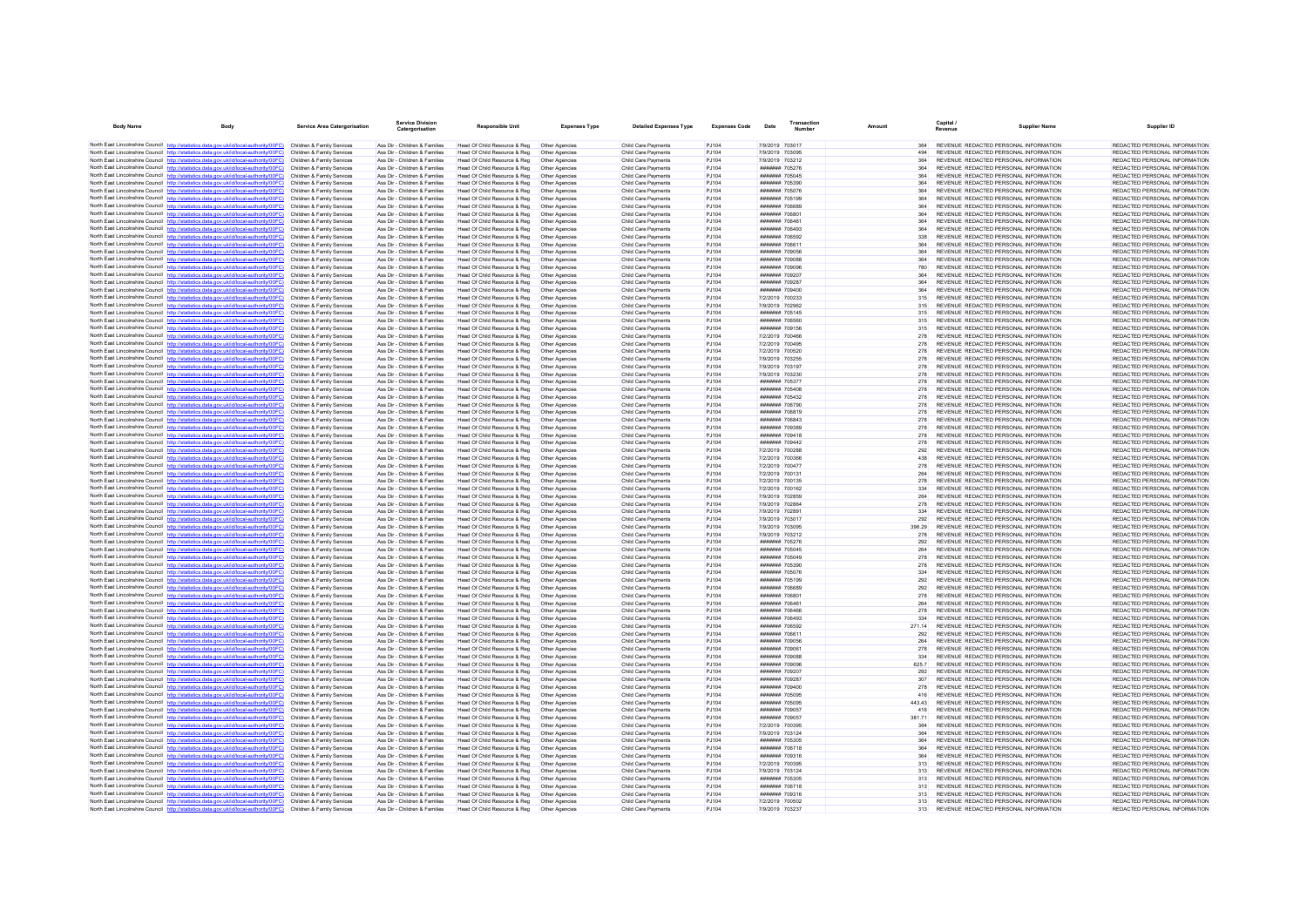| <b>Body Name</b> | Body                                                                                                                                                                                                        | <b>Service Area Catergorisation</b>                      | <b>Service Division</b><br>Catergorisation                     | Responsible Unit                                             | <b>Expenses Type</b>             | <b>Detailed Expenses Type</b>                     | <b>Expenses Code</b> | Date                                    | Transaction<br>Number | Amount          | Capital /<br>Revenue | <b>Supplier Name</b>                                                           | Supplier ID                                                    |
|------------------|-------------------------------------------------------------------------------------------------------------------------------------------------------------------------------------------------------------|----------------------------------------------------------|----------------------------------------------------------------|--------------------------------------------------------------|----------------------------------|---------------------------------------------------|----------------------|-----------------------------------------|-----------------------|-----------------|----------------------|--------------------------------------------------------------------------------|----------------------------------------------------------------|
|                  | North East Lincolnshire Council http://statistics.data.gov.uk/id/local-authority/00FC) Children & Family Services                                                                                           |                                                          | Ass Dir - Children & Families                                  | Head Of Child Resource & Reg                                 | Other Agencies                   | Child Care Payments                               | PJ104                | 7/9/2019 703017                         |                       | 364             |                      | REVENUE REDACTED PERSONAL INFORMATION                                          | REDACTED PERSONAL INFORMATION                                  |
|                  | North East Lincolnshire Council http://statistics.data.gov.uk/id/local-authority/00FC)                                                                                                                      | Children & Family Services                               | Ass Dir - Children & Families                                  | Head Of Child Resource & Reg                                 | Other Agencies                   | Child Care Payments                               | P.1104               | 7/9/2019 703095                         |                       | 494             |                      | REVENUE REDACTED PERSONAL INFORMATION                                          | REDACTED PERSONAL INFORMATION                                  |
|                  | North East Lincolnshire Council http://statistics.data.gov.uk/id/local-authority/00FC)                                                                                                                      | Children & Family Services                               | Ass Dir - Children & Families                                  | Head Of Child Resource & Reg                                 | Other Agencies                   | Child Care Payments                               | PJ104                | 7/9/2019 703212                         |                       | 364             |                      | REVENUE REDACTED PERSONAL INFORMATION                                          | REDACTED PERSONAL INFORMATION                                  |
|                  | North East Lincolnshire Council http://statistics.data.gov.uk/id/local-authority/00FC) Children & Family Services<br>North East Lincolnshire Council http://statistics.data.gov.uk/id/local-authority/00FC) |                                                          | Ass Dir - Children & Families                                  | Head Of Child Resource & Reg                                 | Other Agencies                   | Child Care Payments                               | PJ104                | ####### 705276                          |                       | 364             |                      | REVENUE REDACTED PERSONAL INFORMATION                                          | REDACTED PERSONAL INFORMATION                                  |
|                  | North East Lincolnshire Council http://statistics.data.gov.uk/id/local-authority/00FC)                                                                                                                      | Children & Family Services<br>Children & Family Services | Ass Dir - Children & Families<br>Ass Dir - Children & Families | Head Of Child Resource & Reg<br>Head Of Child Resource & Reg | Other Agencies<br>Other Agencies | Child Care Payments<br>Child Care Payments        | PJ104<br>PJ104       | <b>#######</b> 705045<br>####### 705390 |                       | 364<br>364      |                      | REVENUE REDACTED PERSONAL INFORMATION<br>REVENUE REDACTED PERSONAL INFORMATION | REDACTED PERSONAL INFORMATION<br>REDACTED PERSONAL INFORMATION |
|                  | North East Lincolnshire Council http://statistics.data.gov.uk/id/local-authority/00FC)                                                                                                                      | Children & Family Services                               | Ass Dir - Children & Families                                  | Head Of Child Resource & Reg                                 | Other Agencies                   | Child Care Payments                               | PJ104                | ####### 705076                          |                       | 364             |                      | REVENUE REDACTED PERSONAL INFORMATION                                          | REDACTED PERSONAL INFORMATION                                  |
|                  | North East Lincolnshire Council http://statistics.data.gov.uk/id/local-authority/00FC)                                                                                                                      | Children & Family Services                               | Ass Dir - Children & Families                                  | Head Of Child Resource & Reg                                 | Other Agencies                   | <b>Child Care Payments</b>                        | <b>PJ104</b>         | ####### 705199                          |                       | 364             |                      | REVENUE REDACTED PERSONAL INFORMATION                                          | REDACTED PERSONAL INFORMATION                                  |
|                  | North East Lincolnshire Council http://statistics.data.gov.uk/id/local-authority/00FC)                                                                                                                      | Children & Family Services                               | Ass Dir - Children & Families                                  | Head Of Child Resource & Reg                                 | Other Agencies                   | Child Care Payments                               | PJ104                | ####### 706689                          |                       | 364             |                      | REVENUE REDACTED PERSONAL INFORMATION                                          | REDACTED PERSONAL INFORMATION                                  |
|                  | North East Lincolnshire Council http://statistics.data.gov.uk/id/local-authority/00FC)                                                                                                                      | Children & Family Services                               | Ass Dir - Children & Families                                  | Head Of Child Resource & Reg                                 | Other Agencies                   | Child Care Payments                               | PJ104                | ####### 706801                          |                       | 364             |                      | REVENUE REDACTED PERSONAL INFORMATION                                          | REDACTED PERSONAL INFORMATION                                  |
|                  | North East Lincolnshire Council http://statistics.data.gov.uk/id/local-authority/00FC)                                                                                                                      | Children & Family Services                               | Ass Dir - Children & Families                                  | Head Of Child Resource & Reg                                 | Other Agencies                   | Child Care Payments                               | PJ104                | ####### 706461                          |                       | 364             |                      | REVENUE REDACTED PERSONAL INFORMATION                                          | REDACTED PERSONAL INFORMATION                                  |
|                  | North East Lincolnshire Council http://statistics.data.gov.uk/id/local-authority/00FC)                                                                                                                      | Children & Family Services                               | Ass Dir - Children & Families                                  | Head Of Child Resource & Reg                                 | Other Agencies                   | Child Care Payments                               | PJ104                | ####### 706493                          |                       | 364             |                      | REVENUE REDACTED PERSONAL INFORMATION                                          | REDACTED PERSONAL INFORMATION                                  |
|                  | North East Lincolnshire Council http://statistics.data.gov.uk/id/local-authority/00FC)                                                                                                                      | Children & Family Services                               | Ass Dir - Children & Families                                  | Head Of Child Resource & Reg                                 | Other Agencies                   | Child Care Payments                               | PJ104                | ####### 706592                          |                       | 338             |                      | REVENUE REDACTED PERSONAL INFORMATION                                          | REDACTED PERSONAL INFORMATION                                  |
|                  | North East Lincolnshire Council http://statistics.data.gov.uk/id/local-authority/00FC)<br>North East Lincolnshire Council http://statistics.data.gov.uk/id/local-authority/00FC)                            | Children & Family Services<br>Children & Family Services | Ass Dir - Children & Families<br>Ass Dir - Children & Families | Head Of Child Resource & Reg<br>Head Of Child Resource & Reg | Other Agencies<br>Other Agencies | Child Care Payments<br>Child Care Payments        | PJ104<br>PJ104       | ####### 706611<br><b>#######</b> 709056 |                       | 364<br>364      |                      | REVENUE REDACTED PERSONAL INFORMATION<br>REVENUE REDACTED PERSONAL INFORMATION | REDACTED PERSONAL INFORMATION<br>REDACTED PERSONAL INFORMATION |
|                  | North East Lincolnshire Council http://statistics.data.gov.uk/id/local-authority/00FC)                                                                                                                      | Children & Family Services                               | Ass Dir - Children & Families                                  | Head Of Child Resource & Reg                                 | Other Agencies                   | Child Care Payments                               | PJ104                | ####### 709088                          |                       | 364             |                      | REVENUE REDACTED PERSONAL INFORMATION                                          | REDACTED PERSONAL INFORMATION                                  |
|                  | North East Lincolnshire Council http://statistics.data.gov.uk/id/local-authority/00FC)                                                                                                                      | Children & Family Services                               | Ass Dir - Children & Families                                  | Head Of Child Resource & Reg                                 | Other Agencies                   | Child Care Payments                               | PJ104                | ####### 709096                          |                       | 780             |                      | REVENUE REDACTED PERSONAL INFORMATION                                          | REDACTED PERSONAL INFORMATION                                  |
|                  | North East Lincolnshire Council http://statistics.data.gov.uk/id/local-authority/00FC)                                                                                                                      | Children & Family Services                               | Ass Dir - Children & Families                                  | Head Of Child Resource & Reg                                 | Other Agencies                   | <b>Child Care Payments</b>                        | PJ104                | ####### 709207                          |                       | 364             |                      | REVENUE REDACTED PERSONAL INFORMATION                                          | REDACTED PERSONAL INFORMATION                                  |
|                  | North East Lincolnshire Council http://statistics.data.gov.uk/id/local-authority/00FC)                                                                                                                      | Children & Family Services                               | Ass Dir - Children & Families                                  | Head Of Child Resource & Reg                                 | Other Agencies                   | Child Care Payments                               | PJ104                | ####### 709287                          |                       | 364             |                      | REVENUE REDACTED PERSONAL INFORMATION                                          | REDACTED PERSONAL INFORMATION                                  |
|                  | North East Lincolnshire Council http://statistics.data.gov.uk/id/local-authority/00FC)                                                                                                                      | Children & Family Services                               | Ass Dir - Children & Families                                  | Head Of Child Resource & Reg                                 | Other Agencies                   | Child Care Payments                               | PJ104                | ####### 709400                          |                       | 364             |                      | REVENUE REDACTED PERSONAL INFORMATION                                          | REDACTED PERSONAL INFORMATION                                  |
|                  | North East Lincolnshire Council http://statistics.data.gov.uk/id/local-authority/00FC)                                                                                                                      | Children & Family Services                               | Ass Dir - Children & Families                                  | Head Of Child Resource & Reg                                 | Other Agencies                   | Child Care Payments                               | P.1104               | 7/2/2019 700233                         |                       | 315             |                      | REVENUE REDACTED PERSONAL INFORMATION                                          | REDACTED PERSONAL INFORMATION                                  |
|                  | North East Lincolnshire Council http://statistics.data.gov.uk/id/local-authority/00FC)<br>North East Lincolnshire Council http://statistics.data.gov.uk/id/local-authority/00FC)                            | Children & Family Services<br>Children & Family Services | Ass Dir - Children & Families<br>Ass Dir - Children & Families | Head Of Child Resource & Reg<br>Head Of Child Resource & Reg | Other Agencies<br>Other Agencies | Child Care Payments<br>Child Care Payments        | PJ104<br>PJ104       | 7/9/2019 702962<br>####### 705145       |                       | 315<br>315      |                      | REVENUE REDACTED PERSONAL INFORMATION<br>REVENUE REDACTED PERSONAL INFORMATION | REDACTED PERSONAL INFORMATION<br>REDACTED PERSONAL INFORMATION |
|                  | North East Lincolnshire Council http://statistics.data.gov.uk/id/local-authority/00FC)                                                                                                                      | Children & Family Services                               | Ass Dir - Children & Families                                  | Head Of Child Resource & Reg                                 | Other Agencies                   | Child Care Payments                               | PJ104                | ####### 706560                          |                       | 315             |                      | REVENUE REDACTED PERSONAL INFORMATION                                          | REDACTED PERSONAL INFORMATION                                  |
|                  | North East Lincolnshire Council http://statistics.data.gov.uk/id/local-authority/00FC)                                                                                                                      | Children & Family Services                               | Ass Dir - Children & Families                                  | Head Of Child Resource & Reg                                 | Other Agencies                   | Child Care Payments                               | P.1104               | ####### 709156                          |                       | 315             |                      | REVENUE REDACTED PERSONAL INFORMATION                                          | REDACTED PERSONAL INFORMATION                                  |
|                  | North East Lincolnshire Council http://statistics.data.gov.uk/id/local-authority/00FC)                                                                                                                      | Children & Family Services                               | Ass Dir - Children & Families                                  | Head Of Child Resource & Reg                                 | Other Agencies                   | Child Care Payments                               | PJ104                | 7/2/2019 700466                         |                       | 278             |                      | REVENUE REDACTED PERSONAL INFORMATION                                          | REDACTED PERSONAL INFORMATION                                  |
|                  | North East Lincolnshire Council http://statistics.data.gov.uk/id/local-authority/00FC)                                                                                                                      | Children & Family Services                               | Ass Dir - Children & Families                                  | Head Of Child Resource & Reg                                 | Other Agencies                   | Child Care Payments                               | PJ104                | 7/2/2019 700495                         |                       | 278             |                      | REVENUE REDACTED PERSONAL INFORMATION                                          | REDACTED PERSONAL INFORMATION                                  |
|                  | North East Lincolnshire Council http://statistics.data.gov.uk/id/local-authority/00EC)                                                                                                                      | Children & Family Services                               | Ass Dir - Children & Families                                  | Head Of Child Resource & Reg                                 | Other Agencies                   | Child Care Payments                               | PJ104                | 7/2/2019 700520                         |                       | 278             |                      | REVENUE REDACTED PERSONAL INFORMATION                                          | REDACTED PERSONAL INFORMATION                                  |
|                  | North East Lincolnshire Council http://statistics.data.gov.uk/id/local-authority/00FC)                                                                                                                      | Children & Family Services                               | Ass Dir - Children & Families                                  | Head Of Child Resource & Reg                                 | Other Agencies                   | Child Care Payments                               | PJ104                | 7/9/2019 703255                         |                       | 278             |                      | REVENUE REDACTED PERSONAL INFORMATION                                          | REDACTED PERSONAL INFORMATION                                  |
|                  | North East Lincolnshire Council http://statistics.data.gov.uk/id/local-authority/00FC)                                                                                                                      | Children & Family Services                               | Ass Dir - Children & Families                                  | Head Of Child Resource & Reg                                 | Other Agencies                   | Child Care Payments                               | PJ104                | 7/9/2019 703197                         |                       | 278             |                      | REVENUE REDACTED PERSONAL INFORMATION                                          | REDACTED PERSONAL INFORMATION                                  |
|                  | North East Lincolnshire Council http://statistics.data.gov.uk/id/local-authority/00FC)                                                                                                                      | Children & Family Services                               | Ass Dir - Children & Families                                  | Head Of Child Resource & Reg                                 | Other Agencies                   | <b>Child Care Payments</b>                        | <b>PJ104</b>         | 7/9/2019 703230                         |                       | 278             |                      | REVENUE REDACTED PERSONAL INFORMATION                                          | REDACTED PERSONAL INFORMATION                                  |
|                  | North East Lincolnshire Council http://statistics.data.gov.uk/id/local-authority/00FC)<br>North East Lincolnshire Council http://statistics.data.gov.uk/id/local-authority/00FC)                            | Children & Family Services<br>Children & Family Services | Ass Dir - Children & Families<br>Ass Dir - Children & Families | Head Of Child Resource & Reg<br>Head Of Child Resource & Reg | Other Agencies<br>Other Agencies | Child Care Payments<br>Child Care Payments        | PJ104<br>PJ104       | <b>#######</b> 705377<br>####### 705408 |                       | 278<br>278      |                      | REVENUE REDACTED PERSONAL INFORMATION<br>REVENUE REDACTED PERSONAL INFORMATION | REDACTED PERSONAL INFORMATION<br>REDACTED PERSONAL INFORMATION |
|                  | North East Lincolnshire Council http://statistics.data.gov.uk/id/local-authority/00FC)                                                                                                                      | Children & Family Services                               | Ass Dir - Children & Families                                  | Head Of Child Resource & Reg                                 | Other Agencies                   | Child Care Payments                               | PJ104                | ####### 705432                          |                       | 278             |                      | REVENUE REDACTED PERSONAL INFORMATION                                          | REDACTED PERSONAL INFORMATION                                  |
|                  | North East Lincolnshire Council http://statistics.data.gov.uk/id/local-authority/00FC)                                                                                                                      | Children & Family Services                               | Ass Dir - Children & Families                                  | Head Of Child Resource & Reg                                 | Other Agencies                   | Child Care Payments                               | P.1104               | ####### 706790                          |                       | 278             |                      | REVENUE REDACTED PERSONAL INFORMATION                                          | REDACTED PERSONAL INFORMATION                                  |
|                  | North East Lincolnshire Council http://statistics.data.gov.uk/id/local-authority/00FC)                                                                                                                      | Children & Family Services                               | Ass Dir - Children & Families                                  | Head Of Child Resource & Reg                                 | Other Agencies                   | Child Care Payments                               | PJ104                | ####### 706819                          |                       | 278             |                      | REVENUE REDACTED PERSONAL INFORMATION                                          | REDACTED PERSONAL INFORMATION                                  |
|                  | North East Lincolnshire Council http://statistics.data.gov.uk/id/local-authority/00FC)                                                                                                                      | Children & Family Services                               | Ass Dir - Children & Families                                  | Head Of Child Resource & Reg                                 | Other Agencies                   | Child Care Payments                               | PJ104                | ####### 706843                          |                       | 278             |                      | REVENUE REDACTED PERSONAL INFORMATION                                          | REDACTED PERSONAL INFORMATION                                  |
|                  | North East Lincolnshire Council http://statistics.data.gov.uk/id/local-authority/00FC)                                                                                                                      | Children & Family Services                               | Ass Dir - Children & Families                                  | Head Of Child Resource & Reg                                 | Other Agencies                   | Child Care Payments                               | PJ104                | ####### 709389                          |                       | 278             |                      | REVENUE REDACTED PERSONAL INFORMATION                                          | REDACTED PERSONAL INFORMATION                                  |
|                  | North East Lincolnshire Council http://statistics.data.gov.uk/id/local-authority/00FC)                                                                                                                      | Children & Family Services                               | Ass Dir - Children & Families                                  | Head Of Child Resource & Reg                                 | Other Agencies                   | Child Care Payments                               | PJ104                | ####### 709418                          |                       | 278             |                      | REVENUE REDACTED PERSONAL INFORMATION                                          | REDACTED PERSONAL INFORMATION                                  |
|                  | North East Lincolnshire Council http://statistics.data.gov.uk/id/local-authority/00FC)                                                                                                                      | Children & Family Services                               | Ass Dir - Children & Families                                  | Head Of Child Resource & Reg                                 | Other Agencies                   | Child Care Payments                               | PJ104                | ####### 709442                          |                       | 278             |                      | REVENUE REDACTED PERSONAL INFORMATION                                          | REDACTED PERSONAL INFORMATION                                  |
|                  | North East Lincolnshire Council http://statistics.data.gov.uk/id/local-authority/00FC)<br>North East Lincolnshire Council http://statistics.data.gov.uk/id/local-authority/00FC)                            | Children & Family Services<br>Children & Family Services | Ass Dir - Children & Families<br>Ass Dir - Children & Families | Head Of Child Resource & Reg                                 | Other Agencies<br>Other Agencies | <b>Child Care Payments</b><br>Child Care Payments | PJ104<br>PJ104       | 7/2/2019 700288<br>7/2/2019 700366      |                       | 292<br>438      |                      | REVENUE REDACTED PERSONAL INFORMATION<br>REVENUE REDACTED PERSONAL INFORMATION | REDACTED PERSONAL INFORMATION<br>REDACTED PERSONAL INFORMATION |
|                  | North East Lincolnshire Council http://statistics.data.gov.uk/id/local-authority/00FC)                                                                                                                      | Children & Family Services                               | Ass Dir - Children & Families                                  | Head Of Child Resource & Reg<br>Head Of Child Resource & Reg | Other Agencies                   | Child Care Payments                               | PJ104                | 7/2/2019 700477                         |                       | 278             |                      | REVENUE REDACTED PERSONAL INFORMATION                                          | REDACTED PERSONAL INFORMATION                                  |
|                  | North East Lincolnshire Council http://statistics.data.gov.uk/id/local-authority/00FC)                                                                                                                      | Children & Family Services                               | Ass Dir - Children & Families                                  | Head Of Child Resource & Reg                                 | Other Agencies                   | Child Care Payments                               | P.1104               | 7/2/2019 700131                         |                       | 264             |                      | REVENUE REDACTED PERSONAL INFORMATION                                          | REDACTED PERSONAL INFORMATION                                  |
|                  | North East Lincolnshire Council http://statistics.data.gov.uk/id/local-authority/00FC)                                                                                                                      | Children & Family Services                               | Ass Dir - Children & Families                                  | Head Of Child Resource & Reg                                 | Other Agencies                   | Child Care Payments                               | PJ104                | 7/2/2019 700135                         |                       | 278             |                      | REVENUE REDACTED PERSONAL INFORMATION                                          | REDACTED PERSONAL INFORMATION                                  |
|                  | North East Lincolnshire Council http://statistics.data.gov.uk/id/local-authority/00FC)                                                                                                                      | Children & Family Services                               | Ass Dir - Children & Families                                  | Head Of Child Resource & Reg                                 | Other Agencies                   | Child Care Payments                               | PJ104                | 7/2/2019 700162                         |                       | 33 <sub>0</sub> |                      | REVENUE REDACTED PERSONAL INFORMATION                                          | REDACTED PERSONAL INFORMATION                                  |
|                  | North East Lincolnshire Council http://statistics.data.gov.uk/id/local-authority/00FC)                                                                                                                      | Children & Family Services                               | Ass Dir - Children & Families                                  | Head Of Child Resource & Reg                                 | Other Agencies                   | Child Care Payments                               | PJ104                | 7/9/2019 702859                         |                       | 264             |                      | REVENUE REDACTED PERSONAL INFORMATION                                          | REDACTED PERSONAL INFORMATION                                  |
|                  | North East Lincolnshire Council http://statistics.data.gov.uk/id/local-authority/00FC)                                                                                                                      | Children & Family Services                               | Ass Dir - Children & Families                                  | Head Of Child Resource & Reg                                 | Other Agencies                   | Child Care Payments                               | P.1104               | 7/9/2019 702864                         |                       | 278             |                      | REVENUE REDACTED PERSONAL INFORMATION                                          | REDACTED PERSONAL INFORMATION                                  |
|                  | North East Lincolnshire Council http://statistics.data.gov.uk/id/local-authority/00FC)<br>North East Lincolnshire Council http://statistics.data.gov.uk/id/local-authority/00FC)                            | Children & Family Services<br>Children & Family Services | Ass Dir - Children & Families<br>Ass Dir - Children & Families | Head Of Child Resource & Reg<br>Head Of Child Resource & Reg | Other Agencies<br>Other Agencies | Child Care Payments<br>Child Care Payments        | PJ104<br>PJ104       | 7/9/2019 702891<br>7/9/2019 703017      |                       | 334<br>292      |                      | REVENUE REDACTED PERSONAL INFORMATION<br>REVENUE REDACTED PERSONAL INFORMATION | REDACTED PERSONAL INFORMATION<br>REDACTED PERSONAL INFORMATION |
|                  | North East Lincolnshire Council http://statistics.data.gov.uk/id/local-authority/00FC)                                                                                                                      | Children & Family Services                               | Ass Dir - Children & Families                                  | Head Of Child Resource & Reg                                 | Other Agencies                   | <b>Child Care Payments</b>                        | PJ104                | 7/9/2019 703095                         |                       | 396.29          |                      | REVENUE REDACTED PERSONAL INFORMATION                                          | REDACTED PERSONAL INFORMATION                                  |
|                  | North East Lincolnshire Council http://statistics.data.gov.uk/id/local-authority/00FC)                                                                                                                      | Children & Family Services                               | Ass Dir - Children & Families                                  | Head Of Child Resource & Reg                                 | Other Agencies                   | Child Care Payments                               | PJ104                | 7/9/2019 703212                         |                       | 278             |                      | REVENUE REDACTED PERSONAL INFORMATION                                          | REDACTED PERSONAL INFORMATION                                  |
|                  | North East Lincolnshire Council http://statistics.data.gov.uk/id/local-authority/00FC)                                                                                                                      | Children & Family Services                               | Ass Dir - Children & Families                                  | Head Of Child Resource & Reg                                 | Other Agencies                   | Child Care Payments                               | PJ104                | ####### 705276                          |                       | 292             |                      | REVENUE REDACTED PERSONAL INFORMATION                                          | REDACTED PERSONAL INFORMATION                                  |
|                  | North East Lincolnshire Council http://statistics.data.gov.uk/id/local-authority/00FC)                                                                                                                      | Children & Family Services                               | Ass Dir - Children & Families                                  | Head Of Child Resource & Reg.                                | Other Agencies                   | <b>Child Care Payments</b>                        | <b>PJ104</b>         | ####### 705045                          |                       | 264             |                      | REVENUE REDACTED PERSONAL INFORMATION                                          | REDACTED PERSONAL INFORMATION                                  |
|                  | North East Lincolnshire Council http://statistics.data.gov.uk/id/local-authority/00FC)                                                                                                                      | Children & Family Services                               | Ass Dir - Children & Families                                  | Head Of Child Resource & Reg                                 | Other Agencies                   | Child Care Payments                               | PJ104                | ####### 705049                          |                       | 278             |                      | REVENUE REDACTED PERSONAL INFORMATION                                          | REDACTED PERSONAL INFORMATION                                  |
|                  | North East Lincolnshire Council http://statistics.data.gov.uk/id/local-authority/00FC)                                                                                                                      | Children & Family Services                               | Ass Dir - Children & Families                                  | Head Of Child Resource & Reg                                 | Other Agencies                   | Child Care Payments                               | PJ104                | ####### 705390<br>####### 705076        |                       | 278<br>334      |                      | REVENUE REDACTED PERSONAL INFORMATION                                          | REDACTED PERSONAL INFORMATION                                  |
|                  | North East Lincolnshire Council http://statistics.data.gov.uk/id/local-authority/00FC)<br>North East Lincolnshire Council http://statistics.data.gov.uk/id/local-authority/00FC)                            | Children & Family Services<br>Children & Family Services | Ass Dir - Children & Families<br>Ass Dir - Children & Families | Head Of Child Resource & Reg<br>Head Of Child Resource & Reg | Other Agencies<br>Other Agencies | Child Care Payments<br>Child Care Payments        | PJ104<br>P.1104      | ####### 705199                          |                       | 292             |                      | REVENUE REDACTED PERSONAL INFORMATION<br>REVENUE REDACTED PERSONAL INFORMATION | REDACTED PERSONAL INFORMATION<br>REDACTED PERSONAL INFORMATION |
|                  | North East Lincolnshire Council http://statistics.data.gov.uk/id/local-authority/00FC)                                                                                                                      | Children & Family Services                               | Ass Dir - Children & Families                                  | Head Of Child Resource & Reg                                 | Other Agencies                   | Child Care Payments                               | PJ104                | ####### 706689                          |                       | 292             |                      | REVENUE REDACTED PERSONAL INFORMATION                                          | REDACTED PERSONAL INFORMATION                                  |
|                  | North East Lincolnshire Council http://statistics.data.gov.uk/id/local-authority/00FC)                                                                                                                      | Children & Family Services                               | Ass Dir - Children & Families                                  | Head Of Child Resource & Reg                                 | Other Agencies                   | Child Care Payments                               | PJ104                | ####### 706801                          |                       | 278             |                      | REVENUE REDACTED PERSONAL INFORMATION                                          | REDACTED PERSONAL INFORMATION                                  |
|                  | North East Lincolnshire Council http://statistics.data.gov.uk/id/local-authority/00FC)                                                                                                                      | Children & Family Services                               | Ass Dir - Children & Families                                  | Head Of Child Resource & Reg                                 | Other Agencies                   | Child Care Payments                               | PJ104                | <b>#######</b> 706461                   |                       | 264             |                      | REVENUE REDACTED PERSONAL INFORMATION                                          | REDACTED PERSONAL INFORMATION                                  |
|                  | North East Lincolnshire Council http://statistics.data.gov.uk/id/local-authority/00FC)                                                                                                                      | Children & Family Services                               | Ass Dir - Children & Families                                  | Head Of Child Resource & Reg                                 | Other Agencies                   | Child Care Payments                               | PJ104                | ####### 706466                          |                       | 278             |                      | REVENUE REDACTED PERSONAL INFORMATION                                          | REDACTED PERSONAL INFORMATION                                  |
|                  | North East Lincolnshire Council http://statistics.data.gov.uk/id/local-authority/00FC)                                                                                                                      | Children & Family Services                               | Ass Dir - Children & Families                                  | Head Of Child Resource & Reg                                 | Other Agencies                   | Child Care Payments                               | PJ104                | ####### 706493                          |                       | 33 <sub>6</sub> |                      | REVENUE REDACTED PERSONAL INFORMATION                                          | REDACTED PERSONAL INFORMATION                                  |
|                  | North East Lincolnshire Council http://statistics.data.gov.uk/id/local-authority/00FC)                                                                                                                      | Children & Family Services                               | Ass Dir - Children & Families                                  | Head Of Child Resource & Reg                                 | Other Agencies                   | <b>Child Care Payments</b>                        | PJ104                | ####### 706592                          |                       | 271.14          |                      | REVENUE REDACTED PERSONAL INFORMATION                                          | REDACTED PERSONAL INFORMATION                                  |
|                  | North East Lincolnshire Council http://statistics.data.gov.uk/id/local-authority/00FC)<br>North East Lincolnshire Council http://statistics.data.gov.uk/id/local-authority/00FC)                            | Children & Family Services<br>Children & Family Services | Ass Dir - Children & Families<br>Ass Dir - Children & Families | Head Of Child Resource & Reg<br>Head Of Child Resource & Reg | Other Agencies<br>Other Agencies | Child Care Payments<br>Child Care Payments        | PJ104<br>PJ104       | ####### 706611<br>####### 709056        |                       | 292<br>264      |                      | REVENUE REDACTED PERSONAL INFORMATION<br>REVENUE REDACTED PERSONAL INFORMATION | REDACTED PERSONAL INFORMATION<br>REDACTED PERSONAL INFORMATION |
|                  | North East Lincolnshire Council http://statistics.data.gov.uk/id/local-authority/00FC)                                                                                                                      | Children & Family Services                               | Ass Dir - Children & Families                                  | Head Of Child Resource & Reg                                 | Other Agencies                   | Child Care Payments                               | PJ104                | ####### 709061                          |                       | 278             |                      | REVENUE REDACTED PERSONAL INFORMATION                                          | REDACTED PERSONAL INFORMATION                                  |
|                  | North East Lincolnshire Council http://statistics.data.gov.uk/id/local-authority/00FC)                                                                                                                      | Children & Family Services                               | Ass Dir - Children & Families                                  | Head Of Child Resource & Reg                                 | Other Agencies                   | Child Care Payments                               | PJ104                | ####### 709088                          |                       | 334             |                      | REVENUE REDACTED PERSONAL INFORMATION                                          | REDACTED PERSONAL INFORMATION                                  |
|                  | North East Lincolnshire Council http://statistics.data.gov.uk/id/local-authority/00FC)                                                                                                                      | Children & Family Services                               | Ass Dir - Children & Families                                  | Head Of Child Resource & Reg                                 | Other Agencies                   | Child Care Payments                               | PJ104                | ####### 709096                          |                       | 625.7           |                      | REVENUE REDACTED PERSONAL INFORMATION                                          | REDACTED PERSONAL INFORMATION                                  |
|                  | North East Lincolnshire Council http://statistics.data.gov.uk/id/local-authority/00FC)                                                                                                                      | Children & Family Services                               | Ass Dir - Children & Families                                  | Head Of Child Resource & Reg                                 | Other Agencies                   | Child Care Payments                               | PJ104                | ####### 709207                          |                       | 292             |                      | REVENUE REDACTED PERSONAL INFORMATION                                          | REDACTED PERSONAL INFORMATION                                  |
|                  | North East Lincolnshire Council http://statistics.data.gov.uk/id/local-authority/00EC)                                                                                                                      | Children & Family Services                               | Ass Dir - Children & Families                                  | Head Of Child Resource & Reg                                 | Other Agencies                   | Child Care Payments                               | P.1104               | <b>#######</b> 709287                   |                       | 307             |                      | REVENUE REDACTED PERSONAL INFORMATION                                          | REDACTED PERSONAL INFORMATION                                  |
|                  | North East Lincolnshire Council http://statistics.data.gov.uk/id/local-authority/00FC)                                                                                                                      | Children & Family Services                               | Ass Dir - Children & Families                                  | Head Of Child Resource & Reg                                 | Other Agencies                   | Child Care Payments                               | PJ104                | ####### 709400                          |                       | 278             |                      | REVENUE REDACTED PERSONAL INFORMATION                                          | REDACTED PERSONAL INFORMATION                                  |
|                  | North East Lincolnshire Council http://statistics.data.gov.uk/id/local-authority/00FC)                                                                                                                      | Children & Family Services                               | Ass Dir - Children & Families                                  | Head Of Child Resource & Reg                                 | Other Agencies                   | Child Care Payments                               | PJ104                | ####### 705095                          |                       | 416             |                      | REVENUE REDACTED PERSONAL INFORMATION                                          | REDACTED PERSONAL INFORMATION                                  |
|                  | North East Lincolnshire Council http://statistics.data.gov.uk/id/local-authority/00FC)                                                                                                                      | Children & Family Services                               | Ass Dir - Children & Families                                  | Head Of Child Resource & Reg                                 | Other Agencies                   | <b>Child Care Payments</b>                        | PJ104                | ####### 705095                          |                       | 443.43          |                      | REVENUE REDACTED PERSONAL INFORMATION                                          | REDACTED PERSONAL INFORMATION                                  |
|                  | North East Lincolnshire Council http://statistics.data.gov.uk/id/local-authority/00FC)<br>North East Lincolnshire Council http://statistics.data.gov.uk/id/local-authority/00FC)                            | Children & Family Services<br>Children & Family Services | Ass Dir - Children & Families<br>Ass Dir - Children & Families | Head Of Child Resource & Reg<br>Head Of Child Resource & Reg | Other Agencies<br>Other Agencies | Child Care Payments<br>Child Care Payments        | PJ104<br>PJ104       | ####### 709057<br>####### 709057        |                       | 416<br>381.71   |                      | REVENUE REDACTED PERSONAL INFORMATION<br>REVENUE REDACTED PERSONAL INFORMATION | REDACTED PERSONAL INFORMATION<br>REDACTED PERSONAL INFORMATION |
|                  | North East Lincolnshire Council http://statistics.data.gov.uk/id/local-authority/00FC)                                                                                                                      | Children & Family Services                               | Ass Dir - Children & Families                                  | Head Of Child Resource & Reg                                 | Other Anencies                   | Child Care Payments                               | P.1104               | 7/2/2019 700395                         |                       | 364             |                      | REVENUE REDACTED PERSONAL INFORMATION                                          | REDACTED PERSONAL INFORMATION                                  |
|                  | North East Lincolnshire Council http://statistics.data.gov.uk/id/local-authority/00FC)                                                                                                                      | Children & Family Services                               | Ass Dir - Children & Families                                  | Head Of Child Resource & Reg                                 | Other Agencies                   | Child Care Payments                               | PJ104                | 7/9/2019 703124                         |                       | 364             |                      | REVENUE REDACTED PERSONAL INFORMATION                                          | REDACTED PERSONAL INFORMATION                                  |
|                  | North East Lincolnshire Council http://statistics.data.gov.uk/id/local-authority/00FC)                                                                                                                      | Children & Family Services                               | Ass Dir - Children & Families                                  | Head Of Child Resource & Reg                                 | Other Agencies                   | Child Care Payments                               | PJ104                | ####### 705305                          |                       | 364             |                      | REVENUE REDACTED PERSONAL INFORMATION                                          | REDACTED PERSONAL INFORMATION                                  |
|                  | North East Lincolnshire Council http://statistics.data.gov.uk/id/local-authority/00FC)                                                                                                                      | Children & Family Services                               | Ass Dir - Children & Families                                  | Head Of Child Resource & Reg                                 | Other Agencies                   | Child Care Payments                               | PJ104                | ####### 706718                          |                       | 364             |                      | REVENUE REDACTED PERSONAL INFORMATION                                          | REDACTED PERSONAL INFORMATION                                  |
|                  | North East Lincolnshire Council http://statistics.data.gov.uk/id/local-authority/00FC)                                                                                                                      | Children & Family Services                               | Ass Dir - Children & Families                                  | Head Of Child Resource & Reg                                 | Other Agencies                   | Child Care Payments                               | P.1104               | ####### 709316                          |                       | 364             |                      | REVENUE REDACTED PERSONAL INFORMATION                                          | REDACTED PERSONAL INFORMATION                                  |
|                  | North East Lincolnshire Council http://statistics.data.gov.uk/id/local-authority/00FC)                                                                                                                      | Children & Family Services                               | Ass Dir - Children & Families                                  | Head Of Child Resource & Reg                                 | Other Agencies                   | Child Care Payments                               | PJ104                | 7/2/2019 700395                         |                       | 313             |                      | REVENUE REDACTED PERSONAL INFORMATION                                          | REDACTED PERSONAL INFORMATION                                  |
|                  | North East Lincolnshire Council http://statistics.data.gov.uk/id/local-authority/00FC)<br>North East Lincolnshire Council http://statistics.data.gov.uk/id/local-authority/00FC)                            | Children & Family Services<br>Children & Family Services | Ass Dir - Children & Families<br>Ass Dir - Children & Families | Head Of Child Resource & Reg<br>Head Of Child Resource & Reg | Other Agencies<br>Other Agencies | Child Care Payments<br>Child Care Payments        | PJ104<br>PJ104       | 7/9/2019 703124<br>####### 705305       |                       | 313<br>313      |                      | REVENUE REDACTED PERSONAL INFORMATION<br>REVENUE REDACTED PERSONAL INFORMATION | REDACTED PERSONAL INFORMATION<br>REDACTED PERSONAL INFORMATION |
|                  | North East Lincolnshire Council http://statistics.data.gov.uk/id/local-authority/00FC)                                                                                                                      | Children & Family Services                               | Ass Dir - Children & Families                                  | Head Of Child Resource & Reg                                 | Other Agencies                   | Child Care Payments                               | PJ104                | ####### 706718                          |                       | 313             |                      | REVENUE REDACTED PERSONAL INFORMATION                                          | REDACTED PERSONAL INFORMATION                                  |
|                  | North East Lincolnshire Council http://statistics.data.gov.uk/id/local-authority/00FC)                                                                                                                      | Children & Family Services                               | Ass Dir - Children & Families                                  | Head Of Child Resource & Reg                                 | Other Agencies                   | Child Care Payments                               | PJ104                | ####### 709316                          |                       | 313             |                      | REVENUE REDACTED PERSONAL INFORMATION                                          | REDACTED PERSONAL INFORMATION                                  |
|                  | North East Lincolnshire Council http://statistics.data.gov.uk/id/local-authority/00FC) Children & Family Services                                                                                           |                                                          | Ass Dir - Children & Families                                  | Head Of Child Resource & Reg                                 | Other Agencies                   | Child Care Payments                               | <b>PJ104</b>         | 7/2/2019 700502                         |                       | 313             |                      | REVENUE REDACTED PERSONAL INFORMATION                                          | REDACTED PERSONAL INFORMATION                                  |
|                  | North East Lincolnshire Council http://statistics.data.gov.uk/id/local-authority/00FC)                                                                                                                      | Children & Family Services                               | Ass Dir - Children & Families                                  | Head Of Child Resource & Reg                                 | Other Agencies                   | Child Care Payments                               | PJ104                | 7/9/2019 703237                         |                       | 313             |                      | REVENUE REDACTED PERSONAL INFORMATION                                          | REDACTED PERSONAL INFORMATION                                  |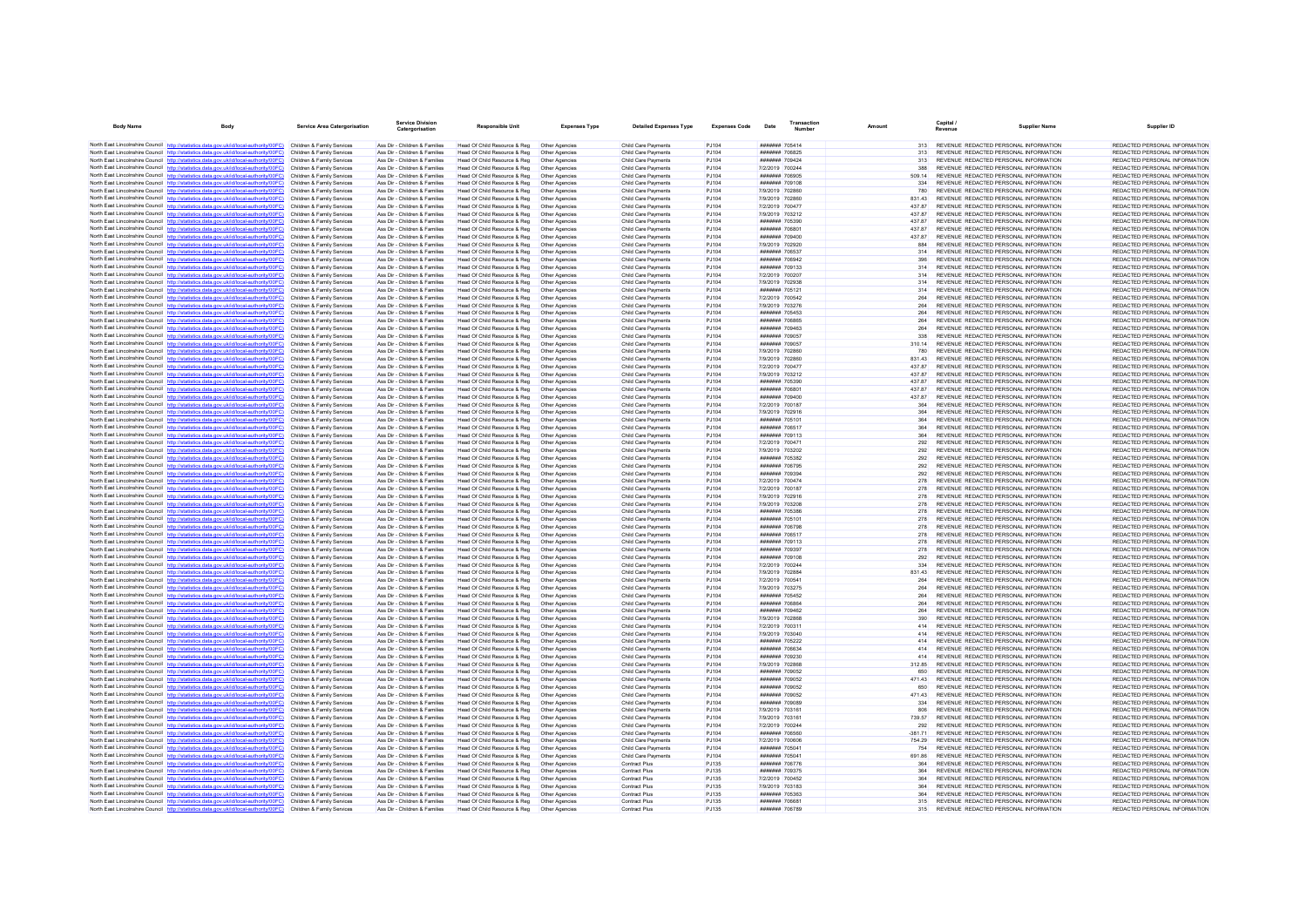| <b>Body Name</b> | Body                                                                                                                                                                                                        | <b>Service Area Catergorisation</b>                      | <b>Service Division</b><br>Catergorisation                     | Responsible Unit                                              | <b>Expenses Type</b>             | <b>Detailed Expenses Type</b>                     | <b>Expenses Code</b>  | Date                                    | Transaction<br>Number | Amount           | Capital /<br>Revenue                                                           | <b>Supplier Name</b> | Supplier ID                                                    |
|------------------|-------------------------------------------------------------------------------------------------------------------------------------------------------------------------------------------------------------|----------------------------------------------------------|----------------------------------------------------------------|---------------------------------------------------------------|----------------------------------|---------------------------------------------------|-----------------------|-----------------------------------------|-----------------------|------------------|--------------------------------------------------------------------------------|----------------------|----------------------------------------------------------------|
|                  | North East Lincolnshire Council http://statistics.data.gov.uk/id/local-authority/00FC) Children & Family Services                                                                                           |                                                          | Ass Dir - Children & Families                                  | Head Of Child Resource & Reg                                  | Other Agencies                   | Child Care Payments                               | PJ104                 | ####### 705414                          |                       | 313              | REVENUE REDACTED PERSONAL INFORMATION                                          |                      | REDACTED PERSONAL INFORMATION                                  |
|                  | North East Lincolnshire Council http://statistics.data.gov.uk/id/local-authority/00FC)                                                                                                                      | Children & Family Services                               | Ass Dir - Children & Families                                  | Head Of Child Resource & Reg                                  | Other Agencies                   | Child Care Payments                               | P.1104                | <b>#######</b> 706825                   |                       | 313              | REVENUE REDACTED PERSONAL INFORMATION                                          |                      | REDACTED PERSONAL INFORMATION                                  |
|                  | North East Lincolnshire Council http://statistics.data.gov.uk/id/local-authority/00FC)                                                                                                                      | Children & Family Services                               | Ass Dir - Children & Families                                  | Head Of Child Resource & Reg                                  | Other Agencies                   | Child Care Payments                               | PJ104                 | ####### 709424                          |                       | 313              | REVENUE REDACTED PERSONAL INFORMATION                                          |                      | REDACTED PERSONAL INFORMATION                                  |
|                  | North East Lincolnshire Council http://statistics.data.gov.uk/id/local-authority/00FC) Children & Family Services<br>North East Lincolnshire Council http://statistics.data.gov.uk/id/local-authority/00FC) | Children & Family Services                               | Ass Dir - Children & Families<br>Ass Dir - Children & Families | Head Of Child Resource & Reg                                  | Other Agencies<br>Other Agencies | Child Care Payments<br>Child Care Payments        | PJ104<br>PJ104        | 7/2/2019 700244<br>####### 706905       |                       | 388<br>509.14    | REVENUE REDACTED PERSONAL INFORMATION<br>REVENUE REDACTED PERSONAL INFORMATION |                      | REDACTED PERSONAL INFORMATION<br>REDACTED PERSONAL INFORMATION |
|                  | North East Lincolnshire Council http://statistics.data.gov.uk/id/local-authority/00FC)                                                                                                                      | Children & Family Services                               | Ass Dir - Children & Families                                  | Head Of Child Resource & Reg<br>Head Of Child Resource & Reg  | Other Agencies                   | Child Care Payments                               | PJ104                 | ####### 709108                          |                       | 334              | REVENUE REDACTED PERSONAL INFORMATION                                          |                      | REDACTED PERSONAL INFORMATION                                  |
|                  | North East Lincolnshire Council http://statistics.data.gov.uk/id/local-authority/00FC)                                                                                                                      | Children & Family Services                               | Ass Dir - Children & Families                                  | Head Of Child Resource & Reg                                  | Other Agencies                   | Child Care Payments                               | PJ104                 | 7/9/2019 702860                         |                       | 780              | REVENUE REDACTED PERSONAL INFORMATION                                          |                      | REDACTED PERSONAL INFORMATION                                  |
|                  | North East Lincolnshire Council http://statistics.data.gov.uk/id/local-authority/00FC)                                                                                                                      | Children & Family Services                               | Ass Dir - Children & Families                                  | Head Of Child Resource & Reg                                  | Other Agencies                   | <b>Child Care Payments</b>                        | <b>PJ104</b>          | 7/9/2019 702860                         |                       | 831.43           | REVENUE REDACTED PERSONAL INFORMATION                                          |                      | REDACTED PERSONAL INFORMATION                                  |
|                  | North East Lincolnshire Council http://statistics.data.gov.uk/id/local-authority/00FC)                                                                                                                      | Children & Family Services                               | Ass Dir - Children & Families                                  | Head Of Child Resource & Reg                                  | Other Agencies                   | Child Care Payments                               | P.1104                | 7/2/2019 700477                         |                       | 437.87<br>437.87 | REVENUE REDACTED PERSONAL INFORMATION                                          |                      | REDACTED PERSONAL INFORMATION                                  |
|                  | North East Lincolnshire Council http://statistics.data.gov.uk/id/local-authority/00FC)<br>North East Lincolnshire Council http://statistics.data.gov.uk/id/local-authority/00FC)                            | Children & Family Services<br>Children & Family Services | Ass Dir - Children & Families<br>Ass Dir - Children & Families | Head Of Child Resource & Reg<br>Head Of Child Resource & Reg  | Other Agencies<br>Other Agencies | Child Care Payments<br>Child Care Payments        | PJ104<br>PJ104        | 7/9/2019 703212<br>####### 705390       |                       | 43787            | REVENUE REDACTED PERSONAL INFORMATION<br>REVENUE REDACTED PERSONAL INFORMATION |                      | REDACTED PERSONAL INFORMATION<br>REDACTED PERSONAL INFORMATION |
|                  | North East Lincolnshire Council http://statistics.data.gov.uk/id/local-authority/00FC)                                                                                                                      | Children & Family Services                               | Ass Dir - Children & Families                                  | Head Of Child Resource & Reg                                  | Other Agencies                   | Child Care Payments                               | PJ104                 | ####### 706801                          |                       | 43787            | REVENUE REDACTED PERSONAL INFORMATION                                          |                      | REDACTED PERSONAL INFORMATION                                  |
|                  | North East Lincolnshire Council http://statistics.data.gov.uk/id/local-authority/00FC)                                                                                                                      | Children & Family Services                               | Ass Dir - Children & Families                                  | Head Of Child Resource & Reg                                  | Other Agencies                   | Child Care Payments                               | PJ104                 | ####### 709400                          |                       | 437.87           | REVENUE REDACTED PERSONAL INFORMATION                                          |                      | REDACTED PERSONAL INFORMATION                                  |
|                  | North East Lincolnshire Council http://statistics.data.gov.uk/id/local-authority/00FC)                                                                                                                      | Children & Family Services                               | Ass Dir - Children & Families                                  | Head Of Child Resource & Reg                                  | Other Agencies                   | Child Care Payments                               | PJ104                 | 7/9/2019 702920                         |                       | 884              | REVENUE REDACTED PERSONAL INFORMATION                                          |                      | REDACTED PERSONAL INFORMATION                                  |
|                  | North East Lincolnshire Council http://statistics.data.gov.uk/id/local-authority/00FC)<br>North East Lincolnshire Council http://statistics.data.gov.uk/id/local-authority/00FC)                            | Children & Family Services<br>Children & Family Services | Ass Dir - Children & Families<br>Ass Dir - Children & Families | Head Of Child Resource & Reg<br>Head Of Child Resource & Reg  | Other Agencies<br>Other Agencies | Child Care Payments<br>Child Care Payments        | P.1104<br>PJ104       | <b>#######</b> 706537<br>####### 706942 |                       | 314<br>396       | REVENUE REDACTED PERSONAL INFORMATION<br>REVENUE REDACTED PERSONAL INFORMATION |                      | REDACTED PERSONAL INFORMATION<br>REDACTED PERSONAL INFORMATION |
|                  | North East Lincolnshire Council http://statistics.data.gov.uk/id/local-authority/00FC)                                                                                                                      | Children & Family Services                               | Ass Dir - Children & Families                                  | Head Of Child Resource & Reg                                  | Other Agencies                   | Child Care Payments                               | PJ104                 | ####### 709133                          |                       | 314              | REVENUE REDACTED PERSONAL INFORMATION                                          |                      | REDACTED PERSONAL INFORMATION                                  |
|                  | North East Lincolnshire Council http://statistics.data.gov.uk/id/local-authority/00FC)                                                                                                                      | Children & Family Services                               | Ass Dir - Children & Families                                  | Head Of Child Resource & Reg                                  | Other Agencies                   | <b>Child Care Payments</b>                        | PJ104                 | 7/2/2019 700207                         |                       | 314              | REVENUE REDACTED PERSONAL INFORMATION                                          |                      | REDACTED PERSONAL INFORMATION                                  |
|                  | North East Lincolnshire Council http://statistics.data.gov.uk/id/local-authority/00FC)                                                                                                                      | Children & Family Services                               | Ass Dir - Children & Families                                  | Head Of Child Resource & Reg                                  | Other Agencies                   | Child Care Payments                               | PJ104                 | 7/9/2019 702938                         |                       | 314              | REVENUE REDACTED PERSONAL INFORMATION                                          |                      | REDACTED PERSONAL INFORMATION                                  |
|                  | North East Lincolnshire Council http://statistics.data.gov.uk/id/local-authority/00FC)<br>North East Lincolnshire Council http://statistics.data.gov.uk/id/local-authority/00FC)                            | Children & Family Services                               | Ass Dir - Children & Families                                  | Head Of Child Resource & Reg                                  | Other Agencies                   | Child Care Payments                               | PJ104                 | ####### 705121<br>7/2/2019 700542       |                       | 314              | REVENUE REDACTED PERSONAL INFORMATION<br>REVENUE REDACTED PERSONAL INFORMATION |                      | REDACTED PERSONAL INFORMATION<br>REDACTED PERSONAL INFORMATION |
|                  | North East Lincolnshire Council http://statistics.data.gov.uk/id/local-authority/00FC)                                                                                                                      | Children & Family Services<br>Children & Family Services | Ass Dir - Children & Families<br>Ass Dir - Children & Families | Head Of Child Resource & Reg<br>Head Of Child Resource & Reg  | Other Agencies<br>Other Agencies | Child Care Payments<br>Child Care Payments        | P.1104<br>PJ104       | 7/9/2019 703276                         |                       | 264<br>264       | REVENUE REDACTED PERSONAL INFORMATION                                          |                      | REDACTED PERSONAL INFORMATION                                  |
|                  | North East Lincolnshire Council http://statistics.data.gov.uk/id/local-authority/00FC)                                                                                                                      | Children & Family Services                               | Ass Dir - Children & Families                                  | Head Of Child Resource & Reg                                  | Other Agencies                   | Child Care Payments                               | PJ104                 | ####### 705453                          |                       | 264              | REVENUE REDACTED PERSONAL INFORMATION                                          |                      | REDACTED PERSONAL INFORMATION                                  |
|                  | North East Lincolnshire Council http://statistics.data.gov.uk/id/local-authority/00FC)                                                                                                                      | Children & Family Services                               | Ass Dir - Children & Families                                  | Head Of Child Resource & Reg                                  | Other Agencies                   | Child Care Payments                               | PJ104                 | ####### 706865                          |                       | 264              | REVENUE REDACTED PERSONAL INFORMATION                                          |                      | REDACTED PERSONAL INFORMATION                                  |
|                  | North East Lincolnshire Council http://statistics.data.gov.uk/id/local-authority/00FC)                                                                                                                      | Children & Family Services                               | Ass Dir - Children & Families                                  | Head Of Child Resource & Reg                                  | Other Agencies                   | Child Care Payments                               | P.1104                | HHHHHH 709463                           |                       | 264              | REVENUE REDACTED PERSONAL INFORMATION                                          |                      | REDACTED PERSONAL INFORMATION                                  |
|                  | North East Lincolnshire Council http://statistics.data.gov.uk/id/local-authority/00FC)<br>North East Lincolnshire Council http://statistics.data.gov.uk/id/local-authority/00FC)                            | Children & Family Services<br>Children & Family Services | Ass Dir - Children & Families<br>Ass Dir - Children & Families | Head Of Child Resource & Reg<br>Head Of Child Resource & Reg  | Other Agencies<br>Other Agencies | Child Care Payments<br>Child Care Payments        | PJ104<br>PJ104        | ####### 709057<br>####### 709057        |                       | 338<br>310.14    | REVENUE REDACTED PERSONAL INFORMATION<br>REVENUE REDACTED PERSONAL INFORMATION |                      | REDACTED PERSONAL INFORMATION<br>REDACTED PERSONAL INFORMATION |
|                  | North East Lincolnshire Council http://statistics.data.gov.uk/id/local-authority/00EC)                                                                                                                      | Children & Family Services                               | Ass Dir - Children & Families                                  | Head Of Child Resource & Reg                                  | Other Agencies                   | Child Care Payments                               | PJ104                 | 7/9/2019 702860                         |                       | 780              | REVENUE REDACTED PERSONAL INFORMATION                                          |                      | REDACTED PERSONAL INFORMATION                                  |
|                  | North East Lincolnshire Council http://statistics.data.gov.uk/id/local-authority/00FC)                                                                                                                      | Children & Family Services                               | Ass Dir - Children & Families                                  | Head Of Child Resource & Reg                                  | Other Agencies                   | Child Care Payments                               | PJ104                 | 7/9/2019 702860                         |                       | 831.43           | REVENUE REDACTED PERSONAL INFORMATION                                          |                      | REDACTED PERSONAL INFORMATION                                  |
|                  | North East Lincolnshire Council http://statistics.data.gov.uk/id/local-authority/00FC)                                                                                                                      | Children & Family Services                               | Ass Dir - Children & Families                                  | Head Of Child Resource & Reg                                  | Other Agencies                   | Child Care Payments                               | PJ104                 | 7/2/2019 700477                         |                       | 437.87           | REVENUE REDACTED PERSONAL INFORMATION                                          |                      | REDACTED PERSONAL INFORMATION                                  |
|                  | North East Lincolnshire Council http://statistics.data.gov.uk/id/local-authority/00FC)                                                                                                                      | Children & Family Services                               | Ass Dir - Children & Families                                  | Head Of Child Resource & Reg                                  | Other Agencies                   | <b>Child Care Payments</b>                        | <b>PJ104</b>          | 7/9/2019 703212                         |                       | 43787            | REVENUE REDACTED PERSONAL INFORMATION                                          |                      | REDACTED PERSONAL INFORMATION                                  |
|                  | North East Lincolnshire Council http://statistics.data.gov.uk/id/local-authority/00FC)<br>North East Lincolnshire Council http://statistics.data.gov.uk/id/local-authority/00FC)                            | Children & Family Services<br>Children & Family Services | Ass Dir - Children & Families<br>Ass Dir - Children & Families | Head Of Child Resource & Reg<br>Head Of Child Resource & Reg  | Other Agencies<br>Other Agencies | Child Care Payments<br>Child Care Payments        | PJ104<br>PJ104        | ####### 705390<br>####### 706801        |                       | 43787<br>437.87  | REVENUE REDACTED PERSONAL INFORMATION<br>REVENUE REDACTED PERSONAL INFORMATION |                      | REDACTED PERSONAL INFORMATION<br>REDACTED PERSONAL INFORMATION |
|                  | North East Lincolnshire Council http://statistics.data.gov.uk/id/local-authority/00FC)                                                                                                                      | Children & Family Services                               | Ass Dir - Children & Families                                  | Head Of Child Resource & Reg                                  | Other Agencies                   | Child Care Payments                               | PJ104                 | ####### 709400                          |                       | 43787            | REVENUE REDACTED PERSONAL INFORMATION                                          |                      | REDACTED PERSONAL INFORMATION                                  |
|                  | North East Lincolnshire Council http://statistics.data.gov.uk/id/local-authority/00FC)                                                                                                                      | Children & Family Services                               | Ass Dir - Children & Families                                  | Head Of Child Resource & Reg                                  | Other Agencies                   | Child Care Payments                               | P.1104                | 7/2/2019 700187                         |                       | 364              | REVENUE REDACTED PERSONAL INFORMATION                                          |                      | REDACTED PERSONAL INFORMATION                                  |
|                  | North East Lincolnshire Council http://statistics.data.gov.uk/id/local-authority/00FC)                                                                                                                      | Children & Family Services                               | Ass Dir - Children & Families                                  | Head Of Child Resource & Reg                                  | Other Agencies                   | Child Care Payments                               | PJ104                 | 7/9/2019 702916                         |                       | 364              | REVENUE REDACTED PERSONAL INFORMATION                                          |                      | REDACTED PERSONAL INFORMATION                                  |
|                  | North East Lincolnshire Council http://statistics.data.gov.uk/id/local-authority/00FC)                                                                                                                      | Children & Family Services                               | Ass Dir - Children & Families                                  | Head Of Child Resource & Reg                                  | Other Agencies                   | Child Care Payments                               | PJ104                 | ####### 705101                          |                       | 364              | REVENUE REDACTED PERSONAL INFORMATION                                          |                      | REDACTED PERSONAL INFORMATION                                  |
|                  | North East Lincolnshire Council http://statistics.data.gov.uk/id/local-authority/00FC)<br>North East Lincolnshire Council http://statistics.data.gov.uk/id/local-authority/00FC)                            | Children & Family Services<br>Children & Family Services | Ass Dir - Children & Families<br>Ass Dir - Children & Families | Head Of Child Resource & Reg<br>Head Of Child Resource & Reg  | Other Agencies<br>Other Agencies | Child Care Payments<br>Child Care Payments        | PJ104<br>PJ104        | <b>#######</b> 706517<br>###### 709113  |                       | 364<br>364       | REVENUE REDACTED PERSONAL INFORMATION<br>REVENUE REDACTED PERSONAL INFORMATION |                      | REDACTED PERSONAL INFORMATION<br>REDACTED PERSONAL INFORMATION |
|                  | North East Lincolnshire Council http://statistics.data.gov.uk/id/local-authority/00FC)                                                                                                                      | Children & Family Services                               | Ass Dir - Children & Families                                  | Head Of Child Resource & Reg                                  | Other Agencies                   | Child Care Payments                               | PJ104                 | 7/2/2019 700471                         |                       | 292              | REVENUE REDACTED PERSONAL INFORMATION                                          |                      | REDACTED PERSONAL INFORMATION                                  |
|                  | North East Lincolnshire Council http://statistics.data.gov.uk/id/local-authority/00FC)                                                                                                                      | Children & Family Services                               | Ass Dir - Children & Families                                  | Head Of Child Resource & Reg                                  | Other Agencies                   | <b>Child Care Payments</b>                        | PJ104                 | 7/9/2019 703202                         |                       | 292              | REVENUE REDACTED PERSONAL INFORMATION                                          |                      | REDACTED PERSONAL INFORMATION                                  |
|                  | North East Lincolnshire Council http://statistics.data.gov.uk/id/local-authority/00FC)                                                                                                                      | Children & Family Services                               | Ass Dir - Children & Families                                  | Head Of Child Resource & Reg                                  | Other Agencies                   | Child Care Payments                               | PJ104                 | ####### 705382                          |                       | 292              | REVENUE REDACTED PERSONAL INFORMATION                                          |                      | REDACTED PERSONAL INFORMATION                                  |
|                  | North East Lincolnshire Council http://statistics.data.gov.uk/id/local-authority/00FC)<br>North East Lincolnshire Council http://statistics.data.gov.uk/id/local-authority/00FC)                            | Children & Family Services<br>Children & Family Services | Ass Dir - Children & Families<br>Ass Dir - Children & Families | Head Of Child Resource & Reg<br>Head Of Child Resource & Reg  | Other Agencies<br>Other Agencies | Child Care Payments<br>Child Care Payments        | PJ104<br>P.1104       | ####### 706795<br>####### 709394        |                       | 292<br>292       | REVENUE REDACTED PERSONAL INFORMATION<br>REVENUE REDACTED PERSONAL INFORMATION |                      | REDACTED PERSONAL INFORMATION<br>REDACTED PERSONAL INFORMATION |
|                  | North East Lincolnshire Council http://statistics.data.gov.uk/id/local-authority/00FC)                                                                                                                      | Children & Family Services                               | Ass Dir - Children & Families                                  | Head Of Child Resource & Reg                                  | Other Agencies                   | Child Care Payments                               | PJ104                 | 7/2/2019 700474                         |                       | 278              | REVENUE REDACTED PERSONAL INFORMATION                                          |                      | REDACTED PERSONAL INFORMATION                                  |
|                  | North East Lincolnshire Council http://statistics.data.gov.uk/id/local-authority/00FC)                                                                                                                      | Children & Family Services                               | Ass Dir - Children & Families                                  | Head Of Child Resource & Reg                                  | Other Agencies                   | Child Care Payments                               | PJ104                 | 7/2/2019 700187                         |                       | 278              | REVENUE REDACTED PERSONAL INFORMATION                                          |                      | REDACTED PERSONAL INFORMATION                                  |
|                  | North East Lincolnshire Council http://statistics.data.gov.uk/id/local-authority/00FC)                                                                                                                      | Children & Family Services                               | Ass Dir - Children & Families                                  | Head Of Child Resource & Reg                                  | Other Agencies                   | Child Care Payments                               | PJ104                 | 7/9/2019 702916                         |                       | 278              | REVENUE REDACTED PERSONAL INFORMATION                                          |                      | REDACTED PERSONAL INFORMATION                                  |
|                  | North East Lincolnshire Council http://statistics.data.gov.uk/id/local-authority/00FC)                                                                                                                      | Children & Family Services                               | Ass Dir - Children & Families                                  | Head Of Child Resource & Reg                                  | Other Agencies                   | Child Care Payments                               | P.1104                | 7/9/2019 703208                         |                       | 278              | REVENUE REDACTED PERSONAL INFORMATION                                          |                      | REDACTED PERSONAL INFORMATION                                  |
|                  | North East Lincolnshire Council http://statistics.data.gov.uk/id/local-authority/00FC)<br>North East Lincolnshire Council http://statistics.data.gov.uk/id/local-authority/00FC)                            | Children & Family Services<br>Children & Family Services | Ass Dir - Children & Families<br>Ass Dir - Children & Families | Head Of Child Resource & Reg<br>Head Of Child Resource & Reg  | Other Agencies<br>Other Agencies | Child Care Payments<br>Child Care Payments        | PJ104<br>PJ104        | ####### 705386<br>####### 705101        |                       | 278<br>278       | REVENUE REDACTED PERSONAL INFORMATION<br>REVENUE REDACTED PERSONAL INFORMATION |                      | REDACTED PERSONAL INFORMATION<br>REDACTED PERSONAL INFORMATION |
|                  | North East Lincolnshire Council http://statistics.data.gov.uk/id/local-authority/00FC)                                                                                                                      | Children & Family Services                               | Ass Dir - Children & Families                                  | Head Of Child Resource & Reg                                  | Other Agencies                   | <b>Child Care Payments</b>                        | PJ104                 | ####### 706798                          |                       | 278              | REVENUE REDACTED PERSONAL INFORMATION                                          |                      | REDACTED PERSONAL INFORMATION                                  |
|                  | North East Lincolnshire Council http://statistics.data.gov.uk/id/local-authority/00FC)                                                                                                                      | Children & Family Services                               | Ass Dir - Children & Families                                  | Head Of Child Resource & Reg                                  | Other Agencies                   | Child Care Payments                               | PJ104                 | ####### 706517                          |                       | 278              | REVENUE REDACTED PERSONAL INFORMATION                                          |                      | REDACTED PERSONAL INFORMATION                                  |
|                  | North East Lincolnshire Council http://statistics.data.gov.uk/id/local-authority/00FC)                                                                                                                      | Children & Family Services                               | Ass Dir - Children & Families                                  | Head Of Child Resource & Reg                                  | Other Agencies                   | Child Care Payments                               | PJ104                 | ####### 709113                          |                       | 278              | REVENUE REDACTED PERSONAL INFORMATION                                          |                      | REDACTED PERSONAL INFORMATION                                  |
|                  | North East Lincolnshire Council http://statistics.data.gov.uk/id/local-authority/00FC)<br>North East Lincolnshire Council http://statistics.data.gov.uk/id/local-authority/00FC)                            | Children & Family Services<br>Children & Family Services | Ass Dir - Children & Families<br>Ass Dir - Children & Families | Head Of Child Resource & Reg.<br>Head Of Child Resource & Reg | Other Agencies<br>Other Agencies | <b>Child Care Payments</b><br>Child Care Payments | <b>PJ104</b><br>PJ104 | ####### 709397<br>####### 709108        |                       | 278<br>292       | REVENUE REDACTED PERSONAL INFORMATION<br>REVENUE REDACTED PERSONAL INFORMATION |                      | REDACTED PERSONAL INFORMATION<br>REDACTED PERSONAL INFORMATION |
|                  | North East Lincolnshire Council http://statistics.data.gov.uk/id/local-authority/00FC)                                                                                                                      | Children & Family Services                               | Ass Dir - Children & Families                                  | Head Of Child Resource & Reg                                  | Other Agencies                   | Child Care Payments                               | PJ104                 | 7/2/2019 700244                         |                       |                  | REVENUE REDACTED PERSONAL INFORMATION                                          |                      | REDACTED PERSONAL INFORMATION                                  |
|                  | North East Lincolnshire Council http://statistics.data.gov.uk/id/local-authority/00FC)                                                                                                                      | Children & Family Services                               | Ass Dir - Children & Families                                  | Head Of Child Resource & Reg                                  | Other Agencies                   | Child Care Payments                               | PJ104                 | 7/9/2019 702884                         |                       | 831 43           | REVENUE REDACTED PERSONAL INFORMATION                                          |                      | REDACTED PERSONAL INFORMATION                                  |
|                  | North East Lincolnshire Council http://statistics.data.gov.uk/id/local-authority/00FC)                                                                                                                      | Children & Family Services                               | Ass Dir - Children & Families                                  | Head Of Child Resource & Reg                                  | Other Agencies                   | Child Care Payments                               | P.1104                | 7/2/2019 700541                         |                       | 264              | REVENUE REDACTED PERSONAL INFORMATION                                          |                      | REDACTED PERSONAL INFORMATION                                  |
|                  | North East Lincolnshire Council http://statistics.data.gov.uk/id/local-authority/00FC)<br>North East Lincolnshire Council http://statistics.data.gov.uk/id/local-authority/00FC)                            | Children & Family Services<br>Children & Family Services | Ass Dir - Children & Families<br>Ass Dir - Children & Families | Head Of Child Resource & Reg<br>Head Of Child Resource & Reg  | Other Agencies                   | Child Care Payments                               | PJ104<br>PJ104        | 7/9/2019 703275<br>####### 705452       |                       | 264<br>264       | REVENUE REDACTED PERSONAL INFORMATION<br>REVENUE REDACTED PERSONAL INFORMATION |                      | REDACTED PERSONAL INFORMATION                                  |
|                  | North East Lincolnshire Council http://statistics.data.gov.uk/id/local-authority/00FC)                                                                                                                      | Children & Family Services                               | Ass Dir - Children & Families                                  | Head Of Child Resource & Reg                                  | Other Agencies<br>Other Agencies | Child Care Payments<br>Child Care Payments        | PJ104                 | ####### 706864                          |                       | 264              | REVENUE REDACTED PERSONAL INFORMATION                                          |                      | REDACTED PERSONAL INFORMATION<br>REDACTED PERSONAL INFORMATION |
|                  | North East Lincolnshire Council http://statistics.data.gov.uk/id/local-authority/00FC)                                                                                                                      | Children & Family Services                               | Ass Dir - Children & Families                                  | Head Of Child Resource & Reg                                  | Other Agencies                   | Child Care Payments                               | PJ104                 | ####### 709462                          |                       | 264              | REVENUE REDACTED PERSONAL INFORMATION                                          |                      | REDACTED PERSONAL INFORMATION                                  |
|                  | North East Lincolnshire Council http://statistics.data.gov.uk/id/local-authority/00FC)                                                                                                                      | Children & Family Services                               | Ass Dir - Children & Families                                  | Head Of Child Resource & Reg                                  | Other Agencies                   | Child Care Payments                               | PJ104                 | 7/9/2019 702868                         |                       | 390              | REVENUE REDACTED PERSONAL INFORMATION                                          |                      | REDACTED PERSONAL INFORMATION                                  |
|                  | North East Lincolnshire Council http://statistics.data.gov.uk/id/local-authority/00FC)                                                                                                                      | Children & Family Services                               | Ass Dir - Children & Families                                  | Head Of Child Resource & Reg                                  | Other Agencies                   | <b>Child Care Payments</b>                        | PJ104                 | 7/2/2019 700311                         |                       | 414              | REVENUE REDACTED PERSONAL INFORMATION                                          |                      | REDACTED PERSONAL INFORMATION                                  |
|                  | North East Lincolnshire Council http://statistics.data.gov.uk/id/local-authority/00FC)<br>North East Lincolnshire Council http://statistics.data.gov.uk/id/local-authority/00FC)                            | Children & Family Services<br>Children & Family Services | Ass Dir - Children & Families<br>Ass Dir - Children & Families | Head Of Child Resource & Reg<br>Head Of Child Resource & Reg  | Other Agencies<br>Other Agencies | Child Care Payments<br>Child Care Payments        | PJ104<br>PJ104        | 7/9/2019 703040<br>####### 705222       |                       | 414<br>414       | REVENUE REDACTED PERSONAL INFORMATION<br>REVENUE REDACTED PERSONAL INFORMATION |                      | REDACTED PERSONAL INFORMATION<br>REDACTED PERSONAL INFORMATION |
|                  | North East Lincolnshire Council http://statistics.data.gov.uk/id/local-authority/00FC)                                                                                                                      | Children & Family Services                               | Ass Dir - Children & Families                                  | Head Of Child Resource & Reg                                  | Other Agencies                   | Child Care Payments                               | PJ104                 | ####### 706634                          |                       | 414              | REVENUE REDACTED PERSONAL INFORMATION                                          |                      | REDACTED PERSONAL INFORMATION                                  |
|                  | North East Lincolnshire Council http://statistics.data.gov.uk/id/local-authority/00FC)                                                                                                                      | Children & Family Services                               | Ass Dir - Children & Families                                  | Head Of Child Resource & Reg                                  | Other Agencies                   | Child Care Payments                               | PJ104                 | ####### 709230                          |                       | A1A              | REVENUE REDACTED PERSONAL INFORMATION                                          |                      | REDACTED PERSONAL INFORMATION                                  |
|                  | North East Lincolnshire Council http://statistics.data.gov.uk/id/local-authority/00FC)                                                                                                                      | Children & Family Services                               | Ass Dir - Children & Families                                  | Head Of Child Resource & Reg                                  | Other Agencies                   | Child Care Payments                               | PJ104                 | 7/9/2019 702868                         |                       | 312.85           | REVENUE REDACTED PERSONAL INFORMATION                                          |                      | REDACTED PERSONAL INFORMATION                                  |
|                  | North East Lincolnshire Council http://statistics.data.gov.uk/id/local-authority/00FC)<br>North East Lincolnshire Council http://statistics.data.gov.uk/id/local-authority/00EC)                            | Children & Family Services<br>Children & Family Services | Ass Dir - Children & Families<br>Ass Dir - Children & Families | Head Of Child Resource & Reg                                  | Other Agencies                   | Child Care Payments                               | PJ104<br>P.1104       | ####### 709052<br>####### 709052        |                       | 650<br>47143     | REVENUE REDACTED PERSONAL INFORMATION<br>REVENUE REDACTED PERSONAL INFORMATION |                      | REDACTED PERSONAL INFORMATION<br>REDACTED PERSONAL INFORMATION |
|                  | North East Lincolnshire Council http://statistics.data.gov.uk/id/local-authority/00FC)                                                                                                                      | Children & Family Services                               | Ass Dir - Children & Families                                  | Head Of Child Resource & Reg<br>Head Of Child Resource & Reg  | Other Agencies<br>Other Agencies | Child Care Payments<br>Child Care Payments        | PJ104                 | ####### 709052                          |                       | 650              | REVENUE REDACTED PERSONAL INFORMATION                                          |                      | REDACTED PERSONAL INFORMATION                                  |
|                  | North East Lincolnshire Council http://statistics.data.gov.uk/id/local-authority/00FC)                                                                                                                      | Children & Family Services                               | Ass Dir - Children & Families                                  | Head Of Child Resource & Reg                                  | Other Agencies                   | Child Care Payments                               | PJ104                 | ####### 709052                          |                       | 471.43           | REVENUE REDACTED PERSONAL INFORMATION                                          |                      | REDACTED PERSONAL INFORMATION                                  |
|                  | North East Lincolnshire Council http://statistics.data.gov.uk/id/local-authority/00FC)                                                                                                                      | Children & Family Services                               | Ass Dir - Children & Families                                  | Head Of Child Resource & Reg                                  | Other Agencies                   | <b>Child Care Payments</b>                        | PJ104                 | ####### 709089                          |                       | 334              | REVENUE REDACTED PERSONAL INFORMATION                                          |                      | REDACTED PERSONAL INFORMATION                                  |
|                  | North East Lincolnshire Council http://statistics.data.gov.uk/id/local-authority/00FC)                                                                                                                      | Children & Family Services                               | Ass Dir - Children & Families                                  | Head Of Child Resource & Reg                                  | Other Agencies                   | Child Care Payments                               | PJ104                 | 7/9/2019 703161                         |                       | 806              | REVENUE REDACTED PERSONAL INFORMATION                                          |                      | REDACTED PERSONAL INFORMATION                                  |
|                  | North East Lincolnshire Council http://statistics.data.gov.uk/id/local-authority/00FC)<br>North East Lincolnshire Council http://statistics.data.gov.uk/id/local-authority/00FC)                            | Children & Family Services<br>Children & Family Services | Ass Dir - Children & Families<br>Ass Dir - Children & Families | Head Of Child Resource & Reg<br>Head Of Child Resource & Reg  | Other Agencies<br>Other Agencies | Child Care Payments<br>Child Care Payments        | PJ104<br>P.1104       | 7/9/2019 703161<br>7/2/2019 700244      |                       | 739.57<br>292    | REVENUE REDACTED PERSONAL INFORMATION<br>REVENUE REDACTED PERSONAL INFORMATION |                      | REDACTED PERSONAL INFORMATION<br>REDACTED PERSONAL INFORMATION |
|                  | North East Lincolnshire Council http://statistics.data.gov.uk/id/local-authority/00FC)                                                                                                                      | Children & Family Services                               | Ass Dir - Children & Families                                  | Head Of Child Resource & Reg                                  | Other Agencies                   | Child Care Payments                               | PJ104                 | ####### 706560                          |                       | $-38171$         | REVENUE REDACTED PERSONAL INFORMATION                                          |                      | REDACTED PERSONAL INFORMATION                                  |
|                  | North East Lincolnshire Council http://statistics.data.gov.uk/id/local-authority/00FC)                                                                                                                      | Children & Family Services                               | Ass Dir - Children & Families                                  | Head Of Child Resource & Reg                                  | Other Agencies                   | Child Care Payments                               | PJ104                 | 7/2/2019 700606                         |                       | 754.29           | REVENUE REDACTED PERSONAL INFORMATION                                          |                      | REDACTED PERSONAL INFORMATION                                  |
|                  | North East Lincolnshire Council http://statistics.data.gov.uk/id/local-authority/00FC)                                                                                                                      | Children & Family Services                               | Ass Dir - Children & Families                                  | Head Of Child Resource & Reg                                  | Other Agencies                   | Child Care Payments                               | PJ104                 | ####### 705041                          |                       | 754              | REVENUE REDACTED PERSONAL INFORMATION                                          |                      | REDACTED PERSONAL INFORMATION                                  |
|                  | North East Lincolnshire Council http://statistics.data.gov.uk/id/local-authority/00FC)<br>North East Lincolnshire Council http://statistics.data.gov.uk/id/local-authority/00FC)                            | Children & Family Services<br>Children & Family Services | Ass Dir - Children & Families<br>Ass Dir - Children & Families | Head Of Child Resource & Reg<br>Head Of Child Resource & Reg  | Other Agencies<br>Other Agencies | Child Care Payments<br><b>Contract Plus</b>       | P.1104<br>PJ135       | <b>#######</b> 705041<br>####### 706776 |                       | 69186<br>364     | REVENUE REDACTED PERSONAL INFORMATION<br>REVENUE REDACTED PERSONAL INFORMATION |                      | REDACTED PERSONAL INFORMATION<br>REDACTED PERSONAL INFORMATION |
|                  | North East Lincolnshire Council http://statistics.data.gov.uk/id/local-authority/00FC)                                                                                                                      | Children & Family Services                               | Ass Dir - Children & Families                                  | Head Of Child Resource & Reg                                  | Other Agencies                   | Contract Plus                                     | PJ135                 | ####### 709375                          |                       | 364              | REVENUE REDACTED PERSONAL INFORMATION                                          |                      | REDACTED PERSONAL INFORMATION                                  |
|                  | North East Lincolnshire Council http://statistics.data.gov.uk/id/local-authority/00FC)                                                                                                                      | Children & Family Services                               | Ass Dir - Children & Families                                  | Head Of Child Resource & Reg                                  | Other Agencies                   | <b>Contract Plus</b>                              | PJ135                 | 7/2/2019 700452                         |                       | 364              | REVENUE REDACTED PERSONAL INFORMATION                                          |                      | REDACTED PERSONAL INFORMATION                                  |
|                  | North East Lincolnshire Council http://statistics.data.gov.uk/id/local-authority/00FC)                                                                                                                      | Children & Family Services                               | Ass Dir - Children & Families                                  | Head Of Child Resource & Reg                                  | Other Agencies                   | <b>Contract Plus</b>                              | PJ135                 | 7/9/2019 703183                         |                       | 364              | REVENUE REDACTED PERSONAL INFORMATION                                          |                      | REDACTED PERSONAL INFORMATION                                  |
|                  | North East Lincolnshire Council http://statistics.data.gov.uk/id/local-authority/00FC)                                                                                                                      | Children & Family Services                               | Ass Dir - Children & Families                                  | Head Of Child Resource & Reg                                  | Other Agencies                   | <b>Contract Plus</b>                              | PJ135                 | ####### 705363                          |                       | 364              | REVENUE REDACTED PERSONAL INFORMATION                                          |                      | REDACTED PERSONAL INFORMATION<br>REDACTED PERSONAL INFORMATION |
|                  | North East Lincolnshire Council http://statistics.data.gov.uk/id/local-authority/00FC) Children & Family Services<br>North East Lincolnshire Council http://statistics.data.gov.uk/id/local-authority/00FC) | Children & Family Services                               | Ass Dir - Children & Families<br>Ass Dir - Children & Families | Head Of Child Resource & Reg<br>Head Of Child Resource & Reg  | Other Agencies<br>Other Agencies | <b>Contract Plus</b><br>Contract Plus             | PJ135<br>PJ135        | ####### 706681<br>####### 706789        |                       | 315<br>315       | REVENUE REDACTED PERSONAL INFORMATION<br>REVENUE REDACTED PERSONAL INFORMATION |                      | REDACTED PERSONAL INFORMATION                                  |
|                  |                                                                                                                                                                                                             |                                                          |                                                                |                                                               |                                  |                                                   |                       |                                         |                       |                  |                                                                                |                      |                                                                |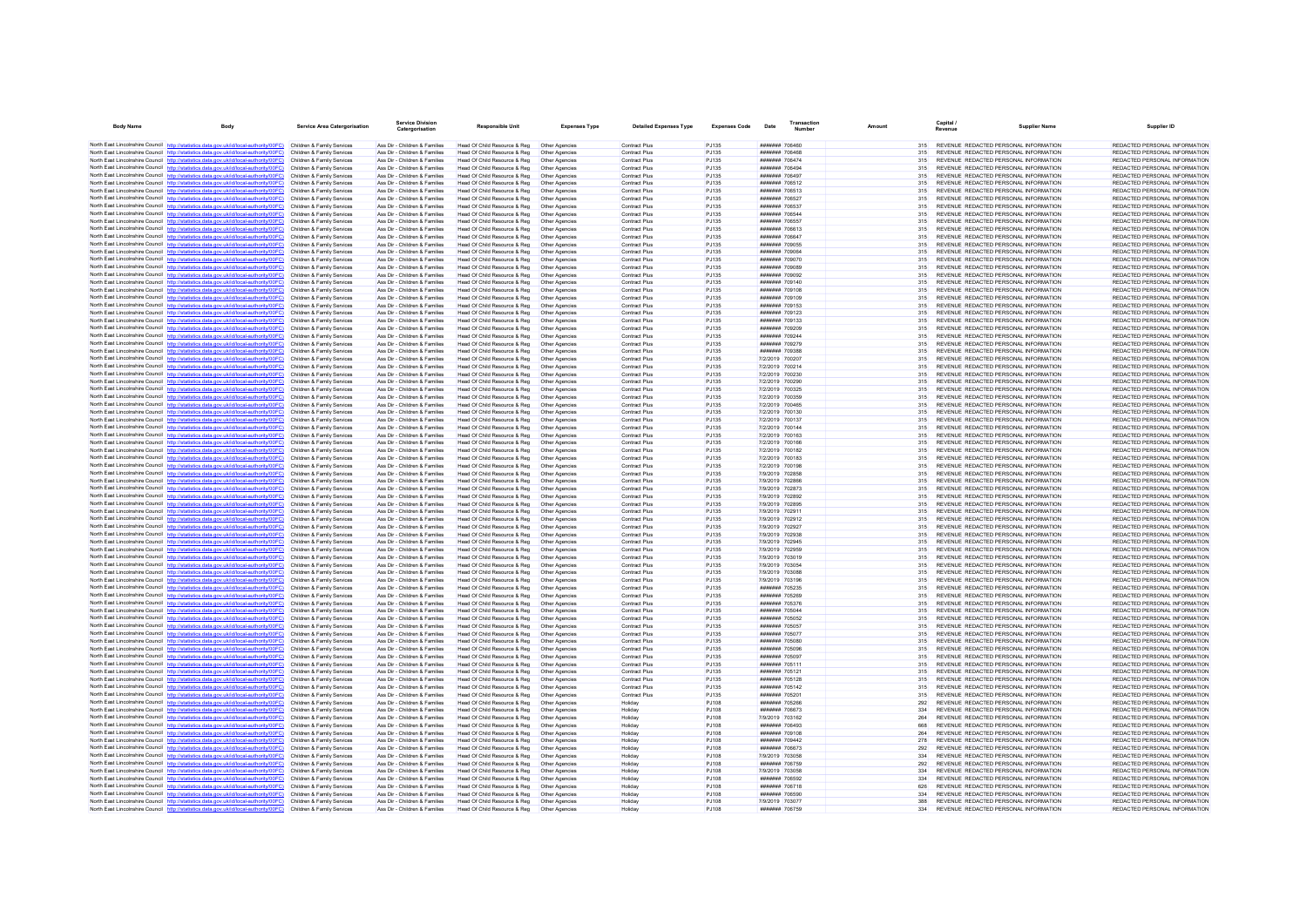| <b>Body Name</b> | Body                                                                                                                                                                                                        | <b>Service Area Catergorisation</b>                      | <b>Service Division</b><br>Catergorisation                     | Responsible Unit                                             | <b>Expenses Type</b>             | <b>Detailed Expenses Type</b>                | <b>Expenses Code</b>  | Date                                    | Transaction<br>Number | Amount |            | Capital /<br>Revenue                                                           | <b>Supplier Name</b> | Supplier ID                                                    |
|------------------|-------------------------------------------------------------------------------------------------------------------------------------------------------------------------------------------------------------|----------------------------------------------------------|----------------------------------------------------------------|--------------------------------------------------------------|----------------------------------|----------------------------------------------|-----------------------|-----------------------------------------|-----------------------|--------|------------|--------------------------------------------------------------------------------|----------------------|----------------------------------------------------------------|
|                  | North East Lincolnshire Council http://statistics.data.gov.uk/id/local-authority/00FC) Children & Family Services                                                                                           |                                                          | Ass Dir - Children & Families                                  | Head Of Child Resource & Reg                                 | Other Agencies                   | <b>Contract Plus</b>                         | PJ135                 |                                         |                       |        | 315        | REVENUE REDACTED PERSONAL INFORMATION                                          |                      | REDACTED PERSONAL INFORMATION                                  |
|                  | North East Lincolnshire Council http://statistics.data.gov.uk/id/local-authority/00FC)                                                                                                                      | Children & Family Services                               | Ass Dir - Children & Families                                  | Head Of Child Resource & Reg                                 | Other Agencies                   | Contract Plus                                | P.1135                | ####### 706468                          |                       |        | 315        | REVENUE REDACTED PERSONAL INFORMATION                                          |                      | REDACTED PERSONAL INFORMATION                                  |
|                  | North East Lincolnshire Council http://statistics.data.gov.uk/id/local-authority/00FC)                                                                                                                      | Children & Family Services                               | Ass Dir - Children & Families                                  | Head Of Child Resource & Reg                                 | Other Agencies                   | <b>Contract Plus</b>                         | PJ135                 | ####### 706474                          |                       |        | 315        | REVENUE REDACTED PERSONAL INFORMATION                                          |                      | REDACTED PERSONAL INFORMATION                                  |
|                  | North East Lincolnshire Council http://statistics.data.gov.uk/id/local-authority/00FC) Children & Family Services<br>North East Lincolnshire Council http://statistics.data.gov.uk/id/local-authority/00FC) | Children & Family Services                               | Ass Dir - Children & Families<br>Ass Dir - Children & Families | Head Of Child Resource & Reg                                 | Other Agencies<br>Other Agencies | <b>Contract Plus</b><br><b>Contract Plus</b> | PJ135<br>PJ135        | ####### 706494<br><b>#######</b> 706497 |                       |        | 315<br>315 | REVENUE REDACTED PERSONAL INFORMATION<br>REVENUE REDACTED PERSONAL INFORMATION |                      | REDACTED PERSONAL INFORMATION<br>REDACTED PERSONAL INFORMATION |
|                  | North East Lincolnshire Council http://statistics.data.gov.uk/id/local-authority/00FC)                                                                                                                      | Children & Family Services                               | Ass Dir - Children & Families                                  | Head Of Child Resource & Reg<br>Head Of Child Resource & Reg | Other Agencies                   | <b>Contract Plus</b>                         | PJ135                 | ####### 706512                          |                       |        | 315        | REVENUE REDACTED PERSONAL INFORMATION                                          |                      | REDACTED PERSONAL INFORMATION                                  |
|                  | North East Lincolnshire Council http://statistics.data.gov.uk/id/local-authority/00FC)                                                                                                                      | Children & Family Services                               | Ass Dir - Children & Families                                  | Head Of Child Resource & Reg                                 | Other Agencies                   | Contract Plus                                | PJ135                 | ####### 706513                          |                       |        | 315        | REVENUE REDACTED PERSONAL INFORMATION                                          |                      | REDACTED PERSONAL INFORMATION                                  |
|                  | North East Lincolnshire Council http://statistics.data.gov.uk/id/local-authority/00FC)                                                                                                                      | Children & Family Services                               | Ass Dir - Children & Families                                  | Head Of Child Resource & Reg                                 | Other Agencies                   | <b>Contract Plus</b>                         | PJ135                 | ####### 706527                          |                       |        | 315        | REVENUE REDACTED PERSONAL INFORMATION                                          |                      | REDACTED PERSONAL INFORMATION                                  |
|                  | North East Lincolnshire Council http://statistics.data.gov.uk/id/local-authority/00FC)                                                                                                                      | Children & Family Services                               | Ass Dir - Children & Families                                  | Head Of Child Resource & Reg                                 | Other Agencies                   | <b>Contract Plus</b>                         | P.1135                | <b>#######</b> 706537                   |                       |        | 315        | REVENUE REDACTED PERSONAL INFORMATION                                          |                      | REDACTED PERSONAL INFORMATION                                  |
|                  | North East Lincolnshire Council http://statistics.data.gov.uk/id/local-authority/00FC)<br>North East Lincolnshire Council http://statistics.data.gov.uk/id/local-authority/00FC)                            | Children & Family Services<br>Children & Family Services | Ass Dir - Children & Families<br>Ass Dir - Children & Families | Head Of Child Resource & Reg<br>Head Of Child Resource & Reg | Other Agencies<br>Other Agencies | Contract Plus<br><b>Contract Plus</b>        | PJ135<br>PJ135        | ####### 706544<br>####### 706557        |                       |        | 315<br>315 | REVENUE REDACTED PERSONAL INFORMATION<br>REVENUE REDACTED PERSONAL INFORMATION |                      | REDACTED PERSONAL INFORMATION<br>REDACTED PERSONAL INFORMATION |
|                  | North East Lincolnshire Council http://statistics.data.gov.uk/id/local-authority/00FC)                                                                                                                      | Children & Family Services                               | Ass Dir - Children & Families                                  | Head Of Child Resource & Reg                                 | Other Agencies                   | <b>Contract Plus</b>                         | PJ135                 | ####### 706613                          |                       |        | 315        | REVENUE REDACTED PERSONAL INFORMATION                                          |                      | REDACTED PERSONAL INFORMATION                                  |
|                  | North East Lincolnshire Council http://statistics.data.gov.uk/id/local-authority/00FC)                                                                                                                      | Children & Family Services                               | Ass Dir - Children & Families                                  | Head Of Child Resource & Reg                                 | Other Agencies                   | <b>Contract Plus</b>                         | PJ135                 | ####### 706647                          |                       |        | 315        | REVENUE REDACTED PERSONAL INFORMATION                                          |                      | REDACTED PERSONAL INFORMATION                                  |
|                  | North East Lincolnshire Council http://statistics.data.gov.uk/id/local-authority/00FC)                                                                                                                      | Children & Family Services                               | Ass Dir - Children & Families                                  | Head Of Child Resource & Reg                                 | Other Agencies                   | <b>Contract Plus</b>                         | PJ135                 | ####### 709055                          |                       |        | 315        | REVENUE REDACTED PERSONAL INFORMATION                                          |                      | REDACTED PERSONAL INFORMATION                                  |
|                  | North East Lincolnshire Council http://statistics.data.gov.uk/id/local-authority/00FC)<br>North East Lincolnshire Council http://statistics.data.gov.uk/id/local-authority/00FC)                            | Children & Family Services<br>Children & Family Services | Ass Dir - Children & Families<br>Ass Dir - Children & Families | Head Of Child Resource & Reg<br>Head Of Child Resource & Reg | Other Anencies<br>Other Agencies | <b>Contract Plus</b><br><b>Contract Plus</b> | P.1135<br>PJ135       | ####### 709064<br>####### 709070        |                       |        | 315<br>315 | REVENUE REDACTED PERSONAL INFORMATION<br>REVENUE REDACTED PERSONAL INFORMATION |                      | REDACTED PERSONAL INFORMATION<br>REDACTED PERSONAL INFORMATION |
|                  | North East Lincolnshire Council http://statistics.data.gov.uk/id/local-authority/00FC)                                                                                                                      | Children & Family Services                               | Ass Dir - Children & Families                                  | Head Of Child Resource & Reg                                 | Other Agencies                   | <b>Contract Plus</b>                         | PJ135                 | ####### 709089                          |                       |        | 315        | REVENUE REDACTED PERSONAL INFORMATION                                          |                      | REDACTED PERSONAL INFORMATION                                  |
|                  | North East Lincolnshire Council http://statistics.data.gov.uk/id/local-authority/00FC)                                                                                                                      | Children & Family Services                               | Ass Dir - Children & Families                                  | Head Of Child Resource & Reg                                 | Other Agencies                   | <b>Contract Plus</b>                         | PJ135                 | ####### 709092                          |                       |        | 315        | REVENUE REDACTED PERSONAL INFORMATION                                          |                      | REDACTED PERSONAL INFORMATION                                  |
|                  | North East Lincolnshire Council http://statistics.data.gov.uk/id/local-authority/00FC)                                                                                                                      | Children & Family Services                               | Ass Dir - Children & Families                                  | Head Of Child Resource & Reg                                 | Other Agencies                   | <b>Contract Plus</b>                         | PJ135                 | ####### 709140                          |                       |        | 315        | REVENUE REDACTED PERSONAL INFORMATION                                          |                      | REDACTED PERSONAL INFORMATION                                  |
|                  | North East Lincolnshire Council http://statistics.data.gov.uk/id/local-authority/00FC)<br>North East Lincolnshire Council http://statistics.data.gov.uk/id/local-authority/00FC)                            | Children & Family Services                               | Ass Dir - Children & Families                                  | Head Of Child Resource & Reg                                 | Other Agencies                   | Contract Plus                                | PJ135                 | ####### 709108<br>####### 709109        |                       |        | 315        | REVENUE REDACTED PERSONAL INFORMATION<br>REVENUE REDACTED PERSONAL INFORMATION |                      | REDACTED PERSONAL INFORMATION<br>REDACTED PERSONAL INFORMATION |
|                  | North East Lincolnshire Council http://statistics.data.gov.uk/id/local-authority/00FC)                                                                                                                      | Children & Family Services<br>Children & Family Services | Ass Dir - Children & Families<br>Ass Dir - Children & Families | Head Of Child Resource & Reg<br>Head Of Child Resource & Reg | Other Agencies<br>Other Agencies | <b>Contract Plus</b><br><b>Contract Plus</b> | P.1135<br>PJ135       | ####### 709153                          |                       |        | 315<br>315 | REVENUE REDACTED PERSONAL INFORMATION                                          |                      | REDACTED PERSONAL INFORMATION                                  |
|                  | North East Lincolnshire Council http://statistics.data.gov.uk/id/local-authority/00FC)                                                                                                                      | Children & Family Services                               | Ass Dir - Children & Families                                  | Head Of Child Resource & Reg                                 | Other Agencies                   | Contract Plus                                | PJ135                 | ####### 709123                          |                       |        | 315        | REVENUE REDACTED PERSONAL INFORMATION                                          |                      | REDACTED PERSONAL INFORMATION                                  |
|                  | North East Lincolnshire Council http://statistics.data.gov.uk/id/local-authority/00FC)                                                                                                                      | Children & Family Services                               | Ass Dir - Children & Families                                  | Head Of Child Resource & Reg                                 | Other Agencies                   | Contract Plus                                | PJ135                 | ####### 709133                          |                       |        | 315        | REVENUE REDACTED PERSONAL INFORMATION                                          |                      | REDACTED PERSONAL INFORMATION                                  |
|                  | North East Lincolnshire Council http://statistics.data.gov.uk/id/local-authority/00FC)                                                                                                                      | Children & Family Services                               | Ass Dir - Children & Families                                  | Head Of Child Resource & Reg                                 | Other Agencies                   | <b>Contract Plus</b>                         | P.1135                | ####### 709209                          |                       |        | 315        | REVENUE REDACTED PERSONAL INFORMATION                                          |                      | REDACTED PERSONAL INFORMATION                                  |
|                  | North East Lincolnshire Council http://statistics.data.gov.uk/id/local-authority/00FC)<br>North East Lincolnshire Council http://statistics.data.gov.uk/id/local-authority/00FC)                            | Children & Family Services<br>Children & Family Services | Ass Dir - Children & Families<br>Ass Dir - Children & Families | Head Of Child Resource & Reg<br>Head Of Child Resource & Reg | Other Agencies<br>Other Agencies | Contract Plus<br><b>Contract Plus</b>        | PJ135<br>PJ135        | ####### 709244<br>####### 709279        |                       |        | 315<br>315 | REVENUE REDACTED PERSONAL INFORMATION<br>REVENUE REDACTED PERSONAL INFORMATION |                      | REDACTED PERSONAL INFORMATION<br>REDACTED PERSONAL INFORMATION |
|                  | North East Lincolnshire Council http://statistics.data.gov.uk/id/local-authority/00EC)                                                                                                                      | Children & Family Services                               | Ass Dir - Children & Families                                  | Head Of Child Resource & Reg                                 | Other Agencies                   | <b>Contract Plus</b>                         | PJ135                 | <b>#######</b> 709388                   |                       |        | 315        | REVENUE REDACTED PERSONAL INFORMATION                                          |                      | REDACTED PERSONAL INFORMATION                                  |
|                  | North East Lincolnshire Council http://statistics.data.gov.uk/id/local-authority/00FC)                                                                                                                      | Children & Family Services                               | Ass Dir - Children & Families                                  | Head Of Child Resource & Reg                                 | Other Agencies                   | <b>Contract Plus</b>                         | PJ135                 | 7/2/2019 700207                         |                       |        | 315        | REVENUE REDACTED PERSONAL INFORMATION                                          |                      | REDACTED PERSONAL INFORMATION                                  |
|                  | North East Lincolnshire Council http://statistics.data.gov.uk/id/local-authority/00FC)                                                                                                                      | Children & Family Services                               | Ass Dir - Children & Families                                  | Head Of Child Resource & Reg                                 | Other Agencies                   | Contract Plus                                | <b>PJ135</b>          | 7/2/2019 700214                         |                       |        | 315        | REVENUE REDACTED PERSONAL INFORMATION                                          |                      | REDACTED PERSONAL INFORMATION                                  |
|                  | North East Lincolnshire Council http://statistics.data.gov.uk/id/local-authority/00FC)                                                                                                                      | Children & Family Services                               | Ass Dir - Children & Families                                  | Head Of Child Resource & Reg                                 | Other Agencies                   | <b>Contract Plus</b>                         | PJ135                 | 7/2/2019 700230                         |                       |        | 315        | REVENUE REDACTED PERSONAL INFORMATION                                          |                      | REDACTED PERSONAL INFORMATION                                  |
|                  | North East Lincolnshire Council http://statistics.data.gov.uk/id/local-authority/00FC)<br>North East Lincolnshire Council http://statistics.data.gov.uk/id/local-authority/00FC)                            | Children & Family Services<br>Children & Family Services | Ass Dir - Children & Families<br>Ass Dir - Children & Families | Head Of Child Resource & Reg<br>Head Of Child Resource & Reg | Other Agencies<br>Other Agencies | <b>Contract Plus</b><br>Contract Plus        | PJ135<br>PJ135        | 7/2/2019 700290<br>7/2/2019 700325      |                       |        | 315<br>315 | REVENUE REDACTED PERSONAL INFORMATION<br>REVENUE REDACTED PERSONAL INFORMATION |                      | REDACTED PERSONAL INFORMATION<br>REDACTED PERSONAL INFORMATION |
|                  | North East Lincolnshire Council http://statistics.data.gov.uk/id/local-authority/00FC)                                                                                                                      | Children & Family Services                               | Ass Dir - Children & Families                                  | Head Of Child Resource & Reg                                 | Other Agencies                   | <b>Contract Plus</b>                         | PJ135                 | 7/2/2019 700359                         |                       |        | 315        | REVENUE REDACTED PERSONAL INFORMATION                                          |                      | REDACTED PERSONAL INFORMATION                                  |
|                  | North East Lincolnshire Council http://statistics.data.gov.uk/id/local-authority/00FC)                                                                                                                      | Children & Family Services                               | Ass Dir - Children & Families                                  | Head Of Child Resource & Reg                                 | Other Agencies                   | <b>Contract Plus</b>                         | P.1135                | 7/2/2019 700465                         |                       |        | 315        | REVENUE REDACTED PERSONAL INFORMATION                                          |                      | REDACTED PERSONAL INFORMATION                                  |
|                  | North East Lincolnshire Council http://statistics.data.gov.uk/id/local-authority/00FC)                                                                                                                      | Children & Family Services                               | Ass Dir - Children & Families                                  | Head Of Child Resource & Reg                                 | Other Agencies                   | <b>Contract Plus</b>                         | PJ135                 | 7/2/2019 700130                         |                       |        | 315        | REVENUE REDACTED PERSONAL INFORMATION                                          |                      | REDACTED PERSONAL INFORMATION                                  |
|                  | North East Lincolnshire Council http://statistics.data.oov.uk/id/local-authority/00FC)                                                                                                                      | Children & Family Services                               | Ass Dir - Children & Families                                  | Head Of Child Resource & Reg                                 | Other Agencies                   | <b>Contract Plus</b>                         | PJ135                 | 7/2/2019 700137                         |                       |        | 315        | REVENUE REDACTED PERSONAL INFORMATION                                          |                      | REDACTED PERSONAL INFORMATION                                  |
|                  | North East Lincolnshire Council http://statistics.data.gov.uk/id/local-authority/00FC)<br>North East Lincolnshire Council http://statistics.data.gov.uk/id/local-authority/00FC)                            | Children & Family Services<br>Children & Family Services | Ass Dir - Children & Families<br>Ass Dir - Children & Families | Head Of Child Resource & Reg<br>Head Of Child Resource & Reg | Other Agencies<br>Other Agencies | <b>Contract Plus</b><br>Contract Plus        | PJ135<br>PJ135        | 7/2/2019 700144<br>7/2/2019 700163      |                       |        | 315<br>315 | REVENUE REDACTED PERSONAL INFORMATION<br>REVENUE REDACTED PERSONAL INFORMATION |                      | REDACTED PERSONAL INFORMATION<br>REDACTED PERSONAL INFORMATION |
|                  | North East Lincolnshire Council http://statistics.data.gov.uk/id/local-authority/00FC)                                                                                                                      | Children & Family Services                               | Ass Dir - Children & Families                                  | Head Of Child Resource & Reg                                 | Other Agencies                   | Contract Plus                                | PJ135                 | 7/2/2019 700166                         |                       |        | 315        | REVENUE REDACTED PERSONAL INFORMATION                                          |                      | REDACTED PERSONAL INFORMATION                                  |
|                  | North East Lincolnshire Council http://statistics.data.gov.uk/id/local-authority/00FC)                                                                                                                      | Children & Family Services                               | Ass Dir - Children & Families                                  | Head Of Child Resource & Reg                                 | Other Agencies                   | <b>Contract Plus</b>                         | PJ135                 | 7/2/2019 700182                         |                       |        | 315        | REVENUE REDACTED PERSONAL INFORMATION                                          |                      | REDACTED PERSONAL INFORMATION                                  |
|                  | North East Lincolnshire Council http://statistics.data.gov.uk/id/local-authority/00FC)                                                                                                                      | Children & Family Services                               | Ass Dir - Children & Families                                  | Head Of Child Resource & Reg                                 | Other Agencies                   | Contract Plus                                | PJ135                 | 7/2/2019 700183                         |                       |        | 315        | REVENUE REDACTED PERSONAL INFORMATION                                          |                      | REDACTED PERSONAL INFORMATION                                  |
|                  | North East Lincolnshire Council http://statistics.data.gov.uk/id/local-authority/00FC)                                                                                                                      | Children & Family Services                               | Ass Dir - Children & Families                                  | Head Of Child Resource & Reg                                 | Other Agencies                   | <b>Contract Plus</b>                         | PJ135                 | 7/2/2019 700198                         |                       |        | 315        | REVENUE REDACTED PERSONAL INFORMATION                                          |                      | REDACTED PERSONAL INFORMATION                                  |
|                  | North East Lincolnshire Council http://statistics.data.gov.uk/id/local-authority/00FC)<br>North East Lincolnshire Council http://statistics.data.gov.uk/id/local-authority/00FC)                            | Children & Family Services<br>Children & Family Services | Ass Dir - Children & Families<br>Ass Dir - Children & Families | Head Of Child Resource & Reg<br>Head Of Child Resource & Reg | Other Agencies<br>Other Agencies | Contract Plus<br>Contract Plus               | P.1135<br>PJ135       | 7/9/2019 702858<br>7/9/2019 702866      |                       |        | 315<br>315 | REVENUE REDACTED PERSONAL INFORMATION<br>REVENUE REDACTED PERSONAL INFORMATION |                      | REDACTED PERSONAL INFORMATION<br>REDACTED PERSONAL INFORMATION |
|                  | North East Lincolnshire Council http://statistics.data.gov.uk/id/local-authority/00FC)                                                                                                                      | Children & Family Services                               | Ass Dir - Children & Families                                  | Head Of Child Resource & Reg                                 | Other Agencies                   | Contract Plus                                | PJ135                 | 7/9/2019 702873                         |                       |        | 315        | REVENUE REDACTED PERSONAL INFORMATION                                          |                      | REDACTED PERSONAL INFORMATION                                  |
|                  | North East Lincolnshire Council http://statistics.data.gov.uk/id/local-authority/00FC)                                                                                                                      | Children & Family Services                               | Ass Dir - Children & Families                                  | Head Of Child Resource & Reg                                 | Other Agencies                   | Contract Plus                                | PJ135                 | 7/9/2019 702892                         |                       |        | 315        | REVENUE REDACTED PERSONAL INFORMATION                                          |                      | REDACTED PERSONAL INFORMATION                                  |
|                  | North East Lincolnshire Council http://statistics.data.gov.uk/id/local-authority/00FC)                                                                                                                      | Children & Family Services                               | Ass Dir - Children & Families                                  | Head Of Child Resource & Reg                                 | Other Agencies                   | Contract Plus                                | P.1135                | 7/9/2019 702895                         |                       |        | 315        | REVENUE REDACTED PERSONAL INFORMATION                                          |                      | REDACTED PERSONAL INFORMATION                                  |
|                  | North East Lincolnshire Council http://statistics.data.gov.uk/id/local-authority/00FC)                                                                                                                      | Children & Family Services<br>Children & Family Services | Ass Dir - Children & Families<br>Ass Dir - Children & Families | Head Of Child Resource & Reg                                 | Other Agencies                   | <b>Contract Plus</b><br>Contract Plus        | PJ135<br>PJ135        | 7/9/2019 702911<br>7/9/2019 702912      |                       |        | 315<br>315 | REVENUE REDACTED PERSONAL INFORMATION<br>REVENUE REDACTED PERSONAL INFORMATION |                      | REDACTED PERSONAL INFORMATION<br>REDACTED PERSONAL INFORMATION |
|                  | North East Lincolnshire Council http://statistics.data.gov.uk/id/local-authority/00FC)<br>North East Lincolnshire Council http://statistics.data.gov.uk/id/local-authority/00FC)                            | Children & Family Services                               | Ass Dir - Children & Families                                  | Head Of Child Resource & Reg<br>Head Of Child Resource & Reg | Other Agencies<br>Other Agencies | <b>Contract Plus</b>                         | PJ135                 | 7/9/2019 702927                         |                       |        | 315        | REVENUE REDACTED PERSONAL INFORMATION                                          |                      | REDACTED PERSONAL INFORMATION                                  |
|                  | North East Lincolnshire Council http://statistics.data.gov.uk/id/local-authority/00FC)                                                                                                                      | Children & Family Services                               | Ass Dir - Children & Families                                  | Head Of Child Resource & Reg                                 | Other Agencies                   | Contract Plus                                | PJ135                 | 7/9/2019 702938                         |                       |        | 315        | REVENUE REDACTED PERSONAL INFORMATION                                          |                      | REDACTED PERSONAL INFORMATION                                  |
|                  | North East Lincolnshire Council http://statistics.data.gov.uk/id/local-authority/00FC)                                                                                                                      | Children & Family Services                               | Ass Dir - Children & Families                                  | Head Of Child Resource & Reg                                 | Other Agencies                   | Contract Plus                                | PJ135                 | 7/9/2019 702945                         |                       |        | 315        | REVENUE REDACTED PERSONAL INFORMATION                                          |                      | REDACTED PERSONAL INFORMATION                                  |
|                  | North East Lincolnshire Council http://statistics.data.gov.uk/id/local-authority/00FC)                                                                                                                      | Children & Family Services                               | Ass Dir - Children & Families                                  | Head Of Child Resource & Reg.                                | Other Agencies                   | <b>Contract Plus</b>                         | PJ135                 | 7/9/2019 702959                         |                       |        | 315        | REVENUE REDACTED PERSONAL INFORMATION                                          |                      | REDACTED PERSONAL INFORMATION                                  |
|                  | North East Lincolnshire Council http://statistics.data.gov.uk/id/local-authority/00FC)<br>North East Lincolnshire Council http://statistics.data.gov.uk/id/local-authority/00FC)                            | Children & Family Services<br>Children & Family Services | Ass Dir - Children & Families<br>Ass Dir - Children & Families | Head Of Child Resource & Reg<br>Head Of Child Resource & Reg | Other Agencies<br>Other Agencies | Contract Plus<br>Contract Plus               | PJ135<br>PJ135        | 7/9/2019 703019<br>7/9/2019 703054      |                       |        | 315<br>315 | REVENUE REDACTED PERSONAL INFORMATION<br>REVENUE REDACTED PERSONAL INFORMATION |                      | REDACTED PERSONAL INFORMATION<br>REDACTED PERSONAL INFORMATION |
|                  | North East Lincolnshire Council http://statistics.data.gov.uk/id/local-authority/00FC)                                                                                                                      | Children & Family Services                               | Ass Dir - Children & Families                                  | Head Of Child Resource & Reg                                 | Other Agencies                   | <b>Contract Plus</b>                         | PJ135                 | 7/9/2019 703088                         |                       |        | 315        | REVENUE REDACTED PERSONAL INFORMATION                                          |                      | REDACTED PERSONAL INFORMATION                                  |
|                  | North East Lincolnshire Council http://statistics.data.gov.uk/id/local-authority/00FC)                                                                                                                      | Children & Family Services                               | Ass Dir - Children & Families                                  | Head Of Child Resource & Reg                                 | Other Agencies                   | Contract Plus                                | P.1135                | 7/9/2019 703196                         |                       |        | 315        | REVENUE REDACTED PERSONAL INFORMATION                                          |                      | REDACTED PERSONAL INFORMATION                                  |
|                  | North East Lincolnshire Council http://statistics.data.gov.uk/id/local-authority/00FC)                                                                                                                      | Children & Family Services                               | Ass Dir - Children & Families                                  | Head Of Child Resource & Reg                                 | Other Agencies                   | Contract Plus                                | PJ135                 | ####### 705235                          |                       |        | 315        | REVENUE REDACTED PERSONAL INFORMATION                                          |                      | REDACTED PERSONAL INFORMATION                                  |
|                  | North East Lincolnshire Council http://statistics.data.gov.uk/id/local-authority/00FC)                                                                                                                      | Children & Family Services                               | Ass Dir - Children & Families                                  | Head Of Child Resource & Reg                                 | Other Agencies                   | <b>Contract Plus</b>                         | PJ135                 | ####### 705269                          |                       |        | 315        | REVENUE REDACTED PERSONAL INFORMATION                                          |                      | REDACTED PERSONAL INFORMATION                                  |
|                  | North East Lincolnshire Council http://statistics.data.gov.uk/id/local-authority/00FC)<br>North East Lincolnshire Council http://statistics.data.gov.uk/id/local-authority/00FC)                            | Children & Family Services<br>Children & Family Services | Ass Dir - Children & Families<br>Ass Dir - Children & Families | Head Of Child Resource & Reg<br>Head Of Child Resource & Reg | Other Agencies<br>Other Agencies | <b>Contract Plus</b><br>Contract Plus        | PJ135<br>PJ135        | ####### 705376<br>####### 705044        |                       |        | 315<br>315 | REVENUE REDACTED PERSONAL INFORMATION<br>REVENUE REDACTED PERSONAL INFORMATION |                      | REDACTED PERSONAL INFORMATION<br>REDACTED PERSONAL INFORMATION |
|                  | North East Lincolnshire Council http://statistics.data.gov.uk/id/local-authority/00FC)                                                                                                                      | Children & Family Services                               | Ass Dir - Children & Families                                  | Head Of Child Resource & Reg                                 | Other Agencies                   | Contract Plus                                | PJ135                 | ####### 705052                          |                       |        | 315        | REVENUE REDACTED PERSONAL INFORMATION                                          |                      | REDACTED PERSONAL INFORMATION                                  |
|                  | North East Lincolnshire Council http://statistics.data.gov.uk/id/local-authority/00FC)                                                                                                                      | Children & Family Services                               | Ass Dir - Children & Families                                  | Head Of Child Resource & Reg                                 | Other Agencies                   | <b>Contract Plus</b>                         | PJ135                 | ####### 705057                          |                       |        | 315        | REVENUE REDACTED PERSONAL INFORMATION                                          |                      | REDACTED PERSONAL INFORMATION                                  |
|                  | North East Lincolnshire Council http://statistics.data.gov.uk/id/local-authority/00FC)                                                                                                                      | Children & Family Services                               | Ass Dir - Children & Families                                  | Head Of Child Resource & Reg                                 | Other Agencies                   | Contract Plus                                | PJ135                 | ####### 705077                          |                       |        | 315        | REVENUE REDACTED PERSONAL INFORMATION                                          |                      | REDACTED PERSONAL INFORMATION                                  |
|                  | North East Lincolnshire Council http://statistics.data.gov.uk/id/local-authority/00FC)                                                                                                                      | Children & Family Services                               | Ass Dir - Children & Families<br>Ass Dir - Children & Families | Head Of Child Resource & Reg<br>Head Of Child Resource & Reg | Other Agencies                   | <b>Contract Plus</b><br>Contract Plus        | PJ135<br>PJ135        | ####### 705080<br>####### 705096        |                       |        | 315<br>315 | REVENUE REDACTED PERSONAL INFORMATION<br>REVENUE REDACTED PERSONAL INFORMATION |                      | REDACTED PERSONAL INFORMATION<br>REDACTED PERSONAL INFORMATION |
|                  | North East Lincolnshire Council http://statistics.data.gov.uk/id/local-authority/00FC)<br>North East Lincolnshire Council http://statistics.data.gov.uk/id/local-authority/00FC)                            | Children & Family Services<br>Children & Family Services | Ass Dir - Children & Families                                  | Head Of Child Resource & Reg                                 | Other Agencies<br>Other Agencies | Contract Plus                                | PJ135                 | ####### 705097                          |                       |        | 315        | REVENUE REDACTED PERSONAL INFORMATION                                          |                      | REDACTED PERSONAL INFORMATION                                  |
|                  | North East Lincolnshire Council http://statistics.data.gov.uk/id/local-authority/00FC)                                                                                                                      | Children & Family Services                               | Ass Dir - Children & Families                                  | Head Of Child Resource & Reg                                 | Other Agencies                   | Contract Plus                                | PJ135                 | ####### 705111                          |                       |        | 315        | REVENUE REDACTED PERSONAL INFORMATION                                          |                      | REDACTED PERSONAL INFORMATION                                  |
|                  | North East Lincolnshire Council http://statistics.data.gov.uk/id/local-authority/00FC)                                                                                                                      | Children & Family Services                               | Ass Dir - Children & Families                                  | Head Of Child Resource & Reg                                 | Other Agencies                   | <b>Contract Plus</b>                         | PJ135                 | ####### 705121                          |                       |        | 315        | REVENUE REDACTED PERSONAL INFORMATION                                          |                      | REDACTED PERSONAL INFORMATION                                  |
|                  | North East Lincolnshire Council http://statistics.data.gov.uk/id/local-authority/00EC)                                                                                                                      | Children & Family Services                               | Ass Dir - Children & Families                                  | Head Of Child Resource & Reg                                 | Other Agencies                   | <b>Contract Plus</b>                         | P.1135                | ####### 705128                          |                       |        | 315        | REVENUE REDACTED PERSONAL INFORMATION                                          |                      | REDACTED PERSONAL INFORMATION                                  |
|                  | North East Lincolnshire Council http://statistics.data.gov.uk/id/local-authority/00FC)<br>North East Lincolnshire Council http://statistics.data.gov.uk/id/local-authority/00FC)                            | Children & Family Services<br>Children & Family Services | Ass Dir - Children & Families<br>Ass Dir - Children & Families | Head Of Child Resource & Reg<br>Head Of Child Resource & Reg | Other Agencies<br>Other Agencies | Contract Plus<br>Contract Plus               | PJ135<br>PJ135        | ####### 705142<br>####### 705201        |                       |        | 315<br>315 | REVENUE REDACTED PERSONAL INFORMATION<br>REVENUE REDACTED PERSONAL INFORMATION |                      | REDACTED PERSONAL INFORMATION<br>REDACTED PERSONAL INFORMATION |
|                  | North East Lincolnshire Council http://statistics.data.gov.uk/id/local-authority/00FC)                                                                                                                      | Children & Family Services                               | Ass Dir - Children & Families                                  | Head Of Child Resource & Reg                                 | Other Agencies                   | Holiday                                      | PJ108                 | ####### 705266                          |                       |        | 292        | REVENUE REDACTED PERSONAL INFORMATION                                          |                      | REDACTED PERSONAL INFORMATION                                  |
|                  | North East Lincolnshire Council http://statistics.data.gov.uk/id/local-authority/00FC)                                                                                                                      | Children & Family Services                               | Ass Dir - Children & Families                                  | Head Of Child Resource & Reg                                 | Other Agencies                   | Holiday                                      | PJ108                 | ####### 706673                          |                       |        | 334        | REVENUE REDACTED PERSONAL INFORMATION                                          |                      | REDACTED PERSONAL INFORMATION                                  |
|                  | North East Lincolnshire Council http://statistics.data.gov.uk/id/local-authority/00FC)                                                                                                                      | Children & Family Services                               | Ass Dir - Children & Families                                  | Head Of Child Resource & Reg                                 | Other Agencies                   | Holiday                                      | <b>PJ108</b>          | 7/9/2019 703162                         |                       |        | 264        | REVENUE REDACTED PERSONAL INFORMATION                                          |                      | REDACTED PERSONAL INFORMATION                                  |
|                  | North East Lincolnshire Council http://statistics.data.gov.uk/id/local-authority/00FC)                                                                                                                      | Children & Family Services                               | Ass Dir - Children & Families                                  | Head Of Child Resource & Reg                                 | Other Anencies                   | Holiday                                      | P.I108                | <b>#######</b> 706493                   |                       |        | 668        | REVENUE REDACTED PERSONAL INFORMATION                                          |                      | REDACTED PERSONAL INFORMATION                                  |
|                  | North East Lincolnshire Council http://statistics.data.gov.uk/id/local-authority/00FC)<br>North East Lincolnshire Council http://statistics.data.gov.uk/id/local-authority/00FC)                            | Children & Family Services<br>Children & Family Services | Ass Dir - Children & Families<br>Ass Dir - Children & Families | Head Of Child Resource & Reg<br>Head Of Child Resource & Reg | Other Agencies<br>Other Agencies | Holidav<br>Holidav                           | PJ108<br><b>PJ108</b> | ####### 709108<br>####### 709442        |                       |        | 264<br>278 | REVENUE REDACTED PERSONAL INFORMATION<br>REVENUE REDACTED PERSONAL INFORMATION |                      | REDACTED PERSONAL INFORMATION<br>REDACTED PERSONAL INFORMATION |
|                  | North East Lincolnshire Council http://statistics.data.gov.uk/id/local-authority/00FC)                                                                                                                      | Children & Family Services                               | Ass Dir - Children & Families                                  | Head Of Child Resource & Reg                                 | Other Agencies                   | Holiday                                      | PJ108                 | ####### 706673                          |                       |        | 292        | REVENUE REDACTED PERSONAL INFORMATION                                          |                      | REDACTED PERSONAL INFORMATION                                  |
|                  | North East Lincolnshire Council http://statistics.data.gov.uk/id/local-authority/00FC)                                                                                                                      | Children & Family Services                               | Ass Dir - Children & Families                                  | Head Of Child Resource & Reg                                 | Other Anencies                   | Holidav                                      | P.I108                | 7/9/2019 703058                         |                       |        | 334        | REVENUE REDACTED PERSONAL INFORMATION                                          |                      | REDACTED PERSONAL INFORMATION                                  |
|                  | North East Lincolnshire Council http://statistics.data.gov.uk/id/local-authority/00FC)                                                                                                                      | Children & Family Services                               | Ass Dir - Children & Families                                  | Head Of Child Resource & Reg                                 | Other Agencies                   | Holiday                                      | PJ108                 | ####### 706759                          |                       |        | 292        | REVENUE REDACTED PERSONAL INFORMATION                                          |                      | REDACTED PERSONAL INFORMATION                                  |
|                  | North East Lincolnshire Council http://statistics.data.gov.uk/id/local-authority/00FC)<br>North East Lincolnshire Council http://statistics.data.gov.uk/id/local-authority/00FC)                            | Children & Family Services<br>Children & Family Services | Ass Dir - Children & Families<br>Ass Dir - Children & Families | Head Of Child Resource & Reg<br>Head Of Child Resource & Reg | Other Agencies<br>Other Agencies | Holidav<br>Holiday                           | PJ108<br>PJ108        | 7/9/2019 703058<br>####### 706592       |                       |        | 334<br>334 | REVENUE REDACTED PERSONAL INFORMATION<br>REVENUE REDACTED PERSONAL INFORMATION |                      | REDACTED PERSONAL INFORMATION<br>REDACTED PERSONAL INFORMATION |
|                  | North East Lincolnshire Council http://statistics.data.gov.uk/id/local-authority/00FC)                                                                                                                      | Children & Family Services                               | Ass Dir - Children & Families                                  | Head Of Child Resource & Reg                                 | Other Agencies                   | Holiday                                      | PJ108                 | ####### 706718                          |                       |        | 626        | REVENUE REDACTED PERSONAL INFORMATION                                          |                      | REDACTED PERSONAL INFORMATION                                  |
|                  | North East Lincolnshire Council http://statistics.data.gov.uk/id/local-authority/00FC)                                                                                                                      | Children & Family Services                               | Ass Dir - Children & Families                                  | Head Of Child Resource & Reg                                 | Other Agencies                   | Holiday                                      | PJ108                 | ####### 706590                          |                       |        | 334        | REVENUE REDACTED PERSONAL INFORMATION                                          |                      | REDACTED PERSONAL INFORMATION                                  |
|                  | North East Lincolnshire Council http://statistics.data.gov.uk/id/local-authority/00FC) Children & Family Services                                                                                           |                                                          | Ass Dir - Children & Families                                  | Head Of Child Resource & Reg                                 | Other Agencies                   | Holiday                                      | <b>PJ108</b>          | 7/9/2019 703077                         |                       |        | 388        | REVENUE REDACTED PERSONAL INFORMATION                                          |                      | REDACTED PERSONAL INFORMATION                                  |
|                  | North East Lincolnshire Council http://statistics.data.gov.uk/id/local-authority/00FC)                                                                                                                      | Children & Family Services                               | Ass Dir - Children & Families                                  | Head Of Child Resource & Reg                                 | Other Agencies                   | Holiday                                      | PJ108                 | <b>####### 706759</b>                   |                       |        | 334        | REVENUE REDACTED PERSONAL INFORMATION                                          |                      | REDACTED PERSONAL INFORMATION                                  |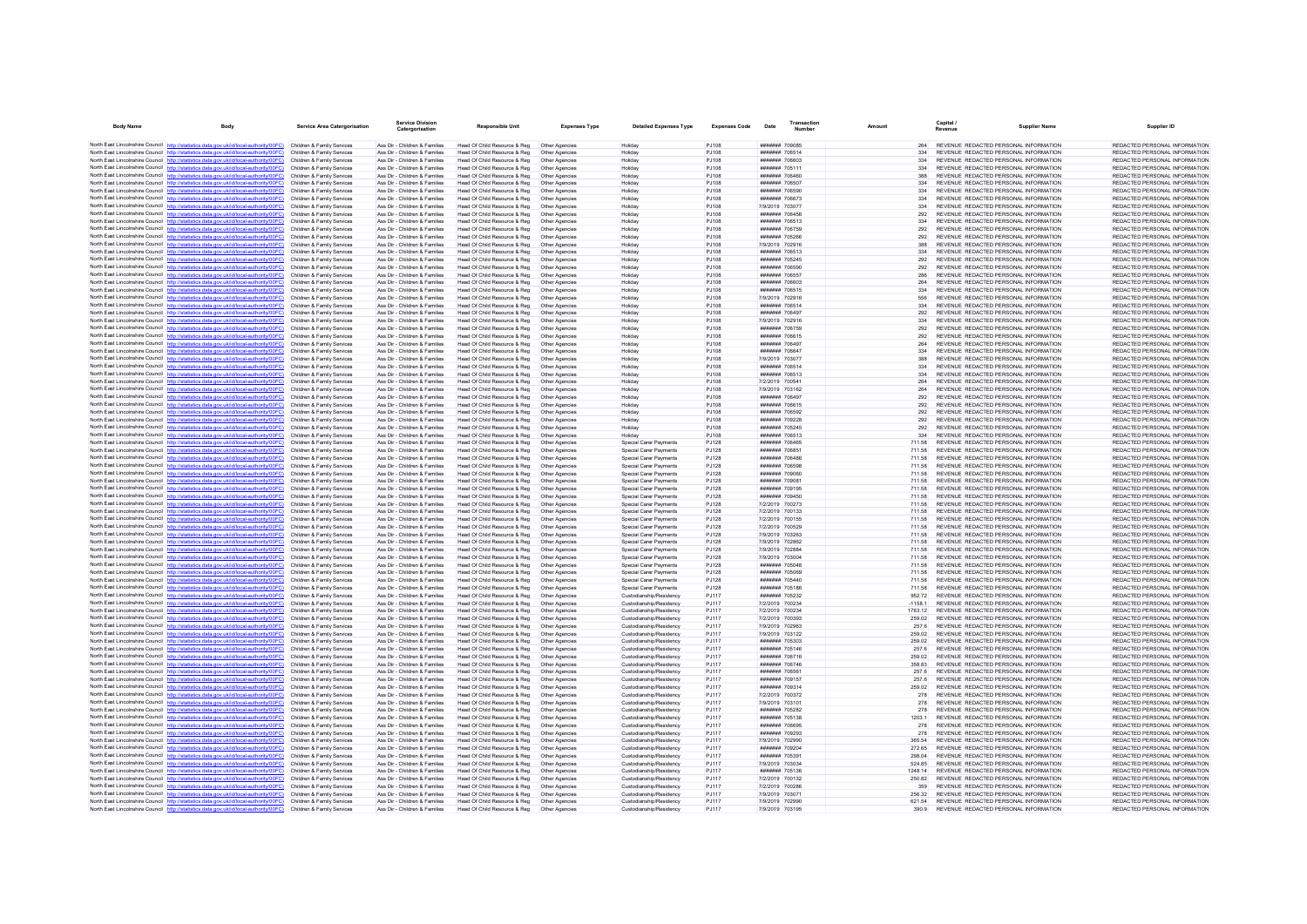| North East Lincolnshire Council http://statistics.data.gov.uk/id/local-authority/00FC) Children & Family Services<br>Head Of Child Resource & Reg<br>REVENUE REDACTED PERSONAL INFORMATION<br>REDACTED PERSONAL INFORMATION<br>Ass Dir - Children & Families<br>P.1108<br>####### 709085<br>264<br>Other Agencies<br>Holiday<br>REDACTED PERSONAL INFORMATION<br>North East Lincolnshire Council http://statistics.data.gov.uk/id/local-authority/00FC)<br>REVENUE REDACTED PERSONAL INFORMATION<br>Children & Family Services<br>Ass Dir - Children & Families<br>Head Of Child Resource & Reg<br>Other Agencies<br>Holidav<br>P.I108<br>####### 706514<br>334<br>North East Lincolnshire Council http://statistics.data.gov.uk/id/local-authority/00FC)<br>Ass Dir - Children & Families<br>Head Of Child Resource & Reg<br>PJ108<br>####### 706603<br>REVENUE REDACTED PERSONAL INFORMATION<br>REDACTED PERSONAL INFORMATION<br>Children & Family Services<br>Other Agencies<br>Holiday<br>334<br>North East Lincolnshire Council http://statistics.data.gov.uk/id/local-authority/00FC) Children & Family Services<br>REVENUE REDACTED PERSONAL INFORMATION<br>REDACTED PERSONAL INFORMATION<br>Ass Dir - Children & Families<br>Head Of Child Resource & Reg<br>PJ108<br>####### 705111<br>Other Agencies<br>334<br>Holiday<br>North East Lincolnshire Council http://statistics.data.oov.uk/id/local-authority/00FC)<br>REDACTED PERSONAL INFORMATION<br>Children & Family Services<br>Ass Dir - Children & Families<br>Head Of Child Resource & Reg<br>Other Agencies<br>Holiday<br>P.I108<br>HHHHHH 706460<br>388<br>REVENUE REDACTED PERSONAL INFORMATION<br>North East Lincolnshire Council http://statistics.data.gov.uk/id/local-authority/00FC)<br>Head Of Child Resource & Reg<br><b>PJ108</b><br>####### 706507<br>REVENUE REDACTED PERSONAL INFORMATION<br>REDACTED PERSONAL INFORMATION<br>Children & Family Services<br>Ass Dir - Children & Families<br>Other Agencies<br>Holiday<br>334<br>North East Lincolnshire Council http://statistics.data.gov.uk/id/local-authority/00FC)<br>Ass Dir - Children & Families<br>Head Of Child Resource & Reg<br>PJ108<br>####### 706590<br>REVENUE REDACTED PERSONAL INFORMATION<br>REDACTED PERSONAL INFORMATION<br>Children & Family Services<br>Other Agencies<br>334<br>Holiday<br>North East Lincolnshire Council http://statistics.data.gov.uk/id/local-authority/00FC)<br>REDACTED PERSONAL INFORMATION<br>Head Of Child Resource & Reg<br>PJ108<br>####### 706673<br>334<br>REVENUE REDACTED PERSONAL INFORMATION<br>Children & Family Services<br>Ass Dir - Children & Families<br>Other Agencies<br>Holiday<br>North East Lincolnshire Council http://statistics.data.gov.uk/id/local-authority/00FC)<br>Children & Family Services<br>Ass Dir - Children & Families<br>Head Of Child Resource & Reg<br>Other Agencies<br>P.I108<br>7/9/2019 703077<br>334<br>REVENUE REDACTED PERSONAL INFORMATION<br>REDACTED PERSONAL INFORMATION<br>Holiday<br>North East Lincolnshire Council http://statistics.data.gov.uk/id/local-authority/00FC)<br>Children & Family Services<br>Ass Dir - Children & Families<br>Head Of Child Resource & Reg<br>Other Agencies<br>Holidav<br>PJ108<br>####### 706456<br>292<br>REVENUE REDACTED PERSONAL INFORMATION<br>REDACTED PERSONAL INFORMATION<br>North East Lincolnshire Council http://statistics.data.gov.uk/id/local-authority/00FC)<br><b>PJ108</b><br>####### 706513<br>REDACTED PERSONAL INFORMATION<br>Head Of Child Resource & Reg<br>334<br>REVENUE REDACTED PERSONAL INFORMATION<br>Children & Family Services<br>Ass Dir - Children & Families<br>Other Agencies<br>Holiday<br>North East Lincolnshire Council http://statistics.data.gov.uk/id/local-authority/00FC)<br>Children & Family Services<br>Ass Dir - Children & Families<br>Head Of Child Resource & Reg<br>PJ108<br>####### 706759<br>292<br>REVENUE REDACTED PERSONAL INFORMATION<br>REDACTED PERSONAL INFORMATION<br>Other Agencies<br>Holiday<br>North East Lincolnshire Council http://statistics.data.gov.uk/id/local-authority/00FC)<br>Children & Family Services<br>Ass Dir - Children & Families<br>Head Of Child Resource & Reg<br>Other Agencies<br>PJ108<br>####### 705266<br>292<br>REVENUE REDACTED PERSONAL INFORMATION<br>REDACTED PERSONAL INFORMATION<br>Holidav<br>North East Lincolnshire Council http://statistics.data.gov.uk/id/local-authority/00FC)<br>REDACTED PERSONAL INFORMATION<br>Head Of Child Resource & Reg<br>PJ108<br>7/9/2019 702916<br>REVENUE REDACTED PERSONAL INFORMATION<br>Children & Family Services<br>Ass Dir - Children & Families<br>Other Agencies<br>Holiday<br>388<br>North East Lincolnshire Council http://statistics.data.gov.uk/id/local-authority/00FC)<br>Children & Family Services<br>Ass Dir - Children & Families<br>Head Of Child Resource & Reg<br>Other Agencies<br>Holiday<br>P.I108<br>####### 706513<br>334<br>REVENUE REDACTED PERSONAL INFORMATION<br>REDACTED PERSONAL INFORMATION<br>North East Lincolnshire Council http://statistics.data.gov.uk/id/local-authority/00FC)<br>Ass Dir - Children & Families<br>Head Of Child Resource & Reg<br>####### 705245<br>REVENUE REDACTED PERSONAL INFORMATION<br>REDACTED PERSONAL INFORMATION<br>Children & Family Services<br>Other Agencies<br>Holiday<br>PJ108<br>292<br>North East Lincolnshire Council http://statistics.data.gov.uk/id/local-authority/00FC)<br>Children & Family Services<br>Ass Dir - Children & Families<br>Head Of Child Resource & Reg<br>PJ108<br>####### 706590<br>292<br>REVENUE REDACTED PERSONAL INFORMATION<br>REDACTED PERSONAL INFORMATION<br>Other Agencies<br>Holiday<br>North East Lincolnshire Council http://statistics.data.gov.uk/id/local-authority/00FC)<br>REDACTED PERSONAL INFORMATION<br>Ass Dir - Children & Families<br>Head Of Child Resource & Reg<br>PJ108<br>####### 706557<br>286<br>REVENUE REDACTED PERSONAL INFORMATION<br>Children & Family Services<br>Other Agencies<br>Holiday<br>North East Lincolnshire Council http://statistics.data.gov.uk/id/local-authority/00FC)<br>Children & Family Services<br>Ass Dir - Children & Families<br>Head Of Child Resource & Reg<br>Other Agencies<br>Holiday<br>PJ108<br><b>E0807 BREEFER</b><br>264<br>REVENUE REDACTED PERSONAL INFORMATION<br>REDACTED PERSONAL INFORMATION<br>North East Lincolnshire Council http://statistics.data.gov.uk/id/local-authority/00FC)<br>Children & Family Services<br>Ass Dir - Children & Families<br>Head Of Child Resource & Reg<br>PJ108<br>####### 706515<br>334<br>REVENUE REDACTED PERSONAL INFORMATION<br>REDACTED PERSONAL INFORMATION<br>Other Agencies<br>Holiday<br>North East Lincolnshire Council http://statistics.data.gov.uk/id/local-authority/00FC)<br>7/9/2019 702916<br>REVENUE REDACTED PERSONAL INFORMATION<br>REDACTED PERSONAL INFORMATION<br>Children & Family Services<br>Ass Dir - Children & Families<br>Head Of Child Resource & Reg<br>Other Anencies<br>Holiday<br>P.1108<br>556<br>North East Lincolnshire Council http://statistics.data.gov.uk/id/local-authority/00FC)<br>Children & Family Services<br>Ass Dir - Children & Families<br>Head Of Child Resource & Reg<br>PJ108<br>####### 706514<br>334<br>REVENUE REDACTED PERSONAL INFORMATION<br>REDACTED PERSONAL INFORMATION<br>Other Agencies<br>Holiday<br>North East Lincolnshire Council http://statistics.data.gov.uk/id/local-authority/00FC)<br>Children & Family Services<br>Ass Dir - Children & Families<br>Head Of Child Resource & Reg<br>Other Agencies<br>Holidav<br>PJ108<br>####### 706497<br>292<br>REVENUE REDACTED PERSONAL INFORMATION<br>REDACTED PERSONAL INFORMATION<br>North East Lincolnshire Council http://statistics.data.gov.uk/id/local-authority/00FC)<br>REDACTED PERSONAL INFORMATION<br>Ass Dir - Children & Families<br>Head Of Child Resource & Reg<br>PJ108<br>7/9/2019 702916<br>REVENUE REDACTED PERSONAL INFORMATION<br>Children & Family Services<br>Other Agencies<br>334<br>Holiday<br>REDACTED PERSONAL INFORMATION<br>North East Lincolnshire Council http://statistics.data.gov.uk/id/local-authority/00FC)<br>Children & Family Services<br>Ass Dir - Children & Families<br>Head Of Child Resource & Reg<br>Other Agencies<br>Holiday<br>P.I108<br>####### 706759<br>292<br>REVENUE REDACTED PERSONAL INFORMATION<br>North East Lincolnshire Council http://statistics.data.gov.uk/id/local-authority/00FC)<br>Ass Dir - Children & Families<br>Head Of Child Resource & Reg<br>PJ108<br>####### 706615<br>292<br>REVENUE REDACTED PERSONAL INFORMATION<br>REDACTED PERSONAL INFORMATION<br>Children & Family Services<br>Other Agencies<br>Holiday<br>North East Lincolnshire Council http://statistics.data.gov.uk/id/local-authority/00FC)<br>Children & Family Services<br>Ass Dir - Children & Families<br>Head Of Child Resource & Reg<br>PJ108<br>####### 706497<br>264<br>REVENUE REDACTED PERSONAL INFORMATION<br>REDACTED PERSONAL INFORMATION<br>Other Agencies<br>Holiday<br>North East Lincolnshire Council http://statistics.data.gov.uk/id/local-authority/00EC)<br>Children & Family Services<br>Ass Dir - Children & Families<br>Head Of Child Resource & Reg<br>Other Agencies<br>Holiday<br>P.I108<br><b>#######</b> 706647<br>334<br>REVENUE REDACTED PERSONAL INFORMATION<br>REDACTED PERSONAL INFORMATION<br>North East Lincolnshire Council http://statistics.data.gov.uk/id/local-authority/00FC)<br>Head Of Child Resource & Reg<br>7/9/2019 703077<br>REVENUE REDACTED PERSONAL INFORMATION<br>REDACTED PERSONAL INFORMATION<br>Children & Family Services<br>Ass Dir - Children & Families<br>Other Agencies<br>Holiday<br><b>PJ108</b><br>388<br>North East Lincolnshire Council http://statistics.data.gov.uk/id/local-authority/00FC)<br>Ass Dir - Children & Families<br>Head Of Child Resource & Reg<br>PJ108<br>####### 706514<br>REVENUE REDACTED PERSONAL INFORMATION<br>REDACTED PERSONAL INFORMATION<br>Children & Family Services<br>Other Agencies<br>334<br>Holiday<br>North East Lincolnshire Council http://statistics.data.gov.uk/id/local-authority/00FC)<br>REDACTED PERSONAL INFORMATION<br>PJ108<br>334<br>REVENUE REDACTED PERSONAL INFORMATION<br>Children & Family Services<br>Ass Dir - Children & Families<br>Head Of Child Resource & Reg<br>Other Agencies<br>Holiday<br>####### 706513<br>North East Lincolnshire Council http://statistics.data.gov.uk/id/local-authority/00FC)<br>Children & Family Services<br>Ass Dir - Children & Families<br>Head Of Child Resource & Reg<br>Holiday<br>P.I108<br>7/2/2019 700541<br>264<br>REVENUE REDACTED PERSONAL INFORMATION<br>REDACTED PERSONAL INFORMATION<br>Other Agencies<br>North East Lincolnshire Council http://statistics.data.gov.uk/id/local-authority/00FC)<br>Children & Family Services<br>Ass Dir - Children & Families<br>Head Of Child Resource & Reg<br>Other Agencies<br>Holidav<br>PJ108<br>7/9/2019 703162<br>264<br>REVENUE REDACTED PERSONAL INFORMATION<br>REDACTED PERSONAL INFORMATION<br>North East Lincolnshire Council http://statistics.data.gov.uk/id/local-authority/00FC)<br>PJ108<br>REDACTED PERSONAL INFORMATION<br>Ass Dir - Children & Families<br>Head Of Child Resource & Reg<br>####### 706497<br>292<br>REVENUE REDACTED PERSONAL INFORMATION<br>Children & Family Services<br>Other Agencies<br>Holiday<br>North East Lincolnshire Council http://statistics.data.gov.uk/id/local-authority/00FC)<br>Children & Family Services<br>Ass Dir - Children & Families<br>Head Of Child Resource & Reg<br>Other Anencies<br>Holiday<br>P.I108<br>####### 706615<br>292<br>REVENUE REDACTED PERSONAL INFORMATION<br>REDACTED PERSONAL INFORMATION<br>North East Lincolnshire Council http://statistics.data.gov.uk/id/local-authority/00FC)<br>Children & Family Services<br>Ass Dir - Children & Families<br>Head Of Child Resource & Reg<br>Other Agencies<br>Holidav<br>PJ108<br>####### 706592<br>292<br>REVENUE REDACTED PERSONAL INFORMATION<br>REDACTED PERSONAL INFORMATION<br>North East Lincolnshire Council http://statistics.data.gov.uk/id/local-authority/00FC)<br>REDACTED PERSONAL INFORMATION<br>Head Of Child Resource & Reg<br>PJ108<br>####### 709228<br>REVENUE REDACTED PERSONAL INFORMATION<br>Children & Family Services<br>Ass Dir - Children & Families<br>Other Agencies<br>Holiday<br>292<br>North East Lincolnshire Council http://statistics.data.gov.uk/id/local-authority/00FC)<br>Children & Family Services<br>Ass Dir - Children & Families<br>Head Of Child Resource & Reg<br>Other Agencies<br>Holiday<br>P.I108<br>####### 705245<br>292<br>REVENUE REDACTED PERSONAL INFORMATION<br>REDACTED PERSONAL INFORMATION<br>North East Lincolnshire Council http://statistics.data.gov.uk/id/local-authority/00FC)<br>Ass Dir - Children & Families<br>Head Of Child Resource & Reg<br>####### 706513<br>REVENUE REDACTED PERSONAL INFORMATION<br>REDACTED PERSONAL INFORMATION<br>Children & Family Services<br>Other Agencies<br>Holiday<br><b>PJ108</b><br>334<br>North East Lincolnshire Council http://statistics.data.gov.uk/id/local-authority/00FC)<br>Ass Dir - Children & Families<br>Head Of Child Resource & Reg<br>Special Carer Payments<br><b>PJ128</b><br>####### 706465<br>711.58<br>REVENUE REDACTED PERSONAL INFORMATION<br>REDACTED PERSONAL INFORMATION<br>Children & Family Services<br>Other Agencies<br>North East Lincolnshire Council http://statistics.data.gov.uk/id/local-authority/00FC)<br>REDACTED PERSONAL INFORMATION<br>Ass Dir - Children & Families<br>Head Of Child Resource & Reg<br>Special Carer Payments<br>PJ128<br>####### 706851<br>711.58<br>REVENUE REDACTED PERSONAL INFORMATION<br>Children & Family Services<br>Other Agencies<br>REDACTED PERSONAL INFORMATION<br>North East Lincolnshire Council http://statistics.data.gov.uk/id/local-authority/00FC)<br>Children & Family Services<br>Ass Dir - Children & Families<br>Head Of Child Resource & Reg<br>Other Agencies<br><b>Special Carer Payments</b><br><b>PJ128</b><br><b>#######</b> 706486<br>711.58<br>REVENUE REDACTED PERSONAL INFORMATION<br>North East Lincolnshire Council http://statistics.data.gov.uk/id/local-authority/00FC)<br>Children & Family Services<br>Ass Dir - Children & Families<br>Head Of Child Resource & Reg<br>Other Agencies<br>Special Carer Payments<br><b>PJ128</b><br>####### 706598<br>711.58<br>REVENUE REDACTED PERSONAL INFORMATION<br>REDACTED PERSONAL INFORMATION<br>North East Lincolnshire Council http://statistics.data.gov.uk/id/local-authority/00FC)<br>REDACTED PERSONAL INFORMATION<br>Ass Dir - Children & Families<br>Head Of Child Resource & Reg.<br>P.1128<br>####### 709060<br>REVENUE REDACTED PERSONAL INFORMATION<br>Children & Family Services<br>Other Agencies<br>Special Carer Payments<br>711.58<br>North East Lincolnshire Council http://statistics.data.gov.uk/id/local-authority/00FC)<br>Children & Family Services<br>Ass Dir - Children & Families<br>Head Of Child Resource & Reg<br>Special Carer Payments<br><b>PJ128</b><br>####### 709081<br>REVENUE REDACTED PERSONAL INFORMATION<br>REDACTED PERSONAL INFORMATION<br>Other Agencies<br>711.58<br>North East Lincolnshire Council http://statistics.data.gov.uk/id/local-authority/00FC)<br>Children & Family Services<br>Ass Dir - Children & Families<br>Head Of Child Resource & Reg<br>Other Agencies<br>Special Carer Payments<br><b>PJ128</b><br>####### 709195<br>711.58<br>REVENUE REDACTED PERSONAL INFORMATION<br>REDACTED PERSONAL INFORMATION<br>North East Lincolnshire Council http://statistics.data.gov.uk/id/local-authority/00FC)<br>REDACTED PERSONAL INFORMATION<br>Ass Dir - Children & Families<br>Head Of Child Resource & Reg<br>Special Carer Payments<br>PJ128<br>####### 709450<br>REVENUE REDACTED PERSONAL INFORMATION<br>Children & Family Services<br>Other Agencies<br>711.58<br>North East Lincolnshire Council http://statistics.data.gov.uk/id/local-authority/00FC)<br>REDACTED PERSONAL INFORMATION<br>Children & Family Services<br>Ass Dir - Children & Families<br>Head Of Child Resource & Reg<br>Other Agencies<br>Special Carer Payments<br>P.1128<br>7/2/2019 700273<br>71158<br>REVENUE REDACTED PERSONAL INFORMATION<br>North East Lincolnshire Council http://statistics.data.gov.uk/id/local-authority/00FC)<br>Ass Dir - Children & Families<br>Head Of Child Resource & Reg<br>PJ128<br>7/2/2019 700133<br>REVENUE REDACTED PERSONAL INFORMATION<br>REDACTED PERSONAL INFORMATION<br>Children & Family Services<br>Other Agencies<br><b>Special Carer Payments</b><br>71158<br>North East Lincolnshire Council http://statistics.data.gov.uk/id/local-authority/00FC)<br>Children & Family Services<br>Ass Dir - Children & Families<br>Head Of Child Resource & Reg<br>Special Carer Payments<br>PJ128<br>7/2/2019 700155<br>711.58<br>REVENUE REDACTED PERSONAL INFORMATION<br>REDACTED PERSONAL INFORMATION<br>Other Agencies<br>North East Lincolnshire Council http://statistics.data.gov.uk/id/local-authority/00FC)<br>REDACTED PERSONAL INFORMATION<br>Head Of Child Resource & Reg<br>PJ128<br>7/2/2019 700529<br>711.58<br>REVENUE REDACTED PERSONAL INFORMATION<br>Children & Family Services<br>Ass Dir - Children & Families<br>Other Agencies<br>Special Carer Payments<br>North East Lincolnshire Council http://statistics.data.gov.uk/id/local-authority/00FC)<br>7/9/2019 703263<br>REVENUE REDACTED PERSONAL INFORMATION<br>REDACTED PERSONAL INFORMATION<br>Children & Family Services<br>Ass Dir - Children & Families<br>Head Of Child Resource & Reg<br>Other Agencies<br><b>Special Carer Payments</b><br><b>PJ128</b><br>711.58<br>North East Lincolnshire Council http://statistics.data.gov.uk/id/local-authority/00FC)<br>Ass Dir - Children & Families<br>Head Of Child Resource & Reg<br>Special Carer Payments<br>PJ128<br>7/9/2019 702862<br>REVENUE REDACTED PERSONAL INFORMATION<br>REDACTED PERSONAL INFORMATION<br>Children & Family Services<br>Other Agencies<br>711.58<br>North East Lincolnshire Council http://statistics.data.gov.uk/id/local-authority/00FC)<br>REDACTED PERSONAL INFORMATION<br>7/9/2019 702884<br>REVENUE REDACTED PERSONAL INFORMATION<br>Children & Family Services<br>Ass Dir - Children & Families<br>Head Of Child Resource & Reg.<br>Other Agencies<br>Special Carer Payments<br><b>PJ128</b><br>711.58<br>North East Lincolnshire Council http://statistics.data.gov.uk/id/local-authority/00FC)<br>Children & Family Services<br>Ass Dir - Children & Families<br>Head Of Child Resource & Reg<br>Special Carer Payments<br>PJ128<br>7/9/2019 703004<br>71158<br>REVENUE REDACTED PERSONAL INFORMATION<br>REDACTED PERSONAL INFORMATION<br>Other Agencies<br>North East Lincolnshire Council http://statistics.data.gov.uk/id/local-authority/00FC)<br>Children & Family Services<br>Ass Dir - Children & Families<br>Head Of Child Resource & Reg<br>Other Agencies<br>Special Carer Payments<br><b>PJ128</b><br>####### 705048<br>711.58<br>REVENUE REDACTED PERSONAL INFORMATION<br>REDACTED PERSONAL INFORMATION<br>North East Lincolnshire Council http://statistics.data.gov.uk/id/local-authority/00FC)<br>####### 705069<br>REDACTED PERSONAL INFORMATION<br>Ass Dir - Children & Families<br>Head Of Child Resource & Reg<br><b>PJ128</b><br>711.58<br>REVENUE REDACTED PERSONAL INFORMATION<br>Children & Family Services<br>Other Agencies<br>Special Carer Payments<br>North East Lincolnshire Council http://statistics.data.gov.uk/id/local-authority/00FC)<br>REDACTED PERSONAL INFORMATION<br>Children & Family Services<br>Ass Dir - Children & Families<br>Head Of Child Resource & Reg<br>Other Agencies<br>Special Carer Payments<br>P.1128<br>####### 705440<br>711.58<br>REVENUE REDACTED PERSONAL INFORMATION<br>North East Lincolnshire Council http://statistics.data.gov.uk/id/local-authority/00FC)<br>Ass Dir - Children & Families<br>Head Of Child Resource & Reg<br>Special Carer Payments<br>####### 705186<br>REVENUE REDACTED PERSONAL INFORMATION<br>REDACTED PERSONAL INFORMATION<br>Children & Family Services<br>Other Agencies<br><b>PJ128</b><br>711.58<br>North East Lincolnshire Council http://statistics.data.gov.uk/id/local-authority/00FC)<br>REDACTED PERSONAL INFORMATION<br>Children & Family Services<br>Ass Dir - Children & Families<br>Head Of Child Resource & Reg<br>Custodianship/Residency<br>PJ117<br>####### 705232<br>952 72<br>REVENUE REDACTED PERSONAL INFORMATION<br>Other Agencies<br>North East Lincolnshire Council http://statistics.data.gov.uk/id/local-authority/00FC)<br>Children & Family Services<br>Ass Dir - Children & Families<br>Head Of Child Resource & Reg<br>Other Agencies<br>Custodianship/Residency<br>PJ117<br>7/2/2019 700234<br>$-11581$<br>REVENUE REDACTED PERSONAL INFORMATION<br>REDACTED PERSONAL INFORMATION<br>North East Lincolnshire Council http://statistics.data.gov.uk/id/local-authority/00FC)<br>Ass Dir - Children & Families<br>Head Of Child Resource & Reg<br>Custodianship/Residency<br>REVENUE REDACTED PERSONAL INFORMATION<br>REDACTED PERSONAL INFORMATION<br>Children & Family Services<br>Other Agencies<br>PJ117<br>7/2/2019 700234<br>1763.12<br>North East Lincolnshire Council http://statistics.data.gov.uk/id/local-authority/00FC)<br>Ass Dir - Children & Families<br>Head Of Child Resource & Reg<br>Custodianship/Residency<br>PJ117<br>7/2/2019 700393<br>REVENUE REDACTED PERSONAL INFORMATION<br>REDACTED PERSONAL INFORMATION<br>Children & Family Services<br>Other Agencies<br>259.02<br>North East Lincolnshire Council http://statistics.data.gov.uk/id/local-authority/00FC)<br>REDACTED PERSONAL INFORMATION<br>Ass Dir - Children & Families<br>Head Of Child Resource & Reg<br>Custodianship/Residency<br>PJ117<br>7/9/2019 702963<br>REVENUE REDACTED PERSONAL INFORMATION<br>Children & Family Services<br>Other Agencies<br>257.6<br>North East Lincolnshire Council http://statistics.data.gov.uk/id/local-authority/00FC)<br>Children & Family Services<br>Ass Dir - Children & Families<br>Head Of Child Resource & Reg<br>Other Agencies<br>Custodianship/Residency<br>PJ117<br>7/9/2019 703122<br>259.02<br>REVENUE REDACTED PERSONAL INFORMATION<br>REDACTED PERSONAL INFORMATION<br>North East Lincolnshire Council http://statistics.data.gov.uk/id/local-authority/00FC)<br>Children & Family Services<br>Ass Dir - Children & Families<br>Head Of Child Resource & Reg<br>Other Agencies<br>Custodianship/Residency<br>PJ117<br>####### 705303<br>259.02<br>REVENUE REDACTED PERSONAL INFORMATION<br>REDACTED PERSONAL INFORMATION<br>North East Lincolnshire Council http://statistics.data.gov.uk/id/local-authority/00FC)<br>Custodianship/Residency<br>PJ117<br>####### 705146<br>REDACTED PERSONAL INFORMATION<br>Ass Dir - Children & Families<br>Head Of Child Resource & Reg<br>257.6<br>REVENUE REDACTED PERSONAL INFORMATION<br>Children & Family Services<br>Other Agencies<br>North East Lincolnshire Council http://statistics.data.gov.uk/id/local-authority/00FC)<br>Children & Family Services<br>Ass Dir - Children & Families<br>Head Of Child Resource & Reg<br>Custodianship/Residency<br>PJ117<br>####### 706716<br>259.02<br>REVENUE REDACTED PERSONAL INFORMATION<br>REDACTED PERSONAL INFORMATION<br>Other Agencies<br>North East Lincolnshire Council http://statistics.data.gov.uk/id/local-authority/00FC)<br>Children & Family Services<br>Ass Dir - Children & Families<br>Head Of Child Resource & Reg<br>Other Agencies<br>Custodianship/Residency<br><b>PJ117</b><br>####### 706746<br>358.83<br>REVENUE REDACTED PERSONAL INFORMATION<br>REDACTED PERSONAL INFORMATION<br>North East Lincolnshire Council http://statistics.data.gov.uk/id/local-authority/00FC)<br>Head Of Child Resource & Reg<br>Custodianship/Residency<br>PJ117<br>####### 706561<br>REVENUE REDACTED PERSONAL INFORMATION<br>REDACTED PERSONAL INFORMATION<br>Children & Family Services<br>Ass Dir - Children & Families<br>Other Agencies<br>257.6<br>North East Lincolnshire Council http://statistics.data.gov.uk/id/local-authority/00FC)<br>REDACTED PERSONAL INFORMATION<br>Children & Family Services<br>Ass Dir - Children & Families<br>Head Of Child Resource & Reg<br>Other Agencies<br>Custodianship/Residency<br>P.1117<br><b>#######</b> 709157<br>257.6<br>REVENUE REDACTED PERSONAL INFORMATION<br>North East Lincolnshire Council http://statistics.data.gov.uk/id/local-authority/00FC)<br>Head Of Child Resource & Reg<br>Custodianship/Residency<br>PJ117<br>####### 709314<br>REVENUE REDACTED PERSONAL INFORMATION<br>REDACTED PERSONAL INFORMATION<br>Children & Family Services<br>Ass Dir - Children & Families<br>Other Agencies<br>259.02<br>North East Lincolnshire Council http://statistics.data.gov.uk/id/local-authority/00FC)<br>Children & Family Services<br>Ass Dir - Children & Families<br>Head Of Child Resource & Reg<br>Custodianship/Residency<br>PJ117<br>7/2/2019 700372<br>REVENUE REDACTED PERSONAL INFORMATION<br>REDACTED PERSONAL INFORMATION<br>Other Agencies<br>278<br>North East Lincolnshire Council http://statistics.data.gov.uk/id/local-authority/00FC)<br>REDACTED PERSONAL INFORMATION<br>Head Of Child Resource & Reg<br>Custodianship/Residency<br>PJ117<br>7/9/2019 703101<br>278<br>REVENUE REDACTED PERSONAL INFORMATION<br>Children & Family Services<br>Ass Dir - Children & Families<br>Other Agencies<br>North East Lincolnshire Council http://statistics.data.gov.uk/id/local-authority/00FC)<br>Children & Family Services<br>Ass Dir - Children & Families<br>Head Of Child Resource & Reg<br>Other Agencies<br>Custodianship/Residency<br>PJ117<br>####### 705282<br>278<br>REVENUE REDACTED PERSONAL INFORMATION<br>REDACTED PERSONAL INFORMATION<br>REDACTED PERSONAL INFORMATION<br>North East Lincolnshire Council http://statistics.data.gov.uk/id/local-authority/00FC)<br>Children & Family Services<br>Ass Dir - Children & Families<br>Head Of Child Resource & Reg<br>Other Agencies<br>Custodianship/Residency<br>PJ117<br>####### 705138<br>1203.1<br>REVENUE REDACTED PERSONAL INFORMATION<br>North East Lincolnshire Council http://statistics.data.gov.uk/id/local-authority/00FC)<br>REDACTED PERSONAL INFORMATION<br>Children & Family Services<br>Ass Dir - Children & Families<br>Head Of Child Resource & Reg.<br>Custodianship/Residency<br>P.1117<br>####### 706695<br>REVENUE REDACTED PERSONAL INFORMATION<br>Other Anencies<br>278<br>North East Lincolnshire Council http://statistics.data.gov.uk/id/local-authority/00FC)<br>Children & Family Services<br>Ass Dir - Children & Families<br>Head Of Child Resource & Reg<br>Custodianship/Residency<br>PJ117<br>####### 709293<br>REVENUE REDACTED PERSONAL INFORMATION<br>REDACTED PERSONAL INFORMATION<br>Other Agencies<br>278<br>North East Lincolnshire Council http://statistics.data.gov.uk/id/local-authority/00FC)<br>Children & Family Services<br>Ass Dir - Children & Families<br>Head Of Child Resource & Reg<br>Other Agencies<br>Custodianship/Residency<br>PJ117<br>7/9/2019 702990<br>365.54<br>REVENUE REDACTED PERSONAL INFORMATION<br>REDACTED PERSONAL INFORMATION<br>North East Lincolnshire Council http://statistics.data.gov.uk/id/local-authority/00FC)<br>REDACTED PERSONAL INFORMATION<br>Head Of Child Resource & Reg<br>Custodianship/Residency<br>PJ117<br>####### 709204<br>272.65<br>REVENUE REDACTED PERSONAL INFORMATION<br>Children & Family Services<br>Ass Dir - Children & Families<br>Other Agencies<br>North East Lincolnshire Council http://statistics.data.gov.uk/id/local-authority/00FC)<br>REDACTED PERSONAL INFORMATION<br>Children & Family Services<br>Ass Dir - Children & Families<br>Head Of Child Resource & Reg<br>Other Agencies<br>Custodianship/Residency<br>P.1117<br>####### 705391<br>298.04<br>REVENUE REDACTED PERSONAL INFORMATION<br>North East Lincolnshire Council http://statistics.data.gov.uk/id/local-authority/00FC)<br>Ass Dir - Children & Families<br>Head Of Child Resource & Reg<br>Custodianship/Residency<br>7/9/2019 703034<br>REVENUE REDACTED PERSONAL INFORMATION<br>REDACTED PERSONAL INFORMATION<br>Children & Family Services<br>Other Agencies<br>PJ117<br>52485<br>North East Lincolnshire Council http://statistics.data.gov.uk/id/local-authority/00FC)<br>Children & Family Services<br>Ass Dir - Children & Families<br>Head Of Child Resource & Reg<br>Other Agencies<br>Custodianship/Residency<br>PJ117<br>####### 705136<br>1248.14<br>REVENUE REDACTED PERSONAL INFORMATION<br>REDACTED PERSONAL INFORMATION<br>PJ117<br>REDACTED PERSONAL INFORMATION<br>North East Lincolnshire Council http://statistics.data.gov.uk/id/local-authority/00FC)<br>Ass Dir - Children & Families<br>Head Of Child Resource & Reg<br>Custodianship/Residency<br>7/2/2019 700132<br>REVENUE REDACTED PERSONAL INFORMATION<br>Children & Family Services<br>Other Agencies<br>250.82<br>North East Lincolnshire Council http://statistics.data.gov.uk/id/local-authority/00FC)<br>Head Of Child Resource & Reg<br>Custodianship/Residency<br>7/2/2019 700286<br>REVENUE REDACTED PERSONAL INFORMATION<br>REDACTED PERSONAL INFORMATION<br>Children & Family Services<br>Ass Dir - Children & Families<br>Other Agencies<br>PJ117<br>359<br>North East Lincolnshire Council http://statistics.data.gov.uk/id/local-authority/00FC)<br>Children & Family Services<br>Ass Dir - Children & Families<br>Head Of Child Resource & Reg<br>Other Agencies<br>Custodianship/Residency<br>PJ117<br>7/9/2019 703071<br>256.32<br>REVENUE REDACTED PERSONAL INFORMATION<br>REDACTED PERSONAL INFORMATION<br>North East Lincolnshire Council http://statistics.data.gov.uk/id/local-authority/00FC) Children & Family Services<br>REVENUE REDACTED PERSONAL INFORMATION<br>REDACTED PERSONAL INFORMATION<br>Ass Dir - Children & Families<br>Head Of Child Resource & Reg<br>Custodianship/Residency<br>PJ117<br>Other Agencies<br>7/9/2019 702990<br>621.54<br>North East Lincolnshire Council http://statistics.data.gov.uk/id/local-authority/00FC)<br>7/9/2019 703195<br>REVENUE REDACTED PERSONAL INFORMATION | <b>Body Name</b> | Body | <b>Service Area Catergorisation</b> | <b>Service Division</b><br>Catergorisation | Responsible Unit             | <b>Expenses Type</b> | <b>Detailed Expenses Type</b> | <b>Expenses Code</b> | Date | Transaction<br>Number | Amount | Capital /<br>Revenue | <b>Supplier Name</b> | Supplier ID                   |
|---------------------------------------------------------------------------------------------------------------------------------------------------------------------------------------------------------------------------------------------------------------------------------------------------------------------------------------------------------------------------------------------------------------------------------------------------------------------------------------------------------------------------------------------------------------------------------------------------------------------------------------------------------------------------------------------------------------------------------------------------------------------------------------------------------------------------------------------------------------------------------------------------------------------------------------------------------------------------------------------------------------------------------------------------------------------------------------------------------------------------------------------------------------------------------------------------------------------------------------------------------------------------------------------------------------------------------------------------------------------------------------------------------------------------------------------------------------------------------------------------------------------------------------------------------------------------------------------------------------------------------------------------------------------------------------------------------------------------------------------------------------------------------------------------------------------------------------------------------------------------------------------------------------------------------------------------------------------------------------------------------------------------------------------------------------------------------------------------------------------------------------------------------------------------------------------------------------------------------------------------------------------------------------------------------------------------------------------------------------------------------------------------------------------------------------------------------------------------------------------------------------------------------------------------------------------------------------------------------------------------------------------------------------------------------------------------------------------------------------------------------------------------------------------------------------------------------------------------------------------------------------------------------------------------------------------------------------------------------------------------------------------------------------------------------------------------------------------------------------------------------------------------------------------------------------------------------------------------------------------------------------------------------------------------------------------------------------------------------------------------------------------------------------------------------------------------------------------------------------------------------------------------------------------------------------------------------------------------------------------------------------------------------------------------------------------------------------------------------------------------------------------------------------------------------------------------------------------------------------------------------------------------------------------------------------------------------------------------------------------------------------------------------------------------------------------------------------------------------------------------------------------------------------------------------------------------------------------------------------------------------------------------------------------------------------------------------------------------------------------------------------------------------------------------------------------------------------------------------------------------------------------------------------------------------------------------------------------------------------------------------------------------------------------------------------------------------------------------------------------------------------------------------------------------------------------------------------------------------------------------------------------------------------------------------------------------------------------------------------------------------------------------------------------------------------------------------------------------------------------------------------------------------------------------------------------------------------------------------------------------------------------------------------------------------------------------------------------------------------------------------------------------------------------------------------------------------------------------------------------------------------------------------------------------------------------------------------------------------------------------------------------------------------------------------------------------------------------------------------------------------------------------------------------------------------------------------------------------------------------------------------------------------------------------------------------------------------------------------------------------------------------------------------------------------------------------------------------------------------------------------------------------------------------------------------------------------------------------------------------------------------------------------------------------------------------------------------------------------------------------------------------------------------------------------------------------------------------------------------------------------------------------------------------------------------------------------------------------------------------------------------------------------------------------------------------------------------------------------------------------------------------------------------------------------------------------------------------------------------------------------------------------------------------------------------------------------------------------------------------------------------------------------------------------------------------------------------------------------------------------------------------------------------------------------------------------------------------------------------------------------------------------------------------------------------------------------------------------------------------------------------------------------------------------------------------------------------------------------------------------------------------------------------------------------------------------------------------------------------------------------------------------------------------------------------------------------------------------------------------------------------------------------------------------------------------------------------------------------------------------------------------------------------------------------------------------------------------------------------------------------------------------------------------------------------------------------------------------------------------------------------------------------------------------------------------------------------------------------------------------------------------------------------------------------------------------------------------------------------------------------------------------------------------------------------------------------------------------------------------------------------------------------------------------------------------------------------------------------------------------------------------------------------------------------------------------------------------------------------------------------------------------------------------------------------------------------------------------------------------------------------------------------------------------------------------------------------------------------------------------------------------------------------------------------------------------------------------------------------------------------------------------------------------------------------------------------------------------------------------------------------------------------------------------------------------------------------------------------------------------------------------------------------------------------------------------------------------------------------------------------------------------------------------------------------------------------------------------------------------------------------------------------------------------------------------------------------------------------------------------------------------------------------------------------------------------------------------------------------------------------------------------------------------------------------------------------------------------------------------------------------------------------------------------------------------------------------------------------------------------------------------------------------------------------------------------------------------------------------------------------------------------------------------------------------------------------------------------------------------------------------------------------------------------------------------------------------------------------------------------------------------------------------------------------------------------------------------------------------------------------------------------------------------------------------------------------------------------------------------------------------------------------------------------------------------------------------------------------------------------------------------------------------------------------------------------------------------------------------------------------------------------------------------------------------------------------------------------------------------------------------------------------------------------------------------------------------------------------------------------------------------------------------------------------------------------------------------------------------------------------------------------------------------------------------------------------------------------------------------------------------------------------------------------------------------------------------------------------------------------------------------------------------------------------------------------------------------------------------------------------------------------------------------------------------------------------------------------------------------------------------------------------------------------------------------------------------------------------------------------------------------------------------------------------------------------------------------------------------------------------------------------------------------------------------------------------------------------------------------------------------------------------------------------------------------------------------------------------------------------------------------------------------------------------------------------------------------------------------------------------------------------------------------------------------------------------------------------------------------------------------------------------------------------------------------------------------------------------------------------------------------------------------------------------------------------------------------------------------------------------------------------------------------------------------------------------------------------------------------------------------------------------------------------------------------------------------------------------------------------------------------------------------------------------------------------------------------------------------------------------------------------------------------------------------------------------------------------------------------------------------------------------------------------------------------------------------------------------------------------------------------------------------------------------------------------------------------------------------------------------------------------------------------------------------------------------------------------------------------------------------------------------------------------------------------------------------------------------------------------------------------------------------------------------------------------------------------------------------------------------------------------------------------------------------------------------------------------------------------------------------------------------------------------------------------------------------------------------------------------------------------------------------------------------------------------------------------------------------------------------------------------------------------------------------------------------------------------------------------------------------------------------------------------------------------------------------------------------------------------------------------------------------------------------------------------------------------------------------------------------------------------------------------------------------------------------------------------------------------------------------------------------------------------------------------------------------------------------------------------------------------------------------------------------------------------------------------------------------------------------------------------------------------------------------------------------------------------------------------------------------------------------------------------------------------------------------------------------------------------------------------------------------------------------------------------------------------------------------------------------------------------------------------------------------------------------------------------------------------------------------------------------------------------------------------------------------------------------------------------------------------------------------------------------------------------------------------------------------------------------------------------------------------------------------------------------------------------------------------------------------------------------------------------------------------------------------------------------------------------------------------------------------------------------------------------------------------------------------------------------------------------------------------------------------------------------------------------------------------------------------------------------------------------------------------------------------------------------------------------------------------------------------------------------------------------------------------------------------------------------------------------------------------------------------------------------------------------------------------------------------------------------------------------------------------------------------------------------------------------------------------------------------------------------------------------------------------------------------------------------------------------------------------------------------------------------------------------------------------------------------------------------------------------------------------------------------------------------------------------------------------------------------------------------------------------------------------------------------------------------------------------------------------------------------------------------------------------------------------------------------------------------------------------------------------------------------------------------------------------------------------------------------------------------------------------------------------------------------------------------------------------------------------------------------------------------------------------------------------------------------------------------------------------------------------------------------------------------------------------------------------------------------------------------------------------------------------------------------------------------------------------------------------------------------------------------------------------------------------------------------------------------------------------------------------------------------------------------------------------------------------------------------------------------------------------------------------------------------------------------------------------------------------------------------------------------------------------------------------------------------------------------------------------------------------------------------------------------------------------------------------------------------------------------------------------------------------------------------------------------------------------------------------------------------------------------------------------------------------------------------------------------------------------------------------------------------------------------------------------------------------------------------------------------------------------------------------------------------------------------------------------------------------------------------------------------------------------------------------------------------------------------------------------------------------------------------------------------------------------------------------------------------------------------------------------------------------------------------------------------------------------------------------------------------------------------------------------------------------------------------------------------------------------------------------------------------------------------------------------------------------------------------------------------------------------------------------------------------------------------------------------------------------------------------------------------------------------------------------------------------------------------------------------------------------------------------------------------------------------------------------------------------------------------------------------------------------------------------------------------------------------------------------------------------------------------------------------------------------------------------------------------------------------------------------------------------------------------------------------------------------------------------------------------------------------------------------------------------------------------------------------------------------------------------------------------------------------------------------------------------------------------------------------------------------------------------------------------------------------------------------------------------------------------------------------------------------------------------------------------------------------------------------------------------------------------------------------------------------------------------------------------------------------------------------------------------------------------------------------------------------------------------------------------------------------------------------------------------------------------------------------------------------------------------------------------------------------------------------------------------------------------------------------------------------------------------------------------------------------------------------------------------------------------------------------------------------------------------------------------------------------------------------------------------------------------------------------------------------------------------------------------------------------------------------------------------------------------------------------------------------------------------------------------------------------------------------------------------------------------------------------------------------------------------------------------------------------------------------------------------------------------------------------------------------------------------------------------------------------------------------------------------------------------------------------------------------------------------------------------------------------------------------------------------------------------------------------------------------------------------------------------------------------------------------------------------------------------------------------------------------------------------------------------------------------------------------------------------------------------------------------------------------------------------------------------------------------------------------------------------------------------------------------------------------------------------------------------------------------------------------------------------------------------------------------------------------------------------------------------------------------------------------------------------------------------------------------------------------------------------------------------------------------------------------------------------------------------------------------------------------------------------------------------------------------------------------------------------------------------------------------------------------------------------------------------------------------------------------------------------------------------------------------------------------------------------------------------------------------------------------------------------------------------------------------------------------------------------------------------------------------------------------------------------------------------------------------------------------------------------------------------------------------------------------------------------------------------------------------------------------------------------------------------------------------------------------------------------------------------------------------------------------------------------------------------------------------------------------------------------------------------------------------------------------------------------------------------------------------------------------------------------------------------------------------------------------------------------------------------------------------------------------------------------------------------------------------------------------------------------------------------------------------------------------------------------------------------------------------------------------------------------------------------------------------------------------------------------------------------------------------------------------------------------------------------------------------------------------------------------------------------------------------------------------------------------------------------------------------------------------------------------------------------------------------------------------------------------------------------------------------------------------------------------------------------------------------------------------------------------------------------------------------------------------------------------------------------------------------------------------------------------------------------------------------------------------------------------------------------------------------------------------------------------------------------------------------------------------------------------------------------------------------------------------------------------------------------------------------------------------------------------------------------------------------------------------------------------------------------------------------------------------------------------------------------------------------------------------------------------------------------------------------------------------------------------------------------------------------------------------------------------------------------------------------------------------------------------------------------------------------------------------------------------------------------------------------------------------------------------------------------------------------------------------------------------------------------------------------------------------------------------------------------------------------------------------------------------------------------------------------------------------------------------------------------------------------------------------------------------------------------------------------------------------------------------------------------------------------------------------------------------------------------------------------------------------------------------------------------------------------------------------------------------------------------------------------------------------------------------------------------------------------------------------------------------------------------------------------------------------------------------------------------------------------------------------------------------------------------------------------------------------------------------------------------------------------------------------------------------------------------------------------------------------------------------------------------------------------------------------------------------------------------------------------------------------------------------------------------------------------------------------------------------------------------------------------------------------------------------------------------------------------------------------------------------------------------------------------------------------------------------------------------------------------------------------------------------------------------------------------------------------------------------------------------------------------------------------------------------------------------------------------------------------------------------------------------------------------------------------------------------------------------------------------------------------------------------------------------------------------------------------------------------------------------------------------------------------------------------------------------------------------------------------------------------------------------------------------------------------------------------------------------------------------------------------------------------------------------------------------------------------------------------------------------------------------------------------------------------------------------------------------------------------------------------------------------------------------------------------------------------------------------------------------------------------------------------------------------------------------------------------------------------------------------------------------------------------------------------------------------------------------------------------------------------------------------------------------------------------------------------------------------------------------------------------------------------------------------------------------------------------------------------------------------------------------------------------------------------------------------------------------------------------------------------------------------------------------------------------------------------------------------------|------------------|------|-------------------------------------|--------------------------------------------|------------------------------|----------------------|-------------------------------|----------------------|------|-----------------------|--------|----------------------|----------------------|-------------------------------|
|                                                                                                                                                                                                                                                                                                                                                                                                                                                                                                                                                                                                                                                                                                                                                                                                                                                                                                                                                                                                                                                                                                                                                                                                                                                                                                                                                                                                                                                                                                                                                                                                                                                                                                                                                                                                                                                                                                                                                                                                                                                                                                                                                                                                                                                                                                                                                                                                                                                                                                                                                                                                                                                                                                                                                                                                                                                                                                                                                                                                                                                                                                                                                                                                                                                                                                                                                                                                                                                                                                                                                                                                                                                                                                                                                                                                                                                                                                                                                                                                                                                                                                                                                                                                                                                                                                                                                                                                                                                                                                                                                                                                                                                                                                                                                                                                                                                                                                                                                                                                                                                                                                                                                                                                                                                                                                                                                                                                                                                                                                                                                                                                                                                                                                                                                                                                                                                                                                                                                                                                                                                                                                                                                                                                                                                                                                                                                                                                                                                                                                                                                                                                                                                                                                                                                                                                                                                                                                                                                                                                                                                                                                                                                                                                                                                                                                                                                                                                                                                                                                                                                                                                                                                                                                                                                                                                                                                                                                                                                                                                                                                                                                                                                                                                                                                                                                                                                                                                                                                                                                                                                                                                                                                                                                                                                                                                                                                                                                                                                                                                                                                                                                                                                                                                                                                                                                                                                                                                                                                                                                                                                                                                                                                                                                                                                                                                                                                                                                                                                                                                                                                                                                                                                                                                                                                                                                                                                                                                                                                                                                                                                                                                                                                                                                                                                                                                                                                                                                                                                                                                                                                                                                                                                                                                                                                                                                                                                                                                                                                                                                                                                                                                                                                                                                                                                                                                                                                                                                                                                                                                                                                                                                                                                                                                                                                                                                                                                                                                                                                                                                                                                                                                                                                                                                                                                                                                                                                                                                                                                                                                                                                                                                                                                                                                                                                                                                                                                                                                                                                                                                                                                                                                                                                                                                                                                                                                                                                                                                                                                                                                                                                                                                                                                                                                                                                                                                                                                                                                                                                                                                                                                                                                                                                                                                                                                                                                                                                                                                                                                                                                                                                                                                                                                                                                                                                                                                                                                                                                                                                                                                                                                                                                                                                                                                                                                                                                                                                                                                                                                                                                                                                                                                                                                                                                                                                                                                                                                                                                                                                                                                                                                                                                                                                                                                                                                                                                                                                                                                                                                                                                                                                                                                                                                                                                                                                                                                                                                                                                                                                                                                                                                                                                                                                                                                                                                                                                                                                                                                                                                                                                                                                                                                                                                                                                                                                                                                                                                                                                                                                                                                                                                                                                                                                                                                                                                                                                                                                                                                                                                                                                                                                                                                                                                                                                                                                                                                                                                                                                                                                                                                                                                                                                                                                                                                                                                                                                                                                                                                                                                                                                                                                                                                                                                                                                                                                                                                                                                                                                                                                                                                                                                                                                                                                                                                                                                                                                                                                                                                                                                                                                                                                                                                                                                                                                                                                                                                                                                                                                                                                                                                                                                                                                                                                                                                                                                                                                                                                                                                                                                                                                                                                                                                                                                                                                                                                                                                                                                                                                                                                                                                                                                                                                                                                                                                                                                                                                                                                                                                                                                                                                                                                                                                                                                                                                                                                                                                                                                                                                                                                                                                                                                                                                                                                                                                                                                                                                                                                                                                                                                                                                                                                                                                                                                                                                                                                                                                                                                                                                                                                                                                                                                                                                                                                                                                                                                                                                                                                                                                                                                                                                                                                                                                                                                                                                                                                                                                                                                                                                                                                                                                                                                                                                                                                                                                                                                                                                                                                                                                                                                                                                                                                                                                                                                                                                                                                                                                                                                                                                                                                                                                                                                                                                                                                                                                                                                                                                                                                                                                                                                                                                                                                                                                                                                                                                                                                                                                                                                                                                                                                                                                                                                                                                                                                                                                                                                                                                                                                                                                                                                                                                                                                                                                                                                                                                                                                                                                                                                                                                                                                                                                                                                                                                                                                                                                                                                                                                                                                                                                                                                                                                                                                                                                                                                                                                                                                                                                                                                                                                                                                                                                                                                                                                                                                                                                                                                                                                                                                                                                                                                                                                                                                                                                                                                                                                                                                                                                                                                                                                                                       |                  |      |                                     |                                            |                              |                      |                               |                      |      |                       |        |                      |                      |                               |
|                                                                                                                                                                                                                                                                                                                                                                                                                                                                                                                                                                                                                                                                                                                                                                                                                                                                                                                                                                                                                                                                                                                                                                                                                                                                                                                                                                                                                                                                                                                                                                                                                                                                                                                                                                                                                                                                                                                                                                                                                                                                                                                                                                                                                                                                                                                                                                                                                                                                                                                                                                                                                                                                                                                                                                                                                                                                                                                                                                                                                                                                                                                                                                                                                                                                                                                                                                                                                                                                                                                                                                                                                                                                                                                                                                                                                                                                                                                                                                                                                                                                                                                                                                                                                                                                                                                                                                                                                                                                                                                                                                                                                                                                                                                                                                                                                                                                                                                                                                                                                                                                                                                                                                                                                                                                                                                                                                                                                                                                                                                                                                                                                                                                                                                                                                                                                                                                                                                                                                                                                                                                                                                                                                                                                                                                                                                                                                                                                                                                                                                                                                                                                                                                                                                                                                                                                                                                                                                                                                                                                                                                                                                                                                                                                                                                                                                                                                                                                                                                                                                                                                                                                                                                                                                                                                                                                                                                                                                                                                                                                                                                                                                                                                                                                                                                                                                                                                                                                                                                                                                                                                                                                                                                                                                                                                                                                                                                                                                                                                                                                                                                                                                                                                                                                                                                                                                                                                                                                                                                                                                                                                                                                                                                                                                                                                                                                                                                                                                                                                                                                                                                                                                                                                                                                                                                                                                                                                                                                                                                                                                                                                                                                                                                                                                                                                                                                                                                                                                                                                                                                                                                                                                                                                                                                                                                                                                                                                                                                                                                                                                                                                                                                                                                                                                                                                                                                                                                                                                                                                                                                                                                                                                                                                                                                                                                                                                                                                                                                                                                                                                                                                                                                                                                                                                                                                                                                                                                                                                                                                                                                                                                                                                                                                                                                                                                                                                                                                                                                                                                                                                                                                                                                                                                                                                                                                                                                                                                                                                                                                                                                                                                                                                                                                                                                                                                                                                                                                                                                                                                                                                                                                                                                                                                                                                                                                                                                                                                                                                                                                                                                                                                                                                                                                                                                                                                                                                                                                                                                                                                                                                                                                                                                                                                                                                                                                                                                                                                                                                                                                                                                                                                                                                                                                                                                                                                                                                                                                                                                                                                                                                                                                                                                                                                                                                                                                                                                                                                                                                                                                                                                                                                                                                                                                                                                                                                                                                                                                                                                                                                                                                                                                                                                                                                                                                                                                                                                                                                                                                                                                                                                                                                                                                                                                                                                                                                                                                                                                                                                                                                                                                                                                                                                                                                                                                                                                                                                                                                                                                                                                                                                                                                                                                                                                                                                                                                                                                                                                                                                                                                                                                                                                                                                                                                                                                                                                                                                                                                                                                                                                                                                                                                                                                                                                                                                                                                                                                                                                                                                                                                                                                                                                                                                                                                                                                                                                                                                                                                                                                                                                                                                                                                                                                                                                                                                                                                                                                                                                                                                                                                                                                                                                                                                                                                                                                                                                                                                                                                                                                                                                                                                                                                                                                                                                                                                                                                                                                                                                                                                                                                                                                                                                                                                                                                                                                                                                                                                                                                                                                                                                                                                                                                                                                                                                                                                                                                                                                                                                                                                                                                                                                                                                                                                                                                                                                                                                                                                                                                                                                                                                                                                                                                                                                                                                                                                                                                                                                                                                                                                                                                                                                                                                                                                                                                                                                                                                                                                                                                                                                                                                                                                                                                                                                                                                                                                                                                                                                                                                                                                                                                                                                                                                                                                                                                                                                                                                                                                                                                                                                                                                                                                                                                                                                                                                                                                                                                                                                                                                                                                                                                                                                                                                                                                                                                                                                                                                                                                                                                                                                                                                                                                                                                                                                                                                                                                                                                                                                                                                                                                                                                                                                                                                                                                                                                                                                                                                                                                                                                                                                                                                                                                                                                                                                                                                                                                                                                                                                                                                                                                                                                                                                                                                                                                                                                                                                                                                                                                                                                                                                                                                                                                                                                                                                                                                                                                                                                                                                                                                                                                                                                                                                                                                                                                                                                                                                                                                                                                                                                                                                                                                                                                                                                                                                                                                                                                                                                                                                                                                                                                                       |                  |      |                                     |                                            |                              |                      |                               |                      |      |                       |        |                      |                      |                               |
|                                                                                                                                                                                                                                                                                                                                                                                                                                                                                                                                                                                                                                                                                                                                                                                                                                                                                                                                                                                                                                                                                                                                                                                                                                                                                                                                                                                                                                                                                                                                                                                                                                                                                                                                                                                                                                                                                                                                                                                                                                                                                                                                                                                                                                                                                                                                                                                                                                                                                                                                                                                                                                                                                                                                                                                                                                                                                                                                                                                                                                                                                                                                                                                                                                                                                                                                                                                                                                                                                                                                                                                                                                                                                                                                                                                                                                                                                                                                                                                                                                                                                                                                                                                                                                                                                                                                                                                                                                                                                                                                                                                                                                                                                                                                                                                                                                                                                                                                                                                                                                                                                                                                                                                                                                                                                                                                                                                                                                                                                                                                                                                                                                                                                                                                                                                                                                                                                                                                                                                                                                                                                                                                                                                                                                                                                                                                                                                                                                                                                                                                                                                                                                                                                                                                                                                                                                                                                                                                                                                                                                                                                                                                                                                                                                                                                                                                                                                                                                                                                                                                                                                                                                                                                                                                                                                                                                                                                                                                                                                                                                                                                                                                                                                                                                                                                                                                                                                                                                                                                                                                                                                                                                                                                                                                                                                                                                                                                                                                                                                                                                                                                                                                                                                                                                                                                                                                                                                                                                                                                                                                                                                                                                                                                                                                                                                                                                                                                                                                                                                                                                                                                                                                                                                                                                                                                                                                                                                                                                                                                                                                                                                                                                                                                                                                                                                                                                                                                                                                                                                                                                                                                                                                                                                                                                                                                                                                                                                                                                                                                                                                                                                                                                                                                                                                                                                                                                                                                                                                                                                                                                                                                                                                                                                                                                                                                                                                                                                                                                                                                                                                                                                                                                                                                                                                                                                                                                                                                                                                                                                                                                                                                                                                                                                                                                                                                                                                                                                                                                                                                                                                                                                                                                                                                                                                                                                                                                                                                                                                                                                                                                                                                                                                                                                                                                                                                                                                                                                                                                                                                                                                                                                                                                                                                                                                                                                                                                                                                                                                                                                                                                                                                                                                                                                                                                                                                                                                                                                                                                                                                                                                                                                                                                                                                                                                                                                                                                                                                                                                                                                                                                                                                                                                                                                                                                                                                                                                                                                                                                                                                                                                                                                                                                                                                                                                                                                                                                                                                                                                                                                                                                                                                                                                                                                                                                                                                                                                                                                                                                                                                                                                                                                                                                                                                                                                                                                                                                                                                                                                                                                                                                                                                                                                                                                                                                                                                                                                                                                                                                                                                                                                                                                                                                                                                                                                                                                                                                                                                                                                                                                                                                                                                                                                                                                                                                                                                                                                                                                                                                                                                                                                                                                                                                                                                                                                                                                                                                                                                                                                                                                                                                                                                                                                                                                                                                                                                                                                                                                                                                                                                                                                                                                                                                                                                                                                                                                                                                                                                                                                                                                                                                                                                                                                                                                                                                                                                                                                                                                                                                                                                                                                                                                                                                                                                                                                                                                                                                                                                                                                                                                                                                                                                                                                                                                                                                                                                                                                                                                                                                                                                                                                                                                                                                                                                                                                                                                                                                                                                                                                                                                                                                                                                                                                                                                                                                                                                                                                                                                                                                                                                                                                                                                                                                                                                                                                                                                                                                                                                                                                                                                                                                                                                                                                                                                                                                                                                                                                                                                                                                                                                                                                                                                                                                                                                                                                                                                                                                                                                                                                                                                                                                                                                                                                                                                                                                                                                                                                                                                                                                                                                                                                                                                                                                                                                                                                                                                                                                                                                                                                                                                                                                                                                                                                                                                                                                                                                                                                                                                                                                                                                                                                                                                                                                                                                                                                                                                                                                                                                                                                                                                                                                                                                                                                                                                                                                                                                                                                                                                                                                                                                                                                                                                                                                                                                                                                                                                                                                                                                                                                                                                                                                                                                                                                                                                                                                                                                                                                                                                                                                                                                                                                                                                                                                                                                                                                                                                                                                                                                                                                                                                                                                                                                                                                                                                                                                                                                                                                                                                                                                                                                                                                                                                                                                                                                                                                                                                                                                                                                                                                                                                                                                                                                                                                                                                                                                                                                                                                                                                                                                       |                  |      |                                     |                                            |                              |                      |                               |                      |      |                       |        |                      |                      |                               |
|                                                                                                                                                                                                                                                                                                                                                                                                                                                                                                                                                                                                                                                                                                                                                                                                                                                                                                                                                                                                                                                                                                                                                                                                                                                                                                                                                                                                                                                                                                                                                                                                                                                                                                                                                                                                                                                                                                                                                                                                                                                                                                                                                                                                                                                                                                                                                                                                                                                                                                                                                                                                                                                                                                                                                                                                                                                                                                                                                                                                                                                                                                                                                                                                                                                                                                                                                                                                                                                                                                                                                                                                                                                                                                                                                                                                                                                                                                                                                                                                                                                                                                                                                                                                                                                                                                                                                                                                                                                                                                                                                                                                                                                                                                                                                                                                                                                                                                                                                                                                                                                                                                                                                                                                                                                                                                                                                                                                                                                                                                                                                                                                                                                                                                                                                                                                                                                                                                                                                                                                                                                                                                                                                                                                                                                                                                                                                                                                                                                                                                                                                                                                                                                                                                                                                                                                                                                                                                                                                                                                                                                                                                                                                                                                                                                                                                                                                                                                                                                                                                                                                                                                                                                                                                                                                                                                                                                                                                                                                                                                                                                                                                                                                                                                                                                                                                                                                                                                                                                                                                                                                                                                                                                                                                                                                                                                                                                                                                                                                                                                                                                                                                                                                                                                                                                                                                                                                                                                                                                                                                                                                                                                                                                                                                                                                                                                                                                                                                                                                                                                                                                                                                                                                                                                                                                                                                                                                                                                                                                                                                                                                                                                                                                                                                                                                                                                                                                                                                                                                                                                                                                                                                                                                                                                                                                                                                                                                                                                                                                                                                                                                                                                                                                                                                                                                                                                                                                                                                                                                                                                                                                                                                                                                                                                                                                                                                                                                                                                                                                                                                                                                                                                                                                                                                                                                                                                                                                                                                                                                                                                                                                                                                                                                                                                                                                                                                                                                                                                                                                                                                                                                                                                                                                                                                                                                                                                                                                                                                                                                                                                                                                                                                                                                                                                                                                                                                                                                                                                                                                                                                                                                                                                                                                                                                                                                                                                                                                                                                                                                                                                                                                                                                                                                                                                                                                                                                                                                                                                                                                                                                                                                                                                                                                                                                                                                                                                                                                                                                                                                                                                                                                                                                                                                                                                                                                                                                                                                                                                                                                                                                                                                                                                                                                                                                                                                                                                                                                                                                                                                                                                                                                                                                                                                                                                                                                                                                                                                                                                                                                                                                                                                                                                                                                                                                                                                                                                                                                                                                                                                                                                                                                                                                                                                                                                                                                                                                                                                                                                                                                                                                                                                                                                                                                                                                                                                                                                                                                                                                                                                                                                                                                                                                                                                                                                                                                                                                                                                                                                                                                                                                                                                                                                                                                                                                                                                                                                                                                                                                                                                                                                                                                                                                                                                                                                                                                                                                                                                                                                                                                                                                                                                                                                                                                                                                                                                                                                                                                                                                                                                                                                                                                                                                                                                                                                                                                                                                                                                                                                                                                                                                                                                                                                                                                                                                                                                                                                                                                                                                                                                                                                                                                                                                                                                                                                                                                                                                                                                                                                                                                                                                                                                                                                                                                                                                                                                                                                                                                                                                                                                                                                                                                                                                                                                                                                                                                                                                                                                                                                                                                                                                                                                                                                                                                                                                                                                                                                                                                                                                                                                                                                                                                                                                                                                                                                                                                                                                                                                                                                                                                                                                                                                                                                                                                                                                                                                                                                                                                                                                                                                                                                                                                                                                                                                                                                                                                                                                                                                                                                                                                                                                                                                                                                                                                                                                                                                                                                                                                                                                                                                                                                                                                                                                                                                                                                                                                                                                                                                                                                                                                                                                                                                                                                                                                                                                                                                                                                                                                                                                                                                                                                                                                                                                                                                                                                                                                                                                                                                                                                                                                                                                                                                                                                                                                                                                                                                                                                                                                                                                                                                                                                                                                                                                                                                                                                                                                                                                                                                                                                                                                                                                                                                                                                                                                                                                                                                                                                                                                                                                                                                                                                                                                                                                                                                                                                                                                                                                                                                                                                                                                                                                                                                                                                                                                                                                                                                                                                                                                                                                                                                                                                                                                                                                                                                                                                                                                                                                                                                                                                                                       |                  |      |                                     |                                            |                              |                      |                               |                      |      |                       |        |                      |                      |                               |
|                                                                                                                                                                                                                                                                                                                                                                                                                                                                                                                                                                                                                                                                                                                                                                                                                                                                                                                                                                                                                                                                                                                                                                                                                                                                                                                                                                                                                                                                                                                                                                                                                                                                                                                                                                                                                                                                                                                                                                                                                                                                                                                                                                                                                                                                                                                                                                                                                                                                                                                                                                                                                                                                                                                                                                                                                                                                                                                                                                                                                                                                                                                                                                                                                                                                                                                                                                                                                                                                                                                                                                                                                                                                                                                                                                                                                                                                                                                                                                                                                                                                                                                                                                                                                                                                                                                                                                                                                                                                                                                                                                                                                                                                                                                                                                                                                                                                                                                                                                                                                                                                                                                                                                                                                                                                                                                                                                                                                                                                                                                                                                                                                                                                                                                                                                                                                                                                                                                                                                                                                                                                                                                                                                                                                                                                                                                                                                                                                                                                                                                                                                                                                                                                                                                                                                                                                                                                                                                                                                                                                                                                                                                                                                                                                                                                                                                                                                                                                                                                                                                                                                                                                                                                                                                                                                                                                                                                                                                                                                                                                                                                                                                                                                                                                                                                                                                                                                                                                                                                                                                                                                                                                                                                                                                                                                                                                                                                                                                                                                                                                                                                                                                                                                                                                                                                                                                                                                                                                                                                                                                                                                                                                                                                                                                                                                                                                                                                                                                                                                                                                                                                                                                                                                                                                                                                                                                                                                                                                                                                                                                                                                                                                                                                                                                                                                                                                                                                                                                                                                                                                                                                                                                                                                                                                                                                                                                                                                                                                                                                                                                                                                                                                                                                                                                                                                                                                                                                                                                                                                                                                                                                                                                                                                                                                                                                                                                                                                                                                                                                                                                                                                                                                                                                                                                                                                                                                                                                                                                                                                                                                                                                                                                                                                                                                                                                                                                                                                                                                                                                                                                                                                                                                                                                                                                                                                                                                                                                                                                                                                                                                                                                                                                                                                                                                                                                                                                                                                                                                                                                                                                                                                                                                                                                                                                                                                                                                                                                                                                                                                                                                                                                                                                                                                                                                                                                                                                                                                                                                                                                                                                                                                                                                                                                                                                                                                                                                                                                                                                                                                                                                                                                                                                                                                                                                                                                                                                                                                                                                                                                                                                                                                                                                                                                                                                                                                                                                                                                                                                                                                                                                                                                                                                                                                                                                                                                                                                                                                                                                                                                                                                                                                                                                                                                                                                                                                                                                                                                                                                                                                                                                                                                                                                                                                                                                                                                                                                                                                                                                                                                                                                                                                                                                                                                                                                                                                                                                                                                                                                                                                                                                                                                                                                                                                                                                                                                                                                                                                                                                                                                                                                                                                                                                                                                                                                                                                                                                                                                                                                                                                                                                                                                                                                                                                                                                                                                                                                                                                                                                                                                                                                                                                                                                                                                                                                                                                                                                                                                                                                                                                                                                                                                                                                                                                                                                                                                                                                                                                                                                                                                                                                                                                                                                                                                                                                                                                                                                                                                                                                                                                                                                                                                                                                                                                                                                                                                                                                                                                                                                                                                                                                                                                                                                                                                                                                                                                                                                                                                                                                                                                                                                                                                                                                                                                                                                                                                                                                                                                                                                                                                                                                                                                                                                                                                                                                                                                                                                                                                                                                                                                                                                                                                                                                                                                                                                                                                                                                                                                                                                                                                                                                                                                                                                                                                                                                                                                                                                                                                                                                                                                                                                                                                                                                                                                                                                                                                                                                                                                                                                                                                                                                                                                                                                                                                                                                                                                                                                                                                                                                                                                                                                                                                                                                                                                                                                                                                                                                                                                                                                                                                                                                                                                                                                                                                                                                                                                                                                                                                                                                                                                                                                                                                                                                                                                                                                                                                                                                                                                                                                                                                                                                                                                                                                                                                                                                                                                                                                                                                                                                                                                                                                                                                                                                                                                                                                                                                                                                                                                                                                                                                                                                                                                                                                                                                                                                                                                                                                                                                                                                                                                                                                                                                                                                                                                                                                                                                                                                                                                                                                                                                                                                                                                                                                                                                                                                                                                                                                                                                                                                                                                                                                                                                                                                                                                                                                                                                                                                                                                                                                                       |                  |      |                                     |                                            |                              |                      |                               |                      |      |                       |        |                      |                      |                               |
|                                                                                                                                                                                                                                                                                                                                                                                                                                                                                                                                                                                                                                                                                                                                                                                                                                                                                                                                                                                                                                                                                                                                                                                                                                                                                                                                                                                                                                                                                                                                                                                                                                                                                                                                                                                                                                                                                                                                                                                                                                                                                                                                                                                                                                                                                                                                                                                                                                                                                                                                                                                                                                                                                                                                                                                                                                                                                                                                                                                                                                                                                                                                                                                                                                                                                                                                                                                                                                                                                                                                                                                                                                                                                                                                                                                                                                                                                                                                                                                                                                                                                                                                                                                                                                                                                                                                                                                                                                                                                                                                                                                                                                                                                                                                                                                                                                                                                                                                                                                                                                                                                                                                                                                                                                                                                                                                                                                                                                                                                                                                                                                                                                                                                                                                                                                                                                                                                                                                                                                                                                                                                                                                                                                                                                                                                                                                                                                                                                                                                                                                                                                                                                                                                                                                                                                                                                                                                                                                                                                                                                                                                                                                                                                                                                                                                                                                                                                                                                                                                                                                                                                                                                                                                                                                                                                                                                                                                                                                                                                                                                                                                                                                                                                                                                                                                                                                                                                                                                                                                                                                                                                                                                                                                                                                                                                                                                                                                                                                                                                                                                                                                                                                                                                                                                                                                                                                                                                                                                                                                                                                                                                                                                                                                                                                                                                                                                                                                                                                                                                                                                                                                                                                                                                                                                                                                                                                                                                                                                                                                                                                                                                                                                                                                                                                                                                                                                                                                                                                                                                                                                                                                                                                                                                                                                                                                                                                                                                                                                                                                                                                                                                                                                                                                                                                                                                                                                                                                                                                                                                                                                                                                                                                                                                                                                                                                                                                                                                                                                                                                                                                                                                                                                                                                                                                                                                                                                                                                                                                                                                                                                                                                                                                                                                                                                                                                                                                                                                                                                                                                                                                                                                                                                                                                                                                                                                                                                                                                                                                                                                                                                                                                                                                                                                                                                                                                                                                                                                                                                                                                                                                                                                                                                                                                                                                                                                                                                                                                                                                                                                                                                                                                                                                                                                                                                                                                                                                                                                                                                                                                                                                                                                                                                                                                                                                                                                                                                                                                                                                                                                                                                                                                                                                                                                                                                                                                                                                                                                                                                                                                                                                                                                                                                                                                                                                                                                                                                                                                                                                                                                                                                                                                                                                                                                                                                                                                                                                                                                                                                                                                                                                                                                                                                                                                                                                                                                                                                                                                                                                                                                                                                                                                                                                                                                                                                                                                                                                                                                                                                                                                                                                                                                                                                                                                                                                                                                                                                                                                                                                                                                                                                                                                                                                                                                                                                                                                                                                                                                                                                                                                                                                                                                                                                                                                                                                                                                                                                                                                                                                                                                                                                                                                                                                                                                                                                                                                                                                                                                                                                                                                                                                                                                                                                                                                                                                                                                                                                                                                                                                                                                                                                                                                                                                                                                                                                                                                                                                                                                                                                                                                                                                                                                                                                                                                                                                                                                                                                                                                                                                                                                                                                                                                                                                                                                                                                                                                                                                                                                                                                                                                                                                                                                                                                                                                                                                                                                                                                                                                                                                                                                                                                                                                                                                                                                                                                                                                                                                                                                                                                                                                                                                                                                                                                                                                                                                                                                                                                                                                                                                                                                                                                                                                                                                                                                                                                                                                                                                                                                                                                                                                                                                                                                                                                                                                                                                                                                                                                                                                                                                                                                                                                                                                                                                                                                                                                                                                                                                                                                                                                                                                                                                                                                                                                                                                                                                                                                                                                                                                                                                                                                                                                                                                                                                                                                                                                                                                                                                                                                                                                                                                                                                                                                                                                                                                                                                                                                                                                                                                                                                                                                                                                                                                                                                                                                                                                                                                                                                                                                                                                                                                                                                                                                                                                                                                                                                                                                                                                                                                                                                                                                                                                                                                                                                                                                                                                                                                                                                                                                                                                                                                                                                                                                                                                                                                                                                                                                                                                                                                                                                                                                                                                                                                                                                                                                                                                                                                                                                                                                                                                                                                                                                                                                                                                                                                                                                                                                                                                                                                                                                                                                                                                                                                                                                                                                                                                                                                                                                                                                                                                       |                  |      |                                     |                                            |                              |                      |                               |                      |      |                       |        |                      |                      |                               |
|                                                                                                                                                                                                                                                                                                                                                                                                                                                                                                                                                                                                                                                                                                                                                                                                                                                                                                                                                                                                                                                                                                                                                                                                                                                                                                                                                                                                                                                                                                                                                                                                                                                                                                                                                                                                                                                                                                                                                                                                                                                                                                                                                                                                                                                                                                                                                                                                                                                                                                                                                                                                                                                                                                                                                                                                                                                                                                                                                                                                                                                                                                                                                                                                                                                                                                                                                                                                                                                                                                                                                                                                                                                                                                                                                                                                                                                                                                                                                                                                                                                                                                                                                                                                                                                                                                                                                                                                                                                                                                                                                                                                                                                                                                                                                                                                                                                                                                                                                                                                                                                                                                                                                                                                                                                                                                                                                                                                                                                                                                                                                                                                                                                                                                                                                                                                                                                                                                                                                                                                                                                                                                                                                                                                                                                                                                                                                                                                                                                                                                                                                                                                                                                                                                                                                                                                                                                                                                                                                                                                                                                                                                                                                                                                                                                                                                                                                                                                                                                                                                                                                                                                                                                                                                                                                                                                                                                                                                                                                                                                                                                                                                                                                                                                                                                                                                                                                                                                                                                                                                                                                                                                                                                                                                                                                                                                                                                                                                                                                                                                                                                                                                                                                                                                                                                                                                                                                                                                                                                                                                                                                                                                                                                                                                                                                                                                                                                                                                                                                                                                                                                                                                                                                                                                                                                                                                                                                                                                                                                                                                                                                                                                                                                                                                                                                                                                                                                                                                                                                                                                                                                                                                                                                                                                                                                                                                                                                                                                                                                                                                                                                                                                                                                                                                                                                                                                                                                                                                                                                                                                                                                                                                                                                                                                                                                                                                                                                                                                                                                                                                                                                                                                                                                                                                                                                                                                                                                                                                                                                                                                                                                                                                                                                                                                                                                                                                                                                                                                                                                                                                                                                                                                                                                                                                                                                                                                                                                                                                                                                                                                                                                                                                                                                                                                                                                                                                                                                                                                                                                                                                                                                                                                                                                                                                                                                                                                                                                                                                                                                                                                                                                                                                                                                                                                                                                                                                                                                                                                                                                                                                                                                                                                                                                                                                                                                                                                                                                                                                                                                                                                                                                                                                                                                                                                                                                                                                                                                                                                                                                                                                                                                                                                                                                                                                                                                                                                                                                                                                                                                                                                                                                                                                                                                                                                                                                                                                                                                                                                                                                                                                                                                                                                                                                                                                                                                                                                                                                                                                                                                                                                                                                                                                                                                                                                                                                                                                                                                                                                                                                                                                                                                                                                                                                                                                                                                                                                                                                                                                                                                                                                                                                                                                                                                                                                                                                                                                                                                                                                                                                                                                                                                                                                                                                                                                                                                                                                                                                                                                                                                                                                                                                                                                                                                                                                                                                                                                                                                                                                                                                                                                                                                                                                                                                                                                                                                                                                                                                                                                                                                                                                                                                                                                                                                                                                                                                                                                                                                                                                                                                                                                                                                                                                                                                                                                                                                                                                                                                                                                                                                                                                                                                                                                                                                                                                                                                                                                                                                                                                                                                                                                                                                                                                                                                                                                                                                                                                                                                                                                                                                                                                                                                                                                                                                                                                                                                                                                                                                                                                                                                                                                                                                                                                                                                                                                                                                                                                                                                                                                                                                                                                                                                                                                                                                                                                                                                                                                                                                                                                                                                                                                                                                                                                                                                                                                                                                                                                                                                                                                                                                                                                                                                                                                                                                                                                                                                                                                                                                                                                                                                                                                                                                                                                                                                                                                                                                                                                                                                                                                                                                                                                                                                                                                                                                                                                                                                                                                                                                                                                                                                                                                                                                                                                                                                                                                                                                                                                                                                                                                                                                                                                                                                                                                                                                                                                                                                                                                                                                                                                                                                                                                                                                                                                                                                                                                                                                                                                                                                                                                                                                                                                                                                                                                                                                                                                                                                                                                                                                                                                                                                                                                                                                                                                                                                                                                                                                                                                                                                                                                                                                                                                                                                                                                                                                                                                                                                                                                                                                                                                                                                                                                                                                                                                                                                                                                                                                                                                                                                                                                                                                                                                                                                                                                                                                                                                                                                                                                                                                                                                                                       |                  |      |                                     |                                            |                              |                      |                               |                      |      |                       |        |                      |                      |                               |
|                                                                                                                                                                                                                                                                                                                                                                                                                                                                                                                                                                                                                                                                                                                                                                                                                                                                                                                                                                                                                                                                                                                                                                                                                                                                                                                                                                                                                                                                                                                                                                                                                                                                                                                                                                                                                                                                                                                                                                                                                                                                                                                                                                                                                                                                                                                                                                                                                                                                                                                                                                                                                                                                                                                                                                                                                                                                                                                                                                                                                                                                                                                                                                                                                                                                                                                                                                                                                                                                                                                                                                                                                                                                                                                                                                                                                                                                                                                                                                                                                                                                                                                                                                                                                                                                                                                                                                                                                                                                                                                                                                                                                                                                                                                                                                                                                                                                                                                                                                                                                                                                                                                                                                                                                                                                                                                                                                                                                                                                                                                                                                                                                                                                                                                                                                                                                                                                                                                                                                                                                                                                                                                                                                                                                                                                                                                                                                                                                                                                                                                                                                                                                                                                                                                                                                                                                                                                                                                                                                                                                                                                                                                                                                                                                                                                                                                                                                                                                                                                                                                                                                                                                                                                                                                                                                                                                                                                                                                                                                                                                                                                                                                                                                                                                                                                                                                                                                                                                                                                                                                                                                                                                                                                                                                                                                                                                                                                                                                                                                                                                                                                                                                                                                                                                                                                                                                                                                                                                                                                                                                                                                                                                                                                                                                                                                                                                                                                                                                                                                                                                                                                                                                                                                                                                                                                                                                                                                                                                                                                                                                                                                                                                                                                                                                                                                                                                                                                                                                                                                                                                                                                                                                                                                                                                                                                                                                                                                                                                                                                                                                                                                                                                                                                                                                                                                                                                                                                                                                                                                                                                                                                                                                                                                                                                                                                                                                                                                                                                                                                                                                                                                                                                                                                                                                                                                                                                                                                                                                                                                                                                                                                                                                                                                                                                                                                                                                                                                                                                                                                                                                                                                                                                                                                                                                                                                                                                                                                                                                                                                                                                                                                                                                                                                                                                                                                                                                                                                                                                                                                                                                                                                                                                                                                                                                                                                                                                                                                                                                                                                                                                                                                                                                                                                                                                                                                                                                                                                                                                                                                                                                                                                                                                                                                                                                                                                                                                                                                                                                                                                                                                                                                                                                                                                                                                                                                                                                                                                                                                                                                                                                                                                                                                                                                                                                                                                                                                                                                                                                                                                                                                                                                                                                                                                                                                                                                                                                                                                                                                                                                                                                                                                                                                                                                                                                                                                                                                                                                                                                                                                                                                                                                                                                                                                                                                                                                                                                                                                                                                                                                                                                                                                                                                                                                                                                                                                                                                                                                                                                                                                                                                                                                                                                                                                                                                                                                                                                                                                                                                                                                                                                                                                                                                                                                                                                                                                                                                                                                                                                                                                                                                                                                                                                                                                                                                                                                                                                                                                                                                                                                                                                                                                                                                                                                                                                                                                                                                                                                                                                                                                                                                                                                                                                                                                                                                                                                                                                                                                                                                                                                                                                                                                                                                                                                                                                                                                                                                                                                                                                                                                                                                                                                                                                                                                                                                                                                                                                                                                                                                                                                                                                                                                                                                                                                                                                                                                                                                                                                                                                                                                                                                                                                                                                                                                                                                                                                                                                                                                                                                                                                                                                                                                                                                                                                                                                                                                                                                                                                                                                                                                                                                                                                                                                                                                                                                                                                                                                                                                                                                                                                                                                                                                                                                                                                                                                                                                                                                                                                                                                                                                                                                                                                                                                                                                                                                                                                                                                                                                                                                                                                                                                                                                                                                                                                                                                                                                                                                                                                                                                                                                                                                                                                                                                                                                                                                                                                                                                                                                                                                                                                                                                                                                                                                                                                                                                                                                                                                                                                                                                                                                                                                                                                                                                                                                                                                                                                                                                                                                                                                                                                                                                                                                                                                                                                                                                                                                                                                                                                                                                                                                                                                                                                                                                                                                                                                                                                                                                                                                                                                                                                                                                                                                                                                                                                                                                                                                                                                                                                                                                                                                                                                                                                                                                                                                                                                                                                                                                                                                                                                                                                                                                                                                                                                                                                                                                                                                                                                                                                                                                                                                                                                                                                                                                                                                                                                                                                                                                                                                                                                                       |                  |      |                                     |                                            |                              |                      |                               |                      |      |                       |        |                      |                      |                               |
|                                                                                                                                                                                                                                                                                                                                                                                                                                                                                                                                                                                                                                                                                                                                                                                                                                                                                                                                                                                                                                                                                                                                                                                                                                                                                                                                                                                                                                                                                                                                                                                                                                                                                                                                                                                                                                                                                                                                                                                                                                                                                                                                                                                                                                                                                                                                                                                                                                                                                                                                                                                                                                                                                                                                                                                                                                                                                                                                                                                                                                                                                                                                                                                                                                                                                                                                                                                                                                                                                                                                                                                                                                                                                                                                                                                                                                                                                                                                                                                                                                                                                                                                                                                                                                                                                                                                                                                                                                                                                                                                                                                                                                                                                                                                                                                                                                                                                                                                                                                                                                                                                                                                                                                                                                                                                                                                                                                                                                                                                                                                                                                                                                                                                                                                                                                                                                                                                                                                                                                                                                                                                                                                                                                                                                                                                                                                                                                                                                                                                                                                                                                                                                                                                                                                                                                                                                                                                                                                                                                                                                                                                                                                                                                                                                                                                                                                                                                                                                                                                                                                                                                                                                                                                                                                                                                                                                                                                                                                                                                                                                                                                                                                                                                                                                                                                                                                                                                                                                                                                                                                                                                                                                                                                                                                                                                                                                                                                                                                                                                                                                                                                                                                                                                                                                                                                                                                                                                                                                                                                                                                                                                                                                                                                                                                                                                                                                                                                                                                                                                                                                                                                                                                                                                                                                                                                                                                                                                                                                                                                                                                                                                                                                                                                                                                                                                                                                                                                                                                                                                                                                                                                                                                                                                                                                                                                                                                                                                                                                                                                                                                                                                                                                                                                                                                                                                                                                                                                                                                                                                                                                                                                                                                                                                                                                                                                                                                                                                                                                                                                                                                                                                                                                                                                                                                                                                                                                                                                                                                                                                                                                                                                                                                                                                                                                                                                                                                                                                                                                                                                                                                                                                                                                                                                                                                                                                                                                                                                                                                                                                                                                                                                                                                                                                                                                                                                                                                                                                                                                                                                                                                                                                                                                                                                                                                                                                                                                                                                                                                                                                                                                                                                                                                                                                                                                                                                                                                                                                                                                                                                                                                                                                                                                                                                                                                                                                                                                                                                                                                                                                                                                                                                                                                                                                                                                                                                                                                                                                                                                                                                                                                                                                                                                                                                                                                                                                                                                                                                                                                                                                                                                                                                                                                                                                                                                                                                                                                                                                                                                                                                                                                                                                                                                                                                                                                                                                                                                                                                                                                                                                                                                                                                                                                                                                                                                                                                                                                                                                                                                                                                                                                                                                                                                                                                                                                                                                                                                                                                                                                                                                                                                                                                                                                                                                                                                                                                                                                                                                                                                                                                                                                                                                                                                                                                                                                                                                                                                                                                                                                                                                                                                                                                                                                                                                                                                                                                                                                                                                                                                                                                                                                                                                                                                                                                                                                                                                                                                                                                                                                                                                                                                                                                                                                                                                                                                                                                                                                                                                                                                                                                                                                                                                                                                                                                                                                                                                                                                                                                                                                                                                                                                                                                                                                                                                                                                                                                                                                                                                                                                                                                                                                                                                                                                                                                                                                                                                                                                                                                                                                                                                                                                                                                                                                                                                                                                                                                                                                                                                                                                                                                                                                                                                                                                                                                                                                                                                                                                                                                                                                                                                                                                                                                                                                                                                                                                                                                                                                                                                                                                                                                                                                                                                                                                                                                                                                                                                                                                                                                                                                                                                                                                                                                                                                                                                                                                                                                                                                                                                                                                                                                                                                                                                                                                                                                                                                                                                                                                                                                                                                                                                                                                                                                                                                                                                                                                                                                                                                                                                                                                                                                                                                                                                                                                                                                                                                                                                                                                                                                                                                                                                                                                                                                                                                                                                                                                                                                                                                                                                                                                                                                                                                                                                                                                                                                                                                                                                                                                                                                                                                                                                                                                                                                                                                                                                                                                                                                                                                                                                                                                                                                                                                                                                                                                                                                                                                                                                                                                                                                                                                                                                                                                                                                                                                                                                                                                                                                                                                                                                                                                                                                                                                                                                                                                                                                                                                                                                                                                                                                                                                                                                                                                                                                                                                                                                                                                                                                                                                                                                                                                       |                  |      |                                     |                                            |                              |                      |                               |                      |      |                       |        |                      |                      |                               |
|                                                                                                                                                                                                                                                                                                                                                                                                                                                                                                                                                                                                                                                                                                                                                                                                                                                                                                                                                                                                                                                                                                                                                                                                                                                                                                                                                                                                                                                                                                                                                                                                                                                                                                                                                                                                                                                                                                                                                                                                                                                                                                                                                                                                                                                                                                                                                                                                                                                                                                                                                                                                                                                                                                                                                                                                                                                                                                                                                                                                                                                                                                                                                                                                                                                                                                                                                                                                                                                                                                                                                                                                                                                                                                                                                                                                                                                                                                                                                                                                                                                                                                                                                                                                                                                                                                                                                                                                                                                                                                                                                                                                                                                                                                                                                                                                                                                                                                                                                                                                                                                                                                                                                                                                                                                                                                                                                                                                                                                                                                                                                                                                                                                                                                                                                                                                                                                                                                                                                                                                                                                                                                                                                                                                                                                                                                                                                                                                                                                                                                                                                                                                                                                                                                                                                                                                                                                                                                                                                                                                                                                                                                                                                                                                                                                                                                                                                                                                                                                                                                                                                                                                                                                                                                                                                                                                                                                                                                                                                                                                                                                                                                                                                                                                                                                                                                                                                                                                                                                                                                                                                                                                                                                                                                                                                                                                                                                                                                                                                                                                                                                                                                                                                                                                                                                                                                                                                                                                                                                                                                                                                                                                                                                                                                                                                                                                                                                                                                                                                                                                                                                                                                                                                                                                                                                                                                                                                                                                                                                                                                                                                                                                                                                                                                                                                                                                                                                                                                                                                                                                                                                                                                                                                                                                                                                                                                                                                                                                                                                                                                                                                                                                                                                                                                                                                                                                                                                                                                                                                                                                                                                                                                                                                                                                                                                                                                                                                                                                                                                                                                                                                                                                                                                                                                                                                                                                                                                                                                                                                                                                                                                                                                                                                                                                                                                                                                                                                                                                                                                                                                                                                                                                                                                                                                                                                                                                                                                                                                                                                                                                                                                                                                                                                                                                                                                                                                                                                                                                                                                                                                                                                                                                                                                                                                                                                                                                                                                                                                                                                                                                                                                                                                                                                                                                                                                                                                                                                                                                                                                                                                                                                                                                                                                                                                                                                                                                                                                                                                                                                                                                                                                                                                                                                                                                                                                                                                                                                                                                                                                                                                                                                                                                                                                                                                                                                                                                                                                                                                                                                                                                                                                                                                                                                                                                                                                                                                                                                                                                                                                                                                                                                                                                                                                                                                                                                                                                                                                                                                                                                                                                                                                                                                                                                                                                                                                                                                                                                                                                                                                                                                                                                                                                                                                                                                                                                                                                                                                                                                                                                                                                                                                                                                                                                                                                                                                                                                                                                                                                                                                                                                                                                                                                                                                                                                                                                                                                                                                                                                                                                                                                                                                                                                                                                                                                                                                                                                                                                                                                                                                                                                                                                                                                                                                                                                                                                                                                                                                                                                                                                                                                                                                                                                                                                                                                                                                                                                                                                                                                                                                                                                                                                                                                                                                                                                                                                                                                                                                                                                                                                                                                                                                                                                                                                                                                                                                                                                                                                                                                                                                                                                                                                                                                                                                                                                                                                                                                                                                                                                                                                                                                                                                                                                                                                                                                                                                                                                                                                                                                                                                                                                                                                                                                                                                                                                                                                                                                                                                                                                                                                                                                                                                                                                                                                                                                                                                                                                                                                                                                                                                                                                                                                                                                                                                                                                                                                                                                                                                                                                                                                                                                                                                                                                                                                                                                                                                                                                                                                                                                                                                                                                                                                                                                                                                                                                                                                                                                                                                                                                                                                                                                                                                                                                                                                                                                                                                                                                                                                                                                                                                                                                                                                                                                                                                                                                                                                                                                                                                                                                                                                                                                                                                                                                                                                                                                                                                                                                                                                                                                                                                                                                                                                                                                                                                                                                                                                                                                                                                                                                                                                                                                                                                                                                                                                                                                                                                                                                                                                                                                                                                                                                                                                                                                                                                                                                                                                                                                                                                                                                                                                                                                                                                                                                                                                                                                                                                                                                                                                                                                                                                                                                                                                                                                                                                                                                                                                                                                                                                                                                                                                                                                                                                                                                                                                                                                                                                                                                                                                                                                                                       |                  |      |                                     |                                            |                              |                      |                               |                      |      |                       |        |                      |                      |                               |
|                                                                                                                                                                                                                                                                                                                                                                                                                                                                                                                                                                                                                                                                                                                                                                                                                                                                                                                                                                                                                                                                                                                                                                                                                                                                                                                                                                                                                                                                                                                                                                                                                                                                                                                                                                                                                                                                                                                                                                                                                                                                                                                                                                                                                                                                                                                                                                                                                                                                                                                                                                                                                                                                                                                                                                                                                                                                                                                                                                                                                                                                                                                                                                                                                                                                                                                                                                                                                                                                                                                                                                                                                                                                                                                                                                                                                                                                                                                                                                                                                                                                                                                                                                                                                                                                                                                                                                                                                                                                                                                                                                                                                                                                                                                                                                                                                                                                                                                                                                                                                                                                                                                                                                                                                                                                                                                                                                                                                                                                                                                                                                                                                                                                                                                                                                                                                                                                                                                                                                                                                                                                                                                                                                                                                                                                                                                                                                                                                                                                                                                                                                                                                                                                                                                                                                                                                                                                                                                                                                                                                                                                                                                                                                                                                                                                                                                                                                                                                                                                                                                                                                                                                                                                                                                                                                                                                                                                                                                                                                                                                                                                                                                                                                                                                                                                                                                                                                                                                                                                                                                                                                                                                                                                                                                                                                                                                                                                                                                                                                                                                                                                                                                                                                                                                                                                                                                                                                                                                                                                                                                                                                                                                                                                                                                                                                                                                                                                                                                                                                                                                                                                                                                                                                                                                                                                                                                                                                                                                                                                                                                                                                                                                                                                                                                                                                                                                                                                                                                                                                                                                                                                                                                                                                                                                                                                                                                                                                                                                                                                                                                                                                                                                                                                                                                                                                                                                                                                                                                                                                                                                                                                                                                                                                                                                                                                                                                                                                                                                                                                                                                                                                                                                                                                                                                                                                                                                                                                                                                                                                                                                                                                                                                                                                                                                                                                                                                                                                                                                                                                                                                                                                                                                                                                                                                                                                                                                                                                                                                                                                                                                                                                                                                                                                                                                                                                                                                                                                                                                                                                                                                                                                                                                                                                                                                                                                                                                                                                                                                                                                                                                                                                                                                                                                                                                                                                                                                                                                                                                                                                                                                                                                                                                                                                                                                                                                                                                                                                                                                                                                                                                                                                                                                                                                                                                                                                                                                                                                                                                                                                                                                                                                                                                                                                                                                                                                                                                                                                                                                                                                                                                                                                                                                                                                                                                                                                                                                                                                                                                                                                                                                                                                                                                                                                                                                                                                                                                                                                                                                                                                                                                                                                                                                                                                                                                                                                                                                                                                                                                                                                                                                                                                                                                                                                                                                                                                                                                                                                                                                                                                                                                                                                                                                                                                                                                                                                                                                                                                                                                                                                                                                                                                                                                                                                                                                                                                                                                                                                                                                                                                                                                                                                                                                                                                                                                                                                                                                                                                                                                                                                                                                                                                                                                                                                                                                                                                                                                                                                                                                                                                                                                                                                                                                                                                                                                                                                                                                                                                                                                                                                                                                                                                                                                                                                                                                                                                                                                                                                                                                                                                                                                                                                                                                                                                                                                                                                                                                                                                                                                                                                                                                                                                                                                                                                                                                                                                                                                                                                                                                                                                                                                                                                                                                                                                                                                                                                                                                                                                                                                                                                                                                                                                                                                                                                                                                                                                                                                                                                                                                                                                                                                                                                                                                                                                                                                                                                                                                                                                                                                                                                                                                                                                                                                                                                                                                                                                                                                                                                                                                                                                                                                                                                                                                                                                                                                                                                                                                                                                                                                                                                                                                                                                                                                                                                                                                                                                                                                                                                                                                                                                                                                                                                                                                                                                                                                                                                                                                                                                                                                                                                                                                                                                                                                                                                                                                                                                                                                                                                                                                                                                                                                                                                                                                                                                                                                                                                                                                                                                                                                                                                                                                                                                                                                                                                                                                                                                                                                                                                                                                                                                                                                                                                                                                                                                                                                                                                                                                                                                                                                                                                                                                                                                                                                                                                                                                                                                                                                                                                                                                                                                                                                                                                                                                                                                                                                                                                                                                                                                                                                                                                                                                                                                                                                                                                                                                                                                                                                                                                                                                                                                                                                                                                                                                                                                                                                                                                                                                                                                                                                                       |                  |      |                                     |                                            |                              |                      |                               |                      |      |                       |        |                      |                      |                               |
|                                                                                                                                                                                                                                                                                                                                                                                                                                                                                                                                                                                                                                                                                                                                                                                                                                                                                                                                                                                                                                                                                                                                                                                                                                                                                                                                                                                                                                                                                                                                                                                                                                                                                                                                                                                                                                                                                                                                                                                                                                                                                                                                                                                                                                                                                                                                                                                                                                                                                                                                                                                                                                                                                                                                                                                                                                                                                                                                                                                                                                                                                                                                                                                                                                                                                                                                                                                                                                                                                                                                                                                                                                                                                                                                                                                                                                                                                                                                                                                                                                                                                                                                                                                                                                                                                                                                                                                                                                                                                                                                                                                                                                                                                                                                                                                                                                                                                                                                                                                                                                                                                                                                                                                                                                                                                                                                                                                                                                                                                                                                                                                                                                                                                                                                                                                                                                                                                                                                                                                                                                                                                                                                                                                                                                                                                                                                                                                                                                                                                                                                                                                                                                                                                                                                                                                                                                                                                                                                                                                                                                                                                                                                                                                                                                                                                                                                                                                                                                                                                                                                                                                                                                                                                                                                                                                                                                                                                                                                                                                                                                                                                                                                                                                                                                                                                                                                                                                                                                                                                                                                                                                                                                                                                                                                                                                                                                                                                                                                                                                                                                                                                                                                                                                                                                                                                                                                                                                                                                                                                                                                                                                                                                                                                                                                                                                                                                                                                                                                                                                                                                                                                                                                                                                                                                                                                                                                                                                                                                                                                                                                                                                                                                                                                                                                                                                                                                                                                                                                                                                                                                                                                                                                                                                                                                                                                                                                                                                                                                                                                                                                                                                                                                                                                                                                                                                                                                                                                                                                                                                                                                                                                                                                                                                                                                                                                                                                                                                                                                                                                                                                                                                                                                                                                                                                                                                                                                                                                                                                                                                                                                                                                                                                                                                                                                                                                                                                                                                                                                                                                                                                                                                                                                                                                                                                                                                                                                                                                                                                                                                                                                                                                                                                                                                                                                                                                                                                                                                                                                                                                                                                                                                                                                                                                                                                                                                                                                                                                                                                                                                                                                                                                                                                                                                                                                                                                                                                                                                                                                                                                                                                                                                                                                                                                                                                                                                                                                                                                                                                                                                                                                                                                                                                                                                                                                                                                                                                                                                                                                                                                                                                                                                                                                                                                                                                                                                                                                                                                                                                                                                                                                                                                                                                                                                                                                                                                                                                                                                                                                                                                                                                                                                                                                                                                                                                                                                                                                                                                                                                                                                                                                                                                                                                                                                                                                                                                                                                                                                                                                                                                                                                                                                                                                                                                                                                                                                                                                                                                                                                                                                                                                                                                                                                                                                                                                                                                                                                                                                                                                                                                                                                                                                                                                                                                                                                                                                                                                                                                                                                                                                                                                                                                                                                                                                                                                                                                                                                                                                                                                                                                                                                                                                                                                                                                                                                                                                                                                                                                                                                                                                                                                                                                                                                                                                                                                                                                                                                                                                                                                                                                                                                                                                                                                                                                                                                                                                                                                                                                                                                                                                                                                                                                                                                                                                                                                                                                                                                                                                                                                                                                                                                                                                                                                                                                                                                                                                                                                                                                                                                                                                                                                                                                                                                                                                                                                                                                                                                                                                                                                                                                                                                                                                                                                                                                                                                                                                                                                                                                                                                                                                                                                                                                                                                                                                                                                                                                                                                                                                                                                                                                                                                                                                                                                                                                                                                                                                                                                                                                                                                                                                                                                                                                                                                                                                                                                                                                                                                                                                                                                                                                                                                                                                                                                                                                                                                                                                                                                                                                                                                                                                                                                                                                                                                                                                                                                                                                                                                                                                                                                                                                                                                                                                                                                                                                                                                                                                                                                                                                                                                                                                                                                                                                                                                                                                                                                                                                                                                                                                                                                                                                                                                                                                                                                                                                                                                                                                                                                                                                                                                                                                                                                                                                                                                                                                                                                                                                                                                                                                                                                                                                                                                                                                                                                                                                                                                                                                                                                                                                                                                                                                                                                                                                                                                                                                                                                                                                                                                                                                                                                                                                                                                                                                                                                                                                                                                                                                                                                                                                                                                                                                                                                                                                                                                                                                                                                                                                                                                                                                                                                       |                  |      |                                     |                                            |                              |                      |                               |                      |      |                       |        |                      |                      |                               |
|                                                                                                                                                                                                                                                                                                                                                                                                                                                                                                                                                                                                                                                                                                                                                                                                                                                                                                                                                                                                                                                                                                                                                                                                                                                                                                                                                                                                                                                                                                                                                                                                                                                                                                                                                                                                                                                                                                                                                                                                                                                                                                                                                                                                                                                                                                                                                                                                                                                                                                                                                                                                                                                                                                                                                                                                                                                                                                                                                                                                                                                                                                                                                                                                                                                                                                                                                                                                                                                                                                                                                                                                                                                                                                                                                                                                                                                                                                                                                                                                                                                                                                                                                                                                                                                                                                                                                                                                                                                                                                                                                                                                                                                                                                                                                                                                                                                                                                                                                                                                                                                                                                                                                                                                                                                                                                                                                                                                                                                                                                                                                                                                                                                                                                                                                                                                                                                                                                                                                                                                                                                                                                                                                                                                                                                                                                                                                                                                                                                                                                                                                                                                                                                                                                                                                                                                                                                                                                                                                                                                                                                                                                                                                                                                                                                                                                                                                                                                                                                                                                                                                                                                                                                                                                                                                                                                                                                                                                                                                                                                                                                                                                                                                                                                                                                                                                                                                                                                                                                                                                                                                                                                                                                                                                                                                                                                                                                                                                                                                                                                                                                                                                                                                                                                                                                                                                                                                                                                                                                                                                                                                                                                                                                                                                                                                                                                                                                                                                                                                                                                                                                                                                                                                                                                                                                                                                                                                                                                                                                                                                                                                                                                                                                                                                                                                                                                                                                                                                                                                                                                                                                                                                                                                                                                                                                                                                                                                                                                                                                                                                                                                                                                                                                                                                                                                                                                                                                                                                                                                                                                                                                                                                                                                                                                                                                                                                                                                                                                                                                                                                                                                                                                                                                                                                                                                                                                                                                                                                                                                                                                                                                                                                                                                                                                                                                                                                                                                                                                                                                                                                                                                                                                                                                                                                                                                                                                                                                                                                                                                                                                                                                                                                                                                                                                                                                                                                                                                                                                                                                                                                                                                                                                                                                                                                                                                                                                                                                                                                                                                                                                                                                                                                                                                                                                                                                                                                                                                                                                                                                                                                                                                                                                                                                                                                                                                                                                                                                                                                                                                                                                                                                                                                                                                                                                                                                                                                                                                                                                                                                                                                                                                                                                                                                                                                                                                                                                                                                                                                                                                                                                                                                                                                                                                                                                                                                                                                                                                                                                                                                                                                                                                                                                                                                                                                                                                                                                                                                                                                                                                                                                                                                                                                                                                                                                                                                                                                                                                                                                                                                                                                                                                                                                                                                                                                                                                                                                                                                                                                                                                                                                                                                                                                                                                                                                                                                                                                                                                                                                                                                                                                                                                                                                                                                                                                                                                                                                                                                                                                                                                                                                                                                                                                                                                                                                                                                                                                                                                                                                                                                                                                                                                                                                                                                                                                                                                                                                                                                                                                                                                                                                                                                                                                                                                                                                                                                                                                                                                                                                                                                                                                                                                                                                                                                                                                                                                                                                                                                                                                                                                                                                                                                                                                                                                                                                                                                                                                                                                                                                                                                                                                                                                                                                                                                                                                                                                                                                                                                                                                                                                                                                                                                                                                                                                                                                                                                                                                                                                                                                                                                                                                                                                                                                                                                                                                                                                                                                                                                                                                                                                                                                                                                                                                                                                                                                                                                                                                                                                                                                                                                                                                                                                                                                                                                                                                                                                                                                                                                                                                                                                                                                                                                                                                                                                                                                                                                                                                                                                                                                                                                                                                                                                                                                                                                                                                                                                                                                                                                                                                                                                                                                                                                                                                                                                                                                                                                                                                                                                                                                                                                                                                                                                                                                                                                                                                                                                                                                                                                                                                                                                                                                                                                                                                                                                                                                                                                                                                                                                                                                                                                                                                                                                                                                                                                                                                                                                                                                                                                                                                                                                                                                                                                                                                                                                                                                                                                                                                                                                                                                                                                                                                                                                                                                                                                                                                                                                                                                                                                                                                                                                                                                                                                                                                                                                                                                                                                                                                                                                                                                                                                                                                                                                                                                                                                                                                                                                                                                                                                                                                                                                                                                                                                                                                                                                                                                                                                                                                                                                                                                                                       |                  |      |                                     |                                            |                              |                      |                               |                      |      |                       |        |                      |                      |                               |
|                                                                                                                                                                                                                                                                                                                                                                                                                                                                                                                                                                                                                                                                                                                                                                                                                                                                                                                                                                                                                                                                                                                                                                                                                                                                                                                                                                                                                                                                                                                                                                                                                                                                                                                                                                                                                                                                                                                                                                                                                                                                                                                                                                                                                                                                                                                                                                                                                                                                                                                                                                                                                                                                                                                                                                                                                                                                                                                                                                                                                                                                                                                                                                                                                                                                                                                                                                                                                                                                                                                                                                                                                                                                                                                                                                                                                                                                                                                                                                                                                                                                                                                                                                                                                                                                                                                                                                                                                                                                                                                                                                                                                                                                                                                                                                                                                                                                                                                                                                                                                                                                                                                                                                                                                                                                                                                                                                                                                                                                                                                                                                                                                                                                                                                                                                                                                                                                                                                                                                                                                                                                                                                                                                                                                                                                                                                                                                                                                                                                                                                                                                                                                                                                                                                                                                                                                                                                                                                                                                                                                                                                                                                                                                                                                                                                                                                                                                                                                                                                                                                                                                                                                                                                                                                                                                                                                                                                                                                                                                                                                                                                                                                                                                                                                                                                                                                                                                                                                                                                                                                                                                                                                                                                                                                                                                                                                                                                                                                                                                                                                                                                                                                                                                                                                                                                                                                                                                                                                                                                                                                                                                                                                                                                                                                                                                                                                                                                                                                                                                                                                                                                                                                                                                                                                                                                                                                                                                                                                                                                                                                                                                                                                                                                                                                                                                                                                                                                                                                                                                                                                                                                                                                                                                                                                                                                                                                                                                                                                                                                                                                                                                                                                                                                                                                                                                                                                                                                                                                                                                                                                                                                                                                                                                                                                                                                                                                                                                                                                                                                                                                                                                                                                                                                                                                                                                                                                                                                                                                                                                                                                                                                                                                                                                                                                                                                                                                                                                                                                                                                                                                                                                                                                                                                                                                                                                                                                                                                                                                                                                                                                                                                                                                                                                                                                                                                                                                                                                                                                                                                                                                                                                                                                                                                                                                                                                                                                                                                                                                                                                                                                                                                                                                                                                                                                                                                                                                                                                                                                                                                                                                                                                                                                                                                                                                                                                                                                                                                                                                                                                                                                                                                                                                                                                                                                                                                                                                                                                                                                                                                                                                                                                                                                                                                                                                                                                                                                                                                                                                                                                                                                                                                                                                                                                                                                                                                                                                                                                                                                                                                                                                                                                                                                                                                                                                                                                                                                                                                                                                                                                                                                                                                                                                                                                                                                                                                                                                                                                                                                                                                                                                                                                                                                                                                                                                                                                                                                                                                                                                                                                                                                                                                                                                                                                                                                                                                                                                                                                                                                                                                                                                                                                                                                                                                                                                                                                                                                                                                                                                                                                                                                                                                                                                                                                                                                                                                                                                                                                                                                                                                                                                                                                                                                                                                                                                                                                                                                                                                                                                                                                                                                                                                                                                                                                                                                                                                                                                                                                                                                                                                                                                                                                                                                                                                                                                                                                                                                                                                                                                                                                                                                                                                                                                                                                                                                                                                                                                                                                                                                                                                                                                                                                                                                                                                                                                                                                                                                                                                                                                                                                                                                                                                                                                                                                                                                                                                                                                                                                                                                                                                                                                                                                                                                                                                                                                                                                                                                                                                                                                                                                                                                                                                                                                                                                                                                                                                                                                                                                                                                                                                                                                                                                                                                                                                                                                                                                                                                                                                                                                                                                                                                                                                                                                                                                                                                                                                                                                                                                                                                                                                                                                                                                                                                                                                                                                                                                                                                                                                                                                                                                                                                                                                                                                                                                                                                                                                                                                                                                                                                                                                                                                                                                                                                                                                                                                                                                                                                                                                                                                                                                                                                                                                                                                                                                                                                                                                                                                                                                                                                                                                                                                                                                                                                                                                                                                                                                                                                                                                                                                                                                                                                                                                                                                                                                                                                                                                                                                                                                                                                                                                                                                                                                                                                                                                                                                                                                                                                                                                                                                                                                                                                                                                                                                                                                                                                                                                                                                                                                                                                                                                                                                                                                                                                                                                                                                                                                                                                                                                                                                                                                                                                                                                                                                                                                                                                                                                                                                                                                                                                                       |                  |      |                                     |                                            |                              |                      |                               |                      |      |                       |        |                      |                      |                               |
|                                                                                                                                                                                                                                                                                                                                                                                                                                                                                                                                                                                                                                                                                                                                                                                                                                                                                                                                                                                                                                                                                                                                                                                                                                                                                                                                                                                                                                                                                                                                                                                                                                                                                                                                                                                                                                                                                                                                                                                                                                                                                                                                                                                                                                                                                                                                                                                                                                                                                                                                                                                                                                                                                                                                                                                                                                                                                                                                                                                                                                                                                                                                                                                                                                                                                                                                                                                                                                                                                                                                                                                                                                                                                                                                                                                                                                                                                                                                                                                                                                                                                                                                                                                                                                                                                                                                                                                                                                                                                                                                                                                                                                                                                                                                                                                                                                                                                                                                                                                                                                                                                                                                                                                                                                                                                                                                                                                                                                                                                                                                                                                                                                                                                                                                                                                                                                                                                                                                                                                                                                                                                                                                                                                                                                                                                                                                                                                                                                                                                                                                                                                                                                                                                                                                                                                                                                                                                                                                                                                                                                                                                                                                                                                                                                                                                                                                                                                                                                                                                                                                                                                                                                                                                                                                                                                                                                                                                                                                                                                                                                                                                                                                                                                                                                                                                                                                                                                                                                                                                                                                                                                                                                                                                                                                                                                                                                                                                                                                                                                                                                                                                                                                                                                                                                                                                                                                                                                                                                                                                                                                                                                                                                                                                                                                                                                                                                                                                                                                                                                                                                                                                                                                                                                                                                                                                                                                                                                                                                                                                                                                                                                                                                                                                                                                                                                                                                                                                                                                                                                                                                                                                                                                                                                                                                                                                                                                                                                                                                                                                                                                                                                                                                                                                                                                                                                                                                                                                                                                                                                                                                                                                                                                                                                                                                                                                                                                                                                                                                                                                                                                                                                                                                                                                                                                                                                                                                                                                                                                                                                                                                                                                                                                                                                                                                                                                                                                                                                                                                                                                                                                                                                                                                                                                                                                                                                                                                                                                                                                                                                                                                                                                                                                                                                                                                                                                                                                                                                                                                                                                                                                                                                                                                                                                                                                                                                                                                                                                                                                                                                                                                                                                                                                                                                                                                                                                                                                                                                                                                                                                                                                                                                                                                                                                                                                                                                                                                                                                                                                                                                                                                                                                                                                                                                                                                                                                                                                                                                                                                                                                                                                                                                                                                                                                                                                                                                                                                                                                                                                                                                                                                                                                                                                                                                                                                                                                                                                                                                                                                                                                                                                                                                                                                                                                                                                                                                                                                                                                                                                                                                                                                                                                                                                                                                                                                                                                                                                                                                                                                                                                                                                                                                                                                                                                                                                                                                                                                                                                                                                                                                                                                                                                                                                                                                                                                                                                                                                                                                                                                                                                                                                                                                                                                                                                                                                                                                                                                                                                                                                                                                                                                                                                                                                                                                                                                                                                                                                                                                                                                                                                                                                                                                                                                                                                                                                                                                                                                                                                                                                                                                                                                                                                                                                                                                                                                                                                                                                                                                                                                                                                                                                                                                                                                                                                                                                                                                                                                                                                                                                                                                                                                                                                                                                                                                                                                                                                                                                                                                                                                                                                                                                                                                                                                                                                                                                                                                                                                                                                                                                                                                                                                                                                                                                                                                                                                                                                                                                                                                                                                                                                                                                                                                                                                                                                                                                                                                                                                                                                                                                                                                                                                                                                                                                                                                                                                                                                                                                                                                                                                                                                                                                                                                                                                                                                                                                                                                                                                                                                                                                                                                                                                                                                                                                                                                                                                                                                                                                                                                                                                                                                                                                                                                                                                                                                                                                                                                                                                                                                                                                                                                                                                                                                                                                                                                                                                                                                                                                                                                                                                                                                                                                                                                                                                                                                                                                                                                                                                                                                                                                                                                                                                                                                                                                                                                                                                                                                                                                                                                                                                                                                                                                                                                                                                                                                                                                                                                                                                                                                                                                                                                                                                                                                                                                                                                                                                                                                                                                                                                                                                                                                                                                                                                                                                                                                                                                                                                                                                                                                                                                                                                                                                                                                                                                                                                                                                                                                                                                                                                                                                                                                                                                                                                                                                                                                                                                                                                                                                                                                                                                                                                                                                                                                                                                                                                                                                                                                                                                                                                                                                       |                  |      |                                     |                                            |                              |                      |                               |                      |      |                       |        |                      |                      |                               |
|                                                                                                                                                                                                                                                                                                                                                                                                                                                                                                                                                                                                                                                                                                                                                                                                                                                                                                                                                                                                                                                                                                                                                                                                                                                                                                                                                                                                                                                                                                                                                                                                                                                                                                                                                                                                                                                                                                                                                                                                                                                                                                                                                                                                                                                                                                                                                                                                                                                                                                                                                                                                                                                                                                                                                                                                                                                                                                                                                                                                                                                                                                                                                                                                                                                                                                                                                                                                                                                                                                                                                                                                                                                                                                                                                                                                                                                                                                                                                                                                                                                                                                                                                                                                                                                                                                                                                                                                                                                                                                                                                                                                                                                                                                                                                                                                                                                                                                                                                                                                                                                                                                                                                                                                                                                                                                                                                                                                                                                                                                                                                                                                                                                                                                                                                                                                                                                                                                                                                                                                                                                                                                                                                                                                                                                                                                                                                                                                                                                                                                                                                                                                                                                                                                                                                                                                                                                                                                                                                                                                                                                                                                                                                                                                                                                                                                                                                                                                                                                                                                                                                                                                                                                                                                                                                                                                                                                                                                                                                                                                                                                                                                                                                                                                                                                                                                                                                                                                                                                                                                                                                                                                                                                                                                                                                                                                                                                                                                                                                                                                                                                                                                                                                                                                                                                                                                                                                                                                                                                                                                                                                                                                                                                                                                                                                                                                                                                                                                                                                                                                                                                                                                                                                                                                                                                                                                                                                                                                                                                                                                                                                                                                                                                                                                                                                                                                                                                                                                                                                                                                                                                                                                                                                                                                                                                                                                                                                                                                                                                                                                                                                                                                                                                                                                                                                                                                                                                                                                                                                                                                                                                                                                                                                                                                                                                                                                                                                                                                                                                                                                                                                                                                                                                                                                                                                                                                                                                                                                                                                                                                                                                                                                                                                                                                                                                                                                                                                                                                                                                                                                                                                                                                                                                                                                                                                                                                                                                                                                                                                                                                                                                                                                                                                                                                                                                                                                                                                                                                                                                                                                                                                                                                                                                                                                                                                                                                                                                                                                                                                                                                                                                                                                                                                                                                                                                                                                                                                                                                                                                                                                                                                                                                                                                                                                                                                                                                                                                                                                                                                                                                                                                                                                                                                                                                                                                                                                                                                                                                                                                                                                                                                                                                                                                                                                                                                                                                                                                                                                                                                                                                                                                                                                                                                                                                                                                                                                                                                                                                                                                                                                                                                                                                                                                                                                                                                                                                                                                                                                                                                                                                                                                                                                                                                                                                                                                                                                                                                                                                                                                                                                                                                                                                                                                                                                                                                                                                                                                                                                                                                                                                                                                                                                                                                                                                                                                                                                                                                                                                                                                                                                                                                                                                                                                                                                                                                                                                                                                                                                                                                                                                                                                                                                                                                                                                                                                                                                                                                                                                                                                                                                                                                                                                                                                                                                                                                                                                                                                                                                                                                                                                                                                                                                                                                                                                                                                                                                                                                                                                                                                                                                                                                                                                                                                                                                                                                                                                                                                                                                                                                                                                                                                                                                                                                                                                                                                                                                                                                                                                                                                                                                                                                                                                                                                                                                                                                                                                                                                                                                                                                                                                                                                                                                                                                                                                                                                                                                                                                                                                                                                                                                                                                                                                                                                                                                                                                                                                                                                                                                                                                                                                                                                                                                                                                                                                                                                                                                                                                                                                                                                                                                                                                                                                                                                                                                                                                                                                                                                                                                                                                                                                                                                                                                                                                                                                                                                                                                                                                                                                                                                                                                                                                                                                                                                                                                                                                                                                                                                                                                                                                                                                                                                                                                                                                                                                                                                                                                                                                                                                                                                                                                                                                                                                                                                                                                                                                                                                                                                                                                                                                                                                                                                                                                                                                                                                                                                                                                                                                                                                                                                                                                                                                                                                                                                                                                                                                                                                                                                                                                                                                                                                                                                                                                                                                                                                                                                                                                                                                                                                                                                                                                                                                                                                                                                                                                                                                                                                                                                                                                                                                                                                                                                                                                                                                                                                                                                                                                                                                                                                                                                                                                                                                                                                                                                                                                                                                                                                                                                                                                                                                                                                                                                                                                                                                                                                                                                                                                                                                                                                                                       |                  |      |                                     |                                            |                              |                      |                               |                      |      |                       |        |                      |                      |                               |
|                                                                                                                                                                                                                                                                                                                                                                                                                                                                                                                                                                                                                                                                                                                                                                                                                                                                                                                                                                                                                                                                                                                                                                                                                                                                                                                                                                                                                                                                                                                                                                                                                                                                                                                                                                                                                                                                                                                                                                                                                                                                                                                                                                                                                                                                                                                                                                                                                                                                                                                                                                                                                                                                                                                                                                                                                                                                                                                                                                                                                                                                                                                                                                                                                                                                                                                                                                                                                                                                                                                                                                                                                                                                                                                                                                                                                                                                                                                                                                                                                                                                                                                                                                                                                                                                                                                                                                                                                                                                                                                                                                                                                                                                                                                                                                                                                                                                                                                                                                                                                                                                                                                                                                                                                                                                                                                                                                                                                                                                                                                                                                                                                                                                                                                                                                                                                                                                                                                                                                                                                                                                                                                                                                                                                                                                                                                                                                                                                                                                                                                                                                                                                                                                                                                                                                                                                                                                                                                                                                                                                                                                                                                                                                                                                                                                                                                                                                                                                                                                                                                                                                                                                                                                                                                                                                                                                                                                                                                                                                                                                                                                                                                                                                                                                                                                                                                                                                                                                                                                                                                                                                                                                                                                                                                                                                                                                                                                                                                                                                                                                                                                                                                                                                                                                                                                                                                                                                                                                                                                                                                                                                                                                                                                                                                                                                                                                                                                                                                                                                                                                                                                                                                                                                                                                                                                                                                                                                                                                                                                                                                                                                                                                                                                                                                                                                                                                                                                                                                                                                                                                                                                                                                                                                                                                                                                                                                                                                                                                                                                                                                                                                                                                                                                                                                                                                                                                                                                                                                                                                                                                                                                                                                                                                                                                                                                                                                                                                                                                                                                                                                                                                                                                                                                                                                                                                                                                                                                                                                                                                                                                                                                                                                                                                                                                                                                                                                                                                                                                                                                                                                                                                                                                                                                                                                                                                                                                                                                                                                                                                                                                                                                                                                                                                                                                                                                                                                                                                                                                                                                                                                                                                                                                                                                                                                                                                                                                                                                                                                                                                                                                                                                                                                                                                                                                                                                                                                                                                                                                                                                                                                                                                                                                                                                                                                                                                                                                                                                                                                                                                                                                                                                                                                                                                                                                                                                                                                                                                                                                                                                                                                                                                                                                                                                                                                                                                                                                                                                                                                                                                                                                                                                                                                                                                                                                                                                                                                                                                                                                                                                                                                                                                                                                                                                                                                                                                                                                                                                                                                                                                                                                                                                                                                                                                                                                                                                                                                                                                                                                                                                                                                                                                                                                                                                                                                                                                                                                                                                                                                                                                                                                                                                                                                                                                                                                                                                                                                                                                                                                                                                                                                                                                                                                                                                                                                                                                                                                                                                                                                                                                                                                                                                                                                                                                                                                                                                                                                                                                                                                                                                                                                                                                                                                                                                                                                                                                                                                                                                                                                                                                                                                                                                                                                                                                                                                                                                                                                                                                                                                                                                                                                                                                                                                                                                                                                                                                                                                                                                                                                                                                                                                                                                                                                                                                                                                                                                                                                                                                                                                                                                                                                                                                                                                                                                                                                                                                                                                                                                                                                                                                                                                                                                                                                                                                                                                                                                                                                                                                                                                                                                                                                                                                                                                                                                                                                                                                                                                                                                                                                                                                                                                                                                                                                                                                                                                                                                                                                                                                                                                                                                                                                                                                                                                                                                                                                                                                                                                                                                                                                                                                                                                                                                                                                                                                                                                                                                                                                                                                                                                                                                                                                                                                                                                                                                                                                                                                                                                                                                                                                                                                                                                                                                                                                                                                                                                                                                                                                                                                                                                                                                                                                                                                                                                                                                                                                                                                                                                                                                                                                                                                                                                                                                                                                                                                                                                                                                                                                                                                                                                                                                                                                                                                                                                                                                                                                                                                                                                                                                                                                                                                                                                                                                                                                                                                                                                                                                                                                                                                                                                                                                                                                                                                                                                                                                                                                                                                                                                                                                                                                                                                                                                                                                                                                                                                                                                                                                                                                                                                                                                                                                                                                                                                                                                                                                                                                                                                                                                                                                                                                                                                                                                                                                                                                                                                                                                                                                                                                                                                                                                                       |                  |      |                                     |                                            |                              |                      |                               |                      |      |                       |        |                      |                      |                               |
|                                                                                                                                                                                                                                                                                                                                                                                                                                                                                                                                                                                                                                                                                                                                                                                                                                                                                                                                                                                                                                                                                                                                                                                                                                                                                                                                                                                                                                                                                                                                                                                                                                                                                                                                                                                                                                                                                                                                                                                                                                                                                                                                                                                                                                                                                                                                                                                                                                                                                                                                                                                                                                                                                                                                                                                                                                                                                                                                                                                                                                                                                                                                                                                                                                                                                                                                                                                                                                                                                                                                                                                                                                                                                                                                                                                                                                                                                                                                                                                                                                                                                                                                                                                                                                                                                                                                                                                                                                                                                                                                                                                                                                                                                                                                                                                                                                                                                                                                                                                                                                                                                                                                                                                                                                                                                                                                                                                                                                                                                                                                                                                                                                                                                                                                                                                                                                                                                                                                                                                                                                                                                                                                                                                                                                                                                                                                                                                                                                                                                                                                                                                                                                                                                                                                                                                                                                                                                                                                                                                                                                                                                                                                                                                                                                                                                                                                                                                                                                                                                                                                                                                                                                                                                                                                                                                                                                                                                                                                                                                                                                                                                                                                                                                                                                                                                                                                                                                                                                                                                                                                                                                                                                                                                                                                                                                                                                                                                                                                                                                                                                                                                                                                                                                                                                                                                                                                                                                                                                                                                                                                                                                                                                                                                                                                                                                                                                                                                                                                                                                                                                                                                                                                                                                                                                                                                                                                                                                                                                                                                                                                                                                                                                                                                                                                                                                                                                                                                                                                                                                                                                                                                                                                                                                                                                                                                                                                                                                                                                                                                                                                                                                                                                                                                                                                                                                                                                                                                                                                                                                                                                                                                                                                                                                                                                                                                                                                                                                                                                                                                                                                                                                                                                                                                                                                                                                                                                                                                                                                                                                                                                                                                                                                                                                                                                                                                                                                                                                                                                                                                                                                                                                                                                                                                                                                                                                                                                                                                                                                                                                                                                                                                                                                                                                                                                                                                                                                                                                                                                                                                                                                                                                                                                                                                                                                                                                                                                                                                                                                                                                                                                                                                                                                                                                                                                                                                                                                                                                                                                                                                                                                                                                                                                                                                                                                                                                                                                                                                                                                                                                                                                                                                                                                                                                                                                                                                                                                                                                                                                                                                                                                                                                                                                                                                                                                                                                                                                                                                                                                                                                                                                                                                                                                                                                                                                                                                                                                                                                                                                                                                                                                                                                                                                                                                                                                                                                                                                                                                                                                                                                                                                                                                                                                                                                                                                                                                                                                                                                                                                                                                                                                                                                                                                                                                                                                                                                                                                                                                                                                                                                                                                                                                                                                                                                                                                                                                                                                                                                                                                                                                                                                                                                                                                                                                                                                                                                                                                                                                                                                                                                                                                                                                                                                                                                                                                                                                                                                                                                                                                                                                                                                                                                                                                                                                                                                                                                                                                                                                                                                                                                                                                                                                                                                                                                                                                                                                                                                                                                                                                                                                                                                                                                                                                                                                                                                                                                                                                                                                                                                                                                                                                                                                                                                                                                                                                                                                                                                                                                                                                                                                                                                                                                                                                                                                                                                                                                                                                                                                                                                                                                                                                                                                                                                                                                                                                                                                                                                                                                                                                                                                                                                                                                                                                                                                                                                                                                                                                                                                                                                                                                                                                                                                                                                                                                                                                                                                                                                                                                                                                                                                                                                                                                                                                                                                                                                                                                                                                                                                                                                                                                                                                                                                                                                                                                                                                                                                                                                                                                                                                                                                                                                                                                                                                                                                                                                                                                                                                                                                                                                                                                                                                                                                                                                                                                                                                                                                                                                                                                                                                                                                                                                                                                                                                                                                                                                                                                                                                                                                                                                                                                                                                                                                                                                                                                                                                                                                                                                                                                                                                                                                                                                                                                                                                                                                                                                                                                                                                                                                                                                                                                                                                                                                                                                                                                                                                                                                                                                                                                                                                                                                                                                                                                                                                                                                                                                                                                                                                                                                                                                                                                                                                                                                                                                                                                                                                                                                                                                                                                                                                                                                                                                                                                                                                                                                                                                                                                                                                                                                                                                                                                                                                                                                                                                                                                                                                                                                                                                                                                                                                       |                  |      |                                     |                                            |                              |                      |                               |                      |      |                       |        |                      |                      |                               |
|                                                                                                                                                                                                                                                                                                                                                                                                                                                                                                                                                                                                                                                                                                                                                                                                                                                                                                                                                                                                                                                                                                                                                                                                                                                                                                                                                                                                                                                                                                                                                                                                                                                                                                                                                                                                                                                                                                                                                                                                                                                                                                                                                                                                                                                                                                                                                                                                                                                                                                                                                                                                                                                                                                                                                                                                                                                                                                                                                                                                                                                                                                                                                                                                                                                                                                                                                                                                                                                                                                                                                                                                                                                                                                                                                                                                                                                                                                                                                                                                                                                                                                                                                                                                                                                                                                                                                                                                                                                                                                                                                                                                                                                                                                                                                                                                                                                                                                                                                                                                                                                                                                                                                                                                                                                                                                                                                                                                                                                                                                                                                                                                                                                                                                                                                                                                                                                                                                                                                                                                                                                                                                                                                                                                                                                                                                                                                                                                                                                                                                                                                                                                                                                                                                                                                                                                                                                                                                                                                                                                                                                                                                                                                                                                                                                                                                                                                                                                                                                                                                                                                                                                                                                                                                                                                                                                                                                                                                                                                                                                                                                                                                                                                                                                                                                                                                                                                                                                                                                                                                                                                                                                                                                                                                                                                                                                                                                                                                                                                                                                                                                                                                                                                                                                                                                                                                                                                                                                                                                                                                                                                                                                                                                                                                                                                                                                                                                                                                                                                                                                                                                                                                                                                                                                                                                                                                                                                                                                                                                                                                                                                                                                                                                                                                                                                                                                                                                                                                                                                                                                                                                                                                                                                                                                                                                                                                                                                                                                                                                                                                                                                                                                                                                                                                                                                                                                                                                                                                                                                                                                                                                                                                                                                                                                                                                                                                                                                                                                                                                                                                                                                                                                                                                                                                                                                                                                                                                                                                                                                                                                                                                                                                                                                                                                                                                                                                                                                                                                                                                                                                                                                                                                                                                                                                                                                                                                                                                                                                                                                                                                                                                                                                                                                                                                                                                                                                                                                                                                                                                                                                                                                                                                                                                                                                                                                                                                                                                                                                                                                                                                                                                                                                                                                                                                                                                                                                                                                                                                                                                                                                                                                                                                                                                                                                                                                                                                                                                                                                                                                                                                                                                                                                                                                                                                                                                                                                                                                                                                                                                                                                                                                                                                                                                                                                                                                                                                                                                                                                                                                                                                                                                                                                                                                                                                                                                                                                                                                                                                                                                                                                                                                                                                                                                                                                                                                                                                                                                                                                                                                                                                                                                                                                                                                                                                                                                                                                                                                                                                                                                                                                                                                                                                                                                                                                                                                                                                                                                                                                                                                                                                                                                                                                                                                                                                                                                                                                                                                                                                                                                                                                                                                                                                                                                                                                                                                                                                                                                                                                                                                                                                                                                                                                                                                                                                                                                                                                                                                                                                                                                                                                                                                                                                                                                                                                                                                                                                                                                                                                                                                                                                                                                                                                                                                                                                                                                                                                                                                                                                                                                                                                                                                                                                                                                                                                                                                                                                                                                                                                                                                                                                                                                                                                                                                                                                                                                                                                                                                                                                                                                                                                                                                                                                                                                                                                                                                                                                                                                                                                                                                                                                                                                                                                                                                                                                                                                                                                                                                                                                                                                                                                                                                                                                                                                                                                                                                                                                                                                                                                                                                                                                                                                                                                                                                                                                                                                                                                                                                                                                                                                                                                                                                                                                                                                                                                                                                                                                                                                                                                                                                                                                                                                                                                                                                                                                                                                                                                                                                                                                                                                                                                                                                                                                                                                                                                                                                                                                                                                                                                                                                                                                                                                                                                                                                                                                                                                                                                                                                                                                                                                                                                                                                                                                                                                                                                                                                                                                                                                                                                                                                                                                                                                                                                                                                                                                                                                                                                                                                                                                                                                                                                                                                                                                                                                                                                                                                                                                                                                                                                                                                                                                                                                                                                                                                                                                                                                                                                                                                                                                                                                                                                                                                                                                                                                                                                                                                                                                                                                                                                                                                                                                                                                                                                                                                                                                                                                                                                                                                                                                                                                                                                                                                                                                                                                                                                                                                                                                                                                                                                                                                                                                                                                                                                                                                                                                                                                                                                                                                                                                                                       |                  |      |                                     |                                            |                              |                      |                               |                      |      |                       |        |                      |                      |                               |
|                                                                                                                                                                                                                                                                                                                                                                                                                                                                                                                                                                                                                                                                                                                                                                                                                                                                                                                                                                                                                                                                                                                                                                                                                                                                                                                                                                                                                                                                                                                                                                                                                                                                                                                                                                                                                                                                                                                                                                                                                                                                                                                                                                                                                                                                                                                                                                                                                                                                                                                                                                                                                                                                                                                                                                                                                                                                                                                                                                                                                                                                                                                                                                                                                                                                                                                                                                                                                                                                                                                                                                                                                                                                                                                                                                                                                                                                                                                                                                                                                                                                                                                                                                                                                                                                                                                                                                                                                                                                                                                                                                                                                                                                                                                                                                                                                                                                                                                                                                                                                                                                                                                                                                                                                                                                                                                                                                                                                                                                                                                                                                                                                                                                                                                                                                                                                                                                                                                                                                                                                                                                                                                                                                                                                                                                                                                                                                                                                                                                                                                                                                                                                                                                                                                                                                                                                                                                                                                                                                                                                                                                                                                                                                                                                                                                                                                                                                                                                                                                                                                                                                                                                                                                                                                                                                                                                                                                                                                                                                                                                                                                                                                                                                                                                                                                                                                                                                                                                                                                                                                                                                                                                                                                                                                                                                                                                                                                                                                                                                                                                                                                                                                                                                                                                                                                                                                                                                                                                                                                                                                                                                                                                                                                                                                                                                                                                                                                                                                                                                                                                                                                                                                                                                                                                                                                                                                                                                                                                                                                                                                                                                                                                                                                                                                                                                                                                                                                                                                                                                                                                                                                                                                                                                                                                                                                                                                                                                                                                                                                                                                                                                                                                                                                                                                                                                                                                                                                                                                                                                                                                                                                                                                                                                                                                                                                                                                                                                                                                                                                                                                                                                                                                                                                                                                                                                                                                                                                                                                                                                                                                                                                                                                                                                                                                                                                                                                                                                                                                                                                                                                                                                                                                                                                                                                                                                                                                                                                                                                                                                                                                                                                                                                                                                                                                                                                                                                                                                                                                                                                                                                                                                                                                                                                                                                                                                                                                                                                                                                                                                                                                                                                                                                                                                                                                                                                                                                                                                                                                                                                                                                                                                                                                                                                                                                                                                                                                                                                                                                                                                                                                                                                                                                                                                                                                                                                                                                                                                                                                                                                                                                                                                                                                                                                                                                                                                                                                                                                                                                                                                                                                                                                                                                                                                                                                                                                                                                                                                                                                                                                                                                                                                                                                                                                                                                                                                                                                                                                                                                                                                                                                                                                                                                                                                                                                                                                                                                                                                                                                                                                                                                                                                                                                                                                                                                                                                                                                                                                                                                                                                                                                                                                                                                                                                                                                                                                                                                                                                                                                                                                                                                                                                                                                                                                                                                                                                                                                                                                                                                                                                                                                                                                                                                                                                                                                                                                                                                                                                                                                                                                                                                                                                                                                                                                                                                                                                                                                                                                                                                                                                                                                                                                                                                                                                                                                                                                                                                                                                                                                                                                                                                                                                                                                                                                                                                                                                                                                                                                                                                                                                                                                                                                                                                                                                                                                                                                                                                                                                                                                                                                                                                                                                                                                                                                                                                                                                                                                                                                                                                                                                                                                                                                                                                                                                                                                                                                                                                                                                                                                                                                                                                                                                                                                                                                                                                                                                                                                                                                                                                                                                                                                                                                                                                                                                                                                                                                                                                                                                                                                                                                                                                                                                                                                                                                                                                                                                                                                                                                                                                                                                                                                                                                                                                                                                                                                                                                                                                                                                                                                                                                                                                                                                                                                                                                                                                                                                                                                                                                                                                                                                                                                                                                                                                                                                                                                                                                                                                                                                                                                                                                                                                                                                                                                                                                                                                                                                                                                                                                                                                                                                                                                                                                                                                                                                                                                                                                                                                                                                                                                                                                                                                                                                                                                                                                                                                                                                                                                                                                                                                                                                                                                                                                                                                                                                                                                                                                                                                                                                                                                                                                                                                                                                                                                                                                                                                                                                                                                                                                                                                                                                                                                                                                                                                                                                                                                                                                                                                                                                                                                                                                                                                                                                                                                                                                                                                                                                                                                                                                                                                                                                                                                                                                                                                                                                                                                                                                                                                                                                                                                                       |                  |      |                                     |                                            |                              |                      |                               |                      |      |                       |        |                      |                      |                               |
|                                                                                                                                                                                                                                                                                                                                                                                                                                                                                                                                                                                                                                                                                                                                                                                                                                                                                                                                                                                                                                                                                                                                                                                                                                                                                                                                                                                                                                                                                                                                                                                                                                                                                                                                                                                                                                                                                                                                                                                                                                                                                                                                                                                                                                                                                                                                                                                                                                                                                                                                                                                                                                                                                                                                                                                                                                                                                                                                                                                                                                                                                                                                                                                                                                                                                                                                                                                                                                                                                                                                                                                                                                                                                                                                                                                                                                                                                                                                                                                                                                                                                                                                                                                                                                                                                                                                                                                                                                                                                                                                                                                                                                                                                                                                                                                                                                                                                                                                                                                                                                                                                                                                                                                                                                                                                                                                                                                                                                                                                                                                                                                                                                                                                                                                                                                                                                                                                                                                                                                                                                                                                                                                                                                                                                                                                                                                                                                                                                                                                                                                                                                                                                                                                                                                                                                                                                                                                                                                                                                                                                                                                                                                                                                                                                                                                                                                                                                                                                                                                                                                                                                                                                                                                                                                                                                                                                                                                                                                                                                                                                                                                                                                                                                                                                                                                                                                                                                                                                                                                                                                                                                                                                                                                                                                                                                                                                                                                                                                                                                                                                                                                                                                                                                                                                                                                                                                                                                                                                                                                                                                                                                                                                                                                                                                                                                                                                                                                                                                                                                                                                                                                                                                                                                                                                                                                                                                                                                                                                                                                                                                                                                                                                                                                                                                                                                                                                                                                                                                                                                                                                                                                                                                                                                                                                                                                                                                                                                                                                                                                                                                                                                                                                                                                                                                                                                                                                                                                                                                                                                                                                                                                                                                                                                                                                                                                                                                                                                                                                                                                                                                                                                                                                                                                                                                                                                                                                                                                                                                                                                                                                                                                                                                                                                                                                                                                                                                                                                                                                                                                                                                                                                                                                                                                                                                                                                                                                                                                                                                                                                                                                                                                                                                                                                                                                                                                                                                                                                                                                                                                                                                                                                                                                                                                                                                                                                                                                                                                                                                                                                                                                                                                                                                                                                                                                                                                                                                                                                                                                                                                                                                                                                                                                                                                                                                                                                                                                                                                                                                                                                                                                                                                                                                                                                                                                                                                                                                                                                                                                                                                                                                                                                                                                                                                                                                                                                                                                                                                                                                                                                                                                                                                                                                                                                                                                                                                                                                                                                                                                                                                                                                                                                                                                                                                                                                                                                                                                                                                                                                                                                                                                                                                                                                                                                                                                                                                                                                                                                                                                                                                                                                                                                                                                                                                                                                                                                                                                                                                                                                                                                                                                                                                                                                                                                                                                                                                                                                                                                                                                                                                                                                                                                                                                                                                                                                                                                                                                                                                                                                                                                                                                                                                                                                                                                                                                                                                                                                                                                                                                                                                                                                                                                                                                                                                                                                                                                                                                                                                                                                                                                                                                                                                                                                                                                                                                                                                                                                                                                                                                                                                                                                                                                                                                                                                                                                                                                                                                                                                                                                                                                                                                                                                                                                                                                                                                                                                                                                                                                                                                                                                                                                                                                                                                                                                                                                                                                                                                                                                                                                                                                                                                                                                                                                                                                                                                                                                                                                                                                                                                                                                                                                                                                                                                                                                                                                                                                                                                                                                                                                                                                                                                                                                                                                                                                                                                                                                                                                                                                                                                                                                                                                                                                                                                                                                                                                                                                                                                                                                                                                                                                                                                                                                                                                                                                                                                                                                                                                                                                                                                                                                                                                                                                                                                                                                                                                                                                                                                                                                                                                                                                                                                                                                                                                                                                                                                                                                                                                                                                                                                                                                                                                                                                                                                                                                                                                                                                                                                                                                                                                                                                                                                                                                                                                                                                                                                                                                                                                                                                                                                                                                                                                                                                                                                                                                                                                                                                                                                                                                                                                                                                                                                                                                                                                                                                                                                                                                                                                                                                                                                                                                                                                                                                                                                                                                                                                                                                                                                                                                                                                                                                                                                                                                                                                                                                                                                                                                                                                                                                                                                                                                                                                                                                                                                                                                                                                                                                                                                                                                                                                                                                                                                                                                                                                                                                                                                                                                                                                                                                                                                       |                  |      |                                     |                                            |                              |                      |                               |                      |      |                       |        |                      |                      |                               |
|                                                                                                                                                                                                                                                                                                                                                                                                                                                                                                                                                                                                                                                                                                                                                                                                                                                                                                                                                                                                                                                                                                                                                                                                                                                                                                                                                                                                                                                                                                                                                                                                                                                                                                                                                                                                                                                                                                                                                                                                                                                                                                                                                                                                                                                                                                                                                                                                                                                                                                                                                                                                                                                                                                                                                                                                                                                                                                                                                                                                                                                                                                                                                                                                                                                                                                                                                                                                                                                                                                                                                                                                                                                                                                                                                                                                                                                                                                                                                                                                                                                                                                                                                                                                                                                                                                                                                                                                                                                                                                                                                                                                                                                                                                                                                                                                                                                                                                                                                                                                                                                                                                                                                                                                                                                                                                                                                                                                                                                                                                                                                                                                                                                                                                                                                                                                                                                                                                                                                                                                                                                                                                                                                                                                                                                                                                                                                                                                                                                                                                                                                                                                                                                                                                                                                                                                                                                                                                                                                                                                                                                                                                                                                                                                                                                                                                                                                                                                                                                                                                                                                                                                                                                                                                                                                                                                                                                                                                                                                                                                                                                                                                                                                                                                                                                                                                                                                                                                                                                                                                                                                                                                                                                                                                                                                                                                                                                                                                                                                                                                                                                                                                                                                                                                                                                                                                                                                                                                                                                                                                                                                                                                                                                                                                                                                                                                                                                                                                                                                                                                                                                                                                                                                                                                                                                                                                                                                                                                                                                                                                                                                                                                                                                                                                                                                                                                                                                                                                                                                                                                                                                                                                                                                                                                                                                                                                                                                                                                                                                                                                                                                                                                                                                                                                                                                                                                                                                                                                                                                                                                                                                                                                                                                                                                                                                                                                                                                                                                                                                                                                                                                                                                                                                                                                                                                                                                                                                                                                                                                                                                                                                                                                                                                                                                                                                                                                                                                                                                                                                                                                                                                                                                                                                                                                                                                                                                                                                                                                                                                                                                                                                                                                                                                                                                                                                                                                                                                                                                                                                                                                                                                                                                                                                                                                                                                                                                                                                                                                                                                                                                                                                                                                                                                                                                                                                                                                                                                                                                                                                                                                                                                                                                                                                                                                                                                                                                                                                                                                                                                                                                                                                                                                                                                                                                                                                                                                                                                                                                                                                                                                                                                                                                                                                                                                                                                                                                                                                                                                                                                                                                                                                                                                                                                                                                                                                                                                                                                                                                                                                                                                                                                                                                                                                                                                                                                                                                                                                                                                                                                                                                                                                                                                                                                                                                                                                                                                                                                                                                                                                                                                                                                                                                                                                                                                                                                                                                                                                                                                                                                                                                                                                                                                                                                                                                                                                                                                                                                                                                                                                                                                                                                                                                                                                                                                                                                                                                                                                                                                                                                                                                                                                                                                                                                                                                                                                                                                                                                                                                                                                                                                                                                                                                                                                                                                                                                                                                                                                                                                                                                                                                                                                                                                                                                                                                                                                                                                                                                                                                                                                                                                                                                                                                                                                                                                                                                                                                                                                                                                                                                                                                                                                                                                                                                                                                                                                                                                                                                                                                                                                                                                                                                                                                                                                                                                                                                                                                                                                                                                                                                                                                                                                                                                                                                                                                                                                                                                                                                                                                                                                                                                                                                                                                                                                                                                                                                                                                                                                                                                                                                                                                                                                                                                                                                                                                                                                                                                                                                                                                                                                                                                                                                                                                                                                                                                                                                                                                                                                                                                                                                                                                                                                                                                                                                                                                                                                                                                                                                                                                                                                                                                                                                                                                                                                                                                                                                                                                                                                                                                                                                                                                                                                                                                                                                                                                                                                                                                                                                                                                                                                                                                                                                                                                                                                                                                                                                                                                                                                                                                                                                                                                                                                                                                                                                                                                                                                                                                                                                                                                                                                                                                                                                                                                                                                                                                                                                                                                                                                                                                                                                                                                                                                                                                                                                                                                                                                                                                                                                                                                                                                                                                                                                                                                                                                                                                                                                                                                                                                                                                                                                                                                                                                                                                                                                                                                                                                                                                                                                                                                                                                                                                                                                                                                                                                                                                                                                                                                                                                                                                                                                                                                                                                                                                                                                                                                                                                                                                                                                                                                                                       |                  |      |                                     |                                            |                              |                      |                               |                      |      |                       |        |                      |                      |                               |
|                                                                                                                                                                                                                                                                                                                                                                                                                                                                                                                                                                                                                                                                                                                                                                                                                                                                                                                                                                                                                                                                                                                                                                                                                                                                                                                                                                                                                                                                                                                                                                                                                                                                                                                                                                                                                                                                                                                                                                                                                                                                                                                                                                                                                                                                                                                                                                                                                                                                                                                                                                                                                                                                                                                                                                                                                                                                                                                                                                                                                                                                                                                                                                                                                                                                                                                                                                                                                                                                                                                                                                                                                                                                                                                                                                                                                                                                                                                                                                                                                                                                                                                                                                                                                                                                                                                                                                                                                                                                                                                                                                                                                                                                                                                                                                                                                                                                                                                                                                                                                                                                                                                                                                                                                                                                                                                                                                                                                                                                                                                                                                                                                                                                                                                                                                                                                                                                                                                                                                                                                                                                                                                                                                                                                                                                                                                                                                                                                                                                                                                                                                                                                                                                                                                                                                                                                                                                                                                                                                                                                                                                                                                                                                                                                                                                                                                                                                                                                                                                                                                                                                                                                                                                                                                                                                                                                                                                                                                                                                                                                                                                                                                                                                                                                                                                                                                                                                                                                                                                                                                                                                                                                                                                                                                                                                                                                                                                                                                                                                                                                                                                                                                                                                                                                                                                                                                                                                                                                                                                                                                                                                                                                                                                                                                                                                                                                                                                                                                                                                                                                                                                                                                                                                                                                                                                                                                                                                                                                                                                                                                                                                                                                                                                                                                                                                                                                                                                                                                                                                                                                                                                                                                                                                                                                                                                                                                                                                                                                                                                                                                                                                                                                                                                                                                                                                                                                                                                                                                                                                                                                                                                                                                                                                                                                                                                                                                                                                                                                                                                                                                                                                                                                                                                                                                                                                                                                                                                                                                                                                                                                                                                                                                                                                                                                                                                                                                                                                                                                                                                                                                                                                                                                                                                                                                                                                                                                                                                                                                                                                                                                                                                                                                                                                                                                                                                                                                                                                                                                                                                                                                                                                                                                                                                                                                                                                                                                                                                                                                                                                                                                                                                                                                                                                                                                                                                                                                                                                                                                                                                                                                                                                                                                                                                                                                                                                                                                                                                                                                                                                                                                                                                                                                                                                                                                                                                                                                                                                                                                                                                                                                                                                                                                                                                                                                                                                                                                                                                                                                                                                                                                                                                                                                                                                                                                                                                                                                                                                                                                                                                                                                                                                                                                                                                                                                                                                                                                                                                                                                                                                                                                                                                                                                                                                                                                                                                                                                                                                                                                                                                                                                                                                                                                                                                                                                                                                                                                                                                                                                                                                                                                                                                                                                                                                                                                                                                                                                                                                                                                                                                                                                                                                                                                                                                                                                                                                                                                                                                                                                                                                                                                                                                                                                                                                                                                                                                                                                                                                                                                                                                                                                                                                                                                                                                                                                                                                                                                                                                                                                                                                                                                                                                                                                                                                                                                                                                                                                                                                                                                                                                                                                                                                                                                                                                                                                                                                                                                                                                                                                                                                                                                                                                                                                                                                                                                                                                                                                                                                                                                                                                                                                                                                                                                                                                                                                                                                                                                                                                                                                                                                                                                                                                                                                                                                                                                                                                                                                                                                                                                                                                                                                                                                                                                                                                                                                                                                                                                                                                                                                                                                                                                                                                                                                                                                                                                                                                                                                                                                                                                                                                                                                                                                                                                                                                                                                                                                                                                                                                                                                                                                                                                                                                                                                                                                                                                                                                                                                                                                                                                                                                                                                                                                                                                                                                                                                                                                                                                                                                                                                                                                                                                                                                                                                                                                                                                                                                                                                                                                                                                                                                                                                                                                                                                                                                                                                                                                                                                                                                                                                                                                                                                                                                                                                                                                                                                                                                                                                                                                                                                                                                                                                                                                                                                                                                                                                                                                                                                                                                                                                                                                                                                                                                                                                                                                                                                                                                                                                                                                                                                                                                                                                                                                                                                                                                                                                                                                                                                                                                                                                                                                                                                                                                                                                                                                                                                                                                                                                                                                                                                                                                                                                                                                                                                                                                                                                                                                                                                                                                                                                                                                                                                                                                                                                                                                                                                                                                                                                                                                                                                                       |                  |      |                                     |                                            |                              |                      |                               |                      |      |                       |        |                      |                      |                               |
|                                                                                                                                                                                                                                                                                                                                                                                                                                                                                                                                                                                                                                                                                                                                                                                                                                                                                                                                                                                                                                                                                                                                                                                                                                                                                                                                                                                                                                                                                                                                                                                                                                                                                                                                                                                                                                                                                                                                                                                                                                                                                                                                                                                                                                                                                                                                                                                                                                                                                                                                                                                                                                                                                                                                                                                                                                                                                                                                                                                                                                                                                                                                                                                                                                                                                                                                                                                                                                                                                                                                                                                                                                                                                                                                                                                                                                                                                                                                                                                                                                                                                                                                                                                                                                                                                                                                                                                                                                                                                                                                                                                                                                                                                                                                                                                                                                                                                                                                                                                                                                                                                                                                                                                                                                                                                                                                                                                                                                                                                                                                                                                                                                                                                                                                                                                                                                                                                                                                                                                                                                                                                                                                                                                                                                                                                                                                                                                                                                                                                                                                                                                                                                                                                                                                                                                                                                                                                                                                                                                                                                                                                                                                                                                                                                                                                                                                                                                                                                                                                                                                                                                                                                                                                                                                                                                                                                                                                                                                                                                                                                                                                                                                                                                                                                                                                                                                                                                                                                                                                                                                                                                                                                                                                                                                                                                                                                                                                                                                                                                                                                                                                                                                                                                                                                                                                                                                                                                                                                                                                                                                                                                                                                                                                                                                                                                                                                                                                                                                                                                                                                                                                                                                                                                                                                                                                                                                                                                                                                                                                                                                                                                                                                                                                                                                                                                                                                                                                                                                                                                                                                                                                                                                                                                                                                                                                                                                                                                                                                                                                                                                                                                                                                                                                                                                                                                                                                                                                                                                                                                                                                                                                                                                                                                                                                                                                                                                                                                                                                                                                                                                                                                                                                                                                                                                                                                                                                                                                                                                                                                                                                                                                                                                                                                                                                                                                                                                                                                                                                                                                                                                                                                                                                                                                                                                                                                                                                                                                                                                                                                                                                                                                                                                                                                                                                                                                                                                                                                                                                                                                                                                                                                                                                                                                                                                                                                                                                                                                                                                                                                                                                                                                                                                                                                                                                                                                                                                                                                                                                                                                                                                                                                                                                                                                                                                                                                                                                                                                                                                                                                                                                                                                                                                                                                                                                                                                                                                                                                                                                                                                                                                                                                                                                                                                                                                                                                                                                                                                                                                                                                                                                                                                                                                                                                                                                                                                                                                                                                                                                                                                                                                                                                                                                                                                                                                                                                                                                                                                                                                                                                                                                                                                                                                                                                                                                                                                                                                                                                                                                                                                                                                                                                                                                                                                                                                                                                                                                                                                                                                                                                                                                                                                                                                                                                                                                                                                                                                                                                                                                                                                                                                                                                                                                                                                                                                                                                                                                                                                                                                                                                                                                                                                                                                                                                                                                                                                                                                                                                                                                                                                                                                                                                                                                                                                                                                                                                                                                                                                                                                                                                                                                                                                                                                                                                                                                                                                                                                                                                                                                                                                                                                                                                                                                                                                                                                                                                                                                                                                                                                                                                                                                                                                                                                                                                                                                                                                                                                                                                                                                                                                                                                                                                                                                                                                                                                                                                                                                                                                                                                                                                                                                                                                                                                                                                                                                                                                                                                                                                                                                                                                                                                                                                                                                                                                                                                                                                                                                                                                                                                                                                                                                                                                                                                                                                                                                                                                                                                                                                                                                                                                                                                                                                                                                                                                                                                                                                                                                                                                                                                                                                                                                                                                                                                                                                                                                                                                                                                                                                                                                                                                                                                                                                                                                                                                                                                                                                                                                                                                                                                                                                                                                                                                                                                                                                                                                                                                                                                                                                                                                                                                                                                                                                                                                                                                                                                                                                                                                                                                                                                                                                                                                                                                                                                                                                                                                                                                                                                                                                                                                                                                                                                                                                                                                                                                                                                                                                                                                                                                                                                                                                                                                                                                                                                                                                                                                                                                                                                                                                                                                                                                                                                                                                                                                                                                                                                                                                                                                                                                                                                                                                                                                                                                                                                                                                                                                                                                                                                                                                                                                                                                                                                                                                                                                                                                                                                                                                                                                                                                                                                                                                                                                                                                                                                                                                                                                                                                                                                                                                                                                       |                  |      |                                     |                                            |                              |                      |                               |                      |      |                       |        |                      |                      |                               |
|                                                                                                                                                                                                                                                                                                                                                                                                                                                                                                                                                                                                                                                                                                                                                                                                                                                                                                                                                                                                                                                                                                                                                                                                                                                                                                                                                                                                                                                                                                                                                                                                                                                                                                                                                                                                                                                                                                                                                                                                                                                                                                                                                                                                                                                                                                                                                                                                                                                                                                                                                                                                                                                                                                                                                                                                                                                                                                                                                                                                                                                                                                                                                                                                                                                                                                                                                                                                                                                                                                                                                                                                                                                                                                                                                                                                                                                                                                                                                                                                                                                                                                                                                                                                                                                                                                                                                                                                                                                                                                                                                                                                                                                                                                                                                                                                                                                                                                                                                                                                                                                                                                                                                                                                                                                                                                                                                                                                                                                                                                                                                                                                                                                                                                                                                                                                                                                                                                                                                                                                                                                                                                                                                                                                                                                                                                                                                                                                                                                                                                                                                                                                                                                                                                                                                                                                                                                                                                                                                                                                                                                                                                                                                                                                                                                                                                                                                                                                                                                                                                                                                                                                                                                                                                                                                                                                                                                                                                                                                                                                                                                                                                                                                                                                                                                                                                                                                                                                                                                                                                                                                                                                                                                                                                                                                                                                                                                                                                                                                                                                                                                                                                                                                                                                                                                                                                                                                                                                                                                                                                                                                                                                                                                                                                                                                                                                                                                                                                                                                                                                                                                                                                                                                                                                                                                                                                                                                                                                                                                                                                                                                                                                                                                                                                                                                                                                                                                                                                                                                                                                                                                                                                                                                                                                                                                                                                                                                                                                                                                                                                                                                                                                                                                                                                                                                                                                                                                                                                                                                                                                                                                                                                                                                                                                                                                                                                                                                                                                                                                                                                                                                                                                                                                                                                                                                                                                                                                                                                                                                                                                                                                                                                                                                                                                                                                                                                                                                                                                                                                                                                                                                                                                                                                                                                                                                                                                                                                                                                                                                                                                                                                                                                                                                                                                                                                                                                                                                                                                                                                                                                                                                                                                                                                                                                                                                                                                                                                                                                                                                                                                                                                                                                                                                                                                                                                                                                                                                                                                                                                                                                                                                                                                                                                                                                                                                                                                                                                                                                                                                                                                                                                                                                                                                                                                                                                                                                                                                                                                                                                                                                                                                                                                                                                                                                                                                                                                                                                                                                                                                                                                                                                                                                                                                                                                                                                                                                                                                                                                                                                                                                                                                                                                                                                                                                                                                                                                                                                                                                                                                                                                                                                                                                                                                                                                                                                                                                                                                                                                                                                                                                                                                                                                                                                                                                                                                                                                                                                                                                                                                                                                                                                                                                                                                                                                                                                                                                                                                                                                                                                                                                                                                                                                                                                                                                                                                                                                                                                                                                                                                                                                                                                                                                                                                                                                                                                                                                                                                                                                                                                                                                                                                                                                                                                                                                                                                                                                                                                                                                                                                                                                                                                                                                                                                                                                                                                                                                                                                                                                                                                                                                                                                                                                                                                                                                                                                                                                                                                                                                                                                                                                                                                                                                                                                                                                                                                                                                                                                                                                                                                                                                                                                                                                                                                                                                                                                                                                                                                                                                                                                                                                                                                                                                                                                                                                                                                                                                                                                                                                                                                                                                                                                                                                                                                                                                                                                                                                                                                                                                                                                                                                                                                                                                                                                                                                                                                                                                                                                                                                                                                                                                                                                                                                                                                                                                                                                                                                                                                                                                                                                                                                                                                                                                                                                                                                                                                                                                                                                                                                                                                                                                                                                                                                                                                                                                                                                                                                                                                                                                                                                                                                                                                                                                                                                                                                                                                                                                                                                                                                                                                                                                                                                                                                                                                                                                                                                                                                                                                                                                                                                                                                                                                                                                                                                                                                                                                                                                                                                                                                                                                                                                                                                                                                                                                                                                                                                                                                                                                                                                                                                                                                                                                                                                                                                                                                                                                                                                                                                                                                                                                                                                                                                                                                                                                                                                                                                                                                                                                                                                                                                                                                                                                                                                                                                                                                                                                                                                                                                                                                                                                                                                                                                                                                                                                                                                                                                                                                                                                                                                                                                                                                                                                                                                                                                                                                                                                                                                                                                                                                                                       |                  |      |                                     |                                            |                              |                      |                               |                      |      |                       |        |                      |                      |                               |
|                                                                                                                                                                                                                                                                                                                                                                                                                                                                                                                                                                                                                                                                                                                                                                                                                                                                                                                                                                                                                                                                                                                                                                                                                                                                                                                                                                                                                                                                                                                                                                                                                                                                                                                                                                                                                                                                                                                                                                                                                                                                                                                                                                                                                                                                                                                                                                                                                                                                                                                                                                                                                                                                                                                                                                                                                                                                                                                                                                                                                                                                                                                                                                                                                                                                                                                                                                                                                                                                                                                                                                                                                                                                                                                                                                                                                                                                                                                                                                                                                                                                                                                                                                                                                                                                                                                                                                                                                                                                                                                                                                                                                                                                                                                                                                                                                                                                                                                                                                                                                                                                                                                                                                                                                                                                                                                                                                                                                                                                                                                                                                                                                                                                                                                                                                                                                                                                                                                                                                                                                                                                                                                                                                                                                                                                                                                                                                                                                                                                                                                                                                                                                                                                                                                                                                                                                                                                                                                                                                                                                                                                                                                                                                                                                                                                                                                                                                                                                                                                                                                                                                                                                                                                                                                                                                                                                                                                                                                                                                                                                                                                                                                                                                                                                                                                                                                                                                                                                                                                                                                                                                                                                                                                                                                                                                                                                                                                                                                                                                                                                                                                                                                                                                                                                                                                                                                                                                                                                                                                                                                                                                                                                                                                                                                                                                                                                                                                                                                                                                                                                                                                                                                                                                                                                                                                                                                                                                                                                                                                                                                                                                                                                                                                                                                                                                                                                                                                                                                                                                                                                                                                                                                                                                                                                                                                                                                                                                                                                                                                                                                                                                                                                                                                                                                                                                                                                                                                                                                                                                                                                                                                                                                                                                                                                                                                                                                                                                                                                                                                                                                                                                                                                                                                                                                                                                                                                                                                                                                                                                                                                                                                                                                                                                                                                                                                                                                                                                                                                                                                                                                                                                                                                                                                                                                                                                                                                                                                                                                                                                                                                                                                                                                                                                                                                                                                                                                                                                                                                                                                                                                                                                                                                                                                                                                                                                                                                                                                                                                                                                                                                                                                                                                                                                                                                                                                                                                                                                                                                                                                                                                                                                                                                                                                                                                                                                                                                                                                                                                                                                                                                                                                                                                                                                                                                                                                                                                                                                                                                                                                                                                                                                                                                                                                                                                                                                                                                                                                                                                                                                                                                                                                                                                                                                                                                                                                                                                                                                                                                                                                                                                                                                                                                                                                                                                                                                                                                                                                                                                                                                                                                                                                                                                                                                                                                                                                                                                                                                                                                                                                                                                                                                                                                                                                                                                                                                                                                                                                                                                                                                                                                                                                                                                                                                                                                                                                                                                                                                                                                                                                                                                                                                                                                                                                                                                                                                                                                                                                                                                                                                                                                                                                                                                                                                                                                                                                                                                                                                                                                                                                                                                                                                                                                                                                                                                                                                                                                                                                                                                                                                                                                                                                                                                                                                                                                                                                                                                                                                                                                                                                                                                                                                                                                                                                                                                                                                                                                                                                                                                                                                                                                                                                                                                                                                                                                                                                                                                                                                                                                                                                                                                                                                                                                                                                                                                                                                                                                                                                                                                                                                                                                                                                                                                                                                                                                                                                                                                                                                                                                                                                                                                                                                                                                                                                                                                                                                                                                                                                                                                                                                                                                                                                                                                                                                                                                                                                                                                                                                                                                                                                                                                                                                                                                                                                                                                                                                                                                                                                                                                                                                                                                                                                                                                                                                                                                                                                                                                                                                                                                                                                                                                                                                                                                                                                                                                                                                                                                                                                                                                                                                                                                                                                                                                                                                                                                                                                                                                                                                                                                                                                                                                                                                                                                                                                                                                                                                                                                                                                                                                                                                                                                                                                                                                                                                                                                                                                                                                                                                                                                                                                                                                                                                                                                                                                                                                                                                                                                                                                                                                                                                                                                                                                                                                                                                                                                                                                                                                                                                                                                                                                                                                                                                                                                                                                                                                                                                                                                                                                                                                                                                                                                                                                                                                                                                                                                                                                                                                                                                                                                                                                                                                                                                                                                                                                                                                                                                                                                                                                                                                                                                                                                                                                                                                                                                                                                                                                                                                                                                                                                                       |                  |      |                                     |                                            |                              |                      |                               |                      |      |                       |        |                      |                      |                               |
|                                                                                                                                                                                                                                                                                                                                                                                                                                                                                                                                                                                                                                                                                                                                                                                                                                                                                                                                                                                                                                                                                                                                                                                                                                                                                                                                                                                                                                                                                                                                                                                                                                                                                                                                                                                                                                                                                                                                                                                                                                                                                                                                                                                                                                                                                                                                                                                                                                                                                                                                                                                                                                                                                                                                                                                                                                                                                                                                                                                                                                                                                                                                                                                                                                                                                                                                                                                                                                                                                                                                                                                                                                                                                                                                                                                                                                                                                                                                                                                                                                                                                                                                                                                                                                                                                                                                                                                                                                                                                                                                                                                                                                                                                                                                                                                                                                                                                                                                                                                                                                                                                                                                                                                                                                                                                                                                                                                                                                                                                                                                                                                                                                                                                                                                                                                                                                                                                                                                                                                                                                                                                                                                                                                                                                                                                                                                                                                                                                                                                                                                                                                                                                                                                                                                                                                                                                                                                                                                                                                                                                                                                                                                                                                                                                                                                                                                                                                                                                                                                                                                                                                                                                                                                                                                                                                                                                                                                                                                                                                                                                                                                                                                                                                                                                                                                                                                                                                                                                                                                                                                                                                                                                                                                                                                                                                                                                                                                                                                                                                                                                                                                                                                                                                                                                                                                                                                                                                                                                                                                                                                                                                                                                                                                                                                                                                                                                                                                                                                                                                                                                                                                                                                                                                                                                                                                                                                                                                                                                                                                                                                                                                                                                                                                                                                                                                                                                                                                                                                                                                                                                                                                                                                                                                                                                                                                                                                                                                                                                                                                                                                                                                                                                                                                                                                                                                                                                                                                                                                                                                                                                                                                                                                                                                                                                                                                                                                                                                                                                                                                                                                                                                                                                                                                                                                                                                                                                                                                                                                                                                                                                                                                                                                                                                                                                                                                                                                                                                                                                                                                                                                                                                                                                                                                                                                                                                                                                                                                                                                                                                                                                                                                                                                                                                                                                                                                                                                                                                                                                                                                                                                                                                                                                                                                                                                                                                                                                                                                                                                                                                                                                                                                                                                                                                                                                                                                                                                                                                                                                                                                                                                                                                                                                                                                                                                                                                                                                                                                                                                                                                                                                                                                                                                                                                                                                                                                                                                                                                                                                                                                                                                                                                                                                                                                                                                                                                                                                                                                                                                                                                                                                                                                                                                                                                                                                                                                                                                                                                                                                                                                                                                                                                                                                                                                                                                                                                                                                                                                                                                                                                                                                                                                                                                                                                                                                                                                                                                                                                                                                                                                                                                                                                                                                                                                                                                                                                                                                                                                                                                                                                                                                                                                                                                                                                                                                                                                                                                                                                                                                                                                                                                                                                                                                                                                                                                                                                                                                                                                                                                                                                                                                                                                                                                                                                                                                                                                                                                                                                                                                                                                                                                                                                                                                                                                                                                                                                                                                                                                                                                                                                                                                                                                                                                                                                                                                                                                                                                                                                                                                                                                                                                                                                                                                                                                                                                                                                                                                                                                                                                                                                                                                                                                                                                                                                                                                                                                                                                                                                                                                                                                                                                                                                                                                                                                                                                                                                                                                                                                                                                                                                                                                                                                                                                                                                                                                                                                                                                                                                                                                                                                                                                                                                                                                                                                                                                                                                                                                                                                                                                                                                                                                                                                                                                                                                                                                                                                                                                                                                                                                                                                                                                                                                                                                                                                                                                                                                                                                                                                                                                                                                                                                                                                                                                                                                                                                                                                                                                                                                                                                                                                                                                                                                                                                                                                                                                                                                                                                                                                                                                                                                                                                                                                                                                                                                                                                                                                                                                                                                                                                                                                                                                                                                                                                                                                                                                                                                                                                                                                                                                                                                                                                                                                                                                                                                                                                                                                                                                                                                                                                                                                                                                                                                                                                                                                                                                                                                                                                                                                                                                                                                                                                                                                                                                                                                                                                                                                                                                                                                                                                                                                                                                                                                                                                                                                                                                                                                                                                                                                                                                                                                                                                                                                                                                                                                                                                                                                                                                                                                                                                                                                                                                                                                                                                                                                                                                                                                                                                                                                                                                                                                                                                                                                                                                                                                                                                                                                                                                                                                                                                       |                  |      |                                     |                                            |                              |                      |                               |                      |      |                       |        |                      |                      |                               |
|                                                                                                                                                                                                                                                                                                                                                                                                                                                                                                                                                                                                                                                                                                                                                                                                                                                                                                                                                                                                                                                                                                                                                                                                                                                                                                                                                                                                                                                                                                                                                                                                                                                                                                                                                                                                                                                                                                                                                                                                                                                                                                                                                                                                                                                                                                                                                                                                                                                                                                                                                                                                                                                                                                                                                                                                                                                                                                                                                                                                                                                                                                                                                                                                                                                                                                                                                                                                                                                                                                                                                                                                                                                                                                                                                                                                                                                                                                                                                                                                                                                                                                                                                                                                                                                                                                                                                                                                                                                                                                                                                                                                                                                                                                                                                                                                                                                                                                                                                                                                                                                                                                                                                                                                                                                                                                                                                                                                                                                                                                                                                                                                                                                                                                                                                                                                                                                                                                                                                                                                                                                                                                                                                                                                                                                                                                                                                                                                                                                                                                                                                                                                                                                                                                                                                                                                                                                                                                                                                                                                                                                                                                                                                                                                                                                                                                                                                                                                                                                                                                                                                                                                                                                                                                                                                                                                                                                                                                                                                                                                                                                                                                                                                                                                                                                                                                                                                                                                                                                                                                                                                                                                                                                                                                                                                                                                                                                                                                                                                                                                                                                                                                                                                                                                                                                                                                                                                                                                                                                                                                                                                                                                                                                                                                                                                                                                                                                                                                                                                                                                                                                                                                                                                                                                                                                                                                                                                                                                                                                                                                                                                                                                                                                                                                                                                                                                                                                                                                                                                                                                                                                                                                                                                                                                                                                                                                                                                                                                                                                                                                                                                                                                                                                                                                                                                                                                                                                                                                                                                                                                                                                                                                                                                                                                                                                                                                                                                                                                                                                                                                                                                                                                                                                                                                                                                                                                                                                                                                                                                                                                                                                                                                                                                                                                                                                                                                                                                                                                                                                                                                                                                                                                                                                                                                                                                                                                                                                                                                                                                                                                                                                                                                                                                                                                                                                                                                                                                                                                                                                                                                                                                                                                                                                                                                                                                                                                                                                                                                                                                                                                                                                                                                                                                                                                                                                                                                                                                                                                                                                                                                                                                                                                                                                                                                                                                                                                                                                                                                                                                                                                                                                                                                                                                                                                                                                                                                                                                                                                                                                                                                                                                                                                                                                                                                                                                                                                                                                                                                                                                                                                                                                                                                                                                                                                                                                                                                                                                                                                                                                                                                                                                                                                                                                                                                                                                                                                                                                                                                                                                                                                                                                                                                                                                                                                                                                                                                                                                                                                                                                                                                                                                                                                                                                                                                                                                                                                                                                                                                                                                                                                                                                                                                                                                                                                                                                                                                                                                                                                                                                                                                                                                                                                                                                                                                                                                                                                                                                                                                                                                                                                                                                                                                                                                                                                                                                                                                                                                                                                                                                                                                                                                                                                                                                                                                                                                                                                                                                                                                                                                                                                                                                                                                                                                                                                                                                                                                                                                                                                                                                                                                                                                                                                                                                                                                                                                                                                                                                                                                                                                                                                                                                                                                                                                                                                                                                                                                                                                                                                                                                                                                                                                                                                                                                                                                                                                                                                                                                                                                                                                                                                                                                                                                                                                                                                                                                                                                                                                                                                                                                                                                                                                                                                                                                                                                                                                                                                                                                                                                                                                                                                                                                                                                                                                                                                                                                                                                                                                                                                                                                                                                                                                                                                                                                                                                                                                                                                                                                                                                                                                                                                                                                                                                                                                                                                                                                                                                                                                                                                                                                                                                                                                                                                                                                                                                                                                                                                                                                                                                                                                                                                                                                                                                                                                                                                                                                                                                                                                                                                                                                                                                                                                                                                                                                                                                                                                                                                                                                                                                                                                                                                                                                                                                                                                                                                                                                                                                                                                                                                                                                                                                                                                                                                                                                                                                                                                                                                                                                                                                                                                                                                                                                                                                                                                                                                                                                                                                                                                                                                                                                                                                                                                                                                                                                                                                                                                                                                                                                                                                                                                                                                                                                                                                                                                                                                                                                                                                                                                                                                                                                                                                                                                                                                                                                                                                                                                                                                                                                                                                                                                                                                                                                                                                                                                                                                                                                                                                                                                                                                                                       |                  |      |                                     |                                            |                              |                      |                               |                      |      |                       |        |                      |                      |                               |
|                                                                                                                                                                                                                                                                                                                                                                                                                                                                                                                                                                                                                                                                                                                                                                                                                                                                                                                                                                                                                                                                                                                                                                                                                                                                                                                                                                                                                                                                                                                                                                                                                                                                                                                                                                                                                                                                                                                                                                                                                                                                                                                                                                                                                                                                                                                                                                                                                                                                                                                                                                                                                                                                                                                                                                                                                                                                                                                                                                                                                                                                                                                                                                                                                                                                                                                                                                                                                                                                                                                                                                                                                                                                                                                                                                                                                                                                                                                                                                                                                                                                                                                                                                                                                                                                                                                                                                                                                                                                                                                                                                                                                                                                                                                                                                                                                                                                                                                                                                                                                                                                                                                                                                                                                                                                                                                                                                                                                                                                                                                                                                                                                                                                                                                                                                                                                                                                                                                                                                                                                                                                                                                                                                                                                                                                                                                                                                                                                                                                                                                                                                                                                                                                                                                                                                                                                                                                                                                                                                                                                                                                                                                                                                                                                                                                                                                                                                                                                                                                                                                                                                                                                                                                                                                                                                                                                                                                                                                                                                                                                                                                                                                                                                                                                                                                                                                                                                                                                                                                                                                                                                                                                                                                                                                                                                                                                                                                                                                                                                                                                                                                                                                                                                                                                                                                                                                                                                                                                                                                                                                                                                                                                                                                                                                                                                                                                                                                                                                                                                                                                                                                                                                                                                                                                                                                                                                                                                                                                                                                                                                                                                                                                                                                                                                                                                                                                                                                                                                                                                                                                                                                                                                                                                                                                                                                                                                                                                                                                                                                                                                                                                                                                                                                                                                                                                                                                                                                                                                                                                                                                                                                                                                                                                                                                                                                                                                                                                                                                                                                                                                                                                                                                                                                                                                                                                                                                                                                                                                                                                                                                                                                                                                                                                                                                                                                                                                                                                                                                                                                                                                                                                                                                                                                                                                                                                                                                                                                                                                                                                                                                                                                                                                                                                                                                                                                                                                                                                                                                                                                                                                                                                                                                                                                                                                                                                                                                                                                                                                                                                                                                                                                                                                                                                                                                                                                                                                                                                                                                                                                                                                                                                                                                                                                                                                                                                                                                                                                                                                                                                                                                                                                                                                                                                                                                                                                                                                                                                                                                                                                                                                                                                                                                                                                                                                                                                                                                                                                                                                                                                                                                                                                                                                                                                                                                                                                                                                                                                                                                                                                                                                                                                                                                                                                                                                                                                                                                                                                                                                                                                                                                                                                                                                                                                                                                                                                                                                                                                                                                                                                                                                                                                                                                                                                                                                                                                                                                                                                                                                                                                                                                                                                                                                                                                                                                                                                                                                                                                                                                                                                                                                                                                                                                                                                                                                                                                                                                                                                                                                                                                                                                                                                                                                                                                                                                                                                                                                                                                                                                                                                                                                                                                                                                                                                                                                                                                                                                                                                                                                                                                                                                                                                                                                                                                                                                                                                                                                                                                                                                                                                                                                                                                                                                                                                                                                                                                                                                                                                                                                                                                                                                                                                                                                                                                                                                                                                                                                                                                                                                                                                                                                                                                                                                                                                                                                                                                                                                                                                                                                                                                                                                                                                                                                                                                                                                                                                                                                                                                                                                                                                                                                                                                                                                                                                                                                                                                                                                                                                                                                                                                                                                                                                                                                                                                                                                                                                                                                                                                                                                                                                                                                                                                                                                                                                                                                                                                                                                                                                                                                                                                                                                                                                                                                                                                                                                                                                                                                                                                                                                                                                                                                                                                                                                                                                                                                                                                                                                                                                                                                                                                                                                                                                                                                                                                                                                                                                                                                                                                                                                                                                                                                                                                                                                                                                                                                                                                                                                                                                                                                                                                                                                                                                                                                                                                                                                                                                                                                                                                                                                                                                                                                                                                                                                                                                                                                                                                                                                                                                                                                                                                                                                                                                                                                                                                                                                                                                                                                                                                                                                                                                                                                                                                                                                                                                                                                                                                                                                                                                                                                                                                                                                                                                                                                                                                                                                                                                                                                                                                                                                                                                                                                                                                                                                                                                                                                                                                                                                                                                                                                                                                                                                                                                                                                                                                                                                                                                                                                                                                                                                                       |                  |      |                                     |                                            |                              |                      |                               |                      |      |                       |        |                      |                      |                               |
|                                                                                                                                                                                                                                                                                                                                                                                                                                                                                                                                                                                                                                                                                                                                                                                                                                                                                                                                                                                                                                                                                                                                                                                                                                                                                                                                                                                                                                                                                                                                                                                                                                                                                                                                                                                                                                                                                                                                                                                                                                                                                                                                                                                                                                                                                                                                                                                                                                                                                                                                                                                                                                                                                                                                                                                                                                                                                                                                                                                                                                                                                                                                                                                                                                                                                                                                                                                                                                                                                                                                                                                                                                                                                                                                                                                                                                                                                                                                                                                                                                                                                                                                                                                                                                                                                                                                                                                                                                                                                                                                                                                                                                                                                                                                                                                                                                                                                                                                                                                                                                                                                                                                                                                                                                                                                                                                                                                                                                                                                                                                                                                                                                                                                                                                                                                                                                                                                                                                                                                                                                                                                                                                                                                                                                                                                                                                                                                                                                                                                                                                                                                                                                                                                                                                                                                                                                                                                                                                                                                                                                                                                                                                                                                                                                                                                                                                                                                                                                                                                                                                                                                                                                                                                                                                                                                                                                                                                                                                                                                                                                                                                                                                                                                                                                                                                                                                                                                                                                                                                                                                                                                                                                                                                                                                                                                                                                                                                                                                                                                                                                                                                                                                                                                                                                                                                                                                                                                                                                                                                                                                                                                                                                                                                                                                                                                                                                                                                                                                                                                                                                                                                                                                                                                                                                                                                                                                                                                                                                                                                                                                                                                                                                                                                                                                                                                                                                                                                                                                                                                                                                                                                                                                                                                                                                                                                                                                                                                                                                                                                                                                                                                                                                                                                                                                                                                                                                                                                                                                                                                                                                                                                                                                                                                                                                                                                                                                                                                                                                                                                                                                                                                                                                                                                                                                                                                                                                                                                                                                                                                                                                                                                                                                                                                                                                                                                                                                                                                                                                                                                                                                                                                                                                                                                                                                                                                                                                                                                                                                                                                                                                                                                                                                                                                                                                                                                                                                                                                                                                                                                                                                                                                                                                                                                                                                                                                                                                                                                                                                                                                                                                                                                                                                                                                                                                                                                                                                                                                                                                                                                                                                                                                                                                                                                                                                                                                                                                                                                                                                                                                                                                                                                                                                                                                                                                                                                                                                                                                                                                                                                                                                                                                                                                                                                                                                                                                                                                                                                                                                                                                                                                                                                                                                                                                                                                                                                                                                                                                                                                                                                                                                                                                                                                                                                                                                                                                                                                                                                                                                                                                                                                                                                                                                                                                                                                                                                                                                                                                                                                                                                                                                                                                                                                                                                                                                                                                                                                                                                                                                                                                                                                                                                                                                                                                                                                                                                                                                                                                                                                                                                                                                                                                                                                                                                                                                                                                                                                                                                                                                                                                                                                                                                                                                                                                                                                                                                                                                                                                                                                                                                                                                                                                                                                                                                                                                                                                                                                                                                                                                                                                                                                                                                                                                                                                                                                                                                                                                                                                                                                                                                                                                                                                                                                                                                                                                                                                                                                                                                                                                                                                                                                                                                                                                                                                                                                                                                                                                                                                                                                                                                                                                                                                                                                                                                                                                                                                                                                                                                                                                                                                                                                                                                                                                                                                                                                                                                                                                                                                                                                                                                                                                                                                                                                                                                                                                                                                                                                                                                                                                                                                                                                                                                                                                                                                                                                                                                                                                                                                                                                                                                                                                                                                                                                                                                                                                                                                                                                                                                                                                                                                                                                                                                                                                                                                                                                                                                                                                                                                                                                                                                                                                                                                                                                                                                                                                                                                                                                                                                                                                                                                                                                                                                                                                                                                                                                                                                                                                                                                                                                                                                                                                                                                                                                                                                                                                                                                                                                                                                                                                                                                                                                                                                                                                                                                                                                                                                                                                                                                                                                                                                                                                                                                                                                                                                                                                                                                                                                                                                                                                                                                                                                                                                                                                                                                                                                                                                                                                                                                                                                                                                                                                                                                                                                                                                                                                                                                                                                                                                                                                                                                                                                                                                                                                                                                                                                                                                                                                                                                                                                                                                                                                                                                                                                                                                                                                                                                                                                                                                                                                                                                                                                                                                                                                                                                                                                                                                                                                                                                                                                       |                  |      |                                     |                                            |                              |                      |                               |                      |      |                       |        |                      |                      |                               |
|                                                                                                                                                                                                                                                                                                                                                                                                                                                                                                                                                                                                                                                                                                                                                                                                                                                                                                                                                                                                                                                                                                                                                                                                                                                                                                                                                                                                                                                                                                                                                                                                                                                                                                                                                                                                                                                                                                                                                                                                                                                                                                                                                                                                                                                                                                                                                                                                                                                                                                                                                                                                                                                                                                                                                                                                                                                                                                                                                                                                                                                                                                                                                                                                                                                                                                                                                                                                                                                                                                                                                                                                                                                                                                                                                                                                                                                                                                                                                                                                                                                                                                                                                                                                                                                                                                                                                                                                                                                                                                                                                                                                                                                                                                                                                                                                                                                                                                                                                                                                                                                                                                                                                                                                                                                                                                                                                                                                                                                                                                                                                                                                                                                                                                                                                                                                                                                                                                                                                                                                                                                                                                                                                                                                                                                                                                                                                                                                                                                                                                                                                                                                                                                                                                                                                                                                                                                                                                                                                                                                                                                                                                                                                                                                                                                                                                                                                                                                                                                                                                                                                                                                                                                                                                                                                                                                                                                                                                                                                                                                                                                                                                                                                                                                                                                                                                                                                                                                                                                                                                                                                                                                                                                                                                                                                                                                                                                                                                                                                                                                                                                                                                                                                                                                                                                                                                                                                                                                                                                                                                                                                                                                                                                                                                                                                                                                                                                                                                                                                                                                                                                                                                                                                                                                                                                                                                                                                                                                                                                                                                                                                                                                                                                                                                                                                                                                                                                                                                                                                                                                                                                                                                                                                                                                                                                                                                                                                                                                                                                                                                                                                                                                                                                                                                                                                                                                                                                                                                                                                                                                                                                                                                                                                                                                                                                                                                                                                                                                                                                                                                                                                                                                                                                                                                                                                                                                                                                                                                                                                                                                                                                                                                                                                                                                                                                                                                                                                                                                                                                                                                                                                                                                                                                                                                                                                                                                                                                                                                                                                                                                                                                                                                                                                                                                                                                                                                                                                                                                                                                                                                                                                                                                                                                                                                                                                                                                                                                                                                                                                                                                                                                                                                                                                                                                                                                                                                                                                                                                                                                                                                                                                                                                                                                                                                                                                                                                                                                                                                                                                                                                                                                                                                                                                                                                                                                                                                                                                                                                                                                                                                                                                                                                                                                                                                                                                                                                                                                                                                                                                                                                                                                                                                                                                                                                                                                                                                                                                                                                                                                                                                                                                                                                                                                                                                                                                                                                                                                                                                                                                                                                                                                                                                                                                                                                                                                                                                                                                                                                                                                                                                                                                                                                                                                                                                                                                                                                                                                                                                                                                                                                                                                                                                                                                                                                                                                                                                                                                                                                                                                                                                                                                                                                                                                                                                                                                                                                                                                                                                                                                                                                                                                                                                                                                                                                                                                                                                                                                                                                                                                                                                                                                                                                                                                                                                                                                                                                                                                                                                                                                                                                                                                                                                                                                                                                                                                                                                                                                                                                                                                                                                                                                                                                                                                                                                                                                                                                                                                                                                                                                                                                                                                                                                                                                                                                                                                                                                                                                                                                                                                                                                                                                                                                                                                                                                                                                                                                                                                                                                                                                                                                                                                                                                                                                                                                                                                                                                                                                                                                                                                                                                                                                                                                                                                                                                                                                                                                                                                                                                                                                                                                                                                                                                                                                                                                                                                                                                                                                                                                                                                                                                                                                                                                                                                                                                                                                                                                                                                                                                                                                                                                                                                                                                                                                                                                                                                                                                                                                                                                                                                                                                                                                                                                                                                                                                                                                                                                                                                                                                                                                                                                                                                                                                                                                                                                                                                                                                                                                                                                                                                                                                                                                                                                                                                                                                                                                                                                                                                                                                                                                                                                                                                                                                                                                                                                                                                                                                                                                                                                                                                                                                                                                                                                                                                                                                                                                                                                                                                                                                                                                                                                                                                                                                                                                                                                                                                                                                                                                                                                                                                                                                                                                                                                                                                                                                                                                                                                                                                                                                                                                                                                                                                                                                                                                                                                                                                                                                                                                                                                                                                                                                                                                                                                                                                                                                                                                                                                                                                                                                                                                                                                                                                                                                                                                                                                                                                                                                                                                                                                                                       |                  |      |                                     |                                            |                              |                      |                               |                      |      |                       |        |                      |                      |                               |
|                                                                                                                                                                                                                                                                                                                                                                                                                                                                                                                                                                                                                                                                                                                                                                                                                                                                                                                                                                                                                                                                                                                                                                                                                                                                                                                                                                                                                                                                                                                                                                                                                                                                                                                                                                                                                                                                                                                                                                                                                                                                                                                                                                                                                                                                                                                                                                                                                                                                                                                                                                                                                                                                                                                                                                                                                                                                                                                                                                                                                                                                                                                                                                                                                                                                                                                                                                                                                                                                                                                                                                                                                                                                                                                                                                                                                                                                                                                                                                                                                                                                                                                                                                                                                                                                                                                                                                                                                                                                                                                                                                                                                                                                                                                                                                                                                                                                                                                                                                                                                                                                                                                                                                                                                                                                                                                                                                                                                                                                                                                                                                                                                                                                                                                                                                                                                                                                                                                                                                                                                                                                                                                                                                                                                                                                                                                                                                                                                                                                                                                                                                                                                                                                                                                                                                                                                                                                                                                                                                                                                                                                                                                                                                                                                                                                                                                                                                                                                                                                                                                                                                                                                                                                                                                                                                                                                                                                                                                                                                                                                                                                                                                                                                                                                                                                                                                                                                                                                                                                                                                                                                                                                                                                                                                                                                                                                                                                                                                                                                                                                                                                                                                                                                                                                                                                                                                                                                                                                                                                                                                                                                                                                                                                                                                                                                                                                                                                                                                                                                                                                                                                                                                                                                                                                                                                                                                                                                                                                                                                                                                                                                                                                                                                                                                                                                                                                                                                                                                                                                                                                                                                                                                                                                                                                                                                                                                                                                                                                                                                                                                                                                                                                                                                                                                                                                                                                                                                                                                                                                                                                                                                                                                                                                                                                                                                                                                                                                                                                                                                                                                                                                                                                                                                                                                                                                                                                                                                                                                                                                                                                                                                                                                                                                                                                                                                                                                                                                                                                                                                                                                                                                                                                                                                                                                                                                                                                                                                                                                                                                                                                                                                                                                                                                                                                                                                                                                                                                                                                                                                                                                                                                                                                                                                                                                                                                                                                                                                                                                                                                                                                                                                                                                                                                                                                                                                                                                                                                                                                                                                                                                                                                                                                                                                                                                                                                                                                                                                                                                                                                                                                                                                                                                                                                                                                                                                                                                                                                                                                                                                                                                                                                                                                                                                                                                                                                                                                                                                                                                                                                                                                                                                                                                                                                                                                                                                                                                                                                                                                                                                                                                                                                                                                                                                                                                                                                                                                                                                                                                                                                                                                                                                                                                                                                                                                                                                                                                                                                                                                                                                                                                                                                                                                                                                                                                                                                                                                                                                                                                                                                                                                                                                                                                                                                                                                                                                                                                                                                                                                                                                                                                                                                                                                                                                                                                                                                                                                                                                                                                                                                                                                                                                                                                                                                                                                                                                                                                                                                                                                                                                                                                                                                                                                                                                                                                                                                                                                                                                                                                                                                                                                                                                                                                                                                                                                                                                                                                                                                                                                                                                                                                                                                                                                                                                                                                                                                                                                                                                                                                                                                                                                                                                                                                                                                                                                                                                                                                                                                                                                                                                                                                                                                                                                                                                                                                                                                                                                                                                                                                                                                                                                                                                                                                                                                                                                                                                                                                                                                                                                                                                                                                                                                                                                                                                                                                                                                                                                                                                                                                                                                                                                                                                                                                                                                                                                                                                                                                                                                                                                                                                                                                                                                                                                                                                                                                                                                                                                                                                                                                                                                                                                                                                                                                                                                                                                                                                                                                                                                                                                                                                                                                                                                                                                                                                                                                                                                                                                                                                                                                                                                                                                                                                                                                                                                                                                                                                                                                                                                                                                                                                                                                                                                                                                                                                                                                                                                                                                                                                                                                                                                                                                                                                                                                                                                                                                                                                                                                                                                                                                                                                                                                                                                                                                                                                                                                                                                                                                                                                                                                                                                                                                                                                                                                                                                                                                                                                                                                                                                                                                                                                                                                                                                                                                                                                                                                                                                                                                                                                                                                                                                                                                                                                                                                                                                                                                                                                                                                                                                                                                                                                                                                                                                                                                                                                                                                                                                                                                                                                                                                                                                                                                                                                                                                                                                                                                                                                                                                                                                                                                                       |                  |      |                                     |                                            |                              |                      |                               |                      |      |                       |        |                      |                      |                               |
|                                                                                                                                                                                                                                                                                                                                                                                                                                                                                                                                                                                                                                                                                                                                                                                                                                                                                                                                                                                                                                                                                                                                                                                                                                                                                                                                                                                                                                                                                                                                                                                                                                                                                                                                                                                                                                                                                                                                                                                                                                                                                                                                                                                                                                                                                                                                                                                                                                                                                                                                                                                                                                                                                                                                                                                                                                                                                                                                                                                                                                                                                                                                                                                                                                                                                                                                                                                                                                                                                                                                                                                                                                                                                                                                                                                                                                                                                                                                                                                                                                                                                                                                                                                                                                                                                                                                                                                                                                                                                                                                                                                                                                                                                                                                                                                                                                                                                                                                                                                                                                                                                                                                                                                                                                                                                                                                                                                                                                                                                                                                                                                                                                                                                                                                                                                                                                                                                                                                                                                                                                                                                                                                                                                                                                                                                                                                                                                                                                                                                                                                                                                                                                                                                                                                                                                                                                                                                                                                                                                                                                                                                                                                                                                                                                                                                                                                                                                                                                                                                                                                                                                                                                                                                                                                                                                                                                                                                                                                                                                                                                                                                                                                                                                                                                                                                                                                                                                                                                                                                                                                                                                                                                                                                                                                                                                                                                                                                                                                                                                                                                                                                                                                                                                                                                                                                                                                                                                                                                                                                                                                                                                                                                                                                                                                                                                                                                                                                                                                                                                                                                                                                                                                                                                                                                                                                                                                                                                                                                                                                                                                                                                                                                                                                                                                                                                                                                                                                                                                                                                                                                                                                                                                                                                                                                                                                                                                                                                                                                                                                                                                                                                                                                                                                                                                                                                                                                                                                                                                                                                                                                                                                                                                                                                                                                                                                                                                                                                                                                                                                                                                                                                                                                                                                                                                                                                                                                                                                                                                                                                                                                                                                                                                                                                                                                                                                                                                                                                                                                                                                                                                                                                                                                                                                                                                                                                                                                                                                                                                                                                                                                                                                                                                                                                                                                                                                                                                                                                                                                                                                                                                                                                                                                                                                                                                                                                                                                                                                                                                                                                                                                                                                                                                                                                                                                                                                                                                                                                                                                                                                                                                                                                                                                                                                                                                                                                                                                                                                                                                                                                                                                                                                                                                                                                                                                                                                                                                                                                                                                                                                                                                                                                                                                                                                                                                                                                                                                                                                                                                                                                                                                                                                                                                                                                                                                                                                                                                                                                                                                                                                                                                                                                                                                                                                                                                                                                                                                                                                                                                                                                                                                                                                                                                                                                                                                                                                                                                                                                                                                                                                                                                                                                                                                                                                                                                                                                                                                                                                                                                                                                                                                                                                                                                                                                                                                                                                                                                                                                                                                                                                                                                                                                                                                                                                                                                                                                                                                                                                                                                                                                                                                                                                                                                                                                                                                                                                                                                                                                                                                                                                                                                                                                                                                                                                                                                                                                                                                                                                                                                                                                                                                                                                                                                                                                                                                                                                                                                                                                                                                                                                                                                                                                                                                                                                                                                                                                                                                                                                                                                                                                                                                                                                                                                                                                                                                                                                                                                                                                                                                                                                                                                                                                                                                                                                                                                                                                                                                                                                                                                                                                                                                                                                                                                                                                                                                                                                                                                                                                                                                                                                                                                                                                                                                                                                                                                                                                                                                                                                                                                                                                                                                                                                                                                                                                                                                                                                                                                                                                                                                                                                                                                                                                                                                                                                                                                                                                                                                                                                                                                                                                                                                                                                                                                                                                                                                                                                                                                                                                                                                                                                                                                                                                                                                                                                                                                                                                                                                                                                                                                                                                                                                                                                                                                                                                                                                                                                                                                                                                                                                                                                                                                                                                                                                                                                                                                                                                                                                                                                                                                                                                                                                                                                                                                                                                                                                                                                                                                                                                                                                                                                                                                                                                                                                                                                                                                                                                                                                                                                                                                                                                                                                                                                                                                                                                                                                                                                                                                                                                                                                                                                                                                                                                                                                                                                                                                                                                                                                                                                                                                                                                                                                                                                                                                                                                                                                                                                                                                                                                                                                                                                                                                                                                                                                                                                                                                                                                                                                                                                                                                                                                                                                                                                                                                                                                                                                                                                                                                                                                                                                       |                  |      |                                     |                                            |                              |                      |                               |                      |      |                       |        |                      |                      |                               |
|                                                                                                                                                                                                                                                                                                                                                                                                                                                                                                                                                                                                                                                                                                                                                                                                                                                                                                                                                                                                                                                                                                                                                                                                                                                                                                                                                                                                                                                                                                                                                                                                                                                                                                                                                                                                                                                                                                                                                                                                                                                                                                                                                                                                                                                                                                                                                                                                                                                                                                                                                                                                                                                                                                                                                                                                                                                                                                                                                                                                                                                                                                                                                                                                                                                                                                                                                                                                                                                                                                                                                                                                                                                                                                                                                                                                                                                                                                                                                                                                                                                                                                                                                                                                                                                                                                                                                                                                                                                                                                                                                                                                                                                                                                                                                                                                                                                                                                                                                                                                                                                                                                                                                                                                                                                                                                                                                                                                                                                                                                                                                                                                                                                                                                                                                                                                                                                                                                                                                                                                                                                                                                                                                                                                                                                                                                                                                                                                                                                                                                                                                                                                                                                                                                                                                                                                                                                                                                                                                                                                                                                                                                                                                                                                                                                                                                                                                                                                                                                                                                                                                                                                                                                                                                                                                                                                                                                                                                                                                                                                                                                                                                                                                                                                                                                                                                                                                                                                                                                                                                                                                                                                                                                                                                                                                                                                                                                                                                                                                                                                                                                                                                                                                                                                                                                                                                                                                                                                                                                                                                                                                                                                                                                                                                                                                                                                                                                                                                                                                                                                                                                                                                                                                                                                                                                                                                                                                                                                                                                                                                                                                                                                                                                                                                                                                                                                                                                                                                                                                                                                                                                                                                                                                                                                                                                                                                                                                                                                                                                                                                                                                                                                                                                                                                                                                                                                                                                                                                                                                                                                                                                                                                                                                                                                                                                                                                                                                                                                                                                                                                                                                                                                                                                                                                                                                                                                                                                                                                                                                                                                                                                                                                                                                                                                                                                                                                                                                                                                                                                                                                                                                                                                                                                                                                                                                                                                                                                                                                                                                                                                                                                                                                                                                                                                                                                                                                                                                                                                                                                                                                                                                                                                                                                                                                                                                                                                                                                                                                                                                                                                                                                                                                                                                                                                                                                                                                                                                                                                                                                                                                                                                                                                                                                                                                                                                                                                                                                                                                                                                                                                                                                                                                                                                                                                                                                                                                                                                                                                                                                                                                                                                                                                                                                                                                                                                                                                                                                                                                                                                                                                                                                                                                                                                                                                                                                                                                                                                                                                                                                                                                                                                                                                                                                                                                                                                                                                                                                                                                                                                                                                                                                                                                                                                                                                                                                                                                                                                                                                                                                                                                                                                                                                                                                                                                                                                                                                                                                                                                                                                                                                                                                                                                                                                                                                                                                                                                                                                                                                                                                                                                                                                                                                                                                                                                                                                                                                                                                                                                                                                                                                                                                                                                                                                                                                                                                                                                                                                                                                                                                                                                                                                                                                                                                                                                                                                                                                                                                                                                                                                                                                                                                                                                                                                                                                                                                                                                                                                                                                                                                                                                                                                                                                                                                                                                                                                                                                                                                                                                                                                                                                                                                                                                                                                                                                                                                                                                                                                                                                                                                                                                                                                                                                                                                                                                                                                                                                                                                                                                                                                                                                                                                                                                                                                                                                                                                                                                                                                                                                                                                                                                                                                                                                                                                                                                                                                                                                                                                                                                                                                                                                                                                                                                                                                                                                                                                                                                                                                                                                                                                                                                                                                                                                                                                                                                                                                                                                                                                                                                                                                                                                                                                                                                                                                                                                                                                                                                                                                                                                                                                                                                                                                                                                                                                                                                                                                                                                                                                                                                                                                                                                                                                                                                                                                                                                                                                                                                                                                                                                                                                                                                                                                                                                                                                                                                                                                                                                                                                                                                                                                                                                                                                                                                                                                                                                                                                                                                                                                                                                                                                                                                                                                                                                                                                                                                                                                                                                                                                                                                                                                                                                                                                                                                                                                                                                                                                                                                                                                                                                                                                                                                                                                                                                                                                                                                                                                                                                                                                                                                                                                                                                                                                                                                                                                                                                                                                                                                                                                                                                                                                                                                                                                                                                                                                                                                                                                                                                                                                                                                                                                                                                                                                                                                                                                                                                                                                                                                                                                                                                                                       |                  |      |                                     |                                            |                              |                      |                               |                      |      |                       |        |                      |                      |                               |
|                                                                                                                                                                                                                                                                                                                                                                                                                                                                                                                                                                                                                                                                                                                                                                                                                                                                                                                                                                                                                                                                                                                                                                                                                                                                                                                                                                                                                                                                                                                                                                                                                                                                                                                                                                                                                                                                                                                                                                                                                                                                                                                                                                                                                                                                                                                                                                                                                                                                                                                                                                                                                                                                                                                                                                                                                                                                                                                                                                                                                                                                                                                                                                                                                                                                                                                                                                                                                                                                                                                                                                                                                                                                                                                                                                                                                                                                                                                                                                                                                                                                                                                                                                                                                                                                                                                                                                                                                                                                                                                                                                                                                                                                                                                                                                                                                                                                                                                                                                                                                                                                                                                                                                                                                                                                                                                                                                                                                                                                                                                                                                                                                                                                                                                                                                                                                                                                                                                                                                                                                                                                                                                                                                                                                                                                                                                                                                                                                                                                                                                                                                                                                                                                                                                                                                                                                                                                                                                                                                                                                                                                                                                                                                                                                                                                                                                                                                                                                                                                                                                                                                                                                                                                                                                                                                                                                                                                                                                                                                                                                                                                                                                                                                                                                                                                                                                                                                                                                                                                                                                                                                                                                                                                                                                                                                                                                                                                                                                                                                                                                                                                                                                                                                                                                                                                                                                                                                                                                                                                                                                                                                                                                                                                                                                                                                                                                                                                                                                                                                                                                                                                                                                                                                                                                                                                                                                                                                                                                                                                                                                                                                                                                                                                                                                                                                                                                                                                                                                                                                                                                                                                                                                                                                                                                                                                                                                                                                                                                                                                                                                                                                                                                                                                                                                                                                                                                                                                                                                                                                                                                                                                                                                                                                                                                                                                                                                                                                                                                                                                                                                                                                                                                                                                                                                                                                                                                                                                                                                                                                                                                                                                                                                                                                                                                                                                                                                                                                                                                                                                                                                                                                                                                                                                                                                                                                                                                                                                                                                                                                                                                                                                                                                                                                                                                                                                                                                                                                                                                                                                                                                                                                                                                                                                                                                                                                                                                                                                                                                                                                                                                                                                                                                                                                                                                                                                                                                                                                                                                                                                                                                                                                                                                                                                                                                                                                                                                                                                                                                                                                                                                                                                                                                                                                                                                                                                                                                                                                                                                                                                                                                                                                                                                                                                                                                                                                                                                                                                                                                                                                                                                                                                                                                                                                                                                                                                                                                                                                                                                                                                                                                                                                                                                                                                                                                                                                                                                                                                                                                                                                                                                                                                                                                                                                                                                                                                                                                                                                                                                                                                                                                                                                                                                                                                                                                                                                                                                                                                                                                                                                                                                                                                                                                                                                                                                                                                                                                                                                                                                                                                                                                                                                                                                                                                                                                                                                                                                                                                                                                                                                                                                                                                                                                                                                                                                                                                                                                                                                                                                                                                                                                                                                                                                                                                                                                                                                                                                                                                                                                                                                                                                                                                                                                                                                                                                                                                                                                                                                                                                                                                                                                                                                                                                                                                                                                                                                                                                                                                                                                                                                                                                                                                                                                                                                                                                                                                                                                                                                                                                                                                                                                                                                                                                                                                                                                                                                                                                                                                                                                                                                                                                                                                                                                                                                                                                                                                                                                                                                                                                                                                                                                                                                                                                                                                                                                                                                                                                                                                                                                                                                                                                                                                                                                                                                                                                                                                                                                                                                                                                                                                                                                                                                                                                                                                                                                                                                                                                                                                                                                                                                                                                                                                                                                                                                                                                                                                                                                                                                                                                                                                                                                                                                                                                                                                                                                                                                                                                                                                                                                                                                                                                                                                                                                                                                                                                                                                                                                                                                                                                                                                                                                                                                                                                                                                                                                                                                                                                                                                                                                                                                                                                                                                                                                                                                                                                                                                                                                                                                                                                                                                                                                                                                                                                                                                                                                                                                                                                                                                                                                                                                                                                                                                                                                                                                                                                                                                                                                                                                                                                                                                                                                                                                                                                                                                                                                                                                                                                                                                                                                                                                                                                                                                                                                                                                                                                                                                                                                                                                                                                                                                                                                                                                                                                                                                                                                                                                                                                                                                                                                                                                                                                                                                                                                                                                                                                                                                                                                                                                                                                                       |                  |      |                                     |                                            |                              |                      |                               |                      |      |                       |        |                      |                      |                               |
|                                                                                                                                                                                                                                                                                                                                                                                                                                                                                                                                                                                                                                                                                                                                                                                                                                                                                                                                                                                                                                                                                                                                                                                                                                                                                                                                                                                                                                                                                                                                                                                                                                                                                                                                                                                                                                                                                                                                                                                                                                                                                                                                                                                                                                                                                                                                                                                                                                                                                                                                                                                                                                                                                                                                                                                                                                                                                                                                                                                                                                                                                                                                                                                                                                                                                                                                                                                                                                                                                                                                                                                                                                                                                                                                                                                                                                                                                                                                                                                                                                                                                                                                                                                                                                                                                                                                                                                                                                                                                                                                                                                                                                                                                                                                                                                                                                                                                                                                                                                                                                                                                                                                                                                                                                                                                                                                                                                                                                                                                                                                                                                                                                                                                                                                                                                                                                                                                                                                                                                                                                                                                                                                                                                                                                                                                                                                                                                                                                                                                                                                                                                                                                                                                                                                                                                                                                                                                                                                                                                                                                                                                                                                                                                                                                                                                                                                                                                                                                                                                                                                                                                                                                                                                                                                                                                                                                                                                                                                                                                                                                                                                                                                                                                                                                                                                                                                                                                                                                                                                                                                                                                                                                                                                                                                                                                                                                                                                                                                                                                                                                                                                                                                                                                                                                                                                                                                                                                                                                                                                                                                                                                                                                                                                                                                                                                                                                                                                                                                                                                                                                                                                                                                                                                                                                                                                                                                                                                                                                                                                                                                                                                                                                                                                                                                                                                                                                                                                                                                                                                                                                                                                                                                                                                                                                                                                                                                                                                                                                                                                                                                                                                                                                                                                                                                                                                                                                                                                                                                                                                                                                                                                                                                                                                                                                                                                                                                                                                                                                                                                                                                                                                                                                                                                                                                                                                                                                                                                                                                                                                                                                                                                                                                                                                                                                                                                                                                                                                                                                                                                                                                                                                                                                                                                                                                                                                                                                                                                                                                                                                                                                                                                                                                                                                                                                                                                                                                                                                                                                                                                                                                                                                                                                                                                                                                                                                                                                                                                                                                                                                                                                                                                                                                                                                                                                                                                                                                                                                                                                                                                                                                                                                                                                                                                                                                                                                                                                                                                                                                                                                                                                                                                                                                                                                                                                                                                                                                                                                                                                                                                                                                                                                                                                                                                                                                                                                                                                                                                                                                                                                                                                                                                                                                                                                                                                                                                                                                                                                                                                                                                                                                                                                                                                                                                                                                                                                                                                                                                                                                                                                                                                                                                                                                                                                                                                                                                                                                                                                                                                                                                                                                                                                                                                                                                                                                                                                                                                                                                                                                                                                                                                                                                                                                                                                                                                                                                                                                                                                                                                                                                                                                                                                                                                                                                                                                                                                                                                                                                                                                                                                                                                                                                                                                                                                                                                                                                                                                                                                                                                                                                                                                                                                                                                                                                                                                                                                                                                                                                                                                                                                                                                                                                                                                                                                                                                                                                                                                                                                                                                                                                                                                                                                                                                                                                                                                                                                                                                                                                                                                                                                                                                                                                                                                                                                                                                                                                                                                                                                                                                                                                                                                                                                                                                                                                                                                                                                                                                                                                                                                                                                                                                                                                                                                                                                                                                                                                                                                                                                                                                                                                                                                                                                                                                                                                                                                                                                                                                                                                                                                                                                                                                                                                                                                                                                                                                                                                                                                                                                                                                                                                                                                                                                                                                                                                                                                                                                                                                                                                                                                                                                                                                                                                                                                                                                                                                                                                                                                                                                                                                                                                                                                                                                                                                                                                                                                                                                                                                                                                                                                                                                                                                                                                                                                                                                                                                                                                                                                                                                                                                                                                                                                                                                                                                                                                                                                                                                                                                                                                                                                                                                                                                                                                                                                                                                                                                                                                                                                                                                                                                                                                                                                                                                                                                                                                                                                                                                                                                                                                                                                                                                                                                                                                                                                                                                                                                                                                                                                                                                                                                                                                                                                                                                                                                                                                                                                                                                                                                                                                                                                                                                                                                                                                                                                                                                                                                                                                                                                                                                                                                                                                                                                                                                                                                                                                                                                                                                                                                                                                                                                                                                                                                                                                                                                                                                                                                                                                                                                                                                                                                       |                  |      |                                     |                                            |                              |                      |                               |                      |      |                       |        |                      |                      |                               |
|                                                                                                                                                                                                                                                                                                                                                                                                                                                                                                                                                                                                                                                                                                                                                                                                                                                                                                                                                                                                                                                                                                                                                                                                                                                                                                                                                                                                                                                                                                                                                                                                                                                                                                                                                                                                                                                                                                                                                                                                                                                                                                                                                                                                                                                                                                                                                                                                                                                                                                                                                                                                                                                                                                                                                                                                                                                                                                                                                                                                                                                                                                                                                                                                                                                                                                                                                                                                                                                                                                                                                                                                                                                                                                                                                                                                                                                                                                                                                                                                                                                                                                                                                                                                                                                                                                                                                                                                                                                                                                                                                                                                                                                                                                                                                                                                                                                                                                                                                                                                                                                                                                                                                                                                                                                                                                                                                                                                                                                                                                                                                                                                                                                                                                                                                                                                                                                                                                                                                                                                                                                                                                                                                                                                                                                                                                                                                                                                                                                                                                                                                                                                                                                                                                                                                                                                                                                                                                                                                                                                                                                                                                                                                                                                                                                                                                                                                                                                                                                                                                                                                                                                                                                                                                                                                                                                                                                                                                                                                                                                                                                                                                                                                                                                                                                                                                                                                                                                                                                                                                                                                                                                                                                                                                                                                                                                                                                                                                                                                                                                                                                                                                                                                                                                                                                                                                                                                                                                                                                                                                                                                                                                                                                                                                                                                                                                                                                                                                                                                                                                                                                                                                                                                                                                                                                                                                                                                                                                                                                                                                                                                                                                                                                                                                                                                                                                                                                                                                                                                                                                                                                                                                                                                                                                                                                                                                                                                                                                                                                                                                                                                                                                                                                                                                                                                                                                                                                                                                                                                                                                                                                                                                                                                                                                                                                                                                                                                                                                                                                                                                                                                                                                                                                                                                                                                                                                                                                                                                                                                                                                                                                                                                                                                                                                                                                                                                                                                                                                                                                                                                                                                                                                                                                                                                                                                                                                                                                                                                                                                                                                                                                                                                                                                                                                                                                                                                                                                                                                                                                                                                                                                                                                                                                                                                                                                                                                                                                                                                                                                                                                                                                                                                                                                                                                                                                                                                                                                                                                                                                                                                                                                                                                                                                                                                                                                                                                                                                                                                                                                                                                                                                                                                                                                                                                                                                                                                                                                                                                                                                                                                                                                                                                                                                                                                                                                                                                                                                                                                                                                                                                                                                                                                                                                                                                                                                                                                                                                                                                                                                                                                                                                                                                                                                                                                                                                                                                                                                                                                                                                                                                                                                                                                                                                                                                                                                                                                                                                                                                                                                                                                                                                                                                                                                                                                                                                                                                                                                                                                                                                                                                                                                                                                                                                                                                                                                                                                                                                                                                                                                                                                                                                                                                                                                                                                                                                                                                                                                                                                                                                                                                                                                                                                                                                                                                                                                                                                                                                                                                                                                                                                                                                                                                                                                                                                                                                                                                                                                                                                                                                                                                                                                                                                                                                                                                                                                                                                                                                                                                                                                                                                                                                                                                                                                                                                                                                                                                                                                                                                                                                                                                                                                                                                                                                                                                                                                                                                                                                                                                                                                                                                                                                                                                                                                                                                                                                                                                                                                                                                                                                                                                                                                                                                                                                                                                                                                                                                                                                                                                                                                                                                                                                                                                                                                                                                                                                                                                                                                                                                                                                                                                                                                                                                                                                                                                                                                                                                                                                                                                                                                                                                                                                                                                                                                                                                                                                                                                                                                                                                                                                                                                                                                                                                                                                                                                                                                                                                                                                                                                                                                                                                                                                                                                                                                                                                                                                                                                                                                                                                                                                                                                                                                                                                                                                                                                                                                                                                                                                                                                                                                                                                                                                                                                                                                                                                                                                                                                                                                                                                                                                                                                                                                                                                                                                                                                                                                                                                                                                                                                                                                                                                                                                                                                                                                                                                                                                                                                                                                                                                                                                                                                                                                                                                                                                                                                                                                                                                                                                                                                                                                                                                                                                                                                                                                                                                                                                                                                                                                                                                                                                                                                                                                                                                                                                                                                                                                                                                                                                                                                                                                                                                                                                                                                                                                                                                                                                                                                                                                                                                                                                                                                                                                                                                                                                                                                                                                                                                                                                                                                                                       |                  |      |                                     |                                            |                              |                      |                               |                      |      |                       |        |                      |                      |                               |
|                                                                                                                                                                                                                                                                                                                                                                                                                                                                                                                                                                                                                                                                                                                                                                                                                                                                                                                                                                                                                                                                                                                                                                                                                                                                                                                                                                                                                                                                                                                                                                                                                                                                                                                                                                                                                                                                                                                                                                                                                                                                                                                                                                                                                                                                                                                                                                                                                                                                                                                                                                                                                                                                                                                                                                                                                                                                                                                                                                                                                                                                                                                                                                                                                                                                                                                                                                                                                                                                                                                                                                                                                                                                                                                                                                                                                                                                                                                                                                                                                                                                                                                                                                                                                                                                                                                                                                                                                                                                                                                                                                                                                                                                                                                                                                                                                                                                                                                                                                                                                                                                                                                                                                                                                                                                                                                                                                                                                                                                                                                                                                                                                                                                                                                                                                                                                                                                                                                                                                                                                                                                                                                                                                                                                                                                                                                                                                                                                                                                                                                                                                                                                                                                                                                                                                                                                                                                                                                                                                                                                                                                                                                                                                                                                                                                                                                                                                                                                                                                                                                                                                                                                                                                                                                                                                                                                                                                                                                                                                                                                                                                                                                                                                                                                                                                                                                                                                                                                                                                                                                                                                                                                                                                                                                                                                                                                                                                                                                                                                                                                                                                                                                                                                                                                                                                                                                                                                                                                                                                                                                                                                                                                                                                                                                                                                                                                                                                                                                                                                                                                                                                                                                                                                                                                                                                                                                                                                                                                                                                                                                                                                                                                                                                                                                                                                                                                                                                                                                                                                                                                                                                                                                                                                                                                                                                                                                                                                                                                                                                                                                                                                                                                                                                                                                                                                                                                                                                                                                                                                                                                                                                                                                                                                                                                                                                                                                                                                                                                                                                                                                                                                                                                                                                                                                                                                                                                                                                                                                                                                                                                                                                                                                                                                                                                                                                                                                                                                                                                                                                                                                                                                                                                                                                                                                                                                                                                                                                                                                                                                                                                                                                                                                                                                                                                                                                                                                                                                                                                                                                                                                                                                                                                                                                                                                                                                                                                                                                                                                                                                                                                                                                                                                                                                                                                                                                                                                                                                                                                                                                                                                                                                                                                                                                                                                                                                                                                                                                                                                                                                                                                                                                                                                                                                                                                                                                                                                                                                                                                                                                                                                                                                                                                                                                                                                                                                                                                                                                                                                                                                                                                                                                                                                                                                                                                                                                                                                                                                                                                                                                                                                                                                                                                                                                                                                                                                                                                                                                                                                                                                                                                                                                                                                                                                                                                                                                                                                                                                                                                                                                                                                                                                                                                                                                                                                                                                                                                                                                                                                                                                                                                                                                                                                                                                                                                                                                                                                                                                                                                                                                                                                                                                                                                                                                                                                                                                                                                                                                                                                                                                                                                                                                                                                                                                                                                                                                                                                                                                                                                                                                                                                                                                                                                                                                                                                                                                                                                                                                                                                                                                                                                                                                                                                                                                                                                                                                                                                                                                                                                                                                                                                                                                                                                                                                                                                                                                                                                                                                                                                                                                                                                                                                                                                                                                                                                                                                                                                                                                                                                                                                                                                                                                                                                                                                                                                                                                                                                                                                                                                                                                                                                                                                                                                                                                                                                                                                                                                                                                                                                                                                                                                                                                                                                                                                                                                                                                                                                                                                                                                                                                                                                                                                                                                                                                                                                                                                                                                                                                                                                                                                                                                                                                                                                                                                                                                                                                                                                                                                                                                                                                                                                                                                                                                                                                                                                                                                                                                                                                                                                                                                                                                                                                                                                                                                                                                                                                                                                                                                                                                                                                                                                                                                                                                                                                                                                                                                                                                                                                                                                                                                                                                                                                                                                                                                                                                                                                                                                                                                                                                                                                                                                                                                                                                                                                                                                                                                                                                                                                                                                                                                                                                                                                                                                                                                                                                                                                                                                                                                                                                                                                                                                                                                                                                                                                                                                                                                                                                                                                                                                                                                                                                                                                                                                                                                                                                                                                                                                                                                                                                                                                                                                                                                                                                                                                                                                                                                                                                                                                                                                                                                                                                                                                                                                                                                                                                                                                                                                                                                                                                                                                                                                                                                                                                                                                                                                                                                                                                                                                                                                                       |                  |      |                                     |                                            |                              |                      |                               |                      |      |                       |        |                      |                      |                               |
|                                                                                                                                                                                                                                                                                                                                                                                                                                                                                                                                                                                                                                                                                                                                                                                                                                                                                                                                                                                                                                                                                                                                                                                                                                                                                                                                                                                                                                                                                                                                                                                                                                                                                                                                                                                                                                                                                                                                                                                                                                                                                                                                                                                                                                                                                                                                                                                                                                                                                                                                                                                                                                                                                                                                                                                                                                                                                                                                                                                                                                                                                                                                                                                                                                                                                                                                                                                                                                                                                                                                                                                                                                                                                                                                                                                                                                                                                                                                                                                                                                                                                                                                                                                                                                                                                                                                                                                                                                                                                                                                                                                                                                                                                                                                                                                                                                                                                                                                                                                                                                                                                                                                                                                                                                                                                                                                                                                                                                                                                                                                                                                                                                                                                                                                                                                                                                                                                                                                                                                                                                                                                                                                                                                                                                                                                                                                                                                                                                                                                                                                                                                                                                                                                                                                                                                                                                                                                                                                                                                                                                                                                                                                                                                                                                                                                                                                                                                                                                                                                                                                                                                                                                                                                                                                                                                                                                                                                                                                                                                                                                                                                                                                                                                                                                                                                                                                                                                                                                                                                                                                                                                                                                                                                                                                                                                                                                                                                                                                                                                                                                                                                                                                                                                                                                                                                                                                                                                                                                                                                                                                                                                                                                                                                                                                                                                                                                                                                                                                                                                                                                                                                                                                                                                                                                                                                                                                                                                                                                                                                                                                                                                                                                                                                                                                                                                                                                                                                                                                                                                                                                                                                                                                                                                                                                                                                                                                                                                                                                                                                                                                                                                                                                                                                                                                                                                                                                                                                                                                                                                                                                                                                                                                                                                                                                                                                                                                                                                                                                                                                                                                                                                                                                                                                                                                                                                                                                                                                                                                                                                                                                                                                                                                                                                                                                                                                                                                                                                                                                                                                                                                                                                                                                                                                                                                                                                                                                                                                                                                                                                                                                                                                                                                                                                                                                                                                                                                                                                                                                                                                                                                                                                                                                                                                                                                                                                                                                                                                                                                                                                                                                                                                                                                                                                                                                                                                                                                                                                                                                                                                                                                                                                                                                                                                                                                                                                                                                                                                                                                                                                                                                                                                                                                                                                                                                                                                                                                                                                                                                                                                                                                                                                                                                                                                                                                                                                                                                                                                                                                                                                                                                                                                                                                                                                                                                                                                                                                                                                                                                                                                                                                                                                                                                                                                                                                                                                                                                                                                                                                                                                                                                                                                                                                                                                                                                                                                                                                                                                                                                                                                                                                                                                                                                                                                                                                                                                                                                                                                                                                                                                                                                                                                                                                                                                                                                                                                                                                                                                                                                                                                                                                                                                                                                                                                                                                                                                                                                                                                                                                                                                                                                                                                                                                                                                                                                                                                                                                                                                                                                                                                                                                                                                                                                                                                                                                                                                                                                                                                                                                                                                                                                                                                                                                                                                                                                                                                                                                                                                                                                                                                                                                                                                                                                                                                                                                                                                                                                                                                                                                                                                                                                                                                                                                                                                                                                                                                                                                                                                                                                                                                                                                                                                                                                                                                                                                                                                                                                                                                                                                                                                                                                                                                                                                                                                                                                                                                                                                                                                                                                                                                                                                                                                                                                                                                                                                                                                                                                                                                                                                                                                                                                                                                                                                                                                                                                                                                                                                                                                                                                                                                                                                                                                                                                                                                                                                                                                                                                                                                                                                                                                                                                                                                                                                                                                                                                                                                                                                                                                                                                                                                                                                                                                                                                                                                                                                                                                                                                                                                                                                                                                                                                                                                                                                                                                                                                                                                                                                                                                                                                                                                                                                                                                                                                                                                                                                                                                                                                                                                                                                                                                                                                                                                                                                                                                                                                                                                                                                                                                                                                                                                                                                                                                                                                                                                                                                                                                                                                                                                                                                                                                                                                                                                                                                                                                                                                                                                                                                                                                                                                                                                                                                                                                                                                                                                                                                                                                                                                                                                                                                                                                                                                                                                                                                                                                                                                                                                                                                                                                                                                                                                                                                                                                                                                                                                                                                                                                                                                                                                                                                                                                                                                                                                                                                                                                                                                                                                                                                                                                                                                       |                  |      |                                     |                                            |                              |                      |                               |                      |      |                       |        |                      |                      |                               |
|                                                                                                                                                                                                                                                                                                                                                                                                                                                                                                                                                                                                                                                                                                                                                                                                                                                                                                                                                                                                                                                                                                                                                                                                                                                                                                                                                                                                                                                                                                                                                                                                                                                                                                                                                                                                                                                                                                                                                                                                                                                                                                                                                                                                                                                                                                                                                                                                                                                                                                                                                                                                                                                                                                                                                                                                                                                                                                                                                                                                                                                                                                                                                                                                                                                                                                                                                                                                                                                                                                                                                                                                                                                                                                                                                                                                                                                                                                                                                                                                                                                                                                                                                                                                                                                                                                                                                                                                                                                                                                                                                                                                                                                                                                                                                                                                                                                                                                                                                                                                                                                                                                                                                                                                                                                                                                                                                                                                                                                                                                                                                                                                                                                                                                                                                                                                                                                                                                                                                                                                                                                                                                                                                                                                                                                                                                                                                                                                                                                                                                                                                                                                                                                                                                                                                                                                                                                                                                                                                                                                                                                                                                                                                                                                                                                                                                                                                                                                                                                                                                                                                                                                                                                                                                                                                                                                                                                                                                                                                                                                                                                                                                                                                                                                                                                                                                                                                                                                                                                                                                                                                                                                                                                                                                                                                                                                                                                                                                                                                                                                                                                                                                                                                                                                                                                                                                                                                                                                                                                                                                                                                                                                                                                                                                                                                                                                                                                                                                                                                                                                                                                                                                                                                                                                                                                                                                                                                                                                                                                                                                                                                                                                                                                                                                                                                                                                                                                                                                                                                                                                                                                                                                                                                                                                                                                                                                                                                                                                                                                                                                                                                                                                                                                                                                                                                                                                                                                                                                                                                                                                                                                                                                                                                                                                                                                                                                                                                                                                                                                                                                                                                                                                                                                                                                                                                                                                                                                                                                                                                                                                                                                                                                                                                                                                                                                                                                                                                                                                                                                                                                                                                                                                                                                                                                                                                                                                                                                                                                                                                                                                                                                                                                                                                                                                                                                                                                                                                                                                                                                                                                                                                                                                                                                                                                                                                                                                                                                                                                                                                                                                                                                                                                                                                                                                                                                                                                                                                                                                                                                                                                                                                                                                                                                                                                                                                                                                                                                                                                                                                                                                                                                                                                                                                                                                                                                                                                                                                                                                                                                                                                                                                                                                                                                                                                                                                                                                                                                                                                                                                                                                                                                                                                                                                                                                                                                                                                                                                                                                                                                                                                                                                                                                                                                                                                                                                                                                                                                                                                                                                                                                                                                                                                                                                                                                                                                                                                                                                                                                                                                                                                                                                                                                                                                                                                                                                                                                                                                                                                                                                                                                                                                                                                                                                                                                                                                                                                                                                                                                                                                                                                                                                                                                                                                                                                                                                                                                                                                                                                                                                                                                                                                                                                                                                                                                                                                                                                                                                                                                                                                                                                                                                                                                                                                                                                                                                                                                                                                                                                                                                                                                                                                                                                                                                                                                                                                                                                                                                                                                                                                                                                                                                                                                                                                                                                                                                                                                                                                                                                                                                                                                                                                                                                                                                                                                                                                                                                                                                                                                                                                                                                                                                                                                                                                                                                                                                                                                                                                                                                                                                                                                                                                                                                                                                                                                                                                                                                                                                                                                                                                                                                                                                                                                                                                                                                                                                                                                                                                                                                                                                                                                                                                                                                                                                                                                                                                                                                                                                                                                                                                                                                                                                                                                                                                                                                                                                                                                                                                                                                                                                                                                                                                                                                                                                                                                                                                                                                                                                                                                                                                                                                                                                                                                                                                                                                                                                                                                                                                                                                                                                                                                                                                                                                                                                                                                                                                                                                                                                                                                                                                                                                                                                                                                                                                                                                                                                                                                                                                                                                                                                                                                                                                                                                                                                                                                                                                                                                                                                                                                                                                                                                                                                                                                                                                                                                                                                                                                                                                                                                                                                                                                                                                                                                                                                                                                                                                                                                                                                                                                                                                                                                                                                                                                                                                                                                                                                                                                                                                                                                                                                                                                                                                                                                                                                                                                                                                                                                                                                                                                                                                                                                                                                                                                                                                                                                                                                                                                                                                                                                                                                                                                                                                                                                                                                                                                                                                                                                                                                                                                                                       |                  |      |                                     |                                            |                              |                      |                               |                      |      |                       |        |                      |                      |                               |
|                                                                                                                                                                                                                                                                                                                                                                                                                                                                                                                                                                                                                                                                                                                                                                                                                                                                                                                                                                                                                                                                                                                                                                                                                                                                                                                                                                                                                                                                                                                                                                                                                                                                                                                                                                                                                                                                                                                                                                                                                                                                                                                                                                                                                                                                                                                                                                                                                                                                                                                                                                                                                                                                                                                                                                                                                                                                                                                                                                                                                                                                                                                                                                                                                                                                                                                                                                                                                                                                                                                                                                                                                                                                                                                                                                                                                                                                                                                                                                                                                                                                                                                                                                                                                                                                                                                                                                                                                                                                                                                                                                                                                                                                                                                                                                                                                                                                                                                                                                                                                                                                                                                                                                                                                                                                                                                                                                                                                                                                                                                                                                                                                                                                                                                                                                                                                                                                                                                                                                                                                                                                                                                                                                                                                                                                                                                                                                                                                                                                                                                                                                                                                                                                                                                                                                                                                                                                                                                                                                                                                                                                                                                                                                                                                                                                                                                                                                                                                                                                                                                                                                                                                                                                                                                                                                                                                                                                                                                                                                                                                                                                                                                                                                                                                                                                                                                                                                                                                                                                                                                                                                                                                                                                                                                                                                                                                                                                                                                                                                                                                                                                                                                                                                                                                                                                                                                                                                                                                                                                                                                                                                                                                                                                                                                                                                                                                                                                                                                                                                                                                                                                                                                                                                                                                                                                                                                                                                                                                                                                                                                                                                                                                                                                                                                                                                                                                                                                                                                                                                                                                                                                                                                                                                                                                                                                                                                                                                                                                                                                                                                                                                                                                                                                                                                                                                                                                                                                                                                                                                                                                                                                                                                                                                                                                                                                                                                                                                                                                                                                                                                                                                                                                                                                                                                                                                                                                                                                                                                                                                                                                                                                                                                                                                                                                                                                                                                                                                                                                                                                                                                                                                                                                                                                                                                                                                                                                                                                                                                                                                                                                                                                                                                                                                                                                                                                                                                                                                                                                                                                                                                                                                                                                                                                                                                                                                                                                                                                                                                                                                                                                                                                                                                                                                                                                                                                                                                                                                                                                                                                                                                                                                                                                                                                                                                                                                                                                                                                                                                                                                                                                                                                                                                                                                                                                                                                                                                                                                                                                                                                                                                                                                                                                                                                                                                                                                                                                                                                                                                                                                                                                                                                                                                                                                                                                                                                                                                                                                                                                                                                                                                                                                                                                                                                                                                                                                                                                                                                                                                                                                                                                                                                                                                                                                                                                                                                                                                                                                                                                                                                                                                                                                                                                                                                                                                                                                                                                                                                                                                                                                                                                                                                                                                                                                                                                                                                                                                                                                                                                                                                                                                                                                                                                                                                                                                                                                                                                                                                                                                                                                                                                                                                                                                                                                                                                                                                                                                                                                                                                                                                                                                                                                                                                                                                                                                                                                                                                                                                                                                                                                                                                                                                                                                                                                                                                                                                                                                                                                                                                                                                                                                                                                                                                                                                                                                                                                                                                                                                                                                                                                                                                                                                                                                                                                                                                                                                                                                                                                                                                                                                                                                                                                                                                                                                                                                                                                                                                                                                                                                                                                                                                                                                                                                                                                                                                                                                                                                                                                                                                                                                                                                                                                                                                                                                                                                                                                                                                                                                                                                                                                                                                                                                                                                                                                                                                                                                                                                                                                                                                                                                                                                                                                                                                                                                                                                                                                                                                                                                                                                                                                                                                                                                                                                                                                                                                                                                                                                                                                                                                                                                                                                                                                                                                                                                                                                                                                                                                                                                                                                                                                                                                                                                                                                                                                                                                                                                                                                                                                                                                                                                                                                                                                                                                                                                                                                                                                                                                                                                                                                                                                                                                                                                                                                                                                                                                                                                                                                                                                                                                                                                                                                                                                                                                                                                                                                                                                                                                                                                                                                                                                                                                                                                                                                                                                                                                                                                                                                                                                                                                                                                                                                                                                                                                                                                                                                                                                                                                                                                                                                                                                                                                                                                                                                                                                                                                                                                                                                                                                                                                                                                                                                                                                                                                                                                                                                                                                                                                                                                                                                                                                                                                                                                                                                                                                                                                                                                                                                                                                                                                                       |                  |      |                                     |                                            |                              |                      |                               |                      |      |                       |        |                      |                      |                               |
|                                                                                                                                                                                                                                                                                                                                                                                                                                                                                                                                                                                                                                                                                                                                                                                                                                                                                                                                                                                                                                                                                                                                                                                                                                                                                                                                                                                                                                                                                                                                                                                                                                                                                                                                                                                                                                                                                                                                                                                                                                                                                                                                                                                                                                                                                                                                                                                                                                                                                                                                                                                                                                                                                                                                                                                                                                                                                                                                                                                                                                                                                                                                                                                                                                                                                                                                                                                                                                                                                                                                                                                                                                                                                                                                                                                                                                                                                                                                                                                                                                                                                                                                                                                                                                                                                                                                                                                                                                                                                                                                                                                                                                                                                                                                                                                                                                                                                                                                                                                                                                                                                                                                                                                                                                                                                                                                                                                                                                                                                                                                                                                                                                                                                                                                                                                                                                                                                                                                                                                                                                                                                                                                                                                                                                                                                                                                                                                                                                                                                                                                                                                                                                                                                                                                                                                                                                                                                                                                                                                                                                                                                                                                                                                                                                                                                                                                                                                                                                                                                                                                                                                                                                                                                                                                                                                                                                                                                                                                                                                                                                                                                                                                                                                                                                                                                                                                                                                                                                                                                                                                                                                                                                                                                                                                                                                                                                                                                                                                                                                                                                                                                                                                                                                                                                                                                                                                                                                                                                                                                                                                                                                                                                                                                                                                                                                                                                                                                                                                                                                                                                                                                                                                                                                                                                                                                                                                                                                                                                                                                                                                                                                                                                                                                                                                                                                                                                                                                                                                                                                                                                                                                                                                                                                                                                                                                                                                                                                                                                                                                                                                                                                                                                                                                                                                                                                                                                                                                                                                                                                                                                                                                                                                                                                                                                                                                                                                                                                                                                                                                                                                                                                                                                                                                                                                                                                                                                                                                                                                                                                                                                                                                                                                                                                                                                                                                                                                                                                                                                                                                                                                                                                                                                                                                                                                                                                                                                                                                                                                                                                                                                                                                                                                                                                                                                                                                                                                                                                                                                                                                                                                                                                                                                                                                                                                                                                                                                                                                                                                                                                                                                                                                                                                                                                                                                                                                                                                                                                                                                                                                                                                                                                                                                                                                                                                                                                                                                                                                                                                                                                                                                                                                                                                                                                                                                                                                                                                                                                                                                                                                                                                                                                                                                                                                                                                                                                                                                                                                                                                                                                                                                                                                                                                                                                                                                                                                                                                                                                                                                                                                                                                                                                                                                                                                                                                                                                                                                                                                                                                                                                                                                                                                                                                                                                                                                                                                                                                                                                                                                                                                                                                                                                                                                                                                                                                                                                                                                                                                                                                                                                                                                                                                                                                                                                                                                                                                                                                                                                                                                                                                                                                                                                                                                                                                                                                                                                                                                                                                                                                                                                                                                                                                                                                                                                                                                                                                                                                                                                                                                                                                                                                                                                                                                                                                                                                                                                                                                                                                                                                                                                                                                                                                                                                                                                                                                                                                                                                                                                                                                                                                                                                                                                                                                                                                                                                                                                                                                                                                                                                                                                                                                                                                                                                                                                                                                                                                                                                                                                                                                                                                                                                                                                                                                                                                                                                                                                                                                                                                                                                                                                                                                                                                                                                                                                                                                                                                                                                                                                                                                                                                                                                                                                                                                                                                                                                                                                                                                                                                                                                                                                                                                                                                                                                                                                                                                                                                                                                                                                                                                                                                                                                                                                                                                                                                                                                                                                                                                                                                                                                                                                                                                                                                                                                                                                                                                                                                                                                                                                                                                                                                                                                                                                                                                                                                                                                                                                                                                                                                                                                                                                                                                                                                                                                                                                                                                                                                                                                                                                                                                                                                                                                                                                                                                                                                                                                                                                                                                                                                                                                                                                                                                                                                                                                                                                                                                                                                                                                                                                                                                                                                                                                                                                                                                                                                                                                                                                                                                                                                                                                                                                                                                                                                                                                                                                                                                                                                                                                                                                                                                                                                                                                                                                                                                                                                                                                                                                                                                                                                                                                                                                                                                                                                                                                                                                                                                                                                                                                                                                                                                                                                                                                                                                                                                                                                                                                                                                                                                                                                                                                                                                                                                                                                                                                                                                                                                                                                                                                                                                                                                       |                  |      |                                     |                                            |                              |                      |                               |                      |      |                       |        |                      |                      |                               |
|                                                                                                                                                                                                                                                                                                                                                                                                                                                                                                                                                                                                                                                                                                                                                                                                                                                                                                                                                                                                                                                                                                                                                                                                                                                                                                                                                                                                                                                                                                                                                                                                                                                                                                                                                                                                                                                                                                                                                                                                                                                                                                                                                                                                                                                                                                                                                                                                                                                                                                                                                                                                                                                                                                                                                                                                                                                                                                                                                                                                                                                                                                                                                                                                                                                                                                                                                                                                                                                                                                                                                                                                                                                                                                                                                                                                                                                                                                                                                                                                                                                                                                                                                                                                                                                                                                                                                                                                                                                                                                                                                                                                                                                                                                                                                                                                                                                                                                                                                                                                                                                                                                                                                                                                                                                                                                                                                                                                                                                                                                                                                                                                                                                                                                                                                                                                                                                                                                                                                                                                                                                                                                                                                                                                                                                                                                                                                                                                                                                                                                                                                                                                                                                                                                                                                                                                                                                                                                                                                                                                                                                                                                                                                                                                                                                                                                                                                                                                                                                                                                                                                                                                                                                                                                                                                                                                                                                                                                                                                                                                                                                                                                                                                                                                                                                                                                                                                                                                                                                                                                                                                                                                                                                                                                                                                                                                                                                                                                                                                                                                                                                                                                                                                                                                                                                                                                                                                                                                                                                                                                                                                                                                                                                                                                                                                                                                                                                                                                                                                                                                                                                                                                                                                                                                                                                                                                                                                                                                                                                                                                                                                                                                                                                                                                                                                                                                                                                                                                                                                                                                                                                                                                                                                                                                                                                                                                                                                                                                                                                                                                                                                                                                                                                                                                                                                                                                                                                                                                                                                                                                                                                                                                                                                                                                                                                                                                                                                                                                                                                                                                                                                                                                                                                                                                                                                                                                                                                                                                                                                                                                                                                                                                                                                                                                                                                                                                                                                                                                                                                                                                                                                                                                                                                                                                                                                                                                                                                                                                                                                                                                                                                                                                                                                                                                                                                                                                                                                                                                                                                                                                                                                                                                                                                                                                                                                                                                                                                                                                                                                                                                                                                                                                                                                                                                                                                                                                                                                                                                                                                                                                                                                                                                                                                                                                                                                                                                                                                                                                                                                                                                                                                                                                                                                                                                                                                                                                                                                                                                                                                                                                                                                                                                                                                                                                                                                                                                                                                                                                                                                                                                                                                                                                                                                                                                                                                                                                                                                                                                                                                                                                                                                                                                                                                                                                                                                                                                                                                                                                                                                                                                                                                                                                                                                                                                                                                                                                                                                                                                                                                                                                                                                                                                                                                                                                                                                                                                                                                                                                                                                                                                                                                                                                                                                                                                                                                                                                                                                                                                                                                                                                                                                                                                                                                                                                                                                                                                                                                                                                                                                                                                                                                                                                                                                                                                                                                                                                                                                                                                                                                                                                                                                                                                                                                                                                                                                                                                                                                                                                                                                                                                                                                                                                                                                                                                                                                                                                                                                                                                                                                                                                                                                                                                                                                                                                                                                                                                                                                                                                                                                                                                                                                                                                                                                                                                                                                                                                                                                                                                                                                                                                                                                                                                                                                                                                                                                                                                                                                                                                                                                                                                                                                                                                                                                                                                                                                                                                                                                                                                                                                                                                                                                                                                                                                                                                                                                                                                                                                                                                                                                                                                                                                                                                                                                                                                                                                                                                                                                                                                                                                                                                                                                                                                                                                                                                                                                                                                                                                                                                                                                                                                                                                                                                                                                                                                                                                                                                                                                                                                                                                                                                                                                                                                                                                                                                                                                                                                                                                                                                                                                                                                                                                                                                                                                                                                                                                                                                                                                                                                                                                                                                                                                                                                                                                                                                                                                                                                                                                                                                                                                                                                                                                                                                                                                                                                                                                                                                                                                                                                                                                                                                                                                                                                                                                                                                                                                                                                                                                                                                                                                                                                                                                                                                                                                                                                                                                                                                                                                                                                                                                                                                                                                                                                                                                                                                                                                                                                                                                                                                                                                                                                                                                                                                                                                                                                                                                                                                                                                                                                                                                                                                                                                                                                                                                                                                                                                                                                                                                                                                                                                                                                                                                                                                                                                                                                                                                                                                                                                                                                                                       |                  |      |                                     |                                            |                              |                      |                               |                      |      |                       |        |                      |                      |                               |
|                                                                                                                                                                                                                                                                                                                                                                                                                                                                                                                                                                                                                                                                                                                                                                                                                                                                                                                                                                                                                                                                                                                                                                                                                                                                                                                                                                                                                                                                                                                                                                                                                                                                                                                                                                                                                                                                                                                                                                                                                                                                                                                                                                                                                                                                                                                                                                                                                                                                                                                                                                                                                                                                                                                                                                                                                                                                                                                                                                                                                                                                                                                                                                                                                                                                                                                                                                                                                                                                                                                                                                                                                                                                                                                                                                                                                                                                                                                                                                                                                                                                                                                                                                                                                                                                                                                                                                                                                                                                                                                                                                                                                                                                                                                                                                                                                                                                                                                                                                                                                                                                                                                                                                                                                                                                                                                                                                                                                                                                                                                                                                                                                                                                                                                                                                                                                                                                                                                                                                                                                                                                                                                                                                                                                                                                                                                                                                                                                                                                                                                                                                                                                                                                                                                                                                                                                                                                                                                                                                                                                                                                                                                                                                                                                                                                                                                                                                                                                                                                                                                                                                                                                                                                                                                                                                                                                                                                                                                                                                                                                                                                                                                                                                                                                                                                                                                                                                                                                                                                                                                                                                                                                                                                                                                                                                                                                                                                                                                                                                                                                                                                                                                                                                                                                                                                                                                                                                                                                                                                                                                                                                                                                                                                                                                                                                                                                                                                                                                                                                                                                                                                                                                                                                                                                                                                                                                                                                                                                                                                                                                                                                                                                                                                                                                                                                                                                                                                                                                                                                                                                                                                                                                                                                                                                                                                                                                                                                                                                                                                                                                                                                                                                                                                                                                                                                                                                                                                                                                                                                                                                                                                                                                                                                                                                                                                                                                                                                                                                                                                                                                                                                                                                                                                                                                                                                                                                                                                                                                                                                                                                                                                                                                                                                                                                                                                                                                                                                                                                                                                                                                                                                                                                                                                                                                                                                                                                                                                                                                                                                                                                                                                                                                                                                                                                                                                                                                                                                                                                                                                                                                                                                                                                                                                                                                                                                                                                                                                                                                                                                                                                                                                                                                                                                                                                                                                                                                                                                                                                                                                                                                                                                                                                                                                                                                                                                                                                                                                                                                                                                                                                                                                                                                                                                                                                                                                                                                                                                                                                                                                                                                                                                                                                                                                                                                                                                                                                                                                                                                                                                                                                                                                                                                                                                                                                                                                                                                                                                                                                                                                                                                                                                                                                                                                                                                                                                                                                                                                                                                                                                                                                                                                                                                                                                                                                                                                                                                                                                                                                                                                                                                                                                                                                                                                                                                                                                                                                                                                                                                                                                                                                                                                                                                                                                                                                                                                                                                                                                                                                                                                                                                                                                                                                                                                                                                                                                                                                                                                                                                                                                                                                                                                                                                                                                                                                                                                                                                                                                                                                                                                                                                                                                                                                                                                                                                                                                                                                                                                                                                                                                                                                                                                                                                                                                                                                                                                                                                                                                                                                                                                                                                                                                                                                                                                                                                                                                                                                                                                                                                                                                                                                                                                                                                                                                                                                                                                                                                                                                                                                                                                                                                                                                                                                                                                                                                                                                                                                                                                                                                                                                                                                                                                                                                                                                                                                                                                                                                                                                                                                                                                                                                                                                                                                                                                                                                                                                                                                                                                                                                                                                                                                                                                                                                                                                                                                                                                                                                                                                                                                                                                                                                                                                                                                                                                                                                                                                                                                                                                                                                                                                                                                                                                                                                                                                                                                                                                                                                                                                                                                                                                                                                                                                                                                                                                                                                                                                                                                                                                                                                                                                                                                                                                                                                                                                                                                                                                                                                                                                                                                                                                                                                                                                                                                                                                                                                                                                                                                                                                                                                                                                                                                                                                                                                                                                                                                                                                                                                                                                                                                                                                                                                                                                                                                                                                                                                                                                                                                                                                                                                                                                                                                                                                                                                                                                                                                                                                                                                                                                                                                                                                                                                                                                                                                                                                                                                                                                                                                                                                                                                                                                                                                                                                                                                                                                                                                                                                                                                                                                                                                                                                                                                                                                                                                                                                                                                                                                                                                                                                                                                                                                                                                                                                                                                                                                                                                                                                                                                                                                                                                                       |                  |      |                                     |                                            |                              |                      |                               |                      |      |                       |        |                      |                      |                               |
|                                                                                                                                                                                                                                                                                                                                                                                                                                                                                                                                                                                                                                                                                                                                                                                                                                                                                                                                                                                                                                                                                                                                                                                                                                                                                                                                                                                                                                                                                                                                                                                                                                                                                                                                                                                                                                                                                                                                                                                                                                                                                                                                                                                                                                                                                                                                                                                                                                                                                                                                                                                                                                                                                                                                                                                                                                                                                                                                                                                                                                                                                                                                                                                                                                                                                                                                                                                                                                                                                                                                                                                                                                                                                                                                                                                                                                                                                                                                                                                                                                                                                                                                                                                                                                                                                                                                                                                                                                                                                                                                                                                                                                                                                                                                                                                                                                                                                                                                                                                                                                                                                                                                                                                                                                                                                                                                                                                                                                                                                                                                                                                                                                                                                                                                                                                                                                                                                                                                                                                                                                                                                                                                                                                                                                                                                                                                                                                                                                                                                                                                                                                                                                                                                                                                                                                                                                                                                                                                                                                                                                                                                                                                                                                                                                                                                                                                                                                                                                                                                                                                                                                                                                                                                                                                                                                                                                                                                                                                                                                                                                                                                                                                                                                                                                                                                                                                                                                                                                                                                                                                                                                                                                                                                                                                                                                                                                                                                                                                                                                                                                                                                                                                                                                                                                                                                                                                                                                                                                                                                                                                                                                                                                                                                                                                                                                                                                                                                                                                                                                                                                                                                                                                                                                                                                                                                                                                                                                                                                                                                                                                                                                                                                                                                                                                                                                                                                                                                                                                                                                                                                                                                                                                                                                                                                                                                                                                                                                                                                                                                                                                                                                                                                                                                                                                                                                                                                                                                                                                                                                                                                                                                                                                                                                                                                                                                                                                                                                                                                                                                                                                                                                                                                                                                                                                                                                                                                                                                                                                                                                                                                                                                                                                                                                                                                                                                                                                                                                                                                                                                                                                                                                                                                                                                                                                                                                                                                                                                                                                                                                                                                                                                                                                                                                                                                                                                                                                                                                                                                                                                                                                                                                                                                                                                                                                                                                                                                                                                                                                                                                                                                                                                                                                                                                                                                                                                                                                                                                                                                                                                                                                                                                                                                                                                                                                                                                                                                                                                                                                                                                                                                                                                                                                                                                                                                                                                                                                                                                                                                                                                                                                                                                                                                                                                                                                                                                                                                                                                                                                                                                                                                                                                                                                                                                                                                                                                                                                                                                                                                                                                                                                                                                                                                                                                                                                                                                                                                                                                                                                                                                                                                                                                                                                                                                                                                                                                                                                                                                                                                                                                                                                                                                                                                                                                                                                                                                                                                                                                                                                                                                                                                                                                                                                                                                                                                                                                                                                                                                                                                                                                                                                                                                                                                                                                                                                                                                                                                                                                                                                                                                                                                                                                                                                                                                                                                                                                                                                                                                                                                                                                                                                                                                                                                                                                                                                                                                                                                                                                                                                                                                                                                                                                                                                                                                                                                                                                                                                                                                                                                                                                                                                                                                                                                                                                                                                                                                                                                                                                                                                                                                                                                                                                                                                                                                                                                                                                                                                                                                                                                                                                                                                                                                                                                                                                                                                                                                                                                                                                                                                                                                                                                                                                                                                                                                                                                                                                                                                                                                                                                                                                                                                                                                                                                                                                                                                                                                                                                                                                                                                                                                                                                                                                                                                                                                                                                                                                                                                                                                                                                                                                                                                                                                                                                                                                                                                                                                                                                                                                                                                                                                                                                                                                                                                                                                                                                                                                                                                                                                                                                                                                                                                                                                                                                                                                                                                                                                                                                                                                                                                                                                                                                                                                                                                                                                                                                                                                                                                                                                                                                                                                                                                                                                                                                                                                                                                                                                                                                                                                                                                                                                                                                                                                                                                                                                                                                                                                                                                                                                                                                                                                                                                                                                                                                                                                                                                                                                                                                                                                                                                                                                                                                                                                                                                                                                                                                                                                                                                                                                                                                                                                                                                                                                                                                                                                                                                                                                                                                                                                                                                                                                                                                                                                                                                                                                                                                                                                                                                                                                                                                                                                                                                                                                                                                                                                                                                                                                                                                                                                                                                                                                                                                                                                                                                                                                                                                                                                                                                                                                                                                       |                  |      |                                     |                                            |                              |                      |                               |                      |      |                       |        |                      |                      |                               |
|                                                                                                                                                                                                                                                                                                                                                                                                                                                                                                                                                                                                                                                                                                                                                                                                                                                                                                                                                                                                                                                                                                                                                                                                                                                                                                                                                                                                                                                                                                                                                                                                                                                                                                                                                                                                                                                                                                                                                                                                                                                                                                                                                                                                                                                                                                                                                                                                                                                                                                                                                                                                                                                                                                                                                                                                                                                                                                                                                                                                                                                                                                                                                                                                                                                                                                                                                                                                                                                                                                                                                                                                                                                                                                                                                                                                                                                                                                                                                                                                                                                                                                                                                                                                                                                                                                                                                                                                                                                                                                                                                                                                                                                                                                                                                                                                                                                                                                                                                                                                                                                                                                                                                                                                                                                                                                                                                                                                                                                                                                                                                                                                                                                                                                                                                                                                                                                                                                                                                                                                                                                                                                                                                                                                                                                                                                                                                                                                                                                                                                                                                                                                                                                                                                                                                                                                                                                                                                                                                                                                                                                                                                                                                                                                                                                                                                                                                                                                                                                                                                                                                                                                                                                                                                                                                                                                                                                                                                                                                                                                                                                                                                                                                                                                                                                                                                                                                                                                                                                                                                                                                                                                                                                                                                                                                                                                                                                                                                                                                                                                                                                                                                                                                                                                                                                                                                                                                                                                                                                                                                                                                                                                                                                                                                                                                                                                                                                                                                                                                                                                                                                                                                                                                                                                                                                                                                                                                                                                                                                                                                                                                                                                                                                                                                                                                                                                                                                                                                                                                                                                                                                                                                                                                                                                                                                                                                                                                                                                                                                                                                                                                                                                                                                                                                                                                                                                                                                                                                                                                                                                                                                                                                                                                                                                                                                                                                                                                                                                                                                                                                                                                                                                                                                                                                                                                                                                                                                                                                                                                                                                                                                                                                                                                                                                                                                                                                                                                                                                                                                                                                                                                                                                                                                                                                                                                                                                                                                                                                                                                                                                                                                                                                                                                                                                                                                                                                                                                                                                                                                                                                                                                                                                                                                                                                                                                                                                                                                                                                                                                                                                                                                                                                                                                                                                                                                                                                                                                                                                                                                                                                                                                                                                                                                                                                                                                                                                                                                                                                                                                                                                                                                                                                                                                                                                                                                                                                                                                                                                                                                                                                                                                                                                                                                                                                                                                                                                                                                                                                                                                                                                                                                                                                                                                                                                                                                                                                                                                                                                                                                                                                                                                                                                                                                                                                                                                                                                                                                                                                                                                                                                                                                                                                                                                                                                                                                                                                                                                                                                                                                                                                                                                                                                                                                                                                                                                                                                                                                                                                                                                                                                                                                                                                                                                                                                                                                                                                                                                                                                                                                                                                                                                                                                                                                                                                                                                                                                                                                                                                                                                                                                                                                                                                                                                                                                                                                                                                                                                                                                                                                                                                                                                                                                                                                                                                                                                                                                                                                                                                                                                                                                                                                                                                                                                                                                                                                                                                                                                                                                                                                                                                                                                                                                                                                                                                                                                                                                                                                                                                                                                                                                                                                                                                                                                                                                                                                                                                                                                                                                                                                                                                                                                                                                                                                                                                                                                                                                                                                                                                                                                                                                                                                                                                                                                                                                                                                                                                                                                                                                                                                                                                                                                                                                                                                                                                                                                                                                                                                                                                                                                                                                                                                                                                                                                                                                                                                                                                                                                                                                                                                                                                                                                                                                                                                                                                                                                                                                                                                                                                                                                                                                                                                                                                                                                                                                                                                                                                                                                                                                                                                                                                                                                                                                                                                                                                                                                                                                                                                                                                                                                                                                                                                                                                                                                                                                                                                                                                                                                                                                                                                                                                                                                                                                                                                                                                                                                                                                                                                                                                                                                                                                                                                                                                                                                                                                                                                                                                                                                                                                                                                                                                                                                                                                                                                                                                                                                                                                                                                                                                                                                                                                                                                                                                                                                                                                                                                                                                                                                                                                                                                                                                                                                                                                                                                                                                                                                                                                                                                                                                                                                                                                                                                                                                                                                                                                                                                                                                                                                                                                                                                                                                                                                                                                                                                                                                                                                                                                                                                                                                                                                                                                                                                                                                                                                                                                                                                                                                                                                                                                                                       |                  |      |                                     |                                            |                              |                      |                               |                      |      |                       |        |                      |                      |                               |
|                                                                                                                                                                                                                                                                                                                                                                                                                                                                                                                                                                                                                                                                                                                                                                                                                                                                                                                                                                                                                                                                                                                                                                                                                                                                                                                                                                                                                                                                                                                                                                                                                                                                                                                                                                                                                                                                                                                                                                                                                                                                                                                                                                                                                                                                                                                                                                                                                                                                                                                                                                                                                                                                                                                                                                                                                                                                                                                                                                                                                                                                                                                                                                                                                                                                                                                                                                                                                                                                                                                                                                                                                                                                                                                                                                                                                                                                                                                                                                                                                                                                                                                                                                                                                                                                                                                                                                                                                                                                                                                                                                                                                                                                                                                                                                                                                                                                                                                                                                                                                                                                                                                                                                                                                                                                                                                                                                                                                                                                                                                                                                                                                                                                                                                                                                                                                                                                                                                                                                                                                                                                                                                                                                                                                                                                                                                                                                                                                                                                                                                                                                                                                                                                                                                                                                                                                                                                                                                                                                                                                                                                                                                                                                                                                                                                                                                                                                                                                                                                                                                                                                                                                                                                                                                                                                                                                                                                                                                                                                                                                                                                                                                                                                                                                                                                                                                                                                                                                                                                                                                                                                                                                                                                                                                                                                                                                                                                                                                                                                                                                                                                                                                                                                                                                                                                                                                                                                                                                                                                                                                                                                                                                                                                                                                                                                                                                                                                                                                                                                                                                                                                                                                                                                                                                                                                                                                                                                                                                                                                                                                                                                                                                                                                                                                                                                                                                                                                                                                                                                                                                                                                                                                                                                                                                                                                                                                                                                                                                                                                                                                                                                                                                                                                                                                                                                                                                                                                                                                                                                                                                                                                                                                                                                                                                                                                                                                                                                                                                                                                                                                                                                                                                                                                                                                                                                                                                                                                                                                                                                                                                                                                                                                                                                                                                                                                                                                                                                                                                                                                                                                                                                                                                                                                                                                                                                                                                                                                                                                                                                                                                                                                                                                                                                                                                                                                                                                                                                                                                                                                                                                                                                                                                                                                                                                                                                                                                                                                                                                                                                                                                                                                                                                                                                                                                                                                                                                                                                                                                                                                                                                                                                                                                                                                                                                                                                                                                                                                                                                                                                                                                                                                                                                                                                                                                                                                                                                                                                                                                                                                                                                                                                                                                                                                                                                                                                                                                                                                                                                                                                                                                                                                                                                                                                                                                                                                                                                                                                                                                                                                                                                                                                                                                                                                                                                                                                                                                                                                                                                                                                                                                                                                                                                                                                                                                                                                                                                                                                                                                                                                                                                                                                                                                                                                                                                                                                                                                                                                                                                                                                                                                                                                                                                                                                                                                                                                                                                                                                                                                                                                                                                                                                                                                                                                                                                                                                                                                                                                                                                                                                                                                                                                                                                                                                                                                                                                                                                                                                                                                                                                                                                                                                                                                                                                                                                                                                                                                                                                                                                                                                                                                                                                                                                                                                                                                                                                                                                                                                                                                                                                                                                                                                                                                                                                                                                                                                                                                                                                                                                                                                                                                                                                                                                                                                                                                                                                                                                                                                                                                                                                                                                                                                                                                                                                                                                                                                                                                                                                                                                                                                                                                                                                                                                                                                                                                                                                                                                                                                                                                                                                                                                                                                                                                                                                                                                                                                                                                                                                                                                                                                                                                                                                                                                                                                                                                                                                                                                                                                                                                                                                                                                                                                                                                                                                                                                                                                                                                                                                                                                                                                                                                                                                                                                                                                                                                                                                                                                                                                                                                                                                                                                                                                                                                                                                                                                                                                                                                                                                                                                                                                                                                                                                                                                                                                                                                                                                                                                                                                                                                                                                                                                                                                                                                                                                                                                                                                                                                                                                                                                                                                                                                                                                                                                                                                                                                                                                                                                                                                                                                                                                                                                                                                                                                                                                                                                                                                                                                                                                                                                                                                                                                                                                                                                                                                                                                                                                                                                                                                                                                                                                                                                                                                                                                                                                                                                                                                                                                                                                                                                                                                                                                                                                                                                                                                                                                                                                                                                                                                                                                                                                                                                                                                                                                                                                                                                                                                                                                                                                                                                                                                                                                                                                                                                                                                                                                                                                                                                                                                                                                                       |                  |      |                                     |                                            |                              |                      |                               |                      |      |                       |        |                      |                      |                               |
|                                                                                                                                                                                                                                                                                                                                                                                                                                                                                                                                                                                                                                                                                                                                                                                                                                                                                                                                                                                                                                                                                                                                                                                                                                                                                                                                                                                                                                                                                                                                                                                                                                                                                                                                                                                                                                                                                                                                                                                                                                                                                                                                                                                                                                                                                                                                                                                                                                                                                                                                                                                                                                                                                                                                                                                                                                                                                                                                                                                                                                                                                                                                                                                                                                                                                                                                                                                                                                                                                                                                                                                                                                                                                                                                                                                                                                                                                                                                                                                                                                                                                                                                                                                                                                                                                                                                                                                                                                                                                                                                                                                                                                                                                                                                                                                                                                                                                                                                                                                                                                                                                                                                                                                                                                                                                                                                                                                                                                                                                                                                                                                                                                                                                                                                                                                                                                                                                                                                                                                                                                                                                                                                                                                                                                                                                                                                                                                                                                                                                                                                                                                                                                                                                                                                                                                                                                                                                                                                                                                                                                                                                                                                                                                                                                                                                                                                                                                                                                                                                                                                                                                                                                                                                                                                                                                                                                                                                                                                                                                                                                                                                                                                                                                                                                                                                                                                                                                                                                                                                                                                                                                                                                                                                                                                                                                                                                                                                                                                                                                                                                                                                                                                                                                                                                                                                                                                                                                                                                                                                                                                                                                                                                                                                                                                                                                                                                                                                                                                                                                                                                                                                                                                                                                                                                                                                                                                                                                                                                                                                                                                                                                                                                                                                                                                                                                                                                                                                                                                                                                                                                                                                                                                                                                                                                                                                                                                                                                                                                                                                                                                                                                                                                                                                                                                                                                                                                                                                                                                                                                                                                                                                                                                                                                                                                                                                                                                                                                                                                                                                                                                                                                                                                                                                                                                                                                                                                                                                                                                                                                                                                                                                                                                                                                                                                                                                                                                                                                                                                                                                                                                                                                                                                                                                                                                                                                                                                                                                                                                                                                                                                                                                                                                                                                                                                                                                                                                                                                                                                                                                                                                                                                                                                                                                                                                                                                                                                                                                                                                                                                                                                                                                                                                                                                                                                                                                                                                                                                                                                                                                                                                                                                                                                                                                                                                                                                                                                                                                                                                                                                                                                                                                                                                                                                                                                                                                                                                                                                                                                                                                                                                                                                                                                                                                                                                                                                                                                                                                                                                                                                                                                                                                                                                                                                                                                                                                                                                                                                                                                                                                                                                                                                                                                                                                                                                                                                                                                                                                                                                                                                                                                                                                                                                                                                                                                                                                                                                                                                                                                                                                                                                                                                                                                                                                                                                                                                                                                                                                                                                                                                                                                                                                                                                                                                                                                                                                                                                                                                                                                                                                                                                                                                                                                                                                                                                                                                                                                                                                                                                                                                                                                                                                                                                                                                                                                                                                                                                                                                                                                                                                                                                                                                                                                                                                                                                                                                                                                                                                                                                                                                                                                                                                                                                                                                                                                                                                                                                                                                                                                                                                                                                                                                                                                                                                                                                                                                                                                                                                                                                                                                                                                                                                                                                                                                                                                                                                                                                                                                                                                                                                                                                                                                                                                                                                                                                                                                                                                                                                                                                                                                                                                                                                                                                                                                                                                                                                                                                                                                                                                                                                                                                                                                                                                                                                                                                                                                                                                                                                                                                                                                                                                                                                                                                                                                                                                                                                                                                                                                                                                                                                                                                                                                                                                                                                                                                                                                                                                                                                                                                                                                                                                                                                                                                                                                                                                                                                                                                                                                                                                                                                                                                                                                                                                                                                                                                                                                                                                                                                                                                                                                                                                                                                                                                                                                                                                                                                                                                                                                                                                                                                                                                                                                                                                                                                                                                                                                                                                                                                                                                                                                                                                                                                                                                                                                                                                                                                                                                                                                                                                                                                                                                                                                                                                                                                                                                                                                                                                                                                                                                                                                                                                                                                                                                                                                                                                                                                                                                                                                                                                                                                                                                                                                                                                                                                                                                                                                                                                                                                                                                                                                                                                                                                                                                                                                                                                                                                                                                                                                                                                                                                                                                                                                                                                                                                                                                                                                                                                                                                                                                                                                                                                                                                                                                                                                                                                                                                                                                                                                                                                       |                  |      |                                     |                                            |                              |                      |                               |                      |      |                       |        |                      |                      |                               |
|                                                                                                                                                                                                                                                                                                                                                                                                                                                                                                                                                                                                                                                                                                                                                                                                                                                                                                                                                                                                                                                                                                                                                                                                                                                                                                                                                                                                                                                                                                                                                                                                                                                                                                                                                                                                                                                                                                                                                                                                                                                                                                                                                                                                                                                                                                                                                                                                                                                                                                                                                                                                                                                                                                                                                                                                                                                                                                                                                                                                                                                                                                                                                                                                                                                                                                                                                                                                                                                                                                                                                                                                                                                                                                                                                                                                                                                                                                                                                                                                                                                                                                                                                                                                                                                                                                                                                                                                                                                                                                                                                                                                                                                                                                                                                                                                                                                                                                                                                                                                                                                                                                                                                                                                                                                                                                                                                                                                                                                                                                                                                                                                                                                                                                                                                                                                                                                                                                                                                                                                                                                                                                                                                                                                                                                                                                                                                                                                                                                                                                                                                                                                                                                                                                                                                                                                                                                                                                                                                                                                                                                                                                                                                                                                                                                                                                                                                                                                                                                                                                                                                                                                                                                                                                                                                                                                                                                                                                                                                                                                                                                                                                                                                                                                                                                                                                                                                                                                                                                                                                                                                                                                                                                                                                                                                                                                                                                                                                                                                                                                                                                                                                                                                                                                                                                                                                                                                                                                                                                                                                                                                                                                                                                                                                                                                                                                                                                                                                                                                                                                                                                                                                                                                                                                                                                                                                                                                                                                                                                                                                                                                                                                                                                                                                                                                                                                                                                                                                                                                                                                                                                                                                                                                                                                                                                                                                                                                                                                                                                                                                                                                                                                                                                                                                                                                                                                                                                                                                                                                                                                                                                                                                                                                                                                                                                                                                                                                                                                                                                                                                                                                                                                                                                                                                                                                                                                                                                                                                                                                                                                                                                                                                                                                                                                                                                                                                                                                                                                                                                                                                                                                                                                                                                                                                                                                                                                                                                                                                                                                                                                                                                                                                                                                                                                                                                                                                                                                                                                                                                                                                                                                                                                                                                                                                                                                                                                                                                                                                                                                                                                                                                                                                                                                                                                                                                                                                                                                                                                                                                                                                                                                                                                                                                                                                                                                                                                                                                                                                                                                                                                                                                                                                                                                                                                                                                                                                                                                                                                                                                                                                                                                                                                                                                                                                                                                                                                                                                                                                                                                                                                                                                                                                                                                                                                                                                                                                                                                                                                                                                                                                                                                                                                                                                                                                                                                                                                                                                                                                                                                                                                                                                                                                                                                                                                                                                                                                                                                                                                                                                                                                                                                                                                                                                                                                                                                                                                                                                                                                                                                                                                                                                                                                                                                                                                                                                                                                                                                                                                                                                                                                                                                                                                                                                                                                                                                                                                                                                                                                                                                                                                                                                                                                                                                                                                                                                                                                                                                                                                                                                                                                                                                                                                                                                                                                                                                                                                                                                                                                                                                                                                                                                                                                                                                                                                                                                                                                                                                                                                                                                                                                                                                                                                                                                                                                                                                                                                                                                                                                                                                                                                                                                                                                                                                                                                                                                                                                                                                                                                                                                                                                                                                                                                                                                                                                                                                                                                                                                                                                                                                                                                                                                                                                                                                                                                                                                                                                                                                                                                                                                                                                                                                                                                                                                                                                                                                                                                                                                                                                                                                                                                                                                                                                                                                                                                                                                                                                                                                                                                                                                                                                                                                                                                                                                                                                                                                                                                                                                                                                                                                                                                                                                                                                                                                                                                                                                                                                                                                                                                                                                                                                                                                                                                                                                                                                                                                                                                                                                                                                                                                                                                                                                                                                                                                                                                                                                                                                                                                                                                                                                                                                                                                                                                                                                                                                                                                                                                                                                                                                                                                                                                                                                                                                                                                                                                                                                                                                                                                                                                                                                                                                                                                                                                                                                                                                                                                                                                                                                                                                                                                                                                                                                                                                                                                                                                                                                                                                                                                                                                                                                                                                                                                                                                                                                                                                                                                                                                                                                                                                                                                                                                                                                                                                                                                                                                                                                                                                                                                                                                                                                                                                                                                                                                                                                                                                                                                                                                                                                                                                                                                                                                                                                                                                                                                                                                                                                                                                                                                                                                                                       |                  |      |                                     |                                            |                              |                      |                               |                      |      |                       |        |                      |                      |                               |
|                                                                                                                                                                                                                                                                                                                                                                                                                                                                                                                                                                                                                                                                                                                                                                                                                                                                                                                                                                                                                                                                                                                                                                                                                                                                                                                                                                                                                                                                                                                                                                                                                                                                                                                                                                                                                                                                                                                                                                                                                                                                                                                                                                                                                                                                                                                                                                                                                                                                                                                                                                                                                                                                                                                                                                                                                                                                                                                                                                                                                                                                                                                                                                                                                                                                                                                                                                                                                                                                                                                                                                                                                                                                                                                                                                                                                                                                                                                                                                                                                                                                                                                                                                                                                                                                                                                                                                                                                                                                                                                                                                                                                                                                                                                                                                                                                                                                                                                                                                                                                                                                                                                                                                                                                                                                                                                                                                                                                                                                                                                                                                                                                                                                                                                                                                                                                                                                                                                                                                                                                                                                                                                                                                                                                                                                                                                                                                                                                                                                                                                                                                                                                                                                                                                                                                                                                                                                                                                                                                                                                                                                                                                                                                                                                                                                                                                                                                                                                                                                                                                                                                                                                                                                                                                                                                                                                                                                                                                                                                                                                                                                                                                                                                                                                                                                                                                                                                                                                                                                                                                                                                                                                                                                                                                                                                                                                                                                                                                                                                                                                                                                                                                                                                                                                                                                                                                                                                                                                                                                                                                                                                                                                                                                                                                                                                                                                                                                                                                                                                                                                                                                                                                                                                                                                                                                                                                                                                                                                                                                                                                                                                                                                                                                                                                                                                                                                                                                                                                                                                                                                                                                                                                                                                                                                                                                                                                                                                                                                                                                                                                                                                                                                                                                                                                                                                                                                                                                                                                                                                                                                                                                                                                                                                                                                                                                                                                                                                                                                                                                                                                                                                                                                                                                                                                                                                                                                                                                                                                                                                                                                                                                                                                                                                                                                                                                                                                                                                                                                                                                                                                                                                                                                                                                                                                                                                                                                                                                                                                                                                                                                                                                                                                                                                                                                                                                                                                                                                                                                                                                                                                                                                                                                                                                                                                                                                                                                                                                                                                                                                                                                                                                                                                                                                                                                                                                                                                                                                                                                                                                                                                                                                                                                                                                                                                                                                                                                                                                                                                                                                                                                                                                                                                                                                                                                                                                                                                                                                                                                                                                                                                                                                                                                                                                                                                                                                                                                                                                                                                                                                                                                                                                                                                                                                                                                                                                                                                                                                                                                                                                                                                                                                                                                                                                                                                                                                                                                                                                                                                                                                                                                                                                                                                                                                                                                                                                                                                                                                                                                                                                                                                                                                                                                                                                                                                                                                                                                                                                                                                                                                                                                                                                                                                                                                                                                                                                                                                                                                                                                                                                                                                                                                                                                                                                                                                                                                                                                                                                                                                                                                                                                                                                                                                                                                                                                                                                                                                                                                                                                                                                                                                                                                                                                                                                                                                                                                                                                                                                                                                                                                                                                                                                                                                                                                                                                                                                                                                                                                                                                                                                                                                                                                                                                                                                                                                                                                                                                                                                                                                                                                                                                                                                                                                                                                                                                                                                                                                                                                                                                                                                                                                                                                                                                                                                                                                                                                                                                                                                                                                                                                                                                                                                                                                                                                                                                                                                                                                                                                                                                                                                                                                                                                                                                                                                                                                                                                                                                                                                                                                                                                                                                                                                                                                                                                                                                                                                                                                                                                                                                                                                                                                                                                                                                                                                                                                                                                                                                                                                                                                                                                                                                                                                                                                                                                                                                                                                                                                                                                                                                                                                                                                                                                                                                                                                                                                                                                                                                                                                                                                                                                                                                                                                                                                                                                                                                                                                                                                                                                                                                                                                                                                                                                                                                                                                                                                                                                                                                                                                                                                                                                                                                                                                                                                                                                                                                                                                                                                                                                                                                                                                                                                                                                                                                                                                                                                                                                                                                                                                                                                                                                                                                                                                                                                                                                                                                                                                                                                                                                                                                                                                                                                                                                                                                                                                                                                                                                                                                                                                                                                                                                                                                                                                                                                                                                                                                                                                                                                                                                                                                                                                                                                                                                                                                                                                                                                                                                                                                                                                                                                                                                                                                                                                                                                                                                                                                                                                                                                                                                                                                                       |                  |      |                                     |                                            |                              |                      |                               |                      |      |                       |        |                      |                      |                               |
|                                                                                                                                                                                                                                                                                                                                                                                                                                                                                                                                                                                                                                                                                                                                                                                                                                                                                                                                                                                                                                                                                                                                                                                                                                                                                                                                                                                                                                                                                                                                                                                                                                                                                                                                                                                                                                                                                                                                                                                                                                                                                                                                                                                                                                                                                                                                                                                                                                                                                                                                                                                                                                                                                                                                                                                                                                                                                                                                                                                                                                                                                                                                                                                                                                                                                                                                                                                                                                                                                                                                                                                                                                                                                                                                                                                                                                                                                                                                                                                                                                                                                                                                                                                                                                                                                                                                                                                                                                                                                                                                                                                                                                                                                                                                                                                                                                                                                                                                                                                                                                                                                                                                                                                                                                                                                                                                                                                                                                                                                                                                                                                                                                                                                                                                                                                                                                                                                                                                                                                                                                                                                                                                                                                                                                                                                                                                                                                                                                                                                                                                                                                                                                                                                                                                                                                                                                                                                                                                                                                                                                                                                                                                                                                                                                                                                                                                                                                                                                                                                                                                                                                                                                                                                                                                                                                                                                                                                                                                                                                                                                                                                                                                                                                                                                                                                                                                                                                                                                                                                                                                                                                                                                                                                                                                                                                                                                                                                                                                                                                                                                                                                                                                                                                                                                                                                                                                                                                                                                                                                                                                                                                                                                                                                                                                                                                                                                                                                                                                                                                                                                                                                                                                                                                                                                                                                                                                                                                                                                                                                                                                                                                                                                                                                                                                                                                                                                                                                                                                                                                                                                                                                                                                                                                                                                                                                                                                                                                                                                                                                                                                                                                                                                                                                                                                                                                                                                                                                                                                                                                                                                                                                                                                                                                                                                                                                                                                                                                                                                                                                                                                                                                                                                                                                                                                                                                                                                                                                                                                                                                                                                                                                                                                                                                                                                                                                                                                                                                                                                                                                                                                                                                                                                                                                                                                                                                                                                                                                                                                                                                                                                                                                                                                                                                                                                                                                                                                                                                                                                                                                                                                                                                                                                                                                                                                                                                                                                                                                                                                                                                                                                                                                                                                                                                                                                                                                                                                                                                                                                                                                                                                                                                                                                                                                                                                                                                                                                                                                                                                                                                                                                                                                                                                                                                                                                                                                                                                                                                                                                                                                                                                                                                                                                                                                                                                                                                                                                                                                                                                                                                                                                                                                                                                                                                                                                                                                                                                                                                                                                                                                                                                                                                                                                                                                                                                                                                                                                                                                                                                                                                                                                                                                                                                                                                                                                                                                                                                                                                                                                                                                                                                                                                                                                                                                                                                                                                                                                                                                                                                                                                                                                                                                                                                                                                                                                                                                                                                                                                                                                                                                                                                                                                                                                                                                                                                                                                                                                                                                                                                                                                                                                                                                                                                                                                                                                                                                                                                                                                                                                                                                                                                                                                                                                                                                                                                                                                                                                                                                                                                                                                                                                                                                                                                                                                                                                                                                                                                                                                                                                                                                                                                                                                                                                                                                                                                                                                                                                                                                                                                                                                                                                                                                                                                                                                                                                                                                                                                                                                                                                                                                                                                                                                                                                                                                                                                                                                                                                                                                                                                                                                                                                                                                                                                                                                                                                                                                                                                                                                                                                                                                                                                                                                                                                                                                                                                                                                                                                                                                                                                                                                                                                                                                                                                                                                                                                                                                                                                                                                                                                                                                                                                                                                                                                                                                                                                                                                                                                                                                                                                                                                                                                                                                                                                                                                                                                                                                                                                                                                                                                                                                                                                                                                                                                                                                                                                                                                                                                                                                                                                                                                                                                                                                                                                                                                                                                                                                                                                                                                                                                                                                                                                                                                                                                                                                                                                                                                                                                                                                                                                                                                                                                                                                                                                                                                                                                                                                                                                                                                                                                                                                                                                                                                                                                                                                                                                                                                                                                                                                                                                                                                                                                                                                                                                                                                                                                                                                                                                                                                                                                                                                                                                                                                                                                                                                                                                                                                                                                                                                                                                                                                                                                                                                                                                                                                                                                                                                                                                                                                                                                                                                                                                                                                                                                                                                                                                                                                                                                                                                                                                                                                                                                                                                                                                                                                                                                                                                                                                                                                                                                       |                  |      |                                     |                                            |                              |                      |                               |                      |      |                       |        |                      |                      |                               |
|                                                                                                                                                                                                                                                                                                                                                                                                                                                                                                                                                                                                                                                                                                                                                                                                                                                                                                                                                                                                                                                                                                                                                                                                                                                                                                                                                                                                                                                                                                                                                                                                                                                                                                                                                                                                                                                                                                                                                                                                                                                                                                                                                                                                                                                                                                                                                                                                                                                                                                                                                                                                                                                                                                                                                                                                                                                                                                                                                                                                                                                                                                                                                                                                                                                                                                                                                                                                                                                                                                                                                                                                                                                                                                                                                                                                                                                                                                                                                                                                                                                                                                                                                                                                                                                                                                                                                                                                                                                                                                                                                                                                                                                                                                                                                                                                                                                                                                                                                                                                                                                                                                                                                                                                                                                                                                                                                                                                                                                                                                                                                                                                                                                                                                                                                                                                                                                                                                                                                                                                                                                                                                                                                                                                                                                                                                                                                                                                                                                                                                                                                                                                                                                                                                                                                                                                                                                                                                                                                                                                                                                                                                                                                                                                                                                                                                                                                                                                                                                                                                                                                                                                                                                                                                                                                                                                                                                                                                                                                                                                                                                                                                                                                                                                                                                                                                                                                                                                                                                                                                                                                                                                                                                                                                                                                                                                                                                                                                                                                                                                                                                                                                                                                                                                                                                                                                                                                                                                                                                                                                                                                                                                                                                                                                                                                                                                                                                                                                                                                                                                                                                                                                                                                                                                                                                                                                                                                                                                                                                                                                                                                                                                                                                                                                                                                                                                                                                                                                                                                                                                                                                                                                                                                                                                                                                                                                                                                                                                                                                                                                                                                                                                                                                                                                                                                                                                                                                                                                                                                                                                                                                                                                                                                                                                                                                                                                                                                                                                                                                                                                                                                                                                                                                                                                                                                                                                                                                                                                                                                                                                                                                                                                                                                                                                                                                                                                                                                                                                                                                                                                                                                                                                                                                                                                                                                                                                                                                                                                                                                                                                                                                                                                                                                                                                                                                                                                                                                                                                                                                                                                                                                                                                                                                                                                                                                                                                                                                                                                                                                                                                                                                                                                                                                                                                                                                                                                                                                                                                                                                                                                                                                                                                                                                                                                                                                                                                                                                                                                                                                                                                                                                                                                                                                                                                                                                                                                                                                                                                                                                                                                                                                                                                                                                                                                                                                                                                                                                                                                                                                                                                                                                                                                                                                                                                                                                                                                                                                                                                                                                                                                                                                                                                                                                                                                                                                                                                                                                                                                                                                                                                                                                                                                                                                                                                                                                                                                                                                                                                                                                                                                                                                                                                                                                                                                                                                                                                                                                                                                                                                                                                                                                                                                                                                                                                                                                                                                                                                                                                                                                                                                                                                                                                                                                                                                                                                                                                                                                                                                                                                                                                                                                                                                                                                                                                                                                                                                                                                                                                                                                                                                                                                                                                                                                                                                                                                                                                                                                                                                                                                                                                                                                                                                                                                                                                                                                                                                                                                                                                                                                                                                                                                                                                                                                                                                                                                                                                                                                                                                                                                                                                                                                                                                                                                                                                                                                                                                                                                                                                                                                                                                                                                                                                                                                                                                                                                                                                                                                                                                                                                                                                                                                                                                                                                                                                                                                                                                                                                                                                                                                                                                                                                                                                                                                                                                                                                                                                                                                                                                                                                                                                                                                                                                                                                                                                                                                                                                                                                                                                                                                                                                                                                                                                                                                                                                                                                                                                                                                                                                                                                                                                                                                                                                                                                                                                                                                                                                                                                                                                                                                                                                                                                                                                                                                                                                                                                                                                                                                                                                                                                                                                                                                                                                                                                                                                                                                                                                                                                                                                                                                                                                                                                                                                                                                                                                                                                                                                                                                                                                                                                                                                                                                                                                                                                                                                                                                                                                                                                                                                                                                                                                                                                                                                                                                                                                                                                                                                                                                                                                                                                                                                                                                                                                                                                                                                                                                                                                                                                                                                                                                                                                                                                                                                                                                                                                                                                                                                                                                                                                                                                                                                                                                                                                                                                                                                                                                                                                                                                                                                                                                                                                                                                                                                                                                                                                                                                                                                                                                                                                                                                                                                                                                                                                                                                                                                                                                                                                                                                                                                                                       |                  |      |                                     |                                            |                              |                      |                               |                      |      |                       |        |                      |                      |                               |
|                                                                                                                                                                                                                                                                                                                                                                                                                                                                                                                                                                                                                                                                                                                                                                                                                                                                                                                                                                                                                                                                                                                                                                                                                                                                                                                                                                                                                                                                                                                                                                                                                                                                                                                                                                                                                                                                                                                                                                                                                                                                                                                                                                                                                                                                                                                                                                                                                                                                                                                                                                                                                                                                                                                                                                                                                                                                                                                                                                                                                                                                                                                                                                                                                                                                                                                                                                                                                                                                                                                                                                                                                                                                                                                                                                                                                                                                                                                                                                                                                                                                                                                                                                                                                                                                                                                                                                                                                                                                                                                                                                                                                                                                                                                                                                                                                                                                                                                                                                                                                                                                                                                                                                                                                                                                                                                                                                                                                                                                                                                                                                                                                                                                                                                                                                                                                                                                                                                                                                                                                                                                                                                                                                                                                                                                                                                                                                                                                                                                                                                                                                                                                                                                                                                                                                                                                                                                                                                                                                                                                                                                                                                                                                                                                                                                                                                                                                                                                                                                                                                                                                                                                                                                                                                                                                                                                                                                                                                                                                                                                                                                                                                                                                                                                                                                                                                                                                                                                                                                                                                                                                                                                                                                                                                                                                                                                                                                                                                                                                                                                                                                                                                                                                                                                                                                                                                                                                                                                                                                                                                                                                                                                                                                                                                                                                                                                                                                                                                                                                                                                                                                                                                                                                                                                                                                                                                                                                                                                                                                                                                                                                                                                                                                                                                                                                                                                                                                                                                                                                                                                                                                                                                                                                                                                                                                                                                                                                                                                                                                                                                                                                                                                                                                                                                                                                                                                                                                                                                                                                                                                                                                                                                                                                                                                                                                                                                                                                                                                                                                                                                                                                                                                                                                                                                                                                                                                                                                                                                                                                                                                                                                                                                                                                                                                                                                                                                                                                                                                                                                                                                                                                                                                                                                                                                                                                                                                                                                                                                                                                                                                                                                                                                                                                                                                                                                                                                                                                                                                                                                                                                                                                                                                                                                                                                                                                                                                                                                                                                                                                                                                                                                                                                                                                                                                                                                                                                                                                                                                                                                                                                                                                                                                                                                                                                                                                                                                                                                                                                                                                                                                                                                                                                                                                                                                                                                                                                                                                                                                                                                                                                                                                                                                                                                                                                                                                                                                                                                                                                                                                                                                                                                                                                                                                                                                                                                                                                                                                                                                                                                                                                                                                                                                                                                                                                                                                                                                                                                                                                                                                                                                                                                                                                                                                                                                                                                                                                                                                                                                                                                                                                                                                                                                                                                                                                                                                                                                                                                                                                                                                                                                                                                                                                                                                                                                                                                                                                                                                                                                                                                                                                                                                                                                                                                                                                                                                                                                                                                                                                                                                                                                                                                                                                                                                                                                                                                                                                                                                                                                                                                                                                                                                                                                                                                                                                                                                                                                                                                                                                                                                                                                                                                                                                                                                                                                                                                                                                                                                                                                                                                                                                                                                                                                                                                                                                                                                                                                                                                                                                                                                                                                                                                                                                                                                                                                                                                                                                                                                                                                                                                                                                                                                                                                                                                                                                                                                                                                                                                                                                                                                                                                                                                                                                                                                                                                                                                                                                                                                                                                                                                                                                                                                                                                                                                                                                                                                                                                                                                                                                                                                                                                                                                                                                                                                                                                                                                                                                                                                                                                                                                                                                                                                                                                                                                                                                                                                                                                                                                                                                                                                                                                                                                                                                                                                                                                                                                                                                                                                                                                                                                                                                                                                                                                                                                                                                                                                                                                                                                                                                                                                                                                                                                                                                                                                                                                                                                                                                                                                                                                                                                                                                                                                                                                                                                                                                                                                                                                                                                                                                                                                                                                                                                                                                                                                                                                                                                                                                                                                                                                                                                                                                                                                                                                                                                                                                                                                                                                                                                                                                                                                                                                                                                                                                                                                                                                                                                                                                                                                                                                                                                                                                                                                                                                                                                                                                                                                                                                                                                                                                                                                                                                                                                                                                                                                                                                                                                                                                                                                                                                                                                                                                                                                                                                                                                                                                                                                                                                                                                                                                                                                                                                                                                                                                                                                                                                                                                                                                                                                                                                                       |                  |      |                                     |                                            |                              |                      |                               |                      |      |                       |        |                      |                      |                               |
|                                                                                                                                                                                                                                                                                                                                                                                                                                                                                                                                                                                                                                                                                                                                                                                                                                                                                                                                                                                                                                                                                                                                                                                                                                                                                                                                                                                                                                                                                                                                                                                                                                                                                                                                                                                                                                                                                                                                                                                                                                                                                                                                                                                                                                                                                                                                                                                                                                                                                                                                                                                                                                                                                                                                                                                                                                                                                                                                                                                                                                                                                                                                                                                                                                                                                                                                                                                                                                                                                                                                                                                                                                                                                                                                                                                                                                                                                                                                                                                                                                                                                                                                                                                                                                                                                                                                                                                                                                                                                                                                                                                                                                                                                                                                                                                                                                                                                                                                                                                                                                                                                                                                                                                                                                                                                                                                                                                                                                                                                                                                                                                                                                                                                                                                                                                                                                                                                                                                                                                                                                                                                                                                                                                                                                                                                                                                                                                                                                                                                                                                                                                                                                                                                                                                                                                                                                                                                                                                                                                                                                                                                                                                                                                                                                                                                                                                                                                                                                                                                                                                                                                                                                                                                                                                                                                                                                                                                                                                                                                                                                                                                                                                                                                                                                                                                                                                                                                                                                                                                                                                                                                                                                                                                                                                                                                                                                                                                                                                                                                                                                                                                                                                                                                                                                                                                                                                                                                                                                                                                                                                                                                                                                                                                                                                                                                                                                                                                                                                                                                                                                                                                                                                                                                                                                                                                                                                                                                                                                                                                                                                                                                                                                                                                                                                                                                                                                                                                                                                                                                                                                                                                                                                                                                                                                                                                                                                                                                                                                                                                                                                                                                                                                                                                                                                                                                                                                                                                                                                                                                                                                                                                                                                                                                                                                                                                                                                                                                                                                                                                                                                                                                                                                                                                                                                                                                                                                                                                                                                                                                                                                                                                                                                                                                                                                                                                                                                                                                                                                                                                                                                                                                                                                                                                                                                                                                                                                                                                                                                                                                                                                                                                                                                                                                                                                                                                                                                                                                                                                                                                                                                                                                                                                                                                                                                                                                                                                                                                                                                                                                                                                                                                                                                                                                                                                                                                                                                                                                                                                                                                                                                                                                                                                                                                                                                                                                                                                                                                                                                                                                                                                                                                                                                                                                                                                                                                                                                                                                                                                                                                                                                                                                                                                                                                                                                                                                                                                                                                                                                                                                                                                                                                                                                                                                                                                                                                                                                                                                                                                                                                                                                                                                                                                                                                                                                                                                                                                                                                                                                                                                                                                                                                                                                                                                                                                                                                                                                                                                                                                                                                                                                                                                                                                                                                                                                                                                                                                                                                                                                                                                                                                                                                                                                                                                                                                                                                                                                                                                                                                                                                                                                                                                                                                                                                                                                                                                                                                                                                                                                                                                                                                                                                                                                                                                                                                                                                                                                                                                                                                                                                                                                                                                                                                                                                                                                                                                                                                                                                                                                                                                                                                                                                                                                                                                                                                                                                                                                                                                                                                                                                                                                                                                                                                                                                                                                                                                                                                                                                                                                                                                                                                                                                                                                                                                                                                                                                                                                                                                                                                                                                                                                                                                                                                                                                                                                                                                                                                                                                                                                                                                                                                                                                                                                                                                                                                                                                                                                                                                                                                                                                                                                                                                                                                                                                                                                                                                                                                                                                                                                                                                                                                                                                                                                                                                                                                                                                                                                                                                                                                                                                                                                                                                                                                                                                                                                                                                                                                                                                                                                                                                                                                                                                                                                                                                                                                                                                                                                                                                                                                                                                                                                                                                                                                                                                                                                                                                                                                                                                                                                                                                                                                                                                                                                                                                                                                                                                                                                                                                                                                                                                                                                                                                                                                                                                                                                                                                                                                                                                                                                                                                                                                                                                                                                                                                                                                                                                                                                                                                                                                                                                                                                                                                                                                                                                                                                                                                                                                                                                                                                                                                                                                                                                                                                                                                                                                                                                                                                                                                                                                                                                                                                                                                                                                                                                                                                                                                                                                                                                                                                                                                                                                                                                                                                                                                                                                                                                                                                                                                                                                                                                                                                                                                                                                                                                                                                                                                                                                                                                                                                                                                                                                                                                                                                                                                                                                                                                                                                                                                                                                       |                  |      |                                     |                                            |                              |                      |                               |                      |      |                       |        |                      |                      |                               |
|                                                                                                                                                                                                                                                                                                                                                                                                                                                                                                                                                                                                                                                                                                                                                                                                                                                                                                                                                                                                                                                                                                                                                                                                                                                                                                                                                                                                                                                                                                                                                                                                                                                                                                                                                                                                                                                                                                                                                                                                                                                                                                                                                                                                                                                                                                                                                                                                                                                                                                                                                                                                                                                                                                                                                                                                                                                                                                                                                                                                                                                                                                                                                                                                                                                                                                                                                                                                                                                                                                                                                                                                                                                                                                                                                                                                                                                                                                                                                                                                                                                                                                                                                                                                                                                                                                                                                                                                                                                                                                                                                                                                                                                                                                                                                                                                                                                                                                                                                                                                                                                                                                                                                                                                                                                                                                                                                                                                                                                                                                                                                                                                                                                                                                                                                                                                                                                                                                                                                                                                                                                                                                                                                                                                                                                                                                                                                                                                                                                                                                                                                                                                                                                                                                                                                                                                                                                                                                                                                                                                                                                                                                                                                                                                                                                                                                                                                                                                                                                                                                                                                                                                                                                                                                                                                                                                                                                                                                                                                                                                                                                                                                                                                                                                                                                                                                                                                                                                                                                                                                                                                                                                                                                                                                                                                                                                                                                                                                                                                                                                                                                                                                                                                                                                                                                                                                                                                                                                                                                                                                                                                                                                                                                                                                                                                                                                                                                                                                                                                                                                                                                                                                                                                                                                                                                                                                                                                                                                                                                                                                                                                                                                                                                                                                                                                                                                                                                                                                                                                                                                                                                                                                                                                                                                                                                                                                                                                                                                                                                                                                                                                                                                                                                                                                                                                                                                                                                                                                                                                                                                                                                                                                                                                                                                                                                                                                                                                                                                                                                                                                                                                                                                                                                                                                                                                                                                                                                                                                                                                                                                                                                                                                                                                                                                                                                                                                                                                                                                                                                                                                                                                                                                                                                                                                                                                                                                                                                                                                                                                                                                                                                                                                                                                                                                                                                                                                                                                                                                                                                                                                                                                                                                                                                                                                                                                                                                                                                                                                                                                                                                                                                                                                                                                                                                                                                                                                                                                                                                                                                                                                                                                                                                                                                                                                                                                                                                                                                                                                                                                                                                                                                                                                                                                                                                                                                                                                                                                                                                                                                                                                                                                                                                                                                                                                                                                                                                                                                                                                                                                                                                                                                                                                                                                                                                                                                                                                                                                                                                                                                                                                                                                                                                                                                                                                                                                                                                                                                                                                                                                                                                                                                                                                                                                                                                                                                                                                                                                                                                                                                                                                                                                                                                                                                                                                                                                                                                                                                                                                                                                                                                                                                                                                                                                                                                                                                                                                                                                                                                                                                                                                                                                                                                                                                                                                                                                                                                                                                                                                                                                                                                                                                                                                                                                                                                                                                                                                                                                                                                                                                                                                                                                                                                                                                                                                                                                                                                                                                                                                                                                                                                                                                                                                                                                                                                                                                                                                                                                                                                                                                                                                                                                                                                                                                                                                                                                                                                                                                                                                                                                                                                                                                                                                                                                                                                                                                                                                                                                                                                                                                                                                                                                                                                                                                                                                                                                                                                                                                                                                                                                                                                                                                                                                                                                                                                                                                                                                                                                                                                                                                                                                                                                                                                                                                                                                                                                                                                                                                                                                                                                                                                                                                                                                                                                                                                                                                                                                                                                                                                                                                                                                                                                                                                                                                                                                                                                                                                                                                                                                                                                                                                                                                                                                                                                                                                                                                                                                                                                                                                                                                                                                                                                                                                                                                                                                                                                                                                                                                                                                                                                                                                                                                                                                                                                                                                                                                                                                                                                                                                                                                                                                                                                                                                                                                                                                                                                                                                                                                                                                                                                                                                                                                                                                                                                                                                                                                                                                                                                                                                                                                                                                                                                                                                                                                                                                                                                                                                                                                                                                                                                                                                                                                                                                                                                                                                                                                                                                                                                                                                                                                                                                                                                                                                                                                                                                                                                                                                                                                                                                                                                                                                                                                                                                                                                                                                                                                                                                                                                                                                                                                                                                                                                                                                                                                                                                                                                                                                                                                                                                                                                                                                                                                                                                                                                                                                                                                                                                                                                                                                                                       |                  |      |                                     |                                            |                              |                      |                               |                      |      |                       |        |                      |                      |                               |
|                                                                                                                                                                                                                                                                                                                                                                                                                                                                                                                                                                                                                                                                                                                                                                                                                                                                                                                                                                                                                                                                                                                                                                                                                                                                                                                                                                                                                                                                                                                                                                                                                                                                                                                                                                                                                                                                                                                                                                                                                                                                                                                                                                                                                                                                                                                                                                                                                                                                                                                                                                                                                                                                                                                                                                                                                                                                                                                                                                                                                                                                                                                                                                                                                                                                                                                                                                                                                                                                                                                                                                                                                                                                                                                                                                                                                                                                                                                                                                                                                                                                                                                                                                                                                                                                                                                                                                                                                                                                                                                                                                                                                                                                                                                                                                                                                                                                                                                                                                                                                                                                                                                                                                                                                                                                                                                                                                                                                                                                                                                                                                                                                                                                                                                                                                                                                                                                                                                                                                                                                                                                                                                                                                                                                                                                                                                                                                                                                                                                                                                                                                                                                                                                                                                                                                                                                                                                                                                                                                                                                                                                                                                                                                                                                                                                                                                                                                                                                                                                                                                                                                                                                                                                                                                                                                                                                                                                                                                                                                                                                                                                                                                                                                                                                                                                                                                                                                                                                                                                                                                                                                                                                                                                                                                                                                                                                                                                                                                                                                                                                                                                                                                                                                                                                                                                                                                                                                                                                                                                                                                                                                                                                                                                                                                                                                                                                                                                                                                                                                                                                                                                                                                                                                                                                                                                                                                                                                                                                                                                                                                                                                                                                                                                                                                                                                                                                                                                                                                                                                                                                                                                                                                                                                                                                                                                                                                                                                                                                                                                                                                                                                                                                                                                                                                                                                                                                                                                                                                                                                                                                                                                                                                                                                                                                                                                                                                                                                                                                                                                                                                                                                                                                                                                                                                                                                                                                                                                                                                                                                                                                                                                                                                                                                                                                                                                                                                                                                                                                                                                                                                                                                                                                                                                                                                                                                                                                                                                                                                                                                                                                                                                                                                                                                                                                                                                                                                                                                                                                                                                                                                                                                                                                                                                                                                                                                                                                                                                                                                                                                                                                                                                                                                                                                                                                                                                                                                                                                                                                                                                                                                                                                                                                                                                                                                                                                                                                                                                                                                                                                                                                                                                                                                                                                                                                                                                                                                                                                                                                                                                                                                                                                                                                                                                                                                                                                                                                                                                                                                                                                                                                                                                                                                                                                                                                                                                                                                                                                                                                                                                                                                                                                                                                                                                                                                                                                                                                                                                                                                                                                                                                                                                                                                                                                                                                                                                                                                                                                                                                                                                                                                                                                                                                                                                                                                                                                                                                                                                                                                                                                                                                                                                                                                                                                                                                                                                                                                                                                                                                                                                                                                                                                                                                                                                                                                                                                                                                                                                                                                                                                                                                                                                                                                                                                                                                                                                                                                                                                                                                                                                                                                                                                                                                                                                                                                                                                                                                                                                                                                                                                                                                                                                                                                                                                                                                                                                                                                                                                                                                                                                                                                                                                                                                                                                                                                                                                                                                                                                                                                                                                                                                                                                                                                                                                                                                                                                                                                                                                                                                                                                                                                                                                                                                                                                                                                                                                                                                                                                                                                                                                                                                                                                                                                                                                                                                                                                                                                                                                                                                                                                                                                                                                                                                                                                                                                                                                                                                                                                                                                                                                                                                                                                                                                                                                                                                                                                                                                                                                                                                                                                                                                                                                                                                                                                                                                                                                                                                                                                                                                                                                                                                                                                                                                                                                                                                                                                                                                                                                                                                                                                                                                                                                                                                                                                                                                                                                                                                                                                                                                                                                                                                                                                                                                                                                                                                                                                                                                                                                                                                                                                                                                                                                                                                                                                                                                                                                                                                                                                                                                                                                                                                                                                                                                                                                                                                                                                                                                                                                                                                                                                                                                                                                                                                                                                                                                                                                                                                                                                                                                                                                                                                                                                                                                                                                                                                                                                                                                                                                                                                                                                                                                                                                                                                                                                                                                                                                                                                                                                                                                                                                                                                                                                                                                                                                                                                                                                                                                                                                                                                                                                                                                                                                                                                                                                                                                                                                                                                                                                                                                                                                                                                                                                                                                                                                                                                                                                                                                                                                                                                                       |                  |      |                                     |                                            |                              |                      |                               |                      |      |                       |        |                      |                      |                               |
|                                                                                                                                                                                                                                                                                                                                                                                                                                                                                                                                                                                                                                                                                                                                                                                                                                                                                                                                                                                                                                                                                                                                                                                                                                                                                                                                                                                                                                                                                                                                                                                                                                                                                                                                                                                                                                                                                                                                                                                                                                                                                                                                                                                                                                                                                                                                                                                                                                                                                                                                                                                                                                                                                                                                                                                                                                                                                                                                                                                                                                                                                                                                                                                                                                                                                                                                                                                                                                                                                                                                                                                                                                                                                                                                                                                                                                                                                                                                                                                                                                                                                                                                                                                                                                                                                                                                                                                                                                                                                                                                                                                                                                                                                                                                                                                                                                                                                                                                                                                                                                                                                                                                                                                                                                                                                                                                                                                                                                                                                                                                                                                                                                                                                                                                                                                                                                                                                                                                                                                                                                                                                                                                                                                                                                                                                                                                                                                                                                                                                                                                                                                                                                                                                                                                                                                                                                                                                                                                                                                                                                                                                                                                                                                                                                                                                                                                                                                                                                                                                                                                                                                                                                                                                                                                                                                                                                                                                                                                                                                                                                                                                                                                                                                                                                                                                                                                                                                                                                                                                                                                                                                                                                                                                                                                                                                                                                                                                                                                                                                                                                                                                                                                                                                                                                                                                                                                                                                                                                                                                                                                                                                                                                                                                                                                                                                                                                                                                                                                                                                                                                                                                                                                                                                                                                                                                                                                                                                                                                                                                                                                                                                                                                                                                                                                                                                                                                                                                                                                                                                                                                                                                                                                                                                                                                                                                                                                                                                                                                                                                                                                                                                                                                                                                                                                                                                                                                                                                                                                                                                                                                                                                                                                                                                                                                                                                                                                                                                                                                                                                                                                                                                                                                                                                                                                                                                                                                                                                                                                                                                                                                                                                                                                                                                                                                                                                                                                                                                                                                                                                                                                                                                                                                                                                                                                                                                                                                                                                                                                                                                                                                                                                                                                                                                                                                                                                                                                                                                                                                                                                                                                                                                                                                                                                                                                                                                                                                                                                                                                                                                                                                                                                                                                                                                                                                                                                                                                                                                                                                                                                                                                                                                                                                                                                                                                                                                                                                                                                                                                                                                                                                                                                                                                                                                                                                                                                                                                                                                                                                                                                                                                                                                                                                                                                                                                                                                                                                                                                                                                                                                                                                                                                                                                                                                                                                                                                                                                                                                                                                                                                                                                                                                                                                                                                                                                                                                                                                                                                                                                                                                                                                                                                                                                                                                                                                                                                                                                                                                                                                                                                                                                                                                                                                                                                                                                                                                                                                                                                                                                                                                                                                                                                                                                                                                                                                                                                                                                                                                                                                                                                                                                                                                                                                                                                                                                                                                                                                                                                                                                                                                                                                                                                                                                                                                                                                                                                                                                                                                                                                                                                                                                                                                                                                                                                                                                                                                                                                                                                                                                                                                                                                                                                                                                                                                                                                                                                                                                                                                                                                                                                                                                                                                                                                                                                                                                                                                                                                                                                                                                                                                                                                                                                                                                                                                                                                                                                                                                                                                                                                                                                                                                                                                                                                                                                                                                                                                                                                                                                                                                                                                                                                                                                                                                                                                                                                                                                                                                                                                                                                                                                                                                                                                                                                                                                                                                                                                                                                                                                                                                                                                                                                                                                                                                                                                                                                                                                                                                                                                                                                                                                                                                                                                                                                                                                                                                                                                                                                                                                                                                                                                                                                                                                                                                                                                                                                                                                                                                                                                                                                                                                                                                                                                                                                                                                                                                                                                                                                                                                                                                                                                                                                                                                                                                                                                                                                                                                                                                                                                                                                                                                                                                                                                                                                                                                                                                                                                                                                                                                                                                                                                                                                                                                                                                                                                                                                                                                                                                                                                                                                                                                                                                                                                                                                                                                                                                                                                                                                                                                                                                                                                                                                                                                                                                                                                                                                                                                                                                                                                                                                                                                                                                                                                                                                                                                                                                                                                                                                                                                                                                                                                                                                                                                                                                                                                                                                                                                                                                                                                                                                                                                                                                                                                                                                                                                                                                                                                                                                                                                                                                                                                                                                                                                                                                                                                                                                                                                                                                                                                                                                       |                  |      |                                     |                                            |                              |                      |                               |                      |      |                       |        |                      |                      |                               |
|                                                                                                                                                                                                                                                                                                                                                                                                                                                                                                                                                                                                                                                                                                                                                                                                                                                                                                                                                                                                                                                                                                                                                                                                                                                                                                                                                                                                                                                                                                                                                                                                                                                                                                                                                                                                                                                                                                                                                                                                                                                                                                                                                                                                                                                                                                                                                                                                                                                                                                                                                                                                                                                                                                                                                                                                                                                                                                                                                                                                                                                                                                                                                                                                                                                                                                                                                                                                                                                                                                                                                                                                                                                                                                                                                                                                                                                                                                                                                                                                                                                                                                                                                                                                                                                                                                                                                                                                                                                                                                                                                                                                                                                                                                                                                                                                                                                                                                                                                                                                                                                                                                                                                                                                                                                                                                                                                                                                                                                                                                                                                                                                                                                                                                                                                                                                                                                                                                                                                                                                                                                                                                                                                                                                                                                                                                                                                                                                                                                                                                                                                                                                                                                                                                                                                                                                                                                                                                                                                                                                                                                                                                                                                                                                                                                                                                                                                                                                                                                                                                                                                                                                                                                                                                                                                                                                                                                                                                                                                                                                                                                                                                                                                                                                                                                                                                                                                                                                                                                                                                                                                                                                                                                                                                                                                                                                                                                                                                                                                                                                                                                                                                                                                                                                                                                                                                                                                                                                                                                                                                                                                                                                                                                                                                                                                                                                                                                                                                                                                                                                                                                                                                                                                                                                                                                                                                                                                                                                                                                                                                                                                                                                                                                                                                                                                                                                                                                                                                                                                                                                                                                                                                                                                                                                                                                                                                                                                                                                                                                                                                                                                                                                                                                                                                                                                                                                                                                                                                                                                                                                                                                                                                                                                                                                                                                                                                                                                                                                                                                                                                                                                                                                                                                                                                                                                                                                                                                                                                                                                                                                                                                                                                                                                                                                                                                                                                                                                                                                                                                                                                                                                                                                                                                                                                                                                                                                                                                                                                                                                                                                                                                                                                                                                                                                                                                                                                                                                                                                                                                                                                                                                                                                                                                                                                                                                                                                                                                                                                                                                                                                                                                                                                                                                                                                                                                                                                                                                                                                                                                                                                                                                                                                                                                                                                                                                                                                                                                                                                                                                                                                                                                                                                                                                                                                                                                                                                                                                                                                                                                                                                                                                                                                                                                                                                                                                                                                                                                                                                                                                                                                                                                                                                                                                                                                                                                                                                                                                                                                                                                                                                                                                                                                                                                                                                                                                                                                                                                                                                                                                                                                                                                                                                                                                                                                                                                                                                                                                                                                                                                                                                                                                                                                                                                                                                                                                                                                                                                                                                                                                                                                                                                                                                                                                                                                                                                                                                                                                                                                                                                                                                                                                                                                                                                                                                                                                                                                                                                                                                                                                                                                                                                                                                                                                                                                                                                                                                                                                                                                                                                                                                                                                                                                                                                                                                                                                                                                                                                                                                                                                                                                                                                                                                                                                                                                                                                                                                                                                                                                                                                                                                                                                                                                                                                                                                                                                                                                                                                                                                                                                                                                                                                                                                                                                                                                                                                                                                                                                                                                                                                                                                                                                                                                                                                                                                                                                                                                                                                                                                                                                                                                                                                                                                                                                                                                                                                                                                                                                                                                                                                                                                                                                                                                                                                                                                                                                                                                                                                                                                                                                                                                                                                                                                                                                                                                                                                                                                                                                                                                                                                                                                                                                                                                                                                                                                                                                                                                                                                                                                                                                                                                                                                                                                                                                                                                                                                                                                                                                                                                                                                                                                                                                                                                                                                                                                                                                                                                                                                                                                                                                                                                                                                                                                                                                                                                                                                                                                                                                                                                                                                                                                                                                                                                                                                                                                                                                                                                                                                                                                                                                                                                                                                                                                                                                                                                                                                                                                                                                                                                                                                                                                                                                                                                                                                                                                                                                                                                                                                                                                                                                                                                                                                                                                                                                                                                                                                                                                                                                                                                                                                                                                                                                                                                                                                                                                                                                                                                                                                                                                                                                                                                                                                                                                                                                                                                                                                                                                                                                                                                                                                                                                                                                                                                                                                                                                                                                                                                                                                                                                                                                                                                                                                                                                                                                                                                                                                                                                                                                                                                                                       |                  |      |                                     |                                            |                              |                      |                               |                      |      |                       |        |                      |                      |                               |
|                                                                                                                                                                                                                                                                                                                                                                                                                                                                                                                                                                                                                                                                                                                                                                                                                                                                                                                                                                                                                                                                                                                                                                                                                                                                                                                                                                                                                                                                                                                                                                                                                                                                                                                                                                                                                                                                                                                                                                                                                                                                                                                                                                                                                                                                                                                                                                                                                                                                                                                                                                                                                                                                                                                                                                                                                                                                                                                                                                                                                                                                                                                                                                                                                                                                                                                                                                                                                                                                                                                                                                                                                                                                                                                                                                                                                                                                                                                                                                                                                                                                                                                                                                                                                                                                                                                                                                                                                                                                                                                                                                                                                                                                                                                                                                                                                                                                                                                                                                                                                                                                                                                                                                                                                                                                                                                                                                                                                                                                                                                                                                                                                                                                                                                                                                                                                                                                                                                                                                                                                                                                                                                                                                                                                                                                                                                                                                                                                                                                                                                                                                                                                                                                                                                                                                                                                                                                                                                                                                                                                                                                                                                                                                                                                                                                                                                                                                                                                                                                                                                                                                                                                                                                                                                                                                                                                                                                                                                                                                                                                                                                                                                                                                                                                                                                                                                                                                                                                                                                                                                                                                                                                                                                                                                                                                                                                                                                                                                                                                                                                                                                                                                                                                                                                                                                                                                                                                                                                                                                                                                                                                                                                                                                                                                                                                                                                                                                                                                                                                                                                                                                                                                                                                                                                                                                                                                                                                                                                                                                                                                                                                                                                                                                                                                                                                                                                                                                                                                                                                                                                                                                                                                                                                                                                                                                                                                                                                                                                                                                                                                                                                                                                                                                                                                                                                                                                                                                                                                                                                                                                                                                                                                                                                                                                                                                                                                                                                                                                                                                                                                                                                                                                                                                                                                                                                                                                                                                                                                                                                                                                                                                                                                                                                                                                                                                                                                                                                                                                                                                                                                                                                                                                                                                                                                                                                                                                                                                                                                                                                                                                                                                                                                                                                                                                                                                                                                                                                                                                                                                                                                                                                                                                                                                                                                                                                                                                                                                                                                                                                                                                                                                                                                                                                                                                                                                                                                                                                                                                                                                                                                                                                                                                                                                                                                                                                                                                                                                                                                                                                                                                                                                                                                                                                                                                                                                                                                                                                                                                                                                                                                                                                                                                                                                                                                                                                                                                                                                                                                                                                                                                                                                                                                                                                                                                                                                                                                                                                                                                                                                                                                                                                                                                                                                                                                                                                                                                                                                                                                                                                                                                                                                                                                                                                                                                                                                                                                                                                                                                                                                                                                                                                                                                                                                                                                                                                                                                                                                                                                                                                                                                                                                                                                                                                                                                                                                                                                                                                                                                                                                                                                                                                                                                                                                                                                                                                                                                                                                                                                                                                                                                                                                                                                                                                                                                                                                                                                                                                                                                                                                                                                                                                                                                                                                                                                                                                                                                                                                                                                                                                                                                                                                                                                                                                                                                                                                                                                                                                                                                                                                                                                                                                                                                                                                                                                                                                                                                                                                                                                                                                                                                                                                                                                                                                                                                                                                                                                                                                                                                                                                                                                                                                                                                                                                                                                                                                                                                                                                                                                                                                                                                                                                                                                                                                                                                                                                                                                                                                                                                                                                                                                                                                                                                                                                                                                                                                                                                                                                                                                                                                                                                                                                                                                                                                                                                                                                                                                                                                                                                                                                                                                                                                                                                                                                                                                                                                                                                                                                                                                                                                                                                                                                                                                                                                                                                                                                                                                                                                                                                                                                                                                                                                                                                                                                                                                                                                                                                                                                                                                                                                                                                                                                                                                                                                                                                                                                                                                                                                                                                                                                                                                                                                                                                                                                                                                                                                                                                                                                                                                                                                                                                                                                                                                                                                                                                                                                                                                                                                                                                                                                                                                                                                                                                                                                                                                                                                                                                                                                                                                                                                                                                                                                                                                                                                                                                                                                                                                                                                                                                                                                                                                                                                                                                                                                                                                                                                                                                                                                                                                                                                                                                                                                                                                                                                                                                                                                                                                                                                                                                                                                                                                                                                                                                                                                                                                                                                                                                                                                                                                                                                                                                                                                                                                                                                                                                                                                                                                                                                                                                                       |                  |      |                                     |                                            |                              |                      |                               |                      |      |                       |        |                      |                      |                               |
|                                                                                                                                                                                                                                                                                                                                                                                                                                                                                                                                                                                                                                                                                                                                                                                                                                                                                                                                                                                                                                                                                                                                                                                                                                                                                                                                                                                                                                                                                                                                                                                                                                                                                                                                                                                                                                                                                                                                                                                                                                                                                                                                                                                                                                                                                                                                                                                                                                                                                                                                                                                                                                                                                                                                                                                                                                                                                                                                                                                                                                                                                                                                                                                                                                                                                                                                                                                                                                                                                                                                                                                                                                                                                                                                                                                                                                                                                                                                                                                                                                                                                                                                                                                                                                                                                                                                                                                                                                                                                                                                                                                                                                                                                                                                                                                                                                                                                                                                                                                                                                                                                                                                                                                                                                                                                                                                                                                                                                                                                                                                                                                                                                                                                                                                                                                                                                                                                                                                                                                                                                                                                                                                                                                                                                                                                                                                                                                                                                                                                                                                                                                                                                                                                                                                                                                                                                                                                                                                                                                                                                                                                                                                                                                                                                                                                                                                                                                                                                                                                                                                                                                                                                                                                                                                                                                                                                                                                                                                                                                                                                                                                                                                                                                                                                                                                                                                                                                                                                                                                                                                                                                                                                                                                                                                                                                                                                                                                                                                                                                                                                                                                                                                                                                                                                                                                                                                                                                                                                                                                                                                                                                                                                                                                                                                                                                                                                                                                                                                                                                                                                                                                                                                                                                                                                                                                                                                                                                                                                                                                                                                                                                                                                                                                                                                                                                                                                                                                                                                                                                                                                                                                                                                                                                                                                                                                                                                                                                                                                                                                                                                                                                                                                                                                                                                                                                                                                                                                                                                                                                                                                                                                                                                                                                                                                                                                                                                                                                                                                                                                                                                                                                                                                                                                                                                                                                                                                                                                                                                                                                                                                                                                                                                                                                                                                                                                                                                                                                                                                                                                                                                                                                                                                                                                                                                                                                                                                                                                                                                                                                                                                                                                                                                                                                                                                                                                                                                                                                                                                                                                                                                                                                                                                                                                                                                                                                                                                                                                                                                                                                                                                                                                                                                                                                                                                                                                                                                                                                                                                                                                                                                                                                                                                                                                                                                                                                                                                                                                                                                                                                                                                                                                                                                                                                                                                                                                                                                                                                                                                                                                                                                                                                                                                                                                                                                                                                                                                                                                                                                                                                                                                                                                                                                                                                                                                                                                                                                                                                                                                                                                                                                                                                                                                                                                                                                                                                                                                                                                                                                                                                                                                                                                                                                                                                                                                                                                                                                                                                                                                                                                                                                                                                                                                                                                                                                                                                                                                                                                                                                                                                                                                                                                                                                                                                                                                                                                                                                                                                                                                                                                                                                                                                                                                                                                                                                                                                                                                                                                                                                                                                                                                                                                                                                                                                                                                                                                                                                                                                                                                                                                                                                                                                                                                                                                                                                                                                                                                                                                                                                                                                                                                                                                                                                                                                                                                                                                                                                                                                                                                                                                                                                                                                                                                                                                                                                                                                                                                                                                                                                                                                                                                                                                                                                                                                                                                                                                                                                                                                                                                                                                                                                                                                                                                                                                                                                                                                                                                                                                                                                                                                                                                                                                                                                                                                                                                                                                                                                                                                                                                                                                                                                                                                                                                                                                                                                                                                                                                                                                                                                                                                                                                                                                                                                                                                                                                                                                                                                                                                                                                                                                                                                                                                                                                                                                                                                                                                                                                                                                                                                                                                                                                                                                                                                                                                                                                                                                                                                                                                                                                                                                                                                                                                                                                                                                                                                                                                                                                                                                                                                                                                                                                                                                                                                                                                                                                                                                                                                                                                                                                                                                                                                                                                                                                                                                                                                                                                                                                                                                                                                                                                                                                                                                                                                                                                                                                                                                                                                                                                                                                                                                                                                                                                                                                                                                                                                                                                                                                                                                                                                                                                                                                                                                                                                                                                                                                                                                                                                                                                                                                                                                                                                                                                                                                                                                                                                                                                                                                                                                                                                                                                                                                                                                                                                                                                                                                                                                                                                                                                                                                                                                                                                                                                                                                                                                                                                                                                                                                                                                                                                                                                                                                                                                                                                                                                                                                                                                                                                                                                                                                       |                  |      |                                     |                                            |                              |                      |                               |                      |      |                       |        |                      |                      |                               |
|                                                                                                                                                                                                                                                                                                                                                                                                                                                                                                                                                                                                                                                                                                                                                                                                                                                                                                                                                                                                                                                                                                                                                                                                                                                                                                                                                                                                                                                                                                                                                                                                                                                                                                                                                                                                                                                                                                                                                                                                                                                                                                                                                                                                                                                                                                                                                                                                                                                                                                                                                                                                                                                                                                                                                                                                                                                                                                                                                                                                                                                                                                                                                                                                                                                                                                                                                                                                                                                                                                                                                                                                                                                                                                                                                                                                                                                                                                                                                                                                                                                                                                                                                                                                                                                                                                                                                                                                                                                                                                                                                                                                                                                                                                                                                                                                                                                                                                                                                                                                                                                                                                                                                                                                                                                                                                                                                                                                                                                                                                                                                                                                                                                                                                                                                                                                                                                                                                                                                                                                                                                                                                                                                                                                                                                                                                                                                                                                                                                                                                                                                                                                                                                                                                                                                                                                                                                                                                                                                                                                                                                                                                                                                                                                                                                                                                                                                                                                                                                                                                                                                                                                                                                                                                                                                                                                                                                                                                                                                                                                                                                                                                                                                                                                                                                                                                                                                                                                                                                                                                                                                                                                                                                                                                                                                                                                                                                                                                                                                                                                                                                                                                                                                                                                                                                                                                                                                                                                                                                                                                                                                                                                                                                                                                                                                                                                                                                                                                                                                                                                                                                                                                                                                                                                                                                                                                                                                                                                                                                                                                                                                                                                                                                                                                                                                                                                                                                                                                                                                                                                                                                                                                                                                                                                                                                                                                                                                                                                                                                                                                                                                                                                                                                                                                                                                                                                                                                                                                                                                                                                                                                                                                                                                                                                                                                                                                                                                                                                                                                                                                                                                                                                                                                                                                                                                                                                                                                                                                                                                                                                                                                                                                                                                                                                                                                                                                                                                                                                                                                                                                                                                                                                                                                                                                                                                                                                                                                                                                                                                                                                                                                                                                                                                                                                                                                                                                                                                                                                                                                                                                                                                                                                                                                                                                                                                                                                                                                                                                                                                                                                                                                                                                                                                                                                                                                                                                                                                                                                                                                                                                                                                                                                                                                                                                                                                                                                                                                                                                                                                                                                                                                                                                                                                                                                                                                                                                                                                                                                                                                                                                                                                                                                                                                                                                                                                                                                                                                                                                                                                                                                                                                                                                                                                                                                                                                                                                                                                                                                                                                                                                                                                                                                                                                                                                                                                                                                                                                                                                                                                                                                                                                                                                                                                                                                                                                                                                                                                                                                                                                                                                                                                                                                                                                                                                                                                                                                                                                                                                                                                                                                                                                                                                                                                                                                                                                                                                                                                                                                                                                                                                                                                                                                                                                                                                                                                                                                                                                                                                                                                                                                                                                                                                                                                                                                                                                                                                                                                                                                                                                                                                                                                                                                                                                                                                                                                                                                                                                                                                                                                                                                                                                                                                                                                                                                                                                                                                                                                                                                                                                                                                                                                                                                                                                                                                                                                                                                                                                                                                                                                                                                                                                                                                                                                                                                                                                                                                                                                                                                                                                                                                                                                                                                                                                                                                                                                                                                                                                                                                                                                                                                                                                                                                                                                                                                                                                                                                                                                                                                                                                                                                                                                                                                                                                                                                                                                                                                                                                                                                                                                                                                                                                                                                                                                                                                                                                                                                                                                                                                                                                                                                                                                                                                                                                                                                                                                                                                                                                                                                                                                                                                                                                                                                                                                                                                                                                                                                                                                                                                                                                                                                                                                                                                                                                                                                                                                                                                                                                                                                                                                                                                                                                                                                                                                                                                                                                                                                                                                                                                                                                                                                                                                                                                                                                                                                                                                                                                                                                                                                                                                                                                                                                                                                                                                                                                                                                                                                                                                                                                                                                                                                                                                                                                                                                                                                                                                                                                                                                                                                                                                                                                                                                                                                                                                                                                                                                                                                                                                                                                                                                                                                                                                                                                                                                                                                                                                                                                                                                                                                                                                                                                                                                                                                                                                                                                                                                                                                                                                                                                                                                                                                                                                                                                                                                                                                                                                                                                                                                                                                                                                                                                                                                                                                                                                                                                                                                                                                                                                                                                                                       |                  |      |                                     |                                            |                              |                      |                               |                      |      |                       |        |                      |                      |                               |
|                                                                                                                                                                                                                                                                                                                                                                                                                                                                                                                                                                                                                                                                                                                                                                                                                                                                                                                                                                                                                                                                                                                                                                                                                                                                                                                                                                                                                                                                                                                                                                                                                                                                                                                                                                                                                                                                                                                                                                                                                                                                                                                                                                                                                                                                                                                                                                                                                                                                                                                                                                                                                                                                                                                                                                                                                                                                                                                                                                                                                                                                                                                                                                                                                                                                                                                                                                                                                                                                                                                                                                                                                                                                                                                                                                                                                                                                                                                                                                                                                                                                                                                                                                                                                                                                                                                                                                                                                                                                                                                                                                                                                                                                                                                                                                                                                                                                                                                                                                                                                                                                                                                                                                                                                                                                                                                                                                                                                                                                                                                                                                                                                                                                                                                                                                                                                                                                                                                                                                                                                                                                                                                                                                                                                                                                                                                                                                                                                                                                                                                                                                                                                                                                                                                                                                                                                                                                                                                                                                                                                                                                                                                                                                                                                                                                                                                                                                                                                                                                                                                                                                                                                                                                                                                                                                                                                                                                                                                                                                                                                                                                                                                                                                                                                                                                                                                                                                                                                                                                                                                                                                                                                                                                                                                                                                                                                                                                                                                                                                                                                                                                                                                                                                                                                                                                                                                                                                                                                                                                                                                                                                                                                                                                                                                                                                                                                                                                                                                                                                                                                                                                                                                                                                                                                                                                                                                                                                                                                                                                                                                                                                                                                                                                                                                                                                                                                                                                                                                                                                                                                                                                                                                                                                                                                                                                                                                                                                                                                                                                                                                                                                                                                                                                                                                                                                                                                                                                                                                                                                                                                                                                                                                                                                                                                                                                                                                                                                                                                                                                                                                                                                                                                                                                                                                                                                                                                                                                                                                                                                                                                                                                                                                                                                                                                                                                                                                                                                                                                                                                                                                                                                                                                                                                                                                                                                                                                                                                                                                                                                                                                                                                                                                                                                                                                                                                                                                                                                                                                                                                                                                                                                                                                                                                                                                                                                                                                                                                                                                                                                                                                                                                                                                                                                                                                                                                                                                                                                                                                                                                                                                                                                                                                                                                                                                                                                                                                                                                                                                                                                                                                                                                                                                                                                                                                                                                                                                                                                                                                                                                                                                                                                                                                                                                                                                                                                                                                                                                                                                                                                                                                                                                                                                                                                                                                                                                                                                                                                                                                                                                                                                                                                                                                                                                                                                                                                                                                                                                                                                                                                                                                                                                                                                                                                                                                                                                                                                                                                                                                                                                                                                                                                                                                                                                                                                                                                                                                                                                                                                                                                                                                                                                                                                                                                                                                                                                                                                                                                                                                                                                                                                                                                                                                                                                                                                                                                                                                                                                                                                                                                                                                                                                                                                                                                                                                                                                                                                                                                                                                                                                                                                                                                                                                                                                                                                                                                                                                                                                                                                                                                                                                                                                                                                                                                                                                                                                                                                                                                                                                                                                                                                                                                                                                                                                                                                                                                                                                                                                                                                                                                                                                                                                                                                                                                                                                                                                                                                                                                                                                                                                                                                                                                                                                                                                                                                                                                                                                                                                                                                                                                                                                                                                                                                                                                                                                                                                                                                                                                                                                                                                                                                                                                                                                                                                                                                                                                                                                                                                                                                                                                                                                                                                                                                                                                                                                                                                                                                                                                                                                                                                                                                                                                                                                                                                                                                                                                                                                                                                                                                                                                                                                                                                                                                                                                                                                                                                                                                                                                                                                                                                                                                                                                                                                                                                                                                                                                                                                                                                                                                                                                                                                                                                                                                                                                                                                                                                                                                                                                                                                                                                                                                                                                                                                                                                                                                                                                                                                                                                                                                                                                                                                                                                                                                                                                                                                                                                                                                                                                                                                                                                                                                                                                                                                                                                                                                                                                                                                                                                                                                                                                                                                                                                                                                                                                                                                                                                                                                                                                                                                                                                                                                                                                                                                                                                                                                                                                                                                                                                                                                                                                                                                                                                                                                                                                                                                                                                                                                                                                                                                                                                                                                                                                                                                                                                                                                                                                                                                                                                                                                                                                                                                                                                                                                                                                                                                                                                                                                                                                                                                                       |                  |      |                                     |                                            |                              |                      |                               |                      |      |                       |        |                      |                      |                               |
|                                                                                                                                                                                                                                                                                                                                                                                                                                                                                                                                                                                                                                                                                                                                                                                                                                                                                                                                                                                                                                                                                                                                                                                                                                                                                                                                                                                                                                                                                                                                                                                                                                                                                                                                                                                                                                                                                                                                                                                                                                                                                                                                                                                                                                                                                                                                                                                                                                                                                                                                                                                                                                                                                                                                                                                                                                                                                                                                                                                                                                                                                                                                                                                                                                                                                                                                                                                                                                                                                                                                                                                                                                                                                                                                                                                                                                                                                                                                                                                                                                                                                                                                                                                                                                                                                                                                                                                                                                                                                                                                                                                                                                                                                                                                                                                                                                                                                                                                                                                                                                                                                                                                                                                                                                                                                                                                                                                                                                                                                                                                                                                                                                                                                                                                                                                                                                                                                                                                                                                                                                                                                                                                                                                                                                                                                                                                                                                                                                                                                                                                                                                                                                                                                                                                                                                                                                                                                                                                                                                                                                                                                                                                                                                                                                                                                                                                                                                                                                                                                                                                                                                                                                                                                                                                                                                                                                                                                                                                                                                                                                                                                                                                                                                                                                                                                                                                                                                                                                                                                                                                                                                                                                                                                                                                                                                                                                                                                                                                                                                                                                                                                                                                                                                                                                                                                                                                                                                                                                                                                                                                                                                                                                                                                                                                                                                                                                                                                                                                                                                                                                                                                                                                                                                                                                                                                                                                                                                                                                                                                                                                                                                                                                                                                                                                                                                                                                                                                                                                                                                                                                                                                                                                                                                                                                                                                                                                                                                                                                                                                                                                                                                                                                                                                                                                                                                                                                                                                                                                                                                                                                                                                                                                                                                                                                                                                                                                                                                                                                                                                                                                                                                                                                                                                                                                                                                                                                                                                                                                                                                                                                                                                                                                                                                                                                                                                                                                                                                                                                                                                                                                                                                                                                                                                                                                                                                                                                                                                                                                                                                                                                                                                                                                                                                                                                                                                                                                                                                                                                                                                                                                                                                                                                                                                                                                                                                                                                                                                                                                                                                                                                                                                                                                                                                                                                                                                                                                                                                                                                                                                                                                                                                                                                                                                                                                                                                                                                                                                                                                                                                                                                                                                                                                                                                                                                                                                                                                                                                                                                                                                                                                                                                                                                                                                                                                                                                                                                                                                                                                                                                                                                                                                                                                                                                                                                                                                                                                                                                                                                                                                                                                                                                                                                                                                                                                                                                                                                                                                                                                                                                                                                                                                                                                                                                                                                                                                                                                                                                                                                                                                                                                                                                                                                                                                                                                                                                                                                                                                                                                                                                                                                                                                                                                                                                                                                                                                                                                                                                                                                                                                                                                                                                                                                                                                                                                                                                                                                                                                                                                                                                                                                                                                                                                                                                                                                                                                                                                                                                                                                                                                                                                                                                                                                                                                                                                                                                                                                                                                                                                                                                                                                                                                                                                                                                                                                                                                                                                                                                                                                                                                                                                                                                                                                                                                                                                                                                                                                                                                                                                                                                                                                                                                                                                                                                                                                                                                                                                                                                                                                                                                                                                                                                                                                                                                                                                                                                                                                                                                                                                                                                                                                                                                                                                                                                                                                                                                                                                                                                                                                                                                                                                                                                                                                                                                                                                                                                                                                                                                                                                                                                                                                                                                                                                                                                                                                                                                                                                                                                                                                                                                                                                                                                                                                                                                                                                                                                                                                                                                                                                                                                                                                                                                                                                                                                                                                                                                                                                                                                                                                                                                                                                                                                                                                                                                                                                                                                                                                                                                                                                                                                                                                                                                                                                                                                                                                                                                                                                                                                                                                                                                                                                                                                                                                                                                                                                                                                                                                                                                                                                                                                                                                                                                                                                                                                                                                                                                                                                                                                                                                                                                                                                                                                                                                                                                                                                                                                                                                                                                                                                                                                                                                                                                                                                                                                                                                                                                                                                                                                                                                                                                                                                                                                                                                                                                                                                                                                                                                                                                                                                                                                                                                                                                                                                                                                                                                                                                                                                                                                                                                                                                                                                                                                                                                                                                                                                                                                                                                                                                                                                                                                                                                                                                                                                                                                                                                                                                                                                                                                                                                       |                  |      |                                     |                                            |                              |                      |                               |                      |      |                       |        |                      |                      |                               |
|                                                                                                                                                                                                                                                                                                                                                                                                                                                                                                                                                                                                                                                                                                                                                                                                                                                                                                                                                                                                                                                                                                                                                                                                                                                                                                                                                                                                                                                                                                                                                                                                                                                                                                                                                                                                                                                                                                                                                                                                                                                                                                                                                                                                                                                                                                                                                                                                                                                                                                                                                                                                                                                                                                                                                                                                                                                                                                                                                                                                                                                                                                                                                                                                                                                                                                                                                                                                                                                                                                                                                                                                                                                                                                                                                                                                                                                                                                                                                                                                                                                                                                                                                                                                                                                                                                                                                                                                                                                                                                                                                                                                                                                                                                                                                                                                                                                                                                                                                                                                                                                                                                                                                                                                                                                                                                                                                                                                                                                                                                                                                                                                                                                                                                                                                                                                                                                                                                                                                                                                                                                                                                                                                                                                                                                                                                                                                                                                                                                                                                                                                                                                                                                                                                                                                                                                                                                                                                                                                                                                                                                                                                                                                                                                                                                                                                                                                                                                                                                                                                                                                                                                                                                                                                                                                                                                                                                                                                                                                                                                                                                                                                                                                                                                                                                                                                                                                                                                                                                                                                                                                                                                                                                                                                                                                                                                                                                                                                                                                                                                                                                                                                                                                                                                                                                                                                                                                                                                                                                                                                                                                                                                                                                                                                                                                                                                                                                                                                                                                                                                                                                                                                                                                                                                                                                                                                                                                                                                                                                                                                                                                                                                                                                                                                                                                                                                                                                                                                                                                                                                                                                                                                                                                                                                                                                                                                                                                                                                                                                                                                                                                                                                                                                                                                                                                                                                                                                                                                                                                                                                                                                                                                                                                                                                                                                                                                                                                                                                                                                                                                                                                                                                                                                                                                                                                                                                                                                                                                                                                                                                                                                                                                                                                                                                                                                                                                                                                                                                                                                                                                                                                                                                                                                                                                                                                                                                                                                                                                                                                                                                                                                                                                                                                                                                                                                                                                                                                                                                                                                                                                                                                                                                                                                                                                                                                                                                                                                                                                                                                                                                                                                                                                                                                                                                                                                                                                                                                                                                                                                                                                                                                                                                                                                                                                                                                                                                                                                                                                                                                                                                                                                                                                                                                                                                                                                                                                                                                                                                                                                                                                                                                                                                                                                                                                                                                                                                                                                                                                                                                                                                                                                                                                                                                                                                                                                                                                                                                                                                                                                                                                                                                                                                                                                                                                                                                                                                                                                                                                                                                                                                                                                                                                                                                                                                                                                                                                                                                                                                                                                                                                                                                                                                                                                                                                                                                                                                                                                                                                                                                                                                                                                                                                                                                                                                                                                                                                                                                                                                                                                                                                                                                                                                                                                                                                                                                                                                                                                                                                                                                                                                                                                                                                                                                                                                                                                                                                                                                                                                                                                                                                                                                                                                                                                                                                                                                                                                                                                                                                                                                                                                                                                                                                                                                                                                                                                                                                                                                                                                                                                                                                                                                                                                                                                                                                                                                                                                                                                                                                                                                                                                                                                                                                                                                                                                                                                                                                                                                                                                                                                                                                                                                                                                                                                                                                                                                                                                                                                                                                                                                                                                                                                                                                                                                                                                                                                                                                                                                                                                                                                                                                                                                                                                                                                                                                                                                                                                                                                                                                                                                                                                                                                                                                                                                                                                                                                                                                                                                                                                                                                                                                                                                                                                                                                                                                                                                                                                                                                                                                                                                                                                                                                                                                                                                                                                                                                                                                                                                                                                                                                                                                                                                                                                                                                                                                                                                                                                                                                                                                                                                                                                                                                                                                                                                                                                                                                                                                                                                                                                                                                                                                                                                                                                                                                                                                                                                                                                                                                                                                                                                                                                                                                                                                                                                                                                                                                                                                                                                                                                                                                                                                                                                                                                                                                                                                                                                                                                                                                                                                                                                                                                                                                                                                                                                                                                                                                                                                                                                                                                                                                                                                                                                                                                                                                                                                                                                                                                                                                                                                                                                                                                                                                                                                                                                                                                                                                                                                                                                                                                                                                                                                                                                                                                                                                                                                                                                                                                                                                                                                                                                                                                                                                                                                                                                                                                                                                                                                                                                                                                                                       |                  |      |                                     |                                            |                              |                      |                               |                      |      |                       |        |                      |                      |                               |
|                                                                                                                                                                                                                                                                                                                                                                                                                                                                                                                                                                                                                                                                                                                                                                                                                                                                                                                                                                                                                                                                                                                                                                                                                                                                                                                                                                                                                                                                                                                                                                                                                                                                                                                                                                                                                                                                                                                                                                                                                                                                                                                                                                                                                                                                                                                                                                                                                                                                                                                                                                                                                                                                                                                                                                                                                                                                                                                                                                                                                                                                                                                                                                                                                                                                                                                                                                                                                                                                                                                                                                                                                                                                                                                                                                                                                                                                                                                                                                                                                                                                                                                                                                                                                                                                                                                                                                                                                                                                                                                                                                                                                                                                                                                                                                                                                                                                                                                                                                                                                                                                                                                                                                                                                                                                                                                                                                                                                                                                                                                                                                                                                                                                                                                                                                                                                                                                                                                                                                                                                                                                                                                                                                                                                                                                                                                                                                                                                                                                                                                                                                                                                                                                                                                                                                                                                                                                                                                                                                                                                                                                                                                                                                                                                                                                                                                                                                                                                                                                                                                                                                                                                                                                                                                                                                                                                                                                                                                                                                                                                                                                                                                                                                                                                                                                                                                                                                                                                                                                                                                                                                                                                                                                                                                                                                                                                                                                                                                                                                                                                                                                                                                                                                                                                                                                                                                                                                                                                                                                                                                                                                                                                                                                                                                                                                                                                                                                                                                                                                                                                                                                                                                                                                                                                                                                                                                                                                                                                                                                                                                                                                                                                                                                                                                                                                                                                                                                                                                                                                                                                                                                                                                                                                                                                                                                                                                                                                                                                                                                                                                                                                                                                                                                                                                                                                                                                                                                                                                                                                                                                                                                                                                                                                                                                                                                                                                                                                                                                                                                                                                                                                                                                                                                                                                                                                                                                                                                                                                                                                                                                                                                                                                                                                                                                                                                                                                                                                                                                                                                                                                                                                                                                                                                                                                                                                                                                                                                                                                                                                                                                                                                                                                                                                                                                                                                                                                                                                                                                                                                                                                                                                                                                                                                                                                                                                                                                                                                                                                                                                                                                                                                                                                                                                                                                                                                                                                                                                                                                                                                                                                                                                                                                                                                                                                                                                                                                                                                                                                                                                                                                                                                                                                                                                                                                                                                                                                                                                                                                                                                                                                                                                                                                                                                                                                                                                                                                                                                                                                                                                                                                                                                                                                                                                                                                                                                                                                                                                                                                                                                                                                                                                                                                                                                                                                                                                                                                                                                                                                                                                                                                                                                                                                                                                                                                                                                                                                                                                                                                                                                                                                                                                                                                                                                                                                                                                                                                                                                                                                                                                                                                                                                                                                                                                                                                                                                                                                                                                                                                                                                                                                                                                                                                                                                                                                                                                                                                                                                                                                                                                                                                                                                                                                                                                                                                                                                                                                                                                                                                                                                                                                                                                                                                                                                                                                                                                                                                                                                                                                                                                                                                                                                                                                                                                                                                                                                                                                                                                                                                                                                                                                                                                                                                                                                                                                                                                                                                                                                                                                                                                                                                                                                                                                                                                                                                                                                                                                                                                                                                                                                                                                                                                                                                                                                                                                                                                                                                                                                                                                                                                                                                                                                                                                                                                                                                                                                                                                                                                                                                                                                                                                                                                                                                                                                                                                                                                                                                                                                                                                                                                                                                                                                                                                                                                                                                                                                                                                                                                                                                                                                                                                                                                                                                                                                                                                                                                                                                                                                                                                                                                                                                                                                                                                                                                                                                                                                                                                                                                                                                                                                                                                                                                                                                                                                                                                                                                                                                                                                                                                                                                                                                                                                                                                                                                                                                                                                                                                                                                                                                                                                                                                                                                                                                                                                                                                                                                                                                                                                                                                                                                                                                                                                                                                                                                                                                                                                                                                                                                                                                                                                                                                                                                                                                                                                                                                                                                                                                                                                                                                                                                                                                                                                                                                                                                                                                                                                                                                                                                                                                                                                                                                                                                                                                                                                                                                                                                                                                                                                                                                                                                                                                                                                                                                                                                                                                                                                                                                                                                                                                                                                                                                                                                                                                                                                                                                                                                                                                                                                                                                                                                                                                                                                                                                                                                                                                                                                                                                                                                                                                                       |                  |      |                                     |                                            |                              |                      |                               |                      |      |                       |        |                      |                      |                               |
|                                                                                                                                                                                                                                                                                                                                                                                                                                                                                                                                                                                                                                                                                                                                                                                                                                                                                                                                                                                                                                                                                                                                                                                                                                                                                                                                                                                                                                                                                                                                                                                                                                                                                                                                                                                                                                                                                                                                                                                                                                                                                                                                                                                                                                                                                                                                                                                                                                                                                                                                                                                                                                                                                                                                                                                                                                                                                                                                                                                                                                                                                                                                                                                                                                                                                                                                                                                                                                                                                                                                                                                                                                                                                                                                                                                                                                                                                                                                                                                                                                                                                                                                                                                                                                                                                                                                                                                                                                                                                                                                                                                                                                                                                                                                                                                                                                                                                                                                                                                                                                                                                                                                                                                                                                                                                                                                                                                                                                                                                                                                                                                                                                                                                                                                                                                                                                                                                                                                                                                                                                                                                                                                                                                                                                                                                                                                                                                                                                                                                                                                                                                                                                                                                                                                                                                                                                                                                                                                                                                                                                                                                                                                                                                                                                                                                                                                                                                                                                                                                                                                                                                                                                                                                                                                                                                                                                                                                                                                                                                                                                                                                                                                                                                                                                                                                                                                                                                                                                                                                                                                                                                                                                                                                                                                                                                                                                                                                                                                                                                                                                                                                                                                                                                                                                                                                                                                                                                                                                                                                                                                                                                                                                                                                                                                                                                                                                                                                                                                                                                                                                                                                                                                                                                                                                                                                                                                                                                                                                                                                                                                                                                                                                                                                                                                                                                                                                                                                                                                                                                                                                                                                                                                                                                                                                                                                                                                                                                                                                                                                                                                                                                                                                                                                                                                                                                                                                                                                                                                                                                                                                                                                                                                                                                                                                                                                                                                                                                                                                                                                                                                                                                                                                                                                                                                                                                                                                                                                                                                                                                                                                                                                                                                                                                                                                                                                                                                                                                                                                                                                                                                                                                                                                                                                                                                                                                                                                                                                                                                                                                                                                                                                                                                                                                                                                                                                                                                                                                                                                                                                                                                                                                                                                                                                                                                                                                                                                                                                                                                                                                                                                                                                                                                                                                                                                                                                                                                                                                                                                                                                                                                                                                                                                                                                                                                                                                                                                                                                                                                                                                                                                                                                                                                                                                                                                                                                                                                                                                                                                                                                                                                                                                                                                                                                                                                                                                                                                                                                                                                                                                                                                                                                                                                                                                                                                                                                                                                                                                                                                                                                                                                                                                                                                                                                                                                                                                                                                                                                                                                                                                                                                                                                                                                                                                                                                                                                                                                                                                                                                                                                                                                                                                                                                                                                                                                                                                                                                                                                                                                                                                                                                                                                                                                                                                                                                                                                                                                                                                                                                                                                                                                                                                                                                                                                                                                                                                                                                                                                                                                                                                                                                                                                                                                                                                                                                                                                                                                                                                                                                                                                                                                                                                                                                                                                                                                                                                                                                                                                                                                                                                                                                                                                                                                                                                                                                                                                                                                                                                                                                                                                                                                                                                                                                                                                                                                                                                                                                                                                                                                                                                                                                                                                                                                                                                                                                                                                                                                                                                                                                                                                                                                                                                                                                                                                                                                                                                                                                                                                                                                                                                                                                                                                                                                                                                                                                                                                                                                                                                                                                                                                                                                                                                                                                                                                                                                                                                                                                                                                                                                                                                                                                                                                                                                                                                                                                                                                                                                                                                                                                                                                                                                                                                                                                                                                                                                                                                                                                                                                                                                                                                                                                                                                                                                                                                                                                                                                                                                                                                                                                                                                                                                                                                                                                                                                                                                                                                                                                                                                                                                                                                                                                                                                                                                                                                                                                                                                                                                                                                                                                                                                                                                                                                                                                                                                                                                                                                                                                                                                                                                                                                                                                                                                                                                                                                                                                                                                                                                                                                                                                                                                                                                                                                                                                                                                                                                                                                                                                                                                                                                                                                                                                                                                                                                                                                                                                                                                                                                                                                                                                                                                                                                                                                                                                                                                                                                                                                                                                                                                                                                                                                                                                                                                                                                                                                                                                                                                                                                                                                                                                                                                                                                                                                                                                                                                                                                                                                                                                                                                                                                                                                                                                                                                                                                                                                                                                                                                                                                                                                                                                       |                  |      |                                     |                                            |                              |                      |                               |                      |      |                       |        |                      |                      |                               |
|                                                                                                                                                                                                                                                                                                                                                                                                                                                                                                                                                                                                                                                                                                                                                                                                                                                                                                                                                                                                                                                                                                                                                                                                                                                                                                                                                                                                                                                                                                                                                                                                                                                                                                                                                                                                                                                                                                                                                                                                                                                                                                                                                                                                                                                                                                                                                                                                                                                                                                                                                                                                                                                                                                                                                                                                                                                                                                                                                                                                                                                                                                                                                                                                                                                                                                                                                                                                                                                                                                                                                                                                                                                                                                                                                                                                                                                                                                                                                                                                                                                                                                                                                                                                                                                                                                                                                                                                                                                                                                                                                                                                                                                                                                                                                                                                                                                                                                                                                                                                                                                                                                                                                                                                                                                                                                                                                                                                                                                                                                                                                                                                                                                                                                                                                                                                                                                                                                                                                                                                                                                                                                                                                                                                                                                                                                                                                                                                                                                                                                                                                                                                                                                                                                                                                                                                                                                                                                                                                                                                                                                                                                                                                                                                                                                                                                                                                                                                                                                                                                                                                                                                                                                                                                                                                                                                                                                                                                                                                                                                                                                                                                                                                                                                                                                                                                                                                                                                                                                                                                                                                                                                                                                                                                                                                                                                                                                                                                                                                                                                                                                                                                                                                                                                                                                                                                                                                                                                                                                                                                                                                                                                                                                                                                                                                                                                                                                                                                                                                                                                                                                                                                                                                                                                                                                                                                                                                                                                                                                                                                                                                                                                                                                                                                                                                                                                                                                                                                                                                                                                                                                                                                                                                                                                                                                                                                                                                                                                                                                                                                                                                                                                                                                                                                                                                                                                                                                                                                                                                                                                                                                                                                                                                                                                                                                                                                                                                                                                                                                                                                                                                                                                                                                                                                                                                                                                                                                                                                                                                                                                                                                                                                                                                                                                                                                                                                                                                                                                                                                                                                                                                                                                                                                                                                                                                                                                                                                                                                                                                                                                                                                                                                                                                                                                                                                                                                                                                                                                                                                                                                                                                                                                                                                                                                                                                                                                                                                                                                                                                                                                                                                                                                                                                                                                                                                                                                                                                                                                                                                                                                                                                                                                                                                                                                                                                                                                                                                                                                                                                                                                                                                                                                                                                                                                                                                                                                                                                                                                                                                                                                                                                                                                                                                                                                                                                                                                                                                                                                                                                                                                                                                                                                                                                                                                                                                                                                                                                                                                                                                                                                                                                                                                                                                                                                                                                                                                                                                                                                                                                                                                                                                                                                                                                                                                                                                                                                                                                                                                                                                                                                                                                                                                                                                                                                                                                                                                                                                                                                                                                                                                                                                                                                                                                                                                                                                                                                                                                                                                                                                                                                                                                                                                                                                                                                                                                                                                                                                                                                                                                                                                                                                                                                                                                                                                                                                                                                                                                                                                                                                                                                                                                                                                                                                                                                                                                                                                                                                                                                                                                                                                                                                                                                                                                                                                                                                                                                                                                                                                                                                                                                                                                                                                                                                                                                                                                                                                                                                                                                                                                                                                                                                                                                                                                                                                                                                                                                                                                                                                                                                                                                                                                                                                                                                                                                                                                                                                                                                                                                                                                                                                                                                                                                                                                                                                                                                                                                                                                                                                                                                                                                                                                                                                                                                                                                                                                                                                                                                                                                                                                                                                                                                                                                                                                                                                                                                                                                                                                                                                                                                                                                                                                                                                                                                                                                                                                                                                                                                                                                                                                                                                                                                                                                                                                                                                                                                                                                                                                                                                                                                                                                                                                                                                                                                                                                                                                                                                                                                                                                                                                                                                                                                                                                                                                                                                                                                                                                                                                                                                                                                                                                                                                                                                                                                                                                                                                                                                                                                                                                                                                                                                                                                                                                                                                                                                                                                                                                                                                                                                                                                                                                                                                                                                                                                                                                                                                                                                                                                                                                                                                                                                                                                                                                                                                                                                                                                                                                                                                                                                                                                                                                                                                                                                                                                                                                                                                                                                                                                                                                                                                                                                                                                                                                                                                                                                                                                                                                                                                                                                                                                                                                                                                                                                                                                                                                                                                                                                                                                                                                                                                                                                                                                                                                                                                                                                                                                                                                                                                                                                                                       |                  |      |                                     |                                            |                              |                      |                               |                      |      |                       |        |                      |                      |                               |
|                                                                                                                                                                                                                                                                                                                                                                                                                                                                                                                                                                                                                                                                                                                                                                                                                                                                                                                                                                                                                                                                                                                                                                                                                                                                                                                                                                                                                                                                                                                                                                                                                                                                                                                                                                                                                                                                                                                                                                                                                                                                                                                                                                                                                                                                                                                                                                                                                                                                                                                                                                                                                                                                                                                                                                                                                                                                                                                                                                                                                                                                                                                                                                                                                                                                                                                                                                                                                                                                                                                                                                                                                                                                                                                                                                                                                                                                                                                                                                                                                                                                                                                                                                                                                                                                                                                                                                                                                                                                                                                                                                                                                                                                                                                                                                                                                                                                                                                                                                                                                                                                                                                                                                                                                                                                                                                                                                                                                                                                                                                                                                                                                                                                                                                                                                                                                                                                                                                                                                                                                                                                                                                                                                                                                                                                                                                                                                                                                                                                                                                                                                                                                                                                                                                                                                                                                                                                                                                                                                                                                                                                                                                                                                                                                                                                                                                                                                                                                                                                                                                                                                                                                                                                                                                                                                                                                                                                                                                                                                                                                                                                                                                                                                                                                                                                                                                                                                                                                                                                                                                                                                                                                                                                                                                                                                                                                                                                                                                                                                                                                                                                                                                                                                                                                                                                                                                                                                                                                                                                                                                                                                                                                                                                                                                                                                                                                                                                                                                                                                                                                                                                                                                                                                                                                                                                                                                                                                                                                                                                                                                                                                                                                                                                                                                                                                                                                                                                                                                                                                                                                                                                                                                                                                                                                                                                                                                                                                                                                                                                                                                                                                                                                                                                                                                                                                                                                                                                                                                                                                                                                                                                                                                                                                                                                                                                                                                                                                                                                                                                                                                                                                                                                                                                                                                                                                                                                                                                                                                                                                                                                                                                                                                                                                                                                                                                                                                                                                                                                                                                                                                                                                                                                                                                                                                                                                                                                                                                                                                                                                                                                                                                                                                                                                                                                                                                                                                                                                                                                                                                                                                                                                                                                                                                                                                                                                                                                                                                                                                                                                                                                                                                                                                                                                                                                                                                                                                                                                                                                                                                                                                                                                                                                                                                                                                                                                                                                                                                                                                                                                                                                                                                                                                                                                                                                                                                                                                                                                                                                                                                                                                                                                                                                                                                                                                                                                                                                                                                                                                                                                                                                                                                                                                                                                                                                                                                                                                                                                                                                                                                                                                                                                                                                                                                                                                                                                                                                                                                                                                                                                                                                                                                                                                                                                                                                                                                                                                                                                                                                                                                                                                                                                                                                                                                                                                                                                                                                                                                                                                                                                                                                                                                                                                                                                                                                                                                                                                                                                                                                                                                                                                                                                                                                                                                                                                                                                                                                                                                                                                                                                                                                                                                                                                                                                                                                                                                                                                                                                                                                                                                                                                                                                                                                                                                                                                                                                                                                                                                                                                                                                                                                                                                                                                                                                                                                                                                                                                                                                                                                                                                                                                                                                                                                                                                                                                                                                                                                                                                                                                                                                                                                                                                                                                                                                                                                                                                                                                                                                                                                                                                                                                                                                                                                                                                                                                                                                                                                                                                                                                                                                                                                                                                                                                                                                                                                                                                                                                                                                                                                                                                                                                                                                                                                                                                                                                                                                                                                                                                                                                                                                                                                                                                                                                                                                                                                                                                                                                                                                                                                                                                                                                                                                                                                                                                                                                                                                                                                                                                                                                                                                                                                                                                                                                                                                                                                                                                                                                                                                                                                                                                                                                                                                                                                                                                                                                                                                                                                                                                                                                                                                                                                                                                                                                                                                                                                                                                                                                                                                                                                                                                                                                                                                                                                                                                                                                                                                                                                                                                                                                                                                                                                                                                                                                                                                                                                                                                                                                                                                                                                                                                                                                                                                                                                                                                                                                                                                                                                                                                                                                                                                                                                                                                                                                                                                                                                                                                                                                                                                                                                                                                                                                                                                                                                                                                                                                                                                                                                                                                                                                                                                                                                                                                                                                                                                                                                                                                                                                                                                                                                                                                                                                                                                                                                                                                                                                                                                                                                                                                                                                                                                                                                                                                                                                                                                                                                                                                                                                                                                                                                                       |                  |      |                                     |                                            |                              |                      |                               |                      |      |                       |        |                      |                      |                               |
|                                                                                                                                                                                                                                                                                                                                                                                                                                                                                                                                                                                                                                                                                                                                                                                                                                                                                                                                                                                                                                                                                                                                                                                                                                                                                                                                                                                                                                                                                                                                                                                                                                                                                                                                                                                                                                                                                                                                                                                                                                                                                                                                                                                                                                                                                                                                                                                                                                                                                                                                                                                                                                                                                                                                                                                                                                                                                                                                                                                                                                                                                                                                                                                                                                                                                                                                                                                                                                                                                                                                                                                                                                                                                                                                                                                                                                                                                                                                                                                                                                                                                                                                                                                                                                                                                                                                                                                                                                                                                                                                                                                                                                                                                                                                                                                                                                                                                                                                                                                                                                                                                                                                                                                                                                                                                                                                                                                                                                                                                                                                                                                                                                                                                                                                                                                                                                                                                                                                                                                                                                                                                                                                                                                                                                                                                                                                                                                                                                                                                                                                                                                                                                                                                                                                                                                                                                                                                                                                                                                                                                                                                                                                                                                                                                                                                                                                                                                                                                                                                                                                                                                                                                                                                                                                                                                                                                                                                                                                                                                                                                                                                                                                                                                                                                                                                                                                                                                                                                                                                                                                                                                                                                                                                                                                                                                                                                                                                                                                                                                                                                                                                                                                                                                                                                                                                                                                                                                                                                                                                                                                                                                                                                                                                                                                                                                                                                                                                                                                                                                                                                                                                                                                                                                                                                                                                                                                                                                                                                                                                                                                                                                                                                                                                                                                                                                                                                                                                                                                                                                                                                                                                                                                                                                                                                                                                                                                                                                                                                                                                                                                                                                                                                                                                                                                                                                                                                                                                                                                                                                                                                                                                                                                                                                                                                                                                                                                                                                                                                                                                                                                                                                                                                                                                                                                                                                                                                                                                                                                                                                                                                                                                                                                                                                                                                                                                                                                                                                                                                                                                                                                                                                                                                                                                                                                                                                                                                                                                                                                                                                                                                                                                                                                                                                                                                                                                                                                                                                                                                                                                                                                                                                                                                                                                                                                                                                                                                                                                                                                                                                                                                                                                                                                                                                                                                                                                                                                                                                                                                                                                                                                                                                                                                                                                                                                                                                                                                                                                                                                                                                                                                                                                                                                                                                                                                                                                                                                                                                                                                                                                                                                                                                                                                                                                                                                                                                                                                                                                                                                                                                                                                                                                                                                                                                                                                                                                                                                                                                                                                                                                                                                                                                                                                                                                                                                                                                                                                                                                                                                                                                                                                                                                                                                                                                                                                                                                                                                                                                                                                                                                                                                                                                                                                                                                                                                                                                                                                                                                                                                                                                                                                                                                                                                                                                                                                                                                                                                                                                                                                                                                                                                                                                                                                                                                                                                                                                                                                                                                                                                                                                                                                                                                                                                                                                                                                                                                                                                                                                                                                                                                                                                                                                                                                                                                                                                                                                                                                                                                                                                                                                                                                                                                                                                                                                                                                                                                                                                                                                                                                                                                                                                                                                                                                                                                                                                                                                                                                                                                                                                                                                                                                                                                                                                                                                                                                                                                                                                                                                                                                                                                                                                                                                                                                                                                                                                                                                                                                                                                                                                                                                                                                                                                                                                                                                                                                                                                                                                                                                                                                                                                                                                                                                                                                                                                                                                                                                                                                                                                                                                                                                                                                                                                                                                                                                                                                                                                                                                                                                                                                                                                                                                                                                                                                                                                                                                                                                                                                                                                                                                                                                                                                                                                                                                                                                                                                                                                                                                                                                                                                                                                                                                                                                                                                                                                                                                                                                                                                                                                                                                                                                                                                                                                                                                                                                                                                                                                                                                                                                                                                                                                                                                                                                                                                                                                                                                                                                                                                                                                                                                                                                                                                                                                                                                                                                                                                                                                                                                                                                                                                                                                                                                                                                                                                                                                                                                                                                                                                                                                                                                                                                                                                                                                                                                                                                                                                                                                                                                                                                                                                                                                                                                                                                                                                                                                                                                                                                                                                                                                                                                                                                                                                                                                                                                                                                                                                                                                                                                                                                                                                                                                                                                                                                                                                                                                                                                                                                                                                                                                                                                                                                                                                                                                                                                                                                                                                                                                                                                                                                                                                       |                  |      |                                     |                                            |                              |                      |                               |                      |      |                       |        |                      |                      |                               |
|                                                                                                                                                                                                                                                                                                                                                                                                                                                                                                                                                                                                                                                                                                                                                                                                                                                                                                                                                                                                                                                                                                                                                                                                                                                                                                                                                                                                                                                                                                                                                                                                                                                                                                                                                                                                                                                                                                                                                                                                                                                                                                                                                                                                                                                                                                                                                                                                                                                                                                                                                                                                                                                                                                                                                                                                                                                                                                                                                                                                                                                                                                                                                                                                                                                                                                                                                                                                                                                                                                                                                                                                                                                                                                                                                                                                                                                                                                                                                                                                                                                                                                                                                                                                                                                                                                                                                                                                                                                                                                                                                                                                                                                                                                                                                                                                                                                                                                                                                                                                                                                                                                                                                                                                                                                                                                                                                                                                                                                                                                                                                                                                                                                                                                                                                                                                                                                                                                                                                                                                                                                                                                                                                                                                                                                                                                                                                                                                                                                                                                                                                                                                                                                                                                                                                                                                                                                                                                                                                                                                                                                                                                                                                                                                                                                                                                                                                                                                                                                                                                                                                                                                                                                                                                                                                                                                                                                                                                                                                                                                                                                                                                                                                                                                                                                                                                                                                                                                                                                                                                                                                                                                                                                                                                                                                                                                                                                                                                                                                                                                                                                                                                                                                                                                                                                                                                                                                                                                                                                                                                                                                                                                                                                                                                                                                                                                                                                                                                                                                                                                                                                                                                                                                                                                                                                                                                                                                                                                                                                                                                                                                                                                                                                                                                                                                                                                                                                                                                                                                                                                                                                                                                                                                                                                                                                                                                                                                                                                                                                                                                                                                                                                                                                                                                                                                                                                                                                                                                                                                                                                                                                                                                                                                                                                                                                                                                                                                                                                                                                                                                                                                                                                                                                                                                                                                                                                                                                                                                                                                                                                                                                                                                                                                                                                                                                                                                                                                                                                                                                                                                                                                                                                                                                                                                                                                                                                                                                                                                                                                                                                                                                                                                                                                                                                                                                                                                                                                                                                                                                                                                                                                                                                                                                                                                                                                                                                                                                                                                                                                                                                                                                                                                                                                                                                                                                                                                                                                                                                                                                                                                                                                                                                                                                                                                                                                                                                                                                                                                                                                                                                                                                                                                                                                                                                                                                                                                                                                                                                                                                                                                                                                                                                                                                                                                                                                                                                                                                                                                                                                                                                                                                                                                                                                                                                                                                                                                                                                                                                                                                                                                                                                                                                                                                                                                                                                                                                                                                                                                                                                                                                                                                                                                                                                                                                                                                                                                                                                                                                                                                                                                                                                                                                                                                                                                                                                                                                                                                                                                                                                                                                                                                                                                                                                                                                                                                                                                                                                                                                                                                                                                                                                                                                                                                                                                                                                                                                                                                                                                                                                                                                                                                                                                                                                                                                                                                                                                                                                                                                                                                                                                                                                                                                                                                                                                                                                                                                                                                                                                                                                                                                                                                                                                                                                                                                                                                                                                                                                                                                                                                                                                                                                                                                                                                                                                                                                                                                                                                                                                                                                                                                                                                                                                                                                                                                                                                                                                                                                                                                                                                                                                                                                                                                                                                                                                                                                                                                                                                                                                                                                                                                                                                                                                                                                                                                                                                                                                                                                                                                                                                                                                                                                                                                                                                                                                                                                                                                                                                                                                                                                                                                                                                                                                                                                                                                                                                                                                                                                                                                                                                                                                                                                                                                                                                                                                                                                                                                                                                                                                                                                                                                                                                                                                                                                                                                                                                                                                                                                                                                                                                                                                                                                                                                                                                                                                                                                                                                                                                                                                                                                                                                                                                                                                                                                                                                                                                                                                                                                                                                                                                                                                                                                                                                                                                                                                                                                                                                                                                                                                                                                                                                                                                                                                                                                                                                                                                                                                                                                                                                                                                                                                                                                                                                                                                                                                                                                                                                                                                                                                                                                                                                                                                                                                                                                                                                                                                                                                                                                                                                                                                                                                                                                                                                                                                                                                                                                                                                                                                                                                                                                                                                                                                                                                                                                                                                                                                                                                                                                                                                                                                                                                                                                                                                                                                                                                                                                                                                                                                                                                                                                                                                                                                                                                                                                                                                                                                                                                                                                                                                                                       |                  |      |                                     |                                            |                              |                      |                               |                      |      |                       |        |                      |                      |                               |
|                                                                                                                                                                                                                                                                                                                                                                                                                                                                                                                                                                                                                                                                                                                                                                                                                                                                                                                                                                                                                                                                                                                                                                                                                                                                                                                                                                                                                                                                                                                                                                                                                                                                                                                                                                                                                                                                                                                                                                                                                                                                                                                                                                                                                                                                                                                                                                                                                                                                                                                                                                                                                                                                                                                                                                                                                                                                                                                                                                                                                                                                                                                                                                                                                                                                                                                                                                                                                                                                                                                                                                                                                                                                                                                                                                                                                                                                                                                                                                                                                                                                                                                                                                                                                                                                                                                                                                                                                                                                                                                                                                                                                                                                                                                                                                                                                                                                                                                                                                                                                                                                                                                                                                                                                                                                                                                                                                                                                                                                                                                                                                                                                                                                                                                                                                                                                                                                                                                                                                                                                                                                                                                                                                                                                                                                                                                                                                                                                                                                                                                                                                                                                                                                                                                                                                                                                                                                                                                                                                                                                                                                                                                                                                                                                                                                                                                                                                                                                                                                                                                                                                                                                                                                                                                                                                                                                                                                                                                                                                                                                                                                                                                                                                                                                                                                                                                                                                                                                                                                                                                                                                                                                                                                                                                                                                                                                                                                                                                                                                                                                                                                                                                                                                                                                                                                                                                                                                                                                                                                                                                                                                                                                                                                                                                                                                                                                                                                                                                                                                                                                                                                                                                                                                                                                                                                                                                                                                                                                                                                                                                                                                                                                                                                                                                                                                                                                                                                                                                                                                                                                                                                                                                                                                                                                                                                                                                                                                                                                                                                                                                                                                                                                                                                                                                                                                                                                                                                                                                                                                                                                                                                                                                                                                                                                                                                                                                                                                                                                                                                                                                                                                                                                                                                                                                                                                                                                                                                                                                                                                                                                                                                                                                                                                                                                                                                                                                                                                                                                                                                                                                                                                                                                                                                                                                                                                                                                                                                                                                                                                                                                                                                                                                                                                                                                                                                                                                                                                                                                                                                                                                                                                                                                                                                                                                                                                                                                                                                                                                                                                                                                                                                                                                                                                                                                                                                                                                                                                                                                                                                                                                                                                                                                                                                                                                                                                                                                                                                                                                                                                                                                                                                                                                                                                                                                                                                                                                                                                                                                                                                                                                                                                                                                                                                                                                                                                                                                                                                                                                                                                                                                                                                                                                                                                                                                                                                                                                                                                                                                                                                                                                                                                                                                                                                                                                                                                                                                                                                                                                                                                                                                                                                                                                                                                                                                                                                                                                                                                                                                                                                                                                                                                                                                                                                                                                                                                                                                                                                                                                                                                                                                                                                                                                                                                                                                                                                                                                                                                                                                                                                                                                                                                                                                                                                                                                                                                                                                                                                                                                                                                                                                                                                                                                                                                                                                                                                                                                                                                                                                                                                                                                                                                                                                                                                                                                                                                                                                                                                                                                                                                                                                                                                                                                                                                                                                                                                                                                                                                                                                                                                                                                                                                                                                                                                                                                                                                                                                                                                                                                                                                                                                                                                                                                                                                                                                                                                                                                                                                                                                                                                                                                                                                                                                                                                                                                                                                                                                                                                                                                                                                                                                                                                                                                                                                                                                                                                                                                                                                                                                                                                                                                                                                                                                                                                                                                                                                                                                                                                                                                                                                                                                                                                                                                                                                                                                                                                                                                                                                                                                                                                                                                                                                                                                                                                                                                                                                                                                                                                                                                                                                                                                                                                                                                                                                                                                                                                                                                                                                                                                                                                                                                                                                                                                                                                                                                                                                                                                                                                                                                                                                                                                                                                                                                                                                                                                                                                                                                                                                                                                                                                                                                                                                                                                                                                                                                                                                                                                                                                                                                                                                                                                                                                                                                                                                                                                                                                                                                                                                                                                                                                                                                                                                                                                                                                                                                                                                                                                                                                                                                                                                                                                                                                                                                                                                                                                                                                                                                                                                                                                                                                                                                                                                                                                                                                                                                                                                                                                                                                                                                                                                                                                                                                                                                                                                                                                                                                                                                                                                                                                                                                                                                                                                                                                                                                                                                                                                                                                                                                                                                                                                                                                                                                                                                                                                                                                                                                                                                                                                                                                                       |                  |      |                                     |                                            |                              |                      |                               |                      |      |                       |        |                      |                      |                               |
|                                                                                                                                                                                                                                                                                                                                                                                                                                                                                                                                                                                                                                                                                                                                                                                                                                                                                                                                                                                                                                                                                                                                                                                                                                                                                                                                                                                                                                                                                                                                                                                                                                                                                                                                                                                                                                                                                                                                                                                                                                                                                                                                                                                                                                                                                                                                                                                                                                                                                                                                                                                                                                                                                                                                                                                                                                                                                                                                                                                                                                                                                                                                                                                                                                                                                                                                                                                                                                                                                                                                                                                                                                                                                                                                                                                                                                                                                                                                                                                                                                                                                                                                                                                                                                                                                                                                                                                                                                                                                                                                                                                                                                                                                                                                                                                                                                                                                                                                                                                                                                                                                                                                                                                                                                                                                                                                                                                                                                                                                                                                                                                                                                                                                                                                                                                                                                                                                                                                                                                                                                                                                                                                                                                                                                                                                                                                                                                                                                                                                                                                                                                                                                                                                                                                                                                                                                                                                                                                                                                                                                                                                                                                                                                                                                                                                                                                                                                                                                                                                                                                                                                                                                                                                                                                                                                                                                                                                                                                                                                                                                                                                                                                                                                                                                                                                                                                                                                                                                                                                                                                                                                                                                                                                                                                                                                                                                                                                                                                                                                                                                                                                                                                                                                                                                                                                                                                                                                                                                                                                                                                                                                                                                                                                                                                                                                                                                                                                                                                                                                                                                                                                                                                                                                                                                                                                                                                                                                                                                                                                                                                                                                                                                                                                                                                                                                                                                                                                                                                                                                                                                                                                                                                                                                                                                                                                                                                                                                                                                                                                                                                                                                                                                                                                                                                                                                                                                                                                                                                                                                                                                                                                                                                                                                                                                                                                                                                                                                                                                                                                                                                                                                                                                                                                                                                                                                                                                                                                                                                                                                                                                                                                                                                                                                                                                                                                                                                                                                                                                                                                                                                                                                                                                                                                                                                                                                                                                                                                                                                                                                                                                                                                                                                                                                                                                                                                                                                                                                                                                                                                                                                                                                                                                                                                                                                                                                                                                                                                                                                                                                                                                                                                                                                                                                                                                                                                                                                                                                                                                                                                                                                                                                                                                                                                                                                                                                                                                                                                                                                                                                                                                                                                                                                                                                                                                                                                                                                                                                                                                                                                                                                                                                                                                                                                                                                                                                                                                                                                                                                                                                                                                                                                                                                                                                                                                                                                                                                                                                                                                                                                                                                                                                                                                                                                                                                                                                                                                                                                                                                                                                                                                                                                                                                                                                                                                                                                                                                                                                                                                                                                                                                                                                                                                                                                                                                                                                                                                                                                                                                                                                                                                                                                                                                                                                                                                                                                                                                                                                                                                                                                                                                                                                                                                                                                                                                                                                                                                                                                                                                                                                                                                                                                                                                                                                                                                                                                                                                                                                                                                                                                                                                                                                                                                                                                                                                                                                                                                                                                                                                                                                                                                                                                                                                                                                                                                                                                                                                                                                                                                                                                                                                                                                                                                                                                                                                                                                                                                                                                                                                                                                                                                                                                                                                                                                                                                                                                                                                                                                                                                                                                                                                                                                                                                                                                                                                                                                                                                                                                                                                                                                                                                                                                                                                                                                                                                                                                                                                                                                                                                                                                                                                                                                                                                                                                                                                                                                                                                                                                                                                                                                                                                                                                                                                                                                                                                                                                                                                                                                                                                                                                                                                                                                                                                                                                                                                                                                                                                                                                                                                                                                                                                                                                                                                                                                                                                                                                                                                                                                                                                                                                                                                                                                                                                                                                                                                                                                                                                                                                                                                                                                                                                                                                                                                                                                                                                                                                                                                                                                                                                                                                                                                                                                                                                                                                                                                                                                                                                                                                                                                                                                                                                                                                                                                                                                                                                                                                                                                                                                                                                                                                                                                                                                                                                                                                                                                                                                                                                                                                                                                                                                                                                                                                                                                                                                                                                                                                                                                                                                                                                                                                                                                                                                                                                                                                                                                                                                                                                                                                                                                                                                                                                                                                                                                                                                                                                                                                                                                                                                                                                                                                                                                                                                                                                                                                                                                                                                                                                                                                                                                                                                                                                                                                                                                                                                                                                                                                                                                                                                                                                       |                  |      | Children & Family Services          | Ass Dir - Children & Families              | Head Of Child Resource & Reg | Other Agencies       | Custodianship/Residency       | PJ117                |      |                       | 390.9  |                      |                      | REDACTED PERSONAL INFORMATION |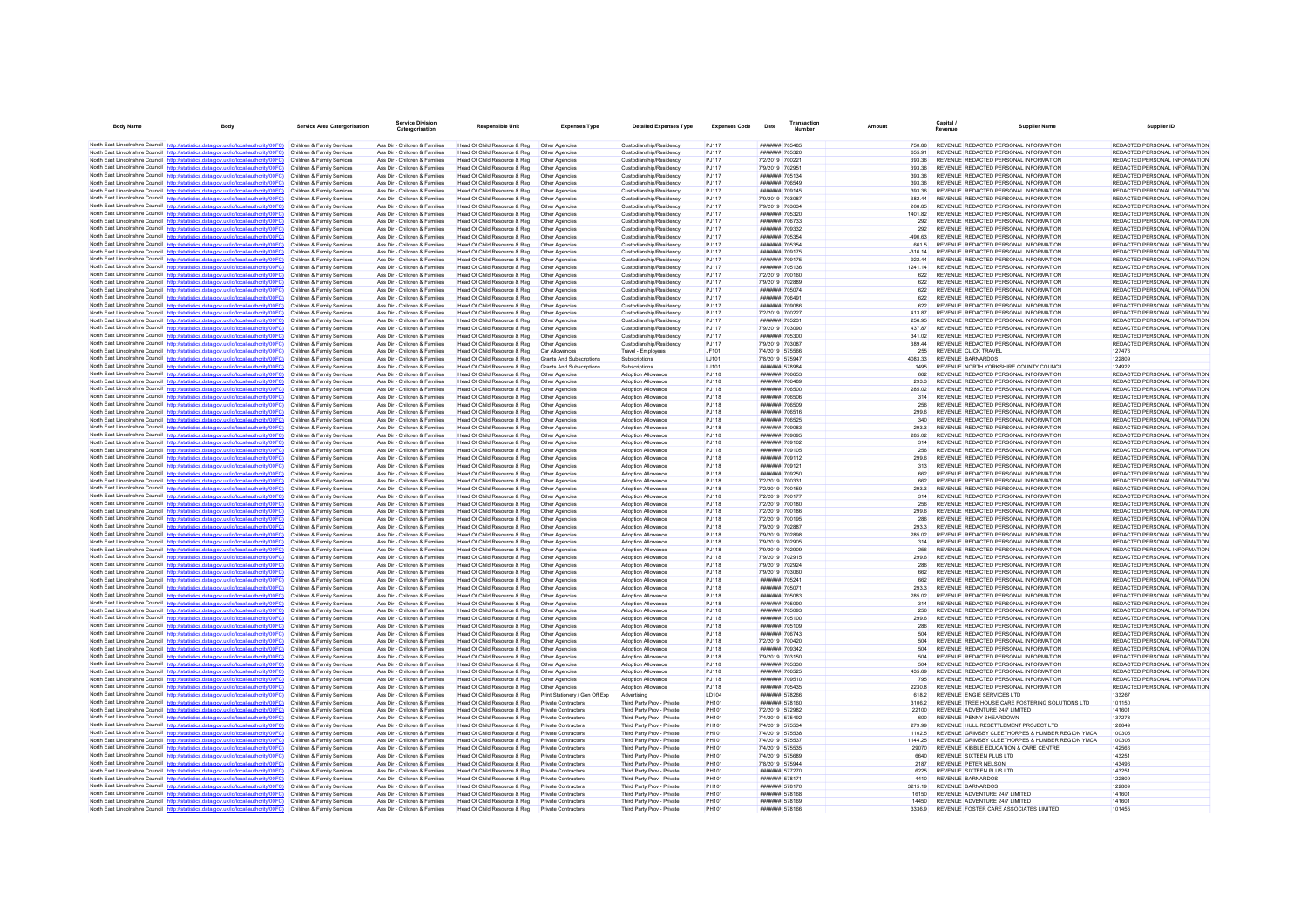| <b>Body Name</b> | Body                                                                                                                                                                             | <b>Service Area Catergorisation</b>                      | <b>Service Division</b><br>Catergorisation                     | Responsible Unit                                             | <b>Expenses Type</b>                       | <b>Detailed Expenses Type</b>                            | <b>Expenses Code</b>         | Date                               | Transaction<br>Number | Amount            | Capital /<br>Revenue                                                           | <b>Supplier Name</b>                                                                                 | Supplier ID                                                    |
|------------------|----------------------------------------------------------------------------------------------------------------------------------------------------------------------------------|----------------------------------------------------------|----------------------------------------------------------------|--------------------------------------------------------------|--------------------------------------------|----------------------------------------------------------|------------------------------|------------------------------------|-----------------------|-------------------|--------------------------------------------------------------------------------|------------------------------------------------------------------------------------------------------|----------------------------------------------------------------|
|                  | North East Lincolnshire Council http://statistics.data.gov.uk/id/local-authority/00FC) Children & Family Services                                                                |                                                          | Ass Dir - Children & Families                                  | Head Of Child Resource & Reg                                 | Other Agencies                             | Custodianship/Residency                                  | P.1117                       | ####### 705485                     |                       | 750.86            | REVENUE REDACTED PERSONAL INFORMATION                                          |                                                                                                      | REDACTED PERSONAL INFORMATION                                  |
|                  | North East Lincolnshire Council http://statistics.data.gov.uk/id/local-authority/00FC)                                                                                           | Children & Family Services                               | Ass Dir - Children & Families                                  | Head Of Child Resource & Reg                                 | Other Agencies                             | Custodianship/Residency                                  | P.1117                       | ####### 705320                     |                       | 655.91            | REVENUE REDACTED PERSONAL INFORMATION                                          |                                                                                                      | REDACTED PERSONAL INFORMATION                                  |
|                  | North East Lincolnshire Council http://statistics.data.gov.uk/id/local-authority/00FC)                                                                                           | Children & Family Services                               | Ass Dir - Children & Families                                  | Head Of Child Resource & Reg                                 | Other Agencies                             | Custodianship/Residency                                  | PJ117                        | 7/2/2019 700221                    |                       | 393.36            | REVENUE REDACTED PERSONAL INFORMATION                                          |                                                                                                      | REDACTED PERSONAL INFORMATION                                  |
|                  | North East Lincolnshire Council http://statistics.data.gov.uk/id/local-authority/00FC) Children & Family Services                                                                |                                                          | Ass Dir - Children & Families                                  | Head Of Child Resource & Reg                                 | Other Agencies                             | Custodianship/Residency                                  | PJ117                        | 7/9/2019 702951                    |                       | 393.36            | REVENUE REDACTED PERSONAL INFORMATION                                          |                                                                                                      | REDACTED PERSONAL INFORMATION                                  |
|                  | North East Lincolnshire Council http://statistics.data.gov.uk/id/local-authority/00FC)                                                                                           | Children & Family Services                               | Ass Dir - Children & Families                                  | Head Of Child Resource & Reg                                 | Other Agencies                             | Custodianship/Residency                                  | PJ117                        | ####### 705134                     |                       | 393.36            | REVENUE REDACTED PERSONAL INFORMATION                                          |                                                                                                      | REDACTED PERSONAL INFORMATION                                  |
|                  | North East Lincolnshire Council http://statistics.data.gov.uk/id/local-authority/00FC)<br>North East Lincolnshire Council http://statistics.data.gov.uk/id/local-authority/00FC) | Children & Family Services<br>Children & Family Services | Ass Dir - Children & Families<br>Ass Dir - Children & Families | Head Of Child Resource & Reg<br>Head Of Child Resource & Reg | Other Agencies<br>Other Agencies           | Custodianship/Residency<br>Custodianship/Residency       | <b>PJ117</b><br>PJ117        | ####### 706549<br>####### 709145   |                       | 393.36<br>393.36  | REVENUE REDACTED PERSONAL INFORMATION<br>REVENUE REDACTED PERSONAL INFORMATION |                                                                                                      | REDACTED PERSONAL INFORMATION<br>REDACTED PERSONAL INFORMATION |
|                  | North East Lincolnshire Council http://statistics.data.gov.uk/id/local-authority/00FC)                                                                                           | Children & Family Services                               | Ass Dir - Children & Families                                  | Head Of Child Resource & Reg                                 | Other Agencies                             | Custodianship/Residency                                  | PJ117                        | 7/9/2019 703087                    |                       | 382.44            | REVENUE REDACTED PERSONAL INFORMATION                                          |                                                                                                      | REDACTED PERSONAL INFORMATION                                  |
|                  | North East Lincolnshire Council http://statistics.data.gov.uk/id/local-authority/00FC)                                                                                           | Children & Family Services                               | Ass Dir - Children & Families                                  | Head Of Child Resource & Reg                                 | Other Agencies                             | Custodianship/Residency                                  | P.1117                       | 7/0/2010 703034                    |                       | 28.85             | REVENUE REDACTED PERSONAL INFORMATION                                          |                                                                                                      | REDACTED PERSONAL INFORMATION                                  |
|                  | North East Lincolnshire Council http://statistics.data.gov.uk/id/local-authority/00FC)                                                                                           | Children & Family Services                               | Ass Dir - Children & Families                                  | Head Of Child Resource & Reg                                 | Other Agencies                             | Custodianship/Residency                                  | PJ117                        | ####### 705320                     |                       | 1401.82           | REVENUE REDACTED PERSONAL INFORMATION                                          |                                                                                                      | REDACTED PERSONAL INFORMATION                                  |
|                  | North East Lincolnshire Council http://statistics.data.gov.uk/id/local-authority/00FC)                                                                                           | Children & Family Services                               | Ass Dir - Children & Families                                  | Head Of Child Resource & Reg                                 | Other Agencies                             | Custodianship/Residency                                  | PJ117                        | ####### 706733                     |                       | 292               | REVENUE REDACTED PERSONAL INFORMATION                                          |                                                                                                      | REDACTED PERSONAL INFORMATION                                  |
|                  | North East Lincolnshire Council http://statistics.data.gov.uk/id/local-authority/00FC)                                                                                           | Children & Family Services                               | Ass Dir - Children & Families                                  | Head Of Child Resource & Reg                                 | Other Agencies                             | Custodianship/Residency                                  | PJ117                        | ####### 709332                     |                       | 292               | REVENUE REDACTED PERSONAL INFORMATION                                          |                                                                                                      | REDACTED PERSONAL INFORMATION                                  |
|                  | North East Lincolnshire Council http://statistics.data.gov.uk/id/local-authority/00FC)                                                                                           | Children & Family Services                               | Ass Dir - Children & Families                                  | Head Of Child Resource & Reg                                 | Other Agencies                             | Custodianship/Residency                                  | PJ117                        | ####### 705354                     |                       | $-490.63$         | REVENUE REDACTED PERSONAL INFORMATION                                          |                                                                                                      | REDACTED PERSONAL INFORMATION                                  |
|                  | North East Lincolnshire Council http://statistics.data.gov.uk/id/local-authority/00FC)                                                                                           | Children & Family Services                               | Ass Dir - Children & Families                                  | Head Of Child Resource & Reg                                 | Other Agencies                             | Custodianship/Residency                                  | PJ117                        | ####### 705354                     |                       | 661.5             | REVENUE REDACTED PERSONAL INFORMATION                                          |                                                                                                      | REDACTED PERSONAL INFORMATION                                  |
|                  | North East Lincolnshire Council http://statistics.data.gov.uk/id/local-authority/00FC)                                                                                           | Children & Family Services                               | Ass Dir - Children & Families                                  | Head Of Child Resource & Reg                                 | Other Anencies                             | Custodianship/Residency                                  | PJ117                        | ####### 709175                     |                       | $-316.14$         | REVENUE REDACTED PERSONAL INFORMATION                                          |                                                                                                      | REDACTED PERSONAL INFORMATION                                  |
|                  | North East Lincolnshire Council http://statistics.data.gov.uk/id/local-authority/00FC)<br>North East Lincolnshire Council http://statistics.data.gov.uk/id/local-authority/00FC) | Children & Family Services<br>Children & Family Services | Ass Dir - Children & Families<br>Ass Dir - Children & Families | Head Of Child Resource & Reg                                 | Other Agencies<br>Other Agencies           | Custodianship/Residency<br>Custodianship/Residency       | PJ117<br>PJ117               | ####### 709175<br>####### 705136   |                       | 922.44<br>1241.14 | REVENUE REDACTED PERSONAL INFORMATION<br>REVENUE REDACTED PERSONAL INFORMATION |                                                                                                      | REDACTED PERSONAL INFORMATION<br>REDACTED PERSONAL INFORMATION |
|                  | North East Lincolnshire Council http://statistics.data.gov.uk/id/local-authority/00FC)                                                                                           | Children & Family Services                               | Ass Dir - Children & Families                                  | Head Of Child Resource & Reg<br>Head Of Child Resource & Reg | Other Agencies                             | Custodianship/Residency                                  | PJ117                        | 7/2/2019 700160                    |                       | 622               | REVENUE REDACTED PERSONAL INFORMATION                                          |                                                                                                      | REDACTED PERSONAL INFORMATION                                  |
|                  | North East Lincolnshire Council http://statistics.data.gov.uk/id/local-authority/00FC)                                                                                           | Children & Family Services                               | Ass Dir - Children & Families                                  | Head Of Child Resource & Reg                                 | Other Agencies                             | Custodianship/Residency                                  | PJ117                        | 7/9/2019 702889                    |                       | 622               | REVENUE REDACTED PERSONAL INFORMATION                                          |                                                                                                      | REDACTED PERSONAL INFORMATION                                  |
|                  | North East Lincolnshire Council http://statistics.data.gov.uk/id/local-authority/00FC)                                                                                           | Children & Family Services                               | Ass Dir - Children & Families                                  | Head Of Child Resource & Reg                                 | Other Agencies                             | Custodianship/Residency                                  | PJ117                        | ####### 705074                     |                       | 622               | REVENUE REDACTED PERSONAL INFORMATION                                          |                                                                                                      | REDACTED PERSONAL INFORMATION                                  |
|                  | North East Lincolnshire Council http://statistics.data.gov.uk/id/local-authority/00FC)                                                                                           | Children & Family Services                               | Ass Dir - Children & Families                                  | Head Of Child Resource & Reg                                 | Other Anencies                             | Custodianship/Residency                                  | P.1117                       | ####### 706491                     |                       | 622               | REVENUE REDACTED PERSONAL INFORMATION                                          |                                                                                                      | REDACTED PERSONAL INFORMATION                                  |
|                  | North East Lincolnshire Council http://statistics.data.gov.uk/id/local-authority/00FC)                                                                                           | Children & Family Services                               | Ass Dir - Children & Families                                  | Head Of Child Resource & Reg                                 | Other Agencies                             | Custodianship/Residency                                  | PJ117                        | ####### 709086                     |                       | 622               | REVENUE REDACTED PERSONAL INFORMATION                                          |                                                                                                      | REDACTED PERSONAL INFORMATION                                  |
|                  | North East Lincolnshire Council http://statistics.data.gov.uk/id/local-authority/00FC)                                                                                           | Children & Family Services                               | Ass Dir - Children & Families                                  | Head Of Child Resource & Reg                                 | Other Agencies                             | Custodianship/Residency                                  | <b>PJ117</b>                 | 7/2/2019 700227                    |                       | 413.87            | REVENUE REDACTED PERSONAL INFORMATION                                          |                                                                                                      | REDACTED PERSONAL INFORMATION                                  |
|                  | North East Lincolnshire Council http://statistics.data.gov.uk/id/local-authority/00FC)                                                                                           | Children & Family Services                               | Ass Dir - Children & Families                                  | Head Of Child Resource & Reg                                 | Other Agencies                             | Custodianship/Residency                                  | PJ117                        | ####### 705231                     |                       | 256.95            | REVENUE REDACTED PERSONAL INFORMATION                                          |                                                                                                      | REDACTED PERSONAL INFORMATION                                  |
|                  | North East Lincolnshire Council http://statistics.data.gov.uk/id/local-authority/00FC)                                                                                           | Children & Family Services                               | Ass Dir - Children & Families                                  | Head Of Child Resource & Reg                                 | Other Agencies                             | Custodianship/Residency                                  | P.1117                       | 7/9/2019 703090                    |                       | 43787             | REVENUE REDACTED PERSONAL INFORMATION                                          |                                                                                                      | REDACTED PERSONAL INFORMATION                                  |
|                  | North East Lincolnshire Council http://statistics.data.gov.uk/id/local-authority/00FC)                                                                                           | Children & Family Services<br>Children & Family Services | Ass Dir - Children & Families<br>Ass Dir - Children & Families | Head Of Child Resource & Reg                                 | Other Agencies<br>Other Agencies           | Custodianship/Residency<br>Custodianship/Residency       | PJ117<br>PJ117               | ####### 705300<br>7/9/2019 703087  |                       | 341.02<br>389.44  | REVENUE REDACTED PERSONAL INFORMATION<br>REVENUE REDACTED PERSONAL INFORMATION |                                                                                                      | REDACTED PERSONAL INFORMATION<br>REDACTED PERSONAL INFORMATION |
|                  | North East Lincolnshire Council http://statistics.data.gov.uk/id/local-authority/00FC)<br>North East Lincolnshire Council http://statistics.data.gov.uk/id/local-authority/00FC) | Children & Family Services                               | Ass Dir - Children & Families                                  | Head Of Child Resource & Reg<br>Head Of Child Resource & Reg | Car Allowances                             | Travel - Employees                                       | JF101                        | 7/4/2019 575566                    |                       | 255               | REVENUE CLICK TRAVEL                                                           |                                                                                                      | 127476                                                         |
|                  | North East Lincolnshire Council http://statistics.data.gov.uk/id/local-authority/00FC)                                                                                           | Children & Family Services                               | Ass Dir - Children & Families                                  | Head Of Child Resource & Reg                                 | <b>Grants And Subscriptions</b>            | Subscriptions                                            | LJ101                        | 7/8/2019 575947                    |                       | 4083.33           | <b>REVENUE BARNARDOS</b>                                                       |                                                                                                      | 122809                                                         |
|                  | North East Lincolnshire Council http://statistics.data.gov.uk/id/local-authority/00FC)                                                                                           | Children & Family Services                               | Ass Dir - Children & Families                                  | Head Of Child Resource & Reg                                 | <b>Grants And Subscriptions</b>            | Subscriptions                                            | LJ101                        | ####### 578984                     |                       | 1495              | REVENUE NORTH YORKSHIRE COUNTY COUNCIL                                         |                                                                                                      | 124922                                                         |
|                  | North East Lincolnshire Council http://statistics.data.gov.uk/id/local-authority/00FC)                                                                                           | Children & Family Services                               | Ass Dir - Children & Families                                  | Head Of Child Resource & Reg                                 | Other Agencies                             | Adoption Allowance                                       | <b>PJ118</b>                 | ####### 706653                     |                       | 662               | REVENUE REDACTED PERSONAL INFORMATION                                          |                                                                                                      | REDACTED PERSONAL INFORMATION                                  |
|                  | North East Lincolnshire Council http://statistics.data.gov.uk/id/local-authority/00FC)                                                                                           | Children & Family Services                               | Ass Dir - Children & Families                                  | Head Of Child Resource & Reg                                 | Other Agencies                             | Adoption Allowance                                       | P.I118                       | HHHHHH 706489                      |                       | 293.3             | REVENUE REDACTED PERSONAL INFORMATION                                          |                                                                                                      | REDACTED PERSONAL INFORMATION                                  |
|                  | North East Lincolnshire Council http://statistics.data.gov.uk/id/local-authority/00FC)                                                                                           | Children & Family Services                               | Ass Dir - Children & Families                                  | Head Of Child Resource & Reg                                 | Other Agencies                             | Adoption Allowance                                       | <b>PJ118</b>                 | ####### 706500                     |                       | 285.02            | REVENUE REDACTED PERSONAL INFORMATION                                          |                                                                                                      | REDACTED PERSONAL INFORMATION                                  |
|                  | North East Lincolnshire Council http://statistics.data.gov.uk/id/local-authority/00FC)                                                                                           | Children & Family Services                               | Ass Dir - Children & Families                                  | Head Of Child Resource & Reg                                 | Other Agencies                             | Adoption Allowance                                       | <b>PJ118</b>                 | ####### 706506                     |                       | 314               | REVENUE REDACTED PERSONAL INFORMATION                                          |                                                                                                      | REDACTED PERSONAL INFORMATION                                  |
|                  | North East Lincolnshire Council http://statistics.data.gov.uk/id/local-authority/00FC)                                                                                           | Children & Family Services                               | Ass Dir - Children & Families                                  | Head Of Child Resource & Reg                                 | Other Anencies                             | Adoption Allowance                                       | P.I118                       | ####### 706509                     |                       | 256               | REVENUE REDACTED PERSONAL INFORMATION                                          |                                                                                                      | REDACTED PERSONAL INFORMATION                                  |
|                  | North East Lincolnshire Council http://statistics.data.gov.uk/id/local-authority/00FC)                                                                                           | Children & Family Services                               | Ass Dir - Children & Families                                  | Head Of Child Resource & Reg                                 | Other Agencies                             | Adoption Allowance                                       | <b>PJ118</b>                 | ####### 706516                     |                       | 299.6             | REVENUE REDACTED PERSONAL INFORMATION                                          |                                                                                                      | REDACTED PERSONAL INFORMATION                                  |
|                  | North East Lincolnshire Council http://statistics.data.gov.uk/id/local-authority/00FC)                                                                                           | Children & Family Services<br>Children & Family Services | Ass Dir - Children & Families<br>Ass Dir - Children & Families | Head Of Child Resource & Reg                                 | Other Agencies<br>Other Agencies           | Adoption Allowance<br>Adoption Allowance                 | PJ118                        | ####### 706525<br>####### 709083   |                       | 340<br>293.3      | REVENUE REDACTED PERSONAL INFORMATION<br>REVENUE REDACTED PERSONAL INFORMATION |                                                                                                      | REDACTED PERSONAL INFORMATION<br>REDACTED PERSONAL INFORMATION |
|                  | North East Lincolnshire Council http://statistics.data.gov.uk/id/local-authority/00FC)<br>North East Lincolnshire Council http://statistics.data.gov.uk/id/local-authority/00FC) | Children & Family Services                               | Ass Dir - Children & Families                                  | Head Of Child Resource & Reg<br>Head Of Child Resource & Reg | Other Agencies                             | Adoption Allowance                                       | <b>PJ118</b><br><b>PJ118</b> | ####### 709095                     |                       | 285.02            | REVENUE REDACTED PERSONAL INFORMATION                                          |                                                                                                      | REDACTED PERSONAL INFORMATION                                  |
|                  | North East Lincolnshire Council http://statistics.data.gov.uk/id/local-authority/00FC)                                                                                           | Children & Family Services                               | Ass Dir - Children & Families                                  | Head Of Child Resource & Reg                                 | Other Agencies                             | Adoption Allowance                                       | <b>PJ118</b>                 | ####### 709102                     |                       | 314               | REVENUE REDACTED PERSONAL INFORMATION                                          |                                                                                                      | REDACTED PERSONAL INFORMATION                                  |
|                  | North East Lincolnshire Council http://statistics.data.gov.uk/id/local-authority/00FC)                                                                                           | Children & Family Services                               | Ass Dir - Children & Families                                  | Head Of Child Resource & Reg                                 | Other Agencies                             | Adoption Allowance                                       | PJ118                        | ####### 709105                     |                       | 256               | REVENUE REDACTED PERSONAL INFORMATION                                          |                                                                                                      | REDACTED PERSONAL INFORMATION                                  |
|                  | North East Lincolnshire Council http://statistics.data.gov.uk/id/local-authority/00FC)                                                                                           | Children & Family Services                               | Ass Dir - Children & Families                                  | Head Of Child Resource & Reg                                 | Other Agencies                             | Adoption Allowance                                       | <b>PJ118</b>                 | ####### 709112                     |                       | 299.6             | REVENUE REDACTED PERSONAL INFORMATION                                          |                                                                                                      | REDACTED PERSONAL INFORMATION                                  |
|                  | North East Lincolnshire Council http://statistics.data.gov.uk/id/local-authority/00FC)                                                                                           | Children & Family Services                               | Ass Dir - Children & Families                                  | Head Of Child Resource & Reg                                 | Other Agencies                             | Adoption Allowance                                       | <b>PJ118</b>                 | ####### 709121                     |                       | 313               | REVENUE REDACTED PERSONAL INFORMATION                                          |                                                                                                      | REDACTED PERSONAL INFORMATION                                  |
|                  | North East Lincolnshire Council http://statistics.data.gov.uk/id/local-authority/00FC)                                                                                           | Children & Family Services                               | Ass Dir - Children & Families                                  | Head Of Child Resource & Reg                                 | Other Anencies                             | Adoption Allowance                                       | P.I118                       | ####### 709250                     |                       | 662               | REVENUE REDACTED PERSONAL INFORMATION                                          |                                                                                                      | REDACTED PERSONAL INFORMATION                                  |
|                  | North East Lincolnshire Council http://statistics.data.gov.uk/id/local-authority/00FC)                                                                                           | Children & Family Services                               | Ass Dir - Children & Families                                  | Head Of Child Resource & Reg                                 | Other Agencies                             | Adoption Allowance                                       | <b>PJ118</b>                 | 7/2/2019 700331                    |                       | 662               | REVENUE REDACTED PERSONAL INFORMATION                                          |                                                                                                      | REDACTED PERSONAL INFORMATION                                  |
|                  | North East Lincolnshire Council http://statistics.data.gov.uk/id/local-authority/00FC)                                                                                           | Children & Family Services                               | Ass Dir - Children & Families                                  | Head Of Child Resource & Reg                                 | Other Agencies                             | Adoption Allowance                                       | <b>PJ118</b>                 | 7/2/2019 700159                    |                       | 293.3             | REVENUE REDACTED PERSONAL INFORMATION                                          |                                                                                                      | REDACTED PERSONAL INFORMATION                                  |
|                  | North East Lincolnshire Council http://statistics.data.gov.uk/id/local-authority/00FC)<br>North East Lincolnshire Council http://statistics.data.gov.uk/id/local-authority/00FC) | Children & Family Services<br>Children & Family Services | Ass Dir - Children & Families<br>Ass Dir - Children & Families | Head Of Child Resource & Reg                                 | Other Agencies                             | Adoption Allowance<br>Adoption Allowance                 | <b>PJ118</b><br>P.I118       | 7/2/2019 700177<br>7/2/2019 700180 |                       | 314<br>256        | REVENUE REDACTED PERSONAL INFORMATION<br>REVENUE REDACTED PERSONAL INFORMATION |                                                                                                      | REDACTED PERSONAL INFORMATION<br>REDACTED PERSONAL INFORMATION |
|                  | North East Lincolnshire Council http://statistics.data.gov.uk/id/local-authority/00FC)                                                                                           | Children & Family Services                               | Ass Dir - Children & Families                                  | Head Of Child Resource & Reg<br>Head Of Child Resource & Reg | Other Agencies<br>Other Agencies           | Adoption Allowance                                       | <b>PJ118</b>                 | 7/2/2019 700186                    |                       | 299.6             | REVENUE REDACTED PERSONAL INFORMATION                                          |                                                                                                      | REDACTED PERSONAL INFORMATION                                  |
|                  | North East Lincolnshire Council http://statistics.data.gov.uk/id/local-authority/00FC)                                                                                           | Children & Family Services                               | Ass Dir - Children & Families                                  | Head Of Child Resource & Reg                                 | Other Agencies                             | Adoption Allowance                                       | <b>PJ118</b>                 | 7/2/2019 700195                    |                       | 286               | REVENUE REDACTED PERSONAL INFORMATION                                          |                                                                                                      | REDACTED PERSONAL INFORMATION                                  |
|                  | North East Lincolnshire Council http://statistics.data.gov.uk/id/local-authority/00FC)                                                                                           | Children & Family Services                               | Ass Dir - Children & Families                                  | Head Of Child Resource & Reg                                 | Other Agencies                             | Adoption Allowance                                       | <b>PJ118</b>                 | 7/9/2019 702887                    |                       | 293.3             | REVENUE REDACTED PERSONAL INFORMATION                                          |                                                                                                      | REDACTED PERSONAL INFORMATION                                  |
|                  | North East Lincolnshire Council http://statistics.data.gov.uk/id/local-authority/00FC)                                                                                           | Children & Family Services                               | Ass Dir - Children & Families                                  | Head Of Child Resource & Reg                                 | Other Agencies                             | Adoption Allowance                                       | <b>PJ118</b>                 | 7/9/2019 702898                    |                       | 285.02            | REVENUE REDACTED PERSONAL INFORMATION                                          |                                                                                                      | REDACTED PERSONAL INFORMATION                                  |
|                  | North East Lincolnshire Council http://statistics.data.gov.uk/id/local-authority/00FC)                                                                                           | Children & Family Services                               | Ass Dir - Children & Families                                  | Head Of Child Resource & Reg                                 | Other Agencies                             | Adoption Allowance                                       | <b>PJ118</b>                 | 7/9/2019 702905                    |                       | 314               | REVENUE REDACTED PERSONAL INFORMATION                                          |                                                                                                      | REDACTED PERSONAL INFORMATION                                  |
|                  | North East Lincolnshire Council http://statistics.data.gov.uk/id/local-authority/00FC)                                                                                           | Children & Family Services                               | Ass Dir - Children & Families                                  | Head Of Child Resource & Reg.                                | Other Agencies                             | Adoption Allowance                                       | PJ118                        | 7/9/2019 702909                    |                       | 256               | REVENUE REDACTED PERSONAL INFORMATION                                          |                                                                                                      | REDACTED PERSONAL INFORMATION                                  |
|                  | North East Lincolnshire Council http://statistics.data.gov.uk/id/local-authority/00FC)                                                                                           | Children & Family Services                               | Ass Dir - Children & Families                                  | Head Of Child Resource & Reg                                 | Other Agencies                             | Adoption Allowance                                       | <b>PJ118</b>                 | 7/9/2019 702915                    |                       | 299.6             | REVENUE REDACTED PERSONAL INFORMATION                                          |                                                                                                      | REDACTED PERSONAL INFORMATION                                  |
|                  | North East Lincolnshire Council http://statistics.data.gov.uk/id/local-authority/00FC)                                                                                           | Children & Family Services                               | Ass Dir - Children & Families                                  | Head Of Child Resource & Reg                                 | Other Agencies                             | Adoption Allowance                                       | <b>PJ118</b>                 | 7/9/2019 702924                    |                       | 286<br>662        | REVENUE REDACTED PERSONAL INFORMATION                                          |                                                                                                      | REDACTED PERSONAL INFORMATION                                  |
|                  | North East Lincolnshire Council http://statistics.data.gov.uk/id/local-authority/00FC)<br>North East Lincolnshire Council http://statistics.data.gov.uk/id/local-authority/00FC) | Children & Family Services<br>Children & Family Services | Ass Dir - Children & Families<br>Ass Dir - Children & Families | Head Of Child Resource & Reg                                 | Other Agencies<br>Other Agencies           | Adoption Allowance<br>Adoption Allowance                 | <b>PJ118</b><br>P.I118       | 7/9/2019 703060<br>####### 705241  |                       | 662               | REVENUE REDACTED PERSONAL INFORMATION<br>REVENUE REDACTED PERSONAL INFORMATION |                                                                                                      | REDACTED PERSONAL INFORMATION<br>REDACTED PERSONAL INFORMATION |
|                  | North East Lincolnshire Council http://statistics.data.gov.uk/id/local-authority/00FC)                                                                                           | Children & Family Services                               | Ass Dir - Children & Families                                  | Head Of Child Resource & Reg<br>Head Of Child Resource & Reg | Other Agencies                             | Adoption Allowance                                       | <b>PJ118</b>                 | ####### 705071                     |                       | 293.3             | REVENUE REDACTED PERSONAL INFORMATION                                          |                                                                                                      | REDACTED PERSONAL INFORMATION                                  |
|                  | North East Lincolnshire Council http://statistics.data.gov.uk/id/local-authority/00FC)                                                                                           | Children & Family Services                               | Ass Dir - Children & Families                                  | Head Of Child Resource & Reg                                 | Other Agencies                             | Adoption Allowance                                       | PJ118                        | ####### 705083                     |                       | 285.02            | REVENUE REDACTED PERSONAL INFORMATION                                          |                                                                                                      | REDACTED PERSONAL INFORMATION                                  |
|                  | North East Lincolnshire Council http://statistics.data.gov.uk/id/local-authority/00FC)                                                                                           | Children & Family Services                               | Ass Dir - Children & Families                                  | Head Of Child Resource & Reg                                 | Other Agencies                             | Adoption Allowance                                       | <b>PJ118</b>                 | ####### 705090                     |                       | 314               | REVENUE REDACTED PERSONAL INFORMATION                                          |                                                                                                      | REDACTED PERSONAL INFORMATION                                  |
|                  | North East Lincolnshire Council http://statistics.data.gov.uk/id/local-authority/00FC)                                                                                           | Children & Family Services                               | Ass Dir - Children & Families                                  | Head Of Child Resource & Reg                                 | Other Agencies                             | Adoption Allowance                                       | <b>PJ118</b>                 | ####### 705093                     |                       | 256               | REVENUE REDACTED PERSONAL INFORMATION                                          |                                                                                                      | REDACTED PERSONAL INFORMATION                                  |
|                  | North East Lincolnshire Council http://statistics.data.gov.uk/id/local-authority/00FC)                                                                                           | Children & Family Services                               | Ass Dir - Children & Families                                  | Head Of Child Resource & Reg                                 | Other Agencies                             | Adoption Allowance                                       | <b>PJ118</b>                 | ####### 705100                     |                       | 299.6             | REVENUE REDACTED PERSONAL INFORMATION                                          |                                                                                                      | REDACTED PERSONAL INFORMATION                                  |
|                  | North East Lincolnshire Council http://statistics.data.gov.uk/id/local-authority/00FC)                                                                                           | Children & Family Services                               | Ass Dir - Children & Families                                  | Head Of Child Resource & Reg                                 | Other Agencies                             | Adoption Allowance                                       | PJ118                        | ####### 705109                     |                       | 286               | REVENUE REDACTED PERSONAL INFORMATION                                          |                                                                                                      | REDACTED PERSONAL INFORMATION                                  |
|                  | North East Lincolnshire Council http://statistics.data.gov.uk/id/local-authority/00FC)                                                                                           | Children & Family Services                               | Ass Dir - Children & Families                                  | Head Of Child Resource & Reg                                 | Other Agencies                             | Adoption Allowance                                       | <b>PJ118</b>                 | ####### 706743                     |                       | 504               | REVENUE REDACTED PERSONAL INFORMATION                                          |                                                                                                      | REDACTED PERSONAL INFORMATION                                  |
|                  | North East Lincolnshire Council http://statistics.data.gov.uk/id/local-authority/00FC)                                                                                           | Children & Family Services                               | Ass Dir - Children & Families                                  | Head Of Child Resource & Reg                                 | Other Agencies                             | Adoption Allowance                                       | <b>PJ118</b>                 | 7/2/2019 700420                    |                       | 504               | REVENUE REDACTED PERSONAL INFORMATION                                          |                                                                                                      | REDACTED PERSONAL INFORMATION                                  |
|                  | North East Lincolnshire Council http://statistics.data.gov.uk/id/local-authority/00FC)                                                                                           | Children & Family Services                               | Ass Dir - Children & Families                                  | Head Of Child Resource & Reg                                 | Other Agencies                             | Adoption Allowance                                       | PJ118                        | <b>НИНИНИ 709342</b>               |                       | 504               | REVENUE REDACTED PERSONAL INFORMATION                                          |                                                                                                      | REDACTED PERSONAL INFORMATION                                  |
|                  | North East Lincolnshire Council http://statistics.data.gov.uk/id/local-authority/00FC)<br>North East Lincolnshire Council http://statistics.data.gov.uk/id/local-authority/00FC) | Children & Family Services<br>Children & Family Services | Ass Dir - Children & Families<br>Ass Dir - Children & Families | Head Of Child Resource & Reg<br>Head Of Child Resource & Reg | Other Agencies<br>Other Agencies           | Adoption Allowance<br>Adoption Allowance                 | <b>PJ118</b><br><b>PJ118</b> | 7/9/2019 703150<br>####### 705330  |                       | 504<br>504        | REVENUE REDACTED PERSONAL INFORMATION<br>REVENUE REDACTED PERSONAL INFORMATION |                                                                                                      | REDACTED PERSONAL INFORMATION<br>REDACTED PERSONAL INFORMATION |
|                  | North East Lincolnshire Council http://statistics.data.gov.uk/id/local-authority/00FC)                                                                                           | Children & Family Services                               | Ass Dir - Children & Families                                  | Head Of Child Resource & Reg                                 | Other Agencies                             | Adoption Allowance                                       | PJ118                        | ####### 706525                     |                       | 435.69            | REVENUE REDACTED PERSONAL INFORMATION                                          |                                                                                                      | REDACTED PERSONAL INFORMATION                                  |
|                  | North East Lincolnshire Council http://statistics.data.gov.uk/id/local-authority/00FC)                                                                                           | Children & Family Services                               | Ass Dir - Children & Families                                  | Head Of Child Resource & Reg                                 | Other Agencies                             | Adoption Allowance                                       | P.I118                       | ####### 709510                     |                       | 795               | REVENUE REDACTED PERSONAL INFORMATION                                          |                                                                                                      | REDACTED PERSONAL INFORMATION                                  |
|                  | North East Lincolnshire Council http://statistics.data.gov.uk/id/local-authority/00FC)                                                                                           | Children & Family Services                               | Ass Dir - Children & Families                                  | Head Of Child Resource & Reg                                 | Other Agencies                             | Adoption Allowance                                       | PJ118                        | ####### 705435                     |                       | 2230.8            | REVENUE REDACTED PERSONAL INFORMATION                                          |                                                                                                      | REDACTED PERSONAL INFORMATION                                  |
|                  | North East Lincolnshire Council http://statistics.data.gov.uk/id/local-authority/00FC)                                                                                           | Children & Family Services                               | Ass Dir - Children & Families                                  | Head Of Child Resource & Reg                                 | Print Stationery / Gen Off Exp             | Advertising                                              | LD104                        | ####### 578266                     |                       | 618.2             | REVENUE ENGIE SERVICES LTD                                                     |                                                                                                      | 133267                                                         |
|                  | North East Lincolnshire Council http://statistics.data.gov.uk/id/local-authority/00FC)                                                                                           | Children & Family Services                               | Ass Dir - Children & Families                                  | Head Of Child Resource & Reg                                 | <b>Private Contractors</b>                 | Third Party Prov - Private                               | PH101                        | ####### 578160                     |                       | 3106.2            |                                                                                | REVENUE TREE HOUSE CARE FOSTERING SOLUTIONS LTD                                                      | 101150                                                         |
|                  | North East Lincolnshire Council http://statistics.data.gov.uk/id/local-authority/00FC)                                                                                           | Children & Family Services                               | Ass Dir - Children & Families                                  | Head Of Child Resource & Reg                                 | Private Contractors                        | Third Party Prov - Private                               | PH101                        | 7/2/2019 572982                    |                       | 22100             | REVENUE ADVENTURE 24/7 LIMITED                                                 |                                                                                                      | 141601                                                         |
|                  | North East Lincolnshire Council http://statistics.data.gov.uk/id/local-authority/00FC)                                                                                           | Children & Family Services                               | Ass Dir - Children & Families                                  | Head Of Child Resource & Reg                                 | Private Contractors                        | Third Party Prov - Private                               | PH101                        | 7/4/2019 575492                    |                       | 600               | REVENUE PENNY SHEARDOWN                                                        |                                                                                                      | 137278                                                         |
|                  | North East Lincolnshire Council http://statistics.data.gov.uk/id/local-authority/00FC)                                                                                           | Children & Family Services                               | Ass Dir - Children & Families                                  | Head Of Child Resource & Reg                                 | Private Contractors                        | Third Party Prov - Private                               | PH101                        | 7/4/2019 575534                    |                       | 279.99            | REVENUE HULL RESETTLEMENT PROJECT LTD.                                         |                                                                                                      | 128649                                                         |
|                  | North East Lincolnshire Council http://statistics.data.gov.uk/id/local-authority/00FC)<br>North East Lincolnshire Council http://statistics.data.gov.uk/id/local-authority/00FC) | Children & Family Services<br>Children & Family Services | Ass Dir - Children & Families<br>Ass Dir - Children & Families | Head Of Child Resource & Reg<br>Head Of Child Resource & Reg | Private Contractors<br>Private Contractors | Third Party Prov - Private<br>Third Party Prov - Private | PH101<br>PH101               | 7/4/2019 575538<br>7/4/2019 575537 |                       | 1102.5<br>1144.25 |                                                                                | REVENUE GRIMSBY CLEETHORPES & HUMBER REGION YMCA<br>REVENUE GRIMSBY CLEETHORPES & HUMBER REGION YMCA | 100305<br>100305                                               |
|                  | North East Lincolnshire Council http://statistics.data.gov.uk/id/local-authority/00FC)                                                                                           | Children & Family Services                               | Ass Dir - Children & Families                                  | Head Of Child Resource & Reg                                 | Private Contractors                        | Third Party Prov - Private                               | PH101                        | 7/4/2019 575535                    |                       | 29070             | REVENUE KIBBLE EDUCATION & CARE CENTRE                                         |                                                                                                      | 142566                                                         |
|                  | North East Lincolnshire Council http://statistics.data.gov.uk/id/local-authority/00FC)                                                                                           | Children & Family Services                               | Ass Dir - Children & Families                                  | Head Of Child Resource & Reg                                 | Private Contractors                        | Third Party Prov - Private                               | PH101                        | 7/4/2019 575689                    |                       | 6640              | REVENUE SIXTEEN PLUS LTD                                                       |                                                                                                      | 143251                                                         |
|                  | North East Lincolnshire Council http://statistics.data.gov.uk/id/local-authority/00FC)                                                                                           | Children & Family Services                               | Ass Dir - Children & Families                                  | Head Of Child Resource & Reg                                 | Private Contractors                        | Third Party Prov - Private                               | PH101                        | 7/8/2019 575944                    |                       | 2187              | REVENUE PETER NELSON                                                           |                                                                                                      | 143496                                                         |
|                  | North East Lincolnshire Council http://statistics.data.gov.uk/id/local-authority/00FC)                                                                                           | Children & Family Services                               | Ass Dir - Children & Families                                  | Head Of Child Resource & Reg                                 | Private Contractors                        | Third Party Prov - Private                               | PH101                        | ####### 577270                     |                       | 6225              | REVENUE SIXTEEN PLUS LTD                                                       |                                                                                                      | 143251                                                         |
|                  | North East Lincolnshire Council http://statistics.data.gov.uk/id/local-authority/00FC)                                                                                           | Children & Family Services                               | Ass Dir - Children & Families                                  | Head Of Child Resource & Reg                                 | <b>Private Contractors</b>                 | Third Party Prov - Private                               | PH101                        | ####### 578171                     |                       | 4410              | REVENUE BARNARDOS                                                              |                                                                                                      | 122809                                                         |
|                  | North East Lincolnshire Council http://statistics.data.gov.uk/id/local-authority/00FC)                                                                                           | Children & Family Services                               | Ass Dir - Children & Families                                  | Head Of Child Resource & Reg                                 | Private Contractors                        | Third Party Prov - Private                               | PH101                        | ####### 578170                     |                       | 3215.19           | REVENUE BARNARDOS                                                              |                                                                                                      | 122809                                                         |
|                  | North East Lincolnshire Council http://statistics.data.gov.uk/id/local-authority/00FC)                                                                                           | Children & Family Services                               | Ass Dir - Children & Families                                  | Head Of Child Resource & Reg                                 | Private Contractors                        | Third Party Prov - Private                               | PH101                        | ####### 578168                     |                       | 16150             | REVENUE ADVENTURE 24/7 LIMITED                                                 |                                                                                                      | 141601                                                         |
|                  | North East Lincolnshire Council http://statistics.data.gov.uk/id/local-authority/00FC) Children & Family Services                                                                |                                                          | Ass Dir - Children & Families                                  | Head Of Child Resource & Reg                                 | Private Contractors                        | Third Party Prov - Private                               | PH101                        | ####### 578169                     |                       | 14450             | REVENUE ADVENTURE 24/7 LIMITED                                                 |                                                                                                      | 141601                                                         |
|                  | North East Lincolnshire Council http://statistics.data.gov.uk/id/local-authority/00FC)                                                                                           | Children & Family Services                               | Ass Dir - Children & Families                                  | Head Of Child Resource & Reg                                 | <b>Private Contractors</b>                 | Third Party Prov - Private                               | PH101                        | ###### 578166                      |                       | 3336.9            | REVENUE FOSTER CARE ASSOCIATES LIMITED                                         |                                                                                                      | 101455                                                         |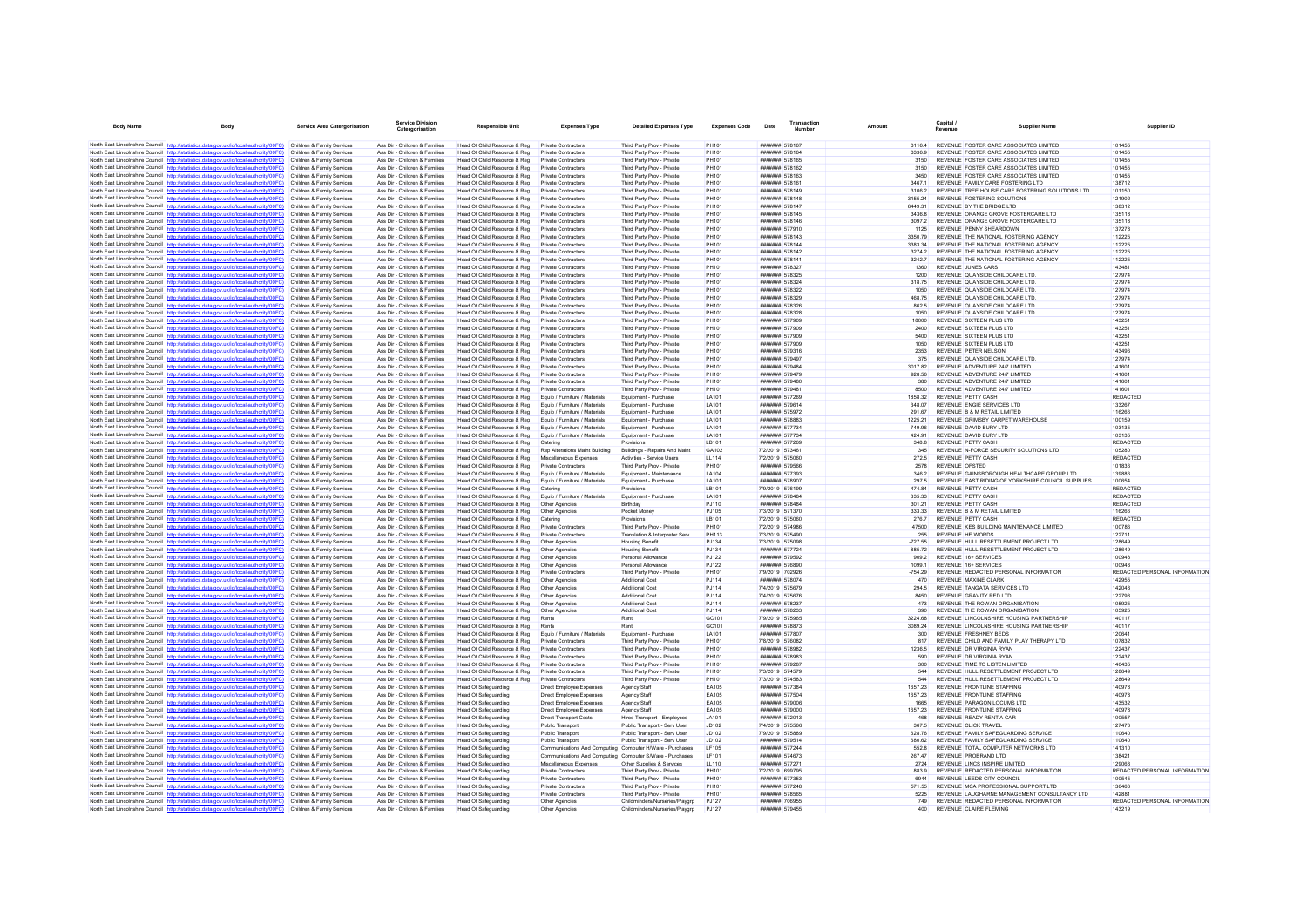| <b>Body Name</b> | <b>Body</b>                                                                                                                                                                      | <b>Service Area Catergorisation</b>                      | <b>Service Division</b><br>Catergorisation                     | Responsible Unit                                             | <b>Expenses Type</b>                                                               | <b>Detailed Expenses Type</b>                            | <b>Expenses Code</b>         | Date                                     | <b>Transaction</b><br>Number | Amount             | <b>Capital</b><br>Revenue                                                      | <b>Supplier Name</b> | Supplier ID                             |
|------------------|----------------------------------------------------------------------------------------------------------------------------------------------------------------------------------|----------------------------------------------------------|----------------------------------------------------------------|--------------------------------------------------------------|------------------------------------------------------------------------------------|----------------------------------------------------------|------------------------------|------------------------------------------|------------------------------|--------------------|--------------------------------------------------------------------------------|----------------------|-----------------------------------------|
|                  | North East Lincolnshire Council http://statistics.data.gov.uk/id/local-authority/00FC) Children & Family Services                                                                |                                                          | Ass Dir - Children & Families                                  | Head Of Child Resource & Reg                                 | Private Contractors                                                                | Third Party Prov - Private                               | PH101                        | ####### 578167                           |                              | 31164              | REVENUE FOSTER CARE ASSOCIATES LIMITED                                         |                      | 101455                                  |
|                  | North East Lincolnshire Council http://statistics.data.gov.uk/id/local-authority/00FC)                                                                                           | Children & Family Services                               | Ass Dir - Children & Families                                  | Head Of Child Resource & Reg                                 | Private Contractors                                                                | Third Party Prov - Private                               | PH101                        |                                          | <b>#######</b> 578164        | 3336.9             | REVENUE FOSTER CARE ASSOCIATES LIMITED.                                        |                      | 101455                                  |
|                  | North East Lincolnshire Council http://statistics.data.gov.uk/id/local-authority/00FC)                                                                                           | Children & Family Services                               | Ass Dir - Children & Families                                  | Head Of Child Resource & Rec                                 | Private Contractors                                                                | Third Party Prov - Private                               | PH101                        | ####### 578165                           |                              | 3150               | REVENUE FOSTER CARE ASSOCIATES LIMITED.                                        |                      | 101455                                  |
|                  | North East Lincolnshire Council http://statistics.data.gov.uk/id/local-authority/00FC)                                                                                           | Children & Family Services                               | Ass Dir - Children & Families                                  | Head Of Child Resource & Reg                                 | Private Contractors                                                                | Third Party Prov - Private                               | PH101                        |                                          | ####### 578162               | 3150               | REVENUE FOSTER CARE ASSOCIATES LIMITED                                         |                      | 101455                                  |
|                  | North East Lincolnshire Council http://statistics.data.gov.uk/id/local-authority/00FC)                                                                                           | Children & Family Services                               | Ass Dir - Children & Families                                  | Head Of Child Resource & Reg                                 | Private Contractors                                                                | Third Party Prov - Private                               | PH101                        | <b>#######</b> 578163                    |                              | 3450               | REVENUE FOSTER CARE ASSOCIATES LIMITED.                                        |                      | 101455                                  |
|                  | North East Lincolnshire Council http://statistics.data.gov.uk/id/local-authority/00FC)                                                                                           | Children & Family Services                               | Ass Dir - Children & Families                                  | Head Of Child Resource & Reg                                 | Private Contractors                                                                | Third Party Prov - Private                               | PH101                        | ####### 578161                           |                              | 3467.1             | REVENUE FAMILY CARE FOSTERING LTD                                              |                      | 138712                                  |
|                  | North East Lincolnshire Council http://statistics.data.gov.uk/id/local-authority/00FC)<br>North East Lincolnshire Council http://statistics.data.gov.uk/id/local-authority/00FC) | Children & Family Services                               | Ass Dir - Children & Families                                  | Head Of Child Resource & Reg                                 | Private Contractors                                                                | Third Party Prov - Private                               | PH101                        | ####### 578149                           |                              | 3106.2             | REVENUE TREE HOUSE CARE FOSTERING SOLUTIONS LTD<br>REVENUE FOSTERING SOLUTIONS |                      | 101150<br>121902                        |
|                  | North East Lincolnshire Council http://statistics.data.gov.uk/id/local-authority/00FC)                                                                                           | Children & Family Services<br>Children & Family Services | Ass Dir - Children & Families<br>Ass Dir - Children & Families | Head Of Child Resource & Reg<br>Head Of Child Resource & Reg | <b>Private Contractors</b><br>Private Contractors                                  | Third Party Prov - Private<br>Third Party Prov - Private | PH101<br><b>PH101</b>        | <b><i><u>HHHHHH</u></i></b> 578147       | ####### 578148               | 3155 24<br>6449.31 | REVENUE BY THE BRIDGE LTD.                                                     |                      | 138312                                  |
|                  | North East Lincolnshire Council http://statistics.data.gov.uk/id/local-authority/00FC)                                                                                           | Children & Family Services                               | Ass Dir - Children & Families                                  | Head Of Child Resource & Reg                                 | Private Contractors                                                                | Third Party Prov - Private                               | PH101                        | ####### 578145                           |                              | 3436.8             | REVENUE ORANGE GROVE FOSTERCARE LTD                                            |                      | 135118                                  |
|                  | North East Lincolnshire Council http://statistics.data.gov.uk/id/local-authority/00FC)                                                                                           | Children & Family Services                               | Ass Dir - Children & Families                                  | Head Of Child Resource & Reg                                 | Private Contractors                                                                | Third Party Prov - Private                               | PH101                        | ####### 578146                           |                              | 3097.2             | REVENUE ORANGE GROVE FOSTERCARE LTD                                            |                      | 135118                                  |
|                  | North East Lincolnshire Council http://statistics.data.gov.uk/id/local-authority/00FC)                                                                                           | Children & Family Services                               | Ass Dir - Children & Families                                  | Head Of Child Resource & Reg                                 | Private Contractors                                                                | Third Party Prov - Private                               | PH101                        | ####### 577910                           |                              | 1125               | REVENUE PENNY SHEARDOWN                                                        |                      | 137278                                  |
|                  | North East Lincolnshire Council http://statistics.data.gov.uk/id/local-authority/00FC)                                                                                           | Children & Family Services                               | Ass Dir - Children & Families                                  | Head Of Child Resource & Reg                                 | Private Contractors                                                                | Third Party Prov - Private                               | PH101                        | ####### 578143                           |                              | 3350.79            | REVENUE THE NATIONAL FOSTERING AGENCY                                          |                      | 112225                                  |
|                  | North East Lincolnshire Council http://statistics.data.gov.uk/id/local-authority/00FC)                                                                                           | Children & Family Services                               | Ass Dir - Children & Families                                  | Head Of Child Resource & Reg                                 | Private Contractors                                                                | Third Party Prov - Private                               | PH101                        | ####### 578144                           |                              | 3383.34            | REVENUE THE NATIONAL FOSTERING AGENCY                                          |                      | 112225                                  |
|                  | North East Lincolnshire Council http://statistics.data.gov.uk/id/local-authority/00FC)                                                                                           | Children & Family Services                               | Ass Dir - Children & Families                                  | Head Of Child Resource & Reg                                 | Private Contractors                                                                | Third Party Prov - Private                               | PH101                        |                                          | <b>#######</b> 578142        | 32742              | REVENUE THE NATIONAL FOSTERING AGENCY.                                         |                      | 112225                                  |
|                  | North East Lincolnshire Council http://statistics.data.gov.uk/id/local-authority/00FC)<br>North East Lincolnshire Council http://statistics.data.gov.uk/id/local-authority/00FC) | Children & Family Services<br>Children & Family Services | Ass Dir - Children & Families<br>Ass Dir - Children & Families | Head Of Child Resource & Reg                                 | Private Contractors<br>Private Contractors                                         | Third Party Prov - Private<br>Third Party Prov - Private | PH101<br>PH101               | ####### 578141<br>####### 578327         |                              | 3242.7<br>1360     | REVENUE THE NATIONAL FOSTERING AGENCY<br><b>REVENUE JUNES CARS</b>             |                      | 112225<br>143481                        |
|                  | North East Lincolnshire Council http://statistics.data.gov.uk/id/local-authority/00FC)                                                                                           | Children & Family Services                               | Ass Dir - Children & Families                                  | Head Of Child Resource & Reg<br>Head Of Child Resource & Reg | <b>Private Contractors</b>                                                         | Third Party Prov - Private                               | PH101                        | ####### 578325                           |                              | 1200               | REVENUE QUAYSIDE CHILDCARE LTD                                                 |                      | 127974                                  |
|                  | North East Lincolnshire Council http://statistics.data.gov.uk/id/local-authority/00FC)                                                                                           | Children & Family Services                               | Ass Dir - Children & Families                                  | Head Of Child Resource & Reg                                 | Private Contractors                                                                | Third Party Prov - Private                               | PH101                        | <b>#######</b> 578324                    |                              | 318.75             | REVENUE QUAYSIDE CHILDCARE LTD.                                                |                      | 127974                                  |
|                  | North East Lincolnshire Council http://statistics.data.gov.uk/id/local-authority/00FC)                                                                                           | Children & Family Services                               | Ass Dir - Children & Families                                  | Head Of Child Resource & Reg                                 | Private Contractors                                                                | Third Party Prov - Private                               | PH101                        | ####### 578322                           |                              | 1050               | REVENUE QUAYSIDE CHILDCARE LTD.                                                |                      | 127974                                  |
|                  | North East Lincolnshire Council http://statistics.data.gov.uk/id/local-authority/00FC)                                                                                           | Children & Family Services                               | Ass Dir - Children & Families                                  | Head Of Child Resource & Reg.                                | Private Contractors                                                                | Third Party Prov - Private                               | PH101                        | ####### 578329                           |                              | 46875              | REVENUE QUAYSIDE CHILDCARE LTD                                                 |                      | 127974                                  |
|                  | North East Lincolnshire Council http://statistics.data.gov.uk/id/local-authority/00FC)                                                                                           | Children & Family Services                               | Ass Dir - Children & Families                                  | Head Of Child Resource & Reg                                 | Private Contractors                                                                | Third Party Prov - Private                               | PH101                        | ####### 578326                           |                              | 862.5              | REVENUE QUAYSIDE CHILDCARE LTD.                                                |                      | 127974                                  |
|                  | North East Lincolnshire Council http://statistics.data.gov.uk/id/local-authority/00FC)                                                                                           | Children & Family Services                               | Ass Dir - Children & Families                                  | Head Of Child Resource & Reg                                 | Private Contractors                                                                | Third Party Prov - Private                               | PH101                        | ####### 578328                           |                              | 1050               | REVENUE QUAYSIDE CHILDCARE LTD.                                                |                      | 127974                                  |
|                  | North East Lincolnshire Council http://statistics.data.gov.uk/id/local-authority/00FC)<br>North East Lincolnshire Council http://statistics.data.gov.uk/id/local-authority/00FC) | Children & Family Services                               | Ass Dir - Children & Families                                  | Head Of Child Resource & Reg                                 | Private Contractors                                                                | Third Party Prov - Private                               | PH101                        | ####### 577909                           |                              | 18000              | REVENUE SIXTEEN PLUS LTD<br>REVENUE SIXTEEN PLUS LTD                           |                      | 143251                                  |
|                  | North East Lincolnshire Council http://statistics.data.gov.uk/id/local-authority/00FC)                                                                                           | Children & Family Services<br>Children & Family Services | Ass Dir - Children & Families<br>Ass Dir - Children & Families | Head Of Child Resource & Reg<br>Head Of Child Resource & Reg | Private Contractors<br>Private Contractors                                         | Third Party Prov - Private<br>Third Party Prov - Private | PH101<br>PH101               | <b>#######</b> 577909<br>####### 577909  |                              | 2400<br>5400       | REVENUE SIXTEEN PLUS LTD                                                       |                      | 143251<br>143251                        |
|                  | North East Lincolnshire Council http://statistics.data.gov.uk/id/local-authority/00FC)                                                                                           | Children & Family Services                               | Ass Dir - Children & Families                                  | Head Of Child Resource & Reg                                 | Private Contractors                                                                | Third Party Prov - Private                               | PH101                        | ####### 577909                           |                              | 1050               | REVENUE SIXTEEN PLUS LTD                                                       |                      | 14325                                   |
|                  | North East Lincolnshire Council http://statistics.data.gov.uk/id/local-authority/00FC)                                                                                           | Children & Family Services                               | Ass Dir - Children & Families                                  | Head Of Child Resource & Reg                                 | Private Contractors                                                                | Third Party Prov - Private                               | PH101                        | <b>#######</b> 579316                    |                              | 2353               | REVENUE PETER NELSON                                                           |                      | 143496                                  |
|                  | North East Lincolnshire Council http://statistics.data.gov.uk/id/local-authority/00FC)                                                                                           | Children & Family Services                               | Ass Dir - Children & Families                                  | Head Of Child Resource & Reg                                 | Private Contractors                                                                | Third Party Prov - Private                               | PH101                        | ####### 579497                           |                              | 375                | REVENUE QUAYSIDE CHILDCARE LTD.                                                |                      | 127974                                  |
|                  | North East Lincolnshire Council http://statistics.data.gov.uk/id/local-authority/00FC)                                                                                           | Children & Family Services                               | Ass Dir - Children & Families                                  | Head Of Child Resource & Reg                                 | Private Contractors                                                                | Third Party Prov - Private                               | PH101                        | ####### 579484                           |                              | 3017.82            | REVENUE ADVENTURE 24/7 LIMITED                                                 |                      | 141601                                  |
|                  | North East Lincolnshire Council http://statistics.data.gov.uk/id/local-authority/00FC)                                                                                           | Children & Family Services                               | Ass Dir - Children & Families                                  | Head Of Child Resource & Reg                                 | <b>Private Contractors</b>                                                         | Third Party Prov - Private                               | PH101                        | ####### 579479                           |                              | 928.56             | REVENUE ADVENTURE 24/7 LIMITED                                                 |                      | 141601                                  |
|                  | North East Lincolnshire Council http://statistics.data.gov.uk/id/local-authority/00FC)                                                                                           | Children & Family Services                               | Ass Dir - Children & Families                                  | Head Of Child Resource & Reg                                 | Private Contractors                                                                | Third Party Prov - Private                               | <b>PH101</b>                 | <b><i>HHHHHH 570480</i></b>              |                              | 380                | REVENUE ADVENTURE 24/7 LIMITED                                                 |                      | 141601                                  |
|                  | North East Lincolnshire Council http://statistics.data.gov.uk/id/local-authority/00FC)                                                                                           | Children & Family Services                               | Ass Dir - Children & Families                                  | Head Of Child Resource & Reg                                 | Private Contractors                                                                | Third Party Prov - Private                               | PH101                        | ####### 579481                           |                              | 8500               | REVENUE ADVENTURE 24/7 LIMITED                                                 |                      | 141601                                  |
|                  | North East Lincolnshire Council http://statistics.data.gov.uk/id/local-authority/00FC)<br>North East Lincolnshire Council http://statistics.data.gov.uk/id/local-authority/00FC) | Children & Family Services<br>Children & Family Services | Ass Dir - Children & Families<br>Ass Dir - Children & Families | Head Of Child Resource & Reg<br>Head Of Child Resource & Reg | Equip / Furniture / Materials<br>Fouin / Furniture / Materials                     | Equipment - Purchase<br>Foujoment - Purchase             | LA101<br><b>LA101</b>        | ####### 577269<br>####### 579614         |                              | 1858 32<br>348.07  | REVENUE PETTY CASH<br>REVENUE ENGIE SERVICES LTD                               |                      | REDACTED<br>133267                      |
|                  | North East Lincolnshire Council http://statistics.data.gov.uk/id/local-authority/00FC)                                                                                           | Children & Family Services                               | Ass Dir - Children & Families                                  | Head Of Child Resource & Reg                                 | Equip / Furniture / Materials                                                      | Equipment - Purchase                                     | LA101                        | ####### 575972                           |                              | 291.67             | REVENUE B & M RETAIL LIMITED                                                   |                      | 116266                                  |
|                  | North East Lincolnshire Council http://statistics.data.oov.uk/id/local-authority/00FC)                                                                                           | Children & Family Services                               | Ass Dir - Children & Families                                  | Head Of Child Resource & Reg                                 | Equip / Furniture / Materials                                                      | Equipment - Purchase                                     | LA101                        | ####### 578883                           |                              | 1225 21            | REVENUE GRIMSBY CARPET WAREHOUSE                                               |                      | 100159                                  |
|                  | North East Lincolnshire Council http://statistics.data.gov.uk/id/local-authority/00FC)                                                                                           | Children & Family Services                               | Ass Dir - Children & Families                                  | Head Of Child Resource & Reg                                 | Equip / Furniture / Materials                                                      | Foujoment - Purchase                                     | <b>LA101</b>                 | <b><i><u>#######</u></i></b> 577734      |                              | 749 96             | REVENUE DAVID BURY I TD                                                        |                      | 103135                                  |
|                  | North East Lincolnshire Council http://statistics.data.gov.uk/id/local-authority/00FC)                                                                                           | Children & Family Services                               | Ass Dir - Children & Families                                  | Head Of Child Resource & Reg                                 | Equip / Furniture / Materials                                                      | Equipment - Purchase                                     | LA101                        | ####### 577734                           |                              | 424.91             | REVENUE DAVID BURY LTD                                                         |                      | 103135                                  |
|                  | North East Lincolnshire Council http://statistics.data.gov.uk/id/local-authority/00FC)                                                                                           | Children & Family Services                               | Ass Dir - Children & Families                                  | Head Of Child Resource & Reg                                 | Catering                                                                           | Provisions                                               | LB101                        | ####### 577269                           |                              | 348.8              | <b>REVENUE PETTY CASH</b>                                                      |                      | <b>REDACTED</b>                         |
|                  | North East Lincolnshire Council http://statistics.data.gov.uk/id/local-authority/00FC)                                                                                           | Children & Family Services                               | Ass Dir - Children & Families                                  | Head Of Child Resource & Reg                                 | Rep Alterations Maint Building                                                     | Buildings - Repairs And Maint                            | GA102                        | 7/2/2019 573461                          |                              | 345                | REVENUE N-FORCE SECURITY SOLUTIONS LTD                                         |                      | 105280                                  |
|                  | North East Lincolnshire Council http://statistics.data.gov.uk/id/local-authority/00FC)<br>North East Lincolnshire Council http://statistics.data.gov.uk/id/local-authority/00FC) | Children & Family Services<br>Children & Family Services | Ass Dir - Children & Families<br>Ass Dir - Children & Families | Head Of Child Resource & Reg<br>Head Of Child Resource & Reg | Miscellaneous Expenses<br>Private Contractors                                      | Activities - Service Users<br>Third Party Prov - Private | <b>LL114</b><br>PH101        | 7/2/2019 575060<br><b>#######</b> 579566 |                              | 272.5<br>2578      | REVENUE PETTY CASH<br><b>REVENUE OFSTED</b>                                    |                      | <b>REDACTED</b><br>101836               |
|                  | North East Lincolnshire Council http://statistics.data.gov.uk/id/local-authority/00FC)                                                                                           | Children & Family Services                               | Ass Dir - Children & Families                                  | Head Of Child Resource & Reg                                 | Fouin / Furniture / Materials                                                      | Foujoment - Maintenance                                  | <b>LA104</b>                 | ####### 577393                           |                              | 346.2              | REVENUE GAINSBOROUGH HEALTHCARE GROUP LTD                                      |                      | 139886                                  |
|                  | North East Lincolnshire Council http://statistics.data.gov.uk/id/local-authority/00FC)                                                                                           | Children & Family Services                               | Ass Dir - Children & Families                                  | Head Of Child Resource & Reg                                 | Equip / Furniture / Materials                                                      | Equipment - Purchase                                     | LA101                        | ####### 578907                           |                              | 297.5              | REVENUE EAST RIDING OF YORKSHIRE COUNCIL SUPPLIES                              |                      | 100654                                  |
|                  | North East Lincolnshire Council http://statistics.data.gov.uk/id/local-authority/00FC)                                                                                           | Children & Family Services                               | Ass Dir - Children & Families                                  | Head Of Child Resource & Reg                                 | Catering                                                                           | Provisions                                               | LB101                        | 7/9/2019 576199                          |                              | 474.84             | REVENUE PETTY CASH                                                             |                      | REDACTED                                |
|                  | North East Lincolnshire Council http://statistics.data.gov.uk/id/local-authority/00FC)                                                                                           | Children & Family Services                               | Ass Dir - Children & Families                                  | Head Of Child Resource & Reg                                 | Equip / Furniture / Materials                                                      | Equipment - Purchase                                     | LA101                        | ####### 578484                           |                              | 835 33             | REVENUE PETTY CASH                                                             |                      | REDACTED                                |
|                  | North East Lincolnshire Council http://statistics.data.gov.uk/id/local-authority/00FC)                                                                                           | Children & Family Services                               | Ass Dir - Children & Families                                  | Head Of Child Resource & Reg                                 | Other Agencies                                                                     | Rirthday                                                 | P.I110                       | <b><i><u>HHHHHH</u></i></b> 578484       |                              | 301.21             | REVENUE PETTY CASH                                                             |                      | <b>REDACTED</b>                         |
|                  | North East Lincolnshire Council http://statistics.data.gov.uk/id/local-authority/00FC)                                                                                           | Children & Family Services<br>Children & Family Services | Ass Dir - Children & Families<br>Ass Dir - Children & Families | Head Of Child Resource & Reg                                 | Other Agencies<br>Catering                                                         | Pocket Money<br>Provisions                               | PJ105<br>LB101               | 7/3/2019 571370<br>7/2/2019 575060       |                              | 333.33<br>276.7    | REVENUE B & M RETAIL LIMITED<br>REVENUE PETTY CASH                             |                      | 116266<br><b>REDACTED</b>               |
|                  | North East Lincolnshire Council http://statistics.data.gov.uk/id/local-authority/00FC)<br>North East Lincolnshire Council http://statistics.data.gov.uk/id/local-authority/00FC) | Children & Family Services                               | Ass Dir - Children & Families                                  | Head Of Child Resource & Reg<br>Head Of Child Resource & Reg | <b>Private Contractors</b>                                                         | Third Party Prov - Private                               | PH101                        | 7/2/2019 574986                          |                              | 47500              | REVENUE KES BUILDING MAINTENANCE LIMITED                                       |                      | 100786                                  |
|                  | North East Lincolnshire Council http://statistics.data.gov.uk/id/local-authority/00FC)                                                                                           | Children & Family Services                               | Ass Dir - Children & Families                                  | Head Of Child Resource & Reg                                 | Private Contractors                                                                | Translation & Interpreter Sen                            | <b>PH113</b>                 | 7/3/2019 575490                          |                              | 255                | REVENUE HE WORDS                                                               |                      | 122711                                  |
|                  | North East Lincolnshire Council http://statistics.data.gov.uk/id/local-authority/00FC)                                                                                           | Children & Family Services                               | Ass Dir - Children & Families                                  | Head Of Child Resource & Reg                                 | Other Agencies                                                                     | <b>Housing Benefit</b>                                   | PJ134                        | 7/3/2019 575098                          |                              | $-727.55$          | REVENUE HULL RESETTLEMENT PROJECT LTD                                          |                      | 128649                                  |
|                  | North East Lincolnshire Council http://statistics.data.gov.uk/id/local-authority/00FC)                                                                                           | Children & Family Services                               | Ass Dir - Children & Families                                  | Head Of Child Resource & Reg                                 | Other Agencies                                                                     | <b>Housing Benefit</b>                                   | PJ134                        | ####### 577724                           |                              | 885.72             | REVENUE HULL RESETTLEMENT PROJECT LTD                                          |                      | 128649                                  |
|                  | North East Lincolnshire Council http://statistics.data.gov.uk/id/local-authority/00FC)                                                                                           | Children & Family Services                               | Ass Dir - Children & Families                                  | Head Of Child Resource & Reg                                 | Other Agencies                                                                     | Personal Allowance                                       | P.1122                       | ####### 579592                           |                              | 909.2              | REVENUE 16+ SERVICES                                                           |                      | 100943                                  |
|                  | North East Lincolnshire Council http://statistics.data.gov.uk/id/local-authority/00FC)                                                                                           | Children & Family Services                               | Ass Dir - Children & Families                                  | Head Of Child Resource & Reg                                 | Other Agencies                                                                     | Personal Allowance                                       | <b>PJ122</b>                 | ####### 576890                           |                              | 1099.1             | REVENUE 16+ SERVICES                                                           |                      | 100943                                  |
|                  | North East Lincolnshire Council http://statistics.data.gov.uk/id/local-authority/00FC)<br>North East Lincolnshire Council http://statistics.data.gov.uk/id/local-authority/00FC) | Children & Family Services<br>Children & Family Services | Ass Dir - Children & Families<br>Ass Dir - Children & Families | Head Of Child Resource & Reg<br>Head Of Child Resource & Reg | Private Contractors<br>Other Anencies                                              | Third Party Prov - Private<br>Additional Cost            | PH101<br>P.1114              | 7/9/2019 702926<br><b>#######</b> 578074 |                              | $-754.29$<br>470   | REVENUE REDACTED PERSONAL INFORMATION<br>REVENUE MAXINE CLARK                  |                      | REDACTED PERSONAL INFORMATION<br>142955 |
|                  | North East Lincolnshire Council http://statistics.data.gov.uk/id/local-authority/00FC)                                                                                           | Children & Family Services                               | Ass Dir - Children & Families                                  | Head Of Child Resource & Reg                                 | Other Agencies                                                                     | Additional Cost                                          | PJ114                        | 7/4/2019 575679                          |                              | 294.5              | REVENUE TANGATA SERVICES LTD                                                   |                      | 142043                                  |
|                  | North East Lincolnshire Council http://statistics.data.gov.uk/id/local-authority/00FC)                                                                                           | Children & Family Services                               | Ass Dir - Children & Families                                  | Head Of Child Resource & Reg                                 | Other Agencies                                                                     | <b>Additional Cost</b>                                   | PJ114                        | 7/4/2019 575676                          |                              | 8450               | REVENUE GRAVITY RED LTD                                                        |                      | 122793                                  |
|                  | North East Lincolnshire Council http://statistics.data.gov.uk/id/local-authority/00FC)                                                                                           | Children & Family Services                               | Ass Dir - Children & Families                                  | Head Of Child Resource & Reg                                 | Other Anencies                                                                     | Additional Cost                                          | <b>PJ114</b>                 | <b>#######</b> 578237                    |                              | 473                | REVENUE THE ROWAN ORGANISATION                                                 |                      | 105925                                  |
|                  | North East Lincolnshire Council http://statistics.data.gov.uk/id/local-authority/00FC)                                                                                           | Children & Family Services                               | Ass Dir - Children & Families                                  | Head Of Child Resource & Reg                                 | Other Agencies                                                                     | <b>Additional Cost</b>                                   | PJ114                        | ####### 578233                           |                              | 390                | REVENUE THE ROWAN ORGANISATION                                                 |                      | 105925                                  |
|                  | North East Lincolnshire Council http://statistics.data.gov.uk/id/local-authority/00FC)                                                                                           | Children & Family Services                               | Ass Dir - Children & Families                                  | Head Of Child Resource & Reg                                 | Rents                                                                              | Rent                                                     | GC101                        | 7/9/2019 575965                          |                              | 3224.68            | REVENUE LINCOLNSHIRE HOUSING PARTNERSHIP                                       |                      | 140117                                  |
|                  | North East Lincolnshire Council http://statistics.data.gov.uk/id/local-authority/00FC)                                                                                           | Children & Family Services                               | Ass Dir - Children & Families                                  | Head Of Child Resource & Reg                                 | Rents                                                                              | Rent                                                     | GC101                        | ####### 578873                           |                              | 3089.24            | REVENUE LINCOLNSHIRE HOUSING PARTNERSHIP                                       |                      | 140117                                  |
|                  | North East Lincolnshire Council http://statistics.data.gov.uk/id/local-authority/00FC)<br>North East Lincolnshire Council http://statistics.data.gov.uk/id/local-authority/00FC) | Children & Family Services<br>Children & Family Services | Ass Dir - Children & Families<br>Ass Dir - Children & Families | Head Of Child Resource & Reg<br>Head Of Child Resource & Reg | Equip / Furniture / Materials<br>Private Contractors                               | Equipment - Purchase<br>Third Party Prov - Private       | LA101<br>PH101               | <b>#######</b> 577807<br>7/8/2019 576082 |                              | 300<br>817         | REVENUE ERESHNEY BEDS<br>REVENUE CHILD AND FAMILY PLAY THERAPY LTD             |                      | 120641<br>107832                        |
|                  | North East Lincolnshire Council http://statistics.data.gov.uk/id/local-authority/00FC)                                                                                           | Children & Family Services                               | Ass Dir - Children & Families                                  | Head Of Child Resource & Reg                                 | Private Contractors                                                                | Third Party Prov - Private                               | PH101                        |                                          | ####### 578982               | 1236.5             | REVENUE DR VIRGINIA RYAN                                                       |                      | 122437                                  |
|                  | North East Lincolnshire Council http://statistics.data.gov.uk/id/local-authority/00FC)                                                                                           | Children & Family Services                               | Ass Dir - Children & Families                                  | Head Of Child Resource & Reg                                 | Private Contractors                                                                | Third Party Prov - Private                               | PH101                        | ####### 578983                           |                              | 590                | REVENUE DR VIRGINIA RYAN                                                       |                      | 122437                                  |
|                  | North East Lincolnshire Council http://statistics.data.gov.uk/id/local-authority/00FC)                                                                                           | Children & Family Services                               | Ass Dir - Children & Families                                  | Head Of Child Resource & Reg                                 | Private Contractors                                                                | Third Party Prov - Private                               | PH101                        | ####### 579287                           |                              | 300                | REVENUE TIME TO LISTEN LIMITED                                                 |                      | 140435                                  |
|                  | North East Lincolnshire Council http://statistics.data.gov.uk/id/local-authority/00FC)                                                                                           | Children & Family Services                               | Ass Dir - Children & Families                                  | Head Of Child Resource & Reg                                 | Private Contractors                                                                | Third Party Prov - Private                               | PH101                        | 7/3/2019 574579                          |                              | 544                | REVENUE HULL RESETTLEMENT PROJECT LTD                                          |                      | 128649                                  |
|                  | North East Lincolnshire Council http://statistics.data.gov.uk/id/local-authority/00FC)                                                                                           | Children & Family Services                               | Ass Dir - Children & Families                                  | Head Of Child Resource & Reg                                 | Private Contractors                                                                | Third Party Prov - Private                               | PH101                        | 7/3/2019 574583                          |                              | 544                | REVENUE HULL RESETTLEMENT PROJECT LTD                                          |                      | 128649                                  |
|                  | North East Lincolnshire Council http://statistics.data.gov.uk/id/local-authority/00FC)                                                                                           | Children & Family Services                               | Ass Dir - Children & Families                                  | Head Of Safeguarding                                         | Direct Employee Expense                                                            | Agency Staff                                             | EA105                        | ####### 577384                           |                              | 1657.23            | REVENUE FRONTLINE STAFFING                                                     |                      | 140978                                  |
|                  | North East Lincolnshire Council http://statistics.data.gov.uk/id/local-authority/00FC)                                                                                           | Children & Family Services                               | Ass Dir - Children & Families                                  | Head Of Safeguarding                                         | Direct Employee Expenses                                                           | Agency Staff                                             | EA105                        | ####### 577504                           |                              | 1657.23            | REVENUE FRONTLINE STAFFING                                                     |                      | 140978                                  |
|                  | North East Lincolnshire Council http://statistics.data.gov.uk/id/local-authority/00FC)<br>North East Lincolnshire Council http://statistics.data.gov.uk/id/local-authority/00FC) | Children & Family Services<br>Children & Family Services | Ass Dir - Children & Families<br>Ass Dir - Children & Families | Head Of Safeguarding<br><b>Head Of Safeguarding</b>          | Direct Employee Expenses<br>Direct Employee Expenses                               | Agency Staff<br>Agency Staff                             | EA105<br>FA105               | ####### 579006                           | ####### 579000               | 1665<br>1657.23    | REVENUE PARAGON LOCUMS LTD<br>REVENUE FRONTLINE STAFFING                       |                      | 143532<br>140978                        |
|                  | North East Lincolnshire Council http://statistics.data.gov.uk/id/local-authority/00FC)                                                                                           | Children & Family Services                               | Ass Dir - Children & Families                                  | Head Of Safeguarding                                         | <b>Direct Transport Costs</b>                                                      | <b>Hired Transport - Employees</b>                       | JA101                        | ####### 572013                           |                              | 468                | REVENUE READY RENT A CAR                                                       |                      | 100557                                  |
|                  | North East Lincolnshire Council http://statistics.data.gov.uk/id/local-authority/00FC)                                                                                           | Children & Family Services                               | Ass Dir - Children & Families                                  | Head Of Safeguarding                                         | Public Transport                                                                   | Public Transport - Serv User                             | JD102                        | 7/4/2019 575566                          |                              | 367.5              | REVENUE CLICK TRAVEL                                                           |                      | 127476                                  |
|                  | North East Lincolnshire Council http://statistics.data.gov.uk/id/local-authority/00FC)                                                                                           | Children & Family Services                               | Ass Dir - Children & Families                                  | <b>Head Of Safeguarding</b>                                  | Public Transport                                                                   | Public Transport - Serv User                             | J <sub>D102</sub>            | 7/9/2019 575889                          |                              | 628.76             | REVENUE FAMILY SAFEGUARDING SERVICE                                            |                      | 110640                                  |
|                  | North East Lincolnshire Council http://statistics.data.gov.uk/id/local-authority/00FC)                                                                                           | Children & Family Services                               | Ass Dir - Children & Families                                  | Head Of Safeguarding                                         | Public Transport                                                                   | Public Transport - Serv User                             | JD102                        | ####### 579514                           |                              | 680.62             | REVENUE FAMILY SAFEGUARDING SERVICE                                            |                      | 110640                                  |
|                  | North East Lincolnshire Council http://statistics.data.gov.uk/id/local-authority/00FC)                                                                                           | Children & Family Services                               | Ass Dir - Children & Families                                  | Head Of Safeguarding                                         | Communications And Computing Computer H/Ware - Purchases                           |                                                          | I F105                       | ####### 577244                           |                              | 552.8              | REVENUE TOTAL COMPUTER NETWORKS LTD                                            |                      | 141310                                  |
|                  | North East Lincolnshire Council http://statistics.data.gov.uk/id/local-authority/00FC)                                                                                           | Children & Family Services<br>Children & Family Services | Ass Dir - Children & Families<br>Ass Dir - Children & Families | Head Of Safeguarding                                         | Communications And Computing Computer S/Ware - Purchases<br>Miscellaneous Expenses |                                                          | <b>IF101</b><br><b>LL110</b> | <b>#######</b> 574673<br>####### 577271  |                              | 267.47             | REVENUE PROBRAND LTD<br>REVENUE LINCS INSPIRE LIMITED                          |                      | 138421<br>129063                        |
|                  | North East Lincolnshire Council http://statistics.data.gov.uk/id/local-authority/00FC)<br>North East Lincolnshire Council http://statistics.data.gov.uk/id/local-authority/00FC) | Children & Family Services                               | Ass Dir - Children & Families                                  | Head Of Safeguarding<br>Head Of Safeguarding                 | Private Contractors                                                                | Other Supplies & Services<br>Third Party Prov - Private  | PH101                        | 7/2/2019 699795                          |                              | 2724<br>883.9      | REVENUE REDACTED PERSONAL INFORMATION                                          |                      | REDACTED PERSONAL INFORMATION           |
|                  | North East Lincolnshire Council http://statistics.data.gov.uk/id/local-authority/00FC)                                                                                           | Children & Family Services                               | Ass Dir - Children & Families                                  | Head Of Safeguarding                                         | Private Contractors                                                                | Third Party Prov - Private                               | PH101                        |                                          | ####### 577353               | 6944               | REVENUE LEEDS CITY COUNCIL                                                     |                      | 100545                                  |
|                  | North East Lincolnshire Council http://statistics.data.gov.uk/id/local-authority/00FC)                                                                                           | Children & Family Services                               | Ass Dir - Children & Families                                  | <b>Head Of Safeguarding</b>                                  | Private Contractors                                                                | Third Party Prov - Private                               | PH101                        | ####### 577248                           |                              | 571.55             | REVENUE MCA PROFESSIONAL SUPPORT LTD                                           |                      | 136466                                  |
|                  | North East Lincolnshire Council http://statistics.data.gov.uk/id/local-authority/00FC)                                                                                           | Children & Family Services                               | Ass Dir - Children & Families                                  | Head Of Safeguarding                                         | Private Contractors                                                                | Third Party Prov - Private                               | PH101                        | ####### 578565                           |                              | 5225               | REVENUE LAUGHARNE MANAGEMENT CONSULTANCY LTD                                   |                      | 142881                                  |
|                  | North East Lincolnshire Council http://statistics.data.gov.uk/id/local-authority/00FC) Children & Family Services                                                                |                                                          | Ass Dir - Children & Families                                  | Head Of Safeguarding                                         | Other Agencies                                                                     | Childminders/Nurseries/Playarp                           | PJ127                        | ####### 706955                           |                              | 749                | REVENUE REDACTED PERSONAL INFORMATION                                          |                      | REDACTED PERSONAL INFORMATION           |
|                  | North East Lincolnshire Council http://statistics.data.gov.uk/id/local-authority/00FC)                                                                                           | Children & Family Services                               | Ass Dir - Children & Families                                  | <b>Head Of Safeguarding</b>                                  | Other Agencies                                                                     | Childminders/Nurseries/Playgrp                           | <b>PJ127</b>                 | <b>####### 579455</b>                    |                              | 400                | REVENUE CLAIRE FLEMING                                                         |                      | 143219                                  |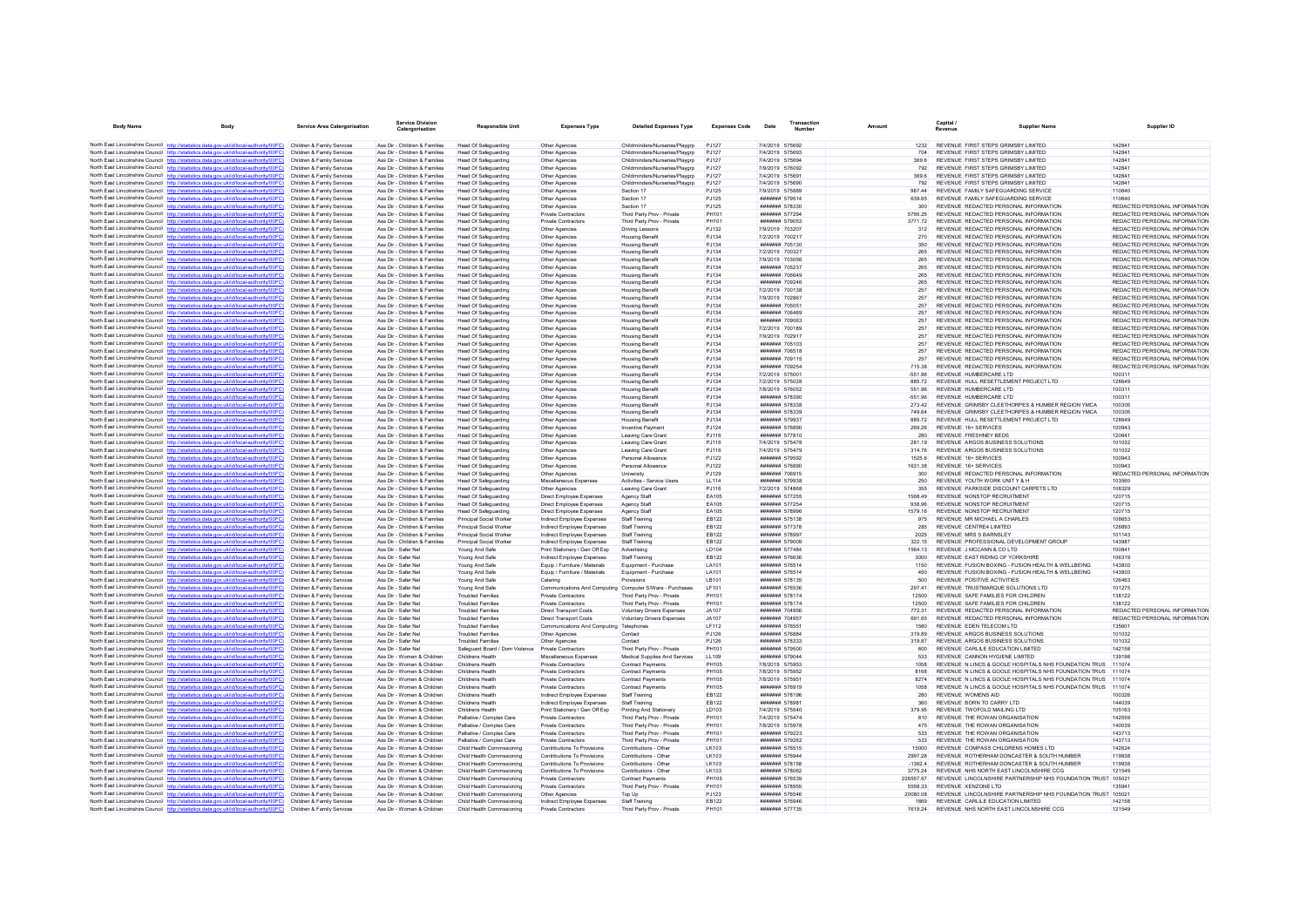| <b>Body Name</b>                           | Body                                                                                                                                                                             | <b>Service Area Catergorisation</b>                      | <b>Service Division</b><br>Catergorisation                     | Responsible Unit                                           | <b>Expenses Type</b>                                         | <b>Detailed Expenses Type</b>                            | <b>Expenses Code</b>   | Date                                    | <b>Transaction</b><br>Number | Amount              | Capital /<br>Revenue                                                           | <b>Supplier Name</b>                                         | Supplier ID                                                    |
|--------------------------------------------|----------------------------------------------------------------------------------------------------------------------------------------------------------------------------------|----------------------------------------------------------|----------------------------------------------------------------|------------------------------------------------------------|--------------------------------------------------------------|----------------------------------------------------------|------------------------|-----------------------------------------|------------------------------|---------------------|--------------------------------------------------------------------------------|--------------------------------------------------------------|----------------------------------------------------------------|
|                                            | North East Lincolnshire Council http://statistics.data.gov.uk/id/local-authority/00FC) Children & Family Services                                                                |                                                          | Ass Dir - Children & Families                                  | Head Of Safeguarding                                       | Other Agencies                                               | Childminders/Nurseries/Playarp                           | P.1127                 | 7/4/2019 575692                         |                              | 1232                | REVENUE FIRST STEPS GRIMSBY LIMITED                                            |                                                              | 142841                                                         |
|                                            | North East Lincolnshire Council http://statistics.data.gov.uk/id/local-authority/00FC)                                                                                           | Children & Family Services                               | Ass Dir - Children & Families                                  | Head Of Safeguarding                                       | Other Agencies                                               | Childminders/Nurseries/Playgrp                           | P.1127                 | 7/4/2019 575693                         |                              | 704                 | REVENUE FIRST STEPS GRIMSBY LIMITED                                            |                                                              | 142841                                                         |
|                                            | North East Lincolnshire Council http://statistics.data.gov.uk/id/local-authority/00FC)                                                                                           | Children & Family Services                               | Ass Dir - Children & Families                                  | Head Of Safeguarding                                       | Other Agencies                                               | Childminders/Nurseries/Playgrp                           | <b>PJ127</b>           | 7/4/2019 575694                         |                              | 369.6               | REVENUE FIRST STEPS GRIMSBY LIMITED                                            |                                                              | 142841                                                         |
|                                            | North East Lincolnshire Council http://statistics.data.gov.uk/id/local-authority/00FC)                                                                                           | Children & Family Services                               | Ass Dir - Children & Families                                  | Head Of Safeguarding                                       | Other Agencies                                               | Childminders/Nurseries/Playarp                           | PJ127                  | 7/9/2019 576092                         |                              | 792                 | REVENUE FIRST STEPS GRIMSBY LIMITED                                            |                                                              | 142841                                                         |
|                                            | North East Lincolnshire Council http://statistics.data.gov.uk/id/local-authority/00FC)                                                                                           | Children & Family Services                               | Ass Dir - Children & Families                                  | Head Of Safeguarding                                       | Other Agencies                                               | Childminders/Nurseries/Playgrp                           | P.1127                 | 7/4/2019 575691                         |                              | 369.6               | REVENUE FIRST STEPS GRIMSBY LIMITED                                            |                                                              | 142841                                                         |
|                                            | North East Lincolnshire Council http://statistics.data.gov.uk/id/local-authority/00FC)                                                                                           | Children & Family Services                               | Ass Dir - Children & Families                                  | <b>Head Of Safeguarding</b>                                | Other Agencies                                               | Childminders/Nurseries/Playgrp                           | PJ127                  | 7/4/2019 575690                         |                              | 792                 | REVENUE FIRST STEPS GRIMSBY LIMITED                                            |                                                              | 142841                                                         |
|                                            | North East Lincolnshire Council http://statistics.data.gov.uk/id/local-authority/00FC)                                                                                           | Children & Family Services                               | Ass Dir - Children & Families                                  | Head Of Safeguarding                                       | Other Agencies                                               | Section 17                                               | <b>PJ125</b>           | 7/9/2019 575889                         |                              | 987.44              | REVENUE FAMILY SAFEGUARDING SERVICE                                            |                                                              | 110640                                                         |
|                                            | North East Lincolnshire Council http://statistics.data.gov.uk/id/local-authority/00FC)                                                                                           | Children & Family Services                               | Ass Dir - Children & Families                                  | <b>Head Of Safeguarding</b>                                | Other Agencies                                               | Section 17                                               | <b>PJ125</b>           | ####### 579514                          |                              | 639.65              | REVENUE FAMILY SAFEGUARDING SERVICE                                            |                                                              | 110640                                                         |
|                                            | North East Lincolnshire Council http://statistics.data.gov.uk/id/local-authority/00FC)                                                                                           | Children & Family Services                               | Ass Dir - Children & Families                                  | <b>Head Of Safeguarding</b>                                | Other Agencies                                               | Section 17                                               | <b>PJ125</b>           |                                         | ####### 578330               | 300                 | REVENUE REDACTED PERSONAL INFORMATION                                          |                                                              | REDACTED PERSONAL INFORMATION<br>REDACTED PERSONAL INFORMATION |
|                                            | North East Lincolnshire Council http://statistics.data.gov.uk/id/local-authority/00FC)<br>North East Lincolnshire Council http://statistics.data.gov.uk/id/local-authority/00FC) | Children & Family Services<br>Children & Family Services | Ass Dir - Children & Families<br>Ass Dir - Children & Families | <b>Head Of Safeguarding</b><br>Head Of Safeguarding        | Private Contractor<br>Private Contractors                    | Third Party Prov - Private<br>Third Party Prov - Private | PH101<br>PH101         | ####### 577294<br>####### 579053        |                              | 5795.25<br>377172   | REVENUE REDACTED PERSONAL INFORMATION<br>REVENUE REDACTED PERSONAL INFORMATION |                                                              | REDACTED PERSONAL INFORMATION                                  |
|                                            | North East Lincolnshire Council http://statistics.data.gov.uk/id/local-authority/00FC)                                                                                           | Children & Family Services                               | Ass Dir - Children & Families                                  | <b>Head Of Safeguarding</b>                                | Other Agencies                                               | <b>Driving Lessons</b>                                   | PJ132                  | 7/9/2019 703207                         |                              | 312                 | REVENUE REDACTED PERSONAL INFORMATION                                          |                                                              | REDACTED PERSONAL INFORMATION                                  |
|                                            | North East Lincolnshire Council http://statistics.data.gov.uk/id/local-authority/00FC)                                                                                           | Children & Family Services                               | Ass Dir - Children & Families                                  | Head Of Safeguarding                                       | Other Agencies                                               | <b>Housing Benefi</b>                                    | PJ134                  | 7/2/2019 700217                         |                              | 270                 | REVENUE REDACTED PERSONAL INFORMATION                                          |                                                              | REDACTED PERSONAL INFORMATION                                  |
|                                            | North East Lincolnshire Council http://statistics.data.gov.uk/id/local-authority/00FC)                                                                                           | Children & Family Services                               | Ass Dir - Children & Families                                  | Head Of Safeguarding                                       | Other Agencies                                               | <b>Housing Benefit</b>                                   | PJ134                  | ####### 705130                          |                              | 350                 | REVENUE REDACTED PERSONAL INFORMATION                                          |                                                              | REDACTED PERSONAL INFORMATION                                  |
|                                            | North East Lincolnshire Council http://statistics.data.gov.uk/id/local-authority/00FC)                                                                                           | Children & Family Services                               | Ass Dir - Children & Families                                  | <b>Head Of Safeguarding</b>                                | Other Anencies                                               | <b>Housing Benefit</b>                                   | P.1134                 | 7/2/2019 700327                         |                              | 265                 | REVENUE REDACTED PERSONAL INFORMATION                                          |                                                              | REDACTED PERSONAL INFORMATION                                  |
|                                            | North East Lincolnshire Council http://statistics.data.gov.uk/id/local-authority/00FC)                                                                                           | Children & Family Services                               | Ass Dir - Children & Families                                  | Head Of Safeguarding                                       | Other Agencies                                               | <b>Housing Benefit</b>                                   | PJ134                  | 7/9/2019 703056                         |                              | 265                 | REVENUE REDACTED PERSONAL INFORMATION                                          |                                                              | REDACTED PERSONAL INFORMATION                                  |
|                                            | North East Lincolnshire Council http://statistics.data.gov.uk/id/local-authority/00FC)                                                                                           | Children & Family Services                               | Ass Dir - Children & Families                                  | Head Of Safeguarding                                       | Other Agencies                                               | <b>Housing Benefit</b>                                   | PJ134                  | ####### 705237                          |                              | 265                 | REVENUE REDACTED PERSONAL INFORMATION                                          |                                                              | REDACTED PERSONAL INFORMATION                                  |
|                                            | North East Lincolnshire Council http://statistics.data.gov.uk/id/local-authority/00FC)                                                                                           | Children & Family Services                               | Ass Dir - Children & Families                                  | Head Of Safeguarding                                       | Other Agencies                                               | <b>Housing Benefit</b>                                   | PJ134                  | ####### 706649                          |                              | 265                 | REVENUE REDACTED PERSONAL INFORMATION                                          |                                                              | REDACTED PERSONAL INFORMATION                                  |
|                                            | North East Lincolnshire Council http://statistics.data.gov.uk/id/local-authority/00FC)                                                                                           | Children & Family Services                               | Ass Dir - Children & Families                                  | <b>Head Of Safeguarding</b>                                | Other Agencies                                               | <b>Housing Benefit</b>                                   | P.1134                 | <b>НЕВВЕН 709246</b>                    |                              | 265                 | REVENUE REDACTED PERSONAL INFORMATION                                          |                                                              | REDACTED PERSONAL INFORMATION                                  |
|                                            | North East Lincolnshire Council http://statistics.data.gov.uk/id/local-authority/00FC)                                                                                           | Children & Family Services                               | Ass Dir - Children & Families                                  | <b>Head Of Safeguarding</b>                                | Other Agencies                                               | <b>Housing Benefi</b>                                    | PJ134                  | 7/2/2019 700138                         |                              | 257                 | REVENUE REDACTED PERSONAL INFORMATION                                          |                                                              | REDACTED PERSONAL INFORMATION                                  |
|                                            | North East Lincolnshire Council http://statistics.data.gov.uk/id/local-authority/00FC)<br>North East Lincolnshire Council http://statistics.data.gov.uk/id/local-authority/00FC) | Children & Family Services<br>Children & Family Services | Ass Dir - Children & Families<br>Ass Dir - Children & Families | Head Of Safeguarding                                       | Other Agencies                                               | <b>Housing Benefit</b>                                   | PJ134<br>PJ134         | 7/9/2019 702867<br>####### 705051       |                              | 257<br>257          | REVENUE REDACTED PERSONAL INFORMATION<br>REVENUE REDACTED PERSONAL INFORMATION |                                                              | REDACTED PERSONAL INFORMATION<br>REDACTED PERSONAL INFORMATION |
|                                            | North East Lincolnshire Council http://statistics.data.gov.uk/id/local-authority/00FC)                                                                                           | Children & Family Services                               | Ass Dir - Children & Families                                  | Head Of Safeguarding<br><b>Head Of Safeguarding</b>        | Other Agencies<br>Other Agencies                             | <b>Housing Benefit</b><br><b>Housing Benefit</b>         | PJ134                  | ####### 706469                          |                              | 257                 | REVENUE REDACTED PERSONAL INFORMATION                                          |                                                              | REDACTED PERSONAL INFORMATION                                  |
|                                            | North East Lincolnshire Council http://statistics.data.gov.uk/id/local-authority/00FC)                                                                                           | Children & Family Services                               | Ass Dir - Children & Families                                  | <b>Head Of Safeguarding</b>                                | Other Agencies                                               | <b>Housing Benefit</b>                                   | PJ134                  | ####### 709063                          |                              | 257                 | REVENUE REDACTED PERSONAL INFORMATION                                          |                                                              | REDACTED PERSONAL INFORMATION                                  |
|                                            | North East Lincolnshire Council http://statistics.data.gov.uk/id/local-authority/00FC)                                                                                           | Children & Family Services                               | Ass Dir - Children & Families                                  | Head Of Safeguarding                                       | Other Agencies                                               | <b>Housing Benefit</b>                                   | P.1134                 | 7/2/2019 700189                         |                              | 257                 | REVENUE REDACTED PERSONAL INFORMATION                                          |                                                              | REDACTED PERSONAL INFORMATION                                  |
|                                            | North East Lincolnshire Council http://statistics.data.gov.uk/id/local-authority/00FC)                                                                                           | Children & Family Services                               | Ass Dir - Children & Families                                  | <b>Head Of Safeguarding</b>                                | Other Agencies                                               | <b>Housing Benefit</b>                                   | PJ134                  | 7/9/2019 702917                         |                              | 257                 | REVENUE REDACTED PERSONAL INFORMATION                                          |                                                              | REDACTED PERSONAL INFORMATION                                  |
|                                            | North East Lincolnshire Council http://statistics.data.gov.uk/id/local-authority/00FC)                                                                                           | Children & Family Services                               | Ass Dir - Children & Families                                  | Head Of Safeguarding                                       | Other Agencies                                               | <b>Housing Benefi</b>                                    | PJ134                  | ####### 705103                          |                              | 257                 | REVENUE REDACTED PERSONAL INFORMATION                                          |                                                              | REDACTED PERSONAL INFORMATION                                  |
|                                            | North East Lincolnshire Council http://statistics.data.gov.uk/id/local-authority/00FC)                                                                                           | Children & Family Services                               | Ass Dir - Children & Families                                  | Head Of Safeguarding                                       | Other Agencies                                               | <b>Housing Benefit</b>                                   | P.1134                 | ####### 706518                          |                              | 257                 | REVENUE REDACTED PERSONAL INFORMATION                                          |                                                              | REDACTED PERSONAL INFORMATION                                  |
|                                            | North East Lincolnshire Council http://statistics.data.gov.uk/id/local-authority/00FC)                                                                                           | Children & Family Services                               | Ass Dir - Children & Families                                  | <b>Head Of Safeguarding</b>                                | Other Agencies                                               | <b>Housing Benefit</b>                                   | PJ134                  | ####### 709115                          |                              | 257                 | REVENUE REDACTED PERSONAL INFORMATION                                          |                                                              | REDACTED PERSONAL INFORMATION                                  |
|                                            | North East Lincolnshire Council http://statistics.data.gov.uk/id/local-authority/00FC)                                                                                           | Children & Family Services                               | Ass Dir - Children & Families                                  | <b>Head Of Safeguarding</b>                                | Other Agencies                                               | <b>Housing Benefit</b>                                   | PJ134                  | ####### 709254                          |                              | 715.38              | REVENUE REDACTED PERSONAL INFORMATION                                          |                                                              | REDACTED PERSONAL INFORMATION                                  |
|                                            | North East Lincolnshire Council http://statistics.data.gov.uk/id/local-authority/00FC)                                                                                           | Children & Family Services                               | Ass Dir - Children & Families                                  | Head Of Safeguarding                                       | Other Agencies                                               | <b>Housing Benefit</b>                                   | PJ134                  | 7/2/2019 575001                         |                              | $-55196$            | REVENUE HUMBERCARE LTD                                                         |                                                              | 100311                                                         |
|                                            | North East Lincolnshire Council http://statistics.data.gov.uk/id/local-authority/00FC)                                                                                           | Children & Family Services                               | Ass Dir - Children & Families                                  | <b>Head Of Safeguarding</b>                                | Other Agencies                                               | <b>Housing Benefit</b>                                   | P.1134                 | 7/2/2019 575028                         |                              | 88572               | REVENUE HULL RESETTLEMENT PROJECT LTD.                                         |                                                              | 128649                                                         |
|                                            | North East Lincolnshire Council http://statistics.data.gov.uk/id/local-authority/00FC)<br>North East Lincolnshire Council http://statistics.data.gov.uk/id/local-authority/00FC) | Children & Family Services<br>Children & Family Services | Ass Dir - Children & Families<br>Ass Dir - Children & Families | <b>Head Of Safeguarding</b><br><b>Head Of Safeguarding</b> | Other Agencie<br>Other Agencies                              | <b>Housing Benefit</b><br><b>Housing Benefit</b>         | PJ134<br>PJ134         | 7/8/2019 576052<br>####### 578390       |                              | 551.96<br>$-551.96$ | REVENUE HUMBERCARE LTD<br>REVENUE HUMBERCARE LTD                               |                                                              | 100311<br>100311                                               |
|                                            | North East Lincolnshire Council http://statistics.data.gov.uk/id/local-authority/00FC)                                                                                           | Children & Family Services                               | Ass Dir - Children & Families                                  | <b>Head Of Safeguarding</b>                                | Other Agencies                                               | <b>Housing Benefit</b>                                   | PJ134                  | ####### 578338                          |                              | 273.42              |                                                                                | REVENUE GRIMSBY CLEETHORPES & HUMBER REGION YMCA             | 100305                                                         |
|                                            | North East Lincolnshire Council http://statistics.data.gov.uk/id/local-authority/00FC)                                                                                           | Children & Family Services                               | Ass Dir - Children & Families                                  | <b>Head Of Safeguarding</b>                                | Other Agencies                                               | <b>Housing Benefit</b>                                   | PJ134                  | ####### 578339                          |                              | 749.64              |                                                                                | REVENUE GRIMSBY CLEETHORPES & HUMBER REGION YMCA             | 100305                                                         |
| North East Lincolnshire Council http://st  | atistics data nov uk/id/local-authority/00EC                                                                                                                                     | Children & Family Services                               | Ass Dir - Children & Families                                  | Head Of Safeguarding                                       | Other Agencies                                               | <b>Housing Benefit</b>                                   | PJ134                  | ####### 579937                          |                              | 88572               | REVENUE HULL RESETTLEMENT PROJECT LTD.                                         |                                                              | 128649                                                         |
|                                            | North East Lincolnshire Council http://statistics.data.gov.uk/id/local-authority/00FC)                                                                                           | Children & Family Services                               | Ass Dir - Children & Families                                  | Head Of Safeguarding                                       | Other Anencies                                               | <b>Incentive Payment</b>                                 | P.1124                 | ####### 576890                          |                              | 269.26              | REVENUE 16+ SERVICES                                                           |                                                              | 100943                                                         |
|                                            | North East Lincolnshire Council http://statistics.data.gov.uk/id/local-authority/00FC)                                                                                           | Children & Family Services                               | Ass Dir - Children & Families                                  | Head Of Safeguarding                                       | Other Agencies                                               | Leaving Care Grant                                       | PJ116                  | ####### 577810                          |                              | 280                 | REVENUE FRESHNEY BEDS                                                          |                                                              | 120641                                                         |
|                                            | North East Lincolnshire Council http://statistics.data.gov.uk/id/local-authority/00FC)                                                                                           | Children & Family Services                               | Ass Dir - Children & Families                                  | Head Of Safeguarding                                       | Other Agencies                                               | Leaving Care Gran                                        | PJ116                  | 7/4/2019 575478                         |                              | 281.19              | REVENUE ARGOS BUSINESS SOLUTIONS                                               |                                                              | 101032                                                         |
|                                            | North East Lincolnshire Council http://statistics.data.gov.uk/id/local-authority/00FC)                                                                                           | Children & Family Services                               | Ass Dir - Children & Families                                  | Head Of Safeguarding                                       | Other Agencies                                               | Leaving Care Grant                                       | PJ116                  | 7/4/2019 575479                         |                              | 314 76              | REVENUE ARGOS BUSINESS SOLUTIONS                                               |                                                              | 101032                                                         |
|                                            | North East Lincolnshire Council http://statistics.data.gov.uk/id/local-authority/00FC)                                                                                           | Children & Family Services                               | Ass Dir - Children & Families                                  | <b>Head Of Safeguarding</b>                                | Other Agencies                                               | Personal Allowance                                       | P.1122                 | <b>#######</b> 579592                   |                              | 1525.6              | REVENUE 16+ SERVICES                                                           |                                                              | 100943                                                         |
|                                            | North East Lincolnshire Council http://statistics.data.gov.uk/id/local-authority/00FC)                                                                                           | Children & Family Services                               | Ass Dir - Children & Families                                  | <b>Head Of Safeguarding</b>                                | Other Agencies                                               | Personal Allowance                                       | <b>PJ122</b>           | ####### 576890                          |                              | 1631.38             | REVENUE 16+ SERVICES                                                           |                                                              | 100943                                                         |
|                                            | North East Lincolnshire Council http://statistics.data.gov.uk/id/local-authority/00FC)<br>North East Lincolnshire Council http://statistics.data.gov.uk/id/local-authority/00FC) | Children & Family Services<br>Children & Family Services | Ass Dir - Children & Families<br>Ass Dir - Children & Families | Head Of Safeguarding<br>Head Of Safeguarding               | Other Agencies<br>Miscellaneous Expenses                     | University<br>Activities - Service Users                 | PJ129<br><b>LL114</b>  | <b>#######</b> 579938                   | ####### 706915               | 300<br>250          | REVENUE REDACTED PERSONAL INFORMATION<br>REVENUE YOUTH WORK UNIT Y & H         |                                                              | REDACTED PERSONAL INFORMATION<br>103560                        |
|                                            | North East Lincolnshire Council http://statistics.data.gov.uk/id/local-authority/00FC)                                                                                           | Children & Family Services                               | Ass Dir - Children & Families                                  | <b>Head Of Safeguarding</b>                                | Other Agencies                                               | Leaving Care Gran                                        | PJ116                  | 7/2/2019 574868                         |                              | 355                 | REVENUE PARKSIDE DISCOUNT CARPETS LTD                                          |                                                              | 108329                                                         |
|                                            | North East Lincolnshire Council http://statistics.data.gov.uk/id/local-authority/00FC)                                                                                           | Children & Family Services                               | Ass Dir - Children & Families                                  | Head Of Safeguarding                                       | Direct Employee Expenses                                     | Agency Staf                                              | EA105                  | ####### 577255                          |                              | 1568.49             | REVENUE NONSTOP RECRUITMENT                                                    |                                                              | 120715                                                         |
|                                            | North East Lincolnshire Council http://statistics.data.gov.uk/id/local-authority/00FC)                                                                                           | Children & Family Services                               | Ass Dir - Children & Families                                  | <b>Head Of Safeguarding</b>                                | Direct Employee Expenses                                     | Agency Staf                                              | EA105                  | ####### 577254                          |                              | 938.96              | REVENUE NONSTOP RECRUITMENT                                                    |                                                              | 120715                                                         |
|                                            | North East Lincolnshire Council http://statistics.data.gov.uk/id/local-authority/00FC)                                                                                           | Children & Family Services                               | Ass Dir - Children & Families                                  | <b>Head Of Safeguarding</b>                                | Direct Employee Expenses                                     | Agency Staff                                             | EA105                  | <b>#######</b> 578996                   |                              | 1579 16             | REVENUE NONSTOP RECRUITMENT                                                    |                                                              | 120715                                                         |
|                                            | North East Lincolnshire Council http://statistics.data.gov.uk/id/local-authority/00FC)                                                                                           | Children & Family Services                               | Ass Dir - Children & Families                                  | Principal Social Worker                                    | Indirect Employee Expenses                                   | Staff Training                                           | <b>EB122</b>           | ####### 575138                          |                              | 975                 | REVENUE MR MICHAEL A CHARLES                                                   |                                                              | 108653                                                         |
|                                            | North East Lincolnshire Council http://statistics.data.gov.uk/id/local-authority/00FC)                                                                                           | Children & Family Services                               | Ass Dir - Children & Families                                  | Principal Social Worker                                    | Indirect Employee Expenses                                   | Staff Training                                           | EB122                  | ####### 577378                          |                              | 285                 | REVENUE CENTRE4 LIMITED                                                        |                                                              | 126893                                                         |
|                                            | North East Lincolnshire Council http://statistics.data.gov.uk/id/local-authority/00FC)                                                                                           | Children & Family Services                               | Ass Dir - Children & Families                                  | Principal Social Worker                                    | Indirect Employee Expenses                                   | Staff Training                                           | <b>EB122</b>           | ####### 578997                          |                              | 2025                | <b>REVENUE MRS S BARNSLEY</b>                                                  |                                                              | 101143                                                         |
|                                            | North East Lincolnshire Council http://statistics.data.gov.uk/id/local-authority/00FC)                                                                                           | Children & Family Services                               | Ass Dir - Children & Families                                  | Principal Social Worker                                    | Indirect Employee Expenses                                   | Staff Training                                           | <b>EB122</b>           | ####### 579009                          |                              | 322.15              | REVENUE PROFESSIONAL DEVELOPMENT GROUP                                         |                                                              | 143987                                                         |
|                                            | North East Lincolnshire Council http://statistics.data.gov.uk/id/local-authority/00FC)<br>North East Lincolnshire Council http://statistics.data.gov.uk/id/local-authority/00FC) | Children & Family Services<br>Children & Family Services | Ass Dir - Safer Nel<br>Ass Dir - Safer Nel                     | Young And Safe<br>Young And Safe                           | Print Stationery / Gen Off Exp<br>Indirect Employee Expenses | Advertising<br>Staff Training                            | LD104<br><b>FR122</b>  | ####### 577484<br><b>####### 576636</b> |                              | 1564 13<br>3000     | REVENUE J MCCANN & CO LTD<br>REVENUE FAST RIDING OF YORKSHIRE                  |                                                              | 100841<br>106319                                               |
|                                            | North East Lincolnshire Council http://statistics.data.gov.uk/id/local-authority/00FC)                                                                                           | Children & Family Services                               | Ass Dir - Safer Nel                                            | Young And Safe                                             | Equip / Furniture / Materials                                | Equipment - Purchase                                     | LA101                  | ####### 576514                          |                              | 1150                |                                                                                | REVENUE FUSION BOXING - FUSION HEALTH & WELLBEING            | 143803                                                         |
|                                            | North East Lincolnshire Council http://statistics.data.gov.uk/id/local-authority/00FC)                                                                                           | Children & Family Services                               | Ass Dir - Safer Nel                                            | Young And Safe                                             | Equip / Furniture / Materials                                | Equipment - Purchase                                     | LA101                  | ####### 576514                          |                              | 450                 |                                                                                | REVENUE FUSION BOXING - FUSION HEALTH & WELLBEING            | 143803                                                         |
|                                            | North East Lincolnshire Council http://statistics.data.gov.uk/id/local-authority/00FC)                                                                                           | Children & Family Services                               | Ass Dir - Safer Nel                                            | Young And Safe                                             | Catering                                                     | Provisions                                               | LB101                  |                                         | ####### 578135               | 500                 | REVENUE POSITIVE ACTIVITIES                                                    |                                                              | 126463                                                         |
|                                            | North East Lincolnshire Council http://statistics.data.gov.uk/id/local-authority/00FC)                                                                                           | Children & Family Services                               | Ass Dir - Safer Nel                                            | Young And Safe                                             | Communications And Computing Computer S/Ware - Purchases     |                                                          | I F101                 | <b>####### 576536</b>                   |                              | 29741               | REVENUE TRUSTMARQUE SOLUTIONS LTD                                              |                                                              | 101275                                                         |
|                                            | North East Lincolnshire Council http://statistics.data.gov.uk/id/local-authority/00FC)                                                                                           | Children & Family Services                               | Ass Dir - Safer Nel                                            | <b>Troubled Familier</b>                                   | Private Contractors                                          | Third Party Prov - Private                               | PH101                  | ####### 578174                          |                              | 12500               | REVENUE SAFE FAMILIES FOR CHILDREN                                             |                                                              | 138122                                                         |
|                                            | North East Lincolnshire Council http://statistics.data.gov.uk/id/local-authority/00FC)                                                                                           | Children & Family Services                               | Ass Dir - Safer Nel                                            | <b>Troubled Families</b>                                   | Private Contractors                                          | Third Party Prov - Private                               | PH101                  |                                         | ####### 578174               | 12500               | REVENUE SAFE FAMILIES FOR CHILDREN                                             |                                                              | 138122                                                         |
|                                            | North East Lincolnshire Council http://statistics.data.gov.uk/id/local-authority/00FC)                                                                                           | Children & Family Services                               | Ass Dir - Safer Nel                                            | <b>Troubled Families</b>                                   | <b>Direct Transport Costs</b>                                | Voluntary Drivers Expenses                               | <b>JA107</b>           | <b>#######</b> 704956                   |                              | 772.31              | REVENUE REDACTED PERSONAL INFORMATION                                          |                                                              | REDACTED PERSONAL INFORMATION                                  |
|                                            | North East Lincolnshire Council http://statistics.data.gov.uk/id/local-authority/00FC)                                                                                           | Children & Family Services                               | Ass Dir - Safer Nel                                            | <b>Troubled Familier</b>                                   | <b>Direct Transport Costs</b>                                | Voluntary Drivers Expenser                               | JA107                  | ####### 704957                          |                              | 691.65              | REVENUE REDACTED PERSONAL INFORMATION                                          |                                                              | REDACTED PERSONAL INFORMATION                                  |
|                                            | North East Lincolnshire Council http://statistics.data.gov.uk/id/local-authority/00FC)                                                                                           | Children & Family Services                               | Ass Dir - Safer Nel                                            | <b>Troubled Families</b>                                   | Communications And Computing Telephones                      |                                                          | I F112                 | ####### 576551<br>####### 576884        |                              | 1580                | REVENUE EDEN TELECOM LTD                                                       |                                                              | 135601<br>101032                                               |
|                                            | North East Lincolnshire Council http://statistics.data.gov.uk/id/local-authority/00FC)<br>North East Lincolnshire Council http://statistics.data.gov.uk/id/local-authority/00FC) | Children & Family Services<br>Children & Family Services | Ass Dir - Safer Nel<br>Ass Dir - Safer Nel                     | <b>Troubled Families</b><br><b>Troubled Families</b>       | Other Anencies<br>Other Agencies                             | Contact<br>Contact                                       | P.1126<br><b>PJ126</b> | ####### 578333                          |                              | 31989<br>319.87     | REVENUE ARGOS BUSINESS SOLUTIONS<br>REVENUE ARGOS BUSINESS SOLUTIONS           |                                                              | 101032                                                         |
|                                            | North East Lincolnshire Council http://statistics.data.gov.uk/id/local-authority/00FC)                                                                                           | Children & Family Services                               | Ass Dir - Safer Nel                                            | Safeguard Board / Dom Violence Private Contractors         |                                                              | Third Party Prov - Private                               | PH101                  | ####### 579500                          |                              | 600                 | REVENUE CARLILE EDUCATION LIMITED                                              |                                                              | 142158                                                         |
|                                            | North East Lincolnshire Council http://statistics.data.gov.uk/id/local-authority/00FC)                                                                                           | Children & Family Services                               | Ass Dir - Women & Children                                     | Childrens Health                                           | Miscellaneous Expenses                                       | Medical Supplies And Services                            | 11109                  | <b>#######</b> 579044                   |                              | 533                 | REVENUE CANNON HYGIENE LIMITED                                                 |                                                              | 139198                                                         |
|                                            | North East Lincolnshire Council http://statistics.data.gov.uk/id/local-authority/00FC)                                                                                           | Children & Family Services                               | Ass Dir - Women & Children                                     | Childrens Health                                           | Private Contractors                                          | <b>Contract Payments</b>                                 | PH105                  | 7/8/2019 575953                         |                              | 1058                |                                                                                | REVENUE IN LINCS & GOOLE HOSPITALS NHS FOUNDATION TRUS       | 111074                                                         |
|                                            | North East Lincolnshire Council http://statistics.data.gov.uk/id/local-authority/00FC)                                                                                           | Children & Family Services                               | Ass Dir - Women & Children                                     | Childrens Health                                           | Private Contractors                                          | Contract Payments                                        | PH105                  | 7/8/2019 575952                         |                              |                     |                                                                                | REVENUE IN LINCS & GOOLE HOSPITALS NHS FOUNDATION TRUS       | 111074                                                         |
|                                            | North East Lincolnshire Council http://statistics.data.gov.uk/id/local-authority/00FC)                                                                                           | Children & Family Services                               | Ass Dir - Women & Children                                     | Childrens Health                                           | Private Contractors                                          | <b>Contract Payments</b>                                 | <b>PH105</b>           | 7/8/2019 575951                         |                              | 8274                |                                                                                | REVENUE N LINCS & GOOLE HOSPITALS NHS FOUNDATION TRUS        | 111074                                                         |
|                                            | North East Lincolnshire Council http://statistics.data.gov.uk/id/local-authority/00FC)                                                                                           | Children & Family Services                               | Ass Dir - Women & Children                                     | Childrens Health                                           | Private Contractors                                          | <b>Contract Payments</b>                                 | PH105                  | <b>#######</b> 576919                   |                              | 1058                |                                                                                | REVENUE N LINCS & GOOLE HOSPITALS NHS FOUNDATION TRUS 111074 |                                                                |
|                                            | North East Lincolnshire Council http://statistics.data.gov.uk/id/local-authority/00FC)                                                                                           | Children & Family Services                               | Ass Dir - Women & Children                                     | Childrens Health                                           | Indirect Employee Expenses                                   | <b>Staff Training</b>                                    | EB122                  | ####### 578196                          |                              | 280                 | REVENUE WOMENS AID                                                             |                                                              | 100326                                                         |
|                                            | North East Lincolnshire Council http://statistics.data.gov.uk/id/local-authority/00FC)                                                                                           | Children & Family Services                               | Ass Dir - Women & Children                                     | Childrens Health                                           | Indirect Employee Expenses                                   | Staff Training                                           | <b>EB122</b>           | ####### 578981                          |                              | 360                 | REVENUE BORN TO CARRY LTD                                                      |                                                              | 144039                                                         |
|                                            | North East Lincolnshire Council http://statistics.data.gov.uk/id/local-authority/00FC)                                                                                           | Children & Family Services                               | Ass Dir - Women & Children                                     | Childrens Health                                           | Print Stationery / Gen Off Exp                               | Printing And Stationery                                  | LD103<br>PH101         | 7/4/2019 575540<br>7/4/2019 575474      |                              | 379.95<br>810       | REVENUE TWOFOLD MAILING LTD                                                    |                                                              | 105163<br>142559                                               |
|                                            | North East Lincolnshire Council http://statistics.data.gov.uk/id/local-authority/00FC)<br>North East Lincolnshire Council http://statistics.data.gov.uk/id/local-authority/00FC) | Children & Family Services<br>Children & Family Services | Ass Dir - Women & Children                                     | Palliative / Complex Care                                  | Private Contractors                                          | Third Party Prov - Private                               | <b>PH101</b>           | 7/8/2019 575978                         |                              | 475                 | REVENUE THE ROWAN ORGANISATION                                                 |                                                              |                                                                |
|                                            | North East Lincolnshire Council http://statistics.data.gov.uk/id/local-authority/00FC)                                                                                           | Children & Family Services                               | Ass Dir - Women & Children<br>Ass Dir - Women & Children       | Palliative / Complex Care<br>Palliative / Complex Care     | Private Contractors<br>Private Contractors                   | Third Party Prov - Private<br>Third Party Prov - Private | PH101                  |                                         | <b>НИННИН 579223</b>         | 533                 | REVENUE THE ROWAN ORGANISATION<br>REVENUE THE ROWAN ORGANISATION               |                                                              | 140039<br>143713                                               |
|                                            | North East Lincolnshire Council http://statistics.data.gov.uk/id/local-authority/00FC)                                                                                           | Children & Family Services                               | Ass Dir - Women & Children                                     | Palliative / Complex Care                                  | Private Contractors                                          | Third Party Prov - Private                               | PH101                  | ####### 579262                          |                              | 533                 | REVENUE THE ROWAN ORGANISATION                                                 |                                                              | 143713                                                         |
|                                            | North East Lincolnshire Council http://statistics.data.gov.uk/id/local-authority/00FC)                                                                                           | Children & Family Services                               | Ass Dir - Women & Children                                     | Child Health Commssioning                                  | Contributions To Provisions                                  | Contributions - Other                                    | LK103                  | ####### 576515                          |                              | 15000               | REVENUE COMPASS CHILDRENS HOMES LTD                                            |                                                              | 142624                                                         |
|                                            | North East Lincolnshire Council http://statistics.data.gov.uk/id/local-authority/00FC)                                                                                           | Children & Family Services                               | Ass Dir - Women & Children                                     | Child Health Commssioning                                  | Contributions To Provisions                                  | Contributions - Other                                    | LK103                  | ####### 576944                          |                              | 2997.28             |                                                                                | REVENUE ROTHERHAM DONCASTER & SOUTH HUMBER                   | 119938                                                         |
|                                            | North East Lincolnshire Council http://statistics.data.gov.uk/id/local-authority/00FC)                                                                                           | Children & Family Services                               | Ass Dir - Women & Children                                     | Child Health Commssioning                                  | Contributions To Provisions                                  | Contributions - Other                                    | 1 K103                 | <b>#######</b> 578158                   |                              | $-13624$            |                                                                                | REVENUE, ROTHERHAM DONCASTER & SOUTH HUMBER                  | 119938                                                         |
|                                            | North East Lincolnshire Council http://statistics.data.gov.uk/id/local-authority/00FC)                                                                                           | Children & Family Services                               | Ass Dir - Women & Children                                     | Child Health Commssioning                                  | Contributions To Provisions                                  | Contributions - Other                                    | LK103                  | ####### 578062                          |                              | 3775.24             | REVENUE NHS NORTH EAST LINCOLNSHIRE CCG                                        |                                                              | 121549                                                         |
|                                            | North East Lincolnshire Council http://statistics.data.gov.uk/id/local-authority/00FC)                                                                                           | Children & Family Services                               | Ass Dir - Women & Children                                     | Child Health Commssioning                                  | Private Contractors                                          | Contract Payments                                        | <b>PH105</b>           | ####### 576539                          |                              | 226557.67           |                                                                                | REVENUE LINCOLNSHIRE PARTNERSHIP NHS FOUNDATION TRUST        | 105021                                                         |
|                                            | North East Lincolnshire Council http://statistics.data.gov.uk/id/local-authority/00EC)                                                                                           | Children & Family Services                               | Ass Dir - Women & Children                                     | Child Health Commssioning                                  | Private Contractors                                          | Third Party Prov - Private                               | PH101                  | <b>#######</b> 578955                   |                              | 5558.33             | REVENUE XENZONE LTD                                                            |                                                              | 135941                                                         |
|                                            | North East Lincolnshire Council http://statistics.data.gov.uk/id/local-authority/00FC)                                                                                           | Children & Family Services                               | Ass Dir - Women & Children                                     | Child Health Commssioning                                  | Other Agencies                                               | Top Up                                                   | PJ123                  | ####### 576546                          |                              | 20080.08            |                                                                                | REVENUE LINCOLNSHIRE PARTNERSHIP NHS FOUNDATION TRUST        | 105021                                                         |
| North East Lincolnshire Council http://sta | North East Lincolnshire Council http://statistics.data.gov.uk/id/local-authority/00FC)                                                                                           | Children & Family Services                               | Ass Dir - Women & Children                                     | Child Health Commssioning                                  | Indirect Employee Expenses                                   | Staff Training<br>Third Party Prov - Private             | <b>EB122</b>           | ####### 576946                          |                              | 1869<br>7619.24     | REVENUE CARLILE EDUCATION LIMITED<br>REVENUE NHS NORTH EAST LINCOLNSHIRE CCG   |                                                              | 142158<br>121549                                               |
|                                            | istics.data.gov.uk/id/local-authority/00FC                                                                                                                                       | Children & Family Services                               | Ass Dir - Women & Children                                     | Child Health Commssioning                                  | <b>Private Contractors</b>                                   |                                                          | <b>PH101</b>           | ####### 577735                          |                              |                     |                                                                                |                                                              |                                                                |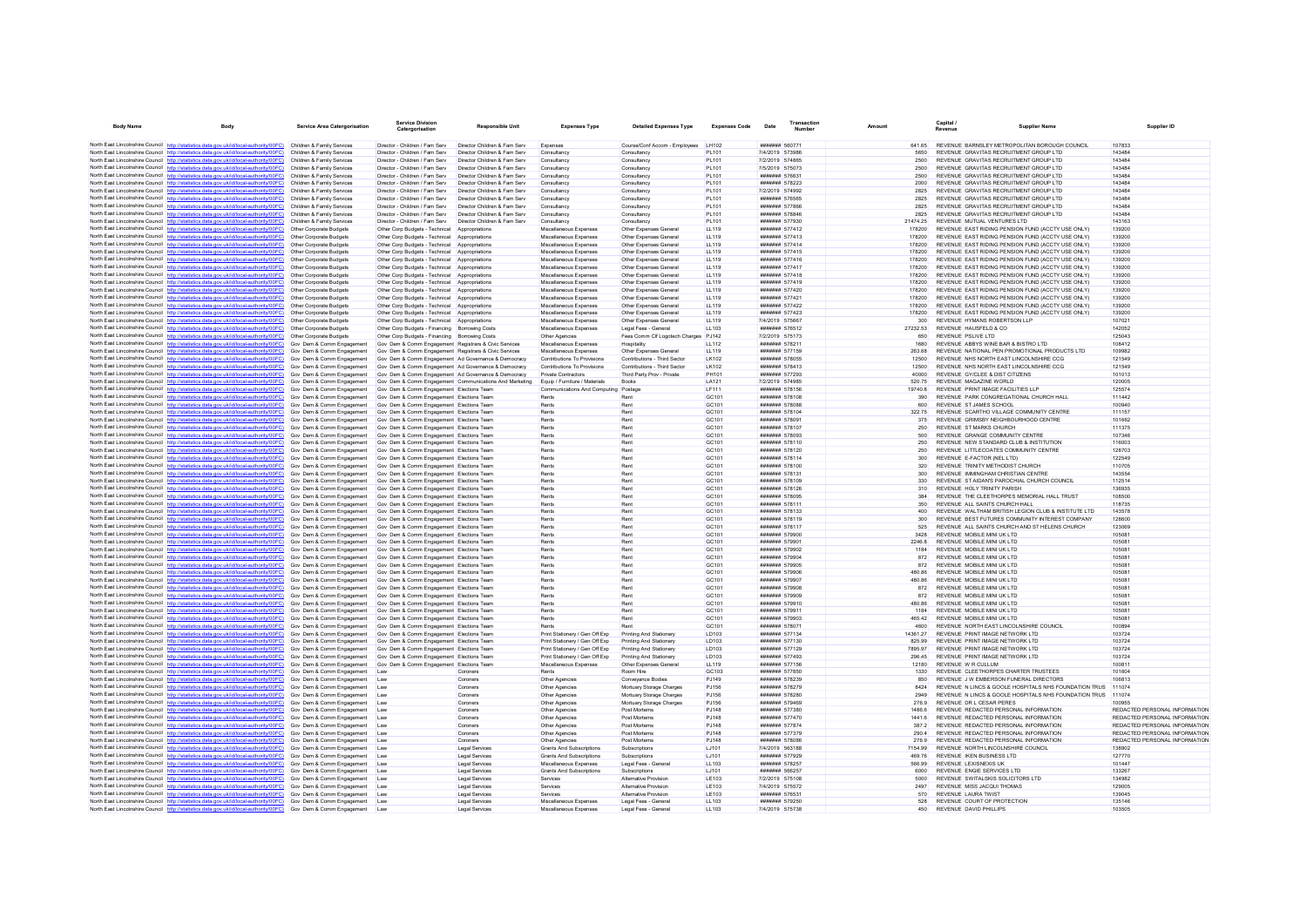| <b>Body Name</b> |                                                                                                                                                                                                                                      | <b>Service Area Catergorisation</b>                      | <b>Service Division</b><br>Catergorisation                                                       | Responsible Unit                                             | <b>Expenses Type</b>                               | <b>Detailed Expenses Type</b>                                | <b>Expenses Code</b>              | Date                                          | Transactio<br>Number |                  | Capital.<br>Revenue                                                                                    | <b>Supplier Name</b>                                  | Supplier ID                                                    |
|------------------|--------------------------------------------------------------------------------------------------------------------------------------------------------------------------------------------------------------------------------------|----------------------------------------------------------|--------------------------------------------------------------------------------------------------|--------------------------------------------------------------|----------------------------------------------------|--------------------------------------------------------------|-----------------------------------|-----------------------------------------------|----------------------|------------------|--------------------------------------------------------------------------------------------------------|-------------------------------------------------------|----------------------------------------------------------------|
|                  | North East Lincolnshire Council http://statistics.data.gov.uk/id/local-authority/00FC) Children & Family Services                                                                                                                    |                                                          | Director - Children / Fam Serv                                                                   | Director Children & Fam Serv                                 |                                                    | Course/Conf Accom - Employees LH102                          |                                   | ####### 560771                                |                      | 641.65           | REVENUE BARNSLEY METROPOLITAN BOROUGH COUNCIL                                                          |                                                       | 107833                                                         |
|                  | North East Lincolnshire Council http://statistics.data.gov.uk/id/local-authority/00FC)                                                                                                                                               | Children & Family Services                               | Director - Children / Fam Serv                                                                   | Director Children & Fam Serv                                 | Expenses<br>Consultancy                            | Consultancy                                                  | PI 101                            | 7/4/2019 573986                               |                      | 5650             | REVENUE GRAVITAS RECRUITMENT GROUP LTD                                                                 |                                                       | 143484                                                         |
|                  | North East Lincolnshire Council http://statistics.data.gov.uk/id/local-authority/00FC)                                                                                                                                               | Children & Family Services                               | Director - Children / Fam Serv                                                                   | Director Children & Fam Serv                                 | Consultanc                                         | Consultanc                                                   | PL101                             | 7/2/2019 574865                               |                      | 2500             | REVENUE GRAVITAS RECRUITMENT GROUP LTD                                                                 |                                                       | 143484                                                         |
|                  | North East Lincolnshire Council http://statistics.data.gov.uk/id/local-authority/00FC)                                                                                                                                               | Children & Family Services                               | Director - Children / Fam Serv                                                                   | Director Children & Fam Serv                                 | Consultancy                                        | Consultancy                                                  | PL101                             | 7/5/2019 575073                               |                      | 2500             | REVENUE GRAVITAS RECRUITMENT GROUP LTD                                                                 |                                                       | 143484                                                         |
|                  | North East Lincolnshire Council http://statistics.data.gov.uk/id/local-authority/00FC)                                                                                                                                               | Children & Family Services                               | Director - Children / Fam Serv                                                                   | Director Children & Fam Serv                                 | Consultancy                                        | Consultancy                                                  | PI 101                            | <b>#######</b> 576631                         |                      | 2500             | REVENUE GRAVITAS RECRUITMENT GROUP LTD.                                                                |                                                       | 143484                                                         |
|                  | North East Lincolnshire Council http://statistics.data.gov.uk/id/local-authority/00FC)                                                                                                                                               | Children & Family Services                               | Director - Children / Fam Serv                                                                   | Director Children & Fam Serv                                 | Consultancy                                        | Consultancy                                                  | PL101                             | ####### 578223                                |                      | 2000             | REVENUE GRAVITAS RECRUITMENT GROUP LTD                                                                 |                                                       | 143484                                                         |
|                  | North East Lincolnshire Council http://statistics.data.gov.uk/id/local-authority/00FC)                                                                                                                                               | Children & Family Services                               | Director - Children / Fam Serv                                                                   | Director Children & Fam Serv                                 | Consultancy                                        | Consultancy                                                  | PL101                             | 7/2/2019 574992                               |                      | 2825             | REVENUE GRAVITAS RECRUITMENT GROUP LTD                                                                 |                                                       | 143484                                                         |
|                  | North East Lincolnshire Council http://statistics.data.gov.uk/id/local-authority/00FC)                                                                                                                                               | Children & Family Services                               | Director - Children / Fam Serv                                                                   | Director Children & Fam Serv                                 | Consultancy                                        | Consultancy                                                  | PL101                             | ####### 576565                                |                      | 2825             | REVENUE GRAVITAS RECRUITMENT GROUP LTD                                                                 |                                                       | 143484                                                         |
|                  | North East Lincolnshire Council http://statistics.data.gov.uk/id/local-authority/00FC)<br>North East Lincolnshire Council http://statistics.data.gov.uk/id/local-authority/00FC)                                                     | Children & Family Services<br>Children & Family Services | Director - Children / Fam Serv<br>Director - Children / Fam Serv                                 | Director Children & Fam Serv<br>Director Children & Fam Serv | Consultancy<br>Consultancy                         | Consultancy<br>Consultancy                                   | PI 101<br>PL101                   | <b><i>HHHHHH 577866</i></b><br>####### 578846 |                      | 2825<br>2825     | REVENUE GRAVITAS RECRUITMENT GROUP LTD.<br>REVENUE GRAVITAS RECRUITMENT GROUP LTD                      |                                                       | 143484<br>143484                                               |
|                  | North East Lincolnshire Council http://statistics.data.gov.uk/id/local-authority/00FC)                                                                                                                                               | Children & Family Services                               | Director - Children / Fam Serv                                                                   | Director Children & Fam Serv                                 | Consultancy                                        | Consultancy                                                  | PL101                             | ####### 577930                                |                      | 21474 25         | REVENUE MUTUAL VENTURES LTD                                                                            |                                                       | 143163                                                         |
|                  | North East Lincolnshire Council http://statistics.data.gov.uk/id/local-authority/00FC)                                                                                                                                               | Other Corporate Budgets                                  | Other Corp Budgets - Technical                                                                   | Appropriations                                               | Miscellaneous Expenser                             | Other Expenses General                                       | LL119                             | ####### 577412                                |                      | 178200           | REVENUE EAST RIDING PENSION FUND (ACCTY USE ONLY)                                                      |                                                       | 139200                                                         |
|                  | North East Lincolnshire Council http://statistics.data.gov.uk/id/local-authority/00FC)                                                                                                                                               | Other Corporate Budgets                                  | Other Corp Budgets - Technical Appropriations                                                    |                                                              | Miscellaneous Expenses                             | Other Expenses General                                       | <b>LL119</b>                      | ####### 577413                                |                      |                  | REVENUE EAST RIDING PENSION FUND (ACCTY USE ONLY)                                                      |                                                       | 139200                                                         |
|                  | North East Lincolnshire Council http://statistics.data.gov.uk/id/local-authority/00FC)                                                                                                                                               | Other Corporate Budgets                                  | Other Corp Budgets - Technical                                                                   | Appropriations                                               | Miscellaneous Expenses                             | Other Expenses General                                       | LL119                             | ####### 577414                                |                      | 178200           | REVENUE EAST RIDING PENSION FUND (ACCTY USE ONLY)                                                      |                                                       | 139200                                                         |
|                  | North East Lincolnshire Council http://statistics.data.gov.uk/id/local-authority/00FC)                                                                                                                                               | Other Corporate Budgets                                  | Other Corp Budgets - Technical                                                                   | Appropriations                                               | Miscellaneous Expenses                             | Other Expenses General                                       | LL119                             | <b>#######</b> 577415                         |                      | 178200           | REVENUE FAST RIDING PENSION FUND (ACCTY USE ONLY)                                                      |                                                       | 139200                                                         |
|                  | North East Lincolnshire Council http://statistics.data.gov.uk/id/local-authority/00FC)                                                                                                                                               | Other Corporate Budgets                                  | Other Corp Budgets - Technical Appropriations                                                    |                                                              | Miscellaneous Expenses                             | Other Expenses General                                       | LL119                             | ####### 577416                                |                      | 178200           | REVENUE EAST RIDING PENSION FUND (ACCTY USE ONLY)                                                      |                                                       | 139200                                                         |
|                  | North East Lincolnshire Council http://statistics.data.gov.uk/id/local-authority/00FC)<br>North East Lincolnshire Council http://statistics.data.gov.uk/id/local-authority/00FC)                                                     | Other Corporate Budgets<br>Other Corporate Budgets       | Other Corp Budgets - Technical<br>Other Corp Budgets - Technical Appropriations                  | Appropriations                                               | Miscellaneous Expenses<br>Miscellaneous Expenses   | Other Expenses General<br>Other Expenses General             | <b>LL119</b><br>LL119             | ####### 577417<br>####### 577418              |                      | 178200<br>178200 | REVENUE EAST RIDING PENSION FUND (ACCTY USE ONLY)<br>REVENUE EAST RIDING PENSION FUND (ACCTY USE ONLY) |                                                       | 139200<br>139200                                               |
|                  | North East Lincolnshire Council http://statistics.data.gov.uk/id/local-authority/00FC)                                                                                                                                               | Other Corporate Budgets                                  | Other Corp Budgets - Technical Appropriations                                                    |                                                              | Miscellaneous Expenses                             | Other Expenses General                                       | <b>LL119</b>                      | ####### 577419                                |                      | 178200           | REVENUE EAST RIDING PENSION FUND (ACCTY USE ONLY)                                                      |                                                       | 139200                                                         |
|                  | North East Lincolnshire Council http://statistics.data.gov.uk/id/local-authority/00FC)                                                                                                                                               | Other Corporate Budgets                                  | Other Corp Budgets - Technical Appropriations                                                    |                                                              | Miscellaneous Expenses                             | Other Expenses General                                       | LL119                             | ####### 577420                                |                      | 178200           | REVENUE FAST RIDING PENSION FUND (ACCTY USE ONLY)                                                      |                                                       | 139200                                                         |
|                  | North East Lincolnshire Council http://statistics.data.gov.uk/id/local-authority/00FC)                                                                                                                                               | Other Cornorate Budgets                                  | Other Corp Budgets - Technical Appropriations                                                    |                                                              | Miscellaneous Expenses                             | Other Expenses General                                       | 11119                             | ####### 577421                                |                      | 178200           | REVENUE FAST RIDING PENSION FUND (ACCTY USE ONLY)                                                      |                                                       | 139200                                                         |
|                  | North East Lincolnshire Council http://statistics.data.gov.uk/id/local-authority/00FC)                                                                                                                                               | Other Corporate Budgets                                  | Other Corp Budgets - Technical Appropriations                                                    |                                                              | Miscellaneous Expenses                             | Other Expenses General                                       | <b>LL119</b>                      | ####### 577422                                |                      | 178200           | REVENUE EAST RIDING PENSION FUND (ACCTY USE ONLY)                                                      |                                                       | 139200                                                         |
|                  | North East Lincolnshire Council http://statistics.data.gov.uk/id/local-authority/00FC)                                                                                                                                               | Other Corporate Budgets                                  | Other Corp Budgets - Technical                                                                   | Appropriations                                               | Miscellaneous Expenses                             | Other Expenses General                                       | <b>LL119</b>                      | ####### 577423                                |                      | 178200           | REVENUE EAST RIDING PENSION FUND (ACCTY USE ONLY)                                                      |                                                       | 139200                                                         |
|                  | North East Lincolnshire Council http://statistics.data.gov.uk/id/local-authority/00FC)                                                                                                                                               | Other Corporate Budgets                                  | Other Corp Budgets - Technical Appropriations                                                    |                                                              | Miscellaneous Expenses                             | Other Expenses General                                       | <b>LL119</b>                      | 7/4/2019 575667                               |                      | 300              | REVENUE HYMANS ROBERTSON LLP                                                                           |                                                       | 107021                                                         |
|                  | North East Lincolnshire Council http://statistics.data.gov.uk/id/local-authority/00FC)<br>North East Lincolnshire Council http://statistics.data.gov.uk/id/local-authority/00FC)                                                     | Other Corporate Budgets<br>Other Corporate Budgets       | Other Corp Budgets - Financing Borrowing Costs<br>Other Corp Budgets - Financing Borrowing Costs |                                                              | Miscellaneous Expenses<br>Other Agencies           | Legal Fees - General<br>Fees Comm Clf Logotech Charges PJ142 | 11103                             | ####### 576512<br>7/2/2019 575173             |                      | 27232.53<br>650  | REVENUE HAUSEFLD & CO.<br>REVENUE PSLIVE LTD                                                           |                                                       | 142052<br>125043                                               |
|                  | North East Lincolnshire Council http://statistics.data.gov.uk/id/local-authority/00FC)                                                                                                                                               | Gov Dem & Comm Engagement                                | Gov Dem & Comm Engagement Registrars & Civic Services                                            |                                                              | Miscellaneous Expenses                             | Hospitality                                                  | <b>LL112</b>                      | ####### 578211                                |                      | 1680             | REVENUE ABBYS WINE BAR & BISTRO LTD                                                                    |                                                       | 108412                                                         |
|                  | North East Lincolnshire Council http://statistics.data.gov.uk/id/local-authority/00FC)                                                                                                                                               | Gov Dem & Comm Engagement                                | Gov Dem & Comm Engagement Registrars & Civic Services                                            |                                                              | Miscellaneous Expenses                             | Other Expenses General                                       | LL119                             | <b>###### 577159</b>                          |                      | 263.68           | REVENUE NATIONAL PEN PROMOTIONAL PRODUCTS LTD.                                                         |                                                       | 109982                                                         |
|                  | North East Lincolnshire Council http://statistics.data.gov.uk/id/local-authority/00FC)                                                                                                                                               | Gov Dem & Comm Engagement                                | Gov Dem & Comm Engagement Ad Governance & Democracy                                              |                                                              | Contributions To Provisions                        | Contributions - Third Sector                                 | LK102                             | ####### 578055                                |                      | 12500            | REVENUE NHS NORTH EAST LINCOLNSHIRE CCG                                                                |                                                       | 121549                                                         |
|                  | North East Lincolnshire Council http://statistics.data.gov.uk/id/local-authority/00FC)                                                                                                                                               | Gov Dem & Comm Engagement                                | Gov Dem & Comm Engagement Ad Governance & Democracy                                              |                                                              | Contributions To Provisions                        | Contributions - Third Sector                                 | LK102                             | ####### 578413                                |                      | 12500            | REVENUE NHS NORTH EAST LINCOLNSHIRE CCG                                                                |                                                       | 121549                                                         |
|                  | North East Lincolnshire Council http://statistics.data.gov.uk/id/local-authority/00FC)                                                                                                                                               | Gov Dem & Comm Engagement                                | Gov Dem & Comm Engagement Ad Governance & Democracy                                              |                                                              | Private Contractors                                | Third Party Prov - Private                                   | PH101                             | ####### 577293                                |                      | 40000            | REVENUE GY/CLEE & DIST CITIZENS                                                                        |                                                       | 101013                                                         |
|                  | North East Lincolnshire Council http://statistics.data.gov.uk/id/local-authority/00FC)                                                                                                                                               | Gov Dem & Comm Engagement                                |                                                                                                  | Gov Dem & Comm Engagement Communications And Marketing       | Equip / Furniture / Materials                      | <b>Books</b>                                                 | I A121                            | 7/2/2019 574985                               |                      | 520.75           | REVENUE MAGAZINE WORLD.                                                                                |                                                       | 120005                                                         |
|                  | North East Lincolnshire Council http://statistics.data.gov.uk/id/local-authority/00FC) Gov Dem & Comm Engagement<br>North East Lincolnshire Council http://statistics.data.gov.uk/id/local-authority/00FC)                           | Gov Dem & Comm Engagement                                | Gov Dem & Comm Engagement Elections Team<br>Gov Dem & Comm Engagement Elections Team             |                                                              | Communications And Computing Postage<br>Rents      | Rent                                                         | <b>LF111</b><br>GC <sub>101</sub> | ####### 578156<br>####### 578108              |                      | 19740 8<br>390   | REVENUE PRINT IMAGE FACILITIES LLP<br>REVENUE PARK CONGREGATIONAL CHURCH HALL                          |                                                       | 125574<br>111442                                               |
|                  | North East Lincolnshire Council http://statistics.data.gov.uk/id/local-authority/00FC) Gov Dem & Comm Engagement                                                                                                                     |                                                          | Gov Dem & Comm Engagement Elections Team                                                         |                                                              | Rents                                              | Rent                                                         | GC101                             | <b>#######</b> 578088                         |                      | 600              | REVENUE ST JAMES SCHOOL                                                                                |                                                       | 100940                                                         |
|                  | North East Lincolnshire Council http://statistics.data.gov.uk/id/local-authority/00FC) Gov Dem & Comm Engagement                                                                                                                     |                                                          | Gov Dem & Comm Engagement Elections Team                                                         |                                                              | Rents                                              | Rent                                                         | GC101                             | ####### 578104                                |                      | 322.75           | REVENUE SCARTHO VILLAGE COMMUNITY CENTRE                                                               |                                                       | 111157                                                         |
|                  | North East Lincolnshire Council http://statistics.data.gov.uk/id/local-authority/00FC)                                                                                                                                               | Gov Dem & Comm Engagement                                | Gov Dem & Comm Engagement Elections Team                                                         |                                                              | Rents                                              | Rent                                                         | GC101                             | ####### 578091                                |                      | 375              | REVENUE GRIMSBY NEIGHBOURHOOD CENTRE                                                                   |                                                       | 101662                                                         |
|                  | North East Lincolnshire Council http://statistics.data.gov.uk/id/local-authority/00FC)                                                                                                                                               | Gov Dem & Comm Engagement                                | Gov Dem & Comm Engagement Elections Team                                                         |                                                              | Rents                                              | Rent                                                         | GC <sub>101</sub>                 | <b>#######</b> 578107                         |                      | 250              | REVENUE ST MARKS CHURCH                                                                                |                                                       | 111375                                                         |
|                  | North East Lincolnshire Council http://statistics.data.gov.uk/id/local-authority/00FC) Gov Dem & Comm Engagement                                                                                                                     |                                                          | Gov Dem & Comm Engagement Elections Team                                                         |                                                              | Rents                                              | Ren                                                          | GC101                             | ####### 578093                                |                      | 500              | REVENUE GRANGE COMMUNITY CENTRE                                                                        |                                                       | 107346                                                         |
|                  | North East Lincolnshire Council http://statistics.data.gov.uk/id/local-authority/00FC)                                                                                                                                               | Gov Dem & Comm Engagement                                | Gov Dem & Comm Engagement Elections Team                                                         |                                                              | Rents                                              | Rent                                                         | GC101                             | ####### 578110                                |                      | 250              | REVENUE NEW STANDARD CLUB & INSTITUTION                                                                |                                                       | 116003                                                         |
|                  | North East Lincolnshire Council http://statistics.data.gov.uk/id/local-authority/00FC) Gov Dem & Comm Engagement<br>North East Lincolnshire Council http://statistics.data.gov.uk/id/local-authority/00FC) Gov Dem & Comm Engagement |                                                          | Gov Dem & Comm Engagement Elections Team<br>Gov Dem & Comm Engagement Elections Team             |                                                              | Rents<br>Rents                                     | Rent<br>Rent                                                 | GC101<br>GC101                    | ####### 578120<br>####### 578114              |                      | 250<br>300       | REVENUE LITTLECOATES COMMUNITY CENTRE<br>REVENUE E-FACTOR (NEL LTD)                                    |                                                       | 128703<br>122549                                               |
|                  | North East Lincolnshire Council http://statistics.data.gov.uk/id/local-authority/00FC)                                                                                                                                               | Gov Dem & Comm Engagement                                | Gov Dem & Comm Engagement Elections Team                                                         |                                                              | Rents                                              | Rent                                                         | GC101                             | ####### 578100                                |                      | 320              | REVENUE TRINITY METHODIST CHURCH                                                                       |                                                       | 110705                                                         |
|                  | North East Lincolnshire Council http://statistics.data.gov.uk/id/local-authority/00FC) Gov Dem & Comm Engagement                                                                                                                     |                                                          | Gov Dem & Comm Engagement Elections Team                                                         |                                                              | Rents                                              | Rent                                                         | GC <sub>101</sub>                 | ####### 578131                                |                      | 300              | REVENUE IMMINGHAM CHRISTIAN CENTRE                                                                     |                                                       | 143554                                                         |
|                  | North East Lincolnshire Council http://statistics.data.gov.uk/id/local-authority/00FC) Gov Dem & Comm Engagement                                                                                                                     |                                                          | Gov Dem & Comm Engagement Elections Team                                                         |                                                              | Rents                                              | Rent                                                         | GC101                             | ####### 578109                                |                      | 330              | REVENUE ST AIDAN'S PAROCHIAL CHURCH COUNCIL                                                            |                                                       | 112514                                                         |
|                  | North East Lincolnshire Council http://statistics.data.gov.uk/id/local-authority/00FC)                                                                                                                                               | Gov Dem & Comm Engagement                                | Gov Dem & Comm Engagement Elections Team                                                         |                                                              | Rents                                              | Rent                                                         | GC101                             | ####### 578126                                |                      | 310              | REVENUE HOLY TRINITY PARISH                                                                            |                                                       | 136935                                                         |
|                  | North East Lincolnshire Council http://statistics.data.gov.uk/id/local-authority/00FC)                                                                                                                                               | Gov Dem & Comm Engagement                                | Gov Dem & Comm Engagement Elections Team                                                         |                                                              | Rents<br>Rents                                     | Rent<br>Rent                                                 | GC101<br>GC <sub>101</sub>        | ####### 578095<br><b>#######</b> 578111       |                      | 384<br>350       | REVENUE THE CLEETHORPES MEMORIAL HALL TRUST<br>REVENUE ALL SAINTS CHURCH HALL                          |                                                       | 108500<br>118735                                               |
|                  | North East Lincolnshire Council http://statistics.data.gov.uk/id/local-authority/00FC) Gov Dem & Comm Engagement<br>North East Lincolnshire Council http://statistics.data.gov.uk/id/local-authority/00FC)                           | Gov Dem & Comm Engagement                                | Gov Dem & Comm Engagement Elections Team<br>Gov Dem & Comm Engagement Elections Team             |                                                              | Rents                                              | Rent                                                         | GC101                             | ####### 578133                                |                      | 400              | REVENUE WALTHAM BRITISH LEGION CLUB & INSTITUTE LTD                                                    |                                                       | 143578                                                         |
|                  | North East Lincolnshire Council http://statistics.data.gov.uk/id/local-authority/00FC) Gov Dem & Comm Engagement                                                                                                                     |                                                          | Gov Dem & Comm Engagement Elections Team                                                         |                                                              | Rents                                              | Rent                                                         | GC101                             | ####### 578119                                |                      | 300              | REVENUE BEST FUTURES COMMUNITY INTEREST COMPANY                                                        |                                                       | 128600                                                         |
|                  | North East Lincolnshire Council http://statistics.data.gov.uk/id/local-authority/00FC) Gov Dem & Comm Engagement                                                                                                                     |                                                          | Gov Dem & Comm Engagement Elections Team                                                         |                                                              | Rents                                              | Rent                                                         | GC101                             | ####### 578117                                |                      | 525              | REVENUE ALL SAINTS CHURCH AND ST HELENS CHURCH                                                         |                                                       | 123069                                                         |
|                  | North East Lincolnshire Council http://statistics.data.gov.uk/id/local-authority/00FC) Gov Dem & Comm Engagement                                                                                                                     |                                                          | Gov Dem & Comm Engagement Elections Tean                                                         |                                                              | Rents                                              | Rent                                                         | GC101                             | ####### 579900                                |                      | 3428             | REVENUE MOBILE MINI UK LTD                                                                             |                                                       | 105081                                                         |
|                  | North East Lincolnshire Council http://statistics.data.gov.uk/id/local-authority/00FC) Gov Dem & Comm Engagement                                                                                                                     |                                                          | Gov Dem & Comm Engagement Elections Team                                                         |                                                              | Rents                                              | Rent                                                         | GC101                             | ####### 579901                                |                      | 2246.8           | REVENUE MOBILE MINI UK LTD                                                                             |                                                       | 105081                                                         |
|                  | North East Lincolnshire Council http://statistics.data.gov.uk/id/local-authority/00FC)<br>North East Lincolnshire Council http://statistics.data.gov.uk/id/local-authority/00FC)                                                     | Gov Dem & Comm Engagement<br>Gov Dem & Comm Engagement   | Gov Dem & Comm Engagement Elections Team<br>Gov Dem & Comm Engagement Elections Team             |                                                              | Rents<br>Rents                                     | Rent<br>Rent                                                 | GC101<br>GC <sub>101</sub>        | ####### 579902<br>####### 579904              |                      | 1184<br>872      | REVENUE MOBILE MINI UK LTD<br>REVENUE MOBILE MINI UK LTD                                               |                                                       | 105081<br>105081                                               |
|                  | North East Lincolnshire Council http://statistics.data.gov.uk/id/local-authority/00FC) Gov Dem & Comm Engagement                                                                                                                     |                                                          | Gov Dem & Comm Engagement Elections Team                                                         |                                                              | Rents                                              | Ren                                                          | GC101                             | ####### 579905                                |                      | 872              | REVENUE MOBILE MINI UK LTD                                                                             |                                                       | 10508                                                          |
|                  | North East Lincolnshire Council http://statistics.data.gov.uk/id/local-authority/00FC)                                                                                                                                               | Gov Dem & Comm Engagement                                | Gov Dem & Comm Engagement Elections Team                                                         |                                                              | Rents                                              | Rent                                                         | GC <sub>101</sub>                 | ####### 579906                                |                      | 480.86           | REVENUE MOBILE MINI UK I TD                                                                            |                                                       | 10508                                                          |
|                  | North East Lincolnshire Council http://statistics.data.gov.uk/id/local-authority/00FC) Gov Dem & Comm Engagement                                                                                                                     |                                                          | Gov Dem & Comm Engagement Elections Team                                                         |                                                              | Rents                                              | Rent                                                         | GC <sub>101</sub>                 | <b>#######</b> 579907                         |                      | 480.86           | REVENUE MOBILE MINI UK I TD                                                                            |                                                       | 105081                                                         |
|                  | North East Lincolnshire Council http://statistics.data.gov.uk/id/local-authority/00FC) Gov Dem & Comm Engagement                                                                                                                     |                                                          | Gov Dem & Comm Engagement Elections Team                                                         |                                                              | Rents                                              | Rent                                                         | GC101                             | ####### 579908                                |                      | 872              | REVENUE MOBILE MINI UK LTD                                                                             |                                                       | 105081                                                         |
|                  | North East Lincolnshire Council http://statistics.data.gov.uk/id/local-authority/00FC)                                                                                                                                               | Gov Dem & Comm Engagement                                | Gov Dem & Comm Engagement Elections Team                                                         |                                                              | Rents                                              | Rent                                                         | GC101                             | ####### 579909                                |                      | 872              | REVENUE MOBILE MINI UK LTD                                                                             |                                                       | 105081                                                         |
|                  | North East Lincolnshire Council http://statistics.data.gov.uk/id/local-authority/00FC)                                                                                                                                               | Gov Dem & Comm Engagement                                | Gov Dem & Comm Engagement Elections Team                                                         |                                                              | Rents                                              | Rent<br>Ren                                                  | GC <sub>101</sub>                 | ####### 579910<br>####### 579911              |                      | 480.86<br>1184   | REVENUE MOBILE MINI UK LTD                                                                             |                                                       | 105081<br>105081                                               |
|                  | North East Lincolnshire Council http://statistics.data.gov.uk/id/local-authority/00FC) Gov Dem & Comm Engagement<br>North East Lincolnshire Council http://statistics.data.gov.uk/id/local-authority/00FC)                           | Gov Dem & Comm Engagement                                | Gov Dem & Comm Engagement Elections Team<br>Gov Dem & Comm Engagement Elections Team             |                                                              | Rents<br>Rents                                     | Rent                                                         | GC101<br>GC101                    | ####### 579903                                |                      | 465.42           | REVENUE MOBILE MINI UK LTD<br>REVENUE MOBILE MINI UK LTD                                               |                                                       | 10508                                                          |
|                  | North East Lincolnshire Council http://statistics.data.gov.uk/id/local-authority/00FC)                                                                                                                                               | Gov Dem & Comm Engagement                                | Gov Dem & Comm Engagement Elections Team                                                         |                                                              | Rents                                              | Rent                                                         | GC101                             | ####### 578071                                |                      | 4600             | REVENUE NORTH EAST LINCOLNSHIRE COUNCIL                                                                |                                                       | 100894                                                         |
|                  | North East Lincolnshire Council http://statistics.data.gov.uk/id/local-authority/00FC) Gov Dem & Comm Engagement                                                                                                                     |                                                          | Gov Dem & Comm Engagement Elections Team                                                         |                                                              | Print Stationery / Gen Off Exp                     | Printing And Stationery                                      | LD103                             | <b>#######</b> 577134                         |                      | 14361.27         | REVENUE PRINT IMAGE NETWORK I TD                                                                       |                                                       | 103724                                                         |
|                  | North East Lincolnshire Council http://statistics.data.gov.uk/id/local-authority/00FC)                                                                                                                                               | Gov Dem & Comm Engagement                                | Gov Dem & Comm Engagement Elections Team                                                         |                                                              | Print Stationery / Gen Off Exp                     | Printing And Stationery                                      | LD103                             | <b>#######</b> 577130                         |                      | 825.99           | REVENUE PRINT IMAGE NETWORK I TO                                                                       |                                                       | 103724                                                         |
|                  | North East Lincolnshire Council http://statistics.data.gov.uk/id/local-authority/00FC) Gov Dem & Comm Engagement                                                                                                                     |                                                          | Gov Dem & Comm Engagement Elections Team                                                         |                                                              | Print Stationery / Gen Off Exp                     | Printing And Stationery                                      | <b>ID103</b>                      | ####### 577129                                |                      | 7895 97          | REVENUE PRINT IMAGE NETWORK LTD                                                                        |                                                       | 103724                                                         |
|                  | North East Lincolnshire Council http://statistics.data.gov.uk/id/local-authority/00FC) Gov Dem & Comm Engagement<br>North East Lincolnshire Council http://statistics.data.gov.uk/id/local-authority/00FC)                           |                                                          | Gov Dem & Comm Engagement Elections Team                                                         |                                                              | Print Stationery / Gen Off Exp                     | Printing And Stationery                                      | LD103                             | ####### 577493                                |                      | 296.45           | REVENUE PRINT IMAGE NETWORK I TD                                                                       |                                                       | 103724                                                         |
|                  | North East Lincolnshire Council http://statistics.data.gov.uk/id/local-authority/00FC)                                                                                                                                               | Gov Dem & Comm Engagement<br>Gov Dem & Comm Engagement   | Gov Dem & Comm Engagement Elections Team<br>Law                                                  | Coroners                                                     | Miscellaneous Expenses<br>Rents                    | Other Expenses Genera<br>Room Hire                           | <b>LL119</b><br>GC103             | ####### 577156<br>####### 577850              |                      | 12180<br>1330    | REVENUE W R CULLUM<br>REVENUE CLEETHORPES CHARTER TRUSTEES                                             |                                                       | 10081<br>101604                                                |
|                  | North East Lincolnshire Council http://statistics.data.gov.uk/id/local-authority/00FC)                                                                                                                                               | Gov Dem & Comm Engagement                                | <b>Law</b>                                                                                       | Compers                                                      | Other Agencies                                     | Conveyance Bodies                                            | P.1149                            | <b>#######</b> 578239                         |                      | 850              | REVENUE J W EMBERSON FUNERAL DIRECTORS                                                                 |                                                       | 106813                                                         |
|                  | North East Lincolnshire Council http://statistics.data.gov.uk/id/local-authority/00FC)                                                                                                                                               | Gov Dem & Comm Engagement                                | Law                                                                                              | Coroners                                                     | Other Agencies                                     | Mortuary Storage Charges                                     | PJ156                             | ####### 578279                                |                      | 8424             |                                                                                                        | REVENUE N LINCS & GOOLE HOSPITALS NHS FOUNDATION TRUS | 111074                                                         |
|                  | North East Lincolnshire Council http://statistics.data.gov.uk/id/local-authority/00FC) Gov Dem & Comm Engagement                                                                                                                     |                                                          | Law                                                                                              | Coroners                                                     | Other Agencies                                     | Mortuary Storage Charges                                     | PJ156                             | ####### 578280                                |                      | 2949             |                                                                                                        | REVENUE N LINCS & GOOLE HOSPITALS NHS FOUNDATION TRUS | 111074                                                         |
|                  | North East Lincolnshire Council http://statistics.data.gov.uk/id/local-authority/00FC)                                                                                                                                               | Gov Dem & Comm Engagement                                | Law                                                                                              | Coroners                                                     | Other Agencies                                     | Mortuary Storage Charges                                     | PJ156                             | ####### 579469                                |                      | 276.9            | REVENUE DR L CESAR PERES                                                                               |                                                       | 100955                                                         |
|                  | North East Lincolnshire Council http://statistics.data.gov.uk/id/local-authority/00FC)<br>North East Lincolnshire Council http://statistics.data.gov.uk/id/local-authority/00FC) Gov Dem & Comm Engagement                           | Gov Dem & Comm Engagement                                | Law                                                                                              | Compers<br>Coroners                                          | Other Agencies<br>Other Agencies                   | Post Mortems<br>Post Mortems                                 | P.1148<br><b>PJ148</b>            | <b>#######</b> 577380<br>####### 577470       |                      | 1486.6<br>1441.6 | REVENUE REDACTED PERSONAL INFORMATION<br>REVENUE REDACTED PERSONAL INFORMATION                         |                                                       | REDACTED PERSONAL INFORMATION<br>REDACTED PERSONAL INFORMATION |
|                  | North East Lincolnshire Council http://statistics.data.gov.uk/id/local-authority/00FC)                                                                                                                                               | Gov Dem & Comm Engagement                                | 1 aw                                                                                             | Compers                                                      | Other Agencies                                     | Post Mortems                                                 | P.1148                            | ####### 577874                                |                      | 3872             | REVENUE REDACTED PERSONAL INFORMATION                                                                  |                                                       | REDACTED PERSONAL INFORMATION                                  |
|                  | North East Lincolnshire Council http://statistics.data.gov.uk/id/local-authority/00FC)                                                                                                                                               | Gov Dem & Comm Engagement                                | <b>Law</b>                                                                                       | Coroners                                                     | Other Agencies                                     | Post Mortems                                                 | P.1148                            | ####### 577379                                |                      | 290.4            | REVENUE REDACTED PERSONAL INFORMATION                                                                  |                                                       | REDACTED PERSONAL INFORMATION                                  |
|                  | North East Lincolnshire Council http://statistics.data.gov.uk/id/local-authority/00FC) Gov Dem & Comm Engagement                                                                                                                     |                                                          | Law                                                                                              | Coroners                                                     | Other Agencies                                     | Post Mortems                                                 | <b>PJ148</b>                      | ####### 578086                                |                      | 276.9            | REVENUE REDACTED PERSONAL INFORMATION                                                                  |                                                       | REDACTED PERSONAL INFORMATION                                  |
|                  | North East Lincolnshire Council http://statistics.data.gov.uk/id/local-authority/00FC)                                                                                                                                               | Gov Dem & Comm Engagement                                | Law                                                                                              | Legal Services                                               | Grants And Subscriptions                           | Subscriptions                                                | LJ101                             | 7/4/2019 563188                               |                      | 7154 99          | REVENUE NORTH LINCOLNSHIRE COUNCIL                                                                     |                                                       | 138902                                                         |
|                  | North East Lincolnshire Council http://statistics.data.gov.uk/id/local-authority/00FC) Gov Dem & Comm Engagement                                                                                                                     |                                                          | 1 aw                                                                                             | Legal Services                                               | Grants And Subscriptions                           | Subscriptions                                                | 1.1101<br>LL103                   | <b>#######</b> 577929<br>####### 578257       |                      | 469.76<br>566.99 | REVENUE IKEN BUSINESS LTD<br>REVENUE LEXISNEXIS UK                                                     |                                                       | 127770<br>101447                                               |
|                  | North East Lincolnshire Council http://statistics.data.gov.uk/id/local-authority/00FC) Gov Dem & Comm Engagement<br>North East Lincolnshire Council http://statistics.data.gov.uk/id/local-authority/00FC)                           | Gov Dem & Comm Engagement                                | Law                                                                                              | Legal Services<br><b>Legal Services</b>                      | Miscellaneous Expenses<br>Grants And Subscriptions | Legal Fees - General<br>Subscriptions                        | LJ101                             | ####### 566257                                |                      | 6000             | REVENUE ENGIE SERVICES LTD                                                                             |                                                       | 133267                                                         |
|                  | North East Lincolnshire Council http://statistics.data.gov.uk/id/local-authority/00FC) Gov Dem & Comm Engagement                                                                                                                     |                                                          | Law                                                                                              | <b>Legal Services</b>                                        | Services                                           | Alternative Provision                                        | LE103                             | 7/2/2019 575108                               |                      | 5000             | REVENUE SWITALSKIS SOLICITORS LTD                                                                      |                                                       | 134982                                                         |
|                  | North East Lincolnshire Council http://statistics.data.gov.uk/id/local-authority/00FC) Gov Dem & Comm Engagement                                                                                                                     |                                                          |                                                                                                  | <b>Legal Services</b>                                        | Services                                           | Alternative Provision                                        | LE103                             | 7/4/2019 575572                               |                      | 2497             | REVENUE MISS JACQUI THOMAS                                                                             |                                                       | 129005                                                         |
|                  | North East Lincolnshire Council http://statistics.data.gov.uk/id/local-authority/00FC) Gov Dem & Comm Engagement                                                                                                                     |                                                          | Law                                                                                              | <b>Legal Services</b>                                        | Services                                           | Alternative Provision                                        | LE103                             | ####### 576531                                |                      | 570              | <b>REVENUE LAURA TWIST</b>                                                                             |                                                       | 139045                                                         |
|                  | North East Lincolnshire Council http://statistics.data.gov.uk/id/local-authority/00FC) Gov Dem & Comm Engagement Law<br>North East Lincolnshire Council http://statistics.data.gov.uk/id/local-authority/00FC)                       |                                                          |                                                                                                  | <b>Legal Services</b>                                        | Miscellaneous Expenses                             | Legal Fees - General                                         | LL103                             | ####### 579250<br>7/4/2019 575738             |                      | 528              | REVENUE COURT OF PROTECTION                                                                            |                                                       | 135146<br>103505                                               |
|                  |                                                                                                                                                                                                                                      | Gov Dem & Comm Engagement                                |                                                                                                  | <b>Legal Services</b>                                        | Miscellaneous Expenses                             | Legal Fees - General                                         | LL103                             |                                               |                      | 450              | REVENUE DAVID PHILLIPS                                                                                 |                                                       |                                                                |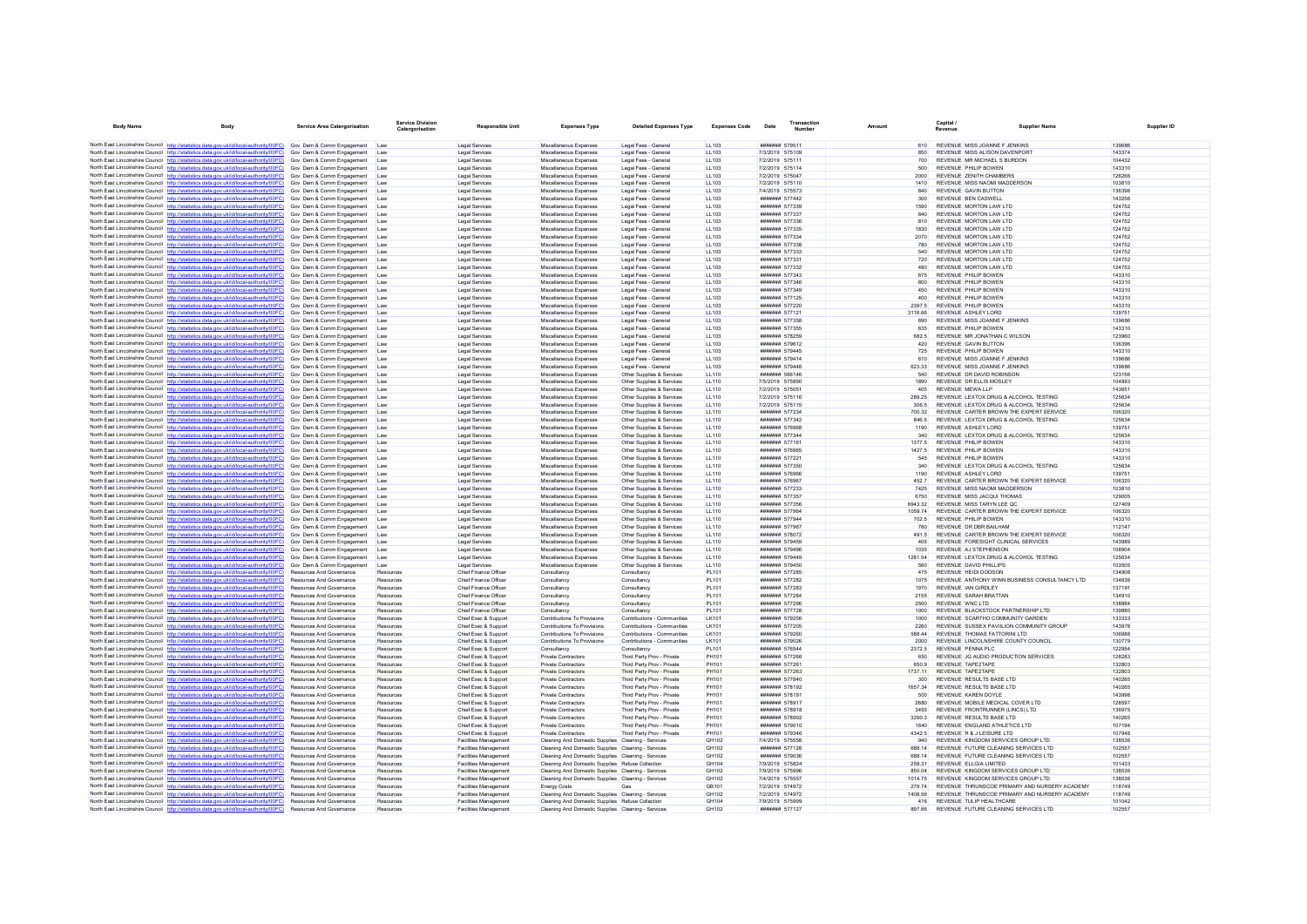| <b>Body Name</b>                           | Body                                                                                                                                                                             | Service Area Catergorisation                                       | <b>Service Division</b><br>Catergorisation | Responsible Unit                                             | <b>Expenses Type</b>                                                                                   | <b>Detailed Expenses Type</b>                              | <b>Expenses Code</b>  | Date | Transactio<br><b>Number</b>             | Amount           | Capital /<br><b>Pavenue</b> | <b>Supplier Name</b>                                                           |                  |
|--------------------------------------------|----------------------------------------------------------------------------------------------------------------------------------------------------------------------------------|--------------------------------------------------------------------|--------------------------------------------|--------------------------------------------------------------|--------------------------------------------------------------------------------------------------------|------------------------------------------------------------|-----------------------|------|-----------------------------------------|------------------|-----------------------------|--------------------------------------------------------------------------------|------------------|
|                                            | North East Lincolnshire Council http://statistics.data.gov.uk/id/local-authority/00FC) Gov Dem & Comm Engagement Law                                                             |                                                                    |                                            | Legal Services                                               | Miscellaneous Expenses                                                                                 | Legal Fees - General                                       | LL103                 |      | ####### 579511                          | 610              |                             | REVENUE MISS JOANNE F JENKINS                                                  | 139686           |
|                                            | North East Lincolnshire Council http://statistics.data.gov.uk/id/local-authority/00FC)                                                                                           | Gov Dem & Comm Engagement Law                                      |                                            | Legal Services                                               | Miscellaneous Expenses                                                                                 | Legal Fees - General                                       | 11.103                |      | 7/3/2019 575109                         | 850              |                             | REVENUE MISS ALISON DAVENPORT                                                  | 143374           |
|                                            | North East Lincolnshire Council http://statistics.data.gov.uk/id/local-authority/00FC)                                                                                           | Gov Dem & Comm Engagement Law                                      |                                            | Legal Services                                               | Miscellaneous Expenses                                                                                 | Legal Fees - General                                       | LL103                 |      | 7/2/2019 575111                         | 700              |                             | REVENUE MR MICHAEL S BURDON                                                    | 104432           |
|                                            | North East Lincolnshire Council http://statistics.data.gov.uk/id/local-authority/00FC)                                                                                           | Gov Dem & Comm Engagement Law                                      |                                            | Legal Services                                               | Miscellaneous Expenses                                                                                 | Legal Fees - General                                       | LL103                 |      | 7/2/2019 575114                         | 500              |                             | REVENUE PHILIP BOWEN                                                           | 143310           |
|                                            | North East Lincolnshire Council http://statistics.data.gov.uk/id/local-authority/00FC)                                                                                           | Gov Dem & Comm Engagement                                          | Law                                        | <b>Legal Services</b>                                        | Miscellaneous Expenses                                                                                 | Legal Fees - General                                       | 11103                 |      | 7/2/2019 575047                         | 2000             |                             | REVENUE ZENITH CHAMBERS                                                        | 126266           |
|                                            | North East Lincolnshire Council http://statistics.data.gov.uk/id/local-authority/00FC)                                                                                           | Gov Dem & Comm Engagement                                          | Law                                        | <b>Legal Services</b>                                        | Miscellaneous Expenses                                                                                 | Legal Fees - General                                       | LL103                 |      | 7/2/2019 575110                         | 1410             |                             | REVENUE MISS NAOMI MADDERSON                                                   | 103810           |
|                                            | North East Lincolnshire Council http://statistics.data.gov.uk/id/local-authority/00FC)                                                                                           | Gov Dem & Comm Engagement                                          | Law                                        | Legal Services                                               | Miscellaneous Expenses                                                                                 | Legal Fees - General                                       | LL103                 |      | 7/4/2019 575573                         | 840              |                             | <b>REVENUE GAVIN BUTTON</b>                                                    | 136396           |
|                                            | North East Lincolnshire Council http://statistics.data.gov.uk/id/local-authority/00FC)                                                                                           | Gov Dem & Comm Engagement                                          | <b>Law</b>                                 | <b>Legal Services</b>                                        | Miscellaneous Expenses                                                                                 | Legal Fees - General                                       | LL103                 |      | ####### 577442                          | 300              | REVENUE BEN CASWELL         |                                                                                | 143256           |
|                                            | North East Lincolnshire Council http://statistics.data.gov.uk/id/local-authority/00FC)<br>North East Lincolnshire Council http://statistics.data.gov.uk/id/local-authority/00FC) | Gov Dem & Comm Engagement<br>Gov Dem & Comm Engagement             | Law                                        | <b>Legal Services</b><br><b>Legal Services</b>               | Miscellaneous Expenses<br>Miscellaneous Expenses                                                       | Legal Fees - General<br>Legal Fees - General               | LL103<br>LL103        |      | <b>#######</b> 577339<br>####### 577337 | 1590<br>840      |                             | REVENUE MORTON LAW LTD<br>REVENUE MORTON LAW LTD                               | 124752<br>124752 |
|                                            | North East Lincolnshire Council http://statistics.data.gov.uk/id/local-authority/00FC)                                                                                           | Gov Dem & Comm Engagement                                          | Law                                        | Legal Services                                               | Miscellaneous Expenses                                                                                 | Legal Fees - General                                       | LL103                 |      | ####### 577336                          | 810              |                             | REVENUE MORTON LAW LTD                                                         | 124752           |
|                                            | North East Lincolnshire Council http://statistics.data.gov.uk/id/local-authority/00FC)                                                                                           | Gov Dem & Comm Engagement                                          | Law                                        | Legal Services                                               | Miscellaneous Expenses                                                                                 | Legal Fees - General                                       | LL103                 |      | ####### 577335                          | 1830             |                             | REVENUE MORTON LAW LTD                                                         | 124752           |
|                                            | North East Lincolnshire Council http://statistics.data.gov.uk/id/local-authority/00FC)                                                                                           | Gov Dem & Comm Engagement                                          |                                            | Legal Services                                               | Miscellaneous Expenses                                                                                 | Legal Fees - General                                       | LL103                 |      | ####### 577334                          | 2070             |                             | REVENUE MORTON LAW LTD                                                         | 124752           |
|                                            | North East Lincolnshire Council http://statistics.data.gov.uk/id/local-authority/00FC)                                                                                           | Gov Dem & Comm Engagement                                          | Law                                        | Legal Services                                               | Miscellaneous Expenses                                                                                 | Legal Fees - General                                       | LL103                 |      | ####### 577338                          | 780              |                             | REVENUE MORTON LAW LTD                                                         | 124752           |
|                                            | North East Lincolnshire Council http://statistics.data.gov.uk/id/local-authority/00FC)                                                                                           | Gov Dem & Comm Engagement                                          | <b>Law</b>                                 | <b>Legal Services</b>                                        | Miscellaneous Expenses                                                                                 | Legal Fees - General                                       | LL103                 |      | <b>#######</b> 577333                   | 540              |                             | REVENUE MORTON LAW LTD                                                         | 124752           |
|                                            | North East Lincolnshire Council http://statistics.data.gov.uk/id/local-authority/00FC)                                                                                           | Gov Dem & Comm Engagement                                          |                                            | Legal Services                                               | Miscellaneous Expenses                                                                                 | Legal Fees - General                                       | LL103                 |      | ####### 577331                          | 720              |                             | REVENUE MORTON LAW LTD                                                         | 124752           |
|                                            | North East Lincolnshire Council http://statistics.data.gov.uk/id/local-authority/00FC)<br>North East Lincolnshire Council http://statistics.data.gov.uk/id/local-authority/00FC) | Gov Dem & Comm Engagement<br>Gov Dem & Comm Engagement             | Law<br>Law                                 | Legal Services<br><b>Legal Services</b>                      | Miscellaneous Expenses<br>Miscellaneous Expenses                                                       | Legal Fees - General<br>Legal Fees - General               | LL103<br>LL103        |      | ####### 577332<br>####### 577343        | 480<br>675       | REVENUE PHILIP BOWEN        | REVENUE MORTON LAW LTD                                                         | 124752<br>143310 |
|                                            | North East Lincolnshire Council http://statistics.data.gov.uk/id/local-authority/00FC)                                                                                           | Gov Dem & Comm Engagement                                          | <b>Law</b>                                 | <b>Legal Services</b>                                        | Miscellaneous Expenses                                                                                 | Legal Fees - General                                       | LL103                 |      | <b>#######</b> 577346                   | 800              |                             | REVENUE PHILIP BOWEN                                                           | 143310           |
|                                            | North East Lincolnshire Council http://statistics.data.gov.uk/id/local-authority/00FC)                                                                                           | Gov Dem & Comm Engagement                                          | Law                                        | Legal Services                                               | Miscellaneous Expenses                                                                                 | Legal Fees - General                                       | LL103                 |      | ####### 577349                          | 450              |                             | <b>REVENUE PHILIP BOWEN</b>                                                    | 143310           |
|                                            | North East Lincolnshire Council http://statistics.data.gov.uk/id/local-authority/00FC)                                                                                           | Gov Dem & Comm Engagement                                          | Law                                        | <b>Legal Services</b>                                        | Miscellaneous Expenses                                                                                 | Legal Fees - General                                       | LL103                 |      | ####### 577125                          | 400              | REVENUE PHILIP BOWEN        |                                                                                | 143310           |
|                                            | North East Lincolnshire Council http://statistics.data.gov.uk/id/local-authority/00FC)                                                                                           | Gov Dem & Comm Engagement                                          | <b>Law</b>                                 | <b>Legal Services</b>                                        | Miscellaneous Expenses                                                                                 | Legal Fees - General                                       | LL103                 |      | ####### 577220                          | 2397.5           | REVENUE PHILIP BOWEN        |                                                                                | 143310           |
|                                            | North East Lincolnshire Council http://statistics.data.gov.uk/id/local-authority/00FC)                                                                                           | Gov Dem & Comm Engagement                                          | Law                                        | <b>Legal Services</b>                                        | Miscellaneous Expenses                                                                                 | Legal Fees - General                                       | LL103                 |      | ####### 577121                          | 3116.66          | REVENUE ASHLEY LORD         |                                                                                | 139751           |
|                                            | North East Lincolnshire Council http://statistics.data.gov.uk/id/local-authority/00FC)                                                                                           | Gov Dem & Comm Engagement                                          | <b>Law</b>                                 | Legal Services                                               | Miscellaneous Expenses                                                                                 | Legal Fees - General                                       | LL103                 |      | ####### 577358                          | 690              |                             | REVENUE MISS JOANNE F JENKINS                                                  | 139686           |
|                                            | North East Lincolnshire Council http://statistics.data.gov.uk/id/local-authority/00FC)<br>North East Lincolnshire Council http://statistics.data.gov.uk/id/local-authority/00FC) | Gov Dem & Comm Engagement<br>Gov Dem & Comm Engagement             | <b>Law</b><br>Law                          | Legal Services<br>Legal Services                             | Miscellaneous Expenses<br>Miscellaneous Expenses                                                       | Legal Fees - General<br>Legal Fees - General               | 11 103<br>LL103       |      | ####### 577355<br>####### 578259        | 635<br>682.5     |                             | REVENUE PHILIP BOWEN<br>REVENUE MR JONATHAN C WILSON                           | 143310<br>123960 |
|                                            | North East Lincolnshire Council http://statistics.data.gov.uk/id/local-authority/00FC)                                                                                           | Gov Dem & Comm Engagement                                          | Law                                        | Legal Services                                               | Miscellaneous Expenses                                                                                 | Legal Fees - General                                       | LL103                 |      | ####### 579612                          | 420              |                             | <b>REVENUE GAVIN BUTTON</b>                                                    | 136396           |
|                                            | North East Lincolnshire Council http://statistics.data.gov.uk/id/local-authority/00FC)                                                                                           | Gov Dem & Comm Engagement                                          | Law                                        | Legal Services                                               | Miscellaneous Expenses                                                                                 | Legal Fees - General                                       | 11103                 |      | ####### 579445                          | 725              |                             | REVENUE PHILIP BOWEN                                                           | 143310           |
|                                            | North East Lincolnshire Council http://statistics.data.gov.uk/id/local-authority/00FC)                                                                                           | Gov Dem & Comm Engagement                                          | Law                                        | Legal Services                                               | Miscellaneous Expenses                                                                                 | Legal Fees - General                                       | LL103                 |      | ####### 579414                          | 610              |                             | REVENUE MISS JOANNE F JENKINS                                                  | 139686           |
|                                            | North East Lincolnshire Council http://statistics.data.gov.uk/id/local-authority/00FC)                                                                                           | Gov Dem & Comm Engagement                                          | Law                                        | Legal Services                                               | Miscellaneous Expenses                                                                                 | Legal Fees - General                                       | LL103                 |      | ####### 579448                          | 623.33           |                             | REVENUE MISS JOANNE F JENKINS                                                  | 139686           |
|                                            | North East Lincolnshire Council http://statistics.data.gov.uk/id/local-authority/00FC)                                                                                           | Gov Dem & Comm Engagement                                          | Law                                        | <b>Legal Services</b>                                        | Miscellaneous Expenses                                                                                 | Other Supplies & Services                                  | <b>LL110</b>          |      | ####### 566146                          | 540              |                             | REVENUE DR DAVID ROBINSON                                                      | 123156           |
|                                            | North East Lincolnshire Council http://statistics.data.gov.uk/id/local-authority/00FC)                                                                                           | Gov Dem & Comm Engagement                                          | Law                                        | <b>Legal Services</b>                                        | Miscellaneous Expenses                                                                                 | Other Supplies & Services                                  | LL110                 |      | 7/5/2019 575890                         | 1890             |                             | REVENUE DR ELLIS MOSLEY                                                        | 104893           |
|                                            | North East Lincolnshire Council http://statistics.data.gov.uk/id/local-authority/00FC)                                                                                           | Gov Dem & Comm Engagement                                          |                                            | <b>Legal Services</b>                                        | Miscellaneous Expenses                                                                                 | Other Supplies & Services                                  | <b>LL110</b>          |      | 7/2/2019 575051                         | 405              | <b>REVENUE MEWA LLP</b>     |                                                                                | 143651           |
|                                            | North East Lincolnshire Council http://statistics.data.gov.uk/id/local-authority/00FC)<br>North East Lincolnshire Council http://statistics.data.gov.uk/id/local-authority/00FC) | Gov Dem & Comm Engagement                                          | Law                                        | Legal Services<br><b>Legal Services</b>                      | Miscellaneous Expenses<br>Miscellaneous Expenses                                                       | Other Supplies & Services<br>Other Supplies & Services     | <b>LL110</b><br>LL110 |      | 7/2/2019 575116<br>7/2/2019 575115      | 289.25           |                             | REVENUE LEXTOX DRUG & ALCOHOL TESTING<br>REVENUE LEXTOX DRUG & ALCOHOL TESTING | 125634<br>125634 |
|                                            | North East Lincolnshire Council http://statistics.data.gov.uk/id/local-authority/00FC)                                                                                           | Gov Dem & Comm Engagement<br>Gov Dem & Comm Engagement             | Law                                        | <b>Legal Services</b>                                        | Miscellaneous Expenses                                                                                 | Other Supplies & Services                                  | <b>LL110</b>          |      | ####### 577234                          | 306.5<br>700.32  |                             | REVENUE CARTER BROWN THE EXPERT SERVICE                                        | 106320           |
|                                            | North East Lincolnshire Council http://statistics.data.gov.uk/id/local-authority/00FC)                                                                                           | Gov Dem & Comm Engagement                                          | Law                                        | Legal Services                                               | Miscellaneous Expenses                                                                                 | Other Supplies & Services                                  | LL110                 |      | ####### 577342                          | 846.5            |                             | REVENUE LEXTOX DRUG & ALCOHOL TESTING                                          | 125634           |
|                                            | North East Lincolnshire Council http://statistics.data.gov.uk/id/local-authority/00FC)                                                                                           | Gov Dem & Comm Engagement                                          | <b>Law</b>                                 | Legal Services                                               | Miscellaneous Expenses                                                                                 | Other Sunnlies & Services                                  | 11110                 |      | ####### 576968                          | 1190             | REVENUE ASHLEY LORD         |                                                                                | 139751           |
|                                            | North East Lincolnshire Council http://statistics.data.gov.uk/id/local-authority/00FC)                                                                                           | Gov Dem & Comm Engagement                                          | Law                                        | Legal Services                                               | Miscellaneous Expenses                                                                                 | Other Supplies & Services                                  | <b>LL110</b>          |      | ####### 577344                          | 340              |                             | REVENUE LEXTOX DRUG & ALCOHOL TESTING                                          | 125634           |
|                                            | North East Lincolnshire Council http://statistics.data.gov.uk/id/local-authority/00FC)                                                                                           | Gov Dem & Comm Engagement                                          | Law                                        | Legal Services                                               | Miscellaneous Expenses                                                                                 | Other Supplies & Services                                  | <b>LL110</b>          |      | ####### 577161                          | 1377.5           |                             | REVENUE PHILIP BOWEN                                                           | 143310           |
|                                            | North East Lincolnshire Council http://statistics.data.gov.uk/id/local-authority/00FC)                                                                                           | Gov Dem & Comm Engagement                                          | Law                                        | Legal Services                                               | Miscellaneous Expenses                                                                                 | Other Supplies & Services                                  | <b>LL110</b>          |      | ####### 576965                          | 1427.5           | REVENUE PHILIP BOWEN        |                                                                                | 143310           |
|                                            | North East Lincolnshire Council http://statistics.data.gov.uk/id/local-authority/00FC)<br>North East Lincolnshire Council http://statistics.data.gov.uk/id/local-authority/00FC) | Gov Dem & Comm Engagement<br>Gov Dem & Comm Engagement             | <b>Law</b><br>Law                          | <b>Legal Services</b><br><b>Legal Services</b>               | Miscellaneous Expenses                                                                                 | Other Sunnlies & Services<br>Other Supplies & Services     | 11110<br>LL110        |      | ####### 577221<br>####### 577350        | 545<br>340       | REVENUE PHILIP BOWEN        | REVENUE LEXTOX DRUG & ALCOHOL TESTING                                          | 143310<br>125634 |
|                                            | North East Lincolnshire Council http://statistics.data.gov.uk/id/local-authority/00FC)                                                                                           | Gov Dem & Comm Engagement                                          | Law                                        | Legal Services                                               | Miscellaneous Expenses<br>Miscellaneous Expenses                                                       | Other Supplies & Services                                  | LL110                 |      | ####### 576966                          | 1190             | REVENUE ASHLEY LORD         |                                                                                | 139751           |
|                                            | North East Lincolnshire Council http://statistics.data.gov.uk/id/local-authority/00FC)                                                                                           | Gov Dem & Comm Engagement                                          | <b>Law</b>                                 | <b>Legal Services</b>                                        | Miscellaneous Expenses                                                                                 | Other Supplies & Services                                  | 11110                 |      | ####### 576967                          | 4527             |                             | REVENUE CARTER BROWN THE EXPERT SERVICE                                        | 106320           |
|                                            | North East Lincolnshire Council http://statistics.data.gov.uk/id/local-authority/00FC)                                                                                           | Gov Dem & Comm Engagement                                          | Law                                        | <b>Legal Services</b>                                        | Miscellaneous Expenses                                                                                 | Other Supplies & Services                                  | <b>LL110</b>          |      | ####### 577233                          | 7425             |                             | REVENUE MISS NAOMI MADDERSON                                                   | 103810           |
|                                            | North East Lincolnshire Council http://statistics.data.gov.uk/id/local-authority/00FC)                                                                                           | Gov Dem & Comm Engagement                                          | Law                                        | Legal Services                                               | Miscellaneous Expenses                                                                                 | Other Supplies & Services                                  | <b>LL110</b>          |      | ####### 577357                          | 6750             |                             | REVENUE MISS JACQUI THOMAS                                                     | 129005           |
|                                            | North East Lincolnshire Council http://statistics.data.gov.uk/id/local-authority/00FC)                                                                                           | Gov Dem & Comm Engagement                                          | Law                                        | <b>Legal Services</b>                                        | Miscellaneous Expenses                                                                                 | Other Supplies & Services                                  | LL110                 |      | ####### 577356                          | 6943.32          |                             | REVENUE MISS TARYN LEE QC                                                      | 127409           |
|                                            | North East Lincolnshire Council http://statistics.data.gov.uk/id/local-authority/00FC)<br>North East Lincolnshire Council http://statistics.data.gov.uk/id/local-authority/00FC) | Gov Dem & Comm Engagement<br>Gov Dem & Comm Engagement             | Law                                        | <b>Legal Services</b><br>Legal Services                      | Miscellaneous Expenses<br>Miscellaneous Expenses                                                       | Other Supplies & Services<br>Other Supplies & Services     | LL110<br><b>LL110</b> |      | ####### 577964<br>####### 577944        | 1059.74<br>702.5 |                             | REVENUE CARTER BROWN THE EXPERT SERVICE<br>REVENUE PHILIP BOWEN                | 106320<br>143310 |
|                                            | North East Lincolnshire Council http://statistics.data.gov.uk/id/local-authority/00FC)                                                                                           | Gov Dem & Comm Engagement                                          | Law                                        | Legal Services                                               | Miscellaneous Expenses                                                                                 | Other Supplies & Services                                  | LL110                 |      | ####### 577967                          | 780              |                             | REVENUE OR DRR BAILHAM                                                         | 112147           |
|                                            | North East Lincolnshire Council http://statistics.data.gov.uk/id/local-authority/00FC)                                                                                           | Gov Dem & Comm Engagement                                          | Law                                        | Legal Services                                               | Miscellaneous Expenses                                                                                 | Other Supplies & Services                                  | <b>LL110</b>          |      | ####### 578072                          | 491.5            |                             | REVENUE CARTER BROWN THE EXPERT SERVICE                                        | 106320           |
|                                            | North East Lincolnshire Council http://statistics.data.gov.uk/id/local-authority/00FC)                                                                                           | Gov Dem & Comm Engagement                                          | Law                                        | Legal Services                                               | Miscellaneous Expenses                                                                                 | Other Supplies & Services                                  | <b>LL110</b>          |      | ####### 579459                          | 405              |                             | REVENUE FORESIGHT CLINICAL SERVICES                                            | 143989           |
|                                            | North East Lincolnshire Council http://statistics.data.gov.uk/id/local-authority/00FC)                                                                                           | Gov Dem & Comm Engagement                                          | Law                                        | Legal Services                                               | Miscellaneous Expenses                                                                                 | Other Supplies & Services                                  | LL110                 |      | ####### 579496                          | 1035             |                             | REVENUE AJ STEPHENSON                                                          | 108904           |
|                                            | North East Lincolnshire Council http://statistics.data.gov.uk/id/local-authority/00FC)                                                                                           | Gov Dem & Comm Engagement                                          | Law                                        | <b>Legal Services</b>                                        | Miscellaneous Expenses                                                                                 | Other Sunnlies & Services                                  | 11110                 |      | <b><i><u>HHHHHH</u></i></b> 579449      | 1281.54          |                             | REVENUE LEXTOX DRUG & ALCOHOL TESTING                                          | 125634           |
|                                            | North East Lincolnshire Council http://statistics.data.gov.uk/id/local-authority/00FC)                                                                                           | Gov Dem & Comm Engagement                                          | Law                                        | Legal Services                                               | Miscellaneous Expenses                                                                                 | Other Supplies & Services                                  | <b>LL110</b>          |      | ####### 579450                          | 560              |                             | REVENUE DAVID PHILLIPS                                                         | 103505           |
|                                            | North East Lincolnshire Council http://statistics.data.gov.uk/id/local-authority/00FC)<br>North East Lincolnshire Council http://statistics.data.gov.uk/id/local-authority/00FC) | Resources And Governance<br>Resources And Governance               | Resources<br>Resources                     | Chief Finance Office<br>Chief Finance Officer                | Consultancy<br>Consultancy                                                                             | Consultancy<br>Consultancy                                 | PL101<br>PL101        |      | ####### 577285<br>####### 577282        | 475<br>1075      |                             | REVENUE HEIDI DODSON<br>REVENUE ANTHONY WINN BUSINESS CONSULTANCY LTD          | 134908<br>134636 |
|                                            | North East Lincolnshire Council http://statistics.data.gov.uk/id/local-authority/00FC)                                                                                           | <b>Resources And Governance</b>                                    | Resources                                  | Chief Finance Officer                                        | Consultancy                                                                                            | Consultancy                                                | PI 101                |      | ####### 577283                          | 1970             | REVENUE IAN GIRDLEY         |                                                                                | 137191           |
|                                            | North East Lincolnshire Council http://statistics.data.gov.uk/id/local-authority/00FC)                                                                                           | Resources And Governance                                           | Resources                                  | Chief Finance Officer                                        | Consultancy                                                                                            | Consultancy                                                | PL101                 |      | ####### 577284                          | 2155             |                             | REVENUE SARAH BRATTAN                                                          | 134910           |
|                                            | North East Lincolnshire Council http://statistics.data.gov.uk/id/local-authority/00FC)                                                                                           | Resources And Governance                                           | Resources                                  | Chief Finance Officer                                        | Consultancy                                                                                            | Consultancy                                                | PL101                 |      | ####### 577296                          | 2500             | REVENUE WNC LTD             |                                                                                | 138884           |
|                                            | North East Lincolnshire Council http://statistics.data.gov.uk/id/local-authority/00FC)                                                                                           | Resources And Governance                                           | Resources                                  | Chief Finance Officer                                        | Consultancy                                                                                            | Consultancy                                                | PL101                 |      | ####### 577728                          | 1000             |                             | REVENUE BLACKSTOCK PARTNERSHIP LTD                                             | 139880           |
|                                            | North East Lincolnshire Council http://statistics.data.gov.uk/id/local-authority/00FC)                                                                                           | Resources And Governance                                           | Resources                                  | Chief Exec & Suppor                                          | Contributions To Provisions                                                                            | Contributions - Communitier                                | LK101                 |      | ####### 579256                          | 1000             |                             | REVENUE SCARTHO COMMUNITY GARDEN                                               | 133333           |
|                                            | North East Lincolnshire Council http://statistics.data.gov.uk/id/local-authority/00FC)                                                                                           | <b>Resources And Governance</b>                                    | Resources                                  | Chief Exec & Support                                         | Contributions To Provisions                                                                            | Contributions - Communities                                | LK101                 |      | ####### 577205                          | 2260             |                             | REVENUE SUSSEX PAVIILION COMMUNITY GROUP                                       | 143978           |
|                                            | North East Lincolnshire Council http://statistics.data.gov.uk/id/local-authority/00FC)<br>North East Lincolnshire Council http://statistics.data.gov.uk/id/local-authority/00FC) | <b>Resources And Governance</b><br><b>Resources And Governance</b> | Resources<br>Resources                     | Chief Exec & Sunnort                                         | Contributions To Provisions<br>Contributions To Provisions                                             | Contributions - Communities<br>Contributions - Communities | I K101<br>LK101       |      | ####### 579260<br>####### 579026        | 588 44<br>2000   |                             | REVENUE THOMAS FATTORINI I TD<br>REVENUE LINCOLNSHIRE COUNTY COUNCIL           | 106988<br>130779 |
|                                            | North East Lincolnshire Council http://statistics.data.gov.uk/id/local-authority/00FC)                                                                                           | Resources And Governance                                           | Resources                                  | Chief Exec & Support<br>Chief Exec & Support                 | Consultancy                                                                                            | Consultancy                                                | PL101                 |      | ####### 576544                          | 2372.5           | REVENUE PENNA PLC           |                                                                                | 122954           |
|                                            | North East Lincolnshire Council http://statistics.data.gov.uk/id/local-authority/00FC)                                                                                           | <b>Resources And Governance</b>                                    | Resources                                  | Chief Exec & Support                                         | Private Contractors                                                                                    | Third Party Prov - Private                                 | PH101                 |      | <b>####### 577266</b>                   | 650              |                             | REVENUE JG AUDIO PRODUCTION SERVICES                                           | 128283           |
|                                            | North East Lincolnshire Council http://statistics.data.gov.uk/id/local-authority/00FC)                                                                                           | <b>Resources And Governance</b>                                    | Resources                                  | Chief Exec & Support                                         | Private Contractors                                                                                    | Third Party Prov - Private                                 | PH101                 |      | ####### 577261                          | 650.9            | REVENUE TAPE2TAPE           |                                                                                | 132803           |
|                                            | North East Lincolnshire Council http://statistics.data.gov.uk/id/local-authority/00FC)                                                                                           | Resources And Governance                                           | Resources                                  | Chief Exec & Support                                         | Private Contractors                                                                                    | Third Party Prov - Private                                 | PH101                 |      | ####### 577263                          | 1737.11          | REVENUE TAPE2TAPE           |                                                                                | 132803           |
|                                            | North East Lincolnshire Council http://statistics.data.gov.uk/id/local-authority/00FC)                                                                                           | Resources And Governance                                           | Resources                                  | Chief Exec & Support                                         | <b>Private Contractors</b>                                                                             | Third Party Prov - Private                                 | PH101                 |      | ####### 577840                          | 300              |                             | REVENUE RESULTS BASE LTD                                                       | 140265           |
|                                            | North East Lincolnshire Council http://statistics.data.gov.uk/id/local-authority/00FC)                                                                                           | <b>Resources And Governance</b>                                    | Resources                                  | Chief Exec & Support                                         | <b>Private Contractors</b>                                                                             | Third Party Prov - Private                                 | PH101                 |      | ####### 578192                          | 1657.34          |                             | REVENUE RESULTS BASE LTD                                                       | 140265           |
|                                            | North East Lincolnshire Council http://statistics.data.gov.uk/id/local-authority/00FC)                                                                                           | Resources And Governance                                           | Resources                                  | Chief Exec & Suppor                                          | Private Contractors<br>Private Contractors                                                             | Third Party Prov - Private<br>Third Party Prov - Private   | PH101<br>PH101        |      | ###### 578191<br>####### 578917         | 500<br>2680      | REVENUE KAREN DOYLE         | REVENUE MOBILE MEDICAL COVER LTD                                               | 143998<br>128597 |
|                                            | North East Lincolnshire Council http://statistics.data.gov.uk/id/local-authority/00FC)<br>North East Lincolnshire Council http://statistics.data.gov.uk/id/local-authority/00FC) | Resources And Governance<br>Resources And Governance               | Resources<br>Resources                     | Chief Exec & Support<br>Chief Exec & Support                 | <b>Private Contractors</b>                                                                             | Third Party Prov - Private                                 | <b>PH101</b>          |      | ####### 578918                          | 3493             |                             | REVENUE FRONTRUNNER (LINCS) LTD                                                | 136975           |
|                                            | North East Lincolnshire Council http://statistics.data.gov.uk/id/local-authority/00FC)                                                                                           | <b>Resources And Governance</b>                                    | Resources                                  | Chief Exec & Support                                         | Private Contractors                                                                                    | Third Party Prov - Private                                 | <b>PH101</b>          |      | ####### 578992                          | 3290.3           |                             | REVENUE RESULTS BASE LTD                                                       | 140265           |
|                                            | North East Lincolnshire Council http://statistics.data.gov.uk/id/local-authority/00FC)                                                                                           | <b>Resources And Governance</b>                                    | Resources                                  | Chief Exec & Support                                         | Private Contractors                                                                                    | Third Party Prov - Private                                 | PH101                 |      | ####### 579010                          | 1640             |                             | REVENUE ENGLAND ATHLETICS LTD                                                  | 107194           |
|                                            | North East Lincolnshire Council http://statistics.data.gov.uk/id/local-authority/00FC)                                                                                           | <b>Resources And Governance</b>                                    | Resources                                  | Chief Exec & Sunnort                                         | Private Contractors                                                                                    | Third Party Prov - Private                                 | PH101                 |      | ####### 579346                          | 4342.5           |                             | REVENUE R & JI FISURE LTD                                                      | 107948           |
|                                            | North East Lincolnshire Council http://statistics.data.gov.uk/id/local-authority/00FC)                                                                                           | <b>Resources And Governance</b>                                    | Resources                                  | <b>Facilities Management</b>                                 | Cleaning And Domestic Supplies Cleaning - Services                                                     |                                                            | GH102                 |      | 7/4/2019 575558                         | 940              |                             | REVENUE KINGDOM SERVICES GROUP LTD                                             | 138536           |
|                                            | North East Lincolnshire Council http://statistics.data.gov.uk/id/local-authority/00FC)                                                                                           | Resources And Governance                                           | Resources                                  | <b>Facilities Management</b>                                 | Cleaning And Domestic Supplies Cleaning - Services                                                     |                                                            | GH102                 |      | ####### 577128                          | 688.14           |                             | REVENUE FUTURE CLEANING SERVICES LTD                                           | 102557           |
|                                            | North East Lincolnshire Council http://statistics.data.gov.uk/id/local-authority/00FC)<br>North East Lincolnshire Council http://statistics.data.gov.uk/id/local-authority/00FC) | Resources And Governance<br><b>Resources And Governance</b>        | Resources<br>Resources                     | <b>Facilities Management</b><br><b>Facilities Management</b> | Cleaning And Domestic Supplies Cleaning - Services<br>Cleaning And Domestic Supplies Refuse Collection |                                                            | GH102<br>GH104        |      | ####### 579036<br>7/9/2019 575824       | 688.14<br>258 31 |                             | REVENUE FUTURE CLEANING SERVICES LTD<br>REVENUE ELLGIA LIMITED                 | 102557<br>101433 |
|                                            | North East Lincolnshire Council http://statistics.data.gov.uk/id/local-authority/00FC)                                                                                           | Resources And Governance                                           | Resources                                  | <b>Facilities Management</b>                                 | Cleaning And Domestic Supplies Cleaning - Services                                                     |                                                            | GH102                 |      | 7/9/2019 575996                         | 850.04           |                             | REVENUE KINGDOM SERVICES GROUP LTD                                             | 138536           |
|                                            | North East Lincolnshire Council http://statistics.data.gov.uk/id/local-authority/00FC)                                                                                           | Resources And Governance                                           | Resources                                  | Facilities Management                                        | Cleaning And Domestic Supplies Cleaning - Services                                                     |                                                            | GH102                 |      | 7/4/2019 575557                         | 1014.75          |                             | REVENUE KINGDOM SERVICES GROUP LTD                                             | 138536           |
|                                            | North East Lincolnshire Council http://statistics.data.gov.uk/id/local-authority/00EC)                                                                                           | <b>Resources And Governance</b>                                    | Resources                                  | <b>Facilities Management</b>                                 | <b>Energy Costs</b>                                                                                    | Gas                                                        | GR101                 |      | 7/2/2019 574972                         | 279.74           |                             | REVENUE THRUNSCOF PRIMARY AND NURSERY ACADEMY                                  | 118749           |
|                                            | North East Lincolnshire Council http://statistics.data.gov.uk/id/local-authority/00FC)                                                                                           | Resources And Governance                                           | Resources                                  | Facilities Management                                        | Cleaning And Domestic Supplies Cleaning - Services                                                     |                                                            | GH102                 |      | 7/2/2019 574972                         | 1408.56          |                             | REVENUE THRUNSCOE PRIMARY AND NURSERY ACADEMY                                  | 118749           |
|                                            | North East Lincolnshire Council http://statistics.data.gov.uk/id/local-authority/00FC)                                                                                           | Resources And Governance                                           | Resources                                  | <b>Facilities Management</b>                                 | Cleaning And Domestic Supplies Refuse Collection                                                       |                                                            | GH104                 |      | 7/9/2019 575999                         | 416              |                             | REVENUE TULIP HEALTHCARE                                                       | 101042           |
| North East Lincolnshire Council http://sta | stics.data.gov.uk/id/local-authority/00FC                                                                                                                                        | Resources And Governance                                           | Resources                                  | <b>Facilities Management</b>                                 | Cleaning And Domestic Supplies Cleaning - Services                                                     |                                                            | GH102                 |      | ####### 577127                          | 897.66           |                             | REVENUE FUTURE CLEANING SERVICES LTD                                           | 102557           |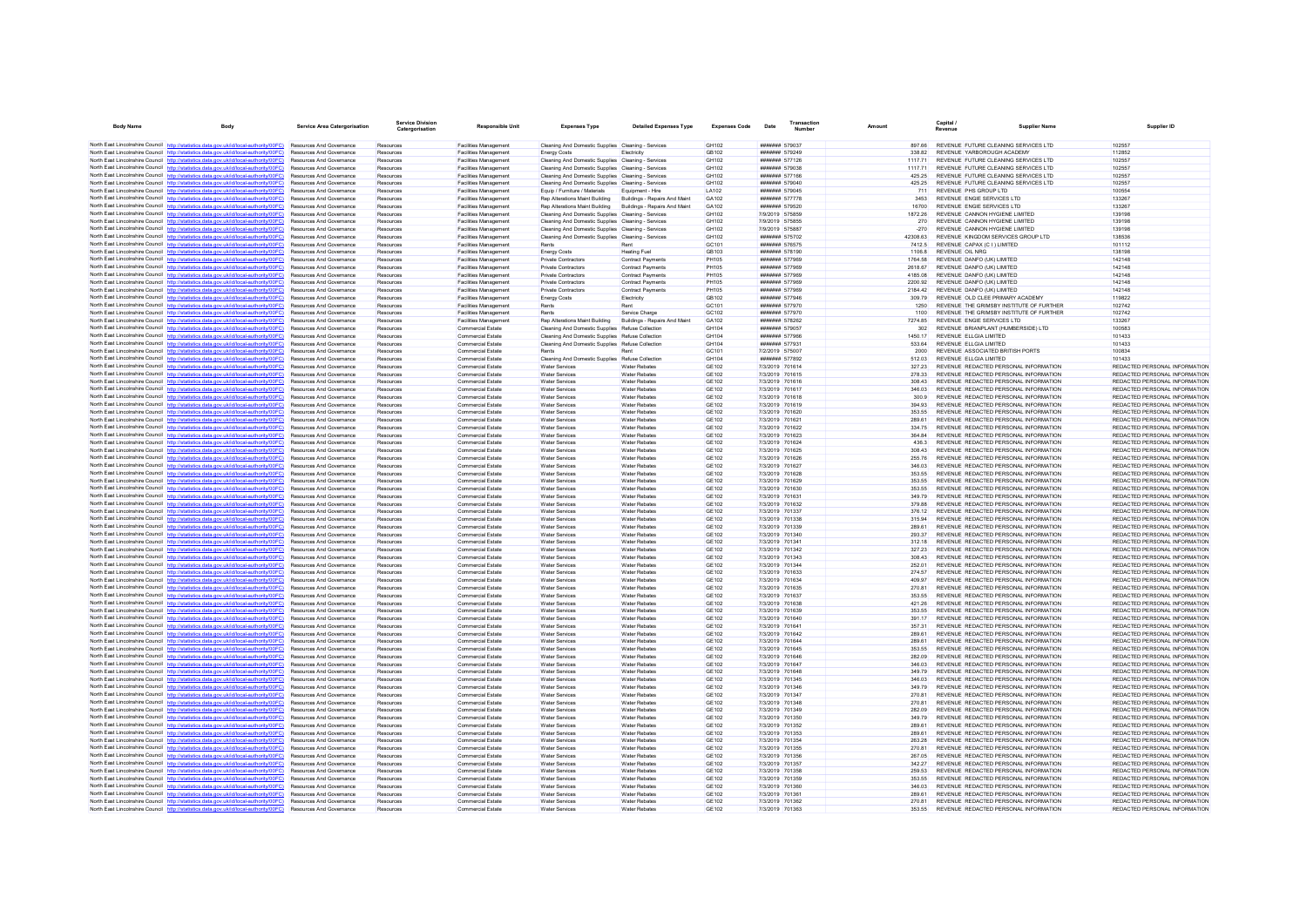| <b>Body Name</b> | Body                                                                                                                                                                             | <b>Service Area Catergorisation</b>                                | <b>Service Division</b><br>Catergorisation | <b>Responsible Unit</b>                                      | <b>Expenses Type</b>                                                                                               | <b>Detailed Expenses Type</b>                 | <b>Expenses Code</b>         | Date                                    | Transaction<br>Number | Amount             | Capital /<br>Revenue                                                           | <b>Supplier Name</b> | Supplier ID                                                    |
|------------------|----------------------------------------------------------------------------------------------------------------------------------------------------------------------------------|--------------------------------------------------------------------|--------------------------------------------|--------------------------------------------------------------|--------------------------------------------------------------------------------------------------------------------|-----------------------------------------------|------------------------------|-----------------------------------------|-----------------------|--------------------|--------------------------------------------------------------------------------|----------------------|----------------------------------------------------------------|
|                  | North East Lincolnshire Council http://statistics.data.gov.uk/id/local-authority/00FC) Resources And Governance                                                                  |                                                                    | Resources                                  | <b>Facilities Management</b>                                 | Cleaning And Domestic Supplies Cleaning - Services                                                                 |                                               | GH102                        | ####### 579037                          |                       | 897.66             | REVENUE FUTURE CLEANING SERVICES LTD                                           |                      | 102557                                                         |
|                  | North East Lincolnshire Council http://statistics.data.gov.uk/id/local-authority/00FC)                                                                                           | <b>Resources And Governance</b>                                    | Resources                                  | <b>Facilities Management</b>                                 | <b>Energy Costs</b>                                                                                                | Electricity                                   | GB102                        | ####### 579249                          |                       | 33882              | REVENUE YARBOROUGH ACADEMY                                                     |                      | 112852                                                         |
|                  | North East Lincolnshire Council http://statistics.data.gov.uk/id/local-authority/00FC)                                                                                           | Resources And Governance                                           | Resources                                  | <b>Facilities Management</b>                                 | Cleaning And Domestic Supplies Cleaning - Services                                                                 |                                               | GH102                        | ####### 577126                          |                       | 1117 71            | REVENUE FUTURE CLEANING SERVICES LTD                                           |                      | 102557                                                         |
|                  | North East Lincolnshire Council http://statistics.data.gov.uk/id/local-authority/00FC)                                                                                           | Resources And Governance                                           | Resources                                  | <b>Facilities Management</b>                                 | Cleaning And Domestic Supplies Cleaning - Services                                                                 |                                               | GH102                        | ####### 579038                          |                       | 1117 71            | REVENUE FUTURE CLEANING SERVICES LTD                                           |                      | 102557                                                         |
|                  | North East Lincolnshire Council http://statistics.data.gov.uk/id/local-authority/00FC)                                                                                           | <b>Resources And Governance</b>                                    | Resources                                  | Facilities Management                                        | Cleaning And Domestic Supplies Cleaning - Services                                                                 |                                               | GH102                        | <b>#######</b> 577166                   |                       | 425 25             | REVENUE FUTURE CLEANING SERVICES LTD                                           |                      | 102557                                                         |
|                  | North East Lincolnshire Council http://statistics.data.gov.uk/id/local-authority/00FC)                                                                                           | Resources And Governance                                           | Resources                                  | Facilities Management                                        | Cleaning And Domestic Supplies Cleaning - Services                                                                 |                                               | GH102                        | ####### 579040                          |                       | 425.25             | REVENUE FUTURE CLEANING SERVICES LTD                                           |                      | 102557                                                         |
|                  | North East Lincolnshire Council http://statistics.data.gov.uk/id/local-authority/00FC)                                                                                           | Resources And Governance                                           | Resources                                  | Facilities Management                                        | Equip / Furniture / Materials                                                                                      | Equipment - Hire                              | LA102                        | ####### 579045                          |                       | 711                | REVENUE PHS GROUP LTD                                                          |                      | 100554                                                         |
|                  | North East Lincolnshire Council http://statistics.data.gov.uk/id/local-authority/00FC)<br>North East Lincolnshire Council http://statistics.data.gov.uk/id/local-authority/00FC) | Resources And Governance<br>Resources And Covernance               | Resources<br>Resources                     | <b>Facilities Management</b><br><b>Facilities Management</b> | Rep Alterations Maint Building                                                                                     | Buildings - Repairs And Maint                 | GA102<br>GA102               | ####### 577778<br>####### 579520        |                       | 3453<br>16700      | REVENUE ENGIE SERVICES LTD<br>REVENUE ENGIE SERVICES LTD.                      |                      | 133267<br>133267                                               |
|                  | North East Lincolnshire Council http://statistics.data.gov.uk/id/local-authority/00FC)                                                                                           | Resources And Governance                                           | Resources                                  | Facilities Management                                        | Rep Alterations Maint Building Buildings - Repairs And Maint<br>Cleaning And Domestic Supplies Cleaning - Services |                                               | GH102                        | 7/9/2019 575859                         |                       | 1872.26            | REVENUE CANNON HYGIENE LIMITED                                                 |                      | 139198                                                         |
|                  | North East Lincolnshire Council http://statistics.data.gov.uk/id/local-authority/00FC)                                                                                           | <b>Resources And Governance</b>                                    | Resources                                  | <b>Facilities Management</b>                                 | Cleaning And Domestic Supplies Cleaning - Services                                                                 |                                               | GH102                        | 7/9/2019 575855                         |                       | 270                | REVENUE CANNON HYGIENE LIMITED                                                 |                      | 139198                                                         |
|                  | North East Lincolnshire Council http://statistics.data.gov.uk/id/local-authority/00FC)                                                                                           | <b>Resources And Governance</b>                                    | Resources                                  | <b>Facilities Management</b>                                 | Cleaning And Domestic Supplies Cleaning - Services                                                                 |                                               | GH102                        | 7/9/2019 575887                         |                       | $-270$             | REVENUE CANNON HYGIENE LIMITED                                                 |                      | 139198                                                         |
|                  | North East Lincolnshire Council http://statistics.data.gov.uk/id/local-authority/00FC)                                                                                           | Resources And Governance                                           | Resources                                  | Facilities Management                                        | Cleaning And Domestic Supplies Cleaning - Services                                                                 |                                               | GH102                        | ####### 575702                          |                       | 42308.63           | REVENUE KINGDOM SERVICES GROUP LTD                                             |                      | 138536                                                         |
|                  | North East Lincolnshire Council http://statistics.data.gov.uk/id/local-authority/00FC)                                                                                           | Resources And Governance                                           | Resources                                  | <b>Facilities Management</b>                                 | Rents                                                                                                              | Rent                                          | GC101                        | ####### 576575                          |                       | 7412.5             | REVENUE CAPAX (C I ) LIMITED                                                   |                      | 101112                                                         |
|                  | North East Lincolnshire Council http://statistics.data.gov.uk/id/local-authority/00FC)                                                                                           | <b>Resources And Governance</b>                                    | Resources                                  | <b>Facilities Management</b>                                 | <b>Energy Costs</b>                                                                                                | <b>Heating Fuel</b>                           | GB103                        | ####### 578190                          |                       | 11068              | REVENUE OIL NRG                                                                |                      | 138198                                                         |
|                  | North East Lincolnshire Council http://statistics.data.gov.uk/id/local-authority/00FC)<br>North East Lincolnshire Council http://statistics.data.gov.uk/id/local-authority/00FC) | Resources And Governance<br>Resources And Governance               | Resources                                  | Facilities Management                                        | Private Contractors<br>Private Contractors                                                                         | Contract Payments                             | PH105<br>PH105               | ####### 577969<br>####### 577969        |                       | 1764.58<br>2618.67 | REVENUE DANFO (UK) LIMITED<br>REVENUE DANFO (UK) LIMITED                       |                      | 142148<br>142148                                               |
|                  | North East Lincolnshire Council http://statistics.data.gov.uk/id/local-authority/00FC)                                                                                           | Resources And Governance                                           | Resources<br>Resources                     | <b>Facilities Management</b><br><b>Facilities Management</b> | <b>Private Contractors</b>                                                                                         | Contract Payments<br><b>Contract Payments</b> | <b>PH105</b>                 | ####### 577969                          |                       | 4185.08            | REVENUE DANFO (UK) LIMITED                                                     |                      | 142148                                                         |
|                  | North East Lincolnshire Council http://statistics.data.gov.uk/id/local-authority/00FC)                                                                                           | <b>Resources And Governance</b>                                    | Resources                                  | <b>Facilities Management</b>                                 | Private Contractors                                                                                                | <b>Contract Payments</b>                      | <b>PH105</b>                 | ####### 577969                          |                       | 2200.92            | REVENUE DANFO (UK) LIMITED                                                     |                      | 142148                                                         |
|                  | North East Lincolnshire Council http://statistics.data.gov.uk/id/local-authority/00FC)                                                                                           | <b>Resources And Governance</b>                                    | Resources                                  | <b>Facilities Management</b>                                 | Private Contractors                                                                                                | Contract Payments                             | <b>PH105</b>                 | ####### 577969                          |                       | 2184.42            | REVENUE DANFO (UK) LIMITED                                                     |                      | 142148                                                         |
|                  | North East Lincolnshire Council http://statistics.data.gov.uk/id/local-authority/00FC)                                                                                           | <b>Resources And Governance</b>                                    | Resources                                  | <b>Facilities Management</b>                                 | <b>Energy Costs</b>                                                                                                | Flectricity                                   | GR102                        | <b>#######</b> 577946                   |                       | 309.79             | REVENUE OLD CLEE PRIMARY ACADEMY                                               |                      | 119822                                                         |
|                  | North East Lincolnshire Council http://statistics.data.gov.uk/id/local-authority/00FC)                                                                                           | <b>Resources And Governance</b>                                    | Resources                                  | <b>Facilities Management</b>                                 | Rents                                                                                                              |                                               | GC101                        | ####### 577970                          |                       | 1250               | REVENUE THE GRIMSBY INSTITUTE OF FURTHER                                       |                      | 102742                                                         |
|                  | North East Lincolnshire Council http://statistics.data.gov.uk/id/local-authority/00FC)                                                                                           | Resources And Governance                                           | Resources                                  | Facilities Management                                        | Rents                                                                                                              | Service Charge                                | GC102                        | ####### 577970                          |                       | 1100               | REVENUE THE GRIMSBY INSTITUTE OF FURTHER                                       |                      | 102742                                                         |
|                  | North East Lincolnshire Council http://statistics.data.gov.uk/id/local-authority/00FC)<br>North East Lincolnshire Council http://statistics.data.gov.uk/id/local-authority/00FC) | Resources And Governance                                           | Resources                                  | <b>Facilities Management</b>                                 | Rep Alterations Maint Building                                                                                     | Buildings - Repairs And Maint                 | GA102                        | ####### 578262                          |                       | 7274.85            | REVENUE ENGIE SERVICES LTD                                                     |                      | 133267<br>100583                                               |
|                  | North East Lincolnshire Council http://statistics.data.gov.uk/id/local-authority/00FC)                                                                                           | <b>Resources And Governance</b><br><b>Resources And Governance</b> | Resources<br>Resources                     | Commercial Estate<br><b>Commercial Estate</b>                | Cleaning And Domestic Supplies Refuse Collection<br>Cleaning And Domestic Supplies Refuse Collection               |                                               | GH104<br>GH104               | <b>#######</b> 579057<br>####### 577966 |                       | 302<br>1450 17     | REVENUE BRIANPLANT (HUMBERSIDE) LTD<br>REVENUE ELLGIA LIMITED                  |                      | 101433                                                         |
|                  | North East Lincolnshire Council http://statistics.data.gov.uk/id/local-authority/00FC)                                                                                           | Resources And Governance                                           | Resources                                  | Commercial Estate                                            | Cleaning And Domestic Supplies Refuse Collection                                                                   |                                               | GH104                        | ####### 577931                          |                       | 533.64             | REVENUE ELLGIA LIMITED                                                         |                      | 101433                                                         |
|                  | North East Lincolnshire Council http://statistics.data.gov.uk/id/local-authority/00EC)                                                                                           | <b>Resources And Governance</b>                                    | Resources                                  | <b>Commercial Estate</b>                                     | Rents                                                                                                              | Rent                                          | GC101                        | 7/2/2019 575007                         |                       | 2000               | REVENUE ASSOCIATED BRITISH PORTS                                               |                      | 100834                                                         |
|                  | North East Lincolnshire Council http://statistics.data.gov.uk/id/local-authority/00FC)                                                                                           | Resources And Governance                                           | Resources                                  | Commercial Estate                                            | Cleaning And Domestic Supplies Refuse Collection                                                                   |                                               | GH104                        | ####### 577892                          |                       | 512.03             | REVENUE ELLGIA LIMITED                                                         |                      | 101433                                                         |
|                  | North East Lincolnshire Council http://statistics.data.gov.uk/id/local-authority/00FC)                                                                                           | Resources And Governance                                           | Resources                                  | Commercial Estate                                            | <b>Water Services</b>                                                                                              | <b>Water Rebates</b>                          | <b>GE102</b>                 | 7/3/2019 701614                         |                       | 327.23             | REVENUE REDACTED PERSONAL INFORMATION                                          |                      | REDACTED PERSONAL INFORMATION                                  |
|                  | North East Lincolnshire Council http://statistics.data.gov.uk/id/local-authority/00FC)                                                                                           | Resources And Governance                                           | Resources                                  | <b>Commercial Estate</b>                                     | <b>Water Services</b>                                                                                              | <b>Water Rebates</b>                          | GE102                        | 7/3/2019 701615                         |                       | 278.33             | REVENUE REDACTED PERSONAL INFORMATION                                          |                      | REDACTED PERSONAL INFORMATION                                  |
|                  | North East Lincolnshire Council http://statistics.data.gov.uk/id/local-authority/00FC)                                                                                           | Resources And Covernance                                           | Resources                                  | <b>Commercial Estate</b>                                     | Water Services                                                                                                     | <b>Water Rebates</b>                          | GF102                        | 7/3/2019 701616                         |                       | 308 43             | REVENUE REDACTED PERSONAL INFORMATION                                          |                      | REDACTED PERSONAL INFORMATION                                  |
|                  | North East Lincolnshire Council http://statistics.data.gov.uk/id/local-authority/00FC)                                                                                           | Resources And Governance                                           | Resources                                  | <b>Commercial Estate</b>                                     | Water Services                                                                                                     | <b>Water Rebates</b>                          | <b>GE102</b>                 | 7/3/2019 701617                         |                       | 346.03             | REVENUE REDACTED PERSONAL INFORMATION                                          |                      | REDACTED PERSONAL INFORMATION                                  |
|                  | North East Lincolnshire Council http://statistics.data.gov.uk/id/local-authority/00FC)                                                                                           | <b>Resources And Governance</b>                                    | Resources                                  | <b>Commercial Estate</b>                                     | Water Services                                                                                                     | <b>Water Rebates</b>                          | GE102                        | 7/3/2019 701618                         |                       | 300.9              | REVENUE REDACTED PERSONAL INFORMATION                                          |                      | REDACTED PERSONAL INFORMATION<br>REDACTED PERSONAL INFORMATION |
|                  | North East Lincolnshire Council http://statistics.data.gov.uk/id/local-authority/00FC)<br>North East Lincolnshire Council http://statistics.data.gov.uk/id/local-authority/00FC) | <b>Resources And Governance</b><br>Resources And Governance        | Resources<br>Resources                     | Commercial Estate<br>Commercial Estate                       | <b>Water Services</b><br>Water Services                                                                            | <b>Water Rebates</b><br><b>Water Rebates</b>  | GF102<br><b>GE102</b>        | 7/3/2019 701619<br>7/3/2019 701620      |                       | 394 93<br>353.55   | REVENUE REDACTED PERSONAL INFORMATION<br>REVENUE REDACTED PERSONAL INFORMATION |                      | REDACTED PERSONAL INFORMATION                                  |
|                  | North East Lincolnshire Council http://statistics.data.oov.uk/id/local-authority/00FC)                                                                                           | Resources And Governance                                           | Resources                                  | <b>Commercial Estate</b>                                     | <b>Water Services</b>                                                                                              | <b>Water Rebates</b>                          | <b>GE102</b>                 | 7/3/2019 701621                         |                       | 289.61             | REVENUE REDACTED PERSONAL INFORMATION                                          |                      | REDACTED PERSONAL INFORMATION                                  |
|                  | North East Lincolnshire Council http://statistics.data.gov.uk/id/local-authority/00FC)                                                                                           | <b>Resources And Governance</b>                                    | Resources                                  | <b>Commercial Estate</b>                                     | Water Services                                                                                                     | <b>Water Rebates</b>                          | GE102                        | 7/3/2019 701622                         |                       | 334 75             | REVENUE REDACTED PERSONAL INFORMATION                                          |                      | REDACTED PERSONAL INFORMATION                                  |
|                  | North East Lincolnshire Council http://statistics.data.gov.uk/id/local-authority/00FC)                                                                                           | Resources And Governance                                           | Resources                                  | Commercial Estate                                            | Water Services                                                                                                     | Water Rebates                                 | <b>GE102</b>                 | 7/3/2019 701623                         |                       | 364.84             | REVENUE REDACTED PERSONAL INFORMATION                                          |                      | REDACTED PERSONAL INFORMATION                                  |
|                  | North East Lincolnshire Council http://statistics.data.gov.uk/id/local-authority/00FC)                                                                                           | Resources And Governance                                           | Resources                                  | <b>Commercial Estate</b>                                     | Water Services                                                                                                     | <b>Water Rebates</b>                          | <b>GE102</b>                 | 7/3/2019 701624                         |                       | 436.3              | REVENUE REDACTED PERSONAL INFORMATION                                          |                      | REDACTED PERSONAL INFORMATION                                  |
|                  | North East Lincolnshire Council http://statistics.data.gov.uk/id/local-authority/00FC)                                                                                           | Resources And Governance                                           | Resources                                  | Commercial Estate                                            | <b>Water Services</b>                                                                                              | <b>Water Rebates</b>                          | GE102                        | 7/3/2019 701625                         |                       | 308.43             | REVENUE REDACTED PERSONAL INFORMATION                                          |                      | REDACTED PERSONAL INFORMATION                                  |
|                  | North East Lincolnshire Council http://statistics.data.gov.uk/id/local-authority/00FC)                                                                                           | <b>Resources And Governance</b>                                    | Resources                                  | <b>Commercial Estate</b>                                     | <b>Water Services</b>                                                                                              | <b>Water Rebates</b>                          | GF102                        | 7/3/2019 701626                         |                       | 255.76             | REVENUE REDACTED PERSONAL INFORMATION                                          |                      | REDACTED PERSONAL INFORMATION                                  |
|                  | North East Lincolnshire Council http://statistics.data.gov.uk/id/local-authority/00FC)                                                                                           | Resources And Governance                                           | Resources                                  | <b>Commercial Estate</b>                                     | <b>Water Services</b>                                                                                              | <b>Water Rebate</b>                           | GE102                        | 7/3/2019 701627                         |                       | 346.03             | REVENUE REDACTED PERSONAL INFORMATION                                          |                      | REDACTED PERSONAL INFORMATION<br>REDACTED PERSONAL INFORMATION |
|                  | North East Lincolnshire Council http://statistics.data.gov.uk/id/local-authority/00FC)<br>North East Lincolnshire Council http://statistics.data.gov.uk/id/local-authority/00FC) | <b>Resources And Governance</b><br><b>Resources And Governance</b> | Resources<br>Resources                     | Commercial Estate<br><b>Commercial Estate</b>                | <b>Water Services</b><br>Water Services                                                                            | <b>Water Rebates</b><br><b>Water Rebates</b>  | GF102<br><b>GE102</b>        | 7/3/2019 701628<br>7/3/2019 701629      |                       | 353.55<br>353.55   | REVENUE REDACTED PERSONAL INFORMATION<br>REVENUE REDACTED PERSONAL INFORMATION |                      | REDACTED PERSONAL INFORMATION                                  |
|                  | North East Lincolnshire Council http://statistics.data.gov.uk/id/local-authority/00FC)                                                                                           | Resources And Governance                                           | Resources                                  | <b>Commercial Estate</b>                                     | Water Services                                                                                                     | <b>Water Rebates</b>                          | <b>GE102</b>                 | 7/3/2019 701630                         |                       | 353.55             | REVENUE REDACTED PERSONAL INFORMATION                                          |                      | REDACTED PERSONAL INFORMATION                                  |
|                  | North East Lincolnshire Council http://statistics.data.gov.uk/id/local-authority/00FC)                                                                                           | Resources And Governance                                           | Resources                                  | Commercial Estate                                            | <b>Water Services</b>                                                                                              | <b>Water Rebates</b>                          | GE102                        | 7/3/2019 701631                         |                       | 349.79             | REVENUE REDACTED PERSONAL INFORMATION                                          |                      | REDACTED PERSONAL INFORMATION                                  |
|                  | North East Lincolnshire Council http://statistics.data.gov.uk/id/local-authority/00EC)                                                                                           | <b>Resources And Governance</b>                                    | Resources                                  | Commercial Estate                                            | <b>Water Services</b>                                                                                              | <b>Water Rebates</b>                          | GF102                        | 7/3/2019 701632                         |                       | 379.88             | REVENUE REDACTED PERSONAL INFORMATION                                          |                      | REDACTED PERSONAL INFORMATION                                  |
|                  | North East Lincolnshire Council http://statistics.data.gov.uk/id/local-authority/00FC)                                                                                           | <b>Resources And Governance</b>                                    | Resources                                  | <b>Commercial Estate</b>                                     | Water Services                                                                                                     | <b>Water Rebates</b>                          | <b>GE102</b>                 | 7/3/2019 701337                         |                       | 376.12             | REVENUE REDACTED PERSONAL INFORMATION                                          |                      | REDACTED PERSONAL INFORMATION                                  |
|                  | North East Lincolnshire Council http://statistics.data.gov.uk/id/local-authority/00FC)                                                                                           | Resources And Governance                                           | Resources                                  | Commercial Estate                                            | Water Services                                                                                                     | <b>Water Rebates</b>                          | <b>GE102</b>                 | 7/3/2019 701338                         |                       | 315.94             | REVENUE REDACTED PERSONAL INFORMATION                                          |                      | REDACTED PERSONAL INFORMATION                                  |
|                  | North East Lincolnshire Council http://statistics.data.gov.uk/id/local-authority/00FC)                                                                                           | Resources And Governance                                           | Resources                                  | <b>Commercial Estate</b>                                     | <b>Water Services</b>                                                                                              | <b>Water Rebates</b>                          | <b>GE102</b>                 | 7/3/2019 701339                         |                       | 289.61             | REVENUE REDACTED PERSONAL INFORMATION                                          |                      | REDACTED PERSONAL INFORMATION                                  |
|                  | North East Lincolnshire Council http://statistics.data.gov.uk/id/local-authority/00FC)<br>North East Lincolnshire Council http://statistics.data.gov.uk/id/local-authority/00FC) | Resources And Governance<br>Resources And Governance               | Resources<br>Resources                     | Commercial Estate<br>Commercial Estate                       | <b>Water Services</b><br><b>Water Services</b>                                                                     | <b>Water Rebates</b><br><b>Water Rebates</b>  | GE102<br><b>GE102</b>        | 7/3/2019 701340<br>7/3/2019 701341      |                       | 293.37<br>312.18   | REVENUE REDACTED PERSONAL INFORMATION<br>REVENUE REDACTED PERSONAL INFORMATION |                      | REDACTED PERSONAL INFORMATION<br>REDACTED PERSONAL INFORMATION |
|                  | North East Lincolnshire Council http://statistics.data.gov.uk/id/local-authority/00FC)                                                                                           | Resources And Governance                                           | Resources                                  | <b>Commercial Estate</b>                                     | <b>Water Services</b>                                                                                              | <b>Water Rebates</b>                          | GE102                        | 7/3/2019 701342                         |                       | 327.23             | REVENUE REDACTED PERSONAL INFORMATION                                          |                      | REDACTED PERSONAL INFORMATION                                  |
|                  | North East Lincolnshire Council http://statistics.data.gov.uk/id/local-authority/00FC)                                                                                           | Resources And Covernance                                           | Resources                                  | Commercial Estate                                            | <b>Water Services</b>                                                                                              | <b>Water Rehates</b>                          | <b>GE102</b>                 | 7/3/2019 701343                         |                       | 308.43             | REVENUE REDACTED PERSONAL INFORMATION                                          |                      | REDACTED PERSONAL INFORMATION                                  |
|                  | North East Lincolnshire Council http://statistics.data.gov.uk/id/local-authority/00FC)                                                                                           | Resources And Governance                                           | Resources                                  | <b>Commercial Estate</b>                                     | Water Services                                                                                                     | <b>Water Rebates</b>                          | <b>GE102</b>                 | 7/3/2019 701344                         |                       | 252.01             | REVENUE REDACTED PERSONAL INFORMATION                                          |                      | REDACTED PERSONAL INFORMATION                                  |
|                  | North East Lincolnshire Council http://statistics.data.gov.uk/id/local-authority/00FC)                                                                                           | <b>Resources And Governance</b>                                    | Resources                                  | <b>Commercial Estate</b>                                     | Water Services                                                                                                     | <b>Water Rebates</b>                          | GE102                        | 7/3/2019 701633                         |                       | 274.57             | REVENUE REDACTED PERSONAL INFORMATION                                          |                      | REDACTED PERSONAL INFORMATION                                  |
|                  | North East Lincolnshire Council http://statistics.data.gov.uk/id/local-authority/00FC)                                                                                           | <b>Resources And Governance</b>                                    | Resources                                  | Commercial Estate                                            | <b>Water Services</b>                                                                                              | <b>Water Rebates</b>                          | GF102                        | 7/3/2019 701634                         |                       | 409.97             | REVENUE REDACTED PERSONAL INFORMATION                                          |                      | REDACTED PERSONAL INFORMATION                                  |
|                  | North East Lincolnshire Council http://statistics.data.gov.uk/id/local-authority/00FC)                                                                                           | Resources And Governance                                           | Resources                                  | <b>Commercial Estate</b>                                     | <b>Water Services</b>                                                                                              | <b>Water Rebates</b>                          | <b>GE102</b>                 | 7/3/2019 701635                         |                       | 270.81             | REVENUE REDACTED PERSONAL INFORMATION                                          |                      | REDACTED PERSONAL INFORMATION                                  |
|                  | North East Lincolnshire Council http://statistics.data.gov.uk/id/local-authority/00FC)<br>North East Lincolnshire Council http://statistics.data.gov.uk/id/local-authority/00FC) | Resources And Governance<br><b>Resources And Governance</b>        | Resources<br>Resources                     | <b>Commercial Estate</b><br><b>Commercial Estate</b>         | <b>Water Services</b><br>Water Services                                                                            | <b>Water Rebates</b><br><b>Water Rebates</b>  | GE102<br>GE102               | 7/3/2019 701637<br>7/3/2019 701638      |                       | 353.55<br>421.26   | REVENUE REDACTED PERSONAL INFORMATION<br>REVENUE REDACTED PERSONAL INFORMATION |                      | REDACTED PERSONAL INFORMATION<br>REDACTED PERSONAL INFORMATION |
|                  | North East Lincolnshire Council http://statistics.data.gov.uk/id/local-authority/00FC)                                                                                           | Resources And Governance                                           | Resources                                  | Commercial Estate                                            | Water Services                                                                                                     | <b>Water Rebates</b>                          | GE102                        | 7/3/2019 701639                         |                       | 353.55             | REVENUE REDACTED PERSONAL INFORMATION                                          |                      | REDACTED PERSONAL INFORMATION                                  |
|                  | North East Lincolnshire Council http://statistics.data.gov.uk/id/local-authority/00FC)                                                                                           | Resources And Governance                                           | Resources                                  | Commercial Estate                                            | Water Services                                                                                                     | <b>Water Rebates</b>                          | <b>GE102</b>                 | 7/3/2019 701640                         |                       | 391.17             | REVENUE REDACTED PERSONAL INFORMATION                                          |                      | REDACTED PERSONAL INFORMATION                                  |
|                  | North East Lincolnshire Council http://statistics.data.gov.uk/id/local-authority/00FC)                                                                                           | Resources And Governance                                           | Resources                                  | Commercial Estate                                            | <b>Water Services</b>                                                                                              | <b>Water Rebates</b>                          | GE102                        | 7/3/2019 701641                         |                       | 357.31             | REVENUE REDACTED PERSONAL INFORMATION                                          |                      | REDACTED PERSONAL INFORMATION                                  |
|                  | North East Lincolnshire Council http://statistics.data.gov.uk/id/local-authority/00FC)                                                                                           | <b>Resources And Governance</b>                                    | Resources                                  | <b>Commercial Estate</b>                                     | <b>Water Services</b>                                                                                              | <b>Water Rebates</b>                          | GE102                        | 7/3/2019 701642                         |                       | 289.61             | REVENUE REDACTED PERSONAL INFORMATION                                          |                      | REDACTED PERSONAL INFORMATION                                  |
|                  | North East Lincolnshire Council http://statistics.data.gov.uk/id/local-authority/00FC)                                                                                           | Resources And Governance                                           | Resources                                  | <b>Commercial Estate</b>                                     | <b>Water Services</b>                                                                                              | <b>Water Rebate</b>                           | GE102                        | 7/3/2019 701644                         |                       | 289.61             | REVENUE REDACTED PERSONAL INFORMATION                                          |                      | REDACTED PERSONAL INFORMATION                                  |
|                  | North East Lincolnshire Council http://statistics.data.gov.uk/id/local-authority/00FC)                                                                                           | <b>Resources And Governance</b>                                    | Resources                                  | Commercial Estate                                            | <b>Water Services</b>                                                                                              | <b>Water Rehates</b>                          | GE102                        | 7/3/2019 701645                         |                       | 353.55             | REVENUE REDACTED PERSONAL INFORMATION                                          |                      | REDACTED PERSONAL INFORMATION                                  |
|                  | North East Lincolnshire Council http://statistics.data.gov.uk/id/local-authority/00FC)<br>North East Lincolnshire Council http://statistics.data.gov.uk/id/local-authority/00FC) | Resources And Governance                                           | Resources                                  | Commercial Estate                                            | Water Services                                                                                                     | <b>Water Rebates</b>                          | <b>GE102</b>                 | 7/3/2019 701646                         |                       | 282.09             | REVENUE REDACTED PERSONAL INFORMATION                                          |                      | REDACTED PERSONAL INFORMATION                                  |
|                  | North East Lincolnshire Council http://statistics.data.gov.uk/id/local-authority/00FC)                                                                                           | Resources And Governance<br>Resources And Governance               | Resources<br>Resources                     | <b>Commercial Estate</b><br>Commercial Estate                | Water Services<br><b>Water Services</b>                                                                            | <b>Water Rebates</b><br><b>Water Rebates</b>  | <b>GE102</b><br>GE102        | 7/3/2019 701647<br>7/3/2019 701648      |                       | 346.03<br>349.79   | REVENUE REDACTED PERSONAL INFORMATION<br>REVENUE REDACTED PERSONAL INFORMATION |                      | REDACTED PERSONAL INFORMATION<br>REDACTED PERSONAL INFORMATION |
|                  | North East Lincolnshire Council http://statistics.data.gov.uk/id/local-authority/00EC)                                                                                           | <b>Resources And Governance</b>                                    | Resources                                  | Commercial Estate                                            | Water Services                                                                                                     | <b>Water Rebates</b>                          | GF102                        | 7/3/2019 701345                         |                       | 346.03             | REVENUE REDACTED PERSONAL INFORMATION                                          |                      | REDACTED PERSONAL INFORMATION                                  |
|                  | North East Lincolnshire Council http://statistics.data.gov.uk/id/local-authority/00FC)                                                                                           | Resources And Governance                                           | Resources                                  | <b>Commercial Estate</b>                                     | <b>Water Services</b>                                                                                              | <b>Water Rebates</b>                          | <b>GE102</b>                 | 7/3/2019 701346                         |                       | 349.79             | REVENUE REDACTED PERSONAL INFORMATION                                          |                      | REDACTED PERSONAL INFORMATION                                  |
|                  | North East Lincolnshire Council http://statistics.data.gov.uk/id/local-authority/00FC)                                                                                           | Resources And Governance                                           | Resources                                  | Commercial Estate                                            | Water Services                                                                                                     | <b>Water Rebates</b>                          | <b>GE102</b>                 | 7/3/2019 701347                         |                       | 270.81             | REVENUE REDACTED PERSONAL INFORMATION                                          |                      | REDACTED PERSONAL INFORMATION                                  |
|                  | North East Lincolnshire Council http://statistics.data.gov.uk/id/local-authority/00FC)                                                                                           | Resources And Governance                                           | Resources                                  | <b>Commercial Estate</b>                                     | <b>Water Services</b>                                                                                              | <b>Water Rebates</b>                          | <b>GE102</b>                 | 7/3/2019 701348                         |                       | 270.81             | REVENUE REDACTED PERSONAL INFORMATION                                          |                      | REDACTED PERSONAL INFORMATION                                  |
|                  | North East Lincolnshire Council http://statistics.data.gov.uk/id/local-authority/00FC)                                                                                           | <b>Resources And Governance</b>                                    | Resources                                  | <b>Commercial Estate</b>                                     | <b>Water Services</b>                                                                                              | <b>Water Rebates</b>                          | GE102                        | 7/3/2019 701349                         |                       | 282.09             | REVENUE REDACTED PERSONAL INFORMATION                                          |                      | REDACTED PERSONAL INFORMATION                                  |
|                  | North East Lincolnshire Council http://statistics.data.gov.uk/id/local-authority/00FC)                                                                                           | Resources And Governance                                           | Resources                                  | Commercial Estate                                            | <b>Water Services</b>                                                                                              | <b>Water Rebates</b>                          | GE102                        | 7/3/2019 701350                         |                       | 349.79             | REVENUE REDACTED PERSONAL INFORMATION                                          |                      | REDACTED PERSONAL INFORMATION                                  |
|                  | North East Lincolnshire Council http://statistics.data.gov.uk/id/local-authority/00FC)                                                                                           | <b>Resources And Governance</b>                                    | Resources                                  | Commercial Estate                                            | <b>Water Services</b>                                                                                              | <b>Water Rebates</b>                          | GF102                        | 7/3/2019 701352                         |                       | 289.61             | REVENUE REDACTED PERSONAL INFORMATION                                          |                      | REDACTED PERSONAL INFORMATION                                  |
|                  | North East Lincolnshire Council http://statistics.data.gov.uk/id/local-authority/00FC)<br>North East Lincolnshire Council http://statistics.data.gov.uk/id/local-authority/00FC) | Resources And Governance<br>Resources And Governance               | Resources<br>Resources                     | Commercial Estate<br><b>Commercial Estate</b>                | <b>Water Services</b><br>Water Services                                                                            | <b>Water Rehates</b><br><b>Water Rebates</b>  | <b>GE102</b><br><b>GE102</b> | 7/3/2019 701353<br>7/3/2019 701354      |                       | 289.61<br>263.28   | REVENUE REDACTED PERSONAL INFORMATION<br>REVENUE REDACTED PERSONAL INFORMATION |                      | REDACTED PERSONAL INFORMATION<br>REDACTED PERSONAL INFORMATION |
|                  | North East Lincolnshire Council http://statistics.data.gov.uk/id/local-authority/00FC)                                                                                           | <b>Resources And Governance</b>                                    | Resources                                  | <b>Commercial Estate</b>                                     | Water Services                                                                                                     | <b>Water Rebates</b>                          | GE102                        | 7/3/2019 701355                         |                       | 270.81             | REVENUE REDACTED PERSONAL INFORMATION                                          |                      | REDACTED PERSONAL INFORMATION                                  |
|                  | North East Lincolnshire Council http://statistics.data.gov.uk/id/local-authority/00FC)                                                                                           | <b>Resources And Governance</b>                                    | Resources                                  | Commercial Estate                                            | <b>Water Services</b>                                                                                              | <b>Water Rebates</b>                          | GF102                        | 7/3/2019 701356                         |                       | 267.05             | REVENUE REDACTED PERSONAL INFORMATION                                          |                      | REDACTED PERSONAL INFORMATION                                  |
|                  | North East Lincolnshire Council http://statistics.data.gov.uk/id/local-authority/00FC)                                                                                           | Resources And Governance                                           | Resources                                  | <b>Commercial Estate</b>                                     | Water Services                                                                                                     | <b>Water Rebates</b>                          | <b>GE102</b>                 | 7/3/2019 701357                         |                       | 342.27             | REVENUE REDACTED PERSONAL INFORMATION                                          |                      | REDACTED PERSONAL INFORMATION                                  |
|                  | North East Lincolnshire Council http://statistics.data.gov.uk/id/local-authority/00FC)                                                                                           | Resources And Governance                                           | Resources                                  | <b>Commercial Estate</b>                                     | Water Services                                                                                                     | <b>Water Rebates</b>                          | <b>GE102</b>                 | 7/3/2019 701358                         |                       | 259.53             | REVENUE REDACTED PERSONAL INFORMATION                                          |                      | REDACTED PERSONAL INFORMATION                                  |
|                  | North East Lincolnshire Council http://statistics.data.gov.uk/id/local-authority/00FC)                                                                                           | <b>Resources And Governance</b>                                    | Resources                                  | Commercial Estate                                            | <b>Water Services</b>                                                                                              | <b>Water Rebates</b>                          | <b>GE102</b>                 | 7/3/2019 701359                         |                       | 353.55             | REVENUE REDACTED PERSONAL INFORMATION                                          |                      | REDACTED PERSONAL INFORMATION                                  |
|                  | North East Lincolnshire Council http://statistics.data.gov.uk/id/local-authority/00FC)                                                                                           | Resources And Governance                                           | Resources                                  | Commercial Estate                                            | <b>Water Services</b>                                                                                              | Water Rebates                                 | <b>GE102</b>                 | 7/3/2019 701360                         |                       | 346.03             | REVENUE REDACTED PERSONAL INFORMATION                                          |                      | REDACTED PERSONAL INFORMATION                                  |
|                  | North East Lincolnshire Council http://statistics.data.gov.uk/id/local-authority/00FC)<br>North East Lincolnshire Council http://statistics.data.gov.uk/id/local-authority/00FC) | Resources And Governance                                           | Resources                                  | <b>Commercial Estate</b>                                     | Water Services<br><b>Water Services</b>                                                                            | <b>Water Rebates</b><br><b>Water Rebates</b>  | <b>GE102</b><br>GE102        | 7/3/2019 701361                         |                       | 289.61             | REVENUE REDACTED PERSONAL INFORMATION<br>REVENUE REDACTED PERSONAL INFORMATION |                      | REDACTED PERSONAL INFORMATION<br>REDACTED PERSONAL INFORMATION |
|                  | North East Lincolnshire Council http://statistics.data.gov.uk/id/local-authority/00FC)                                                                                           | Resources And Governance<br>Resources And Governance               | Resources<br>Resources                     | <b>Commercial Estate</b><br>Commercial Estate                | <b>Water Services</b>                                                                                              | <b>Water Rebates</b>                          | GE102                        | 7/3/2019 701362<br>7/3/2019 701363      |                       | 270.81<br>353.55   | REVENUE REDACTED PERSONAL INFORMATION                                          |                      | REDACTED PERSONAL INFORMATION                                  |
|                  |                                                                                                                                                                                  |                                                                    |                                            |                                                              |                                                                                                                    |                                               |                              |                                         |                       |                    |                                                                                |                      |                                                                |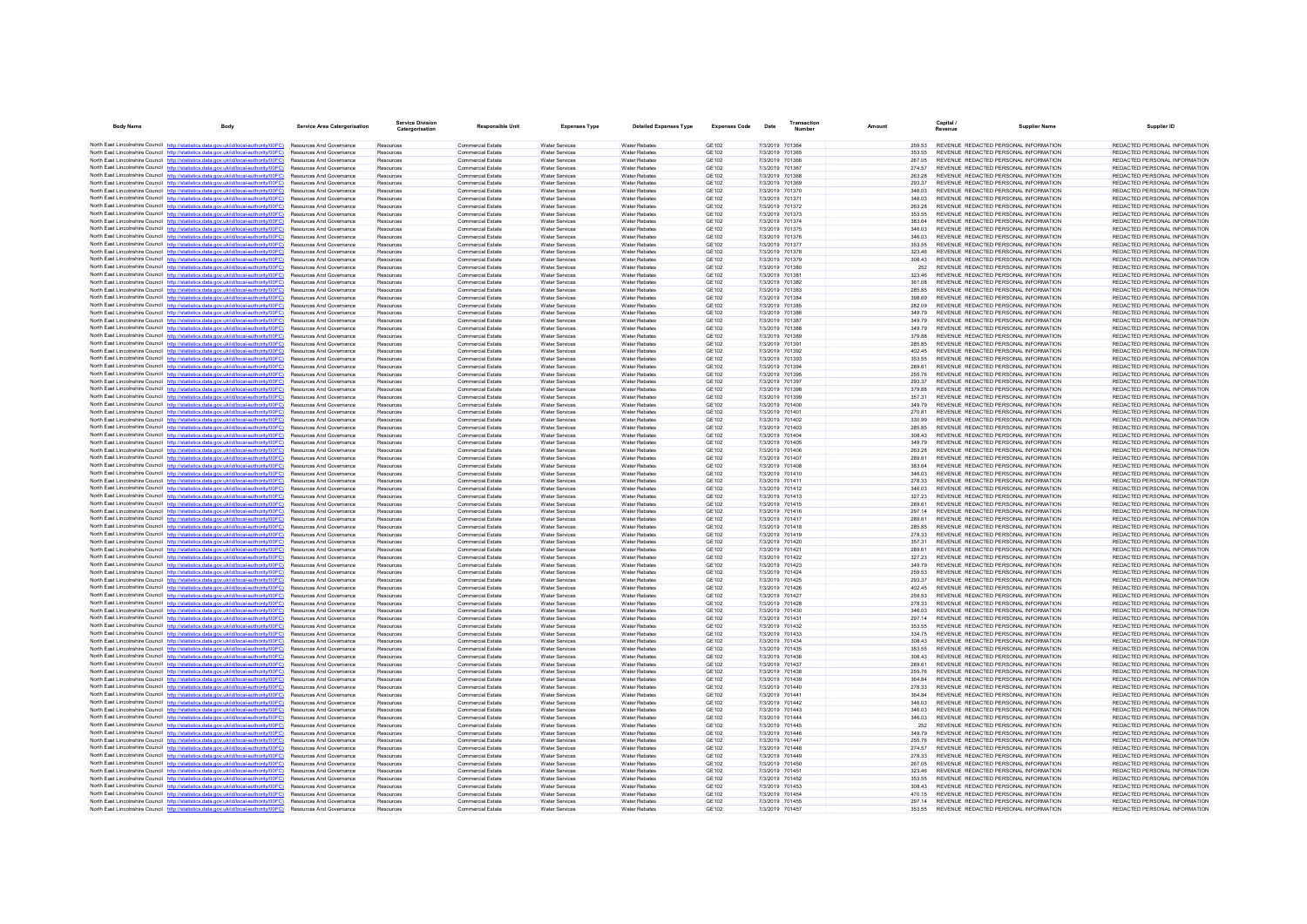| <b>Body Name</b>                          | Body                                                                                                                                                                             | <b>Service Area Catergorisation</b>                         | <b>Service Division</b><br>Catergorisation | <b>Responsible Unit</b>                              | <b>Expenses Type</b>                           | <b>Detailed Expenses Type</b>                | <b>Expenses Code</b>         | Date            | Transaction<br>Number              | Amount           | Capital /<br>Revenue | <b>Supplier Name</b>                                                           | Supplier ID                                                    |
|-------------------------------------------|----------------------------------------------------------------------------------------------------------------------------------------------------------------------------------|-------------------------------------------------------------|--------------------------------------------|------------------------------------------------------|------------------------------------------------|----------------------------------------------|------------------------------|-----------------|------------------------------------|------------------|----------------------|--------------------------------------------------------------------------------|----------------------------------------------------------------|
|                                           | North East Lincolnshire Council http://statistics.data.gov.uk/id/local-authority/00FC) Resources And Governance                                                                  |                                                             | Resources                                  | Commercial Estate                                    | <b>Water Services</b>                          | <b>Water Rehates</b>                         | GF102                        |                 | 7/3/2019 701364                    | 259.53           |                      | REVENUE REDACTED PERSONAL INFORMATION                                          | REDACTED PERSONAL INFORMATION                                  |
|                                           | North East Lincolnshire Council http://statistics.data.gov.uk/id/local-authority/00FC)                                                                                           | <b>Resources And Governance</b>                             | Resources                                  | Commercial Estate                                    | <b>Water Services</b>                          | <b>Water Rebates</b>                         | GF102                        |                 | 7/3/2019 701365                    | 353 55           |                      | REVENUE REDACTED PERSONAL INFORMATION                                          | REDACTED PERSONAL INFORMATION                                  |
|                                           | North East Lincolnshire Council http://statistics.data.gov.uk/id/local-authority/00FC)                                                                                           | Resources And Governance                                    | Resources                                  | <b>Commercial Estate</b>                             | <b>Water Services</b>                          | <b>Water Rebates</b>                         | <b>GE102</b>                 | 7/3/2019 701366 |                                    | 267.05           |                      | REVENUE REDACTED PERSONAL INFORMATION                                          | REDACTED PERSONAL INFORMATION                                  |
|                                           | North East Lincolnshire Council http://statistics.data.gov.uk/id/local-authority/00FC)                                                                                           | Resources And Governance                                    | Resources                                  | <b>Commercial Estate</b>                             | <b>Water Services</b>                          | <b>Water Rebates</b>                         | <b>GE102</b>                 | 7/3/2019 701367 |                                    | 274.57           |                      | REVENUE REDACTED PERSONAL INFORMATION                                          | REDACTED PERSONAL INFORMATION                                  |
|                                           | North East Lincolnshire Council http://statistics.data.gov.uk/id/local-authority/00FC)                                                                                           | <b>Resources And Governance</b>                             | Resources                                  | <b>Commercial Estate</b>                             | Water Services                                 | <b>Water Rebates</b>                         | GE102                        | 7/3/2019 701368 |                                    | 263.28           |                      | REVENUE REDACTED PERSONAL INFORMATION                                          | REDACTED PERSONAL INFORMATION                                  |
|                                           | North East Lincolnshire Council http://statistics.data.gov.uk/id/local-authority/00FC)                                                                                           | Resources And Governance                                    | Resources                                  | Commercial Estate                                    | Water Services                                 | <b>Water Rebates</b>                         | GE102                        | 7/3/2019 701369 |                                    | 293.37           |                      | REVENUE REDACTED PERSONAL INFORMATION                                          | REDACTED PERSONAL INFORMATION                                  |
|                                           | North East Lincolnshire Council http://statistics.data.gov.uk/id/local-authority/00FC)                                                                                           | Resources And Governance                                    | Resources                                  | Commercial Estate                                    | Water Services                                 | <b>Water Rebates</b>                         | <b>GE102</b>                 |                 | 7/3/2019 701370                    | 346.03           |                      | REVENUE REDACTED PERSONAL INFORMATION                                          | REDACTED PERSONAL INFORMATION                                  |
|                                           | North East Lincolnshire Council http://statistics.data.gov.uk/id/local-authority/00FC)                                                                                           | Resources And Governance                                    | Resources                                  | <b>Commercial Estate</b>                             | <b>Water Services</b>                          | <b>Water Rebates</b>                         | GE102                        | 7/3/2019 701371 |                                    | 346.03           |                      | REVENUE REDACTED PERSONAL INFORMATION                                          | REDACTED PERSONAL INFORMATION                                  |
|                                           | North East Lincolnshire Council http://statistics.data.gov.uk/id/local-authority/00FC)                                                                                           | Resources And Governance                                    | Resources                                  | Commercial Estate                                    | Water Services                                 | <b>Water Rehates</b>                         | GF102                        |                 | 7/3/2019 701372                    | 263.28           |                      | REVENUE REDACTED PERSONAL INFORMATION                                          | REDACTED PERSONAL INFORMATION                                  |
|                                           | North East Lincolnshire Council http://statistics.data.gov.uk/id/local-authority/00FC)                                                                                           | Resources And Governance<br><b>Resources And Governance</b> | Resources                                  | <b>Commercial Estate</b>                             | <b>Water Services</b>                          | <b>Water Rebates</b><br><b>Water Rebates</b> | <b>GE102</b><br>GE102        | 7/3/2019 701374 | 7/3/2019 701373                    | 353.55<br>383.64 |                      | REVENUE REDACTED PERSONAL INFORMATION<br>REVENUE REDACTED PERSONAL INFORMATION | REDACTED PERSONAL INFORMATION<br>REDACTED PERSONAL INFORMATION |
|                                           | North East Lincolnshire Council http://statistics.data.gov.uk/id/local-authority/00FC)<br>North East Lincolnshire Council http://statistics.data.gov.uk/id/local-authority/00FC) | Resources And Governance                                    | Resources<br>Resources                     | <b>Commercial Estate</b><br><b>Commercial Estate</b> | <b>Water Services</b><br>Water Services        | <b>Water Rebates</b>                         | <b>GE102</b>                 | 7/3/2019 701375 |                                    | 346.03           |                      | REVENUE REDACTED PERSONAL INFORMATION                                          | REDACTED PERSONAL INFORMATION                                  |
|                                           | North East Lincolnshire Council http://statistics.data.gov.uk/id/local-authority/00FC)                                                                                           | Resources And Governance                                    | Resources                                  | <b>Commercial Estate</b>                             | Water Services                                 | <b>Water Rebates</b>                         | GE102                        | 7/3/2019 701376 |                                    | 346.03           |                      | REVENUE REDACTED PERSONAL INFORMATION                                          | REDACTED PERSONAL INFORMATION                                  |
|                                           | North East Lincolnshire Council http://statistics.data.gov.uk/id/local-authority/00FC)                                                                                           | Resources And Governance                                    | Resources                                  | <b>Commercial Estate</b>                             | <b>Water Services</b>                          | <b>Water Rebates</b>                         | <b>GE102</b>                 | 7/3/2019 701377 |                                    | 353.55           |                      | REVENUE REDACTED PERSONAL INFORMATION                                          | REDACTED PERSONAL INFORMATION                                  |
|                                           | North East Lincolnshire Council http://statistics.data.gov.uk/id/local-authority/00FC)                                                                                           | <b>Resources And Governance</b>                             | Resources                                  | <b>Commercial Estate</b>                             | Water Services                                 | <b>Water Rebates</b>                         | GE102                        |                 | 7/3/2019 701378                    | 323 46           |                      | REVENUE REDACTED PERSONAL INFORMATION                                          | REDACTED PERSONAL INFORMATION                                  |
|                                           | North East Lincolnshire Council http://statistics.data.gov.uk/id/local-authority/00FC)                                                                                           | Resources And Governance                                    | Resources                                  | Commercial Estate                                    | Water Services                                 | Water Rebates                                | <b>GE102</b>                 | 7/3/2019 701379 |                                    | 308.43           |                      | REVENUE REDACTED PERSONAL INFORMATION                                          | REDACTED PERSONAL INFORMATION                                  |
|                                           | North East Lincolnshire Council http://statistics.data.gov.uk/id/local-authority/00FC)                                                                                           | Resources And Governance                                    | Resources                                  | <b>Commercial Estate</b>                             | Water Services                                 | <b>Water Rebates</b>                         | <b>GE102</b>                 |                 | 7/3/2019 701380                    | 252              |                      | REVENUE REDACTED PERSONAL INFORMATION                                          | REDACTED PERSONAL INFORMATION                                  |
|                                           | North East Lincolnshire Council http://statistics.data.gov.uk/id/local-authority/00FC)                                                                                           | Resources And Governance                                    | Resources                                  | Commercial Estate                                    | <b>Water Services</b>                          | <b>Water Rebates</b>                         | GE102                        | 7/3/2019 701381 |                                    | 323.46           |                      | REVENUE REDACTED PERSONAL INFORMATION                                          | REDACTED PERSONAL INFORMATION                                  |
|                                           | North East Lincolnshire Council http://statistics.data.gov.uk/id/local-authority/00FC)                                                                                           | Resources And Governance                                    | Resources                                  | <b>Commercial Estate</b>                             | <b>Water Services</b>                          | <b>Water Rebates</b>                         | GE102                        |                 | 7/3/2019 701382                    | 361.08           |                      | REVENUE REDACTED PERSONAL INFORMATION                                          | REDACTED PERSONAL INFORMATION                                  |
|                                           | North East Lincolnshire Council http://statistics.data.gov.uk/id/local-authority/00FC)                                                                                           | Resources And Governance                                    | Resources                                  | <b>Commercial Estate</b>                             | <b>Water Services</b>                          | <b>Water Rebates</b>                         | GE102                        |                 | 7/3/2019 701383                    | 285.85           |                      | REVENUE REDACTED PERSONAL INFORMATION                                          | REDACTED PERSONAL INFORMATION                                  |
|                                           | North East Lincolnshire Council http://statistics.data.gov.uk/id/local-authority/00FC)                                                                                           | <b>Resources And Governance</b>                             | Resources                                  | Commercial Estate                                    | <b>Water Services</b>                          | <b>Water Rebates</b>                         | GF102                        | 7/3/2019 701384 |                                    | 398.69           |                      | REVENUE REDACTED PERSONAL INFORMATION                                          | REDACTED PERSONAL INFORMATION                                  |
|                                           | North East Lincolnshire Council http://statistics.data.gov.uk/id/local-authority/00FC)<br>North East Lincolnshire Council http://statistics.data.gov.uk/id/local-authority/00FC) | Resources And Governance<br>Resources And Governance        | Resources<br>Resources                     | <b>Commercial Estate</b><br><b>Commercial Estate</b> | Water Services<br>Water Services               | <b>Water Rebates</b><br><b>Water Rebates</b> | <b>GE102</b><br><b>GE102</b> | 7/3/2019 701385 | 7/3/2019 701386                    | 282.09<br>349.79 |                      | REVENUE REDACTED PERSONAL INFORMATION<br>REVENUE REDACTED PERSONAL INFORMATION | REDACTED PERSONAL INFORMATION<br>REDACTED PERSONAL INFORMATION |
|                                           | North East Lincolnshire Council http://statistics.data.gov.uk/id/local-authority/00FC)                                                                                           | Resources And Governance                                    | Resources                                  | <b>Commercial Estate</b>                             | <b>Water Services</b>                          | <b>Water Rebates</b>                         | GE102                        | 7/3/2019 701387 |                                    | 349.79           |                      | REVENUE REDACTED PERSONAL INFORMATION                                          | REDACTED PERSONAL INFORMATION                                  |
|                                           | North East Lincolnshire Council http://statistics.data.gov.uk/id/local-authority/00FC)                                                                                           | <b>Resources And Governance</b>                             | Resources                                  | Commercial Estate                                    | <b>Water Services</b>                          | <b>Water Rebates</b>                         | GF102                        |                 | 7/3/2019 701388                    | 349.79           |                      | REVENUE REDACTED PERSONAL INFORMATION                                          | REDACTED PERSONAL INFORMATION                                  |
|                                           | North East Lincolnshire Council http://statistics.data.gov.uk/id/local-authority/00FC)                                                                                           | Resources And Governance                                    | Resources                                  | <b>Commercial Estate</b>                             | <b>Water Services</b>                          | <b>Water Rebates</b>                         | <b>GE102</b>                 |                 | 7/3/2019 701389                    | 379.88           |                      | REVENUE REDACTED PERSONAL INFORMATION                                          | REDACTED PERSONAL INFORMATION                                  |
|                                           | North East Lincolnshire Council http://statistics.data.gov.uk/id/local-authority/00FC)                                                                                           | Resources And Governance                                    | Resources                                  | Commercial Estate                                    | Water Services                                 | <b>Water Rebates</b>                         | <b>GE102</b>                 | 7/3/2019 701391 |                                    | 285.85           |                      | REVENUE REDACTED PERSONAL INFORMATION                                          | REDACTED PERSONAL INFORMATION                                  |
|                                           | North East Lincolnshire Council http://statistics.data.gov.uk/id/local-authority/00EC)                                                                                           | <b>Resources And Governance</b>                             | Resources                                  | <b>Commercial Estate</b>                             | <b>Water Services</b>                          | <b>Water Rebates</b>                         | GE102                        | 7/3/2019 701392 |                                    | 40245            |                      | REVENUE REDACTED PERSONAL INFORMATION                                          | REDACTED PERSONAL INFORMATION                                  |
|                                           | North East Lincolnshire Council http://statistics.data.gov.uk/id/local-authority/00FC)                                                                                           | Resources And Governance                                    | Resources                                  | Commercial Estate                                    | <b>Water Services</b>                          | Water Rebates                                | GE102                        | 7/3/2019 701393 |                                    | 353.55           |                      | REVENUE REDACTED PERSONAL INFORMATION                                          | REDACTED PERSONAL INFORMATION                                  |
|                                           | North East Lincolnshire Council http://statistics.data.gov.uk/id/local-authority/00FC)                                                                                           | Resources And Governance                                    | Resources                                  | Commercial Estate                                    | Water Services                                 | <b>Water Rebates</b>                         | <b>GE102</b>                 | 7/3/2019 701394 |                                    | 289.61           |                      | REVENUE REDACTED PERSONAL INFORMATION                                          | REDACTED PERSONAL INFORMATION                                  |
|                                           | North East Lincolnshire Council http://statistics.data.gov.uk/id/local-authority/00FC)                                                                                           | Resources And Governance                                    | Resources                                  | <b>Commercial Estate</b>                             | <b>Water Services</b>                          | <b>Water Rebates</b>                         | GE102                        |                 | 7/3/2019 701395                    | 255.76           |                      | REVENUE REDACTED PERSONAL INFORMATION                                          | REDACTED PERSONAL INFORMATION                                  |
|                                           | North East Lincolnshire Council http://statistics.data.gov.uk/id/local-authority/00FC)                                                                                           | Resources And Covernance                                    | Resources                                  | Commercial Estate                                    | Water Services                                 | <b>Water Rebates</b>                         | GE102                        | 7/3/2019 701397 |                                    | 293.37           |                      | REVENUE REDACTED PERSONAL INFORMATION                                          | REDACTED PERSONAL INFORMATION                                  |
|                                           | North East Lincolnshire Council http://statistics.data.gov.uk/id/local-authority/00FC)                                                                                           | Resources And Governance                                    | Resources                                  | <b>Commercial Estate</b>                             | <b>Water Services</b>                          | <b>Water Rebates</b>                         | <b>GE102</b>                 |                 | 7/3/2019 701398                    | 379.88           |                      | REVENUE REDACTED PERSONAL INFORMATION                                          | REDACTED PERSONAL INFORMATION                                  |
|                                           | North East Lincolnshire Council http://statistics.data.gov.uk/id/local-authority/00FC)                                                                                           | <b>Resources And Governance</b>                             | Resources                                  | <b>Commercial Estate</b>                             | Water Services                                 | <b>Water Rebates</b>                         | GE102                        | 7/3/2019 701399 |                                    | 357 31           |                      | REVENUE REDACTED PERSONAL INFORMATION                                          | REDACTED PERSONAL INFORMATION                                  |
|                                           | North East Lincolnshire Council http://statistics.data.gov.uk/id/local-authority/00FC)                                                                                           | <b>Resources And Governance</b>                             | Resources                                  | Commercial Estate                                    | <b>Water Services</b>                          | <b>Water Rebates</b>                         | GF102                        |                 | 7/3/2019 701400                    | 349.79           |                      | REVENUE REDACTED PERSONAL INFORMATION                                          | REDACTED PERSONAL INFORMATION                                  |
| North East Lincolnshire Council http://st | North East Lincolnshire Council http://statistics.data.gov.uk/id/local-authority/00FC)<br>atistics data nov uk/id/local-authority/00EC)                                          | Resources And Governance<br>Resources And Governance        | Resources                                  | Commercial Estate                                    | Water Services<br><b>Water Services</b>        | <b>Water Rebates</b><br><b>Water Rebates</b> | <b>GE102</b><br><b>GE102</b> | 7/3/2019 701401 | 7/3/2019 701402                    | 270.81<br>330.99 |                      | REVENUE REDACTED PERSONAL INFORMATION<br>REVENUE REDACTED PERSONAL INFORMATION | REDACTED PERSONAL INFORMATION<br>REDACTED PERSONAL INFORMATION |
|                                           | North East Lincolnshire Council http://statistics.data.gov.uk/id/local-authority/00FC)                                                                                           | <b>Resources And Governance</b>                             | Resources<br>Resources                     | <b>Commercial Estate</b><br><b>Commercial Estate</b> | Water Services                                 | <b>Water Rebates</b>                         | GE102                        |                 | 7/3/2019 701403                    | 285.85           |                      | REVENUE REDACTED PERSONAL INFORMATION                                          | REDACTED PERSONAL INFORMATION                                  |
|                                           | North East Lincolnshire Council http://statistics.data.gov.uk/id/local-authority/00FC)                                                                                           | Resources And Governance                                    | Resources                                  | Commercial Estate                                    | <b>Water Services</b>                          | <b>Water Rebates</b>                         | GE102                        | 7/3/2019 701404 |                                    | 308.43           |                      | REVENUE REDACTED PERSONAL INFORMATION                                          | REDACTED PERSONAL INFORMATION                                  |
|                                           | North East Lincolnshire Council http://statistics.data.gov.uk/id/local-authority/00FC)                                                                                           | Resources And Governance                                    | Resources                                  | <b>Commercial Estate</b>                             | Water Services                                 | <b>Water Rebates</b>                         | <b>GE102</b>                 |                 | 7/3/2019 701405                    | 349.79           |                      | REVENUE REDACTED PERSONAL INFORMATION                                          | REDACTED PERSONAL INFORMATION                                  |
|                                           | North East Lincolnshire Council http://statistics.data.gov.uk/id/local-authority/00FC)                                                                                           | Resources And Governance                                    | Resources                                  | Commercial Estate                                    | <b>Water Services</b>                          | <b>Water Rebates</b>                         | GE102                        |                 | 7/3/2019 701406                    | 263.28           |                      | REVENUE REDACTED PERSONAL INFORMATION                                          | REDACTED PERSONAL INFORMATION                                  |
|                                           | North East Lincolnshire Council http://statistics.data.gov.uk/id/local-authority/00FC)                                                                                           | Resources And Governance                                    | Resources                                  | <b>Commercial Estate</b>                             | <b>Water Services</b>                          | <b>Water Rebates</b>                         | GE102                        | 7/3/2019 701407 |                                    | 289.61           |                      | REVENUE REDACTED PERSONAL INFORMATION                                          | REDACTED PERSONAL INFORMATION                                  |
|                                           | North East Lincolnshire Council http://statistics.data.gov.uk/id/local-authority/00FC)                                                                                           | Resources And Governance                                    | Resources                                  | <b>Commercial Estate</b>                             | <b>Water Services</b>                          | Water Rebate                                 | GE102                        |                 | 7/3/2019 701408                    | 383.64           |                      | REVENUE REDACTED PERSONAL INFORMATION                                          | REDACTED PERSONAL INFORMATION                                  |
|                                           | North East Lincolnshire Council http://statistics.data.gov.uk/id/local-authority/00FC)                                                                                           | <b>Resources And Governance</b>                             | Resources                                  | Commercial Estate                                    | <b>Water Services</b>                          | <b>Water Rebates</b>                         | GF102                        |                 | 7/3/2019 701410                    | 346.03           |                      | REVENUE REDACTED PERSONAL INFORMATION                                          | REDACTED PERSONAL INFORMATION                                  |
|                                           | North East Lincolnshire Council http://statistics.data.gov.uk/id/local-authority/00FC)                                                                                           | <b>Resources And Governance</b>                             | Resources                                  | <b>Commercial Estate</b>                             | Water Services                                 | <b>Water Rebates</b>                         | <b>GE102</b>                 | 7/3/2019 701411 |                                    | 278.33           |                      | REVENUE REDACTED PERSONAL INFORMATION                                          | REDACTED PERSONAL INFORMATION                                  |
|                                           | North East Lincolnshire Council http://statistics.data.gov.uk/id/local-authority/00FC)                                                                                           | Resources And Governance                                    | Resources                                  | <b>Commercial Estate</b>                             | Water Services                                 | <b>Water Rebates</b>                         | <b>GE102</b>                 |                 | 7/3/2019 701412                    | 346.03           |                      | REVENUE REDACTED PERSONAL INFORMATION                                          | REDACTED PERSONAL INFORMATION                                  |
|                                           | North East Lincolnshire Council http://statistics.data.gov.uk/id/local-authority/00FC)<br>North East Lincolnshire Council http://statistics.data.gov.uk/id/local-authority/00FC) | Resources And Governance<br><b>Resources And Governance</b> | Resources<br>Resources                     | <b>Commercial Estate</b><br>Commercial Estate        | <b>Water Services</b><br><b>Water Services</b> | <b>Water Rebates</b><br><b>Water Rebates</b> | GE102<br>GF102               |                 | 7/3/2019 701413<br>7/3/2019 701415 | 327.23<br>289.61 |                      | REVENUE REDACTED PERSONAL INFORMATION<br>REVENUE REDACTED PERSONAL INFORMATION | REDACTED PERSONAL INFORMATION<br>REDACTED PERSONAL INFORMATION |
|                                           | North East Lincolnshire Council http://statistics.data.gov.uk/id/local-authority/00FC)                                                                                           | Resources And Governance                                    | Resources                                  | <b>Commercial Estate</b>                             | <b>Water Services</b>                          | <b>Water Rebates</b>                         | <b>GE102</b>                 |                 | 7/3/2019 701416                    | 297.14           |                      | REVENUE REDACTED PERSONAL INFORMATION                                          | REDACTED PERSONAL INFORMATION                                  |
|                                           | North East Lincolnshire Council http://statistics.data.gov.uk/id/local-authority/00FC)                                                                                           | Resources And Governance                                    | Resources                                  | Commercial Estate                                    | Water Services                                 | <b>Water Rebates</b>                         | <b>GE102</b>                 | 7/3/2019 701417 |                                    | 289.61           |                      | REVENUE REDACTED PERSONAL INFORMATION                                          | REDACTED PERSONAL INFORMATION                                  |
|                                           | North East Lincolnshire Council http://statistics.data.gov.uk/id/local-authority/00FC)                                                                                           | Resources And Governance                                    | Resources                                  | <b>Commercial Estate</b>                             | <b>Water Services</b>                          | <b>Water Rebates</b>                         | <b>GE102</b>                 |                 | 7/3/2019 701418                    | 285.85           |                      | REVENUE REDACTED PERSONAL INFORMATION                                          | REDACTED PERSONAL INFORMATION                                  |
|                                           | North East Lincolnshire Council http://statistics.data.gov.uk/id/local-authority/00FC)                                                                                           | Resources And Governance                                    | Resources                                  | Commercial Estate                                    | <b>Water Services</b>                          | <b>Water Rebates</b>                         | GE102                        |                 | 7/3/2019 701419                    | 278.33           |                      | REVENUE REDACTED PERSONAL INFORMATION                                          | REDACTED PERSONAL INFORMATION                                  |
|                                           | North East Lincolnshire Council http://statistics.data.gov.uk/id/local-authority/00FC)                                                                                           | Resources And Governance                                    | Resources                                  | Commercial Estate                                    | <b>Water Services</b>                          | <b>Water Rebates</b>                         | <b>GE102</b>                 |                 | 7/3/2019 701420                    | 357.31           |                      | REVENUE REDACTED PERSONAL INFORMATION                                          | REDACTED PERSONAL INFORMATION                                  |
|                                           | North East Lincolnshire Council http://statistics.data.gov.uk/id/local-authority/00FC)                                                                                           | Resources And Governance                                    | Resources                                  | <b>Commercial Estate</b>                             | <b>Water Services</b>                          | <b>Water Rebates</b>                         | GE102                        | 7/3/2019 701421 |                                    | 289.61           |                      | REVENUE REDACTED PERSONAL INFORMATION                                          | REDACTED PERSONAL INFORMATION                                  |
|                                           | North East Lincolnshire Council http://statistics.data.gov.uk/id/local-authority/00FC)                                                                                           | <b>Resources And Governance</b>                             | Resources                                  | Commercial Estate                                    | <b>Water Services</b>                          | <b>Water Rebates</b>                         | <b>GE102</b>                 |                 | 7/3/2019 701422                    | 327.23           |                      | REVENUE REDACTED PERSONAL INFORMATION                                          | REDACTED PERSONAL INFORMATION                                  |
|                                           | North East Lincolnshire Council http://statistics.data.gov.uk/id/local-authority/00FC)                                                                                           | Resources And Governance                                    | Resources                                  | <b>Commercial Estate</b>                             | <b>Water Services</b>                          | <b>Water Rebates</b>                         | <b>GE102</b>                 |                 | 7/3/2019 701423                    | 349.79           |                      | REVENUE REDACTED PERSONAL INFORMATION                                          | REDACTED PERSONAL INFORMATION                                  |
|                                           | North East Lincolnshire Council http://statistics.data.gov.uk/id/local-authority/00FC)                                                                                           | <b>Resources And Governance</b>                             | Resources                                  | <b>Commercial Estate</b>                             | Water Services                                 | <b>Water Rebates</b>                         | GE102                        | 7/3/2019 701424 |                                    | 259.53           |                      | REVENUE REDACTED PERSONAL INFORMATION                                          | REDACTED PERSONAL INFORMATION<br>REDACTED PERSONAL INFORMATION |
|                                           | North East Lincolnshire Council http://statistics.data.gov.uk/id/local-authority/00FC)<br>North East Lincolnshire Council http://statistics.data.gov.uk/id/local-authority/00FC) | <b>Resources And Governance</b><br>Resources And Governance | Resources<br>Resources                     | Commercial Estate<br>Commercial Estate               | <b>Water Services</b><br><b>Water Services</b> | <b>Water Rebates</b><br><b>Water Rebates</b> | GF102<br><b>GE102</b>        | 7/3/2019 701426 | 7/3/2019 701425                    | 293.37<br>402.45 |                      | REVENUE REDACTED PERSONAL INFORMATION<br>REVENUE REDACTED PERSONAL INFORMATION | REDACTED PERSONAL INFORMATION                                  |
|                                           | North East Lincolnshire Council http://statistics.data.gov.uk/id/local-authority/00FC)                                                                                           | Resources And Governance                                    | Resources                                  | <b>Commercial Estate</b>                             | <b>Water Services</b>                          | <b>Water Rebates</b>                         | GE102                        | 7/3/2019 701427 |                                    | 259.53           |                      | REVENUE REDACTED PERSONAL INFORMATION                                          | REDACTED PERSONAL INFORMATION                                  |
|                                           | North East Lincolnshire Council http://statistics.data.gov.uk/id/local-authority/00EC)                                                                                           | <b>Resources And Governance</b>                             | Resources                                  | <b>Commercial Estate</b>                             | Water Services                                 | <b>Water Rebates</b>                         | GE102                        |                 | 7/3/2019 701428                    | 278.33           |                      | REVENUE REDACTED PERSONAL INFORMATION                                          | REDACTED PERSONAL INFORMATION                                  |
|                                           | North East Lincolnshire Council http://statistics.data.gov.uk/id/local-authority/00FC)                                                                                           | Resources And Governance                                    | Resources                                  | Commercial Estate                                    | <b>Water Services</b>                          | <b>Water Rebates</b>                         | GE102                        | 7/3/2019 701430 |                                    | 346.03           |                      | REVENUE REDACTED PERSONAL INFORMATION                                          | REDACTED PERSONAL INFORMATION                                  |
|                                           | North East Lincolnshire Council http://statistics.data.gov.uk/id/local-authority/00FC)                                                                                           | Resources And Governance                                    | Resources                                  | Commercial Estate                                    | Water Services                                 | <b>Water Rebates</b>                         | <b>GE102</b>                 | 7/3/2019 701431 |                                    | 297.14           |                      | REVENUE REDACTED PERSONAL INFORMATION                                          | REDACTED PERSONAL INFORMATION                                  |
|                                           | North East Lincolnshire Council http://statistics.data.gov.uk/id/local-authority/00FC)                                                                                           | Resources And Governance                                    | Resources                                  | <b>Commercial Estate</b>                             | <b>Water Services</b>                          | <b>Water Rebates</b>                         | GE102                        |                 | 7/3/2019 701432                    | 353.55           |                      | REVENUE REDACTED PERSONAL INFORMATION                                          | REDACTED PERSONAL INFORMATION                                  |
|                                           | North East Lincolnshire Council http://statistics.data.gov.uk/id/local-authority/00FC)                                                                                           | Resources And Governance                                    | Resources                                  | <b>Commercial Estate</b>                             | <b>Water Services</b>                          | <b>Water Rebates</b>                         | GE102                        |                 | 7/3/2019 701433                    | 334.75           |                      | REVENUE REDACTED PERSONAL INFORMATION                                          | REDACTED PERSONAL INFORMATION                                  |
|                                           | North East Lincolnshire Council http://statistics.data.gov.uk/id/local-authority/00FC)                                                                                           | Resources And Governance                                    | Resources                                  | <b>Commercial Estate</b>                             | <b>Water Services</b>                          | Water Rebate                                 | GE102                        |                 | 7/3/2019 701434                    | 308.43           |                      | REVENUE REDACTED PERSONAL INFORMATION                                          | REDACTED PERSONAL INFORMATION                                  |
|                                           | North East Lincolnshire Council http://statistics.data.gov.uk/id/local-authority/00FC)                                                                                           | <b>Resources And Governance</b>                             | Resources                                  | Commercial Estate                                    | <b>Water Services</b>                          | Water Rebates                                | GE102                        |                 | 7/3/2019 701435                    | 353.55           |                      | REVENUE REDACTED PERSONAL INFORMATION                                          | REDACTED PERSONAL INFORMATION                                  |
|                                           | North East Lincolnshire Council http://statistics.data.gov.uk/id/local-authority/00FC)                                                                                           | Resources And Governance                                    | Resources                                  | Commercial Estate                                    | Water Services                                 | <b>Water Rebates</b>                         | <b>GE102</b>                 | 7/3/2019 701436 |                                    | 308.43           |                      | REVENUE REDACTED PERSONAL INFORMATION                                          | REDACTED PERSONAL INFORMATION                                  |
|                                           | North East Lincolnshire Council http://statistics.data.gov.uk/id/local-authority/00FC)                                                                                           | Resources And Governance                                    | Resources                                  | <b>Commercial Estate</b>                             | Water Services                                 | <b>Water Rebates</b>                         | <b>GE102</b>                 |                 | 7/3/2019 701437                    | 289.61           |                      | REVENUE REDACTED PERSONAL INFORMATION                                          | REDACTED PERSONAL INFORMATION                                  |
|                                           | North East Lincolnshire Council http://statistics.data.gov.uk/id/local-authority/00FC)<br>North East Lincolnshire Council http://statistics.data.gov.uk/id/local-authority/00EC) | Resources And Governance<br><b>Resources And Governance</b> | Resources<br>Resources                     | Commercial Estate<br>Commercial Estate               | <b>Water Services</b><br>Water Services        | <b>Water Rebates</b><br><b>Water Rebates</b> | <b>GE102</b><br>GF102        |                 | 7/3/2019 701438<br>7/3/2019 701439 | 255.76<br>36484  |                      | REVENUE REDACTED PERSONAL INFORMATION<br>REVENUE REDACTED PERSONAL INFORMATION | REDACTED PERSONAL INFORMATION<br>REDACTED PERSONAL INFORMATION |
|                                           | North East Lincolnshire Council http://statistics.data.gov.uk/id/local-authority/00FC)                                                                                           | Resources And Governance                                    | Resources                                  | <b>Commercial Estate</b>                             | <b>Water Services</b>                          | <b>Water Rebates</b>                         | <b>GE102</b>                 |                 | 7/3/2019 701440                    | 278.33           |                      | REVENUE REDACTED PERSONAL INFORMATION                                          | REDACTED PERSONAL INFORMATION                                  |
|                                           | North East Lincolnshire Council http://statistics.data.gov.uk/id/local-authority/00FC)                                                                                           | Resources And Governance                                    | Resources                                  | Commercial Estate                                    | Water Services                                 | <b>Water Rebates</b>                         | <b>GE102</b>                 | 7/3/2019 701441 |                                    | 364.84           |                      | REVENUE REDACTED PERSONAL INFORMATION                                          | REDACTED PERSONAL INFORMATION                                  |
|                                           | North East Lincolnshire Council http://statistics.data.gov.uk/id/local-authority/00FC)                                                                                           | Resources And Governance                                    | Resources                                  | <b>Commercial Estate</b>                             | <b>Water Services</b>                          | <b>Water Rebates</b>                         | <b>GE102</b>                 |                 | 7/3/2019 701442                    | 346.03           |                      | REVENUE REDACTED PERSONAL INFORMATION                                          | REDACTED PERSONAL INFORMATION                                  |
|                                           | North East Lincolnshire Council http://statistics.data.gov.uk/id/local-authority/00FC)                                                                                           | <b>Resources And Governance</b>                             | Resources                                  | <b>Commercial Estate</b>                             | <b>Water Services</b>                          | <b>Water Rebates</b>                         | GE102                        |                 | 7/3/2019 701443                    | 346.03           |                      | REVENUE REDACTED PERSONAL INFORMATION                                          | REDACTED PERSONAL INFORMATION                                  |
|                                           | North East Lincolnshire Council http://statistics.data.gov.uk/id/local-authority/00FC)                                                                                           | Resources And Governance                                    | Resources                                  | Commercial Estate                                    | <b>Water Services</b>                          | <b>Water Rebates</b>                         | GE102                        | 7/3/2019 701444 |                                    | 346.03           |                      | REVENUE REDACTED PERSONAL INFORMATION                                          | REDACTED PERSONAL INFORMATION                                  |
|                                           | North East Lincolnshire Council http://statistics.data.gov.uk/id/local-authority/00EC)                                                                                           | <b>Resources And Governance</b>                             | Resources                                  | Commercial Estate                                    | <b>Water Services</b>                          | <b>Water Rebates</b>                         | GF102                        |                 | 7/3/2019 701445                    | 252              |                      | REVENUE REDACTED PERSONAL INFORMATION                                          | REDACTED PERSONAL INFORMATION                                  |
|                                           | North East Lincolnshire Council http://statistics.data.gov.uk/id/local-authority/00FC)                                                                                           | <b>Resources And Governance</b>                             | Resources                                  | Commercial Estate                                    | Water Services                                 | <b>Water Rebates</b>                         | <b>GE102</b>                 |                 | 7/3/2019 701446                    | 349.79           |                      | REVENUE REDACTED PERSONAL INFORMATION                                          | REDACTED PERSONAL INFORMATION                                  |
|                                           | North East Lincolnshire Council http://statistics.data.gov.uk/id/local-authority/00FC)                                                                                           | Resources And Governance                                    | Resources                                  | <b>Commercial Estate</b>                             | Water Services                                 | <b>Water Rebates</b>                         | <b>GE102</b>                 |                 | 7/3/2019 701447                    | 255.76           |                      | REVENUE REDACTED PERSONAL INFORMATION                                          | REDACTED PERSONAL INFORMATION                                  |
|                                           | North East Lincolnshire Council http://statistics.data.gov.uk/id/local-authority/00FC)                                                                                           | <b>Resources And Governance</b>                             | Resources                                  | <b>Commercial Estate</b>                             | <b>Water Services</b>                          | <b>Water Rebates</b>                         | GE102                        |                 | 7/3/2019 701448                    | 274.57           |                      | REVENUE REDACTED PERSONAL INFORMATION                                          | REDACTED PERSONAL INFORMATION                                  |
|                                           | North East Lincolnshire Council http://statistics.data.gov.uk/id/local-authority/00FC)                                                                                           | <b>Resources And Governance</b>                             | Resources                                  | Commercial Estate                                    | <b>Water Services</b>                          | <b>Water Rebates</b>                         | GF102                        |                 | 7/3/2019 701449                    | 278.33           |                      | REVENUE REDACTED PERSONAL INFORMATION                                          | REDACTED PERSONAL INFORMATION                                  |
|                                           | North East Lincolnshire Council http://statistics.data.gov.uk/id/local-authority/00FC)                                                                                           | Resources And Governance                                    | Resources                                  | Commercial Estate                                    | Water Services                                 | <b>Water Rebates</b>                         | <b>GE102</b>                 |                 | 7/3/2019 701450                    | 267.05           |                      | REVENUE REDACTED PERSONAL INFORMATION                                          | REDACTED PERSONAL INFORMATION                                  |
|                                           | North East Lincolnshire Council http://statistics.data.gov.uk/id/local-authority/00FC)<br>North East Lincolnshire Council http://statistics.data.gov.uk/id/local-authority/00FC) | Resources And Governance<br>Resources And Governance        | Resources<br>Resources                     | Commercial Estate<br>Commercial Estate               | Water Services<br><b>Water Services</b>        | <b>Water Rebates</b><br><b>Water Rebates</b> | <b>GE102</b><br><b>GE102</b> |                 | 7/3/2019 701451<br>7/3/2019 701452 | 323.46<br>353.55 |                      | REVENUE REDACTED PERSONAL INFORMATION<br>REVENUE REDACTED PERSONAL INFORMATION | REDACTED PERSONAL INFORMATION<br>REDACTED PERSONAL INFORMATION |
|                                           | North East Lincolnshire Council http://statistics.data.gov.uk/id/local-authority/00FC)                                                                                           | Resources And Governance                                    | Resources                                  | Commercial Estate                                    | <b>Water Services</b>                          | Water Rebates                                | GE102                        | 7/3/2019 701453 |                                    | 308.43           |                      | REVENUE REDACTED PERSONAL INFORMATION                                          | REDACTED PERSONAL INFORMATION                                  |
|                                           | North East Lincolnshire Council http://statistics.data.gov.uk/id/local-authority/00FC)                                                                                           | Resources And Governance                                    | Resources                                  | <b>Commercial Estate</b>                             | Water Services                                 | <b>Water Rebates</b>                         | <b>GE102</b>                 |                 | 7/3/2019 701454                    | 470.15           |                      | REVENUE REDACTED PERSONAL INFORMATION                                          | REDACTED PERSONAL INFORMATION                                  |
|                                           | North East Lincolnshire Council http://statistics.data.gov.uk/id/local-authority/00FC)                                                                                           | Resources And Governance                                    | Resources                                  | <b>Commercial Estate</b>                             | <b>Water Services</b>                          | <b>Water Rebates</b>                         | GE102                        |                 | 7/3/2019 701455                    | 297.14           |                      | REVENUE REDACTED PERSONAL INFORMATION                                          | REDACTED PERSONAL INFORMATION                                  |
|                                           | North East Lincolnshire Council http://statistics.data.gov.uk/id/local-authority/00FC)                                                                                           | Resources And Governance                                    | Resources                                  | Commercial Estate                                    | <b>Water Services</b>                          | <b>Water Rebates</b>                         | GE102                        |                 | 7/3/2019 701457                    | 353.55           |                      | REVENUE REDACTED PERSONAL INFORMATION                                          | REDACTED PERSONAL INFORMATION                                  |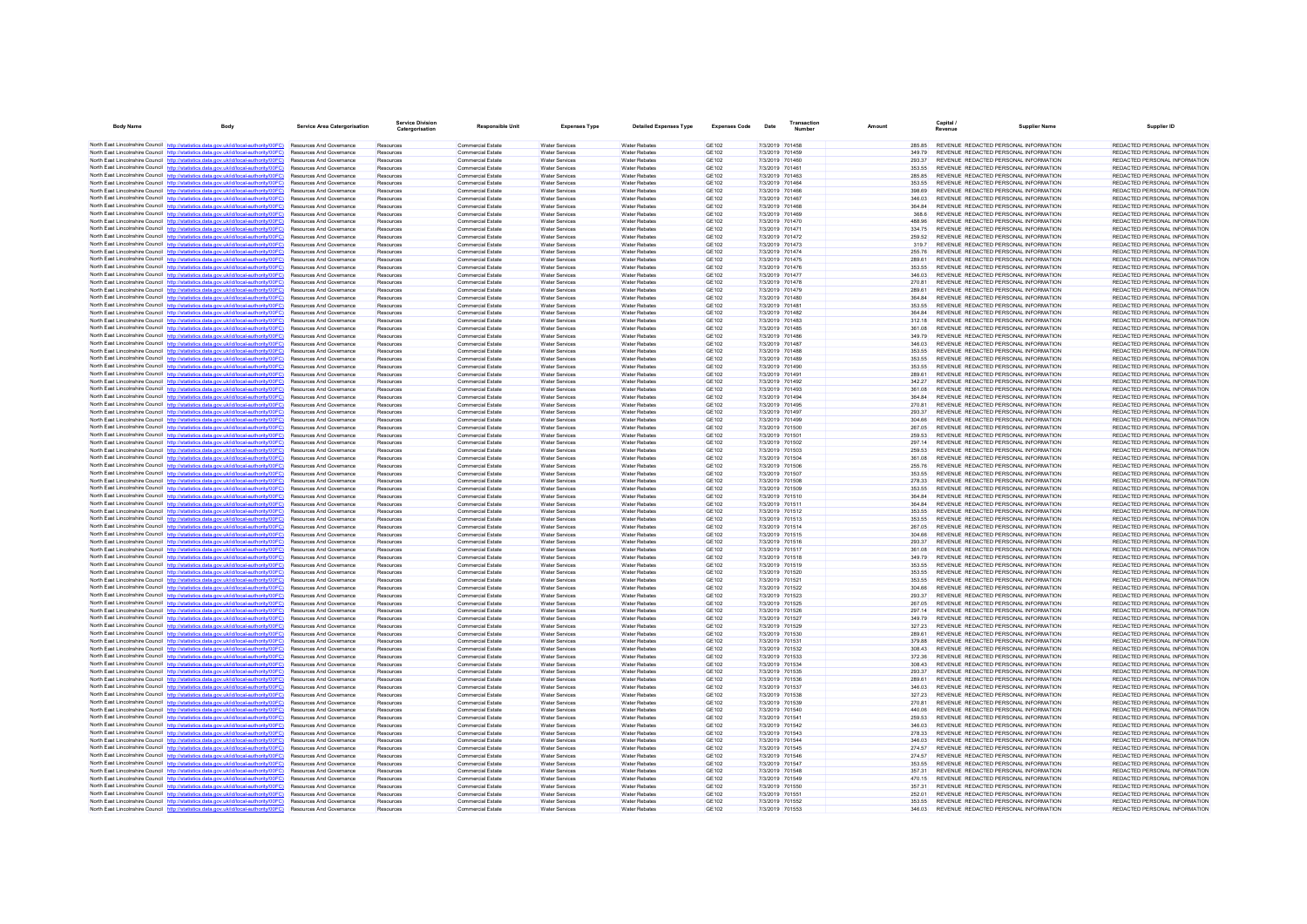| <b>Body Name</b>                          | Body                                                                                                                                                                             | <b>Service Area Catergorisation</b>                                | <b>Service Division</b><br>Catergorisation | <b>Responsible Unit</b>                       | <b>Expenses Type</b>                           | <b>Detailed Expenses Type</b>                | <b>Expenses Code</b>  | Date            | Transaction<br>Number              | Amount             | Capital /<br>Revenue                                                           | <b>Supplier Name</b> | Supplier ID                                                    |
|-------------------------------------------|----------------------------------------------------------------------------------------------------------------------------------------------------------------------------------|--------------------------------------------------------------------|--------------------------------------------|-----------------------------------------------|------------------------------------------------|----------------------------------------------|-----------------------|-----------------|------------------------------------|--------------------|--------------------------------------------------------------------------------|----------------------|----------------------------------------------------------------|
|                                           | North East Lincolnshire Council http://statistics.data.gov.uk/id/local-authority/00FC) Resources And Governance                                                                  |                                                                    | Resources                                  | Commercial Estate                             | <b>Water Services</b>                          | <b>Water Rehates</b>                         | GF102                 |                 | 7/3/2019 701458                    | 285.85             | REVENUE REDACTED PERSONAL INFORMATION                                          |                      | REDACTED PERSONAL INFORMATION                                  |
|                                           | North East Lincolnshire Council http://statistics.data.gov.uk/id/local-authority/00FC)                                                                                           | <b>Resources And Governance</b>                                    | Resources                                  | Commercial Estate                             | <b>Water Services</b>                          | <b>Water Rebates</b>                         | GF102                 |                 | 7/3/2019 701459                    | 349.79             | REVENUE REDACTED PERSONAL INFORMATION                                          |                      | REDACTED PERSONAL INFORMATION                                  |
|                                           | North East Lincolnshire Council http://statistics.data.gov.uk/id/local-authority/00FC)                                                                                           | Resources And Governance                                           | Resources                                  | <b>Commercial Estate</b>                      | <b>Water Services</b>                          | <b>Water Rebates</b>                         | <b>GE102</b>          |                 | 7/3/2019 701460                    | 293.37             | REVENUE REDACTED PERSONAL INFORMATION                                          |                      | REDACTED PERSONAL INFORMATION                                  |
|                                           | North East Lincolnshire Council http://statistics.data.gov.uk/id/local-authority/00FC)                                                                                           | Resources And Governance                                           | Resources                                  | <b>Commercial Estate</b>                      | <b>Water Services</b>                          | <b>Water Rebates</b>                         | <b>GE102</b>          |                 | 7/3/2019 701461                    | 353.55             | REVENUE REDACTED PERSONAL INFORMATION                                          |                      | REDACTED PERSONAL INFORMATION                                  |
|                                           | North East Lincolnshire Council http://statistics.data.gov.uk/id/local-authority/00FC)                                                                                           | <b>Resources And Governance</b>                                    | Resources                                  | <b>Commercial Estate</b>                      | Water Services                                 | <b>Water Rebates</b>                         | GE102                 |                 | 7/3/2019 701463                    | 28585              | REVENUE REDACTED PERSONAL INFORMATION                                          |                      | REDACTED PERSONAL INFORMATION                                  |
|                                           | North East Lincolnshire Council http://statistics.data.gov.uk/id/local-authority/00FC)                                                                                           | Resources And Governance                                           | Resources                                  | Commercial Estate                             | Water Services                                 | <b>Water Rebates</b>                         | GE102                 |                 | 7/3/2019 701464                    | 353.55             | REVENUE REDACTED PERSONAL INFORMATION                                          |                      | REDACTED PERSONAL INFORMATION                                  |
|                                           | North East Lincolnshire Council http://statistics.data.gov.uk/id/local-authority/00FC)                                                                                           | Resources And Governance                                           | Resources                                  | Commercial Estate                             | Water Services                                 | <b>Water Rebates</b>                         | <b>GE102</b>          |                 | 7/3/2019 701466                    | 398.69             | REVENUE REDACTED PERSONAL INFORMATION                                          |                      | REDACTED PERSONAL INFORMATION                                  |
|                                           | North East Lincolnshire Council http://statistics.data.gov.uk/id/local-authority/00FC)                                                                                           | Resources And Governance                                           | Resources                                  | <b>Commercial Estate</b>                      | <b>Water Services</b>                          | <b>Water Rebates</b>                         | GE102                 |                 | 7/3/2019 701467                    | 346.03             | REVENUE REDACTED PERSONAL INFORMATION                                          |                      | REDACTED PERSONAL INFORMATION                                  |
|                                           | North East Lincolnshire Council http://statistics.data.gov.uk/id/local-authority/00FC)                                                                                           | Resources And Governance                                           | Resources                                  | Commercial Estate                             | Water Services                                 | <b>Water Rehates</b>                         | GF102                 |                 | 7/3/2019 701468                    | 36484              | REVENUE REDACTED PERSONAL INFORMATION                                          |                      | REDACTED PERSONAL INFORMATION                                  |
|                                           | North East Lincolnshire Council http://statistics.data.gov.uk/id/local-authority/00FC)                                                                                           | Resources And Governance                                           | Resources                                  | <b>Commercial Estate</b>                      | <b>Water Services</b>                          | <b>Water Rebates</b>                         | <b>GE102</b>          |                 | 7/3/2019 701469                    | 368.6              | REVENUE REDACTED PERSONAL INFORMATION                                          |                      | REDACTED PERSONAL INFORMATION                                  |
|                                           | North East Lincolnshire Council http://statistics.data.gov.uk/id/local-authority/00FC)                                                                                           | <b>Resources And Governance</b>                                    | Resources                                  | <b>Commercial Estate</b>                      | <b>Water Services</b>                          | <b>Water Rebates</b>                         | GE102                 |                 | 7/3/2019 701470                    | 488.96             | REVENUE REDACTED PERSONAL INFORMATION                                          |                      | REDACTED PERSONAL INFORMATION                                  |
|                                           | North East Lincolnshire Council http://statistics.data.gov.uk/id/local-authority/00FC)                                                                                           | Resources And Governance                                           | Resources                                  | <b>Commercial Estate</b>                      | Water Services                                 | <b>Water Rebates</b>                         | <b>GE102</b>          |                 | 7/3/2019 701471                    | 334.75             | REVENUE REDACTED PERSONAL INFORMATION                                          |                      | REDACTED PERSONAL INFORMATION                                  |
|                                           | North East Lincolnshire Council http://statistics.data.gov.uk/id/local-authority/00FC)                                                                                           | Resources And Governance                                           | Resources                                  | <b>Commercial Estate</b>                      | Water Services                                 | <b>Water Rebates</b>                         | GE102                 |                 | 7/3/2019 701472                    | 259.52             | REVENUE REDACTED PERSONAL INFORMATION                                          |                      | REDACTED PERSONAL INFORMATION                                  |
|                                           | North East Lincolnshire Council http://statistics.data.gov.uk/id/local-authority/00FC)                                                                                           | Resources And Governance                                           | Resources                                  | <b>Commercial Estate</b>                      | <b>Water Services</b>                          | <b>Water Rebates</b>                         | <b>GE102</b>          |                 | 7/3/2019 701473                    | 3197               | REVENUE REDACTED PERSONAL INFORMATION                                          |                      | REDACTED PERSONAL INFORMATION                                  |
|                                           | North East Lincolnshire Council http://statistics.data.gov.uk/id/local-authority/00FC)                                                                                           | <b>Resources And Governance</b>                                    | Resources                                  | <b>Commercial Estate</b>                      | Water Services                                 | <b>Water Rebates</b>                         | GE102                 |                 | 7/3/2019 701474                    | 255 76             | REVENUE REDACTED PERSONAL INFORMATION                                          |                      | REDACTED PERSONAL INFORMATION                                  |
|                                           | North East Lincolnshire Council http://statistics.data.gov.uk/id/local-authority/00FC)                                                                                           | Resources And Governance                                           | Resources                                  | Commercial Estate                             | Water Services                                 | Water Rebates                                | <b>GE102</b>          |                 | 7/3/2019 701475                    | 289.61             | REVENUE REDACTED PERSONAL INFORMATION                                          |                      | REDACTED PERSONAL INFORMATION                                  |
|                                           | North East Lincolnshire Council http://statistics.data.gov.uk/id/local-authority/00FC)                                                                                           | Resources And Governance                                           | Resources                                  | <b>Commercial Estate</b>                      | Water Services                                 | <b>Water Rebates</b>                         | <b>GE102</b>          |                 | 7/3/2019 701476                    | 353.55             | REVENUE REDACTED PERSONAL INFORMATION                                          |                      | REDACTED PERSONAL INFORMATION                                  |
|                                           | North East Lincolnshire Council http://statistics.data.gov.uk/id/local-authority/00FC)                                                                                           | Resources And Governance                                           | Resources                                  | Commercial Estate                             | <b>Water Services</b>                          | <b>Water Rebates</b>                         | GE102                 |                 | 7/3/2019 701477                    | 346.03             | REVENUE REDACTED PERSONAL INFORMATION                                          |                      | REDACTED PERSONAL INFORMATION                                  |
|                                           | North East Lincolnshire Council http://statistics.data.gov.uk/id/local-authority/00FC)                                                                                           | Resources And Governance                                           | Resources                                  | <b>Commercial Estate</b>                      | <b>Water Services</b>                          | <b>Water Rebates</b>                         | GE102                 |                 | 7/3/2019 701478                    | 270.81             | REVENUE REDACTED PERSONAL INFORMATION                                          |                      | REDACTED PERSONAL INFORMATION                                  |
|                                           | North East Lincolnshire Council http://statistics.data.gov.uk/id/local-authority/00FC)                                                                                           | Resources And Governance                                           | Resources                                  | <b>Commercial Estate</b>                      | <b>Water Services</b>                          | <b>Water Rebates</b>                         | GE102                 |                 | 7/3/2019 701479                    | 289.61             | REVENUE REDACTED PERSONAL INFORMATION                                          |                      | REDACTED PERSONAL INFORMATION                                  |
|                                           | North East Lincolnshire Council http://statistics.data.gov.uk/id/local-authority/00FC)                                                                                           | <b>Resources And Governance</b>                                    | Resources                                  | Commercial Estate                             | <b>Water Services</b>                          | <b>Water Rebates</b>                         | GF102                 |                 | 7/3/2019 701480                    | 36484              | REVENUE REDACTED PERSONAL INFORMATION                                          |                      | REDACTED PERSONAL INFORMATION                                  |
|                                           | North East Lincolnshire Council http://statistics.data.gov.uk/id/local-authority/00FC)                                                                                           | Resources And Governance                                           | Resources                                  | <b>Commercial Estate</b>                      | Water Services                                 | <b>Water Rebates</b>                         | <b>GE102</b>          |                 | 7/3/2019 701481                    | 353.55             | REVENUE REDACTED PERSONAL INFORMATION                                          |                      | REDACTED PERSONAL INFORMATION                                  |
|                                           | North East Lincolnshire Council http://statistics.data.gov.uk/id/local-authority/00FC)                                                                                           | Resources And Governance                                           | Resources                                  | Commercial Estate                             | Water Services                                 | <b>Water Rebates</b>                         | <b>GE102</b>          |                 | 7/3/2019 701482                    | 364.84             | REVENUE REDACTED PERSONAL INFORMATION                                          |                      | REDACTED PERSONAL INFORMATION                                  |
|                                           | North East Lincolnshire Council http://statistics.data.gov.uk/id/local-authority/00FC)                                                                                           | Resources And Governance<br><b>Resources And Governance</b>        | Resources<br>Resources                     | <b>Commercial Estate</b><br>Commercial Estate | <b>Water Services</b><br><b>Water Services</b> | <b>Water Rebates</b><br><b>Water Rebates</b> | GE102<br>GF102        |                 | 7/3/2019 701483<br>7/3/2019 701485 | 312.18<br>361.08   | REVENUE REDACTED PERSONAL INFORMATION<br>REVENUE REDACTED PERSONAL INFORMATION |                      | REDACTED PERSONAL INFORMATION<br>REDACTED PERSONAL INFORMATION |
|                                           | North East Lincolnshire Council http://statistics.data.gov.uk/id/local-authority/00FC)<br>North East Lincolnshire Council http://statistics.data.gov.uk/id/local-authority/00FC) |                                                                    |                                            |                                               | <b>Water Services</b>                          | <b>Water Rebates</b>                         | <b>GE102</b>          |                 | 7/3/2019 701486                    |                    | REVENUE REDACTED PERSONAL INFORMATION                                          |                      | REDACTED PERSONAL INFORMATION                                  |
|                                           |                                                                                                                                                                                  | Resources And Governance<br>Resources And Governance               | Resources<br>Resources                     | <b>Commercial Estate</b><br>Commercial Estate | Water Services                                 | <b>Water Rebates</b>                         | <b>GE102</b>          | 7/3/2019 701487 |                                    | 349.79<br>346.03   | REVENUE REDACTED PERSONAL INFORMATION                                          |                      | REDACTED PERSONAL INFORMATION                                  |
|                                           | North East Lincolnshire Council http://statistics.data.gov.uk/id/local-authority/00FC)                                                                                           |                                                                    |                                            |                                               |                                                |                                              |                       |                 |                                    |                    |                                                                                |                      |                                                                |
|                                           | North East Lincolnshire Council http://statistics.data.gov.uk/id/local-authority/00EC)<br>North East Lincolnshire Council http://statistics.data.gov.uk/id/local-authority/00FC) | <b>Resources And Governance</b>                                    | Resources                                  | <b>Commercial Estate</b>                      | <b>Water Services</b>                          | <b>Water Rebates</b>                         | GE102                 |                 | 7/3/2019 701488                    | 353.55             | REVENUE REDACTED PERSONAL INFORMATION                                          |                      | REDACTED PERSONAL INFORMATION                                  |
|                                           |                                                                                                                                                                                  | Resources And Governance<br>Resources And Governance               | Resources                                  | Commercial Estate                             | <b>Water Services</b>                          | Water Rebates<br><b>Water Rebates</b>        | GE102<br><b>GE102</b> |                 | 7/3/2019 701489<br>7/3/2019 701490 | 353.55<br>353.55   | REVENUE REDACTED PERSONAL INFORMATION                                          |                      | REDACTED PERSONAL INFORMATION                                  |
|                                           | North East Lincolnshire Council http://statistics.data.gov.uk/id/local-authority/00FC)<br>North East Lincolnshire Council http://statistics.data.gov.uk/id/local-authority/00FC) |                                                                    | Resources                                  | Commercial Estate                             | Water Services                                 |                                              | GE102                 |                 |                                    |                    | REVENUE REDACTED PERSONAL INFORMATION                                          |                      | REDACTED PERSONAL INFORMATION<br>REDACTED PERSONAL INFORMATION |
|                                           | North East Lincolnshire Council http://statistics.data.gov.uk/id/local-authority/00FC)                                                                                           | Resources And Governance<br>Resources And Covernance               | Resources<br>Resources                     | <b>Commercial Estate</b><br>Commercial Estate | <b>Water Services</b><br>Water Services        | <b>Water Rebates</b><br><b>Water Rebates</b> | GE102                 |                 | 7/3/2019 701491<br>7/3/2019 701492 | 289.61<br>342.27   | REVENUE REDACTED PERSONAL INFORMATION<br>REVENUE REDACTED PERSONAL INFORMATION |                      | REDACTED PERSONAL INFORMATION                                  |
|                                           | North East Lincolnshire Council http://statistics.data.gov.uk/id/local-authority/00FC)                                                                                           | Resources And Governance                                           | Resources                                  | <b>Commercial Estate</b>                      | <b>Water Services</b>                          | <b>Water Rebates</b>                         | <b>GE102</b>          |                 | 7/3/2019 701493                    | 361.08             | REVENUE REDACTED PERSONAL INFORMATION                                          |                      | REDACTED PERSONAL INFORMATION                                  |
|                                           | North East Lincolnshire Council http://statistics.data.gov.uk/id/local-authority/00FC)                                                                                           | <b>Resources And Governance</b>                                    | Resources                                  | <b>Commercial Estate</b>                      | Water Services                                 | <b>Water Rebates</b>                         | GE102                 |                 | 7/3/2019 701494                    | 36484              | REVENUE REDACTED PERSONAL INFORMATION                                          |                      | REDACTED PERSONAL INFORMATION                                  |
|                                           | North East Lincolnshire Council http://statistics.data.gov.uk/id/local-authority/00FC)                                                                                           | <b>Resources And Governance</b>                                    | Resources                                  | Commercial Estate                             | <b>Water Services</b>                          | <b>Water Rebates</b>                         | GF102                 |                 | 7/3/2019 701495                    | 270.81             | REVENUE REDACTED PERSONAL INFORMATION                                          |                      | REDACTED PERSONAL INFORMATION                                  |
|                                           | North East Lincolnshire Council http://statistics.data.gov.uk/id/local-authority/00FC)                                                                                           | Resources And Governance                                           | Resources                                  | Commercial Estate                             | Water Services                                 | <b>Water Rebates</b>                         | <b>GE102</b>          |                 | 7/3/2019 701497                    | 293.37             | REVENUE REDACTED PERSONAL INFORMATION                                          |                      | REDACTED PERSONAL INFORMATION                                  |
| North East Lincolnshire Council http://st | atistics data nov uk/id/local-authority/00EC)                                                                                                                                    | Resources And Governance                                           | Resources                                  | <b>Commercial Estate</b>                      | <b>Water Services</b>                          | <b>Water Rebates</b>                         | <b>GE102</b>          |                 | 7/3/2019 701499                    | 304.66             | REVENUE REDACTED PERSONAL INFORMATION                                          |                      | REDACTED PERSONAL INFORMATION                                  |
|                                           | North East Lincolnshire Council http://statistics.data.gov.uk/id/local-authority/00FC)                                                                                           | <b>Resources And Governance</b>                                    | Resources                                  | <b>Commercial Estate</b>                      | Water Services                                 | <b>Water Rebates</b>                         | GE102                 |                 | 7/3/2019 701500                    | 267.05             | REVENUE REDACTED PERSONAL INFORMATION                                          |                      | REDACTED PERSONAL INFORMATION                                  |
|                                           | North East Lincolnshire Council http://statistics.data.gov.uk/id/local-authority/00FC)                                                                                           | Resources And Governance                                           | Resources                                  | Commercial Estate                             | <b>Water Services</b>                          | <b>Water Rebates</b>                         | GE102                 |                 | 7/3/2019 701501                    | 259.53             | REVENUE REDACTED PERSONAL INFORMATION                                          |                      | REDACTED PERSONAL INFORMATION                                  |
|                                           | North East Lincolnshire Council http://statistics.data.gov.uk/id/local-authority/00FC)                                                                                           | Resources And Governance                                           | Resources                                  | <b>Commercial Estate</b>                      | Water Services                                 | <b>Water Rebates</b>                         | <b>GE102</b>          |                 | 7/3/2019 701502                    | 297.14             | REVENUE REDACTED PERSONAL INFORMATION                                          |                      | REDACTED PERSONAL INFORMATION                                  |
|                                           | North East Lincolnshire Council http://statistics.data.gov.uk/id/local-authority/00FC)                                                                                           | Resources And Governance                                           | Resources                                  | Commercial Estate                             | <b>Water Services</b>                          | <b>Water Rebates</b>                         | GE102                 |                 | 7/3/2019 701503                    | 259.53             | REVENUE REDACTED PERSONAL INFORMATION                                          |                      | REDACTED PERSONAL INFORMATION                                  |
|                                           | North East Lincolnshire Council http://statistics.data.gov.uk/id/local-authority/00FC)                                                                                           | Resources And Governance                                           | Resources                                  | <b>Commercial Estate</b>                      | <b>Water Services</b>                          | <b>Water Rebates</b>                         | GE102                 |                 | 7/3/2019 701504                    | 361.0 <sub>8</sub> | REVENUE REDACTED PERSONAL INFORMATION                                          |                      | REDACTED PERSONAL INFORMATION                                  |
|                                           | North East Lincolnshire Council http://statistics.data.gov.uk/id/local-authority/00FC)                                                                                           | Resources And Governance                                           | Resources                                  | <b>Commercial Estate</b>                      | <b>Water Services</b>                          | Water Rebate                                 | GE102                 |                 | 7/3/2019 701506                    | 255.76             | REVENUE REDACTED PERSONAL INFORMATION                                          |                      | REDACTED PERSONAL INFORMATION                                  |
|                                           | North East Lincolnshire Council http://statistics.data.gov.uk/id/local-authority/00FC)                                                                                           | <b>Resources And Governance</b>                                    | Resources                                  | Commercial Estate                             | <b>Water Services</b>                          | <b>Water Rebates</b>                         | GF102                 |                 | 7/3/2019 701507                    | 353.55             | REVENUE REDACTED PERSONAL INFORMATION                                          |                      | REDACTED PERSONAL INFORMATION                                  |
|                                           | North East Lincolnshire Council http://statistics.data.gov.uk/id/local-authority/00FC)                                                                                           | <b>Resources And Governance</b>                                    | Resources                                  | <b>Commercial Estate</b>                      | Water Services                                 | <b>Water Rebates</b>                         | <b>GE102</b>          |                 | 7/3/2019 701508                    | 278.33             | REVENUE REDACTED PERSONAL INFORMATION                                          |                      | REDACTED PERSONAL INFORMATION                                  |
|                                           | North East Lincolnshire Council http://statistics.data.gov.uk/id/local-authority/00FC)                                                                                           | Resources And Governance                                           | Resources                                  | <b>Commercial Estate</b>                      | Water Services                                 | <b>Water Rebates</b>                         | <b>GE102</b>          |                 | 7/3/2019 701509                    | 353.55             | REVENUE REDACTED PERSONAL INFORMATION                                          |                      | REDACTED PERSONAL INFORMATION                                  |
|                                           | North East Lincolnshire Council http://statistics.data.gov.uk/id/local-authority/00FC)                                                                                           | Resources And Governance                                           | Resources                                  | Commercial Estate                             | <b>Water Services</b>                          | <b>Water Rebates</b>                         | GE102                 |                 | 7/3/2019 701510                    | 364.84             | REVENUE REDACTED PERSONAL INFORMATION                                          |                      | REDACTED PERSONAL INFORMATION                                  |
|                                           | North East Lincolnshire Council http://statistics.data.gov.uk/id/local-authority/00FC)                                                                                           | <b>Resources And Governance</b>                                    | Resources                                  | Commercial Estate                             | <b>Water Services</b>                          | <b>Water Rebates</b>                         | GF102                 |                 | 7/3/2019 701511                    | 36484              | REVENUE REDACTED PERSONAL INFORMATION                                          |                      | REDACTED PERSONAL INFORMATION                                  |
|                                           | North East Lincolnshire Council http://statistics.data.gov.uk/id/local-authority/00FC)                                                                                           | Resources And Governance                                           | Resources                                  | <b>Commercial Estate</b>                      | <b>Water Services</b>                          | <b>Water Rebates</b>                         | <b>GE102</b>          |                 | 7/3/2019 701512                    | 353.55             | REVENUE REDACTED PERSONAL INFORMATION                                          |                      | REDACTED PERSONAL INFORMATION                                  |
|                                           | North East Lincolnshire Council http://statistics.data.gov.uk/id/local-authority/00FC)                                                                                           | Resources And Governance                                           | Resources                                  | Commercial Estate                             | Water Services                                 | <b>Water Rebates</b>                         | <b>GE102</b>          |                 | 7/3/2019 701513                    | 353.55             | REVENUE REDACTED PERSONAL INFORMATION                                          |                      | REDACTED PERSONAL INFORMATION                                  |
|                                           | North East Lincolnshire Council http://statistics.data.gov.uk/id/local-authority/00FC)                                                                                           | Resources And Governance                                           | Resources                                  | <b>Commercial Estate</b>                      | <b>Water Services</b>                          | <b>Water Rebates</b>                         | <b>GE102</b>          |                 | 7/3/2019 701514                    | 267.05             | REVENUE REDACTED PERSONAL INFORMATION                                          |                      | REDACTED PERSONAL INFORMATION                                  |
|                                           | North East Lincolnshire Council http://statistics.data.gov.uk/id/local-authority/00FC)                                                                                           | Resources And Governance                                           | Resources                                  | Commercial Estate                             | <b>Water Services</b>                          | <b>Water Rebates</b>                         | GE102                 |                 | 7/3/2019 701515                    | 304.66             | REVENUE REDACTED PERSONAL INFORMATION                                          |                      | REDACTED PERSONAL INFORMATION                                  |
|                                           | North East Lincolnshire Council http://statistics.data.gov.uk/id/local-authority/00FC)<br>North East Lincolnshire Council http://statistics.data.gov.uk/id/local-authority/00FC) | Resources And Governance                                           | Resources                                  | Commercial Estate                             | Water Services                                 | <b>Water Rebates</b>                         | <b>GE102</b>          |                 | 7/3/2019 701516                    | 293.37             | REVENUE REDACTED PERSONAL INFORMATION                                          |                      | REDACTED PERSONAL INFORMATION<br>REDACTED PERSONAL INFORMATION |
|                                           | North East Lincolnshire Council http://statistics.data.gov.uk/id/local-authority/00FC)                                                                                           | Resources And Governance<br><b>Resources And Governance</b>        | Resources<br>Resources                     | <b>Commercial Estate</b><br>Commercial Estate | <b>Water Services</b><br><b>Water Services</b> | <b>Water Rebates</b><br><b>Water Rebates</b> | GE102<br><b>GE102</b> |                 | 7/3/2019 701517<br>7/3/2019 701518 | 361.08<br>349.79   | REVENUE REDACTED PERSONAL INFORMATION<br>REVENUE REDACTED PERSONAL INFORMATION |                      | REDACTED PERSONAL INFORMATION                                  |
|                                           | North East Lincolnshire Council http://statistics.data.gov.uk/id/local-authority/00FC)                                                                                           | Resources And Governance                                           | Resources                                  | <b>Commercial Estate</b>                      | <b>Water Services</b>                          | <b>Water Rebates</b>                         | <b>GE102</b>          |                 | 7/3/2019 701519                    | 353.55             | REVENUE REDACTED PERSONAL INFORMATION                                          |                      | REDACTED PERSONAL INFORMATION                                  |
|                                           | North East Lincolnshire Council http://statistics.data.gov.uk/id/local-authority/00FC)                                                                                           | <b>Resources And Governance</b>                                    | Resources                                  | <b>Commercial Estate</b>                      | Water Services                                 | <b>Water Rebates</b>                         | GE102                 |                 | 7/3/2019 701520                    | 353.55             | REVENUE REDACTED PERSONAL INFORMATION                                          |                      | REDACTED PERSONAL INFORMATION                                  |
|                                           | North East Lincolnshire Council http://statistics.data.gov.uk/id/local-authority/00FC)                                                                                           | <b>Resources And Governance</b>                                    | Resources                                  | Commercial Estate                             | <b>Water Services</b>                          | <b>Water Rebates</b>                         | GF102                 |                 | 7/3/2019 701521                    | 353.55             | REVENUE REDACTED PERSONAL INFORMATION                                          |                      | REDACTED PERSONAL INFORMATION                                  |
|                                           | North East Lincolnshire Council http://statistics.data.gov.uk/id/local-authority/00FC)                                                                                           | Resources And Governance                                           | Resources                                  | Commercial Estate                             | <b>Water Services</b>                          | Water Rebates                                | <b>GE102</b>          |                 | 7/3/2019 701522                    | 304.66             | REVENUE REDACTED PERSONAL INFORMATION                                          |                      | REDACTED PERSONAL INFORMATION                                  |
|                                           | North East Lincolnshire Council http://statistics.data.gov.uk/id/local-authority/00FC)                                                                                           | Resources And Governance                                           | Resources                                  | <b>Commercial Estate</b>                      | <b>Water Services</b>                          | <b>Water Rebates</b>                         | GE102                 |                 | 7/3/2019 701523                    | 293.37             | REVENUE REDACTED PERSONAL INFORMATION                                          |                      | REDACTED PERSONAL INFORMATION                                  |
|                                           | North East Lincolnshire Council http://statistics.data.gov.uk/id/local-authority/00EC)                                                                                           | <b>Resources And Governance</b>                                    | Resources                                  | <b>Commercial Estate</b>                      | Water Services                                 | <b>Water Rebates</b>                         | GE102                 |                 | 7/3/2019 701525                    | 267.05             | REVENUE REDACTED PERSONAL INFORMATION                                          |                      | REDACTED PERSONAL INFORMATION                                  |
|                                           | North East Lincolnshire Council http://statistics.data.gov.uk/id/local-authority/00FC)                                                                                           | Resources And Governance                                           | Resources                                  | Commercial Estate                             | <b>Water Services</b>                          | <b>Water Rebates</b>                         | GE102                 |                 | 7/3/2019 701526                    | 297.14             | REVENUE REDACTED PERSONAL INFORMATION                                          |                      | REDACTED PERSONAL INFORMATION                                  |
|                                           | North East Lincolnshire Council http://statistics.data.gov.uk/id/local-authority/00FC)                                                                                           | Resources And Governance                                           | Resources                                  | Commercial Estate                             | Water Services                                 | <b>Water Rebates</b>                         | <b>GE102</b>          |                 | 7/3/2019 701527                    | 349.79             | REVENUE REDACTED PERSONAL INFORMATION                                          |                      | REDACTED PERSONAL INFORMATION                                  |
|                                           | North East Lincolnshire Council http://statistics.data.gov.uk/id/local-authority/00FC)                                                                                           | Resources And Governance                                           | Resources                                  | <b>Commercial Estate</b>                      | <b>Water Services</b>                          | <b>Water Rebates</b>                         | GE102                 |                 | 7/3/2019 701529                    | 327.23             | REVENUE REDACTED PERSONAL INFORMATION                                          |                      | REDACTED PERSONAL INFORMATION                                  |
|                                           | North East Lincolnshire Council http://statistics.data.gov.uk/id/local-authority/00FC)                                                                                           | Resources And Governance                                           | Resources                                  | <b>Commercial Estate</b>                      | <b>Water Services</b>                          | <b>Water Rebates</b>                         | GE102                 |                 | 7/3/2019 701530                    | 289.61             | REVENUE REDACTED PERSONAL INFORMATION                                          |                      | REDACTED PERSONAL INFORMATION                                  |
|                                           | North East Lincolnshire Council http://statistics.data.gov.uk/id/local-authority/00FC)                                                                                           | Resources And Governance                                           | Resources                                  | <b>Commercial Estate</b>                      | <b>Water Services</b>                          | Water Rebate                                 | GE102                 |                 | 7/3/2019 701531                    | 379.88             | REVENUE REDACTED PERSONAL INFORMATION                                          |                      | REDACTED PERSONAL INFORMATION                                  |
|                                           | North East Lincolnshire Council http://statistics.data.gov.uk/id/local-authority/00FC)                                                                                           | <b>Resources And Governance</b>                                    | Resources                                  | Commercial Estate                             | <b>Water Services</b>                          | Water Rebates                                | GE102                 |                 | 7/3/2019 701532                    | 308 43             | REVENUE REDACTED PERSONAL INFORMATION                                          |                      | REDACTED PERSONAL INFORMATION                                  |
|                                           | North East Lincolnshire Council http://statistics.data.gov.uk/id/local-authority/00FC)                                                                                           | Resources And Governance                                           | Resources                                  | Commercial Estate                             | Water Services                                 | <b>Water Rebates</b>                         | <b>GE102</b>          |                 | 7/3/2019 701533                    | 372.36             | REVENUE REDACTED PERSONAL INFORMATION                                          |                      | REDACTED PERSONAL INFORMATION                                  |
|                                           | North East Lincolnshire Council http://statistics.data.gov.uk/id/local-authority/00FC)                                                                                           | Resources And Governance                                           | Resources                                  | <b>Commercial Estate</b>                      | Water Services                                 | <b>Water Rebates</b>                         | <b>GE102</b>          |                 | 7/3/2019 701534                    | 308.43             | REVENUE REDACTED PERSONAL INFORMATION                                          |                      | REDACTED PERSONAL INFORMATION                                  |
|                                           | North East Lincolnshire Council http://statistics.data.gov.uk/id/local-authority/00FC)                                                                                           | Resources And Governance                                           | Resources                                  | Commercial Estate                             | <b>Water Services</b>                          | <b>Water Rebates</b>                         | <b>GE102</b>          |                 | 7/3/2019 701535                    | 293.37             | REVENUE REDACTED PERSONAL INFORMATION                                          |                      | REDACTED PERSONAL INFORMATION                                  |
|                                           | North East Lincolnshire Council http://statistics.data.gov.uk/id/local-authority/00EC)                                                                                           | <b>Resources And Governance</b>                                    | Resources                                  | Commercial Estate                             | Water Services                                 | <b>Water Rebates</b>                         | GF102                 |                 | 7/3/2019 701536                    | 289.61             | REVENUE REDACTED PERSONAL INFORMATION                                          |                      | REDACTED PERSONAL INFORMATION                                  |
|                                           | North East Lincolnshire Council http://statistics.data.gov.uk/id/local-authority/00FC)                                                                                           | Resources And Governance                                           | Resources                                  | <b>Commercial Estate</b>                      | <b>Water Services</b>                          | <b>Water Rebates</b>                         | <b>GE102</b>          |                 | 7/3/2019 701537                    | 346.03             | REVENUE REDACTED PERSONAL INFORMATION                                          |                      | REDACTED PERSONAL INFORMATION                                  |
|                                           | North East Lincolnshire Council http://statistics.data.gov.uk/id/local-authority/00FC)                                                                                           | Resources And Governance                                           | Resources                                  | Commercial Estate                             | <b>Water Services</b>                          | <b>Water Rebates</b>                         | <b>GE102</b>          |                 | 7/3/2019 701538                    | 327.23             | REVENUE REDACTED PERSONAL INFORMATION                                          |                      | REDACTED PERSONAL INFORMATION                                  |
|                                           | North East Lincolnshire Council http://statistics.data.gov.uk/id/local-authority/00FC)                                                                                           | Resources And Governance                                           | Resources                                  | <b>Commercial Estate</b>                      | <b>Water Services</b>                          | <b>Water Rebates</b>                         | <b>GE102</b>          |                 | 7/3/2019 701539                    | 270.81             | REVENUE REDACTED PERSONAL INFORMATION                                          |                      | REDACTED PERSONAL INFORMATION                                  |
|                                           | North East Lincolnshire Council http://statistics.data.gov.uk/id/local-authority/00FC)                                                                                           | <b>Resources And Governance</b>                                    | Resources                                  | <b>Commercial Estate</b>                      | <b>Water Services</b>                          | <b>Water Rebates</b>                         | GE102                 |                 | 7/3/2019 701540                    | 440.06             | REVENUE REDACTED PERSONAL INFORMATION                                          |                      | REDACTED PERSONAL INFORMATION                                  |
|                                           | North East Lincolnshire Council http://statistics.data.gov.uk/id/local-authority/00FC)                                                                                           | Resources And Governance                                           | Resources                                  | Commercial Estate                             | <b>Water Services</b>                          | <b>Water Rebates</b>                         | GE102                 | 7/3/2019 701541 |                                    | 259.53             | REVENUE REDACTED PERSONAL INFORMATION                                          |                      | REDACTED PERSONAL INFORMATION                                  |
|                                           | North East Lincolnshire Council http://statistics.data.gov.uk/id/local-authority/00EC)                                                                                           | <b>Resources And Governance</b>                                    | Resources                                  | Commercial Estate                             | <b>Water Services</b>                          | <b>Water Rebates</b>                         | GF102                 |                 | 7/3/2019 701542                    | 346.03             | REVENUE REDACTED PERSONAL INFORMATION                                          |                      | REDACTED PERSONAL INFORMATION                                  |
|                                           | North East Lincolnshire Council http://statistics.data.gov.uk/id/local-authority/00FC)                                                                                           | <b>Resources And Governance</b>                                    | Resources                                  | Commercial Estate                             | <b>Water Services</b>                          | <b>Water Rebates</b>                         | <b>GE102</b>          |                 | 7/3/2019 701543                    | 278.33             | REVENUE REDACTED PERSONAL INFORMATION                                          |                      | REDACTED PERSONAL INFORMATION                                  |
|                                           | North East Lincolnshire Council http://statistics.data.gov.uk/id/local-authority/00FC)                                                                                           | Resources And Governance                                           | Resources                                  | <b>Commercial Estate</b>                      | <b>Water Services</b>                          | <b>Water Rebates</b>                         | <b>GE102</b>          |                 | 7/3/2019 701544                    | 346.03             | REVENUE REDACTED PERSONAL INFORMATION                                          |                      | REDACTED PERSONAL INFORMATION                                  |
|                                           | North East Lincolnshire Council http://statistics.data.gov.uk/id/local-authority/00FC)                                                                                           | <b>Resources And Governance</b><br><b>Resources And Governance</b> | Resources<br>Resources                     | <b>Commercial Estate</b><br>Commercial Estate | <b>Water Services</b><br><b>Water Services</b> | <b>Water Rebates</b><br><b>Water Rebates</b> | GE102<br>GF102        |                 | 7/3/2019 701545<br>7/3/2019 701546 | 274.57<br>274.57   | REVENUE REDACTED PERSONAL INFORMATION<br>REVENUE REDACTED PERSONAL INFORMATION |                      | REDACTED PERSONAL INFORMATION<br>REDACTED PERSONAL INFORMATION |
|                                           | North East Lincolnshire Council http://statistics.data.gov.uk/id/local-authority/00FC)<br>North East Lincolnshire Council http://statistics.data.gov.uk/id/local-authority/00FC) | Resources And Governance                                           | Resources                                  | Commercial Estate                             | <b>Water Services</b>                          | <b>Water Rebates</b>                         | <b>GE102</b>          |                 | 7/3/2019 701547                    | 353.55             | REVENUE REDACTED PERSONAL INFORMATION                                          |                      | REDACTED PERSONAL INFORMATION                                  |
|                                           | North East Lincolnshire Council http://statistics.data.gov.uk/id/local-authority/00FC)                                                                                           | Resources And Governance                                           | Resources                                  | Commercial Estate                             | <b>Water Services</b>                          | <b>Water Rebates</b>                         | <b>GE102</b>          |                 | 7/3/2019 701548                    | 357.31             | REVENUE REDACTED PERSONAL INFORMATION                                          |                      | REDACTED PERSONAL INFORMATION                                  |
|                                           | North East Lincolnshire Council http://statistics.data.gov.uk/id/local-authority/00FC)                                                                                           | Resources And Governance                                           | Resources                                  | Commercial Estate                             | <b>Water Services</b>                          | <b>Water Rebates</b>                         | <b>GE102</b>          |                 | 7/3/2019 701549                    | 470.15             | REVENUE REDACTED PERSONAL INFORMATION                                          |                      | REDACTED PERSONAL INFORMATION                                  |
|                                           | North East Lincolnshire Council http://statistics.data.gov.uk/id/local-authority/00FC)                                                                                           | Resources And Governance                                           | Resources                                  | Commercial Estate                             | <b>Water Services</b>                          | Water Rebates                                | GE102                 |                 | 7/3/2019 701550                    | 357.31             | REVENUE REDACTED PERSONAL INFORMATION                                          |                      | REDACTED PERSONAL INFORMATION                                  |
|                                           | North East Lincolnshire Council http://statistics.data.gov.uk/id/local-authority/00FC)                                                                                           | Resources And Governance                                           | Resources                                  | <b>Commercial Estate</b>                      | Water Services                                 | <b>Water Rebates</b>                         | <b>GE102</b>          |                 | 7/3/2019 701551                    | 252.01             | REVENUE REDACTED PERSONAL INFORMATION                                          |                      | REDACTED PERSONAL INFORMATION                                  |
|                                           | North East Lincolnshire Council http://statistics.data.gov.uk/id/local-authority/00FC)                                                                                           | Resources And Governance                                           | Resources                                  | <b>Commercial Estate</b>                      | <b>Water Services</b>                          | <b>Water Rebates</b>                         | GE102                 |                 | 7/3/2019 701552                    | 353.55             | REVENUE REDACTED PERSONAL INFORMATION                                          |                      | REDACTED PERSONAL INFORMATION                                  |
|                                           | North East Lincolnshire Council http://statistics.data.gov.uk/id/local-authority/00FC)                                                                                           | Resources And Governance                                           | Resources                                  | Commercial Estate                             | <b>Water Services</b>                          | <b>Water Rebates</b>                         | GE102                 |                 | 7/3/2019 701553                    | 346.03             | REVENUE REDACTED PERSONAL INFORMATION                                          |                      | REDACTED PERSONAL INFORMATION                                  |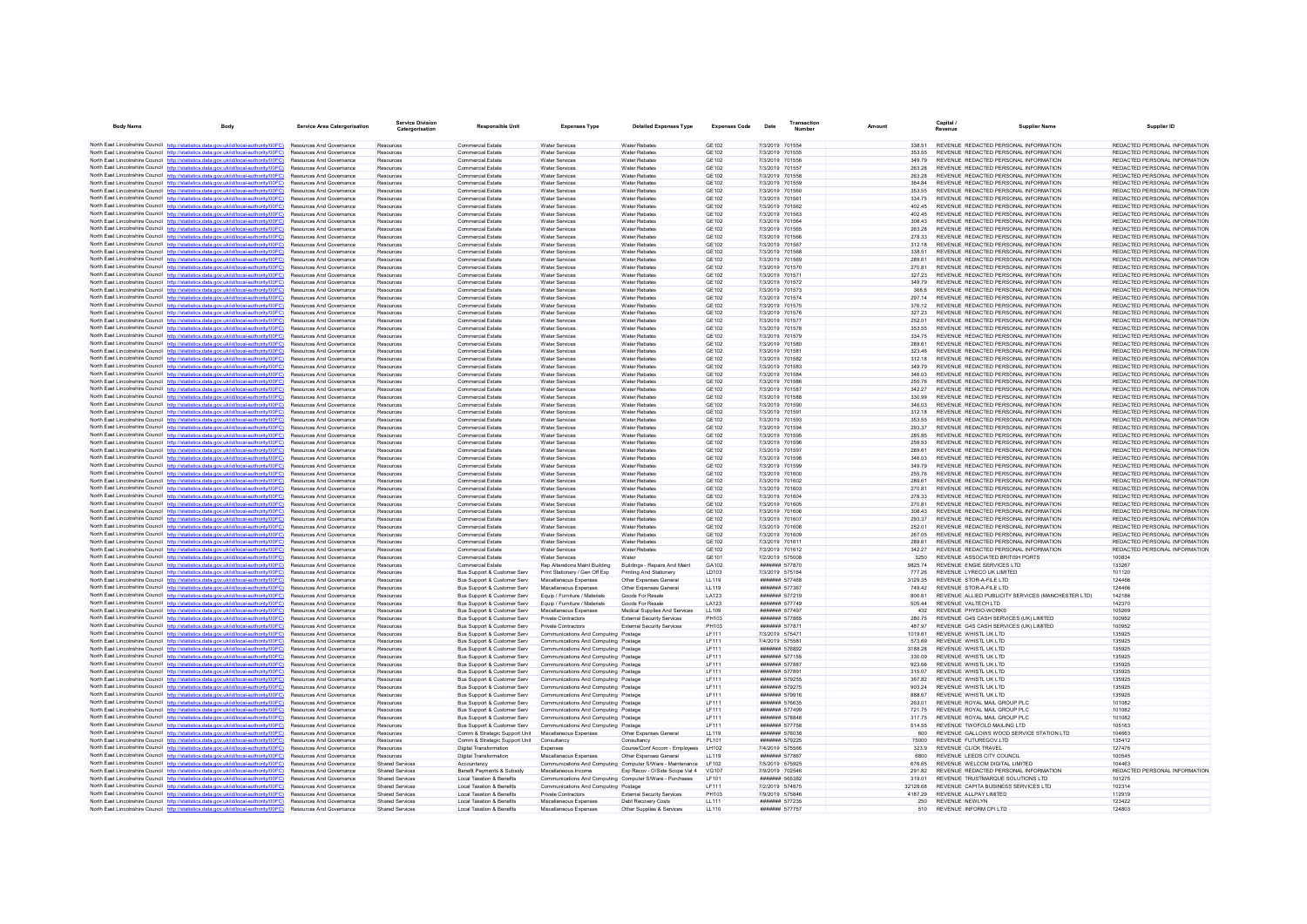| <b>Body Name</b>                        | <b>Body</b>                                                                                                                                                                      | <b>Service Area Catergorisation</b>                                | <b>Service Division</b><br>Catergorisation | <b>Responsible Unit</b>                                    | <b>Expenses Type</b>                                                         | <b>Detailed Expenses Type</b>                           | <b>Expenses Code</b>         | Date | <b>Transaction</b><br>Number             | Amount |                  | Capital /<br>Revenue                                                           | <b>Supplier Name</b>                               | Supplier ID                                                    |
|-----------------------------------------|----------------------------------------------------------------------------------------------------------------------------------------------------------------------------------|--------------------------------------------------------------------|--------------------------------------------|------------------------------------------------------------|------------------------------------------------------------------------------|---------------------------------------------------------|------------------------------|------|------------------------------------------|--------|------------------|--------------------------------------------------------------------------------|----------------------------------------------------|----------------------------------------------------------------|
|                                         |                                                                                                                                                                                  |                                                                    |                                            |                                                            |                                                                              |                                                         |                              |      |                                          |        |                  |                                                                                |                                                    |                                                                |
|                                         | North East Lincolnshire Council http://statistics.data.gov.uk/id/local-authority/00FC) Resources And Governance                                                                  |                                                                    | Resources                                  | Commercial Estate                                          | <b>Water Services</b>                                                        | <b>Water Rebates</b>                                    | GF102                        |      | 7/3/2019 701554                          |        | 338.51           | REVENUE REDACTED PERSONAL INFORMATION                                          |                                                    | REDACTED PERSONAL INFORMATION                                  |
|                                         | North East Lincolnshire Council http://statistics.data.gov.uk/id/local-authority/00FC)<br>North East Lincolnshire Council http://statistics.data.gov.uk/id/local-authority/00FC) | <b>Resources And Governance</b><br><b>Resources And Governance</b> | Resources                                  | Commercial Estate<br>Commercial Estate                     | <b>Water Services</b><br><b>Water Services</b>                               | <b>Water Rebates</b><br><b>Water Rehates</b>            | GF102<br><b>GE102</b>        |      | 7/3/2019 701555<br>7/3/2019 701556       |        | 353 55<br>349.79 | REVENUE REDACTED PERSONAL INFORMATION<br>REVENUE REDACTED PERSONAL INFORMATION |                                                    | REDACTED PERSONAL INFORMATION<br>REDACTED PERSONAL INFORMATION |
|                                         | North East Lincolnshire Council http://statistics.data.gov.uk/id/local-authority/00FC)                                                                                           | Resources And Governance                                           | Resources<br>Resources                     | Commercial Estate                                          | <b>Water Services</b>                                                        | <b>Water Rebates</b>                                    | GE102                        |      | 7/3/2019 701557                          |        | 263.28           | REVENUE REDACTED PERSONAL INFORMATION                                          |                                                    | REDACTED PERSONAL INFORMATION                                  |
|                                         | North East Lincolnshire Council http://statistics.data.gov.uk/id/local-authority/00FC)                                                                                           | <b>Resources And Governance</b>                                    | Resources                                  | Commercial Estate                                          | Water Services                                                               | <b>Water Rebates</b>                                    | GF102                        |      | 7/3/2019 701558                          |        | 263.28           | REVENUE REDACTED PERSONAL INFORMATION                                          |                                                    | REDACTED PERSONAL INFORMATION                                  |
|                                         | North East Lincolnshire Council http://statistics.data.gov.uk/id/local-authority/00FC)                                                                                           | Resources And Governance                                           | Resources                                  | Commercial Estate                                          | <b>Water Services</b>                                                        | <b>Water Rebates</b>                                    | <b>GE102</b>                 |      | 7/3/2019 701559                          |        | 364.84           | REVENUE REDACTED PERSONAL INFORMATION                                          |                                                    | REDACTED PERSONAL INFORMATION                                  |
|                                         | North East Lincolnshire Council http://statistics.data.gov.uk/id/local-authority/00FC)                                                                                           | Resources And Governance                                           | Resources                                  | Commercial Estate                                          | <b>Water Services</b>                                                        | <b>Water Rebates</b>                                    | <b>GE102</b>                 |      | 7/3/2019 701560                          |        | 353.55           | REVENUE REDACTED PERSONAL INFORMATION                                          |                                                    | REDACTED PERSONAL INFORMATION                                  |
|                                         | North East Lincolnshire Council http://statistics.data.gov.uk/id/local-authority/00FC)                                                                                           | Resources And Governance                                           | Resources                                  | <b>Commercial Estate</b>                                   | <b>Water Services</b>                                                        | <b>Water Rebates</b>                                    | <b>GE102</b>                 |      | 7/3/2019 701561                          |        | 334 75           | REVENUE REDACTED PERSONAL INFORMATION                                          |                                                    | REDACTED PERSONAL INFORMATION                                  |
|                                         | North East Lincolnshire Council http://statistics.data.gov.uk/id/local-authority/00FC)                                                                                           | <b>Resources And Governance</b>                                    | Resources                                  | Commercial Estate                                          | <b>Water Services</b>                                                        | <b>Water Rebates</b>                                    | GE102                        |      | 7/3/2019 701562                          |        | 40245            | REVENUE REDACTED PERSONAL INFORMATION                                          |                                                    | REDACTED PERSONAL INFORMATION                                  |
|                                         | North East Lincolnshire Council http://statistics.data.gov.uk/id/local-authority/00FC)                                                                                           | Resources And Governance                                           | Resources                                  | Commercial Estate                                          | <b>Water Services</b>                                                        | <b>Water Rebates</b>                                    | GE102                        |      | 7/3/2019 701563                          |        | 402.45           | REVENUE REDACTED PERSONAL INFORMATION                                          |                                                    | REDACTED PERSONAL INFORMATION                                  |
|                                         | North East Lincolnshire Council http://statistics.data.gov.uk/id/local-authority/00FC)                                                                                           | Resources And Governance                                           | Resources                                  | <b>Commercial Estate</b>                                   | <b>Water Services</b>                                                        | <b>Water Rebates</b>                                    | <b>GE102</b>                 |      | 7/3/2019 701564                          |        | 308.43           | REVENUE REDACTED PERSONAL INFORMATION                                          |                                                    | REDACTED PERSONAL INFORMATION                                  |
|                                         | North East Lincolnshire Council http://statistics.data.gov.uk/id/local-authority/00EC)<br>North East Lincolnshire Council http://statistics.data.gov.uk/id/local-authority/00FC) | <b>Resources And Governance</b><br>Resources And Governance        | Resources<br>Resources                     | <b>Commercial Estate</b><br><b>Commercial Estate</b>       | <b>Water Services</b><br><b>Water Services</b>                               | <b>Water Rebates</b><br><b>Water Rebates</b>            | GE102<br>GE102               |      | 7/3/2019 701565<br>7/3/2019 701566       |        | 263.28<br>278.33 | REVENUE REDACTED PERSONAL INFORMATION<br>REVENUE REDACTED PERSONAL INFORMATION |                                                    | REDACTED PERSONAL INFORMATION<br>REDACTED PERSONAL INFORMATION |
|                                         | North East Lincolnshire Council http://statistics.data.gov.uk/id/local-authority/00FC)                                                                                           | <b>Resources And Governance</b>                                    | Resources                                  | <b>Commercial Estate</b>                                   | <b>Water Services</b>                                                        | <b>Water Rebates</b>                                    | GE102                        |      | 7/3/2019 701567                          |        | 312 18           | REVENUE REDACTED PERSONAL INFORMATION                                          |                                                    | REDACTED PERSONAL INFORMATION                                  |
|                                         | North East Lincolnshire Council http://statistics.data.gov.uk/id/local-authority/00FC)                                                                                           | <b>Resources And Governance</b>                                    | Resources                                  | Commercial Estate                                          | <b>Water Services</b>                                                        | <b>Water Rebates</b>                                    | GF102                        |      | 7/3/2019 701568                          |        | 338.51           | REVENUE REDACTED PERSONAL INFORMATION                                          |                                                    | REDACTED PERSONAL INFORMATION                                  |
|                                         | North East Lincolnshire Council http://statistics.data.gov.uk/id/local-authority/00FC)                                                                                           | <b>Resources And Governance</b>                                    | Resources                                  | <b>Commercial Estate</b>                                   | <b>Water Services</b>                                                        | <b>Water Rebates</b>                                    | GF102                        |      | 7/3/2019 701569                          |        | 289.61           | REVENUE REDACTED PERSONAL INFORMATION                                          |                                                    | REDACTED PERSONAL INFORMATION                                  |
|                                         | North East Lincolnshire Council http://statistics.data.gov.uk/id/local-authority/00FC)                                                                                           | Resources And Governance                                           | Resources                                  | <b>Commercial Estate</b>                                   | Water Services                                                               | <b>Water Rebates</b>                                    | <b>GE102</b>                 |      | 7/3/2019 701570                          |        | 270.81           | REVENUE REDACTED PERSONAL INFORMATION                                          |                                                    | REDACTED PERSONAL INFORMATION                                  |
|                                         | North East Lincolnshire Council http://statistics.data.gov.uk/id/local-authority/00FC)                                                                                           | Resources And Governance                                           | Resources                                  | Commercial Estate                                          | <b>Water Services</b>                                                        | <b>Water Rebates</b>                                    | GE102                        |      | 7/3/2019 701571                          |        | 327 23           | REVENUE REDACTED PERSONAL INFORMATION                                          |                                                    | REDACTED PERSONAL INFORMATION                                  |
|                                         | North East Lincolnshire Council http://statistics.data.gov.uk/id/local-authority/00FC)                                                                                           | <b>Resources And Governance</b>                                    | Resources                                  | Commercial Estate                                          | <b>Water Services</b>                                                        | <b>Water Rebates</b>                                    | GF102                        |      | 7/3/2019 701572                          |        | 349.79           | REVENUE REDACTED PERSONAL INFORMATION                                          |                                                    | REDACTED PERSONAL INFORMATION                                  |
|                                         | North East Lincolnshire Council http://statistics.data.gov.uk/id/local-authority/00FC)                                                                                           | Resources And Governance                                           | Resources                                  | Commercial Estate                                          | <b>Water Services</b>                                                        | <b>Water Rebates</b>                                    | <b>GE102</b>                 |      | 7/3/2019 701573                          |        | 368.6            | REVENUE REDACTED PERSONAL INFORMATION                                          |                                                    | REDACTED PERSONAL INFORMATION                                  |
|                                         | North East Lincolnshire Council http://statistics.data.gov.uk/id/local-authority/00FC)                                                                                           | Resources And Governance<br><b>Resources And Governance</b>        | Resources<br>Resources                     | Commercial Estate<br>Commercial Estate                     | <b>Water Services</b><br>Water Services                                      | <b>Water Rebates</b><br><b>Water Rebates</b>            | <b>GE102</b><br>GF102        |      | 7/3/2019 701574<br>7/3/2019 701575       |        | 297.14<br>376 12 | REVENUE REDACTED PERSONAL INFORMATION<br>REVENUE REDACTED PERSONAL INFORMATION |                                                    | REDACTED PERSONAL INFORMATION<br>REDACTED PERSONAL INFORMATION |
|                                         | North East Lincolnshire Council http://statistics.data.gov.uk/id/local-authority/00FC)<br>North East Lincolnshire Council http://statistics.data.gov.uk/id/local-authority/00FC) | Resources And Governance                                           | Resources                                  | Commercial Estate                                          | <b>Water Services</b>                                                        | <b>Water Rebates</b>                                    | <b>GE102</b>                 |      | 7/3/2019 701576                          |        | 327.23           | REVENUE REDACTED PERSONAL INFORMATION                                          |                                                    | REDACTED PERSONAL INFORMATION                                  |
|                                         | North East Lincolnshire Council http://statistics.data.gov.uk/id/local-authority/00FC)                                                                                           | Resources And Governance                                           | Resources                                  | Commercial Estate                                          | <b>Water Services</b>                                                        | <b>Water Rebates</b>                                    | <b>GE102</b>                 |      | 7/3/2019 701577                          |        | 252.01           | REVENUE REDACTED PERSONAL INFORMATION                                          |                                                    | REDACTED PERSONAL INFORMATION                                  |
|                                         | North East Lincolnshire Council http://statistics.data.gov.uk/id/local-authority/00FC)                                                                                           | Resources And Governance                                           | Resources                                  | <b>Commercial Estate</b>                                   | <b>Water Services</b>                                                        | <b>Water Rebates</b>                                    | <b>GE102</b>                 |      | 7/3/2019 701578                          |        | 353.55           | REVENUE REDACTED PERSONAL INFORMATION                                          |                                                    | REDACTED PERSONAL INFORMATION                                  |
|                                         | North East Lincolnshire Council http://statistics.data.gov.uk/id/local-authority/00FC)                                                                                           | <b>Resources And Governance</b>                                    | Resources                                  | <b>Commercial Estate</b>                                   | <b>Water Services</b>                                                        | <b>Water Rebates</b>                                    | GE102                        |      | 7/3/2019 701579                          |        | 334 75           | REVENUE REDACTED PERSONAL INFORMATION                                          |                                                    | REDACTED PERSONAL INFORMATION                                  |
|                                         | North East Lincolnshire Council http://statistics.data.gov.uk/id/local-authority/00FC)                                                                                           | Resources And Governance                                           | Resources                                  | Commercial Estate                                          | <b>Water Services</b>                                                        | <b>Water Rebates</b>                                    | GE102                        |      | 7/3/2019 701580                          |        | 289.61           | REVENUE REDACTED PERSONAL INFORMATION                                          |                                                    | REDACTED PERSONAL INFORMATION                                  |
|                                         | North East Lincolnshire Council http://statistics.data.gov.uk/id/local-authority/00EC)                                                                                           | <b>Resources And Governance</b>                                    | Resources                                  | Commercial Estate                                          | <b>Water Services</b>                                                        | <b>Water Rebates</b>                                    | GF102                        |      | 7/3/2019 701581                          |        | 323 46           | REVENUE REDACTED PERSONAL INFORMATION                                          |                                                    | REDACTED PERSONAL INFORMATION                                  |
|                                         | North East Lincolnshire Council http://statistics.data.gov.uk/id/local-authority/00FC)                                                                                           | Resources And Governance                                           | Resources                                  | Commercial Estate                                          | Water Services                                                               | <b>Water Rehates</b>                                    | <b>GE102</b>                 |      | 7/3/2019 701582                          |        | 312 18           | REVENUE REDACTED PERSONAL INFORMATION                                          |                                                    | REDACTED PERSONAL INFORMATION                                  |
|                                         | North East Lincolnshire Council http://statistics.data.gov.uk/id/local-authority/00FC)                                                                                           | Resources And Governance                                           | Resources                                  | <b>Commercial Estate</b>                                   | <b>Water Services</b>                                                        | <b>Water Rebates</b>                                    | <b>GE102</b>                 |      | 7/3/2019 701583                          |        | 349.79           | REVENUE REDACTED PERSONAL INFORMATION                                          |                                                    | REDACTED PERSONAL INFORMATION                                  |
|                                         | North East Lincolnshire Council http://statistics.data.gov.uk/id/local-authority/00FC)                                                                                           | <b>Resources And Governance</b>                                    | Resources                                  | <b>Commercial Estate</b>                                   | <b>Water Services</b>                                                        | <b>Water Rebates</b>                                    | GE102                        |      | 7/3/2019 701584                          |        | 346.03           | REVENUE REDACTED PERSONAL INFORMATION                                          |                                                    | REDACTED PERSONAL INFORMATION<br>REDACTED PERSONAL INFORMATION |
|                                         | North East Lincolnshire Council http://statistics.data.gov.uk/id/local-authority/00FC)<br>North East Lincolnshire Council http://statistics.data.gov.uk/id/local-authority/00FC) | <b>Resources And Governance</b><br>Resources And Governance        | Resources<br>Resources                     | Commercial Estate<br><b>Commercial Estate</b>              | <b>Water Services</b><br><b>Water Services</b>                               | <b>Water Rebates</b><br><b>Water Rebates</b>            | GF102<br><b>GE102</b>        |      | 7/3/2019 701586<br>7/3/2019 701587       |        | 255 76<br>342.27 | REVENUE REDACTED PERSONAL INFORMATION<br>REVENUE REDACTED PERSONAL INFORMATION |                                                    | REDACTED PERSONAL INFORMATION                                  |
|                                         | North East Lincolnshire Council http://statistics.data.gov.uk/id/local-authority/00FC)                                                                                           | Resources And Governance                                           | Resources                                  | Commercial Estate                                          | Water Services                                                               | <b>Water Rebates</b>                                    | <b>GE102</b>                 |      | 7/3/2019 701588                          |        | 330.99           | REVENUE REDACTED PERSONAL INFORMATION                                          |                                                    | REDACTED PERSONAL INFORMATION                                  |
|                                         | North East Lincolnshire Council http://statistics.data.gov.uk/id/local-authority/00FC)                                                                                           | Resources And Governance                                           | Resources                                  | Commercial Estate                                          | <b>Water Services</b>                                                        | <b>Water Rebates</b>                                    | <b>GE102</b>                 |      | 7/3/2019 701590                          |        | 346.03           | REVENUE REDACTED PERSONAL INFORMATION                                          |                                                    | REDACTED PERSONAL INFORMATION                                  |
|                                         | North East Lincolnshire Council http://statistics.data.gov.uk/id/local-authority/00FC)                                                                                           | Resources And Governance                                           | Resources                                  | Commercial Estate                                          | <b>Water Services</b>                                                        | <b>Water Rebates</b>                                    | <b>GE102</b>                 |      | 7/3/2019 701591                          |        | 312.18           | REVENUE REDACTED PERSONAL INFORMATION                                          |                                                    | REDACTED PERSONAL INFORMATION                                  |
| North East Lincolnshire Council http:// | stistics.data.gov.uk/id/local-authority/00FC)                                                                                                                                    | Resources And Governance                                           | Resources                                  | Commercial Estate                                          | <b>Water Services</b>                                                        | <b>Water Rebates</b>                                    | <b>GE102</b>                 |      | 7/3/2019 701593                          |        | 353.55           | REVENUE REDACTED PERSONAL INFORMATION                                          |                                                    | REDACTED PERSONAL INFORMATION                                  |
|                                         | North East Lincolnshire Council http://statistics.data.gov.uk/id/local-authority/00FC)                                                                                           | Resources And Governance                                           | Resources                                  | Commercial Estate                                          | <b>Water Services</b>                                                        | <b>Water Rebates</b>                                    | <b>GE102</b>                 |      | 7/3/2019 701594                          |        | 293.37           | REVENUE REDACTED PERSONAL INFORMATION                                          |                                                    | REDACTED PERSONAL INFORMATION                                  |
|                                         | North East Lincolnshire Council http://statistics.data.gov.uk/id/local-authority/00FC)                                                                                           | <b>Resources And Governance</b>                                    | Resources                                  | Commercial Estate                                          | Water Services                                                               | <b>Water Rebates</b>                                    | GF102                        |      | 7/3/2019 701595                          |        | 28585            | REVENUE REDACTED PERSONAL INFORMATION                                          |                                                    | REDACTED PERSONAL INFORMATION                                  |
|                                         | North East Lincolnshire Council http://statistics.data.gov.uk/id/local-authority/00FC)                                                                                           | Resources And Governance                                           | Resources                                  | Commercial Estate                                          | <b>Water Services</b>                                                        | <b>Water Rebates</b>                                    | GE102                        |      | 7/3/2019 701596                          |        | 259.53           | REVENUE REDACTED PERSONAL INFORMATION                                          |                                                    | REDACTED PERSONAL INFORMATION                                  |
|                                         | North East Lincolnshire Council http://statistics.data.gov.uk/id/local-authority/00FC)<br>North East Lincolnshire Council http://statistics.data.gov.uk/id/local-authority/00FC) | Resources And Governance                                           | Resources                                  | Commercial Estate                                          | <b>Water Services</b>                                                        | <b>Water Rebates</b>                                    | <b>GE102</b>                 |      | 7/3/2019 701597                          |        | 289.61           | REVENUE REDACTED PERSONAL INFORMATION                                          |                                                    | REDACTED PERSONAL INFORMATION<br>REDACTED PERSONAL INFORMATION |
|                                         | North East Lincolnshire Council http://statistics.data.gov.uk/id/local-authority/00FC)                                                                                           | Resources And Governance<br>Resources And Covernance               | Resources<br>Resources                     | <b>Commercial Estate</b><br>Commercial Estate              | <b>Water Services</b><br><b>Water Seniose</b>                                | <b>Water Rebates</b><br><b>Water Rehates</b>            | GE102<br>GF102               |      | 7/3/2019 701598<br>7/3/2019 701599       |        | 346.03<br>349.79 | REVENUE REDACTED PERSONAL INFORMATION<br>REVENUE REDACTED PERSONAL INFORMATION |                                                    | REDACTED PERSONAL INFORMATION                                  |
|                                         | North East Lincolnshire Council http://statistics.data.gov.uk/id/local-authority/00FC)                                                                                           | Resources And Governance                                           | Resources                                  | Commercial Estate                                          | Water Services                                                               | Water Rebates                                           | GE102                        |      | 7/3/2019 701600                          |        | 255 76           | REVENUE REDACTED PERSONAL INFORMATION                                          |                                                    | REDACTED PERSONAL INFORMATION                                  |
|                                         | North East Lincolnshire Council http://statistics.data.gov.uk/id/local-authority/00FC)                                                                                           | <b>Resources And Governance</b>                                    | Resources                                  | Commercial Estate                                          | Water Services                                                               | <b>Water Rebates</b>                                    | GF102                        |      | 7/3/2019 701602                          |        | 289.61           | REVENUE REDACTED PERSONAL INFORMATION                                          |                                                    | REDACTED PERSONAL INFORMATION                                  |
|                                         | North East Lincolnshire Council http://statistics.data.gov.uk/id/local-authority/00FC)                                                                                           | <b>Resources And Governance</b>                                    | Resources                                  | Commercial Estate                                          | Water Services                                                               | <b>Water Rehates</b>                                    | <b>GE102</b>                 |      | 7/3/2019 701603                          |        | 270.81           | REVENUE REDACTED PERSONAL INFORMATION                                          |                                                    | REDACTED PERSONAL INFORMATION                                  |
|                                         | North East Lincolnshire Council http://statistics.data.gov.uk/id/local-authority/00FC)                                                                                           | Resources And Governance                                           | Resources                                  | <b>Commercial Estate</b>                                   | <b>Water Services</b>                                                        | <b>Water Rebates</b>                                    | <b>GE102</b>                 |      | 7/3/2019 701604                          |        | 278.33           | REVENUE REDACTED PERSONAL INFORMATION                                          |                                                    | REDACTED PERSONAL INFORMATION                                  |
|                                         | North East Lincolnshire Council http://statistics.data.gov.uk/id/local-authority/00FC)                                                                                           | <b>Resources And Governance</b>                                    | Resources                                  | <b>Commercial Estate</b>                                   | <b>Water Services</b>                                                        | <b>Water Rebates</b>                                    | GE102                        |      | 7/3/2019 701605                          |        | 270.81           | REVENUE REDACTED PERSONAL INFORMATION                                          |                                                    | REDACTED PERSONAL INFORMATION                                  |
|                                         | North East Lincolnshire Council http://statistics.data.gov.uk/id/local-authority/00FC)                                                                                           | <b>Resources And Governance</b>                                    | Resources                                  | Commercial Estate                                          | <b>Water Services</b>                                                        | <b>Water Rebates</b>                                    | GF102                        |      | 7/3/2019 701606                          |        | 308 43           | REVENUE REDACTED PERSONAL INFORMATION                                          |                                                    | REDACTED PERSONAL INFORMATION                                  |
|                                         | North East Lincolnshire Council http://statistics.data.gov.uk/id/local-authority/00FC)                                                                                           | Resources And Governance<br>Resources And Governance               | Resources                                  | Commercial Estate                                          | <b>Water Services</b><br><b>Water Services</b>                               | <b>Water Rebates</b><br><b>Water Rebates</b>            | <b>GE102</b><br><b>GE102</b> |      | 7/3/2019 701607<br>7/3/2019 701608       |        | 293.37<br>252.01 | REVENUE REDACTED PERSONAL INFORMATION<br>REVENUE REDACTED PERSONAL INFORMATION |                                                    | REDACTED PERSONAL INFORMATION<br>REDACTED PERSONAL INFORMATION |
|                                         | North East Lincolnshire Council http://statistics.data.gov.uk/id/local-authority/00FC)<br>North East Lincolnshire Council http://statistics.data.gov.uk/id/local-authority/00EC) | <b>Resources And Governance</b>                                    | Resources<br>Resources                     | <b>Commercial Estate</b><br>Commercial Estate              | <b>Water Services</b>                                                        | <b>Water Rebates</b>                                    | GE102                        |      | 7/3/2019 701609                          |        | 267.05           | REVENUE REDACTED PERSONAL INFORMATION                                          |                                                    | REDACTED PERSONAL INFORMATION                                  |
|                                         | North East Lincolnshire Council http://statistics.data.gov.uk/id/local-authority/00FC)                                                                                           | Resources And Governance                                           | Resources                                  | Commercial Estate                                          | Water Services                                                               | <b>Water Rebates</b>                                    | <b>GE102</b>                 |      | 7/3/2019 701611                          |        | 289.61           | REVENUE REDACTED PERSONAL INFORMATION                                          |                                                    | REDACTED PERSONAL INFORMATION                                  |
|                                         | North East Lincolnshire Council http://statistics.data.gov.uk/id/local-authority/00FC)                                                                                           | Resources And Governance                                           | Resources                                  | <b>Commercial Estate</b>                                   | <b>Water Services</b>                                                        | <b>Water Rebates</b>                                    | <b>GE102</b>                 |      | 7/3/2019 701612                          |        | 342.27           | REVENUE REDACTED PERSONAL INFORMATION                                          |                                                    | REDACTED PERSONAL INFORMATION                                  |
|                                         | North East Lincolnshire Council http://statistics.data.gov.uk/id/local-authority/00FC)                                                                                           | Resources And Governance                                           | Resources                                  | Commercial Estate                                          | <b>Water Services</b>                                                        | Water                                                   | GE101                        |      | 7/2/2019 575008                          |        | 3250             | REVENUE ASSOCIATED BRITISH PORTS                                               |                                                    | 100834                                                         |
|                                         | North East Lincolnshire Council http://statistics.data.gov.uk/id/local-authority/00FC)                                                                                           | <b>Resources And Governance</b>                                    | Resources                                  | <b>Commercial Estate</b>                                   | Rep Alterations Maint Building                                               | Buildings - Repairs And Maint                           | GA102                        |      | <b>#######</b> 577870                    |        | 9825 74          | REVENUE ENGIE SERVICES LTD                                                     |                                                    | 133267                                                         |
|                                         | North East Lincolnshire Council http://statistics.data.gov.uk/id/local-authority/00FC)                                                                                           | Resources And Governance                                           | Resources                                  | Bus Support & Customer Serv                                | Print Stationery / Gen Off Exp                                               | Printing And Stationery                                 | LD103                        |      | 7/3/2019 575164                          |        | 777.26           | REVENUE LYRECO UK LIMITED                                                      |                                                    | 101120                                                         |
|                                         | North East Lincolnshire Council http://statistics.data.gov.uk/id/local-authority/00FC)                                                                                           | Resources And Governance                                           | Resources                                  | Bus Support & Customer Serv                                | Miscellaneous Expenses                                                       | Other Expenses General                                  | LL119                        |      | ####### 577468                           |        | 3129.35          | REVENUE STOR-A-FILE LTD                                                        |                                                    | 124466                                                         |
|                                         | North East Lincolnshire Council http://statistics.data.gov.uk/id/local-authority/00FC)<br>North East Lincolnshire Council http://statistics.data.gov.uk/id/local-authority/00FC) | <b>Resources And Governance</b>                                    | Resources                                  | <b>Bus Support &amp; Customer Serv</b>                     | Miscellaneous Expenses                                                       | Other Exnenses General                                  | 11119                        |      | <b>#######</b> 577367                    |        | 749 42           | REVENUE STOR-A-FILE LTD                                                        |                                                    | 124466                                                         |
|                                         | North East Lincolnshire Council http://statistics.data.gov.uk/id/local-authority/00FC)                                                                                           | Resources And Governance<br><b>Resources And Governance</b>        | Resources                                  | Bus Support & Customer Serv<br>Bus Support & Customer Serv | Equip / Furniture / Materials<br>Equip / Furniture / Materials               | Goods For Resale<br>Goods For Resale                    | LA123<br>LA123               |      | ####### 577219<br>####### 577749         |        | 800.61<br>505.44 | REVENUE VALTECH LTD                                                            | REVENUE ALLIED PUBLICITY SERVICES (MANCHESTER LTD) | 142186<br>142370                                               |
|                                         | North East Lincolnshire Council http://statistics.data.gov.uk/id/local-authority/00FC)                                                                                           | <b>Resources And Governance</b>                                    | Resources<br>Resources                     | Bus Support & Customer Serv                                | Miscellaneous Expenses                                                       | Medical Supplies And Services                           | 11 109                       |      | <b><i><u>HHHHHH</u></i></b> 577497       |        | 432              | REVENUE PHYSIO-WORKS                                                           |                                                    | 105269                                                         |
|                                         | North East Lincolnshire Council http://statistics.data.gov.uk/id/local-authority/00FC)                                                                                           | <b>Resources And Governance</b>                                    | Resources                                  | Bus Support & Customer Serv                                | Private Contractors                                                          | <b>External Security Services</b>                       | PH103                        |      | ####### 577865                           |        | 280.75           | REVENUE G4S CASH SERVICES (UK) LIMITED                                         |                                                    | 100952                                                         |
|                                         | North East Lincolnshire Council http://statistics.data.gov.uk/id/local-authority/00FC)                                                                                           | Resources And Governance                                           | Resources                                  | Bus Support & Customer Serv                                | Private Contractors                                                          | <b>External Security Services</b>                       | PH103                        |      | ####### 577871                           |        | 487.97           | REVENUE G4S CASH SERVICES (UK) LIMITED                                         |                                                    | 100952                                                         |
|                                         | North East Lincolnshire Council http://statistics.data.gov.uk/id/local-authority/00FC)                                                                                           | <b>Resources And Governance</b>                                    | Resources                                  | Bus Support & Customer Serv                                | Communications And Computing Postage                                         |                                                         | <b>LF111</b>                 |      | 7/3/2019 575471                          |        | 1019.61          | REVENUE WHISTL UK LTD                                                          |                                                    | 135925                                                         |
|                                         | North East Lincolnshire Council http://statistics.data.gov.uk/id/local-authority/00FC)                                                                                           | <b>Resources And Governance</b>                                    | Resources                                  | Bus Support & Customer Serv                                | Communications And Computing Postage                                         |                                                         | <b>IF111</b>                 |      | 7/4/2019 575581                          |        | 573.69           | REVENUE WHISTI UK I TD                                                         |                                                    | 135925                                                         |
|                                         | North East Lincolnshire Council http://statistics.data.gov.uk/id/local-authority/00FC)                                                                                           | Resources And Governance                                           | Resources                                  | Bus Support & Customer Serv                                | Communications And Computing Postage                                         |                                                         | <b>LF111</b>                 |      | ####### 576892                           |        | 3188.28          | REVENUE WHISTL UK LTD                                                          |                                                    | 135925                                                         |
|                                         | North East Lincolnshire Council http://statistics.data.gov.uk/id/local-authority/00FC)                                                                                           | Resources And Governance                                           | Resources                                  | Bus Support & Customer Serv                                | Communications And Computing Postage                                         |                                                         | <b>LF111</b>                 |      | ####### 577155                           |        | 330.09           | REVENUE WHISTL UK LTD                                                          |                                                    | 135925                                                         |
|                                         | North East Lincolnshire Council http://statistics.data.gov.uk/id/local-authority/00FC)                                                                                           | <b>Resources And Governance</b>                                    | Resources                                  | Bus Support & Customer Serv                                | Communications And Computing Postage                                         |                                                         | LF111                        |      | ####### 577887                           |        | 923.66           | REVENUE WHISTL UK LTD                                                          |                                                    | 135925                                                         |
|                                         | North East Lincolnshire Council http://statistics.data.gov.uk/id/local-authority/00FC)<br>North East Lincolnshire Council http://statistics.data.gov.uk/id/local-authority/00FC) | Resources And Governance<br>Resources And Governance               | Resources                                  | Bus Support & Customer Serv<br>Bus Support & Customer Serv | Communications And Computing Postage<br>Communications And Computing Postage |                                                         | LF111<br>LF111               |      | ####### 577891<br>####### 579255         |        | 315.07<br>367.82 | REVENUE WHISTL UK LTD<br>REVENUE WHISTL UK LTD                                 |                                                    | 135925<br>135925                                               |
|                                         | North East Lincolnshire Council http://statistics.data.gov.uk/id/local-authority/00FC)                                                                                           | Resources And Governance                                           | Resources<br>Resources                     | Bus Support & Customer Serv                                | Communications And Computing Postage                                         |                                                         | LF111                        |      | ####### 579275                           |        | 903.24           | REVENUE WHISTL UK LTD                                                          |                                                    | 135925                                                         |
|                                         | North East Lincolnshire Council http://statistics.data.gov.uk/id/local-authority/00FC)                                                                                           | Resources And Governance                                           | Resources                                  | Bus Support & Customer Serv                                | Communications And Computing Postage                                         |                                                         | LF111                        |      | ####### 579916                           |        | 888.67           | REVENUE WHISTL UK LTD                                                          |                                                    | 135925                                                         |
|                                         | North East Lincolnshire Council http://statistics.data.gov.uk/id/local-authority/00FC)                                                                                           | Resources And Governance                                           | Resources                                  | Bus Support & Customer Serv                                | Communications And Computing Postage                                         |                                                         | <b>LF111</b>                 |      | ####### 576635                           |        | 263.01           | REVENUE ROYAL MAIL GROUP PLC                                                   |                                                    | 101082                                                         |
|                                         | North East Lincolnshire Council http://statistics.data.gov.uk/id/local-authority/00FC)                                                                                           | Resources And Governance                                           | Resources                                  | Bus Support & Customer Serv                                | Communications And Computing Postage                                         |                                                         | LF111                        |      | ####### 577499                           |        | 72175            | REVENUE ROYAL MAIL GROUP PLC                                                   |                                                    | 101082                                                         |
|                                         | North East Lincolnshire Council http://statistics.data.gov.uk/id/local-authority/00EC)                                                                                           | <b>Resources And Governance</b>                                    | Resources                                  | Bus Support & Customer Serv                                | Communications And Computing Postage                                         |                                                         | <b>IF111</b>                 |      | <b><i>HHHHHHH 578848</i></b>             |        | 31775            | REVENUE ROYAL MAIL GROUP PLC.                                                  |                                                    | 101082                                                         |
|                                         | North East Lincolnshire Council http://statistics.data.gov.uk/id/local-authority/00FC)                                                                                           | Resources And Governance                                           | Resources                                  | Bus Support & Customer Serv                                | Communications And Computing Postage                                         |                                                         | <b>LF111</b>                 |      | ####### 577758                           |        | 514.55           | REVENUE TWOFOLD MAILING LTD                                                    |                                                    | 105163                                                         |
|                                         | North East Lincolnshire Council http://statistics.data.gov.uk/id/local-authority/00FC)                                                                                           | Resources And Governance                                           | Resources                                  | Comm & Strategic Support Unit                              | Miscellaneous Expenses                                                       | Other Expenses General                                  | <b>LL119</b>                 |      | ####### 576036                           |        | 600              | REVENUE GALLOWS WOOD SERVICE STATION LTD                                       |                                                    | 104663                                                         |
|                                         | North East Lincolnshire Council http://statistics.data.gov.uk/id/local-authority/00FC)                                                                                           | <b>Resources And Governance</b>                                    | Resources                                  | Comm & Strategic Support Unit                              | Consultancy                                                                  | Consultancy                                             | PI 101<br>LH102              |      | <b>####### 579225</b><br>7/4/2019 575566 |        | 75000            | REVENUE FUTUREGOV LTD                                                          |                                                    | 135412<br>127476                                               |
|                                         | North East Lincolnshire Council http://statistics.data.gov.uk/id/local-authority/00FC)<br>North East Lincolnshire Council http://statistics.data.gov.uk/id/local-authority/00FC) | Resources And Governance<br>Resources And Governance               | Resources<br>Resources                     | Digital Transformation<br><b>Digital Transformation</b>    | Expenses<br>Miscellaneous Expenses                                           | Course/Conf Accom - Employees<br>Other Expenses General | <b>LL119</b>                 |      | ####### 577867                           |        | 323.9<br>6800    | REVENUE CLICK TRAVEL<br>REVENUE LEEDS CITY COUNCIL                             |                                                    | 100545                                                         |
|                                         | North East Lincolnshire Council http://statistics.data.gov.uk/id/local-authority/00FC)                                                                                           | Resources And Governance                                           | <b>Shared Services</b>                     | Accountancy                                                | Communications And Computing Computer S/Ware - Maintenance                   |                                                         | LF102                        |      | 7/5/2019 575925                          |        | 676.65           | REVENUE WELCOM DIGITAL LIMITED                                                 |                                                    | 104463                                                         |
|                                         | North East Lincolnshire Council http://statistics.data.gov.uk/id/local-authority/00FC)                                                                                           | <b>Resources And Governance</b>                                    | <b>Shared Services</b>                     | Benefit Payments & Subsidy                                 | Miscellaneous Income                                                         | Exp Recov - O/Side Scope Vat 4                          | VG107                        |      | 7/9/2019 702546                          |        | 29182            | REVENUE REDACTED PERSONAL INFORMATION                                          |                                                    | REDACTED PERSONAL INFORMATION                                  |
|                                         | North East Lincolnshire Council http://statistics.data.gov.uk/id/local-authority/00FC)                                                                                           | Resources And Governance                                           | <b>Shared Services</b>                     | <b>Local Taxation &amp; Benefits</b>                       | Communications And Computing Computer S/Ware - Purchases                     |                                                         | LF101                        |      | ####### 565382                           |        | 319.01           | REVENUE TRUSTMARQUE SOLUTIONS LTD                                              |                                                    | 101275                                                         |
|                                         | North East Lincolnshire Council http://statistics.data.gov.uk/id/local-authority/00FC)                                                                                           | Resources And Governance                                           | <b>Shared Services</b>                     | <b>Local Taxation &amp; Benefits</b>                       | Communications And Computing Postage                                         |                                                         | <b>LF111</b>                 |      | 7/2/2019 574875                          |        | 32128.68         | REVENUE CAPITA BUSINESS SERVICES LTD                                           |                                                    | 102314                                                         |
|                                         | North East Lincolnshire Council http://statistics.data.gov.uk/id/local-authority/00FC)                                                                                           | <b>Resources And Governance</b>                                    | <b>Shared Services</b>                     | Local Taxation & Benefits                                  | Private Contractors                                                          | <b>External Security Services</b>                       | PH103                        |      | 7/9/2019 575846                          |        | 4187.29          | REVENUE ALLPAY LIMITED                                                         |                                                    | 112919                                                         |
|                                         | North East Lincolnshire Council http://statistics.data.gov.uk/id/local-authority/00FC)                                                                                           | Resources And Governance                                           | <b>Shared Services</b>                     | <b>Local Taxation &amp; Benefits</b>                       | Miscellaneous Expenses                                                       | Debt Recovery Costs                                     | <b>LL111</b>                 |      | ####### 577235                           |        | 250              | REVENUE NEWLYN                                                                 |                                                    | 123422                                                         |
|                                         | North East Lincolnshire Council http://statistics.data.gov.uk/id/local-authority/00FC)                                                                                           | Resources And Governance                                           | <b>Shared Services</b>                     | <b>Local Taxation &amp; Benefits</b>                       | Miscellaneous Expenses                                                       | Other Supplies & Services                               | <b>LL110</b>                 |      | ####### 577757                           |        | 510              | REVENUE INFORM CPI LTD                                                         |                                                    | 124803                                                         |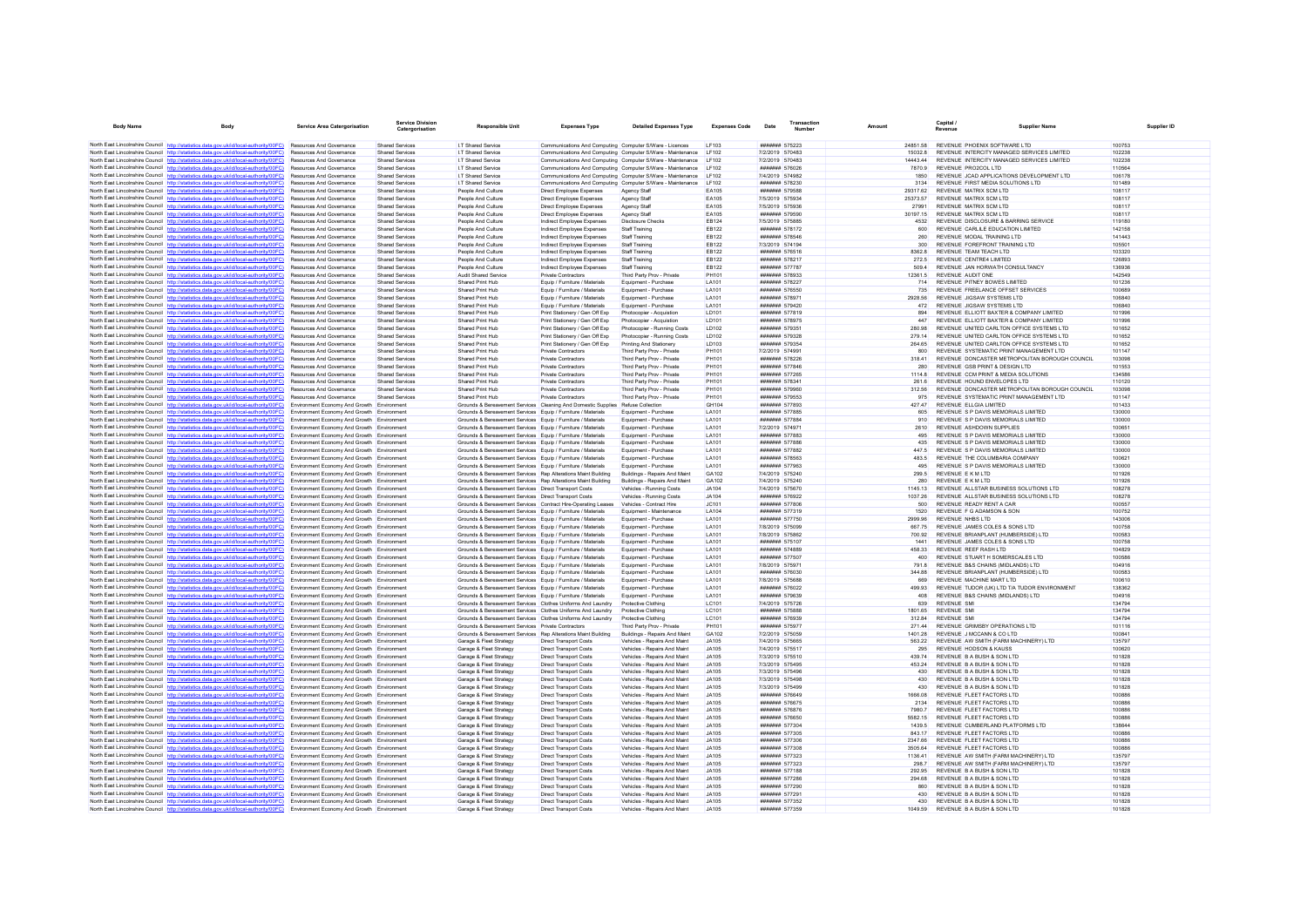| <b>Body Name</b>                          | Body                                                                                                                                                                             | Service Area Catergorisation                                                             | <b>Service Division</b><br>Catergorisation       | Responsible Unit                                                                                                              | <b>Expenses Type</b>                                             | <b>Detailed Expenses Type</b>                                    | <b>Expenses Code</b>         | Date            | Transactio<br><b>Number</b>             | Amount             | Capital /<br><b>Revenue</b>                              | <b>Supplier Name</b>                                                                      |                  |
|-------------------------------------------|----------------------------------------------------------------------------------------------------------------------------------------------------------------------------------|------------------------------------------------------------------------------------------|--------------------------------------------------|-------------------------------------------------------------------------------------------------------------------------------|------------------------------------------------------------------|------------------------------------------------------------------|------------------------------|-----------------|-----------------------------------------|--------------------|----------------------------------------------------------|-------------------------------------------------------------------------------------------|------------------|
|                                           | North East Lincolnshire Council http://statistics.data.gov.uk/id/local-authority/00FC) Resources And Governance                                                                  |                                                                                          | Shared Services                                  | I.T Shared Service                                                                                                            | Communications And Computing Computer S/Ware - Licences          |                                                                  | LE103                        |                 | ####### 575223                          |                    |                                                          | 24851.58 REVENUE PHOENIX SOFTWARE LTD                                                     | 100753           |
|                                           | North East Lincolnshire Council http://statistics.data.gov.uk/id/local-authority/00FC)                                                                                           | <b>Resources And Governance</b>                                                          | Shared Services                                  | IT Shared Service                                                                                                             |                                                                  | Communications And Computing Computer S/Ware - Maintenance LF102 |                              | 7/2/2019 570483 |                                         | 15032.8            |                                                          | REVENUE INTERCITY MANAGED SERVICES LIMITED                                                | 102238           |
|                                           | North East Lincolnshire Council http://statistics.data.gov.uk/id/local-authority/00FC)                                                                                           | Resources And Governance                                                                 | <b>Shared Services</b>                           | I.T Shared Service                                                                                                            |                                                                  | Communications And Computing Computer S/Ware - Maintenance LF102 |                              |                 | 7/2/2019 570483                         | 14443.44           |                                                          | REVENUE INTERCITY MANAGED SERVICES LIMITED                                                | 102238           |
|                                           | North East Lincolnshire Council http://statistics.data.gov.uk/id/local-authority/00FC)                                                                                           | Resources And Governance                                                                 | Shared Services                                  | I.T Shared Service                                                                                                            |                                                                  | Communications And Computing Computer S/Ware - Maintenance LF102 |                              |                 | ####### 576026                          | 7870.9             | REVENUE PRO2COL LTD                                      |                                                                                           | 110564           |
|                                           | North East Lincolnshire Council http://statistics.data.gov.uk/id/local-authority/00FC)                                                                                           | <b>Resources And Governance</b>                                                          | Shared Services                                  | IT Shared Service                                                                                                             |                                                                  | Communications And Computing Computer S/Ware - Maintenance LF102 |                              |                 | 7/4/2019 574982                         | 1850               |                                                          | REVENUE JCAD APPLICATIONS DEVELOPMENT LTD.                                                | 106178           |
|                                           | North East Lincolnshire Council http://statistics.data.gov.uk/id/local-authority/00FC)                                                                                           | Resources And Governance                                                                 | <b>Shared Services</b>                           | I.T Shared Service                                                                                                            | Communications And Computing Computer S/Ware - Maintenance       |                                                                  | LF102                        |                 | ####### 578230                          | 3134               |                                                          | REVENUE FIRST MEDIA SOLUTIONS LTD                                                         | 101489           |
|                                           | North East Lincolnshire Council http://statistics.data.gov.uk/id/local-authority/00FC)<br>North East Lincolnshire Council http://statistics.data.gov.uk/id/local-authority/00FC) | Resources And Governance                                                                 | <b>Shared Services</b>                           | People And Culture                                                                                                            | Direct Employee Expenses                                         | Agency Staff                                                     | EA105<br><b>EA105</b>        |                 | ####### 579588                          | 29317.62           | REVENUE MATRIX SCM LTD<br>REVENUE MATRIX SCM LTD         |                                                                                           | 108117           |
|                                           | North East Lincolnshire Council http://statistics.data.gov.uk/id/local-authority/00FC)                                                                                           | Resources And Governance<br><b>Resources And Governance</b>                              | <b>Shared Services</b><br>Shared Services        | People And Culture<br>People And Culture                                                                                      | <b>Direct Employee Expenses</b><br>Direct Employee Expenses      | Agency Staff<br>Agency Staff                                     | <b>EA105</b>                 |                 | 7/5/2019 575934<br>7/5/2019 575936      | 25373.57<br>27991  | REVENUE MATRIX SCM LTD                                   |                                                                                           | 108117<br>108117 |
|                                           | North East Lincolnshire Council http://statistics.data.gov.uk/id/local-authority/00FC)                                                                                           | Resources And Governance                                                                 | <b>Shared Services</b>                           | People And Culture                                                                                                            | Direct Employee Expenses                                         | Agency Staff                                                     | EA105                        |                 | ####### 579590                          | 30197.15           | REVENUE MATRIX SCM LTD                                   |                                                                                           | 108117           |
|                                           | North East Lincolnshire Council http://statistics.data.gov.uk/id/local-authority/00FC)                                                                                           | <b>Resources And Governance</b>                                                          | Shared Services                                  | People And Culture                                                                                                            | Indirect Employee Expenses                                       | Disclosure Checks                                                | FR124                        |                 | 7/5/2019 575885                         | 4532               |                                                          | REVENUE DISCLOSURE & BARRING SERVICE                                                      | 119180           |
|                                           | North East Lincolnshire Council http://statistics.data.gov.uk/id/local-authority/00FC)                                                                                           | <b>Resources And Governance</b>                                                          | Shared Services                                  | People And Culture                                                                                                            | Indirect Employee Expenses                                       | Staff Training                                                   | <b>EB122</b>                 |                 | ####### 578172                          | 600                |                                                          | REVENUE CARLILE EDUCATION LIMITED                                                         | 142158           |
|                                           | North East Lincolnshire Council http://statistics.data.gov.uk/id/local-authority/00FC)                                                                                           | Resources And Governance                                                                 | <b>Shared Services</b>                           | People And Culture                                                                                                            | Indirect Employee Expenses                                       | Staff Training                                                   | <b>EB122</b>                 |                 | ####### 578546                          |                    | REVENUE MODAL TRAINING LTD                               |                                                                                           | 141443           |
|                                           | North East Lincolnshire Council http://statistics.data.gov.uk/id/local-authority/00FC)                                                                                           | <b>Resources And Governance</b>                                                          | <b>Shared Services</b>                           | People And Culture                                                                                                            | Indirect Employee Expenses                                       | <b>Staff Training</b>                                            | <b>EB122</b>                 |                 | 7/3/2019 574194                         | 300                |                                                          | REVENUE FOREFRONT TRAINING LTD                                                            | 105501           |
|                                           | North East Lincolnshire Council http://statistics.data.gov.uk/id/local-authority/00FC)                                                                                           | <b>Resources And Governance</b>                                                          | Shared Services                                  | People And Culture                                                                                                            | Indirect Employee Expenses                                       | Staff Training                                                   | FR122                        |                 | <b>#######</b> 576516                   | 8362.8             | REVENUE TEAM TEACH I TD                                  |                                                                                           | 103320           |
|                                           | North East Lincolnshire Council http://statistics.data.gov.uk/id/local-authority/00FC)<br>North East Lincolnshire Council http://statistics.data.gov.uk/id/local-authority/00FC) | Resources And Governance<br>Resources And Governance                                     | <b>Shared Services</b><br><b>Shared Services</b> | People And Culture<br>People And Culture                                                                                      | Indirect Employee Expenses<br>Indirect Employee Expenses         | <b>Staff Training</b><br>Staff Training                          | <b>EB122</b><br><b>EB122</b> |                 | ####### 578217<br>####### 577787        | 272.5<br>509.4     | REVENUE CENTRE4 LIMITED                                  | REVENUE JAN HORWATH CONSULTANCY                                                           | 126893<br>136936 |
|                                           | North East Lincolnshire Council http://statistics.data.gov.uk/id/local-authority/00FC)                                                                                           | Resources And Governance                                                                 | Shared Services                                  | Audit Shared Service                                                                                                          | Private Contractors                                              | Third Party Prov - Private                                       | <b>PH101</b>                 |                 | ####### 578933                          | 12361.5            | REVENUE AUDIT ONE                                        |                                                                                           | 142549           |
|                                           | North East Lincolnshire Council http://statistics.data.gov.uk/id/local-authority/00FC)                                                                                           | <b>Resources And Governance</b>                                                          | <b>Shared Services</b>                           | Shared Print Hub                                                                                                              | Equip / Furniture / Materials                                    | Equipment - Purchase                                             | LA101                        |                 | <b><i><u>#######</u></i></b> 578227     | 714                |                                                          | REVENUE PITNEY BOWES LIMITED                                                              | 101236           |
|                                           | North East Lincolnshire Council http://statistics.data.gov.uk/id/local-authority/00FC)                                                                                           | Resources And Governance                                                                 | <b>Shared Services</b>                           | Shared Print Hub                                                                                                              | Equip / Furniture / Materials                                    | Equipment - Purchase                                             | LA101                        |                 | ####### 576550                          | 735                |                                                          | REVENUE FREELANCE OFFSET SERVICES                                                         | 100689           |
|                                           | North East Lincolnshire Council http://statistics.data.gov.uk/id/local-authority/00FC)                                                                                           | Resources And Governance                                                                 | <b>Shared Services</b>                           | Shared Print Hub                                                                                                              | Equip / Furniture / Materials                                    | Equipment - Purchase                                             | LA101                        |                 | ####### 578971                          | 2928.56            | REVENUE JIGSAW SYSTEMS LTD                               |                                                                                           | 106840           |
|                                           | North East Lincolnshire Council http://statistics.data.gov.uk/id/local-authority/00FC)                                                                                           | <b>Resources And Governance</b>                                                          | <b>Shared Services</b>                           | Shared Print Hub                                                                                                              | Equip / Furniture / Materials                                    | Equipment - Purchase                                             | LA101                        |                 | ####### 579420                          | 472                | REVENUE JIGSAW SYSTEMS LTD                               |                                                                                           | 106840           |
|                                           | North East Lincolnshire Council http://statistics.data.gov.uk/id/local-authority/00FC)                                                                                           | Resources And Governance                                                                 | <b>Shared Services</b>                           | Shared Print Hub                                                                                                              | Print Stationery / Gen Off Exp                                   | Photocopier - Acquistion                                         | LD101                        |                 | ####### 577819<br>####### 578975        | 894                |                                                          | REVENUE ELLIOTT BAXTER & COMPANY LIMITED                                                  | 101996           |
|                                           | North East Lincolnshire Council http://statistics.data.gov.uk/id/local-authority/00FC)<br>North East Lincolnshire Council http://statistics.data.gov.uk/id/local-authority/00FC) | <b>Resources And Governance</b><br><b>Resources And Governance</b>                       | <b>Shared Services</b><br>Shared Services        | Shared Print Hub<br>Shared Print Hub                                                                                          | Print Stationery / Gen Off Exp<br>Print Stationery / Gen Off Exp | Photocopier - Acquistion<br>Photocopier - Running Costs          | LD101<br><b>ID102</b>        |                 | ####### 579351                          | 447<br>280.98      |                                                          | REVENUE ELLIOTT BAXTER & COMPANY LIMITED<br>REVENUE UNITED CARLTON OFFICE SYSTEMS LTD     | 101996<br>101652 |
|                                           | North East Lincolnshire Council http://statistics.data.gov.uk/id/local-authority/00FC)                                                                                           | <b>Resources And Governance</b>                                                          | <b>Shared Services</b>                           | Shared Print Hub                                                                                                              | Print Stationery / Gen Off Exp                                   | Photocopier - Running Costs                                      | LD102                        |                 | ####### 579328                          | 279 14             |                                                          | REVENUE UNITED CARLTON OFFICE SYSTEMS LTD                                                 | 101652           |
|                                           | North East Lincolnshire Council http://statistics.data.gov.uk/id/local-authority/00FC)                                                                                           | Resources And Governance                                                                 | <b>Shared Services</b>                           | Shared Print Hub                                                                                                              | Print Stationery / Gen Off Exp                                   | Printing And Stationery                                          | LD103                        |                 | ####### 579354                          |                    |                                                          | REVENUE UNITED CARLTON OFFICE SYSTEMS LTD                                                 | 101652           |
|                                           | North East Lincolnshire Council http://statistics.data.gov.uk/id/local-authority/00FC)                                                                                           | <b>Resources And Governance</b>                                                          | Shared Services                                  | Shared Print Hub                                                                                                              | Private Contractors                                              | Third Party Prov - Private                                       | PH101                        |                 | 7/2/2019 574991                         | 800                |                                                          | REVENUE SYSTEMATIC PRINT MANAGEMENT I TD                                                  | 101147           |
|                                           | North East Lincolnshire Council http://statistics.data.gov.uk/id/local-authority/00FC)                                                                                           | <b>Resources And Governance</b>                                                          | <b>Shared Services</b>                           | Shared Print Hub                                                                                                              | Private Contractors                                              | Third Party Prov - Private                                       | <b>PH101</b>                 |                 | ####### 578226                          | 318.41             |                                                          | REVENUE DONCASTER METROPOLITAN BOROUGH COUNCIL                                            | 103098           |
|                                           | North East Lincolnshire Council http://statistics.data.gov.uk/id/local-authority/00FC)                                                                                           | Resources And Governance                                                                 | <b>Shared Services</b>                           | Shared Print Hub                                                                                                              | Private Contractors                                              | Third Party Prov - Private                                       | PH101                        |                 | ####### 577846                          | 280                |                                                          | REVENUE GSB PRINT & DESIGN LTD                                                            | 101553           |
|                                           | North East Lincolnshire Council http://statistics.data.gov.uk/id/local-authority/00FC)                                                                                           | Resources And Governance                                                                 | <b>Shared Services</b>                           | Shared Print Hub                                                                                                              | <b>Private Contractors</b>                                       | Third Party Prov - Private                                       | <b>PH101</b>                 |                 | ####### 577265                          | 1114.8             |                                                          | REVENUE CCM PRINT & MEDIA SOLUTIONS                                                       | 134586           |
|                                           | North East Lincolnshire Council http://statistics.data.gov.uk/id/local-authority/00FC)                                                                                           | <b>Resources And Governance</b>                                                          | Shared Services                                  | Shared Print Hub                                                                                                              | <b>Private Contractors</b>                                       | Third Party Prov - Private                                       | PH101                        |                 | ####### 578341                          | 261.6              |                                                          | REVENUE HOUND ENVELOPES LTD                                                               | 110120           |
|                                           | North East Lincolnshire Council http://statistics.data.gov.uk/id/local-authority/00FC)<br>North East Lincolnshire Council http://statistics.data.gov.uk/id/local-authority/00FC) | Resources And Governance<br>Resources And Governance                                     | <b>Shared Services</b><br><b>Shared Services</b> | Shared Print Hub<br>Shared Print Hub                                                                                          | Private Contractors<br>Private Contractors                       | Third Party Prov - Private<br>Third Party Prov - Private         | PH101<br>PH101               |                 | ####### 579960<br>####### 579553        | 312.56<br>975      |                                                          | REVENUE DONCASTER METROPOLITAN BOROUGH COUNCIL<br>REVENUE SYSTEMATIC PRINT MANAGEMENT LTD | 103098<br>101147 |
|                                           | North East Lincolnshire Council http://statistics.data.gov.uk/id/local-authority/00FC)                                                                                           | Environment Economy And Growth Environment                                               |                                                  | Grounds & Bereavement Services Cleaning And Domestic Supplies Refuse Collection                                               |                                                                  |                                                                  | GH104                        |                 | ####### 577893                          | 427.47             | REVENUE ELLGIA LIMITED                                   |                                                                                           | 101433           |
|                                           | North East Lincolnshire Council http://statistics.data.gov.uk/id/local-authority/00FC)                                                                                           | Environment Economy And Growth Environment                                               |                                                  | Grounds & Bereavement Services Equip / Furniture / Materials                                                                  |                                                                  | Equipment - Purchase                                             | LA101                        |                 | ####### 577885                          | 605                |                                                          | REVENUE S P DAVIS MEMORIALS LIMITED                                                       | 130000           |
|                                           | North East Lincolnshire Council http://statistics.data.gov.uk/id/local-authority/00FC)                                                                                           | Environment Economy And Growth Environment                                               |                                                  | Grounds & Bereavement Services Equip / Furniture / Materials                                                                  |                                                                  | Equipment - Purchase                                             | <b>LA101</b>                 |                 | ####### 577884                          | 910                |                                                          | REVENUE S P DAVIS MEMORIALS LIMITED                                                       | 130000           |
|                                           | North East Lincolnshire Council http://statistics.data.gov.uk/id/local-authority/00FC)                                                                                           | Environment Economy And Growth Environment                                               |                                                  | Grounds & Bereavement Services Fouin / Furniture / Materials                                                                  |                                                                  | Foujoment - Purchase                                             | LA101                        |                 | 7/2/2019 574971                         | 2610               | REVENUE ASHDOWN SUPPLIES                                 |                                                                                           | 100651           |
|                                           | North East Lincolnshire Council http://statistics.data.gov.uk/id/local-authority/00FC)                                                                                           | Environment Economy And Growth Environment                                               |                                                  | Grounds & Bereavement Services Equip / Furniture / Materials                                                                  |                                                                  | Equipment - Purchase                                             | <b>LA101</b>                 |                 | ####### 577883                          | 495                |                                                          | REVENUE S P DAVIS MEMORIALS LIMITED                                                       | 130000           |
|                                           | North East Lincolnshire Council http://statistics.data.gov.uk/id/local-authority/00FC)                                                                                           | Environment Economy And Growth Environment                                               |                                                  | Grounds & Bereavement Services Equip / Furniture / Materials                                                                  |                                                                  | Equipment - Purchase                                             | LA101                        |                 | ####### 577886                          | 435                |                                                          | REVENUE S P DAVIS MEMORIALS LIMITED                                                       | 130000           |
|                                           | North East Lincolnshire Council http://statistics.data.gov.uk/id/local-authority/00FC)<br>North East Lincolnshire Council http://statistics.data.gov.uk/id/local-authority/00FC) | Environment Economy And Growth Environment<br>Environment Economy And Growth Environment |                                                  | Grounds & Bereavement Services Equip / Furniture / Materials<br>Grounds & Bereavement Services Equip / Furniture / Materials  |                                                                  | Equipment - Purchase<br>Foujoment - Purchase                     | LA101<br>LA101               |                 | ####### 577882<br><b>#######</b> 578563 | 447.5<br>483.5     |                                                          | REVENUE S P DAVIS MEMORIALS LIMITED<br>REVENUE THE COLUMBARIA COMPANY                     | 130000<br>100621 |
|                                           | North East Lincolnshire Council http://statistics.data.gov.uk/id/local-authority/00FC)                                                                                           | Environment Economy And Growth Environment                                               |                                                  | Grounds & Bereavement Services Equip / Furniture / Materials                                                                  |                                                                  | Equipment - Purchase                                             | LA101                        |                 | ####### 577963                          | 495                |                                                          | REVENUE S P DAVIS MEMORIALS LIMITED                                                       | 130000           |
|                                           | North East Lincolnshire Council http://statistics.data.gov.uk/id/local-authority/00FC)                                                                                           | Environment Economy And Growth Environment                                               |                                                  | Grounds & Bereavement Services Rep Alterations Maint Building                                                                 |                                                                  | Buildings - Repairs And Maint                                    | GA102                        |                 | 7/4/2019 575240                         | 299.5              | REVENUE E K M LTD                                        |                                                                                           | 101926           |
|                                           | North East Lincolnshire Council http://statistics.data.gov.uk/id/local-authority/00FC)                                                                                           | Environment Economy And Growth Environment                                               |                                                  | Grounds & Bereavement Services Rep Alterations Maint Building                                                                 |                                                                  | Buildings - Repairs And Maint                                    | GA102                        |                 | 7/4/2019 575240                         | 280                | REVENUE E K M I TD                                       |                                                                                           | 101926           |
|                                           | North East Lincolnshire Council http://statistics.data.gov.uk/id/local-authority/00FC)                                                                                           | Environment Economy And Growth Environment                                               |                                                  | Grounds & Bereavement Services Direct Transport Costs                                                                         |                                                                  | Vehicles - Running Costs                                         | JA104                        |                 | 7/4/2019 575670                         | 1145.13            |                                                          | REVENUE ALLSTAR BUSINESS SOLUTIONS LTD                                                    | 108278           |
|                                           | North East Lincolnshire Council http://statistics.data.gov.uk/id/local-authority/00FC)                                                                                           | Environment Economy And Growth Environment                                               |                                                  | Grounds & Bereavement Services Direct Transport Costs                                                                         |                                                                  | Vehicles - Running Costs                                         | JA104                        |                 | ####### 576922                          | 1037.26            |                                                          | REVENUE ALLSTAR BUSINESS SOLUTIONS LTD                                                    | 108278           |
|                                           | North East Lincolnshire Council http://statistics.data.gov.uk/id/local-authority/00FC)<br>North East Lincolnshire Council http://statistics.data.gov.uk/id/local-authority/00FC) | Environment Economy And Growth Environment<br>Environment Economy And Growth Environment |                                                  | Grounds & Bereavement Services Contract Hire-Operating Leases<br>Grounds & Bereavement Services Equip / Furniture / Materials |                                                                  | Vehicles - Contract Hire<br>Foujoment - Maintenance              | JC101<br>LA104               |                 | ####### 577806<br>####### 577319        | 500<br>1520        | REVENUE READY RENT A CAR<br>REVENUE F G ADAMSON & SON    |                                                                                           | 100557<br>100752 |
|                                           | North East Lincolnshire Council http://statistics.data.gov.uk/id/local-authority/00FC)                                                                                           | Environment Economy And Growth Environment                                               |                                                  | Grounds & Bereavement Services Equip / Furniture / Materials                                                                  |                                                                  | Equipment - Purchase                                             | LA101                        |                 | ####### 577750                          | 2999.96            | REVENUE NHBS LTD                                         |                                                                                           | 143006           |
|                                           | North East Lincolnshire Council http://statistics.data.gov.uk/id/local-authority/00FC)                                                                                           | Environment Economy And Growth Environment                                               |                                                  | Grounds & Bereavement Services Equip / Furniture / Materials                                                                  |                                                                  | Foujoment - Purchase                                             | <b>LA101</b>                 |                 | 7/8/2019 575099                         | 667 75             |                                                          | REVENUE JAMES COLES & SONS LTD                                                            | 100758           |
|                                           | North East Lincolnshire Council http://statistics.data.gov.uk/id/local-authority/00FC)                                                                                           | Environment Economy And Growth Environment                                               |                                                  | Grounds & Bereavement Services Equip / Furniture / Materials                                                                  |                                                                  | Foujoment - Purchase                                             | LA101                        |                 | 7/8/2019 575862                         | 700.92             |                                                          | REVENUE BRIANPLANT (HUMBERSIDE) LTD                                                       | 100583           |
|                                           | North East Lincolnshire Council http://statistics.data.gov.uk/id/local-authority/00FC)                                                                                           | Environment Economy And Growth Environment                                               |                                                  | Grounds & Bereavement Services Equip / Furniture / Materials                                                                  |                                                                  | Equipment - Purchase                                             | LA101                        |                 | ####### 575107                          |                    |                                                          | REVENUE JAMES COLES & SONS LTD                                                            | 100758           |
|                                           | North East Lincolnshire Council http://statistics.data.gov.uk/id/local-authority/00FC)                                                                                           | Environment Economy And Growth Environment<br>Environment Economy And Growth Environment |                                                  | Grounds & Bereavement Services Equip / Furniture / Materials                                                                  |                                                                  | Equipment - Purchase<br>Foujoment - Purchase                     | LA101<br>LA101               |                 | ####### 574889<br><b>#######</b> 577507 | 458.33<br>400      | REVENUE REEF RASH LTD                                    | REVENUE STUART H SOMERSCALES LTD                                                          | 104829<br>100586 |
|                                           | North East Lincolnshire Council http://statistics.data.gov.uk/id/local-authority/00FC)<br>North East Lincolnshire Council http://statistics.data.gov.uk/id/local-authority/00FC) | Environment Economy And Growth Environment                                               |                                                  | Grounds & Bereavement Services Equip / Furniture / Materials<br>Grounds & Bereavement Services Equip / Furniture / Materials  |                                                                  | Equipment - Purchase                                             | LA101                        |                 | 7/8/2019 575971                         | 791.8              |                                                          | REVENUE B&S CHAINS (MIDLANDS) LTD                                                         | 104916           |
|                                           | North East Lincolnshire Council http://statistics.data.gov.uk/id/local-authority/00FC)                                                                                           | Environment Economy And Growth Environment                                               |                                                  | Grounds & Bereavement Services Equip / Furniture / Materials                                                                  |                                                                  | Equipment - Purchase                                             | LA101                        |                 | ####### 576030                          | 344.88             |                                                          | REVENUE BRIANPLANT (HUMBERSIDE) LTD                                                       | 100583           |
|                                           | North East Lincolnshire Council http://statistics.data.gov.uk/id/local-authority/00FC)                                                                                           | Environment Economy And Growth Environment                                               |                                                  | Grounds & Bereavement Services Equip / Furniture / Materials                                                                  |                                                                  | Equipment - Purchase                                             | LA101                        | 7/8/2019 575688 |                                         | 669                | REVENUE MACHINE MART LTD                                 |                                                                                           | 100610           |
|                                           | North East Lincolnshire Council http://statistics.data.gov.uk/id/local-authority/00FC)                                                                                           | Environment Economy And Growth Environment                                               |                                                  | Grounds & Bereavement Services Equip / Furniture / Materials                                                                  |                                                                  | Equipment - Purchase                                             | LA101                        |                 | ####### 576022                          | 499.93             |                                                          | REVENUE TUDOR (UK) LTD T/A TUDOR ENVIRONMENT                                              | 138362           |
|                                           | North East Lincolnshire Council http://statistics.data.gov.uk/id/local-authority/00FC)                                                                                           | Environment Economy And Growth Environment                                               |                                                  | Grounds & Bereavement Services Equip / Furniture / Materials                                                                  |                                                                  | Equipment - Purchase                                             | LA101                        |                 | ####### 579639                          | 408                |                                                          | REVENUE B&S CHAINS (MIDLANDS) LTD                                                         | 104916           |
|                                           | North East Lincolnshire Council http://statistics.data.gov.uk/id/local-authority/00FC)                                                                                           | Environment Economy And Growth Environment                                               |                                                  | Grounds & Bereavement Services Clothes Uniforms And Laundry                                                                   |                                                                  | Protective Clothing                                              | LC101                        | 7/4/2019 575726 |                                         | 639                | <b>REVENUE SMI</b>                                       |                                                                                           | 134794           |
|                                           | North East Lincolnshire Council http://statistics.data.gov.uk/id/local-authority/00FC)                                                                                           | Environment Economy And Growth Environment                                               |                                                  | Grounds & Bereavement Services Clothes Uniforms And Laundry                                                                   |                                                                  | Protective Clothing                                              | LC101                        |                 | ####### 575888<br>####### 576939        | 1801.65            | <b>REVENUE SM</b>                                        |                                                                                           | 134794<br>134794 |
|                                           | North East Lincolnshire Council http://statistics.data.gov.uk/id/local-authority/00FC)<br>North East Lincolnshire Council http://statistics.data.gov.uk/id/local-authority/00FC) | Environment Economy And Growth Environmen<br>Environment Economy And Growth Environment  |                                                  | Grounds & Bereavement Services Clothes Uniforms And Laundry<br>Grounds & Bereavement Services Private Contractors             |                                                                  | Protective Clothing<br>Third Party Prov - Private                | LC101<br>PH101               |                 | ####### 575977                          | 312.84<br>27144    | <b>REVENUE SMI</b>                                       | REVENUE GRIMSBY OPERATIONS LTD                                                            | 101116           |
|                                           | North East Lincolnshire Council http://statistics.data.gov.uk/id/local-authority/00FC)                                                                                           | Environment Economy And Growth Environment                                               |                                                  | Grounds & Bereavement Services Rep Alterations Maint Building                                                                 |                                                                  | <b>Buildings - Renairs And Maint</b>                             | GA102                        |                 | 7/2/2019 575059                         | 1401.28            | REVENUE J MCCANN & CO LTD                                |                                                                                           | 100841           |
|                                           | North East Lincolnshire Council http://statistics.data.gov.uk/id/local-authority/00FC)                                                                                           | Environment Economy And Growth Environment                                               |                                                  | Garage & Fleet Strategy                                                                                                       | <b>Direct Transport Costs</b>                                    | Vehicles - Repairs And Maint                                     | JA105                        |                 | 7/4/2019 575665                         | 563.22             |                                                          | REVENUE AW SMITH (FARM MACHINERY) LTD                                                     | 135797           |
|                                           | North East Lincolnshire Council http://statistics.data.gov.uk/id/local-authority/00FC)                                                                                           | Environment Economy And Growth Environment                                               |                                                  | Garage & Fleet Strategy                                                                                                       | <b>Direct Transport Costs</b>                                    | Vehicles - Repairs And Maint                                     | JA105                        | 7/4/2019 575517 |                                         | 295                | <b>REVENUE HODSON &amp; KAUSS</b>                        |                                                                                           | 100620           |
|                                           | North East Lincolnshire Council http://statistics.data.gov.uk/id/local-authority/00FC)                                                                                           | Environment Economy And Growth Environment                                               |                                                  | Garage & Fleet Strategy                                                                                                       | Direct Transport Costs                                           | Vehicles - Renairs And Maint                                     | JA105                        | 7/3/2019 575510 |                                         | 439.74             | REVENUE B A BUSH & SON LTD                               |                                                                                           | 101828           |
|                                           | North East Lincolnshire Council http://statistics.data.gov.uk/id/local-authority/00FC)                                                                                           | Environment Economy And Growth Environment                                               |                                                  | Garage & Fleet Strategy                                                                                                       | <b>Direct Transport Costs</b>                                    | Vehicles - Repairs And Maint                                     | JA105                        |                 | 7/3/2019 575495                         | 453.24             | REVENUE B A BUSH & SON LTD                               |                                                                                           | 101828           |
|                                           | North East Lincolnshire Council http://statistics.data.gov.uk/id/local-authority/00FC)                                                                                           | Environment Economy And Growth Environment                                               |                                                  | Garage & Fleet Strategy                                                                                                       | Direct Transport Costs                                           | Vehicles - Repairs And Maint                                     | JA105                        | 7/3/2019 575496 |                                         | 430                | REVENUE B A BUSH & SON LTD                               |                                                                                           | 101828           |
|                                           | North East Lincolnshire Council http://statistics.data.gov.uk/id/local-authority/00FC)<br>North East Lincolnshire Council http://statistics.data.gov.uk/id/local-authority/00FC) | Environment Economy And Growth Environment<br>Environment Economy And Growth Environment |                                                  | Garage & Fleet Strategy<br>Garage & Fleet Strategy                                                                            | <b>Direct Transport Costs</b><br><b>Direct Transport Costs</b>   | Vehicles - Repairs And Maint<br>Vehicles - Repairs And Maint     | JA105<br>JA105               |                 | 7/3/2019 575498<br>7/3/2019 575499      | 430<br>430         | REVENUE B A BUSH & SON LTD<br>REVENUE B A BUSH & SON LTD |                                                                                           | 101828<br>101828 |
|                                           | North East Lincolnshire Council http://statistics.data.gov.uk/id/local-authority/00FC)                                                                                           | Environment Economy And Growth Environment                                               |                                                  | Garage & Fleet Strategy                                                                                                       | <b>Direct Transport Costs</b>                                    | Vehicles - Repairs And Maint                                     | JA105                        |                 | ####### 576649                          | 1666.08            | REVENUE FLEET FACTORS LTD                                |                                                                                           | 100886           |
|                                           | North East Lincolnshire Council http://statistics.data.gov.uk/id/local-authority/00FC)                                                                                           | Environment Economy And Growth Environment                                               |                                                  | Garage & Fleet Strategy                                                                                                       | <b>Direct Transport Costs</b>                                    | Vehicles - Repairs And Maint                                     | JA105                        |                 | ####### 576675                          | 2134               | REVENUE FLEET FACTORS LTD                                |                                                                                           | 100886           |
|                                           | North East Lincolnshire Council http://statistics.data.gov.uk/id/local-authority/00FC)                                                                                           | Environment Economy And Growth Environment                                               |                                                  | Garage & Fleet Strategy                                                                                                       | <b>Direct Transport Costs</b>                                    | Vehicles - Repairs And Maint                                     | JA105                        |                 | ####### 576876                          | 7980.7             | REVENUE FLEET FACTORS LTD                                |                                                                                           | 100886           |
|                                           | North East Lincolnshire Council http://statistics.data.gov.uk/id/local-authority/00FC)                                                                                           | Environment Economy And Growth Environment                                               |                                                  | Garage & Fleet Strategy                                                                                                       | <b>Direct Transport Costs</b>                                    | Vehicles - Repairs And Maint                                     | JA105                        |                 | ####### 576650                          | 5582 15            | REVENUE ELEFT FACTORS LTD                                |                                                                                           | 100886           |
|                                           | North East Lincolnshire Council http://statistics.data.gov.uk/id/local-authority/00FC)                                                                                           | Environment Economy And Growth Environment                                               |                                                  | Garage & Fleet Strategy                                                                                                       | <b>Direct Transport Costs</b>                                    | Vehicles - Repairs And Maint                                     | JA105                        |                 | ####### 577304                          | 1439.5             |                                                          | REVENUE CUMBERLAND PLATEORMS LTD                                                          | 138644           |
|                                           | North East Lincolnshire Council http://statistics.data.gov.uk/id/local-authority/00FC)                                                                                           | Environment Economy And Growth Environment                                               |                                                  | Garane & Fleet Strategy                                                                                                       | Direct Transport Costs                                           | Vehicles - Renairs And Maint                                     | JA105                        |                 | <b>####### 577305</b>                   | 843 17             | REVENUE ELEET FACTORS LTD                                |                                                                                           | 100886           |
|                                           | North East Lincolnshire Council http://statistics.data.gov.uk/id/local-authority/00FC)<br>North East Lincolnshire Council http://statistics.data.gov.uk/id/local-authority/00FC) | Environment Economy And Growth Environment<br>Environment Economy And Growth Environment |                                                  | Garage & Fleet Strategy<br>Garage & Fleet Strategy                                                                            | <b>Direct Transport Costs</b><br><b>Direct Transport Costs</b>   | Vehicles - Repairs And Maint<br>Vehicles - Repairs And Maint     | JA105<br>JA105               |                 | ####### 577306<br>####### 577308        | 2347.66<br>3505.64 | REVENUE FLEET FACTORS LTD<br>REVENUE FLEET FACTORS LTD   |                                                                                           | 100886<br>100886 |
|                                           | North East Lincolnshire Council http://statistics.data.gov.uk/id/local-authority/00FC)                                                                                           | Environment Economy And Growth Environment                                               |                                                  | Garage & Fleet Strategy                                                                                                       | <b>Direct Transport Costs</b>                                    | Vehicles - Repairs And Maint                                     | JA105                        |                 | ####### 577323                          | 1136.41            |                                                          | REVENUE AW SMITH (FARM MACHINERY) LTD                                                     | 135797           |
|                                           | North East Lincolnshire Council http://statistics.data.gov.uk/id/local-authority/00FC)                                                                                           | Environment Economy And Growth Environment                                               |                                                  | Garage & Fleet Strategy                                                                                                       | <b>Direct Transport Costs</b>                                    | Vehicles - Repairs And Maint                                     | JA105                        |                 | <b>#######</b> 577323                   | 298.7              |                                                          | REVENUE AW SMITH (FARM MACHINERY) I TD                                                    | 135797           |
|                                           | North East Lincolnshire Council http://statistics.data.gov.uk/id/local-authority/00FC)                                                                                           | Environment Economy And Growth Environment                                               |                                                  | Garage & Fleet Strategy                                                                                                       | <b>Direct Transport Costs</b>                                    | Vehicles - Repairs And Maint                                     | JA105                        |                 | ####### 577188                          | 292.95             | REVENUE B A BUSH & SON LTD                               |                                                                                           | 101828           |
|                                           | North East Lincolnshire Council http://statistics.data.gov.uk/id/local-authority/00FC)                                                                                           | Environment Economy And Growth Environment                                               |                                                  | Garage & Fleet Strategy                                                                                                       | Direct Transport Costs                                           | Vehicles - Repairs And Maint                                     | JA105                        |                 | ####### 577286                          | 294.68             | REVENUE B A BUSH & SON LTD                               |                                                                                           | 101828           |
|                                           | North East Lincolnshire Council http://statistics.data.gov.uk/id/local-authority/00EC)                                                                                           | Environment Economy And Growth Environment                                               |                                                  | Garage & Fleet Strategy                                                                                                       | <b>Direct Transport Costs</b>                                    | Vehicles - Repairs And Maint                                     | JA105                        |                 | ####### 577290                          | 860                | REVENUE B A BUSH & SON LTD                               |                                                                                           | 101828           |
|                                           | North East Lincolnshire Council http://statistics.data.gov.uk/id/local-authority/00FC)                                                                                           | Environment Economy And Growth Environment                                               |                                                  | Garage & Fleet Strategy                                                                                                       | <b>Direct Transport Costs</b>                                    | Vehicles - Repairs And Maint                                     | JA105                        |                 | ####### 577291                          | 430                | REVENUE B A BUSH & SON LTD                               |                                                                                           | 101828           |
| North East Lincolnshire Council http://st | North East Lincolnshire Council http://statistics.data.gov.uk/id/local-authority/00FC)<br>stics.data.gov.uk/id/local-authority/00FC                                              | Environment Economy And Growth Environment<br>Environment Economy And Growth Environment |                                                  | Garage & Fleet Strategy<br>Garage & Fleet Strategy                                                                            | <b>Direct Transport Costs</b><br><b>Direct Transport Costs</b>   | Vehicles - Repairs And Maint<br>Vehicles - Repairs And Maint     | JA105<br>JA105               |                 | ####### 577352<br>####### 577359        | 430<br>1049.59     | REVENUE B A BUSH & SON LTD<br>REVENUE B A BUSH & SON LTD |                                                                                           | 101828<br>101828 |
|                                           |                                                                                                                                                                                  |                                                                                          |                                                  |                                                                                                                               |                                                                  |                                                                  |                              |                 |                                         |                    |                                                          |                                                                                           |                  |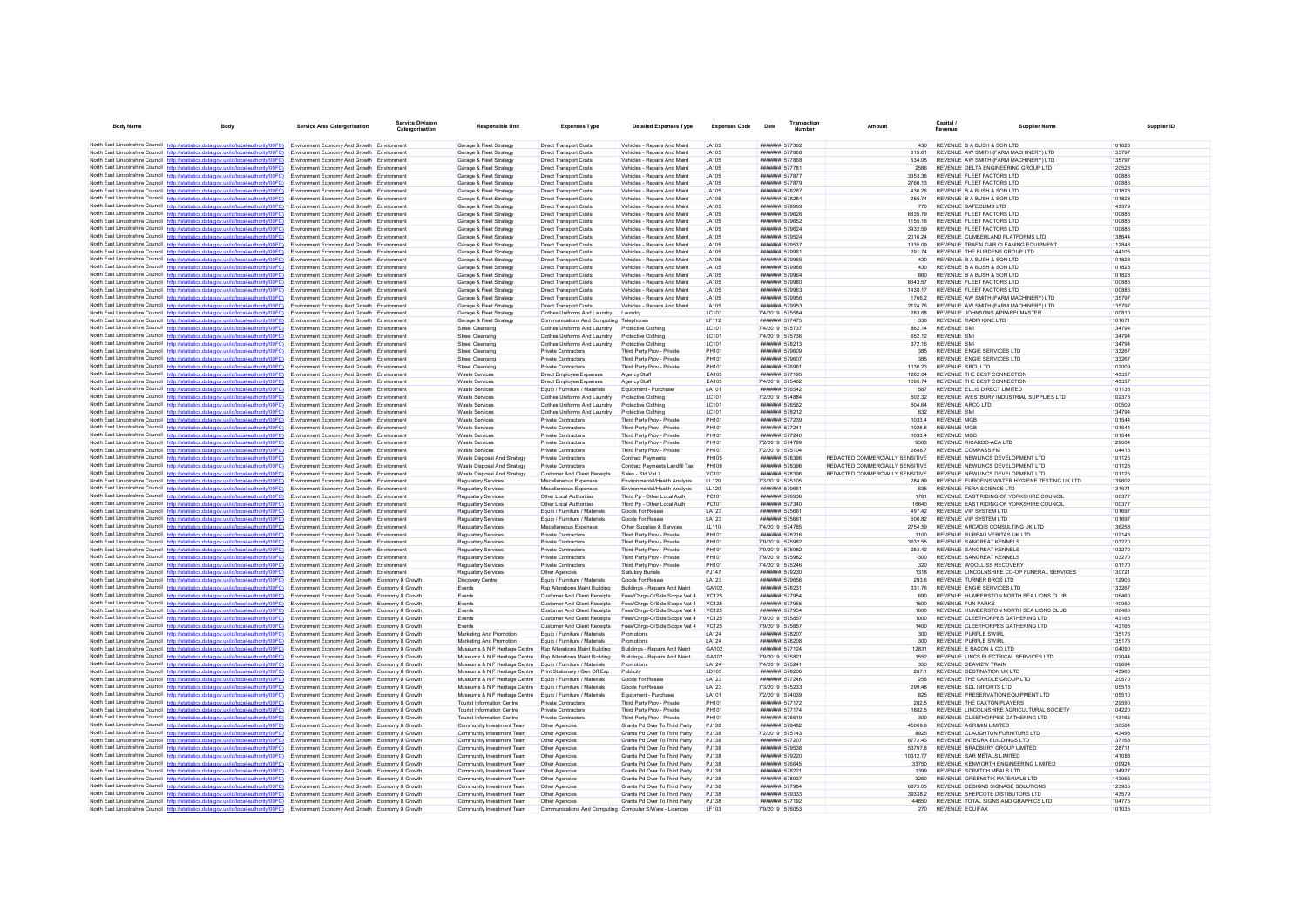| <b>Body Name</b>                          | Body                                                                                                                                                                             | Service Area Catergorisation                                                                       | <b>Service Division</b><br>Catergorisation | Responsible Uni                                                                                                            | <b>Expenses Type</b>                                                       | <b>Detailed Expenses Type</b>                                  | <b>Expenses Code</b>         | Date                               | Transactio<br><b>Number</b>             |                                           | Capital /<br><b>Revenue</b>                                                  |                                                          |  |
|-------------------------------------------|----------------------------------------------------------------------------------------------------------------------------------------------------------------------------------|----------------------------------------------------------------------------------------------------|--------------------------------------------|----------------------------------------------------------------------------------------------------------------------------|----------------------------------------------------------------------------|----------------------------------------------------------------|------------------------------|------------------------------------|-----------------------------------------|-------------------------------------------|------------------------------------------------------------------------------|----------------------------------------------------------|--|
|                                           | North East Lincolnshire Council http://statistics.data.gov.uk/id/local-authority/00FC) Environment Economy And Growth Environment                                                |                                                                                                    |                                            | Garage & Fleet Strategy                                                                                                    | <b>Direct Transport Costs</b>                                              | Vehicles - Repairs And Maint                                   | JA105                        |                                    | ####### 577362                          | 430                                       | REVENUE B A BUSH & SON LTD                                                   | 101828                                                   |  |
|                                           | North East Lincolnshire Council http://statistics.data.gov.uk/id/local-authority/00FC)                                                                                           | Environment Economy And Growth Environment                                                         |                                            | Garage & Fleet Strategy                                                                                                    | Direct Transport Costs                                                     | Vehicles - Renairs And Maint                                   | JA105                        |                                    | <b>#######</b> 577868                   | 81561                                     | REVENUE AW SMITH (FARM MACHINERY) I TD                                       | 135797                                                   |  |
|                                           | North East Lincolnshire Council http://statistics.data.gov.uk/id/local-authority/00FC)                                                                                           | Environment Economy And Growth Environment                                                         |                                            | Garage & Fleet Strategy                                                                                                    | <b>Direct Transport Costs</b>                                              | Vehicles - Repairs And Maint                                   | JA105                        |                                    | ####### 577868                          | 634.05                                    | REVENUE AW SMITH (FARM MACHINERY) LTD                                        | 135797                                                   |  |
|                                           | North East Lincolnshire Council http://statistics.data.gov.uk/id/local-authority/00FC)                                                                                           | Environment Economy And Growth Environment                                                         |                                            | Garage & Fleet Strategy                                                                                                    | <b>Direct Transport Costs</b>                                              | Vehicles - Repairs And Maint                                   | JA105                        |                                    | ####### 577781                          | 2586                                      | REVENUE DELTA ENGINEERING GROUP LTD                                          | 120523                                                   |  |
|                                           | North East Lincolnshire Council http://statistics.data.gov.uk/id/local-authority/00FC)                                                                                           | Environment Economy And Growth Environment                                                         |                                            | Garage & Fleet Strategy                                                                                                    | <b>Direct Transport Costs</b>                                              | Vehicles - Repairs And Maint                                   | JA105                        |                                    | <b>#######</b> 577877                   | 335336                                    | REVENUE ELEFT FACTORS LTD                                                    | 100886                                                   |  |
|                                           | North East Lincolnshire Council http://statistics.data.gov.uk/id/local-authority/00FC)                                                                                           | Environment Economy And Growth Environment                                                         |                                            | Garage & Fleet Strategy                                                                                                    | <b>Direct Transport Costs</b>                                              | Vehicles - Repairs And Maint                                   | JA105                        |                                    | ####### 577879                          | 2766.13                                   | REVENUE ELEFT FACTORS LTD                                                    | 100886                                                   |  |
|                                           | North East Lincolnshire Council http://statistics.data.gov.uk/id/local-authority/00FC)                                                                                           | Environment Economy And Growth Environment                                                         |                                            | Garage & Fleet Strategy                                                                                                    | <b>Direct Transport Costs</b>                                              | Vehicles - Repairs And Maint                                   | JA105                        |                                    | ####### 578287                          | 436.26                                    | REVENUE B A BUSH & SON LTD                                                   | 101828                                                   |  |
|                                           | North East Lincolnshire Council http://statistics.data.gov.uk/id/local-authority/00FC)                                                                                           | Environment Economy And Growth Environment                                                         |                                            | Garage & Fleet Strategy                                                                                                    | <b>Direct Transport Costs</b>                                              | Vehicles - Repairs And Maint                                   | JA105                        |                                    | ####### 578284                          | 255.74                                    | REVENUE B A BUSH & SON LTD                                                   | 101828                                                   |  |
|                                           | North East Lincolnshire Council http://statistics.data.gov.uk/id/local-authority/00FC)                                                                                           | Environment Economy And Growth Environment                                                         |                                            | Garage & Fleet Strategy                                                                                                    | <b>Direct Transport Costs</b>                                              | Vehicles - Repairs And Maint                                   | JA105                        |                                    | ####### 578969                          | 770                                       | REVENUE SAFECUMB LTD                                                         | 143379                                                   |  |
|                                           | North East Lincolnshire Council http://statistics.data.gov.uk/id/local-authority/00FC)<br>North East Lincolnshire Council http://statistics.data.gov.uk/id/local-authority/00FC) | Environment Economy And Growth Environment<br>Environment Economy And Growth Environment           |                                            | Garage & Fleet Strategy<br>Garage & Fleet Strategy                                                                         | <b>Direct Transport Costs</b><br><b>Direct Transport Costs</b>             | Vehicles - Repairs And Maint<br>Vehicles - Repairs And Maint   | JA105<br>JA105               |                                    | ####### 579626<br>####### 579652        | 6835.79<br>1155 16                        | REVENUE FLEET FACTORS LTD<br>REVENUE ELEET FACTORS LTD                       | 100886<br>100886                                         |  |
|                                           | North East Lincolnshire Council http://statistics.data.gov.uk/id/local-authority/00FC)                                                                                           | Environment Economy And Growth Environment                                                         |                                            | Garage & Fleet Strategy                                                                                                    | <b>Direct Transport Costs</b>                                              | Vehicles - Repairs And Maint                                   | JA105                        |                                    | ####### 579624                          | 3932.59                                   | REVENUE ELEFT FACTORS LTD                                                    | 100886                                                   |  |
|                                           | North East Lincolnshire Council http://statistics.data.gov.uk/id/local-authority/00FC)                                                                                           | Environment Economy And Growth Environment                                                         |                                            | Garage & Fleet Strategy                                                                                                    | <b>Direct Transport Costs</b>                                              | Vehicles - Repairs And Maint                                   | JA105                        |                                    | ####### 579524                          | 2016.24                                   | REVENUE CUMBERLAND PLATFORMS LTD                                             | 138644                                                   |  |
|                                           | North East Lincolnshire Council http://statistics.data.gov.uk/id/local-authority/00FC)                                                                                           | Environment Economy And Growth Environment                                                         |                                            | Garage & Fleet Strategy                                                                                                    | <b>Direct Transport Costs</b>                                              | Vehicles - Repairs And Maint                                   | JA105                        |                                    | ####### 579537                          | 1335.09                                   | REVENUE TRAFALGAR CLEANING EQUIPMENT                                         | 112848                                                   |  |
|                                           | North East Lincolnshire Council http://statistics.data.gov.uk/id/local-authority/00FC)                                                                                           | Environment Economy And Growth Environment                                                         |                                            | Garage & Fleet Strategy                                                                                                    | Direct Transport Costs                                                     | Vehicles - Renairs And Maint                                   | JA105                        |                                    | <b>#######</b> 579961                   | 29174                                     | REVENUE THE BURDENS GROUP LTD                                                | 144105                                                   |  |
|                                           | North East Lincolnshire Council http://statistics.data.gov.uk/id/local-authority/00FC)                                                                                           | Environment Economy And Growth Environment                                                         |                                            | Garage & Fleet Strategy                                                                                                    | <b>Direct Transport Costs</b>                                              | Vehicles - Repairs And Maint                                   | JA105                        |                                    | ####### 579965                          | 430                                       | REVENUE B A BUSH & SON LTD                                                   | 101828                                                   |  |
|                                           | North East Lincolnshire Council http://statistics.data.gov.uk/id/local-authority/00FC)                                                                                           | Environment Economy And Growth Environment                                                         |                                            | Garage & Fleet Strategy                                                                                                    | <b>Direct Transport Costs</b>                                              | Vehicles - Repairs And Maint                                   | JA105                        |                                    | ####### 579966                          | 430                                       | REVENUE B A BUSH & SON LTD                                                   | 101828                                                   |  |
|                                           | North East Lincolnshire Council http://statistics.data.gov.uk/id/local-authority/00FC)                                                                                           | Environment Economy And Growth Environment                                                         |                                            | Garage & Fleet Strategy                                                                                                    | <b>Direct Transport Costs</b>                                              | Vehicles - Repairs And Maint                                   | JA105                        |                                    | ####### 579964                          | 860                                       | REVENUE B A BUSH & SON LTD                                                   | 101828                                                   |  |
|                                           | North East Lincolnshire Council http://statistics.data.gov.uk/id/local-authority/00FC)                                                                                           | Environment Economy And Growth Environment                                                         |                                            | Garage & Fleet Strategy                                                                                                    | <b>Direct Transport Costs</b>                                              | Vehicles - Repairs And Maint                                   | JA105                        |                                    | ####### 579980                          | 864357                                    | REVENUE FLEET FACTORS LTD                                                    | 100886                                                   |  |
|                                           | North East Lincolnshire Council http://statistics.data.gov.uk/id/local-authority/00FC)<br>North East Lincolnshire Council http://statistics.data.gov.uk/id/local-authority/00FC) | Environment Economy And Growth Environment                                                         |                                            | Garage & Fleet Strategy<br>Garage & Fleet Strategy                                                                         | <b>Direct Transport Costs</b>                                              | Vehicles - Repairs And Maint                                   | JA105                        |                                    | ####### 579963<br>####### 579956        | 1438.17                                   | REVENUE FLEET FACTORS LTD<br>REVENUE AW SMITH (FARM MACHINERY) LTD           | 100886<br>135797                                         |  |
|                                           | North East Lincolnshire Council http://statistics.data.gov.uk/id/local-authority/00FC)                                                                                           | Environment Economy And Growth Environment<br>Environment Economy And Growth Environment           |                                            | Garage & Fleet Strategy                                                                                                    | <b>Direct Transport Costs</b><br><b>Direct Transport Costs</b>             | Vehicles - Repairs And Maint<br>Vehicles - Repairs And Maint   | JA105<br>JA105               |                                    | ####### 579953                          | 1766.2<br>2124.76                         | REVENUE AW SMITH (FARM MACHINERY) LTD                                        | 135797                                                   |  |
|                                           | North East Lincolnshire Council http://statistics.data.gov.uk/id/local-authority/00FC)                                                                                           | Environment Economy And Growth Environmen                                                          |                                            | Garage & Fleet Strategy                                                                                                    | Clothes Uniforms And Laundry                                               | Laundry                                                        | LC103                        | 7/4/2019 575584                    |                                         | 283.68                                    | REVENUE JOHNSONS APPARELMASTER                                               | 100810                                                   |  |
|                                           | North East Lincolnshire Council http://statistics.data.gov.uk/id/local-authority/00FC)                                                                                           | Environment Economy And Growth Environment                                                         |                                            | Garage & Fleet Strategy                                                                                                    | Communications And Computing Telephones                                    |                                                                | LF112                        |                                    | ####### 577475                          | 336                                       | REVENUE RADPHONE LTD                                                         | 101671                                                   |  |
|                                           | North East Lincolnshire Council http://statistics.data.gov.uk/id/local-authority/00FC)                                                                                           | Environment Economy And Growth Environment                                                         |                                            | <b>Street Cleansing</b>                                                                                                    | Clothes Uniforms And Laundry                                               | Protective Clothing                                            | LC101                        | 7/4/2019 575737                    |                                         | 862 14                                    | <b>REVENUE SM</b>                                                            | 134794                                                   |  |
|                                           | North East Lincolnshire Council http://statistics.data.gov.uk/id/local-authority/00FC)                                                                                           | Environment Economy And Growth Environment                                                         |                                            | <b>Street Cleansing</b>                                                                                                    | Clothes Uniforms And Laundry                                               | Protective Clothing                                            | LC101                        | 7/4/2019 575736                    |                                         | 652.12                                    | <b>REVENUE SM</b>                                                            | 134794                                                   |  |
|                                           | North East Lincolnshire Council http://statistics.data.gov.uk/id/local-authority/00FC)                                                                                           | Environment Economy And Growth Environment                                                         |                                            | Street Cleansing                                                                                                           | Clothes Uniforms And Laundry                                               | Protective Clothing                                            | LC101                        |                                    | ####### 578213                          | 372.16                                    | <b>REVENUE SMI</b>                                                           | 134794                                                   |  |
|                                           | North East Lincolnshire Council http://statistics.data.gov.uk/id/local-authority/00FC)                                                                                           | Environment Economy And Growth Environment                                                         |                                            | <b>Street Cleansing</b>                                                                                                    | Private Contractors                                                        | Third Party Prov - Private                                     | PH101                        |                                    | ####### 579609                          | 385                                       | REVENUE ENGIE SERVICES I TD                                                  | 133267                                                   |  |
|                                           | North East Lincolnshire Council http://statistics.data.gov.uk/id/local-authority/00FC)                                                                                           | Environment Economy And Growth Environment                                                         |                                            | <b>Street Cleansing</b>                                                                                                    | Private Contractors                                                        | Third Party Prov - Private                                     | <b>PH101</b>                 |                                    | ####### 579607                          | 385                                       | REVENUE ENGIE SERVICES LTD                                                   | 133267                                                   |  |
|                                           | North East Lincolnshire Council http://statistics.data.gov.uk/id/local-authority/00FC)                                                                                           | Environment Economy And Growth Environment                                                         |                                            | Street Cleansing                                                                                                           | Private Contractors                                                        | Third Party Prov - Private                                     | PH101                        |                                    | ####### 576961                          | 1130.23                                   | <b>REVENUE SRCL LTD</b>                                                      | 102009                                                   |  |
|                                           | North East Lincolnshire Council http://statistics.data.gov.uk/id/local-authority/00FC)<br>North East Lincolnshire Council http://statistics.data.gov.uk/id/local-authority/00FC) | Environment Economy And Growth Environment<br>Environment Economy And Growth Environment           |                                            | <b>Waste Services</b><br><b>Waste Services</b>                                                                             | Direct Employee Expenses<br>Direct Employee Expenses                       | Agency Staff<br>Agency Staff                                   | <b>EA105</b><br><b>EA105</b> | 7/4/2019 575462                    | ####### 577195                          | 1262.04<br>1095 74                        | REVENUE THE BEST CONNECTION<br>REVENUE THE BEST CONNECTION                   | 143357<br>143357                                         |  |
|                                           | North East Lincolnshire Council http://statistics.data.gov.uk/id/local-authority/00FC)                                                                                           | Environment Economy And Growth Environment                                                         |                                            | <b>Waste Services</b>                                                                                                      | Equip / Furniture / Materials                                              | Equipment - Purchase                                           | LA101                        |                                    | ####### 576542                          | 587                                       | REVENUE ELLIS DIRECT LIMITED                                                 | 101138                                                   |  |
|                                           | North East Lincolnshire Council http://statistics.data.gov.uk/id/local-authority/00FC)                                                                                           | Environment Economy And Growth Environment                                                         |                                            | <b>Waste Services</b>                                                                                                      | Clothes Uniforms And Laundry                                               | Protective Clothing                                            | LC101                        | 7/2/2019 574884                    |                                         | 502.32                                    | REVENUE WESTBURY INDUSTRIAL SUPPLIES LTD                                     | 102378                                                   |  |
|                                           | North East Lincolnshire Council http://statistics.data.gov.uk/id/local-authority/00FC)                                                                                           | Environment Economy And Growth Environment                                                         |                                            | <b>Waste Services</b>                                                                                                      | Clothes Uniforms And Laundry                                               | Protective Clothing                                            | LC101                        |                                    | ####### 576562                          | 504.64                                    | REVENUE ARCO LTD                                                             | 100509                                                   |  |
|                                           | North East Lincolnshire Council http://statistics.data.gov.uk/id/local-authority/00FC)                                                                                           | Environment Economy And Growth Environment                                                         |                                            | <b>Waste Services</b>                                                                                                      | Clothes Uniforms And Laundry                                               | Protective Clothing                                            | LC101                        |                                    | ####### 578212                          | 632                                       | <b>REVENUE SMI</b>                                                           | 134794                                                   |  |
|                                           | North East Lincolnshire Council http://statistics.data.gov.uk/id/local-authority/00FC)                                                                                           | Environment Economy And Growth Environment                                                         |                                            | <b>Waste Services</b>                                                                                                      | Private Contractors                                                        | Third Party Prov - Private                                     | PH101                        |                                    | ####### 577239                          | 10334                                     | REVENUE MGB                                                                  | 101544                                                   |  |
|                                           | North East Lincolnshire Council http://statistics.data.gov.uk/id/local-authority/00FC)                                                                                           | Environment Economy And Growth Environment                                                         |                                            | <b>Waste Services</b>                                                                                                      | Private Contractors                                                        | Third Party Prov - Private                                     | PH101                        |                                    | ####### 577241                          | 1028.8                                    | <b>REVENUE MGB</b>                                                           | 101544                                                   |  |
|                                           | North East Lincolnshire Council http://statistics.data.gov.uk/id/local-authority/00FC)                                                                                           | Environment Economy And Growth Environment                                                         |                                            | Waste Services                                                                                                             | <b>Private Contractors</b>                                                 | Third Party Prov - Private                                     | PH101                        |                                    | ####### 577240                          | 1033.4                                    | <b>REVENUE MGB</b>                                                           | 101544                                                   |  |
|                                           | North East Lincolnshire Council http://statistics.data.gov.uk/id/local-authority/00FC)                                                                                           | Environment Economy And Growth Environmen                                                          |                                            | <b>Waste Services</b>                                                                                                      | Private Contractors                                                        | Third Party Prov - Private                                     | PH101                        |                                    | 7/2/2019 574799                         | 9503                                      | REVENUE RICARDO-AEA LTD                                                      | 129004                                                   |  |
|                                           | North East Lincolnshire Council http://statistics.data.gov.uk/id/local-authority/00FC)<br>North East Lincolnshire Council http://statistics.data.gov.uk/id/local-authority/00FC) | Environment Economy And Growth Environment<br>Environment Economy And Growth Environment           |                                            | <b>Waste Services</b><br>Waste Disposal And Strategy                                                                       | Private Contractors<br>Private Contractors                                 | Third Party Prov - Private<br><b>Contract Payments</b>         | PH101<br><b>PH105</b>        | 7/2/2019 575104                    | <b>####### 578396</b>                   | 2688.7<br>REDACTED COMMERCIALLY SENSITIVE | REVENUE COMPASS FM<br>REVENUE NEWLINGS DEVELOPMENT LTD                       | 104416<br>101125                                         |  |
|                                           | North East Lincolnshire Council http://statistics.data.gov.uk/id/local-authority/00FC)                                                                                           | Environment Economy And Growth Environment                                                         |                                            | Waste Disposal And Strategy                                                                                                | Private Contractors                                                        | Contract Payments Landfill Tax                                 | <b>PH106</b>                 |                                    | ####### 578396                          | REDACTED COMMERCIALLY SENSITIVE           | REVENUE NEWLINCS DEVELOPMENT LTD                                             | 101125                                                   |  |
|                                           | North East Lincolnshire Council http://statistics.data.gov.uk/id/local-authority/00FC)                                                                                           | Environment Economy And Growth Environment                                                         |                                            | Waste Disposal And Strategy                                                                                                | <b>Customer And Client Receipts</b>                                        | Sales - Std Vat 7                                              | <b>VC101</b>                 |                                    | ####### 578396                          | REDACTED COMMERCIALLY SENSITIVE           | REVENUE NEWLINCS DEVELOPMENT LTD                                             | 101125                                                   |  |
|                                           | North East Lincolnshire Council http://statistics.data.gov.uk/id/local-authority/00FC)                                                                                           | Environment Economy And Growth Environment                                                         |                                            | <b>Regulatory Services</b>                                                                                                 | Miscellaneous Expenses                                                     | Fnvironmental/Health Analysis                                  | 11120                        | 7/3/2019 575105                    |                                         | 284.89                                    |                                                                              | REVENUE FUROFINS WATER HYGIENE TESTING UK I TD<br>139602 |  |
|                                           | North East Lincolnshire Council http://statistics.data.gov.uk/id/local-authority/00FC)                                                                                           | Environment Economy And Growth Environment                                                         |                                            | <b>Regulatory Servicer</b>                                                                                                 | Miscellaneous Expenses                                                     | Environmental/Health Analysis                                  | <b>LL120</b>                 |                                    | ####### 579661                          | 835                                       | REVENUE FERA SCIENCE LTD                                                     | 131671                                                   |  |
|                                           | North East Lincolnshire Council http://statistics.data.gov.uk/id/local-authority/00FC)                                                                                           | Environment Economy And Growth Environment                                                         |                                            | <b>Regulatory Services</b>                                                                                                 | Other Local Authorities                                                    | Third Pp - Other Local Auth                                    | PC101                        |                                    | ####### 576936                          | 1761                                      | REVENUE EAST RIDING OF YORKSHIRE COUNCIL                                     | 100377                                                   |  |
|                                           | North East Lincolnshire Council http://statistics.data.gov.uk/id/local-authority/00FC)                                                                                           | Environment Economy And Growth Environment                                                         |                                            | <b>Regulatory Services</b>                                                                                                 | Other Local Authorities                                                    | Third Pp - Other Local Auth                                    | PC101                        |                                    | ####### 577340                          | 16640                                     | REVENUE EAST RIDING OF YORKSHIRE COUNCIL                                     | 100377                                                   |  |
|                                           | North East Lincolnshire Council http://statistics.data.gov.uk/id/local-authority/00FC)                                                                                           | Environment Economy And Growth Environment                                                         |                                            | <b>Regulatory Services</b>                                                                                                 | Equip / Furniture / Materials                                              | Goods For Resale                                               | LA123                        |                                    | ####### 575661                          | 497.42                                    | REVENUE VIP SYSTEM ITD                                                       | 101697                                                   |  |
|                                           | North East Lincolnshire Council http://statistics.data.gov.uk/id/local-authority/00FC)                                                                                           | Environment Economy And Growth Environment                                                         |                                            | Regulatory Services                                                                                                        | Equip / Furniture / Materials                                              | Goods For Resale                                               | LA123                        |                                    | ####### 575661                          | 506.82                                    | REVENUE VIP SYSTEM LTD                                                       | 101697                                                   |  |
|                                           | North East Lincolnshire Council http://statistics.data.gov.uk/id/local-authority/00FC)<br>North East Lincolnshire Council http://statistics.data.gov.uk/id/local-authority/00FC) | Environment Economy And Growth Environment<br>Environment Economy And Growth Environment           |                                            | <b>Regulatory Services</b><br>Regulatory Services                                                                          | Miscellaneous Expenses<br><b>Private Contractors</b>                       | Other Supplies & Services<br>Third Party Prov - Private        | LL110<br><b>PH101</b>        | 7/4/2019 574785                    | ####### 578216                          | 2754.59<br>1100                           | REVENUE ARCADIS CONSULTING UK LTD<br>REVENUE BUREAU VERITAS UK LTD           | 136258<br>102143                                         |  |
|                                           | North East Lincolnshire Council http://statistics.data.gov.uk/id/local-authority/00FC)                                                                                           | Environment Economy And Growth Environment                                                         |                                            | Regulatory Services                                                                                                        | Private Contractors                                                        | Third Party Prov - Private                                     | PH101                        | 7/9/2019 575982                    |                                         | 3632.55                                   | REVENUE SANGREAT KENNELS                                                     | 103270                                                   |  |
|                                           | North East Lincolnshire Council http://statistics.data.gov.uk/id/local-authority/00FC)                                                                                           | Environment Economy And Growth Environment                                                         |                                            | <b>Regulatory Services</b>                                                                                                 | <b>Private Contractors</b>                                                 | Third Party Prov - Private                                     | PH101                        | 7/9/2019 575982                    |                                         | $-253.42$                                 | REVENUE SANGREAT KENNELS                                                     | 103270                                                   |  |
|                                           | North East Lincolnshire Council http://statistics.data.gov.uk/id/local-authority/00FC)                                                                                           | Environment Economy And Growth Environment                                                         |                                            | <b>Regulatory Services</b>                                                                                                 | <b>Private Contractors</b>                                                 | Third Party Prov - Private                                     | PH101                        | 7/9/2019 575982                    |                                         | $-300$                                    | REVENUE SANGREAT KENNELS                                                     | 103270                                                   |  |
|                                           | North East Lincolnshire Council http://statistics.data.gov.uk/id/local-authority/00FC)                                                                                           | Environment Economy And Growth Environment                                                         |                                            | <b>Regulatory Servicer</b>                                                                                                 | Private Contractors                                                        | Third Party Prov - Private                                     | <b>PH101</b>                 | 7/4/2019 575246                    |                                         | 320                                       | REVENUE WOOLLISS RECOVERY                                                    | 101170                                                   |  |
|                                           | North East Lincolnshire Council http://statistics.data.gov.uk/id/local-authority/00FC)                                                                                           | Environment Economy And Growth Environment                                                         |                                            | Regulatory Service                                                                                                         | Other Agencies                                                             | <b>Statutory Burials</b>                                       | <b>PJ147</b>                 |                                    | ####### 579230                          | 1318                                      |                                                                              | REVENUE LINCOLNSHIRE CO-OP FUNERAL SERVICES<br>130721    |  |
|                                           | North East Lincolnshire Council http://statistics.data.gov.uk/id/local-authority/00FC)                                                                                           | Environment Economy And Growth Economy & Growth                                                    |                                            | <b>Discovery Centre</b>                                                                                                    | Equip / Furniture / Materials                                              | Goods For Resale                                               | LA123                        |                                    | ####### 579656                          | 293.6                                     | REVENUE TURNER BROS LTD                                                      | 112906                                                   |  |
|                                           | North East Lincolnshire Council http://statistics.data.gov.uk/id/local-authority/00FC)                                                                                           | Environment Economy And Growth Economy & Growth                                                    |                                            | Events                                                                                                                     | Rep Alterations Maint Building                                             | Buildings - Repairs And Maint                                  | GA102                        |                                    | ####### 578231                          | 331.76                                    | REVENUE ENGIE SERVICES LTD                                                   | 133267                                                   |  |
|                                           | North East Lincolnshire Council http://statistics.data.gov.uk/id/local-authority/00FC)                                                                                           | Environment Economy And Growth Economy & Growth                                                    |                                            | Events                                                                                                                     | Customer And Client Receipts                                               | Fees/Chrgs-O/Side Scope Vat 4                                  | <b>VC125</b>                 |                                    | ####### 577954                          | 690                                       | REVENUE HUMBERSTON NORTH SEA LIONS CLUB                                      | 106460                                                   |  |
|                                           | North East Lincolnshire Council http://statistics.data.gov.uk/id/local-authority/00FC)                                                                                           | Environment Economy And Growth Economy & Growth                                                    |                                            | Events                                                                                                                     | <b>Customer And Client Receipts</b>                                        | Fees/Chros-O/Side Scope Vat 4                                  | VC125                        |                                    | ####### 577955                          | 1500                                      | <b>REVENUE FUN PARKS</b>                                                     | 140050<br>106460                                         |  |
|                                           | North East Lincolnshire Council http://statistics.data.gov.uk/id/local-authority/00FC)<br>North East Lincolnshire Council http://statistics.data.gov.uk/id/local-authority/00FC) | Environment Economy And Growth Economy & Growth<br>Environment Economy And Growth Economy & Growt  |                                            | Events<br>Events                                                                                                           | <b>Customer And Client Receipts</b><br><b>Customer And Client Receipts</b> | Fees/Chrgs-O/Side Scope Vat 4<br>Fees/Chras-O/Side Scope Vat 4 | <b>VC125</b><br><b>VC125</b> |                                    | ####### 577954<br>7/9/2019 575857       | 1000<br>1000                              | REVENUE HUMBERSTON NORTH SEA LIONS CLUB<br>REVENUE CLEETHORPES GATHERING LTD | 143165                                                   |  |
|                                           | North East Lincolnshire Council http://statistics.data.gov.uk/id/local-authority/00FC)                                                                                           | Environment Economy And Growth Economy & Growth                                                    |                                            | Events                                                                                                                     | Customer And Client Receipts                                               | Fees/Chros-O/Side Scope Vat 4                                  | VC125                        | 7/9/2019 575857                    |                                         | 1400                                      | REVENUE CLEETHORPES GATHERING LTD                                            | 143165                                                   |  |
|                                           | North East Lincolnshire Council http://statistics.data.gov.uk/id/local-authority/00FC)                                                                                           | Environment Economy And Growth Economy & Growth                                                    |                                            | Marketing And Promotion                                                                                                    | Fouin / Furniture / Materials                                              | Promotions                                                     | I A124                       |                                    | <b>#######</b> 578207                   | 300 <sub>2</sub>                          | REVENUE PURPLE SWIRL                                                         | 135176                                                   |  |
|                                           | North East Lincolnshire Council http://statistics.data.gov.uk/id/local-authority/00FC)                                                                                           | Environment Economy And Growth Economy & Growth                                                    |                                            | Marketing And Promotion                                                                                                    | Equip / Furniture / Materials                                              | Promotions                                                     | LA124                        |                                    | ####### 578208                          | 300                                       | REVENUE PURPLE SWIRL                                                         | 135176                                                   |  |
|                                           | North East Lincolnshire Council http://statistics.data.gov.uk/id/local-authority/00FC)                                                                                           | Environment Economy And Growth Economy & Growth                                                    |                                            | Museums & N F Heritage Centre                                                                                              | Rep Alterations Maint Building                                             | Buildings - Repairs And Maint                                  | GA102                        |                                    | ####### 577124                          | 12831                                     | REVENUE E BACON & CO LTD                                                     | 104090                                                   |  |
|                                           | North East Lincolnshire Council http://statistics.data.gov.uk/id/local-authority/00FC)                                                                                           | Environment Economy And Growth Economy & Growth                                                    |                                            | Museums & N F Heritage Centre Rep Alterations Maint Building                                                               |                                                                            | Buildings - Repairs And Maint                                  | GA102                        | 7/9/2019 575821                    |                                         | 1552                                      | REVENUE LINCS ELECTRICAL SERVICES LTD                                        | 102044                                                   |  |
|                                           | North East Lincolnshire Council http://statistics.data.gov.uk/id/local-authority/00FC)                                                                                           | Environment Economy And Growth Economy & Growth                                                    |                                            | Museums & N F Heritage Centre Equip / Furniture / Materials                                                                |                                                                            | Promotions                                                     | LA124                        | 7/4/2019 575241                    |                                         | 350                                       | <b>REVENUE SEAVIEW TRAIN</b>                                                 | 109694                                                   |  |
|                                           | North East Lincolnshire Council http://statistics.data.gov.uk/id/local-authority/00FC)                                                                                           | Environment Economy And Growth Economy & Growth                                                    |                                            | Museums & N F Heritage Centre    Print Stationery / Gen Off Exp                                                            |                                                                            | Publicity                                                      | LD105                        |                                    | ####### 578206                          | 287.1                                     | REVENUE DESTINATION UK LTD                                                   | 143960                                                   |  |
|                                           | North East Lincolnshire Council http://statistics.data.gov.uk/id/local-authority/00FC)                                                                                           | Environment Economy And Growth Economy & Growth                                                    |                                            | Museums & N F Heritage Centre Equip / Furniture / Materials                                                                |                                                                            | Goods For Resale                                               | LA123                        |                                    | ####### 577246                          | 256                                       | REVENUE THE CAROLE GROUP LTD                                                 | 120570                                                   |  |
|                                           | North East Lincolnshire Council http://statistics.data.gov.uk/id/local-authority/00FC)<br>North East Lincolnshire Council http://statistics.data.gov.uk/id/local-authority/00FC) | Environment Economy And Growth Economy & Growth<br>Environment Economy And Growth Economy & Growth |                                            | Museums & N F Heritage Centre Equip / Furniture / Materials<br>Museums & N F Heritage Centre Equip / Furniture / Materials |                                                                            | Goods For Resale<br>Equipment - Purchase                       | LA123<br>LA101               | 7/3/2019 575233<br>7/2/2019 574039 |                                         | 299.48<br>825                             | REVENUE SDL IMPORTS I TD<br>REVENUE PRESERVATION EQUIPMENT LTD               | 105518<br>105510                                         |  |
|                                           | North East Lincolnshire Council http://statistics.data.gov.uk/id/local-authority/00FC)                                                                                           | Environment Economy And Growth Economy & Growth                                                    |                                            | <b>Tourist Information Centre</b>                                                                                          | Private Contractors                                                        | Third Party Prov - Private                                     | PH101                        |                                    | ####### 577172                          | 282.5                                     | REVENUE THE CAXTON PLAYERS                                                   | 129590                                                   |  |
|                                           | North East Lincolnshire Council http://statistics.data.gov.uk/id/local-authority/00FC)                                                                                           | Environment Economy And Growth Economy & Growth                                                    |                                            | <b>Tourist Information Centre</b>                                                                                          | <b>Private Contractors</b>                                                 | Third Party Prov - Private                                     | <b>PH101</b>                 |                                    | ####### 577174                          | 1882.5                                    | REVENUE LINCOLNSHIRE AGRICULTURAL SOCIETY                                    | 104220                                                   |  |
|                                           | North East Lincolnshire Council http://statistics.data.gov.uk/id/local-authority/00FC)                                                                                           | Environment Economy And Growth Economy & Growth                                                    |                                            | Tourist Information Centre                                                                                                 | Private Contractors                                                        | Third Party Prov - Private                                     | <b>PH101</b>                 |                                    | ####### 576619                          | 300                                       | REVENUE CLEETHORPES GATHERING LTD                                            | 143165                                                   |  |
|                                           | North East Lincolnshire Council http://statistics.data.gov.uk/id/local-authority/00FC)                                                                                           | Environment Economy And Growth Economy & Growth                                                    |                                            | Community Investment Team                                                                                                  | Other Agencies                                                             | Grants Pd Over To Third Party                                  | P.1138                       |                                    | ####### 578482                          | 45069.9                                   | REVENUE AGRIMIN LIMITED                                                      | 130564                                                   |  |
|                                           | North East Lincolnshire Council http://statistics.data.gov.uk/id/local-authority/00FC)                                                                                           | Environment Economy And Growth Economy & Growth                                                    |                                            | Community Investment Team                                                                                                  | Other Anencies                                                             | Grants Pd Over To Third Party                                  | P.I138                       | 7/2/2019 575143                    |                                         | 8925                                      | REVENUE CLAUGHTON FURNITURE LTD.                                             | 143498                                                   |  |
|                                           | North East Lincolnshire Council http://statistics.data.gov.uk/id/local-authority/00FC)                                                                                           | Environment Economy And Growth Economy & Growth                                                    |                                            | Community Investment Team                                                                                                  | Other Agencies                                                             | Grants Pd Over To Third Party                                  | P.1138                       |                                    | ####### 577207                          | 8772.43                                   | REVENUE INTEGRA BUILDINGS LTD                                                | 137168                                                   |  |
|                                           | North East Lincolnshire Council http://statistics.data.gov.uk/id/local-authority/00FC)                                                                                           | Environment Economy And Growth Economy & Growth                                                    |                                            | Community Investment Team                                                                                                  | Other Agencies                                                             | Grants Pd Over To Third Party                                  | PJ138                        |                                    | ####### 579538                          | 53797.8                                   | REVENUE BRADBURY GROUP LIMITED                                               | 128711                                                   |  |
|                                           | North East Lincolnshire Council http://statistics.data.gov.uk/id/local-authority/00FC)<br>North East Lincolnshire Council http://statistics.data.gov.uk/id/local-authority/00FC) | Environment Economy And Growth Economy & Growth<br>Environment Economy And Growth Economy & Growth |                                            | Community Investment Team<br>Community Investment Team                                                                     | Other Agencies<br>Other Agencies                                           | Grants Pd Over To Third Party<br>Grants Pd Over To Third Party | PJ138<br>P.1138              |                                    | ####### 579220<br><b>####### 576645</b> | 1031277<br>33750                          | REVENUE SAR METALS LIMITED<br>REVENUE KENWORTH ENGINEERING LIMITED           | 141088<br>109924                                         |  |
|                                           | North East Lincolnshire Council http://statistics.data.gov.uk/id/local-authority/00FC)                                                                                           | Environment Economy And Growth Economy & Growth                                                    |                                            | Community Investment Team                                                                                                  | Other Agencies                                                             | Grants Pd Over To Third Party                                  | PJ138                        |                                    | ####### 578221                          | 1399                                      | REVENUE SCRATCH MEALS LTD                                                    | 134927                                                   |  |
|                                           | North East Lincolnshire Council http://statistics.data.gov.uk/id/local-authority/00FC)                                                                                           | Environment Economy And Growth Economy & Growth                                                    |                                            | Community Investment Team                                                                                                  | Other Agencies                                                             | Grants Pd Over To Third Party                                  | PJ138                        |                                    | ####### 578937                          | 3250                                      | REVENUE GREENSTIK MATERIALS LTD                                              | 143055                                                   |  |
|                                           | North East Lincolnshire Council http://statistics.data.gov.uk/id/local-authority/00EC)                                                                                           | Environment Economy And Growth Economy & Growth                                                    |                                            | Community Investment Team                                                                                                  | Other Agencies                                                             | Grants Pd Over To Third Party                                  | P.1138                       |                                    | ####### 577984                          | 6873.05                                   | REVENUE DESIGNS SIGNAGE SOLUTIONS                                            | 123935                                                   |  |
|                                           | North East Lincolnshire Council http://statistics.data.gov.uk/id/local-authority/00FC)                                                                                           | Environment Economy And Growth Economy & Growth                                                    |                                            | Community Investment Team                                                                                                  | Other Agencies                                                             | Grants Pd Over To Third Party                                  | PJ138                        |                                    | ####### 579333                          | 39338.2                                   | REVENUE SHEPCOTE DISTIBUTORS LTD                                             | 143579                                                   |  |
|                                           | North East Lincolnshire Council http://statistics.data.gov.uk/id/local-authority/00FC)                                                                                           | Environment Economy And Growth Economy & Growth                                                    |                                            | Community Investment Team                                                                                                  | Other Agencies                                                             | Grants Pd Over To Third Party                                  | PJ138                        |                                    | ####### 577192                          | 44850                                     | REVENUE TOTAL SIGNS AND GRAPHICS LTD                                         | 104775                                                   |  |
| North East Lincolnshire Council http://st | stics.data.gov.uk/id/local-authority/00FC                                                                                                                                        | Environment Economy And Growth Economy & Growth                                                    |                                            | Community Investment Team                                                                                                  | Communications And Computing Computer S/Ware - Licences                    |                                                                | LF103                        | 7/9/2019 576053                    |                                         | 270                                       | <b>REVENUE EQUIFAX</b>                                                       | 101035                                                   |  |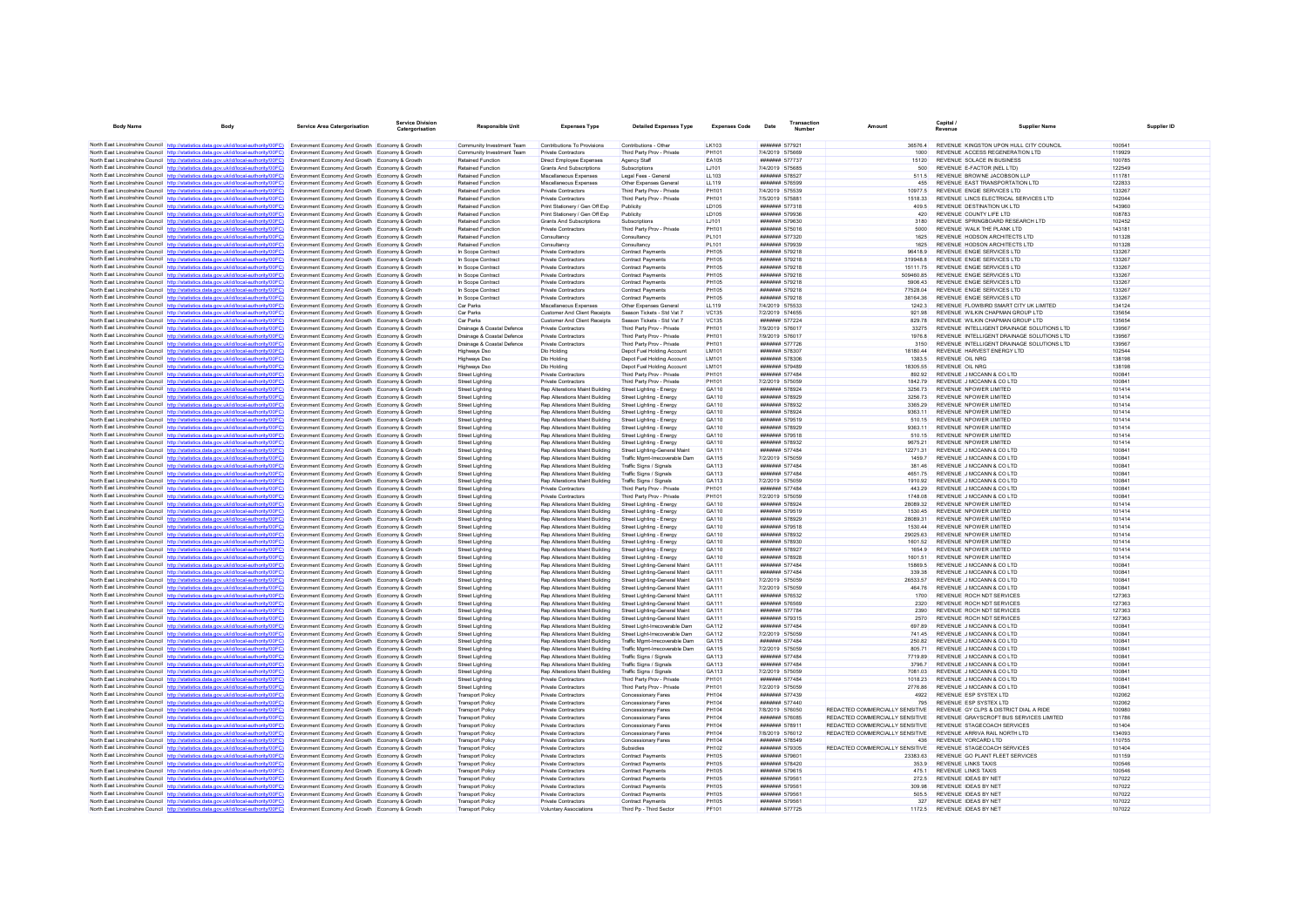| <b>Body Name</b>                          | <b>Body</b>                                                                                                                                                                                                                      | Service Area Catergorisation                                                                       | Service Divisio<br>Catergorisation | <b>Responsible Unit</b>                            | <b>Expenses Type</b>                                             | <b>Detailed Expenses Type</b>                                    | <b>Expenses Code</b>         | Date                               | Transaction<br><b>Number</b> | Amount                                 | Capital /<br>Revenue                         | <b>Supplier Name</b>                                           |                  |
|-------------------------------------------|----------------------------------------------------------------------------------------------------------------------------------------------------------------------------------------------------------------------------------|----------------------------------------------------------------------------------------------------|------------------------------------|----------------------------------------------------|------------------------------------------------------------------|------------------------------------------------------------------|------------------------------|------------------------------------|------------------------------|----------------------------------------|----------------------------------------------|----------------------------------------------------------------|------------------|
|                                           | North East Lincolnshire Council http://statistics.data.gov.uk/id/local-authority/00FC) Environment Economy And Growth Economy & Growth                                                                                           |                                                                                                    |                                    | Community Investment Team                          | Contributions To Provisions                                      | Contributions - Other                                            | I K103                       | ####### 577921                     |                              |                                        |                                              | 36576.4 REVENUE KINGSTON UPON HULL CITY COUNCIL                | 100541           |
|                                           | North East Lincolnshire Council http://statistics.data.gov.uk/id/local-authority/00FC)                                                                                                                                           | Environment Economy And Growth Economy & Growth                                                    |                                    | Community Investment Team                          | Private Contractors                                              | Third Party Prov - Private                                       | PH101                        | 7/4/2019 575669                    |                              | 1000                                   |                                              | REVENUE ACCESS REGENERATION LTD                                | 119929           |
|                                           | North East Lincolnshire Council http://statistics.data.gov.uk/id/local-authority/00FC)                                                                                                                                           | Environment Economy And Growth Economy & Growth                                                    |                                    | <b>Retained Function</b>                           | Direct Employee Expenses                                         | Agency Staff                                                     | <b>EA105</b>                 | ####### 577737                     |                              | 15120                                  |                                              | REVENUE SOLACE IN BUSINESS                                     | 100785           |
|                                           | North East Lincolnshire Council http://statistics.data.gov.uk/id/local-authority/00FC) Environment Economy And Growth Economy & Growth                                                                                           |                                                                                                    |                                    | Retained Function                                  | <b>Grants And Subscriptions</b>                                  | Subscriptions                                                    | LJ101                        | 7/4/2019 575685                    |                              | 500                                    |                                              | REVENUE E-FACTOR (NEL LTD)                                     | 122549           |
|                                           | North East Lincolnshire Council http://statistics.data.gov.uk/id/local-authority/00FC)                                                                                                                                           | Environment Economy And Growth Economy & Growth                                                    |                                    | <b>Retained Function</b>                           | Miscellaneous Expenses                                           | Legal Fees - General                                             | LL103                        | ####### 578527                     |                              | 511.5                                  |                                              | REVENUE BROWNE JACOBSON LLP                                    | 111781           |
|                                           | North East Lincolnshire Council http://statistics.data.gov.uk/id/local-authority/00FC)                                                                                                                                           | Environment Economy And Growth Economy & Growth                                                    |                                    | Retained Function                                  | Miscellaneous Expenser                                           | Other Expenses Genera                                            | LL119<br>PH101               | ####### 576599<br>7/4/2019 575539  |                              | 455                                    |                                              | REVENUE EAST TRANSPORTATION LTD<br>REVENUE ENGIE SERVICES LTD  | 122833<br>133267 |
|                                           | North East Lincolnshire Council http://statistics.data.gov.uk/id/local-authority/00FC)<br>North East Lincolnshire Council http://statistics.data.gov.uk/id/local-authority/00FC)                                                 | Environment Economy And Growth Economy & Growth<br>Environment Economy And Growth Economy & Growth |                                    | Retained Function<br><b>Retained Function</b>      | Private Contractors<br><b>Private Contractors</b>                | Third Party Prov - Private<br>Third Party Prov - Private         | PH101                        | 7/5/2019 575881                    |                              | 10977.5<br>1518.33                     |                                              | REVENUE LINCS ELECTRICAL SERVICES LTD                          | 102044           |
|                                           | North East Lincolnshire Council http://statistics.data.gov.uk/id/local-authority/00FC)                                                                                                                                           | Environment Economy And Growth Economy & Growth                                                    |                                    | Retained Function                                  | Print Stationery / Gen Off Exp                                   | Publicity                                                        | <b>ID105</b>                 | ####### 577318                     |                              | 409.5                                  |                                              | REVENUE DESTINATION UK I TD                                    | 143060           |
|                                           | North East Lincolnshire Council http://statistics.data.gov.uk/id/local-authority/00FC)                                                                                                                                           | Environment Economy And Growth Economy & Growth                                                    |                                    | <b>Retained Function</b>                           | Print Stationery / Gen Off Exp                                   | Publicity                                                        | LD105                        | ####### 579936                     |                              | 420                                    |                                              | REVENUE COUNTY LIFE LTD                                        | 108783           |
|                                           | North East Lincolnshire Council http://statistics.data.gov.uk/id/local-authority/00FC)                                                                                                                                           | Environment Economy And Growth Economy & Growth                                                    |                                    | <b>Retained Function</b>                           | <b>Grants And Subscriptions</b>                                  | Subscriptions                                                    | LJ101                        | ####### 579630                     |                              | 3180                                   |                                              | REVENUE SPRINGBOARD RESEARCH LTD                               | 102452           |
|                                           | North East Lincolnshire Council http://statistics.data.gov.uk/id/local-authority/00FC)                                                                                                                                           | Environment Economy And Growth Economy & Growth                                                    |                                    | Retained Function                                  | Private Contractors                                              | Third Party Prov - Private                                       | PH101                        | ####### 575016                     |                              | 5000                                   |                                              | REVENUE WALK THE PLANK LTD                                     | 143181           |
|                                           | North East Lincolnshire Council http://statistics.data.gov.uk/id/local-authority/00FC)<br>North East Lincolnshire Council http://statistics.data.gov.uk/id/local-authority/00FC)                                                 | Environment Economy And Growth Economy & Growth                                                    |                                    | <b>Retained Function</b>                           | Consultancy                                                      | Consultancy                                                      | PL101                        | ####### 577320                     |                              | 1625<br>1625                           |                                              | REVENUE HODSON ARCHITECTS LTD<br>REVENUE HODSON ARCHITECTS LTD | 101328           |
|                                           | North East Lincolnshire Council http://statistics.data.gov.uk/id/local-authority/00FC)                                                                                                                                           | Environment Economy And Growth Economy & Growth<br>Environment Economy And Growth Economy & Growth |                                    | <b>Retained Function</b><br>In Scope Contract      | Consultancy<br>Private Contractors                               | Consultancy<br><b>Contract Payments</b>                          | PL101<br>PH105               | ####### 579939<br>####### 579218   |                              | 96418.9                                |                                              | REVENUE ENGIE SERVICES LTD                                     | 101328<br>133267 |
|                                           | North East Lincolnshire Council http://statistics.data.gov.uk/id/local-authority/00FC)                                                                                                                                           | Environment Economy And Growth Economy & Growth                                                    |                                    | In Scope Contract                                  | Private Contractors                                              | Contract Payments                                                | <b>PH105</b>                 | ####### 579218                     |                              | 319948.8                               |                                              | REVENUE ENGIE SERVICES LTD                                     | 133267           |
|                                           | North East Lincolnshire Council http://statistics.data.gov.uk/id/local-authority/00FC)                                                                                                                                           | Environment Economy And Growth Economy & Growth                                                    |                                    | In Scope Contract                                  | Private Contractors                                              | Contract Payments                                                | <b>PH105</b>                 | ####### 579218                     |                              | 15111.75                               |                                              | REVENUE ENGIE SERVICES LTD                                     | 133267           |
|                                           | North East Lincolnshire Council http://statistics.data.gov.uk/id/local-authority/00FC)                                                                                                                                           | Environment Economy And Growth Economy & Growth                                                    |                                    | In Scope Contract                                  | <b>Private Contractors</b>                                       | <b>Contract Payments</b>                                         | <b>PH105</b>                 | ####### 579218                     |                              | 509460.85                              |                                              | REVENUE ENGIE SERVICES LTD                                     | 133267           |
|                                           | North East Lincolnshire Council http://statistics.data.gov.uk/id/local-authority/00FC)                                                                                                                                           | Environment Economy And Growth Economy & Growth                                                    |                                    | In Scope Contract                                  | Private Contractors                                              | Contract Payments                                                | <b>PH105</b>                 | ####### 579218                     |                              | 5906.43                                |                                              | REVENUE ENGIE SERVICES LTD                                     | 133267           |
|                                           | North East Lincolnshire Council http://statistics.data.gov.uk/id/local-authority/00FC)<br>North East Lincolnshire Council http://statistics.data.gov.uk/id/local-authority/00FC)                                                 | Environment Economy And Growth Economy & Growth<br>Environment Economy And Growth Economy & Growth |                                    | In Scope Contract<br>In Scope Contract             | <b>Private Contractors</b><br>Private Contractors                | Contract Payments<br>Contract Payments                           | <b>PH105</b><br><b>PH105</b> | ####### 579218<br>####### 579218   |                              | 77528.04<br>3816436                    |                                              | REVENUE ENGIE SERVICES LTD<br>REVENUE ENGIE SERVICES LTD       | 133267<br>133267 |
|                                           | North East Lincolnshire Council http://statistics.data.gov.uk/id/local-authority/00FC)                                                                                                                                           | Environment Economy And Growth Economy & Growth                                                    |                                    | Car Parks                                          | Miscellaneous Expenses                                           | Other Expenses Genera                                            | LL119                        | 7/4/2019 575533                    |                              | 12423                                  |                                              | REVENUE FLOWBIRD SMART CITY UK LIMITED                         | 134124           |
|                                           | North East Lincolnshire Council http://statistics.data.gov.uk/id/local-authority/00FC)                                                                                                                                           | Environment Economy And Growth Economy & Growth                                                    |                                    | Car Parks                                          | <b>Customer And Client Receipts</b>                              | Season Tickets - Std Vat 7                                       | <b>VC135</b>                 | 7/2/2019 574655                    |                              | 921.98                                 |                                              | REVENUE WILKIN CHAPMAN GROUP LTD                               | 135654           |
|                                           | North East Lincolnshire Council http://statistics.data.gov.uk/id/local-authority/00FC)                                                                                                                                           | Environment Economy And Growth Economy & Growth                                                    |                                    | Car Parks                                          | <b>Customer And Client Receipts</b>                              | Season Tickets - Std Vat 7                                       | <b>VC135</b>                 | ####### 577224                     |                              | 829.78                                 |                                              | REVENUE WILKIN CHAPMAN GROUP LTD                               | 135654           |
|                                           | North East Lincolnshire Council http://statistics.data.gov.uk/id/local-authority/00FC)                                                                                                                                           | Environment Economy And Growth Economy & Growth                                                    |                                    | Drainage & Coastal Defence                         | Private Contractors                                              | Third Party Prov - Private                                       | PH101                        | 7/9/2019 576017                    |                              | 33275                                  |                                              | REVENUE INTELLIGENT DRAINAGE SOLUTIONS LTD.                    | 139567           |
|                                           | North East Lincolnshire Council http://statistics.data.gov.uk/id/local-authority/00FC)                                                                                                                                           | Environment Economy And Growth Economy & Growth                                                    |                                    | Drainage & Coastal Defence                         | Private Contractors                                              | Third Party Prov - Private                                       | PH101                        | 7/9/2019 576017                    |                              | 1976.8                                 |                                              | REVENUE INTELLIGENT DRAINAGE SOLUTIONS LTD                     | 139567           |
|                                           | North East Lincolnshire Council http://statistics.data.gov.uk/id/local-authority/00FC)                                                                                                                                           | Environment Economy And Growth Economy & Growth                                                    |                                    | Drainage & Coastal Defence                         | Private Contractors                                              | Third Party Prov - Private                                       | PH101                        | ####### 577726                     |                              | 3150                                   |                                              | REVENUE INTELLIGENT DRAINAGE SOLUTIONS LTD                     | 139567           |
|                                           | North East Lincolnshire Council http://statistics.data.gov.uk/id/local-authority/00EC)<br>North East Lincolnshire Council http://statistics.data.gov.uk/id/local-authority/00FC)                                                 | Environment Economy And Growth Economy & Growth<br>Environment Economy And Growth Economy & Growth |                                    | <b>Highways Dsc</b><br>Highways Dsc                | <b>Dlo Holding</b><br>Dlo Holding                                | Depot Fuel Holding Account<br>Depot Fuel Holding Account         | <b>IM101</b><br>LM101        | ####### 578307<br>####### 578306   |                              | 18180.44<br>1383.5                     | <b>REVENUE OIL NRG</b>                       | REVENUE HARVEST ENERGY LTD                                     | 102544<br>138198 |
|                                           | North East Lincolnshire Council http://statistics.data.gov.uk/id/local-authority/00FC)                                                                                                                                           | Environment Economy And Growth Economy & Growth                                                    |                                    | <b>Highways Dsc</b>                                | Dlo Holding                                                      | Depot Fuel Holding Account                                       | LM101                        | ####### 579489                     |                              | 18305.55                               | <b>REVENUE OIL NRG</b>                       |                                                                | 138198           |
|                                           | North East Lincolnshire Council http://statistics.data.gov.uk/id/local-authority/00FC)                                                                                                                                           | Environment Economy And Growth Economy & Growth                                                    |                                    | Street Lighting                                    | <b>Private Contractors</b>                                       | Third Party Prov - Private                                       | <b>PH101</b>                 | ####### 577484                     |                              | 892.92                                 |                                              | REVENUE J MCCANN & CO LTD                                      | 100841           |
|                                           | North East Lincolnshire Council http://statistics.data.gov.uk/id/local-authority/00FC)                                                                                                                                           | Environment Economy And Growth Economy & Growth                                                    |                                    | <b>Street Lighting</b>                             | Private Contractors                                              | Third Party Prov - Private                                       | PH101                        | 7/2/2019 575059                    |                              | 184279                                 |                                              | REVENUE JIMCCANN & CO LTD                                      | 100841           |
|                                           | North East Lincolnshire Council http://statistics.data.gov.uk/id/local-authority/00FC)                                                                                                                                           | Environment Economy And Growth Economy & Growth                                                    |                                    | <b>Street Lighting</b>                             | Rep Alterations Maint Building                                   | Street Lighting - Energy                                         | GA110                        | ####### 578924                     |                              | 3256.73                                |                                              | REVENUE NPOWER LIMITED                                         | 101414           |
|                                           | North East Lincolnshire Council http://statistics.data.gov.uk/id/local-authority/00FC)                                                                                                                                           | Environment Economy And Growth Economy & Growth                                                    |                                    | Street Lighting                                    | Rep Alterations Maint Building                                   | Street Lighting - Energy                                         | GA110                        | ####### 578929                     |                              | 3256 73                                |                                              | REVENUE NPOWER LIMITED                                         | 101414           |
|                                           | North East Lincolnshire Council http://statistics.data.gov.uk/id/local-authority/00EC)                                                                                                                                           | Environment Economy And Growth Economy & Growth                                                    |                                    | <b>Street Lighting</b>                             | Ren Alterations Maint Building                                   | Street Lighting - Energy                                         | GA110                        | ####### 578932                     |                              | 3365.29                                |                                              | REVENUE NPOWER LIMITED                                         | 101414           |
| North East Lincolnshire Council http://st | North East Lincolnshire Council http://statistics.data.gov.uk/id/local-authority/00FC)<br>stics data gov uk/id/local-authority/00EC)                                                                                             | Environment Economy And Growth Economy & Growth<br>Environment Economy And Growth Economy & Growth |                                    | <b>Street Lighting</b><br>Street Lighting          | Rep Alterations Maint Building<br>Rep Alterations Maint Building | Street Lighting - Energy<br>Street Lighting - Energy             | GA110<br>GA110               | ####### 578924<br>####### 579519   |                              | 9363.11<br>510.15                      |                                              | REVENUE NPOWER LIMITED<br>REVENUE NPOWER LIMITED               | 101414<br>101414 |
|                                           | North East Lincolnshire Council http://statistics.data.gov.uk/id/local-authority/00FC)                                                                                                                                           | Environment Economy And Growth Economy & Growth                                                    |                                    | <b>Street Lighting</b>                             | Rep Alterations Maint Building                                   | Street Lighting - Energy                                         | GA110                        | ####### 578929                     |                              | 9363 11                                |                                              | REVENUE NPOWER LIMITED                                         | 101414           |
|                                           | North East Lincolnshire Council http://statistics.data.gov.uk/id/local-authority/00FC)                                                                                                                                           | Environment Economy And Growth Economy & Growth                                                    |                                    | <b>Street Lighting</b>                             | Rep Alterations Maint Building                                   | Street Lighting - Energy                                         | GA110                        | ####### 579518                     |                              | 510.15                                 |                                              | REVENUE NPOWER LIMITED                                         | 101414           |
|                                           | North East Lincolnshire Council http://statistics.data.gov.uk/id/local-authority/00FC)                                                                                                                                           | Environment Economy And Growth Economy & Growth                                                    |                                    | Street Lighting                                    | Rep Alterations Maint Building                                   | Street Lighting - Energy                                         | GA110                        | ####### 578932                     |                              | 9675.21                                |                                              | REVENUE NPOWER LIMITED                                         | 101414           |
|                                           | North East Lincolnshire Council http://statistics.data.gov.uk/id/local-authority/00FC)                                                                                                                                           | Environment Economy And Growth Economy & Growth                                                    |                                    | Street Lighting                                    | Rep Alterations Maint Building                                   | Street Lighting-General Maint                                    | GA111                        | ####### 577484                     |                              | 12271.31                               |                                              | REVENUE J MCCANN & CO LTD                                      | 100841           |
|                                           | North East Lincolnshire Council http://statistics.data.gov.uk/id/local-authority/00FC)                                                                                                                                           | Environment Economy And Growth Economy & Growth                                                    |                                    | <b>Street Lighting</b>                             | Rep Alterations Maint Building                                   | Traffic Mgmt-Irrecoverable Dam                                   | GA115                        | 7/2/2019 575059                    |                              | 1459.7                                 |                                              | REVENUE J MCCANN & CO LTD                                      | 100841           |
|                                           | North East Lincolnshire Council http://statistics.data.gov.uk/id/local-authority/00FC)<br>North East Lincolnshire Council http://statistics.data.gov.uk/id/local-authority/00FC)                                                 | Environment Economy And Growth Economy & Growth<br>Environment Economy And Growth Economy & Growth |                                    | <b>Street Lighting</b><br>Street Lighting          | Rep Alterations Maint Building<br>Ren Alterations Maint Building | Traffic Signs / Signals<br>Traffic Signs / Signals               | GA113<br>GA113               | ####### 577484<br>####### 577484   |                              | 381.46<br>465175                       |                                              | REVENUE J MCCANN & CO LTD<br>REVENUE J MCCANN & CO LTD         | 100841<br>100841 |
|                                           | North East Lincolnshire Council http://statistics.data.gov.uk/id/local-authority/00FC)                                                                                                                                           | Environment Economy And Growth Economy & Growth                                                    |                                    | <b>Street Lighting</b>                             | Rep Alterations Maint Building                                   | Traffic Signs / Signals                                          | GA113                        | 7/2/2019 575059                    |                              | 1910.92                                |                                              | REVENUE J MCCANN & CO LTD                                      | 100841           |
|                                           | North East Lincolnshire Council http://statistics.data.gov.uk/id/local-authority/00FC)                                                                                                                                           | Environment Economy And Growth Economy & Growth                                                    |                                    | <b>Street Lighting</b>                             | Private Contractors                                              | Third Party Prov - Private                                       | PH101                        | ####### 577484                     |                              | 443.29                                 |                                              | REVENUE J MCCANN & CO LTD                                      | 100841           |
|                                           | North East Lincolnshire Council http://statistics.data.gov.uk/id/local-authority/00FC)                                                                                                                                           | Environment Economy And Growth Economy & Growth                                                    |                                    | Street Lighting                                    | <b>Private Contractors</b>                                       | Third Party Prov - Private                                       | PH101                        | 7/2/2019 575059                    |                              | 1748.08                                |                                              | REVENUE J MCCANN & CO LTD                                      | 100841           |
|                                           | North East Lincolnshire Council http://statistics.data.gov.uk/id/local-authority/00FC)                                                                                                                                           | Environment Economy And Growth Economy & Growth                                                    |                                    | <b>Street Lighting</b>                             | Rep Alterations Maint Building                                   | Street Lighting - Energy                                         | GA110                        | ####### 578924                     |                              | 28089.32                               |                                              | REVENUE NPOWER LIMITED                                         | 101414           |
|                                           | North East Lincolnshire Council http://statistics.data.gov.uk/id/local-authority/00FC)                                                                                                                                           | Environment Economy And Growth Economy & Growth                                                    |                                    | Street Lighting                                    | Rep Alterations Maint Building                                   | Street Lighting - Energy                                         | GA110                        | ####### 579519                     |                              | 1530.45                                |                                              | REVENUE NPOWER LIMITED                                         | 101414           |
|                                           | North East Lincolnshire Council http://statistics.data.gov.uk/id/local-authority/00FC)<br>North East Lincolnshire Council http://statistics.data.gov.uk/id/local-authority/00FC)                                                 | Environment Economy And Growth Economy & Growth<br>Environment Economy And Growth Economy & Growth |                                    | <b>Street Lighting</b><br>Street Lighting          | Rep Alterations Maint Building<br>Rep Alterations Maint Building | Street Lighting - Energy<br>Street Lighting - Energy             | GA110<br>GA110               | ####### 578929<br>####### 579518   |                              | 28089.31<br>1530.44                    |                                              | REVENUE NPOWER LIMITED<br>REVENUE NPOWER LIMITED               | 101414<br>101414 |
|                                           | North East Lincolnshire Council http://statistics.data.gov.uk/id/local-authority/00FC)                                                                                                                                           | Environment Economy And Growth Economy & Growth                                                    |                                    | <b>Street Lighting</b>                             | Rep Alterations Maint Building                                   | Street Lighting - Energy                                         | GA110                        | ####### 578932                     |                              | 29025.63                               |                                              | REVENUE NPOWER LIMITED                                         | 101414           |
|                                           | North East Lincolnshire Council http://statistics.data.gov.uk/id/local-authority/00FC)                                                                                                                                           | Environment Economy And Growth Economy & Growth                                                    |                                    | <b>Street Lighting</b>                             | Rep Alterations Maint Building                                   | Street Lighting - Energy                                         | GA110                        | ####### 578930                     |                              | 1601.52                                |                                              | REVENUE NPOWER LIMITED                                         | 101414           |
|                                           | North East Lincolnshire Council http://statistics.data.gov.uk/id/local-authority/00FC)                                                                                                                                           | Environment Economy And Growth Economy & Growth                                                    |                                    | Street Lighting                                    | Rep Alterations Maint Building                                   | Street Lighting - Energy                                         | GA110                        | ####### 578927                     |                              | 1654.9                                 |                                              | REVENUE NPOWER LIMITED                                         | 101414           |
|                                           | North East Lincolnshire Council http://statistics.data.gov.uk/id/local-authority/00FC)                                                                                                                                           | Environment Economy And Growth Economy & Growth                                                    |                                    | Street Lighting                                    | Rep Alterations Maint Building                                   | Street Lighting - Energy                                         | GA110                        | ####### 578928                     |                              | 1601.51                                |                                              | REVENUE NPOWER LIMITED                                         | 101414           |
|                                           | North East Lincolnshire Council http://statistics.data.gov.uk/id/local-authority/00FC)                                                                                                                                           | Environment Economy And Growth Economy & Growth                                                    |                                    | <b>Street Lighting</b>                             | Rep Alterations Maint Building                                   | Street Lighting-General Maint                                    | GA111<br>GA111               | ####### 577484<br>####### 577484   |                              | 15869.5<br>339.38                      |                                              | REVENUE J MCCANN & CO LTD<br>REVENUE JIMCCANN & CO LTD         | 100841<br>100841 |
|                                           | North East Lincolnshire Council http://statistics.data.gov.uk/id/local-authority/00FC)<br>North East Lincolnshire Council http://statistics.data.gov.uk/id/local-authority/00FC)                                                 | Environment Economy And Growth Economy & Growth<br>Environment Economy And Growth Economy & Growth |                                    | Street Lighting<br><b>Street Lighting</b>          | Rep Alterations Maint Building<br>Rep Alterations Maint Building | Street Lighting-General Maint<br>Street Lighting-General Maint   | GA111                        | 7/2/2019 575059                    |                              | 26533.57                               |                                              | REVENUE J MCCANN & CO LTD                                      | 100841           |
|                                           | North East Lincolnshire Council http://statistics.data.gov.uk/id/local-authority/00FC)                                                                                                                                           | Environment Economy And Growth Economy & Growth                                                    |                                    | <b>Street Lighting</b>                             | Rep Alterations Maint Building                                   | Street Lighting-General Maint                                    | GA111                        | 7/2/2019 575059                    |                              | 464.76                                 |                                              | REVENUE J MCCANN & CO LTD                                      | 100841           |
|                                           | North East Lincolnshire Council http://statistics.data.gov.uk/id/local-authority/00FC)                                                                                                                                           | Environment Economy And Growth Economy & Growth                                                    |                                    | Street Lighting                                    | Rep Alterations Maint Building                                   | Street Lighting-General Maint                                    | GA111                        | ####### 576532                     |                              | 1700                                   |                                              | REVENUE ROCH NDT SERVICES                                      | 127363           |
|                                           | North East Lincolnshire Council http://statistics.data.gov.uk/id/local-authority/00FC)                                                                                                                                           | Environment Economy And Growth Economy & Growth                                                    |                                    | <b>Street Lighting</b>                             | Rep Alterations Maint Building                                   | Street Lighting-General Maint                                    | GA111                        | ####### 576569                     |                              | 2320                                   |                                              | REVENUE ROCH NDT SERVICES                                      | 127363           |
|                                           | North East Lincolnshire Council http://statistics.data.gov.uk/id/local-authority/00FC)                                                                                                                                           | Environment Economy And Growth Economy & Growth                                                    |                                    | <b>Street Lighting</b>                             | Rep Alterations Maint Building                                   | Street Lighting-General Maint                                    | GA111                        | ####### 577784                     |                              | 2390                                   |                                              | REVENUE ROCH NDT SERVICES                                      | 127363           |
|                                           | North East Lincolnshire Council http://statistics.data.gov.uk/id/local-authority/00FC)                                                                                                                                           | Environment Economy And Growth Economy & Growth                                                    |                                    | Street Lighting                                    | Rep Alterations Maint Building                                   | Street Lighting-General Maint                                    | GA111                        | ####### 579315                     |                              | 2570                                   |                                              | REVENUE ROCH NDT SERVICES                                      | 127363           |
|                                           | North East Lincolnshire Council http://statistics.data.gov.uk/id/local-authority/00FC)<br>North East Lincolnshire Council http://statistics.data.gov.uk/id/local-authority/00FC)                                                 | Environment Economy And Growth Economy & Growth                                                    |                                    | Street Lighting                                    | Rep Alterations Maint Building<br>Rep Alterations Maint Building | Street Light-Irrecoverable Dam                                   | GA112<br>GA112               | ####### 577484<br>7/2/2019 575059  |                              | 697.89<br>741.45                       |                                              | REVENUE J MCCANN & CO LTD<br>REVENUE J MCCANN & CO LTD         | 100841<br>100841 |
|                                           | North East Lincolnshire Council http://statistics.data.gov.uk/id/local-authority/00FC)                                                                                                                                           | Environment Economy And Growth Economy & Growth<br>Environment Economy And Growth Economy & Growth |                                    | <b>Street Lighting</b><br>Street Lighting          | Rep Alterations Maint Building                                   | Street Light-Irrecoverable Dam<br>Traffic Mgmt-Irrecoverable Dam | GA115                        | ####### 577484                     |                              | 250.82                                 |                                              | REVENUE J MCCANN & CO LTD                                      | 100841           |
|                                           | North East Lincolnshire Council http://statistics.data.gov.uk/id/local-authority/00FC)                                                                                                                                           | Environment Economy And Growth Economy & Growth                                                    |                                    | Street Lighting                                    | Rep Alterations Maint Building                                   | Traffic Mgmt-Irrecoverable Dam                                   | GA115                        | 7/2/2019 575059                    |                              | 805.71                                 |                                              | REVENUE J MCCANN & CO LTD                                      | 100841           |
|                                           | North East Lincolnshire Council http://statistics.data.gov.uk/id/local-authority/00FC)                                                                                                                                           | Environment Economy And Growth Economy & Growth                                                    |                                    | <b>Street Lighting</b>                             | Rep Alterations Maint Building                                   | Traffic Signs / Signals                                          | GA113                        | ####### 577484                     |                              | 7719.89                                |                                              | REVENUE J MCCANN & CO LTD                                      | 100841           |
|                                           | North East Lincolnshire Council http://statistics.data.gov.uk/id/local-authority/00FC)                                                                                                                                           | Environment Economy And Growth Economy & Growth                                                    |                                    | <b>Street Lighting</b>                             | Rep Alterations Maint Building                                   | Traffic Signs / Signals                                          | GA113                        | ####### 577484                     |                              | 3796.7                                 |                                              | REVENUE J MCCANN & CO LTD                                      | 100841           |
|                                           | North East Lincolnshire Council http://statistics.data.gov.uk/id/local-authority/00FC)                                                                                                                                           | Environment Economy And Growth Economy & Growth                                                    |                                    | Street Lighting                                    | Rep Alterations Maint Building                                   | Traffic Signs / Signals                                          | GA113                        | 7/2/2019 575059                    |                              | 7081.03                                |                                              | REVENUE J MCCANN & CO LTD                                      | 100841           |
|                                           | North East Lincolnshire Council http://statistics.data.gov.uk/id/local-authority/00FC)                                                                                                                                           | Environment Economy And Growth Economy & Growth                                                    |                                    | <b>Street Lighting</b>                             | Private Contractors                                              | Third Party Prov - Private                                       | PH101<br>PH101               | <b><i><u>HHHHHH</u></i></b> 577484 |                              | 1018 23                                |                                              | REVENUE J MCCANN & CO LTD<br>REVENUE J MCCANN & CO LTD         | 100841<br>100841 |
|                                           | North East Lincolnshire Council http://statistics.data.gov.uk/id/local-authority/00FC)<br>North East Lincolnshire Council http://statistics.data.gov.uk/id/local-authority/00FC)                                                 | Environment Economy And Growth Economy & Growth<br>Environment Economy And Growth Economy & Growth |                                    | <b>Street Lighting</b><br><b>Transport Policy</b>  | Private Contractors<br>Private Contractors                       | Third Party Prov - Private<br>Concessionary Fares                | PH104                        | 7/2/2019 575059<br>####### 577439  |                              | 2776.86<br>4922                        |                                              | REVENUE ESP SYSTEX LTD                                         | 102062           |
|                                           | North East Lincolnshire Council http://statistics.data.gov.uk/id/local-authority/00FC)                                                                                                                                           | Environment Economy And Growth Economy & Growth                                                    |                                    | <b>Transport Policy</b>                            | <b>Private Contractors</b>                                       | <b>Concessionary Fares</b>                                       | PH104                        | ####### 577440                     |                              | 795                                    |                                              | REVENUE ESP SYSTEX LTD                                         | 102062           |
|                                           | North East Lincolnshire Council http://statistics.data.gov.uk/id/local-authority/00FC)                                                                                                                                           | Environment Economy And Growth Economy & Growth                                                    |                                    | Transport Policy                                   | Private Contractors                                              | Concessionary Fares                                              | PH104                        | 7/8/2019 576050                    |                              | REDACTED COMMERCIALLY SENSITIVE        |                                              | REVENUE GY CLPS & DISTRICT DIAL A RIDE                         | 100980           |
|                                           | North East Lincolnshire Council http://statistics.data.gov.uk/id/local-authority/00FC)                                                                                                                                           | Environment Economy And Growth Economy & Growth                                                    |                                    | Transport Policy                                   | Private Contractors                                              | Concessionary Fares                                              | PH104                        | ####### 576085                     |                              | REDACTED COMMERCIALLY SENSITIVE        |                                              | REVENUE GRAYSCROFT BUS SERVICES LIMITED                        | 101786           |
|                                           | North East Lincolnshire Council http://statistics.data.gov.uk/id/local-authority/00FC)                                                                                                                                           | Environment Economy And Growth Economy & Growth                                                    |                                    | <b>Transport Policy</b>                            | Private Contractors                                              | Concessionary Fares                                              | PH104                        | ####### 578911                     |                              | REDACTED COMMERCIALLY SENSITIVE        |                                              | REVENUE STAGECOACH SERVICES                                    | 101404           |
|                                           | North East Lincolnshire Council http://statistics.data.gov.uk/id/local-authority/00FC)                                                                                                                                           | Environment Economy And Growth Economy & Growth                                                    |                                    | <b>Transport Policy</b>                            | Private Contractors                                              | Concessionary Fares                                              | <b>PH104</b>                 | 7/8/2019 576012                    |                              | REDACTED COMMERCIALLY SENSITIVE        |                                              | REVENUE ARRIVA RAIL NORTH LTD                                  | 134093           |
|                                           | North East Lincolnshire Council http://statistics.data.gov.uk/id/local-authority/00FC)<br>North East Lincolnshire Council http://statistics.data.gov.uk/id/local-authority/00FC)                                                 | Environment Economy And Growth Economy & Growth<br>Environment Economy And Growth Economy & Growth |                                    | <b>Transport Policy</b><br><b>Transport Policy</b> | Private Contractors<br>Private Contractors                       | Concessionary Fares<br>Subsidies                                 | <b>PH104</b><br>PH102        | ####### 578549<br>####### 579305   |                              | 436<br>REDACTED COMMERCIALLY SENSITIVE | REVENUE YORCARD LTD                          | REVENUE STAGECOACH SERVICES                                    | 110755<br>101404 |
|                                           | North East Lincolnshire Council http://statistics.data.gov.uk/id/local-authority/00FC)                                                                                                                                           | Environment Economy And Growth Economy & Growth                                                    |                                    | <b>Transport Policy</b>                            | Private Contractors                                              | <b>Contract Payments</b>                                         | <b>PH105</b>                 | ####### 579601                     |                              | 23383.63                               |                                              | REVENUE GO PLANT ELEET SERVICES                                | 101159           |
|                                           | North East Lincolnshire Council http://statistics.data.gov.uk/id/local-authority/00FC)                                                                                                                                           | Environment Economy And Growth Economy & Growth                                                    |                                    | <b>Transport Policy</b>                            | Private Contractors                                              | Contract Payments                                                | <b>PH105</b>                 | ####### 578420                     |                              | 353.9                                  | <b>REVENUE LINKS TAXIS</b>                   |                                                                | 100546           |
|                                           | North East Lincolnshire Council http://statistics.data.gov.uk/id/local-authority/00FC)                                                                                                                                           | Environment Economy And Growth Economy & Growth                                                    |                                    | <b>Transport Policy</b>                            | Private Contractors                                              | <b>Contract Payments</b>                                         | <b>PH105</b>                 | ####### 579615                     |                              | 475.1                                  | <b>REVENUE LINKS TAXIS</b>                   |                                                                | 100546           |
|                                           | North East Lincolnshire Council http://statistics.data.gov.uk/id/local-authority/00FC)                                                                                                                                           | Environment Economy And Growth Economy & Growth                                                    |                                    | <b>Transport Policy</b>                            | <b>Private Contractors</b>                                       | <b>Contract Payments</b>                                         | <b>PH105</b>                 | ####### 579561                     |                              | 272.5                                  | REVENUE IDEAS BY NET                         |                                                                | 107022           |
|                                           | North East Lincolnshire Council http://statistics.data.gov.uk/id/local-authority/00FC)                                                                                                                                           | Environment Economy And Growth Economy & Growth                                                    |                                    | Transport Policy                                   | Private Contractors                                              | Contract Payments                                                | <b>PH105</b>                 | ####### 57956                      |                              | 309.98                                 | REVENUE IDEAS BY NET                         |                                                                | 107022           |
|                                           | North East Lincolnshire Council http://statistics.data.gov.uk/id/local-authority/00FC)                                                                                                                                           | Environment Economy And Growth Economy & Growth                                                    |                                    | <b>Transport Policy</b>                            | Private Contractors                                              | <b>Contract Payments</b>                                         | <b>PH105</b>                 | ####### 579561                     |                              | 505.5                                  | <b>REVENUE IDEAS BY NET</b>                  |                                                                | 107022           |
|                                           | North East Lincolnshire Council http://statistics.data.gov.uk/id/local-authority/00FC) Environment Economy And Growth Economy & Growth<br>North East Lincolnshire Council http://statistics.data.gov.uk/id/local-authority/00FC) | Environment Economy And Growth Economy & Growth                                                    |                                    | <b>Transport Policy</b><br>Transport Policy        | <b>Private Contractors</b><br>Voluntary Association              | <b>Contract Payments</b><br>Third Pp - Third Sector              | <b>PH105</b><br>PF101        | ####### 579561<br>####### 577725   |                              | 327<br>1172.5                          | REVENUE IDEAS BY NET<br>REVENUE IDEAS BY NET |                                                                | 107022<br>107022 |
|                                           |                                                                                                                                                                                                                                  |                                                                                                    |                                    |                                                    |                                                                  |                                                                  |                              |                                    |                              |                                        |                                              |                                                                |                  |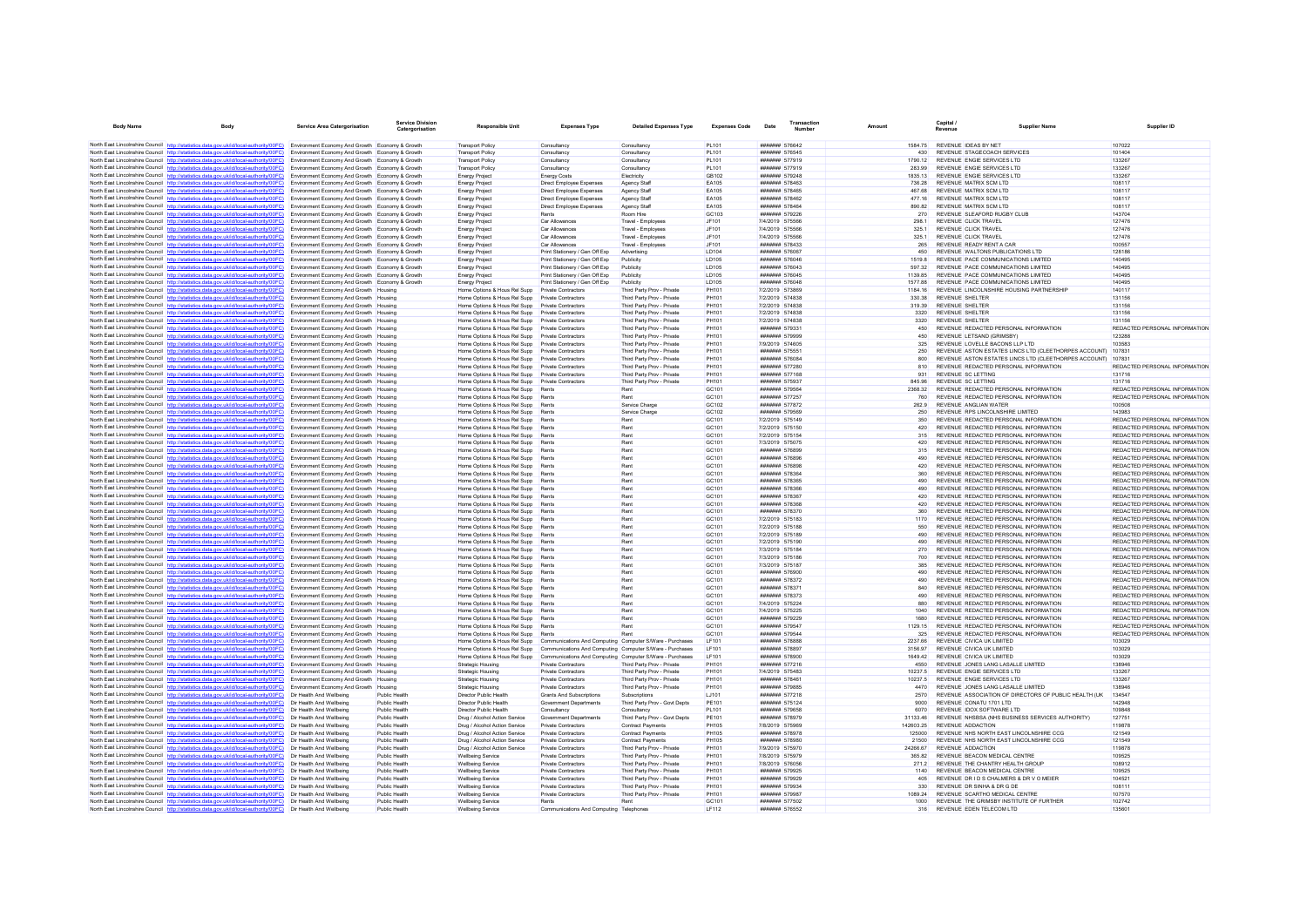| <b>Body Name</b>                       |                                                                                                                                                                                                           | <b>Service Area Catergorisation</b>                                                                | <b>Service Division</b><br>Catergorisation | <b>Responsible Unit</b>                                                                              | <b>Expenses Type</b>                                                                  | <b>Detailed Expenses Type</b>                            | <b>Expenses Code</b>                   | Date                                     | Transaction<br>Number |                    | Capital<br>Revenue                                                                 | <b>Supplier Name</b>                                         | Supplier ID                                                    |
|----------------------------------------|-----------------------------------------------------------------------------------------------------------------------------------------------------------------------------------------------------------|----------------------------------------------------------------------------------------------------|--------------------------------------------|------------------------------------------------------------------------------------------------------|---------------------------------------------------------------------------------------|----------------------------------------------------------|----------------------------------------|------------------------------------------|-----------------------|--------------------|------------------------------------------------------------------------------------|--------------------------------------------------------------|----------------------------------------------------------------|
|                                        | North East Lincolnshire Council http://statistics.data.gov.uk/id/local-authority/00FC) Environment Economy And Growth Economy & Growth                                                                    |                                                                                                    |                                            | <b>Transport Policy</b>                                                                              | Consultancy                                                                           | Consultancy                                              | PL101                                  | ####### 576642                           |                       | 1584.75            | REVENUE IDEAS BY NET                                                               |                                                              | 107022                                                         |
|                                        | North East Lincolnshire Council http://statistics.data.gov.uk/id/local-authority/00FC)                                                                                                                    | Environment Economy And Growth Economy & Growth                                                    |                                            | <b>Transport Policy</b>                                                                              | Consultancy                                                                           | Consultancy                                              | PL101                                  | ####### 576545                           |                       | 430                | REVENUE STAGECOACH SERVICES                                                        |                                                              | 101404                                                         |
|                                        | North East Lincolnshire Council http://statistics.data.gov.uk/id/local-authority/00FC)                                                                                                                    | Environment Economy And Growth Economy & Growth                                                    |                                            | <b>Transport Policy</b>                                                                              | Consultancy                                                                           | Consultancy                                              | PI 101                                 | ####### 577919                           |                       | 1790 12            | REVENUE ENGIE SERVICES I TD                                                        |                                                              | 133267                                                         |
|                                        | North East Lincolnshire Council http://statistics.data.gov.uk/id/local-authority/00FC)                                                                                                                    | Environment Economy And Growth Economy & Growth                                                    |                                            | <b>Transport Policy</b>                                                                              | Consultancy                                                                           | Consultancy                                              | PL101                                  | ####### 577919                           |                       | 283.99             | REVENUE ENGIE SERVICES LTD                                                         |                                                              | 133267                                                         |
|                                        | North East Lincolnshire Council http://statistics.data.gov.uk/id/local-authority/00FC)<br>North East Lincolnshire Council http://statistics.data.gov.uk/id/local-authority/00FC)                          | Environment Economy And Growth Economy & Growth<br>Environment Economy And Growth Economy & Growth |                                            | <b>Energy Project</b>                                                                                | <b>Energy Costs</b><br>Direct Employee Expenses                                       | Electricity<br>Agency Staf                               | GB102<br>EA105                         | ####### 579248<br>####### 578463         |                       | 1835.13<br>736.28  | REVENUE ENGIE SERVICES LTD<br>REVENUE MATRIX SCM LTD                               |                                                              | 133267<br>108117                                               |
|                                        | North East Lincolnshire Council http://statistics.data.gov.uk/id/local-authority/00FC)                                                                                                                    | Environment Economy And Growth Economy & Growth                                                    |                                            | <b>Energy Project</b><br><b>Energy Project</b>                                                       | Direct Employee Expenses                                                              | Agency Staff                                             | EA105                                  | ####### 578465                           |                       | 467.68             | REVENUE MATRIX SCM LTD                                                             |                                                              | 108117                                                         |
|                                        | North East Lincolnshire Council http://statistics.data.gov.uk/id/local-authority/00FC)                                                                                                                    | Environment Economy And Growth Economy & Growth                                                    |                                            | <b>Energy Project</b>                                                                                | <b>Direct Employee Expenses</b>                                                       | Agency Staff                                             | FA105                                  | ####### 578462                           |                       | 477 16             | REVENUE MATRIX SCM LTD                                                             |                                                              | 108117                                                         |
|                                        | North East Lincolnshire Council http://statistics.data.gov.uk/id/local-authority/00FC)                                                                                                                    | Environment Economy And Growth Economy & Growth                                                    |                                            | Energy Project                                                                                       | Direct Employee Expenses                                                              | Agency Staff                                             | FA105                                  | ####### 578464                           |                       | 890.82             | REVENUE MATRIX SCM LTD                                                             |                                                              | 108117                                                         |
|                                        | North East Lincolnshire Council http://statistics.data.gov.uk/id/local-authority/00FC)                                                                                                                    | Environment Economy And Growth Economy & Growth                                                    |                                            | <b>Energy Project</b>                                                                                | Rents                                                                                 | Room Hire                                                | GC103                                  | ####### 579226                           |                       | 270                | REVENUE SLEAFORD RUGBY CLUB                                                        |                                                              | 143704                                                         |
|                                        | North East Lincolnshire Council http://statistics.data.gov.uk/id/local-authority/00FC)                                                                                                                    | Environment Economy And Growth Economy & Growth                                                    |                                            | Energy Project                                                                                       | Car Allowances                                                                        | Travel - Employee                                        | JF101                                  | 7/4/2019 575566                          |                       | 298.1              | REVENUE CLICK TRAVEL                                                               |                                                              | 127476                                                         |
|                                        | North East Lincolnshire Council http://statistics.data.gov.uk/id/local-authority/00FC)<br>North East Lincolnshire Council http://statistics.data.gov.uk/id/local-authority/00FC)                          | Environment Economy And Growth Economy & Growth                                                    |                                            | <b>Energy Project</b>                                                                                | Car Allowances                                                                        | Travel - Employees                                       | JF101                                  | 7/4/2019 575566<br>7/4/2019 575566       |                       | 325 1<br>325.1     | REVENUE CLICK TRAVEL<br>REVENUE CLICK TRAVEL                                       |                                                              | 127476<br>127476                                               |
|                                        | North East Lincolnshire Council http://statistics.data.gov.uk/id/local-authority/00FC)                                                                                                                    | Environment Economy And Growth Economy & Growth<br>Environment Economy And Growth Economy & Growth |                                            | <b>Energy Project</b><br>Energy Project                                                              | Car Allowances<br>Car Allowances                                                      | Travel - Employees<br>Travel - Employee                  | JF101<br>JF101                         | ####### 578433                           |                       | 265                | REVENUE READY RENT A CAR                                                           |                                                              | 100557                                                         |
|                                        | North East Lincolnshire Council http://statistics.data.gov.uk/id/local-authority/00FC)                                                                                                                    | Environment Economy And Growth Economy & Growth                                                    |                                            | <b>Energy Project</b>                                                                                | Print Stationery / Gen Off Exp                                                        | Advertising                                              | LD104                                  | ####### 576067                           |                       | 450                | REVENUE WALTONS PUBLICATIONS LTD                                                   |                                                              | 128186                                                         |
|                                        | North East Lincolnshire Council http://statistics.data.gov.uk/id/local-authority/00FC)                                                                                                                    | Environment Economy And Growth Economy & Growth                                                    |                                            | <b>Energy Project</b>                                                                                | Print Stationery / Gen Off Exp                                                        | Publicity                                                | <b>ID105</b>                           | <b>#######</b> 576046                    |                       | 15198              | REVENUE PACE COMMUNICATIONS LIMITED                                                |                                                              | 140495                                                         |
|                                        | North East Lincolnshire Council http://statistics.data.gov.uk/id/local-authority/00FC)                                                                                                                    | Environment Economy And Growth Economy & Growth                                                    |                                            | <b>Energy Project</b>                                                                                | Print Stationery / Gen Off Exp                                                        | Publicity                                                | LD105                                  | ####### 576043                           |                       | 597.32             | REVENUE PACE COMMUNICATIONS LIMITED                                                |                                                              | 140495                                                         |
|                                        | North East Lincolnshire Council http://statistics.data.gov.uk/id/local-authority/00FC)<br>North East Lincolnshire Council http://statistics.data.gov.uk/id/local-authority/00FC)                          | Environment Economy And Growth Economy & Growth                                                    |                                            | <b>Energy Project</b>                                                                                | Print Stationery / Gen Off Exp                                                        | Publicity                                                | <b>ID105</b><br><b>ID105</b>           | ####### 576045                           |                       | 1139.85            | REVENUE PACE COMMUNICATIONS LIMITED                                                |                                                              | 140495<br>140495                                               |
|                                        | North East Lincolnshire Council http://statistics.data.gov.uk/id/local-authority/00FC)                                                                                                                    | Environment Economy And Growth Economy & Growth<br>Environment Economy And Growth Housing          |                                            | <b>Energy Project</b><br>Home Options & Hous Rel Supp                                                | Print Stationery / Gen Off Exp<br>Private Contractors                                 | Publicity<br>Third Party Prov - Private                  | PH101                                  | <b>#######</b> 576048<br>7/2/2019 573869 |                       | 1577 88<br>1184.16 | REVENUE PACE COMMUNICATIONS LIMITED.<br>REVENUE LINCOLNSHIRE HOUSING PARTNERSHIP   |                                                              | 140117                                                         |
|                                        | North East Lincolnshire Council http://statistics.data.gov.uk/id/local-authority/00FC)                                                                                                                    | Environment Economy And Growth Housing                                                             |                                            | Home Options & Hous Rel Supp Private Contractors                                                     |                                                                                       | Third Party Prov - Private                               | PH101                                  | 7/2/2019 574838                          |                       | 330.38             | <b>REVENUE SHELTER</b>                                                             |                                                              | 131156                                                         |
|                                        | North East Lincolnshire Council http://statistics.data.gov.uk/id/local-authority/00EC)                                                                                                                    | Environment Economy And Growth Housing                                                             |                                            | Home Options & Hous Rel Supp                                                                         | Private Contractors                                                                   | Third Party Prov - Private                               | PH101                                  | 7/2/2019 574838                          |                       | 319.39             | REVENUE SHELTER                                                                    |                                                              | 131156                                                         |
|                                        | North East Lincolnshire Council http://statistics.data.gov.uk/id/local-authority/00FC)                                                                                                                    | Environment Economy And Growth Housing                                                             |                                            | Home Options & Hous Rel Supp                                                                         | <b>Private Contractors</b>                                                            | Third Party Prov - Private                               | PH101                                  | 7/2/2019 574838                          |                       | 3320               | <b>REVENUE SHELTER</b>                                                             |                                                              | 131156                                                         |
|                                        | North East Lincolnshire Council http://statistics.data.gov.uk/id/local-authority/00FC)                                                                                                                    | Environment Economy And Growth Housing                                                             |                                            | Home Options & Hous Rel Supp Private Contractors                                                     |                                                                                       | Third Party Prov - Private                               | PH101                                  | 7/2/2019 574838                          |                       | 3320               | <b>REVENUE SHELTER</b>                                                             |                                                              | 131156                                                         |
|                                        | North East Lincolnshire Council http://statistics.data.gov.uk/id/local-authority/00FC)                                                                                                                    | Environment Economy And Growth Housing                                                             |                                            | Home Options & Hous Rel Supp Private Contractors                                                     |                                                                                       | Third Party Prov - Private                               | PH101                                  | ####### 579331                           |                       | 450                | REVENUE REDACTED PERSONAL INFORMATION                                              |                                                              | REDACTED PERSONAL INFORMATION                                  |
|                                        | North East Lincolnshire Council http://statistics.data.gov.uk/id/local-authority/00FC)                                                                                                                    | Environment Economy And Growth Housing                                                             |                                            | Home Options & Hous Rel Supp                                                                         | Private Contractors                                                                   | Third Party Prov - Private                               | PH101                                  | ####### 579999                           |                       | 450                | REVENUE LETSAND (GRIMSBY)                                                          |                                                              | 123288                                                         |
|                                        | North East Lincolnshire Council http://statistics.data.gov.uk/id/local-authority/00FC)<br>North East Lincolnshire Council http://statistics.data.gov.uk/id/local-authority/00EC)                          | Environment Economy And Growth Housing<br>Environment Economy And Growth Housing                   |                                            | Home Options & Hous Rel Supp Private Contractors<br>Home Options & Hous Rel Supp Private Contractors |                                                                                       | Third Party Prov - Private<br>Third Party Prov - Private | PH101<br><b>PH101</b>                  | 7/9/2019 574605<br>####### 575551        |                       | 325<br>250         | REVENUE LOVELLE BACONS LLP LTD                                                     | REVENUE ASTON ESTATES LINCS LTD (CLEETHORPES ACCOUNT) 107831 | 103583                                                         |
|                                        | North East Lincolnshire Council http://statistics.data.gov.uk/id/local-authority/00FC)                                                                                                                    | Environment Economy And Growth Housing                                                             |                                            | Home Options & Hous Rel Supp                                                                         | Private Contractors                                                                   | Third Party Prov - Private                               | PH101                                  | ####### 576084                           |                       | 800                |                                                                                    | REVENUE ASTON ESTATES LINCS LTD (CLEETHORPES ACCOUNT)        | 107831                                                         |
|                                        | North East Lincolnshire Council http://statistics.data.gov.uk/id/local-authority/00FC)                                                                                                                    | Environment Economy And Growth Housing                                                             |                                            | Home Options & Hous Rel Supp Private Contractors                                                     |                                                                                       | Third Party Prov - Private                               | PH101                                  | ####### 577280                           |                       |                    | REVENUE REDACTED PERSONAL INFORMATION                                              |                                                              | REDACTED PERSONAL INFORMATION                                  |
|                                        | North East Lincolnshire Council http://statistics.data.gov.uk/id/local-authority/00FC)                                                                                                                    | Environment Economy And Growth Housing                                                             |                                            | Home Options & Hous Rel Supp Private Contractors                                                     |                                                                                       | Third Party Prov - Private                               | PH101                                  | ####### 577168                           |                       | 931                | REVENUE SC LETTING                                                                 |                                                              | 131716                                                         |
|                                        | North East Lincolnshire Council http://statistics.data.gov.uk/id/local-authority/00FC)                                                                                                                    | Environment Economy And Growth Housing                                                             |                                            | Home Options & Hous Rel Supp Private Contractors                                                     |                                                                                       | Third Party Prov - Private                               | PH101                                  | <b>#######</b> 575937                    |                       | 845.96             | REVENUE SCIETTING                                                                  |                                                              | 131716                                                         |
|                                        | North East Lincolnshire Council http://statistics.data.gov.uk/id/local-authority/00FC)                                                                                                                    | Environment Economy And Growth Housing                                                             |                                            | Home Options & Hous Rel Supp                                                                         | Rent                                                                                  | Rent                                                     | GC101                                  | ####### 579564                           |                       | 2368.32            | REVENUE REDACTED PERSONAL INFORMATION                                              |                                                              | REDACTED PERSONAL INFORMATION                                  |
|                                        | North East Lincolnshire Council http://statistics.data.gov.uk/id/local-authority/00FC)<br>North East Lincolnshire Council http://statistics.data.gov.uk/id/local-authority/00FC)                          | Environment Economy And Growth Housing<br>Environment Economy And Growth Housing                   |                                            | Home Options & Hous Rel Supp<br>Home Options & Hous Rel Supp Rents                                   | Rents                                                                                 | Rent<br>Service Charge                                   | GC101<br>GC102                         | ####### 577257<br>####### 577872         |                       | 760<br>262.9       | REVENUE REDACTED PERSONAL INFORMATION<br>REVENUE ANGLIAN WATER                     |                                                              | REDACTED PERSONAL INFORMATION<br>100508                        |
|                                        | North East Lincolnshire Council http://statistics.data.gov.uk/id/local-authority/00FC)                                                                                                                    | Environment Economy And Growth Housing                                                             |                                            | Home Options & Hous Rel Supp Rents                                                                   |                                                                                       | Service Charge                                           | GC102                                  | ####### 579569                           |                       | 250                | REVENUE RPS LINCOLNSHIRE LIMITED                                                   |                                                              | 143983                                                         |
| North East Lincolnshire Council http:/ | distics.data.gov.uk/id/local-authority/00FC)                                                                                                                                                              | Environment Economy And Growth Housing                                                             |                                            | Home Options & Hous Rel Supp Rents                                                                   |                                                                                       | Rent                                                     | GC101                                  | 7/2/2019 575149                          |                       | 350                | REVENUE REDACTED PERSONAL INFORMATION                                              |                                                              | REDACTED PERSONAL INFORMATION                                  |
|                                        | North East Lincolnshire Council http://statistics.data.gov.uk/id/local-authority/00FC)                                                                                                                    | <b>Environment Economy And Growth Housing</b>                                                      |                                            | Home Ontions & Hous Rel Supp Rents                                                                   |                                                                                       | Rent                                                     | GC <sub>101</sub>                      | 7/2/2019 575150                          |                       | 420                | REVENUE REDACTED PERSONAL INFORMATION                                              |                                                              | REDACTED PERSONAL INFORMATION                                  |
|                                        | North East Lincolnshire Council http://statistics.data.gov.uk/id/local-authority/00FC)                                                                                                                    | Environment Economy And Growth Housing                                                             |                                            | Home Options & Hous Rel Supp                                                                         | Pante                                                                                 | Rent                                                     | GC <sub>101</sub>                      | 7/2/2019 575154                          |                       | 315                | REVENUE REDACTED PERSONAL INFORMATION                                              |                                                              | REDACTED PERSONAL INFORMATION                                  |
|                                        | North East Lincolnshire Council http://statistics.data.gov.uk/id/local-authority/00FC)                                                                                                                    | Environment Economy And Growth Housing                                                             |                                            | Home Options & Hous Rel Supp                                                                         | Rents                                                                                 | Rent                                                     | GC101                                  | 7/3/2019 575075                          |                       | 420                | REVENUE REDACTED PERSONAL INFORMATION                                              |                                                              | REDACTED PERSONAL INFORMATION                                  |
|                                        | North East Lincolnshire Council http://statistics.data.gov.uk/id/local-authority/00FC)<br>North East Lincolnshire Council http://statistics.data.gov.uk/id/local-authority/00FC)                          | Environment Economy And Growth Housing<br>Environment Economy And Growth Housing                   |                                            | Home Options & Hous Rel Supp Rents<br>Home Options & Hous Rel Supp Rents                             |                                                                                       | Rent<br>Rent                                             | GC101<br>GC <sub>101</sub>             | ####### 576899<br><b>#######</b> 576896  |                       | 315<br>490         | REVENUE REDACTED PERSONAL INFORMATION<br>REVENUE REDACTED PERSONAL INFORMATION     |                                                              | REDACTED PERSONAL INFORMATION<br>REDACTED PERSONAL INFORMATION |
|                                        | North East Lincolnshire Council http://statistics.data.gov.uk/id/local-authority/00FC)                                                                                                                    | Environment Economy And Growth Housing                                                             |                                            | Home Options & Hous Rel Supp                                                                         | Rents                                                                                 | Rent                                                     | GC101                                  | ####### 576898                           |                       | 420                | REVENUE REDACTED PERSONAL INFORMATION                                              |                                                              | REDACTED PERSONAL INFORMATION                                  |
|                                        | North East Lincolnshire Council http://statistics.data.gov.uk/id/local-authority/00FC)                                                                                                                    | Environment Economy And Growth Housing                                                             |                                            | Home Options & Hous Rel Supp Rents                                                                   |                                                                                       | Rent                                                     | GC101                                  | ####### 578364                           |                       | 360                | REVENUE REDACTED PERSONAL INFORMATION                                              |                                                              | REDACTED PERSONAL INFORMATION                                  |
|                                        | North East Lincolnshire Council http://statistics.data.gov.uk/id/local-authority/00FC)                                                                                                                    | Environment Economy And Growth Housing                                                             |                                            | Home Options & Hous Rel Supp Rents                                                                   |                                                                                       | Rent                                                     | GC101                                  | ####### 578365                           |                       | 490                | REVENUE REDACTED PERSONAL INFORMATION                                              |                                                              | REDACTED PERSONAL INFORMATION                                  |
|                                        | North East Lincolnshire Council http://statistics.data.gov.uk/id/local-authority/00FC)                                                                                                                    | Environment Economy And Growth Housing                                                             |                                            | Home Options & Hous Rel Supp                                                                         | Rents                                                                                 | Rent                                                     | GC101                                  | ####### 578366                           |                       | 490                | REVENUE REDACTED PERSONAL INFORMATION                                              |                                                              | REDACTED PERSONAL INFORMATION                                  |
|                                        | North East Lincolnshire Council http://statistics.data.gov.uk/id/local-authority/00FC)                                                                                                                    | Environment Economy And Growth Housing                                                             |                                            | Home Options & Hous Rel Supp Rents                                                                   |                                                                                       | Rent                                                     | GC101                                  | ####### 578367                           |                       | 420                | REVENUE REDACTED PERSONAL INFORMATION                                              |                                                              | REDACTED PERSONAL INFORMATION                                  |
|                                        | North East Lincolnshire Council http://statistics.data.gov.uk/id/local-authority/00FC)                                                                                                                    | <b>Environment Economy And Growth Housing</b>                                                      |                                            | Home Options & Hous Rel Supp Rents                                                                   | Rente                                                                                 | Rent<br>Rent                                             | GC <sub>101</sub><br>GC <sub>101</sub> | <b>#######</b> 578368<br>####### 578370  |                       | 420<br>360         | REVENUE REDACTED PERSONAL INFORMATION<br>REVENUE REDACTED PERSONAL INFORMATION     |                                                              | REDACTED PERSONAL INFORMATION<br>REDACTED PERSONAL INFORMATION |
|                                        | North East Lincolnshire Council http://statistics.data.gov.uk/id/local-authority/00FC)<br>North East Lincolnshire Council http://statistics.data.gov.uk/id/local-authority/00FC)                          | Environment Economy And Growth Housing<br>Environment Economy And Growth Housing                   |                                            | Home Options & Hous Rel Supp<br>Home Options & Hous Rel Supp Rents                                   |                                                                                       | Rent                                                     | GC101                                  | 7/2/2019 575183                          |                       | 1170               | REVENUE REDACTED PERSONAL INFORMATION                                              |                                                              | REDACTED PERSONAL INFORMATION                                  |
|                                        | North East Lincolnshire Council http://statistics.data.gov.uk/id/local-authority/00FC)                                                                                                                    | Environment Economy And Growth Housing                                                             |                                            | Home Options & Hous Rel Supp                                                                         | Rents                                                                                 | Rent                                                     | GC101                                  | 7/2/2019 575188                          |                       | 550                | REVENUE REDACTED PERSONAL INFORMATION                                              |                                                              | REDACTED PERSONAL INFORMATION                                  |
|                                        | North East Lincolnshire Council http://statistics.data.gov.uk/id/local-authority/00FC)                                                                                                                    | Environment Economy And Growth Housing                                                             |                                            | Home Options & Hous Rel Supp                                                                         | Rents                                                                                 | Rent                                                     | GC101                                  | 7/2/2019 575189                          |                       | 490                | REVENUE REDACTED PERSONAL INFORMATION                                              |                                                              | REDACTED PERSONAL INFORMATION                                  |
|                                        | North East Lincolnshire Council http://statistics.data.gov.uk/id/local-authority/00FC)                                                                                                                    | Environment Economy And Growth Housing                                                             |                                            | Home Options & Hous Rel Supp Rents                                                                   |                                                                                       | Rent                                                     | GC101                                  | 7/2/2019 575190                          |                       |                    | REVENUE REDACTED PERSONAL INFORMATION                                              |                                                              | REDACTED PERSONAL INFORMATION                                  |
|                                        | North East Lincolnshire Council http://statistics.data.gov.uk/id/local-authority/00FC)                                                                                                                    | Environment Economy And Growth Housing                                                             |                                            | Home Options & Hous Rel Supp Rents                                                                   |                                                                                       | Rent                                                     | GC101                                  | 7/3/2019 575184                          |                       | 270                | REVENUE REDACTED PERSONAL INFORMATION                                              |                                                              | REDACTED PERSONAL INFORMATION                                  |
|                                        | North East Lincolnshire Council http://statistics.data.gov.uk/id/local-authority/00FC)                                                                                                                    | Environment Economy And Growth Housing                                                             |                                            | Home Options & Hous Rel Supp                                                                         | Rents                                                                                 | Rent                                                     | GC <sub>101</sub>                      | 7/3/2019 575186                          |                       | 700                | REVENUE REDACTED PERSONAL INFORMATION                                              |                                                              | REDACTED PERSONAL INFORMATION                                  |
|                                        | North East Lincolnshire Council http://statistics.data.gov.uk/id/local-authority/00FC)<br>North East Lincolnshire Council http://statistics.data.gov.uk/id/local-authority/00FC)                          | Environment Economy And Growth Housing<br>Environment Economy And Growth Housing                   |                                            | Home Options & Hous Rel Supp<br>Home Options & Hous Rel Supp                                         | Rents<br>Rents                                                                        | Rent<br>Rent                                             | GC101<br>GC101                         | 7/3/2019 575187<br>####### 576900        |                       | 385<br>490         | REVENUE REDACTED PERSONAL INFORMATION<br>REVENUE REDACTED PERSONAL INFORMATION     |                                                              | REDACTED PERSONAL INFORMATION<br>REDACTED PERSONAL INFORMATION |
|                                        | North East Lincolnshire Council http://statistics.data.gov.uk/id/local-authority/00EC)                                                                                                                    | <b>Environment Economy And Growth Housing</b>                                                      |                                            | Home Options & Hous Rel Supp Rents                                                                   |                                                                                       | Rent                                                     | GC <sub>101</sub>                      | <b>####### 578372</b>                    |                       | 490                | REVENUE REDACTED PERSONAL INFORMATION                                              |                                                              | REDACTED PERSONAL INFORMATION                                  |
|                                        | North East Lincolnshire Council http://statistics.data.gov.uk/id/local-authority/00FC)                                                                                                                    | Environment Economy And Growth Housing                                                             |                                            | Home Options & Hous Rel Supp Rents                                                                   |                                                                                       | Rent                                                     | GC <sub>101</sub>                      | ####### 578371                           |                       | 840                | REVENUE REDACTED PERSONAL INFORMATION                                              |                                                              | REDACTED PERSONAL INFORMATION                                  |
|                                        | North East Lincolnshire Council http://statistics.data.gov.uk/id/local-authority/00FC)                                                                                                                    | Environment Economy And Growth Housing                                                             |                                            | Home Options & Hous Rel Supp Rents                                                                   |                                                                                       | Rent                                                     | GC101                                  | ####### 578373                           |                       | 490                | REVENUE REDACTED PERSONAL INFORMATION                                              |                                                              | REDACTED PERSONAL INFORMATION                                  |
|                                        | North East Lincolnshire Council http://statistics.data.gov.uk/id/local-authority/00FC)                                                                                                                    | Environment Fconomy And Growth Housing                                                             |                                            | Home Options & Hous Rel Supp Rents                                                                   |                                                                                       | Rent                                                     | GC <sub>101</sub>                      | 7/4/2019 575224                          |                       | 880                | REVENUE REDACTED PERSONAL INFORMATION                                              |                                                              | REDACTED PERSONAL INFORMATION                                  |
|                                        | North East Lincolnshire Council http://statistics.data.gov.uk/id/local-authority/00FC)                                                                                                                    | Environment Economy And Growth Housing                                                             |                                            | Home Options & Hous Rel Supp                                                                         | Rents                                                                                 | Rent                                                     | GC101                                  | 7/4/2019 575225                          |                       | 1040               | REVENUE REDACTED PERSONAL INFORMATION                                              |                                                              | REDACTED PERSONAL INFORMATION                                  |
|                                        | North East Lincolnshire Council http://statistics.data.gov.uk/id/local-authority/00FC)<br>North East Lincolnshire Council http://statistics.data.gov.uk/id/local-authority/00FC)                          | Environment Economy And Growth Housing<br>Environment Economy And Growth Housing                   |                                            | Home Options & Hous Rel Supp<br>Home Options & Hous Rel Supp Rents                                   | Rents                                                                                 | Rent<br>Rent                                             | GC101<br>GC101                         | ####### 579229<br>####### 579547         |                       | 1129.15            | REVENUE REDACTED PERSONAL INFORMATION<br>REVENUE REDACTED PERSONAL INFORMATION     |                                                              | REDACTED PERSONAL INFORMATION<br>REDACTED PERSONAL INFORMATION |
|                                        | North East Lincolnshire Council http://statistics.data.gov.uk/id/local-authority/00FC)                                                                                                                    | Environment Economy And Growth Housing                                                             |                                            | Home Options & Hous Rel Supp Rents                                                                   |                                                                                       | Rent                                                     | GC <sub>101</sub>                      | <b>#######</b> 579544                    |                       | 325                | REVENUE REDACTED PERSONAL INFORMATION                                              |                                                              | REDACTED PERSONAL INFORMATION                                  |
|                                        | North East Lincolnshire Council http://statistics.data.gov.uk/id/local-authority/00FC)                                                                                                                    | Environment Economy And Growth Housing                                                             |                                            | Home Options & Hous Rel Supp                                                                         | Communications And Computing Computer S/Ware - Purchase                               |                                                          | LF101                                  | ####### 578888                           |                       | 2237.66            | REVENUE CIVICA UK LIMITED                                                          |                                                              | 103029                                                         |
|                                        | North East Lincolnshire Council http://statistics.data.gov.uk/id/local-authority/00FC)                                                                                                                    | Environment Economy And Growth Housing                                                             |                                            |                                                                                                      | Home Options & Hous Rel Supp Communications And Computing Computer S/Ware - Purchases |                                                          | LF101                                  | ####### 578897                           |                       | 3156.97            | REVENUE CIVICA UK LIMITED                                                          |                                                              | 103029                                                         |
|                                        | North East Lincolnshire Council http://statistics.data.gov.uk/id/local-authority/00EC)                                                                                                                    | Environment Economy And Growth Housing                                                             |                                            | Home Options & Hous Rel Supp                                                                         | Communications And Computing Computer S/Ware - Purchases                              |                                                          | I F101                                 | <b>#######</b> 578900                    |                       | 164942             | REVENUE CIVICA UK LIMITED                                                          |                                                              | 103029                                                         |
|                                        | North East Lincolnshire Council http://statistics.data.oov.uk/id/local-authority/00FC)                                                                                                                    | Environment Economy And Growth Housing                                                             |                                            | Strategic Housing                                                                                    | Private Contractors                                                                   | Third Party Prov - Private                               | PH101                                  | ####### 577216                           |                       | 4550               | REVENUE JONES LANG LASALLE LIMITED                                                 |                                                              | 138946                                                         |
|                                        | North East Lincolnshire Council http://statistics.data.gov.uk/id/local-authority/00FC)<br>North East Lincolnshire Council http://statistics.data.gov.uk/id/local-authority/00FC)                          | Environment Economy And Growth Housing                                                             |                                            | Strategic Housing                                                                                    | Private Contractors                                                                   | Third Party Prov - Private                               | PH101                                  | 7/4/2019 575483                          |                       | 10237.5            | REVENUE ENGIE SERVICES LTD                                                         |                                                              | 133267<br>133267                                               |
|                                        | North East Lincolnshire Council http://statistics.data.gov.uk/id/local-authority/00FC)                                                                                                                    | Environment Economy And Growth Housing<br>Environment Economy And Growth Housing                   |                                            | Strategic Housing<br>Strategic Housing                                                               | Private Contractors<br>Private Contractors                                            | Third Party Prov - Private<br>Third Party Prov - Private | PH101<br>PH101                         | ####### 578461<br>####### 579885         |                       | 10237.5<br>4470    | REVENUE ENGIE SERVICES LTD<br>REVENUE JONES LANG LASALLE LIMITED                   |                                                              | 138946                                                         |
|                                        | North East Lincolnshire Council http://statistics.data.gov.uk/id/local-authority/00FC)                                                                                                                    | Dir Health And Wellbeing                                                                           | Public Healt                               | Director Public Health                                                                               | <b>Grants And Subscriptions</b>                                                       | Subscriptions                                            | LJ101                                  | ####### 577218                           |                       | 2570               |                                                                                    | REVENUE ASSOCIATION OF DIRECTORS OF PUBLIC HEALTH (UK)       | 134547                                                         |
|                                        | North East Lincolnshire Council http://statistics.data.gov.uk/id/local-authority/00FC)                                                                                                                    | Dir Health And Wellbeing                                                                           | <b>Public Health</b>                       | Director Public Health                                                                               | Government Departments                                                                | Third Party Prov - Govt Depts                            | PE101                                  | ####### 575124                           |                       | 9000               | REVENUE CONATU 1701 LTD                                                            |                                                              | 142948                                                         |
|                                        | North East Lincolnshire Council http://statistics.data.gov.uk/id/local-authority/00FC)                                                                                                                    | Dir Health And Wellbeing                                                                           | Public Health                              | Director Public Health                                                                               | Consultancy                                                                           | Consultancy                                              | PI 101                                 | ####### 579658                           |                       | 6070               | REVENUE IDOX SOFTWARE I TD                                                         |                                                              | 109848                                                         |
|                                        | North East Lincolnshire Council http://statistics.data.gov.uk/id/local-authority/00FC)                                                                                                                    | Dir Health And Wellbeing                                                                           | Public Health                              | Drug / Alcohol Action Service                                                                        | Government Department                                                                 | Third Party Prov - Govt Depts                            | PE101                                  | ####### 578979                           |                       | 31133.46           |                                                                                    | REVENUE NHSBSA (NHS BUSINESS SERVICES AUTHORITY)             | 127751                                                         |
|                                        | North East Lincolnshire Council http://statistics.data.gov.uk/id/local-authority/00FC)                                                                                                                    | Dir Health And Wellbeing                                                                           | <b>Public Health</b>                       | Drug / Alcohol Action Service                                                                        | Private Contractors                                                                   | <b>Contract Payments</b>                                 | <b>PH105</b>                           | 7/8/2019 575969                          |                       | 142603.25          | <b>REVENUE ADDACTION</b>                                                           |                                                              | 119878                                                         |
|                                        | North East Lincolnshire Council http://statistics.data.gov.uk/id/local-authority/00FC)<br>North East Lincolnshire Council http://statistics.data.gov.uk/id/local-authority/00FC)                          | Dir Health And Wellbeing<br>Dir Health And Wellbeing                                               | <b>Public Health</b><br>Public Health      | Drug / Alcohol Action Service<br>Drug / Alcohol Action Service                                       | Private Contractors<br>Private Contractors                                            | <b>Contract Payments</b><br><b>Contract Payments</b>     | <b>PH105</b><br><b>PH105</b>           | ####### 578978<br>####### 578980         |                       | 125000<br>21500    | REVENUE NHS NORTH EAST LINCOLNSHIRE CCG<br>REVENUE NHS NORTH EAST LINCOLNSHIRE CCG |                                                              | 121549<br>121549                                               |
|                                        | North East Lincolnshire Council http://statistics.data.gov.uk/id/local-authority/00FC)                                                                                                                    | Dir Health And Wellheinn                                                                           | Public Health                              | Drug / Alcohol Action Service                                                                        | Private Contractors                                                                   | Third Party Prov - Private                               | PH101                                  | 7/9/2019 575970                          |                       | 24266.67           | <b>REVENUE ADDACTION</b>                                                           |                                                              | 119878                                                         |
|                                        | North East Lincolnshire Council http://statistics.data.gov.uk/id/local-authority/00FC)                                                                                                                    | Dir Health And Wellbeing                                                                           | Public Health                              | <b>Wellbeing Service</b>                                                                             | Private Contractors                                                                   | Third Party Prov - Private                               | PH101                                  | 7/8/2019 575979                          |                       | 36582              | REVENUE BEACON MEDICAL CENTRE                                                      |                                                              | 109525                                                         |
|                                        | North East Lincolnshire Council http://statistics.data.gov.uk/id/local-authority/00FC)                                                                                                                    | Dir Health And Wellbeing                                                                           | Public Health                              | <b>Wellbeing Service</b>                                                                             | Private Contractors                                                                   | Third Party Prov - Private                               | PH101                                  | 7/8/2019 576056                          |                       | 271.2              | REVENUE THE CHANTRY HEALTH GROUP                                                   |                                                              | 108912                                                         |
|                                        | North East Lincolnshire Council http://statistics.data.gov.uk/id/local-authority/00FC)                                                                                                                    | Dir Health And Wellbeing                                                                           | Public Health                              | Wellbeing Service                                                                                    | Private Contractors                                                                   | Third Party Prov - Private                               | PH101                                  | ####### 579925                           |                       | 1140               | REVENUE BEACON MEDICAL CENTRE                                                      |                                                              | 109525                                                         |
|                                        | North East Lincolnshire Council http://statistics.data.gov.uk/id/local-authority/00FC)                                                                                                                    | Dir Health And Wellbeing                                                                           | Public Health                              | <b>Wellbeing Service</b>                                                                             | Private Contractors                                                                   | Third Party Prov - Private                               | PH101                                  | ####### 579929                           |                       | 405                | REVENUE DR I D S CHALMERS & DR V O MEIER                                           |                                                              | 104521                                                         |
|                                        | North East Lincolnshire Council http://statistics.data.gov.uk/id/local-authority/00FC)                                                                                                                    | Dir Health And Wellbeing                                                                           | Public Health                              | <b>Wellbeing Service</b>                                                                             | Private Contractors                                                                   | Third Party Prov - Private                               | PH101                                  | ####### 579934                           |                       | 330                | REVENUE DR SINHA & DR G DE                                                         |                                                              | 108111                                                         |
|                                        | North East Lincolnshire Council http://statistics.data.gov.uk/id/local-authority/00FC)<br>North East Lincolnshire Council http://statistics.data.gov.uk/id/local-authority/00FC) Dir Health And Wellbeing | Dir Health And Wellbeing                                                                           | <b>Public Health</b><br>Public Health      | <b>Wellbeing Service</b><br><b>Wellbeing Service</b>                                                 | Private Contractors<br>Rents                                                          | Third Party Prov - Private<br>Rent                       | PH101<br>GC101                         | ####### 579987<br>####### 577502         |                       | 1089.24<br>1000    | REVENUE SCARTHO MEDICAL CENTRE<br>REVENUE THE GRIMSBY INSTITUTE OF FURTHER         |                                                              | 107570<br>102742                                               |
|                                        | North East Lincolnshire Council http://statistics.data.gov.uk/id/local-authority/00FC)                                                                                                                    | Dir Health And Wellbeing                                                                           | <b>Public Health</b>                       | <b>Wellbeing Service</b>                                                                             | Communications And Computing Telephones                                               |                                                          | LF112                                  | <b>#######</b> 576552                    |                       | 316                | REVENUE EDEN TELECOM LTD                                                           |                                                              | 135601                                                         |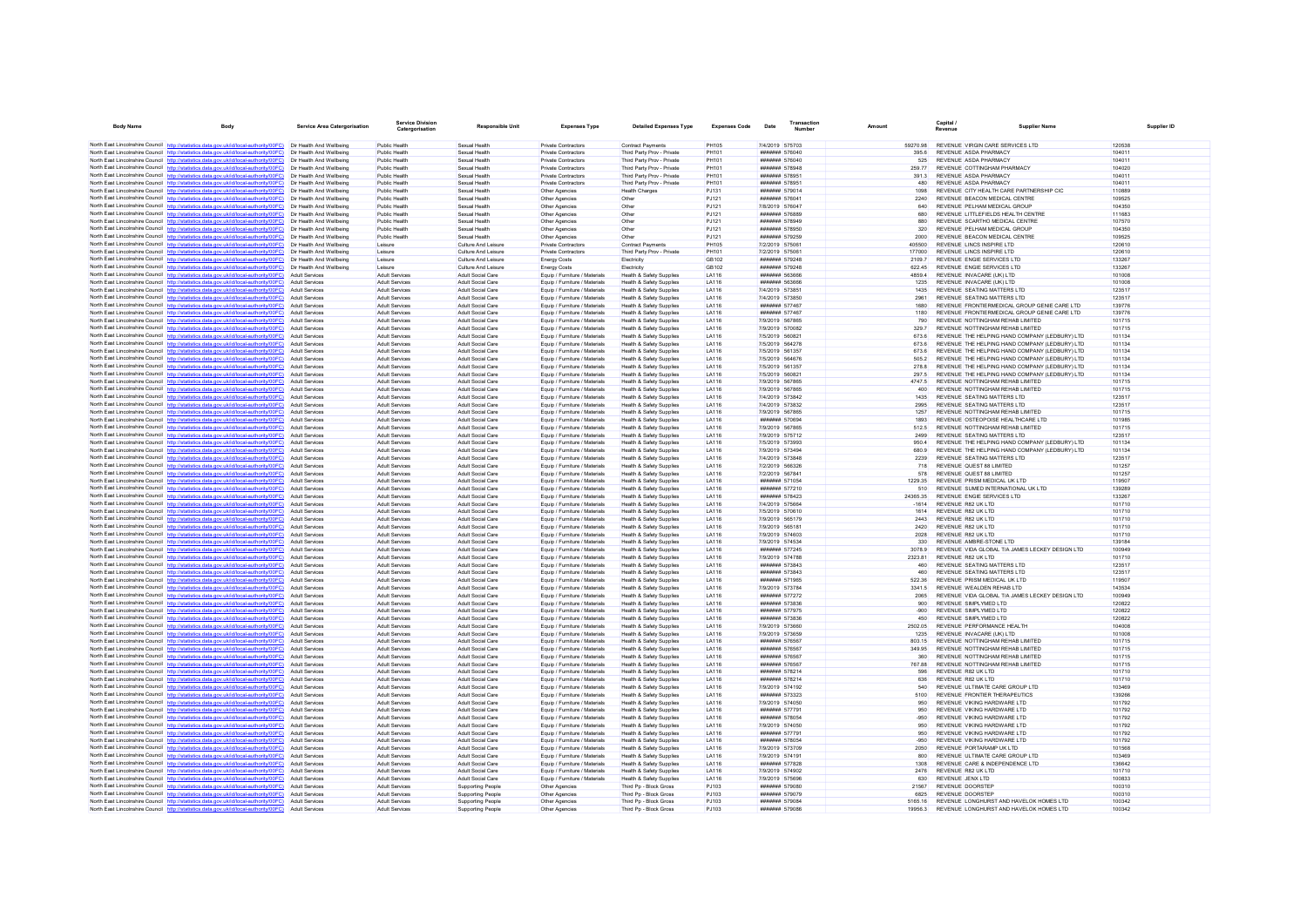| <b>Body Name</b>                           | Body                                                                                                                                                                             | Service Area Catergorisation                         | <b>Service Division</b><br>Catergorisation     | <b>Responsible Unit</b>                              | <b>Expenses Type</b>                                           | <b>Detailed Expenses Type</b>                                   | <b>Expenses Code</b>  | Date                               | Transactio<br><b>Number</b>         | Amount              | Capital /<br><b>Revenue</b>                    | <b>Supplier Name</b>                                                          |                  |
|--------------------------------------------|----------------------------------------------------------------------------------------------------------------------------------------------------------------------------------|------------------------------------------------------|------------------------------------------------|------------------------------------------------------|----------------------------------------------------------------|-----------------------------------------------------------------|-----------------------|------------------------------------|-------------------------------------|---------------------|------------------------------------------------|-------------------------------------------------------------------------------|------------------|
|                                            | North East Lincolnshire Council http://statistics.data.gov.uk/id/local-authority/00FC) Dir Health And Wellbeing                                                                  |                                                      | Public Health                                  | Sexual Health                                        | <b>Private Contractors</b>                                     | <b>Contract Payments</b>                                        | <b>PH105</b>          | 7/4/2019 575703                    |                                     | 59270.98            |                                                | REVENUE VIRGIN CARE SERVICES LTD                                              | 120538           |
|                                            | North East Lincolnshire Council http://statistics.data.gov.uk/id/local-authority/00FC)                                                                                           | Dir Health And Wellbeing                             | Public Health                                  | Sexual Health                                        | Private Contractors                                            | Third Party Prov - Private                                      | PH101                 |                                    | <b>#######</b> 576040               | 395.6               | REVENUE ASDA PHARMACY                          |                                                                               | 104011           |
|                                            | North East Lincolnshire Council http://statistics.data.gov.uk/id/local-authority/00FC)                                                                                           | Dir Health And Wellbeing                             | Public Health                                  | Sexual Health                                        | Private Contractors                                            | Third Party Prov - Private                                      | <b>PH101</b>          |                                    | ####### 576040                      | 525                 | REVENUE ASDA PHARMACY                          |                                                                               | 104011           |
|                                            | North East Lincolnshire Council http://statistics.data.gov.uk/id/local-authority/00FC)                                                                                           | Dir Health And Wellbeing                             | Public Health                                  | Sexual Health                                        | Private Contractors                                            | Third Party Prov - Private                                      | PH101                 |                                    | ####### 578948                      | 259.77              |                                                | REVENUE COTTINGHAM PHARMACY                                                   | 104020           |
|                                            | North East Lincolnshire Council http://statistics.data.gov.uk/id/local-authority/00FC)                                                                                           | Dir Health And Wellbeing                             | Public Health                                  | Sexual Health                                        | <b>Private Contractors</b>                                     | Third Party Prov - Private                                      | PH101                 |                                    | ####### 578951                      | 391.3               | REVENUE ASDA PHARMACY                          |                                                                               | 104011           |
|                                            | North East Lincolnshire Council http://statistics.data.gov.uk/id/local-authority/00FC)                                                                                           | Dir Health And Wellbeing                             | Public Health                                  | Sexual Health                                        | Private Contractors                                            | Third Party Prov - Private                                      | PH101                 |                                    | ####### 578951                      | 480                 | REVENUE ASDA PHARMACY                          |                                                                               | 104011           |
|                                            | North East Lincolnshire Council http://statistics.data.gov.uk/id/local-authority/00FC)                                                                                           | Dir Health And Wellbeing                             | Public Health                                  | Sexual Health                                        | Other Agencies                                                 | <b>Health Charges</b>                                           | PJ131                 |                                    | ####### 579014                      | 1098                |                                                | REVENUE CITY HEALTH CARE PARTNERSHIP CIC                                      | 110889           |
|                                            | North East Lincolnshire Council http://statistics.data.gov.uk/id/local-authority/00FC)                                                                                           | Dir Health And Wellbeing<br>Dir Health And Wellbeing | Public Health<br>Public Health                 | Sexual Health<br>Sexual Health                       | Other Agencies                                                 | Other<br>Other                                                  | PJ121<br>P.1121       | 7/8/2019 576047                    | ####### 576041                      | 2240<br>640         |                                                | REVENUE BEACON MEDICAL CENTRE<br>REVENUE PELHAM MEDICAL GROUP                 | 109525<br>104350 |
|                                            | North East Lincolnshire Council http://statistics.data.gov.uk/id/local-authority/00FC)<br>North East Lincolnshire Council http://statistics.data.gov.uk/id/local-authority/00FC) | Dir Health And Wellbeing                             | Public Health                                  | Sexual Health                                        | Other Agencies<br>Other Agencies                               | Othe                                                            | PJ121                 |                                    | ####### 576889                      | 680                 |                                                | REVENUE LITTLEFIELDS HEALTH CENTRE                                            | 111683           |
|                                            | North East Lincolnshire Council http://statistics.data.gov.uk/id/local-authority/00FC)                                                                                           | Dir Health And Wellheing                             | Public Health                                  | Sexual Health                                        | Other Agencies                                                 | Other                                                           | PJ121                 |                                    | ####### 578949                      | 880                 |                                                | REVENUE SCARTHO MEDICAL CENTRE                                                | 107570           |
|                                            | North East Lincolnshire Council http://statistics.data.gov.uk/id/local-authority/00FC)                                                                                           | Dir Health And Wellbeing                             | Public Health                                  | Sexual Health                                        | Other Agencies                                                 | Other                                                           | PJ121                 |                                    | ####### 578950                      | 320                 |                                                | REVENUE PELHAM MEDICAL GROUP                                                  | 104350           |
|                                            | North East Lincolnshire Council http://statistics.data.gov.uk/id/local-authority/00FC)                                                                                           | Dir Health And Wellbeing                             | Public Health                                  | Sexual Health                                        | Other Agencies                                                 | Other                                                           | PJ121                 |                                    | ####### 579259                      | 2000                |                                                | REVENUE BEACON MEDICAL CENTRE                                                 | 109525           |
|                                            | North East Lincolnshire Council http://statistics.data.gov.uk/id/local-authority/00FC)                                                                                           | Dir Health And Wellheinn                             | Leisure                                        | Culture And Leisure                                  | <b>Private Contractors</b>                                     | <b>Contract Payments</b>                                        | <b>PH105</b>          | 7/2/2019 575061                    |                                     | 405500              |                                                | REVENUE LINCS INSPIRE LTD                                                     | 120610           |
|                                            | North East Lincolnshire Council http://statistics.data.gov.uk/id/local-authority/00FC)                                                                                           | Dir Health And Wellbeing                             | Leisure                                        | Culture And Leisure                                  | Private Contractors                                            | Third Party Prov - Private                                      | PH101                 | 7/2/2019 575061                    |                                     | 177000              |                                                | REVENUE LINCS INSPIRE LTD                                                     | 120610           |
|                                            | North East Lincolnshire Council http://statistics.data.gov.uk/id/local-authority/00FC)<br>North East Lincolnshire Council http://statistics.data.gov.uk/id/local-authority/00FC) | Dir Health And Wellbeing<br>Dir Health And Wellbeing | Leisure<br>Leisure                             | Culture And Leisure<br>Culture And Leisure           | <b>Energy Costs</b><br><b>Energy Costs</b>                     | Electricity<br>Electricity                                      | GB102<br>GB102        |                                    | ####### 579248<br>####### 579248    | 2109.7<br>622.45    |                                                | REVENUE ENGIE SERVICES LTD<br>REVENUE ENGIE SERVICES LTD                      | 133267<br>133267 |
|                                            | North East Lincolnshire Council http://statistics.data.gov.uk/id/local-authority/00FC)                                                                                           | Adult Services                                       | <b>Adult Services</b>                          | Adult Social Care                                    | Equip / Furniture / Materials                                  | Health & Safety Supplies                                        | LA116                 |                                    | ####### 563666                      | 4859.4              |                                                | REVENUE INVACARE (UK) LTD                                                     | 101008           |
|                                            | North East Lincolnshire Council http://statistics.data.gov.uk/id/local-authority/00FC)                                                                                           | Adult Service                                        | <b>Adult Services</b>                          | Adult Social Care                                    | Equip / Furniture / Materials                                  | Health & Safety Supplies                                        | LA116                 |                                    | ####### 563666                      | 1235                |                                                | REVENUE INVACARE (UK) LTD                                                     | 101008           |
|                                            | North East Lincolnshire Council http://statistics.data.gov.uk/id/local-authority/00FC)                                                                                           | Adult Service                                        | <b>Adult Services</b>                          | Adult Social Care                                    | Equip / Furniture / Materials                                  | Health & Safety Supplies                                        | LA116                 |                                    | 7/4/2019 573851                     | 1435                |                                                | REVENUE SEATING MATTERS LTD                                                   | 123517           |
|                                            | North East Lincolnshire Council http://statistics.data.gov.uk/id/local-authority/00FC)                                                                                           | Adult Services                                       | <b>Adult Services</b>                          | Adult Social Care                                    | Fouin / Furniture / Materials                                  | Health & Safety Sunnlies                                        | LA116                 | 7/4/2019 573850                    |                                     | 2961                |                                                | REVENUE SEATING MATTERS LTD                                                   | 123517           |
|                                            | North East Lincolnshire Council http://statistics.data.gov.uk/id/local-authority/00FC)                                                                                           | Adult Service                                        | Adult Services                                 | Adult Social Care                                    | Equip / Furniture / Materials                                  | Health & Safety Supplies                                        | <b>LA116</b>          |                                    | ####### 577467                      | 1680                |                                                | REVENUE FRONTIERMEDICAL GROUP GENIE CARE LTD                                  | 139776           |
|                                            | North East Lincolnshire Council http://statistics.data.gov.uk/id/local-authority/00FC)                                                                                           | Adult Service                                        | Adult Services                                 | Adult Social Care                                    | Equip / Furniture / Materials                                  | Health & Safety Supplies                                        | LA116                 |                                    | ####### 577467                      | 1180                |                                                | REVENUE FRONTIERMEDICAL GROUP GENIE CARE LTD                                  | 139776           |
|                                            | North East Lincolnshire Council http://statistics.data.gov.uk/id/local-authority/00FC)<br>North East Lincolnshire Council http://statistics.data.gov.uk/id/local-authority/00FC) | Adult Services<br>Adult Services                     | Adult Services<br><b>Adult Services</b>        | Adult Social Care<br>Adult Social Care               | Equip / Furniture / Materials<br>Fouin / Furniture / Materials | Health & Safety Supplies<br>Health & Safety Sunnlies            | LA116<br>LA116        | 7/9/2019 567865<br>7/9/2019 570082 |                                     | 790<br>329.7        |                                                | REVENUE NOTTINGHAM REHAB LIMITED<br>REVENUE NOTTINGHAM REHAB LIMITED          | 101715<br>101715 |
|                                            | North East Lincolnshire Council http://statistics.data.gov.uk/id/local-authority/00FC)                                                                                           | <b>Adult Servicer</b>                                | Adult Services                                 | Adult Social Care                                    | Equip / Furniture / Materials                                  | <b>Health &amp; Safety Supplies</b>                             | LA116                 | 7/5/2019 560821                    |                                     | 673.6               |                                                | REVENUE THE HELPING HAND COMPANY (LEDBURY) LTD                                | 101134           |
|                                            | North East Lincolnshire Council http://statistics.data.gov.uk/id/local-authority/00FC)                                                                                           | Adult Services                                       | Adult Services                                 | Adult Social Care                                    | Equip / Furniture / Materials                                  | Health & Safety Supplies                                        | LA116                 | 7/5/2019 564278                    |                                     | 673.6               |                                                | REVENUE THE HELPING HAND COMPANY (LEDBURY) LTD                                | 101134           |
|                                            | North East Lincolnshire Council http://statistics.data.gov.uk/id/local-authority/00FC)                                                                                           | Adult Services                                       | <b>Adult Services</b>                          | Adult Social Care                                    | Equip / Furniture / Materials                                  | Health & Safety Supplies                                        | LA116                 | 7/5/2019 561357                    |                                     | 673.6               |                                                | REVENUE THE HELPING HAND COMPANY (LEDBURY) LTD                                | 101134           |
|                                            | North East Lincolnshire Council http://statistics.data.gov.uk/id/local-authority/00FC)                                                                                           | <b>Adult Servicer</b>                                | <b>Adult Services</b>                          | Adult Social Care                                    | Equip / Furniture / Materials                                  | <b>Health &amp; Safety Supplies</b>                             | LA116                 |                                    | 7/5/2019 564676                     | 505.2               |                                                | REVENUE THE HELPING HAND COMPANY (LEDBURY) LTD                                | 101134           |
|                                            | North East Lincolnshire Council http://statistics.data.gov.uk/id/local-authority/00FC)                                                                                           | Adult Services                                       | Adult Services                                 | Adult Social Care                                    | Equip / Furniture / Materials                                  | <b>Health &amp; Safety Supplies</b>                             | LA116                 | 7/5/2019 561357                    |                                     | 278.8               |                                                | REVENUE THE HELPING HAND COMPANY (LEDBURY) LTD                                | 101134           |
|                                            | North East Lincolnshire Council http://statistics.data.gov.uk/id/local-authority/00FC)                                                                                           | Adult Services                                       | <b>Adult Services</b>                          | Adult Social Care                                    | Equip / Furniture / Materials                                  | Health & Safety Supplies                                        | LA116                 | 7/5/2019 560821                    |                                     | 297.5               |                                                | REVENUE THE HELPING HAND COMPANY (LEDBURY) LTD                                | 101134           |
|                                            | North East Lincolnshire Council http://statistics.data.gov.uk/id/local-authority/00FC)                                                                                           | Adult Services                                       | <b>Adult Services</b>                          | Adult Social Care                                    | Equip / Furniture / Materials                                  | Health & Safety Supplies                                        | <b>LA116</b>          | 7/9/2019 567865                    |                                     | 47475               |                                                | REVENUE NOTTINGHAM REHAB LIMITED                                              | 101715           |
|                                            | North East Lincolnshire Council http://statistics.data.gov.uk/id/local-authority/00FC)<br>North East Lincolnshire Council http://statistics.data.gov.uk/id/local-authority/00FC) | Adult Service<br>Adult Services                      | Adult Services<br>Adult Services               | Adult Social Care<br>Adult Social Care               | Equip / Furniture / Materials<br>Equip / Furniture / Materials | Health & Safety Supplies<br>Health & Safety Supplies            | LA116<br><b>LA116</b> | 7/9/2019 567865<br>7/4/2019 573842 |                                     | 400<br>1435         |                                                | REVENUE NOTTINGHAM REHAB LIMITED<br>REVENUE SEATING MATTERS LTD               | 101715<br>123517 |
|                                            | North East Lincolnshire Council http://statistics.data.gov.uk/id/local-authority/00FC)                                                                                           | Adult Services                                       | <b>Adult Services</b>                          | Adult Social Care                                    | Fouin / Furniture / Materials                                  | Health & Safety Sunnlies                                        | <b>LA116</b>          | 7/4/2019 573832                    |                                     | 2995                |                                                | REVENUE SEATING MATTERS ITD                                                   | 123517           |
|                                            | North East Lincolnshire Council http://statistics.data.gov.uk/id/local-authority/00FC)                                                                                           | Adult Services                                       | Adult Services                                 | Adult Social Care                                    | Equip / Furniture / Materials                                  | Health & Safety Supplies                                        | LA116                 | 7/9/2019 567865                    |                                     | 1257                |                                                | REVENUE NOTTINGHAM REHAB LIMITED                                              | 101715           |
| North East Lincolnshire Council http://str | tics data gov uk/id/local-authority/00EC)                                                                                                                                        | Adult Services                                       | <b>Adult Services</b>                          | Adult Social Care                                    | Equip / Furniture / Materials                                  | Health & Safety Supplies                                        | LA116                 |                                    | ####### 570694                      | 1893                |                                                | REVENUE OSTEOPOISE HEALTHCARE LTD                                             | 101985           |
|                                            | North East Lincolnshire Council http://statistics.data.gov.uk/id/local-authority/00FC)                                                                                           | Adult Services                                       | <b>Adult Services</b>                          | Adult Social Care                                    | Equip / Furniture / Materials                                  | Health & Safety Sunnlies                                        | <b>LA116</b>          | 7/9/2019 567865                    |                                     | 512.5               |                                                | REVENUE NOTTINGHAM REHAB LIMITED                                              | 101715           |
|                                            | North East Lincolnshire Council http://statistics.data.gov.uk/id/local-authority/00FC)                                                                                           | <b>Adult Servicer</b>                                | Adult Services                                 | Adult Social Care                                    | Equip / Furniture / Materials                                  | Health & Safety Supplies                                        | LA116                 |                                    | 7/9/2019 575712                     | 2499                |                                                | REVENUE SEATING MATTERS LTD                                                   | 123517           |
|                                            | North East Lincolnshire Council http://statistics.data.gov.uk/id/local-authority/00FC)                                                                                           | <b>Adult Servicer</b>                                | Adult Services                                 | Adult Social Care                                    | Equip / Furniture / Materials                                  | Health & Safety Supplies                                        | LA116                 | 7/5/2019 573993                    |                                     | 950.4               |                                                | REVENUE THE HELPING HAND COMPANY (LEDBURY) LTD                                | 101134           |
|                                            | North East Lincolnshire Council http://statistics.data.gov.uk/id/local-authority/00FC)<br>North East Lincolnshire Council http://statistics.data.gov.uk/id/local-authority/00FC) | Adult Services<br>Adult Services                     | <b>Adult Services</b><br><b>Adult Services</b> | Adult Social Care<br>Adult Social Care               | Equip / Furniture / Materials<br>Equip / Furniture / Materials | <b>Health &amp; Safety Supplies</b><br>Health & Safety Supplies | LA116<br>LA116        | 7/9/2019 573494<br>7/4/2019 573848 |                                     | 680.9<br>2239       |                                                | REVENUE THE HELPING HAND COMPANY (LEDBURY) LTD<br>REVENUE SEATING MATTERS LTD | 101134<br>123517 |
|                                            | North East Lincolnshire Council http://statistics.data.gov.uk/id/local-authority/00FC)                                                                                           | <b>Adult Servicer</b>                                | <b>Adult Services</b>                          | Adult Social Care                                    | Equip / Furniture / Materials                                  | Health & Safety Supplies                                        | LA116                 |                                    | 7/2/2019 566326                     | 718                 |                                                | REVENUE QUEST 88 LIMITED                                                      | 101257           |
|                                            | North East Lincolnshire Council http://statistics.data.gov.uk/id/local-authority/00FC)                                                                                           | Adult Services                                       | <b>Adult Services</b>                          | Adult Social Care                                    | Fouin / Furniture / Materials                                  | Health & Safety Sunnlies                                        | LA116                 | 7/2/2019 567841                    |                                     | 578                 |                                                | REVENUE QUEST 88 LIMITED                                                      | 101257           |
|                                            | North East Lincolnshire Council http://statistics.data.gov.uk/id/local-authority/00FC)                                                                                           | Adult Service                                        | Adult Services                                 | Adult Social Care                                    | Equip / Furniture / Materials                                  | Health & Safety Supplies                                        | <b>LA116</b>          |                                    | ####### 571054                      | 1229.35             |                                                | REVENUE PRISM MEDICAL UK LTD                                                  | 119507           |
|                                            | North East Lincolnshire Council http://statistics.data.gov.uk/id/local-authority/00FC)                                                                                           | Adult Service                                        | Adult Services                                 | Adult Social Care                                    | Equip / Furniture / Materials                                  | Health & Safety Supplies                                        | LA116                 |                                    | ####### 577210                      | 510                 |                                                | REVENUE SUMED INTERNATIONAL UK LTD                                            | 139289           |
|                                            | North East Lincolnshire Council http://statistics.data.gov.uk/id/local-authority/00FC)<br>North East Lincolnshire Council http://statistics.data.gov.uk/id/local-authority/00FC) | Adult Services<br>Adult Services                     | Adult Services<br><b>Adult Services</b>        | Adult Social Care<br>Adult Social Care               | Equip / Furniture / Materials                                  | Health & Safety Supplies<br>Health & Safety Sunnlies            | LA116<br>LA116        | 7/4/2019 575664                    | ####### 578423                      | 24365.35<br>$-1614$ | REVENUE R82 UK LTD                             | REVENUE ENGIE SERVICES LTD                                                    | 133267<br>101710 |
|                                            | North East Lincolnshire Council http://statistics.data.gov.uk/id/local-authority/00FC)                                                                                           | <b>Adult Servicer</b>                                | Adult Services                                 | Adult Social Care                                    | Equip / Furniture / Materials<br>Equip / Furniture / Materials | Health & Safety Supplies                                        | LA116                 |                                    | 7/5/2019 570610                     | 1614                | REVENUE R82 UK LTD                             |                                                                               | 101710           |
|                                            | North East Lincolnshire Council http://statistics.data.gov.uk/id/local-authority/00FC)                                                                                           | Adult Services                                       | Adult Services                                 | Adult Social Care                                    | Equip / Furniture / Materials                                  | Health & Safety Supplies                                        | LA116                 | 7/9/2019 565179                    |                                     | 2443                | REVENUE R82 UK LTD                             |                                                                               | 101710           |
|                                            | North East Lincolnshire Council http://statistics.data.gov.uk/id/local-authority/00FC)                                                                                           | Adult Services                                       | <b>Adult Services</b>                          | Adult Social Care                                    | Equip / Furniture / Materials                                  | <b>Health &amp; Safety Supplies</b>                             | LA116                 | 7/9/2019 565181                    |                                     | 2420                | REVENUE R82 UK LTD                             |                                                                               | 101710           |
|                                            | North East Lincolnshire Council http://statistics.data.gov.uk/id/local-authority/00FC)                                                                                           | <b>Adult Servicer</b>                                | <b>Adult Services</b>                          | Adult Social Care                                    | Equip / Furniture / Materials                                  | <b>Health &amp; Safety Supplies</b>                             | LA116                 | 7/9/2019 574603                    |                                     | 2028                | REVENUE R82 UK LTD                             |                                                                               | 101710           |
|                                            | North East Lincolnshire Council http://statistics.data.gov.uk/id/local-authority/00FC)                                                                                           | Adult Services                                       | <b>Adult Services</b>                          | Adult Social Care                                    | Equip / Furniture / Materials                                  | <b>Health &amp; Safety Supplies</b>                             | LA116                 | 7/9/2019 574534                    |                                     | 330                 |                                                | REVENUE AMBRE-STONE LTD                                                       | 139184           |
|                                            | North East Lincolnshire Council http://statistics.data.gov.uk/id/local-authority/00FC)                                                                                           | Adult Services<br><b>Adult Services</b>              | <b>Adult Services</b>                          | Adult Social Care                                    | Equip / Furniture / Materials                                  | <b>Health &amp; Safety Supplies</b>                             | LA116<br><b>LA116</b> |                                    | ####### 577245                      | 3078.9              | REVENUE R82 UK LTD                             | REVENUE VIDA GLOBAL T/A JAMES LECKEY DESIGN LTD                               | 100949<br>101710 |
|                                            | North East Lincolnshire Council http://statistics.data.gov.uk/id/local-authority/00FC)<br>North East Lincolnshire Council http://statistics.data.gov.uk/id/local-authority/00FC) | Adult Service                                        | Adult Services<br>Adult Services               | Adult Social Care<br>Adult Social Care               | Equip / Furniture / Materials<br>Equip / Furniture / Materials | Health & Safety Supplies<br>Health & Safety Supplies            | LA116                 | 7/9/2019 574788                    | ####### 573843                      | 2323.81<br>460      |                                                | REVENUE SEATING MATTERS LTD                                                   | 123517           |
|                                            | North East Lincolnshire Council http://statistics.data.gov.uk/id/local-authority/00FC)                                                                                           | Adult Services                                       | Adult Services                                 | Adult Social Care                                    | Equip / Furniture / Materials                                  | Health & Safety Supplies                                        | <b>LA116</b>          |                                    | ####### 573843                      | 460                 |                                                | REVENUE SEATING MATTERS LTD                                                   | 123517           |
|                                            | North East Lincolnshire Council http://statistics.data.gov.uk/id/local-authority/00FC)                                                                                           | Adult Services                                       | <b>Adult Services</b>                          | Adult Social Care                                    | Fouin / Furniture / Materials                                  | Health & Safety Sunnlies                                        | LA116                 |                                    | <b>#######</b> 571965               | 522.36              |                                                | REVENUE PRISM MEDICAL UK LTD                                                  | 119507           |
|                                            | North East Lincolnshire Council http://statistics.data.gov.uk/id/local-authority/00FC)                                                                                           | Adult Service                                        | Adult Services                                 | Adult Social Care                                    | Equip / Furniture / Materials                                  | Health & Safety Supplies                                        | LA116                 |                                    | 7/9/2019 573784                     | 3341.5              |                                                | REVENUE WEALDEN REHAB LTD                                                     | 143534           |
| North East Lincolnshire Council http://sta | stics.data.gov.uk/id/local-authority/00FC)                                                                                                                                       | Adult Services                                       | Adult Services                                 | Adult Social Care                                    | Equip / Furniture / Materials                                  | Health & Safety Supplies                                        | LA116                 |                                    | ####### 577272                      | 2065                |                                                | REVENUE VIDA GLOBAL T/A JAMES LECKEY DESIGN LTD                               | 100949           |
|                                            | North East Lincolnshire Council http://statistics.data.gov.uk/id/local-authority/00FC)                                                                                           | Adult Services                                       | <b>Adult Services</b>                          | Adult Social Care                                    | Equip / Furniture / Materials                                  | <b>Health &amp; Safety Supplies</b>                             | LA116                 |                                    | ####### 573836                      | 900                 | REVENUE SIMPLYMED LTD                          |                                                                               | 120822           |
|                                            | North East Lincolnshire Council http://statistics.data.gov.uk/id/local-authority/00FC)<br>North East Lincolnshire Council http://statistics.data.gov.uk/id/local-authority/00FC) | <b>Adult Servicer</b><br><b>Adult Services</b>       | <b>Adult Services</b><br>Adult Services        | Adult Social Care<br>Adult Social Care               | Equip / Furniture / Materials<br>Equip / Furniture / Materials | Health & Safety Supplies<br>Health & Safety Supplies            | LA116<br>LA116        |                                    | ####### 577975<br>####### 573836    | $-900$<br>450       | REVENUE SIMPLYMED LTD<br>REVENUE SIMPLYMED LTD |                                                                               | 120822<br>120822 |
|                                            | North East Lincolnshire Council http://statistics.data.gov.uk/id/local-authority/00FC)                                                                                           | Adult Services                                       | <b>Adult Services</b>                          | Adult Social Care                                    | Equip / Furniture / Materials                                  | <b>Health &amp; Safety Supplies</b>                             | LA116                 | 7/9/2019 573660                    |                                     | 2502.05             |                                                | REVENUE PERFORMANCE HEALTH                                                    | 104008           |
|                                            | North East Lincolnshire Council http://statistics.data.gov.uk/id/local-authority/00FC)                                                                                           | Adult Services                                       | <b>Adult Services</b>                          | Adult Social Care                                    | Equip / Furniture / Materials                                  | Health & Safety Supplies                                        | LA116                 | 7/9/2019 573659                    |                                     | 1235                |                                                | REVENUE INVACARE (UK) LTD                                                     | 101008           |
|                                            | North East Lincolnshire Council http://statistics.data.gov.uk/id/local-authority/00FC)                                                                                           | <b>Adult Servicer</b>                                | <b>Adult Services</b>                          | Adult Social Care                                    | Equip / Furniture / Materials                                  | Health & Safety Supplies                                        | LA116                 |                                    | ####### 576567                      | 803.15              |                                                | REVENUE NOTTINGHAM REHAB LIMITED                                              | 101715           |
|                                            | North East Lincolnshire Council http://statistics.data.gov.uk/id/local-authority/00FC)                                                                                           | Adult Services                                       | Adult Services                                 | Adult Social Care                                    | Equip / Furniture / Materials                                  | <b>Health &amp; Safety Supplies</b>                             | LA116                 |                                    | ####### 576567                      | 349.95              |                                                | REVENUE NOTTINGHAM REHAB LIMITED                                              | 101715           |
|                                            | North East Lincolnshire Council http://statistics.data.gov.uk/id/local-authority/00FC)                                                                                           | Adult Service                                        | Adult Services                                 | Adult Social Care                                    | Equip / Furniture / Materials                                  | Health & Safety Supplies                                        | LA116                 |                                    | ####### 576567                      | 360                 |                                                | REVENUE NOTTINGHAM REHAB LIMITED                                              | 101715           |
|                                            | North East Lincolnshire Council http://statistics.data.gov.uk/id/local-authority/00FC)                                                                                           | Adult Service                                        | <b>Adult Services</b>                          | Adult Social Care                                    | Equip / Furniture / Materials                                  | Health & Safety Supplies                                        | LA116                 |                                    | ###### 576567                       | 767.88              |                                                | REVENUE NOTTINGHAM REHAB LIMITED                                              | 101715           |
|                                            | North East Lincolnshire Council http://statistics.data.gov.uk/id/local-authority/00FC)                                                                                           | Adult Services                                       | Adult Services                                 | Adult Social Care                                    | Equip / Furniture / Materials                                  | Health & Safety Supplies                                        | LA116                 |                                    | ####### 578214                      | 596                 | REVENUE R82 UK LTD                             |                                                                               | 101710           |
|                                            | North East Lincolnshire Council http://statistics.data.gov.uk/id/local-authority/00FC)<br>North East Lincolnshire Council http://statistics.data.gov.uk/id/local-authority/00FC) | Adult Services<br><b>Adult Servicer</b>              | <b>Adult Services</b><br><b>Adult Services</b> | Adult Social Care<br>Adult Social Care               | Equip / Furniture / Materials<br>Equip / Furniture / Materials | Health & Safety Sunnlies<br>Health & Safety Supplies            | LA116<br>LA116        | 7/9/2019 574192                    | <b>#######</b> 578214               | 636<br>540          | REVENUE R82 UK LTD                             | REVENUE ULTIMATE CARE GROUP LTD                                               | 101710<br>103469 |
|                                            | North East Lincolnshire Council http://statistics.data.gov.uk/id/local-authority/00FC)                                                                                           | Adult Services                                       | Adult Services                                 | Adult Social Care                                    | Equip / Furniture / Materials                                  | Health & Safety Supplies                                        | LA116                 |                                    | ####### 573323                      | 5100                |                                                | REVENUE FRONTIER THERAPEUTICS                                                 | 139266           |
|                                            | North East Lincolnshire Council http://statistics.data.gov.uk/id/local-authority/00FC)                                                                                           | Adult Services                                       | <b>Adult Services</b>                          | Adult Social Care                                    | Equip / Furniture / Materials                                  | <b>Health &amp; Safety Supplies</b>                             | LA116                 | 7/9/2019 574050                    |                                     | 950                 |                                                | REVENUE VIKING HARDWARE LTD                                                   | 101792           |
|                                            | North East Lincolnshire Council http://statistics.data.gov.uk/id/local-authority/00FC)                                                                                           | <b>Adult Services</b>                                | <b>Adult Services</b>                          | Adult Social Care                                    | Equip / Furniture / Materials                                  | Health & Safety Supplies                                        | LA116                 |                                    | <b><i><u>#######</u></i></b> 577791 | 950                 |                                                | REVENUE VIKING HARDWARE LTD                                                   | 101792           |
|                                            | North East Lincolnshire Council http://statistics.data.gov.uk/id/local-authority/00FC)                                                                                           | <b>Adult Servicer</b>                                | <b>Adult Services</b>                          | Adult Social Care                                    | Equip / Furniture / Materials                                  | <b>Health &amp; Safety Supplies</b>                             | LA116                 |                                    | ####### 578054                      | $-950$              |                                                | REVENUE VIKING HARDWARE LTD                                                   | 101792           |
|                                            | North East Lincolnshire Council http://statistics.data.gov.uk/id/local-authority/00FC)                                                                                           | Adult Services                                       | <b>Adult Services</b>                          | Adult Social Care                                    | Fouin / Furniture / Materials                                  | Health & Safety Sunnlies                                        | LA116                 | 7/9/2019 574050                    |                                     | 950                 |                                                | REVENUE VIKING HARDWARE I TD                                                  | 101792           |
|                                            | North East Lincolnshire Council http://statistics.data.gov.uk/id/local-authority/00FC)<br>North East Lincolnshire Council http://statistics.data.gov.uk/id/local-authority/00FC) | Adult Service<br>Adult Service                       | Adult Services<br>Adult Services               | Adult Social Care<br>Adult Social Care               | Equip / Furniture / Materials<br>Equip / Furniture / Materials | Health & Safety Supplies<br>Health & Safety Supplies            | <b>LA116</b><br>LA116 |                                    | ####### 577791<br>####### 578054    | 950<br>-950         |                                                | REVENUE VIKING HARDWARE LTD<br>REVENUE VIKING HARDWARE LTD                    | 101792<br>101792 |
|                                            | North East Lincolnshire Council http://statistics.data.gov.uk/id/local-authority/00FC)                                                                                           | <b>Adult Services</b>                                | <b>Adult Services</b>                          | Adult Social Care                                    | Equip / Furniture / Materials                                  | Health & Safety Supplies                                        | <b>LA116</b>          | 7/9/2019 573709                    |                                     | 2050                |                                                | REVENUE PORTARAMP UK LTD                                                      | 101568           |
|                                            | North East Lincolnshire Council http://statistics.data.gov.uk/id/local-authority/00FC)                                                                                           | Adult Services                                       | <b>Adult Services</b>                          | Adult Social Care                                    | Equip / Furniture / Materials                                  | Health & Safety Sunnlies                                        | LA116                 | 7/9/2019 574191                    |                                     | 800                 |                                                | REVENUE UI TIMATE CARE GROUP LTD                                              | 103469           |
|                                            | North East Lincolnshire Council http://statistics.data.gov.uk/id/local-authority/00FC)                                                                                           | <b>Adult Servicer</b>                                | Adult Services                                 | Adult Social Care                                    | Equip / Furniture / Materials                                  | Health & Safety Supplies                                        | LA116                 |                                    | ####### 577828                      | 1308                |                                                | REVENUE CARE & INDEPENDENCE LTD                                               | 136642           |
|                                            | North East Lincolnshire Council http://statistics.data.gov.uk/id/local-authority/00FC)                                                                                           | Adult Service                                        | <b>Adult Services</b>                          | Adult Social Care                                    | Equip / Furniture / Materials                                  | Health & Safety Supplies                                        | LA116                 |                                    | 7/9/2019 574902                     | 2476                | REVENUE R82 UK LTD                             |                                                                               | 101710           |
|                                            | North East Lincolnshire Council http://statistics.data.gov.uk/id/local-authority/00FC)                                                                                           | Adult Services                                       | <b>Adult Services</b>                          | Adult Social Care                                    | Equip / Furniture / Materials                                  | <b>Health &amp; Safety Supplies</b>                             | LA116                 | 7/9/2019 575696                    |                                     | 630                 | REVENUE JENX LTD                               |                                                                               | 100833           |
|                                            | North East Lincolnshire Council http://statistics.data.gov.uk/id/local-authority/00FC)<br>North East Lincolnshire Council http://statistics.data.gov.uk/id/local-authority/00FC) | <b>Adult Servicer</b><br>Adult Services              | <b>Adult Services</b><br><b>Adult Services</b> | <b>Supporting People</b><br><b>Supporting People</b> | Other Agencies<br>Other Agencies                               | Third Pp - Block Gross<br>Third Pp - Block Gross                | PJ103<br>PJ103        |                                    | ####### 579080<br>####### 579079    | 21567<br>6825       | REVENUE DOORSTEP<br><b>REVENUE DOORSTEP</b>    |                                                                               | 100310<br>100310 |
|                                            | North East Lincolnshire Council http://statistics.data.gov.uk/id/local-authority/00FC)                                                                                           | Adult Services                                       | <b>Adult Services</b>                          | Supporting People                                    | Other Agencies                                                 | Third Pp - Block Gross                                          | PJ103                 |                                    | ####### 579084                      | 5165.16             |                                                | REVENUE LONGHURST AND HAVELOK HOMES LTD                                       | 100342           |
|                                            | North East Lincolnshire Council http://statistics.data.gov.uk/id/local-authority/00FC                                                                                            | Adult Service                                        | <b>Adult Services</b>                          | <b>Supporting People</b>                             | Other Agencies                                                 | Third Pp - Block Gross                                          | PJ103                 |                                    | ####### 579086                      | 19956.3             |                                                | REVENUE LONGHURST AND HAVELOK HOMES LTD                                       | 100342           |